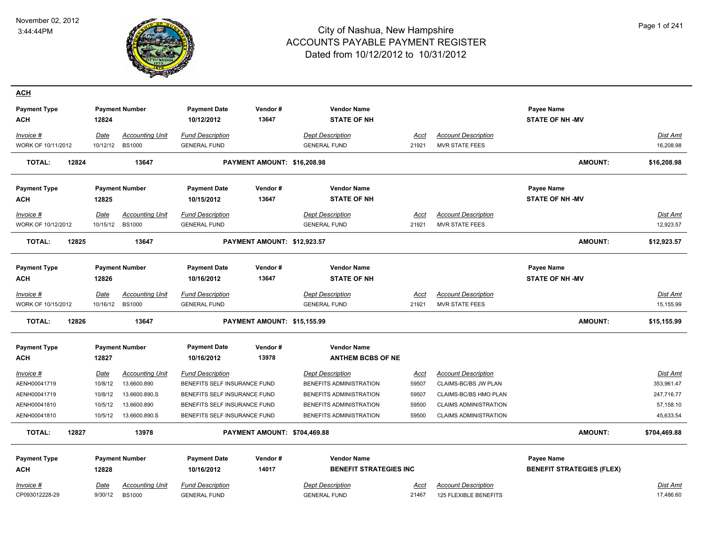

| <b>ACH</b>                        |                  |                                           |                                                |                              |                                                |               |                                                     |                                      |                       |
|-----------------------------------|------------------|-------------------------------------------|------------------------------------------------|------------------------------|------------------------------------------------|---------------|-----------------------------------------------------|--------------------------------------|-----------------------|
| <b>Payment Type</b><br><b>ACH</b> | 12824            | <b>Payment Number</b>                     | <b>Payment Date</b><br>10/12/2012              | Vendor#<br>13647             | <b>Vendor Name</b><br><b>STATE OF NH</b>       |               |                                                     | Payee Name<br><b>STATE OF NH -MV</b> |                       |
| Invoice #<br>WORK OF 10/11/2012   | Date<br>10/12/12 | <b>Accounting Unit</b><br><b>BS1000</b>   | <b>Fund Description</b><br><b>GENERAL FUND</b> |                              | <b>Dept Description</b><br><b>GENERAL FUND</b> | Acct<br>21921 | <b>Account Description</b><br><b>MVR STATE FEES</b> |                                      | Dist Amt<br>16,208.98 |
| 12824<br>TOTAL:                   |                  | 13647                                     |                                                | PAYMENT AMOUNT: \$16,208.98  |                                                |               |                                                     | <b>AMOUNT:</b>                       | \$16,208.98           |
| <b>Payment Type</b>               |                  | <b>Payment Number</b>                     | <b>Payment Date</b>                            | Vendor#                      | <b>Vendor Name</b>                             |               |                                                     | Payee Name                           |                       |
| <b>ACH</b>                        | 12825            |                                           | 10/15/2012                                     | 13647                        | <b>STATE OF NH</b>                             |               |                                                     | <b>STATE OF NH-MV</b>                |                       |
| Invoice #<br>WORK OF 10/12/2012   | Date<br>10/15/12 | <b>Accounting Unit</b><br><b>BS1000</b>   | <b>Fund Description</b><br><b>GENERAL FUND</b> |                              | <b>Dept Description</b><br><b>GENERAL FUND</b> | Acct<br>21921 | <b>Account Description</b><br><b>MVR STATE FEES</b> |                                      | Dist Amt<br>12,923.57 |
| <b>TOTAL:</b><br>12825            |                  | 13647                                     |                                                | PAYMENT AMOUNT: \$12,923.57  |                                                |               |                                                     | <b>AMOUNT:</b>                       | \$12,923.57           |
| <b>Payment Type</b>               |                  | <b>Payment Number</b>                     | <b>Payment Date</b>                            | Vendor#                      | <b>Vendor Name</b>                             |               |                                                     | Payee Name                           |                       |
| ACH                               | 12826            |                                           | 10/16/2012                                     | 13647                        | <b>STATE OF NH</b>                             |               |                                                     | <b>STATE OF NH -MV</b>               |                       |
| Invoice #<br>WORK OF 10/15/2012   | Date             | <b>Accounting Unit</b><br>10/16/12 BS1000 | <b>Fund Description</b><br><b>GENERAL FUND</b> |                              | <b>Dept Description</b><br><b>GENERAL FUND</b> | Acct<br>21921 | <b>Account Description</b><br><b>MVR STATE FEES</b> |                                      | Dist Amt<br>15,155.99 |
| 12826<br><b>TOTAL:</b>            |                  | 13647                                     |                                                | PAYMENT AMOUNT: \$15,155.99  |                                                |               |                                                     | <b>AMOUNT:</b>                       | \$15,155.99           |
| <b>Payment Type</b>               |                  | <b>Payment Number</b>                     | <b>Payment Date</b>                            | Vendor#                      | <b>Vendor Name</b>                             |               |                                                     |                                      |                       |
| <b>ACH</b>                        | 12827            |                                           | 10/16/2012                                     | 13978                        | <b>ANTHEM BCBS OF NE</b>                       |               |                                                     |                                      |                       |
| Invoice #                         | <u>Date</u>      | <b>Accounting Unit</b>                    | <b>Fund Description</b>                        |                              | <b>Dept Description</b>                        | <u>Acct</u>   | <b>Account Description</b>                          |                                      | <b>Dist Amt</b>       |
| AENH00041719                      | 10/8/12          | 13.6600.890                               | BENEFITS SELF INSURANCE FUND                   |                              | BENEFITS ADMINISTRATION                        | 59507         | CLAIMS-BC/BS JW PLAN                                |                                      | 353,961.47            |
| AENH00041719                      | 10/8/12          | 13.6600.890.S                             | BENEFITS SELF INSURANCE FUND                   |                              | BENEFITS ADMINISTRATION                        | 59507         | CLAIMS-BC/BS HMO PLAN                               |                                      | 247,716.77            |
| AENH00041810                      | 10/5/12          | 13.6600.890                               | BENEFITS SELF INSURANCE FUND                   |                              | BENEFITS ADMINISTRATION                        | 59500         | <b>CLAIMS ADMINISTRATION</b>                        |                                      | 57,158.10             |
| AENH00041810                      | 10/5/12          | 13.6600.890.S                             | BENEFITS SELF INSURANCE FUND                   |                              | BENEFITS ADMINISTRATION                        | 59500         | <b>CLAIMS ADMINISTRATION</b>                        |                                      | 45,633.54             |
| <b>TOTAL:</b><br>12827            |                  | 13978                                     |                                                | PAYMENT AMOUNT: \$704,469.88 |                                                |               |                                                     | <b>AMOUNT:</b>                       | \$704,469.88          |
| <b>Payment Type</b>               |                  | <b>Payment Number</b>                     | <b>Payment Date</b>                            | Vendor#                      | <b>Vendor Name</b>                             |               |                                                     | Payee Name                           |                       |
| <b>ACH</b>                        | 12828            |                                           | 10/16/2012                                     | 14017                        | <b>BENEFIT STRATEGIES INC</b>                  |               |                                                     | <b>BENEFIT STRATEGIES (FLEX)</b>     |                       |
| Invoice #                         | Date             | <b>Accounting Unit</b>                    | <b>Fund Description</b>                        |                              | <b>Dept Description</b>                        | Acct          | <b>Account Description</b>                          |                                      | Dist Amt              |
| CP093012228-29                    | 9/30/12          | <b>BS1000</b>                             | <b>GENERAL FUND</b>                            |                              | <b>GENERAL FUND</b>                            | 21467         | 125 FLEXIBLE BENEFITS                               |                                      | 17,486.60             |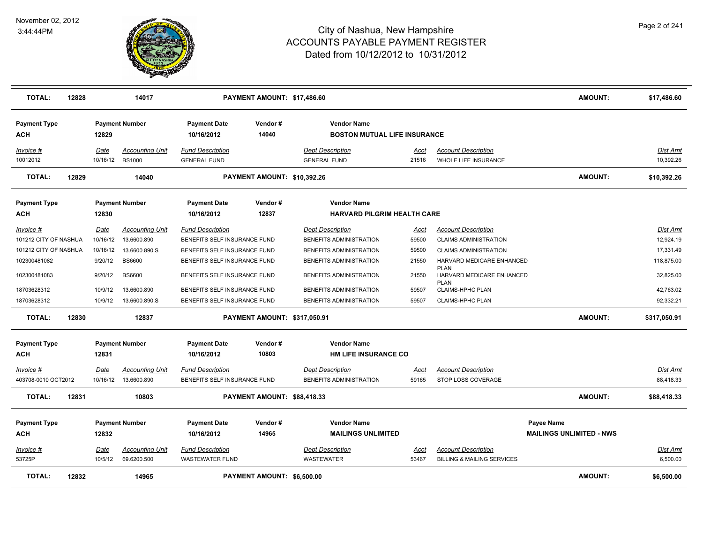

| <b>TOTAL:</b>              | 12828 |             | 14017                  |                                   | PAYMENT AMOUNT: \$17,486.60  |                                                 |             |                                                         | <b>AMOUNT:</b>                                | \$17,486.60     |
|----------------------------|-------|-------------|------------------------|-----------------------------------|------------------------------|-------------------------------------------------|-------------|---------------------------------------------------------|-----------------------------------------------|-----------------|
| <b>Payment Type</b>        |       |             | <b>Payment Number</b>  | <b>Payment Date</b>               | Vendor#                      | <b>Vendor Name</b>                              |             |                                                         |                                               |                 |
| ACH                        |       | 12829       |                        | 10/16/2012                        | 14040                        | <b>BOSTON MUTUAL LIFE INSURANCE</b>             |             |                                                         |                                               |                 |
| Invoice #                  |       | <b>Date</b> | <b>Accounting Unit</b> | <b>Fund Description</b>           |                              | <b>Dept Description</b>                         | Acct        | <b>Account Description</b>                              |                                               | <b>Dist Amt</b> |
| 10012012                   |       |             | 10/16/12 BS1000        | <b>GENERAL FUND</b>               |                              | <b>GENERAL FUND</b>                             | 21516       | WHOLE LIFE INSURANCE                                    |                                               | 10.392.26       |
| <b>TOTAL:</b>              | 12829 |             | 14040                  |                                   | PAYMENT AMOUNT: \$10,392.26  |                                                 |             |                                                         | <b>AMOUNT:</b>                                | \$10,392.26     |
| <b>Payment Type</b>        |       |             | <b>Payment Number</b>  | <b>Payment Date</b>               | Vendor#                      | <b>Vendor Name</b>                              |             |                                                         |                                               |                 |
| <b>ACH</b>                 |       | 12830       |                        | 10/16/2012                        | 12837                        | <b>HARVARD PILGRIM HEALTH CARE</b>              |             |                                                         |                                               |                 |
| Invoice #                  |       | Date        | <b>Accounting Unit</b> | <b>Fund Description</b>           |                              | <b>Dept Description</b>                         | Acct        | <b>Account Description</b>                              |                                               | Dist Amt        |
| 101212 CITY OF NASHUA      |       | 10/16/12    | 13.6600.890            | BENEFITS SELF INSURANCE FUND      |                              | BENEFITS ADMINISTRATION                         | 59500       | <b>CLAIMS ADMINISTRATION</b>                            |                                               | 12,924.19       |
| 101212 CITY OF NASHUA      |       | 10/16/12    | 13.6600.890.S          | BENEFITS SELF INSURANCE FUND      |                              | BENEFITS ADMINISTRATION                         | 59500       | <b>CLAIMS ADMINISTRATION</b>                            |                                               | 17,331.49       |
| 102300481082               |       | 9/20/12     | <b>BS6600</b>          | BENEFITS SELF INSURANCE FUND      |                              | BENEFITS ADMINISTRATION                         | 21550       | HARVARD MEDICARE ENHANCED                               |                                               | 118,875.00      |
| 102300481083               |       | 9/20/12     | <b>BS6600</b>          | BENEFITS SELF INSURANCE FUND      |                              | BENEFITS ADMINISTRATION                         | 21550       | <b>PLAN</b><br>HARVARD MEDICARE ENHANCED<br><b>PLAN</b> |                                               | 32,825.00       |
| 18703628312                |       | 10/9/12     | 13.6600.890            | BENEFITS SELF INSURANCE FUND      |                              | BENEFITS ADMINISTRATION                         | 59507       | <b>CLAIMS-HPHC PLAN</b>                                 |                                               | 42,763.02       |
| 18703628312                |       | 10/9/12     | 13.6600.890.S          | BENEFITS SELF INSURANCE FUND      |                              | BENEFITS ADMINISTRATION                         | 59507       | <b>CLAIMS-HPHC PLAN</b>                                 |                                               | 92,332.21       |
| <b>TOTAL:</b>              | 12830 |             | 12837                  |                                   | PAYMENT AMOUNT: \$317,050.91 |                                                 |             |                                                         | <b>AMOUNT:</b>                                | \$317,050.91    |
| <b>Payment Type</b>        |       |             | <b>Payment Number</b>  | <b>Payment Date</b>               | Vendor#                      | <b>Vendor Name</b>                              |             |                                                         |                                               |                 |
| ACH                        |       | 12831       |                        | 10/16/2012                        | 10803                        | <b>HM LIFE INSURANCE CO</b>                     |             |                                                         |                                               |                 |
| <u>Invoice #</u>           |       | <u>Date</u> | <u>Accounting Unit</u> | <b>Fund Description</b>           |                              | <b>Dept Description</b>                         | <u>Acct</u> | <b>Account Description</b>                              |                                               | <b>Dist Amt</b> |
| 403708-0010 OCT2012        |       | 10/16/12    | 13.6600.890            | BENEFITS SELF INSURANCE FUND      |                              | BENEFITS ADMINISTRATION                         | 59165       | STOP LOSS COVERAGE                                      |                                               | 88,418.33       |
| <b>TOTAL:</b>              | 12831 |             | 10803                  |                                   | PAYMENT AMOUNT: \$88,418.33  |                                                 |             |                                                         | <b>AMOUNT:</b>                                | \$88,418.33     |
|                            |       |             |                        |                                   |                              |                                                 |             |                                                         |                                               |                 |
| <b>Payment Type</b><br>ACH |       | 12832       | <b>Payment Number</b>  | <b>Payment Date</b><br>10/16/2012 | Vendor#<br>14965             | <b>Vendor Name</b><br><b>MAILINGS UNLIMITED</b> |             |                                                         | Payee Name<br><b>MAILINGS UNLIMITED - NWS</b> |                 |
|                            |       |             |                        |                                   |                              |                                                 |             |                                                         |                                               |                 |
| Invoice #                  |       | <b>Date</b> | <b>Accounting Unit</b> | <b>Fund Description</b>           |                              | <b>Dept Description</b>                         | <u>Acct</u> | <b>Account Description</b>                              |                                               | <u>Dist Amt</u> |
| 53725P                     |       | 10/5/12     | 69.6200.500            | WASTEWATER FUND                   |                              | <b>WASTEWATER</b>                               | 53467       | <b>BILLING &amp; MAILING SERVICES</b>                   |                                               | 6,500.00        |
| <b>TOTAL:</b>              | 12832 |             | 14965                  |                                   | PAYMENT AMOUNT: \$6,500.00   |                                                 |             |                                                         | <b>AMOUNT:</b>                                | \$6,500.00      |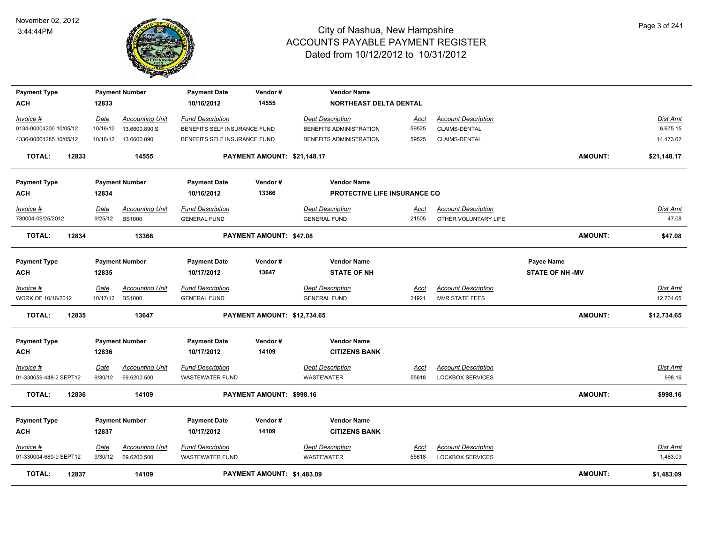

| <b>Payment Type</b>    |             | <b>Payment Number</b>  | <b>Payment Date</b>          | Vendor#                     | <b>Vendor Name</b>            |             |                            |                        |                 |
|------------------------|-------------|------------------------|------------------------------|-----------------------------|-------------------------------|-------------|----------------------------|------------------------|-----------------|
| ACH                    | 12833       |                        | 10/16/2012                   | 14555                       | <b>NORTHEAST DELTA DENTAL</b> |             |                            |                        |                 |
| Invoice #              | Date        | <b>Accounting Unit</b> | <b>Fund Description</b>      |                             | <b>Dept Description</b>       | <u>Acct</u> | <b>Account Description</b> |                        | Dist Amt        |
| 0134-00004200 10/05/12 | 10/16/12    | 13.6600.890.S          | BENEFITS SELF INSURANCE FUND |                             | BENEFITS ADMINISTRATION       | 59525       | <b>CLAIMS-DENTAL</b>       |                        | 6,675.15        |
| 4336-00004285 10/05/12 |             | 10/16/12  13.6600.890  | BENEFITS SELF INSURANCE FUND |                             | BENEFITS ADMINISTRATION       | 59525       | CLAIMS-DENTAL              |                        | 14,473.02       |
| 12833<br><b>TOTAL:</b> |             | 14555                  |                              | PAYMENT AMOUNT: \$21,148.17 |                               |             |                            | <b>AMOUNT:</b>         | \$21,148.17     |
| <b>Payment Type</b>    |             | <b>Payment Number</b>  | <b>Payment Date</b>          | Vendor#                     | <b>Vendor Name</b>            |             |                            |                        |                 |
| ACH                    | 12834       |                        | 10/16/2012                   | 13366                       | PROTECTIVE LIFE INSURANCE CO  |             |                            |                        |                 |
| Invoice #              | Date        | Accounting Unit        | <b>Fund Description</b>      |                             | <b>Dept Description</b>       | <u>Acct</u> | <b>Account Description</b> |                        | Dist Amt        |
| 730004-09/25/2012      | 9/25/12     | <b>BS1000</b>          | <b>GENERAL FUND</b>          |                             | <b>GENERAL FUND</b>           | 21505       | OTHER VOLUNTARY LIFE       |                        | 47.08           |
| <b>TOTAL:</b><br>12834 |             | 13366                  |                              | PAYMENT AMOUNT: \$47.08     |                               |             |                            | <b>AMOUNT:</b>         | \$47.08         |
| <b>Payment Type</b>    |             | <b>Payment Number</b>  | <b>Payment Date</b>          | Vendor#                     | <b>Vendor Name</b>            |             |                            | Payee Name             |                 |
| ACH                    | 12835       |                        | 10/17/2012                   | 13647                       | <b>STATE OF NH</b>            |             |                            | <b>STATE OF NH -MV</b> |                 |
| Invoice #              | Date        | <b>Accounting Unit</b> | <b>Fund Description</b>      |                             | <b>Dept Description</b>       | Acct        | <b>Account Description</b> |                        | Dist Amt        |
| WORK OF 10/16/2012     |             | 10/17/12 BS1000        | <b>GENERAL FUND</b>          |                             | <b>GENERAL FUND</b>           | 21921       | <b>MVR STATE FEES</b>      |                        | 12,734.65       |
| TOTAL:<br>12835        |             | 13647                  |                              | PAYMENT AMOUNT: \$12,734.65 |                               |             |                            | <b>AMOUNT:</b>         | \$12,734.65     |
|                        |             |                        |                              |                             |                               |             |                            |                        |                 |
| <b>Payment Type</b>    |             | <b>Payment Number</b>  | <b>Payment Date</b>          | Vendor#                     | <b>Vendor Name</b>            |             |                            |                        |                 |
| ACH                    | 12836       |                        | 10/17/2012                   | 14109                       | <b>CITIZENS BANK</b>          |             |                            |                        |                 |
| <u>Invoice #</u>       | <b>Date</b> | <b>Accounting Unit</b> | <b>Fund Description</b>      |                             | <b>Dept Description</b>       | <u>Acct</u> | <b>Account Description</b> |                        | <b>Dist Amt</b> |
| 01-330059-448-2 SEPT12 | 9/30/12     | 69.6200.500            | <b>WASTEWATER FUND</b>       |                             | <b>WASTEWATER</b>             | 55618       | <b>LOCKBOX SERVICES</b>    |                        | 998.16          |
| <b>TOTAL:</b><br>12836 |             | 14109                  |                              | PAYMENT AMOUNT: \$998.16    |                               |             |                            | <b>AMOUNT:</b>         | \$998.16        |
| <b>Payment Type</b>    |             | <b>Payment Number</b>  | <b>Payment Date</b>          | Vendor#                     | <b>Vendor Name</b>            |             |                            |                        |                 |
| <b>ACH</b>             | 12837       |                        | 10/17/2012                   | 14109                       | <b>CITIZENS BANK</b>          |             |                            |                        |                 |
| Invoice #              | Date        | <b>Accounting Unit</b> | <b>Fund Description</b>      |                             | <b>Dept Description</b>       | Acct        | <b>Account Description</b> |                        | Dist Amt        |
| 01-330004-680-9 SEPT12 | 9/30/12     | 69.6200.500            | <b>WASTEWATER FUND</b>       |                             | <b>WASTEWATER</b>             | 55618       | <b>LOCKBOX SERVICES</b>    |                        | 1,483.09        |
| TOTAL:<br>12837        |             | 14109                  |                              | PAYMENT AMOUNT: \$1,483.09  |                               |             |                            | AMOUNT:                | \$1,483.09      |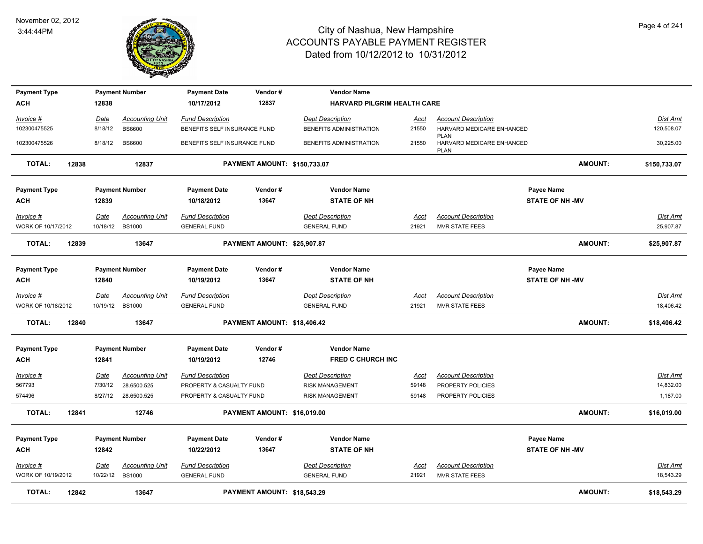

| <b>Payment Type</b>             |       |                  | <b>Payment Number</b>                   | <b>Payment Date</b>                            | Vendor#                      | <b>Vendor Name</b>                             |               |                                                         |                        |                       |
|---------------------------------|-------|------------------|-----------------------------------------|------------------------------------------------|------------------------------|------------------------------------------------|---------------|---------------------------------------------------------|------------------------|-----------------------|
| ACH                             |       | 12838            |                                         | 10/17/2012                                     | 12837                        | <b>HARVARD PILGRIM HEALTH CARE</b>             |               |                                                         |                        |                       |
| Invoice #                       |       | Date             | <b>Accounting Unit</b>                  | <b>Fund Description</b>                        |                              | <b>Dept Description</b>                        | Acct          | <b>Account Description</b>                              |                        | <b>Dist Amt</b>       |
| 102300475525                    |       | 8/18/12          | <b>BS6600</b>                           | BENEFITS SELF INSURANCE FUND                   |                              | BENEFITS ADMINISTRATION                        | 21550         | HARVARD MEDICARE ENHANCED                               |                        | 120,508.07            |
| 102300475526                    |       | 8/18/12          | <b>BS6600</b>                           | BENEFITS SELF INSURANCE FUND                   |                              | BENEFITS ADMINISTRATION                        | 21550         | <b>PLAN</b><br>HARVARD MEDICARE ENHANCED<br><b>PLAN</b> |                        | 30,225.00             |
| <b>TOTAL:</b>                   | 12838 |                  | 12837                                   |                                                | PAYMENT AMOUNT: \$150,733.07 |                                                |               |                                                         | <b>AMOUNT:</b>         | \$150,733.07          |
| <b>Payment Type</b>             |       |                  | <b>Payment Number</b>                   | <b>Payment Date</b>                            | Vendor#                      | <b>Vendor Name</b>                             |               |                                                         | Payee Name             |                       |
| ACH                             |       | 12839            |                                         | 10/18/2012                                     | 13647                        | <b>STATE OF NH</b>                             |               |                                                         | <b>STATE OF NH -MV</b> |                       |
| Invoice #<br>WORK OF 10/17/2012 |       | Date<br>10/18/12 | <b>Accounting Unit</b><br><b>BS1000</b> | <b>Fund Description</b><br><b>GENERAL FUND</b> |                              | <b>Dept Description</b><br><b>GENERAL FUND</b> | Acct<br>21921 | <b>Account Description</b><br><b>MVR STATE FEES</b>     |                        | Dist Amt<br>25,907.87 |
|                                 |       |                  |                                         |                                                |                              |                                                |               |                                                         |                        |                       |
| <b>TOTAL:</b>                   | 12839 |                  | 13647                                   |                                                | PAYMENT AMOUNT: \$25,907.87  |                                                |               |                                                         | AMOUNT:                | \$25,907.87           |
| <b>Payment Type</b>             |       |                  | <b>Payment Number</b>                   | <b>Payment Date</b>                            | Vendor#                      | <b>Vendor Name</b>                             |               |                                                         | Payee Name             |                       |
| <b>ACH</b>                      |       | 12840            |                                         | 10/19/2012                                     | 13647                        | <b>STATE OF NH</b>                             |               |                                                         | <b>STATE OF NH-MV</b>  |                       |
| Invoice #                       |       | Date             | <b>Accounting Unit</b>                  | <b>Fund Description</b>                        |                              | <b>Dept Description</b>                        | Acct          | <b>Account Description</b>                              |                        | <u>Dist Amt</u>       |
| WORK OF 10/18/2012              |       | 10/19/12         | <b>BS1000</b>                           | <b>GENERAL FUND</b>                            |                              | <b>GENERAL FUND</b>                            | 21921         | MVR STATE FEES                                          |                        | 18,406.42             |
| <b>TOTAL:</b>                   | 12840 |                  | 13647                                   |                                                | PAYMENT AMOUNT: \$18,406.42  |                                                |               |                                                         | AMOUNT:                | \$18,406.42           |
| <b>Payment Type</b>             |       |                  | <b>Payment Number</b>                   | <b>Payment Date</b>                            | Vendor#                      | <b>Vendor Name</b>                             |               |                                                         |                        |                       |
| <b>ACH</b>                      |       | 12841            |                                         | 10/19/2012                                     | 12746                        | <b>FRED C CHURCH INC</b>                       |               |                                                         |                        |                       |
| $Invoice$ #                     |       | <u>Date</u>      | <b>Accounting Unit</b>                  | <b>Fund Description</b>                        |                              | <b>Dept Description</b>                        | <u>Acct</u>   | <b>Account Description</b>                              |                        | <b>Dist Amt</b>       |
| 567793                          |       | 7/30/12          | 28.6500.525                             | PROPERTY & CASUALTY FUND                       |                              | <b>RISK MANAGEMENT</b>                         | 59148         | PROPERTY POLICIES                                       |                        | 14,832.00             |
| 574496                          |       | 8/27/12          | 28.6500.525                             | PROPERTY & CASUALTY FUND                       |                              | <b>RISK MANAGEMENT</b>                         | 59148         | PROPERTY POLICIES                                       |                        | 1,187.00              |
| <b>TOTAL:</b>                   | 12841 |                  | 12746                                   |                                                | PAYMENT AMOUNT: \$16,019.00  |                                                |               |                                                         | AMOUNT:                | \$16,019.00           |
| <b>Payment Type</b>             |       |                  | <b>Payment Number</b>                   | <b>Payment Date</b>                            | Vendor#                      | <b>Vendor Name</b>                             |               |                                                         | Payee Name             |                       |
| <b>ACH</b>                      |       | 12842            |                                         | 10/22/2012                                     | 13647                        | <b>STATE OF NH</b>                             |               |                                                         | <b>STATE OF NH -MV</b> |                       |
|                                 |       |                  |                                         |                                                |                              |                                                |               |                                                         |                        |                       |
| Invoice #<br>WORK OF 10/19/2012 |       | Date<br>10/22/12 | <b>Accounting Unit</b><br><b>BS1000</b> | <b>Fund Description</b><br><b>GENERAL FUND</b> |                              | <b>Dept Description</b><br><b>GENERAL FUND</b> | Acct<br>21921 | <b>Account Description</b><br><b>MVR STATE FEES</b>     |                        | Dist Amt<br>18,543.29 |
|                                 |       |                  |                                         |                                                |                              |                                                |               |                                                         |                        |                       |
| <b>TOTAL:</b>                   | 12842 |                  | 13647                                   |                                                | PAYMENT AMOUNT: \$18,543,29  |                                                |               |                                                         | <b>AMOUNT:</b>         | \$18,543.29           |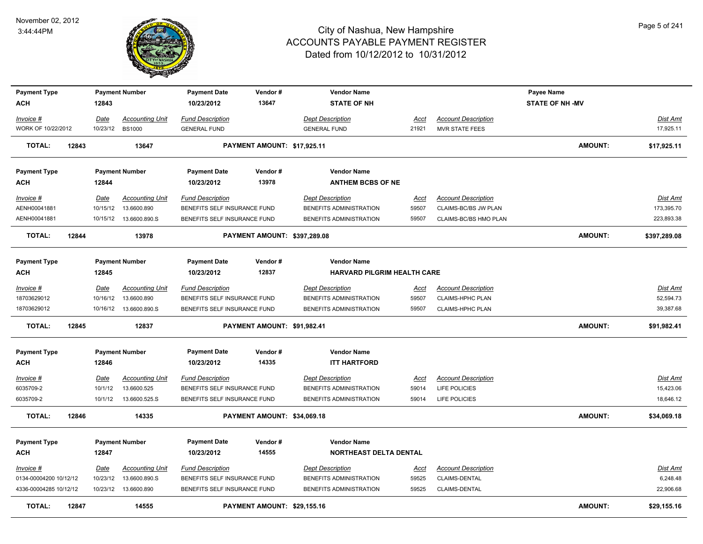

| <b>Payment Type</b>    |       |             | <b>Payment Number</b>   | <b>Payment Date</b>          | Vendor#                      | <b>Vendor Name</b>                 |             |                            | <b>Payee Name</b>      |                 |
|------------------------|-------|-------------|-------------------------|------------------------------|------------------------------|------------------------------------|-------------|----------------------------|------------------------|-----------------|
| <b>ACH</b>             |       | 12843       |                         | 10/23/2012                   | 13647                        | <b>STATE OF NH</b>                 |             |                            | <b>STATE OF NH -MV</b> |                 |
| Invoice #              |       | <b>Date</b> | <b>Accounting Unit</b>  | <b>Fund Description</b>      |                              | <b>Dept Description</b>            | Acct        | <b>Account Description</b> |                        | <b>Dist Amt</b> |
| WORK OF 10/22/2012     |       | 10/23/12    | <b>BS1000</b>           | <b>GENERAL FUND</b>          |                              | <b>GENERAL FUND</b>                | 21921       | MVR STATE FEES             |                        | 17,925.11       |
| <b>TOTAL:</b>          | 12843 |             | 13647                   |                              | PAYMENT AMOUNT: \$17,925.11  |                                    |             |                            | <b>AMOUNT:</b>         | \$17,925.11     |
| <b>Payment Type</b>    |       |             | <b>Payment Number</b>   | <b>Payment Date</b>          | Vendor#                      | <b>Vendor Name</b>                 |             |                            |                        |                 |
| <b>ACH</b>             |       | 12844       |                         | 10/23/2012                   | 13978                        | <b>ANTHEM BCBS OF NE</b>           |             |                            |                        |                 |
| Invoice #              |       | Date        | <b>Accounting Unit</b>  | <b>Fund Description</b>      |                              | <b>Dept Description</b>            | Acct        | <b>Account Description</b> |                        | <b>Dist Amt</b> |
| AENH00041881           |       | 10/15/12    | 13.6600.890             | BENEFITS SELF INSURANCE FUND |                              | BENEFITS ADMINISTRATION            | 59507       | CLAIMS-BC/BS JW PLAN       |                        | 173,395.70      |
| AENH00041881           |       |             | 10/15/12  13.6600.890.S | BENEFITS SELF INSURANCE FUND |                              | BENEFITS ADMINISTRATION            | 59507       | CLAIMS-BC/BS HMO PLAN      |                        | 223,893.38      |
| <b>TOTAL:</b>          | 12844 |             | 13978                   |                              | PAYMENT AMOUNT: \$397,289.08 |                                    |             |                            | <b>AMOUNT:</b>         | \$397,289.08    |
| <b>Payment Type</b>    |       |             | <b>Payment Number</b>   | <b>Payment Date</b>          | Vendor#                      | <b>Vendor Name</b>                 |             |                            |                        |                 |
| ACH                    |       | 12845       |                         | 10/23/2012                   | 12837                        | <b>HARVARD PILGRIM HEALTH CARE</b> |             |                            |                        |                 |
| Invoice #              |       | <u>Date</u> | <b>Accounting Unit</b>  | <b>Fund Description</b>      |                              | <b>Dept Description</b>            | Acct        | <b>Account Description</b> |                        | Dist Amt        |
| 18703629012            |       | 10/16/12    | 13.6600.890             | BENEFITS SELF INSURANCE FUND |                              | BENEFITS ADMINISTRATION            | 59507       | CLAIMS-HPHC PLAN           |                        | 52,594.73       |
| 18703629012            |       |             | 10/16/12  13.6600.890.S | BENEFITS SELF INSURANCE FUND |                              | BENEFITS ADMINISTRATION            | 59507       | <b>CLAIMS-HPHC PLAN</b>    |                        | 39,387.68       |
| <b>TOTAL:</b>          | 12845 |             | 12837                   |                              | PAYMENT AMOUNT: \$91,982.41  |                                    |             |                            | <b>AMOUNT:</b>         | \$91,982.41     |
| <b>Payment Type</b>    |       |             | <b>Payment Number</b>   | <b>Payment Date</b>          | Vendor#                      | <b>Vendor Name</b>                 |             |                            |                        |                 |
| <b>ACH</b>             |       | 12846       |                         | 10/23/2012                   | 14335                        | <b>ITT HARTFORD</b>                |             |                            |                        |                 |
| Invoice #              |       | <u>Date</u> | <b>Accounting Unit</b>  | <b>Fund Description</b>      |                              | <b>Dept Description</b>            | <u>Acct</u> | <b>Account Description</b> |                        | <b>Dist Amt</b> |
| 6035709-2              |       | 10/1/12     | 13.6600.525             | BENEFITS SELF INSURANCE FUND |                              | BENEFITS ADMINISTRATION            | 59014       | LIFE POLICIES              |                        | 15,423.06       |
| 6035709-2              |       | 10/1/12     | 13.6600.525.S           | BENEFITS SELF INSURANCE FUND |                              | BENEFITS ADMINISTRATION            | 59014       | LIFE POLICIES              |                        | 18,646.12       |
| <b>TOTAL:</b>          | 12846 |             | 14335                   |                              | PAYMENT AMOUNT: \$34,069.18  |                                    |             |                            | <b>AMOUNT:</b>         | \$34,069.18     |
| <b>Payment Type</b>    |       |             | <b>Payment Number</b>   | <b>Payment Date</b>          | Vendor#                      | <b>Vendor Name</b>                 |             |                            |                        |                 |
| ACH                    |       | 12847       |                         | 10/23/2012                   | 14555                        | <b>NORTHEAST DELTA DENTAL</b>      |             |                            |                        |                 |
| $Invoice$ #            |       | <u>Date</u> | <b>Accounting Unit</b>  | <b>Fund Description</b>      |                              | <b>Dept Description</b>            | <u>Acct</u> | <b>Account Description</b> |                        | <u>Dist Amt</u> |
| 0134-00004200 10/12/12 |       | 10/23/12    | 13.6600.890.S           | BENEFITS SELF INSURANCE FUND |                              | BENEFITS ADMINISTRATION            | 59525       | CLAIMS-DENTAL              |                        | 6,248.48        |
| 4336-00004285 10/12/12 |       |             | 10/23/12  13.6600.890   | BENEFITS SELF INSURANCE FUND |                              | BENEFITS ADMINISTRATION            | 59525       | CLAIMS-DENTAL              |                        | 22,906.68       |
| <b>TOTAL:</b>          | 12847 |             | 14555                   |                              | PAYMENT AMOUNT: \$29,155.16  |                                    |             |                            | <b>AMOUNT:</b>         | \$29,155.16     |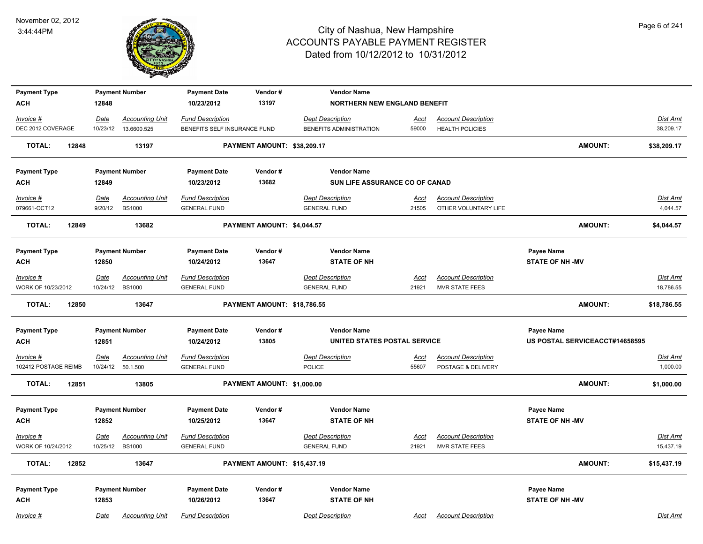

| <b>Payment Type</b>               | <b>Payment Number</b>                                       | <b>Payment Date</b>                            | Vendor#                     | <b>Vendor Name</b>                             |                      |                                                     |                                |                       |
|-----------------------------------|-------------------------------------------------------------|------------------------------------------------|-----------------------------|------------------------------------------------|----------------------|-----------------------------------------------------|--------------------------------|-----------------------|
| <b>ACH</b>                        | 12848                                                       | 10/23/2012                                     | 13197                       | <b>NORTHERN NEW ENGLAND BENEFIT</b>            |                      |                                                     |                                |                       |
| Invoice #                         | <b>Accounting Unit</b><br>Date                              | <b>Fund Description</b>                        |                             | <b>Dept Description</b>                        | Acct                 | <b>Account Description</b>                          |                                | Dist Amt              |
| DEC 2012 COVERAGE                 | 10/23/12<br>13.6600.525                                     | BENEFITS SELF INSURANCE FUND                   |                             | BENEFITS ADMINISTRATION                        | 59000                | <b>HEALTH POLICIES</b>                              |                                | 38,209.17             |
| <b>TOTAL:</b><br>12848            | 13197                                                       |                                                | PAYMENT AMOUNT: \$38,209.17 |                                                |                      |                                                     | <b>AMOUNT:</b>                 | \$38,209.17           |
| <b>Payment Type</b>               | <b>Payment Number</b>                                       | <b>Payment Date</b>                            | Vendor#                     | <b>Vendor Name</b>                             |                      |                                                     |                                |                       |
| <b>ACH</b>                        | 12849                                                       | 10/23/2012                                     | 13682                       | SUN LIFE ASSURANCE CO OF CANAD                 |                      |                                                     |                                |                       |
| Invoice #                         | Date<br><b>Accounting Unit</b>                              | <b>Fund Description</b>                        |                             | <b>Dept Description</b>                        | Acct                 | <b>Account Description</b>                          |                                | Dist Amt              |
| 079661-OCT12                      | <b>BS1000</b><br>9/20/12                                    | <b>GENERAL FUND</b>                            |                             | <b>GENERAL FUND</b>                            | 21505                | OTHER VOLUNTARY LIFE                                |                                | 4,044.57              |
| <b>TOTAL:</b><br>12849            | 13682                                                       |                                                | PAYMENT AMOUNT: \$4,044.57  |                                                |                      |                                                     | <b>AMOUNT:</b>                 | \$4,044.57            |
| <b>Payment Type</b>               | <b>Payment Number</b>                                       | <b>Payment Date</b>                            | Vendor#                     | <b>Vendor Name</b>                             |                      |                                                     | Payee Name                     |                       |
| <b>ACH</b>                        | 12850                                                       | 10/24/2012                                     | 13647                       | <b>STATE OF NH</b>                             |                      |                                                     | <b>STATE OF NH -MV</b>         |                       |
| $Invoice$ #                       | <b>Date</b><br><b>Accounting Unit</b>                       | <b>Fund Description</b>                        |                             | <b>Dept Description</b>                        | Acct                 | <b>Account Description</b>                          |                                | Dist Amt              |
| WORK OF 10/23/2012                | 10/24/12<br><b>BS1000</b>                                   | <b>GENERAL FUND</b>                            |                             | <b>GENERAL FUND</b>                            | 21921                | <b>MVR STATE FEES</b>                               |                                | 18,786.55             |
| <b>TOTAL:</b><br>12850            | 13647                                                       |                                                | PAYMENT AMOUNT: \$18,786.55 |                                                |                      |                                                     | <b>AMOUNT:</b>                 | \$18,786.55           |
| <b>Payment Type</b>               | <b>Payment Number</b>                                       | <b>Payment Date</b>                            | Vendor#                     | <b>Vendor Name</b>                             |                      |                                                     | Payee Name                     |                       |
| <b>ACH</b>                        | 12851                                                       | 10/24/2012                                     | 13805                       | UNITED STATES POSTAL SERVICE                   |                      |                                                     | US POSTAL SERVICEACCT#14658595 |                       |
| Invoice #                         | <b>Accounting Unit</b><br><u>Date</u>                       | <b>Fund Description</b>                        |                             | <b>Dept Description</b>                        | <u>Acct</u>          | <b>Account Description</b>                          |                                | Dist Amt              |
| 102412 POSTAGE REIMB              | 10/24/12<br>50.1.500                                        | <b>GENERAL FUND</b>                            |                             | <b>POLICE</b>                                  | 55607                | POSTAGE & DELIVERY                                  |                                | 1,000.00              |
| <b>TOTAL:</b><br>12851            | 13805                                                       |                                                | PAYMENT AMOUNT: \$1,000.00  |                                                |                      |                                                     | <b>AMOUNT:</b>                 | \$1,000.00            |
|                                   | <b>Payment Number</b>                                       | <b>Payment Date</b>                            | Vendor#                     | <b>Vendor Name</b>                             |                      |                                                     | Payee Name                     |                       |
| <b>Payment Type</b><br><b>ACH</b> | 12852                                                       | 10/25/2012                                     | 13647                       | <b>STATE OF NH</b>                             |                      |                                                     | <b>STATE OF NH-MV</b>          |                       |
|                                   |                                                             |                                                |                             |                                                |                      |                                                     |                                |                       |
| $Invoice$ #<br>WORK OF 10/24/2012 | Date<br><b>Accounting Unit</b><br>10/25/12<br><b>BS1000</b> | <b>Fund Description</b><br><b>GENERAL FUND</b> |                             | <b>Dept Description</b><br><b>GENERAL FUND</b> | <u>Acct</u><br>21921 | <b>Account Description</b><br><b>MVR STATE FEES</b> |                                | Dist Amt<br>15,437.19 |
| <b>TOTAL:</b><br>12852            | 13647                                                       |                                                | PAYMENT AMOUNT: \$15,437.19 |                                                |                      |                                                     | AMOUNT:                        | \$15,437.19           |
|                                   |                                                             |                                                |                             |                                                |                      |                                                     |                                |                       |
| <b>Payment Type</b>               | <b>Payment Number</b>                                       | <b>Payment Date</b>                            | Vendor#                     | <b>Vendor Name</b>                             |                      |                                                     | Payee Name                     |                       |
| <b>ACH</b>                        | 12853                                                       | 10/26/2012                                     | 13647                       | <b>STATE OF NH</b>                             |                      |                                                     | <b>STATE OF NH-MV</b>          |                       |
| Invoice #                         | Date<br><b>Accounting Unit</b>                              | <b>Fund Description</b>                        |                             | <b>Dept Description</b>                        | Acct                 | <b>Account Description</b>                          |                                | Dist Amt              |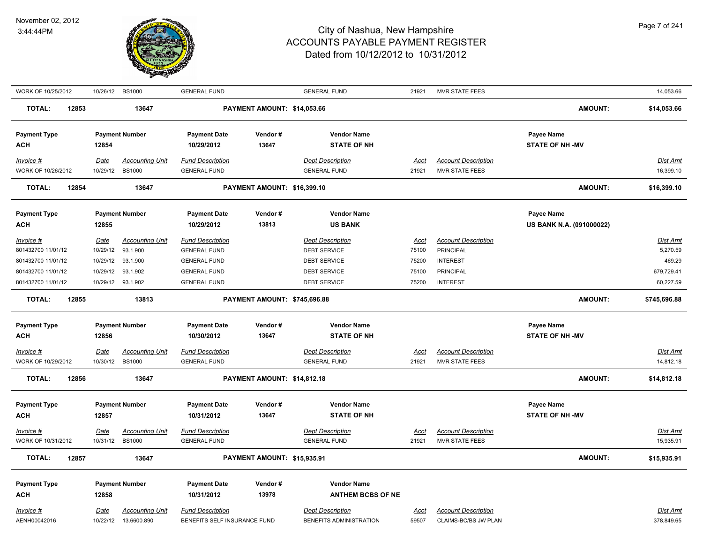

| WORK OF 10/25/2012              |                  | 10/26/12 BS1000        | <b>GENERAL FUND</b>                            |                              | <b>GENERAL FUND</b>      | 21921       | <b>MVR STATE FEES</b>      |                          | 14,053.66       |
|---------------------------------|------------------|------------------------|------------------------------------------------|------------------------------|--------------------------|-------------|----------------------------|--------------------------|-----------------|
| <b>TOTAL:</b><br>12853          |                  | 13647                  |                                                | PAYMENT AMOUNT: \$14,053.66  |                          |             |                            | <b>AMOUNT:</b>           | \$14,053.66     |
| <b>Payment Type</b>             |                  | <b>Payment Number</b>  | <b>Payment Date</b>                            | Vendor#                      | <b>Vendor Name</b>       |             |                            | Payee Name               |                 |
| <b>ACH</b>                      | 12854            |                        | 10/29/2012                                     | 13647                        | <b>STATE OF NH</b>       |             |                            | <b>STATE OF NH -MV</b>   |                 |
| Invoice #                       | Date             | <b>Accounting Unit</b> | <b>Fund Description</b>                        |                              | <b>Dept Description</b>  | Acct        | <b>Account Description</b> |                          | Dist Amt        |
| WORK OF 10/26/2012              | 10/29/12         | <b>BS1000</b>          | <b>GENERAL FUND</b>                            |                              | <b>GENERAL FUND</b>      | 21921       | <b>MVR STATE FEES</b>      |                          | 16,399.10       |
| <b>TOTAL:</b><br>12854          |                  | 13647                  |                                                | PAYMENT AMOUNT: \$16,399.10  |                          |             |                            | AMOUNT:                  | \$16,399.10     |
| <b>Payment Type</b>             |                  | <b>Payment Number</b>  | <b>Payment Date</b>                            | Vendor#                      | <b>Vendor Name</b>       |             |                            | Payee Name               |                 |
| <b>ACH</b>                      | 12855            |                        | 10/29/2012                                     | 13813                        | <b>US BANK</b>           |             |                            | US BANK N.A. (091000022) |                 |
|                                 |                  | <b>Accounting Unit</b> |                                                |                              | <b>Dept Description</b>  | Acct        | <b>Account Description</b> |                          | Dist Amt        |
| Invoice #<br>801432700 11/01/12 | Date<br>10/29/12 | 93.1.900               | <b>Fund Description</b><br><b>GENERAL FUND</b> |                              | <b>DEBT SERVICE</b>      | 75100       | <b>PRINCIPAL</b>           |                          | 5,270.59        |
| 801432700 11/01/12              | 10/29/12         | 93.1.900               | <b>GENERAL FUND</b>                            |                              | <b>DEBT SERVICE</b>      | 75200       | <b>INTEREST</b>            |                          | 469.29          |
| 801432700 11/01/12              | 10/29/12         | 93.1.902               | <b>GENERAL FUND</b>                            |                              | <b>DEBT SERVICE</b>      | 75100       | <b>PRINCIPAL</b>           |                          | 679,729.41      |
| 801432700 11/01/12              | 10/29/12         | 93.1.902               | <b>GENERAL FUND</b>                            |                              | <b>DEBT SERVICE</b>      | 75200       | <b>INTEREST</b>            |                          | 60,227.59       |
| <b>TOTAL:</b><br>12855          |                  | 13813                  |                                                | PAYMENT AMOUNT: \$745,696.88 |                          |             |                            | <b>AMOUNT:</b>           | \$745,696.88    |
| <b>Payment Type</b>             |                  | <b>Payment Number</b>  | <b>Payment Date</b>                            | Vendor#                      | <b>Vendor Name</b>       |             |                            | Payee Name               |                 |
| <b>ACH</b>                      | 12856            |                        | 10/30/2012                                     | 13647                        | <b>STATE OF NH</b>       |             |                            | <b>STATE OF NH -MV</b>   |                 |
| Invoice #                       | Date             | <b>Accounting Unit</b> | <b>Fund Description</b>                        |                              | <b>Dept Description</b>  | <u>Acct</u> | <b>Account Description</b> |                          | <b>Dist Amt</b> |
| WORK OF 10/29/2012              | 10/30/12         | <b>BS1000</b>          | <b>GENERAL FUND</b>                            |                              | <b>GENERAL FUND</b>      | 21921       | <b>MVR STATE FEES</b>      |                          | 14,812.18       |
| <b>TOTAL:</b><br>12856          |                  | 13647                  |                                                | PAYMENT AMOUNT: \$14,812.18  |                          |             |                            | <b>AMOUNT:</b>           | \$14,812.18     |
|                                 |                  |                        |                                                |                              |                          |             |                            |                          |                 |
| <b>Payment Type</b>             |                  | <b>Payment Number</b>  | <b>Payment Date</b>                            | Vendor#<br>13647             | <b>Vendor Name</b>       |             |                            | Payee Name               |                 |
| <b>ACH</b>                      | 12857            |                        | 10/31/2012                                     |                              | <b>STATE OF NH</b>       |             |                            | <b>STATE OF NH -MV</b>   |                 |
| Invoice #                       | Date             | <b>Accounting Unit</b> | <b>Fund Description</b>                        |                              | <b>Dept Description</b>  | <b>Acct</b> | <b>Account Description</b> |                          | <b>Dist Amt</b> |
| WORK OF 10/31/2012              | 10/31/12         | <b>BS1000</b>          | <b>GENERAL FUND</b>                            |                              | <b>GENERAL FUND</b>      | 21921       | <b>MVR STATE FEES</b>      |                          | 15,935.91       |
| <b>TOTAL:</b><br>12857          |                  | 13647                  |                                                | PAYMENT AMOUNT: \$15,935.91  |                          |             |                            | <b>AMOUNT:</b>           | \$15,935.91     |
| <b>Payment Type</b>             |                  | <b>Payment Number</b>  | <b>Payment Date</b>                            | Vendor#                      | <b>Vendor Name</b>       |             |                            |                          |                 |
| <b>ACH</b>                      | 12858            |                        | 10/31/2012                                     | 13978                        | <b>ANTHEM BCBS OF NE</b> |             |                            |                          |                 |
| Invoice #                       | <b>Date</b>      | <b>Accounting Unit</b> | <b>Fund Description</b>                        |                              | <b>Dept Description</b>  | <u>Acct</u> | <b>Account Description</b> |                          | <b>Dist Amt</b> |
| AENH00042016                    | 10/22/12         | 13.6600.890            | BENEFITS SELF INSURANCE FUND                   |                              | BENEFITS ADMINISTRATION  | 59507       | CLAIMS-BC/BS JW PLAN       |                          | 378,849.65      |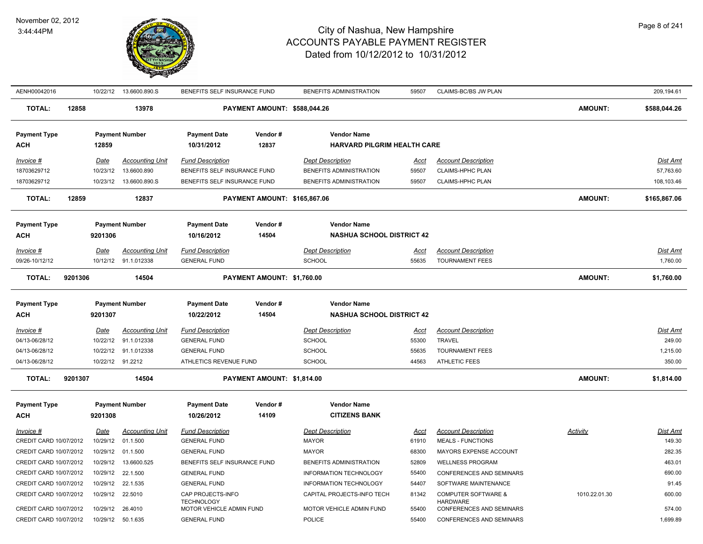

| AENH00042016           |         |             | 10/22/12  13.6600.890.S | BENEFITS SELF INSURANCE FUND           |                                     | BENEFITS ADMINISTRATION            | 59507       | CLAIMS-BC/BS JW PLAN                              |                | 209,194.61      |
|------------------------|---------|-------------|-------------------------|----------------------------------------|-------------------------------------|------------------------------------|-------------|---------------------------------------------------|----------------|-----------------|
| <b>TOTAL:</b>          | 12858   |             | 13978                   |                                        | PAYMENT AMOUNT: \$588,044.26        |                                    |             |                                                   | AMOUNT:        | \$588,044.26    |
| <b>Payment Type</b>    |         |             | <b>Payment Number</b>   | <b>Payment Date</b>                    | Vendor#                             | <b>Vendor Name</b>                 |             |                                                   |                |                 |
| ACH                    |         | 12859       |                         | 10/31/2012                             | 12837                               | <b>HARVARD PILGRIM HEALTH CARE</b> |             |                                                   |                |                 |
| Invoice #              |         | Date        | <b>Accounting Unit</b>  | <b>Fund Description</b>                |                                     | <b>Dept Description</b>            | <u>Acct</u> | <b>Account Description</b>                        |                | Dist Amt        |
| 18703629712            |         | 10/23/12    | 13.6600.890             | BENEFITS SELF INSURANCE FUND           |                                     | BENEFITS ADMINISTRATION            | 59507       | <b>CLAIMS-HPHC PLAN</b>                           |                | 57,763.60       |
| 18703629712            |         | 10/23/12    | 13.6600.890.S           | BENEFITS SELF INSURANCE FUND           |                                     | BENEFITS ADMINISTRATION            | 59507       | <b>CLAIMS-HPHC PLAN</b>                           |                | 108.103.46      |
| <b>TOTAL:</b>          | 12859   |             | 12837                   |                                        | <b>PAYMENT AMOUNT: \$165,867.06</b> |                                    |             |                                                   | <b>AMOUNT:</b> | \$165,867.06    |
| <b>Payment Type</b>    |         |             | <b>Payment Number</b>   | <b>Payment Date</b>                    | Vendor#                             | <b>Vendor Name</b>                 |             |                                                   |                |                 |
| <b>ACH</b>             |         | 9201306     |                         | 10/16/2012                             | 14504                               | <b>NASHUA SCHOOL DISTRICT 42</b>   |             |                                                   |                |                 |
| Invoice #              |         | Date        | <b>Accounting Unit</b>  | <b>Fund Description</b>                |                                     | <b>Dept Description</b>            | Acct        | <b>Account Description</b>                        |                | Dist Amt        |
| 09/26-10/12/12         |         | 10/12/12    | 91.1.012338             | <b>GENERAL FUND</b>                    |                                     | <b>SCHOOL</b>                      | 55635       | <b>TOURNAMENT FEES</b>                            |                | 1,760.00        |
| <b>TOTAL:</b>          | 9201306 |             | 14504                   |                                        | PAYMENT AMOUNT: \$1,760.00          |                                    |             |                                                   | <b>AMOUNT:</b> | \$1,760.00      |
| <b>Payment Type</b>    |         |             | <b>Payment Number</b>   | <b>Payment Date</b>                    | Vendor#                             | <b>Vendor Name</b>                 |             |                                                   |                |                 |
| <b>ACH</b>             |         | 9201307     |                         | 10/22/2012                             | 14504                               | <b>NASHUA SCHOOL DISTRICT 42</b>   |             |                                                   |                |                 |
| $Invoice$ #            |         | <u>Date</u> | <b>Accounting Unit</b>  | <b>Fund Description</b>                |                                     | <b>Dept Description</b>            | <u>Acct</u> | <b>Account Description</b>                        |                | <b>Dist Amt</b> |
| 04/13-06/28/12         |         | 10/22/12    | 91.1.012338             | <b>GENERAL FUND</b>                    |                                     | <b>SCHOOL</b>                      | 55300       | <b>TRAVEL</b>                                     |                | 249.00          |
| 04/13-06/28/12         |         |             | 10/22/12 91.1.012338    | <b>GENERAL FUND</b>                    |                                     | <b>SCHOOL</b>                      | 55635       | <b>TOURNAMENT FEES</b>                            |                | 1,215.00        |
| 04/13-06/28/12         |         |             | 10/22/12 91.2212        | ATHLETICS REVENUE FUND                 |                                     | <b>SCHOOL</b>                      | 44563       | <b>ATHLETIC FEES</b>                              |                | 350.00          |
| <b>TOTAL:</b>          | 9201307 |             | 14504                   |                                        | PAYMENT AMOUNT: \$1,814.00          |                                    |             |                                                   | <b>AMOUNT:</b> | \$1,814.00      |
| <b>Payment Type</b>    |         |             | <b>Payment Number</b>   | <b>Payment Date</b>                    | Vendor#                             | <b>Vendor Name</b>                 |             |                                                   |                |                 |
| <b>ACH</b>             |         | 9201308     |                         | 10/26/2012                             | 14109                               | <b>CITIZENS BANK</b>               |             |                                                   |                |                 |
| Invoice #              |         | Date        | <b>Accounting Unit</b>  | <b>Fund Description</b>                |                                     | <b>Dept Description</b>            | Acct        | <b>Account Description</b>                        | Activity       | Dist Amt        |
| CREDIT CARD 10/07/2012 |         | 10/29/12    | 01.1.500                | <b>GENERAL FUND</b>                    |                                     | <b>MAYOR</b>                       | 61910       | <b>MEALS - FUNCTIONS</b>                          |                | 149.30          |
| CREDIT CARD 10/07/2012 |         | 10/29/12    | 01.1.500                | <b>GENERAL FUND</b>                    |                                     | <b>MAYOR</b>                       | 68300       | MAYORS EXPENSE ACCOUNT                            |                | 282.35          |
| CREDIT CARD 10/07/2012 |         | 10/29/12    | 13.6600.525             | BENEFITS SELF INSURANCE FUND           |                                     | BENEFITS ADMINISTRATION            | 52809       | <b>WELLNESS PROGRAM</b>                           |                | 463.01          |
| CREDIT CARD 10/07/2012 |         | 10/29/12    | 22.1.500                | <b>GENERAL FUND</b>                    |                                     | INFORMATION TECHNOLOGY             | 55400       | CONFERENCES AND SEMINARS                          |                | 690.00          |
| CREDIT CARD 10/07/2012 |         | 10/29/12    | 22.1.535                | <b>GENERAL FUND</b>                    |                                     | INFORMATION TECHNOLOGY             | 54407       | SOFTWARE MAINTENANCE                              |                | 91.45           |
| CREDIT CARD 10/07/2012 |         | 10/29/12    | 22.5010                 | CAP PROJECTS-INFO<br><b>TECHNOLOGY</b> |                                     | CAPITAL PROJECTS-INFO TECH         | 81342       | <b>COMPUTER SOFTWARE &amp;</b><br><b>HARDWARE</b> | 1010.22.01.30  | 600.00          |
| CREDIT CARD 10/07/2012 |         | 10/29/12    | 26.4010                 | MOTOR VEHICLE ADMIN FUND               |                                     | MOTOR VEHICLE ADMIN FUND           | 55400       | CONFERENCES AND SEMINARS                          |                | 574.00          |
| CREDIT CARD 10/07/2012 |         | 10/29/12    | 50.1.635                | <b>GENERAL FUND</b>                    |                                     | <b>POLICE</b>                      | 55400       | CONFERENCES AND SEMINARS                          |                | 1,699.89        |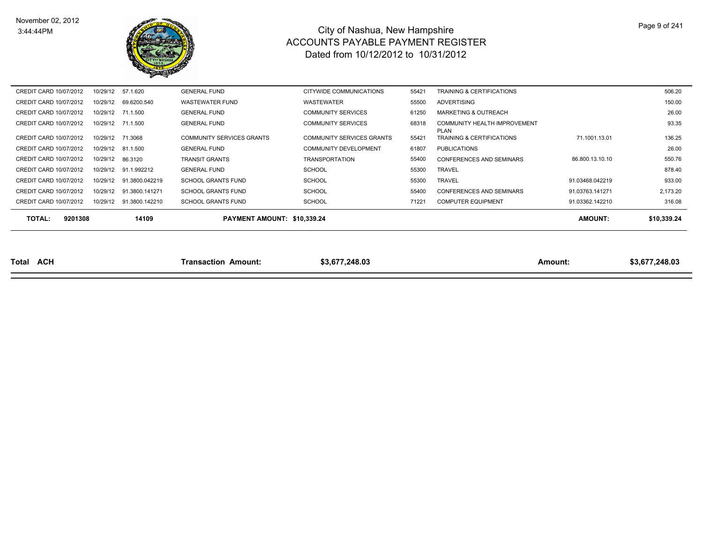

| <b>TOTAL:</b><br>9201308 |          | 14109          | PAYMENT AMOUNT: \$10,339,24      |                                  |       |                                          | <b>AMOUNT:</b>  | \$10.339.24 |
|--------------------------|----------|----------------|----------------------------------|----------------------------------|-------|------------------------------------------|-----------------|-------------|
| CREDIT CARD 10/07/2012   | 10/29/12 | 91.3800.142210 | <b>SCHOOL GRANTS FUND</b>        | <b>SCHOOL</b>                    | 71221 | <b>COMPUTER EQUIPMENT</b>                | 91.03362.142210 | 316.08      |
| CREDIT CARD 10/07/2012   | 10/29/12 | 91.3800.141271 | <b>SCHOOL GRANTS FUND</b>        | <b>SCHOOL</b>                    | 55400 | CONFERENCES AND SEMINARS                 | 91.03763.141271 | 2,173.20    |
| CREDIT CARD 10/07/2012   | 10/29/12 | 91.3800.042219 | <b>SCHOOL GRANTS FUND</b>        | <b>SCHOOL</b>                    | 55300 | <b>TRAVEL</b>                            | 91.03468.042219 | 933.00      |
| CREDIT CARD 10/07/2012   | 10/29/12 | 91.1.992212    | <b>GENERAL FUND</b>              | <b>SCHOOL</b>                    | 55300 | <b>TRAVEL</b>                            |                 | 878.40      |
| CREDIT CARD 10/07/2012   | 10/29/12 | 86.3120        | <b>TRANSIT GRANTS</b>            | <b>TRANSPORTATION</b>            | 55400 | <b>CONFERENCES AND SEMINARS</b>          | 86.800.13.10.10 | 550.76      |
| CREDIT CARD 10/07/2012   | 10/29/12 | 81.1.500       | <b>GENERAL FUND</b>              | <b>COMMUNITY DEVELOPMENT</b>     | 61807 | <b>PUBLICATIONS</b>                      |                 | 26.00       |
| CREDIT CARD 10/07/2012   | 10/29/12 | 71.3068        | <b>COMMUNITY SERVICES GRANTS</b> | <b>COMMUNITY SERVICES GRANTS</b> | 55421 | <b>PLAN</b><br>TRAINING & CERTIFICATIONS | 71.1001.13.01   | 136.25      |
| CREDIT CARD 10/07/2012   | 10/29/12 | 71.1.500       | <b>GENERAL FUND</b>              | <b>COMMUNITY SERVICES</b>        | 68318 | COMMUNITY HEALTH IMPROVEMENT             |                 | 93.35       |
| CREDIT CARD 10/07/2012   | 10/29/12 | 71.1.500       | <b>GENERAL FUND</b>              | <b>COMMUNITY SERVICES</b>        | 61250 | <b>MARKETING &amp; OUTREACH</b>          |                 | 26.00       |
| CREDIT CARD 10/07/2012   | 10/29/12 | 69.6200.540    | <b>WASTEWATER FUND</b>           | WASTEWATER                       | 55500 | <b>ADVERTISING</b>                       |                 | 150.00      |
| CREDIT CARD 10/07/2012   | 10/29/12 | 57.1.620       | <b>GENERAL FUND</b>              | CITYWIDE COMMUNICATIONS          | 55421 | <b>TRAINING &amp; CERTIFICATIONS</b>     |                 | 506.20      |

| Total | <b>ACH</b> | Amount:<br><b>ransaction</b> | . 248.03<br>ם כם | Amount. | 248.03<br>ח ה |
|-------|------------|------------------------------|------------------|---------|---------------|
|-------|------------|------------------------------|------------------|---------|---------------|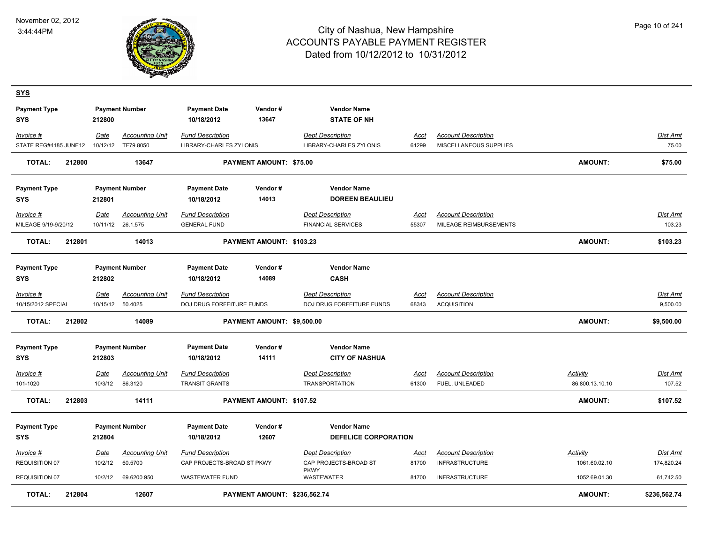

| <b>SYS</b>                        |        |         |                        |                                   |                                |                                          |             |                            |                 |                 |
|-----------------------------------|--------|---------|------------------------|-----------------------------------|--------------------------------|------------------------------------------|-------------|----------------------------|-----------------|-----------------|
| <b>Payment Type</b><br><b>SYS</b> |        | 212800  | <b>Payment Number</b>  | <b>Payment Date</b><br>10/18/2012 | Vendor#<br>13647               | <b>Vendor Name</b><br><b>STATE OF NH</b> |             |                            |                 |                 |
| Invoice #                         |        | Date    | <b>Accounting Unit</b> | <b>Fund Description</b>           |                                | <b>Dept Description</b>                  | <u>Acct</u> | <b>Account Description</b> |                 | Dist Amt        |
| STATE REG#4185 JUNE12             |        |         | 10/12/12 TF79.8050     | <b>LIBRARY-CHARLES ZYLONIS</b>    |                                | LIBRARY-CHARLES ZYLONIS                  | 61299       | MISCELLANEOUS SUPPLIES     |                 | 75.00           |
| <b>TOTAL:</b>                     | 212800 |         | 13647                  |                                   | <b>PAYMENT AMOUNT: \$75.00</b> |                                          |             |                            | <b>AMOUNT:</b>  | \$75.00         |
| <b>Payment Type</b>               |        |         | <b>Payment Number</b>  | <b>Payment Date</b>               | Vendor#                        | <b>Vendor Name</b>                       |             |                            |                 |                 |
| <b>SYS</b>                        |        | 212801  |                        | 10/18/2012                        | 14013                          | <b>DOREEN BEAULIEU</b>                   |             |                            |                 |                 |
| Invoice #                         |        | Date    | <b>Accounting Unit</b> | <b>Fund Description</b>           |                                | <b>Dept Description</b>                  | Acct        | <b>Account Description</b> |                 | Dist Amt        |
| MILEAGE 9/19-9/20/12              |        |         | 10/11/12 26.1.575      | <b>GENERAL FUND</b>               |                                | <b>FINANCIAL SERVICES</b>                | 55307       | MILEAGE REIMBURSEMENTS     |                 | 103.23          |
| <b>TOTAL:</b>                     | 212801 |         | 14013                  |                                   | PAYMENT AMOUNT: \$103.23       |                                          |             |                            | <b>AMOUNT:</b>  | \$103.23        |
| <b>Payment Type</b><br>SYS        |        | 212802  | <b>Payment Number</b>  | <b>Payment Date</b><br>10/18/2012 | Vendor#<br>14089               | <b>Vendor Name</b><br><b>CASH</b>        |             |                            |                 |                 |
| Invoice #                         |        | Date    | <b>Accounting Unit</b> | <b>Fund Description</b>           |                                | <b>Dept Description</b>                  | Acct        | <b>Account Description</b> |                 | Dist Amt        |
| 10/15/2012 SPECIAL                |        |         | 10/15/12 50.4025       | DOJ DRUG FORFEITURE FUNDS         |                                | DOJ DRUG FORFEITURE FUNDS                | 68343       | <b>ACQUISITION</b>         |                 | 9,500.00        |
| <b>TOTAL:</b>                     | 212802 |         | 14089                  |                                   | PAYMENT AMOUNT: \$9,500.00     |                                          |             |                            | <b>AMOUNT:</b>  | \$9,500.00      |
| <b>Payment Type</b>               |        |         | <b>Payment Number</b>  | <b>Payment Date</b>               | Vendor#                        | <b>Vendor Name</b>                       |             |                            |                 |                 |
| <b>SYS</b>                        |        | 212803  |                        | 10/18/2012                        | 14111                          | <b>CITY OF NASHUA</b>                    |             |                            |                 |                 |
| Invoice #                         |        | Date    | <b>Accounting Unit</b> | <b>Fund Description</b>           |                                | <b>Dept Description</b>                  | Acct        | <b>Account Description</b> | <b>Activity</b> | <u>Dist Ami</u> |
| 101-1020                          |        | 10/3/12 | 86.3120                | <b>TRANSIT GRANTS</b>             |                                | <b>TRANSPORTATION</b>                    | 61300       | FUEL, UNLEADED             | 86.800.13.10.10 | 107.52          |
| <b>TOTAL:</b>                     | 212803 |         | 14111                  |                                   | PAYMENT AMOUNT: \$107.52       |                                          |             |                            | <b>AMOUNT:</b>  | \$107.52        |
| <b>Payment Type</b>               |        |         | <b>Payment Number</b>  | <b>Payment Date</b>               | Vendor#                        | <b>Vendor Name</b>                       |             |                            |                 |                 |
| <b>SYS</b>                        |        | 212804  |                        | 10/18/2012                        | 12607                          | <b>DEFELICE CORPORATION</b>              |             |                            |                 |                 |
| Invoice #                         |        | Date    | <b>Accounting Unit</b> | <b>Fund Description</b>           |                                | <b>Dept Description</b>                  | <u>Acct</u> | <b>Account Description</b> | <b>Activity</b> | <u>Dist Amt</u> |
| REQUISITION 07                    |        | 10/2/12 | 60.5700                | CAP PROJECTS-BROAD ST PKWY        |                                | CAP PROJECTS-BROAD ST<br><b>PKWY</b>     | 81700       | <b>INFRASTRUCTURE</b>      | 1061.60.02.10   | 174,820.24      |
| REQUISITION 07                    |        | 10/2/12 | 69.6200.950            | <b>WASTEWATER FUND</b>            |                                | WASTEWATER                               | 81700       | <b>INFRASTRUCTURE</b>      | 1052.69.01.30   | 61,742.50       |
| <b>TOTAL:</b>                     | 212804 |         | 12607                  |                                   | PAYMENT AMOUNT: \$236,562.74   |                                          |             |                            | <b>AMOUNT:</b>  | \$236,562.74    |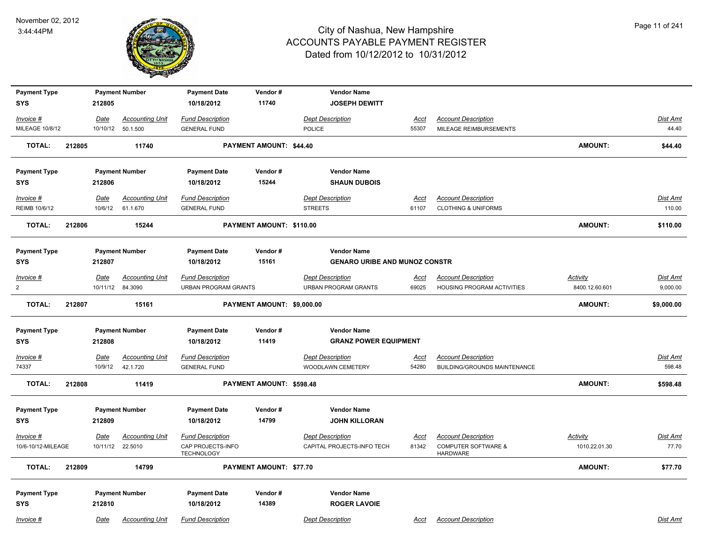

| <b>Payment Type</b> |        |          | <b>Payment Number</b>  | <b>Payment Date</b>                    | Vendor#                         | <b>Vendor Name</b>                   |             |                                                   |                 |                 |
|---------------------|--------|----------|------------------------|----------------------------------------|---------------------------------|--------------------------------------|-------------|---------------------------------------------------|-----------------|-----------------|
| <b>SYS</b>          |        | 212805   |                        | 10/18/2012                             | 11740                           | <b>JOSEPH DEWITT</b>                 |             |                                                   |                 |                 |
| Invoice #           |        | Date     | <b>Accounting Unit</b> | <b>Fund Description</b>                |                                 | <b>Dept Description</b>              | Acct        | <b>Account Description</b>                        |                 | <b>Dist Amt</b> |
| MILEAGE 10/8/12     |        |          | 10/10/12 50.1.500      | <b>GENERAL FUND</b>                    |                                 | POLICE                               | 55307       | MILEAGE REIMBURSEMENTS                            |                 | 44.40           |
| <b>TOTAL:</b>       | 212805 |          | 11740                  |                                        | PAYMENT AMOUNT: \$44.40         |                                      |             |                                                   | AMOUNT:         | \$44.40         |
| <b>Payment Type</b> |        |          | <b>Payment Number</b>  | <b>Payment Date</b>                    | Vendor#                         | <b>Vendor Name</b>                   |             |                                                   |                 |                 |
| SYS                 |        | 212806   |                        | 10/18/2012                             | 15244                           | <b>SHAUN DUBOIS</b>                  |             |                                                   |                 |                 |
| Invoice #           |        | Date     | <b>Accounting Unit</b> | <b>Fund Description</b>                |                                 | <b>Dept Description</b>              | <u>Acct</u> | <b>Account Description</b>                        |                 | <b>Dist Amt</b> |
| REIMB 10/6/12       |        | 10/6/12  | 61.1.670               | <b>GENERAL FUND</b>                    |                                 | <b>STREETS</b>                       | 61107       | <b>CLOTHING &amp; UNIFORMS</b>                    |                 | 110.00          |
| <b>TOTAL:</b>       | 212806 |          | 15244                  |                                        | PAYMENT AMOUNT: \$110.00        |                                      |             |                                                   | <b>AMOUNT:</b>  | \$110.00        |
| <b>Payment Type</b> |        |          | <b>Payment Number</b>  | <b>Payment Date</b>                    | Vendor#                         | <b>Vendor Name</b>                   |             |                                                   |                 |                 |
| <b>SYS</b>          |        | 212807   |                        | 10/18/2012                             | 15161                           | <b>GENARO URIBE AND MUNOZ CONSTR</b> |             |                                                   |                 |                 |
| Invoice #           |        | Date     | <b>Accounting Unit</b> | <b>Fund Description</b>                |                                 | <b>Dept Description</b>              | <b>Acct</b> | <b>Account Description</b>                        | <b>Activity</b> | <b>Dist Amt</b> |
| $\overline{2}$      |        |          | 10/11/12 84.3090       | <b>URBAN PROGRAM GRANTS</b>            |                                 | <b>URBAN PROGRAM GRANTS</b>          | 69025       | <b>HOUSING PROGRAM ACTIVITIES</b>                 | 8400.12.60.601  | 9,000.00        |
| <b>TOTAL:</b>       | 212807 |          | 15161                  |                                        | PAYMENT AMOUNT: \$9,000.00      |                                      |             |                                                   | <b>AMOUNT:</b>  | \$9,000.00      |
| <b>Payment Type</b> |        |          | <b>Payment Number</b>  | <b>Payment Date</b>                    | Vendor#                         | <b>Vendor Name</b>                   |             |                                                   |                 |                 |
| <b>SYS</b>          |        | 212808   |                        | 10/18/2012                             | 11419                           | <b>GRANZ POWER EQUIPMENT</b>         |             |                                                   |                 |                 |
| $Invoice$ #         |        | Date     | <b>Accounting Unit</b> | <b>Fund Description</b>                |                                 | <b>Dept Description</b>              | <u>Acct</u> | <b>Account Description</b>                        |                 | <b>Dist Amt</b> |
| 74337               |        | 10/9/12  | 42.1.720               | <b>GENERAL FUND</b>                    |                                 | <b>WOODLAWN CEMETERY</b>             | 54280       | <b>BUILDING/GROUNDS MAINTENANCE</b>               |                 | 598.48          |
| <b>TOTAL:</b>       | 212808 |          | 11419                  |                                        | <b>PAYMENT AMOUNT: \$598.48</b> |                                      |             |                                                   | <b>AMOUNT:</b>  | \$598.48        |
| <b>Payment Type</b> |        |          | <b>Payment Number</b>  | <b>Payment Date</b>                    | Vendor#                         | <b>Vendor Name</b>                   |             |                                                   |                 |                 |
| <b>SYS</b>          |        | 212809   |                        | 10/18/2012                             | 14799                           | <b>JOHN KILLORAN</b>                 |             |                                                   |                 |                 |
| Invoice #           |        | Date     | <b>Accounting Unit</b> | <b>Fund Description</b>                |                                 | <b>Dept Description</b>              | <u>Acct</u> | <b>Account Description</b>                        | Activity        | Dist Amt        |
| 10/6-10/12-MILEAGE  |        | 10/11/12 | 22.5010                | CAP PROJECTS-INFO<br><b>TECHNOLOGY</b> |                                 | CAPITAL PROJECTS-INFO TECH           | 81342       | <b>COMPUTER SOFTWARE &amp;</b><br><b>HARDWARE</b> | 1010.22.01.30   | 77.70           |
| <b>TOTAL:</b>       | 212809 |          | 14799                  |                                        | <b>PAYMENT AMOUNT: \$77.70</b>  |                                      |             |                                                   | <b>AMOUNT:</b>  | \$77.70         |
| <b>Payment Type</b> |        |          | <b>Payment Number</b>  | <b>Payment Date</b>                    | Vendor#                         | <b>Vendor Name</b>                   |             |                                                   |                 |                 |
| <b>SYS</b>          |        | 212810   |                        | 10/18/2012                             | 14389                           | <b>ROGER LAVOIE</b>                  |             |                                                   |                 |                 |
| Invoice #           |        | Date     | <b>Accounting Unit</b> | <b>Fund Description</b>                |                                 | <b>Dept Description</b>              | Acct        | <b>Account Description</b>                        |                 | Dist Amt        |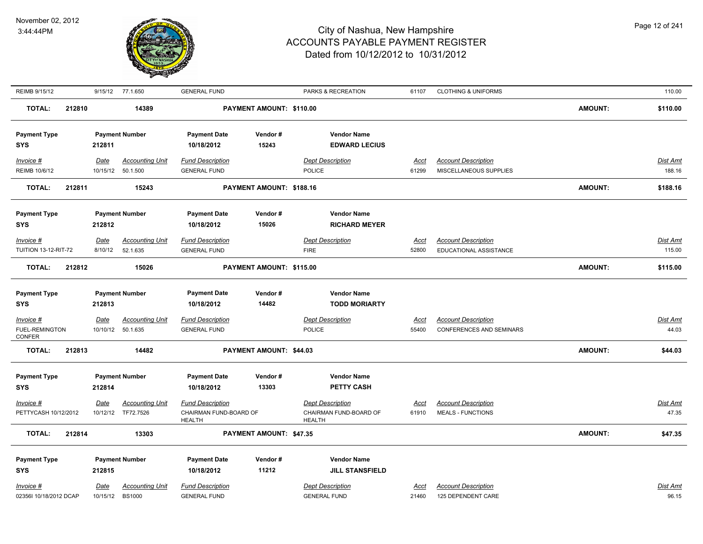

| REIMB 9/15/12                      | 9/15/12 77.1.650        |                             | <b>GENERAL FUND</b>                            |                          | PARKS & RECREATION                         | 61107                | <b>CLOTHING &amp; UNIFORMS</b>                                |                | 110.00            |
|------------------------------------|-------------------------|-----------------------------|------------------------------------------------|--------------------------|--------------------------------------------|----------------------|---------------------------------------------------------------|----------------|-------------------|
| <b>TOTAL:</b><br>212810            |                         | 14389                       |                                                | PAYMENT AMOUNT: \$110.00 |                                            |                      |                                                               | <b>AMOUNT:</b> | \$110.00          |
| <b>Payment Type</b>                | <b>Payment Number</b>   |                             | <b>Payment Date</b>                            | Vendor#                  | <b>Vendor Name</b>                         |                      |                                                               |                |                   |
| <b>SYS</b>                         | 212811                  |                             | 10/18/2012                                     | 15243                    | <b>EDWARD LECIUS</b>                       |                      |                                                               |                |                   |
| Invoice #                          | Date                    | <b>Accounting Unit</b>      | <b>Fund Description</b>                        |                          | <b>Dept Description</b>                    | Acct                 | <b>Account Description</b>                                    |                | <b>Dist Amt</b>   |
| REIMB 10/6/12                      | 10/15/12                | 50.1.500                    | <b>GENERAL FUND</b>                            |                          | <b>POLICE</b>                              | 61299                | MISCELLANEOUS SUPPLIES                                        |                | 188.16            |
| TOTAL:<br>212811                   |                         | 15243                       |                                                | PAYMENT AMOUNT: \$188.16 |                                            |                      |                                                               | <b>AMOUNT:</b> | \$188.16          |
| <b>Payment Type</b>                |                         | <b>Payment Number</b>       | <b>Payment Date</b>                            | Vendor#                  | <b>Vendor Name</b>                         |                      |                                                               |                |                   |
| <b>SYS</b>                         | 212812                  |                             | 10/18/2012                                     | 15026                    | <b>RICHARD MEYER</b>                       |                      |                                                               |                |                   |
| $Invoice$ #                        | <b>Date</b>             | <b>Accounting Unit</b>      | <b>Fund Description</b>                        |                          | <b>Dept Description</b>                    | <u>Acct</u>          | <b>Account Description</b>                                    |                | Dist Amt          |
| <b>TUITION 13-12-RIT-72</b>        | 8/10/12                 | 52.1.635                    | <b>GENERAL FUND</b>                            |                          | <b>FIRE</b>                                | 52800                | EDUCATIONAL ASSISTANCE                                        |                | 115.00            |
| <b>TOTAL:</b><br>212812            |                         | 15026                       |                                                | PAYMENT AMOUNT: \$115.00 |                                            |                      |                                                               | <b>AMOUNT:</b> | \$115.00          |
|                                    |                         |                             |                                                |                          |                                            |                      |                                                               |                |                   |
| <b>Payment Type</b><br><b>SYS</b>  | 212813                  | <b>Payment Number</b>       | <b>Payment Date</b><br>10/18/2012              | Vendor#<br>14482         | <b>Vendor Name</b><br><b>TODD MORIARTY</b> |                      |                                                               |                |                   |
|                                    |                         |                             |                                                |                          |                                            |                      |                                                               |                |                   |
| Invoice #<br><b>FUEL-REMINGTON</b> | <b>Date</b><br>10/10/12 | Accounting Unit<br>50.1.635 | <b>Fund Description</b><br><b>GENERAL FUND</b> |                          | <b>Dept Description</b><br><b>POLICE</b>   | <u>Acct</u><br>55400 | <b>Account Description</b><br><b>CONFERENCES AND SEMINARS</b> |                | Dist Amt<br>44.03 |
| CONFER                             |                         |                             |                                                |                          |                                            |                      |                                                               |                |                   |
| <b>TOTAL:</b><br>212813            |                         | 14482                       |                                                | PAYMENT AMOUNT: \$44.03  |                                            |                      |                                                               | <b>AMOUNT:</b> | \$44.03           |
| <b>Payment Type</b>                |                         | <b>Payment Number</b>       | <b>Payment Date</b>                            | Vendor#                  | <b>Vendor Name</b>                         |                      |                                                               |                |                   |
| <b>SYS</b>                         | 212814                  |                             | 10/18/2012                                     | 13303                    | <b>PETTY CASH</b>                          |                      |                                                               |                |                   |
| $Invoice$ #                        | Date                    | <b>Accounting Unit</b>      | <b>Fund Description</b>                        |                          | <b>Dept Description</b>                    | <u>Acct</u>          | <b>Account Description</b>                                    |                | <b>Dist Amt</b>   |
| PETTYCASH 10/12/2012               |                         | 10/12/12 TF72.7526          | CHAIRMAN FUND-BOARD OF<br><b>HEALTH</b>        |                          | CHAIRMAN FUND-BOARD OF<br><b>HEALTH</b>    | 61910                | <b>MEALS - FUNCTIONS</b>                                      |                | 47.35             |
| <b>TOTAL:</b><br>212814            |                         | 13303                       |                                                | PAYMENT AMOUNT: \$47.35  |                                            |                      |                                                               | <b>AMOUNT:</b> | \$47.35           |
| <b>Payment Type</b>                |                         | <b>Payment Number</b>       | <b>Payment Date</b>                            | Vendor#                  | <b>Vendor Name</b>                         |                      |                                                               |                |                   |
| <b>SYS</b>                         | 212815                  |                             | 10/18/2012                                     | 11212                    | <b>JILL STANSFIELD</b>                     |                      |                                                               |                |                   |
| Invoice #                          | Date                    | <b>Accounting Unit</b>      | <b>Fund Description</b>                        |                          | <b>Dept Description</b>                    | Acct                 | <b>Account Description</b>                                    |                | <b>Dist Amt</b>   |
| 02356I 10/18/2012 DCAP             | 10/15/12                | <b>BS1000</b>               | <b>GENERAL FUND</b>                            |                          | <b>GENERAL FUND</b>                        | 21460                | 125 DEPENDENT CARE                                            |                | 96.15             |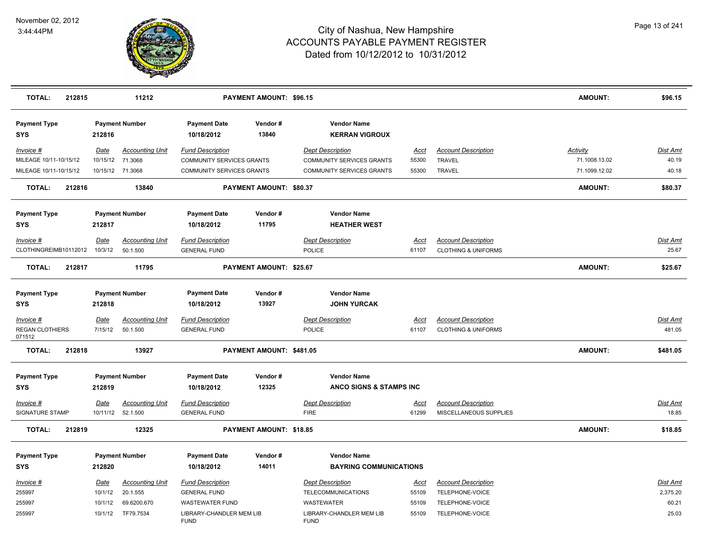

| <b>TOTAL:</b>                     | 212815 |             | 11212                  |                                         | <b>PAYMENT AMOUNT: \$96.15</b> |                                             |             |                                | <b>AMOUNT:</b>  | \$96.15         |
|-----------------------------------|--------|-------------|------------------------|-----------------------------------------|--------------------------------|---------------------------------------------|-------------|--------------------------------|-----------------|-----------------|
| <b>Payment Type</b><br><b>SYS</b> |        | 212816      | <b>Payment Number</b>  | <b>Payment Date</b><br>10/18/2012       | Vendor#<br>13840               | <b>Vendor Name</b><br><b>KERRAN VIGROUX</b> |             |                                |                 |                 |
| Invoice #                         |        | Date        | <b>Accounting Unit</b> | <b>Fund Description</b>                 |                                | <b>Dept Description</b>                     | Acct        | <b>Account Description</b>     | <b>Activity</b> | <u>Dist Amt</u> |
| MILEAGE 10/11-10/15/12            |        | 10/15/12    | 71.3068                | COMMUNITY SERVICES GRANTS               |                                | <b>COMMUNITY SERVICES GRANTS</b>            | 55300       | <b>TRAVEL</b>                  | 71.1008.13.02   | 40.19           |
| MILEAGE 10/11-10/15/12            |        |             | 10/15/12 71.3068       | <b>COMMUNITY SERVICES GRANTS</b>        |                                | <b>COMMUNITY SERVICES GRANTS</b>            | 55300       | TRAVEL                         | 71.1099.12.02   | 40.18           |
| <b>TOTAL:</b>                     | 212816 |             | 13840                  |                                         | PAYMENT AMOUNT: \$80.37        |                                             |             |                                | <b>AMOUNT:</b>  | \$80.37         |
| <b>Payment Type</b><br><b>SYS</b> |        | 212817      | <b>Payment Number</b>  | <b>Payment Date</b><br>10/18/2012       | Vendor#<br>11795               | <b>Vendor Name</b><br><b>HEATHER WEST</b>   |             |                                |                 |                 |
| Invoice #                         |        | Date        | <b>Accounting Unit</b> | <b>Fund Description</b>                 |                                | <b>Dept Description</b>                     | Acct        | <b>Account Description</b>     |                 | Dist Amt        |
| CLOTHINGREIMB10112012             |        | 10/3/12     | 50.1.500               | <b>GENERAL FUND</b>                     |                                | POLICE                                      | 61107       | <b>CLOTHING &amp; UNIFORMS</b> |                 | 25.67           |
| <b>TOTAL:</b>                     | 212817 |             | 11795                  |                                         | PAYMENT AMOUNT: \$25.67        |                                             |             |                                | <b>AMOUNT:</b>  | \$25.67         |
| <b>Payment Type</b><br><b>SYS</b> |        | 212818      | <b>Payment Number</b>  | <b>Payment Date</b><br>10/18/2012       | Vendor#<br>13927               | <b>Vendor Name</b><br><b>JOHN YURCAK</b>    |             |                                |                 |                 |
| $Invoice$ #                       |        | <u>Date</u> | <b>Accounting Unit</b> | <b>Fund Description</b>                 |                                | <b>Dept Description</b>                     | <u>Acct</u> | <b>Account Description</b>     |                 | <u>Dist Amt</u> |
| <b>REGAN CLOTHIERS</b><br>071512  |        | 7/15/12     | 50.1.500               | <b>GENERAL FUND</b>                     |                                | POLICE                                      | 61107       | <b>CLOTHING &amp; UNIFORMS</b> |                 | 481.05          |
| <b>TOTAL:</b>                     | 212818 |             | 13927                  |                                         | PAYMENT AMOUNT: \$481.05       |                                             |             |                                | <b>AMOUNT:</b>  | \$481.05        |
| <b>Payment Type</b>               |        |             | <b>Payment Number</b>  | <b>Payment Date</b>                     | Vendor#                        | <b>Vendor Name</b>                          |             |                                |                 |                 |
| <b>SYS</b>                        |        | 212819      |                        | 10/18/2012                              | 12325                          | ANCO SIGNS & STAMPS INC                     |             |                                |                 |                 |
| Invoice #                         |        | Date        | <b>Accounting Unit</b> | <b>Fund Description</b>                 |                                | <b>Dept Description</b>                     | <u>Acct</u> | <b>Account Description</b>     |                 | Dist Amt        |
| SIGNATURE STAMP                   |        |             | 10/11/12 52.1.500      | <b>GENERAL FUND</b>                     |                                | <b>FIRE</b>                                 | 61299       | MISCELLANEOUS SUPPLIES         |                 | 18.85           |
| <b>TOTAL:</b>                     | 212819 |             | 12325                  |                                         | PAYMENT AMOUNT: \$18.85        |                                             |             |                                | <b>AMOUNT:</b>  | \$18.85         |
| <b>Payment Type</b>               |        |             | <b>Payment Number</b>  | <b>Payment Date</b>                     | Vendor#                        | <b>Vendor Name</b>                          |             |                                |                 |                 |
| <b>SYS</b>                        |        | 212820      |                        | 10/18/2012                              | 14011                          | <b>BAYRING COMMUNICATIONS</b>               |             |                                |                 |                 |
| Invoice #                         |        | Date        | <b>Accounting Unit</b> | <b>Fund Description</b>                 |                                | <b>Dept Description</b>                     | <u>Acct</u> | <b>Account Description</b>     |                 | Dist Amt        |
| 255997                            |        | 10/1/12     | 20.1.555               | <b>GENERAL FUND</b>                     |                                | TELECOMMUNICATIONS                          | 55109       | TELEPHONE-VOICE                |                 | 2,375.20        |
| 255997                            |        | 10/1/12     | 69.6200.670            | <b>WASTEWATER FUND</b>                  |                                | WASTEWATER                                  | 55109       | TELEPHONE-VOICE                |                 | 60.21           |
| 255997                            |        | 10/1/12     | TF79.7534              | LIBRARY-CHANDLER MEM LIB<br><b>FUND</b> |                                | LIBRARY-CHANDLER MEM LIB<br><b>FUND</b>     | 55109       | TELEPHONE-VOICE                |                 | 25.03           |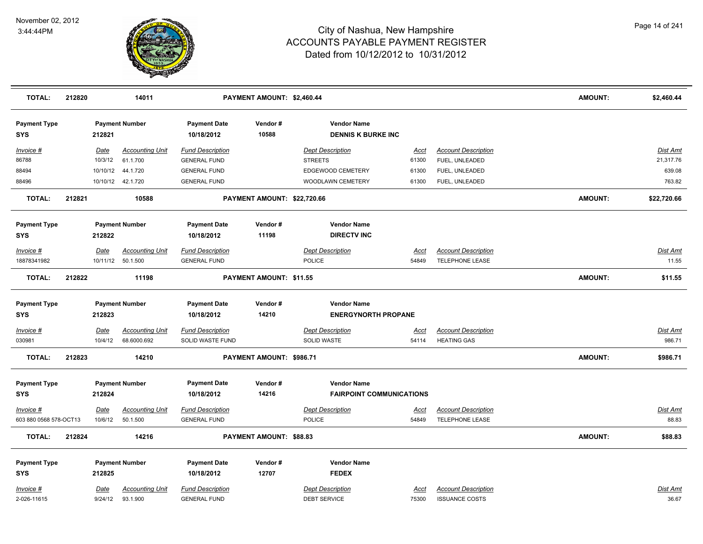

| <b>TOTAL:</b>                       | 212820 |                        | 14011                              |                                                | PAYMENT AMOUNT: \$2,460.44  |                                                  |                      |                                               | AMOUNT:        | \$2,460.44        |
|-------------------------------------|--------|------------------------|------------------------------------|------------------------------------------------|-----------------------------|--------------------------------------------------|----------------------|-----------------------------------------------|----------------|-------------------|
| <b>Payment Type</b><br><b>SYS</b>   |        | 212821                 | <b>Payment Number</b>              | <b>Payment Date</b><br>10/18/2012              | Vendor#<br>10588            | <b>Vendor Name</b><br><b>DENNIS K BURKE INC</b>  |                      |                                               |                |                   |
| Invoice #                           |        | <b>Date</b>            | <b>Accounting Unit</b>             | <b>Fund Description</b>                        |                             | <b>Dept Description</b>                          | <b>Acct</b>          | <b>Account Description</b>                    |                | Dist Amt          |
| 86788                               |        | 10/3/12                | 61.1.700                           | <b>GENERAL FUND</b>                            |                             | <b>STREETS</b>                                   | 61300                | FUEL, UNLEADED                                |                | 21,317.76         |
| 88494                               |        | 10/10/12               | 44.1.720                           | <b>GENERAL FUND</b>                            |                             | EDGEWOOD CEMETERY                                | 61300                | FUEL, UNLEADED                                |                | 639.08            |
| 88496                               |        |                        | 10/10/12  42.1.720                 | <b>GENERAL FUND</b>                            |                             | WOODLAWN CEMETERY                                | 61300                | FUEL, UNLEADED                                |                | 763.82            |
| <b>TOTAL:</b>                       | 212821 |                        | 10588                              |                                                | PAYMENT AMOUNT: \$22,720.66 |                                                  |                      |                                               | AMOUNT:        | \$22,720.66       |
| <b>Payment Type</b><br><b>SYS</b>   |        | 212822                 | <b>Payment Number</b>              | <b>Payment Date</b><br>10/18/2012              | Vendor#<br>11198            | <b>Vendor Name</b><br><b>DIRECTV INC</b>         |                      |                                               |                |                   |
| Invoice #                           |        | <b>Date</b>            | <b>Accounting Unit</b>             | <b>Fund Description</b>                        |                             | <b>Dept Description</b>                          | Acct                 | <b>Account Description</b>                    |                | Dist Amt          |
| 18878341982                         |        |                        | 10/11/12 50.1.500                  | <b>GENERAL FUND</b>                            |                             | POLICE                                           | 54849                | <b>TELEPHONE LEASE</b>                        |                | 11.55             |
| TOTAL:                              | 212822 |                        | 11198                              |                                                | PAYMENT AMOUNT: \$11.55     |                                                  |                      |                                               | AMOUNT:        | \$11.55           |
| <b>Payment Type</b><br>SYS          |        | 212823                 | <b>Payment Number</b>              | <b>Payment Date</b><br>10/18/2012              | Vendor#<br>14210            | <b>Vendor Name</b><br><b>ENERGYNORTH PROPANE</b> |                      |                                               |                |                   |
| Invoice #                           |        | <b>Date</b>            | <b>Accounting Unit</b>             | <b>Fund Description</b>                        |                             | <b>Dept Description</b>                          | <u>Acct</u>          | <b>Account Description</b>                    |                | <b>Dist Amt</b>   |
| 030981                              |        | 10/4/12                | 68.6000.692                        | SOLID WASTE FUND                               |                             | SOLID WASTE                                      | 54114                | <b>HEATING GAS</b>                            |                | 986.71            |
| <b>TOTAL:</b>                       | 212823 |                        | 14210                              |                                                | PAYMENT AMOUNT: \$986.71    |                                                  |                      |                                               | <b>AMOUNT:</b> | \$986.71          |
| <b>Payment Type</b>                 |        |                        | <b>Payment Number</b>              | <b>Payment Date</b>                            | Vendor#                     | <b>Vendor Name</b>                               |                      |                                               |                |                   |
| SYS                                 |        | 212824                 |                                    | 10/18/2012                                     | 14216                       | <b>FAIRPOINT COMMUNICATIONS</b>                  |                      |                                               |                |                   |
| Invoice #<br>603 880 0568 578-OCT13 |        | <u>Date</u><br>10/6/12 | <b>Accounting Unit</b><br>50.1.500 | <b>Fund Description</b><br><b>GENERAL FUND</b> |                             | <b>Dept Description</b><br>POLICE                | <u>Acct</u><br>54849 | <b>Account Description</b><br>TELEPHONE LEASE |                | Dist Amt<br>88.83 |
| TOTAL:                              | 212824 |                        | 14216                              |                                                | PAYMENT AMOUNT: \$88.83     |                                                  |                      |                                               | AMOUNT:        | \$88.83           |
| <b>Payment Type</b>                 |        |                        | <b>Payment Number</b>              | <b>Payment Date</b>                            | Vendor#                     | <b>Vendor Name</b>                               |                      |                                               |                |                   |
| <b>SYS</b>                          |        | 212825                 |                                    | 10/18/2012                                     | 12707                       | <b>FEDEX</b>                                     |                      |                                               |                |                   |
| Invoice #                           |        | <b>Date</b>            | <b>Accounting Unit</b>             | <b>Fund Description</b>                        |                             | <b>Dept Description</b>                          | <u>Acct</u>          | <b>Account Description</b>                    |                | Dist Amt          |
| 2-026-11615                         |        | 9/24/12                | 93.1.900                           | <b>GENERAL FUND</b>                            |                             | <b>DEBT SERVICE</b>                              | 75300                | <b>ISSUANCE COSTS</b>                         |                | 36.67             |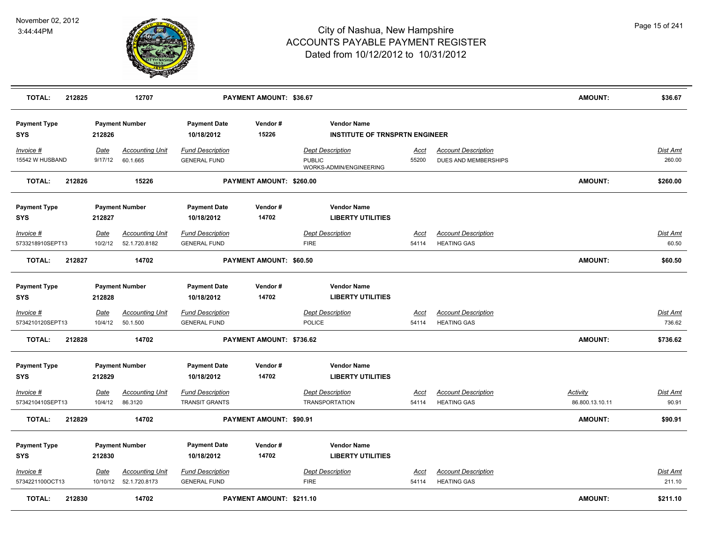

| <b>TOTAL:</b>                        | 212825 |                        | 12707                                             |                                                  | PAYMENT AMOUNT: \$36.67  |                                                                     |                      |                                                    | <b>AMOUNT:</b>                     | \$36.67                   |
|--------------------------------------|--------|------------------------|---------------------------------------------------|--------------------------------------------------|--------------------------|---------------------------------------------------------------------|----------------------|----------------------------------------------------|------------------------------------|---------------------------|
| <b>Payment Type</b><br>SYS           |        | 212826                 | <b>Payment Number</b>                             | <b>Payment Date</b><br>10/18/2012                | Vendor#<br>15226         | <b>Vendor Name</b><br><b>INSTITUTE OF TRNSPRTN ENGINEER</b>         |                      |                                                    |                                    |                           |
| Invoice #<br>15542 W HUSBAND         |        | Date<br>9/17/12        | <b>Accounting Unit</b><br>60.1.665                | <b>Fund Description</b><br><b>GENERAL FUND</b>   |                          | <b>Dept Description</b><br><b>PUBLIC</b><br>WORKS-ADMIN/ENGINEERING | <u>Acct</u><br>55200 | <b>Account Description</b><br>DUES AND MEMBERSHIPS |                                    | <b>Dist Amt</b><br>260.00 |
| <b>TOTAL:</b>                        | 212826 |                        | 15226                                             |                                                  | PAYMENT AMOUNT: \$260.00 |                                                                     |                      |                                                    | <b>AMOUNT:</b>                     | \$260.00                  |
| <b>Payment Type</b><br>SYS           |        | 212827                 | <b>Payment Number</b>                             | <b>Payment Date</b><br>10/18/2012                | Vendor#<br>14702         | <b>Vendor Name</b><br><b>LIBERTY UTILITIES</b>                      |                      |                                                    |                                    |                           |
| <u>Invoice #</u><br>5733218910SEPT13 |        | <b>Date</b><br>10/2/12 | <b>Accounting Unit</b><br>52.1.720.8182           | <b>Fund Description</b><br><b>GENERAL FUND</b>   |                          | <b>Dept Description</b><br><b>FIRE</b>                              | <u>Acct</u><br>54114 | <b>Account Description</b><br><b>HEATING GAS</b>   |                                    | <b>Dist Amt</b><br>60.50  |
| <b>TOTAL:</b>                        | 212827 |                        | 14702                                             |                                                  | PAYMENT AMOUNT: \$60.50  |                                                                     |                      |                                                    | <b>AMOUNT:</b>                     | \$60.50                   |
| <b>Payment Type</b><br>SYS           |        | 212828                 | <b>Payment Number</b>                             | <b>Payment Date</b><br>10/18/2012                | Vendor#<br>14702         | <b>Vendor Name</b><br><b>LIBERTY UTILITIES</b>                      |                      |                                                    |                                    |                           |
| Invoice #<br>5734210120SEPT13        |        | Date<br>10/4/12        | <b>Accounting Unit</b><br>50.1.500                | <b>Fund Description</b><br><b>GENERAL FUND</b>   |                          | <b>Dept Description</b><br>POLICE                                   | Acct<br>54114        | <b>Account Description</b><br><b>HEATING GAS</b>   |                                    | <b>Dist Amt</b><br>736.62 |
| <b>TOTAL:</b>                        | 212828 |                        | 14702                                             |                                                  | PAYMENT AMOUNT: \$736.62 |                                                                     |                      |                                                    | <b>AMOUNT:</b>                     | \$736.62                  |
| <b>Payment Type</b><br><b>SYS</b>    |        | 212829                 | <b>Payment Number</b>                             | <b>Payment Date</b><br>10/18/2012                | Vendor#<br>14702         | <b>Vendor Name</b><br><b>LIBERTY UTILITIES</b>                      |                      |                                                    |                                    |                           |
| <u>Invoice #</u><br>5734210410SEPT13 |        | Date<br>10/4/12        | <b>Accounting Unit</b><br>86.3120                 | <b>Fund Description</b><br><b>TRANSIT GRANTS</b> |                          | <b>Dept Description</b><br><b>TRANSPORTATION</b>                    | Acct<br>54114        | <b>Account Description</b><br><b>HEATING GAS</b>   | <b>Activity</b><br>86.800.13.10.11 | <u>Dist Amt</u><br>90.91  |
| TOTAL:                               | 212829 |                        | 14702                                             |                                                  | PAYMENT AMOUNT: \$90.91  |                                                                     |                      |                                                    | AMOUNT:                            | \$90.91                   |
| <b>Payment Type</b><br>SYS           |        | 212830                 | <b>Payment Number</b>                             | <b>Payment Date</b><br>10/18/2012                | Vendor#<br>14702         | <b>Vendor Name</b><br><b>LIBERTY UTILITIES</b>                      |                      |                                                    |                                    |                           |
| Invoice #<br>5734221100OCT13         |        | Date                   | <b>Accounting Unit</b><br>10/10/12  52.1.720.8173 | <b>Fund Description</b><br><b>GENERAL FUND</b>   |                          | <b>Dept Description</b><br><b>FIRE</b>                              | Acct<br>54114        | <b>Account Description</b><br><b>HEATING GAS</b>   |                                    | Dist Amt<br>211.10        |
| <b>TOTAL:</b>                        | 212830 |                        | 14702                                             |                                                  | PAYMENT AMOUNT: \$211.10 |                                                                     |                      |                                                    | <b>AMOUNT:</b>                     | \$211.10                  |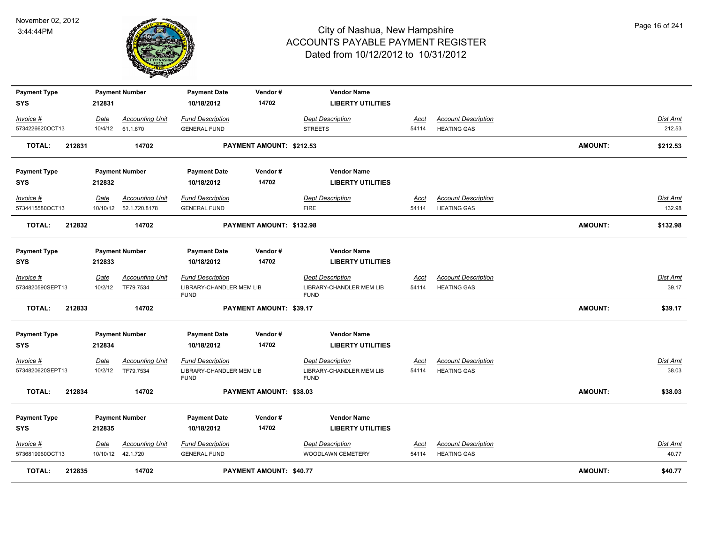

| <b>Payment Type</b> |        | <b>Payment Number</b> |                         | <b>Payment Date</b>                     | Vendor#                  | <b>Vendor Name</b>                      |       |                            |                |                 |
|---------------------|--------|-----------------------|-------------------------|-----------------------------------------|--------------------------|-----------------------------------------|-------|----------------------------|----------------|-----------------|
| <b>SYS</b>          | 212831 |                       |                         | 10/18/2012                              | 14702                    | <b>LIBERTY UTILITIES</b>                |       |                            |                |                 |
| Invoice #           | Date   |                       | <b>Accounting Unit</b>  | <b>Fund Description</b>                 |                          | <b>Dept Description</b>                 | Acct  | <b>Account Description</b> |                | <b>Dist Amt</b> |
| 5734226620OCT13     |        | 10/4/12               | 61.1.670                | <b>GENERAL FUND</b>                     |                          | <b>STREETS</b>                          | 54114 | <b>HEATING GAS</b>         |                | 212.53          |
| TOTAL:              | 212831 |                       | 14702                   |                                         | PAYMENT AMOUNT: \$212.53 |                                         |       |                            | <b>AMOUNT:</b> | \$212.53        |
| <b>Payment Type</b> |        | <b>Payment Number</b> |                         | <b>Payment Date</b>                     | Vendor#                  | <b>Vendor Name</b>                      |       |                            |                |                 |
| <b>SYS</b>          | 212832 |                       |                         | 10/18/2012                              | 14702                    | <b>LIBERTY UTILITIES</b>                |       |                            |                |                 |
| Invoice #           | Date   |                       | <b>Accounting Unit</b>  | <b>Fund Description</b>                 |                          | <b>Dept Description</b>                 | Acct  | <b>Account Description</b> |                | Dist Amt        |
| 5734415580OCT13     |        |                       | 10/10/12  52.1.720.8178 | <b>GENERAL FUND</b>                     |                          | <b>FIRE</b>                             | 54114 | <b>HEATING GAS</b>         |                | 132.98          |
| TOTAL:              | 212832 |                       | 14702                   |                                         | PAYMENT AMOUNT: \$132.98 |                                         |       |                            | <b>AMOUNT:</b> | \$132.98        |
| <b>Payment Type</b> |        | <b>Payment Number</b> |                         | <b>Payment Date</b>                     | Vendor#                  | <b>Vendor Name</b>                      |       |                            |                |                 |
| <b>SYS</b>          | 212833 |                       |                         | 10/18/2012                              | 14702                    | <b>LIBERTY UTILITIES</b>                |       |                            |                |                 |
| Invoice #           | Date   |                       | <b>Accounting Unit</b>  | <b>Fund Description</b>                 |                          | <b>Dept Description</b>                 | Acct  | <b>Account Description</b> |                | Dist Amt        |
| 5734820590SEPT13    |        | 10/2/12               | TF79.7534               | LIBRARY-CHANDLER MEM LIB<br><b>FUND</b> |                          | LIBRARY-CHANDLER MEM LIB<br><b>FUND</b> | 54114 | <b>HEATING GAS</b>         |                | 39.17           |
| <b>TOTAL:</b>       | 212833 |                       | 14702                   |                                         | PAYMENT AMOUNT: \$39.17  |                                         |       |                            | <b>AMOUNT:</b> | \$39.17         |
| <b>Payment Type</b> |        | <b>Payment Number</b> |                         | <b>Payment Date</b>                     | Vendor#                  | <b>Vendor Name</b>                      |       |                            |                |                 |
| <b>SYS</b>          | 212834 |                       |                         | 10/18/2012                              | 14702                    | <b>LIBERTY UTILITIES</b>                |       |                            |                |                 |
| Invoice #           | Date   |                       | <b>Accounting Unit</b>  | <b>Fund Description</b>                 |                          | <b>Dept Description</b>                 | Acct  | <b>Account Description</b> |                | <b>Dist Amt</b> |
| 5734820620SEPT13    |        | 10/2/12               | TF79.7534               | LIBRARY-CHANDLER MEM LIB<br><b>FUND</b> |                          | LIBRARY-CHANDLER MEM LIB<br><b>FUND</b> | 54114 | <b>HEATING GAS</b>         |                | 38.03           |
| <b>TOTAL:</b>       | 212834 |                       | 14702                   |                                         | PAYMENT AMOUNT: \$38.03  |                                         |       |                            | <b>AMOUNT:</b> | \$38.03         |
| <b>Payment Type</b> |        | <b>Payment Number</b> |                         | <b>Payment Date</b>                     | Vendor#                  | <b>Vendor Name</b>                      |       |                            |                |                 |
| <b>SYS</b>          | 212835 |                       |                         | 10/18/2012                              | 14702                    | <b>LIBERTY UTILITIES</b>                |       |                            |                |                 |
| Invoice #           | Date   |                       | <b>Accounting Unit</b>  | <b>Fund Description</b>                 |                          | <b>Dept Description</b>                 | Acct  | <b>Account Description</b> |                | Dist Amt        |
| 5736819960OCT13     |        | 10/10/12  42.1.720    |                         | <b>GENERAL FUND</b>                     |                          | WOODLAWN CEMETERY                       | 54114 | <b>HEATING GAS</b>         |                | 40.77           |
| TOTAL:              | 212835 |                       | 14702                   |                                         | PAYMENT AMOUNT: \$40.77  |                                         |       |                            | <b>AMOUNT:</b> | \$40.77         |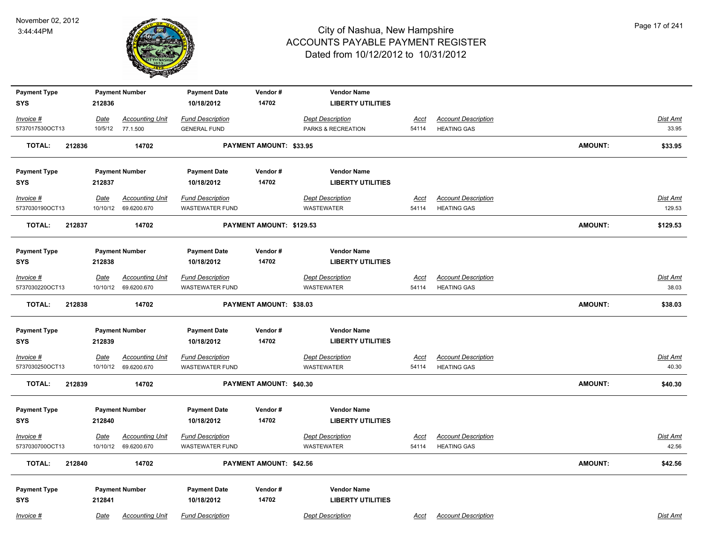

| <b>Payment Type</b>     |             | <b>Payment Number</b>  | <b>Payment Date</b>     | Vendor#                  | <b>Vendor Name</b>       |             |                            |                |                 |
|-------------------------|-------------|------------------------|-------------------------|--------------------------|--------------------------|-------------|----------------------------|----------------|-----------------|
| <b>SYS</b>              | 212836      |                        | 10/18/2012              | 14702                    | <b>LIBERTY UTILITIES</b> |             |                            |                |                 |
| Invoice #               | Date        | <b>Accounting Unit</b> | <b>Fund Description</b> |                          | <b>Dept Description</b>  | <u>Acct</u> | <b>Account Description</b> |                | Dist Amt        |
| 5737017530OCT13         |             | 10/5/12 77.1.500       | <b>GENERAL FUND</b>     |                          | PARKS & RECREATION       | 54114       | <b>HEATING GAS</b>         |                | 33.95           |
| <b>TOTAL:</b><br>212836 |             | 14702                  |                         | PAYMENT AMOUNT: \$33.95  |                          |             |                            | <b>AMOUNT:</b> | \$33.95         |
| <b>Payment Type</b>     |             | <b>Payment Number</b>  | <b>Payment Date</b>     | Vendor#                  | <b>Vendor Name</b>       |             |                            |                |                 |
| <b>SYS</b>              | 212837      |                        | 10/18/2012              | 14702                    | <b>LIBERTY UTILITIES</b> |             |                            |                |                 |
| $Invoice$ #             | <u>Date</u> | <b>Accounting Unit</b> | <b>Fund Description</b> |                          | <b>Dept Description</b>  | <u>Acct</u> | <b>Account Description</b> |                | <b>Dist Amt</b> |
| 5737030190OCT13         | 10/10/12    | 69.6200.670            | <b>WASTEWATER FUND</b>  |                          | <b>WASTEWATER</b>        | 54114       | <b>HEATING GAS</b>         |                | 129.53          |
| <b>TOTAL:</b><br>212837 |             | 14702                  |                         | PAYMENT AMOUNT: \$129.53 |                          |             |                            | <b>AMOUNT:</b> | \$129.53        |
| <b>Payment Type</b>     |             | <b>Payment Number</b>  | <b>Payment Date</b>     | Vendor#                  | <b>Vendor Name</b>       |             |                            |                |                 |
| <b>SYS</b>              | 212838      |                        | 10/18/2012              | 14702                    | <b>LIBERTY UTILITIES</b> |             |                            |                |                 |
| $Invoice$ #             | Date        | <b>Accounting Unit</b> | <b>Fund Description</b> |                          | <b>Dept Description</b>  | Acct        | <b>Account Description</b> |                | <b>Dist Amt</b> |
| 5737030220OCT13         | 10/10/12    | 69.6200.670            | WASTEWATER FUND         |                          | WASTEWATER               | 54114       | <b>HEATING GAS</b>         |                | 38.03           |
| <b>TOTAL:</b><br>212838 |             | 14702                  |                         | PAYMENT AMOUNT: \$38.03  |                          |             |                            | <b>AMOUNT:</b> | \$38.03         |
| <b>Payment Type</b>     |             | <b>Payment Number</b>  | <b>Payment Date</b>     | Vendor#                  | <b>Vendor Name</b>       |             |                            |                |                 |
| <b>SYS</b>              | 212839      |                        | 10/18/2012              | 14702                    | <b>LIBERTY UTILITIES</b> |             |                            |                |                 |
| <u>Invoice #</u>        | <b>Date</b> | <b>Accounting Unit</b> | <b>Fund Description</b> |                          | <b>Dept Description</b>  | <u>Acct</u> | <b>Account Description</b> |                | <b>Dist Amt</b> |
| 5737030250OCT13         |             | 10/10/12 69.6200.670   | <b>WASTEWATER FUND</b>  |                          | <b>WASTEWATER</b>        | 54114       | <b>HEATING GAS</b>         |                | 40.30           |
| <b>TOTAL:</b><br>212839 |             | 14702                  |                         | PAYMENT AMOUNT: \$40.30  |                          |             |                            | <b>AMOUNT:</b> | \$40.30         |
| <b>Payment Type</b>     |             | <b>Payment Number</b>  | <b>Payment Date</b>     | Vendor#                  | <b>Vendor Name</b>       |             |                            |                |                 |
| <b>SYS</b>              | 212840      |                        | 10/18/2012              | 14702                    | <b>LIBERTY UTILITIES</b> |             |                            |                |                 |
| $Invoice$ #             | Date        | <b>Accounting Unit</b> | <b>Fund Description</b> |                          | <b>Dept Description</b>  | <u>Acct</u> | <b>Account Description</b> |                | Dist Amt        |
| 5737030700OCT13         | 10/10/12    | 69.6200.670            | <b>WASTEWATER FUND</b>  |                          | <b>WASTEWATER</b>        | 54114       | <b>HEATING GAS</b>         |                | 42.56           |
| <b>TOTAL:</b><br>212840 |             | 14702                  |                         | PAYMENT AMOUNT: \$42.56  |                          |             |                            | <b>AMOUNT:</b> | \$42.56         |
| <b>Payment Type</b>     |             | <b>Payment Number</b>  | <b>Payment Date</b>     | Vendor#                  | <b>Vendor Name</b>       |             |                            |                |                 |
| <b>SYS</b>              | 212841      |                        | 10/18/2012              | 14702                    | <b>LIBERTY UTILITIES</b> |             |                            |                |                 |
| Invoice #               | Date        | <b>Accounting Unit</b> | <b>Fund Description</b> |                          | <b>Dept Description</b>  | Acct        | <b>Account Description</b> |                | Dist Amt        |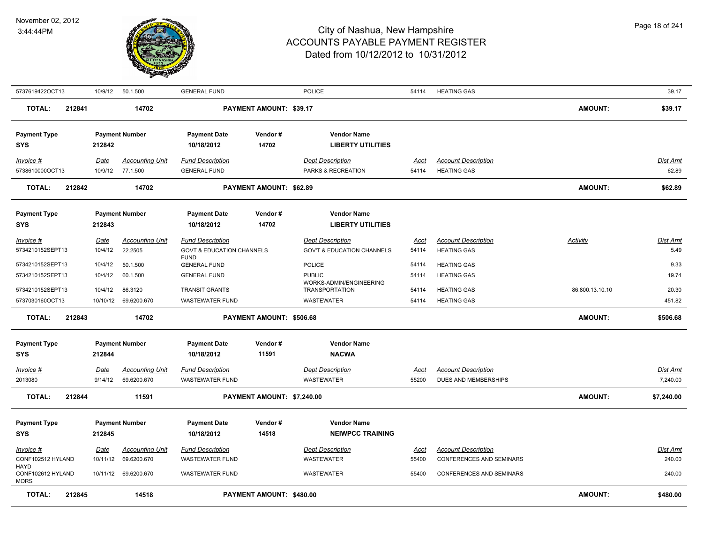

| 5737619422OCT13                                 | 10/9/12         | 50.1.500                           | <b>GENERAL FUND</b>                            |                                 | <b>POLICE</b>                                    | 54114                | <b>HEATING GAS</b>                               |                 | 39.17             |
|-------------------------------------------------|-----------------|------------------------------------|------------------------------------------------|---------------------------------|--------------------------------------------------|----------------------|--------------------------------------------------|-----------------|-------------------|
| <b>TOTAL:</b><br>212841                         |                 | 14702                              |                                                | PAYMENT AMOUNT: \$39.17         |                                                  |                      |                                                  | <b>AMOUNT:</b>  | \$39.17           |
| <b>Payment Type</b><br>SYS                      | 212842          | <b>Payment Number</b>              | <b>Payment Date</b><br>10/18/2012              | Vendor#<br>14702                | <b>Vendor Name</b><br><b>LIBERTY UTILITIES</b>   |                      |                                                  |                 |                   |
| $Invoice$ #<br>5738610000OCT13                  | Date<br>10/9/12 | <b>Accounting Unit</b><br>77.1.500 | <b>Fund Description</b><br><b>GENERAL FUND</b> |                                 | <b>Dept Description</b><br>PARKS & RECREATION    | <u>Acct</u><br>54114 | <b>Account Description</b><br><b>HEATING GAS</b> |                 | Dist Amt<br>62.89 |
| 212842<br><b>TOTAL:</b>                         |                 | 14702                              |                                                | PAYMENT AMOUNT: \$62.89         |                                                  |                      |                                                  | <b>AMOUNT:</b>  | \$62.89           |
| <b>Payment Type</b><br><b>SYS</b>               | 212843          | <b>Payment Number</b>              | <b>Payment Date</b><br>10/18/2012              | Vendor#<br>14702                | <b>Vendor Name</b><br><b>LIBERTY UTILITIES</b>   |                      |                                                  |                 |                   |
| Invoice #                                       | <u>Date</u>     | <b>Accounting Unit</b>             | <b>Fund Description</b>                        |                                 | <b>Dept Description</b>                          | <u>Acct</u>          | <b>Account Description</b>                       | <b>Activity</b> | Dist Amt          |
| 5734210152SEPT13                                | 10/4/12         | 22.2505                            | <b>GOVT &amp; EDUCATION CHANNELS</b>           |                                 | <b>GOV'T &amp; EDUCATION CHANNELS</b>            | 54114                | <b>HEATING GAS</b>                               |                 | 5.49              |
| 5734210152SEPT13                                | 10/4/12         | 50.1.500                           | <b>FUND</b><br><b>GENERAL FUND</b>             |                                 | POLICE                                           | 54114                | <b>HEATING GAS</b>                               |                 | 9.33              |
| 5734210152SEPT13                                | 10/4/12         | 60.1.500                           | <b>GENERAL FUND</b>                            |                                 | <b>PUBLIC</b>                                    | 54114                | <b>HEATING GAS</b>                               |                 | 19.74             |
| 5734210152SEPT13                                | 10/4/12         | 86.3120                            | <b>TRANSIT GRANTS</b>                          |                                 | WORKS-ADMIN/ENGINEERING<br><b>TRANSPORTATION</b> | 54114                | <b>HEATING GAS</b>                               | 86.800.13.10.10 | 20.30             |
| 5737030160OCT13                                 | 10/10/12        | 69.6200.670                        | <b>WASTEWATER FUND</b>                         |                                 | <b>WASTEWATER</b>                                | 54114                | <b>HEATING GAS</b>                               |                 | 451.82            |
| 212843<br><b>TOTAL:</b>                         |                 | 14702                              |                                                | <b>PAYMENT AMOUNT: \$506.68</b> |                                                  |                      |                                                  | <b>AMOUNT:</b>  | \$506.68          |
| <b>Payment Type</b><br><b>SYS</b>               | 212844          | <b>Payment Number</b>              | <b>Payment Date</b><br>10/18/2012              | Vendor#<br>11591                | <b>Vendor Name</b><br><b>NACWA</b>               |                      |                                                  |                 |                   |
| Invoice #                                       | <b>Date</b>     | <b>Accounting Unit</b>             | <b>Fund Description</b>                        |                                 | <b>Dept Description</b>                          | Acct                 | <b>Account Description</b>                       |                 | <b>Dist Amt</b>   |
| 2013080                                         | 9/14/12         | 69.6200.670                        | <b>WASTEWATER FUND</b>                         |                                 | <b>WASTEWATER</b>                                | 55200                | DUES AND MEMBERSHIPS                             |                 | 7,240.00          |
| <b>TOTAL:</b><br>212844                         |                 | 11591                              |                                                | PAYMENT AMOUNT: \$7,240.00      |                                                  |                      |                                                  | <b>AMOUNT:</b>  | \$7,240.00        |
| <b>Payment Type</b><br><b>SYS</b>               | 212845          | <b>Payment Number</b>              | <b>Payment Date</b><br>10/18/2012              | Vendor#<br>14518                | <b>Vendor Name</b><br><b>NEIWPCC TRAINING</b>    |                      |                                                  |                 |                   |
| Invoice #                                       | Date            | <b>Accounting Unit</b>             | <b>Fund Description</b>                        |                                 | <b>Dept Description</b>                          | Acct                 | <b>Account Description</b>                       |                 | Dist Amt          |
| CONF102512 HYLAND                               | 10/11/12        | 69.6200.670                        | <b>WASTEWATER FUND</b>                         |                                 | <b>WASTEWATER</b>                                | 55400                | CONFERENCES AND SEMINARS                         |                 | 240.00            |
| <b>HAYD</b><br>CONF102612 HYLAND<br><b>MORS</b> | 10/11/12        | 69.6200.670                        | <b>WASTEWATER FUND</b>                         |                                 | <b>WASTEWATER</b>                                | 55400                | <b>CONFERENCES AND SEMINARS</b>                  |                 | 240.00            |
| <b>TOTAL:</b><br>212845                         |                 | 14518                              |                                                | PAYMENT AMOUNT: \$480.00        |                                                  |                      |                                                  | <b>AMOUNT:</b>  | \$480.00          |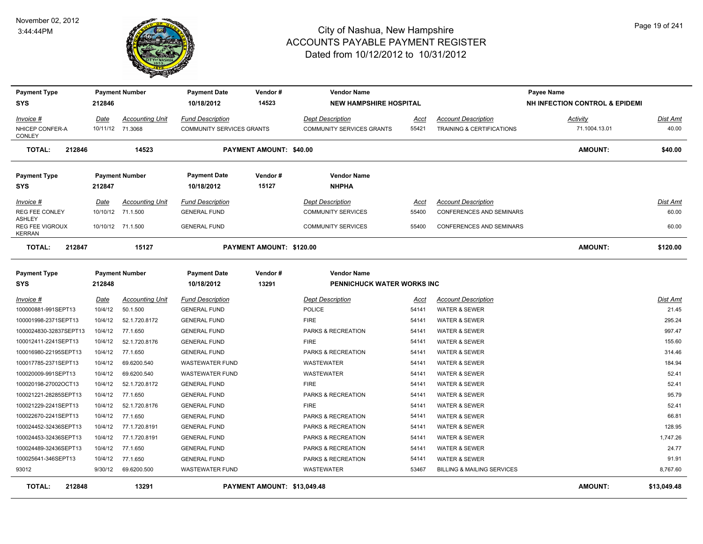

| <b>Payment Type</b>                               |             | <b>Payment Number</b>                      | <b>Payment Date</b>                                  | Vendor#                         | <b>Vendor Name</b>                                   |               |                                                         | Payee Name                                |                   |
|---------------------------------------------------|-------------|--------------------------------------------|------------------------------------------------------|---------------------------------|------------------------------------------------------|---------------|---------------------------------------------------------|-------------------------------------------|-------------------|
| <b>SYS</b>                                        | 212846      |                                            | 10/18/2012                                           | 14523                           | <b>NEW HAMPSHIRE HOSPITAL</b>                        |               |                                                         | <b>NH INFECTION CONTROL &amp; EPIDEMI</b> |                   |
| Invoice #<br>NHICEP CONFER-A                      | Date        | <b>Accounting Unit</b><br>10/11/12 71.3068 | <b>Fund Description</b><br>COMMUNITY SERVICES GRANTS |                                 | <b>Dept Description</b><br>COMMUNITY SERVICES GRANTS | Acct<br>55421 | <b>Account Description</b><br>TRAINING & CERTIFICATIONS | Activity<br>71.1004.13.01                 | Dist Amt<br>40.00 |
| <b>CONLEY</b>                                     |             |                                            |                                                      |                                 |                                                      |               |                                                         |                                           |                   |
| <b>TOTAL:</b><br>212846                           |             | 14523                                      |                                                      | PAYMENT AMOUNT: \$40,00         |                                                      |               |                                                         | <b>AMOUNT:</b>                            | \$40.00           |
| <b>Payment Type</b>                               |             | <b>Payment Number</b>                      | <b>Payment Date</b>                                  | Vendor#                         | <b>Vendor Name</b>                                   |               |                                                         |                                           |                   |
| <b>SYS</b>                                        | 212847      |                                            | 10/18/2012                                           | 15127                           | <b>NHPHA</b>                                         |               |                                                         |                                           |                   |
| Invoice #                                         | Date        | <b>Accounting Unit</b>                     | <b>Fund Description</b>                              |                                 | <b>Dept Description</b>                              | Acct          | <b>Account Description</b>                              |                                           | Dist Amt          |
| <b>REG FEE CONLEY</b>                             |             | 10/10/12 71.1.500                          | <b>GENERAL FUND</b>                                  |                                 | <b>COMMUNITY SERVICES</b>                            | 55400         | <b>CONFERENCES AND SEMINARS</b>                         |                                           | 60.00             |
| <b>ASHLEY</b><br>REG FEE VIGROUX<br><b>KERRAN</b> |             | 10/10/12 71.1.500                          | <b>GENERAL FUND</b>                                  |                                 | <b>COMMUNITY SERVICES</b>                            | 55400         | <b>CONFERENCES AND SEMINARS</b>                         |                                           | 60.00             |
| <b>TOTAL:</b><br>212847                           |             | 15127                                      |                                                      | <b>PAYMENT AMOUNT: \$120.00</b> |                                                      |               |                                                         | <b>AMOUNT:</b>                            | \$120.00          |
| <b>Payment Type</b>                               |             | <b>Payment Number</b>                      | <b>Payment Date</b>                                  | Vendor#                         | <b>Vendor Name</b>                                   |               |                                                         |                                           |                   |
| <b>SYS</b>                                        | 212848      |                                            | 10/18/2012                                           | 13291                           | PENNICHUCK WATER WORKS INC                           |               |                                                         |                                           |                   |
| $Invoice$ #                                       | <u>Date</u> | <b>Accounting Unit</b>                     | <b>Fund Description</b>                              |                                 | <b>Dept Description</b>                              | <u>Acct</u>   | <b>Account Description</b>                              |                                           | <u>Dist Amt</u>   |
| 100000881-991SEPT13                               | 10/4/12     | 50.1.500                                   | <b>GENERAL FUND</b>                                  |                                 | <b>POLICE</b>                                        | 54141         | <b>WATER &amp; SEWER</b>                                |                                           | 21.45             |
| 100001998-2371SEPT13                              | 10/4/12     | 52.1.720.8172                              | <b>GENERAL FUND</b>                                  |                                 | <b>FIRE</b>                                          | 54141         | <b>WATER &amp; SEWER</b>                                |                                           | 295.24            |
| 1000024830-32837SEPT13                            | 10/4/12     | 77.1.650                                   | <b>GENERAL FUND</b>                                  |                                 | PARKS & RECREATION                                   | 54141         | <b>WATER &amp; SEWER</b>                                |                                           | 997.47            |
| 100012411-2241SEPT13                              | 10/4/12     | 52.1.720.8176                              | <b>GENERAL FUND</b>                                  |                                 | <b>FIRE</b>                                          | 54141         | <b>WATER &amp; SEWER</b>                                |                                           | 155.60            |
| 100016980-22195SEPT13                             | 10/4/12     | 77.1.650                                   | <b>GENERAL FUND</b>                                  |                                 | PARKS & RECREATION                                   | 54141         | <b>WATER &amp; SEWER</b>                                |                                           | 314.46            |
| 100017785-2371SEPT13                              | 10/4/12     | 69.6200.540                                | <b>WASTEWATER FUND</b>                               |                                 | <b>WASTEWATER</b>                                    | 54141         | <b>WATER &amp; SEWER</b>                                |                                           | 184.94            |
| 100020009-991SEPT13                               | 10/4/12     | 69.6200.540                                | <b>WASTEWATER FUND</b>                               |                                 | WASTEWATER                                           | 54141         | <b>WATER &amp; SEWER</b>                                |                                           | 52.41             |
| 100020198-27002OCT13                              | 10/4/12     | 52.1.720.8172                              | <b>GENERAL FUND</b>                                  |                                 | <b>FIRE</b>                                          | 54141         | <b>WATER &amp; SEWER</b>                                |                                           | 52.41             |
| 100021221-28285SEPT13                             | 10/4/12     | 77.1.650                                   | <b>GENERAL FUND</b>                                  |                                 | PARKS & RECREATION                                   | 54141         | <b>WATER &amp; SEWER</b>                                |                                           | 95.79             |
| 100021229-2241SEPT13                              | 10/4/12     | 52.1.720.8176                              | <b>GENERAL FUND</b>                                  |                                 | <b>FIRE</b>                                          | 54141         | <b>WATER &amp; SEWER</b>                                |                                           | 52.41             |
| 100022670-2241SEPT13                              | 10/4/12     | 77.1.650                                   | <b>GENERAL FUND</b>                                  |                                 | PARKS & RECREATION                                   | 54141         | <b>WATER &amp; SEWER</b>                                |                                           | 66.81             |
| 100024452-32436SEPT13                             | 10/4/12     | 77.1.720.8191                              | <b>GENERAL FUND</b>                                  |                                 | PARKS & RECREATION                                   | 54141         | <b>WATER &amp; SEWER</b>                                |                                           | 128.95            |
| 100024453-32436SEPT13                             | 10/4/12     | 77.1.720.8191                              | <b>GENERAL FUND</b>                                  |                                 | PARKS & RECREATION                                   | 54141         | <b>WATER &amp; SEWER</b>                                |                                           | 1,747.26          |
| 100024489-32436SEPT13                             | 10/4/12     | 77.1.650                                   | <b>GENERAL FUND</b>                                  |                                 | PARKS & RECREATION                                   | 54141         | <b>WATER &amp; SEWER</b>                                |                                           | 24.77             |
| 100025641-346SEPT13                               | 10/4/12     | 77.1.650                                   | <b>GENERAL FUND</b>                                  |                                 | PARKS & RECREATION                                   | 54141         | <b>WATER &amp; SEWER</b>                                |                                           | 91.91             |
| 93012                                             | 9/30/12     | 69.6200.500                                | <b>WASTEWATER FUND</b>                               |                                 | <b>WASTEWATER</b>                                    | 53467         | <b>BILLING &amp; MAILING SERVICES</b>                   |                                           | 8,767.60          |
| <b>TOTAL:</b><br>212848                           |             | 13291                                      |                                                      | PAYMENT AMOUNT: \$13,049.48     |                                                      |               |                                                         | <b>AMOUNT:</b>                            | \$13,049.48       |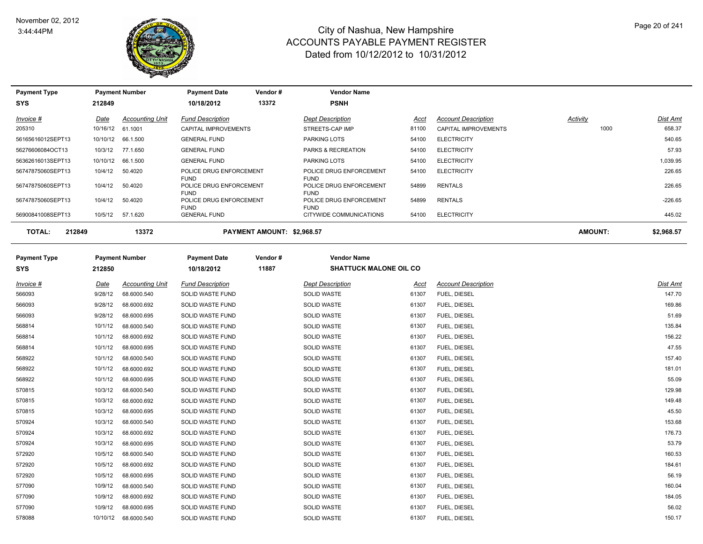

| <b>Payment Type</b>     |          | <b>Payment Number</b>  | <b>Payment Date</b>                                   | Vendor #                   | <b>Vendor Name</b>                                    |       |                            |          |                 |
|-------------------------|----------|------------------------|-------------------------------------------------------|----------------------------|-------------------------------------------------------|-------|----------------------------|----------|-----------------|
| <b>SYS</b>              | 212849   |                        | 10/18/2012                                            | 13372                      | <b>PSNH</b>                                           |       |                            |          |                 |
| Invoice #               | Date     | <b>Accounting Unit</b> | <b>Fund Description</b>                               |                            | <b>Dept Description</b>                               | Acct  | <b>Account Description</b> | Activity | <b>Dist Amt</b> |
| 205310                  | 10/16/12 | 61.1001                | CAPITAL IMPROVEMENTS                                  |                            | STREETS-CAP IMP                                       | 81100 | CAPITAL IMPROVEMENTS       | 1000     | 658.37          |
| 56165616012SEPT13       | 10/10/12 | 66.1.500               | <b>GENERAL FUND</b>                                   |                            | PARKING LOTS                                          | 54100 | <b>ELECTRICITY</b>         |          | 540.65          |
| 56276606084OCT13        | 10/3/12  | 77.1.650               | <b>GENERAL FUND</b>                                   |                            | PARKS & RECREATION                                    | 54100 | <b>ELECTRICITY</b>         |          | 57.93           |
| 56362616013SEPT13       | 10/10/12 | 66.1.500               | <b>GENERAL FUND</b>                                   |                            | <b>PARKING LOTS</b>                                   | 54100 | <b>ELECTRICITY</b>         |          | 1,039.95        |
| 56747875060SEPT13       | 10/4/12  | 50.4020                | POLICE DRUG ENFORCEMENT                               |                            | POLICE DRUG ENFORCEMENT                               | 54100 | <b>ELECTRICITY</b>         |          | 226.65          |
| 56747875060SEPT13       | 10/4/12  | 50.4020                | <b>FUND</b><br>POLICE DRUG ENFORCEMENT<br><b>FUND</b> |                            | <b>FUND</b><br>POLICE DRUG ENFORCEMENT<br><b>FUND</b> | 54899 | <b>RENTALS</b>             |          | 226.65          |
| 56747875060SEPT13       | 10/4/12  | 50.4020                | POLICE DRUG ENFORCEMENT                               |                            | POLICE DRUG ENFORCEMENT                               | 54899 | <b>RENTALS</b>             |          | $-226.65$       |
| 56900841008SEPT13       | 10/5/12  | 57.1.620               | <b>FUND</b><br><b>GENERAL FUND</b>                    |                            | <b>FUND</b><br>CITYWIDE COMMUNICATIONS                | 54100 | <b>ELECTRICITY</b>         |          | 445.02          |
|                         |          |                        |                                                       |                            |                                                       |       |                            |          |                 |
| <b>TOTAL:</b><br>212849 |          | 13372                  |                                                       | PAYMENT AMOUNT: \$2,968.57 |                                                       |       |                            | AMOUNT:  | \$2,968.57      |
| <b>Payment Type</b>     |          | <b>Payment Number</b>  | <b>Payment Date</b>                                   | Vendor#                    | <b>Vendor Name</b>                                    |       |                            |          |                 |
| <b>SYS</b>              | 212850   |                        | 10/18/2012                                            | 11887                      | <b>SHATTUCK MALONE OIL CO</b>                         |       |                            |          |                 |
|                         |          |                        |                                                       |                            |                                                       |       |                            |          |                 |
| Invoice #               | Date     | <b>Accounting Unit</b> | <b>Fund Description</b>                               |                            | <b>Dept Description</b>                               | Acct  | <b>Account Description</b> |          | Dist Amt        |
| 566093                  | 9/28/12  | 68.6000.540            | SOLID WASTE FUND                                      |                            | <b>SOLID WASTE</b>                                    | 61307 | FUEL, DIESEL               |          | 147.70          |
| 566093                  | 9/28/12  | 68.6000.692            | SOLID WASTE FUND                                      |                            | SOLID WASTE                                           | 61307 | FUEL, DIESEL               |          | 169.86          |
| 566093                  | 9/28/12  | 68.6000.695            | SOLID WASTE FUND                                      |                            | <b>SOLID WASTE</b>                                    | 61307 | FUEL, DIESEL               |          | 51.69           |
| 568814                  | 10/1/12  | 68.6000.540            | SOLID WASTE FUND                                      |                            | <b>SOLID WASTE</b>                                    | 61307 | FUEL, DIESEL               |          | 135.84          |
| 568814                  | 10/1/12  | 68.6000.692            | <b>SOLID WASTE FUND</b>                               |                            | <b>SOLID WASTE</b>                                    | 61307 | FUEL, DIESEL               |          | 156.22          |
| 568814                  | 10/1/12  | 68.6000.695            | SOLID WASTE FUND                                      |                            | <b>SOLID WASTE</b>                                    | 61307 | FUEL, DIESEL               |          | 47.55           |
| 568922                  | 10/1/12  | 68.6000.540            | SOLID WASTE FUND                                      |                            | SOLID WASTE                                           | 61307 | FUEL, DIESEL               |          | 157.40          |
| 568922                  | 10/1/12  | 68.6000.692            | SOLID WASTE FUND                                      |                            | SOLID WASTE                                           | 61307 | FUEL, DIESEL               |          | 181.01          |
| 568922                  | 10/1/12  | 68.6000.695            | SOLID WASTE FUND                                      |                            | <b>SOLID WASTE</b>                                    | 61307 | FUEL, DIESEL               |          | 55.09           |
| 570815                  | 10/3/12  | 68.6000.540            | SOLID WASTE FUND                                      |                            | <b>SOLID WASTE</b>                                    | 61307 | FUEL, DIESEL               |          | 129.98          |
| 570815                  | 10/3/12  | 68.6000.692            | <b>SOLID WASTE FUND</b>                               |                            | <b>SOLID WASTE</b>                                    | 61307 | FUEL, DIESEL               |          | 149.48          |
| 570815                  | 10/3/12  | 68.6000.695            | SOLID WASTE FUND                                      |                            | SOLID WASTE                                           | 61307 | FUEL, DIESEL               |          | 45.50           |
| 570924                  | 10/3/12  | 68.6000.540            | SOLID WASTE FUND                                      |                            | SOLID WASTE                                           | 61307 | FUEL, DIESEL               |          | 153.68          |
| 570924                  | 10/3/12  | 68.6000.692            | SOLID WASTE FUND                                      |                            | <b>SOLID WASTE</b>                                    | 61307 | FUEL, DIESEL               |          | 176.73          |
| 570924                  | 10/3/12  | 68.6000.695            | SOLID WASTE FUND                                      |                            | <b>SOLID WASTE</b>                                    | 61307 | FUEL, DIESEL               |          | 53.79           |
| 572920                  | 10/5/12  | 68.6000.540            | SOLID WASTE FUND                                      |                            | <b>SOLID WASTE</b>                                    | 61307 | FUEL, DIESEL               |          | 160.53          |
| 572920                  | 10/5/12  | 68.6000.692            | SOLID WASTE FUND                                      |                            | <b>SOLID WASTE</b>                                    | 61307 | FUEL, DIESEL               |          | 184.61          |
| 572920                  | 10/5/12  | 68.6000.695            | SOLID WASTE FUND                                      |                            | SOLID WASTE                                           | 61307 | FUEL, DIESEL               |          | 56.19           |
| 577090                  | 10/9/12  | 68.6000.540            | SOLID WASTE FUND                                      |                            | <b>SOLID WASTE</b>                                    | 61307 | FUEL, DIESEL               |          | 160.04          |
| 577090                  | 10/9/12  | 68.6000.692            | SOLID WASTE FUND                                      |                            | <b>SOLID WASTE</b>                                    | 61307 | FUEL, DIESEL               |          | 184.05          |

577090 10/9/12 68.6000.695 SOLID WASTE FUND SOLID WASTE 61307 FUEL, DIESEL 578088 10/10/12 68.6000.540 SOLID WASTE FUND SOLID WASTE 61307 FUEL, DIESEL 150.17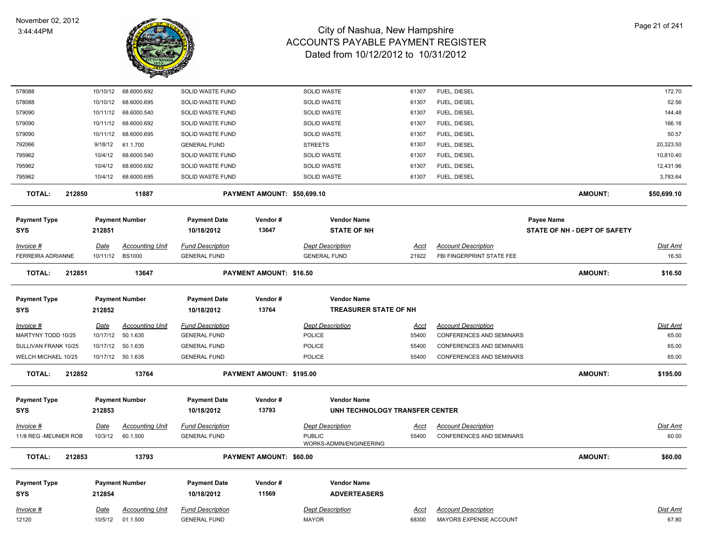

| 578088                  | 10/10/12    | 68.6000.692            | SOLID WASTE FUND        |                             | SOLID WASTE                    | 61307       | FUEL, DIESEL                    |                              | 172.70      |
|-------------------------|-------------|------------------------|-------------------------|-----------------------------|--------------------------------|-------------|---------------------------------|------------------------------|-------------|
| 578088                  | 10/10/12    | 68.6000.695            | SOLID WASTE FUND        |                             | SOLID WASTE                    | 61307       | FUEL, DIESEL                    |                              | 52.56       |
| 579090                  | 10/11/12    | 68.6000.540            | SOLID WASTE FUND        |                             | SOLID WASTE                    | 61307       | FUEL, DIESEL                    |                              | 144.48      |
| 579090                  | 10/11/12    | 68.6000.692            | SOLID WASTE FUND        |                             | SOLID WASTE                    | 61307       | FUEL, DIESEL                    |                              | 166.16      |
| 579090                  | 10/11/12    | 68.6000.695            | SOLID WASTE FUND        |                             | <b>SOLID WASTE</b>             | 61307       | FUEL, DIESEL                    |                              | 50.57       |
| 792066                  | 9/18/12     | 61.1.700               | <b>GENERAL FUND</b>     |                             | <b>STREETS</b>                 | 61307       | FUEL, DIESEL                    |                              | 20,323.50   |
| 795962                  | 10/4/12     | 68.6000.540            | SOLID WASTE FUND        |                             | SOLID WASTE                    | 61307       | FUEL, DIESEL                    |                              | 10,810.40   |
| 795962                  | 10/4/12     | 68.6000.692            | SOLID WASTE FUND        |                             | <b>SOLID WASTE</b>             | 61307       | FUEL, DIESEL                    |                              | 12,431.96   |
| 795962                  | 10/4/12     | 68.6000.695            | SOLID WASTE FUND        |                             | <b>SOLID WASTE</b>             | 61307       | FUEL, DIESEL                    |                              | 3,783.64    |
| <b>TOTAL:</b><br>212850 |             | 11887                  |                         | PAYMENT AMOUNT: \$50,699.10 |                                |             |                                 | <b>AMOUNT:</b>               | \$50,699.10 |
| <b>Payment Type</b>     |             | <b>Payment Number</b>  | <b>Payment Date</b>     | Vendor#                     | <b>Vendor Name</b>             |             |                                 | <b>Payee Name</b>            |             |
| <b>SYS</b>              | 212851      |                        | 10/18/2012              | 13647                       | <b>STATE OF NH</b>             |             |                                 | STATE OF NH - DEPT OF SAFETY |             |
| Invoice #               | <b>Date</b> | <b>Accounting Unit</b> | <b>Fund Description</b> |                             | Dept Description               | <u>Acct</u> | <b>Account Description</b>      |                              | Dist Amt    |
| FERREIRA ADRIANNE       | 10/11/12    | <b>BS1000</b>          | <b>GENERAL FUND</b>     |                             | <b>GENERAL FUND</b>            | 21922       | FBI FINGERPRINT STATE FEE       |                              | 16.50       |
| <b>TOTAL:</b><br>212851 |             | 13647                  |                         | PAYMENT AMOUNT: \$16.50     |                                |             |                                 | <b>AMOUNT:</b>               | \$16.50     |
| <b>Payment Type</b>     |             | <b>Payment Number</b>  | <b>Payment Date</b>     | Vendor#                     | <b>Vendor Name</b>             |             |                                 |                              |             |
| SYS                     | 212852      |                        | 10/18/2012              | 13764                       | <b>TREASURER STATE OF NH</b>   |             |                                 |                              |             |
| $Invoice$ #             | <u>Date</u> | <b>Accounting Unit</b> | <b>Fund Description</b> |                             | <b>Dept Description</b>        | <u>Acct</u> | <b>Account Description</b>      |                              | Dist Amt    |
| MARTYNY TODD 10/25      | 10/17/12    | 50.1.635               | <b>GENERAL FUND</b>     |                             | POLICE                         | 55400       | <b>CONFERENCES AND SEMINARS</b> |                              | 65.00       |
| SULLIVAN FRANK 10/25    | 10/17/12    | 50.1.635               | <b>GENERAL FUND</b>     |                             | <b>POLICE</b>                  | 55400       | <b>CONFERENCES AND SEMINARS</b> |                              | 65.00       |
| WELCH MICHAEL 10/25     |             | 10/17/12  50.1.635     | <b>GENERAL FUND</b>     |                             | <b>POLICE</b>                  | 55400       | <b>CONFERENCES AND SEMINARS</b> |                              | 65.00       |
| <b>TOTAL:</b><br>212852 |             | 13764                  |                         | PAYMENT AMOUNT: \$195.00    |                                |             |                                 | <b>AMOUNT:</b>               | \$195.00    |
| <b>Payment Type</b>     |             | <b>Payment Number</b>  | <b>Payment Date</b>     | Vendor#                     | <b>Vendor Name</b>             |             |                                 |                              |             |
| <b>SYS</b>              | 212853      |                        | 10/18/2012              | 13793                       | UNH TECHNOLOGY TRANSFER CENTER |             |                                 |                              |             |
| Invoice #               | <u>Date</u> | <u>Accounting Unit</u> | <b>Fund Description</b> |                             | <b>Dept Description</b>        | <u>Acct</u> | <b>Account Description</b>      |                              | Dist Amt    |
| 11/8 REG -MEUNIER ROB   | 10/3/12     | 60.1.500               | <b>GENERAL FUND</b>     |                             | <b>PUBLIC</b>                  | 55400       | <b>CONFERENCES AND SEMINARS</b> |                              | 60.00       |
|                         |             |                        |                         |                             | WORKS-ADMIN/ENGINEERING        |             |                                 |                              |             |
| <b>TOTAL:</b><br>212853 |             | 13793                  |                         | PAYMENT AMOUNT: \$60.00     |                                |             |                                 | <b>AMOUNT:</b>               | \$60.00     |
| <b>Payment Type</b>     |             | <b>Payment Number</b>  | <b>Payment Date</b>     | Vendor#                     | <b>Vendor Name</b>             |             |                                 |                              |             |
| <b>SYS</b>              | 212854      |                        | 10/18/2012              | 11569                       | <b>ADVERTEASERS</b>            |             |                                 |                              |             |
| Invoice #               | <u>Date</u> | <b>Accounting Unit</b> | <b>Fund Description</b> |                             | <b>Dept Description</b>        | <u>Acct</u> | <b>Account Description</b>      |                              | Dist Amt    |
| 12120                   | 10/5/12     | 01.1.500               | <b>GENERAL FUND</b>     |                             | <b>MAYOR</b>                   | 68300       | MAYORS EXPENSE ACCOUNT          |                              | 67.80       |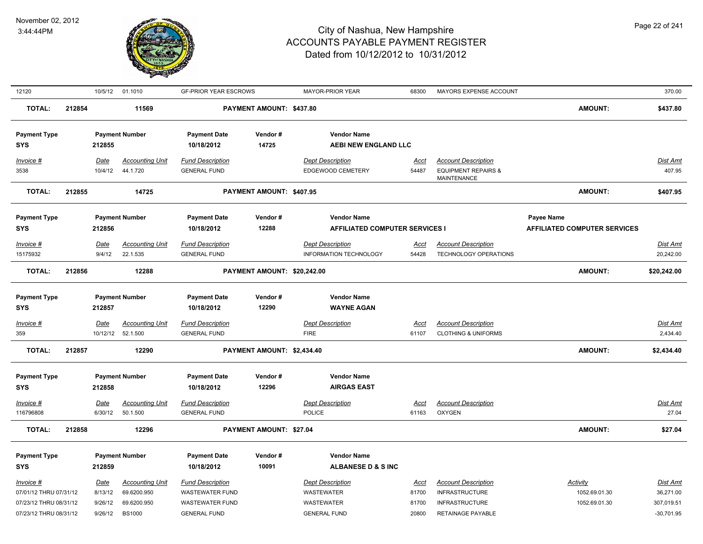

| 12120                             |        |                  | 10/5/12 01.1010                    | <b>GF-PRIOR YEAR ESCROWS</b>                   |                             | <b>MAYOR-PRIOR YEAR</b>                 | 68300         | MAYORS EXPENSE ACCOUNT                                       |                                     | 370.00               |
|-----------------------------------|--------|------------------|------------------------------------|------------------------------------------------|-----------------------------|-----------------------------------------|---------------|--------------------------------------------------------------|-------------------------------------|----------------------|
| <b>TOTAL:</b>                     | 212854 |                  | 11569                              |                                                | PAYMENT AMOUNT: \$437.80    |                                         |               |                                                              | <b>AMOUNT:</b>                      | \$437.80             |
| <b>Payment Type</b>               |        |                  | <b>Payment Number</b>              | <b>Payment Date</b>                            | Vendor#                     | <b>Vendor Name</b>                      |               |                                                              |                                     |                      |
| <b>SYS</b>                        |        | 212855           |                                    | 10/18/2012                                     | 14725                       | <b>AEBI NEW ENGLAND LLC</b>             |               |                                                              |                                     |                      |
| Invoice #                         |        | <u>Date</u>      | <b>Accounting Unit</b>             | <b>Fund Description</b>                        |                             | <b>Dept Description</b>                 | <u>Acct</u>   | <b>Account Description</b>                                   |                                     | <b>Dist Amt</b>      |
| 3538                              |        | 10/4/12          | 44.1.720                           | <b>GENERAL FUND</b>                            |                             | EDGEWOOD CEMETERY                       | 54487         | <b>EQUIPMENT REPAIRS &amp;</b><br>MAINTENANCE                |                                     | 407.95               |
| <b>TOTAL:</b>                     | 212855 |                  | 14725                              |                                                | PAYMENT AMOUNT: \$407.95    |                                         |               |                                                              | AMOUNT:                             | \$407.95             |
| <b>Payment Type</b>               |        |                  | <b>Payment Number</b>              | <b>Payment Date</b>                            | Vendor#                     | <b>Vendor Name</b>                      |               |                                                              | Payee Name                          |                      |
| <b>SYS</b>                        |        | 212856           |                                    | 10/18/2012                                     | 12288                       | <b>AFFILIATED COMPUTER SERVICES I</b>   |               |                                                              | <b>AFFILIATED COMPUTER SERVICES</b> |                      |
| Invoice #                         |        | <b>Date</b>      | <b>Accounting Unit</b>             | <b>Fund Description</b>                        |                             | <b>Dept Description</b>                 | <u>Acct</u>   | <b>Account Description</b>                                   |                                     | <b>Dist Amt</b>      |
| 15175932                          |        | 9/4/12           | 22.1.535                           | <b>GENERAL FUND</b>                            |                             | INFORMATION TECHNOLOGY                  | 54428         | TECHNOLOGY OPERATIONS                                        |                                     | 20,242.00            |
| TOTAL:                            | 212856 |                  | 12288                              |                                                | PAYMENT AMOUNT: \$20,242.00 |                                         |               |                                                              | AMOUNT:                             | \$20,242.00          |
|                                   |        |                  |                                    |                                                |                             |                                         |               |                                                              |                                     |                      |
| <b>Payment Type</b><br><b>SYS</b> |        | 212857           | <b>Payment Number</b>              | <b>Payment Date</b><br>10/18/2012              | Vendor#<br>12290            | <b>Vendor Name</b><br><b>WAYNE AGAN</b> |               |                                                              |                                     |                      |
|                                   |        |                  |                                    |                                                |                             |                                         |               |                                                              |                                     |                      |
| Invoice #<br>359                  |        | Date<br>10/12/12 | <b>Accounting Unit</b><br>52.1.500 | <b>Fund Description</b><br><b>GENERAL FUND</b> |                             | <b>Dept Description</b><br><b>FIRE</b>  | Acct<br>61107 | <b>Account Description</b><br><b>CLOTHING &amp; UNIFORMS</b> |                                     | Dist Amt<br>2,434.40 |
| <b>TOTAL:</b>                     | 212857 |                  | 12290                              |                                                | PAYMENT AMOUNT: \$2,434.40  |                                         |               |                                                              | <b>AMOUNT:</b>                      | \$2,434.40           |
|                                   |        |                  |                                    |                                                |                             |                                         |               |                                                              |                                     |                      |
| <b>Payment Type</b>               |        |                  | <b>Payment Number</b>              | <b>Payment Date</b>                            | Vendor#                     | <b>Vendor Name</b>                      |               |                                                              |                                     |                      |
| <b>SYS</b>                        |        | 212858           |                                    | 10/18/2012                                     | 12296                       | <b>AIRGAS EAST</b>                      |               |                                                              |                                     |                      |
| Invoice #                         |        | <u>Date</u>      | <b>Accounting Unit</b>             | <b>Fund Description</b>                        |                             | <b>Dept Description</b>                 | <u>Acct</u>   | <b>Account Description</b>                                   |                                     | <u>Dist Amt</u>      |
| 116796808                         |        | 6/30/12          | 50.1.500                           | <b>GENERAL FUND</b>                            |                             | <b>POLICE</b>                           | 61163         | <b>OXYGEN</b>                                                |                                     | 27.04                |
| TOTAL:                            | 212858 |                  | 12296                              |                                                | PAYMENT AMOUNT: \$27.04     |                                         |               |                                                              | <b>AMOUNT:</b>                      | \$27.04              |
| <b>Payment Type</b>               |        |                  | <b>Payment Number</b>              | <b>Payment Date</b>                            | Vendor#                     | <b>Vendor Name</b>                      |               |                                                              |                                     |                      |
| <b>SYS</b>                        |        | 212859           |                                    | 10/18/2012                                     | 10091                       | <b>ALBANESE D &amp; S INC</b>           |               |                                                              |                                     |                      |
| Invoice #                         |        | <b>Date</b>      | <b>Accounting Unit</b>             | <b>Fund Description</b>                        |                             | <b>Dept Description</b>                 | Acct          | <b>Account Description</b>                                   | <b>Activity</b>                     | Dist Amt             |
| 07/01/12 THRU 07/31/12            |        | 8/13/12          | 69.6200.950                        | <b>WASTEWATER FUND</b>                         |                             | WASTEWATER                              | 81700         | <b>INFRASTRUCTURE</b>                                        | 1052.69.01.30                       | 36,271.00            |
| 07/23/12 THRU 08/31/12            |        | 9/26/12          | 69.6200.950                        | WASTEWATER FUND                                |                             | WASTEWATER                              | 81700         | <b>INFRASTRUCTURE</b>                                        | 1052.69.01.30                       | 307,019.51           |
| 07/23/12 THRU 08/31/12            |        | 9/26/12          | <b>BS1000</b>                      | <b>GENERAL FUND</b>                            |                             | <b>GENERAL FUND</b>                     | 20800         | RETAINAGE PAYABLE                                            |                                     | $-30,701.95$         |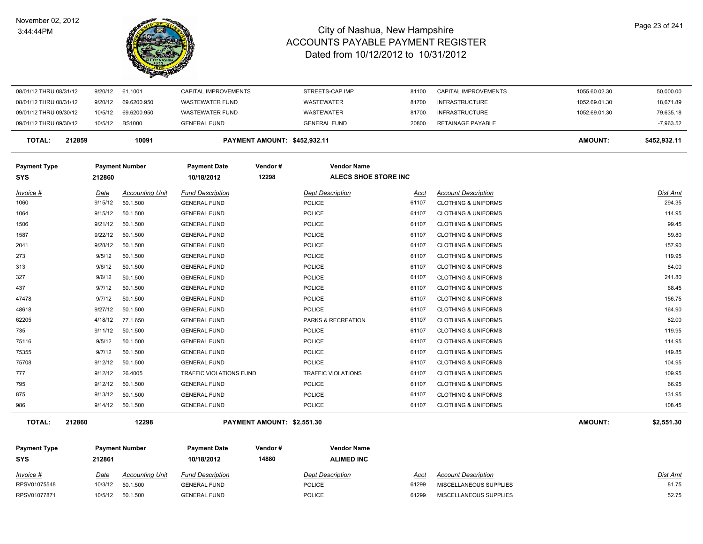#### November 02, 2012 3:44:44PM



| 08/01/12 THRU 08/31/12 |        | 9/20/12     | 61.1001                | CAPITAL IMPROVEMENTS           |                              | STREETS-CAP IMP             | 81100       | <b>CAPITAL IMPROVEMENTS</b>    | 1055.60.02.30  | 50,000.00    |
|------------------------|--------|-------------|------------------------|--------------------------------|------------------------------|-----------------------------|-------------|--------------------------------|----------------|--------------|
| 08/01/12 THRU 08/31/12 |        | 9/20/12     | 69.6200.950            | <b>WASTEWATER FUND</b>         |                              | <b>WASTEWATER</b>           | 81700       | <b>INFRASTRUCTURE</b>          | 1052.69.01.30  | 18,671.89    |
| 09/01/12 THRU 09/30/12 |        | 10/5/12     | 69.6200.950            | <b>WASTEWATER FUND</b>         |                              | WASTEWATER                  | 81700       | <b>INFRASTRUCTURE</b>          | 1052.69.01.30  | 79,635.18    |
| 09/01/12 THRU 09/30/12 |        | 10/5/12     | <b>BS1000</b>          | <b>GENERAL FUND</b>            |                              | <b>GENERAL FUND</b>         | 20800       | <b>RETAINAGE PAYABLE</b>       |                | $-7,963.52$  |
| <b>TOTAL:</b>          | 212859 |             | 10091                  |                                | PAYMENT AMOUNT: \$452,932.11 |                             |             |                                | <b>AMOUNT:</b> | \$452,932.11 |
| Payment Type           |        |             | <b>Payment Number</b>  | <b>Payment Date</b>            | Vendor#                      | <b>Vendor Name</b>          |             |                                |                |              |
| SYS                    |        | 212860      |                        | 10/18/2012                     | 12298                        | <b>ALECS SHOE STORE INC</b> |             |                                |                |              |
| Invoice #              |        | <u>Date</u> | <b>Accounting Unit</b> | <b>Fund Description</b>        |                              | <b>Dept Description</b>     | <u>Acct</u> | <b>Account Description</b>     |                | Dist Amt     |
| 1060                   |        | 9/15/12     | 50.1.500               | <b>GENERAL FUND</b>            |                              | <b>POLICE</b>               | 61107       | <b>CLOTHING &amp; UNIFORMS</b> |                | 294.35       |
| 1064                   |        | 9/15/12     | 50.1.500               | <b>GENERAL FUND</b>            |                              | <b>POLICE</b>               | 61107       | <b>CLOTHING &amp; UNIFORMS</b> |                | 114.95       |
| 1506                   |        | 9/21/12     | 50.1.500               | <b>GENERAL FUND</b>            |                              | POLICE                      | 61107       | <b>CLOTHING &amp; UNIFORMS</b> |                | 99.45        |
| 1587                   |        | 9/22/12     | 50.1.500               | <b>GENERAL FUND</b>            |                              | <b>POLICE</b>               | 61107       | <b>CLOTHING &amp; UNIFORMS</b> |                | 59.80        |
| 2041                   |        | 9/28/12     | 50.1.500               | <b>GENERAL FUND</b>            |                              | POLICE                      | 61107       | <b>CLOTHING &amp; UNIFORMS</b> |                | 157.90       |
| 273                    |        | 9/5/12      | 50.1.500               | <b>GENERAL FUND</b>            |                              | POLICE                      | 61107       | <b>CLOTHING &amp; UNIFORMS</b> |                | 119.95       |
| 313                    |        | 9/6/12      | 50.1.500               | <b>GENERAL FUND</b>            |                              | <b>POLICE</b>               | 61107       | <b>CLOTHING &amp; UNIFORMS</b> |                | 84.00        |
| 327                    |        | 9/6/12      | 50.1.500               | <b>GENERAL FUND</b>            |                              | <b>POLICE</b>               | 61107       | <b>CLOTHING &amp; UNIFORMS</b> |                | 241.80       |
| 437                    |        | 9/7/12      | 50.1.500               | <b>GENERAL FUND</b>            |                              | <b>POLICE</b>               | 61107       | <b>CLOTHING &amp; UNIFORMS</b> |                | 68.45        |
| 47478                  |        | 9/7/12      | 50.1.500               | <b>GENERAL FUND</b>            |                              | <b>POLICE</b>               | 61107       | <b>CLOTHING &amp; UNIFORMS</b> |                | 156.75       |
| 48618                  |        | 9/27/12     | 50.1.500               | <b>GENERAL FUND</b>            |                              | <b>POLICE</b>               | 61107       | <b>CLOTHING &amp; UNIFORMS</b> |                | 164.90       |
| 62205                  |        | 4/18/12     | 77.1.650               | <b>GENERAL FUND</b>            |                              | PARKS & RECREATION          | 61107       | <b>CLOTHING &amp; UNIFORMS</b> |                | 82.00        |
| 735                    |        | 9/11/12     | 50.1.500               | <b>GENERAL FUND</b>            |                              | POLICE                      | 61107       | <b>CLOTHING &amp; UNIFORMS</b> |                | 119.95       |
| 75116                  |        | 9/5/12      | 50.1.500               | <b>GENERAL FUND</b>            |                              | POLICE                      | 61107       | <b>CLOTHING &amp; UNIFORMS</b> |                | 114.95       |
| 75355                  |        | 9/7/12      | 50.1.500               | <b>GENERAL FUND</b>            |                              | POLICE                      | 61107       | <b>CLOTHING &amp; UNIFORMS</b> |                | 149.85       |
| 75708                  |        | 9/12/12     | 50.1.500               | <b>GENERAL FUND</b>            |                              | <b>POLICE</b>               | 61107       | <b>CLOTHING &amp; UNIFORMS</b> |                | 104.95       |
| 777                    |        | 9/12/12     | 26.4005                | <b>TRAFFIC VIOLATIONS FUND</b> |                              | <b>TRAFFIC VIOLATIONS</b>   | 61107       | <b>CLOTHING &amp; UNIFORMS</b> |                | 109.95       |
| 795                    |        | 9/12/12     | 50.1.500               | <b>GENERAL FUND</b>            |                              | <b>POLICE</b>               | 61107       | <b>CLOTHING &amp; UNIFORMS</b> |                | 66.95        |
| 875                    |        | 9/13/12     | 50.1.500               | <b>GENERAL FUND</b>            |                              | <b>POLICE</b>               | 61107       | <b>CLOTHING &amp; UNIFORMS</b> |                | 131.95       |
| 986                    |        | 9/14/12     | 50.1.500               | <b>GENERAL FUND</b>            |                              | <b>POLICE</b>               | 61107       | <b>CLOTHING &amp; UNIFORMS</b> |                | 108.45       |
| <b>TOTAL:</b>          | 212860 |             | 12298                  |                                | PAYMENT AMOUNT: \$2,551.30   |                             |             |                                | <b>AMOUNT:</b> | \$2,551.30   |
| <b>Payment Type</b>    |        |             | <b>Payment Number</b>  | <b>Payment Date</b>            | Vendor#                      | <b>Vendor Name</b>          |             |                                |                |              |
| SYS                    |        | 212861      |                        | 10/18/2012                     | 14880                        | <b>ALIMED INC</b>           |             |                                |                |              |
| Invoice #              |        | Date        | <b>Accounting Unit</b> | <b>Fund Description</b>        |                              | <b>Dept Description</b>     | Acct        | <b>Account Description</b>     |                | Dist Amt     |
| RPSV01075548           |        | 10/3/12     | 50.1.500               | <b>GENERAL FUND</b>            |                              | <b>POLICE</b>               | 61299       | MISCELLANEOUS SUPPLIES         |                | 81.75        |
| RPSV01077871           |        | 10/5/12     | 50.1.500               | <b>GENERAL FUND</b>            |                              | <b>POLICE</b>               | 61299       | MISCELLANEOUS SUPPLIES         |                | 52.75        |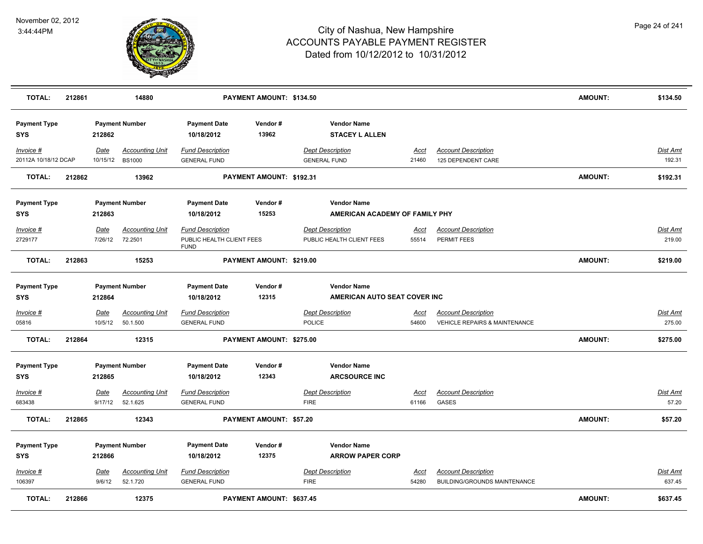

| <b>TOTAL:</b>                     | 212861 |                        | 14880                                   |                                                                     | PAYMENT AMOUNT: \$134.50 |                                                |                                                      |                      |                                                            | <b>AMOUNT:</b> | \$134.50                  |
|-----------------------------------|--------|------------------------|-----------------------------------------|---------------------------------------------------------------------|--------------------------|------------------------------------------------|------------------------------------------------------|----------------------|------------------------------------------------------------|----------------|---------------------------|
| <b>Payment Type</b><br><b>SYS</b> |        | 212862                 | <b>Payment Number</b>                   | <b>Payment Date</b><br>10/18/2012                                   | Vendor#<br>13962         |                                                | <b>Vendor Name</b><br><b>STACEY L ALLEN</b>          |                      |                                                            |                |                           |
| Invoice #<br>20112A 10/18/12 DCAP |        | Date<br>10/15/12       | <b>Accounting Unit</b><br><b>BS1000</b> | <b>Fund Description</b><br><b>GENERAL FUND</b>                      |                          | <b>Dept Description</b><br><b>GENERAL FUND</b> |                                                      | Acct<br>21460        | <b>Account Description</b><br>125 DEPENDENT CARE           |                | Dist Amt<br>192.31        |
| <b>TOTAL:</b>                     | 212862 |                        | 13962                                   |                                                                     | PAYMENT AMOUNT: \$192.31 |                                                |                                                      |                      |                                                            | <b>AMOUNT:</b> | \$192.31                  |
| <b>Payment Type</b><br><b>SYS</b> |        | 212863                 | <b>Payment Number</b>                   | <b>Payment Date</b><br>10/18/2012                                   | Vendor#<br>15253         |                                                | <b>Vendor Name</b><br>AMERICAN ACADEMY OF FAMILY PHY |                      |                                                            |                |                           |
| Invoice #<br>2729177              |        | <b>Date</b><br>7/26/12 | <b>Accounting Unit</b><br>72.2501       | <b>Fund Description</b><br>PUBLIC HEALTH CLIENT FEES<br><b>FUND</b> |                          | <b>Dept Description</b>                        | PUBLIC HEALTH CLIENT FEES                            | <u>Acct</u><br>55514 | <b>Account Description</b><br>PERMIT FEES                  |                | <u>Dist Amt</u><br>219.00 |
| <b>TOTAL:</b>                     | 212863 |                        | 15253                                   |                                                                     | PAYMENT AMOUNT: \$219.00 |                                                |                                                      |                      |                                                            | <b>AMOUNT:</b> | \$219.00                  |
| <b>Payment Type</b><br><b>SYS</b> |        | 212864                 | <b>Payment Number</b>                   | <b>Payment Date</b><br>10/18/2012                                   | Vendor#<br>12315         |                                                | <b>Vendor Name</b><br>AMERICAN AUTO SEAT COVER INC   |                      |                                                            |                |                           |
| Invoice #                         |        | Date                   | <b>Accounting Unit</b>                  | <b>Fund Description</b>                                             |                          | <b>Dept Description</b>                        |                                                      | Acct                 | <b>Account Description</b>                                 |                | <b>Dist Amt</b>           |
| 05816                             |        | 10/5/12                | 50.1.500                                | <b>GENERAL FUND</b>                                                 |                          | <b>POLICE</b>                                  |                                                      | 54600                | <b>VEHICLE REPAIRS &amp; MAINTENANCE</b>                   |                | 275.00                    |
| <b>TOTAL:</b>                     | 212864 |                        | 12315                                   |                                                                     | PAYMENT AMOUNT: \$275.00 |                                                |                                                      |                      |                                                            | <b>AMOUNT:</b> | \$275.00                  |
| <b>Payment Type</b><br><b>SYS</b> |        | 212865                 | <b>Payment Number</b>                   | <b>Payment Date</b><br>10/18/2012                                   | Vendor#<br>12343         |                                                | <b>Vendor Name</b><br><b>ARCSOURCE INC</b>           |                      |                                                            |                |                           |
| Invoice #<br>683438               |        | Date<br>9/17/12        | <b>Accounting Unit</b><br>52.1.625      | <b>Fund Description</b><br><b>GENERAL FUND</b>                      |                          | <b>Dept Description</b><br><b>FIRE</b>         |                                                      | <u>Acct</u><br>61166 | <b>Account Description</b><br><b>GASES</b>                 |                | <b>Dist Amt</b><br>57.20  |
| <b>TOTAL:</b>                     | 212865 |                        | 12343                                   |                                                                     | PAYMENT AMOUNT: \$57.20  |                                                |                                                      |                      |                                                            | <b>AMOUNT:</b> | \$57.20                   |
| <b>Payment Type</b><br><b>SYS</b> |        | 212866                 | <b>Payment Number</b>                   | <b>Payment Date</b><br>10/18/2012                                   | Vendor#<br>12375         |                                                | <b>Vendor Name</b><br><b>ARROW PAPER CORP</b>        |                      |                                                            |                |                           |
| Invoice #<br>106397               |        | <u>Date</u><br>9/6/12  | <b>Accounting Unit</b><br>52.1.720      | <b>Fund Description</b><br><b>GENERAL FUND</b>                      |                          | <b>Dept Description</b><br><b>FIRE</b>         |                                                      | Acct<br>54280        | <b>Account Description</b><br>BUILDING/GROUNDS MAINTENANCE |                | Dist Amt<br>637.45        |
| <b>TOTAL:</b>                     | 212866 |                        | 12375                                   |                                                                     | PAYMENT AMOUNT: \$637.45 |                                                |                                                      |                      |                                                            | <b>AMOUNT:</b> | \$637.45                  |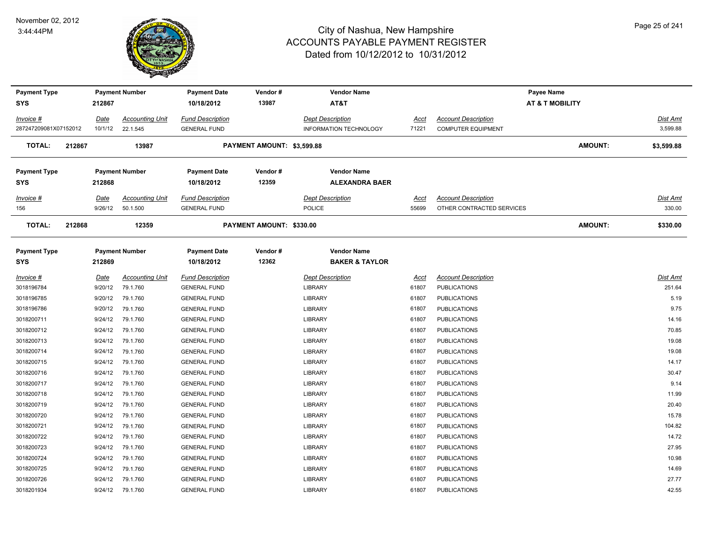

| <b>Payment Type</b>   |        |             | <b>Payment Number</b>  | <b>Payment Date</b>     | Vendor#                    | <b>Vendor Name</b>            |       | Payee Name                 |                            |            |
|-----------------------|--------|-------------|------------------------|-------------------------|----------------------------|-------------------------------|-------|----------------------------|----------------------------|------------|
| SYS                   |        | 212867      |                        | 10/18/2012              | 13987                      | AT&T                          |       |                            | <b>AT &amp; T MOBILITY</b> |            |
| Invoice #             |        | <b>Date</b> | <b>Accounting Unit</b> | <b>Fund Description</b> |                            | <b>Dept Description</b>       | Acct  | <b>Account Description</b> |                            | Dist Amt   |
| 287247209081X07152012 |        | 10/1/12     | 22.1.545               | <b>GENERAL FUND</b>     |                            | <b>INFORMATION TECHNOLOGY</b> | 71221 | <b>COMPUTER EQUIPMENT</b>  |                            | 3,599.88   |
| TOTAL:                | 212867 |             | 13987                  |                         | PAYMENT AMOUNT: \$3,599.88 |                               |       |                            | <b>AMOUNT:</b>             | \$3,599.88 |
| <b>Payment Type</b>   |        |             | <b>Payment Number</b>  | <b>Payment Date</b>     | Vendor#                    | <b>Vendor Name</b>            |       |                            |                            |            |
| SYS                   |        | 212868      |                        | 10/18/2012              | 12359                      | <b>ALEXANDRA BAER</b>         |       |                            |                            |            |
| Invoice #             |        | Date        | <b>Accounting Unit</b> | <b>Fund Description</b> |                            | <b>Dept Description</b>       | Acct  | <b>Account Description</b> |                            | Dist Amt   |
| 156                   |        | 9/26/12     | 50.1.500               | <b>GENERAL FUND</b>     |                            | <b>POLICE</b>                 | 55699 | OTHER CONTRACTED SERVICES  |                            | 330.00     |
| <b>TOTAL:</b>         | 212868 |             | 12359                  |                         | PAYMENT AMOUNT: \$330.00   |                               |       |                            | <b>AMOUNT:</b>             | \$330.00   |
| <b>Payment Type</b>   |        |             | <b>Payment Number</b>  | <b>Payment Date</b>     | Vendor#                    | <b>Vendor Name</b>            |       |                            |                            |            |
| <b>SYS</b>            |        | 212869      |                        | 10/18/2012              | 12362                      | <b>BAKER &amp; TAYLOR</b>     |       |                            |                            |            |
| Invoice #             |        | <b>Date</b> | <b>Accounting Unit</b> | <b>Fund Description</b> |                            | <b>Dept Description</b>       | Acct  | <b>Account Description</b> |                            | Dist Amt   |
| 3018196784            |        | 9/20/12     | 79.1.760               | <b>GENERAL FUND</b>     |                            | LIBRARY                       | 61807 | <b>PUBLICATIONS</b>        |                            | 251.64     |
| 3018196785            |        | 9/20/12     | 79.1.760               | <b>GENERAL FUND</b>     |                            | LIBRARY                       | 61807 | <b>PUBLICATIONS</b>        |                            | 5.19       |
| 3018196786            |        | 9/20/12     | 79.1.760               | <b>GENERAL FUND</b>     |                            | LIBRARY                       | 61807 | <b>PUBLICATIONS</b>        |                            | 9.75       |
| 3018200711            |        | 9/24/12     | 79.1.760               | <b>GENERAL FUND</b>     |                            | <b>LIBRARY</b>                | 61807 | <b>PUBLICATIONS</b>        |                            | 14.16      |
| 3018200712            |        | 9/24/12     | 79.1.760               | <b>GENERAL FUND</b>     |                            | LIBRARY                       | 61807 | <b>PUBLICATIONS</b>        |                            | 70.85      |
| 3018200713            |        | 9/24/12     | 79.1.760               | <b>GENERAL FUND</b>     |                            | <b>LIBRARY</b>                | 61807 | <b>PUBLICATIONS</b>        |                            | 19.08      |
| 3018200714            |        | 9/24/12     | 79.1.760               | <b>GENERAL FUND</b>     |                            | LIBRARY                       | 61807 | <b>PUBLICATIONS</b>        |                            | 19.08      |
| 3018200715            |        | 9/24/12     | 79.1.760               | <b>GENERAL FUND</b>     |                            | <b>LIBRARY</b>                | 61807 | <b>PUBLICATIONS</b>        |                            | 14.17      |
| 3018200716            |        | 9/24/12     | 79.1.760               | <b>GENERAL FUND</b>     |                            | LIBRARY                       | 61807 | <b>PUBLICATIONS</b>        |                            | 30.47      |
| 3018200717            |        | 9/24/12     | 79.1.760               | <b>GENERAL FUND</b>     |                            | <b>LIBRARY</b>                | 61807 | <b>PUBLICATIONS</b>        |                            | 9.14       |
| 3018200718            |        | 9/24/12     | 79.1.760               | <b>GENERAL FUND</b>     |                            | LIBRARY                       | 61807 | <b>PUBLICATIONS</b>        |                            | 11.99      |
| 3018200719            |        | 9/24/12     | 79.1.760               | <b>GENERAL FUND</b>     |                            | LIBRARY                       | 61807 | <b>PUBLICATIONS</b>        |                            | 20.40      |
| 3018200720            |        | 9/24/12     | 79.1.760               | <b>GENERAL FUND</b>     |                            | <b>LIBRARY</b>                | 61807 | <b>PUBLICATIONS</b>        |                            | 15.78      |
| 3018200721            |        | 9/24/12     | 79.1.760               | <b>GENERAL FUND</b>     |                            | LIBRARY                       | 61807 | <b>PUBLICATIONS</b>        |                            | 104.82     |
| 3018200722            |        | 9/24/12     | 79.1.760               | <b>GENERAL FUND</b>     |                            | <b>LIBRARY</b>                | 61807 | <b>PUBLICATIONS</b>        |                            | 14.72      |
| 3018200723            |        | 9/24/12     | 79.1.760               | <b>GENERAL FUND</b>     |                            | LIBRARY                       | 61807 | <b>PUBLICATIONS</b>        |                            | 27.95      |
| 3018200724            |        | 9/24/12     | 79.1.760               | <b>GENERAL FUND</b>     |                            | <b>LIBRARY</b>                | 61807 | <b>PUBLICATIONS</b>        |                            | 10.98      |
| 3018200725            |        | 9/24/12     | 79.1.760               | <b>GENERAL FUND</b>     |                            | LIBRARY                       | 61807 | <b>PUBLICATIONS</b>        |                            | 14.69      |
| 3018200726            |        | 9/24/12     | 79.1.760               | <b>GENERAL FUND</b>     |                            | <b>LIBRARY</b>                | 61807 | <b>PUBLICATIONS</b>        |                            | 27.77      |
| 3018201934            |        | 9/24/12     | 79.1.760               | <b>GENERAL FUND</b>     |                            | <b>LIBRARY</b>                | 61807 | <b>PUBLICATIONS</b>        |                            | 42.55      |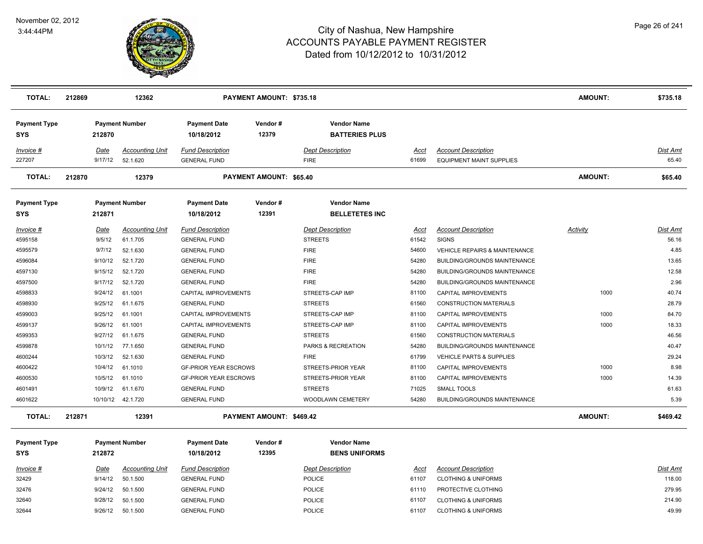

| <b>TOTAL:</b>                     | 212869          | 12362                              |                                                | PAYMENT AMOUNT: \$735.18        |                                             |               |                                                               | AMOUNT:        | \$735.18          |
|-----------------------------------|-----------------|------------------------------------|------------------------------------------------|---------------------------------|---------------------------------------------|---------------|---------------------------------------------------------------|----------------|-------------------|
| <b>Payment Type</b><br><b>SYS</b> | 212870          | <b>Payment Number</b>              | <b>Payment Date</b><br>10/18/2012              | Vendor#<br>12379                | <b>Vendor Name</b><br><b>BATTERIES PLUS</b> |               |                                                               |                |                   |
| Invoice #<br>227207               | Date<br>9/17/12 | <b>Accounting Unit</b><br>52.1.620 | <b>Fund Description</b><br><b>GENERAL FUND</b> |                                 | <b>Dept Description</b><br><b>FIRE</b>      | Acct<br>61699 | <b>Account Description</b><br><b>EQUIPMENT MAINT SUPPLIES</b> |                | Dist Amt<br>65.40 |
| <b>TOTAL:</b>                     | 212870          | 12379                              |                                                | PAYMENT AMOUNT: \$65.40         |                                             |               |                                                               | <b>AMOUNT:</b> | \$65.40           |
| <b>Payment Type</b><br><b>SYS</b> | 212871          | <b>Payment Number</b>              | <b>Payment Date</b><br>10/18/2012              | Vendor#<br>12391                | <b>Vendor Name</b><br><b>BELLETETES INC</b> |               |                                                               |                |                   |
| Invoice #                         | Date            | <b>Accounting Unit</b>             | <b>Fund Description</b>                        |                                 | <b>Dept Description</b>                     | Acct          | <b>Account Description</b>                                    | Activity       | Dist Amt          |
| 4595158                           | 9/5/12          | 61.1.705                           | <b>GENERAL FUND</b>                            |                                 | <b>STREETS</b>                              | 61542         | <b>SIGNS</b>                                                  |                | 56.16             |
| 4595579                           | 9/7/12          | 52.1.630                           | <b>GENERAL FUND</b>                            |                                 | <b>FIRE</b>                                 | 54600         | <b>VEHICLE REPAIRS &amp; MAINTENANCE</b>                      |                | 4.85              |
| 4596084                           | 9/10/12         | 52.1.720                           | <b>GENERAL FUND</b>                            |                                 | <b>FIRE</b>                                 | 54280         | BUILDING/GROUNDS MAINTENANCE                                  |                | 13.65             |
| 4597130                           | 9/15/12         | 52.1.720                           | <b>GENERAL FUND</b>                            |                                 | <b>FIRE</b>                                 | 54280         | BUILDING/GROUNDS MAINTENANCE                                  |                | 12.58             |
| 4597500                           | 9/17/12         | 52.1.720                           | <b>GENERAL FUND</b>                            |                                 | <b>FIRE</b>                                 | 54280         | BUILDING/GROUNDS MAINTENANCE                                  |                | 2.96              |
| 4598833                           | 9/24/12         | 61.1001                            | CAPITAL IMPROVEMENTS                           |                                 | STREETS-CAP IMP                             | 81100         | CAPITAL IMPROVEMENTS                                          | 1000           | 40.74             |
| 4598930                           | 9/25/12         | 61.1.675                           | <b>GENERAL FUND</b>                            |                                 | <b>STREETS</b>                              | 61560         | <b>CONSTRUCTION MATERIALS</b>                                 |                | 28.79             |
| 4599003                           | 9/25/12         | 61.1001                            | CAPITAL IMPROVEMENTS                           |                                 | STREETS-CAP IMP                             | 81100         | CAPITAL IMPROVEMENTS                                          | 1000           | 84.70             |
| 4599137                           | 9/26/12         | 61.1001                            | <b>CAPITAL IMPROVEMENTS</b>                    |                                 | STREETS-CAP IMP                             | 81100         | CAPITAL IMPROVEMENTS                                          | 1000           | 18.33             |
| 4599353                           | 9/27/12         | 61.1.675                           | <b>GENERAL FUND</b>                            |                                 | <b>STREETS</b>                              | 61560         | <b>CONSTRUCTION MATERIALS</b>                                 |                | 46.56             |
| 4599878                           | 10/1/12         | 77.1.650                           | <b>GENERAL FUND</b>                            |                                 | PARKS & RECREATION                          | 54280         | BUILDING/GROUNDS MAINTENANCE                                  |                | 40.47             |
| 4600244                           | 10/3/12         | 52.1.630                           | <b>GENERAL FUND</b>                            |                                 | <b>FIRE</b>                                 | 61799         | <b>VEHICLE PARTS &amp; SUPPLIES</b>                           |                | 29.24             |
| 4600422                           | 10/4/12         | 61.1010                            | <b>GF-PRIOR YEAR ESCROWS</b>                   |                                 | STREETS-PRIOR YEAR                          | 81100         | CAPITAL IMPROVEMENTS                                          | 1000           | 8.98              |
| 4600530                           | 10/5/12         | 61.1010                            | <b>GF-PRIOR YEAR ESCROWS</b>                   |                                 | STREETS-PRIOR YEAR                          | 81100         | CAPITAL IMPROVEMENTS                                          | 1000           | 14.39             |
| 4601491                           | 10/9/12         | 61.1.670                           | <b>GENERAL FUND</b>                            |                                 | <b>STREETS</b>                              | 71025         | <b>SMALL TOOLS</b>                                            |                | 61.63             |
| 4601622                           | 10/10/12        | 42.1.720                           | <b>GENERAL FUND</b>                            |                                 | WOODLAWN CEMETERY                           | 54280         | BUILDING/GROUNDS MAINTENANCE                                  |                | 5.39              |
| <b>TOTAL:</b>                     | 212871          | 12391                              |                                                | <b>PAYMENT AMOUNT: \$469.42</b> |                                             |               |                                                               | AMOUNT:        | \$469.42          |
| <b>Payment Type</b>               |                 | <b>Payment Number</b>              | <b>Payment Date</b>                            | Vendor#                         | <b>Vendor Name</b>                          |               |                                                               |                |                   |
| <b>SYS</b>                        | 212872          |                                    | 10/18/2012                                     | 12395                           | <b>BENS UNIFORMS</b>                        |               |                                                               |                |                   |
| $Invoice$ #                       | <u>Date</u>     | <b>Accounting Unit</b>             | <b>Fund Description</b>                        |                                 | <b>Dept Description</b>                     | <u>Acct</u>   | <b>Account Description</b>                                    |                | <b>Dist Amt</b>   |
| 32429                             | 9/14/12         | 50.1.500                           | <b>GENERAL FUND</b>                            |                                 | <b>POLICE</b>                               | 61107         | <b>CLOTHING &amp; UNIFORMS</b>                                |                | 118.00            |
| 32476                             | 9/24/12         | 50.1.500                           | <b>GENERAL FUND</b>                            |                                 | <b>POLICE</b>                               | 61110         | PROTECTIVE CLOTHING                                           |                | 279.95            |
| 32640                             | 9/28/12         | 50.1.500                           | <b>GENERAL FUND</b>                            |                                 | <b>POLICE</b>                               | 61107         | <b>CLOTHING &amp; UNIFORMS</b>                                |                | 214.90            |
| 32644                             | 9/26/12         | 50.1.500                           | <b>GENERAL FUND</b>                            |                                 | <b>POLICE</b>                               | 61107         | <b>CLOTHING &amp; UNIFORMS</b>                                |                | 49.99             |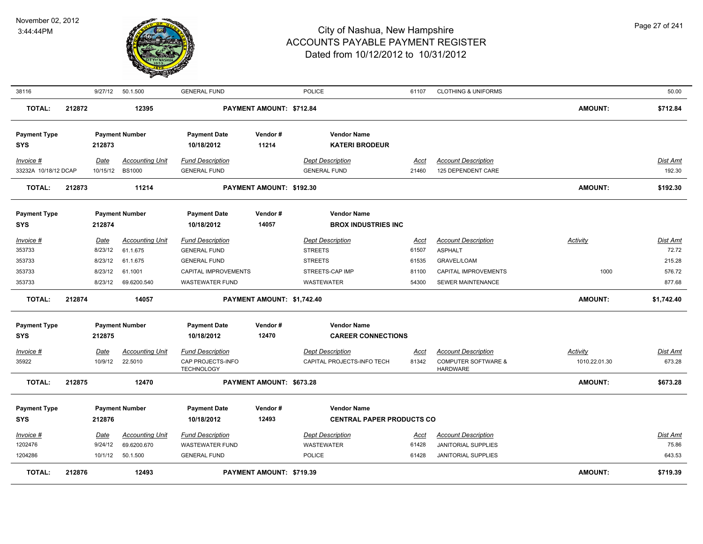

| 38116                             |        | 9/27/12                           | 50.1.500                                          | <b>GENERAL FUND</b>                                                      |                            | <b>POLICE</b>                                               | 61107                         | <b>CLOTHING &amp; UNIFORMS</b>                                                  |                                  | 50.00                       |
|-----------------------------------|--------|-----------------------------------|---------------------------------------------------|--------------------------------------------------------------------------|----------------------------|-------------------------------------------------------------|-------------------------------|---------------------------------------------------------------------------------|----------------------------------|-----------------------------|
| <b>TOTAL:</b>                     | 212872 |                                   | 12395                                             |                                                                          | PAYMENT AMOUNT: \$712.84   |                                                             |                               |                                                                                 | <b>AMOUNT:</b>                   | \$712.84                    |
| <b>Payment Type</b><br><b>SYS</b> |        | 212873                            | <b>Payment Number</b>                             | <b>Payment Date</b><br>10/18/2012                                        | Vendor#<br>11214           | <b>Vendor Name</b><br><b>KATERI BRODEUR</b>                 |                               |                                                                                 |                                  |                             |
| Invoice #<br>33232A 10/18/12 DCAP |        | Date<br>10/15/12                  | <b>Accounting Unit</b><br><b>BS1000</b>           | <b>Fund Description</b><br><b>GENERAL FUND</b>                           |                            | <b>Dept Description</b><br><b>GENERAL FUND</b>              | Acct<br>21460                 | <b>Account Description</b><br>125 DEPENDENT CARE                                |                                  | Dist Amt<br>192.30          |
| <b>TOTAL:</b>                     | 212873 |                                   | 11214                                             |                                                                          | PAYMENT AMOUNT: \$192.30   |                                                             |                               |                                                                                 | <b>AMOUNT:</b>                   | \$192.30                    |
| <b>Payment Type</b><br><b>SYS</b> |        | 212874                            | <b>Payment Number</b>                             | <b>Payment Date</b><br>10/18/2012                                        | Vendor#<br>14057           | <b>Vendor Name</b><br><b>BROX INDUSTRIES INC</b>            |                               |                                                                                 |                                  |                             |
| Invoice #<br>353733<br>353733     |        | <u>Date</u><br>8/23/12<br>8/23/12 | <b>Accounting Unit</b><br>61.1.675<br>61.1.675    | <b>Fund Description</b><br><b>GENERAL FUND</b><br><b>GENERAL FUND</b>    |                            | <b>Dept Description</b><br><b>STREETS</b><br><b>STREETS</b> | Acct<br>61507<br>61535        | <b>Account Description</b><br><b>ASPHALT</b><br>GRAVEL/LOAM                     | <b>Activity</b>                  | Dist Amt<br>72.72<br>215.28 |
| 353733<br>353733                  |        | 8/23/12<br>8/23/12                | 61.1001<br>69.6200.540                            | CAPITAL IMPROVEMENTS<br><b>WASTEWATER FUND</b>                           |                            | STREETS-CAP IMP<br><b>WASTEWATER</b>                        | 81100<br>54300                | CAPITAL IMPROVEMENTS<br>SEWER MAINTENANCE                                       | 1000                             | 576.72<br>877.68            |
| <b>TOTAL:</b>                     | 212874 |                                   | 14057                                             |                                                                          | PAYMENT AMOUNT: \$1,742.40 |                                                             |                               |                                                                                 | <b>AMOUNT:</b>                   | \$1,742.40                  |
| <b>Payment Type</b><br><b>SYS</b> |        | 212875                            | <b>Payment Number</b>                             | <b>Payment Date</b><br>10/18/2012                                        | Vendor#<br>12470           | <b>Vendor Name</b><br><b>CAREER CONNECTIONS</b>             |                               |                                                                                 |                                  |                             |
| Invoice #<br>35922                |        | <b>Date</b><br>10/9/12            | <b>Accounting Unit</b><br>22.5010                 | <b>Fund Description</b><br>CAP PROJECTS-INFO<br><b>TECHNOLOGY</b>        |                            | <b>Dept Description</b><br>CAPITAL PROJECTS-INFO TECH       | <u>Acct</u><br>81342          | <b>Account Description</b><br><b>COMPUTER SOFTWARE &amp;</b><br><b>HARDWARE</b> | <b>Activity</b><br>1010.22.01.30 | Dist Amt<br>673.28          |
| <b>TOTAL:</b>                     | 212875 |                                   | 12470                                             |                                                                          | PAYMENT AMOUNT: \$673.28   |                                                             |                               |                                                                                 | <b>AMOUNT:</b>                   | \$673.28                    |
| <b>Payment Type</b><br><b>SYS</b> |        | 212876                            | <b>Payment Number</b>                             | <b>Payment Date</b><br>10/18/2012                                        | Vendor#<br>12493           | <b>Vendor Name</b><br><b>CENTRAL PAPER PRODUCTS CO</b>      |                               |                                                                                 |                                  |                             |
| $Invoice$ #<br>1202476<br>1204286 |        | <b>Date</b><br>9/24/12<br>10/1/12 | <b>Accounting Unit</b><br>69.6200.670<br>50.1.500 | <b>Fund Description</b><br><b>WASTEWATER FUND</b><br><b>GENERAL FUND</b> |                            | <b>Dept Description</b><br>WASTEWATER<br><b>POLICE</b>      | <u>Acct</u><br>61428<br>61428 | <b>Account Description</b><br>JANITORIAL SUPPLIES<br><b>JANITORIAL SUPPLIES</b> |                                  | Dist Amt<br>75.86<br>643.53 |
| TOTAL:                            | 212876 |                                   | 12493                                             |                                                                          | PAYMENT AMOUNT: \$719.39   |                                                             |                               |                                                                                 | <b>AMOUNT:</b>                   | \$719.39                    |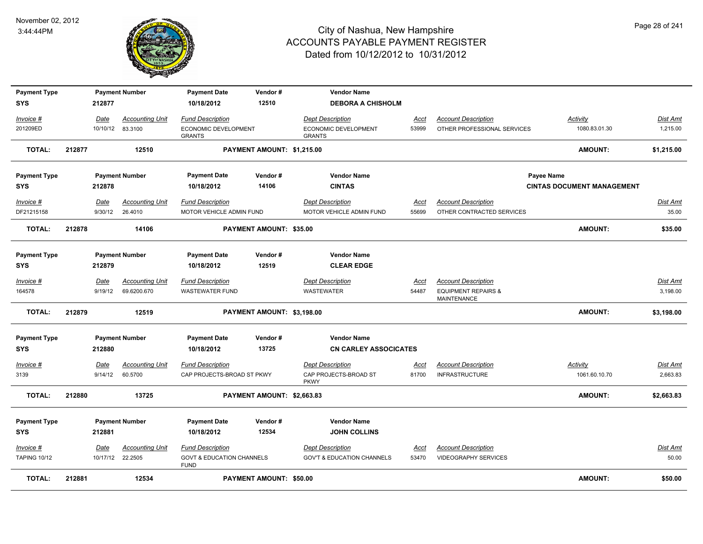

| <b>Payment Type</b> |             | <b>Payment Number</b>  | <b>Payment Date</b>                                 | Vendor#                    | <b>Vendor Name</b>                    |             |                                                      |                                   |                 |
|---------------------|-------------|------------------------|-----------------------------------------------------|----------------------------|---------------------------------------|-------------|------------------------------------------------------|-----------------------------------|-----------------|
| <b>SYS</b>          | 212877      |                        | 10/18/2012                                          | 12510                      | <b>DEBORA A CHISHOLM</b>              |             |                                                      |                                   |                 |
| Invoice #           | Date        | <b>Accounting Unit</b> | <b>Fund Description</b>                             |                            | <b>Dept Description</b>               | Acct        | <b>Account Description</b>                           | Activity                          | Dist Amt        |
| 201209ED            | 10/10/12    | 83.3100                | ECONOMIC DEVELOPMENT<br><b>GRANTS</b>               |                            | ECONOMIC DEVELOPMENT<br><b>GRANTS</b> | 53999       | OTHER PROFESSIONAL SERVICES                          | 1080.83.01.30                     | 1,215.00        |
| TOTAL:              | 212877      | 12510                  |                                                     | PAYMENT AMOUNT: \$1,215.00 |                                       |             |                                                      | AMOUNT:                           | \$1,215.00      |
| <b>Payment Type</b> |             | <b>Payment Number</b>  | <b>Payment Date</b>                                 | Vendor#                    | <b>Vendor Name</b>                    |             |                                                      | Payee Name                        |                 |
| <b>SYS</b>          | 212878      |                        | 10/18/2012                                          | 14106                      | <b>CINTAS</b>                         |             |                                                      | <b>CINTAS DOCUMENT MANAGEMENT</b> |                 |
| Invoice #           | Date        | <b>Accounting Unit</b> | <b>Fund Description</b>                             |                            | <b>Dept Description</b>               | <u>Acct</u> | <b>Account Description</b>                           |                                   | Dist Amt        |
| DF21215158          | 9/30/12     | 26.4010                | MOTOR VEHICLE ADMIN FUND                            |                            | MOTOR VEHICLE ADMIN FUND              | 55699       | OTHER CONTRACTED SERVICES                            |                                   | 35.00           |
| <b>TOTAL:</b>       | 212878      | 14106                  |                                                     | PAYMENT AMOUNT: \$35.00    |                                       |             |                                                      | AMOUNT:                           | \$35.00         |
| <b>Payment Type</b> |             | <b>Payment Number</b>  | <b>Payment Date</b>                                 | Vendor#                    | <b>Vendor Name</b>                    |             |                                                      |                                   |                 |
| <b>SYS</b>          | 212879      |                        | 10/18/2012                                          | 12519                      | <b>CLEAR EDGE</b>                     |             |                                                      |                                   |                 |
| Invoice #           | Date        | <b>Accounting Unit</b> | <b>Fund Description</b>                             |                            | <b>Dept Description</b>               | <u>Acct</u> | <b>Account Description</b>                           |                                   | <b>Dist Amt</b> |
| 164578              | 9/19/12     | 69.6200.670            | <b>WASTEWATER FUND</b>                              |                            | <b>WASTEWATER</b>                     | 54487       | <b>EQUIPMENT REPAIRS &amp;</b><br><b>MAINTENANCE</b> |                                   | 3,198.00        |
| <b>TOTAL:</b>       | 212879      | 12519                  |                                                     | PAYMENT AMOUNT: \$3,198.00 |                                       |             |                                                      | AMOUNT:                           | \$3,198.00      |
| <b>Payment Type</b> |             | <b>Payment Number</b>  | <b>Payment Date</b>                                 | Vendor#                    | <b>Vendor Name</b>                    |             |                                                      |                                   |                 |
| <b>SYS</b>          | 212880      |                        | 10/18/2012                                          | 13725                      | <b>CN CARLEY ASSOCICATES</b>          |             |                                                      |                                   |                 |
| $Invoice$ #         | Date        | <b>Accounting Unit</b> | <b>Fund Description</b>                             |                            | <b>Dept Description</b>               | <b>Acct</b> | <b>Account Description</b>                           | Activity                          | <b>Dist Amt</b> |
| 3139                | 9/14/12     | 60.5700                | CAP PROJECTS-BROAD ST PKWY                          |                            | CAP PROJECTS-BROAD ST<br><b>PKWY</b>  | 81700       | <b>INFRASTRUCTURE</b>                                | 1061.60.10.70                     | 2,663.83        |
| <b>TOTAL:</b>       | 212880      | 13725                  |                                                     | PAYMENT AMOUNT: \$2,663.83 |                                       |             |                                                      | AMOUNT:                           | \$2,663.83      |
| <b>Payment Type</b> |             | <b>Payment Number</b>  | <b>Payment Date</b>                                 | Vendor#                    | <b>Vendor Name</b>                    |             |                                                      |                                   |                 |
| <b>SYS</b>          | 212881      |                        | 10/18/2012                                          | 12534                      | <b>JOHN COLLINS</b>                   |             |                                                      |                                   |                 |
| Invoice #           | <u>Date</u> | <b>Accounting Unit</b> | <b>Fund Description</b>                             |                            | <b>Dept Description</b>               | <u>Acct</u> | <b>Account Description</b>                           |                                   | <u>Dist Amt</u> |
| <b>TAPING 10/12</b> | 10/17/12    | 22.2505                | <b>GOVT &amp; EDUCATION CHANNELS</b><br><b>FUND</b> |                            | <b>GOV'T &amp; EDUCATION CHANNELS</b> | 53470       | <b>VIDEOGRAPHY SERVICES</b>                          |                                   | 50.00           |
| <b>TOTAL:</b>       | 212881      | 12534                  |                                                     | PAYMENT AMOUNT: \$50.00    |                                       |             |                                                      | AMOUNT:                           | \$50.00         |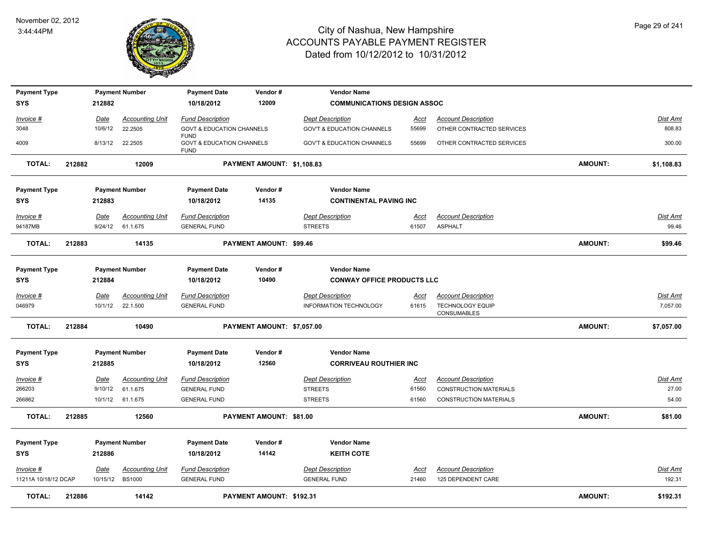

| <b>Payment Type</b><br><b>SYS</b> |        | 212882          | <b>Payment Number</b>              | <b>Payment Date</b><br>10/18/2012                                  | Vendor#<br>12009                | <b>Vendor Name</b><br><b>COMMUNICATIONS DESIGN ASSOC</b> |                      |                                               |                |                   |
|-----------------------------------|--------|-----------------|------------------------------------|--------------------------------------------------------------------|---------------------------------|----------------------------------------------------------|----------------------|-----------------------------------------------|----------------|-------------------|
| Invoice #                         |        | Date            | <b>Accounting Unit</b>             | <b>Fund Description</b>                                            |                                 | <b>Dept Description</b>                                  | <u>Acct</u>          | <b>Account Description</b>                    |                | <b>Dist Amt</b>   |
| 3048                              |        | 10/6/12         | 22.2505                            | <b>GOVT &amp; EDUCATION CHANNELS</b>                               |                                 | <b>GOV'T &amp; EDUCATION CHANNELS</b>                    | 55699                | OTHER CONTRACTED SERVICES                     |                | 808.83            |
| 4009                              |        | 8/13/12         | 22.2505                            | <b>FUND</b><br><b>GOVT &amp; EDUCATION CHANNELS</b><br><b>FUND</b> |                                 | <b>GOV'T &amp; EDUCATION CHANNELS</b>                    | 55699                | OTHER CONTRACTED SERVICES                     |                | 300.00            |
| <b>TOTAL:</b>                     | 212882 |                 | 12009                              |                                                                    | PAYMENT AMOUNT: \$1,108.83      |                                                          |                      |                                               | AMOUNT:        | \$1,108.83        |
| <b>Payment Type</b>               |        |                 | <b>Payment Number</b>              | <b>Payment Date</b>                                                | Vendor#                         | <b>Vendor Name</b>                                       |                      |                                               |                |                   |
| <b>SYS</b>                        |        | 212883          |                                    | 10/18/2012                                                         | 14135                           | <b>CONTINENTAL PAVING INC</b>                            |                      |                                               |                |                   |
| Invoice #<br>94187MB              |        | Date<br>9/24/12 | <b>Accounting Unit</b><br>61.1.675 | <b>Fund Description</b><br><b>GENERAL FUND</b>                     |                                 | <b>Dept Description</b><br><b>STREETS</b>                | <u>Acct</u><br>61507 | <b>Account Description</b><br><b>ASPHALT</b>  |                | Dist Amt<br>99.46 |
| <b>TOTAL:</b>                     | 212883 |                 | 14135                              |                                                                    | PAYMENT AMOUNT: \$99.46         |                                                          |                      |                                               | AMOUNT:        | \$99.46           |
| <b>Payment Type</b><br><b>SYS</b> |        | 212884          | <b>Payment Number</b>              | <b>Payment Date</b><br>10/18/2012                                  | Vendor#<br>10490                | <b>Vendor Name</b><br><b>CONWAY OFFICE PRODUCTS LLC</b>  |                      |                                               |                |                   |
| Invoice #                         |        | Date            | <b>Accounting Unit</b>             | <b>Fund Description</b>                                            |                                 | <b>Dept Description</b>                                  | <u>Acct</u>          | <b>Account Description</b>                    |                | Dist Amt          |
| 046979                            |        | 10/1/12         | 22.1.500                           | <b>GENERAL FUND</b>                                                |                                 | <b>INFORMATION TECHNOLOGY</b>                            | 61615                | <b>TECHNOLOGY EQUIP</b><br><b>CONSUMABLES</b> |                | 7,057.00          |
| <b>TOTAL:</b>                     | 212884 |                 | 10490                              |                                                                    | PAYMENT AMOUNT: \$7,057.00      |                                                          |                      |                                               | AMOUNT:        | \$7,057.00        |
| <b>Payment Type</b><br><b>SYS</b> |        | 212885          | <b>Payment Number</b>              | <b>Payment Date</b><br>10/18/2012                                  | Vendor#<br>12560                | <b>Vendor Name</b><br><b>CORRIVEAU ROUTHIER INC</b>      |                      |                                               |                |                   |
| Invoice #                         |        | Date            | <b>Accounting Unit</b>             | <b>Fund Description</b>                                            |                                 | <b>Dept Description</b>                                  | <u>Acct</u>          | <b>Account Description</b>                    |                | Dist Amt          |
| 266203                            |        | 9/10/12         | 61.1.675                           | <b>GENERAL FUND</b>                                                |                                 | <b>STREETS</b>                                           | 61560                | <b>CONSTRUCTION MATERIALS</b>                 |                | 27.00             |
| 266862                            |        |                 | 10/1/12 61.1.675                   | <b>GENERAL FUND</b>                                                |                                 | <b>STREETS</b>                                           | 61560                | <b>CONSTRUCTION MATERIALS</b>                 |                | 54.00             |
| <b>TOTAL:</b>                     | 212885 |                 | 12560                              |                                                                    | PAYMENT AMOUNT: \$81.00         |                                                          |                      |                                               | AMOUNT:        | \$81.00           |
| <b>Payment Type</b>               |        |                 | <b>Payment Number</b>              | <b>Payment Date</b>                                                | Vendor#                         | <b>Vendor Name</b>                                       |                      |                                               |                |                   |
| <b>SYS</b>                        |        | 212886          |                                    | 10/18/2012                                                         | 14142                           | <b>KEITH COTE</b>                                        |                      |                                               |                |                   |
| Invoice #                         |        | Date            | <b>Accounting Unit</b>             | <b>Fund Description</b>                                            |                                 | <b>Dept Description</b>                                  | Acct                 | <b>Account Description</b>                    |                | Dist Amt          |
| 11211A 10/18/12 DCAP              |        | 10/15/12        | <b>BS1000</b>                      | <b>GENERAL FUND</b>                                                |                                 | <b>GENERAL FUND</b>                                      | 21460                | 125 DEPENDENT CARE                            |                | 192.31            |
| TOTAL:                            | 212886 |                 | 14142                              |                                                                    | <b>PAYMENT AMOUNT: \$192.31</b> |                                                          |                      |                                               | <b>AMOUNT:</b> | \$192.31          |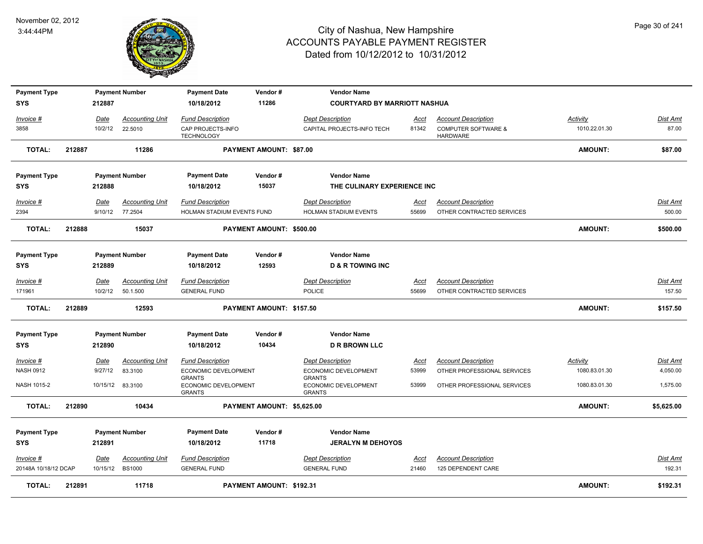

| <b>Payment Type</b>  |        |             | <b>Payment Number</b>  | <b>Payment Date</b>                                    | Vendor#                    | <b>Vendor Name</b>                                     |             |                                                   |                |                 |
|----------------------|--------|-------------|------------------------|--------------------------------------------------------|----------------------------|--------------------------------------------------------|-------------|---------------------------------------------------|----------------|-----------------|
| <b>SYS</b>           |        | 212887      |                        | 10/18/2012                                             | 11286                      | <b>COURTYARD BY MARRIOTT NASHUA</b>                    |             |                                                   |                |                 |
| Invoice #            |        | Date        | <b>Accounting Unit</b> | <b>Fund Description</b>                                |                            | <b>Dept Description</b>                                | Acct        | <b>Account Description</b>                        | Activity       | Dist Amt        |
| 3858                 |        | 10/2/12     | 22.5010                | CAP PROJECTS-INFO<br><b>TECHNOLOGY</b>                 |                            | CAPITAL PROJECTS-INFO TECH                             | 81342       | <b>COMPUTER SOFTWARE &amp;</b><br><b>HARDWARE</b> | 1010.22.01.30  | 87.00           |
| <b>TOTAL:</b>        | 212887 |             | 11286                  |                                                        | PAYMENT AMOUNT: \$87.00    |                                                        |             |                                                   | <b>AMOUNT:</b> | \$87.00         |
| <b>Payment Type</b>  |        |             | <b>Payment Number</b>  | <b>Payment Date</b>                                    | Vendor#                    | <b>Vendor Name</b>                                     |             |                                                   |                |                 |
| <b>SYS</b>           |        | 212888      |                        | 10/18/2012                                             | 15037                      | THE CULINARY EXPERIENCE INC                            |             |                                                   |                |                 |
| Invoice #            |        | Date        | <b>Accounting Unit</b> | <b>Fund Description</b>                                |                            | <b>Dept Description</b>                                | Acct        | <b>Account Description</b>                        |                | Dist Amt        |
| 2394                 |        |             | 9/10/12 77.2504        | HOLMAN STADIUM EVENTS FUND                             |                            | HOLMAN STADIUM EVENTS                                  | 55699       | OTHER CONTRACTED SERVICES                         |                | 500.00          |
| TOTAL:               | 212888 |             | 15037                  |                                                        | PAYMENT AMOUNT: \$500.00   |                                                        |             |                                                   | <b>AMOUNT:</b> | \$500.00        |
| <b>Payment Type</b>  |        |             | <b>Payment Number</b>  | <b>Payment Date</b>                                    | Vendor#                    | <b>Vendor Name</b>                                     |             |                                                   |                |                 |
| <b>SYS</b>           |        | 212889      |                        | 10/18/2012                                             | 12593                      | <b>D &amp; R TOWING INC</b>                            |             |                                                   |                |                 |
| <u>Invoice #</u>     |        | <u>Date</u> | <b>Accounting Unit</b> | <b>Fund Description</b>                                |                            | <b>Dept Description</b>                                | <u>Acct</u> | <b>Account Description</b>                        |                | <b>Dist Amt</b> |
| 171961               |        | 10/2/12     | 50.1.500               | <b>GENERAL FUND</b>                                    |                            | POLICE                                                 | 55699       | OTHER CONTRACTED SERVICES                         |                | 157.50          |
| <b>TOTAL:</b>        | 212889 |             | 12593                  |                                                        | PAYMENT AMOUNT: \$157.50   |                                                        |             |                                                   | <b>AMOUNT:</b> | \$157.50        |
| <b>Payment Type</b>  |        |             | <b>Payment Number</b>  | <b>Payment Date</b>                                    | Vendor#                    | <b>Vendor Name</b>                                     |             |                                                   |                |                 |
| <b>SYS</b>           |        | 212890      |                        | 10/18/2012                                             | 10434                      | <b>D R BROWN LLC</b>                                   |             |                                                   |                |                 |
| Invoice #            |        | Date        | <b>Accounting Unit</b> | <b>Fund Description</b>                                |                            | <b>Dept Description</b>                                | Acct        | <b>Account Description</b>                        | Activity       | <b>Dist Amt</b> |
| <b>NASH 0912</b>     |        | 9/27/12     | 83.3100                | ECONOMIC DEVELOPMENT                                   |                            | ECONOMIC DEVELOPMENT                                   | 53999       | OTHER PROFESSIONAL SERVICES                       | 1080.83.01.30  | 4,050.00        |
| NASH 1015-2          |        | 10/15/12    | 83.3100                | <b>GRANTS</b><br>ECONOMIC DEVELOPMENT<br><b>GRANTS</b> |                            | <b>GRANTS</b><br>ECONOMIC DEVELOPMENT<br><b>GRANTS</b> | 53999       | OTHER PROFESSIONAL SERVICES                       | 1080.83.01.30  | 1,575.00        |
| <b>TOTAL:</b>        | 212890 |             | 10434                  |                                                        | PAYMENT AMOUNT: \$5,625.00 |                                                        |             |                                                   | <b>AMOUNT:</b> | \$5,625.00      |
| <b>Payment Type</b>  |        |             | <b>Payment Number</b>  | <b>Payment Date</b>                                    | Vendor#                    | <b>Vendor Name</b>                                     |             |                                                   |                |                 |
| <b>SYS</b>           |        | 212891      |                        | 10/18/2012                                             | 11718                      | <b>JERALYN M DEHOYOS</b>                               |             |                                                   |                |                 |
| Invoice #            |        | <u>Date</u> | <b>Accounting Unit</b> | <b>Fund Description</b>                                |                            | <b>Dept Description</b>                                | Acct        | <b>Account Description</b>                        |                | Dist Amt        |
| 20148A 10/18/12 DCAP |        | 10/15/12    | <b>BS1000</b>          | <b>GENERAL FUND</b>                                    |                            | <b>GENERAL FUND</b>                                    | 21460       | 125 DEPENDENT CARE                                |                | 192.31          |
| <b>TOTAL:</b>        | 212891 |             | 11718                  |                                                        | PAYMENT AMOUNT: \$192.31   |                                                        |             |                                                   | <b>AMOUNT:</b> | \$192.31        |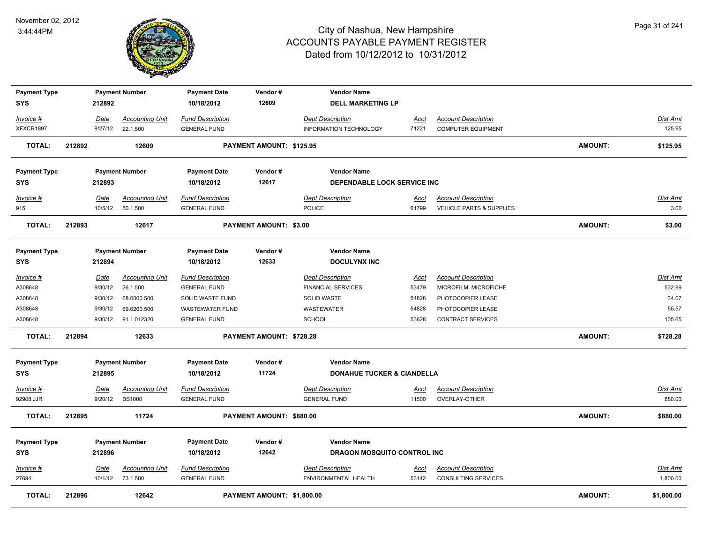

| <b>Payment Type</b><br>SYS |        | 212892  | <b>Payment Number</b>  | <b>Payment Date</b><br>10/18/2012 | Vendor#<br>12609           | <b>Vendor Name</b><br><b>DELL MARKETING LP</b> |             |                            |                |                 |
|----------------------------|--------|---------|------------------------|-----------------------------------|----------------------------|------------------------------------------------|-------------|----------------------------|----------------|-----------------|
| Invoice #                  |        | Date    | <b>Accounting Unit</b> | <b>Fund Description</b>           |                            | <b>Dept Description</b>                        | Acct        | <b>Account Description</b> |                | Dist Amt        |
| XFXCR1897                  |        | 9/27/12 | 22.1.500               | <b>GENERAL FUND</b>               |                            | INFORMATION TECHNOLOGY                         | 71221       | <b>COMPUTER EQUIPMENT</b>  |                | 125.95          |
| <b>TOTAL:</b>              | 212892 |         | 12609                  |                                   | PAYMENT AMOUNT: \$125.95   |                                                |             |                            | <b>AMOUNT:</b> | \$125.95        |
| <b>Payment Type</b>        |        |         | <b>Payment Number</b>  | <b>Payment Date</b>               | Vendor#                    | <b>Vendor Name</b>                             |             |                            |                |                 |
| <b>SYS</b>                 |        | 212893  |                        | 10/18/2012                        | 12617                      | DEPENDABLE LOCK SERVICE INC                    |             |                            |                |                 |
| Invoice #                  |        | Date    | <b>Accounting Unit</b> | <b>Fund Description</b>           |                            | <b>Dept Description</b>                        | <u>Acct</u> | <b>Account Description</b> |                | Dist Amt        |
| 915                        |        | 10/5/12 | 50.1.500               | <b>GENERAL FUND</b>               |                            | POLICE                                         | 61799       | VEHICLE PARTS & SUPPLIES   |                | 3.00            |
| <b>TOTAL:</b>              | 212893 |         | 12617                  |                                   | PAYMENT AMOUNT: \$3.00     |                                                |             |                            | <b>AMOUNT:</b> | \$3.00          |
| <b>Payment Type</b>        |        |         | <b>Payment Number</b>  | <b>Payment Date</b>               | Vendor#                    | <b>Vendor Name</b>                             |             |                            |                |                 |
| <b>SYS</b>                 |        | 212894  |                        | 10/18/2012                        | 12633                      | <b>DOCULYNX INC</b>                            |             |                            |                |                 |
| Invoice #                  |        | Date    | <b>Accounting Unit</b> | <b>Fund Description</b>           |                            | <b>Dept Description</b>                        | Acct        | <b>Account Description</b> |                | Dist Amt        |
| A308648                    |        | 9/30/12 | 26.1.500               | <b>GENERAL FUND</b>               |                            | <b>FINANCIAL SERVICES</b>                      | 53479       | MICROFILM, MICROFICHE      |                | 532.99          |
| A308648                    |        | 9/30/12 | 68.6000.500            | SOLID WASTE FUND                  |                            | SOLID WASTE                                    | 54828       | PHOTOCOPIER LEASE          |                | 34.07           |
| A308648                    |        | 9/30/12 | 69.6200.500            | <b>WASTEWATER FUND</b>            |                            | <b>WASTEWATER</b>                              | 54828       | PHOTOCOPIER LEASE          |                | 55.57           |
| A308648                    |        | 9/30/12 | 91.1.012320            | <b>GENERAL FUND</b>               |                            | SCHOOL                                         | 53628       | <b>CONTRACT SERVICES</b>   |                | 105.65          |
| <b>TOTAL:</b>              | 212894 |         | 12633                  |                                   | PAYMENT AMOUNT: \$728.28   |                                                |             |                            | AMOUNT:        | \$728.28        |
| <b>Payment Type</b>        |        |         | <b>Payment Number</b>  | <b>Payment Date</b>               | Vendor#                    | <b>Vendor Name</b>                             |             |                            |                |                 |
| SYS                        |        | 212895  |                        | 10/18/2012                        | 11724                      | <b>DONAHUE TUCKER &amp; CIANDELLA</b>          |             |                            |                |                 |
| Invoice #                  |        | Date    | <b>Accounting Unit</b> | <b>Fund Description</b>           |                            | <b>Dept Description</b>                        | <b>Acct</b> | <b>Account Description</b> |                | Dist Amt        |
| 92908 JJR                  |        | 9/20/12 | <b>BS1000</b>          | <b>GENERAL FUND</b>               |                            | <b>GENERAL FUND</b>                            | 11500       | OVERLAY-OTHER              |                | 880.00          |
| <b>TOTAL:</b>              | 212895 |         | 11724                  |                                   | PAYMENT AMOUNT: \$880.00   |                                                |             |                            | <b>AMOUNT:</b> | \$880.00        |
| <b>Payment Type</b>        |        |         | <b>Payment Number</b>  | <b>Payment Date</b>               | Vendor#                    | <b>Vendor Name</b>                             |             |                            |                |                 |
| <b>SYS</b>                 |        | 212896  |                        | 10/18/2012                        | 12642                      | DRAGON MOSQUITO CONTROL INC                    |             |                            |                |                 |
| $Invoice$ #                |        | Date    | <b>Accounting Unit</b> | <b>Fund Description</b>           |                            | <b>Dept Description</b>                        | <u>Acct</u> | <b>Account Description</b> |                | <b>Dist Amt</b> |
| 27694                      |        |         | 10/1/12 73.1.500       | <b>GENERAL FUND</b>               |                            | ENVIRONMENTAL HEALTH                           | 53142       | <b>CONSULTING SERVICES</b> |                | 1,800.00        |
| <b>TOTAL:</b>              | 212896 |         | 12642                  |                                   | PAYMENT AMOUNT: \$1,800.00 |                                                |             |                            | <b>AMOUNT:</b> | \$1,800.00      |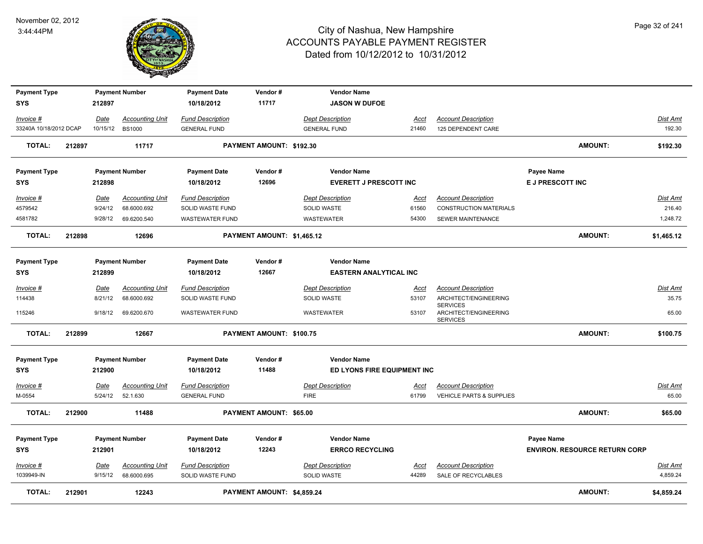

| <b>Payment Type</b><br>SYS |        | 212897      | <b>Payment Number</b>  | <b>Payment Date</b><br>10/18/2012 | Vendor#<br>11717               | <b>Vendor Name</b><br><b>JASON W DUFOE</b> |             |                                          |                                      |                 |
|----------------------------|--------|-------------|------------------------|-----------------------------------|--------------------------------|--------------------------------------------|-------------|------------------------------------------|--------------------------------------|-----------------|
|                            |        |             |                        |                                   |                                |                                            |             |                                          |                                      |                 |
| Invoice #                  |        | Date        | <b>Accounting Unit</b> | <b>Fund Description</b>           |                                | <b>Dept Description</b>                    | Acct        | <b>Account Description</b>               |                                      | Dist Amt        |
| 33240A 10/18/2012 DCAP     |        | 10/15/12    | <b>BS1000</b>          | <b>GENERAL FUND</b>               |                                | <b>GENERAL FUND</b>                        | 21460       | 125 DEPENDENT CARE                       |                                      | 192.30          |
| <b>TOTAL:</b>              | 212897 |             | 11717                  |                                   | PAYMENT AMOUNT: \$192.30       |                                            |             |                                          | <b>AMOUNT:</b>                       | \$192.30        |
| <b>Payment Type</b>        |        |             | <b>Payment Number</b>  | <b>Payment Date</b>               | Vendor#                        | <b>Vendor Name</b>                         |             |                                          | Payee Name                           |                 |
| <b>SYS</b>                 |        | 212898      |                        | 10/18/2012                        | 12696                          | <b>EVERETT J PRESCOTT INC</b>              |             |                                          | E J PRESCOTT INC                     |                 |
| <b>Invoice #</b>           |        | Date        | <b>Accounting Unit</b> | <b>Fund Description</b>           |                                | <b>Dept Description</b>                    | Acct        | <b>Account Description</b>               |                                      | <b>Dist Amt</b> |
| 4579542                    |        | 9/24/12     | 68.6000.692            | SOLID WASTE FUND                  |                                | <b>SOLID WASTE</b>                         | 61560       | <b>CONSTRUCTION MATERIALS</b>            |                                      | 216.40          |
| 4581782                    |        | 9/28/12     | 69.6200.540            | <b>WASTEWATER FUND</b>            |                                | WASTEWATER                                 | 54300       | <b>SEWER MAINTENANCE</b>                 |                                      | 1,248.72        |
| <b>TOTAL:</b>              | 212898 |             | 12696                  |                                   | PAYMENT AMOUNT: \$1,465.12     |                                            |             |                                          | <b>AMOUNT:</b>                       | \$1,465.12      |
| <b>Payment Type</b>        |        |             | <b>Payment Number</b>  | <b>Payment Date</b>               | Vendor#                        | <b>Vendor Name</b>                         |             |                                          |                                      |                 |
| <b>SYS</b>                 |        | 212899      |                        | 10/18/2012                        | 12667                          | <b>EASTERN ANALYTICAL INC</b>              |             |                                          |                                      |                 |
| Invoice #                  |        | Date        | <b>Accounting Unit</b> | <b>Fund Description</b>           |                                | <b>Dept Description</b>                    | <u>Acct</u> | <b>Account Description</b>               |                                      | <b>Dist Amt</b> |
| 114438                     |        | 8/21/12     | 68.6000.692            | SOLID WASTE FUND                  |                                | SOLID WASTE                                | 53107       | ARCHITECT/ENGINEERING<br><b>SERVICES</b> |                                      | 35.75           |
| 115246                     |        | 9/18/12     | 69.6200.670            | <b>WASTEWATER FUND</b>            |                                | WASTEWATER                                 | 53107       | ARCHITECT/ENGINEERING<br><b>SERVICES</b> |                                      | 65.00           |
| <b>TOTAL:</b>              | 212899 |             | 12667                  |                                   | PAYMENT AMOUNT: \$100.75       |                                            |             |                                          | <b>AMOUNT:</b>                       | \$100.75        |
| <b>Payment Type</b>        |        |             | <b>Payment Number</b>  | <b>Payment Date</b>               | Vendor#                        | <b>Vendor Name</b>                         |             |                                          |                                      |                 |
| <b>SYS</b>                 |        | 212900      |                        | 10/18/2012                        | 11488                          | ED LYONS FIRE EQUIPMENT INC                |             |                                          |                                      |                 |
| Invoice #                  |        | Date        | <b>Accounting Unit</b> | <b>Fund Description</b>           |                                | <b>Dept Description</b>                    | <u>Acct</u> | <b>Account Description</b>               |                                      | <b>Dist Amt</b> |
| M-0554                     |        | 5/24/12     | 52.1.630               | <b>GENERAL FUND</b>               |                                | <b>FIRE</b>                                | 61799       | VEHICLE PARTS & SUPPLIES                 |                                      | 65.00           |
| <b>TOTAL:</b>              | 212900 |             | 11488                  |                                   | <b>PAYMENT AMOUNT: \$65.00</b> |                                            |             |                                          | <b>AMOUNT:</b>                       | \$65.00         |
| <b>Payment Type</b>        |        |             | <b>Payment Number</b>  | <b>Payment Date</b>               | Vendor#                        | <b>Vendor Name</b>                         |             |                                          | <b>Payee Name</b>                    |                 |
| <b>SYS</b>                 |        | 212901      |                        | 10/18/2012                        | 12243                          | <b>ERRCO RECYCLING</b>                     |             |                                          | <b>ENVIRON. RESOURCE RETURN CORP</b> |                 |
|                            |        |             |                        |                                   |                                |                                            |             |                                          |                                      |                 |
| <u>Invoice #</u>           |        | <u>Date</u> | <b>Accounting Unit</b> | <b>Fund Description</b>           |                                | <b>Dept Description</b>                    | <u>Acct</u> | <b>Account Description</b>               |                                      | Dist Amt        |
| 1039949-IN                 |        | 9/15/12     | 68.6000.695            | SOLID WASTE FUND                  |                                | SOLID WASTE                                | 44289       | SALE OF RECYCLABLES                      |                                      | 4,859.24        |
| <b>TOTAL:</b>              | 212901 |             | 12243                  |                                   | PAYMENT AMOUNT: \$4,859.24     |                                            |             |                                          | <b>AMOUNT:</b>                       | \$4,859.24      |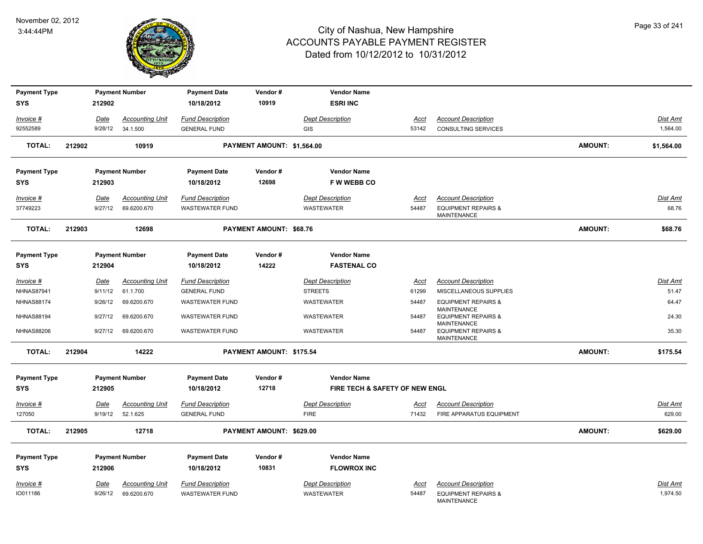

| <b>Payment Type</b><br><b>SYS</b> |        | 212902      | <b>Payment Number</b>  | <b>Payment Date</b><br>10/18/2012 | Vendor#<br>10919           | <b>Vendor Name</b><br><b>ESRI INC</b> |             |                                                      |                |                 |
|-----------------------------------|--------|-------------|------------------------|-----------------------------------|----------------------------|---------------------------------------|-------------|------------------------------------------------------|----------------|-----------------|
| Invoice #                         |        | Date        | <b>Accounting Unit</b> | <b>Fund Description</b>           |                            | <b>Dept Description</b>               | Acct        | <b>Account Description</b>                           |                | Dist Amt        |
| 92552589                          |        | 9/28/12     | 34.1.500               | <b>GENERAL FUND</b>               |                            | <b>GIS</b>                            | 53142       | <b>CONSULTING SERVICES</b>                           |                | 1,564.00        |
| <b>TOTAL:</b>                     | 212902 |             | 10919                  |                                   | PAYMENT AMOUNT: \$1,564.00 |                                       |             |                                                      | <b>AMOUNT:</b> | \$1,564.00      |
| <b>Payment Type</b>               |        |             | <b>Payment Number</b>  | <b>Payment Date</b>               | Vendor#                    | <b>Vendor Name</b>                    |             |                                                      |                |                 |
| <b>SYS</b>                        |        | 212903      |                        | 10/18/2012                        | 12698                      | <b>FW WEBB CO</b>                     |             |                                                      |                |                 |
| Invoice #                         |        | Date        | <b>Accounting Unit</b> | <b>Fund Description</b>           |                            | <b>Dept Description</b>               | Acct        | <b>Account Description</b>                           |                | Dist Amt        |
| 37749223                          |        | 9/27/12     | 69.6200.670            | <b>WASTEWATER FUND</b>            |                            | WASTEWATER                            | 54487       | <b>EQUIPMENT REPAIRS &amp;</b><br>MAINTENANCE        |                | 68.76           |
| <b>TOTAL:</b>                     | 212903 |             | 12698                  |                                   | PAYMENT AMOUNT: \$68.76    |                                       |             |                                                      | <b>AMOUNT:</b> | \$68.76         |
| <b>Payment Type</b>               |        |             | <b>Payment Number</b>  | <b>Payment Date</b>               | Vendor#                    | <b>Vendor Name</b>                    |             |                                                      |                |                 |
| <b>SYS</b>                        |        | 212904      |                        | 10/18/2012                        | 14222                      | <b>FASTENAL CO</b>                    |             |                                                      |                |                 |
| Invoice #                         |        | <b>Date</b> | <b>Accounting Unit</b> | <b>Fund Description</b>           |                            | <b>Dept Description</b>               | <b>Acct</b> | <b>Account Description</b>                           |                | Dist Amt        |
| <b>NHNAS87941</b>                 |        | 9/11/12     | 61.1.700               | <b>GENERAL FUND</b>               |                            | <b>STREETS</b>                        | 61299       | MISCELLANEOUS SUPPLIES                               |                | 51.47           |
| <b>NHNAS88174</b>                 |        | 9/26/12     | 69.6200.670            | <b>WASTEWATER FUND</b>            |                            | <b>WASTEWATER</b>                     | 54487       | <b>EQUIPMENT REPAIRS &amp;</b><br><b>MAINTENANCE</b> |                | 64.47           |
| <b>NHNAS88194</b>                 |        | 9/27/12     | 69.6200.670            | <b>WASTEWATER FUND</b>            |                            | <b>WASTEWATER</b>                     | 54487       | <b>EQUIPMENT REPAIRS &amp;</b><br><b>MAINTENANCE</b> |                | 24.30           |
| <b>NHNAS88206</b>                 |        | 9/27/12     | 69.6200.670            | <b>WASTEWATER FUND</b>            |                            | <b>WASTEWATER</b>                     | 54487       | <b>EQUIPMENT REPAIRS &amp;</b><br><b>MAINTENANCE</b> |                | 35.30           |
| <b>TOTAL:</b>                     | 212904 |             | 14222                  |                                   | PAYMENT AMOUNT: \$175.54   |                                       |             |                                                      | <b>AMOUNT:</b> | \$175.54        |
| <b>Payment Type</b>               |        |             | <b>Payment Number</b>  | <b>Payment Date</b>               | Vendor#                    | <b>Vendor Name</b>                    |             |                                                      |                |                 |
| <b>SYS</b>                        |        | 212905      |                        | 10/18/2012                        | 12718                      | FIRE TECH & SAFETY OF NEW ENGL        |             |                                                      |                |                 |
| <u>Invoice #</u>                  |        | <u>Date</u> | <b>Accounting Unit</b> | <b>Fund Description</b>           |                            | <b>Dept Description</b>               | <u>Acct</u> | <b>Account Description</b>                           |                | <u>Dist Amt</u> |
| 127050                            |        | 9/19/12     | 52.1.625               | <b>GENERAL FUND</b>               |                            | <b>FIRE</b>                           | 71432       | FIRE APPARATUS EQUIPMENT                             |                | 629.00          |
| <b>TOTAL:</b>                     | 212905 |             | 12718                  |                                   | PAYMENT AMOUNT: \$629.00   |                                       |             |                                                      | <b>AMOUNT:</b> | \$629.00        |
| <b>Payment Type</b>               |        |             | <b>Payment Number</b>  | <b>Payment Date</b>               | Vendor#                    | <b>Vendor Name</b>                    |             |                                                      |                |                 |
| <b>SYS</b>                        |        | 212906      |                        | 10/18/2012                        | 10831                      | <b>FLOWROX INC</b>                    |             |                                                      |                |                 |
| $Invoice$ #                       |        | Date        | <b>Accounting Unit</b> | <b>Fund Description</b>           |                            | <b>Dept Description</b>               | Acct        | <b>Account Description</b>                           |                | Dist Amt        |
| IO011186                          |        | 9/26/12     | 69.6200.670            | <b>WASTEWATER FUND</b>            |                            | <b>WASTEWATER</b>                     | 54487       | <b>EQUIPMENT REPAIRS &amp;</b><br><b>MAINTENANCE</b> |                | 1,974.50        |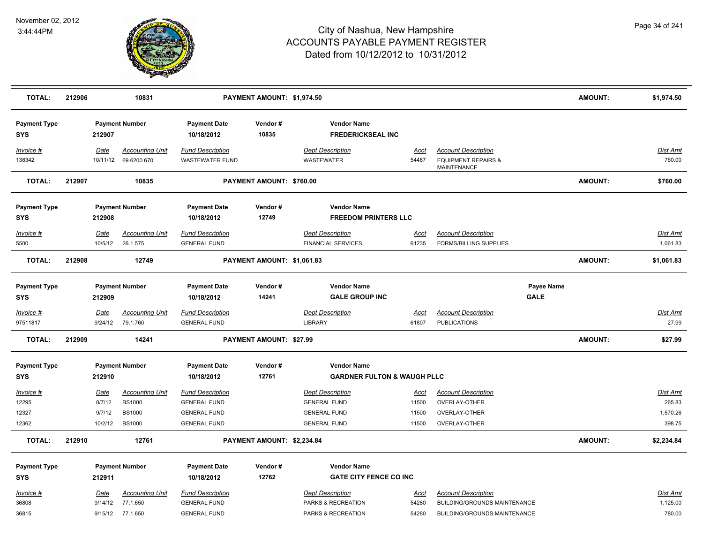

| <b>TOTAL:</b>                        | 212906 |                                     | 10831                                                                     |                                                                                              | PAYMENT AMOUNT: \$1,974.50 |                                                                                              |                                        |                                                                                                   |                           | <b>AMOUNT:</b> | \$1,974.50                                      |
|--------------------------------------|--------|-------------------------------------|---------------------------------------------------------------------------|----------------------------------------------------------------------------------------------|----------------------------|----------------------------------------------------------------------------------------------|----------------------------------------|---------------------------------------------------------------------------------------------------|---------------------------|----------------|-------------------------------------------------|
| <b>Payment Type</b><br><b>SYS</b>    |        | 212907                              | <b>Payment Number</b>                                                     | <b>Payment Date</b><br>10/18/2012                                                            | Vendor#<br>10835           | <b>Vendor Name</b><br><b>FREDERICKSEAL INC</b>                                               |                                        |                                                                                                   |                           |                |                                                 |
| Invoice #<br>138342                  |        | Date<br>10/11/12                    | <b>Accounting Unit</b><br>69.6200.670                                     | <b>Fund Description</b><br><b>WASTEWATER FUND</b>                                            |                            | <b>Dept Description</b><br><b>WASTEWATER</b>                                                 | Acct<br>54487                          | <b>Account Description</b><br><b>EQUIPMENT REPAIRS &amp;</b><br><b>MAINTENANCE</b>                |                           |                | <b>Dist Amt</b><br>760.00                       |
| <b>TOTAL:</b>                        | 212907 |                                     | 10835                                                                     |                                                                                              | PAYMENT AMOUNT: \$760.00   |                                                                                              |                                        |                                                                                                   |                           | <b>AMOUNT:</b> | \$760.00                                        |
| <b>Payment Type</b><br><b>SYS</b>    |        | 212908                              | <b>Payment Number</b>                                                     | <b>Payment Date</b><br>10/18/2012                                                            | Vendor#<br>12749           | <b>Vendor Name</b><br><b>FREEDOM PRINTERS LLC</b>                                            |                                        |                                                                                                   |                           |                |                                                 |
| Invoice #<br>5500                    |        | <b>Date</b><br>10/5/12              | <b>Accounting Unit</b><br>26.1.575                                        | <b>Fund Description</b><br><b>GENERAL FUND</b>                                               |                            | <b>Dept Description</b><br><b>FINANCIAL SERVICES</b>                                         | <u>Acct</u><br>61235                   | <b>Account Description</b><br><b>FORMS/BILLING SUPPLIES</b>                                       |                           |                | <b>Dist Amt</b><br>1,061.83                     |
| <b>TOTAL:</b>                        | 212908 |                                     | 12749                                                                     |                                                                                              | PAYMENT AMOUNT: \$1,061.83 |                                                                                              |                                        |                                                                                                   |                           | <b>AMOUNT:</b> | \$1,061.83                                      |
| <b>Payment Type</b><br><b>SYS</b>    |        | 212909                              | <b>Payment Number</b>                                                     | <b>Payment Date</b><br>10/18/2012                                                            | Vendor#<br>14241           | <b>Vendor Name</b><br><b>GALE GROUP INC</b>                                                  |                                        |                                                                                                   | Payee Name<br><b>GALE</b> |                |                                                 |
| Invoice #<br>97511817                |        | Date<br>9/24/12                     | <b>Accounting Unit</b><br>79.1.760                                        | <b>Fund Description</b><br><b>GENERAL FUND</b>                                               |                            | <b>Dept Description</b><br><b>LIBRARY</b>                                                    | Acct<br>61807                          | <b>Account Description</b><br><b>PUBLICATIONS</b>                                                 |                           |                | <b>Dist Amt</b><br>27.99                        |
| <b>TOTAL:</b>                        | 212909 |                                     | 14241                                                                     |                                                                                              | PAYMENT AMOUNT: \$27.99    |                                                                                              |                                        |                                                                                                   |                           | <b>AMOUNT:</b> | \$27.99                                         |
| <b>Payment Type</b><br><b>SYS</b>    |        | 212910                              | <b>Payment Number</b>                                                     | <b>Payment Date</b><br>10/18/2012                                                            | Vendor#<br>12761           | <b>Vendor Name</b><br><b>GARDNER FULTON &amp; WAUGH PLLC</b>                                 |                                        |                                                                                                   |                           |                |                                                 |
| Invoice #<br>12295<br>12327<br>12362 |        | Date<br>8/7/12<br>9/7/12<br>10/2/12 | <b>Accounting Unit</b><br><b>BS1000</b><br><b>BS1000</b><br><b>BS1000</b> | <b>Fund Description</b><br><b>GENERAL FUND</b><br><b>GENERAL FUND</b><br><b>GENERAL FUND</b> |                            | <b>Dept Description</b><br><b>GENERAL FUND</b><br><b>GENERAL FUND</b><br><b>GENERAL FUND</b> | <u>Acct</u><br>11500<br>11500<br>11500 | <b>Account Description</b><br>OVERLAY-OTHER<br>OVERLAY-OTHER<br>OVERLAY-OTHER                     |                           |                | <b>Dist Amt</b><br>265.83<br>1,570.26<br>398.75 |
| <b>TOTAL:</b>                        | 212910 |                                     | 12761                                                                     |                                                                                              | PAYMENT AMOUNT: \$2,234.84 |                                                                                              |                                        |                                                                                                   |                           | <b>AMOUNT:</b> | \$2,234.84                                      |
| <b>Payment Type</b><br><b>SYS</b>    |        | 212911                              | <b>Payment Number</b>                                                     | <b>Payment Date</b><br>10/18/2012                                                            | Vendor#<br>12762           | <b>Vendor Name</b><br><b>GATE CITY FENCE CO INC</b>                                          |                                        |                                                                                                   |                           |                |                                                 |
| Invoice #<br>36808<br>36815          |        | Date<br>9/14/12                     | <b>Accounting Unit</b><br>77.1.650<br>9/15/12 77.1.650                    | <b>Fund Description</b><br><b>GENERAL FUND</b><br><b>GENERAL FUND</b>                        |                            | <b>Dept Description</b><br>PARKS & RECREATION<br>PARKS & RECREATION                          | Acct<br>54280<br>54280                 | <b>Account Description</b><br>BUILDING/GROUNDS MAINTENANCE<br><b>BUILDING/GROUNDS MAINTENANCE</b> |                           |                | <b>Dist Amt</b><br>1,125.00<br>780.00           |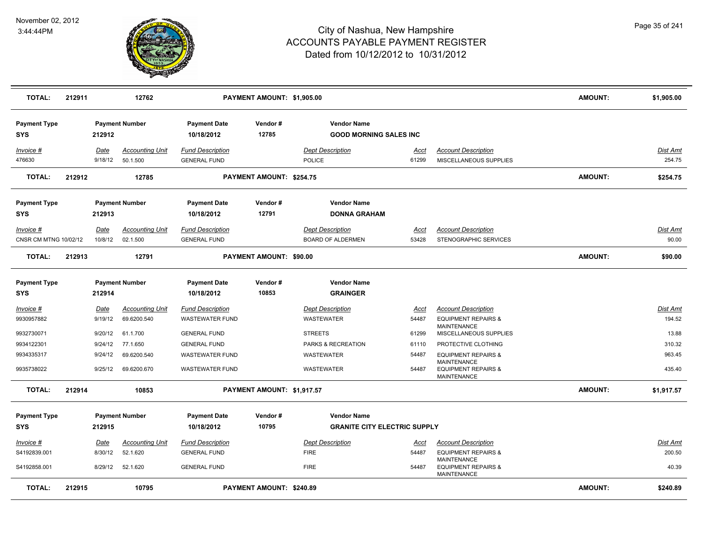

| <b>TOTAL:</b>                      | 212911 |                        | 12762                                 |                                                   | PAYMENT AMOUNT: \$1,905.00      |                                                           |                      |                                                                                        | <b>AMOUNT:</b> | \$1,905.00                |
|------------------------------------|--------|------------------------|---------------------------------------|---------------------------------------------------|---------------------------------|-----------------------------------------------------------|----------------------|----------------------------------------------------------------------------------------|----------------|---------------------------|
| <b>Payment Type</b><br><b>SYS</b>  |        | 212912                 | <b>Payment Number</b>                 | <b>Payment Date</b><br>10/18/2012                 | Vendor#<br>12785                | <b>Vendor Name</b><br><b>GOOD MORNING SALES INC</b>       |                      |                                                                                        |                |                           |
| Invoice #<br>476630                |        | Date<br>9/18/12        | <b>Accounting Unit</b><br>50.1.500    | <b>Fund Description</b><br><b>GENERAL FUND</b>    |                                 | <b>Dept Description</b><br><b>POLICE</b>                  | Acct<br>61299        | <b>Account Description</b><br>MISCELLANEOUS SUPPLIES                                   |                | <u>Dist Amt</u><br>254.75 |
| <b>TOTAL:</b>                      | 212912 |                        | 12785                                 |                                                   | PAYMENT AMOUNT: \$254.75        |                                                           |                      |                                                                                        | <b>AMOUNT:</b> | \$254.75                  |
| <b>Payment Type</b><br><b>SYS</b>  |        | 212913                 | <b>Payment Number</b>                 | <b>Payment Date</b><br>10/18/2012                 | Vendor#<br>12791                | <b>Vendor Name</b><br><b>DONNA GRAHAM</b>                 |                      |                                                                                        |                |                           |
| Invoice #<br>CNSR CM MTNG 10/02/12 |        | Date<br>10/8/12        | <b>Accounting Unit</b><br>02.1.500    | <b>Fund Description</b><br><b>GENERAL FUND</b>    |                                 | <b>Dept Description</b><br><b>BOARD OF ALDERMEN</b>       | <u>Acct</u><br>53428 | <b>Account Description</b><br>STENOGRAPHIC SERVICES                                    |                | Dist Amt<br>90.00         |
| <b>TOTAL:</b>                      | 212913 |                        | 12791                                 |                                                   | PAYMENT AMOUNT: \$90.00         |                                                           |                      |                                                                                        | <b>AMOUNT:</b> | \$90.00                   |
| <b>Payment Type</b><br><b>SYS</b>  |        | 212914                 | <b>Payment Number</b>                 | <b>Payment Date</b><br>10/18/2012                 | Vendor#<br>10853                | <b>Vendor Name</b><br><b>GRAINGER</b>                     |                      |                                                                                        |                |                           |
| $Invoice$ #<br>9930957882          |        | <u>Date</u><br>9/19/12 | <b>Accounting Unit</b><br>69.6200.540 | <b>Fund Description</b><br><b>WASTEWATER FUND</b> |                                 | <b>Dept Description</b><br><b>WASTEWATER</b>              | <u>Acct</u><br>54487 | <b>Account Description</b><br><b>EQUIPMENT REPAIRS &amp;</b><br><b>MAINTENANCE</b>     |                | Dist Amt<br>194.52        |
| 9932730071<br>9934122301           |        | 9/20/12<br>9/24/12     | 61.1.700<br>77.1.650                  | <b>GENERAL FUND</b><br><b>GENERAL FUND</b>        |                                 | <b>STREETS</b><br>PARKS & RECREATION                      | 61299<br>61110       | MISCELLANEOUS SUPPLIES<br>PROTECTIVE CLOTHING                                          |                | 13.88<br>310.32           |
| 9934335317<br>9935738022           |        | 9/24/12<br>9/25/12     | 69.6200.540<br>69.6200.670            | <b>WASTEWATER FUND</b><br><b>WASTEWATER FUND</b>  |                                 | WASTEWATER<br>WASTEWATER                                  | 54487<br>54487       | <b>EQUIPMENT REPAIRS &amp;</b><br><b>MAINTENANCE</b><br><b>EQUIPMENT REPAIRS &amp;</b> |                | 963.45<br>435.40          |
| <b>TOTAL:</b>                      | 212914 |                        | 10853                                 |                                                   | PAYMENT AMOUNT: \$1,917.57      |                                                           |                      | <b>MAINTENANCE</b>                                                                     | <b>AMOUNT:</b> | \$1,917.57                |
| <b>Payment Type</b><br><b>SYS</b>  |        | 212915                 | <b>Payment Number</b>                 | <b>Payment Date</b><br>10/18/2012                 | Vendor #<br>10795               | <b>Vendor Name</b><br><b>GRANITE CITY ELECTRIC SUPPLY</b> |                      |                                                                                        |                |                           |
| Invoice #                          |        | Date                   | <b>Accounting Unit</b>                | <b>Fund Description</b>                           |                                 | <b>Dept Description</b>                                   | Acct                 | <b>Account Description</b>                                                             |                | Dist Amt                  |
| S4192839.001<br>S4192858.001       |        | 8/30/12<br>8/29/12     | 52.1.620<br>52.1.620                  | <b>GENERAL FUND</b><br><b>GENERAL FUND</b>        |                                 | <b>FIRE</b><br><b>FIRE</b>                                | 54487<br>54487       | <b>EQUIPMENT REPAIRS &amp;</b><br><b>MAINTENANCE</b><br><b>EQUIPMENT REPAIRS &amp;</b> |                | 200.50<br>40.39           |
| <b>TOTAL:</b>                      | 212915 |                        | 10795                                 |                                                   | <b>PAYMENT AMOUNT: \$240.89</b> |                                                           |                      | MAINTENANCE                                                                            | <b>AMOUNT:</b> | \$240.89                  |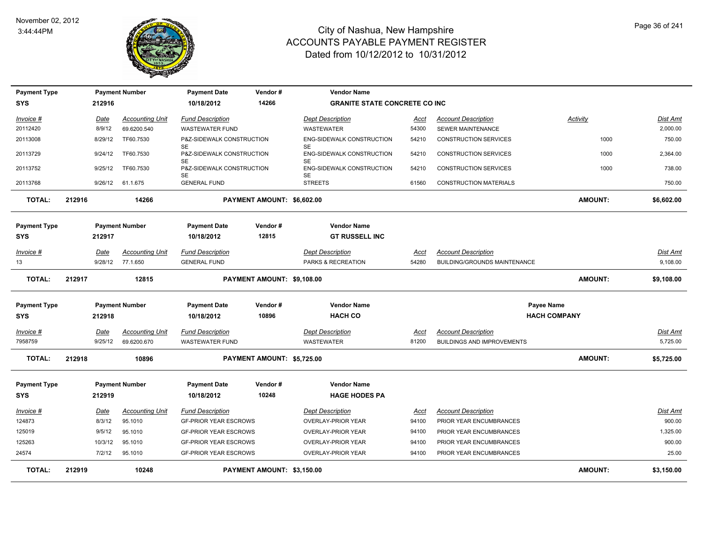

| <b>Payment Type</b> | <b>Payment Number</b><br>212916               |                                     | <b>Payment Date</b><br>10/18/2012 | Vendor#<br>14266                 | <b>Vendor Name</b>                   |                                        |                     |                                   |                |                 |
|---------------------|-----------------------------------------------|-------------------------------------|-----------------------------------|----------------------------------|--------------------------------------|----------------------------------------|---------------------|-----------------------------------|----------------|-----------------|
| <b>SYS</b>          |                                               |                                     |                                   |                                  | <b>GRANITE STATE CONCRETE CO INC</b> |                                        |                     |                                   |                |                 |
| Invoice #           |                                               | Date                                | <b>Accounting Unit</b>            | <b>Fund Description</b>          |                                      | <b>Dept Description</b>                | Acct                | <b>Account Description</b>        | Activity       | Dist Amt        |
| 20112420            |                                               | 8/9/12                              | 69.6200.540                       | <b>WASTEWATER FUND</b>           |                                      | WASTEWATER                             | 54300               | SEWER MAINTENANCE                 |                | 2,000.00        |
| 20113008            |                                               | 8/29/12                             | TF60.7530                         | P&Z-SIDEWALK CONSTRUCTION<br>SE  |                                      | ENG-SIDEWALK CONSTRUCTION<br><b>SE</b> | 54210               | <b>CONSTRUCTION SERVICES</b>      | 1000           | 750.00          |
| 20113729            |                                               | 9/24/12                             | TF60.7530                         | P&Z-SIDEWALK CONSTRUCTION        |                                      | ENG-SIDEWALK CONSTRUCTION              | 54210               | <b>CONSTRUCTION SERVICES</b>      | 1000           | 2,364.00        |
| 20113752            |                                               | 9/25/12                             | TF60.7530                         | SE<br>P&Z-SIDEWALK CONSTRUCTION  |                                      | SE<br>ENG-SIDEWALK CONSTRUCTION        | 54210               | <b>CONSTRUCTION SERVICES</b>      | 1000           | 738.00          |
| 20113768            |                                               | 9/26/12                             | 61.1.675                          | <b>SE</b><br><b>GENERAL FUND</b> |                                      | <b>SE</b><br><b>STREETS</b>            | 61560               | <b>CONSTRUCTION MATERIALS</b>     |                | 750.00          |
| <b>TOTAL:</b>       | 212916<br>14266                               |                                     | PAYMENT AMOUNT: \$6,602.00        |                                  |                                      |                                        |                     | <b>AMOUNT:</b>                    | \$6,602.00     |                 |
| <b>Payment Type</b> |                                               |                                     | <b>Payment Number</b>             | <b>Payment Date</b>              | Vendor#                              | <b>Vendor Name</b>                     |                     |                                   |                |                 |
| SYS                 |                                               | 212917                              |                                   | 10/18/2012                       | 12815                                | <b>GT RUSSELL INC</b>                  |                     |                                   |                |                 |
| Invoice #           |                                               | Date                                | <b>Accounting Unit</b>            | <b>Fund Description</b>          |                                      | <b>Dept Description</b>                | Acct                | <b>Account Description</b>        |                | Dist Amt        |
| 13                  |                                               | 9/28/12                             | 77.1.650                          | <b>GENERAL FUND</b>              |                                      | PARKS & RECREATION                     | 54280               | BUILDING/GROUNDS MAINTENANCE      |                | 9,108.00        |
| <b>TOTAL:</b>       | 212917<br>12815<br>PAYMENT AMOUNT: \$9,108.00 |                                     |                                   |                                  |                                      |                                        |                     | <b>AMOUNT:</b>                    | \$9,108.00     |                 |
| <b>Payment Type</b> |                                               | <b>Payment Number</b>               |                                   | <b>Payment Date</b>              | Vendor#                              | <b>Vendor Name</b>                     |                     |                                   | Payee Name     |                 |
| SYS                 | 212918                                        |                                     | 10896<br>10/18/2012               |                                  | <b>HACH CO</b>                       |                                        | <b>HACH COMPANY</b> |                                   |                |                 |
| Invoice #           |                                               | Date                                | <b>Accounting Unit</b>            | <b>Fund Description</b>          |                                      | <b>Dept Description</b>                | <u>Acct</u>         | <b>Account Description</b>        |                | <b>Dist Amt</b> |
| 7958759             |                                               | 9/25/12                             | 69.6200.670                       | <b>WASTEWATER FUND</b>           |                                      | WASTEWATER                             | 81200               | <b>BUILDINGS AND IMPROVEMENTS</b> |                | 5,725.00        |
| <b>TOTAL:</b>       | 212918                                        | 10896                               |                                   |                                  | PAYMENT AMOUNT: \$5,725.00           |                                        |                     |                                   | <b>AMOUNT:</b> | \$5,725.00      |
| <b>Payment Type</b> |                                               | <b>Payment Number</b>               |                                   | <b>Payment Date</b>              | Vendor#                              | <b>Vendor Name</b>                     |                     |                                   |                |                 |
| <b>SYS</b>          |                                               | 212919                              |                                   | 10/18/2012                       | 10248                                | <b>HAGE HODES PA</b>                   |                     |                                   |                |                 |
| Invoice #           |                                               | Date                                | <b>Accounting Unit</b>            | <b>Fund Description</b>          |                                      | <b>Dept Description</b>                | <u>Acct</u>         | <b>Account Description</b>        |                | Dist Amt        |
| 124873              |                                               | 8/3/12                              | 95.1010                           | <b>GF-PRIOR YEAR ESCROWS</b>     |                                      | OVERLAY-PRIOR YEAR                     | 94100               | PRIOR YEAR ENCUMBRANCES           |                | 900.00          |
| 125019              |                                               | 9/5/12                              | 95.1010                           | <b>GF-PRIOR YEAR ESCROWS</b>     |                                      | OVERLAY-PRIOR YEAR                     | 94100               | PRIOR YEAR ENCUMBRANCES           |                | 1,325.00        |
| 125263              |                                               | 10/3/12                             | 95.1010                           | <b>GF-PRIOR YEAR ESCROWS</b>     |                                      | OVERLAY-PRIOR YEAR                     | 94100               | PRIOR YEAR ENCUMBRANCES           |                | 900.00          |
| 24574               |                                               | 7/2/12                              | 95.1010                           | <b>GF-PRIOR YEAR ESCROWS</b>     |                                      | <b>OVERLAY-PRIOR YEAR</b>              | 94100               | PRIOR YEAR ENCUMBRANCES           |                | 25.00           |
| <b>TOTAL:</b>       | 212919                                        | 10248<br>PAYMENT AMOUNT: \$3,150.00 |                                   |                                  |                                      |                                        |                     |                                   | <b>AMOUNT:</b> | \$3,150.00      |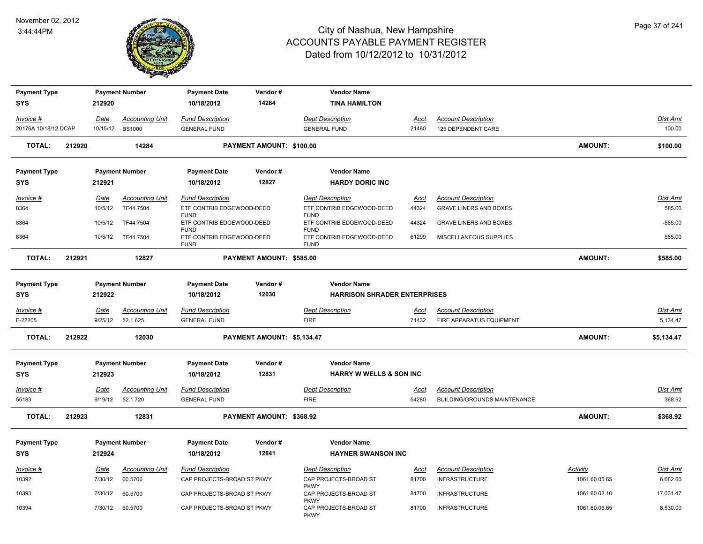

| <b>Payment Type</b>  |        |             | <b>Payment Number</b>  | <b>Payment Date</b>                                     | Vendor#                    | <b>Vendor Name</b>                                      |             |                                 |                 |                 |
|----------------------|--------|-------------|------------------------|---------------------------------------------------------|----------------------------|---------------------------------------------------------|-------------|---------------------------------|-----------------|-----------------|
| <b>SYS</b>           |        | 212920      |                        | 10/18/2012                                              | 14284                      | <b>TINA HAMILTON</b>                                    |             |                                 |                 |                 |
| Invoice #            |        | Date        | <b>Accounting Unit</b> | <b>Fund Description</b>                                 |                            | <b>Dept Description</b>                                 | Acct        | <b>Account Description</b>      |                 | Dist Amt        |
| 20176A 10/18/12 DCAP |        | 10/15/12    | <b>BS1000</b>          | <b>GENERAL FUND</b>                                     |                            | <b>GENERAL FUND</b>                                     | 21460       | 125 DEPENDENT CARE              |                 | 100.00          |
| <b>TOTAL:</b>        | 212920 |             | 14284                  |                                                         | PAYMENT AMOUNT: \$100.00   |                                                         |             |                                 | <b>AMOUNT:</b>  | \$100.00        |
| <b>Payment Type</b>  |        |             | <b>Payment Number</b>  | <b>Payment Date</b>                                     | Vendor#                    | <b>Vendor Name</b>                                      |             |                                 |                 |                 |
| <b>SYS</b>           |        | 212921      |                        | 10/18/2012                                              | 12827                      | <b>HARDY DORIC INC</b>                                  |             |                                 |                 |                 |
| Invoice #            |        | Date        | <b>Accounting Unit</b> | <b>Fund Description</b>                                 |                            | <b>Dept Description</b>                                 | <u>Acct</u> | <b>Account Description</b>      |                 | Dist Amt        |
| 8364                 |        | 10/5/12     | TF44.7504              | ETF CONTRIB EDGEWOOD-DEED<br><b>FUND</b>                |                            | ETF CONTRIB EDGEWOOD-DEED<br><b>FUND</b>                | 44324       | <b>GRAVE LINERS AND BOXES</b>   |                 | 585.00          |
| 8364                 |        | 10/5/12     | TF44.7504              | ETF CONTRIB EDGEWOOD-DEED                               |                            | ETF CONTRIB EDGEWOOD-DEED                               | 44324       | <b>GRAVE LINERS AND BOXES</b>   |                 | $-585.00$       |
| 8364                 |        | 10/5/12     | TF44.7504              | <b>FUND</b><br>ETF CONTRIB EDGEWOOD-DEED<br><b>FUND</b> |                            | <b>FUND</b><br>ETF CONTRIB EDGEWOOD-DEED<br><b>FUND</b> | 61299       | MISCELLANEOUS SUPPLIES          |                 | 585.00          |
| <b>TOTAL:</b>        | 212921 |             | 12827                  |                                                         | PAYMENT AMOUNT: \$585.00   |                                                         |             |                                 | <b>AMOUNT:</b>  | \$585.00        |
| <b>Payment Type</b>  |        |             | <b>Payment Number</b>  | <b>Payment Date</b>                                     | Vendor#                    | <b>Vendor Name</b>                                      |             |                                 |                 |                 |
| <b>SYS</b>           |        | 212922      |                        | 10/18/2012                                              | 12030                      | <b>HARRISON SHRADER ENTERPRISES</b>                     |             |                                 |                 |                 |
| $Invoice$ #          |        | <b>Date</b> | <b>Accounting Unit</b> | <b>Fund Description</b>                                 |                            | <b>Dept Description</b>                                 | <u>Acct</u> | <b>Account Description</b>      |                 | <b>Dist Amt</b> |
| F-22205              |        | 9/25/12     | 52.1.625               | <b>GENERAL FUND</b>                                     |                            | <b>FIRE</b>                                             | 71432       | <b>FIRE APPARATUS EQUIPMENT</b> |                 | 5,134.47        |
| <b>TOTAL:</b>        | 212922 |             | 12030                  |                                                         | PAYMENT AMOUNT: \$5,134.47 |                                                         |             |                                 | <b>AMOUNT:</b>  | \$5,134.47      |
| <b>Payment Type</b>  |        |             | <b>Payment Number</b>  | <b>Payment Date</b>                                     | Vendor#                    | <b>Vendor Name</b>                                      |             |                                 |                 |                 |
| <b>SYS</b>           |        | 212923      |                        | 10/18/2012                                              | 12831                      | <b>HARRY W WELLS &amp; SON INC</b>                      |             |                                 |                 |                 |
| Invoice #            |        | Date        | <b>Accounting Unit</b> | <b>Fund Description</b>                                 |                            | <b>Dept Description</b>                                 | Acct        | <b>Account Description</b>      |                 | <b>Dist Amt</b> |
| 55183                |        | 9/19/12     | 52.1.720               | <b>GENERAL FUND</b>                                     |                            | <b>FIRE</b>                                             | 54280       | BUILDING/GROUNDS MAINTENANCE    |                 | 368.92          |
| <b>TOTAL:</b>        | 212923 |             | 12831                  |                                                         | PAYMENT AMOUNT: \$368.92   |                                                         |             |                                 | <b>AMOUNT:</b>  | \$368.92        |
| <b>Payment Type</b>  |        |             | <b>Payment Number</b>  | <b>Payment Date</b>                                     | Vendor#                    | <b>Vendor Name</b>                                      |             |                                 |                 |                 |
| <b>SYS</b>           |        | 212924      |                        | 10/18/2012                                              | 12841                      | <b>HAYNER SWANSON INC</b>                               |             |                                 |                 |                 |
| Invoice #            |        | Date        | <b>Accounting Unit</b> | <b>Fund Description</b>                                 |                            | <b>Dept Description</b>                                 | <u>Acct</u> | <b>Account Description</b>      | <b>Activity</b> | <b>Dist Amt</b> |
| 10392                |        | 7/30/12     | 60.5700                | CAP PROJECTS-BROAD ST PKWY                              |                            | CAP PROJECTS-BROAD ST<br><b>PKWY</b>                    | 81700       | <b>INFRASTRUCTURE</b>           | 1061.60.05.65   | 6,682.60        |
| 10393                |        | 7/30/12     | 60.5700                | CAP PROJECTS-BROAD ST PKWY                              |                            | CAP PROJECTS-BROAD ST                                   | 81700       | <b>INFRASTRUCTURE</b>           | 1061.60.02.10   | 17,031.47       |
| 10394                |        | 7/30/12     | 60.5700                | CAP PROJECTS-BROAD ST PKWY                              |                            | <b>PKWY</b><br>CAP PROJECTS-BROAD ST<br><b>PKWY</b>     | 81700       | <b>INFRASTRUCTURE</b>           | 1061.60.05.65   | 8,530.00        |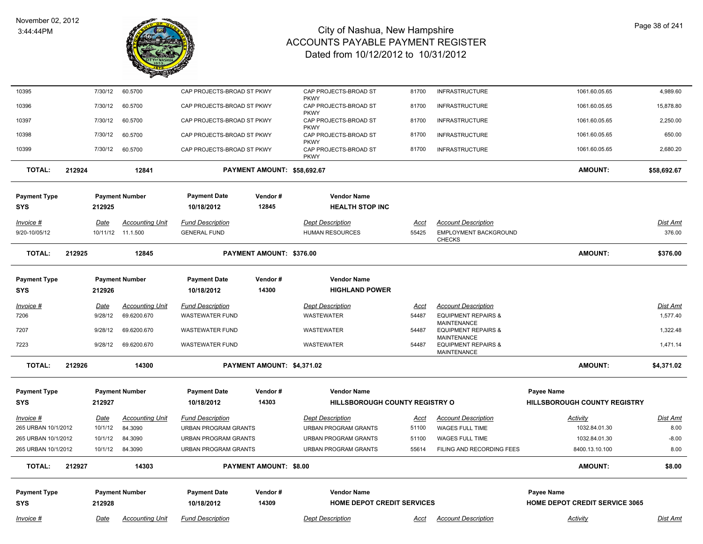

| 10395               |        | 7/30/12     | 60.5700                | CAP PROJECTS-BROAD ST PKWY  |                               | CAP PROJECTS-BROAD ST<br><b>PKWY</b>                | 81700       | <b>INFRASTRUCTURE</b>                                | 1061.60.05.65                         | 4,989.60    |
|---------------------|--------|-------------|------------------------|-----------------------------|-------------------------------|-----------------------------------------------------|-------------|------------------------------------------------------|---------------------------------------|-------------|
| 10396               |        | 7/30/12     | 60.5700                | CAP PROJECTS-BROAD ST PKWY  |                               | CAP PROJECTS-BROAD ST<br><b>PKWY</b>                | 81700       | <b>INFRASTRUCTURE</b>                                | 1061.60.05.65                         | 15,878.80   |
| 10397               |        | 7/30/12     | 60.5700                | CAP PROJECTS-BROAD ST PKWY  |                               | CAP PROJECTS-BROAD ST                               | 81700       | <b>INFRASTRUCTURE</b>                                | 1061.60.05.65                         | 2,250.00    |
| 10398               |        | 7/30/12     | 60.5700                | CAP PROJECTS-BROAD ST PKWY  |                               | <b>PKWY</b><br>CAP PROJECTS-BROAD ST<br><b>PKWY</b> | 81700       | <b>INFRASTRUCTURE</b>                                | 1061.60.05.65                         | 650.00      |
| 10399               |        | 7/30/12     | 60.5700                | CAP PROJECTS-BROAD ST PKWY  |                               | CAP PROJECTS-BROAD ST<br><b>PKWY</b>                | 81700       | <b>INFRASTRUCTURE</b>                                | 1061.60.05.65                         | 2,680.20    |
| <b>TOTAL:</b>       | 212924 |             | 12841                  |                             | PAYMENT AMOUNT: \$58,692.67   |                                                     |             |                                                      | <b>AMOUNT:</b>                        | \$58,692.67 |
| <b>Payment Type</b> |        |             | <b>Payment Number</b>  | <b>Payment Date</b>         | Vendor#                       | <b>Vendor Name</b>                                  |             |                                                      |                                       |             |
| SYS                 |        | 212925      |                        | 10/18/2012                  | 12845                         | <b>HEALTH STOP INC</b>                              |             |                                                      |                                       |             |
|                     |        |             |                        |                             |                               |                                                     |             |                                                      |                                       |             |
| Invoice #           |        | <b>Date</b> | <b>Accounting Unit</b> | <b>Fund Description</b>     |                               | <b>Dept Description</b>                             | <u>Acct</u> | <b>Account Description</b>                           |                                       | Dist Amt    |
| 9/20-10/05/12       |        |             | 10/11/12 11.1.500      | <b>GENERAL FUND</b>         |                               | <b>HUMAN RESOURCES</b>                              | 55425       | EMPLOYMENT BACKGROUND<br><b>CHECKS</b>               |                                       | 376.00      |
| <b>TOTAL:</b>       | 212925 |             | 12845                  |                             | PAYMENT AMOUNT: \$376.00      |                                                     |             |                                                      | <b>AMOUNT:</b>                        | \$376.00    |
| <b>Payment Type</b> |        |             | <b>Payment Number</b>  | <b>Payment Date</b>         | Vendor#                       | <b>Vendor Name</b>                                  |             |                                                      |                                       |             |
| SYS                 |        | 212926      |                        | 10/18/2012                  | 14300                         | <b>HIGHLAND POWER</b>                               |             |                                                      |                                       |             |
|                     |        |             |                        |                             |                               |                                                     |             |                                                      |                                       |             |
| $Invoice$ #         |        | <b>Date</b> | <b>Accounting Unit</b> | <b>Fund Description</b>     |                               | <b>Dept Description</b>                             | <u>Acct</u> | <b>Account Description</b>                           |                                       | Dist Amt    |
| 7206                |        | 9/28/12     | 69.6200.670            | <b>WASTEWATER FUND</b>      |                               | WASTEWATER                                          | 54487       | <b>EQUIPMENT REPAIRS &amp;</b><br><b>MAINTENANCE</b> |                                       | 1,577.40    |
| 7207                |        | 9/28/12     | 69.6200.670            | WASTEWATER FUND             |                               | <b>WASTEWATER</b>                                   | 54487       | <b>EQUIPMENT REPAIRS &amp;</b><br><b>MAINTENANCE</b> |                                       | 1,322.48    |
| 7223                |        | 9/28/12     | 69.6200.670            | <b>WASTEWATER FUND</b>      |                               | WASTEWATER                                          | 54487       | <b>EQUIPMENT REPAIRS &amp;</b><br><b>MAINTENANCE</b> |                                       | 1,471.14    |
| <b>TOTAL:</b>       | 212926 |             | 14300                  |                             | PAYMENT AMOUNT: \$4,371.02    |                                                     |             |                                                      | <b>AMOUNT:</b>                        | \$4,371.02  |
| <b>Payment Type</b> |        |             | <b>Payment Number</b>  | <b>Payment Date</b>         | Vendor#                       | <b>Vendor Name</b>                                  |             |                                                      | <b>Payee Name</b>                     |             |
| <b>SYS</b>          |        | 212927      |                        | 10/18/2012                  | 14303                         | HILLSBOROUGH COUNTY REGISTRY O                      |             |                                                      | HILLSBOROUGH COUNTY REGISTRY          |             |
|                     |        |             |                        |                             |                               |                                                     |             |                                                      |                                       |             |
| Invoice #           |        | <b>Date</b> | <b>Accounting Unit</b> | <b>Fund Description</b>     |                               | <b>Dept Description</b>                             | Acct        | <b>Account Description</b>                           | Activity                              | Dist Amt    |
| 265 URBAN 10/1/2012 |        | 10/1/12     | 84.3090                | <b>URBAN PROGRAM GRANTS</b> |                               | URBAN PROGRAM GRANTS                                | 51100       | WAGES FULL TIME                                      | 1032.84.01.30                         | 8.00        |
| 265 URBAN 10/1/2012 |        | 10/1/12     | 84.3090                | <b>URBAN PROGRAM GRANTS</b> |                               | <b>URBAN PROGRAM GRANTS</b>                         | 51100       | WAGES FULL TIME                                      | 1032.84.01.30                         | $-8.00$     |
| 265 URBAN 10/1/2012 |        | 10/1/12     | 84.3090                | <b>URBAN PROGRAM GRANTS</b> |                               | <b>URBAN PROGRAM GRANTS</b>                         | 55614       | FILING AND RECORDING FEES                            | 8400.13.10.100                        | 8.00        |
| <b>TOTAL:</b>       | 212927 |             | 14303                  |                             | <b>PAYMENT AMOUNT: \$8.00</b> |                                                     |             |                                                      | <b>AMOUNT:</b>                        | \$8.00      |
| <b>Payment Type</b> |        |             | <b>Payment Number</b>  | <b>Payment Date</b>         | Vendor#                       | <b>Vendor Name</b>                                  |             |                                                      | Payee Name                            |             |
| <b>SYS</b>          |        | 212928      |                        | 10/18/2012                  | 14309                         | <b>HOME DEPOT CREDIT SERVICES</b>                   |             |                                                      | <b>HOME DEPOT CREDIT SERVICE 3065</b> |             |
| Invoice #           |        | Date        | <b>Accounting Unit</b> | <b>Fund Description</b>     |                               | <b>Dept Description</b>                             | Acct        | <b>Account Description</b>                           | Activity                              | Dist Amt    |
|                     |        |             |                        |                             |                               |                                                     |             |                                                      |                                       |             |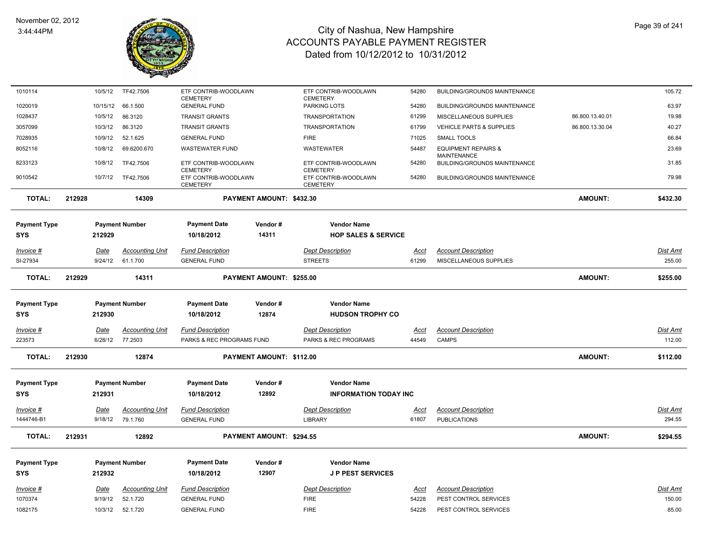

| 1010114             | 10/5/12     | TF42.7506              | ETF CONTRIB-WOODLAWN                                       |                          | ETF CONTRIB-WOODLAWN                                       | 54280       | BUILDING/GROUNDS MAINTENANCE                              |                 | 105.72          |
|---------------------|-------------|------------------------|------------------------------------------------------------|--------------------------|------------------------------------------------------------|-------------|-----------------------------------------------------------|-----------------|-----------------|
| 1020019             | 10/15/12    | 66.1.500               | <b>CEMETERY</b><br><b>GENERAL FUND</b>                     |                          | <b>CEMETERY</b><br>PARKING LOTS                            | 54280       | <b>BUILDING/GROUNDS MAINTENANCE</b>                       |                 | 63.97           |
| 1028437             | 10/5/12     | 86.3120                | <b>TRANSIT GRANTS</b>                                      |                          | <b>TRANSPORTATION</b>                                      | 61299       | MISCELLANEOUS SUPPLIES                                    | 86.800.13.40.01 | 19.98           |
| 3057099             | 10/3/12     | 86.3120                | <b>TRANSIT GRANTS</b>                                      |                          | <b>TRANSPORTATION</b>                                      | 61799       | <b>VEHICLE PARTS &amp; SUPPLIES</b>                       | 86.800.13.30.04 | 40.27           |
| 7028935             | 10/9/12     | 52.1.625               | <b>GENERAL FUND</b>                                        |                          | <b>FIRE</b>                                                | 71025       | SMALL TOOLS                                               |                 | 66.84           |
| 8052116             | 10/8/12     | 69.6200.670            | <b>WASTEWATER FUND</b>                                     |                          | <b>WASTEWATER</b>                                          | 54487       | <b>EQUIPMENT REPAIRS &amp;</b>                            |                 | 23.69           |
| 8233123             | 10/8/12     | TF42.7506              | ETF CONTRIB-WOODLAWN                                       |                          | ETF CONTRIB-WOODLAWN                                       | 54280       | <b>MAINTENANCE</b><br><b>BUILDING/GROUNDS MAINTENANCE</b> |                 | 31.85           |
| 9010542             | 10/7/12     | TF42.7506              | <b>CEMETERY</b><br>ETF CONTRIB-WOODLAWN<br><b>CEMETERY</b> |                          | <b>CEMETERY</b><br>ETF CONTRIB-WOODLAWN<br><b>CEMETERY</b> | 54280       | <b>BUILDING/GROUNDS MAINTENANCE</b>                       |                 | 79.98           |
| <b>TOTAL:</b>       | 212928      | 14309                  |                                                            | PAYMENT AMOUNT: \$432.30 |                                                            |             |                                                           | <b>AMOUNT:</b>  | \$432.30        |
| <b>Payment Type</b> |             | <b>Payment Number</b>  | <b>Payment Date</b>                                        | Vendor#                  | <b>Vendor Name</b>                                         |             |                                                           |                 |                 |
| <b>SYS</b>          | 212929      |                        | 10/18/2012                                                 | 14311                    | <b>HOP SALES &amp; SERVICE</b>                             |             |                                                           |                 |                 |
| <u>Invoice #</u>    | <u>Date</u> | <b>Accounting Unit</b> | <b>Fund Description</b>                                    |                          | <b>Dept Description</b>                                    | <u>Acct</u> | <b>Account Description</b>                                |                 | <u>Dist Amt</u> |
| SI-27934            | 9/24/12     | 61.1.700               | <b>GENERAL FUND</b>                                        |                          | <b>STREETS</b>                                             | 61299       | MISCELLANEOUS SUPPLIES                                    |                 | 255.00          |
| <b>TOTAL:</b>       | 212929      | 14311                  |                                                            | PAYMENT AMOUNT: \$255.00 |                                                            |             |                                                           | <b>AMOUNT:</b>  | \$255.00        |
| <b>Payment Type</b> |             | <b>Payment Number</b>  | <b>Payment Date</b>                                        | Vendor#                  | <b>Vendor Name</b>                                         |             |                                                           |                 |                 |
| <b>SYS</b>          | 212930      |                        | 10/18/2012                                                 | 12874                    | <b>HUDSON TROPHY CO</b>                                    |             |                                                           |                 |                 |
| <u> Invoice #</u>   | Date        | <b>Accounting Unit</b> | <b>Fund Description</b>                                    |                          | <b>Dept Description</b>                                    | Acct        | <b>Account Description</b>                                |                 | <b>Dist Amt</b> |
| 223573              | 6/28/12     | 77.2503                | PARKS & REC PROGRAMS FUND                                  |                          | PARKS & REC PROGRAMS                                       | 44549       | <b>CAMPS</b>                                              |                 | 112.00          |
| <b>TOTAL:</b>       | 212930      | 12874                  |                                                            | PAYMENT AMOUNT: \$112.00 |                                                            |             |                                                           | AMOUNT:         | \$112.00        |
| <b>Payment Type</b> |             | <b>Payment Number</b>  | <b>Payment Date</b>                                        | Vendor#                  | <b>Vendor Name</b>                                         |             |                                                           |                 |                 |
| <b>SYS</b>          | 212931      |                        | 10/18/2012                                                 | 12892                    | <b>INFORMATION TODAY INC</b>                               |             |                                                           |                 |                 |
|                     |             |                        |                                                            |                          |                                                            |             |                                                           |                 |                 |
| <u> Invoice #</u>   | Date        | <b>Accounting Unit</b> | <b>Fund Description</b>                                    |                          | <b>Dept Description</b>                                    | <u>Acct</u> | <b>Account Description</b>                                |                 | <b>Dist Amt</b> |
| 1444746-B1          | 9/18/12     | 79.1.760               | <b>GENERAL FUND</b>                                        |                          | <b>LIBRARY</b>                                             | 61807       | <b>PUBLICATIONS</b>                                       |                 | 294.55          |
| <b>TOTAL:</b>       | 212931      | 12892                  |                                                            | PAYMENT AMOUNT: \$294.55 |                                                            |             |                                                           | AMOUNT:         | \$294.55        |
| <b>Payment Type</b> |             | <b>Payment Number</b>  | <b>Payment Date</b>                                        | Vendor#                  | <b>Vendor Name</b>                                         |             |                                                           |                 |                 |
| <b>SYS</b>          | 212932      |                        | 10/18/2012                                                 | 12907                    | <b>JP PEST SERVICES</b>                                    |             |                                                           |                 |                 |
| Invoice #           | Date        | <b>Accounting Unit</b> | <b>Fund Description</b>                                    |                          | <b>Dept Description</b>                                    | Acct        | <b>Account Description</b>                                |                 | <b>Dist Amt</b> |
| 1070374             | 9/19/12     | 52.1.720               | <b>GENERAL FUND</b>                                        |                          | <b>FIRE</b>                                                | 54228       | PEST CONTROL SERVICES                                     |                 | 150.00          |
| 1082175             | 10/3/12     | 52.1.720               | <b>GENERAL FUND</b>                                        |                          | <b>FIRE</b>                                                | 54228       | PEST CONTROL SERVICES                                     |                 | 85.00           |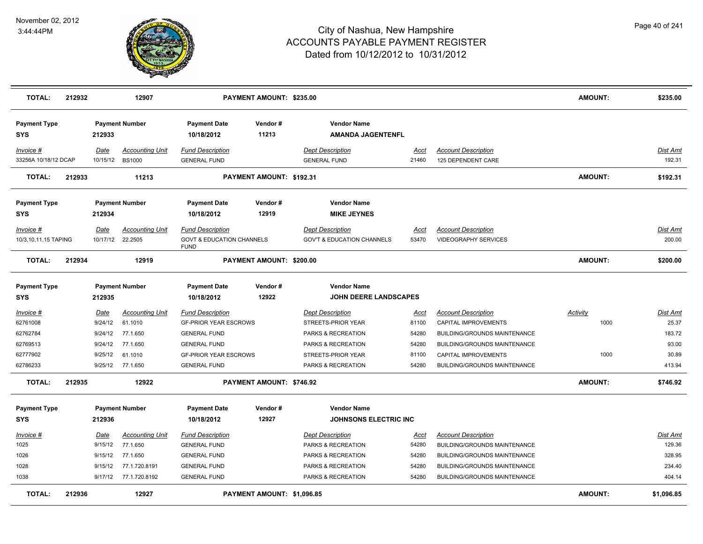

| <b>TOTAL:</b>                     | 212932 |                  | 12907                                     |                                                                                | PAYMENT AMOUNT: \$235.00   |                                                                  |               |                                                           | <b>AMOUNT:</b> | \$235.00           |
|-----------------------------------|--------|------------------|-------------------------------------------|--------------------------------------------------------------------------------|----------------------------|------------------------------------------------------------------|---------------|-----------------------------------------------------------|----------------|--------------------|
| <b>Payment Type</b><br><b>SYS</b> |        | 212933           | <b>Payment Number</b>                     | <b>Payment Date</b><br>10/18/2012                                              | Vendor#<br>11213           | <b>Vendor Name</b><br><b>AMANDA JAGENTENFL</b>                   |               |                                                           |                |                    |
| Invoice #<br>33256A 10/18/12 DCAP |        | Date             | <b>Accounting Unit</b><br>10/15/12 BS1000 | <b>Fund Description</b><br><b>GENERAL FUND</b>                                 |                            | <b>Dept Description</b><br><b>GENERAL FUND</b>                   | Acct<br>21460 | <b>Account Description</b><br>125 DEPENDENT CARE          |                | Dist Amt<br>192.31 |
| <b>TOTAL:</b>                     | 212933 |                  | 11213                                     |                                                                                | PAYMENT AMOUNT: \$192.31   |                                                                  |               |                                                           | <b>AMOUNT:</b> | \$192.31           |
| <b>Payment Type</b>               |        |                  | <b>Payment Number</b>                     | <b>Payment Date</b>                                                            | Vendor#                    | <b>Vendor Name</b>                                               |               |                                                           |                |                    |
| <b>SYS</b>                        |        | 212934           |                                           | 10/18/2012                                                                     | 12919                      | <b>MIKE JEYNES</b>                                               |               |                                                           |                |                    |
| Invoice #<br>10/3,10,11,15 TAPING |        | Date<br>10/17/12 | <b>Accounting Unit</b><br>22.2505         | <b>Fund Description</b><br><b>GOVT &amp; EDUCATION CHANNELS</b><br><b>FUND</b> |                            | <b>Dept Description</b><br><b>GOV'T &amp; EDUCATION CHANNELS</b> | Acct<br>53470 | <b>Account Description</b><br><b>VIDEOGRAPHY SERVICES</b> |                | Dist Amt<br>200.00 |
| <b>TOTAL:</b>                     | 212934 |                  | 12919                                     |                                                                                | PAYMENT AMOUNT: \$200.00   |                                                                  |               |                                                           | <b>AMOUNT:</b> | \$200.00           |
| <b>Payment Type</b><br><b>SYS</b> |        | 212935           | <b>Payment Number</b>                     | <b>Payment Date</b><br>10/18/2012                                              | Vendor#<br>12922           | <b>Vendor Name</b><br>JOHN DEERE LANDSCAPES                      |               |                                                           |                |                    |
| Invoice #                         |        | Date             | Accounting Unit                           | <b>Fund Description</b>                                                        |                            | <b>Dept Description</b>                                          | Acct          | <b>Account Description</b>                                | Activity       | Dist Amt           |
| 62761008                          |        | 9/24/12          | 61.1010                                   | <b>GF-PRIOR YEAR ESCROWS</b>                                                   |                            | STREETS-PRIOR YEAR                                               | 81100         | CAPITAL IMPROVEMENTS                                      | 1000           | 25.37              |
| 62762784                          |        | 9/24/12          | 77.1.650                                  | <b>GENERAL FUND</b>                                                            |                            | PARKS & RECREATION                                               | 54280         | <b>BUILDING/GROUNDS MAINTENANCE</b>                       |                | 183.72             |
| 62769513                          |        | 9/24/12          | 77.1.650                                  | <b>GENERAL FUND</b>                                                            |                            | PARKS & RECREATION                                               | 54280         | BUILDING/GROUNDS MAINTENANCE                              |                | 93.00              |
| 62777902                          |        | 9/25/12          | 61.1010                                   | <b>GF-PRIOR YEAR ESCROWS</b>                                                   |                            | STREETS-PRIOR YEAR                                               | 81100         | CAPITAL IMPROVEMENTS                                      | 1000           | 30.89              |
| 62786233                          |        |                  | 9/25/12 77.1.650                          | <b>GENERAL FUND</b>                                                            |                            | PARKS & RECREATION                                               | 54280         | <b>BUILDING/GROUNDS MAINTENANCE</b>                       |                | 413.94             |
| <b>TOTAL:</b>                     | 212935 |                  | 12922                                     |                                                                                | PAYMENT AMOUNT: \$746.92   |                                                                  |               |                                                           | <b>AMOUNT:</b> | \$746.92           |
| <b>Payment Type</b>               |        |                  | <b>Payment Number</b>                     | <b>Payment Date</b>                                                            | Vendor#                    | <b>Vendor Name</b>                                               |               |                                                           |                |                    |
| <b>SYS</b>                        |        | 212936           |                                           | 10/18/2012                                                                     | 12927                      | <b>JOHNSONS ELECTRIC INC</b>                                     |               |                                                           |                |                    |
| $Invoice$ #                       |        | <b>Date</b>      | <b>Accounting Unit</b>                    | <b>Fund Description</b>                                                        |                            | <b>Dept Description</b>                                          | <u>Acct</u>   | <b>Account Description</b>                                |                | Dist Amt           |
| 1025                              |        | 9/15/12          | 77.1.650                                  | <b>GENERAL FUND</b>                                                            |                            | PARKS & RECREATION                                               | 54280         | BUILDING/GROUNDS MAINTENANCE                              |                | 129.36             |
| 1026                              |        | 9/15/12          | 77.1.650                                  | <b>GENERAL FUND</b>                                                            |                            | PARKS & RECREATION                                               | 54280         | BUILDING/GROUNDS MAINTENANCE                              |                | 328.95             |
| 1028                              |        | 9/15/12          | 77.1.720.8191                             | <b>GENERAL FUND</b>                                                            |                            | PARKS & RECREATION                                               | 54280         | <b>BUILDING/GROUNDS MAINTENANCE</b>                       |                | 234.40             |
| 1038                              |        |                  | 9/17/12 77.1.720.8192                     | <b>GENERAL FUND</b>                                                            |                            | PARKS & RECREATION                                               | 54280         | BUILDING/GROUNDS MAINTENANCE                              |                | 404.14             |
| <b>TOTAL:</b>                     | 212936 |                  | 12927                                     |                                                                                | PAYMENT AMOUNT: \$1,096.85 |                                                                  |               |                                                           | <b>AMOUNT:</b> | \$1,096.85         |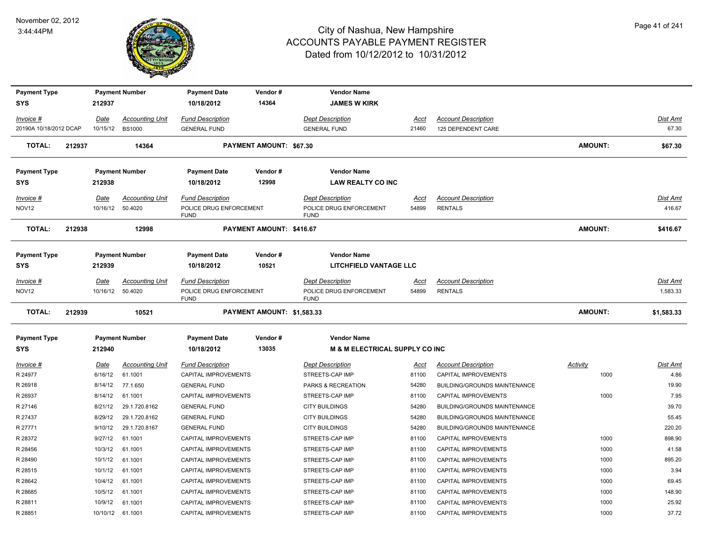

| <b>Payment Type</b>    |        |             | <b>Payment Number</b>  | <b>Payment Date</b>                    | Vendor#                        | <b>Vendor Name</b>                        |             |                                     |                 |                 |
|------------------------|--------|-------------|------------------------|----------------------------------------|--------------------------------|-------------------------------------------|-------------|-------------------------------------|-----------------|-----------------|
| <b>SYS</b>             |        | 212937      |                        | 10/18/2012                             | 14364                          | <b>JAMES W KIRK</b>                       |             |                                     |                 |                 |
| Invoice #              |        | Date        | <b>Accounting Unit</b> | <b>Fund Description</b>                |                                | <b>Dept Description</b>                   | Acct        | <b>Account Description</b>          |                 | Dist Amt        |
| 20190A 10/18/2012 DCAP |        |             | 10/15/12 BS1000        | <b>GENERAL FUND</b>                    |                                | <b>GENERAL FUND</b>                       | 21460       | 125 DEPENDENT CARE                  |                 | 67.30           |
| TOTAL:                 | 212937 |             | 14364                  |                                        | <b>PAYMENT AMOUNT: \$67.30</b> |                                           |             |                                     | <b>AMOUNT:</b>  | \$67.30         |
| <b>Payment Type</b>    |        |             | <b>Payment Number</b>  | <b>Payment Date</b>                    | Vendor#                        | <b>Vendor Name</b>                        |             |                                     |                 |                 |
| <b>SYS</b>             |        | 212938      |                        | 10/18/2012                             | 12998                          | <b>LAW REALTY CO INC</b>                  |             |                                     |                 |                 |
| Invoice #              |        | Date        | <b>Accounting Unit</b> | <b>Fund Description</b>                |                                | <b>Dept Description</b>                   | Acct        | <b>Account Description</b>          |                 | Dist Amt        |
| NOV <sub>12</sub>      |        |             | 10/16/12 50.4020       | POLICE DRUG ENFORCEMENT<br><b>FUND</b> |                                | POLICE DRUG ENFORCEMENT<br><b>FUND</b>    | 54899       | <b>RENTALS</b>                      |                 | 416.67          |
| <b>TOTAL:</b>          | 212938 |             | 12998                  |                                        | PAYMENT AMOUNT: \$416.67       |                                           |             |                                     | <b>AMOUNT:</b>  | \$416.67        |
| <b>Payment Type</b>    |        |             | <b>Payment Number</b>  | <b>Payment Date</b>                    | Vendor#                        | <b>Vendor Name</b>                        |             |                                     |                 |                 |
| <b>SYS</b>             |        | 212939      |                        | 10/18/2012                             | 10521                          | <b>LITCHFIELD VANTAGE LLC</b>             |             |                                     |                 |                 |
| <u>Invoice #</u>       |        | <b>Date</b> | <b>Accounting Unit</b> | <b>Fund Description</b>                |                                | <b>Dept Description</b>                   | <u>Acct</u> | <b>Account Description</b>          |                 | <b>Dist Amt</b> |
| NOV <sub>12</sub>      |        |             | 10/16/12 50.4020       | POLICE DRUG ENFORCEMENT<br><b>FUND</b> |                                | POLICE DRUG ENFORCEMENT<br><b>FUND</b>    | 54899       | <b>RENTALS</b>                      |                 | 1,583.33        |
| <b>TOTAL:</b>          | 212939 |             | 10521                  |                                        | PAYMENT AMOUNT: \$1,583.33     |                                           |             |                                     | <b>AMOUNT:</b>  | \$1,583.33      |
| <b>Payment Type</b>    |        |             | <b>Payment Number</b>  | <b>Payment Date</b>                    | Vendor#                        | <b>Vendor Name</b>                        |             |                                     |                 |                 |
| <b>SYS</b>             |        | 212940      |                        | 10/18/2012                             | 13035                          | <b>M &amp; M ELECTRICAL SUPPLY CO INC</b> |             |                                     |                 |                 |
| Invoice #              |        | Date        | <b>Accounting Unit</b> | <b>Fund Description</b>                |                                | <b>Dept Description</b>                   | <u>Acct</u> | <b>Account Description</b>          | <b>Activity</b> | Dist Amt        |
| R 24977                |        | 6/16/12     | 61.1001                | CAPITAL IMPROVEMENTS                   |                                | STREETS-CAP IMP                           | 81100       | CAPITAL IMPROVEMENTS                | 1000            | 4.86            |
| R 26918                |        | 8/14/12     | 77.1.650               | <b>GENERAL FUND</b>                    |                                | PARKS & RECREATION                        | 54280       | BUILDING/GROUNDS MAINTENANCE        |                 | 19.90           |
| R 26937                |        | 8/14/12     | 61.1001                | CAPITAL IMPROVEMENTS                   |                                | STREETS-CAP IMP                           | 81100       | CAPITAL IMPROVEMENTS                | 1000            | 7.95            |
| R 27146                |        | 8/21/12     | 29.1.720.8162          | <b>GENERAL FUND</b>                    |                                | <b>CITY BUILDINGS</b>                     | 54280       | BUILDING/GROUNDS MAINTENANCE        |                 | 39.70           |
| R 27437                |        | 8/29/12     | 29.1.720.8162          | <b>GENERAL FUND</b>                    |                                | <b>CITY BUILDINGS</b>                     | 54280       | BUILDING/GROUNDS MAINTENANCE        |                 | 55.45           |
| R 27771                |        | 9/10/12     | 29.1.720.8167          | <b>GENERAL FUND</b>                    |                                | <b>CITY BUILDINGS</b>                     | 54280       | <b>BUILDING/GROUNDS MAINTENANCE</b> |                 | 220.20          |
| R 28372                |        | 9/27/12     | 61.1001                | CAPITAL IMPROVEMENTS                   |                                | STREETS-CAP IMP                           | 81100       | CAPITAL IMPROVEMENTS                | 1000            | 898.90          |
| R 28456                |        | 10/3/12     | 61.1001                | CAPITAL IMPROVEMENTS                   |                                | STREETS-CAP IMP                           | 81100       | CAPITAL IMPROVEMENTS                | 1000            | 41.58           |
| R 28490                |        | 10/1/12     | 61.1001                | CAPITAL IMPROVEMENTS                   |                                | STREETS-CAP IMP                           | 81100       | CAPITAL IMPROVEMENTS                | 1000            | 895.20          |
| R 28515                |        | 10/1/12     | 61.1001                | CAPITAL IMPROVEMENTS                   |                                | STREETS-CAP IMP                           | 81100       | CAPITAL IMPROVEMENTS                | 1000            | 3.94            |
| R 28642                |        | 10/4/12     | 61.1001                | CAPITAL IMPROVEMENTS                   |                                | STREETS-CAP IMP                           | 81100       | CAPITAL IMPROVEMENTS                | 1000            | 69.45           |
| R 28685                |        | 10/5/12     | 61.1001                | <b>CAPITAL IMPROVEMENTS</b>            |                                | STREETS-CAP IMP                           | 81100       | CAPITAL IMPROVEMENTS                | 1000            | 148.90          |
| R 28811                |        | 10/9/12     | 61.1001                | CAPITAL IMPROVEMENTS                   |                                | STREETS-CAP IMP                           | 81100       | CAPITAL IMPROVEMENTS                | 1000            | 25.92           |
| R 28851                |        |             | 10/10/12 61.1001       | CAPITAL IMPROVEMENTS                   |                                | STREETS-CAP IMP                           | 81100       | CAPITAL IMPROVEMENTS                | 1000            | 37.72           |
|                        |        |             |                        |                                        |                                |                                           |             |                                     |                 |                 |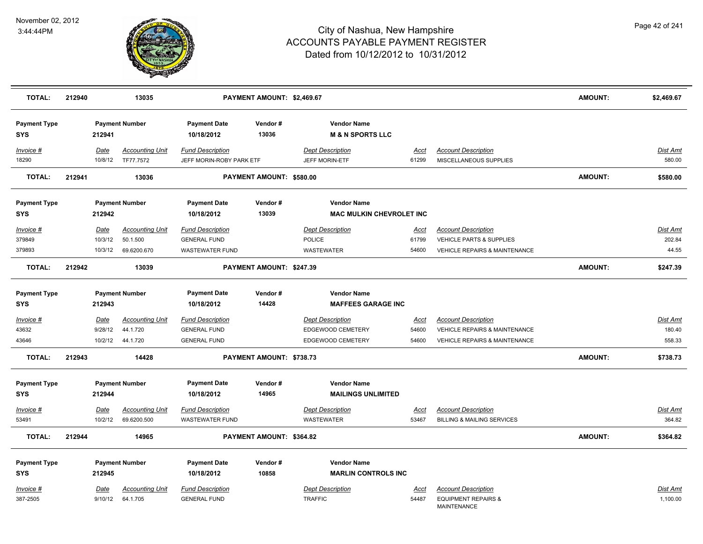

| <b>TOTAL:</b>                     | 212940 |                                   | 13035                                             |                                                                          | PAYMENT AMOUNT: \$2,469.67 |                                                                   |                        |                                                                                                         | <b>AMOUNT:</b> | \$2,469.67                   |
|-----------------------------------|--------|-----------------------------------|---------------------------------------------------|--------------------------------------------------------------------------|----------------------------|-------------------------------------------------------------------|------------------------|---------------------------------------------------------------------------------------------------------|----------------|------------------------------|
| <b>Payment Type</b><br><b>SYS</b> |        | 212941                            | <b>Payment Number</b>                             | <b>Payment Date</b><br>10/18/2012                                        | Vendor#<br>13036           | <b>Vendor Name</b><br><b>M &amp; N SPORTS LLC</b>                 |                        |                                                                                                         |                |                              |
| Invoice #<br>18290                |        | <u>Date</u><br>10/8/12            | <b>Accounting Unit</b><br>TF77.7572               | <b>Fund Description</b><br>JEFF MORIN-ROBY PARK ETF                      |                            | <b>Dept Description</b><br>JEFF MORIN-ETF                         | Acct<br>61299          | <b>Account Description</b><br>MISCELLANEOUS SUPPLIES                                                    |                | Dist Amt<br>580.00           |
| <b>TOTAL:</b>                     | 212941 |                                   | 13036                                             |                                                                          | PAYMENT AMOUNT: \$580.00   |                                                                   |                        |                                                                                                         | <b>AMOUNT:</b> | \$580.00                     |
| <b>Payment Type</b><br><b>SYS</b> |        | 212942                            | <b>Payment Number</b>                             | <b>Payment Date</b><br>10/18/2012                                        | Vendor#<br>13039           | <b>Vendor Name</b><br><b>MAC MULKIN CHEVROLET INC</b>             |                        |                                                                                                         |                |                              |
| Invoice #<br>379849<br>379893     |        | Date<br>10/3/12<br>10/3/12        | <b>Accounting Unit</b><br>50.1.500<br>69.6200.670 | <b>Fund Description</b><br><b>GENERAL FUND</b><br><b>WASTEWATER FUND</b> |                            | <b>Dept Description</b><br>POLICE<br>WASTEWATER                   | Acct<br>61799<br>54600 | <b>Account Description</b><br>VEHICLE PARTS & SUPPLIES<br><b>VEHICLE REPAIRS &amp; MAINTENANCE</b>      |                | Dist Amt<br>202.84<br>44.55  |
| <b>TOTAL:</b>                     | 212942 |                                   | 13039                                             |                                                                          | PAYMENT AMOUNT: \$247.39   |                                                                   |                        |                                                                                                         | <b>AMOUNT:</b> | \$247.39                     |
| <b>Payment Type</b><br>SYS        |        | 212943                            | <b>Payment Number</b>                             | <b>Payment Date</b><br>10/18/2012                                        | Vendor#<br>14428           | <b>Vendor Name</b><br><b>MAFFEES GARAGE INC</b>                   |                        |                                                                                                         |                |                              |
| Invoice #<br>43632<br>43646       |        | <u>Date</u><br>9/28/12<br>10/2/12 | <b>Accounting Unit</b><br>44.1.720<br>44.1.720    | <b>Fund Description</b><br><b>GENERAL FUND</b><br><b>GENERAL FUND</b>    |                            | <b>Dept Description</b><br>EDGEWOOD CEMETERY<br>EDGEWOOD CEMETERY | Acct<br>54600<br>54600 | <b>Account Description</b><br>VEHICLE REPAIRS & MAINTENANCE<br><b>VEHICLE REPAIRS &amp; MAINTENANCE</b> |                | Dist Amt<br>180.40<br>558.33 |
| <b>TOTAL:</b>                     | 212943 |                                   | 14428                                             |                                                                          | PAYMENT AMOUNT: \$738.73   |                                                                   |                        |                                                                                                         | <b>AMOUNT:</b> | \$738.73                     |
| <b>Payment Type</b><br><b>SYS</b> |        | 212944                            | <b>Payment Number</b>                             | <b>Payment Date</b><br>10/18/2012                                        | Vendor#<br>14965           | <b>Vendor Name</b><br><b>MAILINGS UNLIMITED</b>                   |                        |                                                                                                         |                |                              |
| Invoice #<br>53491                |        | Date<br>10/2/12                   | <b>Accounting Unit</b><br>69.6200.500             | <b>Fund Description</b><br><b>WASTEWATER FUND</b>                        |                            | <b>Dept Description</b><br><b>WASTEWATER</b>                      | <u>Acct</u><br>53467   | <b>Account Description</b><br><b>BILLING &amp; MAILING SERVICES</b>                                     |                | <u>Dist Amt</u><br>364.82    |
| <b>TOTAL:</b>                     | 212944 |                                   | 14965                                             |                                                                          | PAYMENT AMOUNT: \$364.82   |                                                                   |                        |                                                                                                         | <b>AMOUNT:</b> | \$364.82                     |
| <b>Payment Type</b><br><b>SYS</b> |        | 212945                            | <b>Payment Number</b>                             | <b>Payment Date</b><br>10/18/2012                                        | Vendor#<br>10858           | <b>Vendor Name</b><br><b>MARLIN CONTROLS INC</b>                  |                        |                                                                                                         |                |                              |
| Invoice #<br>387-2505             |        | <u>Date</u><br>9/10/12            | <b>Accounting Unit</b><br>64.1.705                | <b>Fund Description</b><br><b>GENERAL FUND</b>                           |                            | <b>Dept Description</b><br><b>TRAFFIC</b>                         | <u>Acct</u><br>54487   | <b>Account Description</b><br><b>EQUIPMENT REPAIRS &amp;</b><br>MAINTENANCE                             |                | <u>Dist Amt</u><br>1,100.00  |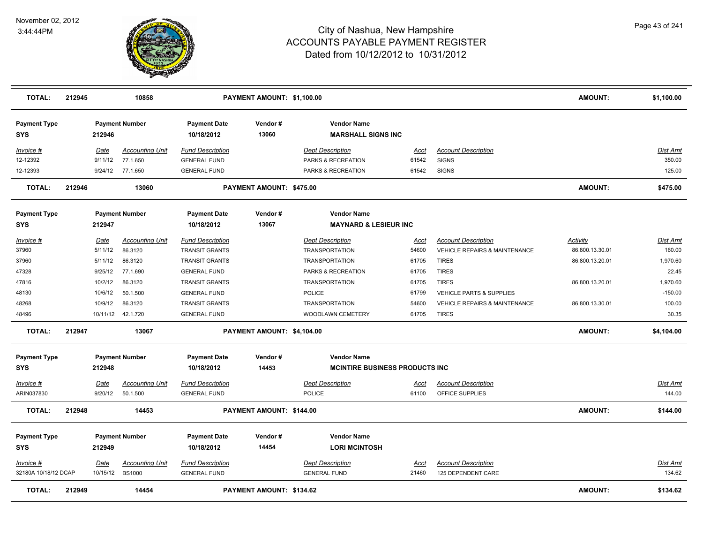

| <b>TOTAL:</b>                     | 212945 |             | 10858                  |                                   | PAYMENT AMOUNT: \$1,100.00 |                                                 |             |                                          | <b>AMOUNT:</b>  | \$1,100.00      |
|-----------------------------------|--------|-------------|------------------------|-----------------------------------|----------------------------|-------------------------------------------------|-------------|------------------------------------------|-----------------|-----------------|
| <b>Payment Type</b><br><b>SYS</b> |        | 212946      | <b>Payment Number</b>  | <b>Payment Date</b><br>10/18/2012 | Vendor#<br>13060           | <b>Vendor Name</b><br><b>MARSHALL SIGNS INC</b> |             |                                          |                 |                 |
| Invoice #                         |        | Date        | <b>Accounting Unit</b> | <b>Fund Description</b>           |                            | <b>Dept Description</b>                         | Acct        | <b>Account Description</b>               |                 | Dist Amt        |
| 12-12392                          |        | 9/11/12     | 77.1.650               | <b>GENERAL FUND</b>               |                            | PARKS & RECREATION                              | 61542       | <b>SIGNS</b>                             |                 | 350.00          |
| 12-12393                          |        | 9/24/12     | 77.1.650               | <b>GENERAL FUND</b>               |                            | PARKS & RECREATION                              | 61542       | <b>SIGNS</b>                             |                 | 125.00          |
| <b>TOTAL:</b>                     | 212946 |             | 13060                  |                                   | PAYMENT AMOUNT: \$475.00   |                                                 |             |                                          | <b>AMOUNT:</b>  | \$475.00        |
| <b>Payment Type</b>               |        |             | <b>Payment Number</b>  | <b>Payment Date</b>               | Vendor#                    | <b>Vendor Name</b>                              |             |                                          |                 |                 |
| <b>SYS</b>                        |        | 212947      |                        | 10/18/2012                        | 13067                      | <b>MAYNARD &amp; LESIEUR INC</b>                |             |                                          |                 |                 |
| Invoice #                         |        | Date        | <b>Accounting Unit</b> | <b>Fund Description</b>           |                            | <b>Dept Description</b>                         | Acct        | <b>Account Description</b>               | Activity        | Dist Amt        |
| 37960                             |        | 5/11/12     | 86.3120                | <b>TRANSIT GRANTS</b>             |                            | <b>TRANSPORTATION</b>                           | 54600       | <b>VEHICLE REPAIRS &amp; MAINTENANCE</b> | 86.800.13.30.01 | 160.00          |
| 37960                             |        | 5/11/12     | 86.3120                | <b>TRANSIT GRANTS</b>             |                            | <b>TRANSPORTATION</b>                           | 61705       | <b>TIRES</b>                             | 86.800.13.20.01 | 1,970.60        |
| 47328                             |        | 9/25/12     | 77.1.690               | <b>GENERAL FUND</b>               |                            | PARKS & RECREATION                              | 61705       | <b>TIRES</b>                             |                 | 22.45           |
| 47816                             |        | 10/2/12     | 86.3120                | <b>TRANSIT GRANTS</b>             |                            | <b>TRANSPORTATION</b>                           | 61705       | <b>TIRES</b>                             | 86.800.13.20.01 | 1,970.60        |
| 48130                             |        | 10/6/12     | 50.1.500               | <b>GENERAL FUND</b>               |                            | POLICE                                          | 61799       | VEHICLE PARTS & SUPPLIES                 |                 | $-150.00$       |
| 48268                             |        | 10/9/12     | 86.3120                | <b>TRANSIT GRANTS</b>             |                            | <b>TRANSPORTATION</b>                           | 54600       | <b>VEHICLE REPAIRS &amp; MAINTENANCE</b> | 86.800.13.30.01 | 100.00          |
| 48496                             |        |             | 10/11/12  42.1.720     | <b>GENERAL FUND</b>               |                            | WOODLAWN CEMETERY                               | 61705       | <b>TIRES</b>                             |                 | 30.35           |
| TOTAL:                            | 212947 |             | 13067                  |                                   | PAYMENT AMOUNT: \$4,104.00 |                                                 |             |                                          | <b>AMOUNT:</b>  | \$4,104.00      |
| <b>Payment Type</b>               |        |             | <b>Payment Number</b>  | <b>Payment Date</b>               | Vendor#                    | <b>Vendor Name</b>                              |             |                                          |                 |                 |
| <b>SYS</b>                        |        | 212948      |                        | 10/18/2012                        | 14453                      | <b>MCINTIRE BUSINESS PRODUCTS INC.</b>          |             |                                          |                 |                 |
| $Invoice$ #                       |        | <u>Date</u> | <u>Accounting Unit</u> | <b>Fund Description</b>           |                            | <b>Dept Description</b>                         | <u>Acct</u> | <b>Account Description</b>               |                 | <b>Dist Amt</b> |
| ARIN037830                        |        | 9/20/12     | 50.1.500               | <b>GENERAL FUND</b>               |                            | POLICE                                          | 61100       | OFFICE SUPPLIES                          |                 | 144.00          |
| <b>TOTAL:</b>                     | 212948 |             | 14453                  |                                   | PAYMENT AMOUNT: \$144.00   |                                                 |             |                                          | <b>AMOUNT:</b>  | \$144.00        |
| <b>Payment Type</b><br><b>SYS</b> |        | 212949      | <b>Payment Number</b>  | <b>Payment Date</b><br>10/18/2012 | Vendor#<br>14454           | <b>Vendor Name</b><br><b>LORI MCINTOSH</b>      |             |                                          |                 |                 |
| Invoice #                         |        | Date        | <b>Accounting Unit</b> | <b>Fund Description</b>           |                            | <b>Dept Description</b>                         | Acct        | <b>Account Description</b>               |                 | Dist Amt        |
| 32180A 10/18/12 DCAP              |        | 10/15/12    | <b>BS1000</b>          | <b>GENERAL FUND</b>               |                            | <b>GENERAL FUND</b>                             | 21460       | 125 DEPENDENT CARE                       |                 | 134.62          |
| <b>TOTAL:</b>                     | 212949 |             | 14454                  |                                   | PAYMENT AMOUNT: \$134.62   |                                                 |             |                                          | <b>AMOUNT:</b>  | \$134.62        |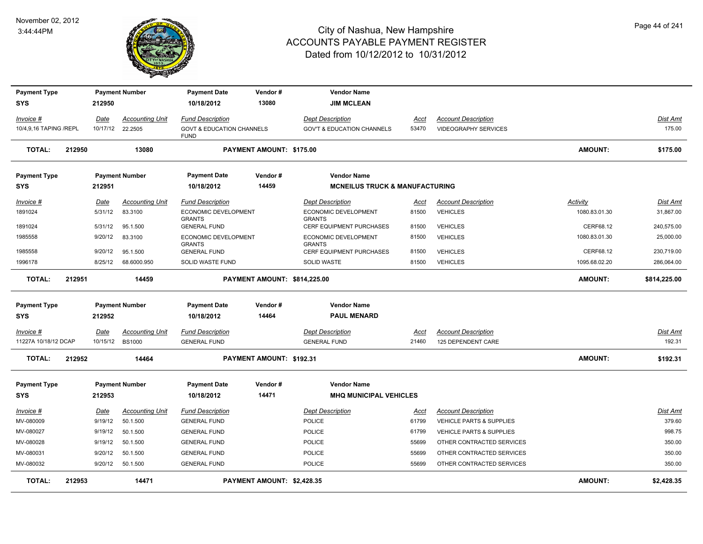

| <b>Payment Type</b>    |        |             | <b>Payment Number</b>  | <b>Payment Date</b>                                 | Vendor#                      | <b>Vendor Name</b>                        |             |                                     |                |                 |
|------------------------|--------|-------------|------------------------|-----------------------------------------------------|------------------------------|-------------------------------------------|-------------|-------------------------------------|----------------|-----------------|
| SYS                    |        | 212950      |                        | 10/18/2012                                          | 13080                        | <b>JIM MCLEAN</b>                         |             |                                     |                |                 |
| Invoice #              |        | <u>Date</u> | <b>Accounting Unit</b> | <b>Fund Description</b>                             |                              | <b>Dept Description</b>                   | <u>Acct</u> | <b>Account Description</b>          |                | <u>Dist Amt</u> |
| 10/4,9,16 TAPING /REPL |        | 10/17/12    | 22.2505                | <b>GOVT &amp; EDUCATION CHANNELS</b><br><b>FUND</b> |                              | <b>GOV'T &amp; EDUCATION CHANNELS</b>     | 53470       | <b>VIDEOGRAPHY SERVICES</b>         |                | 175.00          |
| <b>TOTAL:</b>          | 212950 |             | 13080                  |                                                     | PAYMENT AMOUNT: \$175.00     |                                           |             |                                     | <b>AMOUNT:</b> | \$175.00        |
| <b>Payment Type</b>    |        |             | <b>Payment Number</b>  | <b>Payment Date</b>                                 | Vendor#                      | <b>Vendor Name</b>                        |             |                                     |                |                 |
| <b>SYS</b>             |        | 212951      |                        | 10/18/2012                                          | 14459                        | <b>MCNEILUS TRUCK &amp; MANUFACTURING</b> |             |                                     |                |                 |
| Invoice #              |        | Date        | <b>Accounting Unit</b> | <b>Fund Description</b>                             |                              | <b>Dept Description</b>                   | Acct        | <b>Account Description</b>          | Activity       | Dist Amt        |
| 1891024                |        | 5/31/12     | 83.3100                | ECONOMIC DEVELOPMENT<br><b>GRANTS</b>               |                              | ECONOMIC DEVELOPMENT<br><b>GRANTS</b>     | 81500       | <b>VEHICLES</b>                     | 1080.83.01.30  | 31,867.00       |
| 1891024                |        | 5/31/12     | 95.1.500               | <b>GENERAL FUND</b>                                 |                              | CERF EQUIPMENT PURCHASES                  | 81500       | <b>VEHICLES</b>                     | CERF68.12      | 240,575.00      |
| 1985558                |        | 9/20/12     | 83.3100                | ECONOMIC DEVELOPMENT<br><b>GRANTS</b>               |                              | ECONOMIC DEVELOPMENT<br><b>GRANTS</b>     | 81500       | <b>VEHICLES</b>                     | 1080.83.01.30  | 25,000.00       |
| 1985558                |        | 9/20/12     | 95.1.500               | <b>GENERAL FUND</b>                                 |                              | CERF EQUIPMENT PURCHASES                  | 81500       | <b>VEHICLES</b>                     | CERF68.12      | 230,719.00      |
| 1996178                |        | 8/25/12     | 68.6000.950            | <b>SOLID WASTE FUND</b>                             |                              | <b>SOLID WASTE</b>                        | 81500       | <b>VEHICLES</b>                     | 1095.68.02.20  | 286,064.00      |
| <b>TOTAL:</b>          | 212951 |             | 14459                  |                                                     | PAYMENT AMOUNT: \$814,225.00 |                                           |             |                                     | <b>AMOUNT:</b> | \$814,225.00    |
| <b>Payment Type</b>    |        |             | <b>Payment Number</b>  | <b>Payment Date</b>                                 | Vendor#                      | <b>Vendor Name</b>                        |             |                                     |                |                 |
| <b>SYS</b>             |        | 212952      |                        | 10/18/2012                                          | 14464                        | <b>PAUL MENARD</b>                        |             |                                     |                |                 |
| $Invoice$ #            |        | <u>Date</u> | <b>Accounting Unit</b> | <b>Fund Description</b>                             |                              | <b>Dept Description</b>                   | <u>Acct</u> | <b>Account Description</b>          |                | <u>Dist Amt</u> |
| 11227A 10/18/12 DCAP   |        | 10/15/12    | <b>BS1000</b>          | <b>GENERAL FUND</b>                                 |                              | <b>GENERAL FUND</b>                       | 21460       | 125 DEPENDENT CARE                  |                | 192.31          |
| <b>TOTAL:</b>          | 212952 |             | 14464                  |                                                     | PAYMENT AMOUNT: \$192.31     |                                           |             |                                     | <b>AMOUNT:</b> | \$192.31        |
| <b>Payment Type</b>    |        |             | <b>Payment Number</b>  | <b>Payment Date</b>                                 | Vendor#                      | <b>Vendor Name</b>                        |             |                                     |                |                 |
| <b>SYS</b>             |        | 212953      |                        | 10/18/2012                                          | 14471                        | <b>MHQ MUNICIPAL VEHICLES</b>             |             |                                     |                |                 |
| Invoice #              |        | Date        | <b>Accounting Unit</b> | <b>Fund Description</b>                             |                              | <b>Dept Description</b>                   | Acct        | <b>Account Description</b>          |                | Dist Amt        |
| MV-080009              |        | 9/19/12     | 50.1.500               | <b>GENERAL FUND</b>                                 |                              | <b>POLICE</b>                             | 61799       | <b>VEHICLE PARTS &amp; SUPPLIES</b> |                | 379.60          |
| MV-080027              |        | 9/19/12     | 50.1.500               | <b>GENERAL FUND</b>                                 |                              | POLICE                                    | 61799       | <b>VEHICLE PARTS &amp; SUPPLIES</b> |                | 998.75          |
| MV-080028              |        | 9/19/12     | 50.1.500               | <b>GENERAL FUND</b>                                 |                              | <b>POLICE</b>                             | 55699       | OTHER CONTRACTED SERVICES           |                | 350.00          |
| MV-080031              |        | 9/20/12     | 50.1.500               | <b>GENERAL FUND</b>                                 |                              | <b>POLICE</b>                             | 55699       | OTHER CONTRACTED SERVICES           |                | 350.00          |
| MV-080032              |        | 9/20/12     | 50.1.500               | <b>GENERAL FUND</b>                                 |                              | <b>POLICE</b>                             | 55699       | OTHER CONTRACTED SERVICES           |                | 350.00          |
| <b>TOTAL:</b>          | 212953 |             | 14471                  |                                                     | PAYMENT AMOUNT: \$2,428.35   |                                           |             |                                     | <b>AMOUNT:</b> | \$2,428.35      |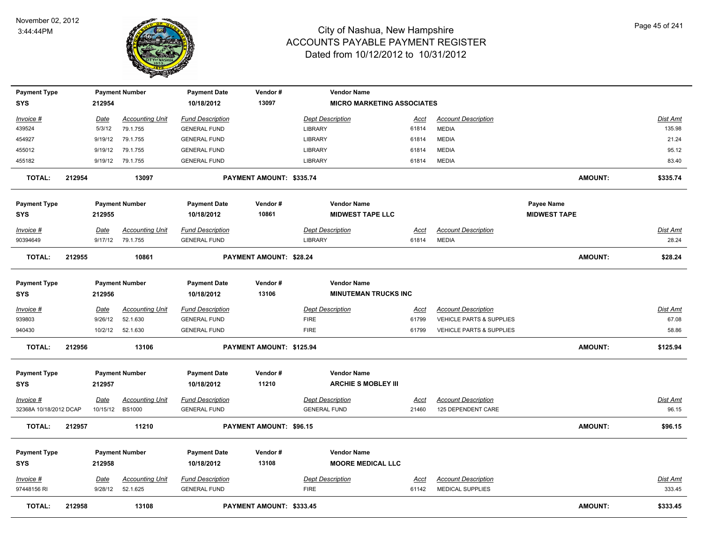

| <b>Payment Type</b>                   |        |                  | <b>Payment Number</b>                      | <b>Payment Date</b>                            | Vendor#                        |                     | <b>Vendor Name</b>                                |               |                                            |                                          |                |                          |
|---------------------------------------|--------|------------------|--------------------------------------------|------------------------------------------------|--------------------------------|---------------------|---------------------------------------------------|---------------|--------------------------------------------|------------------------------------------|----------------|--------------------------|
| <b>SYS</b>                            |        | 212954           |                                            | 10/18/2012                                     | 13097                          |                     | <b>MICRO MARKETING ASSOCIATES</b>                 |               |                                            |                                          |                |                          |
| Invoice #                             |        | Date             | <b>Accounting Unit</b>                     | <b>Fund Description</b>                        |                                |                     | <b>Dept Description</b>                           | Acct          | <b>Account Description</b>                 |                                          |                | Dist Amt                 |
| 439524                                |        | 5/3/12           | 79.1.755                                   | <b>GENERAL FUND</b>                            |                                | <b>LIBRARY</b>      |                                                   | 61814         | <b>MEDIA</b>                               |                                          |                | 135.98                   |
| 454927                                |        | 9/19/12          | 79.1.755                                   | <b>GENERAL FUND</b>                            |                                | <b>LIBRARY</b>      |                                                   | 61814         | <b>MEDIA</b>                               |                                          |                | 21.24                    |
| 455012                                |        | 9/19/12          | 79.1.755                                   | <b>GENERAL FUND</b>                            |                                | LIBRARY             |                                                   | 61814         | <b>MEDIA</b>                               |                                          |                | 95.12                    |
| 455182                                |        | 9/19/12          | 79.1.755                                   | <b>GENERAL FUND</b>                            |                                | <b>LIBRARY</b>      |                                                   | 61814         | <b>MEDIA</b>                               |                                          |                | 83.40                    |
| <b>TOTAL:</b>                         | 212954 |                  | 13097                                      |                                                | PAYMENT AMOUNT: \$335.74       |                     |                                                   |               |                                            |                                          | <b>AMOUNT:</b> | \$335.74                 |
| <b>Payment Type</b><br><b>SYS</b>     |        | 212955           | <b>Payment Number</b>                      | <b>Payment Date</b><br>10/18/2012              | Vendor#<br>10861               |                     | <b>Vendor Name</b><br><b>MIDWEST TAPE LLC</b>     |               |                                            | <b>Payee Name</b><br><b>MIDWEST TAPE</b> |                |                          |
| Invoice #<br>90394649                 |        | Date             | <b>Accounting Unit</b><br>9/17/12 79.1.755 | <b>Fund Description</b><br><b>GENERAL FUND</b> |                                | LIBRARY             | <b>Dept Description</b>                           | Acct<br>61814 | <b>Account Description</b><br><b>MEDIA</b> |                                          |                | <b>Dist Amt</b><br>28.24 |
| <b>TOTAL:</b>                         | 212955 |                  | 10861                                      |                                                | <b>PAYMENT AMOUNT: \$28.24</b> |                     |                                                   |               |                                            |                                          | <b>AMOUNT:</b> | \$28.24                  |
| <b>Payment Type</b><br><b>SYS</b>     |        | 212956           | <b>Payment Number</b>                      | <b>Payment Date</b><br>10/18/2012              | Vendor#<br>13106               |                     | <b>Vendor Name</b><br><b>MINUTEMAN TRUCKS INC</b> |               |                                            |                                          |                |                          |
| Invoice #                             |        | Date             | <b>Accounting Unit</b>                     | <b>Fund Description</b>                        |                                |                     | <b>Dept Description</b>                           | <u>Acct</u>   | <b>Account Description</b>                 |                                          |                | <b>Dist Amt</b>          |
| 939803                                |        | 9/26/12          | 52.1.630                                   | <b>GENERAL FUND</b>                            |                                | <b>FIRE</b>         |                                                   | 61799         | <b>VEHICLE PARTS &amp; SUPPLIES</b>        |                                          |                | 67.08                    |
| 940430                                |        | 10/2/12          | 52.1.630                                   | <b>GENERAL FUND</b>                            |                                | <b>FIRE</b>         |                                                   | 61799         | VEHICLE PARTS & SUPPLIES                   |                                          |                | 58.86                    |
| <b>TOTAL:</b>                         | 212956 |                  | 13106                                      |                                                | PAYMENT AMOUNT: \$125.94       |                     |                                                   |               |                                            |                                          | <b>AMOUNT:</b> | \$125.94                 |
| <b>Payment Type</b><br><b>SYS</b>     |        | 212957           | <b>Payment Number</b>                      | <b>Payment Date</b><br>10/18/2012              | Vendor#<br>11210               |                     | <b>Vendor Name</b><br><b>ARCHIE S MOBLEY III</b>  |               |                                            |                                          |                |                          |
|                                       |        |                  | <b>Accounting Unit</b>                     | <b>Fund Description</b>                        |                                |                     | <b>Dept Description</b>                           |               | <b>Account Description</b>                 |                                          |                |                          |
| $Invoice$ #<br>32368A 10/18/2012 DCAP |        | Date<br>10/15/12 | <b>BS1000</b>                              | <b>GENERAL FUND</b>                            |                                | <b>GENERAL FUND</b> |                                                   | Acct<br>21460 | 125 DEPENDENT CARE                         |                                          |                | <u>Dist Amt</u><br>96.15 |
| TOTAL:                                | 212957 |                  | 11210                                      |                                                | PAYMENT AMOUNT: \$96.15        |                     |                                                   |               |                                            |                                          | <b>AMOUNT:</b> | \$96.15                  |
| <b>Payment Type</b>                   |        |                  | <b>Payment Number</b>                      | <b>Payment Date</b>                            | Vendor#                        |                     | <b>Vendor Name</b>                                |               |                                            |                                          |                |                          |
| <b>SYS</b>                            |        | 212958           |                                            | 10/18/2012                                     | 13108                          |                     | <b>MOORE MEDICAL LLC</b>                          |               |                                            |                                          |                |                          |
| Invoice #                             |        | <u>Date</u>      | <b>Accounting Unit</b>                     | <b>Fund Description</b>                        |                                |                     | <b>Dept Description</b>                           | <u>Acct</u>   | <b>Account Description</b>                 |                                          |                | <u>Dist Amt</u>          |
| 97448156 RI                           |        | 9/28/12          | 52.1.625                                   | <b>GENERAL FUND</b>                            |                                | <b>FIRE</b>         |                                                   | 61142         | <b>MEDICAL SUPPLIES</b>                    |                                          |                | 333.45                   |
| <b>TOTAL:</b>                         | 212958 |                  | 13108                                      |                                                | PAYMENT AMOUNT: \$333.45       |                     |                                                   |               |                                            |                                          | <b>AMOUNT:</b> | \$333.45                 |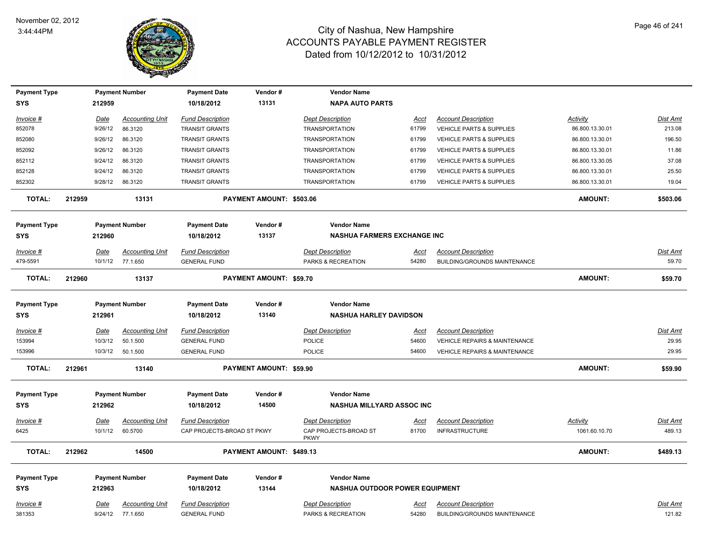

| <b>Payment Type</b> |             | <b>Payment Number</b>  | <b>Payment Date</b>        | Vendor#                  | <b>Vendor Name</b>                    |             |                                          |                 |                 |
|---------------------|-------------|------------------------|----------------------------|--------------------------|---------------------------------------|-------------|------------------------------------------|-----------------|-----------------|
| <b>SYS</b>          | 212959      |                        | 10/18/2012                 | 13131                    | <b>NAPA AUTO PARTS</b>                |             |                                          |                 |                 |
| Invoice #           | Date        | <b>Accounting Unit</b> | <b>Fund Description</b>    |                          | <b>Dept Description</b>               | Acct        | <b>Account Description</b>               | Activity        | Dist Amt        |
| 852078              | 9/26/12     | 86.3120                | <b>TRANSIT GRANTS</b>      |                          | <b>TRANSPORTATION</b>                 | 61799       | VEHICLE PARTS & SUPPLIES                 | 86.800.13.30.01 | 213.08          |
| 852080              | 9/26/12     | 86.3120                | <b>TRANSIT GRANTS</b>      |                          | <b>TRANSPORTATION</b>                 | 61799       | <b>VEHICLE PARTS &amp; SUPPLIES</b>      | 86.800.13.30.01 | 196.50          |
| 852092              | 9/26/12     | 86.3120                | <b>TRANSIT GRANTS</b>      |                          | <b>TRANSPORTATION</b>                 | 61799       | <b>VEHICLE PARTS &amp; SUPPLIES</b>      | 86.800.13.30.01 | 11.86           |
| 852112              | 9/24/12     | 86.3120                | <b>TRANSIT GRANTS</b>      |                          | <b>TRANSPORTATION</b>                 | 61799       | <b>VEHICLE PARTS &amp; SUPPLIES</b>      | 86.800.13.30.05 | 37.08           |
| 852128              | 9/24/12     | 86.3120                | <b>TRANSIT GRANTS</b>      |                          | <b>TRANSPORTATION</b>                 | 61799       | <b>VEHICLE PARTS &amp; SUPPLIES</b>      | 86.800.13.30.01 | 25.50           |
| 852302              | 9/28/12     | 86.3120                | <b>TRANSIT GRANTS</b>      |                          | <b>TRANSPORTATION</b>                 | 61799       | VEHICLE PARTS & SUPPLIES                 | 86.800.13.30.01 | 19.04           |
| <b>TOTAL:</b>       | 212959      | 13131                  |                            | PAYMENT AMOUNT: \$503.06 |                                       |             |                                          | <b>AMOUNT:</b>  | \$503.06        |
| <b>Payment Type</b> |             | <b>Payment Number</b>  | <b>Payment Date</b>        | Vendor#                  | <b>Vendor Name</b>                    |             |                                          |                 |                 |
| <b>SYS</b>          | 212960      |                        | 10/18/2012                 | 13137                    | <b>NASHUA FARMERS EXCHANGE INC</b>    |             |                                          |                 |                 |
| Invoice #           | Date        | <b>Accounting Unit</b> | <b>Fund Description</b>    |                          | <b>Dept Description</b>               | Acct        | <b>Account Description</b>               |                 | Dist Amt        |
| 479-5591            | 10/1/12     | 77.1.650               | <b>GENERAL FUND</b>        |                          | PARKS & RECREATION                    | 54280       | BUILDING/GROUNDS MAINTENANCE             |                 | 59.70           |
| <b>TOTAL:</b>       | 212960      | 13137                  |                            | PAYMENT AMOUNT: \$59.70  |                                       |             |                                          | AMOUNT:         | \$59.70         |
| <b>Payment Type</b> |             | <b>Payment Number</b>  | <b>Payment Date</b>        | Vendor#                  | <b>Vendor Name</b>                    |             |                                          |                 |                 |
| <b>SYS</b>          | 212961      |                        | 10/18/2012                 | 13140                    | <b>NASHUA HARLEY DAVIDSON</b>         |             |                                          |                 |                 |
| Invoice #           | <u>Date</u> | <b>Accounting Unit</b> | <b>Fund Description</b>    |                          | <b>Dept Description</b>               | <u>Acct</u> | <b>Account Description</b>               |                 | Dist Amt        |
| 153994              | 10/3/12     | 50.1.500               | <b>GENERAL FUND</b>        |                          | <b>POLICE</b>                         | 54600       | <b>VEHICLE REPAIRS &amp; MAINTENANCE</b> |                 | 29.95           |
| 153996              | 10/3/12     | 50.1.500               | <b>GENERAL FUND</b>        |                          | <b>POLICE</b>                         | 54600       | <b>VEHICLE REPAIRS &amp; MAINTENANCE</b> |                 | 29.95           |
| <b>TOTAL:</b>       | 212961      | 13140                  |                            | PAYMENT AMOUNT: \$59.90  |                                       |             |                                          | <b>AMOUNT:</b>  | \$59.90         |
| <b>Payment Type</b> |             | <b>Payment Number</b>  | <b>Payment Date</b>        | Vendor#                  | <b>Vendor Name</b>                    |             |                                          |                 |                 |
| SYS                 | 212962      |                        | 10/18/2012                 | 14500                    | <b>NASHUA MILLYARD ASSOC INC</b>      |             |                                          |                 |                 |
| <u>Invoice #</u>    | <b>Date</b> | <b>Accounting Unit</b> | <b>Fund Description</b>    |                          | <b>Dept Description</b>               | <u>Acct</u> | <b>Account Description</b>               | <b>Activity</b> | Dist Amt        |
| 6425                | 10/1/12     | 60.5700                | CAP PROJECTS-BROAD ST PKWY |                          | CAP PROJECTS-BROAD ST<br><b>PKWY</b>  | 81700       | <b>INFRASTRUCTURE</b>                    | 1061.60.10.70   | 489.13          |
| <b>TOTAL:</b>       | 212962      | 14500                  |                            | PAYMENT AMOUNT: \$489.13 |                                       |             |                                          | AMOUNT:         | \$489.13        |
| <b>Payment Type</b> |             | <b>Payment Number</b>  | <b>Payment Date</b>        | Vendor#                  | <b>Vendor Name</b>                    |             |                                          |                 |                 |
| <b>SYS</b>          | 212963      |                        | 10/18/2012                 | 13144                    | <b>NASHUA OUTDOOR POWER EQUIPMENT</b> |             |                                          |                 |                 |
| <u>Invoice #</u>    | <u>Date</u> | <b>Accounting Unit</b> | <b>Fund Description</b>    |                          | <b>Dept Description</b>               | <u>Acct</u> | <b>Account Description</b>               |                 | <u>Dist Amt</u> |
| 381353              |             | 9/24/12 77.1.650       | <b>GENERAL FUND</b>        |                          | PARKS & RECREATION                    | 54280       | BUILDING/GROUNDS MAINTENANCE             |                 | 121.82          |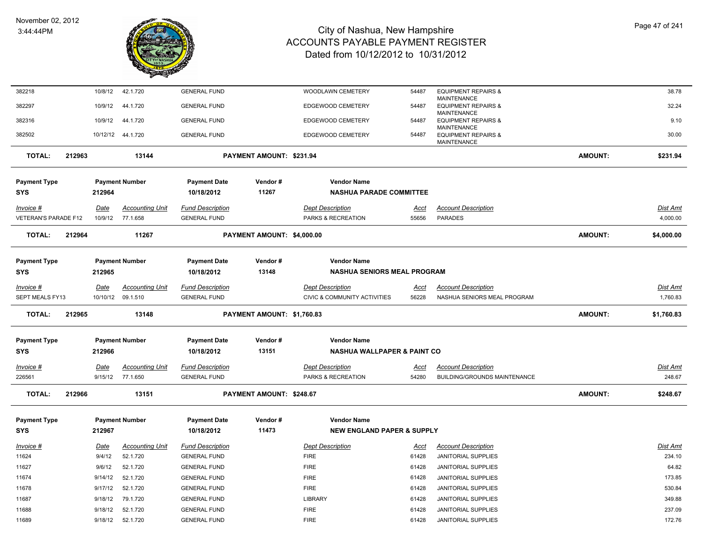

| 382218               |        | 10/8/12     | 42.1.720                                   | <b>GENERAL FUND</b>     |                            | WOODLAWN CEMETERY                             | 54487       | <b>EQUIPMENT REPAIRS &amp;</b>                                      |                | 38.78           |
|----------------------|--------|-------------|--------------------------------------------|-------------------------|----------------------------|-----------------------------------------------|-------------|---------------------------------------------------------------------|----------------|-----------------|
| 382297               |        | 10/9/12     | 44.1.720                                   | <b>GENERAL FUND</b>     |                            | <b>EDGEWOOD CEMETERY</b>                      | 54487       | <b>MAINTENANCE</b><br><b>EQUIPMENT REPAIRS &amp;</b>                |                | 32.24           |
| 382316               |        | 10/9/12     | 44.1.720                                   | <b>GENERAL FUND</b>     |                            | EDGEWOOD CEMETERY                             | 54487       | <b>MAINTENANCE</b><br><b>EQUIPMENT REPAIRS &amp;</b>                |                | 9.10            |
| 382502               |        |             | 10/12/12  44.1.720                         | <b>GENERAL FUND</b>     |                            | EDGEWOOD CEMETERY                             | 54487       | <b>MAINTENANCE</b><br><b>EQUIPMENT REPAIRS &amp;</b><br>MAINTENANCE |                | 30.00           |
|                      |        |             |                                            |                         |                            |                                               |             |                                                                     |                |                 |
| <b>TOTAL:</b>        | 212963 |             | 13144                                      |                         | PAYMENT AMOUNT: \$231.94   |                                               |             |                                                                     | <b>AMOUNT:</b> | \$231.94        |
| <b>Payment Type</b>  |        |             | <b>Payment Number</b>                      | <b>Payment Date</b>     | Vendor#                    | <b>Vendor Name</b>                            |             |                                                                     |                |                 |
| <b>SYS</b>           |        | 212964      |                                            | 10/18/2012              | 11267                      | <b>NASHUA PARADE COMMITTEE</b>                |             |                                                                     |                |                 |
|                      |        |             |                                            |                         |                            |                                               |             |                                                                     |                |                 |
| $Invoice$ #          |        | Date        | <b>Accounting Unit</b><br>10/9/12 77.1.658 | <b>Fund Description</b> |                            | <b>Dept Description</b><br>PARKS & RECREATION | <u>Acct</u> | <b>Account Description</b><br><b>PARADES</b>                        |                | Dist Amt        |
| VETERAN'S PARADE F12 |        |             |                                            | <b>GENERAL FUND</b>     |                            |                                               | 55656       |                                                                     |                | 4,000.00        |
| <b>TOTAL:</b>        | 212964 |             | 11267                                      |                         | PAYMENT AMOUNT: \$4,000.00 |                                               |             |                                                                     | <b>AMOUNT:</b> | \$4,000.00      |
| <b>Payment Type</b>  |        |             | <b>Payment Number</b>                      | <b>Payment Date</b>     | Vendor#                    | <b>Vendor Name</b>                            |             |                                                                     |                |                 |
| SYS                  |        | 212965      |                                            | 10/18/2012              | 13148                      | <b>NASHUA SENIORS MEAL PROGRAM</b>            |             |                                                                     |                |                 |
|                      |        |             |                                            |                         |                            |                                               |             |                                                                     |                |                 |
| Invoice #            |        | Date        | <b>Accounting Unit</b>                     | <b>Fund Description</b> |                            | <b>Dept Description</b>                       | Acct        | <b>Account Description</b>                                          |                | Dist Amt        |
| SEPT MEALS FY13      |        | 10/10/12    | 09.1.510                                   | <b>GENERAL FUND</b>     |                            | CIVIC & COMMUNITY ACTIVITIES                  | 56228       | NASHUA SENIORS MEAL PROGRAM                                         |                | 1,760.83        |
| TOTAL:               | 212965 |             | 13148                                      |                         | PAYMENT AMOUNT: \$1,760.83 |                                               |             |                                                                     | <b>AMOUNT:</b> | \$1,760.83      |
| <b>Payment Type</b>  |        |             | <b>Payment Number</b>                      | <b>Payment Date</b>     | Vendor#                    | <b>Vendor Name</b>                            |             |                                                                     |                |                 |
| <b>SYS</b>           |        | 212966      |                                            | 10/18/2012              | 13151                      | <b>NASHUA WALLPAPER &amp; PAINT CO</b>        |             |                                                                     |                |                 |
| $Invoice$ #          |        | <b>Date</b> | <b>Accounting Unit</b>                     | <b>Fund Description</b> |                            | <b>Dept Description</b>                       | <u>Acct</u> | <b>Account Description</b>                                          |                | <u>Dist Amt</u> |
| 226561               |        |             | 9/15/12 77.1.650                           | <b>GENERAL FUND</b>     |                            | PARKS & RECREATION                            | 54280       | <b>BUILDING/GROUNDS MAINTENANCE</b>                                 |                | 248.67          |
|                      |        |             |                                            |                         |                            |                                               |             |                                                                     |                |                 |
| <b>TOTAL:</b>        | 212966 |             | 13151                                      |                         | PAYMENT AMOUNT: \$248.67   |                                               |             |                                                                     | <b>AMOUNT:</b> | \$248.67        |
| <b>Payment Type</b>  |        |             | <b>Payment Number</b>                      | <b>Payment Date</b>     | Vendor#                    | <b>Vendor Name</b>                            |             |                                                                     |                |                 |
| <b>SYS</b>           |        | 212967      |                                            | 10/18/2012              | 11473                      | <b>NEW ENGLAND PAPER &amp; SUPPLY</b>         |             |                                                                     |                |                 |
| <u>Invoice #</u>     |        | <u>Date</u> | <b>Accounting Unit</b>                     | <b>Fund Description</b> |                            | <b>Dept Description</b>                       | Acct        | <b>Account Description</b>                                          |                | Dist Amt        |
| 11624                |        | 9/4/12      | 52.1.720                                   | <b>GENERAL FUND</b>     |                            | <b>FIRE</b>                                   | 61428       | <b>JANITORIAL SUPPLIES</b>                                          |                | 234.10          |
| 11627                |        | 9/6/12      | 52.1.720                                   | <b>GENERAL FUND</b>     |                            | <b>FIRE</b>                                   | 61428       | <b>JANITORIAL SUPPLIES</b>                                          |                | 64.82           |
| 11674                |        | 9/14/12     | 52.1.720                                   | <b>GENERAL FUND</b>     |                            | <b>FIRE</b>                                   | 61428       | JANITORIAL SUPPLIES                                                 |                | 173.85          |
| 11678                |        | 9/17/12     | 52.1.720                                   | <b>GENERAL FUND</b>     |                            | <b>FIRE</b>                                   | 61428       | JANITORIAL SUPPLIES                                                 |                | 530.84          |
| 11687                |        | 9/18/12     | 79.1.720                                   | <b>GENERAL FUND</b>     |                            | <b>LIBRARY</b>                                | 61428       | <b>JANITORIAL SUPPLIES</b>                                          |                | 349.88          |
| 11688                |        | 9/18/12     | 52.1.720                                   | <b>GENERAL FUND</b>     |                            | <b>FIRE</b>                                   | 61428       | JANITORIAL SUPPLIES                                                 |                | 237.09          |
| 11689                |        | 9/18/12     | 52.1.720                                   | <b>GENERAL FUND</b>     |                            | <b>FIRE</b>                                   | 61428       | <b>JANITORIAL SUPPLIES</b>                                          |                | 172.76          |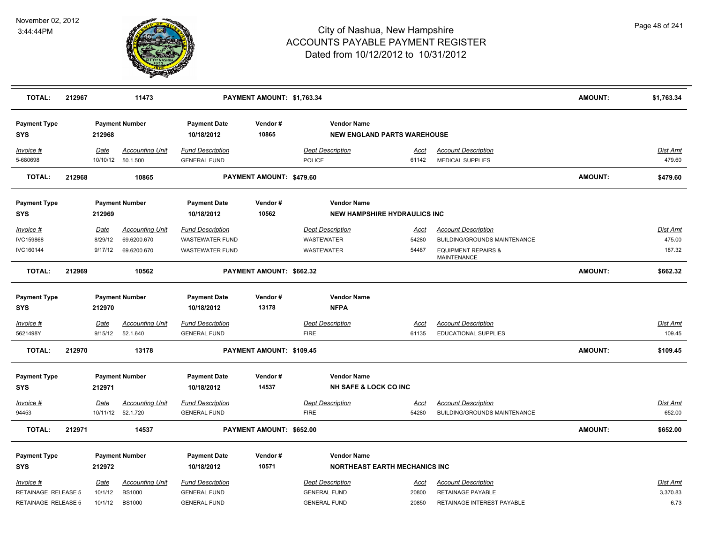

| <b>TOTAL:</b>                                           | 212967 |                            | 11473                                                    |                                                                       | PAYMENT AMOUNT: \$1,763.34 |                                                                       |                                      |                                                                               | <b>AMOUNT:</b> | \$1,763.34                   |
|---------------------------------------------------------|--------|----------------------------|----------------------------------------------------------|-----------------------------------------------------------------------|----------------------------|-----------------------------------------------------------------------|--------------------------------------|-------------------------------------------------------------------------------|----------------|------------------------------|
| <b>Payment Type</b><br><b>SYS</b>                       |        | 212968                     | <b>Payment Number</b>                                    | <b>Payment Date</b><br>10/18/2012                                     | Vendor#<br>10865           | <b>Vendor Name</b>                                                    | <b>NEW ENGLAND PARTS WAREHOUSE</b>   |                                                                               |                |                              |
| Invoice #<br>5-680698                                   |        | Date                       | <b>Accounting Unit</b><br>10/10/12 50.1.500              | <b>Fund Description</b><br><b>GENERAL FUND</b>                        |                            | <b>Dept Description</b><br><b>POLICE</b>                              | Acct<br>61142                        | <b>Account Description</b><br><b>MEDICAL SUPPLIES</b>                         |                | Dist Amt<br>479.60           |
| TOTAL:                                                  | 212968 |                            | 10865                                                    |                                                                       | PAYMENT AMOUNT: \$479.60   |                                                                       |                                      |                                                                               | AMOUNT:        | \$479.60                     |
| <b>Payment Type</b><br><b>SYS</b>                       |        | 212969                     | <b>Payment Number</b>                                    | <b>Payment Date</b><br>10/18/2012                                     | Vendor#<br>10562           | <b>Vendor Name</b>                                                    | <b>NEW HAMPSHIRE HYDRAULICS INC</b>  |                                                                               |                |                              |
| $Invoice$ #                                             |        | Date                       | <b>Accounting Unit</b>                                   | <b>Fund Description</b>                                               |                            | <b>Dept Description</b>                                               | <u>Acct</u>                          | <b>Account Description</b>                                                    |                | Dist Amt                     |
| IVC159868                                               |        | 8/29/12                    | 69.6200.670                                              | <b>WASTEWATER FUND</b>                                                |                            | WASTEWATER                                                            | 54280                                | BUILDING/GROUNDS MAINTENANCE                                                  |                | 475.00                       |
| IVC160144                                               |        | 9/17/12                    | 69.6200.670                                              | <b>WASTEWATER FUND</b>                                                |                            | <b>WASTEWATER</b>                                                     | 54487                                | <b>EQUIPMENT REPAIRS &amp;</b><br><b>MAINTENANCE</b>                          |                | 187.32                       |
| <b>TOTAL:</b>                                           | 212969 |                            | 10562                                                    |                                                                       | PAYMENT AMOUNT: \$662.32   |                                                                       |                                      |                                                                               | <b>AMOUNT:</b> | \$662.32                     |
| <b>Payment Type</b><br><b>SYS</b>                       |        | 212970                     | <b>Payment Number</b>                                    | <b>Payment Date</b><br>10/18/2012                                     | Vendor#<br>13178           | <b>Vendor Name</b><br><b>NFPA</b>                                     |                                      |                                                                               |                |                              |
| Invoice #<br>5621498Y                                   |        | Date<br>9/15/12            | <b>Accounting Unit</b><br>52.1.640                       | <b>Fund Description</b><br><b>GENERAL FUND</b>                        |                            | <b>Dept Description</b><br><b>FIRE</b>                                | Acct<br>61135                        | <b>Account Description</b><br>EDUCATIONAL SUPPLIES                            |                | Dist Amt<br>109.45           |
| <b>TOTAL:</b>                                           | 212970 |                            | 13178                                                    |                                                                       | PAYMENT AMOUNT: \$109.45   |                                                                       |                                      |                                                                               | <b>AMOUNT:</b> | \$109.45                     |
| <b>Payment Type</b><br><b>SYS</b>                       |        | 212971                     | <b>Payment Number</b>                                    | <b>Payment Date</b><br>10/18/2012                                     | Vendor#<br>14537           | <b>Vendor Name</b><br><b>NH SAFE &amp; LOCK CO INC</b>                |                                      |                                                                               |                |                              |
| Invoice #                                               |        | Date                       | <b>Accounting Unit</b>                                   | <b>Fund Description</b>                                               |                            | <b>Dept Description</b>                                               | <b>Acct</b>                          | <b>Account Description</b>                                                    |                | <u>Dist Amt</u>              |
| 94453                                                   |        |                            | 10/11/12 52.1.720                                        | <b>GENERAL FUND</b>                                                   |                            | <b>FIRE</b>                                                           | 54280                                | BUILDING/GROUNDS MAINTENANCE                                                  |                | 652.00                       |
| <b>TOTAL:</b>                                           | 212971 |                            | 14537                                                    |                                                                       | PAYMENT AMOUNT: \$652.00   |                                                                       |                                      |                                                                               | <b>AMOUNT:</b> | \$652.00                     |
| <b>Payment Type</b><br><b>SYS</b>                       |        | 212972                     | <b>Payment Number</b>                                    | <b>Payment Date</b><br>10/18/2012                                     | Vendor#<br>10571           | <b>Vendor Name</b>                                                    | <b>NORTHEAST EARTH MECHANICS INC</b> |                                                                               |                |                              |
| Invoice #<br>RETAINAGE RELEASE 5<br>RETAINAGE RELEASE 5 |        | Date<br>10/1/12<br>10/1/12 | <b>Accounting Unit</b><br><b>BS1000</b><br><b>BS1000</b> | <b>Fund Description</b><br><b>GENERAL FUND</b><br><b>GENERAL FUND</b> |                            | <b>Dept Description</b><br><b>GENERAL FUND</b><br><b>GENERAL FUND</b> | <u>Acct</u><br>20800<br>20850        | <b>Account Description</b><br>RETAINAGE PAYABLE<br>RETAINAGE INTEREST PAYABLE |                | Dist Amt<br>3,370.83<br>6.73 |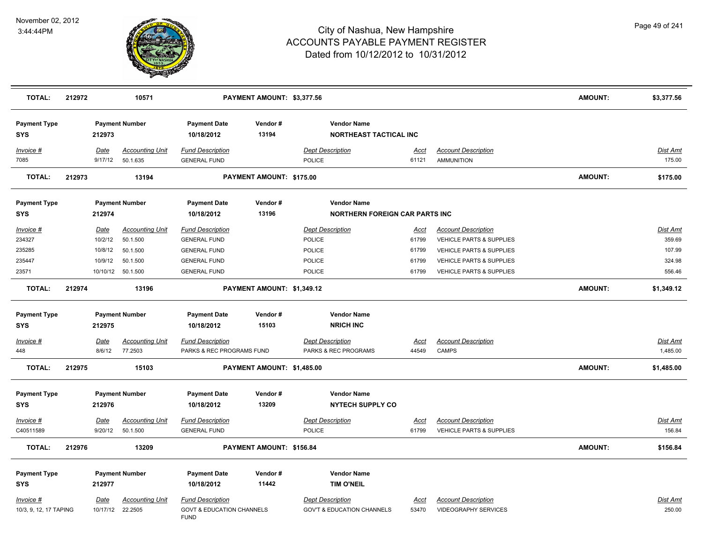

| <b>TOTAL:</b>                     | 212972 |             | 10571                  |                                                     | PAYMENT AMOUNT: \$3,377.56 |                         |                                                     |             |                                     | <b>AMOUNT:</b> | \$3,377.56      |
|-----------------------------------|--------|-------------|------------------------|-----------------------------------------------------|----------------------------|-------------------------|-----------------------------------------------------|-------------|-------------------------------------|----------------|-----------------|
| <b>Payment Type</b><br><b>SYS</b> |        | 212973      | <b>Payment Number</b>  | <b>Payment Date</b><br>10/18/2012                   | Vendor#<br>13194           |                         | <b>Vendor Name</b><br><b>NORTHEAST TACTICAL INC</b> |             |                                     |                |                 |
| Invoice #                         |        | <b>Date</b> | <b>Accounting Unit</b> | <b>Fund Description</b>                             |                            | <b>Dept Description</b> |                                                     | Acct        | <b>Account Description</b>          |                | Dist Amt        |
| 7085                              |        | 9/17/12     | 50.1.635               | <b>GENERAL FUND</b>                                 |                            | POLICE                  |                                                     | 61121       | <b>AMMUNITION</b>                   |                | 175.00          |
| <b>TOTAL:</b>                     | 212973 |             | 13194                  |                                                     | PAYMENT AMOUNT: \$175.00   |                         |                                                     |             |                                     | <b>AMOUNT:</b> | \$175.00        |
| <b>Payment Type</b>               |        |             | <b>Payment Number</b>  | <b>Payment Date</b>                                 | Vendor#                    |                         | <b>Vendor Name</b>                                  |             |                                     |                |                 |
| <b>SYS</b>                        |        | 212974      |                        | 10/18/2012                                          | 13196                      |                         | <b>NORTHERN FOREIGN CAR PARTS INC</b>               |             |                                     |                |                 |
| Invoice #                         |        | <b>Date</b> | <b>Accounting Unit</b> | <b>Fund Description</b>                             |                            | <b>Dept Description</b> |                                                     | <u>Acct</u> | <b>Account Description</b>          |                | Dist Amt        |
| 234327                            |        | 10/2/12     | 50.1.500               | <b>GENERAL FUND</b>                                 |                            | <b>POLICE</b>           |                                                     | 61799       | VEHICLE PARTS & SUPPLIES            |                | 359.69          |
| 235285                            |        | 10/8/12     | 50.1.500               | <b>GENERAL FUND</b>                                 |                            | POLICE                  |                                                     | 61799       | VEHICLE PARTS & SUPPLIES            |                | 107.99          |
| 235447                            |        | 10/9/12     | 50.1.500               | <b>GENERAL FUND</b>                                 |                            | POLICE                  |                                                     | 61799       | <b>VEHICLE PARTS &amp; SUPPLIES</b> |                | 324.98          |
| 23571                             |        |             | 10/10/12  50.1.500     | <b>GENERAL FUND</b>                                 |                            | <b>POLICE</b>           |                                                     | 61799       | VEHICLE PARTS & SUPPLIES            |                | 556.46          |
| <b>TOTAL:</b>                     | 212974 |             | 13196                  |                                                     | PAYMENT AMOUNT: \$1,349.12 |                         |                                                     |             |                                     | <b>AMOUNT:</b> | \$1,349.12      |
| <b>Payment Type</b>               |        |             | <b>Payment Number</b>  | <b>Payment Date</b>                                 | Vendor#                    |                         | <b>Vendor Name</b>                                  |             |                                     |                |                 |
| <b>SYS</b>                        |        | 212975      |                        | 10/18/2012                                          | 15103                      |                         | <b>NRICH INC</b>                                    |             |                                     |                |                 |
| $Invoice$ #                       |        | Date        | <b>Accounting Unit</b> | <b>Fund Description</b>                             |                            | <b>Dept Description</b> |                                                     | <b>Acct</b> | <b>Account Description</b>          |                | <b>Dist Amt</b> |
| 448                               |        | 8/6/12      | 77.2503                | PARKS & REC PROGRAMS FUND                           |                            |                         | PARKS & REC PROGRAMS                                | 44549       | <b>CAMPS</b>                        |                | 1,485.00        |
| <b>TOTAL:</b>                     | 212975 |             | 15103                  |                                                     | PAYMENT AMOUNT: \$1,485.00 |                         |                                                     |             |                                     | <b>AMOUNT:</b> | \$1,485.00      |
| <b>Payment Type</b>               |        |             | <b>Payment Number</b>  | <b>Payment Date</b>                                 | Vendor#                    |                         | <b>Vendor Name</b>                                  |             |                                     |                |                 |
| <b>SYS</b>                        |        | 212976      |                        | 10/18/2012                                          | 13209                      |                         | <b>NYTECH SUPPLY CO</b>                             |             |                                     |                |                 |
| Invoice #                         |        | <b>Date</b> | <b>Accounting Unit</b> | <b>Fund Description</b>                             |                            | <b>Dept Description</b> |                                                     | Acct        | <b>Account Description</b>          |                | Dist Amt        |
| C40511589                         |        | 9/20/12     | 50.1.500               | <b>GENERAL FUND</b>                                 |                            | <b>POLICE</b>           |                                                     | 61799       | VEHICLE PARTS & SUPPLIES            |                | 156.84          |
| <b>TOTAL:</b>                     | 212976 |             | 13209                  |                                                     | PAYMENT AMOUNT: \$156.84   |                         |                                                     |             |                                     | <b>AMOUNT:</b> | \$156.84        |
| <b>Payment Type</b>               |        |             | <b>Payment Number</b>  | <b>Payment Date</b>                                 | Vendor#                    |                         | <b>Vendor Name</b>                                  |             |                                     |                |                 |
| <b>SYS</b>                        |        | 212977      |                        | 10/18/2012                                          | 11442                      |                         | <b>TIM O'NEIL</b>                                   |             |                                     |                |                 |
| Invoice #                         |        | <u>Date</u> | <b>Accounting Unit</b> | <b>Fund Description</b>                             |                            | <b>Dept Description</b> |                                                     | <u>Acct</u> | <b>Account Description</b>          |                | Dist Amt        |
| 10/3, 9, 12, 17 TAPING            |        |             | 10/17/12 22.2505       | <b>GOVT &amp; EDUCATION CHANNELS</b><br><b>FUND</b> |                            |                         | <b>GOV'T &amp; EDUCATION CHANNELS</b>               | 53470       | <b>VIDEOGRAPHY SERVICES</b>         |                | 250.00          |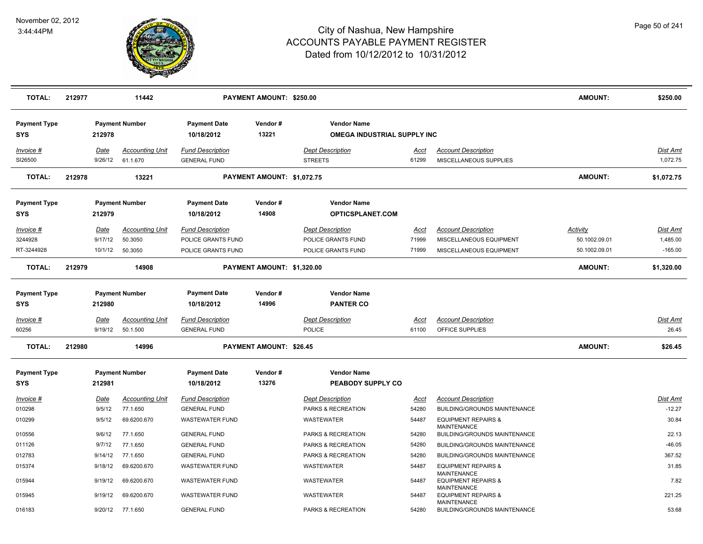

| <b>TOTAL:</b>                     | 212977 |                        | 11442                              |                                                | PAYMENT AMOUNT: \$250.00       |                                                   |                      |                                                                            | AMOUNT:         | \$250.00                    |
|-----------------------------------|--------|------------------------|------------------------------------|------------------------------------------------|--------------------------------|---------------------------------------------------|----------------------|----------------------------------------------------------------------------|-----------------|-----------------------------|
| <b>Payment Type</b><br>SYS        |        | 212978                 | <b>Payment Number</b>              | <b>Payment Date</b><br>10/18/2012              | Vendor#<br>13221               | <b>Vendor Name</b><br>OMEGA INDUSTRIAL SUPPLY INC |                      |                                                                            |                 |                             |
| Invoice #<br>SI26500              |        | <u>Date</u><br>9/26/12 | <b>Accounting Unit</b><br>61.1.670 | <b>Fund Description</b><br><b>GENERAL FUND</b> |                                | <b>Dept Description</b><br><b>STREETS</b>         | <u>Acct</u><br>61299 | <b>Account Description</b><br>MISCELLANEOUS SUPPLIES                       |                 | <u>Dist Amt</u><br>1,072.75 |
| <b>TOTAL:</b>                     | 212978 |                        | 13221                              |                                                | PAYMENT AMOUNT: \$1,072.75     |                                                   |                      |                                                                            | <b>AMOUNT:</b>  | \$1,072.75                  |
| <b>Payment Type</b><br>SYS        |        | 212979                 | <b>Payment Number</b>              | <b>Payment Date</b><br>10/18/2012              | Vendor#<br>14908               | <b>Vendor Name</b><br>OPTICSPLANET.COM            |                      |                                                                            |                 |                             |
| Invoice #                         |        | <u>Date</u>            | <b>Accounting Unit</b>             | <b>Fund Description</b>                        |                                | <b>Dept Description</b>                           | <u>Acct</u>          | <b>Account Description</b>                                                 | <b>Activity</b> | Dist Amt                    |
| 3244928                           |        | 9/17/12                | 50.3050                            | POLICE GRANTS FUND                             |                                | POLICE GRANTS FUND                                | 71999                | MISCELLANEOUS EQUIPMENT                                                    | 50.1002.09.01   | 1,485.00                    |
| RT-3244928                        |        | 10/1/12                | 50.3050                            | POLICE GRANTS FUND                             |                                | POLICE GRANTS FUND                                | 71999                | MISCELLANEOUS EQUIPMENT                                                    | 50.1002.09.01   | $-165.00$                   |
| <b>TOTAL:</b>                     | 212979 |                        | 14908                              |                                                | PAYMENT AMOUNT: \$1,320.00     |                                                   |                      |                                                                            | <b>AMOUNT:</b>  | \$1,320.00                  |
| <b>Payment Type</b><br><b>SYS</b> |        | 212980                 | <b>Payment Number</b>              | <b>Payment Date</b><br>10/18/2012              | Vendor#<br>14996               | <b>Vendor Name</b><br><b>PANTER CO</b>            |                      |                                                                            |                 |                             |
| Invoice #                         |        | Date                   | <b>Accounting Unit</b>             | <b>Fund Description</b>                        |                                | <b>Dept Description</b>                           | <u>Acct</u>          | <b>Account Description</b>                                                 |                 | Dist Amt                    |
| 60256                             |        | 9/19/12                | 50.1.500                           | <b>GENERAL FUND</b>                            |                                | <b>POLICE</b>                                     | 61100                | OFFICE SUPPLIES                                                            |                 | 26.45                       |
| <b>TOTAL:</b>                     | 212980 |                        | 14996                              |                                                | <b>PAYMENT AMOUNT: \$26.45</b> |                                                   |                      |                                                                            | <b>AMOUNT:</b>  | \$26.45                     |
| <b>Payment Type</b><br><b>SYS</b> |        | 212981                 | <b>Payment Number</b>              | <b>Payment Date</b><br>10/18/2012              | Vendor#<br>13276               | <b>Vendor Name</b><br>PEABODY SUPPLY CO           |                      |                                                                            |                 |                             |
| Invoice #                         |        | Date                   | <b>Accounting Unit</b>             | <b>Fund Description</b>                        |                                | <b>Dept Description</b>                           | Acct                 | <b>Account Description</b>                                                 |                 | Dist Amt                    |
| 010298                            |        | 9/5/12                 | 77.1.650                           | <b>GENERAL FUND</b>                            |                                | PARKS & RECREATION                                | 54280                | BUILDING/GROUNDS MAINTENANCE                                               |                 | $-12.27$                    |
| 010299                            |        | 9/5/12                 | 69.6200.670                        | <b>WASTEWATER FUND</b>                         |                                | WASTEWATER                                        | 54487                | <b>EQUIPMENT REPAIRS &amp;</b><br><b>MAINTENANCE</b>                       |                 | 30.84                       |
| 010556                            |        | 9/6/12                 | 77.1.650                           | <b>GENERAL FUND</b>                            |                                | PARKS & RECREATION                                | 54280                | BUILDING/GROUNDS MAINTENANCE                                               |                 | 22.13                       |
| 011126                            |        | 9/7/12                 | 77.1.650                           | <b>GENERAL FUND</b>                            |                                | PARKS & RECREATION                                | 54280                | BUILDING/GROUNDS MAINTENANCE                                               |                 | $-46.05$                    |
| 012783                            |        | 9/14/12                | 77.1.650                           | <b>GENERAL FUND</b>                            |                                | PARKS & RECREATION                                | 54280                | BUILDING/GROUNDS MAINTENANCE                                               |                 | 367.52                      |
| 015374                            |        | 9/18/12                | 69.6200.670                        | <b>WASTEWATER FUND</b>                         |                                | WASTEWATER                                        | 54487                | <b>EQUIPMENT REPAIRS &amp;</b>                                             |                 | 31.85                       |
| 015944                            |        | 9/19/12                | 69.6200.670                        | <b>WASTEWATER FUND</b>                         |                                | WASTEWATER                                        | 54487                | <b>MAINTENANCE</b><br><b>EQUIPMENT REPAIRS &amp;</b><br><b>MAINTENANCE</b> |                 | 7.82                        |
| 015945                            |        | 9/19/12                | 69.6200.670                        | WASTEWATER FUND                                |                                | WASTEWATER                                        | 54487                | <b>EQUIPMENT REPAIRS &amp;</b>                                             |                 | 221.25                      |
| 016183                            |        | 9/20/12                | 77.1.650                           | <b>GENERAL FUND</b>                            |                                | PARKS & RECREATION                                | 54280                | <b>MAINTENANCE</b><br><b>BUILDING/GROUNDS MAINTENANCE</b>                  |                 | 53.68                       |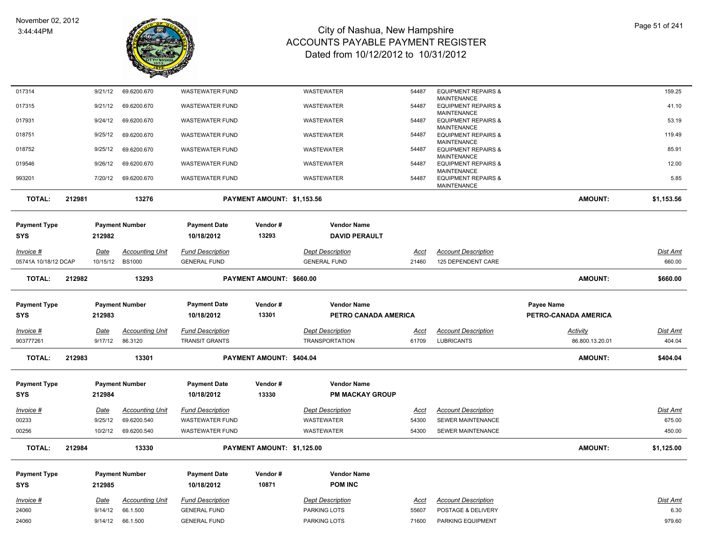

| 017314               |        | 9/21/12         | 69.6200.670                        | <b>WASTEWATER FUND</b>                         |                            | <b>WASTEWATER</b>                       | 54487         | <b>EQUIPMENT REPAIRS &amp;</b>                       |                      | 159.25           |
|----------------------|--------|-----------------|------------------------------------|------------------------------------------------|----------------------------|-----------------------------------------|---------------|------------------------------------------------------|----------------------|------------------|
| 017315               |        | 9/21/12         | 69.6200.670                        | <b>WASTEWATER FUND</b>                         |                            | WASTEWATER                              | 54487         | <b>MAINTENANCE</b><br><b>EQUIPMENT REPAIRS &amp;</b> |                      | 41.10            |
|                      |        |                 |                                    |                                                |                            |                                         |               | <b>MAINTENANCE</b>                                   |                      |                  |
| 017931               |        | 9/24/12         | 69.6200.670                        | <b>WASTEWATER FUND</b>                         |                            | WASTEWATER                              | 54487         | <b>EQUIPMENT REPAIRS &amp;</b><br><b>MAINTENANCE</b> |                      | 53.19            |
| 018751               |        | 9/25/12         | 69.6200.670                        | <b>WASTEWATER FUND</b>                         |                            | WASTEWATER                              | 54487         | <b>EQUIPMENT REPAIRS &amp;</b>                       |                      | 119.49           |
| 018752               |        | 9/25/12         | 69.6200.670                        | <b>WASTEWATER FUND</b>                         |                            | <b>WASTEWATER</b>                       | 54487         | <b>MAINTENANCE</b><br><b>EQUIPMENT REPAIRS &amp;</b> |                      | 85.91            |
|                      |        |                 |                                    |                                                |                            |                                         |               | <b>MAINTENANCE</b>                                   |                      |                  |
| 019546               |        | 9/26/12         | 69.6200.670                        | <b>WASTEWATER FUND</b>                         |                            | WASTEWATER                              | 54487         | <b>EQUIPMENT REPAIRS &amp;</b><br><b>MAINTENANCE</b> |                      | 12.00            |
| 993201               |        | 7/20/12         | 69.6200.670                        | <b>WASTEWATER FUND</b>                         |                            | WASTEWATER                              | 54487         | <b>EQUIPMENT REPAIRS &amp;</b>                       |                      | 5.85             |
|                      |        |                 |                                    |                                                |                            |                                         |               | MAINTENANCE                                          |                      |                  |
| <b>TOTAL:</b>        | 212981 |                 | 13276                              |                                                | PAYMENT AMOUNT: \$1,153.56 |                                         |               |                                                      | <b>AMOUNT:</b>       | \$1,153.56       |
| <b>Payment Type</b>  |        |                 | <b>Payment Number</b>              | <b>Payment Date</b>                            | Vendor#                    | <b>Vendor Name</b>                      |               |                                                      |                      |                  |
| <b>SYS</b>           |        | 212982          |                                    | 10/18/2012                                     | 13293                      | <b>DAVID PERAULT</b>                    |               |                                                      |                      |                  |
|                      |        |                 |                                    |                                                |                            |                                         |               |                                                      |                      |                  |
| <u> Invoice #</u>    |        | Date            | <b>Accounting Unit</b>             | <b>Fund Description</b>                        |                            | <b>Dept Description</b>                 | <b>Acct</b>   | <b>Account Description</b>                           |                      | Dist Amt         |
| 05741A 10/18/12 DCAP |        | 10/15/12        | <b>BS1000</b>                      | <b>GENERAL FUND</b>                            |                            | <b>GENERAL FUND</b>                     | 21460         | 125 DEPENDENT CARE                                   |                      | 660.00           |
| <b>TOTAL:</b>        | 212982 |                 | 13293                              |                                                | PAYMENT AMOUNT: \$660.00   |                                         |               |                                                      | AMOUNT:              | \$660.00         |
| <b>Payment Type</b>  |        |                 | <b>Payment Number</b>              | <b>Payment Date</b>                            | Vendor#                    | <b>Vendor Name</b>                      |               |                                                      | <b>Payee Name</b>    |                  |
| <b>SYS</b>           |        | 212983          |                                    | 10/18/2012                                     | 13301                      | PETRO CANADA AMERICA                    |               |                                                      | PETRO-CANADA AMERICA |                  |
| <u> Invoice #</u>    |        | <b>Date</b>     | <b>Accounting Unit</b>             | <b>Fund Description</b>                        |                            | <b>Dept Description</b>                 | <u>Acct</u>   | <b>Account Description</b>                           | <b>Activity</b>      | <u>Dist Amt</u>  |
| 903777261            |        | 9/17/12         | 86.3120                            | <b>TRANSIT GRANTS</b>                          |                            | <b>TRANSPORTATION</b>                   | 61709         | <b>LUBRICANTS</b>                                    | 86.800.13.20.01      | 404.04           |
|                      |        |                 |                                    |                                                |                            |                                         |               |                                                      |                      |                  |
| TOTAL:               | 212983 |                 | 13301                              |                                                | PAYMENT AMOUNT: \$404.04   |                                         |               |                                                      | <b>AMOUNT:</b>       | \$404.04         |
| <b>Payment Type</b>  |        |                 | <b>Payment Number</b>              | <b>Payment Date</b>                            | Vendor#                    | <b>Vendor Name</b>                      |               |                                                      |                      |                  |
| <b>SYS</b>           |        | 212984          |                                    | 10/18/2012                                     | 13330                      | <b>PM MACKAY GROUP</b>                  |               |                                                      |                      |                  |
| <u> Invoice #</u>    |        | Date            | <b>Accounting Unit</b>             | <b>Fund Description</b>                        |                            | <b>Dept Description</b>                 | <u>Acct</u>   | <b>Account Description</b>                           |                      | Dist Amt         |
| 00233                |        | 9/25/12         | 69.6200.540                        | <b>WASTEWATER FUND</b>                         |                            | <b>WASTEWATER</b>                       | 54300         | SEWER MAINTENANCE                                    |                      | 675.00           |
| 00256                |        | 10/2/12         | 69.6200.540                        | <b>WASTEWATER FUND</b>                         |                            | WASTEWATER                              | 54300         | SEWER MAINTENANCE                                    |                      | 450.00           |
|                      |        |                 |                                    |                                                |                            |                                         |               |                                                      |                      |                  |
| <b>TOTAL:</b>        | 212984 |                 | 13330                              |                                                | PAYMENT AMOUNT: \$1,125.00 |                                         |               |                                                      | <b>AMOUNT:</b>       | \$1,125.00       |
| Payment Type         |        |                 | <b>Payment Number</b>              | <b>Payment Date</b>                            | Vendor#                    | <b>Vendor Name</b>                      |               |                                                      |                      |                  |
| SYS                  |        | 212985          |                                    | 10/18/2012                                     | 10871                      | <b>POM INC</b>                          |               |                                                      |                      |                  |
|                      |        |                 |                                    |                                                |                            |                                         |               |                                                      |                      |                  |
|                      |        |                 |                                    |                                                |                            |                                         |               |                                                      |                      |                  |
| Invoice #<br>24060   |        | Date<br>9/14/12 | <b>Accounting Unit</b><br>66.1.500 | <b>Fund Description</b><br><b>GENERAL FUND</b> |                            | <b>Dept Description</b><br>PARKING LOTS | Acct<br>55607 | <b>Account Description</b><br>POSTAGE & DELIVERY     |                      | Dist Amt<br>6.30 |
| 24060                |        | 9/14/12         | 66.1.500                           | <b>GENERAL FUND</b>                            |                            | PARKING LOTS                            | 71600         | PARKING EQUIPMENT                                    |                      | 979.60           |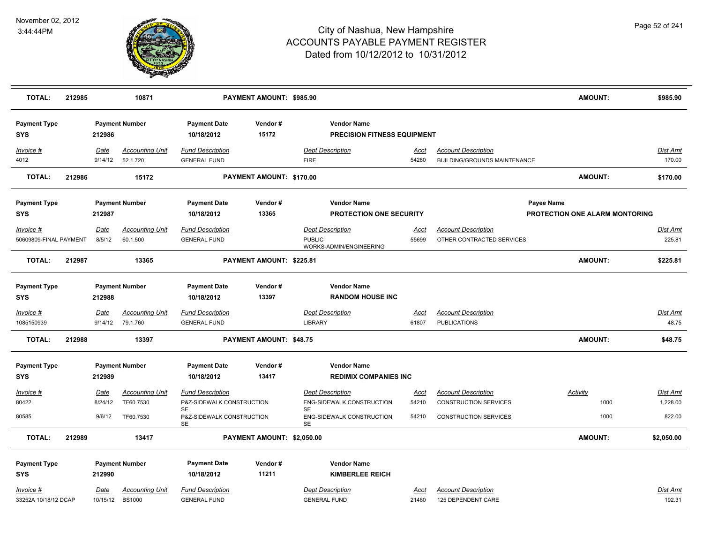

| <b>TOTAL:</b>                     | 212985 |                        | 10871                                   |                                                | PAYMENT AMOUNT: \$985.90   |                                                          |                      |                                                            | <b>AMOUNT:</b>                        | \$985.90           |
|-----------------------------------|--------|------------------------|-----------------------------------------|------------------------------------------------|----------------------------|----------------------------------------------------------|----------------------|------------------------------------------------------------|---------------------------------------|--------------------|
| <b>Payment Type</b><br><b>SYS</b> |        | 212986                 | <b>Payment Number</b>                   | <b>Payment Date</b><br>10/18/2012              | Vendor#<br>15172           | <b>Vendor Name</b><br><b>PRECISION FITNESS EQUIPMENT</b> |                      |                                                            |                                       |                    |
| Invoice #<br>4012                 |        | <u>Date</u><br>9/14/12 | <b>Accounting Unit</b><br>52.1.720      | <b>Fund Description</b><br><b>GENERAL FUND</b> |                            | <b>Dept Description</b><br><b>FIRE</b>                   | <u>Acct</u><br>54280 | <b>Account Description</b><br>BUILDING/GROUNDS MAINTENANCE |                                       | Dist Amt<br>170.00 |
| <b>TOTAL:</b>                     | 212986 |                        | 15172                                   |                                                | PAYMENT AMOUNT: \$170.00   |                                                          |                      |                                                            | AMOUNT:                               | \$170.00           |
| <b>Payment Type</b>               |        |                        | <b>Payment Number</b>                   | <b>Payment Date</b>                            | Vendor#                    | <b>Vendor Name</b>                                       |                      |                                                            | Payee Name                            |                    |
| <b>SYS</b>                        |        | 212987                 |                                         | 10/18/2012                                     | 13365                      | <b>PROTECTION ONE SECURITY</b>                           |                      |                                                            | <b>PROTECTION ONE ALARM MONTORING</b> |                    |
| Invoice #                         |        | Date                   | <b>Accounting Unit</b>                  | <b>Fund Description</b>                        |                            | <b>Dept Description</b>                                  | Acct                 | <b>Account Description</b>                                 |                                       | Dist Amt           |
| 50609809-FINAL PAYMENT            |        | 8/5/12                 | 60.1.500                                | <b>GENERAL FUND</b>                            |                            | <b>PUBLIC</b><br>WORKS-ADMIN/ENGINEERING                 | 55699                | OTHER CONTRACTED SERVICES                                  |                                       | 225.81             |
| <b>TOTAL:</b>                     | 212987 |                        | 13365                                   |                                                | PAYMENT AMOUNT: \$225.81   |                                                          |                      |                                                            | <b>AMOUNT:</b>                        | \$225.81           |
| <b>Payment Type</b>               |        |                        | <b>Payment Number</b>                   | <b>Payment Date</b>                            | Vendor#                    | <b>Vendor Name</b>                                       |                      |                                                            |                                       |                    |
| <b>SYS</b>                        |        | 212988                 |                                         | 10/18/2012                                     | 13397                      | <b>RANDOM HOUSE INC</b>                                  |                      |                                                            |                                       |                    |
| Invoice #                         |        | Date                   | <b>Accounting Unit</b>                  | <b>Fund Description</b>                        |                            | <b>Dept Description</b>                                  | Acct                 | <b>Account Description</b>                                 |                                       | Dist Amt           |
| 1085150939                        |        | 9/14/12                | 79.1.760                                | <b>GENERAL FUND</b>                            |                            | <b>LIBRARY</b>                                           | 61807                | <b>PUBLICATIONS</b>                                        |                                       | 48.75              |
| <b>TOTAL:</b>                     | 212988 |                        | 13397                                   |                                                | PAYMENT AMOUNT: \$48.75    |                                                          |                      |                                                            | <b>AMOUNT:</b>                        | \$48.75            |
| <b>Payment Type</b>               |        |                        | <b>Payment Number</b>                   | <b>Payment Date</b>                            | Vendor#                    | <b>Vendor Name</b>                                       |                      |                                                            |                                       |                    |
| <b>SYS</b>                        |        | 212989                 |                                         | 10/18/2012                                     | 13417                      | <b>REDIMIX COMPANIES INC</b>                             |                      |                                                            |                                       |                    |
| Invoice #                         |        | <b>Date</b>            | <b>Accounting Unit</b>                  | <b>Fund Description</b>                        |                            | <b>Dept Description</b>                                  | <u>Acct</u>          | <b>Account Description</b>                                 | <b>Activity</b>                       | <u>Dist Amt</u>    |
| 80422                             |        | 8/24/12                | TF60.7530                               | P&Z-SIDEWALK CONSTRUCTION                      |                            | ENG-SIDEWALK CONSTRUCTION                                | 54210                | <b>CONSTRUCTION SERVICES</b>                               | 1000                                  | 1,228.00           |
| 80585                             |        | 9/6/12                 | TF60.7530                               | SE<br>P&Z-SIDEWALK CONSTRUCTION<br><b>SE</b>   |                            | SE<br>ENG-SIDEWALK CONSTRUCTION<br><b>SE</b>             | 54210                | <b>CONSTRUCTION SERVICES</b>                               | 1000                                  | 822.00             |
| <b>TOTAL:</b>                     | 212989 |                        | 13417                                   |                                                | PAYMENT AMOUNT: \$2,050.00 |                                                          |                      |                                                            | <b>AMOUNT:</b>                        | \$2,050.00         |
| <b>Payment Type</b>               |        |                        | <b>Payment Number</b>                   | <b>Payment Date</b>                            | Vendor#                    | <b>Vendor Name</b>                                       |                      |                                                            |                                       |                    |
| <b>SYS</b>                        |        | 212990                 |                                         | 10/18/2012                                     | 11211                      | <b>KIMBERLEE REICH</b>                                   |                      |                                                            |                                       |                    |
| Invoice #                         |        |                        |                                         | <b>Fund Description</b>                        |                            | <b>Dept Description</b>                                  |                      |                                                            |                                       | Dist Amt           |
| 33252A 10/18/12 DCAP              |        | Date<br>10/15/12       | <b>Accounting Unit</b><br><b>BS1000</b> | <b>GENERAL FUND</b>                            |                            | <b>GENERAL FUND</b>                                      | Acct<br>21460        | <b>Account Description</b><br>125 DEPENDENT CARE           |                                       | 192.31             |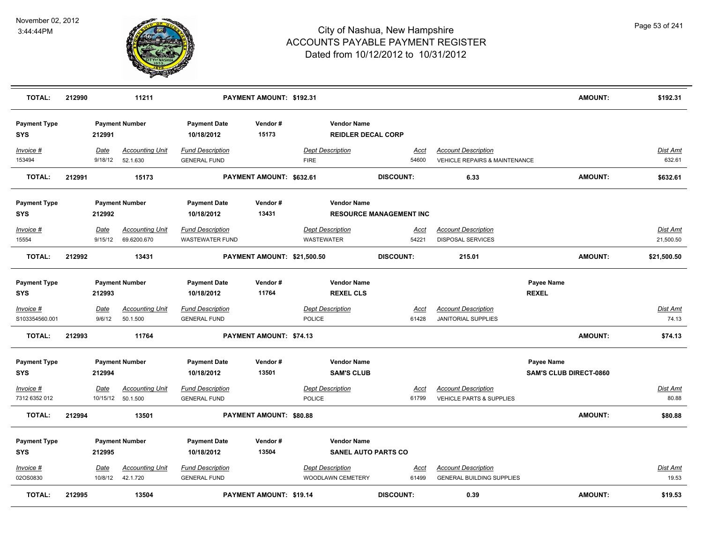

| <b>TOTAL:</b>                     | 212990 |                 | 11211                                        |                                                   | PAYMENT AMOUNT: \$192.31       |                                              |                                                  |                                |                                                                        | <b>AMOUNT:</b>                              | \$192.31                 |
|-----------------------------------|--------|-----------------|----------------------------------------------|---------------------------------------------------|--------------------------------|----------------------------------------------|--------------------------------------------------|--------------------------------|------------------------------------------------------------------------|---------------------------------------------|--------------------------|
| <b>Payment Type</b><br><b>SYS</b> |        | 212991          | <b>Payment Number</b>                        | <b>Payment Date</b><br>10/18/2012                 | Vendor#<br>15173               |                                              | <b>Vendor Name</b><br><b>REIDLER DECAL CORP</b>  |                                |                                                                        |                                             |                          |
| Invoice #<br>153494               |        | Date<br>9/18/12 | <b>Accounting Unit</b><br>52.1.630           | <b>Fund Description</b><br><b>GENERAL FUND</b>    |                                | <b>Dept Description</b><br><b>FIRE</b>       |                                                  | Acct<br>54600                  | <b>Account Description</b><br><b>VEHICLE REPAIRS &amp; MAINTENANCE</b> |                                             | Dist Amt<br>632.61       |
| <b>TOTAL:</b>                     | 212991 |                 | 15173                                        |                                                   | PAYMENT AMOUNT: \$632.61       |                                              |                                                  | <b>DISCOUNT:</b>               | 6.33                                                                   | <b>AMOUNT:</b>                              | \$632.61                 |
| <b>Payment Type</b><br><b>SYS</b> |        | 212992          | <b>Payment Number</b>                        | <b>Payment Date</b><br>10/18/2012                 | Vendor#<br>13431               |                                              | <b>Vendor Name</b>                               | <b>RESOURCE MANAGEMENT INC</b> |                                                                        |                                             |                          |
| Invoice #<br>15554                |        | Date<br>9/15/12 | <b>Accounting Unit</b><br>69.6200.670        | <b>Fund Description</b><br><b>WASTEWATER FUND</b> |                                | <b>Dept Description</b><br><b>WASTEWATER</b> |                                                  | Acct<br>54221                  | <b>Account Description</b><br><b>DISPOSAL SERVICES</b>                 |                                             | Dist Amt<br>21,500.50    |
| <b>TOTAL:</b>                     | 212992 |                 | 13431                                        |                                                   | PAYMENT AMOUNT: \$21,500.50    |                                              |                                                  | <b>DISCOUNT:</b>               | 215.01                                                                 | <b>AMOUNT:</b>                              | \$21,500.50              |
| <b>Payment Type</b><br><b>SYS</b> |        | 212993          | <b>Payment Number</b>                        | <b>Payment Date</b><br>10/18/2012                 | Vendor#<br>11764               |                                              | <b>Vendor Name</b><br><b>REXEL CLS</b>           |                                |                                                                        | Payee Name<br><b>REXEL</b>                  |                          |
| Invoice #<br>S103354560.001       |        | Date<br>9/6/12  | <b>Accounting Unit</b><br>50.1.500           | <b>Fund Description</b><br><b>GENERAL FUND</b>    |                                | POLICE                                       | <b>Dept Description</b>                          | <u>Acct</u><br>61428           | <b>Account Description</b><br>JANITORIAL SUPPLIES                      |                                             | <b>Dist Amt</b><br>74.13 |
| <b>TOTAL:</b>                     | 212993 |                 | 11764                                        |                                                   | PAYMENT AMOUNT: \$74.13        |                                              |                                                  |                                |                                                                        | <b>AMOUNT:</b>                              | \$74.13                  |
| <b>Payment Type</b><br><b>SYS</b> |        | 212994          | <b>Payment Number</b>                        | <b>Payment Date</b><br>10/18/2012                 | Vendor#<br>13501               |                                              | <b>Vendor Name</b><br><b>SAM'S CLUB</b>          |                                |                                                                        | Payee Name<br><b>SAM'S CLUB DIRECT-0860</b> |                          |
| Invoice #<br>7312 6352 012        |        | Date            | <b>Accounting Unit</b><br>10/15/12  50.1.500 | <b>Fund Description</b><br><b>GENERAL FUND</b>    |                                | POLICE                                       | <b>Dept Description</b>                          | <u>Acct</u><br>61799           | <b>Account Description</b><br><b>VEHICLE PARTS &amp; SUPPLIES</b>      |                                             | Dist Amt<br>80.88        |
| <b>TOTAL:</b>                     | 212994 |                 | 13501                                        |                                                   | PAYMENT AMOUNT: \$80.88        |                                              |                                                  |                                |                                                                        | <b>AMOUNT:</b>                              | \$80.88                  |
| <b>Payment Type</b><br><b>SYS</b> |        | 212995          | <b>Payment Number</b>                        | <b>Payment Date</b><br>10/18/2012                 | Vendor#<br>13504               |                                              | <b>Vendor Name</b><br><b>SANEL AUTO PARTS CO</b> |                                |                                                                        |                                             |                          |
| Invoice #<br>02OS0830             |        | Date<br>10/8/12 | <b>Accounting Unit</b><br>42.1.720           | <b>Fund Description</b><br><b>GENERAL FUND</b>    |                                | <b>Dept Description</b>                      | WOODLAWN CEMETERY                                | Acct<br>61499                  | <b>Account Description</b><br><b>GENERAL BUILDING SUPPLIES</b>         |                                             | <b>Dist Amt</b><br>19.53 |
| <b>TOTAL:</b>                     | 212995 |                 | 13504                                        |                                                   | <b>PAYMENT AMOUNT: \$19.14</b> |                                              |                                                  | <b>DISCOUNT:</b>               | 0.39                                                                   | <b>AMOUNT:</b>                              | \$19.53                  |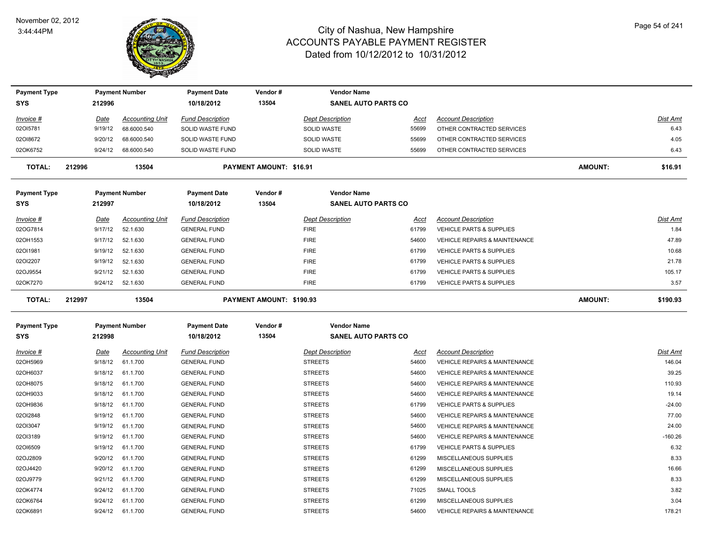

| <b>Payment Type</b> |        |             | <b>Payment Number</b>  | <b>Payment Date</b>     | Vendor#                        | <b>Vendor Name</b>         |             |                                          |                |           |
|---------------------|--------|-------------|------------------------|-------------------------|--------------------------------|----------------------------|-------------|------------------------------------------|----------------|-----------|
| <b>SYS</b>          |        | 212996      |                        | 10/18/2012              | 13504                          | <b>SANEL AUTO PARTS CO</b> |             |                                          |                |           |
| <i>Invoice</i> #    |        | <u>Date</u> | <b>Accounting Unit</b> | <b>Fund Description</b> |                                | <b>Dept Description</b>    | Acct        | <b>Account Description</b>               |                | Dist Amt  |
| 02OI5781            |        | 9/19/12     | 68.6000.540            | SOLID WASTE FUND        |                                | SOLID WASTE                | 55699       | OTHER CONTRACTED SERVICES                |                | 6.43      |
| 02018672            |        | 9/20/12     | 68.6000.540            | SOLID WASTE FUND        |                                | <b>SOLID WASTE</b>         | 55699       | OTHER CONTRACTED SERVICES                |                | 4.05      |
| 02OK6752            |        | 9/24/12     | 68.6000.540            | SOLID WASTE FUND        |                                | SOLID WASTE                | 55699       | OTHER CONTRACTED SERVICES                |                | 6.43      |
| TOTAL:              | 212996 |             | 13504                  |                         | <b>PAYMENT AMOUNT: \$16.91</b> |                            |             |                                          | <b>AMOUNT:</b> | \$16.91   |
| <b>Payment Type</b> |        |             | <b>Payment Number</b>  | <b>Payment Date</b>     | Vendor#                        | <b>Vendor Name</b>         |             |                                          |                |           |
| <b>SYS</b>          |        | 212997      |                        | 10/18/2012              | 13504                          | <b>SANEL AUTO PARTS CO</b> |             |                                          |                |           |
| Invoice #           |        | Date        | <b>Accounting Unit</b> | <b>Fund Description</b> |                                | <b>Dept Description</b>    | Acct        | <b>Account Description</b>               |                | Dist Amt  |
| 02OG7814            |        | 9/17/12     | 52.1.630               | <b>GENERAL FUND</b>     |                                | <b>FIRE</b>                | 61799       | <b>VEHICLE PARTS &amp; SUPPLIES</b>      |                | 1.84      |
| 02OH1553            |        | 9/17/12     | 52.1.630               | <b>GENERAL FUND</b>     |                                | <b>FIRE</b>                | 54600       | <b>VEHICLE REPAIRS &amp; MAINTENANCE</b> |                | 47.89     |
| 02011981            |        | 9/19/12     | 52.1.630               | <b>GENERAL FUND</b>     |                                | <b>FIRE</b>                | 61799       | <b>VEHICLE PARTS &amp; SUPPLIES</b>      |                | 10.68     |
| 02012207            |        | 9/19/12     | 52.1.630               | <b>GENERAL FUND</b>     |                                | <b>FIRE</b>                | 61799       | <b>VEHICLE PARTS &amp; SUPPLIES</b>      |                | 21.78     |
| 02OJ9554            |        | 9/21/12     | 52.1.630               | <b>GENERAL FUND</b>     |                                | <b>FIRE</b>                | 61799       | VEHICLE PARTS & SUPPLIES                 |                | 105.17    |
| 02OK7270            |        | 9/24/12     | 52.1.630               | <b>GENERAL FUND</b>     |                                | <b>FIRE</b>                | 61799       | <b>VEHICLE PARTS &amp; SUPPLIES</b>      |                | 3.57      |
| <b>TOTAL:</b>       | 212997 |             | 13504                  |                         | PAYMENT AMOUNT: \$190.93       |                            |             |                                          | <b>AMOUNT:</b> | \$190.93  |
| <b>Payment Type</b> |        |             | <b>Payment Number</b>  | <b>Payment Date</b>     | Vendor#                        | <b>Vendor Name</b>         |             |                                          |                |           |
| <b>SYS</b>          |        | 212998      |                        | 10/18/2012              | 13504                          | <b>SANEL AUTO PARTS CO</b> |             |                                          |                |           |
| <i>Invoice</i> #    |        | <b>Date</b> | <b>Accounting Unit</b> | <b>Fund Description</b> |                                | <b>Dept Description</b>    | <u>Acct</u> | <b>Account Description</b>               |                | Dist Amt  |
| 02OH5969            |        | 9/18/12     | 61.1.700               | <b>GENERAL FUND</b>     |                                | <b>STREETS</b>             | 54600       | <b>VEHICLE REPAIRS &amp; MAINTENANCE</b> |                | 146.04    |
| 02OH6037            |        | 9/18/12     | 61.1.700               | <b>GENERAL FUND</b>     |                                | <b>STREETS</b>             | 54600       | <b>VEHICLE REPAIRS &amp; MAINTENANCE</b> |                | 39.25     |
| 02OH8075            |        | 9/18/12     | 61.1.700               | <b>GENERAL FUND</b>     |                                | <b>STREETS</b>             | 54600       | <b>VEHICLE REPAIRS &amp; MAINTENANCE</b> |                | 110.93    |
| 02OH9033            |        | 9/18/12     | 61.1.700               | <b>GENERAL FUND</b>     |                                | <b>STREETS</b>             | 54600       | <b>VEHICLE REPAIRS &amp; MAINTENANCE</b> |                | 19.14     |
| 02OH9836            |        | 9/18/12     | 61.1.700               | <b>GENERAL FUND</b>     |                                | <b>STREETS</b>             | 61799       | VEHICLE PARTS & SUPPLIES                 |                | $-24.00$  |
| 02012848            |        | 9/19/12     | 61.1.700               | <b>GENERAL FUND</b>     |                                | <b>STREETS</b>             | 54600       | VEHICLE REPAIRS & MAINTENANCE            |                | 77.00     |
| 02013047            |        | 9/19/12     | 61.1.700               | <b>GENERAL FUND</b>     |                                | <b>STREETS</b>             | 54600       | VEHICLE REPAIRS & MAINTENANCE            |                | 24.00     |
| 02013189            |        | 9/19/12     | 61.1.700               | <b>GENERAL FUND</b>     |                                | <b>STREETS</b>             | 54600       | <b>VEHICLE REPAIRS &amp; MAINTENANCE</b> |                | $-160.26$ |
| 02016509            |        | 9/19/12     | 61.1.700               | <b>GENERAL FUND</b>     |                                | <b>STREETS</b>             | 61799       | <b>VEHICLE PARTS &amp; SUPPLIES</b>      |                | 6.32      |
| 02OJ2809            |        | 9/20/12     | 61.1.700               | <b>GENERAL FUND</b>     |                                | <b>STREETS</b>             | 61299       | MISCELLANEOUS SUPPLIES                   |                | 8.33      |
| 02OJ4420            |        | 9/20/12     | 61.1.700               | <b>GENERAL FUND</b>     |                                | <b>STREETS</b>             | 61299       | MISCELLANEOUS SUPPLIES                   |                | 16.66     |
| 02OJ9779            |        | 9/21/12     | 61.1.700               | <b>GENERAL FUND</b>     |                                | <b>STREETS</b>             | 61299       | MISCELLANEOUS SUPPLIES                   |                | 8.33      |
| 02OK4774            |        | 9/24/12     | 61.1.700               | <b>GENERAL FUND</b>     |                                | <b>STREETS</b>             | 71025       | <b>SMALL TOOLS</b>                       |                | 3.82      |
| 02OK6764            |        | 9/24/12     | 61.1.700               | <b>GENERAL FUND</b>     |                                | <b>STREETS</b>             | 61299       | MISCELLANEOUS SUPPLIES                   |                | 3.04      |
| 02OK6891            |        | 9/24/12     | 61.1.700               | <b>GENERAL FUND</b>     |                                | <b>STREETS</b>             | 54600       | <b>VEHICLE REPAIRS &amp; MAINTENANCE</b> |                | 178.21    |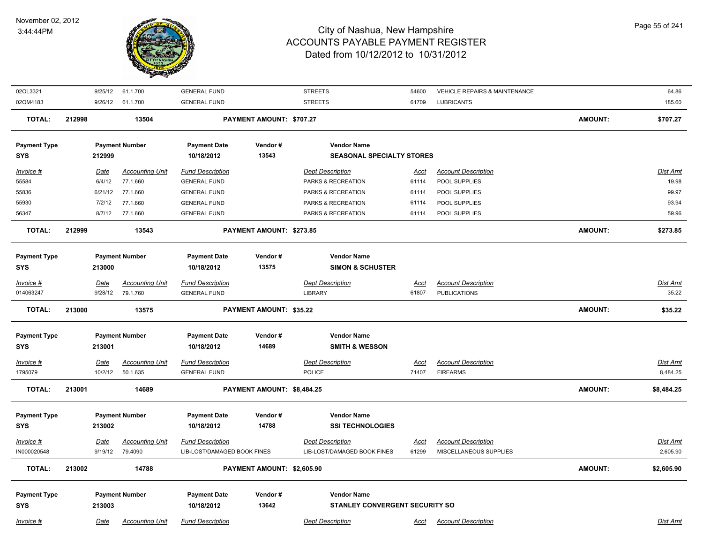

| 02OL3321            | 9/25/12     | 61.1.700               | <b>GENERAL FUND</b>         |                            | <b>STREETS</b>                        | 54600       | <b>VEHICLE REPAIRS &amp; MAINTENANCE</b> |                | 64.86           |
|---------------------|-------------|------------------------|-----------------------------|----------------------------|---------------------------------------|-------------|------------------------------------------|----------------|-----------------|
| 02OM4183            |             | 9/26/12 61.1.700       | <b>GENERAL FUND</b>         |                            | <b>STREETS</b>                        | 61709       | <b>LUBRICANTS</b>                        |                | 185.60          |
| <b>TOTAL:</b>       | 212998      | 13504                  |                             | PAYMENT AMOUNT: \$707.27   |                                       |             |                                          | <b>AMOUNT:</b> | \$707.27        |
| <b>Payment Type</b> |             | <b>Payment Number</b>  | <b>Payment Date</b>         | Vendor#                    | <b>Vendor Name</b>                    |             |                                          |                |                 |
| <b>SYS</b>          | 212999      |                        | 10/18/2012                  | 13543                      | <b>SEASONAL SPECIALTY STORES</b>      |             |                                          |                |                 |
| Invoice #           | Date        | <b>Accounting Unit</b> | <b>Fund Description</b>     |                            | <b>Dept Description</b>               | Acct        | <b>Account Description</b>               |                | Dist Amt        |
| 55584               | 6/4/12      | 77.1.660               | <b>GENERAL FUND</b>         |                            | PARKS & RECREATION                    | 61114       | POOL SUPPLIES                            |                | 19.98           |
| 55836               | 6/21/12     | 77.1.660               | <b>GENERAL FUND</b>         |                            | PARKS & RECREATION                    | 61114       | POOL SUPPLIES                            |                | 99.97           |
| 55930               | 7/2/12      | 77.1.660               | <b>GENERAL FUND</b>         |                            | PARKS & RECREATION                    | 61114       | POOL SUPPLIES                            |                | 93.94           |
| 56347               | 8/7/12      | 77.1.660               | <b>GENERAL FUND</b>         |                            | PARKS & RECREATION                    | 61114       | POOL SUPPLIES                            |                | 59.96           |
|                     |             |                        |                             |                            |                                       |             |                                          |                |                 |
| <b>TOTAL:</b>       | 212999      | 13543                  |                             | PAYMENT AMOUNT: \$273.85   |                                       |             |                                          | <b>AMOUNT:</b> | \$273.85        |
|                     |             |                        |                             |                            |                                       |             |                                          |                |                 |
| <b>Payment Type</b> |             | <b>Payment Number</b>  | <b>Payment Date</b>         | Vendor#                    | <b>Vendor Name</b>                    |             |                                          |                |                 |
| <b>SYS</b>          | 213000      |                        | 10/18/2012                  | 13575                      | <b>SIMON &amp; SCHUSTER</b>           |             |                                          |                |                 |
| Invoice #           | <u>Date</u> | <b>Accounting Unit</b> | <b>Fund Description</b>     |                            | <b>Dept Description</b>               | Acct        | <b>Account Description</b>               |                | Dist Amt        |
| 014063247           |             | 9/28/12<br>79.1.760    | <b>GENERAL FUND</b>         |                            | LIBRARY                               | 61807       | <b>PUBLICATIONS</b>                      |                | 35.22           |
| <b>TOTAL:</b>       | 213000      | 13575                  |                             | PAYMENT AMOUNT: \$35.22    |                                       |             |                                          | <b>AMOUNT:</b> | \$35.22         |
| <b>Payment Type</b> |             | <b>Payment Number</b>  | <b>Payment Date</b>         | Vendor#                    | <b>Vendor Name</b>                    |             |                                          |                |                 |
| <b>SYS</b>          | 213001      |                        | 10/18/2012                  | 14689                      | <b>SMITH &amp; WESSON</b>             |             |                                          |                |                 |
|                     |             |                        |                             |                            |                                       |             |                                          |                |                 |
| Invoice #           | <u>Date</u> | <b>Accounting Unit</b> | <b>Fund Description</b>     |                            | <b>Dept Description</b>               | <u>Acct</u> | <b>Account Description</b>               |                | Dist Amt        |
| 1795079             | 10/2/12     | 50.1.635               | <b>GENERAL FUND</b>         |                            | <b>POLICE</b>                         | 71407       | <b>FIREARMS</b>                          |                | 8,484.25        |
| <b>TOTAL:</b>       | 213001      | 14689                  |                             | PAYMENT AMOUNT: \$8,484.25 |                                       |             |                                          | <b>AMOUNT:</b> | \$8,484.25      |
| <b>Payment Type</b> |             | <b>Payment Number</b>  | <b>Payment Date</b>         | Vendor#                    | <b>Vendor Name</b>                    |             |                                          |                |                 |
| <b>SYS</b>          | 213002      |                        | 10/18/2012                  | 14788                      | <b>SSI TECHNOLOGIES</b>               |             |                                          |                |                 |
|                     |             |                        |                             |                            |                                       |             |                                          |                |                 |
| Invoice #           | <u>Date</u> | <b>Accounting Unit</b> | <b>Fund Description</b>     |                            | <b>Dept Description</b>               | <u>Acct</u> | <b>Account Description</b>               |                | <u>Dist Amt</u> |
| IN000020548         | 9/19/12     | 79.4090                | LIB-LOST/DAMAGED BOOK FINES |                            | LIB-LOST/DAMAGED BOOK FINES           | 61299       | MISCELLANEOUS SUPPLIES                   |                | 2,605.90        |
| <b>TOTAL:</b>       | 213002      | 14788                  |                             | PAYMENT AMOUNT: \$2,605.90 |                                       |             |                                          | <b>AMOUNT:</b> | \$2,605.90      |
| <b>Payment Type</b> |             | <b>Payment Number</b>  | <b>Payment Date</b>         | Vendor#                    | <b>Vendor Name</b>                    |             |                                          |                |                 |
| <b>SYS</b>          | 213003      |                        | 10/18/2012                  | 13642                      | <b>STANLEY CONVERGENT SECURITY SO</b> |             |                                          |                |                 |
|                     |             |                        |                             |                            |                                       |             |                                          |                |                 |
| Invoice #           | Date        | <b>Accounting Unit</b> | <b>Fund Description</b>     |                            | <b>Dept Description</b>               | Acct        | <b>Account Description</b>               |                | Dist Amt        |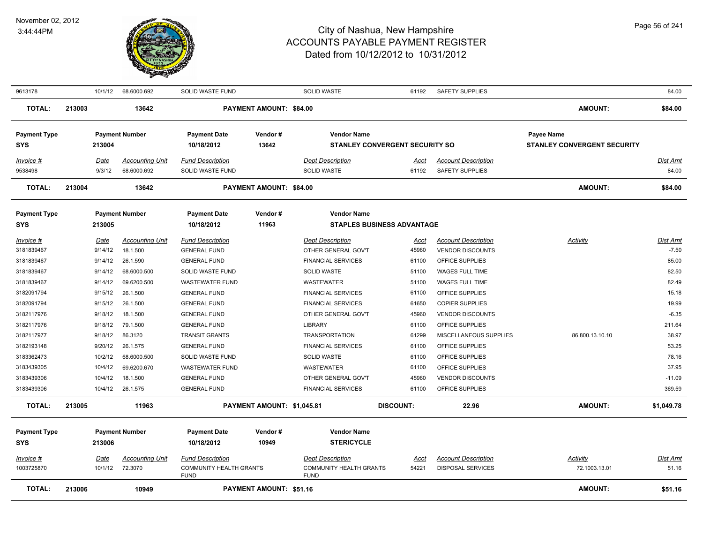

| 9613178                  |        | 10/1/12            | 68.6000.692                           | SOLID WASTE FUND                              |                                | <b>SOLID WASTE</b>                               | 61192                                 | <b>SAFETY SUPPLIES</b>                        |                                    | 84.00             |
|--------------------------|--------|--------------------|---------------------------------------|-----------------------------------------------|--------------------------------|--------------------------------------------------|---------------------------------------|-----------------------------------------------|------------------------------------|-------------------|
| <b>TOTAL:</b>            | 213003 |                    | 13642                                 |                                               | PAYMENT AMOUNT: \$84.00        |                                                  |                                       |                                               | <b>AMOUNT:</b>                     | \$84.00           |
| <b>Payment Type</b>      |        |                    | <b>Payment Number</b>                 | <b>Payment Date</b>                           | Vendor #                       | <b>Vendor Name</b>                               |                                       |                                               | <b>Payee Name</b>                  |                   |
| SYS                      |        | 213004             |                                       | 10/18/2012                                    | 13642                          |                                                  | <b>STANLEY CONVERGENT SECURITY SO</b> |                                               | <b>STANLEY CONVERGENT SECURITY</b> |                   |
| Invoice #<br>9538498     |        | Date<br>9/3/12     | <b>Accounting Unit</b><br>68.6000.692 | <b>Fund Description</b><br>SOLID WASTE FUND   |                                | <b>Dept Description</b><br>SOLID WASTE           | Acct<br>61192                         | <b>Account Description</b><br>SAFETY SUPPLIES |                                    | Dist Amt<br>84.00 |
| <b>TOTAL:</b>            | 213004 |                    | 13642                                 |                                               | PAYMENT AMOUNT: \$84.00        |                                                  |                                       |                                               | <b>AMOUNT:</b>                     | \$84.00           |
| <b>Payment Type</b>      |        |                    | <b>Payment Number</b>                 | <b>Payment Date</b>                           | Vendor#                        | <b>Vendor Name</b>                               |                                       |                                               |                                    |                   |
| SYS                      |        | 213005             |                                       | 10/18/2012                                    | 11963                          |                                                  | <b>STAPLES BUSINESS ADVANTAGE</b>     |                                               |                                    |                   |
| Invoice #                |        | Date               | <b>Accounting Unit</b>                | <b>Fund Description</b>                       |                                | <b>Dept Description</b>                          | Acct                                  | <b>Account Description</b>                    | Activity                           | <b>Dist Amt</b>   |
| 3181839467<br>3181839467 |        | 9/14/12<br>9/14/12 | 18.1.500<br>26.1.590                  | <b>GENERAL FUND</b><br><b>GENERAL FUND</b>    |                                | OTHER GENERAL GOV'T<br><b>FINANCIAL SERVICES</b> | 45960<br>61100                        | <b>VENDOR DISCOUNTS</b><br>OFFICE SUPPLIES    |                                    | $-7.50$<br>85.00  |
| 3181839467               |        | 9/14/12            | 68.6000.500                           | SOLID WASTE FUND                              |                                | SOLID WASTE                                      | 51100                                 | WAGES FULL TIME                               |                                    | 82.50             |
| 3181839467               |        | 9/14/12            | 69.6200.500                           | <b>WASTEWATER FUND</b>                        |                                | <b>WASTEWATER</b>                                | 51100                                 | <b>WAGES FULL TIME</b>                        |                                    | 82.49             |
| 3182091794               |        | 9/15/12            | 26.1.500                              | <b>GENERAL FUND</b>                           |                                | <b>FINANCIAL SERVICES</b>                        | 61100                                 | OFFICE SUPPLIES                               |                                    | 15.18             |
| 3182091794               |        | 9/15/12            | 26.1.500                              | <b>GENERAL FUND</b>                           |                                | <b>FINANCIAL SERVICES</b>                        | 61650                                 | <b>COPIER SUPPLIES</b>                        |                                    | 19.99             |
| 3182117976               |        | 9/18/12            | 18.1.500                              | <b>GENERAL FUND</b>                           |                                | OTHER GENERAL GOV'T                              | 45960                                 | <b>VENDOR DISCOUNTS</b>                       |                                    | $-6.35$           |
| 3182117976               |        | 9/18/12            | 79.1.500                              | <b>GENERAL FUND</b>                           |                                | <b>LIBRARY</b>                                   | 61100                                 | OFFICE SUPPLIES                               |                                    | 211.64            |
| 3182117977               |        | 9/18/12            | 86.3120                               | <b>TRANSIT GRANTS</b>                         |                                | <b>TRANSPORTATION</b>                            | 61299                                 | MISCELLANEOUS SUPPLIES                        | 86.800.13.10.10                    | 38.97             |
| 3182193148               |        | 9/20/12            | 26.1.575                              | <b>GENERAL FUND</b>                           |                                | <b>FINANCIAL SERVICES</b>                        | 61100                                 | OFFICE SUPPLIES                               |                                    | 53.25             |
| 3183362473               |        | 10/2/12            | 68.6000.500                           | <b>SOLID WASTE FUND</b>                       |                                | <b>SOLID WASTE</b>                               | 61100                                 | OFFICE SUPPLIES                               |                                    | 78.16             |
| 3183439305               |        | 10/4/12            | 69.6200.670                           | <b>WASTEWATER FUND</b>                        |                                | <b>WASTEWATER</b>                                | 61100                                 | OFFICE SUPPLIES                               |                                    | 37.95             |
| 3183439306               |        | 10/4/12            | 18.1.500                              | <b>GENERAL FUND</b>                           |                                | OTHER GENERAL GOV'T                              | 45960                                 | <b>VENDOR DISCOUNTS</b>                       |                                    | $-11.09$          |
| 3183439306               |        | 10/4/12            | 26.1.575                              | <b>GENERAL FUND</b>                           |                                | <b>FINANCIAL SERVICES</b>                        | 61100                                 | OFFICE SUPPLIES                               |                                    | 369.59            |
| <b>TOTAL:</b>            | 213005 |                    | 11963                                 |                                               | PAYMENT AMOUNT: \$1,045.81     |                                                  | <b>DISCOUNT:</b>                      | 22.96                                         | <b>AMOUNT:</b>                     | \$1,049.78        |
| <b>Payment Type</b>      |        |                    | <b>Payment Number</b>                 | <b>Payment Date</b>                           | Vendor#                        | <b>Vendor Name</b>                               |                                       |                                               |                                    |                   |
| <b>SYS</b>               |        | 213006             |                                       | 10/18/2012                                    | 10949                          | <b>STERICYCLE</b>                                |                                       |                                               |                                    |                   |
| Invoice #                |        | <b>Date</b>        | <b>Accounting Unit</b>                | <b>Fund Description</b>                       |                                | <b>Dept Description</b>                          | <u>Acct</u>                           | <b>Account Description</b>                    | <b>Activity</b>                    | <u>Dist Amt</u>   |
| 1003725870               |        | 10/1/12            | 72.3070                               | <b>COMMUNITY HEALTH GRANTS</b><br><b>FUND</b> |                                | <b>COMMUNITY HEALTH GRANTS</b><br><b>FUND</b>    | 54221                                 | <b>DISPOSAL SERVICES</b>                      | 72.1003.13.01                      | 51.16             |
| <b>TOTAL:</b>            | 213006 |                    | 10949                                 |                                               | <b>PAYMENT AMOUNT: \$51.16</b> |                                                  |                                       |                                               | <b>AMOUNT:</b>                     | \$51.16           |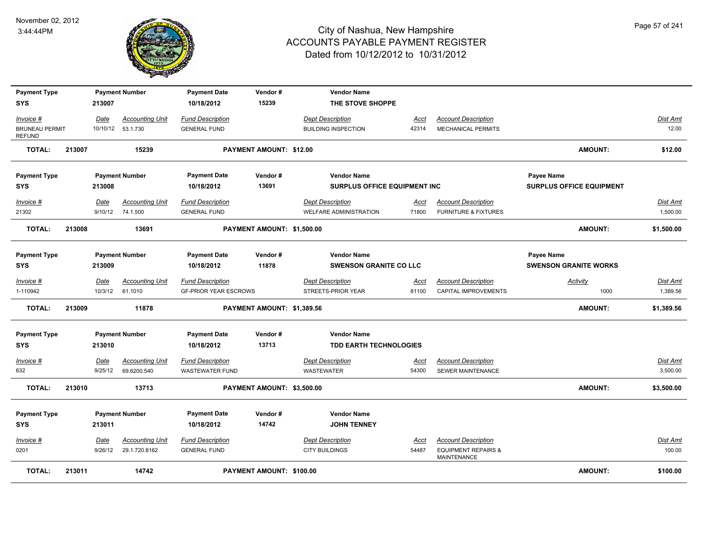

| <b>Payment Type</b><br><b>SYS</b>                   |        | 213007          | <b>Payment Number</b>                        | <b>Payment Date</b><br>10/18/2012                       | Vendor#<br>15239               | <b>Vendor Name</b><br>THE STOVE SHOPPE                |                      |                                                                             |                                            |                             |
|-----------------------------------------------------|--------|-----------------|----------------------------------------------|---------------------------------------------------------|--------------------------------|-------------------------------------------------------|----------------------|-----------------------------------------------------------------------------|--------------------------------------------|-----------------------------|
|                                                     |        |                 |                                              |                                                         |                                |                                                       |                      |                                                                             |                                            |                             |
| Invoice #<br><b>BRUNEAU PERMIT</b><br><b>REFUND</b> |        | Date            | <b>Accounting Unit</b><br>10/10/12  53.1.730 | <b>Fund Description</b><br><b>GENERAL FUND</b>          |                                | <b>Dept Description</b><br><b>BUILDING INSPECTION</b> | Acct<br>42314        | <b>Account Description</b><br><b>MECHANICAL PERMITS</b>                     |                                            | <b>Dist Amt</b><br>12.00    |
| <b>TOTAL:</b>                                       | 213007 |                 | 15239                                        |                                                         | <b>PAYMENT AMOUNT: \$12.00</b> |                                                       |                      |                                                                             | <b>AMOUNT:</b>                             | \$12.00                     |
| <b>Payment Type</b>                                 |        |                 | <b>Payment Number</b>                        | <b>Payment Date</b>                                     | Vendor#                        | <b>Vendor Name</b>                                    |                      |                                                                             | Payee Name                                 |                             |
| <b>SYS</b>                                          |        | 213008          |                                              | 10/18/2012                                              | 13691                          | <b>SURPLUS OFFICE EQUIPMENT INC</b>                   |                      |                                                                             | <b>SURPLUS OFFICE EQUIPMENT</b>            |                             |
| Invoice #<br>21302                                  |        | Date            | <b>Accounting Unit</b><br>9/10/12 74.1.500   | <b>Fund Description</b><br><b>GENERAL FUND</b>          |                                | <b>Dept Description</b><br>WELFARE ADMINISTRATION     | Acct<br>71800        | <b>Account Description</b><br><b>FURNITURE &amp; FIXTURES</b>               |                                            | Dist Amt<br>1,500.00        |
| TOTAL:                                              | 213008 |                 | 13691                                        |                                                         | PAYMENT AMOUNT: \$1,500.00     |                                                       |                      |                                                                             | AMOUNT:                                    | \$1,500.00                  |
| <b>Payment Type</b><br><b>SYS</b>                   |        | 213009          | <b>Payment Number</b>                        | <b>Payment Date</b><br>10/18/2012                       | Vendor#<br>11878               | <b>Vendor Name</b><br><b>SWENSON GRANITE CO LLC</b>   |                      |                                                                             | Payee Name<br><b>SWENSON GRANITE WORKS</b> |                             |
| $Invoice$ #<br>1-110942                             |        | Date<br>10/3/12 | <b>Accounting Unit</b><br>61.1010            | <b>Fund Description</b><br><b>GF-PRIOR YEAR ESCROWS</b> |                                | <b>Dept Description</b><br>STREETS-PRIOR YEAR         | <u>Acct</u><br>81100 | <b>Account Description</b><br>CAPITAL IMPROVEMENTS                          | <b>Activity</b><br>1000                    | <b>Dist Amt</b><br>1,389.56 |
| <b>TOTAL:</b>                                       | 213009 |                 | 11878                                        |                                                         | PAYMENT AMOUNT: \$1,389.56     |                                                       |                      |                                                                             | AMOUNT:                                    | \$1,389.56                  |
| <b>Payment Type</b><br><b>SYS</b>                   |        | 213010          | <b>Payment Number</b>                        | <b>Payment Date</b><br>10/18/2012                       | Vendor#<br>13713               | <b>Vendor Name</b><br><b>TDD EARTH TECHNOLOGIES</b>   |                      |                                                                             |                                            |                             |
| Invoice #                                           |        | Date            | <b>Accounting Unit</b>                       | <b>Fund Description</b>                                 |                                | <b>Dept Description</b>                               | Acct                 | <b>Account Description</b>                                                  |                                            | Dist Amt                    |
| 632                                                 |        | 9/25/12         | 69.6200.540                                  | <b>WASTEWATER FUND</b>                                  |                                | <b>WASTEWATER</b>                                     | 54300                | SEWER MAINTENANCE                                                           |                                            | 3,500.00                    |
| <b>TOTAL:</b>                                       | 213010 |                 | 13713                                        |                                                         | PAYMENT AMOUNT: \$3,500.00     |                                                       |                      |                                                                             | <b>AMOUNT:</b>                             | \$3,500.00                  |
| <b>Payment Type</b>                                 |        |                 | <b>Payment Number</b>                        | <b>Payment Date</b>                                     | Vendor#                        | <b>Vendor Name</b>                                    |                      |                                                                             |                                            |                             |
| <b>SYS</b>                                          |        | 213011          |                                              | 10/18/2012                                              | 14742                          | <b>JOHN TENNEY</b>                                    |                      |                                                                             |                                            |                             |
| $Invoice$ #<br>0201                                 |        | Date<br>9/26/12 | <b>Accounting Unit</b><br>29.1.720.8162      | <b>Fund Description</b><br><b>GENERAL FUND</b>          |                                | <b>Dept Description</b><br><b>CITY BUILDINGS</b>      | <u>Acct</u><br>54487 | <b>Account Description</b><br><b>EQUIPMENT REPAIRS &amp;</b><br>MAINTENANCE |                                            | <b>Dist Amt</b><br>100.00   |
| <b>TOTAL:</b>                                       | 213011 |                 | 14742                                        |                                                         | PAYMENT AMOUNT: \$100.00       |                                                       |                      |                                                                             | AMOUNT:                                    | \$100.00                    |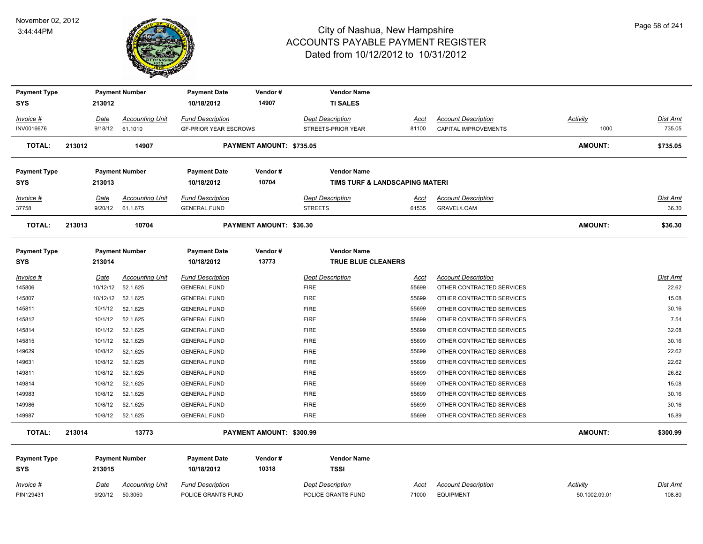#### November 02, 2012 3:44:44PM



| <b>Payment Type</b> |        |          | <b>Payment Number</b>  | <b>Payment Date</b>          | Vendor#                        | <b>Vendor Name</b>      |                                |                            |                 |                 |
|---------------------|--------|----------|------------------------|------------------------------|--------------------------------|-------------------------|--------------------------------|----------------------------|-----------------|-----------------|
| <b>SYS</b>          |        | 213012   |                        | 10/18/2012                   | 14907                          | <b>TI SALES</b>         |                                |                            |                 |                 |
| Invoice #           |        | Date     | <b>Accounting Unit</b> | <b>Fund Description</b>      |                                | <b>Dept Description</b> | Acct                           | <b>Account Description</b> | <b>Activity</b> | <b>Dist Amt</b> |
| INV0016676          |        | 9/18/12  | 61.1010                | <b>GF-PRIOR YEAR ESCROWS</b> |                                | STREETS-PRIOR YEAR      | 81100                          | CAPITAL IMPROVEMENTS       | 1000            | 735.05          |
| <b>TOTAL:</b>       | 213012 |          | 14907                  |                              | PAYMENT AMOUNT: \$735.05       |                         |                                |                            | <b>AMOUNT:</b>  | \$735.05        |
| <b>Payment Type</b> |        |          | <b>Payment Number</b>  | <b>Payment Date</b>          | Vendor#                        | <b>Vendor Name</b>      |                                |                            |                 |                 |
| <b>SYS</b>          |        | 213013   |                        | 10/18/2012                   | 10704                          |                         | TIMS TURF & LANDSCAPING MATERI |                            |                 |                 |
| Invoice #           |        | Date     | <b>Accounting Unit</b> | <b>Fund Description</b>      |                                | <b>Dept Description</b> | Acct                           | <b>Account Description</b> |                 | <b>Dist Amt</b> |
| 37758               |        | 9/20/12  | 61.1.675               | <b>GENERAL FUND</b>          |                                | <b>STREETS</b>          | 61535                          | GRAVEL/LOAM                |                 | 36.30           |
| <b>TOTAL:</b>       | 213013 |          | 10704                  |                              | <b>PAYMENT AMOUNT: \$36.30</b> |                         |                                |                            | <b>AMOUNT:</b>  | \$36.30         |
| <b>Payment Type</b> |        |          | <b>Payment Number</b>  | <b>Payment Date</b>          | Vendor#                        | <b>Vendor Name</b>      |                                |                            |                 |                 |
| <b>SYS</b>          |        | 213014   |                        | 10/18/2012                   | 13773                          | TRUE BLUE CLEANERS      |                                |                            |                 |                 |
| Invoice #           |        | Date     | <b>Accounting Unit</b> | <b>Fund Description</b>      |                                | <b>Dept Description</b> | Acct                           | <b>Account Description</b> |                 | <b>Dist Amt</b> |
| 145806              |        | 10/12/12 | 52.1.625               | <b>GENERAL FUND</b>          |                                | <b>FIRE</b>             | 55699                          | OTHER CONTRACTED SERVICES  |                 | 22.62           |
| 145807              |        | 10/12/12 | 52.1.625               | <b>GENERAL FUND</b>          |                                | <b>FIRE</b>             | 55699                          | OTHER CONTRACTED SERVICES  |                 | 15.08           |
| 145811              |        | 10/1/12  | 52.1.625               | <b>GENERAL FUND</b>          |                                | <b>FIRE</b>             | 55699                          | OTHER CONTRACTED SERVICES  |                 | 30.16           |
| 145812              |        | 10/1/12  | 52.1.625               | <b>GENERAL FUND</b>          |                                | <b>FIRE</b>             | 55699                          | OTHER CONTRACTED SERVICES  |                 | 7.54            |
| 145814              |        | 10/1/12  | 52.1.625               | <b>GENERAL FUND</b>          |                                | <b>FIRE</b>             | 55699                          | OTHER CONTRACTED SERVICES  |                 | 32.08           |
| 145815              |        | 10/1/12  | 52.1.625               | <b>GENERAL FUND</b>          |                                | <b>FIRE</b>             | 55699                          | OTHER CONTRACTED SERVICES  |                 | 30.16           |
| 149629              |        | 10/8/12  | 52.1.625               | <b>GENERAL FUND</b>          |                                | <b>FIRE</b>             | 55699                          | OTHER CONTRACTED SERVICES  |                 | 22.62           |
| 149631              |        | 10/8/12  | 52.1.625               | <b>GENERAL FUND</b>          |                                | <b>FIRE</b>             | 55699                          | OTHER CONTRACTED SERVICES  |                 | 22.62           |
| 149811              |        | 10/8/12  | 52.1.625               | <b>GENERAL FUND</b>          |                                | <b>FIRE</b>             | 55699                          | OTHER CONTRACTED SERVICES  |                 | 26.82           |
| 149814              |        | 10/8/12  | 52.1.625               | <b>GENERAL FUND</b>          |                                | <b>FIRE</b>             | 55699                          | OTHER CONTRACTED SERVICES  |                 | 15.08           |
| 149983              |        | 10/8/12  | 52.1.625               | <b>GENERAL FUND</b>          |                                | <b>FIRE</b>             | 55699                          | OTHER CONTRACTED SERVICES  |                 | 30.16           |
| 149986              |        | 10/8/12  | 52.1.625               | <b>GENERAL FUND</b>          |                                | <b>FIRE</b>             | 55699                          | OTHER CONTRACTED SERVICES  |                 | 30.16           |
| 149987              |        | 10/8/12  | 52.1.625               | <b>GENERAL FUND</b>          |                                | <b>FIRE</b>             | 55699                          | OTHER CONTRACTED SERVICES  |                 | 15.89           |
| <b>TOTAL:</b>       | 213014 |          | 13773                  |                              | PAYMENT AMOUNT: \$300.99       |                         |                                |                            | <b>AMOUNT:</b>  | \$300.99        |
| <b>Payment Type</b> |        |          | <b>Payment Number</b>  | <b>Payment Date</b>          | Vendor#                        | <b>Vendor Name</b>      |                                |                            |                 |                 |
| <b>SYS</b>          |        | 213015   |                        | 10/18/2012                   | 10318                          | <b>TSSI</b>             |                                |                            |                 |                 |
| Invoice #           |        | Date     | <b>Accounting Unit</b> | <b>Fund Description</b>      |                                | <b>Dept Description</b> | <u>Acct</u>                    | <b>Account Description</b> | <b>Activity</b> | Dist Amt        |
| PIN129431           |        | 9/20/12  | 50.3050                | POLICE GRANTS FUND           |                                | POLICE GRANTS FUND      | 71000                          | <b>EQUIPMENT</b>           | 50.1002.09.01   | 108.80          |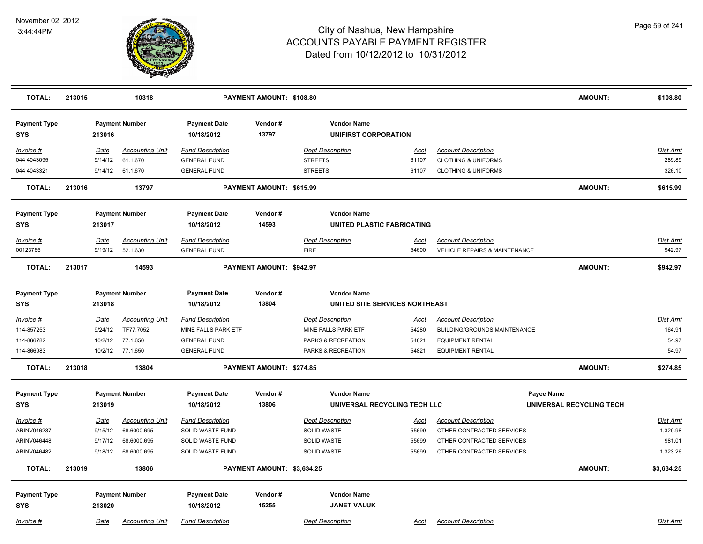

| <b>TOTAL:</b>                     | 213015 |             | 10318                  |                                   | PAYMENT AMOUNT: \$108.80   |                                            |             |                                          | <b>AMOUNT:</b>           | \$108.80   |
|-----------------------------------|--------|-------------|------------------------|-----------------------------------|----------------------------|--------------------------------------------|-------------|------------------------------------------|--------------------------|------------|
| <b>Payment Type</b><br>SYS        |        | 213016      | <b>Payment Number</b>  | <b>Payment Date</b><br>10/18/2012 | Vendor#<br>13797           | <b>Vendor Name</b><br>UNIFIRST CORPORATION |             |                                          |                          |            |
| Invoice #                         |        | Date        | <b>Accounting Unit</b> | <b>Fund Description</b>           |                            | <b>Dept Description</b>                    | <b>Acct</b> | <b>Account Description</b>               |                          | Dist Amt   |
| 044 4043095                       |        | 9/14/12     | 61.1.670               | <b>GENERAL FUND</b>               |                            | <b>STREETS</b>                             | 61107       | <b>CLOTHING &amp; UNIFORMS</b>           |                          | 289.89     |
| 044 4043321                       |        |             | 9/14/12 61.1.670       | <b>GENERAL FUND</b>               |                            | <b>STREETS</b>                             | 61107       | <b>CLOTHING &amp; UNIFORMS</b>           |                          | 326.10     |
| <b>TOTAL:</b>                     | 213016 |             | 13797                  |                                   | PAYMENT AMOUNT: \$615.99   |                                            |             |                                          | <b>AMOUNT:</b>           | \$615.99   |
| <b>Payment Type</b>               |        |             | <b>Payment Number</b>  | <b>Payment Date</b>               | Vendor#                    | <b>Vendor Name</b>                         |             |                                          |                          |            |
| <b>SYS</b>                        |        | 213017      |                        | 10/18/2012                        | 14593                      | UNITED PLASTIC FABRICATING                 |             |                                          |                          |            |
| Invoice #                         |        | Date        | <b>Accounting Unit</b> | <b>Fund Description</b>           |                            | <b>Dept Description</b>                    | <b>Acct</b> | <b>Account Description</b>               |                          | Dist Amt   |
| 00123765                          |        | 9/19/12     | 52.1.630               | <b>GENERAL FUND</b>               |                            | <b>FIRE</b>                                | 54600       | <b>VEHICLE REPAIRS &amp; MAINTENANCE</b> |                          | 942.97     |
| <b>TOTAL:</b>                     | 213017 |             | 14593                  |                                   | PAYMENT AMOUNT: \$942.97   |                                            |             |                                          | <b>AMOUNT:</b>           | \$942.97   |
| <b>Payment Type</b>               |        |             | <b>Payment Number</b>  | <b>Payment Date</b>               | Vendor#                    | <b>Vendor Name</b>                         |             |                                          |                          |            |
| SYS                               |        | 213018      |                        | 10/18/2012                        | 13804                      | UNITED SITE SERVICES NORTHEAST             |             |                                          |                          |            |
| <u>Invoice #</u>                  |        | <u>Date</u> | <b>Accounting Unit</b> | <b>Fund Description</b>           |                            | <b>Dept Description</b>                    | Acct        | <b>Account Description</b>               |                          | Dist Amt   |
| 114-857253                        |        | 9/24/12     | TF77.7052              | MINE FALLS PARK ETF               |                            | MINE FALLS PARK ETF                        | 54280       | BUILDING/GROUNDS MAINTENANCE             |                          | 164.91     |
| 114-866782                        |        | 10/2/12     | 77.1.650               | <b>GENERAL FUND</b>               |                            | PARKS & RECREATION                         | 54821       | <b>EQUIPMENT RENTAL</b>                  |                          | 54.97      |
| 114-866983                        |        |             | 10/2/12 77.1.650       | <b>GENERAL FUND</b>               |                            | PARKS & RECREATION                         | 54821       | <b>EQUIPMENT RENTAL</b>                  |                          | 54.97      |
| <b>TOTAL:</b>                     | 213018 |             | 13804                  |                                   | PAYMENT AMOUNT: \$274.85   |                                            |             |                                          | <b>AMOUNT:</b>           | \$274.85   |
| <b>Payment Type</b>               |        |             | <b>Payment Number</b>  | <b>Payment Date</b>               | Vendor#                    | <b>Vendor Name</b>                         |             |                                          | Payee Name               |            |
| SYS                               |        | 213019      |                        | 10/18/2012                        | 13806                      | UNIVERSAL RECYCLING TECH LLC               |             |                                          | UNIVERSAL RECYCLING TECH |            |
| Invoice #                         |        | Date        | <b>Accounting Unit</b> | <b>Fund Description</b>           |                            | <b>Dept Description</b>                    | Acct        | <b>Account Description</b>               |                          | Dist Amt   |
| ARINV046237                       |        | 9/15/12     | 68.6000.695            | SOLID WASTE FUND                  |                            | SOLID WASTE                                | 55699       | OTHER CONTRACTED SERVICES                |                          | 1,329.98   |
| ARINV046448                       |        | 9/17/12     | 68.6000.695            | SOLID WASTE FUND                  |                            | SOLID WASTE                                | 55699       | OTHER CONTRACTED SERVICES                |                          | 981.01     |
| ARINV046482                       |        | 9/18/12     | 68.6000.695            | SOLID WASTE FUND                  |                            | SOLID WASTE                                | 55699       | OTHER CONTRACTED SERVICES                |                          | 1,323.26   |
| <b>TOTAL:</b>                     | 213019 |             | 13806                  |                                   | PAYMENT AMOUNT: \$3,634.25 |                                            |             |                                          | <b>AMOUNT:</b>           | \$3,634.25 |
| <b>Payment Type</b><br><b>SYS</b> |        | 213020      | <b>Payment Number</b>  | <b>Payment Date</b><br>10/18/2012 | Vendor#<br>15255           | <b>Vendor Name</b><br><b>JANET VALUK</b>   |             |                                          |                          |            |
| Invoice #                         |        | Date        | <b>Accounting Unit</b> | <b>Fund Description</b>           |                            | <b>Dept Description</b>                    | Acct        | <b>Account Description</b>               |                          | Dist Amt   |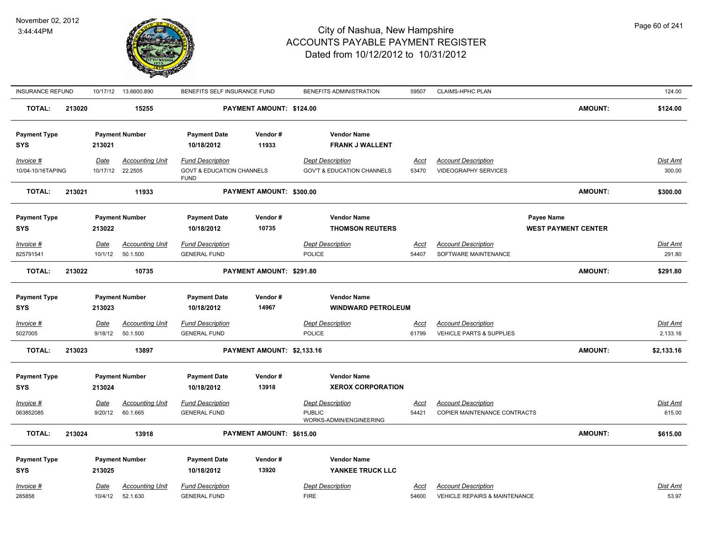

| <b>INSURANCE REFUND</b>           |        |                        | 10/17/12  13.6600.890              | BENEFITS SELF INSURANCE FUND                                                   |                            | BENEFITS ADMINISTRATION                                             | 59507                | CLAIMS-HPHC PLAN                                                       |                            | 124.00                    |
|-----------------------------------|--------|------------------------|------------------------------------|--------------------------------------------------------------------------------|----------------------------|---------------------------------------------------------------------|----------------------|------------------------------------------------------------------------|----------------------------|---------------------------|
| <b>TOTAL:</b>                     | 213020 |                        | 15255                              |                                                                                | PAYMENT AMOUNT: \$124.00   |                                                                     |                      |                                                                        | <b>AMOUNT:</b>             | \$124.00                  |
| <b>Payment Type</b><br><b>SYS</b> |        | 213021                 | <b>Payment Number</b>              | <b>Payment Date</b><br>10/18/2012                                              | Vendor#<br>11933           | <b>Vendor Name</b><br><b>FRANK J WALLENT</b>                        |                      |                                                                        |                            |                           |
| $Invoice$ #<br>10/04-10/16TAPING  |        | Date<br>10/17/12       | <b>Accounting Unit</b><br>22.2505  | <b>Fund Description</b><br><b>GOVT &amp; EDUCATION CHANNELS</b><br><b>FUND</b> |                            | <b>Dept Description</b><br><b>GOV'T &amp; EDUCATION CHANNELS</b>    | <u>Acct</u><br>53470 | <b>Account Description</b><br><b>VIDEOGRAPHY SERVICES</b>              |                            | <b>Dist Amt</b><br>300.00 |
| <b>TOTAL:</b>                     | 213021 |                        | 11933                              |                                                                                | PAYMENT AMOUNT: \$300.00   |                                                                     |                      |                                                                        | <b>AMOUNT:</b>             | \$300.00                  |
| <b>Payment Type</b>               |        |                        | <b>Payment Number</b>              | <b>Payment Date</b>                                                            | Vendor#                    | <b>Vendor Name</b>                                                  |                      |                                                                        | Payee Name                 |                           |
| <b>SYS</b>                        |        | 213022                 |                                    | 10/18/2012                                                                     | 10735                      | <b>THOMSON REUTERS</b>                                              |                      |                                                                        | <b>WEST PAYMENT CENTER</b> |                           |
| $Invoice$ #<br>825791541          |        | <u>Date</u><br>10/1/12 | <b>Accounting Unit</b><br>50.1.500 | <b>Fund Description</b><br><b>GENERAL FUND</b>                                 |                            | <b>Dept Description</b><br><b>POLICE</b>                            | <u>Acct</u><br>54407 | <b>Account Description</b><br>SOFTWARE MAINTENANCE                     |                            | Dist Amt<br>291.80        |
| <b>TOTAL:</b>                     | 213022 |                        | 10735                              |                                                                                | PAYMENT AMOUNT: \$291.80   |                                                                     |                      |                                                                        | <b>AMOUNT:</b>             | \$291.80                  |
| <b>Payment Type</b><br><b>SYS</b> |        | 213023                 | <b>Payment Number</b>              | <b>Payment Date</b><br>10/18/2012                                              | Vendor#<br>14967           | <b>Vendor Name</b><br><b>WINDWARD PETROLEUM</b>                     |                      |                                                                        |                            |                           |
| Invoice #<br>5027005              |        | Date<br>9/18/12        | <b>Accounting Unit</b><br>50.1.500 | <b>Fund Description</b><br><b>GENERAL FUND</b>                                 |                            | <b>Dept Description</b><br>POLICE                                   | <u>Acct</u><br>61799 | <b>Account Description</b><br>VEHICLE PARTS & SUPPLIES                 |                            | Dist Amt<br>2,133.16      |
| <b>TOTAL:</b>                     | 213023 |                        | 13897                              |                                                                                | PAYMENT AMOUNT: \$2,133.16 |                                                                     |                      |                                                                        | <b>AMOUNT:</b>             | \$2,133.16                |
| <b>Payment Type</b><br><b>SYS</b> |        | 213024                 | <b>Payment Number</b>              | <b>Payment Date</b><br>10/18/2012                                              | Vendor #<br>13918          | <b>Vendor Name</b><br><b>XEROX CORPORATION</b>                      |                      |                                                                        |                            |                           |
| Invoice #<br>063852085            |        | Date<br>9/20/12        | <b>Accounting Unit</b><br>60.1.665 | <b>Fund Description</b><br><b>GENERAL FUND</b>                                 |                            | <b>Dept Description</b><br><b>PUBLIC</b><br>WORKS-ADMIN/ENGINEERING | <u>Acct</u><br>54421 | <b>Account Description</b><br>COPIER MAINTENANCE CONTRACTS             |                            | <b>Dist Amt</b><br>615.00 |
| <b>TOTAL:</b>                     | 213024 |                        | 13918                              |                                                                                | PAYMENT AMOUNT: \$615.00   |                                                                     |                      |                                                                        | <b>AMOUNT:</b>             | \$615.00                  |
| <b>Payment Type</b><br><b>SYS</b> |        | 213025                 | <b>Payment Number</b>              | <b>Payment Date</b><br>10/18/2012                                              | Vendor#<br>13920           | <b>Vendor Name</b><br>YANKEE TRUCK LLC                              |                      |                                                                        |                            |                           |
| Invoice #<br>285858               |        | Date<br>10/4/12        | <b>Accounting Unit</b><br>52.1.630 | <b>Fund Description</b><br><b>GENERAL FUND</b>                                 |                            | <b>Dept Description</b><br><b>FIRE</b>                              | Acct<br>54600        | <b>Account Description</b><br><b>VEHICLE REPAIRS &amp; MAINTENANCE</b> |                            | Dist Amt<br>53.97         |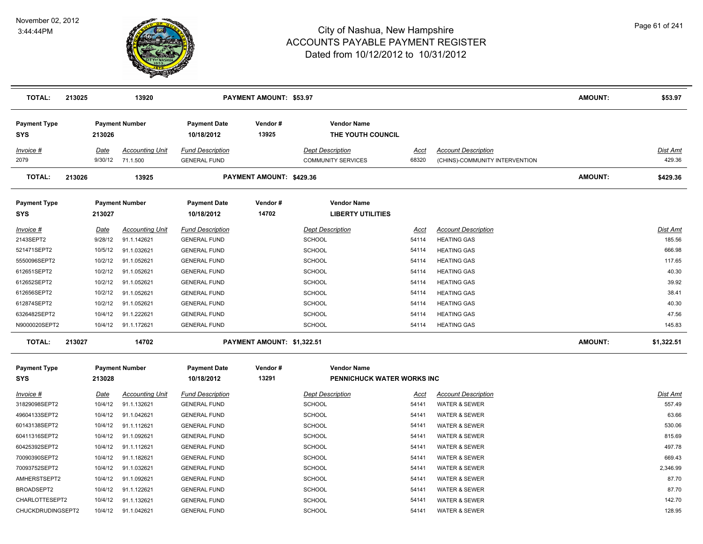

| <b>TOTAL:</b>                     | 213025 |             | 13920                  |                                   | <b>PAYMENT AMOUNT: \$53.97</b> |                                                |       |                                | <b>AMOUNT:</b> | \$53.97         |
|-----------------------------------|--------|-------------|------------------------|-----------------------------------|--------------------------------|------------------------------------------------|-------|--------------------------------|----------------|-----------------|
| <b>Payment Type</b><br><b>SYS</b> |        | 213026      | <b>Payment Number</b>  | <b>Payment Date</b><br>10/18/2012 | Vendor#<br>13925               | <b>Vendor Name</b><br>THE YOUTH COUNCIL        |       |                                |                |                 |
| Invoice #                         |        | Date        | <b>Accounting Unit</b> | <b>Fund Description</b>           |                                | <b>Dept Description</b>                        | Acct  | <b>Account Description</b>     |                | Dist Amt        |
| 2079                              |        | 9/30/12     | 71.1.500               | <b>GENERAL FUND</b>               |                                | <b>COMMUNITY SERVICES</b>                      | 68320 | (CHINS)-COMMUNITY INTERVENTION |                | 429.36          |
| <b>TOTAL:</b>                     | 213026 |             | 13925                  |                                   | PAYMENT AMOUNT: \$429.36       |                                                |       |                                | <b>AMOUNT:</b> | \$429.36        |
| <b>Payment Type</b><br><b>SYS</b> |        | 213027      | <b>Payment Number</b>  | <b>Payment Date</b><br>10/18/2012 | Vendor#<br>14702               | <b>Vendor Name</b><br><b>LIBERTY UTILITIES</b> |       |                                |                |                 |
| Invoice #                         |        | Date        | <b>Accounting Unit</b> | <b>Fund Description</b>           |                                | <b>Dept Description</b>                        | Acct  | <b>Account Description</b>     |                | Dist Amt        |
| 2143SEPT2                         |        | 9/28/12     | 91.1.142621            | <b>GENERAL FUND</b>               |                                | <b>SCHOOL</b>                                  | 54114 | <b>HEATING GAS</b>             |                | 185.56          |
| 521471SEPT2                       |        | 10/5/12     | 91.1.032621            | <b>GENERAL FUND</b>               |                                | <b>SCHOOL</b>                                  | 54114 | <b>HEATING GAS</b>             |                | 666.98          |
| 5550096SEPT2                      |        | 10/2/12     | 91.1.052621            | <b>GENERAL FUND</b>               |                                | <b>SCHOOL</b>                                  | 54114 | <b>HEATING GAS</b>             |                | 117.65          |
| 612651SEPT2                       |        | 10/2/12     | 91.1.052621            | <b>GENERAL FUND</b>               |                                | <b>SCHOOL</b>                                  | 54114 | <b>HEATING GAS</b>             |                | 40.30           |
| 612652SEPT2                       |        | 10/2/12     | 91.1.052621            | <b>GENERAL FUND</b>               |                                | <b>SCHOOL</b>                                  | 54114 | <b>HEATING GAS</b>             |                | 39.92           |
| 612656SEPT2                       |        | 10/2/12     | 91.1.052621            | <b>GENERAL FUND</b>               |                                | <b>SCHOOL</b>                                  | 54114 | <b>HEATING GAS</b>             |                | 38.41           |
| 612874SEPT2                       |        | 10/2/12     | 91.1.052621            | <b>GENERAL FUND</b>               |                                | <b>SCHOOL</b>                                  | 54114 | <b>HEATING GAS</b>             |                | 40.30           |
| 6326482SEPT2                      |        | 10/4/12     | 91.1.222621            | <b>GENERAL FUND</b>               |                                | SCHOOL                                         | 54114 | <b>HEATING GAS</b>             |                | 47.56           |
| N9000020SEPT2                     |        | 10/4/12     | 91.1.172621            | <b>GENERAL FUND</b>               |                                | <b>SCHOOL</b>                                  | 54114 | <b>HEATING GAS</b>             |                | 145.83          |
| <b>TOTAL:</b>                     | 213027 |             | 14702                  |                                   | PAYMENT AMOUNT: \$1,322.51     |                                                |       |                                | <b>AMOUNT:</b> | \$1,322.51      |
| <b>Payment Type</b>               |        |             | <b>Payment Number</b>  | <b>Payment Date</b>               | Vendor#                        | <b>Vendor Name</b>                             |       |                                |                |                 |
| <b>SYS</b>                        |        | 213028      |                        | 10/18/2012                        | 13291                          | PENNICHUCK WATER WORKS INC                     |       |                                |                |                 |
| Invoice #                         |        | <b>Date</b> | <b>Accounting Unit</b> | <b>Fund Description</b>           |                                | <b>Dept Description</b>                        | Acct  | <b>Account Description</b>     |                | <b>Dist Amt</b> |
| 31829098SEPT2                     |        | 10/4/12     | 91.1.132621            | <b>GENERAL FUND</b>               |                                | SCHOOL                                         | 54141 | WATER & SEWER                  |                | 557.49          |
| 49604133SEPT2                     |        | 10/4/12     | 91.1.042621            | <b>GENERAL FUND</b>               |                                | SCHOOL                                         | 54141 | <b>WATER &amp; SEWER</b>       |                | 63.66           |
| 60143138SEPT2                     |        | 10/4/12     | 91.1.112621            | <b>GENERAL FUND</b>               |                                | <b>SCHOOL</b>                                  | 54141 | WATER & SEWER                  |                | 530.06          |
| 60411316SEPT2                     |        | 10/4/12     | 91.1.092621            | <b>GENERAL FUND</b>               |                                | <b>SCHOOL</b>                                  | 54141 | <b>WATER &amp; SEWER</b>       |                | 815.69          |
| 60425392SEPT2                     |        | 10/4/12     | 91.1.112621            | <b>GENERAL FUND</b>               |                                | <b>SCHOOL</b>                                  | 54141 | <b>WATER &amp; SEWER</b>       |                | 497.78          |
| 70090390SEPT2                     |        | 10/4/12     | 91.1.182621            | <b>GENERAL FUND</b>               |                                | <b>SCHOOL</b>                                  | 54141 | WATER & SEWER                  |                | 669.43          |
| 70093752SEPT2                     |        | 10/4/12     | 91.1.032621            | <b>GENERAL FUND</b>               |                                | <b>SCHOOL</b>                                  | 54141 | <b>WATER &amp; SEWER</b>       |                | 2,346.99        |
| AMHERSTSEPT2                      |        | 10/4/12     | 91.1.092621            | <b>GENERAL FUND</b>               |                                | <b>SCHOOL</b>                                  | 54141 | <b>WATER &amp; SEWER</b>       |                | 87.70           |
| BROADSEPT2                        |        | 10/4/12     | 91.1.122621            | <b>GENERAL FUND</b>               |                                | SCHOOL                                         | 54141 | <b>WATER &amp; SEWER</b>       |                | 87.70           |
| CHARLOTTESEPT2                    |        | 10/4/12     | 91.1.132621            | <b>GENERAL FUND</b>               |                                | <b>SCHOOL</b>                                  | 54141 | <b>WATER &amp; SEWER</b>       |                | 142.70          |
| CHUCKDRUDINGSEPT2                 |        | 10/4/12     | 91.1.042621            | <b>GENERAL FUND</b>               |                                | <b>SCHOOL</b>                                  | 54141 | <b>WATER &amp; SEWER</b>       |                | 128.95          |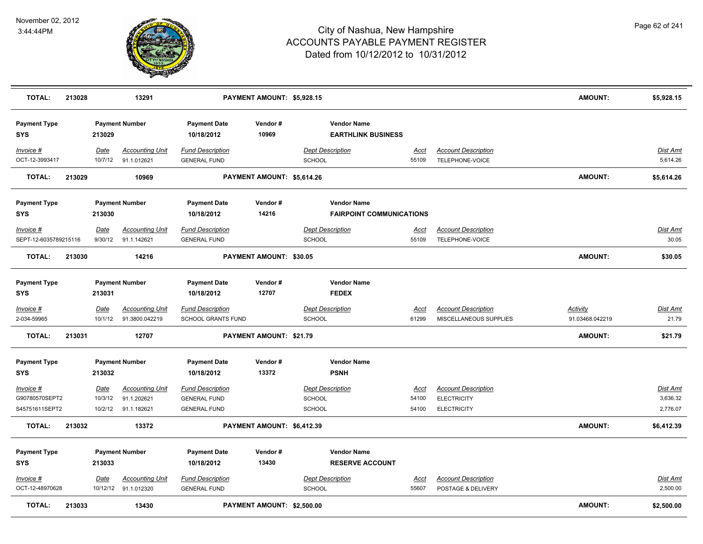

| TOTAL:                            | 213028 |                 | 13291                                    |                                                      | PAYMENT AMOUNT: \$5,928.15 |                                          |                                                       |                      |                                                      | <b>AMOUNT:</b>                     | \$5,928.15               |
|-----------------------------------|--------|-----------------|------------------------------------------|------------------------------------------------------|----------------------------|------------------------------------------|-------------------------------------------------------|----------------------|------------------------------------------------------|------------------------------------|--------------------------|
| <b>Payment Type</b><br><b>SYS</b> |        | 213029          | <b>Payment Number</b>                    | <b>Payment Date</b><br>10/18/2012                    | Vendor#<br>10969           |                                          | <b>Vendor Name</b><br><b>EARTHLINK BUSINESS</b>       |                      |                                                      |                                    |                          |
| Invoice #<br>OCT-12-3993417       |        | Date<br>10/7/12 | <b>Accounting Unit</b><br>91.1.012621    | <b>Fund Description</b><br><b>GENERAL FUND</b>       |                            | <b>Dept Description</b><br><b>SCHOOL</b> |                                                       | Acct<br>55109        | <b>Account Description</b><br>TELEPHONE-VOICE        |                                    | Dist Amt<br>5,614.26     |
| <b>TOTAL:</b>                     | 213029 |                 | 10969                                    |                                                      | PAYMENT AMOUNT: \$5,614.26 |                                          |                                                       |                      |                                                      | <b>AMOUNT:</b>                     | \$5,614.26               |
| <b>Payment Type</b><br><b>SYS</b> |        | 213030          | <b>Payment Number</b>                    | <b>Payment Date</b><br>10/18/2012                    | Vendor#<br>14216           |                                          | <b>Vendor Name</b><br><b>FAIRPOINT COMMUNICATIONS</b> |                      |                                                      |                                    |                          |
| Invoice #                         |        | Date            | <b>Accounting Unit</b>                   | <b>Fund Description</b>                              |                            | <b>Dept Description</b>                  |                                                       | Acct                 | <b>Account Description</b>                           |                                    | Dist Amt                 |
| SEPT-12-6035789215116             |        | 9/30/12         | 91.1.142621                              | <b>GENERAL FUND</b>                                  |                            | <b>SCHOOL</b>                            |                                                       | 55109                | TELEPHONE-VOICE                                      |                                    | 30.05                    |
| <b>TOTAL:</b>                     | 213030 |                 | 14216                                    |                                                      | PAYMENT AMOUNT: \$30.05    |                                          |                                                       |                      |                                                      | <b>AMOUNT:</b>                     | \$30.05                  |
| <b>Payment Type</b><br><b>SYS</b> |        | 213031          | <b>Payment Number</b>                    | <b>Payment Date</b><br>10/18/2012                    | Vendor#<br>12707           |                                          | <b>Vendor Name</b><br><b>FEDEX</b>                    |                      |                                                      |                                    |                          |
| $Invoice$ #<br>2-034-59965        |        | Date<br>10/1/12 | <b>Accounting Unit</b><br>91.3800.042219 | <b>Fund Description</b><br><b>SCHOOL GRANTS FUND</b> |                            | <b>Dept Description</b><br>SCHOOL        |                                                       | <u>Acct</u><br>61299 | <b>Account Description</b><br>MISCELLANEOUS SUPPLIES | <u>Activity</u><br>91.03468.042219 | <u>Dist Amt</u><br>21.79 |
| <b>TOTAL:</b>                     | 213031 |                 | 12707                                    |                                                      | PAYMENT AMOUNT: \$21.79    |                                          |                                                       |                      |                                                      | <b>AMOUNT:</b>                     | \$21.79                  |
| <b>Payment Type</b><br><b>SYS</b> |        | 213032          | <b>Payment Number</b>                    | <b>Payment Date</b><br>10/18/2012                    | Vendor#<br>13372           |                                          | <b>Vendor Name</b><br><b>PSNH</b>                     |                      |                                                      |                                    |                          |
| Invoice #                         |        | Date            | <b>Accounting Unit</b>                   | <b>Fund Description</b>                              |                            | <b>Dept Description</b>                  |                                                       | <u>Acct</u>          | <b>Account Description</b>                           |                                    | Dist Amt                 |
| G90780570SEPT2                    |        | 10/3/12         | 91.1.202621                              | <b>GENERAL FUND</b>                                  |                            | <b>SCHOOL</b>                            |                                                       | 54100                | <b>ELECTRICITY</b>                                   |                                    | 3,636.32                 |
| S45751611SEPT2                    |        | 10/2/12         | 91.1.182621                              | <b>GENERAL FUND</b>                                  |                            | <b>SCHOOL</b>                            |                                                       | 54100                | <b>ELECTRICITY</b>                                   |                                    | 2,776.07                 |
| <b>TOTAL:</b>                     | 213032 |                 | 13372                                    |                                                      | PAYMENT AMOUNT: \$6,412.39 |                                          |                                                       |                      |                                                      | <b>AMOUNT:</b>                     | \$6,412.39               |
| <b>Payment Type</b><br><b>SYS</b> |        | 213033          | <b>Payment Number</b>                    | <b>Payment Date</b><br>10/18/2012                    | Vendor#<br>13430           |                                          | <b>Vendor Name</b><br><b>RESERVE ACCOUNT</b>          |                      |                                                      |                                    |                          |
| Invoice #                         |        | <u>Date</u>     | <b>Accounting Unit</b>                   | <b>Fund Description</b>                              |                            | <b>Dept Description</b>                  |                                                       | <u>Acct</u>          | <b>Account Description</b>                           |                                    | <b>Dist Amt</b>          |
| OCT-12-48970628                   |        |                 | 10/12/12 91.1.012320                     | <b>GENERAL FUND</b>                                  |                            | <b>SCHOOL</b>                            |                                                       | 55607                | POSTAGE & DELIVERY                                   |                                    | 2,500.00                 |
| <b>TOTAL:</b>                     | 213033 |                 | 13430                                    |                                                      | PAYMENT AMOUNT: \$2,500.00 |                                          |                                                       |                      |                                                      | <b>AMOUNT:</b>                     | \$2,500.00               |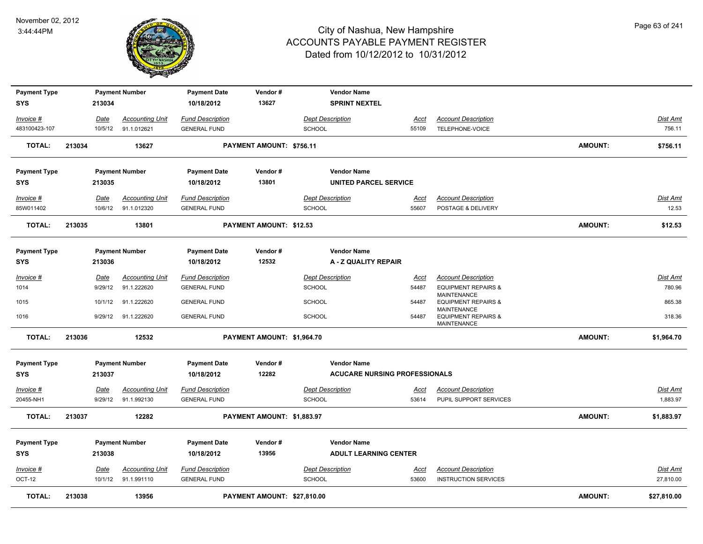

| <b>Payment Type</b><br><b>SYS</b> |        | 213034          | <b>Payment Number</b>                 | <b>Payment Date</b><br>10/18/2012              | Vendor#<br>13627               | <b>Vendor Name</b><br><b>SPRINT NEXTEL</b> |               |                                                      |                |                   |
|-----------------------------------|--------|-----------------|---------------------------------------|------------------------------------------------|--------------------------------|--------------------------------------------|---------------|------------------------------------------------------|----------------|-------------------|
| Invoice #                         |        | Date            | <b>Accounting Unit</b>                | <b>Fund Description</b>                        |                                | <b>Dept Description</b>                    | Acct          | <b>Account Description</b>                           |                | Dist Amt          |
| 483100423-107                     |        | 10/5/12         | 91.1.012621                           | <b>GENERAL FUND</b>                            |                                | <b>SCHOOL</b>                              | 55109         | TELEPHONE-VOICE                                      |                | 756.11            |
| TOTAL:                            | 213034 |                 | 13627                                 |                                                | PAYMENT AMOUNT: \$756.11       |                                            |               |                                                      | <b>AMOUNT:</b> | \$756.11          |
| <b>Payment Type</b>               |        |                 | <b>Payment Number</b>                 | <b>Payment Date</b>                            | Vendor#                        | <b>Vendor Name</b>                         |               |                                                      |                |                   |
| <b>SYS</b>                        |        | 213035          |                                       | 10/18/2012                                     | 13801                          | UNITED PARCEL SERVICE                      |               |                                                      |                |                   |
| Invoice #<br>85W011402            |        | Date<br>10/6/12 | <b>Accounting Unit</b><br>91.1.012320 | <b>Fund Description</b><br><b>GENERAL FUND</b> |                                | <b>Dept Description</b><br><b>SCHOOL</b>   | Acct<br>55607 | <b>Account Description</b><br>POSTAGE & DELIVERY     |                | Dist Amt<br>12.53 |
| <b>TOTAL:</b>                     | 213035 |                 | 13801                                 |                                                | <b>PAYMENT AMOUNT: \$12.53</b> |                                            |               |                                                      | <b>AMOUNT:</b> | \$12.53           |
|                                   |        |                 |                                       |                                                |                                |                                            |               |                                                      |                |                   |
| <b>Payment Type</b>               |        |                 | <b>Payment Number</b>                 | <b>Payment Date</b>                            | Vendor#                        | <b>Vendor Name</b>                         |               |                                                      |                |                   |
| <b>SYS</b>                        |        | 213036          |                                       | 10/18/2012                                     | 12532                          | A - Z QUALITY REPAIR                       |               |                                                      |                |                   |
| Invoice #                         |        | Date            | <b>Accounting Unit</b>                | <b>Fund Description</b>                        |                                | <b>Dept Description</b>                    | Acct          | <b>Account Description</b>                           |                | Dist Amt          |
| 1014                              |        | 9/29/12         | 91.1.222620                           | <b>GENERAL FUND</b>                            |                                | <b>SCHOOL</b>                              | 54487         | <b>EQUIPMENT REPAIRS &amp;</b><br><b>MAINTENANCE</b> |                | 780.96            |
| 1015                              |        | 10/1/12         | 91.1.222620                           | <b>GENERAL FUND</b>                            |                                | <b>SCHOOL</b>                              | 54487         | <b>EQUIPMENT REPAIRS &amp;</b><br><b>MAINTENANCE</b> |                | 865.38            |
| 1016                              |        | 9/29/12         | 91.1.222620                           | <b>GENERAL FUND</b>                            |                                | <b>SCHOOL</b>                              | 54487         | <b>EQUIPMENT REPAIRS &amp;</b><br><b>MAINTENANCE</b> |                | 318.36            |
| <b>TOTAL:</b>                     | 213036 |                 | 12532                                 |                                                | PAYMENT AMOUNT: \$1,964.70     |                                            |               |                                                      | <b>AMOUNT:</b> | \$1,964.70        |
| <b>Payment Type</b>               |        |                 | <b>Payment Number</b>                 | <b>Payment Date</b>                            | Vendor#                        | <b>Vendor Name</b>                         |               |                                                      |                |                   |
| <b>SYS</b>                        |        | 213037          |                                       | 10/18/2012                                     | 12282                          | <b>ACUCARE NURSING PROFESSIONALS</b>       |               |                                                      |                |                   |
| Invoice #                         |        | Date            | <b>Accounting Unit</b>                | <b>Fund Description</b>                        |                                | <b>Dept Description</b>                    | <u>Acct</u>   | <b>Account Description</b>                           |                | <u>Dist Amt</u>   |
| 20455-NH1                         |        | 9/29/12         | 91.1.992130                           | <b>GENERAL FUND</b>                            |                                | SCHOOL                                     | 53614         | PUPIL SUPPORT SERVICES                               |                | 1,883.97          |
| <b>TOTAL:</b>                     | 213037 |                 | 12282                                 |                                                | PAYMENT AMOUNT: \$1,883.97     |                                            |               |                                                      | <b>AMOUNT:</b> | \$1,883.97        |
| <b>Payment Type</b>               |        |                 | <b>Payment Number</b>                 | <b>Payment Date</b>                            | Vendor#                        | <b>Vendor Name</b>                         |               |                                                      |                |                   |
| <b>SYS</b>                        |        | 213038          |                                       | 10/18/2012                                     | 13956                          | <b>ADULT LEARNING CENTER</b>               |               |                                                      |                |                   |
| $Invoice$ #                       |        | <u>Date</u>     | <b>Accounting Unit</b>                | <b>Fund Description</b>                        |                                | <b>Dept Description</b>                    | <u>Acct</u>   | <b>Account Description</b>                           |                | Dist Amt          |
| OCT-12                            |        | 10/1/12         | 91.1.991110                           | <b>GENERAL FUND</b>                            |                                | <b>SCHOOL</b>                              | 53600         | <b>INSTRUCTION SERVICES</b>                          |                | 27,810.00         |
| TOTAL:                            | 213038 |                 | 13956                                 |                                                | PAYMENT AMOUNT: \$27,810.00    |                                            |               |                                                      | <b>AMOUNT:</b> | \$27,810.00       |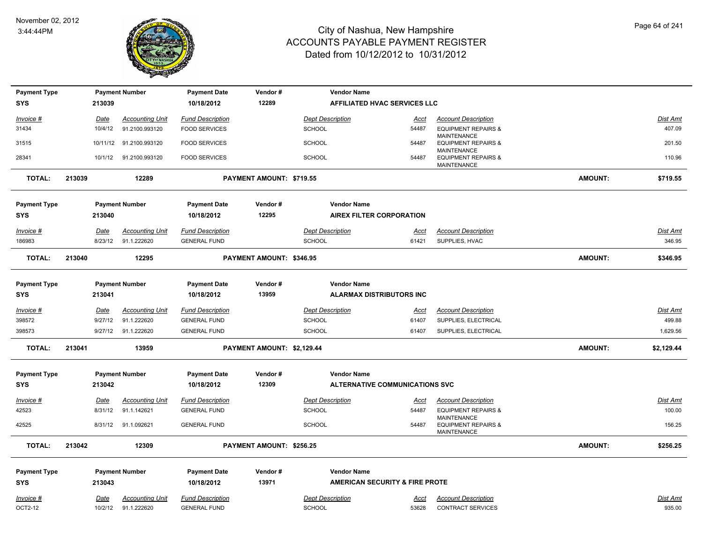

| <b>Payment Type</b> |        |             | <b>Payment Number</b>  | <b>Payment Date</b>     | Vendor#                    | <b>Vendor Name</b>                    |             |                                                                     |                |                 |
|---------------------|--------|-------------|------------------------|-------------------------|----------------------------|---------------------------------------|-------------|---------------------------------------------------------------------|----------------|-----------------|
| <b>SYS</b>          |        | 213039      |                        | 10/18/2012              | 12289                      | AFFILIATED HVAC SERVICES LLC          |             |                                                                     |                |                 |
| Invoice #           |        | <u>Date</u> | <b>Accounting Unit</b> | <b>Fund Description</b> |                            | <b>Dept Description</b>               | <u>Acct</u> | <b>Account Description</b>                                          |                | Dist Amt        |
| 31434               |        | 10/4/12     | 91.2100.993120         | <b>FOOD SERVICES</b>    |                            | <b>SCHOOL</b>                         | 54487       | <b>EQUIPMENT REPAIRS &amp;</b>                                      |                | 407.09          |
| 31515               |        | 10/11/12    | 91.2100.993120         | <b>FOOD SERVICES</b>    |                            | <b>SCHOOL</b>                         | 54487       | <b>MAINTENANCE</b><br><b>EQUIPMENT REPAIRS &amp;</b>                |                | 201.50          |
| 28341               |        | 10/1/12     | 91.2100.993120         | <b>FOOD SERVICES</b>    |                            | <b>SCHOOL</b>                         | 54487       | <b>MAINTENANCE</b><br><b>EQUIPMENT REPAIRS &amp;</b>                |                | 110.96          |
|                     |        |             |                        |                         |                            |                                       |             | MAINTENANCE                                                         |                |                 |
| <b>TOTAL:</b>       | 213039 |             | 12289                  |                         | PAYMENT AMOUNT: \$719.55   |                                       |             |                                                                     | <b>AMOUNT:</b> | \$719.55        |
| <b>Payment Type</b> |        |             | <b>Payment Number</b>  | <b>Payment Date</b>     | Vendor#                    | <b>Vendor Name</b>                    |             |                                                                     |                |                 |
| <b>SYS</b>          |        | 213040      |                        | 10/18/2012              | 12295                      | <b>AIREX FILTER CORPORATION</b>       |             |                                                                     |                |                 |
| <u>Invoice #</u>    |        | Date        | <b>Accounting Unit</b> | <b>Fund Description</b> |                            | <b>Dept Description</b>               | Acct        | <b>Account Description</b>                                          |                | <u>Dist Amt</u> |
| 186983              |        | 8/23/12     | 91.1.222620            | <b>GENERAL FUND</b>     |                            | <b>SCHOOL</b>                         | 61421       | SUPPLIES, HVAC                                                      |                | 346.95          |
| <b>TOTAL:</b>       | 213040 |             | 12295                  |                         | PAYMENT AMOUNT: \$346.95   |                                       |             |                                                                     | <b>AMOUNT:</b> | \$346.95        |
| <b>Payment Type</b> |        |             | <b>Payment Number</b>  | <b>Payment Date</b>     | Vendor#                    | <b>Vendor Name</b>                    |             |                                                                     |                |                 |
| <b>SYS</b>          |        | 213041      |                        | 10/18/2012              | 13959                      | <b>ALARMAX DISTRIBUTORS INC</b>       |             |                                                                     |                |                 |
| <u>Invoice #</u>    |        | <u>Date</u> | <b>Accounting Unit</b> | <b>Fund Description</b> |                            | <b>Dept Description</b>               | <u>Acct</u> | <b>Account Description</b>                                          |                | <u>Dist Amt</u> |
| 398572              |        | 9/27/12     | 91.1.222620            | <b>GENERAL FUND</b>     |                            | <b>SCHOOL</b>                         | 61407       | SUPPLIES, ELECTRICAL                                                |                | 499.88          |
| 398573              |        | 9/27/12     | 91.1.222620            | <b>GENERAL FUND</b>     |                            | <b>SCHOOL</b>                         | 61407       | SUPPLIES, ELECTRICAL                                                |                | 1,629.56        |
| <b>TOTAL:</b>       | 213041 |             | 13959                  |                         | PAYMENT AMOUNT: \$2,129.44 |                                       |             |                                                                     | <b>AMOUNT:</b> | \$2,129.44      |
| <b>Payment Type</b> |        |             | <b>Payment Number</b>  | <b>Payment Date</b>     | Vendor#                    | <b>Vendor Name</b>                    |             |                                                                     |                |                 |
| <b>SYS</b>          |        | 213042      |                        | 10/18/2012              | 12309                      | <b>ALTERNATIVE COMMUNICATIONS SVC</b> |             |                                                                     |                |                 |
| <u>Invoice #</u>    |        | Date        | <b>Accounting Unit</b> | <b>Fund Description</b> |                            | <b>Dept Description</b>               | <u>Acct</u> | <b>Account Description</b>                                          |                | <u>Dist Amt</u> |
| 42523               |        | 8/31/12     | 91.1.142621            | <b>GENERAL FUND</b>     |                            | <b>SCHOOL</b>                         | 54487       | <b>EQUIPMENT REPAIRS &amp;</b>                                      |                | 100.00          |
| 42525               |        | 8/31/12     | 91.1.092621            | <b>GENERAL FUND</b>     |                            | <b>SCHOOL</b>                         | 54487       | <b>MAINTENANCE</b><br><b>EQUIPMENT REPAIRS &amp;</b><br>MAINTENANCE |                | 156.25          |
| <b>TOTAL:</b>       | 213042 |             | 12309                  |                         | PAYMENT AMOUNT: \$256.25   |                                       |             |                                                                     | <b>AMOUNT:</b> | \$256.25        |
| <b>Payment Type</b> |        |             | <b>Payment Number</b>  | <b>Payment Date</b>     | Vendor#                    | <b>Vendor Name</b>                    |             |                                                                     |                |                 |
| <b>SYS</b>          |        | 213043      |                        | 10/18/2012              | 13971                      | AMERICAN SECURITY & FIRE PROTE        |             |                                                                     |                |                 |
| Invoice #           |        | Date        | <b>Accounting Unit</b> | <b>Fund Description</b> |                            | <b>Dept Description</b>               | <u>Acct</u> | <b>Account Description</b>                                          |                | Dist Amt        |
| OCT2-12             |        | 10/2/12     | 91.1.222620            | <b>GENERAL FUND</b>     |                            | <b>SCHOOL</b>                         | 53628       | <b>CONTRACT SERVICES</b>                                            |                | 935.00          |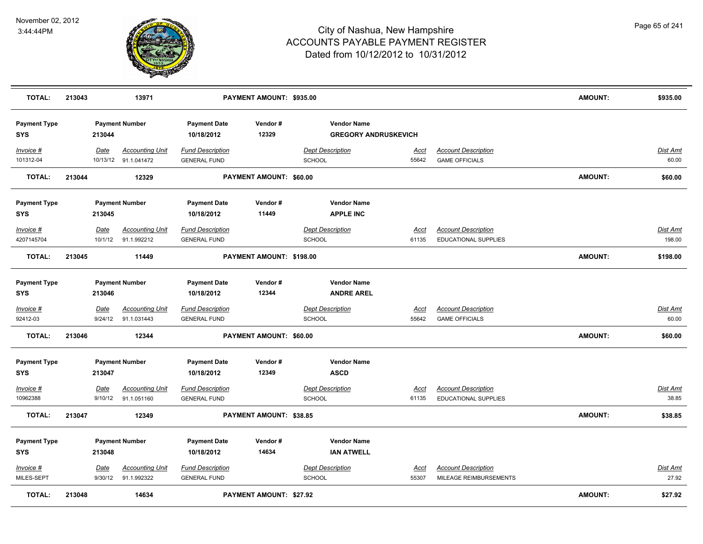

| <b>TOTAL:</b>                     | 213043 |                        | 13971                                          |                                                | PAYMENT AMOUNT: \$935.00       |                                          |                                                   |                      |                                                      | AMOUNT:        | \$935.00                 |
|-----------------------------------|--------|------------------------|------------------------------------------------|------------------------------------------------|--------------------------------|------------------------------------------|---------------------------------------------------|----------------------|------------------------------------------------------|----------------|--------------------------|
| <b>Payment Type</b><br><b>SYS</b> |        | 213044                 | <b>Payment Number</b>                          | <b>Payment Date</b><br>10/18/2012              | Vendor#<br>12329               |                                          | <b>Vendor Name</b><br><b>GREGORY ANDRUSKEVICH</b> |                      |                                                      |                |                          |
| Invoice #<br>101312-04            |        | Date                   | <b>Accounting Unit</b><br>10/13/12 91.1.041472 | <b>Fund Description</b><br><b>GENERAL FUND</b> |                                | <b>Dept Description</b><br><b>SCHOOL</b> |                                                   | <u>Acct</u><br>55642 | <b>Account Description</b><br><b>GAME OFFICIALS</b>  |                | <b>Dist Amt</b><br>60.00 |
| <b>TOTAL:</b>                     | 213044 |                        | 12329                                          |                                                | PAYMENT AMOUNT: \$60.00        |                                          |                                                   |                      |                                                      | <b>AMOUNT:</b> | \$60.00                  |
| <b>Payment Type</b><br><b>SYS</b> |        | 213045                 | <b>Payment Number</b>                          | <b>Payment Date</b><br>10/18/2012              | Vendor#<br>11449               |                                          | <b>Vendor Name</b><br><b>APPLE INC</b>            |                      |                                                      |                |                          |
| Invoice #<br>4207145704           |        | Date<br>10/1/12        | <b>Accounting Unit</b><br>91.1.992212          | <b>Fund Description</b><br><b>GENERAL FUND</b> |                                | <b>Dept Description</b><br>SCHOOL        |                                                   | <u>Acct</u><br>61135 | <b>Account Description</b><br>EDUCATIONAL SUPPLIES   |                | Dist Amt<br>198.00       |
| <b>TOTAL:</b>                     | 213045 |                        | 11449                                          |                                                | PAYMENT AMOUNT: \$198.00       |                                          |                                                   |                      |                                                      | <b>AMOUNT:</b> | \$198.00                 |
| <b>Payment Type</b><br><b>SYS</b> |        | 213046                 | <b>Payment Number</b>                          | <b>Payment Date</b><br>10/18/2012              | Vendor#<br>12344               |                                          | <b>Vendor Name</b><br><b>ANDRE AREL</b>           |                      |                                                      |                |                          |
| Invoice #<br>92412-03             |        | Date<br>9/24/12        | <b>Accounting Unit</b><br>91.1.031443          | <b>Fund Description</b><br><b>GENERAL FUND</b> |                                | <b>Dept Description</b><br>SCHOOL        |                                                   | <u>Acct</u><br>55642 | <b>Account Description</b><br><b>GAME OFFICIALS</b>  |                | <b>Dist Amt</b><br>60.00 |
| <b>TOTAL:</b>                     | 213046 |                        | 12344                                          |                                                | PAYMENT AMOUNT: \$60.00        |                                          |                                                   |                      |                                                      | <b>AMOUNT:</b> | \$60.00                  |
| <b>Payment Type</b><br><b>SYS</b> |        | 213047                 | <b>Payment Number</b>                          | <b>Payment Date</b><br>10/18/2012              | Vendor#<br>12349               |                                          | <b>Vendor Name</b><br><b>ASCD</b>                 |                      |                                                      |                |                          |
| Invoice #<br>10962388             |        | Date<br>9/10/12        | <b>Accounting Unit</b><br>91.1.051160          | <b>Fund Description</b><br><b>GENERAL FUND</b> |                                | <b>Dept Description</b><br>SCHOOL        |                                                   | <u>Acct</u><br>61135 | <b>Account Description</b><br>EDUCATIONAL SUPPLIES   |                | <b>Dist Amt</b><br>38.85 |
| <b>TOTAL:</b>                     | 213047 |                        | 12349                                          |                                                | PAYMENT AMOUNT: \$38.85        |                                          |                                                   |                      |                                                      | <b>AMOUNT:</b> | \$38.85                  |
| <b>Payment Type</b><br><b>SYS</b> |        | 213048                 | <b>Payment Number</b>                          | <b>Payment Date</b><br>10/18/2012              | Vendor#<br>14634               |                                          | <b>Vendor Name</b><br><b>IAN ATWELL</b>           |                      |                                                      |                |                          |
| $Invoice$ #<br>MILES-SEPT         |        | <u>Date</u><br>9/30/12 | <b>Accounting Unit</b><br>91.1.992322          | <b>Fund Description</b><br><b>GENERAL FUND</b> |                                | <b>Dept Description</b><br><b>SCHOOL</b> |                                                   | <u>Acct</u><br>55307 | <b>Account Description</b><br>MILEAGE REIMBURSEMENTS |                | <b>Dist Amt</b><br>27.92 |
| <b>TOTAL:</b>                     | 213048 |                        | 14634                                          |                                                | <b>PAYMENT AMOUNT: \$27.92</b> |                                          |                                                   |                      |                                                      | <b>AMOUNT:</b> | \$27.92                  |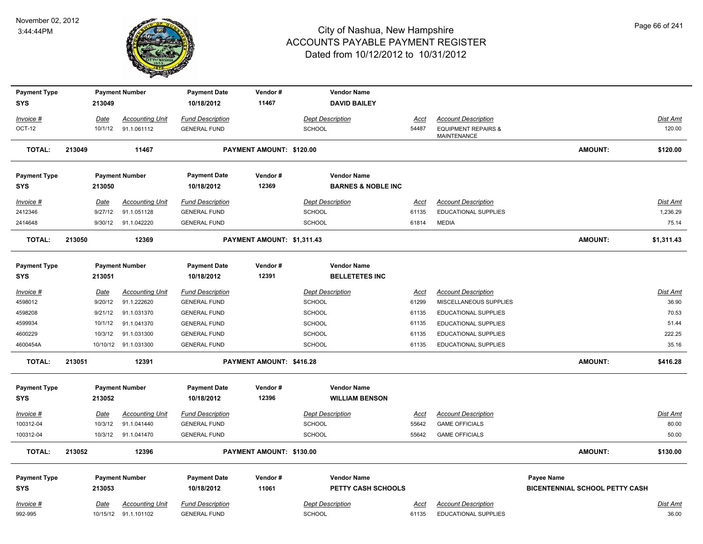

| <b>SYS</b><br>213049<br>10/18/2012<br>11467<br><b>DAVID BAILEY</b><br><b>Accounting Unit</b><br><b>Fund Description</b><br><b>Account Description</b><br>Invoice #<br>Date<br><b>Dept Description</b><br>Dist Amt<br>Acct<br>OCT-12<br>91.1.061112<br>SCHOOL<br>54487<br><b>EQUIPMENT REPAIRS &amp;</b><br>120.00<br>10/1/12<br><b>GENERAL FUND</b><br><b>MAINTENANCE</b><br><b>TOTAL:</b><br>PAYMENT AMOUNT: \$120.00<br><b>AMOUNT:</b><br>213049<br>11467<br>\$120.00<br><b>Payment Type</b><br><b>Payment Number</b><br><b>Payment Date</b><br>Vendor#<br><b>Vendor Name</b><br>12369<br><b>SYS</b><br>213050<br>10/18/2012<br><b>BARNES &amp; NOBLE INC</b><br>Invoice #<br><b>Date</b><br><b>Accounting Unit</b><br><b>Fund Description</b><br><b>Dept Description</b><br><b>Account Description</b><br><b>Dist Amt</b><br>Acct<br>1,236.29<br>2412346<br>9/27/12<br>91.1.051128<br><b>GENERAL FUND</b><br><b>SCHOOL</b><br>EDUCATIONAL SUPPLIES<br>61135<br>2414648<br>9/30/12<br>91.1.042220<br><b>GENERAL FUND</b><br><b>SCHOOL</b><br>61814<br><b>MEDIA</b><br>75.14<br><b>AMOUNT:</b><br><b>TOTAL:</b><br>213050<br>12369<br>PAYMENT AMOUNT: \$1,311.43<br>\$1,311.43<br><b>Payment Type</b><br><b>Payment Number</b><br><b>Payment Date</b><br>Vendor#<br><b>Vendor Name</b><br>10/18/2012<br>12391<br><b>BELLETETES INC</b><br>SYS<br>213051<br><b>Fund Description</b><br><b>Dept Description</b><br><b>Account Description</b><br><b>Dist Amt</b><br><u> Invoice #</u><br><b>Date</b><br><b>Accounting Unit</b><br><u>Acct</u><br>91.1.222620<br>SCHOOL<br>36.90<br>4598012<br>9/20/12<br><b>GENERAL FUND</b><br>61299<br>MISCELLANEOUS SUPPLIES<br>4598208<br>9/21/12<br>91.1.031370<br>SCHOOL<br>70.53<br><b>GENERAL FUND</b><br>61135<br>EDUCATIONAL SUPPLIES<br>4599934<br>91.1.041370<br><b>SCHOOL</b><br>51.44<br>10/1/12<br><b>GENERAL FUND</b><br>61135<br>EDUCATIONAL SUPPLIES<br><b>SCHOOL</b><br>EDUCATIONAL SUPPLIES<br>222.25<br>4600229<br>10/3/12<br>91.1.031300<br><b>GENERAL FUND</b><br>61135<br>4600454A<br><b>GENERAL FUND</b><br><b>SCHOOL</b><br><b>EDUCATIONAL SUPPLIES</b><br>35.16<br>10/10/12 91.1.031300<br>61135<br><b>TOTAL:</b><br>213051<br>12391<br>PAYMENT AMOUNT: \$416.28<br><b>AMOUNT:</b><br>\$416.28<br><b>Payment Type</b><br><b>Payment Date</b><br>Vendor#<br><b>Vendor Name</b><br><b>Payment Number</b><br>12396<br><b>WILLIAM BENSON</b><br><b>SYS</b><br>213052<br>10/18/2012<br><b>Dept Description</b><br>Dist Amt<br>Invoice #<br>Date<br><b>Accounting Unit</b><br><b>Fund Description</b><br><b>Account Description</b><br>Acct<br>100312-04<br>10/3/12<br>80.00<br>91.1.041440<br><b>GENERAL FUND</b><br><b>SCHOOL</b><br>55642<br><b>GAME OFFICIALS</b><br>100312-04<br>50.00<br>10/3/12 91.1.041470<br><b>GENERAL FUND</b><br><b>SCHOOL</b><br>55642<br><b>GAME OFFICIALS</b><br><b>AMOUNT:</b><br><b>TOTAL:</b><br>PAYMENT AMOUNT: \$130.00<br>\$130.00<br>213052<br>12396<br><b>Payment Type</b><br><b>Payment Number</b><br><b>Payment Date</b><br>Vendor#<br><b>Vendor Name</b><br><b>Payee Name</b><br><b>SYS</b><br>11061<br><b>BICENTENNIAL SCHOOL PETTY CASH</b><br>213053<br>10/18/2012<br><b>PETTY CASH SCHOOLS</b><br><b>Fund Description</b><br><b>Dept Description</b><br><b>Account Description</b><br><b>Dist Amt</b><br>$Invoice$ #<br>Date<br><b>Accounting Unit</b><br><u>Acct</u><br>10/15/12 91.1.101102 | <b>Payment Type</b> |  | <b>Payment Number</b> | <b>Payment Date</b> | Vendor# | <b>Vendor Name</b> |       |                      |       |
|-------------------------------------------------------------------------------------------------------------------------------------------------------------------------------------------------------------------------------------------------------------------------------------------------------------------------------------------------------------------------------------------------------------------------------------------------------------------------------------------------------------------------------------------------------------------------------------------------------------------------------------------------------------------------------------------------------------------------------------------------------------------------------------------------------------------------------------------------------------------------------------------------------------------------------------------------------------------------------------------------------------------------------------------------------------------------------------------------------------------------------------------------------------------------------------------------------------------------------------------------------------------------------------------------------------------------------------------------------------------------------------------------------------------------------------------------------------------------------------------------------------------------------------------------------------------------------------------------------------------------------------------------------------------------------------------------------------------------------------------------------------------------------------------------------------------------------------------------------------------------------------------------------------------------------------------------------------------------------------------------------------------------------------------------------------------------------------------------------------------------------------------------------------------------------------------------------------------------------------------------------------------------------------------------------------------------------------------------------------------------------------------------------------------------------------------------------------------------------------------------------------------------------------------------------------------------------------------------------------------------------------------------------------------------------------------------------------------------------------------------------------------------------------------------------------------------------------------------------------------------------------------------------------------------------------------------------------------------------------------------------------------------------------------------------------------------------------------------------------------------------------------------------------------------------------------------------------------------------------------------------------------------------------------------------------------------------------------------------------------------------------------------|---------------------|--|-----------------------|---------------------|---------|--------------------|-------|----------------------|-------|
|                                                                                                                                                                                                                                                                                                                                                                                                                                                                                                                                                                                                                                                                                                                                                                                                                                                                                                                                                                                                                                                                                                                                                                                                                                                                                                                                                                                                                                                                                                                                                                                                                                                                                                                                                                                                                                                                                                                                                                                                                                                                                                                                                                                                                                                                                                                                                                                                                                                                                                                                                                                                                                                                                                                                                                                                                                                                                                                                                                                                                                                                                                                                                                                                                                                                                                                                                                                                 |                     |  |                       |                     |         |                    |       |                      |       |
|                                                                                                                                                                                                                                                                                                                                                                                                                                                                                                                                                                                                                                                                                                                                                                                                                                                                                                                                                                                                                                                                                                                                                                                                                                                                                                                                                                                                                                                                                                                                                                                                                                                                                                                                                                                                                                                                                                                                                                                                                                                                                                                                                                                                                                                                                                                                                                                                                                                                                                                                                                                                                                                                                                                                                                                                                                                                                                                                                                                                                                                                                                                                                                                                                                                                                                                                                                                                 |                     |  |                       |                     |         |                    |       |                      |       |
|                                                                                                                                                                                                                                                                                                                                                                                                                                                                                                                                                                                                                                                                                                                                                                                                                                                                                                                                                                                                                                                                                                                                                                                                                                                                                                                                                                                                                                                                                                                                                                                                                                                                                                                                                                                                                                                                                                                                                                                                                                                                                                                                                                                                                                                                                                                                                                                                                                                                                                                                                                                                                                                                                                                                                                                                                                                                                                                                                                                                                                                                                                                                                                                                                                                                                                                                                                                                 |                     |  |                       |                     |         |                    |       |                      |       |
|                                                                                                                                                                                                                                                                                                                                                                                                                                                                                                                                                                                                                                                                                                                                                                                                                                                                                                                                                                                                                                                                                                                                                                                                                                                                                                                                                                                                                                                                                                                                                                                                                                                                                                                                                                                                                                                                                                                                                                                                                                                                                                                                                                                                                                                                                                                                                                                                                                                                                                                                                                                                                                                                                                                                                                                                                                                                                                                                                                                                                                                                                                                                                                                                                                                                                                                                                                                                 |                     |  |                       |                     |         |                    |       |                      |       |
|                                                                                                                                                                                                                                                                                                                                                                                                                                                                                                                                                                                                                                                                                                                                                                                                                                                                                                                                                                                                                                                                                                                                                                                                                                                                                                                                                                                                                                                                                                                                                                                                                                                                                                                                                                                                                                                                                                                                                                                                                                                                                                                                                                                                                                                                                                                                                                                                                                                                                                                                                                                                                                                                                                                                                                                                                                                                                                                                                                                                                                                                                                                                                                                                                                                                                                                                                                                                 |                     |  |                       |                     |         |                    |       |                      |       |
|                                                                                                                                                                                                                                                                                                                                                                                                                                                                                                                                                                                                                                                                                                                                                                                                                                                                                                                                                                                                                                                                                                                                                                                                                                                                                                                                                                                                                                                                                                                                                                                                                                                                                                                                                                                                                                                                                                                                                                                                                                                                                                                                                                                                                                                                                                                                                                                                                                                                                                                                                                                                                                                                                                                                                                                                                                                                                                                                                                                                                                                                                                                                                                                                                                                                                                                                                                                                 |                     |  |                       |                     |         |                    |       |                      |       |
|                                                                                                                                                                                                                                                                                                                                                                                                                                                                                                                                                                                                                                                                                                                                                                                                                                                                                                                                                                                                                                                                                                                                                                                                                                                                                                                                                                                                                                                                                                                                                                                                                                                                                                                                                                                                                                                                                                                                                                                                                                                                                                                                                                                                                                                                                                                                                                                                                                                                                                                                                                                                                                                                                                                                                                                                                                                                                                                                                                                                                                                                                                                                                                                                                                                                                                                                                                                                 |                     |  |                       |                     |         |                    |       |                      |       |
|                                                                                                                                                                                                                                                                                                                                                                                                                                                                                                                                                                                                                                                                                                                                                                                                                                                                                                                                                                                                                                                                                                                                                                                                                                                                                                                                                                                                                                                                                                                                                                                                                                                                                                                                                                                                                                                                                                                                                                                                                                                                                                                                                                                                                                                                                                                                                                                                                                                                                                                                                                                                                                                                                                                                                                                                                                                                                                                                                                                                                                                                                                                                                                                                                                                                                                                                                                                                 |                     |  |                       |                     |         |                    |       |                      |       |
|                                                                                                                                                                                                                                                                                                                                                                                                                                                                                                                                                                                                                                                                                                                                                                                                                                                                                                                                                                                                                                                                                                                                                                                                                                                                                                                                                                                                                                                                                                                                                                                                                                                                                                                                                                                                                                                                                                                                                                                                                                                                                                                                                                                                                                                                                                                                                                                                                                                                                                                                                                                                                                                                                                                                                                                                                                                                                                                                                                                                                                                                                                                                                                                                                                                                                                                                                                                                 |                     |  |                       |                     |         |                    |       |                      |       |
|                                                                                                                                                                                                                                                                                                                                                                                                                                                                                                                                                                                                                                                                                                                                                                                                                                                                                                                                                                                                                                                                                                                                                                                                                                                                                                                                                                                                                                                                                                                                                                                                                                                                                                                                                                                                                                                                                                                                                                                                                                                                                                                                                                                                                                                                                                                                                                                                                                                                                                                                                                                                                                                                                                                                                                                                                                                                                                                                                                                                                                                                                                                                                                                                                                                                                                                                                                                                 |                     |  |                       |                     |         |                    |       |                      |       |
|                                                                                                                                                                                                                                                                                                                                                                                                                                                                                                                                                                                                                                                                                                                                                                                                                                                                                                                                                                                                                                                                                                                                                                                                                                                                                                                                                                                                                                                                                                                                                                                                                                                                                                                                                                                                                                                                                                                                                                                                                                                                                                                                                                                                                                                                                                                                                                                                                                                                                                                                                                                                                                                                                                                                                                                                                                                                                                                                                                                                                                                                                                                                                                                                                                                                                                                                                                                                 |                     |  |                       |                     |         |                    |       |                      |       |
|                                                                                                                                                                                                                                                                                                                                                                                                                                                                                                                                                                                                                                                                                                                                                                                                                                                                                                                                                                                                                                                                                                                                                                                                                                                                                                                                                                                                                                                                                                                                                                                                                                                                                                                                                                                                                                                                                                                                                                                                                                                                                                                                                                                                                                                                                                                                                                                                                                                                                                                                                                                                                                                                                                                                                                                                                                                                                                                                                                                                                                                                                                                                                                                                                                                                                                                                                                                                 |                     |  |                       |                     |         |                    |       |                      |       |
|                                                                                                                                                                                                                                                                                                                                                                                                                                                                                                                                                                                                                                                                                                                                                                                                                                                                                                                                                                                                                                                                                                                                                                                                                                                                                                                                                                                                                                                                                                                                                                                                                                                                                                                                                                                                                                                                                                                                                                                                                                                                                                                                                                                                                                                                                                                                                                                                                                                                                                                                                                                                                                                                                                                                                                                                                                                                                                                                                                                                                                                                                                                                                                                                                                                                                                                                                                                                 |                     |  |                       |                     |         |                    |       |                      |       |
|                                                                                                                                                                                                                                                                                                                                                                                                                                                                                                                                                                                                                                                                                                                                                                                                                                                                                                                                                                                                                                                                                                                                                                                                                                                                                                                                                                                                                                                                                                                                                                                                                                                                                                                                                                                                                                                                                                                                                                                                                                                                                                                                                                                                                                                                                                                                                                                                                                                                                                                                                                                                                                                                                                                                                                                                                                                                                                                                                                                                                                                                                                                                                                                                                                                                                                                                                                                                 |                     |  |                       |                     |         |                    |       |                      |       |
|                                                                                                                                                                                                                                                                                                                                                                                                                                                                                                                                                                                                                                                                                                                                                                                                                                                                                                                                                                                                                                                                                                                                                                                                                                                                                                                                                                                                                                                                                                                                                                                                                                                                                                                                                                                                                                                                                                                                                                                                                                                                                                                                                                                                                                                                                                                                                                                                                                                                                                                                                                                                                                                                                                                                                                                                                                                                                                                                                                                                                                                                                                                                                                                                                                                                                                                                                                                                 |                     |  |                       |                     |         |                    |       |                      |       |
|                                                                                                                                                                                                                                                                                                                                                                                                                                                                                                                                                                                                                                                                                                                                                                                                                                                                                                                                                                                                                                                                                                                                                                                                                                                                                                                                                                                                                                                                                                                                                                                                                                                                                                                                                                                                                                                                                                                                                                                                                                                                                                                                                                                                                                                                                                                                                                                                                                                                                                                                                                                                                                                                                                                                                                                                                                                                                                                                                                                                                                                                                                                                                                                                                                                                                                                                                                                                 |                     |  |                       |                     |         |                    |       |                      |       |
|                                                                                                                                                                                                                                                                                                                                                                                                                                                                                                                                                                                                                                                                                                                                                                                                                                                                                                                                                                                                                                                                                                                                                                                                                                                                                                                                                                                                                                                                                                                                                                                                                                                                                                                                                                                                                                                                                                                                                                                                                                                                                                                                                                                                                                                                                                                                                                                                                                                                                                                                                                                                                                                                                                                                                                                                                                                                                                                                                                                                                                                                                                                                                                                                                                                                                                                                                                                                 |                     |  |                       |                     |         |                    |       |                      |       |
|                                                                                                                                                                                                                                                                                                                                                                                                                                                                                                                                                                                                                                                                                                                                                                                                                                                                                                                                                                                                                                                                                                                                                                                                                                                                                                                                                                                                                                                                                                                                                                                                                                                                                                                                                                                                                                                                                                                                                                                                                                                                                                                                                                                                                                                                                                                                                                                                                                                                                                                                                                                                                                                                                                                                                                                                                                                                                                                                                                                                                                                                                                                                                                                                                                                                                                                                                                                                 |                     |  |                       |                     |         |                    |       |                      |       |
|                                                                                                                                                                                                                                                                                                                                                                                                                                                                                                                                                                                                                                                                                                                                                                                                                                                                                                                                                                                                                                                                                                                                                                                                                                                                                                                                                                                                                                                                                                                                                                                                                                                                                                                                                                                                                                                                                                                                                                                                                                                                                                                                                                                                                                                                                                                                                                                                                                                                                                                                                                                                                                                                                                                                                                                                                                                                                                                                                                                                                                                                                                                                                                                                                                                                                                                                                                                                 |                     |  |                       |                     |         |                    |       |                      |       |
|                                                                                                                                                                                                                                                                                                                                                                                                                                                                                                                                                                                                                                                                                                                                                                                                                                                                                                                                                                                                                                                                                                                                                                                                                                                                                                                                                                                                                                                                                                                                                                                                                                                                                                                                                                                                                                                                                                                                                                                                                                                                                                                                                                                                                                                                                                                                                                                                                                                                                                                                                                                                                                                                                                                                                                                                                                                                                                                                                                                                                                                                                                                                                                                                                                                                                                                                                                                                 |                     |  |                       |                     |         |                    |       |                      |       |
|                                                                                                                                                                                                                                                                                                                                                                                                                                                                                                                                                                                                                                                                                                                                                                                                                                                                                                                                                                                                                                                                                                                                                                                                                                                                                                                                                                                                                                                                                                                                                                                                                                                                                                                                                                                                                                                                                                                                                                                                                                                                                                                                                                                                                                                                                                                                                                                                                                                                                                                                                                                                                                                                                                                                                                                                                                                                                                                                                                                                                                                                                                                                                                                                                                                                                                                                                                                                 |                     |  |                       |                     |         |                    |       |                      |       |
|                                                                                                                                                                                                                                                                                                                                                                                                                                                                                                                                                                                                                                                                                                                                                                                                                                                                                                                                                                                                                                                                                                                                                                                                                                                                                                                                                                                                                                                                                                                                                                                                                                                                                                                                                                                                                                                                                                                                                                                                                                                                                                                                                                                                                                                                                                                                                                                                                                                                                                                                                                                                                                                                                                                                                                                                                                                                                                                                                                                                                                                                                                                                                                                                                                                                                                                                                                                                 |                     |  |                       |                     |         |                    |       |                      |       |
|                                                                                                                                                                                                                                                                                                                                                                                                                                                                                                                                                                                                                                                                                                                                                                                                                                                                                                                                                                                                                                                                                                                                                                                                                                                                                                                                                                                                                                                                                                                                                                                                                                                                                                                                                                                                                                                                                                                                                                                                                                                                                                                                                                                                                                                                                                                                                                                                                                                                                                                                                                                                                                                                                                                                                                                                                                                                                                                                                                                                                                                                                                                                                                                                                                                                                                                                                                                                 |                     |  |                       |                     |         |                    |       |                      |       |
|                                                                                                                                                                                                                                                                                                                                                                                                                                                                                                                                                                                                                                                                                                                                                                                                                                                                                                                                                                                                                                                                                                                                                                                                                                                                                                                                                                                                                                                                                                                                                                                                                                                                                                                                                                                                                                                                                                                                                                                                                                                                                                                                                                                                                                                                                                                                                                                                                                                                                                                                                                                                                                                                                                                                                                                                                                                                                                                                                                                                                                                                                                                                                                                                                                                                                                                                                                                                 |                     |  |                       |                     |         |                    |       |                      |       |
|                                                                                                                                                                                                                                                                                                                                                                                                                                                                                                                                                                                                                                                                                                                                                                                                                                                                                                                                                                                                                                                                                                                                                                                                                                                                                                                                                                                                                                                                                                                                                                                                                                                                                                                                                                                                                                                                                                                                                                                                                                                                                                                                                                                                                                                                                                                                                                                                                                                                                                                                                                                                                                                                                                                                                                                                                                                                                                                                                                                                                                                                                                                                                                                                                                                                                                                                                                                                 |                     |  |                       |                     |         |                    |       |                      |       |
|                                                                                                                                                                                                                                                                                                                                                                                                                                                                                                                                                                                                                                                                                                                                                                                                                                                                                                                                                                                                                                                                                                                                                                                                                                                                                                                                                                                                                                                                                                                                                                                                                                                                                                                                                                                                                                                                                                                                                                                                                                                                                                                                                                                                                                                                                                                                                                                                                                                                                                                                                                                                                                                                                                                                                                                                                                                                                                                                                                                                                                                                                                                                                                                                                                                                                                                                                                                                 |                     |  |                       |                     |         |                    |       |                      |       |
|                                                                                                                                                                                                                                                                                                                                                                                                                                                                                                                                                                                                                                                                                                                                                                                                                                                                                                                                                                                                                                                                                                                                                                                                                                                                                                                                                                                                                                                                                                                                                                                                                                                                                                                                                                                                                                                                                                                                                                                                                                                                                                                                                                                                                                                                                                                                                                                                                                                                                                                                                                                                                                                                                                                                                                                                                                                                                                                                                                                                                                                                                                                                                                                                                                                                                                                                                                                                 |                     |  |                       |                     |         |                    |       |                      |       |
|                                                                                                                                                                                                                                                                                                                                                                                                                                                                                                                                                                                                                                                                                                                                                                                                                                                                                                                                                                                                                                                                                                                                                                                                                                                                                                                                                                                                                                                                                                                                                                                                                                                                                                                                                                                                                                                                                                                                                                                                                                                                                                                                                                                                                                                                                                                                                                                                                                                                                                                                                                                                                                                                                                                                                                                                                                                                                                                                                                                                                                                                                                                                                                                                                                                                                                                                                                                                 |                     |  |                       |                     |         |                    |       |                      |       |
|                                                                                                                                                                                                                                                                                                                                                                                                                                                                                                                                                                                                                                                                                                                                                                                                                                                                                                                                                                                                                                                                                                                                                                                                                                                                                                                                                                                                                                                                                                                                                                                                                                                                                                                                                                                                                                                                                                                                                                                                                                                                                                                                                                                                                                                                                                                                                                                                                                                                                                                                                                                                                                                                                                                                                                                                                                                                                                                                                                                                                                                                                                                                                                                                                                                                                                                                                                                                 |                     |  |                       |                     |         |                    |       |                      |       |
|                                                                                                                                                                                                                                                                                                                                                                                                                                                                                                                                                                                                                                                                                                                                                                                                                                                                                                                                                                                                                                                                                                                                                                                                                                                                                                                                                                                                                                                                                                                                                                                                                                                                                                                                                                                                                                                                                                                                                                                                                                                                                                                                                                                                                                                                                                                                                                                                                                                                                                                                                                                                                                                                                                                                                                                                                                                                                                                                                                                                                                                                                                                                                                                                                                                                                                                                                                                                 |                     |  |                       |                     |         |                    |       |                      |       |
|                                                                                                                                                                                                                                                                                                                                                                                                                                                                                                                                                                                                                                                                                                                                                                                                                                                                                                                                                                                                                                                                                                                                                                                                                                                                                                                                                                                                                                                                                                                                                                                                                                                                                                                                                                                                                                                                                                                                                                                                                                                                                                                                                                                                                                                                                                                                                                                                                                                                                                                                                                                                                                                                                                                                                                                                                                                                                                                                                                                                                                                                                                                                                                                                                                                                                                                                                                                                 |                     |  |                       |                     |         |                    |       |                      |       |
|                                                                                                                                                                                                                                                                                                                                                                                                                                                                                                                                                                                                                                                                                                                                                                                                                                                                                                                                                                                                                                                                                                                                                                                                                                                                                                                                                                                                                                                                                                                                                                                                                                                                                                                                                                                                                                                                                                                                                                                                                                                                                                                                                                                                                                                                                                                                                                                                                                                                                                                                                                                                                                                                                                                                                                                                                                                                                                                                                                                                                                                                                                                                                                                                                                                                                                                                                                                                 | 992-995             |  |                       | <b>GENERAL FUND</b> |         | <b>SCHOOL</b>      | 61135 | EDUCATIONAL SUPPLIES | 36.00 |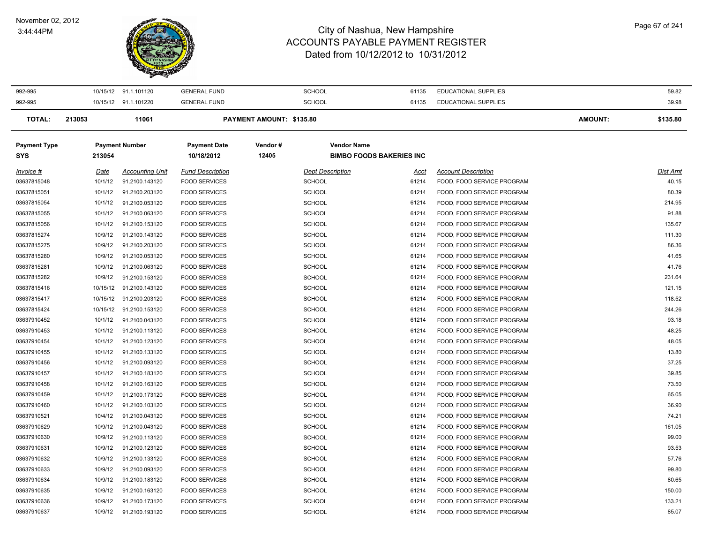#### November 02, 2012 3:44:44PM

 $\overline{\phantom{a}}$ 



| 992-995             | 10/15/12 | 91.1.101120            | <b>GENERAL FUND</b>     |                          | <b>SCHOOL</b>           | 61135                           | EDUCATIONAL SUPPLIES       |                | 59.82    |
|---------------------|----------|------------------------|-------------------------|--------------------------|-------------------------|---------------------------------|----------------------------|----------------|----------|
| 992-995             |          | 10/15/12 91.1.101220   | <b>GENERAL FUND</b>     |                          | SCHOOL                  | 61135                           | EDUCATIONAL SUPPLIES       |                | 39.98    |
| <b>TOTAL:</b>       | 213053   | 11061                  |                         | PAYMENT AMOUNT: \$135.80 |                         |                                 |                            | <b>AMOUNT:</b> | \$135.80 |
| <b>Payment Type</b> |          | <b>Payment Number</b>  | <b>Payment Date</b>     | Vendor#                  | <b>Vendor Name</b>      |                                 |                            |                |          |
| SYS                 | 213054   |                        | 10/18/2012              | 12405                    |                         | <b>BIMBO FOODS BAKERIES INC</b> |                            |                |          |
| Invoice #           | Date     | <b>Accounting Unit</b> | <b>Fund Description</b> |                          | <b>Dept Description</b> | Acct                            | <b>Account Description</b> |                | Dist Amt |
| 03637815048         | 10/1/12  | 91.2100.143120         | <b>FOOD SERVICES</b>    |                          | <b>SCHOOL</b>           | 61214                           | FOOD, FOOD SERVICE PROGRAM |                | 40.15    |
| 03637815051         | 10/1/12  | 91.2100.203120         | <b>FOOD SERVICES</b>    |                          | <b>SCHOOL</b>           | 61214                           | FOOD, FOOD SERVICE PROGRAM |                | 80.39    |
| 03637815054         | 10/1/12  | 91.2100.053120         | <b>FOOD SERVICES</b>    |                          | <b>SCHOOL</b>           | 61214                           | FOOD, FOOD SERVICE PROGRAM |                | 214.95   |
| 03637815055         | 10/1/12  | 91.2100.063120         | <b>FOOD SERVICES</b>    |                          | <b>SCHOOL</b>           | 61214                           | FOOD, FOOD SERVICE PROGRAM |                | 91.88    |
| 03637815056         | 10/1/12  | 91.2100.153120         | <b>FOOD SERVICES</b>    |                          | SCHOOL                  | 61214                           | FOOD, FOOD SERVICE PROGRAM |                | 135.67   |
| 03637815274         | 10/9/12  | 91.2100.143120         | <b>FOOD SERVICES</b>    |                          | <b>SCHOOL</b>           | 61214                           | FOOD, FOOD SERVICE PROGRAM |                | 111.30   |
| 03637815275         | 10/9/12  | 91.2100.203120         | <b>FOOD SERVICES</b>    |                          | <b>SCHOOL</b>           | 61214                           | FOOD, FOOD SERVICE PROGRAM |                | 86.36    |
| 03637815280         | 10/9/12  | 91.2100.053120         | <b>FOOD SERVICES</b>    |                          | <b>SCHOOL</b>           | 61214                           | FOOD, FOOD SERVICE PROGRAM |                | 41.65    |
| 03637815281         | 10/9/12  | 91.2100.063120         | <b>FOOD SERVICES</b>    |                          | <b>SCHOOL</b>           | 61214                           | FOOD, FOOD SERVICE PROGRAM |                | 41.76    |
| 03637815282         | 10/9/12  | 91.2100.153120         | <b>FOOD SERVICES</b>    |                          | <b>SCHOOL</b>           | 61214                           | FOOD, FOOD SERVICE PROGRAM |                | 231.64   |
| 03637815416         | 10/15/12 | 91.2100.143120         | <b>FOOD SERVICES</b>    |                          | <b>SCHOOL</b>           | 61214                           | FOOD, FOOD SERVICE PROGRAM |                | 121.15   |
| 03637815417         | 10/15/12 | 91.2100.203120         | <b>FOOD SERVICES</b>    |                          | <b>SCHOOL</b>           | 61214                           | FOOD, FOOD SERVICE PROGRAM |                | 118.52   |
| 03637815424         | 10/15/12 | 91.2100.153120         | <b>FOOD SERVICES</b>    |                          | <b>SCHOOL</b>           | 61214                           | FOOD, FOOD SERVICE PROGRAM |                | 244.26   |
| 03637910452         | 10/1/12  | 91.2100.043120         | <b>FOOD SERVICES</b>    |                          | <b>SCHOOL</b>           | 61214                           | FOOD, FOOD SERVICE PROGRAM |                | 93.18    |
| 03637910453         | 10/1/12  | 91.2100.113120         | <b>FOOD SERVICES</b>    |                          | <b>SCHOOL</b>           | 61214                           | FOOD, FOOD SERVICE PROGRAM |                | 48.25    |
| 03637910454         | 10/1/12  | 91.2100.123120         | <b>FOOD SERVICES</b>    |                          | <b>SCHOOL</b>           | 61214                           | FOOD, FOOD SERVICE PROGRAM |                | 48.05    |
| 03637910455         | 10/1/12  | 91.2100.133120         | <b>FOOD SERVICES</b>    |                          | <b>SCHOOL</b>           | 61214                           | FOOD, FOOD SERVICE PROGRAM |                | 13.80    |
| 03637910456         | 10/1/12  | 91.2100.093120         | <b>FOOD SERVICES</b>    |                          | SCHOOL                  | 61214                           | FOOD, FOOD SERVICE PROGRAM |                | 37.25    |
| 03637910457         | 10/1/12  | 91.2100.183120         | <b>FOOD SERVICES</b>    |                          | <b>SCHOOL</b>           | 61214                           | FOOD, FOOD SERVICE PROGRAM |                | 39.85    |
| 03637910458         | 10/1/12  | 91.2100.163120         | <b>FOOD SERVICES</b>    |                          | <b>SCHOOL</b>           | 61214                           | FOOD, FOOD SERVICE PROGRAM |                | 73.50    |
| 03637910459         | 10/1/12  | 91.2100.173120         | <b>FOOD SERVICES</b>    |                          | <b>SCHOOL</b>           | 61214                           | FOOD, FOOD SERVICE PROGRAM |                | 65.05    |
| 03637910460         | 10/1/12  | 91.2100.103120         | <b>FOOD SERVICES</b>    |                          | <b>SCHOOL</b>           | 61214                           | FOOD, FOOD SERVICE PROGRAM |                | 36.90    |
| 03637910521         | 10/4/12  | 91.2100.043120         | <b>FOOD SERVICES</b>    |                          | <b>SCHOOL</b>           | 61214                           | FOOD, FOOD SERVICE PROGRAM |                | 74.21    |
| 03637910629         | 10/9/12  | 91.2100.043120         | <b>FOOD SERVICES</b>    |                          | <b>SCHOOL</b>           | 61214                           | FOOD, FOOD SERVICE PROGRAM |                | 161.05   |
| 03637910630         | 10/9/12  | 91.2100.113120         | <b>FOOD SERVICES</b>    |                          | <b>SCHOOL</b>           | 61214                           | FOOD, FOOD SERVICE PROGRAM |                | 99.00    |
| 03637910631         | 10/9/12  | 91.2100.123120         | <b>FOOD SERVICES</b>    |                          | <b>SCHOOL</b>           | 61214                           | FOOD, FOOD SERVICE PROGRAM |                | 93.53    |
| 03637910632         | 10/9/12  | 91.2100.133120         | <b>FOOD SERVICES</b>    |                          | <b>SCHOOL</b>           | 61214                           | FOOD, FOOD SERVICE PROGRAM |                | 57.76    |
| 03637910633         | 10/9/12  | 91.2100.093120         | <b>FOOD SERVICES</b>    |                          | <b>SCHOOL</b>           | 61214                           | FOOD, FOOD SERVICE PROGRAM |                | 99.80    |
| 03637910634         | 10/9/12  | 91.2100.183120         | <b>FOOD SERVICES</b>    |                          | <b>SCHOOL</b>           | 61214                           | FOOD, FOOD SERVICE PROGRAM |                | 80.65    |
| 03637910635         | 10/9/12  | 91.2100.163120         | <b>FOOD SERVICES</b>    |                          | <b>SCHOOL</b>           | 61214                           | FOOD, FOOD SERVICE PROGRAM |                | 150.00   |
| 03637910636         | 10/9/12  | 91.2100.173120         | <b>FOOD SERVICES</b>    |                          | <b>SCHOOL</b>           | 61214                           | FOOD, FOOD SERVICE PROGRAM |                | 133.21   |
| 03637910637         | 10/9/12  | 91.2100.193120         | <b>FOOD SERVICES</b>    |                          | <b>SCHOOL</b>           | 61214                           | FOOD, FOOD SERVICE PROGRAM |                | 85.07    |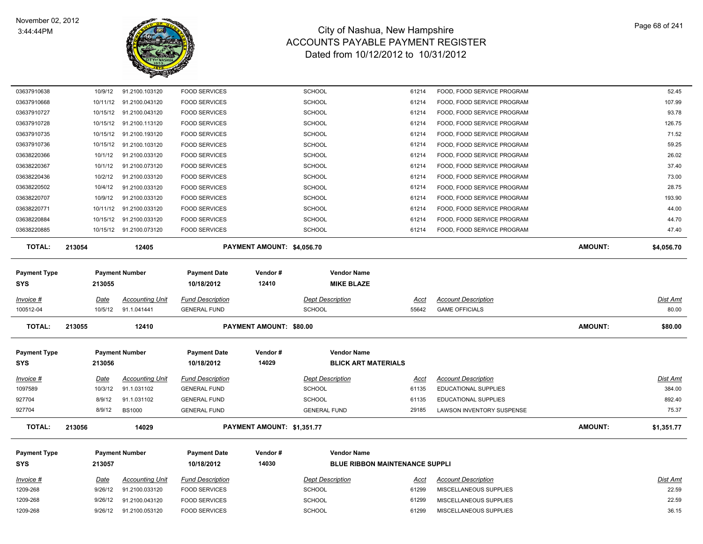

| 10/9/12            | 91.2100.103120                   | <b>FOOD SERVICES</b>                                                                                                                                                                                                                                        |                         | <b>SCHOOL</b>                           | 61214                                                                                                                 | FOOD, FOOD SERVICE PROGRAM                       |                            | 52.45          |
|--------------------|----------------------------------|-------------------------------------------------------------------------------------------------------------------------------------------------------------------------------------------------------------------------------------------------------------|-------------------------|-----------------------------------------|-----------------------------------------------------------------------------------------------------------------------|--------------------------------------------------|----------------------------|----------------|
|                    |                                  | <b>FOOD SERVICES</b>                                                                                                                                                                                                                                        |                         | <b>SCHOOL</b>                           | 61214                                                                                                                 | FOOD, FOOD SERVICE PROGRAM                       |                            | 107.99         |
|                    |                                  | <b>FOOD SERVICES</b>                                                                                                                                                                                                                                        |                         | <b>SCHOOL</b>                           | 61214                                                                                                                 | FOOD, FOOD SERVICE PROGRAM                       |                            | 93.78          |
|                    | 91.2100.113120                   | <b>FOOD SERVICES</b>                                                                                                                                                                                                                                        |                         | <b>SCHOOL</b>                           | 61214                                                                                                                 | FOOD, FOOD SERVICE PROGRAM                       |                            | 126.75         |
|                    | 91.2100.193120                   | <b>FOOD SERVICES</b>                                                                                                                                                                                                                                        |                         | <b>SCHOOL</b>                           | 61214                                                                                                                 | FOOD, FOOD SERVICE PROGRAM                       |                            | 71.52          |
|                    |                                  | <b>FOOD SERVICES</b>                                                                                                                                                                                                                                        |                         | <b>SCHOOL</b>                           | 61214                                                                                                                 | FOOD, FOOD SERVICE PROGRAM                       |                            | 59.25          |
| 10/1/12            | 91.2100.033120                   | <b>FOOD SERVICES</b>                                                                                                                                                                                                                                        |                         | <b>SCHOOL</b>                           | 61214                                                                                                                 | FOOD, FOOD SERVICE PROGRAM                       |                            | 26.02          |
| 10/1/12            | 91.2100.073120                   | <b>FOOD SERVICES</b>                                                                                                                                                                                                                                        |                         | <b>SCHOOL</b>                           | 61214                                                                                                                 | FOOD, FOOD SERVICE PROGRAM                       |                            | 37.40          |
| 10/2/12            | 91.2100.033120                   | <b>FOOD SERVICES</b>                                                                                                                                                                                                                                        |                         | <b>SCHOOL</b>                           | 61214                                                                                                                 | FOOD, FOOD SERVICE PROGRAM                       |                            | 73.00          |
| 10/4/12            | 91.2100.033120                   | <b>FOOD SERVICES</b>                                                                                                                                                                                                                                        |                         | <b>SCHOOL</b>                           | 61214                                                                                                                 | FOOD, FOOD SERVICE PROGRAM                       |                            | 28.75          |
| 10/9/12            | 91.2100.033120                   | <b>FOOD SERVICES</b>                                                                                                                                                                                                                                        |                         | <b>SCHOOL</b>                           | 61214                                                                                                                 | FOOD, FOOD SERVICE PROGRAM                       |                            | 193.90         |
|                    |                                  | <b>FOOD SERVICES</b>                                                                                                                                                                                                                                        |                         | <b>SCHOOL</b>                           | 61214                                                                                                                 | FOOD, FOOD SERVICE PROGRAM                       |                            | 44.00          |
|                    |                                  | <b>FOOD SERVICES</b>                                                                                                                                                                                                                                        |                         | <b>SCHOOL</b>                           | 61214                                                                                                                 | FOOD, FOOD SERVICE PROGRAM                       |                            | 44.70          |
|                    |                                  | <b>FOOD SERVICES</b>                                                                                                                                                                                                                                        |                         | <b>SCHOOL</b>                           | 61214                                                                                                                 | FOOD, FOOD SERVICE PROGRAM                       |                            | 47.40          |
| 213054             | 12405                            |                                                                                                                                                                                                                                                             |                         |                                         |                                                                                                                       |                                                  | <b>AMOUNT:</b>             | \$4,056.70     |
| 213055             |                                  | <b>Payment Date</b><br>10/18/2012                                                                                                                                                                                                                           | Vendor#<br>12410        | <b>Vendor Name</b><br><b>MIKE BLAZE</b> |                                                                                                                       |                                                  |                            |                |
|                    |                                  |                                                                                                                                                                                                                                                             |                         |                                         |                                                                                                                       |                                                  |                            | Dist Amt       |
| 10/5/12            | 91.1.041441                      | <b>GENERAL FUND</b>                                                                                                                                                                                                                                         |                         | <b>SCHOOL</b>                           | 55642                                                                                                                 | <b>GAME OFFICIALS</b>                            |                            | 80.00          |
| 213055             | 12410                            |                                                                                                                                                                                                                                                             |                         |                                         |                                                                                                                       |                                                  | <b>AMOUNT:</b>             | \$80.00        |
|                    |                                  |                                                                                                                                                                                                                                                             |                         |                                         |                                                                                                                       |                                                  |                            |                |
|                    |                                  | <b>Payment Date</b>                                                                                                                                                                                                                                         | Vendor#                 | <b>Vendor Name</b>                      |                                                                                                                       |                                                  |                            |                |
| 213056             |                                  | 10/18/2012                                                                                                                                                                                                                                                  | 14029                   |                                         |                                                                                                                       |                                                  |                            |                |
| <b>Date</b>        | <b>Accounting Unit</b>           | <b>Fund Description</b>                                                                                                                                                                                                                                     |                         | <b>Dept Description</b>                 | <b>Acct</b>                                                                                                           | <b>Account Description</b>                       |                            | Dist Amt       |
| 10/3/12            | 91.1.031102                      | <b>GENERAL FUND</b>                                                                                                                                                                                                                                         |                         | <b>SCHOOL</b>                           | 61135                                                                                                                 | <b>EDUCATIONAL SUPPLIES</b>                      |                            | 384.00         |
| 8/9/12             | 91.1.031102                      | <b>GENERAL FUND</b>                                                                                                                                                                                                                                         |                         | <b>SCHOOL</b>                           | 61135                                                                                                                 | <b>EDUCATIONAL SUPPLIES</b>                      |                            | 892.40         |
| 8/9/12             | <b>BS1000</b>                    | <b>GENERAL FUND</b>                                                                                                                                                                                                                                         |                         | <b>GENERAL FUND</b>                     | 29185                                                                                                                 | LAWSON INVENTORY SUSPENSE                        |                            | 75.37          |
| 213056             | 14029                            |                                                                                                                                                                                                                                                             |                         |                                         |                                                                                                                       |                                                  | <b>AMOUNT:</b>             | \$1,351.77     |
|                    |                                  |                                                                                                                                                                                                                                                             |                         |                                         |                                                                                                                       |                                                  |                            |                |
|                    |                                  |                                                                                                                                                                                                                                                             |                         |                                         |                                                                                                                       |                                                  |                            |                |
|                    | <b>Payment Number</b>            | Payment Date                                                                                                                                                                                                                                                | Vendor#                 | <b>Vendor Name</b>                      |                                                                                                                       |                                                  |                            |                |
| 213057             |                                  | 10/18/2012                                                                                                                                                                                                                                                  | 14030                   | <b>BLUE RIBBON MAINTENANCE SUPPLI</b>   |                                                                                                                       |                                                  |                            |                |
| <b>Date</b>        | <b>Accounting Unit</b>           | <b>Fund Description</b>                                                                                                                                                                                                                                     |                         | <b>Dept Description</b>                 | <u>Acct</u>                                                                                                           | <b>Account Description</b>                       |                            | Dist Amt       |
| 9/26/12            | 91.2100.033120                   | <b>FOOD SERVICES</b>                                                                                                                                                                                                                                        |                         | <b>SCHOOL</b>                           | 61299                                                                                                                 | MISCELLANEOUS SUPPLIES                           |                            | 22.59          |
| 9/26/12<br>9/26/12 | 91.2100.043120<br>91.2100.053120 | <b>FOOD SERVICES</b><br><b>FOOD SERVICES</b>                                                                                                                                                                                                                |                         | <b>SCHOOL</b><br><b>SCHOOL</b>          | 61299<br>61299                                                                                                        | MISCELLANEOUS SUPPLIES<br>MISCELLANEOUS SUPPLIES |                            | 22.59<br>36.15 |
|                    | Date                             | 10/11/12 91.2100.043120<br>10/15/12 91.2100.043120<br>10/15/12<br>10/15/12<br>10/15/12 91.2100.103120<br>10/11/12 91.2100.033120<br>10/15/12 91.2100.033120<br>10/15/12 91.2100.073120<br><b>Payment Number</b><br>Accounting Unit<br><b>Payment Number</b> | <b>Fund Description</b> |                                         | PAYMENT AMOUNT: \$4,056.70<br><b>Dept Description</b><br><b>PAYMENT AMOUNT: \$80.00</b><br>PAYMENT AMOUNT: \$1,351.77 | Acct<br><b>BLICK ART MATERIALS</b>               | <b>Account Description</b> |                |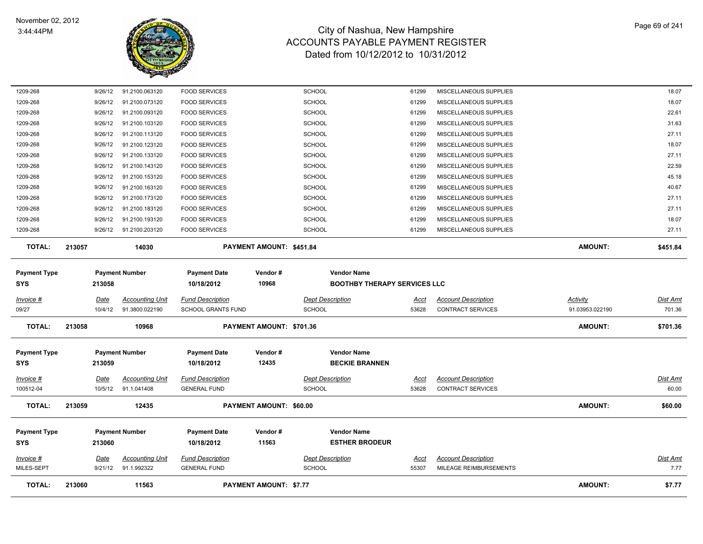

| <b>TOTAL:</b>                     | 213060                 | 11563                                 |                                                | <b>PAYMENT AMOUNT: \$7.77</b> |                                                           |                      |                                                        | <b>AMOUNT:</b>  | \$7.77                  |
|-----------------------------------|------------------------|---------------------------------------|------------------------------------------------|-------------------------------|-----------------------------------------------------------|----------------------|--------------------------------------------------------|-----------------|-------------------------|
| $Invoice$ #<br>MILES-SEPT         | <u>Date</u><br>9/21/12 | <u>Accounting Unit</u><br>91.1.992322 | <b>Fund Description</b><br><b>GENERAL FUND</b> |                               | <b>Dept Description</b><br>SCHOOL                         | <u>Acct</u><br>55307 | <b>Account Description</b><br>MILEAGE REIMBURSEMENTS   |                 | <b>Dist Amt</b><br>7.77 |
| <b>Payment Type</b><br><b>SYS</b> | 213060                 | <b>Payment Number</b>                 | <b>Payment Date</b><br>10/18/2012              | Vendor#<br>11563              | <b>Vendor Name</b><br><b>ESTHER BRODEUR</b>               |                      |                                                        |                 |                         |
| <b>TOTAL:</b>                     | 213059                 | 12435                                 |                                                | PAYMENT AMOUNT: \$60.00       |                                                           |                      |                                                        | <b>AMOUNT:</b>  | \$60.00                 |
| Invoice #<br>100512-04            | <b>Date</b><br>10/5/12 | <b>Accounting Unit</b><br>91.1.041408 | <b>Fund Description</b><br><b>GENERAL FUND</b> |                               | <b>Dept Description</b><br><b>SCHOOL</b>                  | <u>Acct</u><br>53628 | <b>Account Description</b><br><b>CONTRACT SERVICES</b> |                 | Dist Amt<br>60.00       |
| <b>Payment Type</b><br><b>SYS</b> | 213059                 | <b>Payment Number</b>                 | <b>Payment Date</b><br>10/18/2012              | Vendor#<br>12435              | <b>Vendor Name</b><br><b>BECKIE BRANNEN</b>               |                      |                                                        |                 |                         |
| <b>TOTAL:</b>                     | 213058                 | 10968                                 |                                                | PAYMENT AMOUNT: \$701.36      |                                                           |                      |                                                        | <b>AMOUNT:</b>  | \$701.36                |
| 09/27                             | 10/4/12                | 91.3800.022190                        | SCHOOL GRANTS FUND                             |                               | <b>SCHOOL</b>                                             | 53628                | CONTRACT SERVICES                                      | 91.03953.022190 | 701.36                  |
| Invoice #                         | <u>Date</u>            | <b>Accounting Unit</b>                | <b>Fund Description</b>                        |                               | <b>Dept Description</b>                                   | Acct                 | <b>Account Description</b>                             | Activity        | Dist Amt                |
| <b>Payment Type</b><br><b>SYS</b> | 213058                 | <b>Payment Number</b>                 | <b>Payment Date</b><br>10/18/2012              | Vendor#<br>10968              | <b>Vendor Name</b><br><b>BOOTHBY THERAPY SERVICES LLC</b> |                      |                                                        |                 |                         |
| <b>TOTAL:</b>                     | 213057                 | 14030                                 |                                                | PAYMENT AMOUNT: \$451.84      |                                                           |                      |                                                        | <b>AMOUNT:</b>  | \$451.84                |
| 1209-268                          | 9/26/12                | 91.2100.203120                        | <b>FOOD SERVICES</b>                           |                               | <b>SCHOOL</b>                                             | 61299                | MISCELLANEOUS SUPPLIES                                 |                 | 27.11                   |
| 1209-268                          | 9/26/12                | 91.2100.193120                        | <b>FOOD SERVICES</b>                           |                               | SCHOOL                                                    | 61299                | MISCELLANEOUS SUPPLIES                                 |                 | 18.07                   |
| 1209-268                          | 9/26/12                | 91.2100.183120                        | <b>FOOD SERVICES</b>                           |                               | <b>SCHOOL</b>                                             | 61299                | MISCELLANEOUS SUPPLIES                                 |                 | 27.11                   |
| 1209-268                          | 9/26/12                | 91.2100.173120                        | <b>FOOD SERVICES</b>                           |                               | SCHOOL                                                    | 61299                | MISCELLANEOUS SUPPLIES                                 |                 | 27.11                   |
| 1209-268                          | 9/26/12                | 91.2100.163120                        | <b>FOOD SERVICES</b>                           |                               | SCHOOL                                                    | 61299                | MISCELLANEOUS SUPPLIES                                 |                 | 40.67                   |
| 1209-268                          | 9/26/12                | 91.2100.153120                        | <b>FOOD SERVICES</b>                           |                               | <b>SCHOOL</b>                                             | 61299                | MISCELLANEOUS SUPPLIES                                 |                 | 45.18                   |
| 1209-268                          | 9/26/12                | 91.2100.143120                        | <b>FOOD SERVICES</b>                           |                               | SCHOOL                                                    | 61299                | MISCELLANEOUS SUPPLIES                                 |                 | 22.59                   |
| 1209-268                          | 9/26/12                | 91.2100.133120                        | <b>FOOD SERVICES</b>                           |                               | <b>SCHOOL</b>                                             | 61299                | MISCELLANEOUS SUPPLIES                                 |                 | 27.11                   |
| 1209-268<br>1209-268              | 9/26/12<br>9/26/12     | 91.2100.113120<br>91.2100.123120      | <b>FOOD SERVICES</b><br><b>FOOD SERVICES</b>   |                               | <b>SCHOOL</b><br>SCHOOL                                   | 61299<br>61299       | MISCELLANEOUS SUPPLIES<br>MISCELLANEOUS SUPPLIES       |                 | 18.07                   |
| 1209-268                          | 9/26/12                | 91.2100.103120                        | <b>FOOD SERVICES</b>                           |                               | SCHOOL                                                    | 61299                | MISCELLANEOUS SUPPLIES                                 |                 | 31.63<br>27.11          |
| 1209-268                          | 9/26/12                | 91.2100.093120                        | <b>FOOD SERVICES</b>                           |                               | <b>SCHOOL</b>                                             | 61299                | MISCELLANEOUS SUPPLIES                                 |                 | 22.61                   |
| 1209-268                          | 9/26/12                | 91.2100.073120                        | <b>FOOD SERVICES</b>                           |                               | SCHOOL                                                    | 61299                | MISCELLANEOUS SUPPLIES                                 |                 | 18.07                   |
| 1209-268                          | 9/26/12                | 91.2100.063120                        | <b>FOOD SERVICES</b>                           |                               | <b>SCHOOL</b>                                             | 61299                | MISCELLANEOUS SUPPLIES                                 |                 | 18.07                   |
|                                   |                        |                                       |                                                |                               |                                                           |                      |                                                        |                 |                         |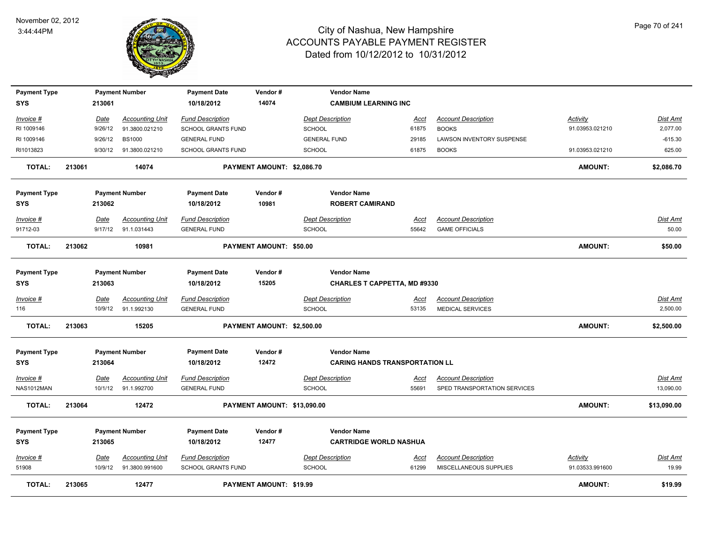

| <b>Payment Type</b> |        |             | <b>Payment Number</b>  | <b>Payment Date</b>       | Vendor#                        | <b>Vendor Name</b>                    |             |                              |                 |                 |
|---------------------|--------|-------------|------------------------|---------------------------|--------------------------------|---------------------------------------|-------------|------------------------------|-----------------|-----------------|
| SYS                 |        | 213061      |                        | 10/18/2012                | 14074                          | <b>CAMBIUM LEARNING INC</b>           |             |                              |                 |                 |
| Invoice #           |        | Date        | <b>Accounting Unit</b> | <b>Fund Description</b>   |                                | <b>Dept Description</b>               | Acct        | <b>Account Description</b>   | Activity        | Dist Amt        |
| RI 1009146          |        | 9/26/12     | 91.3800.021210         | <b>SCHOOL GRANTS FUND</b> |                                | <b>SCHOOL</b>                         | 61875       | <b>BOOKS</b>                 | 91.03953.021210 | 2,077.00        |
| RI 1009146          |        | 9/26/12     | <b>BS1000</b>          | <b>GENERAL FUND</b>       |                                | <b>GENERAL FUND</b>                   | 29185       | LAWSON INVENTORY SUSPENSE    |                 | $-615.30$       |
| RI1013823           |        | 9/30/12     | 91.3800.021210         | SCHOOL GRANTS FUND        |                                | <b>SCHOOL</b>                         | 61875       | <b>BOOKS</b>                 | 91.03953.021210 | 625.00          |
| <b>TOTAL:</b>       | 213061 |             | 14074                  |                           | PAYMENT AMOUNT: \$2,086.70     |                                       |             |                              | <b>AMOUNT:</b>  | \$2,086.70      |
| <b>Payment Type</b> |        |             | <b>Payment Number</b>  | <b>Payment Date</b>       | Vendor#                        | <b>Vendor Name</b>                    |             |                              |                 |                 |
| <b>SYS</b>          |        | 213062      |                        | 10/18/2012                | 10981                          | <b>ROBERT CAMIRAND</b>                |             |                              |                 |                 |
| Invoice #           |        | Date        | <b>Accounting Unit</b> | <b>Fund Description</b>   |                                | <b>Dept Description</b>               | <u>Acct</u> | <b>Account Description</b>   |                 | Dist Amt        |
| 91712-03            |        | 9/17/12     | 91.1.031443            | <b>GENERAL FUND</b>       |                                | <b>SCHOOL</b>                         | 55642       | <b>GAME OFFICIALS</b>        |                 | 50.00           |
| <b>TOTAL:</b>       | 213062 |             | 10981                  |                           | <b>PAYMENT AMOUNT: \$50.00</b> |                                       |             |                              | <b>AMOUNT:</b>  | \$50.00         |
| <b>Payment Type</b> |        |             | <b>Payment Number</b>  | <b>Payment Date</b>       | Vendor#                        | <b>Vendor Name</b>                    |             |                              |                 |                 |
| <b>SYS</b>          |        | 213063      |                        | 10/18/2012                | 15205                          | <b>CHARLES T CAPPETTA, MD #9330</b>   |             |                              |                 |                 |
| Invoice #           |        | Date        | <b>Accounting Unit</b> | <b>Fund Description</b>   |                                | <b>Dept Description</b>               | <u>Acct</u> | <b>Account Description</b>   |                 | <u>Dist Amt</u> |
| 116                 |        | 10/9/12     | 91.1.992130            | <b>GENERAL FUND</b>       |                                | <b>SCHOOL</b>                         | 53135       | <b>MEDICAL SERVICES</b>      |                 | 2,500.00        |
| <b>TOTAL:</b>       | 213063 |             | 15205                  |                           | PAYMENT AMOUNT: \$2,500.00     |                                       |             |                              | <b>AMOUNT:</b>  | \$2,500.00      |
| <b>Payment Type</b> |        |             | <b>Payment Number</b>  | <b>Payment Date</b>       | Vendor#                        | <b>Vendor Name</b>                    |             |                              |                 |                 |
| <b>SYS</b>          |        | 213064      |                        | 10/18/2012                | 12472                          | <b>CARING HANDS TRANSPORTATION LL</b> |             |                              |                 |                 |
| $Invoice$ #         |        | Date        | <b>Accounting Unit</b> | <b>Fund Description</b>   |                                | <b>Dept Description</b>               | <u>Acct</u> | <b>Account Description</b>   |                 | <b>Dist Amt</b> |
| NAS1012MAN          |        | 10/1/12     | 91.1.992700            | <b>GENERAL FUND</b>       |                                | <b>SCHOOL</b>                         | 55691       | SPED TRANSPORTATION SERVICES |                 | 13,090.00       |
| <b>TOTAL:</b>       | 213064 |             | 12472                  |                           | PAYMENT AMOUNT: \$13,090.00    |                                       |             |                              | <b>AMOUNT:</b>  | \$13,090.00     |
| <b>Payment Type</b> |        |             | <b>Payment Number</b>  | <b>Payment Date</b>       | Vendor#                        | <b>Vendor Name</b>                    |             |                              |                 |                 |
| <b>SYS</b>          |        | 213065      |                        | 10/18/2012                | 12477                          | <b>CARTRIDGE WORLD NASHUA</b>         |             |                              |                 |                 |
| Invoice #           |        | <u>Date</u> | <b>Accounting Unit</b> | <b>Fund Description</b>   |                                | <b>Dept Description</b>               | <u>Acct</u> | <b>Account Description</b>   | <b>Activity</b> | <u>Dist Amt</u> |
| 51908               |        | 10/9/12     | 91.3800.991600         | <b>SCHOOL GRANTS FUND</b> |                                | <b>SCHOOL</b>                         | 61299       | MISCELLANEOUS SUPPLIES       | 91.03533.991600 | 19.99           |
| <b>TOTAL:</b>       | 213065 |             | 12477                  |                           | <b>PAYMENT AMOUNT: \$19.99</b> |                                       |             |                              | <b>AMOUNT:</b>  | \$19.99         |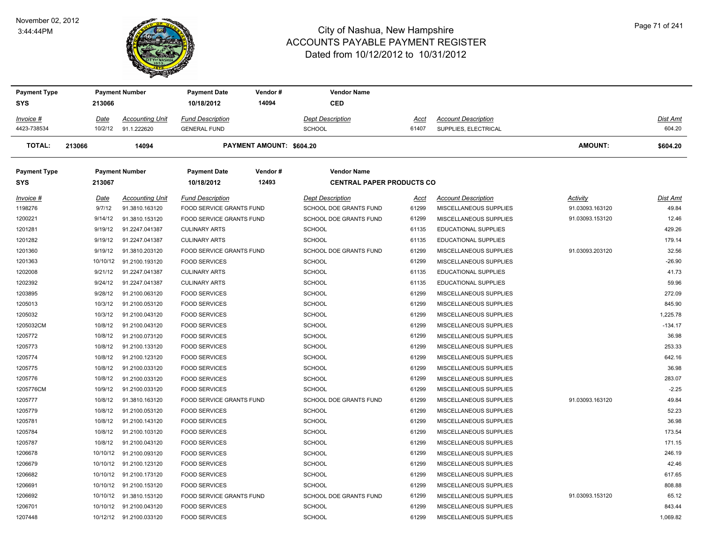#### November 02, 2012 3:44:44PM



| <b>Payment Type</b> |          | <b>Payment Number</b>   | <b>Payment Date</b>      | Vendor#                         | <b>Vendor Name</b>               |       |                             |                 |           |
|---------------------|----------|-------------------------|--------------------------|---------------------------------|----------------------------------|-------|-----------------------------|-----------------|-----------|
| <b>SYS</b>          | 213066   |                         | 10/18/2012               | 14094                           | <b>CED</b>                       |       |                             |                 |           |
| Invoice #           | Date     | <b>Accounting Unit</b>  | <b>Fund Description</b>  |                                 | <b>Dept Description</b>          | Acct  | <b>Account Description</b>  |                 | Dist Amt  |
| 4423-738534         | 10/2/12  | 91.1.222620             | <b>GENERAL FUND</b>      |                                 | <b>SCHOOL</b>                    | 61407 | SUPPLIES, ELECTRICAL        |                 | 604.20    |
| <b>TOTAL:</b>       | 213066   | 14094                   |                          | <b>PAYMENT AMOUNT: \$604.20</b> |                                  |       |                             | <b>AMOUNT:</b>  | \$604.20  |
| <b>Payment Type</b> |          | <b>Payment Number</b>   | <b>Payment Date</b>      | Vendor#                         | <b>Vendor Name</b>               |       |                             |                 |           |
| <b>SYS</b>          | 213067   |                         | 10/18/2012               | 12493                           | <b>CENTRAL PAPER PRODUCTS CO</b> |       |                             |                 |           |
| Invoice #           | Date     | <b>Accounting Unit</b>  | <b>Fund Description</b>  |                                 | <b>Dept Description</b>          | Acct  | <b>Account Description</b>  | Activity        | Dist Amt  |
| 1198276             | 9/7/12   | 91.3810.163120          | FOOD SERVICE GRANTS FUND |                                 | SCHOOL DOE GRANTS FUND           | 61299 | MISCELLANEOUS SUPPLIES      | 91.03093.163120 | 49.84     |
| 1200221             | 9/14/12  | 91.3810.153120          | FOOD SERVICE GRANTS FUND |                                 | SCHOOL DOE GRANTS FUND           | 61299 | MISCELLANEOUS SUPPLIES      | 91.03093.153120 | 12.46     |
| 1201281             | 9/19/12  | 91.2247.041387          | <b>CULINARY ARTS</b>     |                                 | <b>SCHOOL</b>                    | 61135 | <b>EDUCATIONAL SUPPLIES</b> |                 | 429.26    |
| 1201282             | 9/19/12  | 91.2247.041387          | <b>CULINARY ARTS</b>     |                                 | <b>SCHOOL</b>                    | 61135 | EDUCATIONAL SUPPLIES        |                 | 179.14    |
| 1201360             | 9/19/12  | 91.3810.203120          | FOOD SERVICE GRANTS FUND |                                 | SCHOOL DOE GRANTS FUND           | 61299 | MISCELLANEOUS SUPPLIES      | 91.03093.203120 | 32.56     |
| 1201363             | 10/10/12 | 91.2100.193120          | <b>FOOD SERVICES</b>     |                                 | <b>SCHOOL</b>                    | 61299 | MISCELLANEOUS SUPPLIES      |                 | $-26.90$  |
| 1202008             | 9/21/12  | 91.2247.041387          | <b>CULINARY ARTS</b>     |                                 | <b>SCHOOL</b>                    | 61135 | <b>EDUCATIONAL SUPPLIES</b> |                 | 41.73     |
| 1202392             | 9/24/12  | 91.2247.041387          | <b>CULINARY ARTS</b>     |                                 | <b>SCHOOL</b>                    | 61135 | <b>EDUCATIONAL SUPPLIES</b> |                 | 59.96     |
| 1203895             | 9/28/12  | 91.2100.063120          | <b>FOOD SERVICES</b>     |                                 | <b>SCHOOL</b>                    | 61299 | MISCELLANEOUS SUPPLIES      |                 | 272.09    |
| 1205013             | 10/3/12  | 91.2100.053120          | <b>FOOD SERVICES</b>     |                                 | <b>SCHOOL</b>                    | 61299 | MISCELLANEOUS SUPPLIES      |                 | 845.90    |
| 1205032             | 10/3/12  | 91.2100.043120          | <b>FOOD SERVICES</b>     |                                 | <b>SCHOOL</b>                    | 61299 | MISCELLANEOUS SUPPLIES      |                 | 1,225.78  |
| 1205032CM           | 10/8/12  | 91.2100.043120          | <b>FOOD SERVICES</b>     |                                 | <b>SCHOOL</b>                    | 61299 | MISCELLANEOUS SUPPLIES      |                 | $-134.17$ |
| 1205772             | 10/8/12  | 91.2100.073120          | <b>FOOD SERVICES</b>     |                                 | <b>SCHOOL</b>                    | 61299 | MISCELLANEOUS SUPPLIES      |                 | 36.98     |
| 1205773             | 10/8/12  | 91.2100.133120          | <b>FOOD SERVICES</b>     |                                 | <b>SCHOOL</b>                    | 61299 | MISCELLANEOUS SUPPLIES      |                 | 253.33    |
| 1205774             | 10/8/12  | 91.2100.123120          | <b>FOOD SERVICES</b>     |                                 | <b>SCHOOL</b>                    | 61299 | MISCELLANEOUS SUPPLIES      |                 | 642.16    |
| 1205775             | 10/8/12  | 91.2100.033120          | <b>FOOD SERVICES</b>     |                                 | <b>SCHOOL</b>                    | 61299 | MISCELLANEOUS SUPPLIES      |                 | 36.98     |
| 1205776             | 10/8/12  | 91.2100.033120          | <b>FOOD SERVICES</b>     |                                 | <b>SCHOOL</b>                    | 61299 | MISCELLANEOUS SUPPLIES      |                 | 283.07    |
| 1205776CM           | 10/9/12  | 91.2100.033120          | <b>FOOD SERVICES</b>     |                                 | <b>SCHOOL</b>                    | 61299 | MISCELLANEOUS SUPPLIES      |                 | $-2.25$   |
| 1205777             | 10/8/12  | 91.3810.163120          | FOOD SERVICE GRANTS FUND |                                 | SCHOOL DOE GRANTS FUND           | 61299 | MISCELLANEOUS SUPPLIES      | 91.03093.163120 | 49.84     |
| 1205779             | 10/8/12  | 91.2100.053120          | <b>FOOD SERVICES</b>     |                                 | <b>SCHOOL</b>                    | 61299 | MISCELLANEOUS SUPPLIES      |                 | 52.23     |
| 1205781             | 10/8/12  | 91.2100.143120          | <b>FOOD SERVICES</b>     |                                 | <b>SCHOOL</b>                    | 61299 | MISCELLANEOUS SUPPLIES      |                 | 36.98     |
| 1205784             | 10/8/12  | 91.2100.103120          | <b>FOOD SERVICES</b>     |                                 | <b>SCHOOL</b>                    | 61299 | MISCELLANEOUS SUPPLIES      |                 | 173.54    |
| 1205787             | 10/8/12  | 91.2100.043120          | <b>FOOD SERVICES</b>     |                                 | <b>SCHOOL</b>                    | 61299 | MISCELLANEOUS SUPPLIES      |                 | 171.15    |
| 1206678             | 10/10/12 | 91.2100.093120          | <b>FOOD SERVICES</b>     |                                 | <b>SCHOOL</b>                    | 61299 | MISCELLANEOUS SUPPLIES      |                 | 246.19    |
| 1206679             | 10/10/12 | 91.2100.123120          | <b>FOOD SERVICES</b>     |                                 | <b>SCHOOL</b>                    | 61299 | MISCELLANEOUS SUPPLIES      |                 | 42.46     |
| 1206682             |          | 10/10/12 91.2100.173120 | <b>FOOD SERVICES</b>     |                                 | <b>SCHOOL</b>                    | 61299 | MISCELLANEOUS SUPPLIES      |                 | 617.65    |
| 1206691             | 10/10/12 | 91.2100.153120          | <b>FOOD SERVICES</b>     |                                 | <b>SCHOOL</b>                    | 61299 | MISCELLANEOUS SUPPLIES      |                 | 808.88    |
| 1206692             | 10/10/12 | 91.3810.153120          | FOOD SERVICE GRANTS FUND |                                 | SCHOOL DOE GRANTS FUND           | 61299 | MISCELLANEOUS SUPPLIES      | 91.03093.153120 | 65.12     |
| 1206701             |          | 10/10/12 91.2100.043120 | <b>FOOD SERVICES</b>     |                                 | <b>SCHOOL</b>                    | 61299 | MISCELLANEOUS SUPPLIES      |                 | 843.44    |
| 1207448             |          | 10/12/12 91.2100.033120 | <b>FOOD SERVICES</b>     |                                 | <b>SCHOOL</b>                    | 61299 | MISCELLANEOUS SUPPLIES      |                 | 1.069.82  |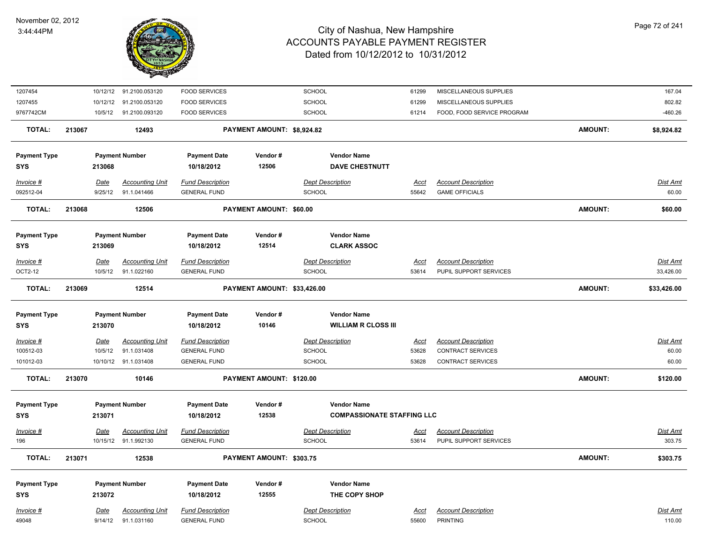

| 1207454                           |                        | 10/12/12 91.2100.053120               | <b>FOOD SERVICES</b>                           |                             | SCHOOL                                                  | 61299                | MISCELLANEOUS SUPPLIES                        |                | 167.04                    |
|-----------------------------------|------------------------|---------------------------------------|------------------------------------------------|-----------------------------|---------------------------------------------------------|----------------------|-----------------------------------------------|----------------|---------------------------|
| 1207455                           | 10/12/12               | 91.2100.053120                        | <b>FOOD SERVICES</b>                           |                             | SCHOOL                                                  | 61299                | MISCELLANEOUS SUPPLIES                        |                | 802.82                    |
| 9767742CM                         |                        | 10/5/12 91.2100.093120                | <b>FOOD SERVICES</b>                           |                             | SCHOOL                                                  | 61214                | FOOD, FOOD SERVICE PROGRAM                    |                | $-460.26$                 |
| <b>TOTAL:</b>                     | 213067                 | 12493                                 |                                                | PAYMENT AMOUNT: \$8,924.82  |                                                         |                      |                                               | <b>AMOUNT:</b> | \$8,924.82                |
| <b>Payment Type</b><br><b>SYS</b> | 213068                 | <b>Payment Number</b>                 | <b>Payment Date</b><br>10/18/2012              | Vendor#<br>12506            | <b>Vendor Name</b><br><b>DAVE CHESTNUTT</b>             |                      |                                               |                |                           |
|                                   |                        |                                       |                                                |                             |                                                         |                      |                                               |                |                           |
| Invoice #                         | Date                   | <b>Accounting Unit</b>                | <b>Fund Description</b>                        |                             | <b>Dept Description</b>                                 | Acct                 | <b>Account Description</b>                    |                | Dist Amt                  |
| 092512-04                         | 9/25/12                | 91.1.041466                           | <b>GENERAL FUND</b>                            |                             | <b>SCHOOL</b>                                           | 55642                | <b>GAME OFFICIALS</b>                         |                | 60.00                     |
| <b>TOTAL:</b>                     | 213068                 | 12506                                 |                                                | PAYMENT AMOUNT: \$60.00     |                                                         |                      |                                               | <b>AMOUNT:</b> | \$60.00                   |
| <b>Payment Type</b>               |                        | <b>Payment Number</b>                 | <b>Payment Date</b>                            | Vendor#                     | <b>Vendor Name</b>                                      |                      |                                               |                |                           |
| <b>SYS</b>                        | 213069                 |                                       | 10/18/2012                                     | 12514                       | <b>CLARK ASSOC</b>                                      |                      |                                               |                |                           |
| Invoice #                         | Date                   | <b>Accounting Unit</b>                | <b>Fund Description</b>                        |                             | <b>Dept Description</b>                                 | <u>Acct</u>          | <b>Account Description</b>                    |                | <b>Dist Amt</b>           |
| OCT2-12                           | 10/5/12                | 91.1.022160                           | <b>GENERAL FUND</b>                            |                             | <b>SCHOOL</b>                                           | 53614                | PUPIL SUPPORT SERVICES                        |                | 33,426.00                 |
| <b>TOTAL:</b>                     | 213069                 | 12514                                 |                                                | PAYMENT AMOUNT: \$33,426.00 |                                                         |                      |                                               | <b>AMOUNT:</b> | \$33,426.00               |
| <b>Payment Type</b>               |                        | <b>Payment Number</b>                 | <b>Payment Date</b>                            | Vendor#                     | <b>Vendor Name</b>                                      |                      |                                               |                |                           |
| <b>SYS</b>                        | 213070                 |                                       | 10/18/2012                                     | 10146                       | <b>WILLIAM R CLOSS III</b>                              |                      |                                               |                |                           |
| Invoice #                         | <u>Date</u>            | <b>Accounting Unit</b>                | <b>Fund Description</b>                        |                             | <b>Dept Description</b>                                 | <u>Acct</u>          | <b>Account Description</b>                    |                | <u>Dist Amt</u>           |
| 100512-03                         | 10/5/12                | 91.1.031408                           | <b>GENERAL FUND</b>                            |                             | SCHOOL                                                  | 53628                | CONTRACT SERVICES                             |                | 60.00                     |
| 101012-03                         |                        | 10/10/12 91.1.031408                  | <b>GENERAL FUND</b>                            |                             | SCHOOL                                                  | 53628                | CONTRACT SERVICES                             |                | 60.00                     |
| <b>TOTAL:</b>                     | 213070                 | 10146                                 |                                                | PAYMENT AMOUNT: \$120.00    |                                                         |                      |                                               | <b>AMOUNT:</b> | \$120.00                  |
|                                   |                        |                                       |                                                |                             |                                                         |                      |                                               |                |                           |
| <b>Payment Type</b><br><b>SYS</b> | 213071                 | <b>Payment Number</b>                 | <b>Payment Date</b><br>10/18/2012              | Vendor#<br>12538            | <b>Vendor Name</b><br><b>COMPASSIONATE STAFFING LLC</b> |                      |                                               |                |                           |
| Invoice #                         | Date                   | <b>Accounting Unit</b>                | <b>Fund Description</b>                        |                             | <b>Dept Description</b>                                 | Acct                 | <b>Account Description</b>                    |                | <u>Dist Amt</u>           |
| 196                               | 10/15/12               | 91.1.992130                           | <b>GENERAL FUND</b>                            |                             | <b>SCHOOL</b>                                           | 53614                | PUPIL SUPPORT SERVICES                        |                | 303.75                    |
| <b>TOTAL:</b>                     | 213071                 | 12538                                 |                                                | PAYMENT AMOUNT: \$303.75    |                                                         |                      |                                               | <b>AMOUNT:</b> | \$303.75                  |
| <b>Payment Type</b>               |                        | <b>Payment Number</b>                 | <b>Payment Date</b>                            | Vendor#                     | <b>Vendor Name</b>                                      |                      |                                               |                |                           |
| <b>SYS</b>                        | 213072                 |                                       | 10/18/2012                                     | 12555                       | THE COPY SHOP                                           |                      |                                               |                |                           |
|                                   |                        |                                       |                                                |                             |                                                         |                      |                                               |                |                           |
|                                   |                        |                                       |                                                |                             |                                                         |                      |                                               |                |                           |
| Invoice #<br>49048                | <b>Date</b><br>9/14/12 | <b>Accounting Unit</b><br>91.1.031160 | <b>Fund Description</b><br><b>GENERAL FUND</b> |                             | <b>Dept Description</b><br><b>SCHOOL</b>                | <u>Acct</u><br>55600 | <b>Account Description</b><br><b>PRINTING</b> |                | <u>Dist Amt</u><br>110.00 |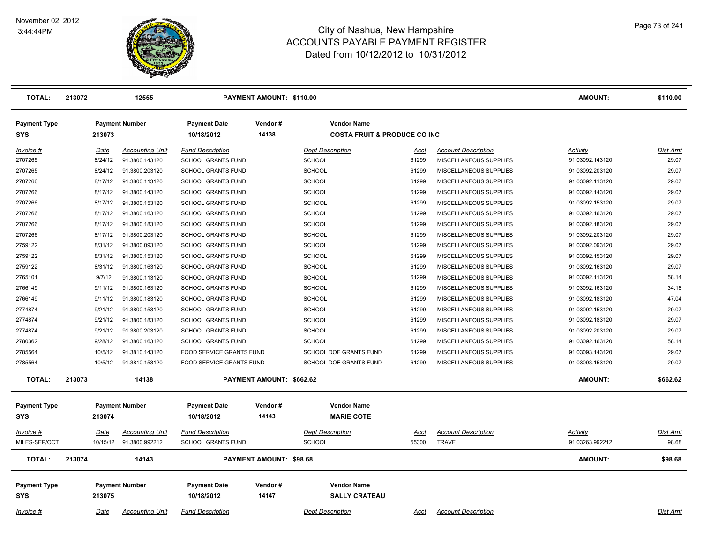

| <b>TOTAL:</b>                     | 213072 |             | 12555                  |                                   | <b>PAYMENT AMOUNT: \$110.00</b> |                                                                |             |                            | <b>AMOUNT:</b>  | \$110.00        |
|-----------------------------------|--------|-------------|------------------------|-----------------------------------|---------------------------------|----------------------------------------------------------------|-------------|----------------------------|-----------------|-----------------|
| <b>Payment Type</b><br><b>SYS</b> |        | 213073      | <b>Payment Number</b>  | <b>Payment Date</b><br>10/18/2012 | Vendor#<br>14138                | <b>Vendor Name</b><br><b>COSTA FRUIT &amp; PRODUCE CO INC.</b> |             |                            |                 |                 |
| Invoice #                         |        | Date        | <b>Accounting Unit</b> | <b>Fund Description</b>           |                                 | <b>Dept Description</b>                                        | Acct        | <b>Account Description</b> | Activity        | Dist Amt        |
| 2707265                           |        | 8/24/12     | 91.3800.143120         | <b>SCHOOL GRANTS FUND</b>         |                                 | <b>SCHOOL</b>                                                  | 61299       | MISCELLANEOUS SUPPLIES     | 91.03092.143120 | 29.07           |
| 2707265                           |        | 8/24/12     | 91.3800.203120         | <b>SCHOOL GRANTS FUND</b>         |                                 | <b>SCHOOL</b>                                                  | 61299       | MISCELLANEOUS SUPPLIES     | 91.03092.203120 | 29.07           |
| 2707266                           |        | 8/17/12     | 91.3800.113120         | <b>SCHOOL GRANTS FUND</b>         |                                 | <b>SCHOOL</b>                                                  | 61299       | MISCELLANEOUS SUPPLIES     | 91.03092.113120 | 29.07           |
| 2707266                           |        | 8/17/12     | 91.3800.143120         | <b>SCHOOL GRANTS FUND</b>         |                                 | <b>SCHOOL</b>                                                  | 61299       | MISCELLANEOUS SUPPLIES     | 91.03092.143120 | 29.07           |
| 2707266                           |        | 8/17/12     | 91.3800.153120         | <b>SCHOOL GRANTS FUND</b>         |                                 | <b>SCHOOL</b>                                                  | 61299       | MISCELLANEOUS SUPPLIES     | 91.03092.153120 | 29.07           |
| 2707266                           |        | 8/17/12     | 91.3800.163120         | <b>SCHOOL GRANTS FUND</b>         |                                 | <b>SCHOOL</b>                                                  | 61299       | MISCELLANEOUS SUPPLIES     | 91.03092.163120 | 29.07           |
| 2707266                           |        | 8/17/12     | 91.3800.183120         | <b>SCHOOL GRANTS FUND</b>         |                                 | <b>SCHOOL</b>                                                  | 61299       | MISCELLANEOUS SUPPLIES     | 91.03092.183120 | 29.07           |
| 2707266                           |        | 8/17/12     | 91.3800.203120         | <b>SCHOOL GRANTS FUND</b>         |                                 | <b>SCHOOL</b>                                                  | 61299       | MISCELLANEOUS SUPPLIES     | 91.03092.203120 | 29.07           |
| 2759122                           |        | 8/31/12     | 91.3800.093120         | <b>SCHOOL GRANTS FUND</b>         |                                 | <b>SCHOOL</b>                                                  | 61299       | MISCELLANEOUS SUPPLIES     | 91.03092.093120 | 29.07           |
| 2759122                           |        | 8/31/12     | 91.3800.153120         | <b>SCHOOL GRANTS FUND</b>         |                                 | SCHOOL                                                         | 61299       | MISCELLANEOUS SUPPLIES     | 91.03092.153120 | 29.07           |
| 2759122                           |        | 8/31/12     | 91.3800.163120         | <b>SCHOOL GRANTS FUND</b>         |                                 | <b>SCHOOL</b>                                                  | 61299       | MISCELLANEOUS SUPPLIES     | 91.03092.163120 | 29.07           |
| 2765101                           |        | 9/7/12      | 91.3800.113120         | <b>SCHOOL GRANTS FUND</b>         |                                 | <b>SCHOOL</b>                                                  | 61299       | MISCELLANEOUS SUPPLIES     | 91.03092.113120 | 58.14           |
| 2766149                           |        | 9/11/12     | 91.3800.163120         | <b>SCHOOL GRANTS FUND</b>         |                                 | SCHOOL                                                         | 61299       | MISCELLANEOUS SUPPLIES     | 91.03092.163120 | 34.18           |
| 2766149                           |        | 9/11/12     | 91.3800.183120         | <b>SCHOOL GRANTS FUND</b>         |                                 | <b>SCHOOL</b>                                                  | 61299       | MISCELLANEOUS SUPPLIES     | 91.03092.183120 | 47.04           |
| 2774874                           |        | 9/21/12     | 91.3800.153120         | <b>SCHOOL GRANTS FUND</b>         |                                 | <b>SCHOOL</b>                                                  | 61299       | MISCELLANEOUS SUPPLIES     | 91.03092.153120 | 29.07           |
| 2774874                           |        | 9/21/12     | 91.3800.183120         | <b>SCHOOL GRANTS FUND</b>         |                                 | <b>SCHOOL</b>                                                  | 61299       | MISCELLANEOUS SUPPLIES     | 91.03092.183120 | 29.07           |
| 2774874                           |        | 9/21/12     | 91.3800.203120         | <b>SCHOOL GRANTS FUND</b>         |                                 | <b>SCHOOL</b>                                                  | 61299       | MISCELLANEOUS SUPPLIES     | 91.03092.203120 | 29.07           |
| 2780362                           |        | 9/28/12     | 91.3800.163120         | SCHOOL GRANTS FUND                |                                 | <b>SCHOOL</b>                                                  | 61299       | MISCELLANEOUS SUPPLIES     | 91.03092.163120 | 58.14           |
| 2785564                           |        | 10/5/12     | 91.3810.143120         | FOOD SERVICE GRANTS FUND          |                                 | SCHOOL DOE GRANTS FUND                                         | 61299       | MISCELLANEOUS SUPPLIES     | 91.03093.143120 | 29.07           |
| 2785564                           |        | 10/5/12     | 91.3810.153120         | FOOD SERVICE GRANTS FUND          |                                 | SCHOOL DOE GRANTS FUND                                         | 61299       | MISCELLANEOUS SUPPLIES     | 91.03093.153120 | 29.07           |
| <b>TOTAL:</b>                     | 213073 |             | 14138                  |                                   | PAYMENT AMOUNT: \$662.62        |                                                                |             |                            | <b>AMOUNT:</b>  | \$662.62        |
| <b>Payment Type</b>               |        |             | <b>Payment Number</b>  | <b>Payment Date</b>               | Vendor#                         | <b>Vendor Name</b>                                             |             |                            |                 |                 |
| SYS                               |        | 213074      |                        | 10/18/2012                        | 14143                           | <b>MARIE COTE</b>                                              |             |                            |                 |                 |
| Invoice #                         |        | <u>Date</u> | <b>Accounting Unit</b> | <b>Fund Description</b>           |                                 | <b>Dept Description</b>                                        | Acct        | <b>Account Description</b> | Activity        | Dist Amt        |
| MILES-SEP/OCT                     |        | 10/15/12    | 91.3800.992212         | <b>SCHOOL GRANTS FUND</b>         |                                 | <b>SCHOOL</b>                                                  | 55300       | <b>TRAVEL</b>              | 91.03263.992212 | 98.68           |
| <b>TOTAL:</b>                     | 213074 |             | 14143                  |                                   | <b>PAYMENT AMOUNT: \$98.68</b>  |                                                                |             |                            | <b>AMOUNT:</b>  | \$98.68         |
| <b>Payment Type</b><br>SYS        |        | 213075      | <b>Payment Number</b>  | <b>Payment Date</b><br>10/18/2012 | Vendor#<br>14147                | <b>Vendor Name</b><br><b>SALLY CRATEAU</b>                     |             |                            |                 |                 |
| Invoice #                         |        | Date        | <b>Accounting Unit</b> | <b>Fund Description</b>           |                                 | <b>Dept Description</b>                                        | <u>Acct</u> | <b>Account Description</b> |                 | <b>Dist Amt</b> |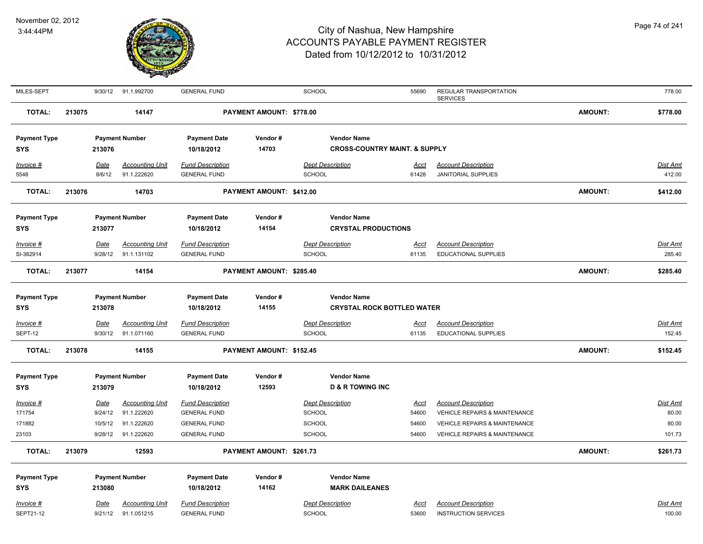

| MILES-SEPT          |        | 9/30/12     | 91.1.992700            | <b>GENERAL FUND</b>     |                          | <b>SCHOOL</b>                            | 55690       | REGULAR TRANSPORTATION<br><b>SERVICES</b> |                | 778.00          |
|---------------------|--------|-------------|------------------------|-------------------------|--------------------------|------------------------------------------|-------------|-------------------------------------------|----------------|-----------------|
| <b>TOTAL:</b>       | 213075 |             | 14147                  |                         | PAYMENT AMOUNT: \$778.00 |                                          |             |                                           | <b>AMOUNT:</b> | \$778.00        |
| <b>Payment Type</b> |        |             | <b>Payment Number</b>  | <b>Payment Date</b>     | Vendor#                  | <b>Vendor Name</b>                       |             |                                           |                |                 |
| <b>SYS</b>          |        | 213076      |                        | 10/18/2012              | 14703                    | <b>CROSS-COUNTRY MAINT. &amp; SUPPLY</b> |             |                                           |                |                 |
| $Invoice$ #         |        | Date        | <b>Accounting Unit</b> | <b>Fund Description</b> |                          | <b>Dept Description</b>                  | <u>Acct</u> | <b>Account Description</b>                |                | <b>Dist Amt</b> |
| 5548                |        | 8/6/12      | 91.1.222620            | <b>GENERAL FUND</b>     |                          | <b>SCHOOL</b>                            | 61428       | <b>JANITORIAL SUPPLIES</b>                |                | 412.00          |
| <b>TOTAL:</b>       | 213076 |             | 14703                  |                         | PAYMENT AMOUNT: \$412.00 |                                          |             |                                           | <b>AMOUNT:</b> | \$412.00        |
| <b>Payment Type</b> |        |             | <b>Payment Number</b>  | <b>Payment Date</b>     | Vendor#                  | <b>Vendor Name</b>                       |             |                                           |                |                 |
| <b>SYS</b>          |        | 213077      |                        | 10/18/2012              | 14154                    | <b>CRYSTAL PRODUCTIONS</b>               |             |                                           |                |                 |
| Invoice #           |        | <u>Date</u> | <b>Accounting Unit</b> | <b>Fund Description</b> |                          | <b>Dept Description</b>                  | <u>Acct</u> | <b>Account Description</b>                |                | Dist Amt        |
| SI-362914           |        | 9/28/12     | 91.1.131102            | <b>GENERAL FUND</b>     |                          | <b>SCHOOL</b>                            | 61135       | <b>EDUCATIONAL SUPPLIES</b>               |                | 285.40          |
| <b>TOTAL:</b>       | 213077 |             | 14154                  |                         | PAYMENT AMOUNT: \$285.40 |                                          |             |                                           | <b>AMOUNT:</b> | \$285.40        |
| <b>Payment Type</b> |        |             | <b>Payment Number</b>  | <b>Payment Date</b>     | Vendor#                  | <b>Vendor Name</b>                       |             |                                           |                |                 |
| <b>SYS</b>          |        | 213078      |                        | 10/18/2012              | 14155                    | <b>CRYSTAL ROCK BOTTLED WATER</b>        |             |                                           |                |                 |
| <b>Invoice #</b>    |        | Date        | <b>Accounting Unit</b> | <b>Fund Description</b> |                          | <b>Dept Description</b>                  | <u>Acct</u> | <b>Account Description</b>                |                | <b>Dist Amt</b> |
| SEPT-12             |        | 9/30/12     | 91.1.071160            | <b>GENERAL FUND</b>     |                          | <b>SCHOOL</b>                            | 61135       | EDUCATIONAL SUPPLIES                      |                | 152.45          |
| <b>TOTAL:</b>       | 213078 |             | 14155                  |                         | PAYMENT AMOUNT: \$152.45 |                                          |             |                                           | <b>AMOUNT:</b> | \$152.45        |
| <b>Payment Type</b> |        |             | <b>Payment Number</b>  | <b>Payment Date</b>     | Vendor#                  | <b>Vendor Name</b>                       |             |                                           |                |                 |
| <b>SYS</b>          |        | 213079      |                        | 10/18/2012              | 12593                    | <b>D &amp; R TOWING INC</b>              |             |                                           |                |                 |
| <u>Invoice #</u>    |        | <u>Date</u> | <b>Accounting Unit</b> | <b>Fund Description</b> |                          | <b>Dept Description</b>                  | <u>Acct</u> | <b>Account Description</b>                |                | <u>Dist Amt</u> |
| 171754              |        | 9/24/12     | 91.1.222620            | <b>GENERAL FUND</b>     |                          | SCHOOL                                   | 54600       | <b>VEHICLE REPAIRS &amp; MAINTENANCE</b>  |                | 80.00           |
| 171882              |        | 10/5/12     | 91.1.222620            | <b>GENERAL FUND</b>     |                          | <b>SCHOOL</b>                            | 54600       | VEHICLE REPAIRS & MAINTENANCE             |                | 80.00           |
| 23103               |        | 9/28/12     | 91.1.222620            | <b>GENERAL FUND</b>     |                          | <b>SCHOOL</b>                            | 54600       | <b>VEHICLE REPAIRS &amp; MAINTENANCE</b>  |                | 101.73          |
| <b>TOTAL:</b>       | 213079 |             | 12593                  |                         | PAYMENT AMOUNT: \$261.73 |                                          |             |                                           | <b>AMOUNT:</b> | \$261.73        |
| <b>Payment Type</b> |        |             | <b>Payment Number</b>  | <b>Payment Date</b>     | Vendor#                  | <b>Vendor Name</b>                       |             |                                           |                |                 |
| <b>SYS</b>          |        | 213080      |                        | 10/18/2012              | 14162                    | <b>MARK DAILEANES</b>                    |             |                                           |                |                 |
| Invoice #           |        | Date        | <b>Accounting Unit</b> | <b>Fund Description</b> |                          | <b>Dept Description</b>                  | Acct        | <b>Account Description</b>                |                | Dist Amt        |
| SEPT21-12           |        | 9/21/12     | 91.1.051215            | <b>GENERAL FUND</b>     |                          | <b>SCHOOL</b>                            | 53600       | <b>INSTRUCTION SERVICES</b>               |                | 100.00          |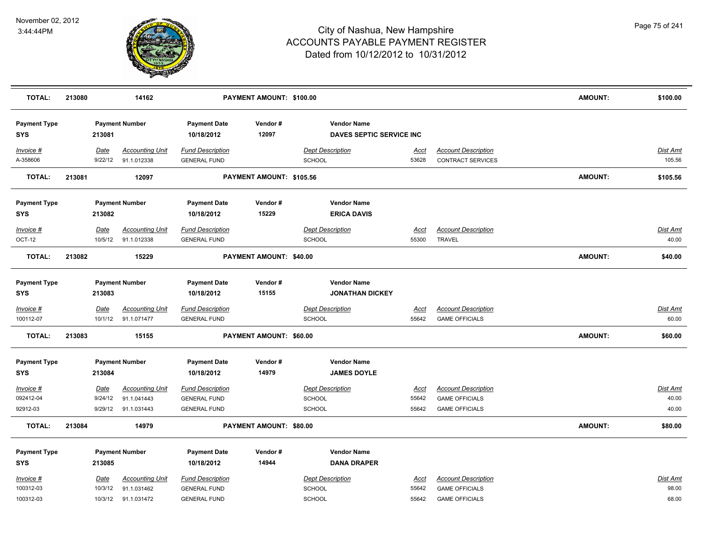

| <b>TOTAL:</b>                     | 213080 |                        | 14162                                 |                                                | PAYMENT AMOUNT: \$100.00 |                                                |                      |                                                        | <b>AMOUNT:</b> | \$100.00           |
|-----------------------------------|--------|------------------------|---------------------------------------|------------------------------------------------|--------------------------|------------------------------------------------|----------------------|--------------------------------------------------------|----------------|--------------------|
| <b>Payment Type</b><br><b>SYS</b> |        | 213081                 | <b>Payment Number</b>                 | <b>Payment Date</b><br>10/18/2012              | Vendor#<br>12097         | <b>Vendor Name</b><br>DAVES SEPTIC SERVICE INC |                      |                                                        |                |                    |
| Invoice #<br>A-358606             |        | <u>Date</u><br>9/22/12 | <b>Accounting Unit</b><br>91.1.012338 | <b>Fund Description</b><br><b>GENERAL FUND</b> |                          | <b>Dept Description</b><br><b>SCHOOL</b>       | <u>Acct</u><br>53628 | <b>Account Description</b><br><b>CONTRACT SERVICES</b> |                | Dist Amt<br>105.56 |
| <b>TOTAL:</b>                     | 213081 |                        | 12097                                 |                                                | PAYMENT AMOUNT: \$105.56 |                                                |                      |                                                        | <b>AMOUNT:</b> | \$105.56           |
| <b>Payment Type</b>               |        |                        | <b>Payment Number</b>                 | <b>Payment Date</b>                            | Vendor#                  | <b>Vendor Name</b>                             |                      |                                                        |                |                    |
| <b>SYS</b>                        |        | 213082                 |                                       | 10/18/2012                                     | 15229                    | <b>ERICA DAVIS</b>                             |                      |                                                        |                |                    |
| Invoice #                         |        | Date                   | <b>Accounting Unit</b>                | <b>Fund Description</b>                        |                          | <b>Dept Description</b>                        | Acct                 | <b>Account Description</b>                             |                | Dist Amt           |
| OCT-12                            |        | 10/5/12                | 91.1.012338                           | <b>GENERAL FUND</b>                            |                          | <b>SCHOOL</b>                                  | 55300                | <b>TRAVEL</b>                                          |                | 40.00              |
| <b>TOTAL:</b>                     | 213082 |                        | 15229                                 |                                                | PAYMENT AMOUNT: \$40.00  |                                                |                      |                                                        | <b>AMOUNT:</b> | \$40.00            |
| <b>Payment Type</b>               |        |                        | <b>Payment Number</b>                 | <b>Payment Date</b>                            | Vendor#                  | <b>Vendor Name</b>                             |                      |                                                        |                |                    |
| <b>SYS</b>                        |        | 213083                 |                                       | 10/18/2012                                     | 15155                    | <b>JONATHAN DICKEY</b>                         |                      |                                                        |                |                    |
| $Invoice$ #                       |        | <u>Date</u>            | <u>Accounting Unit</u>                | <b>Fund Description</b>                        |                          | <b>Dept Description</b>                        | <u>Acct</u>          | <b>Account Description</b>                             |                | Dist Amt           |
| 100112-07                         |        | 10/1/12                | 91.1.071477                           | <b>GENERAL FUND</b>                            |                          | <b>SCHOOL</b>                                  | 55642                | <b>GAME OFFICIALS</b>                                  |                | 60.00              |
| <b>TOTAL:</b>                     | 213083 |                        | 15155                                 |                                                | PAYMENT AMOUNT: \$60.00  |                                                |                      |                                                        | <b>AMOUNT:</b> | \$60.00            |
| <b>Payment Type</b>               |        |                        | <b>Payment Number</b>                 | <b>Payment Date</b>                            | Vendor#                  | <b>Vendor Name</b>                             |                      |                                                        |                |                    |
| <b>SYS</b>                        |        | 213084                 |                                       | 10/18/2012                                     | 14979                    | <b>JAMES DOYLE</b>                             |                      |                                                        |                |                    |
| Invoice #                         |        | Date                   | <b>Accounting Unit</b>                | <b>Fund Description</b>                        |                          | <b>Dept Description</b>                        | <u>Acct</u>          | <b>Account Description</b>                             |                | Dist Amt           |
| 092412-04                         |        | 9/24/12                | 91.1.041443                           | <b>GENERAL FUND</b>                            |                          | <b>SCHOOL</b>                                  | 55642                | <b>GAME OFFICIALS</b>                                  |                | 40.00              |
| 92912-03                          |        | 9/29/12                | 91.1.031443                           | <b>GENERAL FUND</b>                            |                          | <b>SCHOOL</b>                                  | 55642                | <b>GAME OFFICIALS</b>                                  |                | 40.00              |
| <b>TOTAL:</b>                     | 213084 |                        | 14979                                 |                                                | PAYMENT AMOUNT: \$80.00  |                                                |                      |                                                        | <b>AMOUNT:</b> | \$80.00            |
| <b>Payment Type</b>               |        |                        | <b>Payment Number</b>                 | <b>Payment Date</b>                            | Vendor#                  | <b>Vendor Name</b>                             |                      |                                                        |                |                    |
| <b>SYS</b>                        |        | 213085                 |                                       | 10/18/2012                                     | 14944                    | <b>DANA DRAPER</b>                             |                      |                                                        |                |                    |
| Invoice #                         |        | <u>Date</u>            | <b>Accounting Unit</b>                | <b>Fund Description</b>                        |                          | <b>Dept Description</b>                        | Acct                 | <b>Account Description</b>                             |                | Dist Amt           |
| 100312-03                         |        | 10/3/12                | 91.1.031462                           | <b>GENERAL FUND</b>                            |                          | <b>SCHOOL</b>                                  | 55642                | <b>GAME OFFICIALS</b>                                  |                | 98.00              |
| 100312-03                         |        | 10/3/12                | 91.1.031472                           | <b>GENERAL FUND</b>                            |                          | SCHOOL                                         | 55642                | <b>GAME OFFICIALS</b>                                  |                | 68.00              |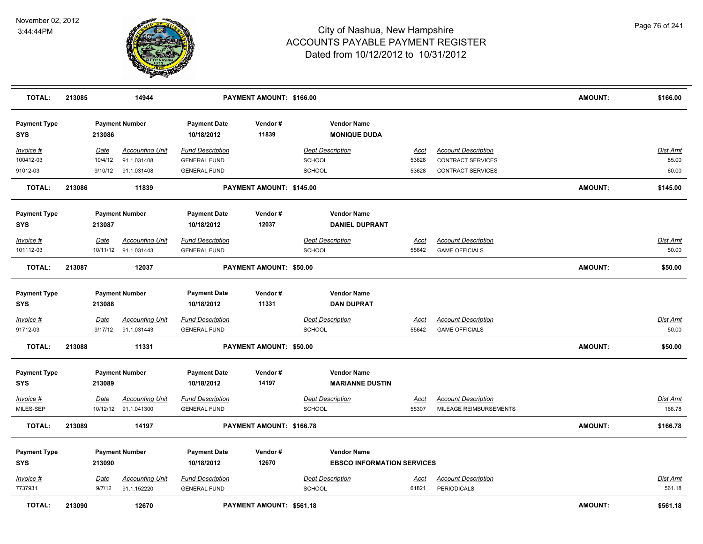

| <b>TOTAL:</b>                     | 213085 |             | 14944                  |                                   | PAYMENT AMOUNT: \$166.00 |               |                                           |             |                            | <b>AMOUNT:</b> | \$166.00        |
|-----------------------------------|--------|-------------|------------------------|-----------------------------------|--------------------------|---------------|-------------------------------------------|-------------|----------------------------|----------------|-----------------|
| <b>Payment Type</b><br><b>SYS</b> |        | 213086      | <b>Payment Number</b>  | <b>Payment Date</b><br>10/18/2012 | Vendor#<br>11839         |               | <b>Vendor Name</b><br><b>MONIQUE DUDA</b> |             |                            |                |                 |
| Invoice #                         |        | Date        | <b>Accounting Unit</b> | <b>Fund Description</b>           |                          |               | <b>Dept Description</b>                   | Acct        | <b>Account Description</b> |                | <b>Dist Amt</b> |
| 100412-03                         |        | 10/4/12     | 91.1.031408            | <b>GENERAL FUND</b>               |                          | SCHOOL        |                                           | 53628       | <b>CONTRACT SERVICES</b>   |                | 85.00           |
| 91012-03                          |        |             | 9/10/12 91.1.031408    | <b>GENERAL FUND</b>               |                          | <b>SCHOOL</b> |                                           | 53628       | CONTRACT SERVICES          |                | 60.00           |
| <b>TOTAL:</b>                     | 213086 |             | 11839                  |                                   | PAYMENT AMOUNT: \$145.00 |               |                                           |             |                            | <b>AMOUNT:</b> | \$145.00        |
| <b>Payment Type</b>               |        |             | <b>Payment Number</b>  | <b>Payment Date</b>               | Vendor#                  |               | <b>Vendor Name</b>                        |             |                            |                |                 |
| SYS                               |        | 213087      |                        | 10/18/2012                        | 12037                    |               | <b>DANIEL DUPRANT</b>                     |             |                            |                |                 |
| Invoice #                         |        | Date        | <b>Accounting Unit</b> | <b>Fund Description</b>           |                          |               | <b>Dept Description</b>                   | <u>Acct</u> | <b>Account Description</b> |                | <u>Dist Amt</u> |
| 101112-03                         |        |             | 10/11/12 91.1.031443   | <b>GENERAL FUND</b>               |                          | <b>SCHOOL</b> |                                           | 55642       | <b>GAME OFFICIALS</b>      |                | 50.00           |
| <b>TOTAL:</b>                     | 213087 |             | 12037                  |                                   | PAYMENT AMOUNT: \$50.00  |               |                                           |             |                            | <b>AMOUNT:</b> | \$50.00         |
| <b>Payment Type</b>               |        |             | <b>Payment Number</b>  | <b>Payment Date</b>               | Vendor#                  |               | <b>Vendor Name</b>                        |             |                            |                |                 |
| <b>SYS</b>                        |        | 213088      |                        | 10/18/2012                        | 11331                    |               | <b>DAN DUPRAT</b>                         |             |                            |                |                 |
| Invoice #                         |        | <b>Date</b> | <b>Accounting Unit</b> | <b>Fund Description</b>           |                          |               | <b>Dept Description</b>                   | <b>Acct</b> | <b>Account Description</b> |                | <b>Dist Amt</b> |
| 91712-03                          |        | 9/17/12     | 91.1.031443            | <b>GENERAL FUND</b>               |                          | <b>SCHOOL</b> |                                           | 55642       | <b>GAME OFFICIALS</b>      |                | 50.00           |
| <b>TOTAL:</b>                     | 213088 |             | 11331                  |                                   | PAYMENT AMOUNT: \$50.00  |               |                                           |             |                            | <b>AMOUNT:</b> | \$50.00         |
| <b>Payment Type</b>               |        |             | <b>Payment Number</b>  | <b>Payment Date</b>               | Vendor#                  |               | <b>Vendor Name</b>                        |             |                            |                |                 |
| <b>SYS</b>                        |        | 213089      |                        | 10/18/2012                        | 14197                    |               | <b>MARIANNE DUSTIN</b>                    |             |                            |                |                 |
| Invoice #                         |        | Date        | <b>Accounting Unit</b> | <b>Fund Description</b>           |                          |               | <b>Dept Description</b>                   | <b>Acct</b> | <b>Account Description</b> |                | Dist Amt        |
| MILES-SEP                         |        |             | 10/12/12 91.1.041300   | <b>GENERAL FUND</b>               |                          | <b>SCHOOL</b> |                                           | 55307       | MILEAGE REIMBURSEMENTS     |                | 166.78          |
| <b>TOTAL:</b>                     | 213089 |             | 14197                  |                                   | PAYMENT AMOUNT: \$166.78 |               |                                           |             |                            | <b>AMOUNT:</b> | \$166.78        |
| <b>Payment Type</b>               |        |             | <b>Payment Number</b>  | <b>Payment Date</b>               | Vendor#                  |               | <b>Vendor Name</b>                        |             |                            |                |                 |
| <b>SYS</b>                        |        | 213090      |                        | 10/18/2012                        | 12670                    |               | <b>EBSCO INFORMATION SERVICES</b>         |             |                            |                |                 |
| Invoice #                         |        | <b>Date</b> | <b>Accounting Unit</b> | <b>Fund Description</b>           |                          |               | <b>Dept Description</b>                   | <u>Acct</u> | <b>Account Description</b> |                | <b>Dist Amt</b> |
| 7737931                           |        | 9/7/12      | 91.1.152220            | <b>GENERAL FUND</b>               |                          | <b>SCHOOL</b> |                                           | 61821       | <b>PERIODICALS</b>         |                | 561.18          |
| <b>TOTAL:</b>                     | 213090 |             | 12670                  |                                   | PAYMENT AMOUNT: \$561.18 |               |                                           |             |                            | <b>AMOUNT:</b> | \$561.18        |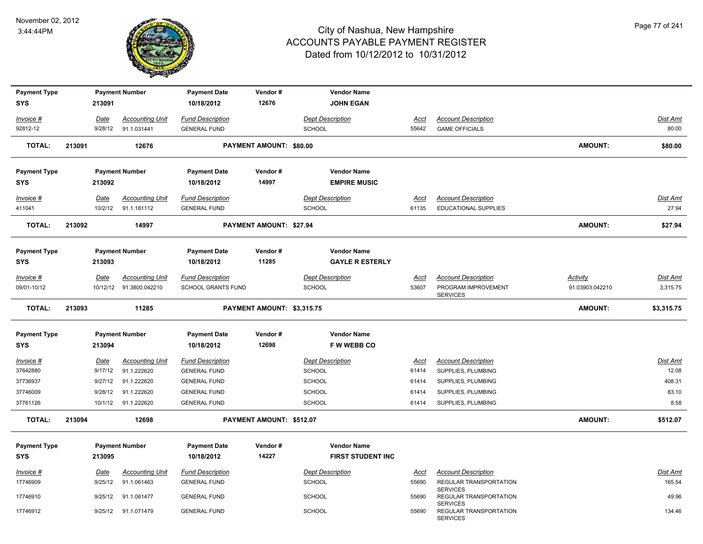

| <b>Payment Type</b>      |        |             | <b>Payment Number</b>                             | <b>Payment Date</b>                                  | Vendor#                    | <b>Vendor Name</b>                       |                      |                                                                      |                                    |                             |
|--------------------------|--------|-------------|---------------------------------------------------|------------------------------------------------------|----------------------------|------------------------------------------|----------------------|----------------------------------------------------------------------|------------------------------------|-----------------------------|
| <b>SYS</b>               |        | 213091      |                                                   | 10/18/2012                                           | 12676                      | <b>JOHN EGAN</b>                         |                      |                                                                      |                                    |                             |
| Invoice #                |        | Date        | <b>Accounting Unit</b>                            | <b>Fund Description</b>                              |                            | <b>Dept Description</b>                  | <u>Acct</u>          | <b>Account Description</b>                                           |                                    | <b>Dist Amt</b>             |
| 92812-12                 |        | 9/28/12     | 91.1.031441                                       | <b>GENERAL FUND</b>                                  |                            | <b>SCHOOL</b>                            | 55642                | <b>GAME OFFICIALS</b>                                                |                                    | 80.00                       |
| <b>TOTAL:</b>            | 213091 |             | 12676                                             |                                                      | PAYMENT AMOUNT: \$80.00    |                                          |                      |                                                                      | AMOUNT:                            | \$80.00                     |
| <b>Payment Type</b>      |        |             | <b>Payment Number</b>                             | <b>Payment Date</b>                                  | Vendor#                    | <b>Vendor Name</b>                       |                      |                                                                      |                                    |                             |
| <b>SYS</b>               |        | 213092      |                                                   | 10/18/2012                                           | 14997                      | <b>EMPIRE MUSIC</b>                      |                      |                                                                      |                                    |                             |
| Invoice #                |        | Date        | <b>Accounting Unit</b>                            | <b>Fund Description</b>                              |                            | <b>Dept Description</b>                  | <b>Acct</b>          | <b>Account Description</b>                                           |                                    | <b>Dist Amt</b>             |
| 411041                   |        | 10/2/12     | 91.1.181112                                       | <b>GENERAL FUND</b>                                  |                            | <b>SCHOOL</b>                            | 61135                | <b>EDUCATIONAL SUPPLIES</b>                                          |                                    | 27.94                       |
| <b>TOTAL:</b>            | 213092 |             | 14997                                             |                                                      | PAYMENT AMOUNT: \$27.94    |                                          |                      |                                                                      | AMOUNT:                            | \$27.94                     |
| <b>Payment Type</b>      |        |             | <b>Payment Number</b>                             | <b>Payment Date</b>                                  | Vendor#                    | <b>Vendor Name</b>                       |                      |                                                                      |                                    |                             |
| <b>SYS</b>               |        | 213093      |                                                   | 10/18/2012                                           | 11285                      | <b>GAYLE R ESTERLY</b>                   |                      |                                                                      |                                    |                             |
| Invoice #<br>09/01-10/12 |        | Date        | <b>Accounting Unit</b><br>10/12/12 91.3800.042210 | <b>Fund Description</b><br><b>SCHOOL GRANTS FUND</b> |                            | <b>Dept Description</b><br><b>SCHOOL</b> | <b>Acct</b><br>53607 | <b>Account Description</b><br>PROGRAM IMPROVEMENT<br><b>SERVICES</b> | <b>Activity</b><br>91.03903.042210 | <b>Dist Amt</b><br>3,315.75 |
|                          |        |             |                                                   |                                                      |                            |                                          |                      |                                                                      |                                    |                             |
| <b>TOTAL:</b>            | 213093 |             | 11285                                             |                                                      | PAYMENT AMOUNT: \$3,315.75 |                                          |                      |                                                                      | AMOUNT:                            | \$3,315.75                  |
| <b>Payment Type</b>      |        |             | <b>Payment Number</b>                             | <b>Payment Date</b>                                  | Vendor#                    | <b>Vendor Name</b>                       |                      |                                                                      |                                    |                             |
| <b>SYS</b>               |        | 213094      |                                                   | 10/18/2012                                           | 12698                      | <b>FWWEBBCO</b>                          |                      |                                                                      |                                    |                             |
| Invoice #                |        | Date        | <b>Accounting Unit</b>                            | <b>Fund Description</b>                              |                            | <b>Dept Description</b>                  | <b>Acct</b>          | <b>Account Description</b>                                           |                                    | <b>Dist Amt</b>             |
| 37642880                 |        | 9/17/12     | 91.1.222620                                       | <b>GENERAL FUND</b>                                  |                            | <b>SCHOOL</b>                            | 61414                | SUPPLIES, PLUMBING                                                   |                                    | 12.08                       |
| 37736937                 |        | 9/27/12     | 91.1.222620                                       | <b>GENERAL FUND</b>                                  |                            | <b>SCHOOL</b>                            | 61414                | SUPPLIES, PLUMBING                                                   |                                    | 408.31                      |
| 37746009<br>37761126     |        | 9/28/12     | 91.1.222620                                       | <b>GENERAL FUND</b>                                  |                            | SCHOOL                                   | 61414<br>61414       | SUPPLIES, PLUMBING                                                   |                                    | 83.10<br>8.58               |
| <b>TOTAL:</b>            | 213094 | 10/1/12     | 91.1.222620<br>12698                              | <b>GENERAL FUND</b>                                  | PAYMENT AMOUNT: \$512.07   | SCHOOL                                   |                      | SUPPLIES, PLUMBING                                                   | <b>AMOUNT:</b>                     | \$512.07                    |
| <b>Payment Type</b>      |        |             | <b>Payment Number</b>                             | <b>Payment Date</b>                                  | Vendor#                    | <b>Vendor Name</b>                       |                      |                                                                      |                                    |                             |
| <b>SYS</b>               |        | 213095      |                                                   | 10/18/2012                                           | 14227                      | <b>FIRST STUDENT INC</b>                 |                      |                                                                      |                                    |                             |
| <b>Invoice #</b>         |        | <b>Date</b> | <b>Accounting Unit</b>                            | <b>Fund Description</b>                              |                            | <b>Dept Description</b>                  | <u>Acct</u>          | <b>Account Description</b>                                           |                                    | <b>Dist Amt</b>             |
| 17746909                 |        | 9/25/12     | 91.1.061463                                       | <b>GENERAL FUND</b>                                  |                            | SCHOOL                                   | 55690                | REGULAR TRANSPORTATION                                               |                                    | 165.54                      |
| 17746910                 |        | 9/25/12     | 91.1.061477                                       | <b>GENERAL FUND</b>                                  |                            | <b>SCHOOL</b>                            | 55690                | <b>SERVICES</b><br>REGULAR TRANSPORTATION<br><b>SERVICES</b>         |                                    | 49.96                       |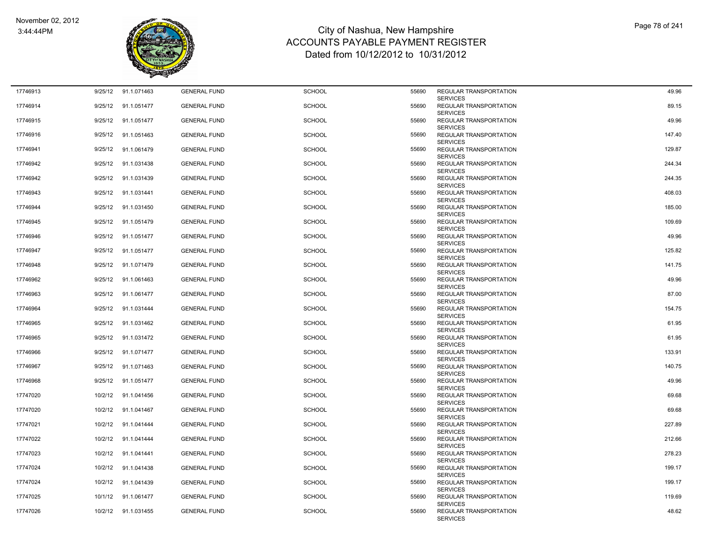

| 17746913 | 9/25/12 | 91.1.071463 | <b>GENERAL FUND</b> | <b>SCHOOL</b> | 55690 | REGULAR TRANSPORTATION                                              | 49.96  |
|----------|---------|-------------|---------------------|---------------|-------|---------------------------------------------------------------------|--------|
| 17746914 | 9/25/12 | 91.1.051477 | <b>GENERAL FUND</b> | <b>SCHOOL</b> | 55690 | <b>SERVICES</b><br><b>REGULAR TRANSPORTATION</b><br><b>SERVICES</b> | 89.15  |
| 17746915 | 9/25/12 | 91.1.051477 | <b>GENERAL FUND</b> | <b>SCHOOL</b> | 55690 | REGULAR TRANSPORTATION<br><b>SERVICES</b>                           | 49.96  |
| 17746916 | 9/25/12 | 91.1.051463 | <b>GENERAL FUND</b> | <b>SCHOOL</b> | 55690 | REGULAR TRANSPORTATION<br><b>SERVICES</b>                           | 147.40 |
| 17746941 | 9/25/12 | 91.1.061479 | <b>GENERAL FUND</b> | <b>SCHOOL</b> | 55690 | REGULAR TRANSPORTATION<br><b>SERVICES</b>                           | 129.87 |
| 17746942 | 9/25/12 | 91.1.031438 | <b>GENERAL FUND</b> | <b>SCHOOL</b> | 55690 | REGULAR TRANSPORTATION<br><b>SERVICES</b>                           | 244.34 |
| 17746942 | 9/25/12 | 91.1.031439 | <b>GENERAL FUND</b> | <b>SCHOOL</b> | 55690 | REGULAR TRANSPORTATION<br><b>SERVICES</b>                           | 244.35 |
| 17746943 | 9/25/12 | 91.1.031441 | <b>GENERAL FUND</b> | <b>SCHOOL</b> | 55690 | REGULAR TRANSPORTATION<br><b>SERVICES</b>                           | 408.03 |
| 17746944 | 9/25/12 | 91.1.031450 | <b>GENERAL FUND</b> | <b>SCHOOL</b> | 55690 | REGULAR TRANSPORTATION<br><b>SERVICES</b>                           | 185.00 |
| 17746945 | 9/25/12 | 91.1.051479 | <b>GENERAL FUND</b> | <b>SCHOOL</b> | 55690 | REGULAR TRANSPORTATION<br><b>SERVICES</b>                           | 109.69 |
| 17746946 | 9/25/12 | 91.1.051477 | <b>GENERAL FUND</b> | <b>SCHOOL</b> | 55690 | <b>REGULAR TRANSPORTATION</b><br><b>SERVICES</b>                    | 49.96  |
| 17746947 | 9/25/12 | 91.1.051477 | <b>GENERAL FUND</b> | <b>SCHOOL</b> | 55690 | REGULAR TRANSPORTATION<br><b>SERVICES</b>                           | 125.82 |
| 17746948 | 9/25/12 | 91.1.071479 | <b>GENERAL FUND</b> | <b>SCHOOL</b> | 55690 | REGULAR TRANSPORTATION<br><b>SERVICES</b>                           | 141.75 |
| 17746962 | 9/25/12 | 91.1.061463 | <b>GENERAL FUND</b> | SCHOOL        | 55690 | REGULAR TRANSPORTATION<br><b>SERVICES</b>                           | 49.96  |
| 17746963 | 9/25/12 | 91.1.061477 | <b>GENERAL FUND</b> | <b>SCHOOL</b> | 55690 | REGULAR TRANSPORTATION<br><b>SERVICES</b>                           | 87.00  |
| 17746964 | 9/25/12 | 91.1.031444 | <b>GENERAL FUND</b> | <b>SCHOOL</b> | 55690 | REGULAR TRANSPORTATION<br><b>SERVICES</b>                           | 154.75 |
| 17746965 | 9/25/12 | 91.1.031462 | <b>GENERAL FUND</b> | <b>SCHOOL</b> | 55690 | REGULAR TRANSPORTATION<br><b>SERVICES</b>                           | 61.95  |
| 17746965 | 9/25/12 | 91.1.031472 | <b>GENERAL FUND</b> | <b>SCHOOL</b> | 55690 | REGULAR TRANSPORTATION<br><b>SERVICES</b>                           | 61.95  |
| 17746966 | 9/25/12 | 91.1.071477 | <b>GENERAL FUND</b> | <b>SCHOOL</b> | 55690 | REGULAR TRANSPORTATION<br><b>SERVICES</b>                           | 133.91 |
| 17746967 | 9/25/12 | 91.1.071463 | <b>GENERAL FUND</b> | <b>SCHOOL</b> | 55690 | REGULAR TRANSPORTATION<br><b>SERVICES</b>                           | 140.75 |
| 17746968 | 9/25/12 | 91.1.051477 | <b>GENERAL FUND</b> | <b>SCHOOL</b> | 55690 | REGULAR TRANSPORTATION<br><b>SERVICES</b>                           | 49.96  |
| 17747020 | 10/2/12 | 91.1.041456 | <b>GENERAL FUND</b> | <b>SCHOOL</b> | 55690 | REGULAR TRANSPORTATION<br><b>SERVICES</b>                           | 69.68  |
| 17747020 | 10/2/12 | 91.1.041467 | <b>GENERAL FUND</b> | <b>SCHOOL</b> | 55690 | REGULAR TRANSPORTATION<br><b>SERVICES</b>                           | 69.68  |
| 17747021 | 10/2/12 | 91.1.041444 | <b>GENERAL FUND</b> | <b>SCHOOL</b> | 55690 | REGULAR TRANSPORTATION<br><b>SERVICES</b>                           | 227.89 |
| 17747022 | 10/2/12 | 91.1.041444 | <b>GENERAL FUND</b> | <b>SCHOOL</b> | 55690 | REGULAR TRANSPORTATION<br><b>SERVICES</b>                           | 212.66 |
| 17747023 | 10/2/12 | 91.1.041441 | <b>GENERAL FUND</b> | <b>SCHOOL</b> | 55690 | REGULAR TRANSPORTATION<br><b>SERVICES</b>                           | 278.23 |
| 17747024 | 10/2/12 | 91.1.041438 | <b>GENERAL FUND</b> | <b>SCHOOL</b> | 55690 | REGULAR TRANSPORTATION<br><b>SERVICES</b>                           | 199.17 |
| 17747024 | 10/2/12 | 91.1.041439 | <b>GENERAL FUND</b> | <b>SCHOOL</b> | 55690 | REGULAR TRANSPORTATION<br><b>SERVICES</b>                           | 199.17 |
| 17747025 | 10/1/12 | 91.1.061477 | <b>GENERAL FUND</b> | <b>SCHOOL</b> | 55690 | REGULAR TRANSPORTATION<br><b>SERVICES</b>                           | 119.69 |
| 17747026 | 10/2/12 | 91.1.031455 | <b>GENERAL FUND</b> | <b>SCHOOL</b> | 55690 | REGULAR TRANSPORTATION<br><b>SERVICES</b>                           | 48.62  |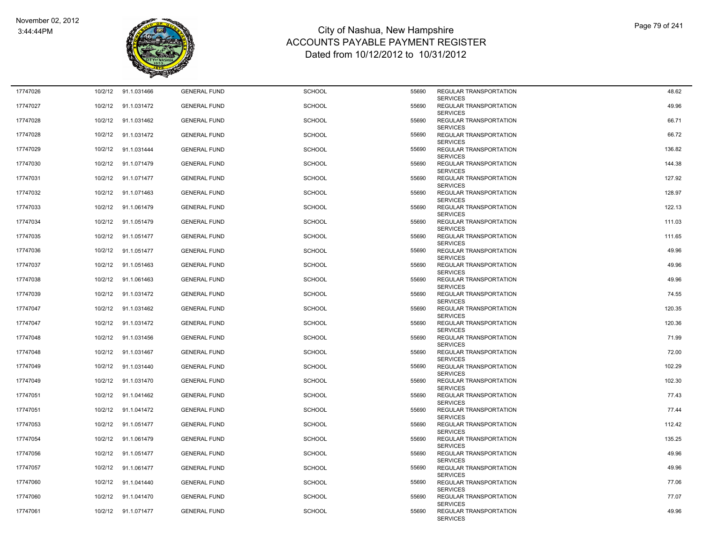

| 17747026 | 10/2/12 | 91.1.031466 | <b>GENERAL FUND</b> | <b>SCHOOL</b> | 55690 | REGULAR TRANSPORTATION                                              | 48.62  |
|----------|---------|-------------|---------------------|---------------|-------|---------------------------------------------------------------------|--------|
| 17747027 | 10/2/12 | 91.1.031472 | <b>GENERAL FUND</b> | <b>SCHOOL</b> | 55690 | <b>SERVICES</b><br><b>REGULAR TRANSPORTATION</b><br><b>SERVICES</b> | 49.96  |
| 17747028 | 10/2/12 | 91.1.031462 | <b>GENERAL FUND</b> | <b>SCHOOL</b> | 55690 | REGULAR TRANSPORTATION<br><b>SERVICES</b>                           | 66.71  |
| 17747028 | 10/2/12 | 91.1.031472 | <b>GENERAL FUND</b> | <b>SCHOOL</b> | 55690 | REGULAR TRANSPORTATION<br><b>SERVICES</b>                           | 66.72  |
| 17747029 | 10/2/12 | 91.1.031444 | <b>GENERAL FUND</b> | <b>SCHOOL</b> | 55690 | REGULAR TRANSPORTATION<br><b>SERVICES</b>                           | 136.82 |
| 17747030 | 10/2/12 | 91.1.071479 | <b>GENERAL FUND</b> | <b>SCHOOL</b> | 55690 | REGULAR TRANSPORTATION<br><b>SERVICES</b>                           | 144.38 |
| 17747031 | 10/2/12 | 91.1.071477 | <b>GENERAL FUND</b> | <b>SCHOOL</b> | 55690 | <b>REGULAR TRANSPORTATION</b><br><b>SERVICES</b>                    | 127.92 |
| 17747032 | 10/2/12 | 91.1.071463 | <b>GENERAL FUND</b> | <b>SCHOOL</b> | 55690 | REGULAR TRANSPORTATION<br><b>SERVICES</b>                           | 128.97 |
| 17747033 | 10/2/12 | 91.1.061479 | <b>GENERAL FUND</b> | <b>SCHOOL</b> | 55690 | REGULAR TRANSPORTATION<br><b>SERVICES</b>                           | 122.13 |
| 17747034 | 10/2/12 | 91.1.051479 | <b>GENERAL FUND</b> | <b>SCHOOL</b> | 55690 | REGULAR TRANSPORTATION<br><b>SERVICES</b>                           | 111.03 |
| 17747035 | 10/2/12 | 91.1.051477 | <b>GENERAL FUND</b> | <b>SCHOOL</b> | 55690 | REGULAR TRANSPORTATION<br><b>SERVICES</b>                           | 111.65 |
| 17747036 | 10/2/12 | 91.1.051477 | <b>GENERAL FUND</b> | <b>SCHOOL</b> | 55690 | REGULAR TRANSPORTATION<br><b>SERVICES</b>                           | 49.96  |
| 17747037 | 10/2/12 | 91.1.051463 | <b>GENERAL FUND</b> | <b>SCHOOL</b> | 55690 | <b>REGULAR TRANSPORTATION</b><br><b>SERVICES</b>                    | 49.96  |
| 17747038 | 10/2/12 | 91.1.061463 | <b>GENERAL FUND</b> | SCHOOL        | 55690 | <b>REGULAR TRANSPORTATION</b><br><b>SERVICES</b>                    | 49.96  |
| 17747039 | 10/2/12 | 91.1.031472 | <b>GENERAL FUND</b> | <b>SCHOOL</b> | 55690 | REGULAR TRANSPORTATION<br><b>SERVICES</b>                           | 74.55  |
| 17747047 | 10/2/12 | 91.1.031462 | <b>GENERAL FUND</b> | <b>SCHOOL</b> | 55690 | REGULAR TRANSPORTATION<br><b>SERVICES</b>                           | 120.35 |
| 17747047 | 10/2/12 | 91.1.031472 | <b>GENERAL FUND</b> | <b>SCHOOL</b> | 55690 | REGULAR TRANSPORTATION<br><b>SERVICES</b>                           | 120.36 |
| 17747048 | 10/2/12 | 91.1.031456 | <b>GENERAL FUND</b> | <b>SCHOOL</b> | 55690 | REGULAR TRANSPORTATION<br><b>SERVICES</b>                           | 71.99  |
| 17747048 | 10/2/12 | 91.1.031467 | <b>GENERAL FUND</b> | <b>SCHOOL</b> | 55690 | REGULAR TRANSPORTATION<br><b>SERVICES</b>                           | 72.00  |
| 17747049 | 10/2/12 | 91.1.031440 | <b>GENERAL FUND</b> | <b>SCHOOL</b> | 55690 | REGULAR TRANSPORTATION<br><b>SERVICES</b>                           | 102.29 |
| 17747049 | 10/2/12 | 91.1.031470 | <b>GENERAL FUND</b> | <b>SCHOOL</b> | 55690 | REGULAR TRANSPORTATION<br><b>SERVICES</b>                           | 102.30 |
| 17747051 | 10/2/12 | 91.1.041462 | <b>GENERAL FUND</b> | <b>SCHOOL</b> | 55690 | REGULAR TRANSPORTATION<br><b>SERVICES</b>                           | 77.43  |
| 17747051 | 10/2/12 | 91.1.041472 | <b>GENERAL FUND</b> | <b>SCHOOL</b> | 55690 | REGULAR TRANSPORTATION<br><b>SERVICES</b>                           | 77.44  |
| 17747053 | 10/2/12 | 91.1.051477 | <b>GENERAL FUND</b> | <b>SCHOOL</b> | 55690 | REGULAR TRANSPORTATION<br><b>SERVICES</b>                           | 112.42 |
| 17747054 | 10/2/12 | 91.1.061479 | <b>GENERAL FUND</b> | <b>SCHOOL</b> | 55690 | REGULAR TRANSPORTATION<br><b>SERVICES</b>                           | 135.25 |
| 17747056 | 10/2/12 | 91.1.051477 | <b>GENERAL FUND</b> | SCHOOL        | 55690 | REGULAR TRANSPORTATION<br><b>SERVICES</b>                           | 49.96  |
| 17747057 | 10/2/12 | 91.1.061477 | <b>GENERAL FUND</b> | SCHOOL        | 55690 | REGULAR TRANSPORTATION<br><b>SERVICES</b>                           | 49.96  |
| 17747060 | 10/2/12 | 91.1.041440 | <b>GENERAL FUND</b> | SCHOOL        | 55690 | REGULAR TRANSPORTATION<br><b>SERVICES</b>                           | 77.06  |
| 17747060 | 10/2/12 | 91.1.041470 | <b>GENERAL FUND</b> | <b>SCHOOL</b> | 55690 | REGULAR TRANSPORTATION<br><b>SERVICES</b>                           | 77.07  |
| 17747061 | 10/2/12 | 91.1.071477 | <b>GENERAL FUND</b> | <b>SCHOOL</b> | 55690 | REGULAR TRANSPORTATION<br><b>SERVICES</b>                           | 49.96  |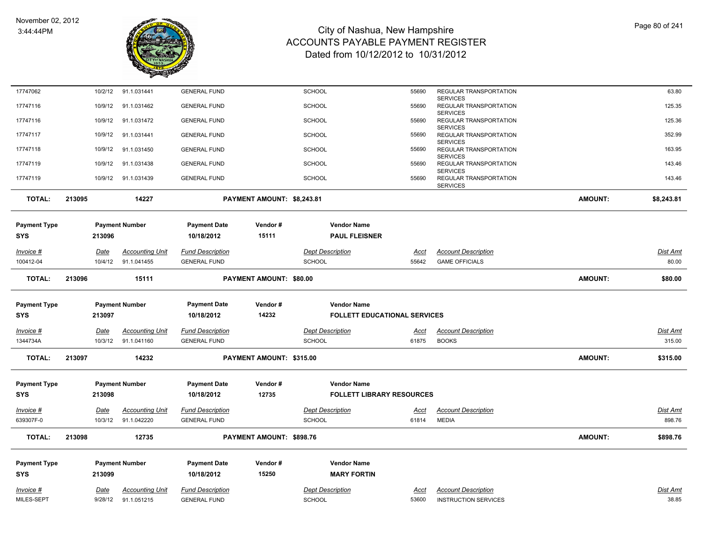

| 17747062                   |             | 10/2/12 | 91.1.031441            | <b>GENERAL FUND</b>               |                            | SCHOOL        |                                          | 55690       | REGULAR TRANSPORTATION                                       |                | 63.80           |
|----------------------------|-------------|---------|------------------------|-----------------------------------|----------------------------|---------------|------------------------------------------|-------------|--------------------------------------------------------------|----------------|-----------------|
| 17747116                   |             | 10/9/12 | 91.1.031462            | <b>GENERAL FUND</b>               |                            | <b>SCHOOL</b> |                                          | 55690       | <b>SERVICES</b><br>REGULAR TRANSPORTATION<br><b>SERVICES</b> |                | 125.35          |
| 17747116                   |             | 10/9/12 | 91.1.031472            | <b>GENERAL FUND</b>               |                            | <b>SCHOOL</b> |                                          | 55690       | REGULAR TRANSPORTATION                                       |                | 125.36          |
| 17747117                   |             | 10/9/12 | 91.1.031441            | <b>GENERAL FUND</b>               |                            | <b>SCHOOL</b> |                                          | 55690       | <b>SERVICES</b><br>REGULAR TRANSPORTATION                    |                | 352.99          |
| 17747118                   |             | 10/9/12 | 91.1.031450            | <b>GENERAL FUND</b>               |                            | <b>SCHOOL</b> |                                          | 55690       | <b>SERVICES</b><br>REGULAR TRANSPORTATION<br><b>SERVICES</b> |                | 163.95          |
| 17747119                   |             | 10/9/12 | 91.1.031438            | <b>GENERAL FUND</b>               |                            | <b>SCHOOL</b> |                                          | 55690       | REGULAR TRANSPORTATION                                       |                | 143.46          |
| 17747119                   |             | 10/9/12 | 91.1.031439            | <b>GENERAL FUND</b>               |                            | <b>SCHOOL</b> |                                          | 55690       | <b>SERVICES</b><br>REGULAR TRANSPORTATION<br><b>SERVICES</b> |                | 143.46          |
| <b>TOTAL:</b>              | 213095      |         | 14227                  |                                   | PAYMENT AMOUNT: \$8,243.81 |               |                                          |             |                                                              | <b>AMOUNT:</b> | \$8,243.81      |
| <b>Payment Type</b>        |             |         | <b>Payment Number</b>  | <b>Payment Date</b>               | Vendor#                    |               | <b>Vendor Name</b>                       |             |                                                              |                |                 |
| SYS                        | 213096      |         |                        | 10/18/2012                        | 15111                      |               | <b>PAUL FLEISNER</b>                     |             |                                                              |                |                 |
| Invoice #                  | Date        |         | <b>Accounting Unit</b> | <b>Fund Description</b>           |                            |               | <b>Dept Description</b>                  | Acct        | <b>Account Description</b>                                   |                | <b>Dist Amt</b> |
| 100412-04                  |             | 10/4/12 | 91.1.041455            | <b>GENERAL FUND</b>               |                            | <b>SCHOOL</b> |                                          | 55642       | <b>GAME OFFICIALS</b>                                        |                | 80.00           |
| <b>TOTAL:</b>              | 213096      |         | 15111                  |                                   | PAYMENT AMOUNT: \$80.00    |               |                                          |             |                                                              | <b>AMOUNT:</b> | \$80.00         |
| <b>Payment Type</b>        |             |         | <b>Payment Number</b>  | <b>Payment Date</b>               | Vendor#                    |               | <b>Vendor Name</b>                       |             |                                                              |                |                 |
| SYS                        | 213097      |         |                        | 10/18/2012                        | 14232                      |               | <b>FOLLETT EDUCATIONAL SERVICES</b>      |             |                                                              |                |                 |
|                            |             |         |                        |                                   |                            |               |                                          |             |                                                              |                |                 |
| Invoice #                  | <b>Date</b> |         | <b>Accounting Unit</b> | <u>Fund Description</u>           |                            |               | <b>Dept Description</b>                  | <u>Acct</u> | <b>Account Description</b>                                   |                | <b>Dist Amt</b> |
| 1344734A                   |             | 10/3/12 | 91.1.041160            | <b>GENERAL FUND</b>               |                            | <b>SCHOOL</b> |                                          | 61875       | <b>BOOKS</b>                                                 |                | 315.00          |
| <b>TOTAL:</b>              | 213097      |         | 14232                  |                                   | PAYMENT AMOUNT: \$315.00   |               |                                          |             |                                                              | <b>AMOUNT:</b> | \$315.00        |
| <b>Payment Type</b>        |             |         | <b>Payment Number</b>  | <b>Payment Date</b>               | Vendor#                    |               | <b>Vendor Name</b>                       |             |                                                              |                |                 |
| SYS                        | 213098      |         |                        | 10/18/2012                        | 12735                      |               | <b>FOLLETT LIBRARY RESOURCES</b>         |             |                                                              |                |                 |
| Invoice #                  | Date        |         | <b>Accounting Unit</b> | <b>Fund Description</b>           |                            |               | <b>Dept Description</b>                  | <u>Acct</u> | <b>Account Description</b>                                   |                | Dist Amt        |
| 639307F-0                  |             | 10/3/12 | 91.1.042220            | <b>GENERAL FUND</b>               |                            | <b>SCHOOL</b> |                                          | 61814       | <b>MEDIA</b>                                                 |                | 898.76          |
| <b>TOTAL:</b>              | 213098      |         | 12735                  |                                   | PAYMENT AMOUNT: \$898.76   |               |                                          |             |                                                              | <b>AMOUNT:</b> | \$898.76        |
|                            |             |         |                        |                                   |                            |               |                                          |             |                                                              |                |                 |
| <b>Payment Type</b><br>SYS | 213099      |         | <b>Payment Number</b>  | <b>Payment Date</b><br>10/18/2012 | Vendor#<br>15250           |               | <b>Vendor Name</b><br><b>MARY FORTIN</b> |             |                                                              |                |                 |
|                            |             |         |                        |                                   |                            |               |                                          |             |                                                              |                |                 |
| Invoice #                  | Date        |         | <b>Accounting Unit</b> | <b>Fund Description</b>           |                            |               | <b>Dept Description</b>                  | Acct        | <b>Account Description</b>                                   |                | <b>Dist Amt</b> |
| MILES-SEPT                 |             | 9/28/12 | 91.1.051215            | <b>GENERAL FUND</b>               |                            | <b>SCHOOL</b> |                                          | 53600       | <b>INSTRUCTION SERVICES</b>                                  |                | 38.85           |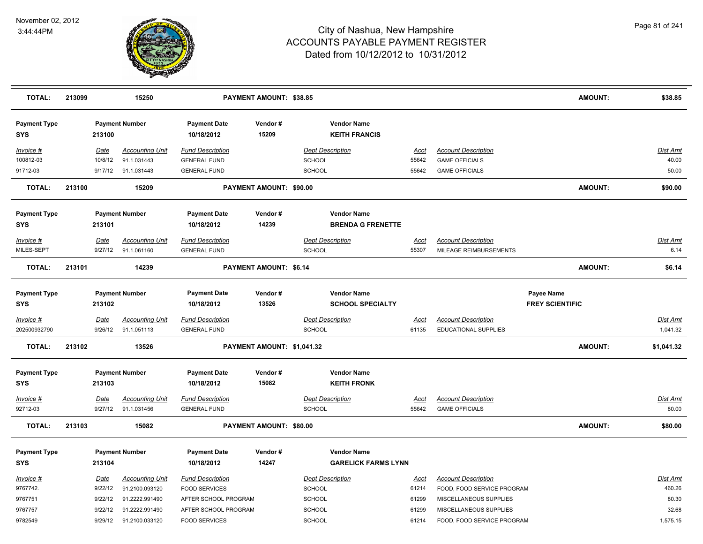

| <b>TOTAL:</b>                     | 213099 |             | 15250                  |                                   | <b>PAYMENT AMOUNT: \$38.85</b> |                                            |             |                            | <b>AMOUNT:</b>         | \$38.85         |
|-----------------------------------|--------|-------------|------------------------|-----------------------------------|--------------------------------|--------------------------------------------|-------------|----------------------------|------------------------|-----------------|
| <b>Payment Type</b><br><b>SYS</b> |        | 213100      | <b>Payment Number</b>  | <b>Payment Date</b><br>10/18/2012 | Vendor#<br>15209               | <b>Vendor Name</b><br><b>KEITH FRANCIS</b> |             |                            |                        |                 |
| Invoice #                         |        | Date        | <b>Accounting Unit</b> | <b>Fund Description</b>           |                                | <b>Dept Description</b>                    | Acct        | <b>Account Description</b> |                        | Dist Amt        |
| 100812-03                         |        | 10/8/12     | 91.1.031443            | <b>GENERAL FUND</b>               |                                | <b>SCHOOL</b>                              | 55642       | <b>GAME OFFICIALS</b>      |                        | 40.00           |
| 91712-03                          |        | 9/17/12     | 91.1.031443            | <b>GENERAL FUND</b>               |                                | <b>SCHOOL</b>                              | 55642       | <b>GAME OFFICIALS</b>      |                        | 50.00           |
| <b>TOTAL:</b>                     | 213100 |             | 15209                  |                                   | PAYMENT AMOUNT: \$90.00        |                                            |             |                            | <b>AMOUNT:</b>         | \$90.00         |
| <b>Payment Type</b>               |        |             | <b>Payment Number</b>  | <b>Payment Date</b>               | Vendor#                        | <b>Vendor Name</b>                         |             |                            |                        |                 |
| <b>SYS</b>                        |        | 213101      |                        | 10/18/2012                        | 14239                          | <b>BRENDA G FRENETTE</b>                   |             |                            |                        |                 |
| Invoice #                         |        | Date        | <b>Accounting Unit</b> | <b>Fund Description</b>           |                                | <b>Dept Description</b>                    | Acct        | <b>Account Description</b> |                        | Dist Amt        |
| MILES-SEPT                        |        | 9/27/12     | 91.1.061160            | <b>GENERAL FUND</b>               |                                | <b>SCHOOL</b>                              | 55307       | MILEAGE REIMBURSEMENTS     |                        | 6.14            |
| <b>TOTAL:</b>                     | 213101 |             | 14239                  |                                   | PAYMENT AMOUNT: \$6.14         |                                            |             |                            | <b>AMOUNT:</b>         | \$6.14          |
| <b>Payment Type</b>               |        |             | <b>Payment Number</b>  | <b>Payment Date</b>               | Vendor#                        | <b>Vendor Name</b>                         |             |                            | Payee Name             |                 |
| <b>SYS</b>                        |        | 213102      |                        | 10/18/2012                        | 13526                          | <b>SCHOOL SPECIALTY</b>                    |             |                            | <b>FREY SCIENTIFIC</b> |                 |
| $Invoice$ #                       |        | <u>Date</u> | <b>Accounting Unit</b> | <b>Fund Description</b>           |                                | <b>Dept Description</b>                    | <u>Acct</u> | <b>Account Description</b> |                        | <b>Dist Amt</b> |
| 202500932790                      |        | 9/26/12     | 91.1.051113            | <b>GENERAL FUND</b>               |                                | <b>SCHOOL</b>                              | 61135       | EDUCATIONAL SUPPLIES       |                        | 1,041.32        |
| <b>TOTAL:</b>                     | 213102 |             | 13526                  |                                   | PAYMENT AMOUNT: \$1,041.32     |                                            |             |                            | <b>AMOUNT:</b>         | \$1,041.32      |
| <b>Payment Type</b>               |        |             | <b>Payment Number</b>  | <b>Payment Date</b>               | Vendor#                        | <b>Vendor Name</b>                         |             |                            |                        |                 |
| <b>SYS</b>                        |        | 213103      |                        | 10/18/2012                        | 15082                          | <b>KEITH FRONK</b>                         |             |                            |                        |                 |
| Invoice #                         |        | Date        | <b>Accounting Unit</b> | <b>Fund Description</b>           |                                | <b>Dept Description</b>                    | Acct        | <b>Account Description</b> |                        | Dist Amt        |
| 92712-03                          |        | 9/27/12     | 91.1.031456            | <b>GENERAL FUND</b>               |                                | <b>SCHOOL</b>                              | 55642       | <b>GAME OFFICIALS</b>      |                        | 80.00           |
| <b>TOTAL:</b>                     | 213103 |             | 15082                  |                                   | PAYMENT AMOUNT: \$80.00        |                                            |             |                            | <b>AMOUNT:</b>         | \$80.00         |
| <b>Payment Type</b>               |        |             | <b>Payment Number</b>  | <b>Payment Date</b>               | Vendor#                        | <b>Vendor Name</b>                         |             |                            |                        |                 |
| <b>SYS</b>                        |        | 213104      |                        | 10/18/2012                        | 14247                          | <b>GARELICK FARMS LYNN</b>                 |             |                            |                        |                 |
| Invoice #                         |        | Date        | <b>Accounting Unit</b> | <b>Fund Description</b>           |                                | <b>Dept Description</b>                    | Acct        | <b>Account Description</b> |                        | Dist Amt        |
| 9767742.                          |        | 9/22/12     | 91.2100.093120         | <b>FOOD SERVICES</b>              |                                | <b>SCHOOL</b>                              | 61214       | FOOD, FOOD SERVICE PROGRAM |                        | 460.26          |
| 9767751                           |        | 9/22/12     | 91.2222.991490         | AFTER SCHOOL PROGRAM              |                                | SCHOOL                                     | 61299       | MISCELLANEOUS SUPPLIES     |                        | 80.30           |
| 9767757                           |        | 9/22/12     | 91.2222.991490         | AFTER SCHOOL PROGRAM              |                                | <b>SCHOOL</b>                              | 61299       | MISCELLANEOUS SUPPLIES     |                        | 32.68           |
| 9782549                           |        | 9/29/12     | 91.2100.033120         | <b>FOOD SERVICES</b>              |                                | <b>SCHOOL</b>                              | 61214       | FOOD, FOOD SERVICE PROGRAM |                        | 1,575.15        |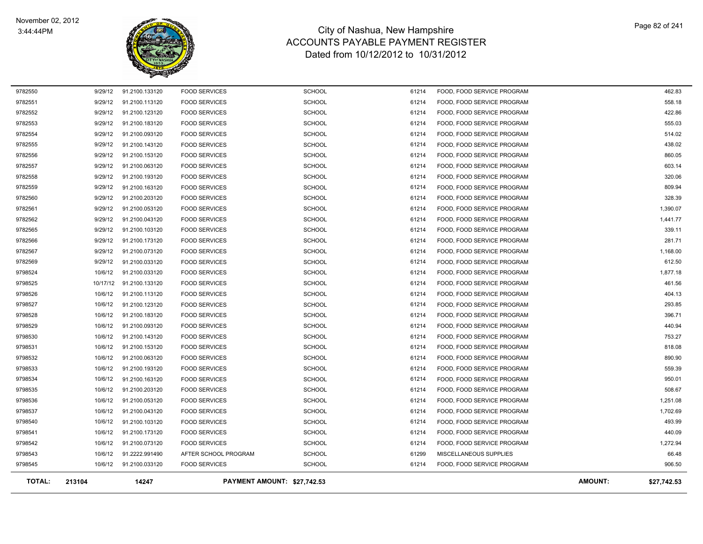

| <b>TOTAL:</b>      | 213104             | 14247                            |                                              | PAYMENT AMOUNT: \$27,742.53    |                |                                                          | <b>AMOUNT:</b><br>\$27,742.53 |
|--------------------|--------------------|----------------------------------|----------------------------------------------|--------------------------------|----------------|----------------------------------------------------------|-------------------------------|
| 9798545            | 10/6/12            | 91.2100.033120                   | <b>FOOD SERVICES</b>                         | <b>SCHOOL</b>                  | 61214          | FOOD, FOOD SERVICE PROGRAM                               | 906.50                        |
| 9798543            | 10/6/12            | 91.2222.991490                   | AFTER SCHOOL PROGRAM                         | <b>SCHOOL</b>                  | 61299          | MISCELLANEOUS SUPPLIES                                   | 66.48                         |
| 9798542            | 10/6/12            | 91.2100.073120                   | <b>FOOD SERVICES</b>                         | <b>SCHOOL</b>                  | 61214          | FOOD, FOOD SERVICE PROGRAM                               | 1,272.94                      |
| 9798541            | 10/6/12            | 91.2100.173120                   | <b>FOOD SERVICES</b>                         | <b>SCHOOL</b>                  | 61214          | FOOD, FOOD SERVICE PROGRAM                               | 440.09                        |
| 9798540            | 10/6/12            | 91.2100.103120                   | <b>FOOD SERVICES</b>                         | <b>SCHOOL</b>                  | 61214          | FOOD, FOOD SERVICE PROGRAM                               | 493.99                        |
| 9798537            | 10/6/12            | 91.2100.043120                   | <b>FOOD SERVICES</b>                         | <b>SCHOOL</b>                  | 61214          | FOOD, FOOD SERVICE PROGRAM                               | 1,702.69                      |
| 9798536            | 10/6/12            | 91.2100.053120                   | <b>FOOD SERVICES</b>                         | <b>SCHOOL</b>                  | 61214          | FOOD, FOOD SERVICE PROGRAM                               | 1,251.08                      |
| 9798535            | 10/6/12            | 91.2100.203120                   | <b>FOOD SERVICES</b>                         | <b>SCHOOL</b>                  | 61214          | FOOD, FOOD SERVICE PROGRAM                               | 508.67                        |
| 9798534            | 10/6/12            | 91.2100.163120                   | <b>FOOD SERVICES</b>                         | <b>SCHOOL</b>                  | 61214          | FOOD, FOOD SERVICE PROGRAM                               | 950.01                        |
| 9798533            | 10/6/12            | 91.2100.193120                   | <b>FOOD SERVICES</b>                         | <b>SCHOOL</b>                  | 61214          | FOOD, FOOD SERVICE PROGRAM                               | 559.39                        |
| 9798532            | 10/6/12            | 91.2100.063120                   | <b>FOOD SERVICES</b>                         | <b>SCHOOL</b>                  | 61214          | FOOD, FOOD SERVICE PROGRAM                               | 890.90                        |
| 9798531            | 10/6/12            | 91.2100.153120                   | <b>FOOD SERVICES</b>                         | <b>SCHOOL</b>                  | 61214          | FOOD, FOOD SERVICE PROGRAM                               | 818.08                        |
| 9798530            | 10/6/12            | 91.2100.143120                   | <b>FOOD SERVICES</b>                         | <b>SCHOOL</b>                  | 61214          | FOOD, FOOD SERVICE PROGRAM                               | 753.27                        |
| 9798529            | 10/6/12            | 91.2100.093120                   | <b>FOOD SERVICES</b>                         | <b>SCHOOL</b>                  | 61214          | FOOD, FOOD SERVICE PROGRAM                               | 440.94                        |
| 9798528            | 10/6/12            | 91.2100.183120                   | <b>FOOD SERVICES</b>                         | <b>SCHOOL</b>                  | 61214          | FOOD, FOOD SERVICE PROGRAM                               | 396.71                        |
| 9798527            | 10/6/12            | 91.2100.123120                   | <b>FOOD SERVICES</b>                         | <b>SCHOOL</b>                  | 61214          | FOOD, FOOD SERVICE PROGRAM                               | 293.85                        |
| 9798526            | 10/6/12            | 91.2100.113120                   | <b>FOOD SERVICES</b>                         | <b>SCHOOL</b>                  | 61214          | FOOD, FOOD SERVICE PROGRAM                               | 404.13                        |
| 9798525            | 10/17/12           | 91.2100.133120                   | <b>FOOD SERVICES</b>                         | <b>SCHOOL</b>                  | 61214          | FOOD, FOOD SERVICE PROGRAM                               | 461.56                        |
| 9798524            | 10/6/12            | 91.2100.033120                   | <b>FOOD SERVICES</b>                         | <b>SCHOOL</b>                  | 61214          | FOOD, FOOD SERVICE PROGRAM                               | 1,877.18                      |
| 9782569            | 9/29/12            | 91.2100.033120                   | <b>FOOD SERVICES</b>                         | <b>SCHOOL</b>                  | 61214          | FOOD, FOOD SERVICE PROGRAM                               | 612.50                        |
| 9782567            | 9/29/12            | 91.2100.073120                   | <b>FOOD SERVICES</b>                         | <b>SCHOOL</b>                  | 61214          | FOOD, FOOD SERVICE PROGRAM                               | 1,168.00                      |
| 9782566            | 9/29/12            | 91.2100.173120                   | <b>FOOD SERVICES</b>                         | <b>SCHOOL</b>                  | 61214          | FOOD, FOOD SERVICE PROGRAM                               | 281.71                        |
| 9782565            | 9/29/12            | 91.2100.103120                   | <b>FOOD SERVICES</b>                         | <b>SCHOOL</b>                  | 61214          | FOOD, FOOD SERVICE PROGRAM                               | 339.11                        |
| 9782562            | 9/29/12            | 91.2100.043120                   | <b>FOOD SERVICES</b>                         | <b>SCHOOL</b>                  | 61214          | FOOD, FOOD SERVICE PROGRAM                               | 1,441.77                      |
| 9782560<br>9782561 | 9/29/12<br>9/29/12 | 91.2100.203120<br>91.2100.053120 | <b>FOOD SERVICES</b><br><b>FOOD SERVICES</b> | <b>SCHOOL</b><br><b>SCHOOL</b> | 61214<br>61214 | FOOD, FOOD SERVICE PROGRAM<br>FOOD, FOOD SERVICE PROGRAM | 1,390.07                      |
| 9782559            | 9/29/12            | 91.2100.163120                   | <b>FOOD SERVICES</b>                         | <b>SCHOOL</b>                  | 61214          | FOOD, FOOD SERVICE PROGRAM                               | 809.94<br>328.39              |
| 9782558            | 9/29/12            | 91.2100.193120                   | <b>FOOD SERVICES</b>                         | <b>SCHOOL</b>                  | 61214          | FOOD, FOOD SERVICE PROGRAM                               | 320.06                        |
| 9782557            | 9/29/12            | 91.2100.063120                   | <b>FOOD SERVICES</b>                         | <b>SCHOOL</b>                  | 61214          | FOOD, FOOD SERVICE PROGRAM                               | 603.14                        |
| 9782556            | 9/29/12            | 91.2100.153120                   | <b>FOOD SERVICES</b>                         | <b>SCHOOL</b>                  | 61214          | FOOD, FOOD SERVICE PROGRAM                               | 860.05                        |
| 9782555            | 9/29/12            | 91.2100.143120                   | <b>FOOD SERVICES</b>                         | <b>SCHOOL</b>                  | 61214          | FOOD, FOOD SERVICE PROGRAM                               | 438.02                        |
| 9782554            | 9/29/12            | 91.2100.093120                   | <b>FOOD SERVICES</b>                         | <b>SCHOOL</b>                  | 61214          | FOOD, FOOD SERVICE PROGRAM                               | 514.02                        |
| 9782553            | 9/29/12            | 91.2100.183120                   | <b>FOOD SERVICES</b>                         | <b>SCHOOL</b>                  | 61214          | FOOD, FOOD SERVICE PROGRAM                               | 555.03                        |
| 9782552            | 9/29/12            | 91.2100.123120                   | <b>FOOD SERVICES</b>                         | <b>SCHOOL</b>                  | 61214          | FOOD, FOOD SERVICE PROGRAM                               | 422.86                        |
| 9782551            | 9/29/12            | 91.2100.113120                   | <b>FOOD SERVICES</b>                         | <b>SCHOOL</b>                  | 61214          | FOOD, FOOD SERVICE PROGRAM                               | 558.18                        |
| 9782550            | 9/29/12            | 91.2100.133120                   | <b>FOOD SERVICES</b>                         | <b>SCHOOL</b>                  | 61214          | FOOD, FOOD SERVICE PROGRAM                               | 462.83                        |
|                    |                    |                                  |                                              |                                |                |                                                          |                               |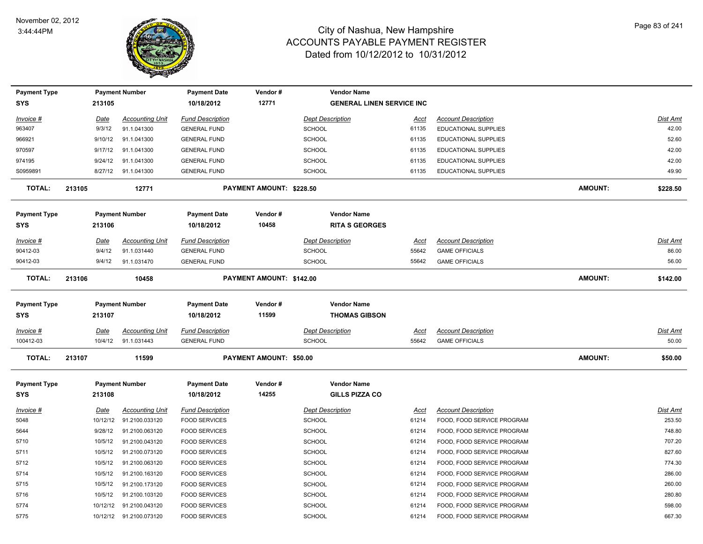

| <b>Payment Type</b> |             | <b>Payment Number</b>                              | <b>Payment Date</b>                          | Vendor#                        | <b>Vendor Name</b>               |             |                                                          |                |                  |
|---------------------|-------------|----------------------------------------------------|----------------------------------------------|--------------------------------|----------------------------------|-------------|----------------------------------------------------------|----------------|------------------|
| SYS                 | 213105      |                                                    | 10/18/2012                                   | 12771                          | <b>GENERAL LINEN SERVICE INC</b> |             |                                                          |                |                  |
| Invoice #           | <u>Date</u> | <b>Accounting Unit</b>                             | <b>Fund Description</b>                      |                                | <b>Dept Description</b>          | Acct        | <b>Account Description</b>                               |                | <b>Dist Amt</b>  |
| 963407              | 9/3/12      | 91.1.041300                                        | <b>GENERAL FUND</b>                          |                                | <b>SCHOOL</b>                    | 61135       | <b>EDUCATIONAL SUPPLIES</b>                              |                | 42.00            |
| 966921              | 9/10/12     | 91.1.041300                                        | <b>GENERAL FUND</b>                          |                                | <b>SCHOOL</b>                    | 61135       | <b>EDUCATIONAL SUPPLIES</b>                              |                | 52.60            |
| 970597              | 9/17/12     | 91.1.041300                                        | <b>GENERAL FUND</b>                          |                                | <b>SCHOOL</b>                    | 61135       | <b>EDUCATIONAL SUPPLIES</b>                              |                | 42.00            |
| 974195              | 9/24/12     | 91.1.041300                                        | <b>GENERAL FUND</b>                          |                                | <b>SCHOOL</b>                    | 61135       | EDUCATIONAL SUPPLIES                                     |                | 42.00            |
| S0959891            |             | 8/27/12 91.1.041300                                | <b>GENERAL FUND</b>                          |                                | <b>SCHOOL</b>                    | 61135       | <b>EDUCATIONAL SUPPLIES</b>                              |                | 49.90            |
| <b>TOTAL:</b>       | 213105      | 12771                                              |                                              | PAYMENT AMOUNT: \$228.50       |                                  |             |                                                          | AMOUNT:        | \$228.50         |
| <b>Payment Type</b> |             | <b>Payment Number</b>                              | <b>Payment Date</b>                          | Vendor#                        | <b>Vendor Name</b>               |             |                                                          |                |                  |
| <b>SYS</b>          | 213106      |                                                    | 10/18/2012                                   | 10458                          | <b>RITA S GEORGES</b>            |             |                                                          |                |                  |
| <b>Invoice #</b>    | <u>Date</u> | <b>Accounting Unit</b>                             | <b>Fund Description</b>                      |                                | <b>Dept Description</b>          | Acct        | <b>Account Description</b>                               |                | Dist Amt         |
| 90412-03            | 9/4/12      | 91.1.031440                                        | <b>GENERAL FUND</b>                          |                                | <b>SCHOOL</b>                    | 55642       | <b>GAME OFFICIALS</b>                                    |                | 86.00            |
| 90412-03            | 9/4/12      | 91.1.031470                                        | <b>GENERAL FUND</b>                          |                                | <b>SCHOOL</b>                    | 55642       | <b>GAME OFFICIALS</b>                                    |                | 56.00            |
| <b>TOTAL:</b>       | 213106      | 10458                                              |                                              | PAYMENT AMOUNT: \$142.00       |                                  |             |                                                          | AMOUNT:        | \$142.00         |
| <b>Payment Type</b> |             | <b>Payment Number</b>                              | <b>Payment Date</b>                          | Vendor#                        | <b>Vendor Name</b>               |             |                                                          |                |                  |
| SYS                 | 213107      |                                                    | 10/18/2012                                   | 11599                          | <b>THOMAS GIBSON</b>             |             |                                                          |                |                  |
| Invoice #           | Date        | <b>Accounting Unit</b>                             | <b>Fund Description</b>                      |                                | <b>Dept Description</b>          | Acct        | <b>Account Description</b>                               |                | Dist Amt         |
| 100412-03           | 10/4/12     | 91.1.031443                                        | <b>GENERAL FUND</b>                          |                                | <b>SCHOOL</b>                    | 55642       | <b>GAME OFFICIALS</b>                                    |                | 50.00            |
| <b>TOTAL:</b>       | 213107      | 11599                                              |                                              | <b>PAYMENT AMOUNT: \$50.00</b> |                                  |             |                                                          | <b>AMOUNT:</b> | \$50.00          |
| <b>Payment Type</b> |             | <b>Payment Number</b>                              | <b>Payment Date</b>                          | Vendor#                        | <b>Vendor Name</b>               |             |                                                          |                |                  |
| SYS                 | 213108      |                                                    | 10/18/2012                                   | 14255                          | <b>GILLS PIZZA CO</b>            |             |                                                          |                |                  |
| <b>Invoice #</b>    | <b>Date</b> | <b>Accounting Unit</b>                             | <b>Fund Description</b>                      |                                | <b>Dept Description</b>          | <u>Acct</u> | <b>Account Description</b>                               |                | <u>Dist Amt</u>  |
| 5048                | 10/12/12    | 91.2100.033120                                     | <b>FOOD SERVICES</b>                         |                                | <b>SCHOOL</b>                    | 61214       | FOOD, FOOD SERVICE PROGRAM                               |                | 253.50           |
| 5644                |             | 91.2100.063120                                     | <b>FOOD SERVICES</b>                         |                                | SCHOOL                           |             | FOOD, FOOD SERVICE PROGRAM                               |                | 748.80           |
|                     | 9/28/12     |                                                    |                                              |                                |                                  | 61214       |                                                          |                |                  |
| 5710                | 10/5/12     | 91.2100.043120                                     | <b>FOOD SERVICES</b>                         |                                | <b>SCHOOL</b>                    | 61214       | FOOD, FOOD SERVICE PROGRAM                               |                | 707.20           |
| 5711                | 10/5/12     | 91.2100.073120                                     | <b>FOOD SERVICES</b>                         |                                | SCHOOL                           | 61214       | FOOD, FOOD SERVICE PROGRAM                               |                | 827.60           |
| 5712                | 10/5/12     | 91.2100.063120                                     | <b>FOOD SERVICES</b>                         |                                | <b>SCHOOL</b>                    | 61214       | FOOD, FOOD SERVICE PROGRAM                               |                | 774.30           |
| 5714                | 10/5/12     | 91.2100.163120                                     | <b>FOOD SERVICES</b>                         |                                | <b>SCHOOL</b>                    | 61214       | FOOD, FOOD SERVICE PROGRAM                               |                | 286.00           |
| 5715                | 10/5/12     | 91.2100.173120                                     | <b>FOOD SERVICES</b>                         |                                | <b>SCHOOL</b>                    | 61214       | FOOD, FOOD SERVICE PROGRAM                               |                | 260.00           |
| 5716                | 10/5/12     | 91.2100.103120                                     | <b>FOOD SERVICES</b>                         |                                | <b>SCHOOL</b>                    | 61214       | FOOD, FOOD SERVICE PROGRAM                               |                | 280.80           |
| 5774                |             | 10/12/12 91.2100.043120<br>10/12/12 91.2100.073120 | <b>FOOD SERVICES</b><br><b>FOOD SERVICES</b> |                                | <b>SCHOOL</b><br><b>SCHOOL</b>   | 61214       | FOOD, FOOD SERVICE PROGRAM<br>FOOD, FOOD SERVICE PROGRAM |                | 598.00<br>667.30 |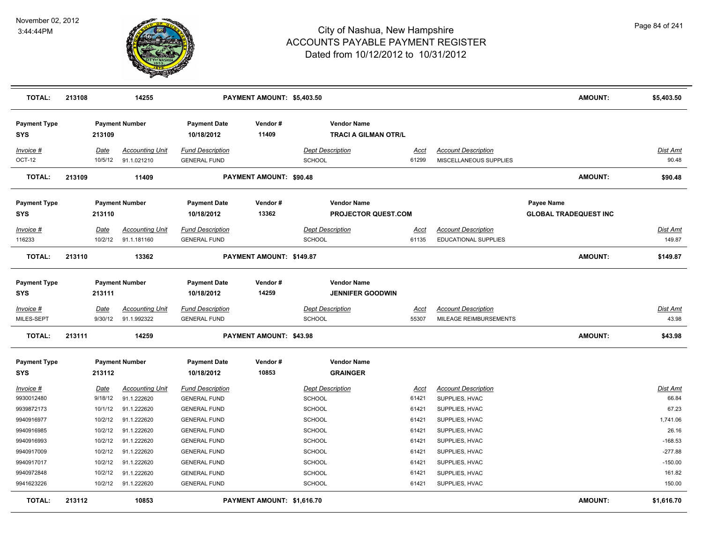

| <b>TOTAL:</b>                     | 213108 |                        | 14255                                 |                                                | PAYMENT AMOUNT: \$5,403.50 |                                   |                                                   |                      |                                                      | AMOUNT:                                    | \$5,403.50               |
|-----------------------------------|--------|------------------------|---------------------------------------|------------------------------------------------|----------------------------|-----------------------------------|---------------------------------------------------|----------------------|------------------------------------------------------|--------------------------------------------|--------------------------|
| <b>Payment Type</b><br>SYS        |        | 213109                 | <b>Payment Number</b>                 | <b>Payment Date</b><br>10/18/2012              | Vendor#<br>11409           |                                   | <b>Vendor Name</b><br><b>TRACI A GILMAN OTR/L</b> |                      |                                                      |                                            |                          |
| Invoice #<br>OCT-12               |        | Date<br>10/5/12        | <b>Accounting Unit</b><br>91.1.021210 | <b>Fund Description</b><br><b>GENERAL FUND</b> |                            | <b>Dept Description</b><br>SCHOOL |                                                   | Acct<br>61299        | <b>Account Description</b><br>MISCELLANEOUS SUPPLIES |                                            | Dist Amt<br>90.48        |
| <b>TOTAL:</b>                     | 213109 |                        | 11409                                 |                                                | PAYMENT AMOUNT: \$90.48    |                                   |                                                   |                      |                                                      | <b>AMOUNT:</b>                             | \$90.48                  |
| <b>Payment Type</b><br><b>SYS</b> |        | 213110                 | <b>Payment Number</b>                 | <b>Payment Date</b><br>10/18/2012              | Vendor#<br>13362           |                                   | <b>Vendor Name</b><br><b>PROJECTOR QUEST.COM</b>  |                      |                                                      | Payee Name<br><b>GLOBAL TRADEQUEST INC</b> |                          |
| Invoice #                         |        | Date                   | <b>Accounting Unit</b>                | <b>Fund Description</b>                        |                            | <b>Dept Description</b>           |                                                   | Acct                 | <b>Account Description</b>                           |                                            | Dist Amt                 |
| 116233                            |        | 10/2/12                | 91.1.181160                           | <b>GENERAL FUND</b>                            |                            | SCHOOL                            |                                                   | 61135                | <b>EDUCATIONAL SUPPLIES</b>                          |                                            | 149.87                   |
| <b>TOTAL:</b>                     | 213110 |                        | 13362                                 |                                                | PAYMENT AMOUNT: \$149.87   |                                   |                                                   |                      |                                                      | AMOUNT:                                    | \$149.87                 |
| <b>Payment Type</b><br><b>SYS</b> |        | 213111                 | <b>Payment Number</b>                 | <b>Payment Date</b><br>10/18/2012              | Vendor#<br>14259           |                                   | <b>Vendor Name</b><br><b>JENNIFER GOODWIN</b>     |                      |                                                      |                                            |                          |
| <u>Invoice #</u><br>MILES-SEPT    |        | <b>Date</b><br>9/30/12 | <b>Accounting Unit</b><br>91.1.992322 | <b>Fund Description</b><br><b>GENERAL FUND</b> |                            | <b>Dept Description</b><br>SCHOOL |                                                   | <u>Acct</u><br>55307 | <b>Account Description</b><br>MILEAGE REIMBURSEMENTS |                                            | <u>Dist Amt</u><br>43.98 |
| <b>TOTAL:</b>                     | 213111 |                        | 14259                                 |                                                | PAYMENT AMOUNT: \$43.98    |                                   |                                                   |                      |                                                      | AMOUNT:                                    | \$43.98                  |
| <b>Payment Type</b><br>SYS        |        | 213112                 | <b>Payment Number</b>                 | <b>Payment Date</b><br>10/18/2012              | Vendor#<br>10853           |                                   | <b>Vendor Name</b><br><b>GRAINGER</b>             |                      |                                                      |                                            |                          |
| Invoice #                         |        | Date                   | <b>Accounting Unit</b>                | <b>Fund Description</b>                        |                            | <b>Dept Description</b>           |                                                   | <u>Acct</u>          | <b>Account Description</b>                           |                                            | <u>Dist Amt</u>          |
| 9930012480                        |        | 9/18/12                | 91.1.222620                           | <b>GENERAL FUND</b>                            |                            | <b>SCHOOL</b>                     |                                                   | 61421                | SUPPLIES, HVAC                                       |                                            | 66.84                    |
| 9939872173                        |        | 10/1/12                | 91.1.222620                           | <b>GENERAL FUND</b>                            |                            | <b>SCHOOL</b>                     |                                                   | 61421                | SUPPLIES, HVAC                                       |                                            | 67.23                    |
| 9940916977                        |        | 10/2/12                | 91.1.222620                           | <b>GENERAL FUND</b>                            |                            | SCHOOL                            |                                                   | 61421                | SUPPLIES, HVAC                                       |                                            | 1,741.06                 |
| 9940916985                        |        | 10/2/12                | 91.1.222620                           | <b>GENERAL FUND</b>                            |                            | SCHOOL                            |                                                   | 61421                | SUPPLIES, HVAC                                       |                                            | 26.16                    |
| 9940916993                        |        | 10/2/12                | 91.1.222620                           | <b>GENERAL FUND</b>                            |                            | <b>SCHOOL</b>                     |                                                   | 61421                | SUPPLIES, HVAC                                       |                                            | $-168.53$                |
| 9940917009                        |        | 10/2/12                | 91.1.222620                           | <b>GENERAL FUND</b>                            |                            | SCHOOL                            |                                                   | 61421                | SUPPLIES, HVAC                                       |                                            | $-277.88$                |
| 9940917017                        |        | 10/2/12                | 91.1.222620                           | <b>GENERAL FUND</b>                            |                            | <b>SCHOOL</b>                     |                                                   | 61421                | SUPPLIES, HVAC                                       |                                            | $-150.00$                |
| 9940972848                        |        | 10/2/12                | 91.1.222620                           | <b>GENERAL FUND</b>                            |                            | <b>SCHOOL</b>                     |                                                   | 61421                | SUPPLIES, HVAC                                       |                                            | 161.82                   |
| 9941623226                        |        | 10/2/12                | 91.1.222620                           | <b>GENERAL FUND</b>                            |                            | <b>SCHOOL</b>                     |                                                   | 61421                | SUPPLIES, HVAC                                       |                                            | 150.00                   |
| <b>TOTAL:</b>                     | 213112 |                        | 10853                                 |                                                | PAYMENT AMOUNT: \$1,616.70 |                                   |                                                   |                      |                                                      | AMOUNT:                                    | \$1,616.70               |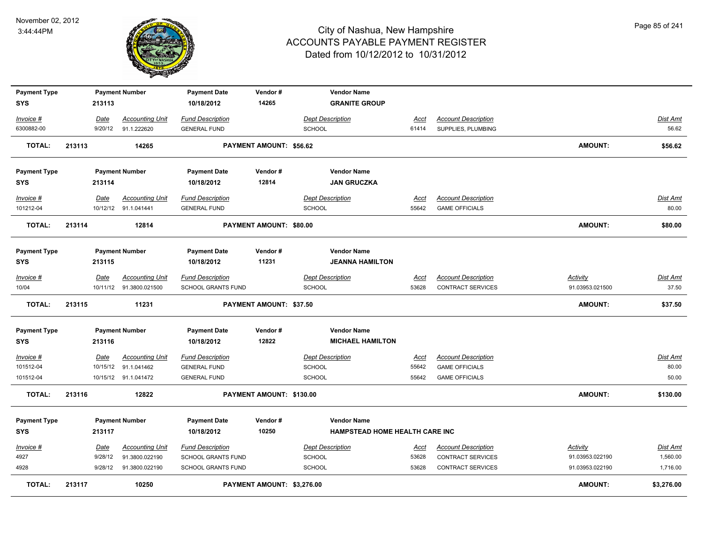

| <b>Payment Type</b> |        |             | <b>Payment Number</b>    | <b>Payment Date</b>       | Vendor#                        | <b>Vendor Name</b>             |             |                            |                 |                 |
|---------------------|--------|-------------|--------------------------|---------------------------|--------------------------------|--------------------------------|-------------|----------------------------|-----------------|-----------------|
| <b>SYS</b>          |        | 213113      |                          | 10/18/2012                | 14265                          | <b>GRANITE GROUP</b>           |             |                            |                 |                 |
| Invoice #           |        | Date        | <b>Accounting Unit</b>   | <b>Fund Description</b>   |                                | <b>Dept Description</b>        | Acct        | <b>Account Description</b> |                 | <b>Dist Amt</b> |
| 6300882-00          |        | 9/20/12     | 91.1.222620              | <b>GENERAL FUND</b>       |                                | <b>SCHOOL</b>                  | 61414       | SUPPLIES, PLUMBING         |                 | 56.62           |
| <b>TOTAL:</b>       | 213113 |             | 14265                    |                           | PAYMENT AMOUNT: \$56.62        |                                |             |                            | <b>AMOUNT:</b>  | \$56.62         |
| <b>Payment Type</b> |        |             | <b>Payment Number</b>    | <b>Payment Date</b>       | Vendor#                        | <b>Vendor Name</b>             |             |                            |                 |                 |
| SYS                 |        | 213114      |                          | 10/18/2012                | 12814                          | <b>JAN GRUCZKA</b>             |             |                            |                 |                 |
| Invoice #           |        | Date        | <b>Accounting Unit</b>   | <b>Fund Description</b>   |                                | <b>Dept Description</b>        | Acct        | <b>Account Description</b> |                 | Dist Amt        |
| 101212-04           |        |             | 10/12/12 91.1.041441     | <b>GENERAL FUND</b>       |                                | <b>SCHOOL</b>                  | 55642       | <b>GAME OFFICIALS</b>      |                 | 80.00           |
| <b>TOTAL:</b>       | 213114 |             | 12814                    |                           | <b>PAYMENT AMOUNT: \$80.00</b> |                                |             |                            | <b>AMOUNT:</b>  | \$80.00         |
| <b>Payment Type</b> |        |             | <b>Payment Number</b>    | <b>Payment Date</b>       | Vendor#                        | <b>Vendor Name</b>             |             |                            |                 |                 |
| SYS                 |        | 213115      |                          | 10/18/2012                | 11231                          | <b>JEANNA HAMILTON</b>         |             |                            |                 |                 |
| Invoice #           |        | Date        | <b>Accounting Unit</b>   | <b>Fund Description</b>   |                                | <b>Dept Description</b>        | Acct        | <b>Account Description</b> | <b>Activity</b> | Dist Amt        |
| 10/04               |        |             | 10/11/12  91.3800.021500 | SCHOOL GRANTS FUND        |                                | <b>SCHOOL</b>                  | 53628       | CONTRACT SERVICES          | 91.03953.021500 | 37.50           |
| <b>TOTAL:</b>       | 213115 |             | 11231                    |                           | PAYMENT AMOUNT: \$37.50        |                                |             |                            | <b>AMOUNT:</b>  | \$37.50         |
| <b>Payment Type</b> |        |             | <b>Payment Number</b>    | <b>Payment Date</b>       | Vendor#                        | <b>Vendor Name</b>             |             |                            |                 |                 |
| <b>SYS</b>          |        | 213116      |                          | 10/18/2012                | 12822                          | <b>MICHAEL HAMILTON</b>        |             |                            |                 |                 |
| <b>Invoice #</b>    |        | <b>Date</b> | <b>Accounting Unit</b>   | <b>Fund Description</b>   |                                | <b>Dept Description</b>        | <u>Acct</u> | <b>Account Description</b> |                 | <b>Dist Amt</b> |
| 101512-04           |        |             | 10/15/12 91.1.041462     | <b>GENERAL FUND</b>       |                                | <b>SCHOOL</b>                  | 55642       | <b>GAME OFFICIALS</b>      |                 | 80.00           |
| 101512-04           |        |             | 10/15/12 91.1.041472     | <b>GENERAL FUND</b>       |                                | <b>SCHOOL</b>                  | 55642       | <b>GAME OFFICIALS</b>      |                 | 50.00           |
| <b>TOTAL:</b>       | 213116 |             | 12822                    |                           | PAYMENT AMOUNT: \$130.00       |                                |             |                            | <b>AMOUNT:</b>  | \$130.00        |
| <b>Payment Type</b> |        |             | <b>Payment Number</b>    | <b>Payment Date</b>       | Vendor#                        | <b>Vendor Name</b>             |             |                            |                 |                 |
| <b>SYS</b>          |        | 213117      |                          | 10/18/2012                | 10250                          | HAMPSTEAD HOME HEALTH CARE INC |             |                            |                 |                 |
| Invoice #           |        | <u>Date</u> | <b>Accounting Unit</b>   | <b>Fund Description</b>   |                                | <b>Dept Description</b>        | <u>Acct</u> | <b>Account Description</b> | <b>Activity</b> | <u>Dist Amt</u> |
| 4927                |        | 9/28/12     | 91.3800.022190           | SCHOOL GRANTS FUND        |                                | <b>SCHOOL</b>                  | 53628       | CONTRACT SERVICES          | 91.03953.022190 | 1,560.00        |
| 4928                |        | 9/28/12     | 91.3800.022190           | <b>SCHOOL GRANTS FUND</b> |                                | <b>SCHOOL</b>                  | 53628       | <b>CONTRACT SERVICES</b>   | 91.03953.022190 | 1,716.00        |
| <b>TOTAL:</b>       | 213117 |             | 10250                    |                           | PAYMENT AMOUNT: \$3,276.00     |                                |             |                            | <b>AMOUNT:</b>  | \$3,276.00      |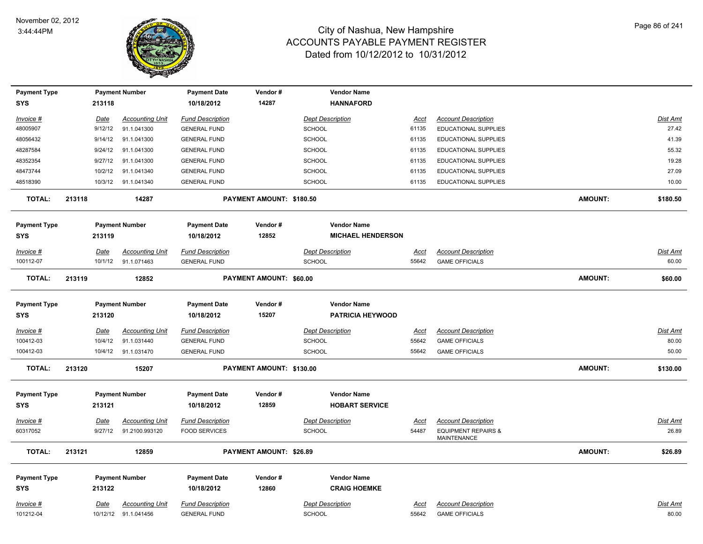

| <b>Payment Type</b> |        |             | <b>Payment Number</b>  | <b>Payment Date</b>     | Vendor#                  | <b>Vendor Name</b>       |             |                                               |                |                 |
|---------------------|--------|-------------|------------------------|-------------------------|--------------------------|--------------------------|-------------|-----------------------------------------------|----------------|-----------------|
| <b>SYS</b>          |        | 213118      |                        | 10/18/2012              | 14287                    | <b>HANNAFORD</b>         |             |                                               |                |                 |
| Invoice #           |        | Date        | <b>Accounting Unit</b> | <b>Fund Description</b> |                          | <b>Dept Description</b>  | <u>Acct</u> | <b>Account Description</b>                    |                | Dist Amt        |
| 48005907            |        | 9/12/12     | 91.1.041300            | <b>GENERAL FUND</b>     |                          | <b>SCHOOL</b>            | 61135       | <b>EDUCATIONAL SUPPLIES</b>                   |                | 27.42           |
| 48056432            |        | 9/14/12     | 91.1.041300            | <b>GENERAL FUND</b>     |                          | <b>SCHOOL</b>            | 61135       | EDUCATIONAL SUPPLIES                          |                | 41.39           |
| 48287584            |        | 9/24/12     | 91.1.041300            | <b>GENERAL FUND</b>     |                          | <b>SCHOOL</b>            | 61135       | EDUCATIONAL SUPPLIES                          |                | 55.32           |
| 48352354            |        | 9/27/12     | 91.1.041300            | <b>GENERAL FUND</b>     |                          | <b>SCHOOL</b>            | 61135       | EDUCATIONAL SUPPLIES                          |                | 19.28           |
| 48473744            |        | 10/2/12     | 91.1.041340            | <b>GENERAL FUND</b>     |                          | <b>SCHOOL</b>            | 61135       | EDUCATIONAL SUPPLIES                          |                | 27.09           |
| 48518390            |        |             | 10/3/12 91.1.041340    | <b>GENERAL FUND</b>     |                          | <b>SCHOOL</b>            | 61135       | EDUCATIONAL SUPPLIES                          |                | 10.00           |
| <b>TOTAL:</b>       | 213118 |             | 14287                  |                         | PAYMENT AMOUNT: \$180.50 |                          |             |                                               | <b>AMOUNT:</b> | \$180.50        |
| <b>Payment Type</b> |        |             | <b>Payment Number</b>  | <b>Payment Date</b>     | Vendor#                  | <b>Vendor Name</b>       |             |                                               |                |                 |
| SYS                 |        | 213119      |                        | 10/18/2012              | 12852                    | <b>MICHAEL HENDERSON</b> |             |                                               |                |                 |
| Invoice #           |        | Date        | <b>Accounting Unit</b> | <b>Fund Description</b> |                          | <b>Dept Description</b>  | Acct        | <b>Account Description</b>                    |                | Dist Amt        |
| 100112-07           |        | 10/1/12     | 91.1.071463            | <b>GENERAL FUND</b>     |                          | <b>SCHOOL</b>            | 55642       | <b>GAME OFFICIALS</b>                         |                | 60.00           |
| <b>TOTAL:</b>       | 213119 |             | 12852                  |                         | PAYMENT AMOUNT: \$60.00  |                          |             |                                               | <b>AMOUNT:</b> | \$60.00         |
| <b>Payment Type</b> |        |             | <b>Payment Number</b>  | <b>Payment Date</b>     | Vendor#                  | <b>Vendor Name</b>       |             |                                               |                |                 |
| <b>SYS</b>          |        | 213120      |                        | 10/18/2012              | 15207                    | <b>PATRICIA HEYWOOD</b>  |             |                                               |                |                 |
| Invoice #           |        | Date        | <b>Accounting Unit</b> | <b>Fund Description</b> |                          | <b>Dept Description</b>  | Acct        | <b>Account Description</b>                    |                | Dist Amt        |
| 100412-03           |        | 10/4/12     | 91.1.031440            | <b>GENERAL FUND</b>     |                          | <b>SCHOOL</b>            | 55642       | <b>GAME OFFICIALS</b>                         |                | 80.00           |
| 100412-03           |        | 10/4/12     | 91.1.031470            | <b>GENERAL FUND</b>     |                          | SCHOOL                   | 55642       | <b>GAME OFFICIALS</b>                         |                | 50.00           |
| <b>TOTAL:</b>       | 213120 |             | 15207                  |                         | PAYMENT AMOUNT: \$130.00 |                          |             |                                               | <b>AMOUNT:</b> | \$130.00        |
| <b>Payment Type</b> |        |             | <b>Payment Number</b>  | <b>Payment Date</b>     | Vendor#                  | <b>Vendor Name</b>       |             |                                               |                |                 |
| <b>SYS</b>          |        | 213121      |                        | 10/18/2012              | 12859                    | <b>HOBART SERVICE</b>    |             |                                               |                |                 |
| Invoice #           |        | Date        | <b>Accounting Unit</b> | <b>Fund Description</b> |                          | <b>Dept Description</b>  | <u>Acct</u> | <b>Account Description</b>                    |                | <b>Dist Amt</b> |
| 60317052            |        | 9/27/12     | 91.2100.993120         | <b>FOOD SERVICES</b>    |                          | <b>SCHOOL</b>            | 54487       | <b>EQUIPMENT REPAIRS &amp;</b><br>MAINTENANCE |                | 26.89           |
| <b>TOTAL:</b>       | 213121 |             | 12859                  |                         | PAYMENT AMOUNT: \$26.89  |                          |             |                                               | <b>AMOUNT:</b> | \$26.89         |
| <b>Payment Type</b> |        |             | <b>Payment Number</b>  | <b>Payment Date</b>     | Vendor#                  | <b>Vendor Name</b>       |             |                                               |                |                 |
| <b>SYS</b>          |        | 213122      |                        | 10/18/2012              | 12860                    | <b>CRAIG HOEMKE</b>      |             |                                               |                |                 |
| <u>Invoice #</u>    |        | <u>Date</u> | <u>Accounting Unit</u> | <b>Fund Description</b> |                          | <b>Dept Description</b>  | <u>Acct</u> | <b>Account Description</b>                    |                | <u>Dist Amt</u> |
| 101212-04           |        |             | 10/12/12 91.1.041456   | <b>GENERAL FUND</b>     |                          | <b>SCHOOL</b>            | 55642       | <b>GAME OFFICIALS</b>                         |                | 80.00           |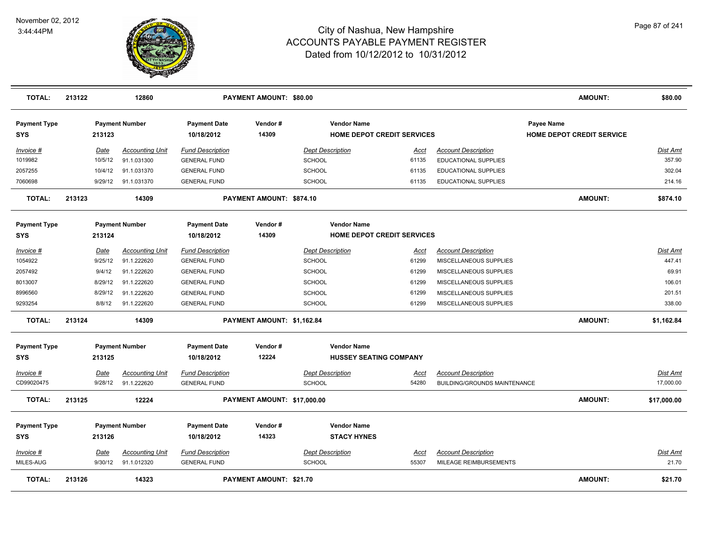

| <b>TOTAL:</b>                     | 213122      | 12860                  |                                   | PAYMENT AMOUNT: \$80.00     |                         |                                   |                                     | <b>AMOUNT:</b>                                 | \$80.00         |
|-----------------------------------|-------------|------------------------|-----------------------------------|-----------------------------|-------------------------|-----------------------------------|-------------------------------------|------------------------------------------------|-----------------|
| <b>Payment Type</b><br><b>SYS</b> | 213123      | <b>Payment Number</b>  | <b>Payment Date</b><br>10/18/2012 | Vendor#<br>14309            | <b>Vendor Name</b>      | <b>HOME DEPOT CREDIT SERVICES</b> |                                     | Payee Name<br><b>HOME DEPOT CREDIT SERVICE</b> |                 |
| Invoice #                         | Date        | <b>Accounting Unit</b> | <b>Fund Description</b>           |                             | <b>Dept Description</b> | Acct                              | <b>Account Description</b>          |                                                | <b>Dist Amt</b> |
| 1019982                           | 10/5/12     | 91.1.031300            | <b>GENERAL FUND</b>               |                             | SCHOOL                  | 61135                             | <b>EDUCATIONAL SUPPLIES</b>         |                                                | 357.90          |
| 2057255                           | 10/4/12     | 91.1.031370            | <b>GENERAL FUND</b>               |                             | <b>SCHOOL</b>           | 61135                             | EDUCATIONAL SUPPLIES                |                                                | 302.04          |
| 7060698                           | 9/29/12     | 91.1.031370            | <b>GENERAL FUND</b>               |                             | <b>SCHOOL</b>           | 61135                             | EDUCATIONAL SUPPLIES                |                                                | 214.16          |
| <b>TOTAL:</b>                     | 213123      | 14309                  |                                   | PAYMENT AMOUNT: \$874.10    |                         |                                   |                                     | <b>AMOUNT:</b>                                 | \$874.10        |
| <b>Payment Type</b>               |             | <b>Payment Number</b>  | <b>Payment Date</b>               | Vendor#                     | <b>Vendor Name</b>      |                                   |                                     |                                                |                 |
| <b>SYS</b>                        | 213124      |                        | 10/18/2012                        | 14309                       |                         | HOME DEPOT CREDIT SERVICES        |                                     |                                                |                 |
| Invoice #                         | <b>Date</b> | <b>Accounting Unit</b> | <b>Fund Description</b>           |                             | <b>Dept Description</b> | Acct                              | <b>Account Description</b>          |                                                | <b>Dist Amt</b> |
| 1054922                           | 9/25/12     | 91.1.222620            | <b>GENERAL FUND</b>               |                             | <b>SCHOOL</b>           | 61299                             | MISCELLANEOUS SUPPLIES              |                                                | 447.41          |
| 2057492                           | 9/4/12      | 91.1.222620            | <b>GENERAL FUND</b>               |                             | <b>SCHOOL</b>           | 61299                             | MISCELLANEOUS SUPPLIES              |                                                | 69.91           |
| 8013007                           | 8/29/12     | 91.1.222620            | <b>GENERAL FUND</b>               |                             | <b>SCHOOL</b>           | 61299                             | MISCELLANEOUS SUPPLIES              |                                                | 106.01          |
| 8996560                           | 8/29/12     | 91.1.222620            | <b>GENERAL FUND</b>               |                             | <b>SCHOOL</b>           | 61299                             | MISCELLANEOUS SUPPLIES              |                                                | 201.51          |
| 9293254                           | 8/8/12      | 91.1.222620            | <b>GENERAL FUND</b>               |                             | <b>SCHOOL</b>           | 61299                             | MISCELLANEOUS SUPPLIES              |                                                | 338.00          |
| <b>TOTAL:</b>                     | 213124      | 14309                  |                                   | PAYMENT AMOUNT: \$1,162.84  |                         |                                   |                                     | AMOUNT:                                        | \$1,162.84      |
| <b>Payment Type</b>               |             | <b>Payment Number</b>  | <b>Payment Date</b>               | Vendor#                     | <b>Vendor Name</b>      |                                   |                                     |                                                |                 |
| <b>SYS</b>                        | 213125      |                        | 10/18/2012                        | 12224                       | HUSSEY SEATING COMPANY  |                                   |                                     |                                                |                 |
| Invoice #                         | Date        | <b>Accounting Unit</b> | <b>Fund Description</b>           |                             | <b>Dept Description</b> | <u>Acct</u>                       | <b>Account Description</b>          |                                                | <b>Dist Amt</b> |
| CD99020475                        | 9/28/12     | 91.1.222620            | <b>GENERAL FUND</b>               |                             | SCHOOL                  | 54280                             | <b>BUILDING/GROUNDS MAINTENANCE</b> |                                                | 17,000.00       |
| <b>TOTAL:</b>                     | 213125      | 12224                  |                                   | PAYMENT AMOUNT: \$17,000.00 |                         |                                   |                                     | AMOUNT:                                        | \$17,000.00     |
| <b>Payment Type</b>               |             | <b>Payment Number</b>  | <b>Payment Date</b>               | Vendor#                     | <b>Vendor Name</b>      |                                   |                                     |                                                |                 |
| <b>SYS</b>                        | 213126      |                        | 10/18/2012                        | 14323                       | <b>STACY HYNES</b>      |                                   |                                     |                                                |                 |
| $Invoice$ #                       | <b>Date</b> | <u>Accounting Unit</u> | <b>Fund Description</b>           |                             | <b>Dept Description</b> | <u>Acct</u>                       | <b>Account Description</b>          |                                                | <u>Dist Amt</u> |
| MILES-AUG                         | 9/30/12     | 91.1.012320            | <b>GENERAL FUND</b>               |                             | <b>SCHOOL</b>           | 55307                             | MILEAGE REIMBURSEMENTS              |                                                | 21.70           |
| <b>TOTAL:</b>                     | 213126      | 14323                  |                                   | PAYMENT AMOUNT: \$21.70     |                         |                                   |                                     | <b>AMOUNT:</b>                                 | \$21.70         |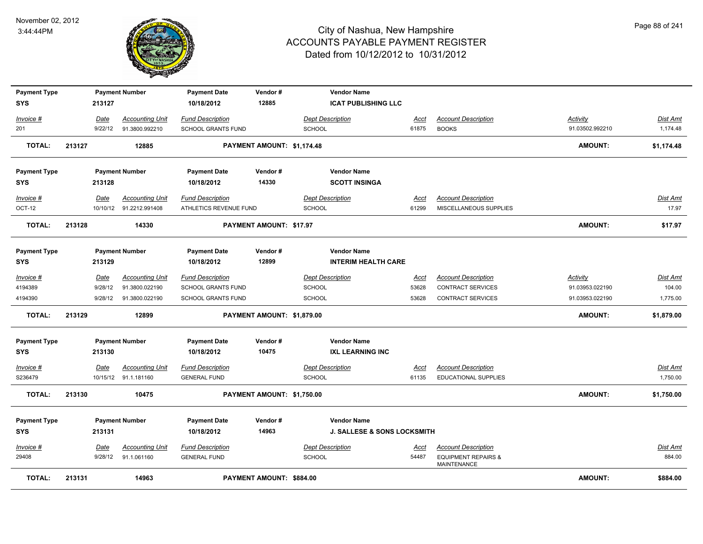

| <b>Payment Type</b><br><b>SYS</b> |        | 213127      | <b>Payment Number</b>   | <b>Payment Date</b><br>10/18/2012 | Vendor#<br>12885               | <b>Vendor Name</b><br><b>ICAT PUBLISHING LLC</b> |             |                                               |                 |                 |
|-----------------------------------|--------|-------------|-------------------------|-----------------------------------|--------------------------------|--------------------------------------------------|-------------|-----------------------------------------------|-----------------|-----------------|
| Invoice #                         |        | Date        | <b>Accounting Unit</b>  | <b>Fund Description</b>           |                                | <b>Dept Description</b>                          | Acct        | <b>Account Description</b>                    | Activity        | Dist Amt        |
| 201                               |        | 9/22/12     | 91.3800.992210          | <b>SCHOOL GRANTS FUND</b>         |                                | <b>SCHOOL</b>                                    | 61875       | <b>BOOKS</b>                                  | 91.03502.992210 | 1,174.48        |
| <b>TOTAL:</b>                     | 213127 |             | 12885                   |                                   | PAYMENT AMOUNT: \$1,174.48     |                                                  |             |                                               | <b>AMOUNT:</b>  | \$1,174.48      |
| <b>Payment Type</b>               |        |             | <b>Payment Number</b>   | <b>Payment Date</b>               | Vendor#                        | <b>Vendor Name</b>                               |             |                                               |                 |                 |
| <b>SYS</b>                        |        | 213128      |                         | 10/18/2012                        | 14330                          | <b>SCOTT INSINGA</b>                             |             |                                               |                 |                 |
| Invoice #                         |        | Date        | <b>Accounting Unit</b>  | <b>Fund Description</b>           |                                | <b>Dept Description</b>                          | Acct        | <b>Account Description</b>                    |                 | Dist Amt        |
| OCT-12                            |        |             | 10/10/12 91.2212.991408 | ATHLETICS REVENUE FUND            |                                | <b>SCHOOL</b>                                    | 61299       | MISCELLANEOUS SUPPLIES                        |                 | 17.97           |
| <b>TOTAL:</b>                     | 213128 |             | 14330                   |                                   | <b>PAYMENT AMOUNT: \$17.97</b> |                                                  |             |                                               | <b>AMOUNT:</b>  | \$17.97         |
| <b>Payment Type</b>               |        |             | <b>Payment Number</b>   | <b>Payment Date</b>               | Vendor#                        | <b>Vendor Name</b>                               |             |                                               |                 |                 |
| <b>SYS</b>                        |        | 213129      |                         | 10/18/2012                        | 12899                          | <b>INTERIM HEALTH CARE</b>                       |             |                                               |                 |                 |
| Invoice #                         |        | <u>Date</u> | <b>Accounting Unit</b>  | <b>Fund Description</b>           |                                | <b>Dept Description</b>                          | Acct        | <b>Account Description</b>                    | <b>Activity</b> | <b>Dist Amt</b> |
| 4194389                           |        | 9/28/12     | 91.3800.022190          | <b>SCHOOL GRANTS FUND</b>         |                                | <b>SCHOOL</b>                                    | 53628       | <b>CONTRACT SERVICES</b>                      | 91.03953.022190 | 104.00          |
| 4194390                           |        | 9/28/12     | 91.3800.022190          | <b>SCHOOL GRANTS FUND</b>         |                                | <b>SCHOOL</b>                                    | 53628       | <b>CONTRACT SERVICES</b>                      | 91.03953.022190 | 1,775.00        |
| <b>TOTAL:</b>                     | 213129 |             | 12899                   |                                   | PAYMENT AMOUNT: \$1,879.00     |                                                  |             |                                               | <b>AMOUNT:</b>  | \$1,879.00      |
| <b>Payment Type</b><br><b>SYS</b> |        | 213130      | <b>Payment Number</b>   | <b>Payment Date</b><br>10/18/2012 | Vendor#<br>10475               | <b>Vendor Name</b><br><b>IXL LEARNING INC</b>    |             |                                               |                 |                 |
| $Invoice$ #                       |        | <u>Date</u> | <b>Accounting Unit</b>  | <b>Fund Description</b>           |                                | <b>Dept Description</b>                          | <u>Acct</u> | <b>Account Description</b>                    |                 | Dist Amt        |
| S236479                           |        |             | 10/15/12 91.1.181160    | <b>GENERAL FUND</b>               |                                | <b>SCHOOL</b>                                    | 61135       | <b>EDUCATIONAL SUPPLIES</b>                   |                 | 1,750.00        |
| <b>TOTAL:</b>                     | 213130 |             | 10475                   |                                   | PAYMENT AMOUNT: \$1,750.00     |                                                  |             |                                               | <b>AMOUNT:</b>  | \$1,750.00      |
| <b>Payment Type</b>               |        |             | <b>Payment Number</b>   | <b>Payment Date</b>               | Vendor#                        | <b>Vendor Name</b>                               |             |                                               |                 |                 |
| <b>SYS</b>                        |        | 213131      |                         | 10/18/2012                        | 14963                          | <b>J. SALLESE &amp; SONS LOCKSMITH</b>           |             |                                               |                 |                 |
| Invoice #                         |        | Date        | <b>Accounting Unit</b>  | <b>Fund Description</b>           |                                | <b>Dept Description</b>                          | <u>Acct</u> | <b>Account Description</b>                    |                 | <u>Dist Amt</u> |
| 29408                             |        | 9/28/12     | 91.1.061160             | <b>GENERAL FUND</b>               |                                | <b>SCHOOL</b>                                    | 54487       | <b>EQUIPMENT REPAIRS &amp;</b><br>MAINTENANCE |                 | 884.00          |
| <b>TOTAL:</b>                     | 213131 |             | 14963                   |                                   | PAYMENT AMOUNT: \$884.00       |                                                  |             |                                               | <b>AMOUNT:</b>  | \$884.00        |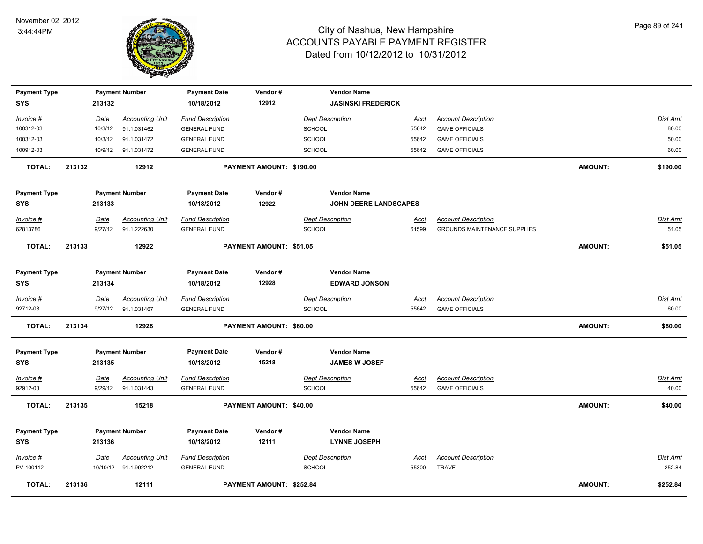

| <b>Payment Type</b> |             | <b>Payment Number</b>  | <b>Payment Date</b>     | Vendor#                        | <b>Vendor Name</b>        |             |                                     |                |                 |
|---------------------|-------------|------------------------|-------------------------|--------------------------------|---------------------------|-------------|-------------------------------------|----------------|-----------------|
| <b>SYS</b>          | 213132      |                        | 10/18/2012              | 12912                          | <b>JASINSKI FREDERICK</b> |             |                                     |                |                 |
| Invoice #           | Date        | <b>Accounting Unit</b> | <b>Fund Description</b> |                                | <b>Dept Description</b>   | Acct        | <b>Account Description</b>          |                | Dist Amt        |
| 100312-03           | 10/3/12     | 91.1.031462            | <b>GENERAL FUND</b>     |                                | <b>SCHOOL</b>             | 55642       | <b>GAME OFFICIALS</b>               |                | 80.00           |
| 100312-03           | 10/3/12     | 91.1.031472            | <b>GENERAL FUND</b>     |                                | <b>SCHOOL</b>             | 55642       | <b>GAME OFFICIALS</b>               |                | 50.00           |
| 100912-03           | 10/9/12     | 91.1.031472            | <b>GENERAL FUND</b>     |                                | SCHOOL                    | 55642       | <b>GAME OFFICIALS</b>               |                | 60.00           |
| <b>TOTAL:</b>       | 213132      | 12912                  |                         | PAYMENT AMOUNT: \$190.00       |                           |             |                                     | <b>AMOUNT:</b> | \$190.00        |
| <b>Payment Type</b> |             | <b>Payment Number</b>  | <b>Payment Date</b>     | Vendor#                        | <b>Vendor Name</b>        |             |                                     |                |                 |
| <b>SYS</b>          | 213133      |                        | 10/18/2012              | 12922                          | JOHN DEERE LANDSCAPES     |             |                                     |                |                 |
| Invoice #           | Date        | <b>Accounting Unit</b> | <b>Fund Description</b> |                                | <b>Dept Description</b>   | <u>Acct</u> | <b>Account Description</b>          |                | <b>Dist Amt</b> |
| 62813786            | 9/27/12     | 91.1.222630            | <b>GENERAL FUND</b>     |                                | <b>SCHOOL</b>             | 61599       | <b>GROUNDS MAINTENANCE SUPPLIES</b> |                | 51.05           |
| <b>TOTAL:</b>       | 213133      | 12922                  |                         | PAYMENT AMOUNT: \$51.05        |                           |             |                                     | <b>AMOUNT:</b> | \$51.05         |
| <b>Payment Type</b> |             | <b>Payment Number</b>  | <b>Payment Date</b>     | Vendor#                        | <b>Vendor Name</b>        |             |                                     |                |                 |
| <b>SYS</b>          | 213134      |                        | 10/18/2012              | 12928                          | <b>EDWARD JONSON</b>      |             |                                     |                |                 |
| Invoice #           | <b>Date</b> | <b>Accounting Unit</b> | <b>Fund Description</b> |                                | <b>Dept Description</b>   | Acct        | <b>Account Description</b>          |                | Dist Amt        |
| 92712-03            | 9/27/12     | 91.1.031467            | <b>GENERAL FUND</b>     |                                | SCHOOL                    | 55642       | <b>GAME OFFICIALS</b>               |                | 60.00           |
| <b>TOTAL:</b>       | 213134      | 12928                  |                         | PAYMENT AMOUNT: \$60.00        |                           |             |                                     | <b>AMOUNT:</b> | \$60.00         |
| <b>Payment Type</b> |             | <b>Payment Number</b>  | <b>Payment Date</b>     | Vendor#                        | <b>Vendor Name</b>        |             |                                     |                |                 |
| <b>SYS</b>          | 213135      |                        | 10/18/2012              | 15218                          | <b>JAMES W JOSEF</b>      |             |                                     |                |                 |
| $Invoice$ #         | <b>Date</b> | <b>Accounting Unit</b> | <b>Fund Description</b> |                                | <b>Dept Description</b>   | Acct        | <b>Account Description</b>          |                | <b>Dist Amt</b> |
| 92912-03            | 9/29/12     | 91.1.031443            | <b>GENERAL FUND</b>     |                                | <b>SCHOOL</b>             | 55642       | <b>GAME OFFICIALS</b>               |                | 40.00           |
| <b>TOTAL:</b>       | 213135      | 15218                  |                         | <b>PAYMENT AMOUNT: \$40.00</b> |                           |             |                                     | <b>AMOUNT:</b> | \$40.00         |
| <b>Payment Type</b> |             | <b>Payment Number</b>  | <b>Payment Date</b>     | Vendor#                        | <b>Vendor Name</b>        |             |                                     |                |                 |
| <b>SYS</b>          | 213136      |                        | 10/18/2012              | 12111                          | <b>LYNNE JOSEPH</b>       |             |                                     |                |                 |
| Invoice #           | Date        | <b>Accounting Unit</b> | <b>Fund Description</b> |                                | <b>Dept Description</b>   | <u>Acct</u> | <b>Account Description</b>          |                | Dist Amt        |
| PV-100112           |             | 10/10/12 91.1.992212   | <b>GENERAL FUND</b>     |                                | <b>SCHOOL</b>             | 55300       | <b>TRAVEL</b>                       |                | 252.84          |
| <b>TOTAL:</b>       | 213136      | 12111                  |                         | PAYMENT AMOUNT: \$252.84       |                           |             |                                     | <b>AMOUNT:</b> | \$252.84        |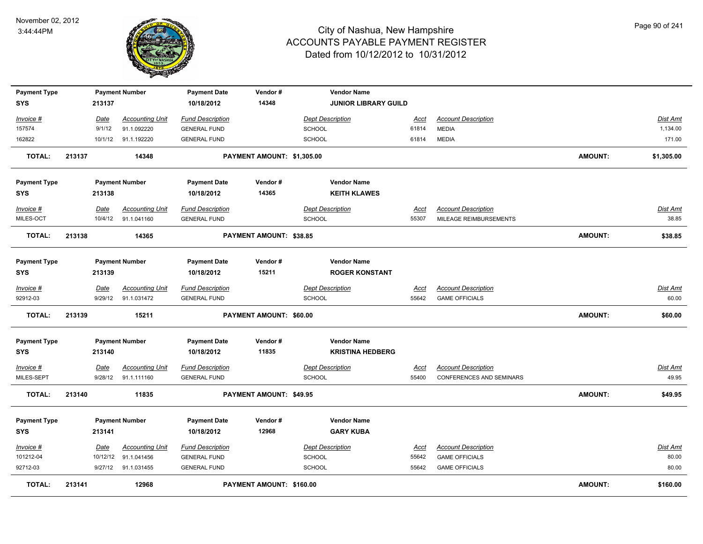

| <b>Payment Type</b><br><b>SYS</b> |        | 213137      | <b>Payment Number</b>  | <b>Payment Date</b><br>10/18/2012 | Vendor#<br>14348           | <b>Vendor Name</b><br><b>JUNIOR LIBRARY GUILD</b> |             |                                 |                |                 |
|-----------------------------------|--------|-------------|------------------------|-----------------------------------|----------------------------|---------------------------------------------------|-------------|---------------------------------|----------------|-----------------|
|                                   |        |             |                        |                                   |                            |                                                   |             |                                 |                |                 |
| Invoice #                         |        | Date        | <b>Accounting Unit</b> | <b>Fund Description</b>           |                            | <b>Dept Description</b>                           | Acct        | <b>Account Description</b>      |                | Dist Amt        |
| 157574                            |        | 9/1/12      | 91.1.092220            | <b>GENERAL FUND</b>               |                            | SCHOOL                                            | 61814       | <b>MEDIA</b>                    |                | 1,134.00        |
| 162822                            |        | 10/1/12     | 91.1.192220            | <b>GENERAL FUND</b>               |                            | SCHOOL                                            | 61814       | <b>MEDIA</b>                    |                | 171.00          |
| TOTAL:                            | 213137 |             | 14348                  |                                   | PAYMENT AMOUNT: \$1,305.00 |                                                   |             |                                 | <b>AMOUNT:</b> | \$1,305.00      |
| <b>Payment Type</b>               |        |             | <b>Payment Number</b>  | <b>Payment Date</b>               | Vendor#                    | <b>Vendor Name</b>                                |             |                                 |                |                 |
| <b>SYS</b>                        |        | 213138      |                        | 10/18/2012                        | 14365                      | <b>KEITH KLAWES</b>                               |             |                                 |                |                 |
| Invoice #                         |        | Date        | <b>Accounting Unit</b> | <b>Fund Description</b>           |                            | <b>Dept Description</b>                           | Acct        | <b>Account Description</b>      |                | Dist Amt        |
| MILES-OCT                         |        | 10/4/12     | 91.1.041160            | <b>GENERAL FUND</b>               |                            | <b>SCHOOL</b>                                     | 55307       | MILEAGE REIMBURSEMENTS          |                | 38.85           |
| <b>TOTAL:</b>                     | 213138 |             | 14365                  |                                   | PAYMENT AMOUNT: \$38.85    |                                                   |             |                                 | <b>AMOUNT:</b> | \$38.85         |
| <b>Payment Type</b><br><b>SYS</b> |        | 213139      | <b>Payment Number</b>  | <b>Payment Date</b><br>10/18/2012 | Vendor#<br>15211           | <b>Vendor Name</b><br><b>ROGER KONSTANT</b>       |             |                                 |                |                 |
| Invoice #                         |        | Date        | <b>Accounting Unit</b> | <b>Fund Description</b>           |                            | <b>Dept Description</b>                           | <u>Acct</u> | <b>Account Description</b>      |                | Dist Amt        |
| 92912-03                          |        | 9/29/12     | 91.1.031472            | <b>GENERAL FUND</b>               |                            | <b>SCHOOL</b>                                     | 55642       | <b>GAME OFFICIALS</b>           |                | 60.00           |
| <b>TOTAL:</b>                     | 213139 |             | 15211                  |                                   | PAYMENT AMOUNT: \$60.00    |                                                   |             |                                 | <b>AMOUNT:</b> | \$60.00         |
| <b>Payment Type</b><br><b>SYS</b> |        | 213140      | <b>Payment Number</b>  | <b>Payment Date</b><br>10/18/2012 | Vendor#<br>11835           | <b>Vendor Name</b><br><b>KRISTINA HEDBERG</b>     |             |                                 |                |                 |
| Invoice #                         |        | <u>Date</u> | <b>Accounting Unit</b> | <b>Fund Description</b>           |                            | <b>Dept Description</b>                           | <u>Acct</u> | <b>Account Description</b>      |                | <u>Dist Amt</u> |
| MILES-SEPT                        |        | 9/28/12     | 91.1.111160            | <b>GENERAL FUND</b>               |                            | SCHOOL                                            | 55400       | <b>CONFERENCES AND SEMINARS</b> |                | 49.95           |
| <b>TOTAL:</b>                     | 213140 |             | 11835                  |                                   | PAYMENT AMOUNT: \$49.95    |                                                   |             |                                 | <b>AMOUNT:</b> | \$49.95         |
| <b>Payment Type</b>               |        |             | <b>Payment Number</b>  | <b>Payment Date</b>               | Vendor#                    | <b>Vendor Name</b>                                |             |                                 |                |                 |
| <b>SYS</b>                        |        | 213141      |                        | 10/18/2012                        | 12968                      | <b>GARY KUBA</b>                                  |             |                                 |                |                 |
| Invoice #                         |        | Date        | <b>Accounting Unit</b> | <b>Fund Description</b>           |                            | <b>Dept Description</b>                           | <b>Acct</b> | <b>Account Description</b>      |                | <b>Dist Amt</b> |
| 101212-04                         |        | 10/12/12    | 91.1.041456            | <b>GENERAL FUND</b>               |                            | SCHOOL                                            | 55642       | <b>GAME OFFICIALS</b>           |                | 80.00           |
| 92712-03                          |        | 9/27/12     | 91.1.031455            | <b>GENERAL FUND</b>               |                            | <b>SCHOOL</b>                                     | 55642       | <b>GAME OFFICIALS</b>           |                | 80.00           |
| TOTAL:                            | 213141 |             | 12968                  |                                   | PAYMENT AMOUNT: \$160.00   |                                                   |             |                                 | <b>AMOUNT:</b> | \$160.00        |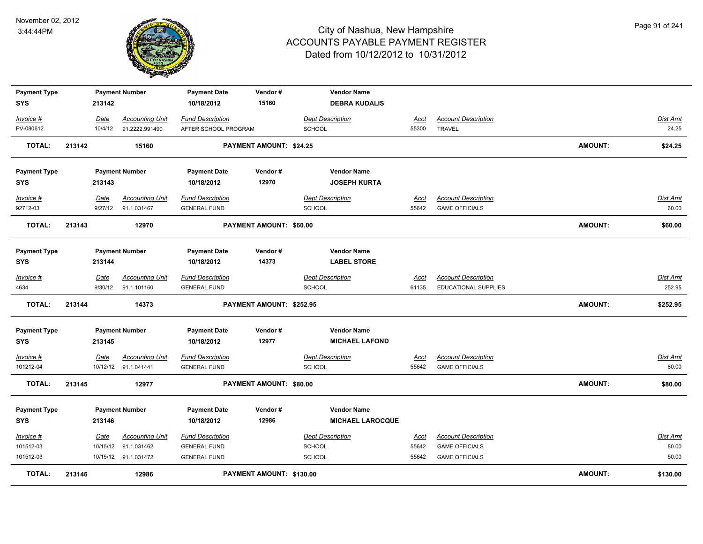

| <b>Payment Type</b> |        |         | <b>Payment Number</b>  | <b>Payment Date</b>     | Vendor#                  | <b>Vendor Name</b>      |             |                            |                |          |
|---------------------|--------|---------|------------------------|-------------------------|--------------------------|-------------------------|-------------|----------------------------|----------------|----------|
| <b>SYS</b>          |        | 213142  |                        | 10/18/2012              | 15160                    | <b>DEBRA KUDALIS</b>    |             |                            |                |          |
| Invoice #           |        | Date    | <b>Accounting Unit</b> | <b>Fund Description</b> |                          | <b>Dept Description</b> | Acct        | <b>Account Description</b> |                | Dist Amt |
| PV-080612           |        | 10/4/12 | 91.2222.991490         | AFTER SCHOOL PROGRAM    |                          | <b>SCHOOL</b>           | 55300       | <b>TRAVEL</b>              |                | 24.25    |
|                     |        |         |                        |                         |                          |                         |             |                            |                |          |
| <b>TOTAL:</b>       | 213142 |         | 15160                  |                         | PAYMENT AMOUNT: \$24.25  |                         |             |                            | <b>AMOUNT:</b> | \$24.25  |
|                     |        |         |                        |                         |                          | <b>Vendor Name</b>      |             |                            |                |          |
| <b>Payment Type</b> |        |         | <b>Payment Number</b>  | <b>Payment Date</b>     | Vendor#                  |                         |             |                            |                |          |
| <b>SYS</b>          |        | 213143  |                        | 10/18/2012              | 12970                    | <b>JOSEPH KURTA</b>     |             |                            |                |          |
| Invoice #           |        | Date    | <b>Accounting Unit</b> | <b>Fund Description</b> |                          | <b>Dept Description</b> | <u>Acct</u> | <b>Account Description</b> |                | Dist Amt |
| 92712-03            |        |         | 9/27/12 91.1.031467    | <b>GENERAL FUND</b>     |                          | <b>SCHOOL</b>           | 55642       | <b>GAME OFFICIALS</b>      |                | 60.00    |
| <b>TOTAL:</b>       | 213143 |         | 12970                  |                         | PAYMENT AMOUNT: \$60.00  |                         |             |                            | <b>AMOUNT:</b> | \$60.00  |
|                     |        |         |                        |                         |                          |                         |             |                            |                |          |
| <b>Payment Type</b> |        |         | <b>Payment Number</b>  | <b>Payment Date</b>     | Vendor#                  | <b>Vendor Name</b>      |             |                            |                |          |
| <b>SYS</b>          |        | 213144  |                        | 10/18/2012              | 14373                    | <b>LABEL STORE</b>      |             |                            |                |          |
| Invoice #           |        | Date    | <b>Accounting Unit</b> | <b>Fund Description</b> |                          | <b>Dept Description</b> | Acct        | <b>Account Description</b> |                | Dist Amt |
| 4634                |        |         | 9/30/12 91.1.101160    | <b>GENERAL FUND</b>     |                          | <b>SCHOOL</b>           | 61135       | EDUCATIONAL SUPPLIES       |                | 252.95   |
| <b>TOTAL:</b>       | 213144 |         | 14373                  |                         | PAYMENT AMOUNT: \$252.95 |                         |             |                            | <b>AMOUNT:</b> | \$252.95 |
|                     |        |         |                        |                         |                          |                         |             |                            |                |          |
| <b>Payment Type</b> |        |         | <b>Payment Number</b>  | <b>Payment Date</b>     | Vendor#                  | <b>Vendor Name</b>      |             |                            |                |          |
| <b>SYS</b>          |        | 213145  |                        | 10/18/2012              | 12977                    | <b>MICHAEL LAFOND</b>   |             |                            |                |          |
| $Invoice$ #         |        | Date    | <b>Accounting Unit</b> | <b>Fund Description</b> |                          | <b>Dept Description</b> | <u>Acct</u> | <b>Account Description</b> |                | Dist Amt |
| 101212-04           |        |         | 10/12/12 91.1.041441   | <b>GENERAL FUND</b>     |                          | <b>SCHOOL</b>           | 55642       | <b>GAME OFFICIALS</b>      |                | 80.00    |
| <b>TOTAL:</b>       | 213145 |         | 12977                  |                         | PAYMENT AMOUNT: \$80.00  |                         |             |                            | <b>AMOUNT:</b> | \$80.00  |
| <b>Payment Type</b> |        |         | <b>Payment Number</b>  | <b>Payment Date</b>     | Vendor#                  | <b>Vendor Name</b>      |             |                            |                |          |
| <b>SYS</b>          |        | 213146  |                        | 10/18/2012              | 12986                    | <b>MICHAEL LAROCQUE</b> |             |                            |                |          |
|                     |        |         |                        |                         |                          |                         |             |                            |                |          |
| Invoice #           |        | Date    | <b>Accounting Unit</b> | <b>Fund Description</b> |                          | <b>Dept Description</b> | Acct        | <b>Account Description</b> |                | Dist Amt |
| 101512-03           |        |         | 10/15/12 91.1.031462   | <b>GENERAL FUND</b>     |                          | <b>SCHOOL</b>           | 55642       | <b>GAME OFFICIALS</b>      |                | 80.00    |
| 101512-03           |        |         | 10/15/12 91.1.031472   | <b>GENERAL FUND</b>     |                          | <b>SCHOOL</b>           | 55642       | <b>GAME OFFICIALS</b>      |                | 50.00    |
| <b>TOTAL:</b>       | 213146 |         | 12986                  |                         | PAYMENT AMOUNT: \$130.00 |                         |             |                            | <b>AMOUNT:</b> | \$130.00 |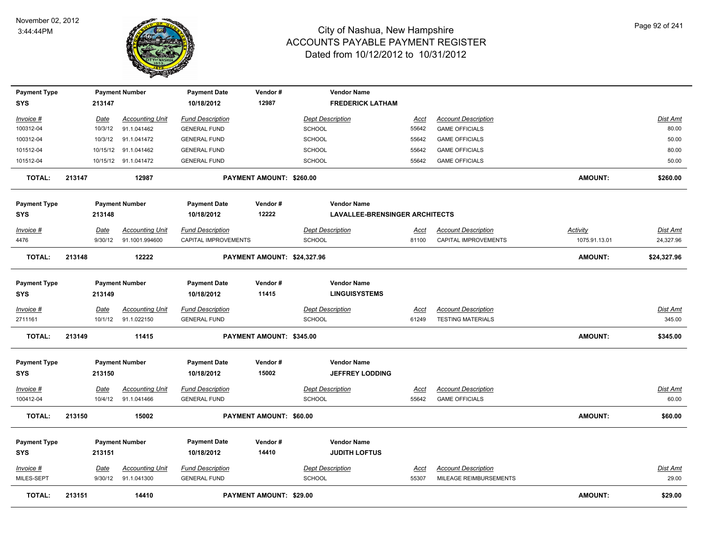

| <b>Payment Type</b>               |        |                 | <b>Payment Number</b>                 | <b>Payment Date</b>                            | Vendor#                     | <b>Vendor Name</b>                           |                      |                                                      |                |                   |
|-----------------------------------|--------|-----------------|---------------------------------------|------------------------------------------------|-----------------------------|----------------------------------------------|----------------------|------------------------------------------------------|----------------|-------------------|
| SYS                               |        | 213147          |                                       | 10/18/2012                                     | 12987                       | <b>FREDERICK LATHAM</b>                      |                      |                                                      |                |                   |
| Invoice #                         |        | Date            | <b>Accounting Unit</b>                | <b>Fund Description</b>                        |                             | <b>Dept Description</b>                      | Acct                 | <b>Account Description</b>                           |                | Dist Amt          |
| 100312-04                         |        | 10/3/12         | 91.1.041462                           | <b>GENERAL FUND</b>                            |                             | <b>SCHOOL</b>                                | 55642                | <b>GAME OFFICIALS</b>                                |                | 80.00             |
| 100312-04                         |        | 10/3/12         | 91.1.041472                           | <b>GENERAL FUND</b>                            |                             | SCHOOL                                       | 55642                | <b>GAME OFFICIALS</b>                                |                | 50.00             |
| 101512-04                         |        |                 | 10/15/12 91.1.041462                  | <b>GENERAL FUND</b>                            |                             | SCHOOL                                       | 55642                | <b>GAME OFFICIALS</b>                                |                | 80.00             |
| 101512-04                         |        |                 | 10/15/12 91.1.041472                  | <b>GENERAL FUND</b>                            |                             | <b>SCHOOL</b>                                | 55642                | <b>GAME OFFICIALS</b>                                |                | 50.00             |
| <b>TOTAL:</b>                     | 213147 |                 | 12987                                 |                                                | PAYMENT AMOUNT: \$260.00    |                                              |                      |                                                      | <b>AMOUNT:</b> | \$260.00          |
| <b>Payment Type</b>               |        |                 | <b>Payment Number</b>                 | <b>Payment Date</b>                            | Vendor#                     | <b>Vendor Name</b>                           |                      |                                                      |                |                   |
| SYS                               |        | 213148          |                                       | 10/18/2012                                     | 12222                       | <b>LAVALLEE-BRENSINGER ARCHITECTS</b>        |                      |                                                      |                |                   |
| <b>Invoice #</b>                  |        | Date            | <b>Accounting Unit</b>                | <b>Fund Description</b>                        |                             | <b>Dept Description</b>                      | Acct                 | <b>Account Description</b>                           | Activity       | Dist Amt          |
| 4476                              |        | 9/30/12         | 91.1001.994600                        | CAPITAL IMPROVEMENTS                           |                             | <b>SCHOOL</b>                                | 81100                | CAPITAL IMPROVEMENTS                                 | 1075.91.13.01  | 24,327.96         |
| <b>TOTAL:</b>                     | 213148 |                 | 12222                                 |                                                | PAYMENT AMOUNT: \$24,327.96 |                                              |                      |                                                      | <b>AMOUNT:</b> | \$24,327.96       |
| <b>Payment Type</b><br><b>SYS</b> |        | 213149          | <b>Payment Number</b>                 | <b>Payment Date</b><br>10/18/2012              | Vendor#<br>11415            | <b>Vendor Name</b><br><b>LINGUISYSTEMS</b>   |                      |                                                      |                |                   |
| Invoice #                         |        | Date            | Accounting Unit                       | <b>Fund Description</b>                        |                             | <b>Dept Description</b>                      | Acct                 | <b>Account Description</b>                           |                | Dist Amt          |
| 2711161                           |        | 10/1/12         | 91.1.022150                           | <b>GENERAL FUND</b>                            |                             | <b>SCHOOL</b>                                | 61249                | <b>TESTING MATERIALS</b>                             |                | 345.00            |
| <b>TOTAL:</b>                     | 213149 |                 | 11415                                 |                                                | PAYMENT AMOUNT: \$345.00    |                                              |                      |                                                      | AMOUNT:        | \$345.00          |
| <b>Payment Type</b><br>SYS        |        | 213150          | <b>Payment Number</b>                 | <b>Payment Date</b><br>10/18/2012              | Vendor#<br>15002            | <b>Vendor Name</b><br><b>JEFFREY LODDING</b> |                      |                                                      |                |                   |
| <u>Invoice #</u>                  |        | Date            | <b>Accounting Unit</b>                | <b>Fund Description</b>                        |                             | <b>Dept Description</b>                      | <b>Acct</b>          | <b>Account Description</b>                           |                | <b>Dist Amt</b>   |
| 100412-04                         |        |                 | 10/4/12 91.1.041466                   | <b>GENERAL FUND</b>                            |                             | <b>SCHOOL</b>                                | 55642                | <b>GAME OFFICIALS</b>                                |                | 60.00             |
| <b>TOTAL:</b>                     | 213150 |                 | 15002                                 |                                                | PAYMENT AMOUNT: \$60.00     |                                              |                      |                                                      | <b>AMOUNT:</b> | \$60.00           |
| <b>Payment Type</b>               |        |                 | <b>Payment Number</b>                 | <b>Payment Date</b>                            | Vendor#                     | <b>Vendor Name</b>                           |                      |                                                      |                |                   |
| SYS                               |        | 213151          |                                       | 10/18/2012                                     | 14410                       | <b>JUDITH LOFTUS</b>                         |                      |                                                      |                |                   |
| Invoice #<br>MILES-SEPT           |        | Date<br>9/30/12 | <b>Accounting Unit</b><br>91.1.041300 | <b>Fund Description</b><br><b>GENERAL FUND</b> |                             | <b>Dept Description</b><br><b>SCHOOL</b>     | <u>Acct</u><br>55307 | <b>Account Description</b><br>MILEAGE REIMBURSEMENTS |                | Dist Amt<br>29.00 |
| <b>TOTAL:</b>                     | 213151 |                 | 14410                                 |                                                | PAYMENT AMOUNT: \$29.00     |                                              |                      |                                                      | <b>AMOUNT:</b> | \$29.00           |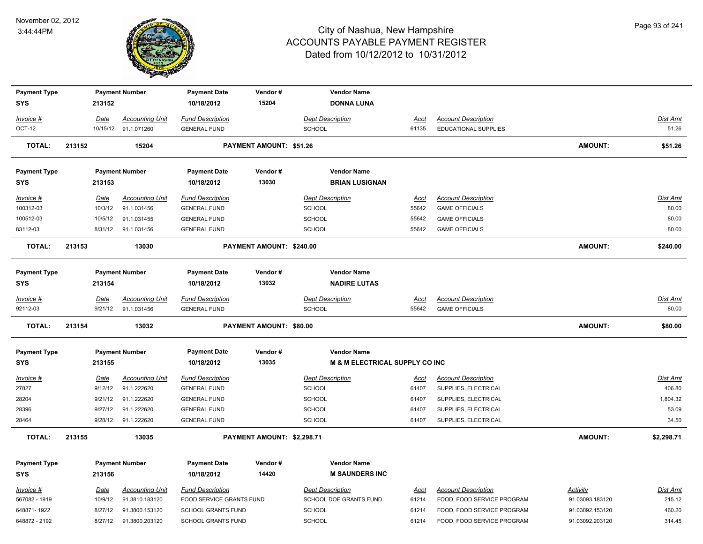

| <b>Payment Type</b> |        |             | <b>Payment Number</b>  | <b>Payment Date</b>       | Vendor#                    | <b>Vendor Name</b>                        |             |                            |                 |                 |
|---------------------|--------|-------------|------------------------|---------------------------|----------------------------|-------------------------------------------|-------------|----------------------------|-----------------|-----------------|
| <b>SYS</b>          |        | 213152      |                        | 10/18/2012                | 15204                      | <b>DONNA LUNA</b>                         |             |                            |                 |                 |
| Invoice #           |        | <b>Date</b> | <b>Accounting Unit</b> | <b>Fund Description</b>   |                            | <b>Dept Description</b>                   | <u>Acct</u> | <b>Account Description</b> |                 | <b>Dist Amt</b> |
| OCT-12              |        |             | 10/15/12 91.1.071260   | <b>GENERAL FUND</b>       |                            | SCHOOL                                    | 61135       | EDUCATIONAL SUPPLIES       |                 | 51.26           |
|                     |        |             |                        |                           |                            |                                           |             |                            |                 |                 |
| <b>TOTAL:</b>       | 213152 |             | 15204                  |                           | PAYMENT AMOUNT: \$51.26    |                                           |             |                            | <b>AMOUNT:</b>  | \$51.26         |
| <b>Payment Type</b> |        |             | <b>Payment Number</b>  | <b>Payment Date</b>       | Vendor#                    | <b>Vendor Name</b>                        |             |                            |                 |                 |
| <b>SYS</b>          |        | 213153      |                        | 10/18/2012                | 13030                      | <b>BRIAN LUSIGNAN</b>                     |             |                            |                 |                 |
| Invoice #           |        | Date        | <b>Accounting Unit</b> | <b>Fund Description</b>   |                            | <b>Dept Description</b>                   | <u>Acct</u> | <b>Account Description</b> |                 | Dist Amt        |
| 100312-03           |        | 10/3/12     | 91.1.031456            | <b>GENERAL FUND</b>       |                            | <b>SCHOOL</b>                             | 55642       | <b>GAME OFFICIALS</b>      |                 | 80.00           |
| 100512-03           |        | 10/5/12     | 91.1.031455            | <b>GENERAL FUND</b>       |                            | <b>SCHOOL</b>                             | 55642       | <b>GAME OFFICIALS</b>      |                 | 80.00           |
| 83112-03            |        | 8/31/12     | 91.1.031456            | <b>GENERAL FUND</b>       |                            | <b>SCHOOL</b>                             | 55642       | <b>GAME OFFICIALS</b>      |                 | 80.00           |
| <b>TOTAL:</b>       | 213153 |             | 13030                  |                           | PAYMENT AMOUNT: \$240.00   |                                           |             |                            | <b>AMOUNT:</b>  | \$240.00        |
| <b>Payment Type</b> |        |             | <b>Payment Number</b>  | <b>Payment Date</b>       | Vendor#                    | <b>Vendor Name</b>                        |             |                            |                 |                 |
| <b>SYS</b>          |        | 213154      |                        | 10/18/2012                | 13032                      | <b>NADIRE LUTAS</b>                       |             |                            |                 |                 |
| Invoice #           |        | <b>Date</b> | <b>Accounting Unit</b> | <b>Fund Description</b>   |                            | <b>Dept Description</b>                   | <u>Acct</u> | <b>Account Description</b> |                 | <b>Dist Amt</b> |
| 92112-03            |        | 9/21/12     | 91.1.031456            | <b>GENERAL FUND</b>       |                            | <b>SCHOOL</b>                             | 55642       | <b>GAME OFFICIALS</b>      |                 | 80.00           |
| <b>TOTAL:</b>       | 213154 |             | 13032                  |                           | PAYMENT AMOUNT: \$80.00    |                                           |             |                            | <b>AMOUNT:</b>  | \$80.00         |
| <b>Payment Type</b> |        |             | <b>Payment Number</b>  | <b>Payment Date</b>       | Vendor#                    | <b>Vendor Name</b>                        |             |                            |                 |                 |
| <b>SYS</b>          |        | 213155      |                        | 10/18/2012                | 13035                      | <b>M &amp; M ELECTRICAL SUPPLY CO INC</b> |             |                            |                 |                 |
| Invoice #           |        | Date        | <b>Accounting Unit</b> | <b>Fund Description</b>   |                            | <b>Dept Description</b>                   | <u>Acct</u> | <b>Account Description</b> |                 | <b>Dist Amt</b> |
| 27827               |        | 9/12/12     | 91.1.222620            | <b>GENERAL FUND</b>       |                            | <b>SCHOOL</b>                             | 61407       | SUPPLIES, ELECTRICAL       |                 | 406.80          |
| 28204               |        | 9/21/12     | 91.1.222620            | <b>GENERAL FUND</b>       |                            | <b>SCHOOL</b>                             | 61407       | SUPPLIES, ELECTRICAL       |                 | 1,804.32        |
| 28396               |        | 9/27/12     | 91.1.222620            | <b>GENERAL FUND</b>       |                            | <b>SCHOOL</b>                             | 61407       | SUPPLIES, ELECTRICAL       |                 | 53.09           |
| 28464               |        | 9/28/12     | 91.1.222620            | <b>GENERAL FUND</b>       |                            | <b>SCHOOL</b>                             | 61407       | SUPPLIES, ELECTRICAL       |                 | 34.50           |
| <b>TOTAL:</b>       | 213155 |             | 13035                  |                           | PAYMENT AMOUNT: \$2,298.71 |                                           |             |                            | <b>AMOUNT:</b>  | \$2,298.71      |
|                     |        |             |                        |                           |                            |                                           |             |                            |                 |                 |
| <b>Payment Type</b> |        |             | <b>Payment Number</b>  | <b>Payment Date</b>       | Vendor#                    | <b>Vendor Name</b>                        |             |                            |                 |                 |
| <b>SYS</b>          |        | 213156      |                        | 10/18/2012                | 14420                      | <b>M SAUNDERS INC</b>                     |             |                            |                 |                 |
| Invoice #           |        | Date        | <b>Accounting Unit</b> | <b>Fund Description</b>   |                            | <b>Dept Description</b>                   | <u>Acct</u> | <b>Account Description</b> | <b>Activity</b> | <b>Dist Amt</b> |
| 567082 - 1919       |        | 10/9/12     | 91.3810.183120         | FOOD SERVICE GRANTS FUND  |                            | SCHOOL DOE GRANTS FUND                    | 61214       | FOOD, FOOD SERVICE PROGRAM | 91.03093.183120 | 215.12          |
| 648871-1922         |        | 8/27/12     | 91.3800.153120         | <b>SCHOOL GRANTS FUND</b> |                            | <b>SCHOOL</b>                             | 61214       | FOOD, FOOD SERVICE PROGRAM | 91.03092.153120 | 460.20          |
| 648872 - 2192       |        | 8/27/12     | 91.3800.203120         | SCHOOL GRANTS FUND        |                            | <b>SCHOOL</b>                             | 61214       | FOOD, FOOD SERVICE PROGRAM | 91.03092.203120 | 314.45          |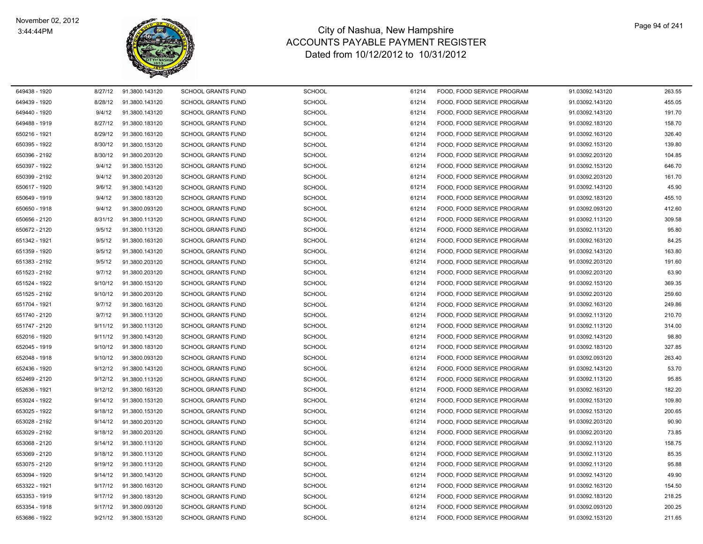

| 649438 - 1920 | 8/27/12 | 91.3800.143120 | <b>SCHOOL GRANTS FUND</b> | <b>SCHOOL</b> | 61214 | FOOD, FOOD SERVICE PROGRAM | 91.03092.143120 | 263.55 |
|---------------|---------|----------------|---------------------------|---------------|-------|----------------------------|-----------------|--------|
| 649439 - 1920 | 8/28/12 | 91.3800.143120 | <b>SCHOOL GRANTS FUND</b> | <b>SCHOOL</b> | 61214 | FOOD, FOOD SERVICE PROGRAM | 91.03092.143120 | 455.05 |
| 649440 - 1920 | 9/4/12  | 91.3800.143120 | <b>SCHOOL GRANTS FUND</b> | <b>SCHOOL</b> | 61214 | FOOD, FOOD SERVICE PROGRAM | 91.03092.143120 | 191.70 |
| 649488 - 1919 | 8/27/12 | 91.3800.183120 | <b>SCHOOL GRANTS FUND</b> | <b>SCHOOL</b> | 61214 | FOOD, FOOD SERVICE PROGRAM | 91.03092.183120 | 158.70 |
| 650216 - 1921 | 8/29/12 | 91.3800.163120 | <b>SCHOOL GRANTS FUND</b> | <b>SCHOOL</b> | 61214 | FOOD. FOOD SERVICE PROGRAM | 91.03092.163120 | 326.40 |
| 650395 - 1922 | 8/30/12 | 91.3800.153120 | <b>SCHOOL GRANTS FUND</b> | <b>SCHOOL</b> | 61214 | FOOD, FOOD SERVICE PROGRAM | 91.03092.153120 | 139.80 |
| 650396 - 2192 | 8/30/12 | 91.3800.203120 | <b>SCHOOL GRANTS FUND</b> | <b>SCHOOL</b> | 61214 | FOOD, FOOD SERVICE PROGRAM | 91.03092.203120 | 104.85 |
| 650397 - 1922 | 9/4/12  | 91.3800.153120 | <b>SCHOOL GRANTS FUND</b> | <b>SCHOOL</b> | 61214 | FOOD, FOOD SERVICE PROGRAM | 91.03092.153120 | 646.70 |
| 650399 - 2192 | 9/4/12  | 91.3800.203120 | <b>SCHOOL GRANTS FUND</b> | <b>SCHOOL</b> | 61214 | FOOD, FOOD SERVICE PROGRAM | 91.03092.203120 | 161.70 |
| 650617 - 1920 | 9/6/12  | 91.3800.143120 | <b>SCHOOL GRANTS FUND</b> | <b>SCHOOL</b> | 61214 | FOOD, FOOD SERVICE PROGRAM | 91.03092.143120 | 45.90  |
| 650649 - 1919 | 9/4/12  | 91.3800.183120 | <b>SCHOOL GRANTS FUND</b> | <b>SCHOOL</b> | 61214 | FOOD, FOOD SERVICE PROGRAM | 91.03092.183120 | 455.10 |
| 650650 - 1918 | 9/4/12  | 91.3800.093120 | <b>SCHOOL GRANTS FUND</b> | <b>SCHOOL</b> | 61214 | FOOD, FOOD SERVICE PROGRAM | 91.03092.093120 | 412.60 |
| 650656 - 2120 | 8/31/12 | 91.3800.113120 | <b>SCHOOL GRANTS FUND</b> | <b>SCHOOL</b> | 61214 | FOOD, FOOD SERVICE PROGRAM | 91.03092.113120 | 309.58 |
| 650672 - 2120 | 9/5/12  | 91.3800.113120 | <b>SCHOOL GRANTS FUND</b> | <b>SCHOOL</b> | 61214 | FOOD, FOOD SERVICE PROGRAM | 91.03092.113120 | 95.80  |
| 651342 - 1921 | 9/5/12  | 91.3800.163120 | <b>SCHOOL GRANTS FUND</b> | <b>SCHOOL</b> | 61214 | FOOD, FOOD SERVICE PROGRAM | 91.03092.163120 | 84.25  |
| 651359 - 1920 | 9/5/12  | 91.3800.143120 | <b>SCHOOL GRANTS FUND</b> | <b>SCHOOL</b> | 61214 | FOOD, FOOD SERVICE PROGRAM | 91.03092.143120 | 163.80 |
| 651383 - 2192 | 9/5/12  | 91.3800.203120 | <b>SCHOOL GRANTS FUND</b> | <b>SCHOOL</b> | 61214 | FOOD, FOOD SERVICE PROGRAM | 91.03092.203120 | 191.60 |
| 651523 - 2192 | 9/7/12  | 91.3800.203120 | <b>SCHOOL GRANTS FUND</b> | <b>SCHOOL</b> | 61214 | FOOD, FOOD SERVICE PROGRAM | 91.03092.203120 | 63.90  |
| 651524 - 1922 | 9/10/12 | 91.3800.153120 | <b>SCHOOL GRANTS FUND</b> | <b>SCHOOL</b> | 61214 | FOOD, FOOD SERVICE PROGRAM | 91.03092.153120 | 369.35 |
| 651525 - 2192 | 9/10/12 | 91.3800.203120 | <b>SCHOOL GRANTS FUND</b> | <b>SCHOOL</b> | 61214 | FOOD. FOOD SERVICE PROGRAM | 91.03092.203120 | 259.60 |
| 651704 - 1921 | 9/7/12  | 91.3800.163120 | <b>SCHOOL GRANTS FUND</b> | <b>SCHOOL</b> | 61214 | FOOD, FOOD SERVICE PROGRAM | 91.03092.163120 | 249.86 |
| 651740 - 2120 | 9/7/12  | 91.3800.113120 | <b>SCHOOL GRANTS FUND</b> | <b>SCHOOL</b> | 61214 | FOOD, FOOD SERVICE PROGRAM | 91.03092.113120 | 210.70 |
| 651747 - 2120 | 9/11/12 | 91.3800.113120 | <b>SCHOOL GRANTS FUND</b> | <b>SCHOOL</b> | 61214 | FOOD, FOOD SERVICE PROGRAM | 91.03092.113120 | 314.00 |
| 652016 - 1920 | 9/11/12 | 91.3800.143120 | <b>SCHOOL GRANTS FUND</b> | <b>SCHOOL</b> | 61214 | FOOD, FOOD SERVICE PROGRAM | 91.03092.143120 | 98.80  |
| 652045 - 1919 | 9/10/12 | 91.3800.183120 | <b>SCHOOL GRANTS FUND</b> | <b>SCHOOL</b> | 61214 | FOOD, FOOD SERVICE PROGRAM | 91.03092.183120 | 327.85 |
| 652048 - 1918 | 9/10/12 | 91.3800.093120 | <b>SCHOOL GRANTS FUND</b> | <b>SCHOOL</b> | 61214 | FOOD, FOOD SERVICE PROGRAM | 91.03092.093120 | 263.40 |
| 652436 - 1920 | 9/12/12 | 91.3800.143120 | <b>SCHOOL GRANTS FUND</b> | <b>SCHOOL</b> | 61214 | FOOD, FOOD SERVICE PROGRAM | 91.03092.143120 | 53.70  |
| 652469 - 2120 | 9/12/12 | 91.3800.113120 | <b>SCHOOL GRANTS FUND</b> | <b>SCHOOL</b> | 61214 | FOOD, FOOD SERVICE PROGRAM | 91.03092.113120 | 95.85  |
| 652636 - 1921 | 9/12/12 | 91.3800.163120 | <b>SCHOOL GRANTS FUND</b> | <b>SCHOOL</b> | 61214 | FOOD, FOOD SERVICE PROGRAM | 91.03092.163120 | 182.20 |
| 653024 - 1922 | 9/14/12 | 91.3800.153120 | <b>SCHOOL GRANTS FUND</b> | <b>SCHOOL</b> | 61214 | FOOD, FOOD SERVICE PROGRAM | 91.03092.153120 | 109.80 |
| 653025 - 1922 | 9/18/12 | 91.3800.153120 | <b>SCHOOL GRANTS FUND</b> | <b>SCHOOL</b> | 61214 | FOOD, FOOD SERVICE PROGRAM | 91.03092.153120 | 200.65 |
| 653028 - 2192 | 9/14/12 | 91.3800.203120 | <b>SCHOOL GRANTS FUND</b> | <b>SCHOOL</b> | 61214 | FOOD, FOOD SERVICE PROGRAM | 91.03092.203120 | 90.90  |
| 653029 - 2192 | 9/18/12 | 91.3800.203120 | <b>SCHOOL GRANTS FUND</b> | <b>SCHOOL</b> | 61214 | FOOD, FOOD SERVICE PROGRAM | 91.03092.203120 | 73.85  |
| 653068 - 2120 | 9/14/12 | 91.3800.113120 | <b>SCHOOL GRANTS FUND</b> | <b>SCHOOL</b> | 61214 | FOOD, FOOD SERVICE PROGRAM | 91.03092.113120 | 158.75 |
| 653069 - 2120 | 9/18/12 | 91.3800.113120 | <b>SCHOOL GRANTS FUND</b> | <b>SCHOOL</b> | 61214 | FOOD. FOOD SERVICE PROGRAM | 91.03092.113120 | 85.35  |
| 653075 - 2120 | 9/19/12 | 91.3800.113120 | <b>SCHOOL GRANTS FUND</b> | <b>SCHOOL</b> | 61214 | FOOD, FOOD SERVICE PROGRAM | 91.03092.113120 | 95.88  |
| 653094 - 1920 | 9/14/12 | 91.3800.143120 | <b>SCHOOL GRANTS FUND</b> | <b>SCHOOL</b> | 61214 | FOOD, FOOD SERVICE PROGRAM | 91.03092.143120 | 49.90  |
| 653322 - 1921 | 9/17/12 | 91.3800.163120 | <b>SCHOOL GRANTS FUND</b> | <b>SCHOOL</b> | 61214 | FOOD, FOOD SERVICE PROGRAM | 91.03092.163120 | 154.50 |
| 653353 - 1919 | 9/17/12 | 91.3800.183120 | <b>SCHOOL GRANTS FUND</b> | <b>SCHOOL</b> | 61214 | FOOD, FOOD SERVICE PROGRAM | 91.03092.183120 | 218.25 |
| 653354 - 1918 | 9/17/12 | 91.3800.093120 | <b>SCHOOL GRANTS FUND</b> | <b>SCHOOL</b> | 61214 | FOOD, FOOD SERVICE PROGRAM | 91.03092.093120 | 200.25 |
| 653686 - 1922 | 9/21/12 | 91.3800.153120 | <b>SCHOOL GRANTS FUND</b> | <b>SCHOOL</b> | 61214 | FOOD, FOOD SERVICE PROGRAM | 91.03092.153120 | 211.65 |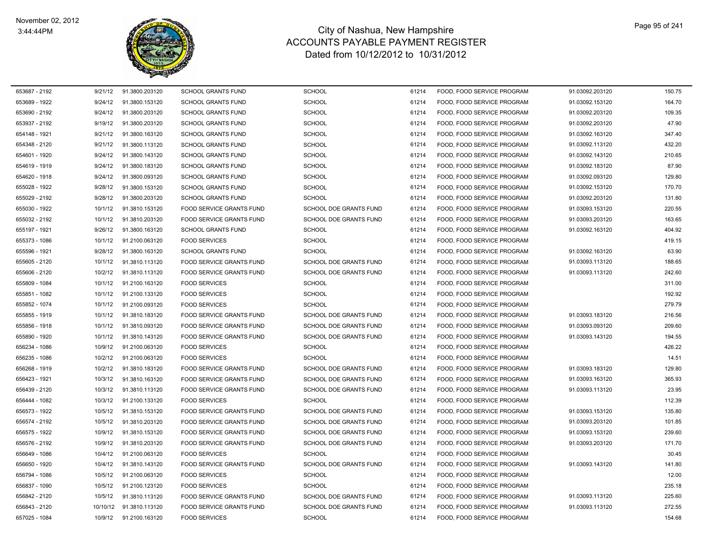

| 653687 - 2192 | 9/21/12 | 91.3800.203120          | <b>SCHOOL GRANTS FUND</b>       | <b>SCHOOL</b>                 | 61214 | FOOD, FOOD SERVICE PROGRAM | 91.03092.203120 | 150.75 |
|---------------|---------|-------------------------|---------------------------------|-------------------------------|-------|----------------------------|-----------------|--------|
| 653689 - 1922 | 9/24/12 | 91.3800.153120          | <b>SCHOOL GRANTS FUND</b>       | <b>SCHOOL</b>                 | 61214 | FOOD, FOOD SERVICE PROGRAM | 91.03092.153120 | 164.70 |
| 653690 - 2192 | 9/24/12 | 91.3800.203120          | <b>SCHOOL GRANTS FUND</b>       | <b>SCHOOL</b>                 | 61214 | FOOD, FOOD SERVICE PROGRAM | 91.03092.203120 | 109.35 |
| 653937 - 2192 | 9/19/12 | 91.3800.203120          | <b>SCHOOL GRANTS FUND</b>       | <b>SCHOOL</b>                 | 61214 | FOOD, FOOD SERVICE PROGRAM | 91.03092.203120 | 47.90  |
| 654148 - 1921 | 9/21/12 | 91.3800.163120          | <b>SCHOOL GRANTS FUND</b>       | <b>SCHOOL</b>                 | 61214 | FOOD, FOOD SERVICE PROGRAM | 91.03092.163120 | 347.40 |
| 654348 - 2120 | 9/21/12 | 91.3800.113120          | <b>SCHOOL GRANTS FUND</b>       | <b>SCHOOL</b>                 | 61214 | FOOD, FOOD SERVICE PROGRAM | 91.03092.113120 | 432.20 |
| 654601 - 1920 | 9/24/12 | 91.3800.143120          | <b>SCHOOL GRANTS FUND</b>       | <b>SCHOOL</b>                 | 61214 | FOOD, FOOD SERVICE PROGRAM | 91.03092.143120 | 210.65 |
| 654619 - 1919 | 9/24/12 | 91.3800.183120          | <b>SCHOOL GRANTS FUND</b>       | <b>SCHOOL</b>                 | 61214 | FOOD, FOOD SERVICE PROGRAM | 91.03092.183120 | 87.90  |
| 654620 - 1918 | 9/24/12 | 91.3800.093120          | <b>SCHOOL GRANTS FUND</b>       | <b>SCHOOL</b>                 | 61214 | FOOD, FOOD SERVICE PROGRAM | 91.03092.093120 | 129.80 |
| 655028 - 1922 | 9/28/12 | 91.3800.153120          | <b>SCHOOL GRANTS FUND</b>       | <b>SCHOOL</b>                 | 61214 | FOOD, FOOD SERVICE PROGRAM | 91.03092.153120 | 170.70 |
| 655029 - 2192 | 9/28/12 | 91.3800.203120          | <b>SCHOOL GRANTS FUND</b>       | <b>SCHOOL</b>                 | 61214 | FOOD, FOOD SERVICE PROGRAM | 91.03092.203120 | 131.80 |
| 655030 - 1922 | 10/1/12 | 91.3810.153120          | FOOD SERVICE GRANTS FUND        | SCHOOL DOE GRANTS FUND        | 61214 | FOOD, FOOD SERVICE PROGRAM | 91.03093.153120 | 220.55 |
| 655032 - 2192 | 10/1/12 | 91.3810.203120          | FOOD SERVICE GRANTS FUND        | SCHOOL DOE GRANTS FUND        | 61214 | FOOD, FOOD SERVICE PROGRAM | 91.03093.203120 | 163.65 |
| 655197 - 1921 | 9/26/12 | 91.3800.163120          | <b>SCHOOL GRANTS FUND</b>       | <b>SCHOOL</b>                 | 61214 | FOOD, FOOD SERVICE PROGRAM | 91.03092.163120 | 404.92 |
| 655373 - 1086 | 10/1/12 | 91.2100.063120          | <b>FOOD SERVICES</b>            | <b>SCHOOL</b>                 | 61214 | FOOD, FOOD SERVICE PROGRAM |                 | 419.15 |
| 655596 - 1921 | 9/28/12 | 91.3800.163120          | <b>SCHOOL GRANTS FUND</b>       | <b>SCHOOL</b>                 | 61214 | FOOD, FOOD SERVICE PROGRAM | 91.03092.163120 | 63.90  |
| 655605 - 2120 | 10/1/12 | 91.3810.113120          | <b>FOOD SERVICE GRANTS FUND</b> | SCHOOL DOE GRANTS FUND        | 61214 | FOOD, FOOD SERVICE PROGRAM | 91.03093.113120 | 188.65 |
| 655606 - 2120 | 10/2/12 | 91.3810.113120          | <b>FOOD SERVICE GRANTS FUND</b> | SCHOOL DOE GRANTS FUND        | 61214 | FOOD, FOOD SERVICE PROGRAM | 91.03093.113120 | 242.60 |
| 655809 - 1084 | 10/1/12 | 91.2100.163120          | <b>FOOD SERVICES</b>            | <b>SCHOOL</b>                 | 61214 | FOOD, FOOD SERVICE PROGRAM |                 | 311.00 |
| 655851 - 1082 | 10/1/12 | 91.2100.133120          | <b>FOOD SERVICES</b>            | <b>SCHOOL</b>                 | 61214 | FOOD, FOOD SERVICE PROGRAM |                 | 192.92 |
| 655852 - 1074 | 10/1/12 | 91.2100.093120          | <b>FOOD SERVICES</b>            | <b>SCHOOL</b>                 | 61214 | FOOD, FOOD SERVICE PROGRAM |                 | 279.79 |
| 655855 - 1919 | 10/1/12 | 91.3810.183120          | FOOD SERVICE GRANTS FUND        | SCHOOL DOE GRANTS FUND        | 61214 | FOOD, FOOD SERVICE PROGRAM | 91.03093.183120 | 216.56 |
| 655856 - 1918 | 10/1/12 | 91.3810.093120          | FOOD SERVICE GRANTS FUND        | SCHOOL DOE GRANTS FUND        | 61214 | FOOD, FOOD SERVICE PROGRAM | 91.03093.093120 | 209.60 |
| 655890 - 1920 | 10/1/12 | 91.3810.143120          | FOOD SERVICE GRANTS FUND        | SCHOOL DOE GRANTS FUND        | 61214 | FOOD, FOOD SERVICE PROGRAM | 91.03093.143120 | 194.55 |
| 656234 - 1086 | 10/9/12 | 91.2100.063120          | <b>FOOD SERVICES</b>            | <b>SCHOOL</b>                 | 61214 | FOOD, FOOD SERVICE PROGRAM |                 | 426.22 |
| 656235 - 1086 | 10/2/12 | 91.2100.063120          | <b>FOOD SERVICES</b>            | <b>SCHOOL</b>                 | 61214 | FOOD, FOOD SERVICE PROGRAM |                 | 14.51  |
| 656268 - 1919 | 10/2/12 | 91.3810.183120          | FOOD SERVICE GRANTS FUND        | SCHOOL DOE GRANTS FUND        | 61214 | FOOD, FOOD SERVICE PROGRAM | 91.03093.183120 | 129.80 |
| 656423 - 1921 | 10/3/12 | 91.3810.163120          | FOOD SERVICE GRANTS FUND        | SCHOOL DOE GRANTS FUND        | 61214 | FOOD, FOOD SERVICE PROGRAM | 91.03093.163120 | 365.93 |
| 656439 - 2120 | 10/3/12 | 91.3810.113120          | <b>FOOD SERVICE GRANTS FUND</b> | <b>SCHOOL DOE GRANTS FUND</b> | 61214 | FOOD, FOOD SERVICE PROGRAM | 91.03093.113120 | 23.95  |
| 656444 - 1082 | 10/3/12 | 91.2100.133120          | <b>FOOD SERVICES</b>            | <b>SCHOOL</b>                 | 61214 | FOOD. FOOD SERVICE PROGRAM |                 | 112.39 |
| 656573 - 1922 | 10/5/12 | 91.3810.153120          | FOOD SERVICE GRANTS FUND        | SCHOOL DOE GRANTS FUND        | 61214 | FOOD, FOOD SERVICE PROGRAM | 91.03093.153120 | 135.80 |
| 656574 - 2192 | 10/5/12 | 91.3810.203120          | FOOD SERVICE GRANTS FUND        | SCHOOL DOE GRANTS FUND        | 61214 | FOOD, FOOD SERVICE PROGRAM | 91.03093.203120 | 101.85 |
| 656575 - 1922 | 10/9/12 | 91.3810.153120          | <b>FOOD SERVICE GRANTS FUND</b> | SCHOOL DOE GRANTS FUND        | 61214 | FOOD, FOOD SERVICE PROGRAM | 91.03093.153120 | 239.60 |
| 656576 - 2192 | 10/9/12 | 91.3810.203120          | FOOD SERVICE GRANTS FUND        | SCHOOL DOE GRANTS FUND        | 61214 | FOOD, FOOD SERVICE PROGRAM | 91.03093.203120 | 171.70 |
| 656649 - 1086 | 10/4/12 | 91.2100.063120          | <b>FOOD SERVICES</b>            | <b>SCHOOL</b>                 | 61214 | FOOD, FOOD SERVICE PROGRAM |                 | 30.45  |
| 656650 - 1920 | 10/4/12 | 91.3810.143120          | FOOD SERVICE GRANTS FUND        | SCHOOL DOE GRANTS FUND        | 61214 | FOOD, FOOD SERVICE PROGRAM | 91.03093.143120 | 141.80 |
| 656794 - 1086 | 10/5/12 | 91.2100.063120          | <b>FOOD SERVICES</b>            | <b>SCHOOL</b>                 | 61214 | FOOD, FOOD SERVICE PROGRAM |                 | 12.00  |
| 656837 - 1090 | 10/5/12 | 91.2100.123120          | <b>FOOD SERVICES</b>            | <b>SCHOOL</b>                 | 61214 | FOOD. FOOD SERVICE PROGRAM |                 | 235.18 |
| 656842 - 2120 | 10/5/12 | 91.3810.113120          | FOOD SERVICE GRANTS FUND        | SCHOOL DOE GRANTS FUND        | 61214 | FOOD, FOOD SERVICE PROGRAM | 91.03093.113120 | 225.60 |
| 656843 - 2120 |         | 10/10/12 91.3810.113120 | <b>FOOD SERVICE GRANTS FUND</b> | <b>SCHOOL DOE GRANTS FUND</b> | 61214 | FOOD. FOOD SERVICE PROGRAM | 91.03093.113120 | 272.55 |
| 657025 - 1084 | 10/9/12 | 91.2100.163120          | <b>FOOD SERVICES</b>            | <b>SCHOOL</b>                 | 61214 | FOOD. FOOD SERVICE PROGRAM |                 | 154.68 |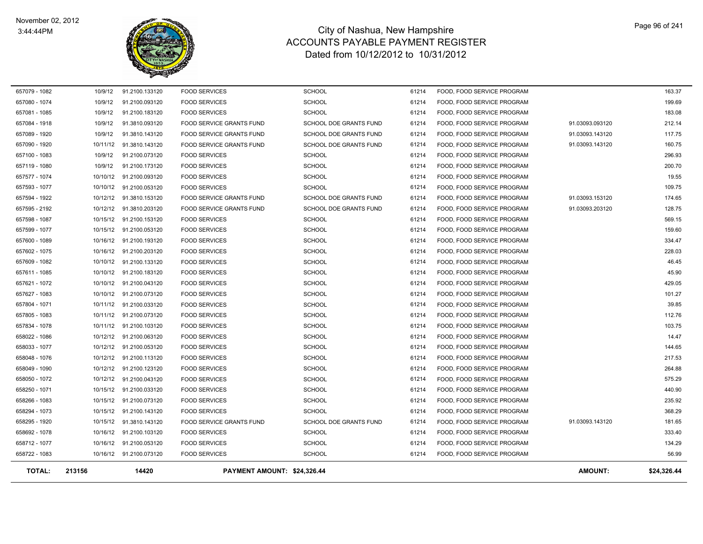

| <b>TOTAL:</b> | 213156   | 14420                   | PAYMENT AMOUNT: \$24,326.44     |                               |       |                            | <b>AMOUNT:</b>  | \$24,326.44 |
|---------------|----------|-------------------------|---------------------------------|-------------------------------|-------|----------------------------|-----------------|-------------|
| 658722 - 1083 |          | 10/16/12 91.2100.073120 | <b>FOOD SERVICES</b>            | <b>SCHOOL</b>                 | 61214 | FOOD, FOOD SERVICE PROGRAM |                 | 56.99       |
| 658712 - 1077 | 10/16/12 | 91.2100.053120          | <b>FOOD SERVICES</b>            | <b>SCHOOL</b>                 | 61214 | FOOD, FOOD SERVICE PROGRAM |                 | 134.29      |
| 658692 - 1078 | 10/16/12 | 91.2100.103120          | <b>FOOD SERVICES</b>            | <b>SCHOOL</b>                 | 61214 | FOOD, FOOD SERVICE PROGRAM |                 | 333.40      |
| 658295 - 1920 | 10/15/12 | 91.3810.143120          | FOOD SERVICE GRANTS FUND        | SCHOOL DOE GRANTS FUND        | 61214 | FOOD, FOOD SERVICE PROGRAM | 91.03093.143120 | 181.65      |
| 658294 - 1073 | 10/15/12 | 91.2100.143120          | <b>FOOD SERVICES</b>            | <b>SCHOOL</b>                 | 61214 | FOOD, FOOD SERVICE PROGRAM |                 | 368.29      |
| 658266 - 1083 | 10/15/12 | 91.2100.073120          | <b>FOOD SERVICES</b>            | <b>SCHOOL</b>                 | 61214 | FOOD, FOOD SERVICE PROGRAM |                 | 235.92      |
| 658250 - 1071 | 10/15/12 | 91.2100.033120          | <b>FOOD SERVICES</b>            | <b>SCHOOL</b>                 | 61214 | FOOD, FOOD SERVICE PROGRAM |                 | 440.90      |
| 658050 - 1072 | 10/12/12 | 91.2100.043120          | <b>FOOD SERVICES</b>            | <b>SCHOOL</b>                 | 61214 | FOOD, FOOD SERVICE PROGRAM |                 | 575.29      |
| 658049 - 1090 | 10/12/12 | 91.2100.123120          | <b>FOOD SERVICES</b>            | <b>SCHOOL</b>                 | 61214 | FOOD, FOOD SERVICE PROGRAM |                 | 264.88      |
| 658048 - 1076 | 10/12/12 | 91.2100.113120          | <b>FOOD SERVICES</b>            | <b>SCHOOL</b>                 | 61214 | FOOD, FOOD SERVICE PROGRAM |                 | 217.53      |
| 658033 - 1077 | 10/12/12 | 91.2100.053120          | <b>FOOD SERVICES</b>            | <b>SCHOOL</b>                 | 61214 | FOOD, FOOD SERVICE PROGRAM |                 | 144.65      |
| 658022 - 1086 | 10/12/12 | 91.2100.063120          | <b>FOOD SERVICES</b>            | <b>SCHOOL</b>                 | 61214 | FOOD, FOOD SERVICE PROGRAM |                 | 14.47       |
| 657834 - 1078 | 10/11/12 | 91.2100.103120          | <b>FOOD SERVICES</b>            | <b>SCHOOL</b>                 | 61214 | FOOD, FOOD SERVICE PROGRAM |                 | 103.75      |
| 657805 - 1083 |          | 10/11/12 91.2100.073120 | <b>FOOD SERVICES</b>            | <b>SCHOOL</b>                 | 61214 | FOOD, FOOD SERVICE PROGRAM |                 | 112.76      |
| 657804 - 1071 |          | 10/11/12 91.2100.033120 | <b>FOOD SERVICES</b>            | <b>SCHOOL</b>                 | 61214 | FOOD, FOOD SERVICE PROGRAM |                 | 39.85       |
| 657627 - 1083 |          | 10/10/12 91.2100.073120 | <b>FOOD SERVICES</b>            | <b>SCHOOL</b>                 | 61214 | FOOD, FOOD SERVICE PROGRAM |                 | 101.27      |
| 657621 - 1072 |          | 10/10/12 91.2100.043120 | <b>FOOD SERVICES</b>            | <b>SCHOOL</b>                 | 61214 | FOOD, FOOD SERVICE PROGRAM |                 | 429.05      |
| 657611 - 1085 |          | 10/10/12 91.2100.183120 | <b>FOOD SERVICES</b>            | <b>SCHOOL</b>                 | 61214 | FOOD, FOOD SERVICE PROGRAM |                 | 45.90       |
| 657609 - 1082 |          | 10/10/12 91.2100.133120 | <b>FOOD SERVICES</b>            | <b>SCHOOL</b>                 | 61214 | FOOD, FOOD SERVICE PROGRAM |                 | 46.45       |
| 657602 - 1075 |          | 10/16/12 91.2100.203120 | <b>FOOD SERVICES</b>            | <b>SCHOOL</b>                 | 61214 | FOOD, FOOD SERVICE PROGRAM |                 | 228.03      |
| 657600 - 1089 |          | 10/16/12 91.2100.193120 | <b>FOOD SERVICES</b>            | <b>SCHOOL</b>                 | 61214 | FOOD, FOOD SERVICE PROGRAM |                 | 334.47      |
| 657599 - 1077 |          | 10/15/12 91.2100.053120 | <b>FOOD SERVICES</b>            | <b>SCHOOL</b>                 | 61214 | FOOD, FOOD SERVICE PROGRAM |                 | 159.60      |
| 657598 - 1087 |          | 10/15/12 91.2100.153120 | <b>FOOD SERVICES</b>            | <b>SCHOOL</b>                 | 61214 | FOOD, FOOD SERVICE PROGRAM |                 | 569.15      |
| 657595 - 2192 |          | 10/12/12 91.3810.203120 | <b>FOOD SERVICE GRANTS FUND</b> | <b>SCHOOL DOE GRANTS FUND</b> | 61214 | FOOD, FOOD SERVICE PROGRAM | 91.03093.203120 | 128.75      |
| 657594 - 1922 |          | 10/12/12 91.3810.153120 | FOOD SERVICE GRANTS FUND        | SCHOOL DOE GRANTS FUND        | 61214 | FOOD, FOOD SERVICE PROGRAM | 91.03093.153120 | 174.65      |
| 657593 - 1077 |          | 10/10/12 91.2100.053120 | <b>FOOD SERVICES</b>            | <b>SCHOOL</b>                 | 61214 | FOOD, FOOD SERVICE PROGRAM |                 | 109.75      |
| 657577 - 1074 | 10/10/12 | 91.2100.093120          | <b>FOOD SERVICES</b>            | <b>SCHOOL</b>                 | 61214 | FOOD, FOOD SERVICE PROGRAM |                 | 19.55       |
| 657119 - 1080 | 10/9/12  | 91.2100.173120          | <b>FOOD SERVICES</b>            | <b>SCHOOL</b>                 | 61214 | FOOD, FOOD SERVICE PROGRAM |                 | 200.70      |
| 657100 - 1083 | 10/9/12  | 91.2100.073120          | <b>FOOD SERVICES</b>            | <b>SCHOOL</b>                 | 61214 | FOOD, FOOD SERVICE PROGRAM |                 | 296.93      |
| 657090 - 1920 | 10/11/12 | 91.3810.143120          | FOOD SERVICE GRANTS FUND        | <b>SCHOOL DOE GRANTS FUND</b> | 61214 | FOOD, FOOD SERVICE PROGRAM | 91.03093.143120 | 160.75      |
| 657089 - 1920 | 10/9/12  | 91.3810.143120          | FOOD SERVICE GRANTS FUND        | SCHOOL DOE GRANTS FUND        | 61214 | FOOD, FOOD SERVICE PROGRAM | 91.03093.143120 | 117.75      |
| 657084 - 1918 | 10/9/12  | 91.3810.093120          | FOOD SERVICE GRANTS FUND        | SCHOOL DOE GRANTS FUND        | 61214 | FOOD, FOOD SERVICE PROGRAM | 91.03093.093120 | 212.14      |
| 657081 - 1085 | 10/9/12  | 91.2100.183120          | <b>FOOD SERVICES</b>            | <b>SCHOOL</b>                 | 61214 | FOOD, FOOD SERVICE PROGRAM |                 | 183.08      |
| 657080 - 1074 | 10/9/12  | 91.2100.093120          | <b>FOOD SERVICES</b>            | <b>SCHOOL</b>                 | 61214 | FOOD, FOOD SERVICE PROGRAM |                 | 199.69      |
| 657079 - 1082 | 10/9/12  | 91.2100.133120          | <b>FOOD SERVICES</b>            | <b>SCHOOL</b>                 | 61214 | FOOD, FOOD SERVICE PROGRAM |                 | 163.37      |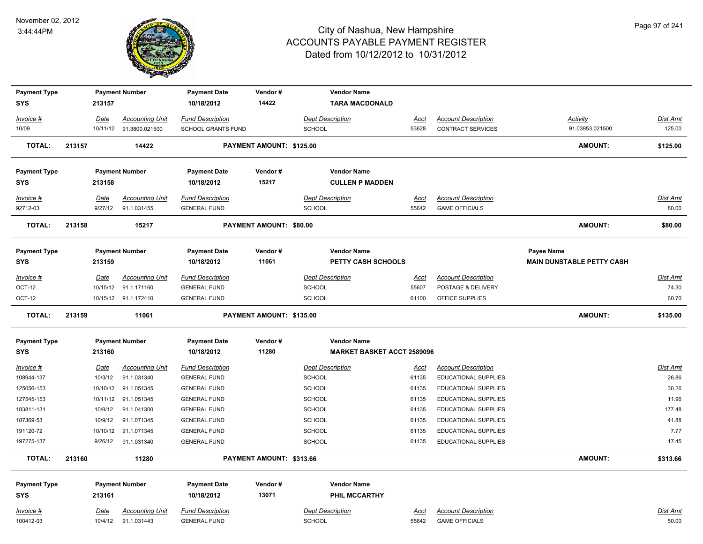

| <b>Payment Type</b> |        |             | <b>Payment Number</b>  | <b>Payment Date</b>     | Vendor#                  | <b>Vendor Name</b>      |                                   |             |                             |                                  |                 |
|---------------------|--------|-------------|------------------------|-------------------------|--------------------------|-------------------------|-----------------------------------|-------------|-----------------------------|----------------------------------|-----------------|
| <b>SYS</b>          |        | 213157      |                        | 10/18/2012              | 14422                    |                         | <b>TARA MACDONALD</b>             |             |                             |                                  |                 |
| Invoice #           |        | Date        | <b>Accounting Unit</b> | <b>Fund Description</b> |                          | <b>Dept Description</b> |                                   | <u>Acct</u> | <b>Account Description</b>  | Activity                         | Dist Amt        |
| 10/09               |        | 10/11/12    | 91.3800.021500         | SCHOOL GRANTS FUND      |                          | SCHOOL                  |                                   | 53628       | CONTRACT SERVICES           | 91.03953.021500                  | 125.00          |
| <b>TOTAL:</b>       | 213157 |             | 14422                  |                         | PAYMENT AMOUNT: \$125.00 |                         |                                   |             |                             | <b>AMOUNT:</b>                   | \$125.00        |
| <b>Payment Type</b> |        |             | <b>Payment Number</b>  | <b>Payment Date</b>     | Vendor#                  | <b>Vendor Name</b>      |                                   |             |                             |                                  |                 |
| <b>SYS</b>          |        | 213158      |                        | 10/18/2012              | 15217                    |                         | <b>CULLEN P MADDEN</b>            |             |                             |                                  |                 |
| Invoice #           |        | Date        | <b>Accounting Unit</b> | <b>Fund Description</b> |                          | <b>Dept Description</b> |                                   | <b>Acct</b> | <b>Account Description</b>  |                                  | <b>Dist Amt</b> |
| 92712-03            |        | 9/27/12     | 91.1.031455            | <b>GENERAL FUND</b>     |                          | <b>SCHOOL</b>           |                                   | 55642       | <b>GAME OFFICIALS</b>       |                                  | 80.00           |
| <b>TOTAL:</b>       | 213158 |             | 15217                  |                         | PAYMENT AMOUNT: \$80.00  |                         |                                   |             |                             | <b>AMOUNT:</b>                   | \$80.00         |
| <b>Payment Type</b> |        |             | <b>Payment Number</b>  | <b>Payment Date</b>     | Vendor#                  | <b>Vendor Name</b>      |                                   |             |                             | Payee Name                       |                 |
| <b>SYS</b>          |        | 213159      |                        | 10/18/2012              | 11061                    |                         | PETTY CASH SCHOOLS                |             |                             | <b>MAIN DUNSTABLE PETTY CASH</b> |                 |
| Invoice #           |        | Date        | <b>Accounting Unit</b> | <b>Fund Description</b> |                          | <b>Dept Description</b> |                                   | Acct        | <b>Account Description</b>  |                                  | <b>Dist Amt</b> |
| OCT-12              |        | 10/15/12    | 91.1.171160            | <b>GENERAL FUND</b>     |                          | <b>SCHOOL</b>           |                                   | 55607       | POSTAGE & DELIVERY          |                                  | 74.30           |
| <b>OCT-12</b>       |        |             | 10/15/12 91.1.172410   | <b>GENERAL FUND</b>     |                          | <b>SCHOOL</b>           |                                   | 61100       | OFFICE SUPPLIES             |                                  | 60.70           |
| <b>TOTAL:</b>       | 213159 |             | 11061                  |                         | PAYMENT AMOUNT: \$135.00 |                         |                                   |             |                             | <b>AMOUNT:</b>                   | \$135.00        |
| <b>Payment Type</b> |        |             | <b>Payment Number</b>  | <b>Payment Date</b>     | Vendor#                  | <b>Vendor Name</b>      |                                   |             |                             |                                  |                 |
| <b>SYS</b>          |        | 213160      |                        | 10/18/2012              | 11280                    |                         | <b>MARKET BASKET ACCT 2589096</b> |             |                             |                                  |                 |
| $Invoice$ #         |        | <b>Date</b> | <b>Accounting Unit</b> | <b>Fund Description</b> |                          | <b>Dept Description</b> |                                   | <u>Acct</u> | <b>Account Description</b>  |                                  | <b>Dist Amt</b> |
| 108944-137          |        | 10/3/12     | 91.1.031340            | <b>GENERAL FUND</b>     |                          | <b>SCHOOL</b>           |                                   | 61135       | EDUCATIONAL SUPPLIES        |                                  | 26.86           |
| 125056-153          |        | 10/10/12    | 91.1.051345            | <b>GENERAL FUND</b>     |                          | <b>SCHOOL</b>           |                                   | 61135       | EDUCATIONAL SUPPLIES        |                                  | 30.26           |
| 127545-153          |        |             | 10/11/12 91.1.051345   | <b>GENERAL FUND</b>     |                          | <b>SCHOOL</b>           |                                   | 61135       | <b>EDUCATIONAL SUPPLIES</b> |                                  | 11.96           |
| 183811-131          |        | 10/8/12     | 91.1.041300            | <b>GENERAL FUND</b>     |                          | <b>SCHOOL</b>           |                                   | 61135       | EDUCATIONAL SUPPLIES        |                                  | 177.48          |
| 187369-53           |        | 10/9/12     | 91.1.071345            | <b>GENERAL FUND</b>     |                          | <b>SCHOOL</b>           |                                   | 61135       | <b>EDUCATIONAL SUPPLIES</b> |                                  | 41.88           |
| 191120-72           |        |             | 10/10/12 91.1.071345   | <b>GENERAL FUND</b>     |                          | <b>SCHOOL</b>           |                                   | 61135       | <b>EDUCATIONAL SUPPLIES</b> |                                  | 7.77            |
| 197275-137          |        | 9/26/12     | 91.1.031340            | <b>GENERAL FUND</b>     |                          | <b>SCHOOL</b>           |                                   | 61135       | EDUCATIONAL SUPPLIES        |                                  | 17.45           |
| <b>TOTAL:</b>       | 213160 |             | 11280                  |                         | PAYMENT AMOUNT: \$313.66 |                         |                                   |             |                             | <b>AMOUNT:</b>                   | \$313.66        |
| <b>Payment Type</b> |        |             | <b>Payment Number</b>  | <b>Payment Date</b>     | Vendor#                  | <b>Vendor Name</b>      |                                   |             |                             |                                  |                 |
| <b>SYS</b>          |        | 213161      |                        | 10/18/2012              | 13071                    |                         | PHIL MCCARTHY                     |             |                             |                                  |                 |
| Invoice #           |        | Date        | <b>Accounting Unit</b> | <b>Fund Description</b> |                          | <b>Dept Description</b> |                                   | Acct        | <b>Account Description</b>  |                                  | Dist Amt        |
| 100412-03           |        | 10/4/12     | 91.1.031443            | <b>GENERAL FUND</b>     |                          | <b>SCHOOL</b>           |                                   | 55642       | <b>GAME OFFICIALS</b>       |                                  | 50.00           |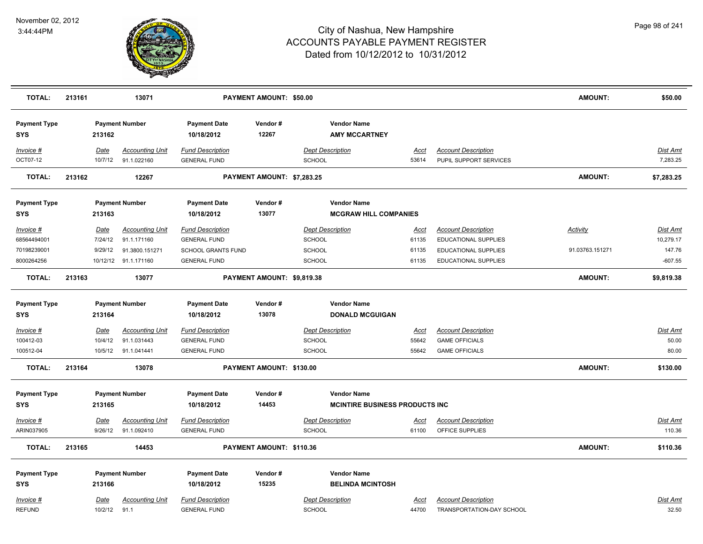

| <b>TOTAL:</b>                     | 213161 |                 | 13071                                 |                                                | <b>PAYMENT AMOUNT: \$50.00</b> |                                                    |               |                                                      | AMOUNT:         | \$50.00              |
|-----------------------------------|--------|-----------------|---------------------------------------|------------------------------------------------|--------------------------------|----------------------------------------------------|---------------|------------------------------------------------------|-----------------|----------------------|
| <b>Payment Type</b><br><b>SYS</b> |        | 213162          | <b>Payment Number</b>                 | <b>Payment Date</b><br>10/18/2012              | Vendor#<br>12267               | <b>Vendor Name</b><br><b>AMY MCCARTNEY</b>         |               |                                                      |                 |                      |
| Invoice #<br>OCT07-12             |        | Date<br>10/7/12 | <b>Accounting Unit</b><br>91.1.022160 | <b>Fund Description</b><br><b>GENERAL FUND</b> |                                | <b>Dept Description</b><br><b>SCHOOL</b>           | Acct<br>53614 | <b>Account Description</b><br>PUPIL SUPPORT SERVICES |                 | Dist Amt<br>7,283.25 |
| <b>TOTAL:</b>                     | 213162 |                 | 12267                                 |                                                | PAYMENT AMOUNT: \$7,283.25     |                                                    |               |                                                      | AMOUNT:         | \$7,283.25           |
| <b>Payment Type</b><br><b>SYS</b> |        | 213163          | <b>Payment Number</b>                 | <b>Payment Date</b><br>10/18/2012              | Vendor#<br>13077               | <b>Vendor Name</b><br><b>MCGRAW HILL COMPANIES</b> |               |                                                      |                 |                      |
| Invoice #                         |        | Date            | <b>Accounting Unit</b>                | <b>Fund Description</b>                        |                                | <b>Dept Description</b>                            | <u>Acct</u>   | <b>Account Description</b>                           | <b>Activity</b> | <b>Dist Amt</b>      |
| 68564494001                       |        | 7/24/12         | 91.1.171160                           | <b>GENERAL FUND</b>                            |                                | <b>SCHOOL</b>                                      | 61135         | EDUCATIONAL SUPPLIES                                 |                 | 10,279.17            |
| 70198239001                       |        | 9/29/12         | 91.3800.151271                        | <b>SCHOOL GRANTS FUND</b>                      |                                | <b>SCHOOL</b>                                      | 61135         | EDUCATIONAL SUPPLIES                                 | 91.03763.151271 | 147.76               |
| 8000264256                        |        |                 | 10/12/12 91.1.171160                  | <b>GENERAL FUND</b>                            |                                | <b>SCHOOL</b>                                      | 61135         | EDUCATIONAL SUPPLIES                                 |                 | $-607.55$            |
| <b>TOTAL:</b>                     | 213163 |                 | 13077                                 |                                                | PAYMENT AMOUNT: \$9,819.38     |                                                    |               |                                                      | AMOUNT:         | \$9,819.38           |
| <b>Payment Type</b>               |        |                 | <b>Payment Number</b>                 | <b>Payment Date</b>                            | Vendor#                        | <b>Vendor Name</b>                                 |               |                                                      |                 |                      |
| <b>SYS</b>                        |        | 213164          |                                       | 10/18/2012                                     | 13078                          | <b>DONALD MCGUIGAN</b>                             |               |                                                      |                 |                      |
| Invoice #                         |        | <u>Date</u>     | <b>Accounting Unit</b>                | <b>Fund Description</b>                        |                                | <b>Dept Description</b>                            | <u>Acct</u>   | <b>Account Description</b>                           |                 | <b>Dist Amt</b>      |
| 100412-03                         |        | 10/4/12         | 91.1.031443                           | <b>GENERAL FUND</b>                            |                                | <b>SCHOOL</b>                                      | 55642         | <b>GAME OFFICIALS</b>                                |                 | 50.00                |
| 100512-04                         |        |                 | 10/5/12 91.1.041441                   | <b>GENERAL FUND</b>                            |                                | <b>SCHOOL</b>                                      | 55642         | <b>GAME OFFICIALS</b>                                |                 | 80.00                |
| <b>TOTAL:</b>                     | 213164 |                 | 13078                                 |                                                | PAYMENT AMOUNT: \$130.00       |                                                    |               |                                                      | AMOUNT:         | \$130.00             |
| <b>Payment Type</b>               |        |                 | <b>Payment Number</b>                 | <b>Payment Date</b>                            | Vendor#                        | <b>Vendor Name</b>                                 |               |                                                      |                 |                      |
| <b>SYS</b>                        |        | 213165          |                                       | 10/18/2012                                     | 14453                          | <b>MCINTIRE BUSINESS PRODUCTS INC.</b>             |               |                                                      |                 |                      |
| Invoice #                         |        | Date            | <b>Accounting Unit</b>                | <b>Fund Description</b>                        |                                | <b>Dept Description</b>                            | Acct          | <b>Account Description</b>                           |                 | Dist Amt             |
| ARIN037905                        |        | 9/26/12         | 91.1.092410                           | <b>GENERAL FUND</b>                            |                                | <b>SCHOOL</b>                                      | 61100         | OFFICE SUPPLIES                                      |                 | 110.36               |
| TOTAL:                            | 213165 |                 | 14453                                 |                                                | PAYMENT AMOUNT: \$110.36       |                                                    |               |                                                      | AMOUNT:         | \$110.36             |
| <b>Payment Type</b>               |        |                 | <b>Payment Number</b>                 | <b>Payment Date</b>                            | Vendor#                        | <b>Vendor Name</b>                                 |               |                                                      |                 |                      |
| <b>SYS</b>                        |        | 213166          |                                       | 10/18/2012                                     | 15235                          | <b>BELINDA MCINTOSH</b>                            |               |                                                      |                 |                      |
|                                   |        |                 |                                       |                                                |                                | <b>Dept Description</b>                            |               | <b>Account Description</b>                           |                 |                      |
| Invoice #<br><b>REFUND</b>        |        | Date<br>10/2/12 | <b>Accounting Unit</b><br>91.1        | <b>Fund Description</b><br><b>GENERAL FUND</b> |                                | <b>SCHOOL</b>                                      | Acct<br>44700 | TRANSPORTATION-DAY SCHOOL                            |                 | Dist Amt<br>32.50    |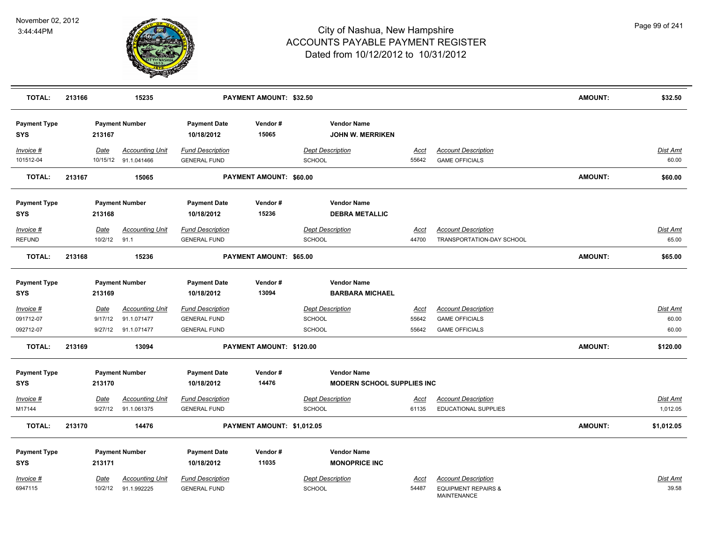

| <b>TOTAL:</b>                     | 213166 |                        | 15235                                          |                                                | PAYMENT AMOUNT: \$32.50    |                                               |                      |                                                      | <b>AMOUNT:</b> | \$32.50                  |
|-----------------------------------|--------|------------------------|------------------------------------------------|------------------------------------------------|----------------------------|-----------------------------------------------|----------------------|------------------------------------------------------|----------------|--------------------------|
| <b>Payment Type</b><br><b>SYS</b> |        | 213167                 | <b>Payment Number</b>                          | <b>Payment Date</b><br>10/18/2012              | Vendor#<br>15065           | <b>Vendor Name</b><br><b>JOHN W. MERRIKEN</b> |                      |                                                      |                |                          |
| Invoice #<br>101512-04            |        | Date                   | <b>Accounting Unit</b><br>10/15/12 91.1.041466 | <b>Fund Description</b><br><b>GENERAL FUND</b> |                            | <b>Dept Description</b><br>SCHOOL             | <u>Acct</u><br>55642 | <b>Account Description</b><br><b>GAME OFFICIALS</b>  |                | <b>Dist Amt</b><br>60.00 |
| <b>TOTAL:</b>                     | 213167 |                        | 15065                                          |                                                | PAYMENT AMOUNT: \$60.00    |                                               |                      |                                                      | <b>AMOUNT:</b> | \$60.00                  |
| <b>Payment Type</b>               |        |                        | <b>Payment Number</b>                          | <b>Payment Date</b>                            | Vendor#                    | <b>Vendor Name</b>                            |                      |                                                      |                |                          |
| <b>SYS</b>                        |        | 213168                 |                                                | 10/18/2012                                     | 15236                      | <b>DEBRA METALLIC</b>                         |                      |                                                      |                |                          |
| Invoice #                         |        | Date                   | <b>Accounting Unit</b>                         | <b>Fund Description</b>                        |                            | <b>Dept Description</b>                       | Acct                 | <b>Account Description</b>                           |                | Dist Amt                 |
| <b>REFUND</b>                     |        | 10/2/12                | 91.1                                           | <b>GENERAL FUND</b>                            |                            | <b>SCHOOL</b>                                 | 44700                | TRANSPORTATION-DAY SCHOOL                            |                | 65.00                    |
| <b>TOTAL:</b>                     | 213168 |                        | 15236                                          |                                                | PAYMENT AMOUNT: \$65.00    |                                               |                      |                                                      | <b>AMOUNT:</b> | \$65.00                  |
| <b>Payment Type</b><br><b>SYS</b> |        | 213169                 | <b>Payment Number</b>                          | <b>Payment Date</b><br>10/18/2012              | Vendor#<br>13094           | <b>Vendor Name</b><br><b>BARBARA MICHAEL</b>  |                      |                                                      |                |                          |
| $Invoice$ #<br>091712-07          |        | <b>Date</b><br>9/17/12 | <b>Accounting Unit</b><br>91.1.071477          | <b>Fund Description</b><br><b>GENERAL FUND</b> |                            | <b>Dept Description</b><br>SCHOOL             | <u>Acct</u><br>55642 | <b>Account Description</b><br><b>GAME OFFICIALS</b>  |                | Dist Amt<br>60.00        |
| 092712-07                         |        | 9/27/12                | 91.1.071477                                    | <b>GENERAL FUND</b>                            |                            | SCHOOL                                        | 55642                | <b>GAME OFFICIALS</b>                                |                | 60.00                    |
| <b>TOTAL:</b>                     | 213169 |                        | 13094                                          |                                                | PAYMENT AMOUNT: \$120.00   |                                               |                      |                                                      | <b>AMOUNT:</b> | \$120.00                 |
| <b>Payment Type</b>               |        |                        | <b>Payment Number</b>                          | <b>Payment Date</b>                            | Vendor#                    | <b>Vendor Name</b>                            |                      |                                                      |                |                          |
| <b>SYS</b>                        |        | 213170                 |                                                | 10/18/2012                                     | 14476                      | <b>MODERN SCHOOL SUPPLIES INC</b>             |                      |                                                      |                |                          |
| Invoice #                         |        | Date                   | <b>Accounting Unit</b>                         | <b>Fund Description</b>                        |                            | <b>Dept Description</b>                       | <u>Acct</u>          | <b>Account Description</b>                           |                | Dist Amt                 |
| M17144                            |        | 9/27/12                | 91.1.061375                                    | <b>GENERAL FUND</b>                            |                            | SCHOOL                                        | 61135                | <b>EDUCATIONAL SUPPLIES</b>                          |                | 1,012.05                 |
| <b>TOTAL:</b>                     | 213170 |                        | 14476                                          |                                                | PAYMENT AMOUNT: \$1,012.05 |                                               |                      |                                                      | <b>AMOUNT:</b> | \$1,012.05               |
| <b>Payment Type</b>               |        |                        | <b>Payment Number</b>                          | <b>Payment Date</b>                            | Vendor#                    | <b>Vendor Name</b>                            |                      |                                                      |                |                          |
| <b>SYS</b>                        |        | 213171                 |                                                | 10/18/2012                                     | 11035                      | <b>MONOPRICE INC</b>                          |                      |                                                      |                |                          |
| Invoice #                         |        | <u>Date</u>            | Accounting Unit                                | <b>Fund Description</b>                        |                            | <b>Dept Description</b>                       | Acct                 | <b>Account Description</b>                           |                | Dist Amt                 |
| 6947115                           |        | 10/2/12                | 91.1.992225                                    | <b>GENERAL FUND</b>                            |                            | SCHOOL                                        | 54487                | <b>EQUIPMENT REPAIRS &amp;</b><br><b>MAINTENANCE</b> |                | 39.58                    |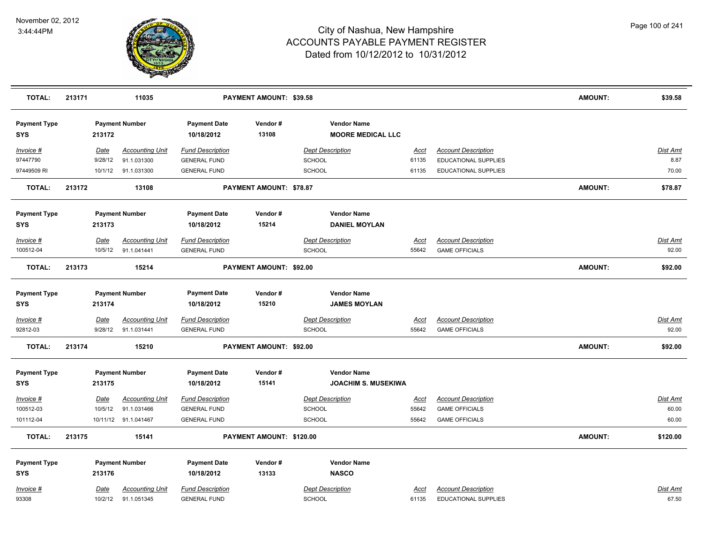

| <b>TOTAL:</b>                     | 213171 |                        | 11035                                 |                                                | PAYMENT AMOUNT: \$39.58        |                                                |                      |                                                     | <b>AMOUNT:</b> | \$39.58           |
|-----------------------------------|--------|------------------------|---------------------------------------|------------------------------------------------|--------------------------------|------------------------------------------------|----------------------|-----------------------------------------------------|----------------|-------------------|
| <b>Payment Type</b><br><b>SYS</b> |        | 213172                 | <b>Payment Number</b>                 | <b>Payment Date</b><br>10/18/2012              | Vendor#<br>13108               | <b>Vendor Name</b><br><b>MOORE MEDICAL LLC</b> |                      |                                                     |                |                   |
| Invoice #                         |        | Date                   | <b>Accounting Unit</b>                | <b>Fund Description</b>                        |                                | <b>Dept Description</b>                        | Acct                 | <b>Account Description</b>                          |                | Dist Amt          |
| 97447790                          |        | 9/28/12                | 91.1.031300                           | <b>GENERAL FUND</b>                            |                                | <b>SCHOOL</b>                                  | 61135                | EDUCATIONAL SUPPLIES                                |                | 8.87              |
| 97449509 RI                       |        | 10/1/12                | 91.1.031300                           | <b>GENERAL FUND</b>                            |                                | <b>SCHOOL</b>                                  | 61135                | <b>EDUCATIONAL SUPPLIES</b>                         |                | 70.00             |
| <b>TOTAL:</b>                     | 213172 |                        | 13108                                 |                                                | <b>PAYMENT AMOUNT: \$78.87</b> |                                                |                      |                                                     | <b>AMOUNT:</b> | \$78.87           |
| <b>Payment Type</b>               |        |                        | <b>Payment Number</b>                 | <b>Payment Date</b>                            | Vendor#                        | <b>Vendor Name</b>                             |                      |                                                     |                |                   |
| <b>SYS</b>                        |        | 213173                 |                                       | 10/18/2012                                     | 15214                          | <b>DANIEL MOYLAN</b>                           |                      |                                                     |                |                   |
| $Invoice$ #                       |        | Date                   | <b>Accounting Unit</b>                | <b>Fund Description</b>                        |                                | <b>Dept Description</b>                        | <u>Acct</u>          | <b>Account Description</b>                          |                | Dist Amt          |
| 100512-04                         |        | 10/5/12                | 91.1.041441                           | <b>GENERAL FUND</b>                            |                                | <b>SCHOOL</b>                                  | 55642                | <b>GAME OFFICIALS</b>                               |                | 92.00             |
| <b>TOTAL:</b>                     | 213173 |                        | 15214                                 |                                                | PAYMENT AMOUNT: \$92.00        |                                                |                      |                                                     | AMOUNT:        | \$92.00           |
| <b>Payment Type</b><br><b>SYS</b> |        | 213174                 | <b>Payment Number</b>                 | <b>Payment Date</b><br>10/18/2012              | Vendor#<br>15210               | <b>Vendor Name</b><br><b>JAMES MOYLAN</b>      |                      |                                                     |                |                   |
| Invoice #<br>92812-03             |        | <u>Date</u><br>9/28/12 | <b>Accounting Unit</b><br>91.1.031441 | <b>Fund Description</b><br><b>GENERAL FUND</b> |                                | <b>Dept Description</b><br><b>SCHOOL</b>       | <u>Acct</u><br>55642 | <b>Account Description</b><br><b>GAME OFFICIALS</b> |                | Dist Amt<br>92.00 |
| <b>TOTAL:</b>                     | 213174 |                        | 15210                                 |                                                | PAYMENT AMOUNT: \$92.00        |                                                |                      |                                                     | AMOUNT:        | \$92.00           |
| <b>Payment Type</b>               |        |                        | <b>Payment Number</b>                 | <b>Payment Date</b>                            | Vendor#                        | <b>Vendor Name</b>                             |                      |                                                     |                |                   |
| <b>SYS</b>                        |        | 213175                 |                                       | 10/18/2012                                     | 15141                          | <b>JOACHIM S. MUSEKIWA</b>                     |                      |                                                     |                |                   |
| $Invoice$ #                       |        | Date                   | <b>Accounting Unit</b>                | <b>Fund Description</b>                        |                                | <b>Dept Description</b>                        | <u>Acct</u>          | <b>Account Description</b>                          |                | <u>Dist Amt</u>   |
| 100512-03                         |        | 10/5/12                | 91.1.031466                           | <b>GENERAL FUND</b>                            |                                | <b>SCHOOL</b>                                  | 55642                | <b>GAME OFFICIALS</b>                               |                | 60.00             |
| 101112-04                         |        |                        | 10/11/12 91.1.041467                  | <b>GENERAL FUND</b>                            |                                | <b>SCHOOL</b>                                  | 55642                | <b>GAME OFFICIALS</b>                               |                | 60.00             |
| <b>TOTAL:</b>                     | 213175 |                        | 15141                                 |                                                | PAYMENT AMOUNT: \$120.00       |                                                |                      |                                                     | <b>AMOUNT:</b> | \$120.00          |
| <b>Payment Type</b>               |        |                        | <b>Payment Number</b>                 | <b>Payment Date</b>                            | Vendor#                        | <b>Vendor Name</b>                             |                      |                                                     |                |                   |
| <b>SYS</b>                        |        | 213176                 |                                       | 10/18/2012                                     | 13133                          | <b>NASCO</b>                                   |                      |                                                     |                |                   |
| Invoice #                         |        | Date                   | <b>Accounting Unit</b>                | <b>Fund Description</b>                        |                                | <b>Dept Description</b>                        | Acct                 | <b>Account Description</b>                          |                | <b>Dist Amt</b>   |
| 93308                             |        | 10/2/12                | 91.1.051345                           | <b>GENERAL FUND</b>                            |                                | <b>SCHOOL</b>                                  | 61135                | EDUCATIONAL SUPPLIES                                |                | 67.50             |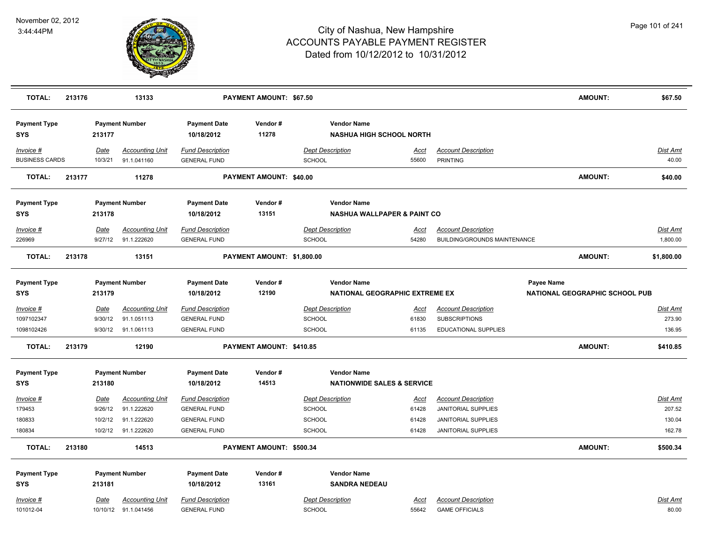

| <b>TOTAL:</b>                      | 213176 |                 | 13133                                          |                                                | PAYMENT AMOUNT: \$67.50    |               |                                                              |                      |                                                     |            | <b>AMOUNT:</b>                        | \$67.50                   |
|------------------------------------|--------|-----------------|------------------------------------------------|------------------------------------------------|----------------------------|---------------|--------------------------------------------------------------|----------------------|-----------------------------------------------------|------------|---------------------------------------|---------------------------|
| <b>Payment Type</b><br><b>SYS</b>  |        | 213177          | <b>Payment Number</b>                          | <b>Payment Date</b><br>10/18/2012              | Vendor#<br>11278           |               | <b>Vendor Name</b><br><b>NASHUA HIGH SCHOOL NORTH</b>        |                      |                                                     |            |                                       |                           |
| Invoice #<br><b>BUSINESS CARDS</b> |        | Date<br>10/3/21 | <b>Accounting Unit</b><br>91.1.041160          | <b>Fund Description</b><br><b>GENERAL FUND</b> |                            | <b>SCHOOL</b> | <b>Dept Description</b>                                      | Acct<br>55600        | <b>Account Description</b><br><b>PRINTING</b>       |            |                                       | Dist Amt<br>40.00         |
| <b>TOTAL:</b>                      | 213177 |                 | 11278                                          |                                                | PAYMENT AMOUNT: \$40.00    |               |                                                              |                      |                                                     |            | <b>AMOUNT:</b>                        | \$40.00                   |
| <b>Payment Type</b><br><b>SYS</b>  |        | 213178          | <b>Payment Number</b>                          | <b>Payment Date</b><br>10/18/2012              | Vendor#<br>13151           |               | <b>Vendor Name</b><br><b>NASHUA WALLPAPER &amp; PAINT CO</b> |                      |                                                     |            |                                       |                           |
| Invoice #                          |        | Date            | <b>Accounting Unit</b>                         | <b>Fund Description</b>                        |                            |               | <b>Dept Description</b>                                      | <b>Acct</b>          | <b>Account Description</b>                          |            |                                       | <b>Dist Amt</b>           |
| 226969                             |        | 9/27/12         | 91.1.222620                                    | <b>GENERAL FUND</b>                            |                            | <b>SCHOOL</b> |                                                              | 54280                | <b>BUILDING/GROUNDS MAINTENANCE</b>                 |            |                                       | 1,800.00                  |
| TOTAL:                             | 213178 |                 | 13151                                          |                                                | PAYMENT AMOUNT: \$1,800.00 |               |                                                              |                      |                                                     |            | <b>AMOUNT:</b>                        | \$1,800.00                |
| <b>Payment Type</b><br><b>SYS</b>  |        | 213179          | <b>Payment Number</b>                          | <b>Payment Date</b><br>10/18/2012              | Vendor#<br>12190           |               | <b>Vendor Name</b><br>NATIONAL GEOGRAPHIC EXTREME EX         |                      |                                                     | Payee Name | <b>NATIONAL GEOGRAPHIC SCHOOL PUB</b> |                           |
| Invoice #<br>1097102347            |        | Date<br>9/30/12 | <b>Accounting Unit</b><br>91.1.051113          | <b>Fund Description</b><br><b>GENERAL FUND</b> |                            | SCHOOL        | <b>Dept Description</b>                                      | <u>Acct</u><br>61830 | <b>Account Description</b><br><b>SUBSCRIPTIONS</b>  |            |                                       | <b>Dist Amt</b><br>273.90 |
| 1098102426                         |        | 9/30/12         | 91.1.061113                                    | <b>GENERAL FUND</b>                            |                            | <b>SCHOOL</b> |                                                              | 61135                | EDUCATIONAL SUPPLIES                                |            |                                       | 136.95                    |
| <b>TOTAL:</b>                      | 213179 |                 | 12190                                          |                                                | PAYMENT AMOUNT: \$410.85   |               |                                                              |                      |                                                     |            | <b>AMOUNT:</b>                        | \$410.85                  |
| <b>Payment Type</b><br>SYS         |        | 213180          | <b>Payment Number</b>                          | <b>Payment Date</b><br>10/18/2012              | Vendor#<br>14513           |               | <b>Vendor Name</b><br><b>NATIONWIDE SALES &amp; SERVICE</b>  |                      |                                                     |            |                                       |                           |
| Invoice #                          |        | <b>Date</b>     | <b>Accounting Unit</b>                         | <b>Fund Description</b>                        |                            |               | <b>Dept Description</b>                                      | Acct                 | <b>Account Description</b>                          |            |                                       | Dist Amt                  |
| 179453                             |        | 9/26/12         | 91.1.222620                                    | <b>GENERAL FUND</b>                            |                            | SCHOOL        |                                                              | 61428                | <b>JANITORIAL SUPPLIES</b>                          |            |                                       | 207.52                    |
| 180833                             |        | 10/2/12         | 91.1.222620                                    | <b>GENERAL FUND</b>                            |                            | SCHOOL        |                                                              | 61428                | JANITORIAL SUPPLIES                                 |            |                                       | 130.04                    |
| 180834                             |        | 10/2/12         | 91.1.222620                                    | <b>GENERAL FUND</b>                            |                            | SCHOOL        |                                                              | 61428                | <b>JANITORIAL SUPPLIES</b>                          |            |                                       | 162.78                    |
| <b>TOTAL:</b>                      | 213180 |                 | 14513                                          |                                                | PAYMENT AMOUNT: \$500.34   |               |                                                              |                      |                                                     |            | <b>AMOUNT:</b>                        | \$500.34                  |
| <b>Payment Type</b>                |        |                 | <b>Payment Number</b>                          | <b>Payment Date</b>                            | Vendor#                    |               | <b>Vendor Name</b>                                           |                      |                                                     |            |                                       |                           |
| <b>SYS</b>                         |        | 213181          |                                                | 10/18/2012                                     | 13161                      |               | <b>SANDRA NEDEAU</b>                                         |                      |                                                     |            |                                       |                           |
|                                    |        |                 |                                                |                                                |                            |               |                                                              |                      |                                                     |            |                                       |                           |
| Invoice #<br>101012-04             |        | Date            | <b>Accounting Unit</b><br>10/10/12 91.1.041456 | <b>Fund Description</b><br><b>GENERAL FUND</b> |                            | <b>SCHOOL</b> | <b>Dept Description</b>                                      | Acct<br>55642        | <b>Account Description</b><br><b>GAME OFFICIALS</b> |            |                                       | Dist Amt<br>80.00         |
|                                    |        |                 |                                                |                                                |                            |               |                                                              |                      |                                                     |            |                                       |                           |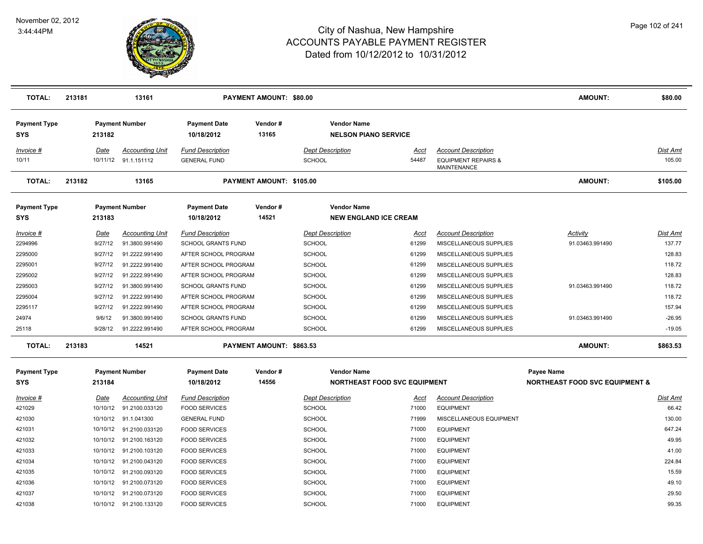

| <b>TOTAL:</b>                                                                                                                     | 213181                                                                                                                  | 13161                                                                                                                                                                                             |                                                                                                                                                                                                                                                         | <b>PAYMENT AMOUNT: \$80.00</b> |                                                                                                                                                             |                                                                                              |                                                                                                                                                                                                                                                                      | AMOUNT:                                                                                    | \$80.00                                                                                                            |
|-----------------------------------------------------------------------------------------------------------------------------------|-------------------------------------------------------------------------------------------------------------------------|---------------------------------------------------------------------------------------------------------------------------------------------------------------------------------------------------|---------------------------------------------------------------------------------------------------------------------------------------------------------------------------------------------------------------------------------------------------------|--------------------------------|-------------------------------------------------------------------------------------------------------------------------------------------------------------|----------------------------------------------------------------------------------------------|----------------------------------------------------------------------------------------------------------------------------------------------------------------------------------------------------------------------------------------------------------------------|--------------------------------------------------------------------------------------------|--------------------------------------------------------------------------------------------------------------------|
| <b>Payment Type</b><br><b>SYS</b>                                                                                                 | 213182                                                                                                                  | <b>Payment Number</b>                                                                                                                                                                             | <b>Payment Date</b><br>10/18/2012                                                                                                                                                                                                                       | Vendor#<br>13165               | <b>Vendor Name</b><br><b>NELSON PIANO SERVICE</b>                                                                                                           |                                                                                              |                                                                                                                                                                                                                                                                      |                                                                                            |                                                                                                                    |
| Invoice #<br>10/11                                                                                                                | Date<br>10/11/12                                                                                                        | <b>Accounting Unit</b><br>91.1.151112                                                                                                                                                             | <b>Fund Description</b><br><b>GENERAL FUND</b>                                                                                                                                                                                                          |                                | <b>Dept Description</b><br>SCHOOL                                                                                                                           | Acct<br>54487                                                                                | <b>Account Description</b><br><b>EQUIPMENT REPAIRS &amp;</b><br><b>MAINTENANCE</b>                                                                                                                                                                                   |                                                                                            | Dist Amt<br>105.00                                                                                                 |
| <b>TOTAL:</b>                                                                                                                     | 213182                                                                                                                  | 13165                                                                                                                                                                                             |                                                                                                                                                                                                                                                         | PAYMENT AMOUNT: \$105.00       |                                                                                                                                                             |                                                                                              |                                                                                                                                                                                                                                                                      | <b>AMOUNT:</b>                                                                             | \$105.00                                                                                                           |
| <b>Payment Type</b><br><b>SYS</b>                                                                                                 | 213183                                                                                                                  | <b>Payment Number</b>                                                                                                                                                                             | <b>Payment Date</b><br>10/18/2012                                                                                                                                                                                                                       | Vendor#<br>14521               | <b>Vendor Name</b><br><b>NEW ENGLAND ICE CREAM</b>                                                                                                          |                                                                                              |                                                                                                                                                                                                                                                                      |                                                                                            |                                                                                                                    |
| <u> Invoice #</u><br>2294996<br>2295000<br>2295001<br>2295002<br>2295003<br>2295004<br>2295117<br>24974<br>25118<br><b>TOTAL:</b> | <b>Date</b><br>9/27/12<br>9/27/12<br>9/27/12<br>9/27/12<br>9/27/12<br>9/27/12<br>9/27/12<br>9/6/12<br>9/28/12<br>213183 | <b>Accounting Unit</b><br>91.3800.991490<br>91.2222.991490<br>91.2222.991490<br>91.2222.991490<br>91.3800.991490<br>91.2222.991490<br>91.2222.991490<br>91.3800.991490<br>91.2222.991490<br>14521 | <b>Fund Description</b><br><b>SCHOOL GRANTS FUND</b><br>AFTER SCHOOL PROGRAM<br>AFTER SCHOOL PROGRAM<br>AFTER SCHOOL PROGRAM<br>SCHOOL GRANTS FUND<br>AFTER SCHOOL PROGRAM<br>AFTER SCHOOL PROGRAM<br><b>SCHOOL GRANTS FUND</b><br>AFTER SCHOOL PROGRAM | PAYMENT AMOUNT: \$863.53       | <b>Dept Description</b><br>SCHOOL<br><b>SCHOOL</b><br>SCHOOL<br><b>SCHOOL</b><br><b>SCHOOL</b><br>SCHOOL<br><b>SCHOOL</b><br><b>SCHOOL</b><br><b>SCHOOL</b> | <u>Acct</u><br>61299<br>61299<br>61299<br>61299<br>61299<br>61299<br>61299<br>61299<br>61299 | <b>Account Description</b><br>MISCELLANEOUS SUPPLIES<br>MISCELLANEOUS SUPPLIES<br>MISCELLANEOUS SUPPLIES<br>MISCELLANEOUS SUPPLIES<br>MISCELLANEOUS SUPPLIES<br>MISCELLANEOUS SUPPLIES<br>MISCELLANEOUS SUPPLIES<br>MISCELLANEOUS SUPPLIES<br>MISCELLANEOUS SUPPLIES | <b>Activity</b><br>91.03463.991490<br>91.03463.991490<br>91.03463.991490<br><b>AMOUNT:</b> | Dist Amt<br>137.77<br>128.83<br>118.72<br>128.83<br>118.72<br>118.72<br>157.94<br>$-26.95$<br>$-19.05$<br>\$863.53 |
| <b>Payment Type</b><br><b>SYS</b>                                                                                                 | 213184                                                                                                                  | <b>Payment Number</b>                                                                                                                                                                             | <b>Payment Date</b><br>10/18/2012                                                                                                                                                                                                                       | Vendor#<br>14556               | <b>Vendor Name</b>                                                                                                                                          | <b>NORTHEAST FOOD SVC EQUIPMENT</b>                                                          |                                                                                                                                                                                                                                                                      | Payee Name<br><b>NORTHEAST FOOD SVC EQUIPMENT &amp;</b>                                    |                                                                                                                    |
| Invoice #<br>421029<br>421030                                                                                                     | <u>Date</u><br>10/10/12<br>10/10/12                                                                                     | <b>Accounting Unit</b><br>91.2100.033120<br>91.1.041300                                                                                                                                           | <b>Fund Description</b><br><b>FOOD SERVICES</b><br><b>GENERAL FUND</b>                                                                                                                                                                                  |                                | <b>Dept Description</b><br><b>SCHOOL</b><br><b>SCHOOL</b>                                                                                                   | <u>Acct</u><br>71000<br>71999                                                                | <b>Account Description</b><br><b>EQUIPMENT</b><br>MISCELLANEOUS EQUIPMENT                                                                                                                                                                                            |                                                                                            | Dist Amt<br>66.42<br>130.00                                                                                        |
| 421031<br>421032<br>421033<br>421034                                                                                              | 10/10/12<br>10/10/12<br>10/10/12<br>10/10/12                                                                            | 91.2100.033120<br>91.2100.163120<br>91.2100.103120<br>91.2100.043120                                                                                                                              | <b>FOOD SERVICES</b><br><b>FOOD SERVICES</b><br><b>FOOD SERVICES</b><br><b>FOOD SERVICES</b>                                                                                                                                                            |                                | <b>SCHOOL</b><br><b>SCHOOL</b><br><b>SCHOOL</b><br><b>SCHOOL</b>                                                                                            | 71000<br>71000<br>71000<br>71000                                                             | <b>EQUIPMENT</b><br><b>EQUIPMENT</b><br><b>EQUIPMENT</b><br><b>EQUIPMENT</b>                                                                                                                                                                                         |                                                                                            | 647.24<br>49.95<br>41.00<br>224.84                                                                                 |
| 421035<br>421036<br>421037                                                                                                        | 10/10/12<br>10/10/12<br>10/10/12                                                                                        | 91.2100.093120<br>91.2100.073120<br>91.2100.073120                                                                                                                                                | <b>FOOD SERVICES</b><br><b>FOOD SERVICES</b><br><b>FOOD SERVICES</b>                                                                                                                                                                                    |                                | <b>SCHOOL</b><br><b>SCHOOL</b><br><b>SCHOOL</b>                                                                                                             | 71000<br>71000<br>71000                                                                      | <b>EQUIPMENT</b><br><b>EQUIPMENT</b><br><b>EQUIPMENT</b>                                                                                                                                                                                                             |                                                                                            | 15.59<br>49.10<br>29.50                                                                                            |
| 421038                                                                                                                            |                                                                                                                         | 10/10/12 91.2100.133120                                                                                                                                                                           | <b>FOOD SERVICES</b>                                                                                                                                                                                                                                    |                                | <b>SCHOOL</b>                                                                                                                                               | 71000                                                                                        | <b>EQUIPMENT</b>                                                                                                                                                                                                                                                     |                                                                                            | 99.35                                                                                                              |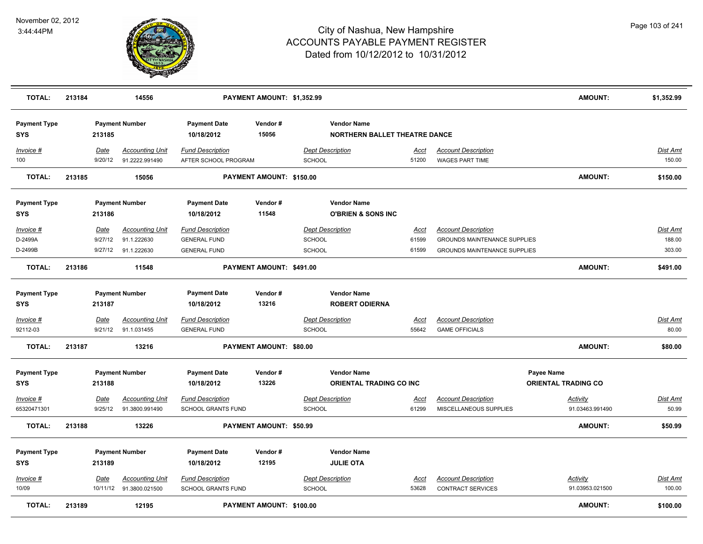

| <b>TOTAL:</b>                     | 213184 |                 | 14556                                             |                                                      | PAYMENT AMOUNT: \$1,352.99 |                                                            |                      |                                                        | <b>AMOUNT:</b>                     | \$1,352.99               |
|-----------------------------------|--------|-----------------|---------------------------------------------------|------------------------------------------------------|----------------------------|------------------------------------------------------------|----------------------|--------------------------------------------------------|------------------------------------|--------------------------|
| <b>Payment Type</b><br><b>SYS</b> |        | 213185          | <b>Payment Number</b>                             | <b>Payment Date</b><br>10/18/2012                    | Vendor#<br>15056           | <b>Vendor Name</b><br><b>NORTHERN BALLET THEATRE DANCE</b> |                      |                                                        |                                    |                          |
| Invoice #<br>100                  |        | Date<br>9/20/12 | <b>Accounting Unit</b><br>91.2222.991490          | <b>Fund Description</b><br>AFTER SCHOOL PROGRAM      |                            | <b>Dept Description</b><br><b>SCHOOL</b>                   | <u>Acct</u><br>51200 | <b>Account Description</b><br><b>WAGES PART TIME</b>   |                                    | Dist Amt<br>150.00       |
| <b>TOTAL:</b>                     | 213185 |                 | 15056                                             |                                                      | PAYMENT AMOUNT: \$150.00   |                                                            |                      |                                                        | <b>AMOUNT:</b>                     | \$150.00                 |
| <b>Payment Type</b><br><b>SYS</b> |        | 213186          | <b>Payment Number</b>                             | <b>Payment Date</b><br>10/18/2012                    | Vendor#<br>11548           | <b>Vendor Name</b><br><b>O'BRIEN &amp; SONS INC</b>        |                      |                                                        |                                    |                          |
| Invoice #                         |        | Date            | <b>Accounting Unit</b>                            | <b>Fund Description</b>                              |                            | <b>Dept Description</b>                                    | Acct                 | <b>Account Description</b>                             |                                    | Dist Amt                 |
| D-2499A                           |        | 9/27/12         | 91.1.222630                                       | <b>GENERAL FUND</b>                                  |                            | <b>SCHOOL</b>                                              | 61599                | <b>GROUNDS MAINTENANCE SUPPLIES</b>                    |                                    | 188.00                   |
| D-2499B                           |        | 9/27/12         | 91.1.222630                                       | <b>GENERAL FUND</b>                                  |                            | <b>SCHOOL</b>                                              | 61599                | <b>GROUNDS MAINTENANCE SUPPLIES</b>                    |                                    | 303.00                   |
| <b>TOTAL:</b>                     | 213186 |                 | 11548                                             |                                                      | PAYMENT AMOUNT: \$491.00   |                                                            |                      |                                                        | <b>AMOUNT:</b>                     | \$491.00                 |
| <b>Payment Type</b>               |        |                 | <b>Payment Number</b>                             | <b>Payment Date</b>                                  | Vendor#                    | <b>Vendor Name</b>                                         |                      |                                                        |                                    |                          |
| <b>SYS</b>                        |        | 213187          |                                                   | 10/18/2012                                           | 13216                      | <b>ROBERT ODIERNA</b>                                      |                      |                                                        |                                    |                          |
| $Invoice$ #<br>92112-03           |        | Date<br>9/21/12 | <b>Accounting Unit</b><br>91.1.031455             | <b>Fund Description</b><br><b>GENERAL FUND</b>       |                            | <b>Dept Description</b><br><b>SCHOOL</b>                   | <u>Acct</u><br>55642 | <b>Account Description</b><br><b>GAME OFFICIALS</b>    |                                    | <b>Dist Amt</b><br>80.00 |
| <b>TOTAL:</b>                     | 213187 |                 | 13216                                             |                                                      | PAYMENT AMOUNT: \$80.00    |                                                            |                      |                                                        | <b>AMOUNT:</b>                     | \$80.00                  |
| <b>Payment Type</b>               |        |                 | <b>Payment Number</b>                             | <b>Payment Date</b>                                  | Vendor#                    | <b>Vendor Name</b>                                         |                      |                                                        | Payee Name                         |                          |
| <b>SYS</b>                        |        | 213188          |                                                   | 10/18/2012                                           | 13226                      | ORIENTAL TRADING CO INC                                    |                      |                                                        | <b>ORIENTAL TRADING CO</b>         |                          |
| Invoice #                         |        | Date            | <b>Accounting Unit</b>                            | <b>Fund Description</b>                              |                            | <b>Dept Description</b>                                    | Acct                 | <b>Account Description</b>                             | Activity                           | Dist Amt                 |
| 65320471301                       |        | 9/25/12         | 91.3800.991490                                    | <b>SCHOOL GRANTS FUND</b>                            |                            | <b>SCHOOL</b>                                              | 61299                | MISCELLANEOUS SUPPLIES                                 | 91.03463.991490                    | 50.99                    |
| <b>TOTAL:</b>                     | 213188 |                 | 13226                                             |                                                      | PAYMENT AMOUNT: \$50.99    |                                                            |                      |                                                        | <b>AMOUNT:</b>                     | \$50.99                  |
| <b>Payment Type</b>               |        |                 | <b>Payment Number</b>                             | <b>Payment Date</b>                                  | Vendor#                    | <b>Vendor Name</b>                                         |                      |                                                        |                                    |                          |
| <b>SYS</b>                        |        | 213189          |                                                   | 10/18/2012                                           | 12195                      | <b>JULIE OTA</b>                                           |                      |                                                        |                                    |                          |
| Invoice #<br>10/09                |        | Date            | <b>Accounting Unit</b><br>10/11/12 91.3800.021500 | <b>Fund Description</b><br><b>SCHOOL GRANTS FUND</b> |                            | <b>Dept Description</b><br><b>SCHOOL</b>                   | <u>Acct</u><br>53628 | <b>Account Description</b><br><b>CONTRACT SERVICES</b> | <b>Activity</b><br>91.03953.021500 | Dist Amt<br>100.00       |
| <b>TOTAL:</b>                     | 213189 |                 | 12195                                             |                                                      | PAYMENT AMOUNT: \$100.00   |                                                            |                      |                                                        | <b>AMOUNT:</b>                     | \$100.00                 |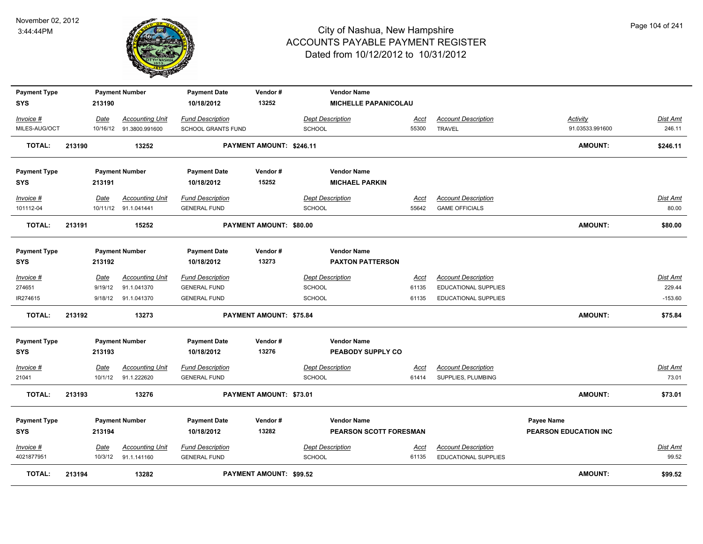

| <b>Payment Type</b><br><b>SYS</b> |        | 213190      | <b>Payment Number</b>   | <b>Payment Date</b><br>10/18/2012 | Vendor#<br>13252         | <b>Vendor Name</b>                          | MICHELLE PAPANICOLAU    |                             |                                     |                 |
|-----------------------------------|--------|-------------|-------------------------|-----------------------------------|--------------------------|---------------------------------------------|-------------------------|-----------------------------|-------------------------------------|-----------------|
| Invoice #                         |        | Date        | <b>Accounting Unit</b>  | <b>Fund Description</b>           |                          | <b>Dept Description</b>                     | Acct                    | <b>Account Description</b>  | Activity                            | Dist Amt        |
| MILES-AUG/OCT                     |        |             | 10/16/12 91.3800.991600 | <b>SCHOOL GRANTS FUND</b>         |                          | <b>SCHOOL</b>                               | 55300                   | <b>TRAVEL</b>               | 91.03533.991600                     | 246.11          |
| <b>TOTAL:</b>                     | 213190 |             | 13252                   |                                   | PAYMENT AMOUNT: \$246.11 |                                             |                         |                             | <b>AMOUNT:</b>                      | \$246.11        |
| <b>Payment Type</b><br><b>SYS</b> |        | 213191      | <b>Payment Number</b>   | <b>Payment Date</b><br>10/18/2012 | Vendor#<br>15252         | <b>Vendor Name</b><br><b>MICHAEL PARKIN</b> |                         |                             |                                     |                 |
| Invoice #                         |        | Date        | <b>Accounting Unit</b>  | <b>Fund Description</b>           |                          | <b>Dept Description</b>                     | Acct                    | <b>Account Description</b>  |                                     | <b>Dist Amt</b> |
| 101112-04                         |        |             | 10/11/12 91.1.041441    | <b>GENERAL FUND</b>               |                          | <b>SCHOOL</b>                               | 55642                   | <b>GAME OFFICIALS</b>       |                                     | 80.00           |
| <b>TOTAL:</b>                     | 213191 |             | 15252                   |                                   | PAYMENT AMOUNT: \$80.00  |                                             |                         |                             | <b>AMOUNT:</b>                      | \$80.00         |
| <b>Payment Type</b><br><b>SYS</b> |        | 213192      | <b>Payment Number</b>   | <b>Payment Date</b><br>10/18/2012 | Vendor#<br>13273         | <b>Vendor Name</b>                          | <b>PAXTON PATTERSON</b> |                             |                                     |                 |
| Invoice #                         |        | Date        | <b>Accounting Unit</b>  | <b>Fund Description</b>           |                          | <b>Dept Description</b>                     | Acct                    | <b>Account Description</b>  |                                     | Dist Amt        |
| 274651                            |        | 9/19/12     | 91.1.041370             | <b>GENERAL FUND</b>               |                          | <b>SCHOOL</b>                               | 61135                   | <b>EDUCATIONAL SUPPLIES</b> |                                     | 229.44          |
| IR274615                          |        |             | 9/18/12 91.1.041370     | <b>GENERAL FUND</b>               |                          | SCHOOL                                      | 61135                   | EDUCATIONAL SUPPLIES        |                                     | $-153.60$       |
| <b>TOTAL:</b>                     | 213192 |             | 13273                   |                                   | PAYMENT AMOUNT: \$75.84  |                                             |                         |                             | <b>AMOUNT:</b>                      | \$75.84         |
| <b>Payment Type</b><br><b>SYS</b> |        | 213193      | <b>Payment Number</b>   | <b>Payment Date</b><br>10/18/2012 | Vendor#<br>13276         | <b>Vendor Name</b>                          | PEABODY SUPPLY CO       |                             |                                     |                 |
| Invoice #                         |        | Date        | <b>Accounting Unit</b>  | <b>Fund Description</b>           |                          | <b>Dept Description</b>                     | <u>Acct</u>             | <b>Account Description</b>  |                                     | <b>Dist Amt</b> |
| 21041                             |        |             | 10/1/12 91.1.222620     | <b>GENERAL FUND</b>               |                          | <b>SCHOOL</b>                               | 61414                   | SUPPLIES, PLUMBING          |                                     | 73.01           |
| <b>TOTAL:</b>                     | 213193 |             | 13276                   |                                   | PAYMENT AMOUNT: \$73.01  |                                             |                         |                             | <b>AMOUNT:</b>                      | \$73.01         |
| <b>Payment Type</b><br><b>SYS</b> |        | 213194      | <b>Payment Number</b>   | <b>Payment Date</b><br>10/18/2012 | Vendor#<br>13282         | <b>Vendor Name</b>                          | PEARSON SCOTT FORESMAN  |                             | Payee Name<br>PEARSON EDUCATION INC |                 |
| Invoice #                         |        | <u>Date</u> | <b>Accounting Unit</b>  | <b>Fund Description</b>           |                          | <b>Dept Description</b>                     | <u>Acct</u>             | <b>Account Description</b>  |                                     | Dist Amt        |
| 4021877951                        |        | 10/3/12     | 91.1.141160             | <b>GENERAL FUND</b>               |                          | <b>SCHOOL</b>                               | 61135                   | <b>EDUCATIONAL SUPPLIES</b> |                                     | 99.52           |
| <b>TOTAL:</b>                     | 213194 |             | 13282                   |                                   | PAYMENT AMOUNT: \$99.52  |                                             |                         |                             | <b>AMOUNT:</b>                      | \$99.52         |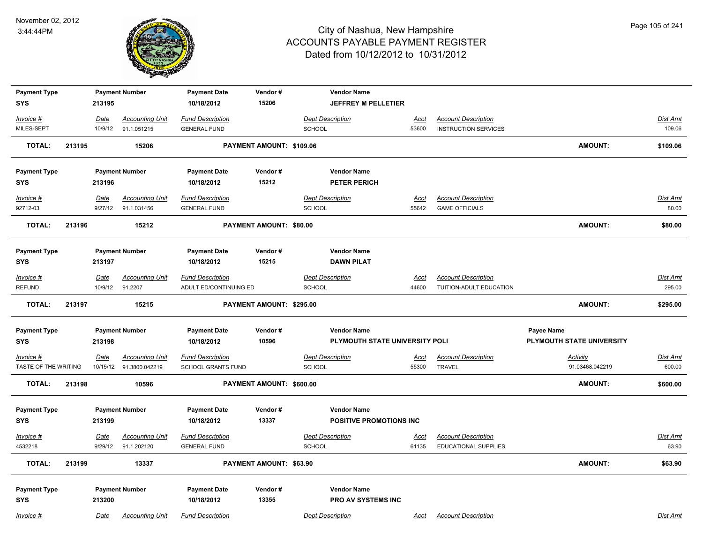

| <b>Payment Type</b>  |        |                        | <b>Payment Number</b>                 | <b>Payment Date</b>                            | Vendor#                  | <b>Vendor Name</b>                |                      |                                                           |                           |                   |
|----------------------|--------|------------------------|---------------------------------------|------------------------------------------------|--------------------------|-----------------------------------|----------------------|-----------------------------------------------------------|---------------------------|-------------------|
| <b>SYS</b>           |        | 213195                 |                                       | 10/18/2012                                     | 15206                    | JEFFREY M PELLETIER               |                      |                                                           |                           |                   |
| Invoice #            |        | Date                   | <b>Accounting Unit</b>                | <b>Fund Description</b>                        |                          | <b>Dept Description</b>           | Acct                 | <b>Account Description</b>                                |                           | Dist Amt          |
| MILES-SEPT           |        | 10/9/12                | 91.1.051215                           | <b>GENERAL FUND</b>                            |                          | <b>SCHOOL</b>                     | 53600                | <b>INSTRUCTION SERVICES</b>                               |                           | 109.06            |
| <b>TOTAL:</b>        | 213195 |                        | 15206                                 |                                                | PAYMENT AMOUNT: \$109.06 |                                   |                      |                                                           | <b>AMOUNT:</b>            | \$109.06          |
| <b>Payment Type</b>  |        |                        | <b>Payment Number</b>                 | <b>Payment Date</b>                            | Vendor#                  | <b>Vendor Name</b>                |                      |                                                           |                           |                   |
| SYS                  |        | 213196                 |                                       | 10/18/2012                                     | 15212                    | PETER PERICH                      |                      |                                                           |                           |                   |
| Invoice #            |        | Date                   | <b>Accounting Unit</b>                | <b>Fund Description</b>                        |                          | <b>Dept Description</b>           | Acct                 | <b>Account Description</b>                                |                           | Dist Amt          |
| 92712-03             |        | 9/27/12                | 91.1.031456                           | <b>GENERAL FUND</b>                            |                          | <b>SCHOOL</b>                     | 55642                | <b>GAME OFFICIALS</b>                                     |                           | 80.00             |
| <b>TOTAL:</b>        | 213196 |                        | 15212                                 |                                                | PAYMENT AMOUNT: \$80.00  |                                   |                      |                                                           | <b>AMOUNT:</b>            | \$80.00           |
| <b>Payment Type</b>  |        |                        | <b>Payment Number</b>                 | <b>Payment Date</b>                            | Vendor#                  | <b>Vendor Name</b>                |                      |                                                           |                           |                   |
| <b>SYS</b>           |        | 213197                 |                                       | 10/18/2012                                     | 15215                    | <b>DAWN PILAT</b>                 |                      |                                                           |                           |                   |
| Invoice #            |        | Date                   | <b>Accounting Unit</b>                | <b>Fund Description</b>                        |                          | <b>Dept Description</b>           | <u>Acct</u>          | <b>Account Description</b>                                |                           | Dist Amt          |
| <b>REFUND</b>        |        | 10/9/12                | 91.2207                               | ADULT ED/CONTINUING ED                         |                          | SCHOOL                            | 44600                | TUITION-ADULT EDUCATION                                   |                           | 295.00            |
| <b>TOTAL:</b>        | 213197 |                        | 15215                                 |                                                | PAYMENT AMOUNT: \$295.00 |                                   |                      |                                                           | <b>AMOUNT:</b>            | \$295.00          |
| <b>Payment Type</b>  |        |                        | <b>Payment Number</b>                 | <b>Payment Date</b>                            | Vendor#                  | <b>Vendor Name</b>                |                      |                                                           | Payee Name                |                   |
| <b>SYS</b>           |        | 213198                 |                                       | 10/18/2012                                     | 10596                    | PLYMOUTH STATE UNIVERSITY POLI    |                      |                                                           | PLYMOUTH STATE UNIVERSITY |                   |
| Invoice #            |        | <u>Date</u>            | <b>Accounting Unit</b>                | <b>Fund Description</b>                        |                          | <b>Dept Description</b>           | <u>Acct</u>          | <b>Account Description</b>                                | <b>Activity</b>           | <b>Dist Amt</b>   |
| TASTE OF THE WRITING |        |                        | 10/15/12 91.3800.042219               | <b>SCHOOL GRANTS FUND</b>                      |                          | SCHOOL                            | 55300                | <b>TRAVEL</b>                                             | 91.03468.042219           | 600.00            |
| <b>TOTAL:</b>        | 213198 |                        | 10596                                 |                                                | PAYMENT AMOUNT: \$600.00 |                                   |                      |                                                           | <b>AMOUNT:</b>            | \$600.00          |
| <b>Payment Type</b>  |        |                        | <b>Payment Number</b>                 | <b>Payment Date</b>                            | Vendor#                  | <b>Vendor Name</b>                |                      |                                                           |                           |                   |
| <b>SYS</b>           |        | 213199                 |                                       | 10/18/2012                                     | 13337                    | POSITIVE PROMOTIONS INC           |                      |                                                           |                           |                   |
| Invoice #<br>4532218 |        | <b>Date</b><br>9/29/12 | <b>Accounting Unit</b><br>91.1.202120 | <b>Fund Description</b><br><b>GENERAL FUND</b> |                          | <b>Dept Description</b><br>SCHOOL | <u>Acct</u><br>61135 | <b>Account Description</b><br><b>EDUCATIONAL SUPPLIES</b> |                           | Dist Amt<br>63.90 |
| TOTAL:               | 213199 |                        | 13337                                 |                                                | PAYMENT AMOUNT: \$63.90  |                                   |                      |                                                           | AMOUNT:                   | \$63.90           |
| <b>Payment Type</b>  |        |                        | <b>Payment Number</b>                 | <b>Payment Date</b>                            | Vendor#                  | <b>Vendor Name</b>                |                      |                                                           |                           |                   |
| <b>SYS</b>           |        | 213200                 |                                       | 10/18/2012                                     | 13355                    | PRO AV SYSTEMS INC                |                      |                                                           |                           |                   |
| Invoice #            |        | Date                   | <b>Accounting Unit</b>                | <b>Fund Description</b>                        |                          | <b>Dept Description</b>           | Acct                 | <b>Account Description</b>                                |                           | Dist Amt          |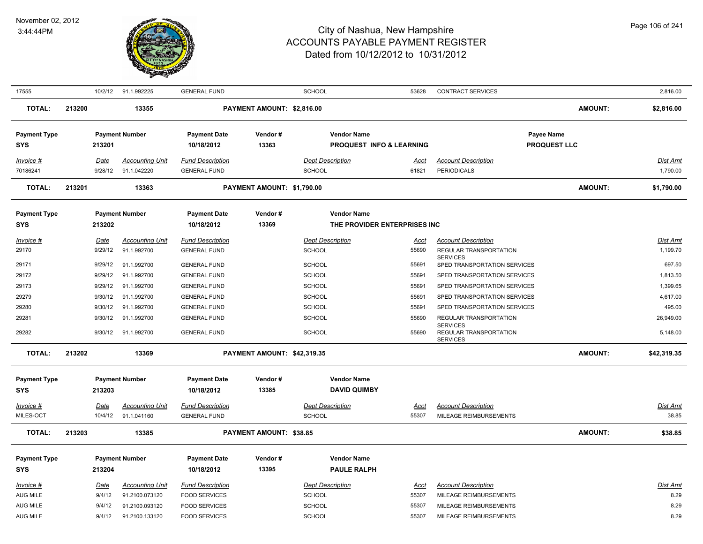

| 17555               |        | 10/2/12     | 91.1.992225            | <b>GENERAL FUND</b>     |                             | SCHOOL                   | 53628                         | <b>CONTRACT SERVICES</b>                                     |                | 2,816.00        |
|---------------------|--------|-------------|------------------------|-------------------------|-----------------------------|--------------------------|-------------------------------|--------------------------------------------------------------|----------------|-----------------|
| <b>TOTAL:</b>       | 213200 |             | 13355                  |                         | PAYMENT AMOUNT: \$2,816.00  |                          |                               |                                                              | <b>AMOUNT:</b> | \$2,816.00      |
| <b>Payment Type</b> |        |             | <b>Payment Number</b>  | <b>Payment Date</b>     | Vendor#                     | <b>Vendor Name</b>       |                               | Payee Name                                                   |                |                 |
| <b>SYS</b>          |        | 213201      |                        | 10/18/2012              | 13363                       | PROQUEST INFO & LEARNING |                               | <b>PROQUEST LLC</b>                                          |                |                 |
|                     |        |             |                        |                         |                             |                          |                               |                                                              |                |                 |
| Invoice #           |        | Date        | <b>Accounting Unit</b> | <b>Fund Description</b> |                             | <b>Dept Description</b>  | <u>Acct</u>                   | <b>Account Description</b>                                   |                | <b>Dist Amt</b> |
| 70186241            |        | 9/28/12     | 91.1.042220            | <b>GENERAL FUND</b>     |                             | <b>SCHOOL</b>            | 61821                         | <b>PERIODICALS</b>                                           |                | 1,790.00        |
| <b>TOTAL:</b>       | 213201 |             | 13363                  |                         | PAYMENT AMOUNT: \$1,790.00  |                          |                               |                                                              | <b>AMOUNT:</b> | \$1,790.00      |
| <b>Payment Type</b> |        |             | <b>Payment Number</b>  | <b>Payment Date</b>     | Vendor#                     | <b>Vendor Name</b>       |                               |                                                              |                |                 |
| <b>SYS</b>          |        | 213202      |                        | 10/18/2012              | 13369                       |                          | THE PROVIDER ENTERPRISES INC. |                                                              |                |                 |
| Invoice #           |        | Date        | <b>Accounting Unit</b> | <b>Fund Description</b> |                             | <b>Dept Description</b>  | <u>Acct</u>                   | <b>Account Description</b>                                   |                | Dist Amt        |
| 29170               |        | 9/29/12     | 91.1.992700            | <b>GENERAL FUND</b>     |                             | <b>SCHOOL</b>            | 55690                         | <b>REGULAR TRANSPORTATION</b>                                |                | 1,199.70        |
|                     |        |             |                        |                         |                             |                          |                               | <b>SERVICES</b>                                              |                |                 |
| 29171               |        | 9/29/12     | 91.1.992700            | <b>GENERAL FUND</b>     |                             | <b>SCHOOL</b>            | 55691                         | SPED TRANSPORTATION SERVICES                                 |                | 697.50          |
| 29172               |        | 9/29/12     | 91.1.992700            | <b>GENERAL FUND</b>     |                             | <b>SCHOOL</b>            | 55691                         | SPED TRANSPORTATION SERVICES                                 |                | 1,813.50        |
| 29173               |        | 9/29/12     | 91.1.992700            | <b>GENERAL FUND</b>     |                             | <b>SCHOOL</b>            | 55691                         | SPED TRANSPORTATION SERVICES                                 |                | 1,399.65        |
| 29279               |        | 9/30/12     | 91.1.992700            | <b>GENERAL FUND</b>     |                             | SCHOOL                   | 55691                         | SPED TRANSPORTATION SERVICES                                 |                | 4,617.00        |
| 29280               |        | 9/30/12     | 91.1.992700            | <b>GENERAL FUND</b>     |                             | SCHOOL                   | 55691                         | SPED TRANSPORTATION SERVICES                                 |                | 495.00          |
| 29281               |        | 9/30/12     | 91.1.992700            | <b>GENERAL FUND</b>     |                             | <b>SCHOOL</b>            | 55690                         | REGULAR TRANSPORTATION                                       |                | 26,949.00       |
| 29282               |        | 9/30/12     | 91.1.992700            | <b>GENERAL FUND</b>     |                             | <b>SCHOOL</b>            | 55690                         | <b>SERVICES</b><br>REGULAR TRANSPORTATION<br><b>SERVICES</b> |                | 5,148.00        |
| <b>TOTAL:</b>       | 213202 |             | 13369                  |                         | PAYMENT AMOUNT: \$42,319.35 |                          |                               |                                                              | <b>AMOUNT:</b> | \$42,319.35     |
|                     |        |             |                        |                         |                             |                          |                               |                                                              |                |                 |
| <b>Payment Type</b> |        |             | <b>Payment Number</b>  | <b>Payment Date</b>     | Vendor#                     | <b>Vendor Name</b>       |                               |                                                              |                |                 |
| SYS                 |        | 213203      |                        | 10/18/2012              | 13385                       | <b>DAVID QUIMBY</b>      |                               |                                                              |                |                 |
| $Invoice$ #         |        | <u>Date</u> | <b>Accounting Unit</b> | <b>Fund Description</b> |                             | <b>Dept Description</b>  | <u>Acct</u>                   | <b>Account Description</b>                                   |                | Dist Amt        |
| MILES-OCT           |        | 10/4/12     | 91.1.041160            | <b>GENERAL FUND</b>     |                             | SCHOOL                   | 55307                         | MILEAGE REIMBURSEMENTS                                       |                | 38.85           |
|                     |        |             |                        |                         |                             |                          |                               |                                                              |                |                 |
| <b>TOTAL:</b>       | 213203 |             | 13385                  |                         | PAYMENT AMOUNT: \$38.85     |                          |                               |                                                              | <b>AMOUNT:</b> | \$38.85         |
| <b>Payment Type</b> |        |             | <b>Payment Number</b>  | <b>Payment Date</b>     | Vendor#                     | <b>Vendor Name</b>       |                               |                                                              |                |                 |
| <b>SYS</b>          |        | 213204      |                        | 10/18/2012              | 13395                       | <b>PAULE RALPH</b>       |                               |                                                              |                |                 |
| Invoice #           |        | Date        | <b>Accounting Unit</b> | <b>Fund Description</b> |                             | <b>Dept Description</b>  | <u>Acct</u>                   | <b>Account Description</b>                                   |                | <b>Dist Amt</b> |
| AUG MILE            |        | 9/4/12      | 91.2100.073120         | <b>FOOD SERVICES</b>    |                             | <b>SCHOOL</b>            | 55307                         | MILEAGE REIMBURSEMENTS                                       |                | 8.29            |
| AUG MILE            |        | 9/4/12      | 91.2100.093120         | <b>FOOD SERVICES</b>    |                             | <b>SCHOOL</b>            | 55307                         | MILEAGE REIMBURSEMENTS                                       |                | 8.29            |
| <b>AUG MILE</b>     |        | 9/4/12      | 91.2100.133120         | <b>FOOD SERVICES</b>    |                             | SCHOOL                   | 55307                         | MILEAGE REIMBURSEMENTS                                       |                | 8.29            |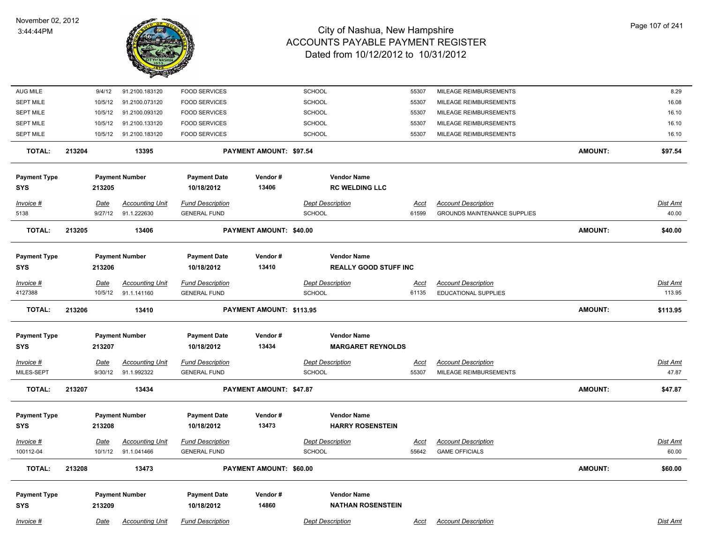

| AUG MILE                          | 9/4/12                 | 91.2100.183120                        | <b>FOOD SERVICES</b>                           |                                | SCHOOL                                             | 55307                | MILEAGE REIMBURSEMENTS                                            |                | 8.29                     |
|-----------------------------------|------------------------|---------------------------------------|------------------------------------------------|--------------------------------|----------------------------------------------------|----------------------|-------------------------------------------------------------------|----------------|--------------------------|
| <b>SEPT MILE</b>                  | 10/5/12                | 91.2100.073120                        | <b>FOOD SERVICES</b>                           |                                | SCHOOL                                             | 55307                | MILEAGE REIMBURSEMENTS                                            |                | 16.08                    |
| <b>SEPT MILE</b>                  | 10/5/12                | 91.2100.093120                        | <b>FOOD SERVICES</b>                           |                                | SCHOOL                                             | 55307                | MILEAGE REIMBURSEMENTS                                            |                | 16.10                    |
| <b>SEPT MILE</b>                  | 10/5/12                | 91.2100.133120                        | <b>FOOD SERVICES</b>                           |                                | SCHOOL                                             | 55307                | MILEAGE REIMBURSEMENTS                                            |                | 16.10                    |
| <b>SEPT MILE</b>                  | 10/5/12                | 91.2100.183120                        | <b>FOOD SERVICES</b>                           |                                | SCHOOL                                             | 55307                | MILEAGE REIMBURSEMENTS                                            |                | 16.10                    |
| <b>TOTAL:</b>                     | 213204                 | 13395                                 |                                                | PAYMENT AMOUNT: \$97.54        |                                                    |                      |                                                                   | <b>AMOUNT:</b> | \$97.54                  |
| <b>Payment Type</b>               |                        | <b>Payment Number</b>                 | <b>Payment Date</b>                            | Vendor#                        | <b>Vendor Name</b>                                 |                      |                                                                   |                |                          |
| <b>SYS</b>                        | 213205                 |                                       | 10/18/2012                                     | 13406                          | <b>RC WELDING LLC</b>                              |                      |                                                                   |                |                          |
| Invoice #<br>5138                 | Date<br>9/27/12        | <b>Accounting Unit</b><br>91.1.222630 | <b>Fund Description</b><br><b>GENERAL FUND</b> |                                | <b>Dept Description</b><br><b>SCHOOL</b>           | Acct<br>61599        | <b>Account Description</b><br><b>GROUNDS MAINTENANCE SUPPLIES</b> |                | Dist Amt<br>40.00        |
| TOTAL:                            | 213205                 | 13406                                 |                                                | <b>PAYMENT AMOUNT: \$40.00</b> |                                                    |                      |                                                                   | <b>AMOUNT:</b> | \$40.00                  |
| <b>Payment Type</b><br>SYS        | 213206                 | <b>Payment Number</b>                 | <b>Payment Date</b><br>10/18/2012              | Vendor#<br>13410               | <b>Vendor Name</b><br><b>REALLY GOOD STUFF INC</b> |                      |                                                                   |                |                          |
| Invoice #                         | Date                   | <b>Accounting Unit</b>                | <b>Fund Description</b>                        |                                | <b>Dept Description</b>                            | <u>Acct</u>          | <b>Account Description</b>                                        |                | <b>Dist Amt</b>          |
| 4127388                           | 10/5/12                | 91.1.141160                           | <b>GENERAL FUND</b>                            |                                | SCHOOL                                             | 61135                | <b>EDUCATIONAL SUPPLIES</b>                                       |                | 113.95                   |
| <b>TOTAL:</b>                     | 213206                 | 13410                                 |                                                | PAYMENT AMOUNT: \$113.95       |                                                    |                      |                                                                   | <b>AMOUNT:</b> | \$113.95                 |
| <b>Payment Type</b><br><b>SYS</b> | 213207                 | <b>Payment Number</b>                 | <b>Payment Date</b><br>10/18/2012              | Vendor#<br>13434               | <b>Vendor Name</b><br><b>MARGARET REYNOLDS</b>     |                      |                                                                   |                |                          |
| Invoice #<br>MILES-SEPT           | <u>Date</u><br>9/30/12 | <b>Accounting Unit</b><br>91.1.992322 | <b>Fund Description</b><br><b>GENERAL FUND</b> |                                | <b>Dept Description</b><br>SCHOOL                  | <u>Acct</u><br>55307 | <b>Account Description</b><br>MILEAGE REIMBURSEMENTS              |                | <u>Dist Amt</u><br>47.87 |
| <b>TOTAL:</b>                     | 213207                 | 13434                                 |                                                | <b>PAYMENT AMOUNT: \$47.87</b> |                                                    |                      |                                                                   | <b>AMOUNT:</b> | \$47.87                  |
| <b>Payment Type</b><br><b>SYS</b> | 213208                 | <b>Payment Number</b>                 | <b>Payment Date</b><br>10/18/2012              | Vendor#<br>13473               | <b>Vendor Name</b><br><b>HARRY ROSENSTEIN</b>      |                      |                                                                   |                |                          |
| Invoice #                         | Date                   | <b>Accounting Unit</b>                | <b>Fund Description</b>                        |                                | <b>Dept Description</b>                            | <u>Acct</u>          | <b>Account Description</b>                                        |                | Dist Amt                 |
| 100112-04                         |                        | 10/1/12 91.1.041466                   | <b>GENERAL FUND</b>                            |                                | <b>SCHOOL</b>                                      | 55642                | <b>GAME OFFICIALS</b>                                             |                | 60.00                    |
| <b>TOTAL:</b>                     | 213208                 | 13473                                 |                                                | PAYMENT AMOUNT: \$60.00        |                                                    |                      |                                                                   | <b>AMOUNT:</b> | \$60.00                  |
| <b>Payment Type</b><br><b>SYS</b> | 213209                 | <b>Payment Number</b>                 | <b>Payment Date</b><br>10/18/2012              | Vendor#<br>14860               | <b>Vendor Name</b><br><b>NATHAN ROSENSTEIN</b>     |                      |                                                                   |                |                          |
| Invoice #                         | Date                   | <b>Accounting Unit</b>                | <b>Fund Description</b>                        |                                | <b>Dept Description</b>                            | Acct                 | <b>Account Description</b>                                        |                | Dist Amt                 |
|                                   |                        |                                       |                                                |                                |                                                    |                      |                                                                   |                |                          |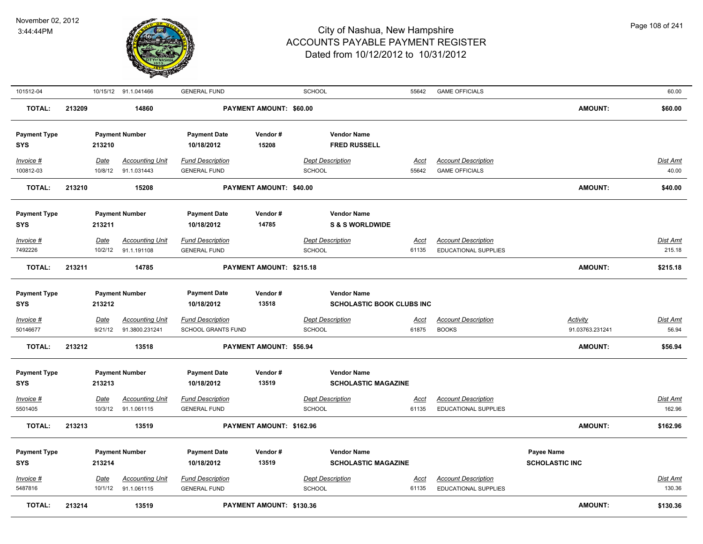

| 101512-04                         |        |                        | 10/15/12 91.1.041466                     | <b>GENERAL FUND</b>                            |                          | <b>SCHOOL</b>                                          | 55642                | <b>GAME OFFICIALS</b>                                     |                                            | 60.00              |
|-----------------------------------|--------|------------------------|------------------------------------------|------------------------------------------------|--------------------------|--------------------------------------------------------|----------------------|-----------------------------------------------------------|--------------------------------------------|--------------------|
| <b>TOTAL:</b>                     | 213209 |                        | 14860                                    |                                                | PAYMENT AMOUNT: \$60.00  |                                                        |                      |                                                           | <b>AMOUNT:</b>                             | \$60.00            |
| <b>Payment Type</b><br><b>SYS</b> |        | 213210                 | <b>Payment Number</b>                    | <b>Payment Date</b><br>10/18/2012              | Vendor#<br>15208         | <b>Vendor Name</b><br><b>FRED RUSSELL</b>              |                      |                                                           |                                            |                    |
| Invoice #<br>100812-03            |        | <b>Date</b><br>10/8/12 | <b>Accounting Unit</b><br>91.1.031443    | <b>Fund Description</b><br><b>GENERAL FUND</b> |                          | <b>Dept Description</b><br>SCHOOL                      | <b>Acct</b><br>55642 | <b>Account Description</b><br><b>GAME OFFICIALS</b>       |                                            | Dist Amt<br>40.00  |
| <b>TOTAL:</b>                     | 213210 |                        | 15208                                    |                                                | PAYMENT AMOUNT: \$40.00  |                                                        |                      |                                                           | <b>AMOUNT:</b>                             | \$40.00            |
| <b>Payment Type</b><br><b>SYS</b> |        | 213211                 | <b>Payment Number</b>                    | <b>Payment Date</b><br>10/18/2012              | Vendor#<br>14785         | <b>Vendor Name</b><br><b>S &amp; S WORLDWIDE</b>       |                      |                                                           |                                            |                    |
| Invoice #                         |        | Date                   | <b>Accounting Unit</b>                   | <b>Fund Description</b>                        |                          | <b>Dept Description</b>                                | Acct                 | <b>Account Description</b>                                |                                            | Dist Amt           |
| 7492226                           |        | 10/2/12                | 91.1.191108                              | <b>GENERAL FUND</b>                            |                          | <b>SCHOOL</b>                                          | 61135                | <b>EDUCATIONAL SUPPLIES</b>                               |                                            | 215.18             |
| <b>TOTAL:</b>                     | 213211 |                        | 14785                                    |                                                | PAYMENT AMOUNT: \$215.18 |                                                        |                      |                                                           | <b>AMOUNT:</b>                             | \$215.18           |
| <b>Payment Type</b><br>SYS        |        | 213212                 | <b>Payment Number</b>                    | <b>Payment Date</b><br>10/18/2012              | Vendor#<br>13518         | <b>Vendor Name</b><br><b>SCHOLASTIC BOOK CLUBS INC</b> |                      |                                                           |                                            |                    |
| Invoice #<br>50146677             |        | <u>Date</u><br>9/21/12 | <b>Accounting Unit</b><br>91.3800.231241 | <b>Fund Description</b><br>SCHOOL GRANTS FUND  |                          | <b>Dept Description</b><br>SCHOOL                      | <u>Acct</u><br>61875 | <b>Account Description</b><br><b>BOOKS</b>                | <b>Activity</b><br>91.03763.231241         | Dist Amt<br>56.94  |
| <b>TOTAL:</b>                     | 213212 |                        | 13518                                    |                                                | PAYMENT AMOUNT: \$56.94  |                                                        |                      |                                                           | <b>AMOUNT:</b>                             | \$56.94            |
| <b>Payment Type</b><br><b>SYS</b> |        | 213213                 | <b>Payment Number</b>                    | <b>Payment Date</b><br>10/18/2012              | Vendor#<br>13519         | <b>Vendor Name</b><br><b>SCHOLASTIC MAGAZINE</b>       |                      |                                                           |                                            |                    |
| Invoice #                         |        | <b>Date</b>            | <b>Accounting Unit</b>                   | <b>Fund Description</b>                        |                          | <b>Dept Description</b>                                | <u>Acct</u>          | <b>Account Description</b>                                |                                            | Dist Amt           |
| 5501405<br><b>TOTAL:</b>          | 213213 | 10/3/12                | 91.1.061115<br>13519                     | <b>GENERAL FUND</b>                            | PAYMENT AMOUNT: \$162.96 | SCHOOL                                                 | 61135                | EDUCATIONAL SUPPLIES                                      | <b>AMOUNT:</b>                             | 162.96<br>\$162.96 |
| <b>Payment Type</b><br><b>SYS</b> |        | 213214                 | <b>Payment Number</b>                    | <b>Payment Date</b><br>10/18/2012              | Vendor#<br>13519         | <b>Vendor Name</b><br><b>SCHOLASTIC MAGAZINE</b>       |                      |                                                           | <b>Payee Name</b><br><b>SCHOLASTIC INC</b> |                    |
| Invoice #<br>5487816              |        | <b>Date</b><br>10/1/12 | <b>Accounting Unit</b><br>91.1.061115    | <b>Fund Description</b><br><b>GENERAL FUND</b> |                          | <b>Dept Description</b><br>SCHOOL                      | <u>Acct</u><br>61135 | <b>Account Description</b><br><b>EDUCATIONAL SUPPLIES</b> |                                            | Dist Amt<br>130.36 |
| <b>TOTAL:</b>                     | 213214 |                        | 13519                                    |                                                | PAYMENT AMOUNT: \$130.36 |                                                        |                      |                                                           | <b>AMOUNT:</b>                             | \$130.36           |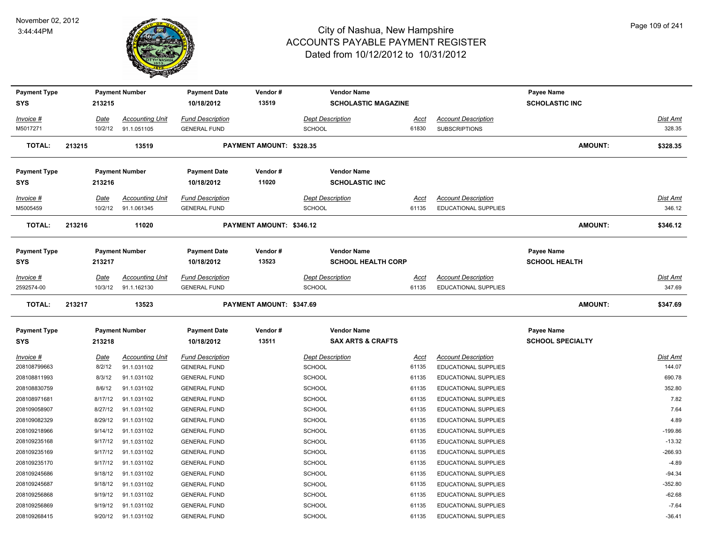

| <b>Payment Type</b> |                    | <b>Payment Number</b>  | <b>Payment Date</b>                        | Vendor#                  | <b>Vendor Name</b>           |                      |                             | <b>Payee Name</b>       |                 |
|---------------------|--------------------|------------------------|--------------------------------------------|--------------------------|------------------------------|----------------------|-----------------------------|-------------------------|-----------------|
| <b>SYS</b>          | 213215             |                        | 10/18/2012                                 | 13519                    | <b>SCHOLASTIC MAGAZINE</b>   |                      |                             | <b>SCHOLASTIC INC</b>   |                 |
| Invoice #           | Date               | <b>Accounting Unit</b> | <b>Fund Description</b>                    |                          | <b>Dept Description</b>      |                      | <b>Account Description</b>  |                         | Dist Amt        |
| M5017271            | 10/2/12            | 91.1.051105            | <b>GENERAL FUND</b>                        |                          | <b>SCHOOL</b>                | <u>Acct</u><br>61830 | <b>SUBSCRIPTIONS</b>        |                         | 328.35          |
|                     |                    |                        |                                            |                          |                              |                      |                             |                         |                 |
| <b>TOTAL:</b>       | 213215             | 13519                  |                                            | PAYMENT AMOUNT: \$328.35 |                              |                      |                             | <b>AMOUNT:</b>          | \$328.35        |
| <b>Payment Type</b> |                    | <b>Payment Number</b>  | <b>Payment Date</b>                        | Vendor#                  | <b>Vendor Name</b>           |                      |                             |                         |                 |
| <b>SYS</b>          | 213216             |                        | 10/18/2012                                 | 11020                    | <b>SCHOLASTIC INC</b>        |                      |                             |                         |                 |
| Invoice #           | Date               | <b>Accounting Unit</b> | <b>Fund Description</b>                    |                          | Dept Description             | Acct                 | <b>Account Description</b>  |                         | Dist Amt        |
| M5005459            | 10/2/12            | 91.1.061345            | <b>GENERAL FUND</b>                        |                          | SCHOOL                       | 61135                | EDUCATIONAL SUPPLIES        |                         | 346.12          |
|                     |                    |                        |                                            |                          |                              |                      |                             |                         |                 |
| TOTAL:              | 213216             | 11020                  |                                            | PAYMENT AMOUNT: \$346.12 |                              |                      |                             | <b>AMOUNT:</b>          | \$346.12        |
| <b>Payment Type</b> |                    | <b>Payment Number</b>  | <b>Payment Date</b>                        | Vendor#                  | <b>Vendor Name</b>           |                      |                             | <b>Payee Name</b>       |                 |
| <b>SYS</b>          | 213217             |                        | 10/18/2012                                 | 13523                    | <b>SCHOOL HEALTH CORP</b>    |                      |                             | <b>SCHOOL HEALTH</b>    |                 |
| Invoice #           | Date               | <b>Accounting Unit</b> | <b>Fund Description</b>                    |                          | <b>Dept Description</b>      | <u>Acct</u>          | <b>Account Description</b>  |                         | Dist Amt        |
| 2592574-00          | 10/3/12            | 91.1.162130            | <b>GENERAL FUND</b>                        |                          | <b>SCHOOL</b>                | 61135                | <b>EDUCATIONAL SUPPLIES</b> |                         | 347.69          |
|                     |                    |                        |                                            |                          |                              |                      |                             |                         |                 |
| <b>TOTAL:</b>       | 213217             | 13523                  |                                            | PAYMENT AMOUNT: \$347.69 |                              |                      |                             | <b>AMOUNT:</b>          | \$347.69        |
| <b>Payment Type</b> |                    | <b>Payment Number</b>  | <b>Payment Date</b>                        | Vendor#                  | <b>Vendor Name</b>           |                      |                             | <b>Payee Name</b>       |                 |
| <b>SYS</b>          | 213218             |                        | 10/18/2012                                 | 13511                    | <b>SAX ARTS &amp; CRAFTS</b> |                      |                             | <b>SCHOOL SPECIALTY</b> |                 |
| Invoice #           | Date               | <b>Accounting Unit</b> | <b>Fund Description</b>                    |                          | <b>Dept Description</b>      | <b>Acct</b>          | <b>Account Description</b>  |                         | <b>Dist Amt</b> |
| 208108799663        | 8/2/12             | 91.1.031102            | <b>GENERAL FUND</b>                        |                          | SCHOOL                       | 61135                | EDUCATIONAL SUPPLIES        |                         | 144.07          |
| 208108811993        | 8/3/12             | 91.1.031102            | <b>GENERAL FUND</b>                        |                          | <b>SCHOOL</b>                | 61135                | <b>EDUCATIONAL SUPPLIES</b> |                         | 690.78          |
| 208108830759        | 8/6/12             | 91.1.031102            | <b>GENERAL FUND</b>                        |                          | <b>SCHOOL</b>                | 61135                | EDUCATIONAL SUPPLIES        |                         | 352.80          |
| 208108971681        | 8/17/12            | 91.1.031102            | <b>GENERAL FUND</b>                        |                          | <b>SCHOOL</b>                | 61135                | EDUCATIONAL SUPPLIES        |                         | 7.82            |
| 208109058907        | 8/27/12            | 91.1.031102            | <b>GENERAL FUND</b>                        |                          | <b>SCHOOL</b>                | 61135                | EDUCATIONAL SUPPLIES        |                         | 7.64            |
| 208109082329        | 8/29/12            | 91.1.031102            | <b>GENERAL FUND</b>                        |                          | SCHOOL                       | 61135                | EDUCATIONAL SUPPLIES        |                         | 4.89            |
| 208109218966        | 9/14/12            | 91.1.031102            | <b>GENERAL FUND</b>                        |                          | SCHOOL                       | 61135                | <b>EDUCATIONAL SUPPLIES</b> |                         | $-199.86$       |
| 208109235168        | 9/17/12            | 91.1.031102            | <b>GENERAL FUND</b>                        |                          | <b>SCHOOL</b>                | 61135                | EDUCATIONAL SUPPLIES        |                         | $-13.32$        |
| 208109235169        | 9/17/12            | 91.1.031102            | <b>GENERAL FUND</b>                        |                          | <b>SCHOOL</b>                | 61135                | EDUCATIONAL SUPPLIES        |                         | $-266.93$       |
| 208109235170        | 9/17/12            | 91.1.031102            | <b>GENERAL FUND</b>                        |                          | <b>SCHOOL</b>                | 61135                | <b>EDUCATIONAL SUPPLIES</b> |                         | $-4.89$         |
| 208109245686        | 9/18/12            | 91.1.031102            | <b>GENERAL FUND</b>                        |                          | <b>SCHOOL</b>                | 61135                | EDUCATIONAL SUPPLIES        |                         | $-94.34$        |
| 208109245687        | 9/18/12            | 91.1.031102            | <b>GENERAL FUND</b>                        |                          | <b>SCHOOL</b>                | 61135                | <b>EDUCATIONAL SUPPLIES</b> |                         | $-352.80$       |
| 208109256868        | 9/19/12            | 91.1.031102            | <b>GENERAL FUND</b>                        |                          | <b>SCHOOL</b>                |                      | <b>EDUCATIONAL SUPPLIES</b> |                         | $-62.68$        |
| 208109256869        |                    | 91.1.031102            |                                            |                          | SCHOOL                       | 61135                | EDUCATIONAL SUPPLIES        |                         | $-7.64$         |
| 208109268415        | 9/19/12<br>9/20/12 | 91.1.031102            | <b>GENERAL FUND</b><br><b>GENERAL FUND</b> |                          | SCHOOL                       | 61135<br>61135       | EDUCATIONAL SUPPLIES        |                         | $-36.41$        |
|                     |                    |                        |                                            |                          |                              |                      |                             |                         |                 |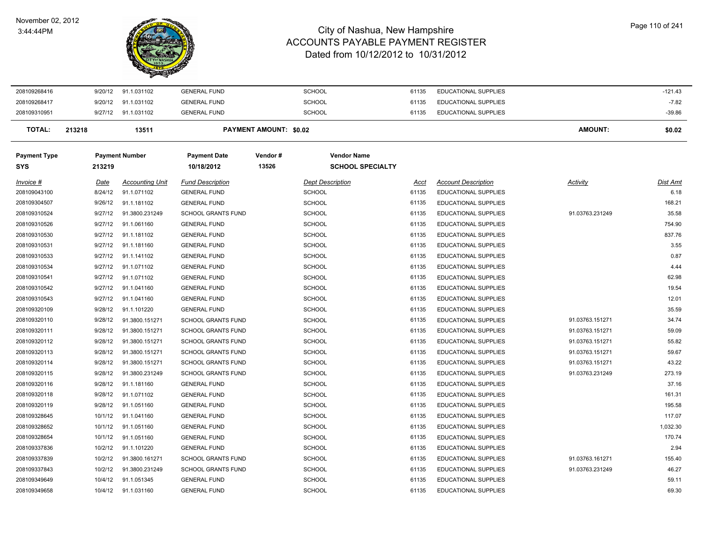#### November 02, 2012 3:44:44PM

 $\overline{\phantom{0}}$ 



| 208109268416               | 9/20/12     | 91.1.031102            | <b>GENERAL FUND</b>               |                               | <b>SCHOOL</b>                                 | 61135       | <b>EDUCATIONAL SUPPLIES</b> |                 | $-121.43$ |
|----------------------------|-------------|------------------------|-----------------------------------|-------------------------------|-----------------------------------------------|-------------|-----------------------------|-----------------|-----------|
| 208109268417               | 9/20/12     | 91.1.031102            | <b>GENERAL FUND</b>               |                               | <b>SCHOOL</b>                                 | 61135       | <b>EDUCATIONAL SUPPLIES</b> |                 | $-7.82$   |
| 208109310951               | 9/27/12     | 91.1.031102            | <b>GENERAL FUND</b>               |                               | <b>SCHOOL</b>                                 | 61135       | <b>EDUCATIONAL SUPPLIES</b> |                 | $-39.86$  |
| <b>TOTAL:</b>              | 213218      | 13511                  |                                   | <b>PAYMENT AMOUNT: \$0.02</b> |                                               |             |                             | AMOUNT:         | \$0.02    |
| <b>Payment Type</b><br>SYS | 213219      | <b>Payment Number</b>  | <b>Payment Date</b><br>10/18/2012 | Vendor#<br>13526              | <b>Vendor Name</b><br><b>SCHOOL SPECIALTY</b> |             |                             |                 |           |
| Invoice #                  | <u>Date</u> | <b>Accounting Unit</b> | <b>Fund Description</b>           |                               | <b>Dept Description</b>                       | <u>Acct</u> | <b>Account Description</b>  | Activity        | Dist Amt  |
| 208109043100               | 8/24/12     | 91.1.071102            | <b>GENERAL FUND</b>               |                               | <b>SCHOOL</b>                                 | 61135       | <b>EDUCATIONAL SUPPLIES</b> |                 | 6.18      |
| 208109304507               | 9/26/12     | 91.1.181102            | <b>GENERAL FUND</b>               |                               | <b>SCHOOL</b>                                 | 61135       | <b>EDUCATIONAL SUPPLIES</b> |                 | 168.21    |
| 208109310524               | 9/27/12     | 91.3800.231249         | <b>SCHOOL GRANTS FUND</b>         |                               | <b>SCHOOL</b>                                 | 61135       | <b>EDUCATIONAL SUPPLIES</b> | 91.03763.231249 | 35.58     |
| 208109310526               | 9/27/12     | 91.1.061160            | <b>GENERAL FUND</b>               |                               | <b>SCHOOL</b>                                 | 61135       | <b>EDUCATIONAL SUPPLIES</b> |                 | 754.90    |
| 208109310530               | 9/27/12     | 91.1.181102            | <b>GENERAL FUND</b>               |                               | <b>SCHOOL</b>                                 | 61135       | <b>EDUCATIONAL SUPPLIES</b> |                 | 837.76    |
| 208109310531               | 9/27/12     | 91.1.181160            | <b>GENERAL FUND</b>               |                               | SCHOOL                                        | 61135       | <b>EDUCATIONAL SUPPLIES</b> |                 | 3.55      |
| 208109310533               | 9/27/12     | 91.1.141102            | <b>GENERAL FUND</b>               |                               | <b>SCHOOL</b>                                 | 61135       | <b>EDUCATIONAL SUPPLIES</b> |                 | 0.87      |
| 208109310534               | 9/27/12     | 91.1.071102            | <b>GENERAL FUND</b>               |                               | <b>SCHOOL</b>                                 | 61135       | <b>EDUCATIONAL SUPPLIES</b> |                 | 4.44      |
| 208109310541               | 9/27/12     | 91.1.071102            | <b>GENERAL FUND</b>               |                               | <b>SCHOOL</b>                                 | 61135       | <b>EDUCATIONAL SUPPLIES</b> |                 | 62.98     |
| 208109310542               | 9/27/12     | 91.1.041160            | <b>GENERAL FUND</b>               |                               | <b>SCHOOL</b>                                 | 61135       | <b>EDUCATIONAL SUPPLIES</b> |                 | 19.54     |
| 208109310543               | 9/27/12     | 91.1.041160            | <b>GENERAL FUND</b>               |                               | <b>SCHOOL</b>                                 | 61135       | <b>EDUCATIONAL SUPPLIES</b> |                 | 12.01     |
| 208109320109               | 9/28/12     | 91.1.101220            | <b>GENERAL FUND</b>               |                               | <b>SCHOOL</b>                                 | 61135       | <b>EDUCATIONAL SUPPLIES</b> |                 | 35.59     |
| 208109320110               | 9/28/12     | 91.3800.151271         | <b>SCHOOL GRANTS FUND</b>         |                               | <b>SCHOOL</b>                                 | 61135       | <b>EDUCATIONAL SUPPLIES</b> | 91.03763.151271 | 34.74     |
| 208109320111               | 9/28/12     | 91.3800.151271         | <b>SCHOOL GRANTS FUND</b>         |                               | SCHOOL                                        | 61135       | <b>EDUCATIONAL SUPPLIES</b> | 91.03763.151271 | 59.09     |
| 208109320112               | 9/28/12     | 91.3800.151271         | <b>SCHOOL GRANTS FUND</b>         |                               | SCHOOL                                        | 61135       | <b>EDUCATIONAL SUPPLIES</b> | 91.03763.151271 | 55.82     |
| 208109320113               | 9/28/12     | 91.3800.151271         | <b>SCHOOL GRANTS FUND</b>         |                               | <b>SCHOOL</b>                                 | 61135       | <b>EDUCATIONAL SUPPLIES</b> | 91.03763.151271 | 59.67     |
| 208109320114               | 9/28/12     | 91.3800.151271         | <b>SCHOOL GRANTS FUND</b>         |                               | <b>SCHOOL</b>                                 | 61135       | <b>EDUCATIONAL SUPPLIES</b> | 91.03763.151271 | 43.22     |
| 208109320115               | 9/28/12     | 91.3800.231249         | <b>SCHOOL GRANTS FUND</b>         |                               | <b>SCHOOL</b>                                 | 61135       | <b>EDUCATIONAL SUPPLIES</b> | 91.03763.231249 | 273.19    |
| 208109320116               | 9/28/12     | 91.1.181160            | <b>GENERAL FUND</b>               |                               | <b>SCHOOL</b>                                 | 61135       | <b>EDUCATIONAL SUPPLIES</b> |                 | 37.16     |
| 208109320118               | 9/28/12     | 91.1.071102            | <b>GENERAL FUND</b>               |                               | <b>SCHOOL</b>                                 | 61135       | <b>EDUCATIONAL SUPPLIES</b> |                 | 161.31    |
| 208109320119               | 9/28/12     | 91.1.051160            | <b>GENERAL FUND</b>               |                               | <b>SCHOOL</b>                                 | 61135       | <b>EDUCATIONAL SUPPLIES</b> |                 | 195.58    |
| 208109328645               | 10/1/12     | 91.1.041160            | <b>GENERAL FUND</b>               |                               | SCHOOL                                        | 61135       | <b>EDUCATIONAL SUPPLIES</b> |                 | 117.07    |
| 208109328652               | 10/1/12     | 91.1.051160            | <b>GENERAL FUND</b>               |                               | <b>SCHOOL</b>                                 | 61135       | <b>EDUCATIONAL SUPPLIES</b> |                 | 1,032.30  |
| 208109328654               | 10/1/12     | 91.1.051160            | <b>GENERAL FUND</b>               |                               | <b>SCHOOL</b>                                 | 61135       | <b>EDUCATIONAL SUPPLIES</b> |                 | 170.74    |
| 208109337836               | 10/2/12     | 91.1.101220            | <b>GENERAL FUND</b>               |                               | <b>SCHOOL</b>                                 | 61135       | <b>EDUCATIONAL SUPPLIES</b> |                 | 2.94      |
| 208109337839               | 10/2/12     | 91.3800.161271         | <b>SCHOOL GRANTS FUND</b>         |                               | <b>SCHOOL</b>                                 | 61135       | <b>EDUCATIONAL SUPPLIES</b> | 91.03763.161271 | 155.40    |
| 208109337843               | 10/2/12     | 91.3800.231249         | <b>SCHOOL GRANTS FUND</b>         |                               | <b>SCHOOL</b>                                 | 61135       | <b>EDUCATIONAL SUPPLIES</b> | 91.03763.231249 | 46.27     |
| 208109349649               | 10/4/12     | 91.1.051345            | <b>GENERAL FUND</b>               |                               | SCHOOL                                        | 61135       | <b>EDUCATIONAL SUPPLIES</b> |                 | 59.11     |
| 208109349658               | 10/4/12     | 91.1.031160            | <b>GENERAL FUND</b>               |                               | SCHOOL                                        | 61135       | <b>EDUCATIONAL SUPPLIES</b> |                 | 69.30     |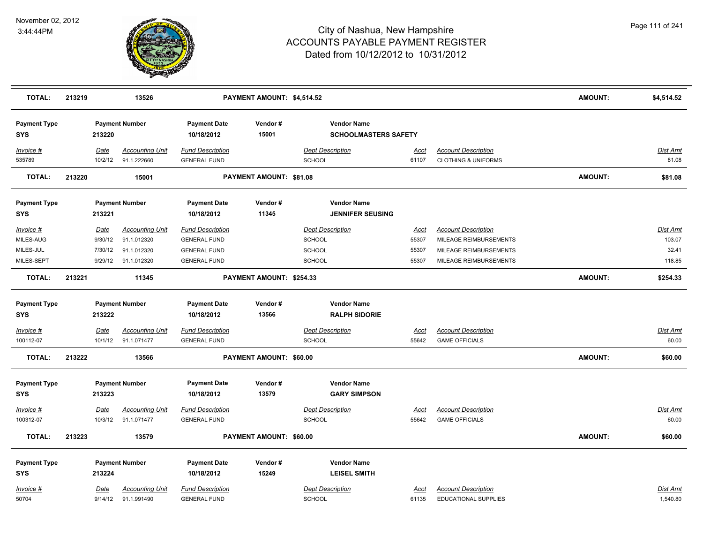

| <b>TOTAL:</b>                                               | 213219 |                                       | 13526                                                               |                                                                                              | PAYMENT AMOUNT: \$4,514.52 |                                                       |                                                   |                                        |                                                                                                          | <b>AMOUNT:</b> | \$4,514.52                                   |
|-------------------------------------------------------------|--------|---------------------------------------|---------------------------------------------------------------------|----------------------------------------------------------------------------------------------|----------------------------|-------------------------------------------------------|---------------------------------------------------|----------------------------------------|----------------------------------------------------------------------------------------------------------|----------------|----------------------------------------------|
| <b>Payment Type</b><br><b>SYS</b>                           |        | 213220                                | <b>Payment Number</b>                                               | <b>Payment Date</b><br>10/18/2012                                                            | Vendor#<br>15001           |                                                       | <b>Vendor Name</b><br><b>SCHOOLMASTERS SAFETY</b> |                                        |                                                                                                          |                |                                              |
| $Invoice$ #<br>535789                                       |        | <b>Date</b><br>10/2/12                | <b>Accounting Unit</b><br>91.1.222660                               | <b>Fund Description</b><br><b>GENERAL FUND</b>                                               |                            | <b>Dept Description</b><br>SCHOOL                     |                                                   | Acct<br>61107                          | <b>Account Description</b><br><b>CLOTHING &amp; UNIFORMS</b>                                             |                | Dist Amt<br>81.08                            |
| <b>TOTAL:</b>                                               | 213220 |                                       | 15001                                                               |                                                                                              | PAYMENT AMOUNT: \$81.08    |                                                       |                                                   |                                        |                                                                                                          | <b>AMOUNT:</b> | \$81.08                                      |
| <b>Payment Type</b><br><b>SYS</b>                           |        | 213221                                | <b>Payment Number</b>                                               | <b>Payment Date</b><br>10/18/2012                                                            | Vendor#<br>11345           |                                                       | <b>Vendor Name</b><br><b>JENNIFER SEUSING</b>     |                                        |                                                                                                          |                |                                              |
| Invoice #<br>MILES-AUG<br>MILES-JUL<br>MILES-SEPT           |        | Date<br>9/30/12<br>7/30/12<br>9/29/12 | <b>Accounting Unit</b><br>91.1.012320<br>91.1.012320<br>91.1.012320 | <b>Fund Description</b><br><b>GENERAL FUND</b><br><b>GENERAL FUND</b><br><b>GENERAL FUND</b> |                            | <b>Dept Description</b><br>SCHOOL<br>SCHOOL<br>SCHOOL |                                                   | <u>Acct</u><br>55307<br>55307<br>55307 | <b>Account Description</b><br>MILEAGE REIMBURSEMENTS<br>MILEAGE REIMBURSEMENTS<br>MILEAGE REIMBURSEMENTS |                | <b>Dist Amt</b><br>103.07<br>32.41<br>118.85 |
| <b>TOTAL:</b>                                               | 213221 |                                       | 11345                                                               |                                                                                              | PAYMENT AMOUNT: \$254.33   |                                                       |                                                   |                                        |                                                                                                          | <b>AMOUNT:</b> | \$254.33                                     |
| <b>Payment Type</b><br><b>SYS</b><br>Invoice #<br>100112-07 |        | 213222<br><u>Date</u><br>10/1/12      | <b>Payment Number</b><br><b>Accounting Unit</b><br>91.1.071477      | <b>Payment Date</b><br>10/18/2012<br><b>Fund Description</b><br><b>GENERAL FUND</b>          | Vendor#<br>13566           | <b>Dept Description</b><br>SCHOOL                     | <b>Vendor Name</b><br><b>RALPH SIDORIE</b>        | <b>Acct</b><br>55642                   | <b>Account Description</b><br><b>GAME OFFICIALS</b>                                                      |                | <b>Dist Amt</b><br>60.00                     |
| <b>TOTAL:</b>                                               | 213222 |                                       | 13566                                                               |                                                                                              | PAYMENT AMOUNT: \$60.00    |                                                       |                                                   |                                        |                                                                                                          | <b>AMOUNT:</b> | \$60.00                                      |
| <b>Payment Type</b><br><b>SYS</b>                           |        | 213223                                | <b>Payment Number</b>                                               | <b>Payment Date</b><br>10/18/2012                                                            | Vendor#<br>13579           |                                                       | <b>Vendor Name</b><br><b>GARY SIMPSON</b>         |                                        |                                                                                                          |                |                                              |
| $Invoice$ #<br>100312-07                                    |        | <u>Date</u><br>10/3/12                | <b>Accounting Unit</b><br>91.1.071477                               | <b>Fund Description</b><br><b>GENERAL FUND</b>                                               |                            | <b>Dept Description</b><br><b>SCHOOL</b>              |                                                   | Acct<br>55642                          | <b>Account Description</b><br><b>GAME OFFICIALS</b>                                                      |                | Dist Amt<br>60.00                            |
| <b>TOTAL:</b>                                               | 213223 |                                       | 13579                                                               |                                                                                              | PAYMENT AMOUNT: \$60.00    |                                                       |                                                   |                                        |                                                                                                          | <b>AMOUNT:</b> | \$60.00                                      |
| <b>Payment Type</b><br><b>SYS</b>                           |        | 213224                                | <b>Payment Number</b>                                               | <b>Payment Date</b><br>10/18/2012                                                            | Vendor#<br>15249           |                                                       | <b>Vendor Name</b><br><b>LEISEL SMITH</b>         |                                        |                                                                                                          |                |                                              |
| Invoice #<br>50704                                          |        | Date<br>9/14/12                       | <b>Accounting Unit</b><br>91.1.991490                               | <b>Fund Description</b><br><b>GENERAL FUND</b>                                               |                            | <b>Dept Description</b><br><b>SCHOOL</b>              |                                                   | <b>Acct</b><br>61135                   | <b>Account Description</b><br><b>EDUCATIONAL SUPPLIES</b>                                                |                | <b>Dist Amt</b><br>1,540.80                  |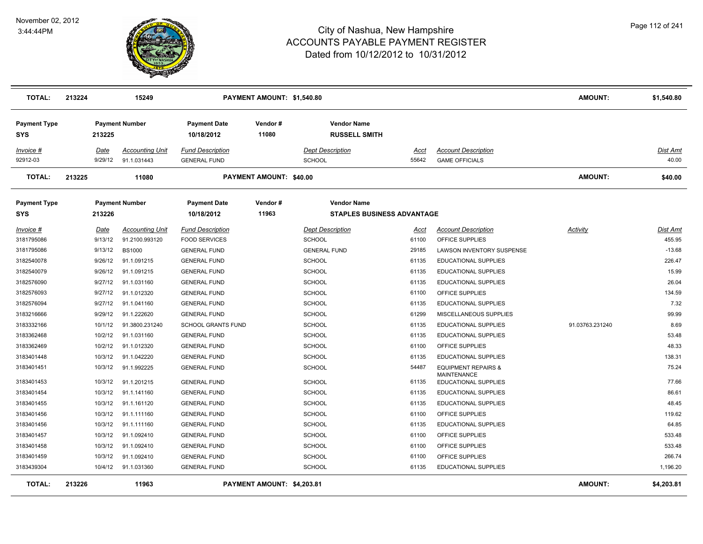

| <b>TOTAL:</b>                     | 213224 |             | 15249                  |                                   | PAYMENT AMOUNT: \$1,540.80     |                         |                                            |       |                                            | <b>AMOUNT:</b>  | \$1,540.80 |
|-----------------------------------|--------|-------------|------------------------|-----------------------------------|--------------------------------|-------------------------|--------------------------------------------|-------|--------------------------------------------|-----------------|------------|
| <b>Payment Type</b><br><b>SYS</b> |        | 213225      | <b>Payment Number</b>  | <b>Payment Date</b><br>10/18/2012 | Vendor #<br>11080              |                         | <b>Vendor Name</b><br><b>RUSSELL SMITH</b> |       |                                            |                 |            |
| Invoice #                         |        | <u>Date</u> | Accounting Unit        | <b>Fund Description</b>           |                                | <b>Dept Description</b> |                                            | Acct  | <b>Account Description</b>                 |                 | Dist Amt   |
| 92912-03                          |        | 9/29/12     | 91.1.031443            | <b>GENERAL FUND</b>               |                                | <b>SCHOOL</b>           |                                            | 55642 | <b>GAME OFFICIALS</b>                      |                 | 40.00      |
| <b>TOTAL:</b>                     | 213225 |             | 11080                  |                                   | <b>PAYMENT AMOUNT: \$40.00</b> |                         |                                            |       |                                            | <b>AMOUNT:</b>  | \$40.00    |
| <b>Payment Type</b>               |        |             | <b>Payment Number</b>  | <b>Payment Date</b>               | Vendor#                        |                         | <b>Vendor Name</b>                         |       |                                            |                 |            |
| <b>SYS</b>                        |        | 213226      |                        | 10/18/2012                        | 11963                          |                         | <b>STAPLES BUSINESS ADVANTAGE</b>          |       |                                            |                 |            |
| Invoice #                         |        | <u>Date</u> | <b>Accounting Unit</b> | <b>Fund Description</b>           |                                | <b>Dept Description</b> |                                            | Acct  | <b>Account Description</b>                 | <b>Activity</b> | Dist Amt   |
| 3181795086                        |        | 9/13/12     | 91.2100.993120         | <b>FOOD SERVICES</b>              |                                | <b>SCHOOL</b>           |                                            | 61100 | OFFICE SUPPLIES                            |                 | 455.95     |
| 3181795086                        |        | 9/13/12     | <b>BS1000</b>          | <b>GENERAL FUND</b>               |                                | <b>GENERAL FUND</b>     |                                            | 29185 | LAWSON INVENTORY SUSPENSE                  |                 | $-13.68$   |
| 3182540078                        |        | 9/26/12     | 91.1.091215            | <b>GENERAL FUND</b>               |                                | <b>SCHOOL</b>           |                                            | 61135 | EDUCATIONAL SUPPLIES                       |                 | 226.47     |
| 3182540079                        |        | 9/26/12     | 91.1.091215            | <b>GENERAL FUND</b>               |                                | <b>SCHOOL</b>           |                                            | 61135 | EDUCATIONAL SUPPLIES                       |                 | 15.99      |
| 3182576090                        |        | 9/27/12     | 91.1.031160            | <b>GENERAL FUND</b>               |                                | <b>SCHOOL</b>           |                                            | 61135 | EDUCATIONAL SUPPLIES                       |                 | 26.04      |
| 3182576093                        |        | 9/27/12     | 91.1.012320            | <b>GENERAL FUND</b>               |                                | <b>SCHOOL</b>           |                                            | 61100 | OFFICE SUPPLIES                            |                 | 134.59     |
| 3182576094                        |        | 9/27/12     | 91.1.041160            | <b>GENERAL FUND</b>               |                                | <b>SCHOOL</b>           |                                            | 61135 | EDUCATIONAL SUPPLIES                       |                 | 7.32       |
| 3183216666                        |        | 9/29/12     | 91.1.222620            | <b>GENERAL FUND</b>               |                                | <b>SCHOOL</b>           |                                            | 61299 | MISCELLANEOUS SUPPLIES                     |                 | 99.99      |
| 3183332166                        |        | 10/1/12     | 91.3800.231240         | SCHOOL GRANTS FUND                |                                | <b>SCHOOL</b>           |                                            | 61135 | EDUCATIONAL SUPPLIES                       | 91.03763.231240 | 8.69       |
| 3183362468                        |        | 10/2/12     | 91.1.031160            | <b>GENERAL FUND</b>               |                                | <b>SCHOOL</b>           |                                            | 61135 | EDUCATIONAL SUPPLIES                       |                 | 53.48      |
| 3183362469                        |        | 10/2/12     | 91.1.012320            | <b>GENERAL FUND</b>               |                                | <b>SCHOOL</b>           |                                            | 61100 | OFFICE SUPPLIES                            |                 | 48.33      |
| 3183401448                        |        | 10/3/12     | 91.1.042220            | <b>GENERAL FUND</b>               |                                | <b>SCHOOL</b>           |                                            | 61135 | <b>EDUCATIONAL SUPPLIES</b>                |                 | 138.31     |
| 3183401451                        |        | 10/3/12     | 91.1.992225            | <b>GENERAL FUND</b>               |                                | <b>SCHOOL</b>           |                                            | 54487 | <b>EQUIPMENT REPAIRS &amp;</b>             |                 | 75.24      |
| 3183401453                        |        | 10/3/12     | 91.1.201215            | <b>GENERAL FUND</b>               |                                | <b>SCHOOL</b>           |                                            | 61135 | MAINTENANCE<br><b>EDUCATIONAL SUPPLIES</b> |                 | 77.66      |
| 3183401454                        |        | 10/3/12     | 91.1.141160            | <b>GENERAL FUND</b>               |                                | <b>SCHOOL</b>           |                                            | 61135 | EDUCATIONAL SUPPLIES                       |                 | 86.61      |
| 3183401455                        |        | 10/3/12     | 91.1.161120            | <b>GENERAL FUND</b>               |                                | <b>SCHOOL</b>           |                                            | 61135 | <b>EDUCATIONAL SUPPLIES</b>                |                 | 48.45      |
| 3183401456                        |        | 10/3/12     | 91.1.111160            | <b>GENERAL FUND</b>               |                                | <b>SCHOOL</b>           |                                            | 61100 | OFFICE SUPPLIES                            |                 | 119.62     |
| 3183401456                        |        | 10/3/12     | 91.1.111160            | <b>GENERAL FUND</b>               |                                | <b>SCHOOL</b>           |                                            | 61135 | <b>EDUCATIONAL SUPPLIES</b>                |                 | 64.85      |
| 3183401457                        |        | 10/3/12     | 91.1.092410            | <b>GENERAL FUND</b>               |                                | <b>SCHOOL</b>           |                                            | 61100 | OFFICE SUPPLIES                            |                 | 533.48     |
| 3183401458                        |        | 10/3/12     | 91.1.092410            | <b>GENERAL FUND</b>               |                                | <b>SCHOOL</b>           |                                            | 61100 | OFFICE SUPPLIES                            |                 | 533.48     |
| 3183401459                        |        | 10/3/12     | 91.1.092410            | <b>GENERAL FUND</b>               |                                | <b>SCHOOL</b>           |                                            | 61100 | OFFICE SUPPLIES                            |                 | 266.74     |
| 3183439304                        |        | 10/4/12     | 91.1.031360            | <b>GENERAL FUND</b>               |                                | <b>SCHOOL</b>           |                                            | 61135 | <b>EDUCATIONAL SUPPLIES</b>                |                 | 1,196.20   |
| <b>TOTAL:</b>                     | 213226 |             | 11963                  |                                   | PAYMENT AMOUNT: \$4,203.81     |                         |                                            |       |                                            | <b>AMOUNT:</b>  | \$4,203.81 |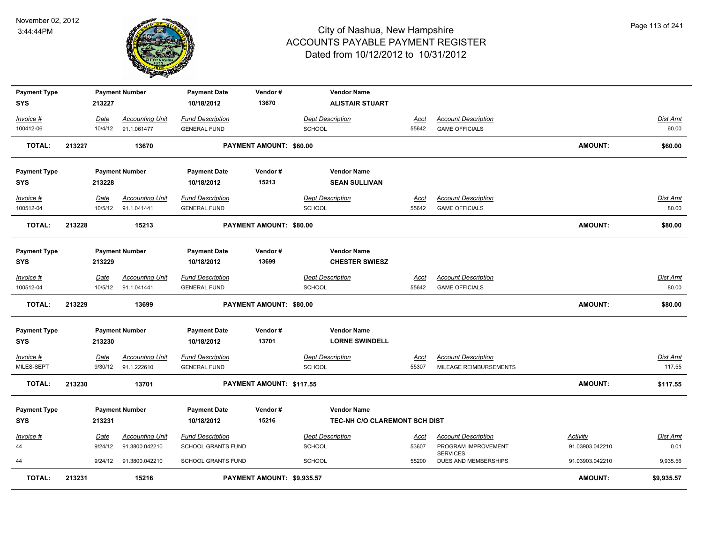

| <b>Payment Type</b> |        |             | <b>Payment Number</b>  | <b>Payment Date</b>       | Vendor#                    | <b>Vendor Name</b>            |             |                                         |                 |                 |
|---------------------|--------|-------------|------------------------|---------------------------|----------------------------|-------------------------------|-------------|-----------------------------------------|-----------------|-----------------|
| <b>SYS</b>          |        | 213227      |                        | 10/18/2012                | 13670                      | <b>ALISTAIR STUART</b>        |             |                                         |                 |                 |
| Invoice #           |        | <b>Date</b> | <b>Accounting Unit</b> | <b>Fund Description</b>   |                            | <b>Dept Description</b>       | Acct        | <b>Account Description</b>              |                 | Dist Amt        |
| 100412-06           |        | 10/4/12     | 91.1.061477            | <b>GENERAL FUND</b>       |                            | <b>SCHOOL</b>                 | 55642       | <b>GAME OFFICIALS</b>                   |                 | 60.00           |
| <b>TOTAL:</b>       | 213227 |             | 13670                  |                           | PAYMENT AMOUNT: \$60.00    |                               |             |                                         | <b>AMOUNT:</b>  | \$60.00         |
| <b>Payment Type</b> |        |             | <b>Payment Number</b>  | <b>Payment Date</b>       | Vendor#                    | <b>Vendor Name</b>            |             |                                         |                 |                 |
| <b>SYS</b>          |        | 213228      |                        | 10/18/2012                | 15213                      | <b>SEAN SULLIVAN</b>          |             |                                         |                 |                 |
| Invoice #           |        | Date        | <b>Accounting Unit</b> | <b>Fund Description</b>   |                            | <b>Dept Description</b>       | Acct        | <b>Account Description</b>              |                 | Dist Amt        |
| 100512-04           |        | 10/5/12     | 91.1.041441            | <b>GENERAL FUND</b>       |                            | <b>SCHOOL</b>                 | 55642       | <b>GAME OFFICIALS</b>                   |                 | 80.00           |
| <b>TOTAL:</b>       | 213228 |             | 15213                  |                           | PAYMENT AMOUNT: \$80.00    |                               |             |                                         | <b>AMOUNT:</b>  | \$80.00         |
| <b>Payment Type</b> |        |             | <b>Payment Number</b>  | <b>Payment Date</b>       | Vendor#                    | <b>Vendor Name</b>            |             |                                         |                 |                 |
| <b>SYS</b>          |        | 213229      |                        | 10/18/2012                | 13699                      | <b>CHESTER SWIESZ</b>         |             |                                         |                 |                 |
| Invoice #           |        | Date        | <b>Accounting Unit</b> | <b>Fund Description</b>   |                            | <b>Dept Description</b>       | Acct        | <b>Account Description</b>              |                 | Dist Amt        |
| 100512-04           |        | 10/5/12     | 91.1.041441            | <b>GENERAL FUND</b>       |                            | <b>SCHOOL</b>                 | 55642       | <b>GAME OFFICIALS</b>                   |                 | 80.00           |
| <b>TOTAL:</b>       | 213229 |             | 13699                  |                           | PAYMENT AMOUNT: \$80.00    |                               |             |                                         | <b>AMOUNT:</b>  | \$80.00         |
| <b>Payment Type</b> |        |             | <b>Payment Number</b>  | <b>Payment Date</b>       | Vendor#                    | <b>Vendor Name</b>            |             |                                         |                 |                 |
| <b>SYS</b>          |        | 213230      |                        | 10/18/2012                | 13701                      | <b>LORNE SWINDELL</b>         |             |                                         |                 |                 |
| Invoice #           |        | <u>Date</u> | <b>Accounting Unit</b> | <b>Fund Description</b>   |                            | <b>Dept Description</b>       | <u>Acct</u> | <b>Account Description</b>              |                 | <u>Dist Amt</u> |
| MILES-SEPT          |        | 9/30/12     | 91.1.222610            | <b>GENERAL FUND</b>       |                            | <b>SCHOOL</b>                 | 55307       | MILEAGE REIMBURSEMENTS                  |                 | 117.55          |
| <b>TOTAL:</b>       | 213230 |             | 13701                  |                           | PAYMENT AMOUNT: \$117.55   |                               |             |                                         | <b>AMOUNT:</b>  | \$117.55        |
| <b>Payment Type</b> |        |             | <b>Payment Number</b>  | <b>Payment Date</b>       | Vendor#                    | <b>Vendor Name</b>            |             |                                         |                 |                 |
| <b>SYS</b>          |        | 213231      |                        | 10/18/2012                | 15216                      | TEC-NH C/O CLAREMONT SCH DIST |             |                                         |                 |                 |
| Invoice #           |        | Date        | <b>Accounting Unit</b> | <b>Fund Description</b>   |                            | <b>Dept Description</b>       | Acct        | <b>Account Description</b>              | <b>Activity</b> | Dist Amt        |
| 44                  |        | 9/24/12     | 91.3800.042210         | <b>SCHOOL GRANTS FUND</b> |                            | <b>SCHOOL</b>                 | 53607       | PROGRAM IMPROVEMENT                     | 91.03903.042210 | 0.01            |
| 44                  |        | 9/24/12     | 91.3800.042210         | <b>SCHOOL GRANTS FUND</b> |                            | <b>SCHOOL</b>                 | 55200       | <b>SERVICES</b><br>DUES AND MEMBERSHIPS | 91.03903.042210 | 9,935.56        |
| <b>TOTAL:</b>       | 213231 |             | 15216                  |                           | PAYMENT AMOUNT: \$9,935.57 |                               |             |                                         | <b>AMOUNT:</b>  | \$9,935.57      |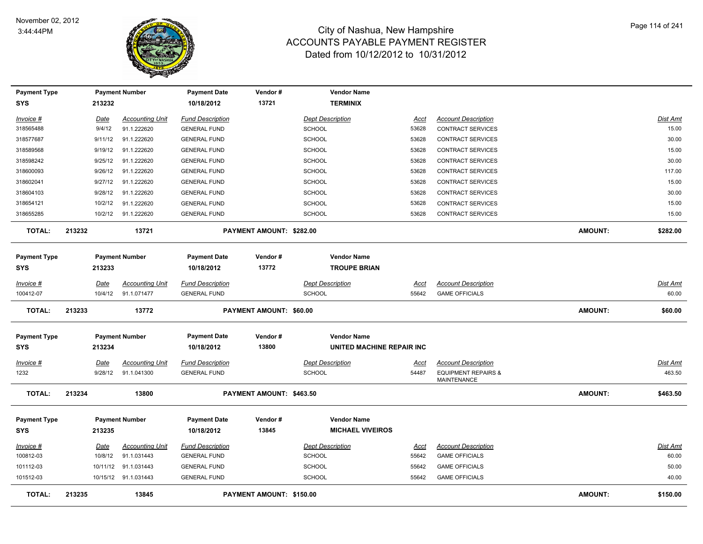

| <b>Payment Type</b> |             | <b>Payment Number</b>  |                        | <b>Payment Date</b>     | Vendor#                  | <b>Vendor Name</b>        |             |                                                      |                |          |
|---------------------|-------------|------------------------|------------------------|-------------------------|--------------------------|---------------------------|-------------|------------------------------------------------------|----------------|----------|
| <b>SYS</b>          |             | 213232                 |                        | 10/18/2012              | 13721                    | <b>TERMINIX</b>           |             |                                                      |                |          |
| Invoice #           | Date        |                        | <b>Accounting Unit</b> | <b>Fund Description</b> |                          | <b>Dept Description</b>   | Acct        | <b>Account Description</b>                           |                | Dist Amt |
| 318565488           |             | 9/4/12                 | 91.1.222620            | <b>GENERAL FUND</b>     |                          | <b>SCHOOL</b>             | 53628       | <b>CONTRACT SERVICES</b>                             |                | 15.00    |
| 318577687           |             | 91.1.222620<br>9/11/12 |                        | <b>GENERAL FUND</b>     |                          | <b>SCHOOL</b>             | 53628       | <b>CONTRACT SERVICES</b>                             |                | 30.00    |
| 318589568           |             | 9/19/12<br>91.1.222620 |                        | <b>GENERAL FUND</b>     |                          | <b>SCHOOL</b>             | 53628       | <b>CONTRACT SERVICES</b>                             |                | 15.00    |
| 318598242           |             | 9/25/12<br>91.1.222620 |                        | <b>GENERAL FUND</b>     |                          | <b>SCHOOL</b>             | 53628       | <b>CONTRACT SERVICES</b>                             |                | 30.00    |
| 318600093           |             | 9/26/12<br>91.1.222620 |                        | <b>GENERAL FUND</b>     |                          | <b>SCHOOL</b>             | 53628       | <b>CONTRACT SERVICES</b>                             |                | 117.00   |
| 318602041           |             | 9/27/12<br>91.1.222620 |                        | <b>GENERAL FUND</b>     |                          | SCHOOL                    | 53628       | <b>CONTRACT SERVICES</b>                             |                | 15.00    |
| 318604103           |             | 9/28/12<br>91.1.222620 |                        | <b>GENERAL FUND</b>     |                          | <b>SCHOOL</b>             | 53628       | CONTRACT SERVICES                                    |                | 30.00    |
| 318654121           |             | 91.1.222620<br>10/2/12 |                        | <b>GENERAL FUND</b>     |                          | <b>SCHOOL</b>             | 53628       | CONTRACT SERVICES                                    |                | 15.00    |
| 318655285           |             | 10/2/12<br>91.1.222620 |                        | <b>GENERAL FUND</b>     |                          | SCHOOL                    | 53628       | CONTRACT SERVICES                                    |                | 15.00    |
| <b>TOTAL:</b>       | 213232      |                        | 13721                  |                         | PAYMENT AMOUNT: \$282.00 |                           |             |                                                      | <b>AMOUNT:</b> | \$282.00 |
| <b>Payment Type</b> |             | <b>Payment Number</b>  |                        | <b>Payment Date</b>     | Vendor#                  | <b>Vendor Name</b>        |             |                                                      |                |          |
| <b>SYS</b>          | 213233      |                        |                        | 10/18/2012              | 13772                    | <b>TROUPE BRIAN</b>       |             |                                                      |                |          |
| Invoice #           | Date        |                        | <b>Accounting Unit</b> | <b>Fund Description</b> |                          | <b>Dept Description</b>   | Acct        | <b>Account Description</b>                           |                | Dist Amt |
| 100412-07           |             | 91.1.071477<br>10/4/12 |                        | <b>GENERAL FUND</b>     |                          | SCHOOL                    | 55642       | <b>GAME OFFICIALS</b>                                |                | 60.00    |
| <b>TOTAL:</b>       | 213233      |                        | 13772                  |                         | PAYMENT AMOUNT: \$60.00  |                           |             |                                                      | AMOUNT:        | \$60.00  |
| <b>Payment Type</b> |             | <b>Payment Number</b>  |                        | <b>Payment Date</b>     | Vendor#                  | <b>Vendor Name</b>        |             |                                                      |                |          |
| <b>SYS</b>          |             | 213234                 |                        | 10/18/2012              | 13800                    | UNITED MACHINE REPAIR INC |             |                                                      |                |          |
| Invoice #           | Date        |                        | <b>Accounting Unit</b> | <b>Fund Description</b> |                          | <b>Dept Description</b>   | <u>Acct</u> | <b>Account Description</b>                           |                | Dist Amt |
| 1232                |             | 9/28/12<br>91.1.041300 |                        | <b>GENERAL FUND</b>     |                          | SCHOOL                    | 54487       | <b>EQUIPMENT REPAIRS &amp;</b><br><b>MAINTENANCE</b> |                | 463.50   |
| <b>TOTAL:</b>       | 213234      |                        | 13800                  |                         | PAYMENT AMOUNT: \$463.50 |                           |             |                                                      | AMOUNT:        | \$463.50 |
| <b>Payment Type</b> |             | <b>Payment Number</b>  |                        | <b>Payment Date</b>     | Vendor#                  | <b>Vendor Name</b>        |             |                                                      |                |          |
| SYS                 |             | 213235                 |                        | 10/18/2012              | 13845                    | <b>MICHAEL VIVEIROS</b>   |             |                                                      |                |          |
| <u>Invoice #</u>    | <u>Date</u> |                        | <b>Accounting Unit</b> | <b>Fund Description</b> |                          | <b>Dept Description</b>   | <u>Acct</u> | <b>Account Description</b>                           |                | Dist Amt |
| 100812-03           |             | 10/8/12<br>91.1.031443 |                        | <b>GENERAL FUND</b>     |                          | SCHOOL                    | 55642       | <b>GAME OFFICIALS</b>                                |                | 60.00    |
| 101112-03           |             | 10/11/12 91.1.031443   |                        | <b>GENERAL FUND</b>     |                          | SCHOOL                    | 55642       | <b>GAME OFFICIALS</b>                                |                | 50.00    |
| 101512-03           |             | 10/15/12 91.1.031443   |                        | <b>GENERAL FUND</b>     |                          | SCHOOL                    | 55642       | <b>GAME OFFICIALS</b>                                |                | 40.00    |
| <b>TOTAL:</b>       | 213235      |                        | 13845                  |                         | PAYMENT AMOUNT: \$150.00 |                           |             |                                                      | <b>AMOUNT:</b> | \$150.00 |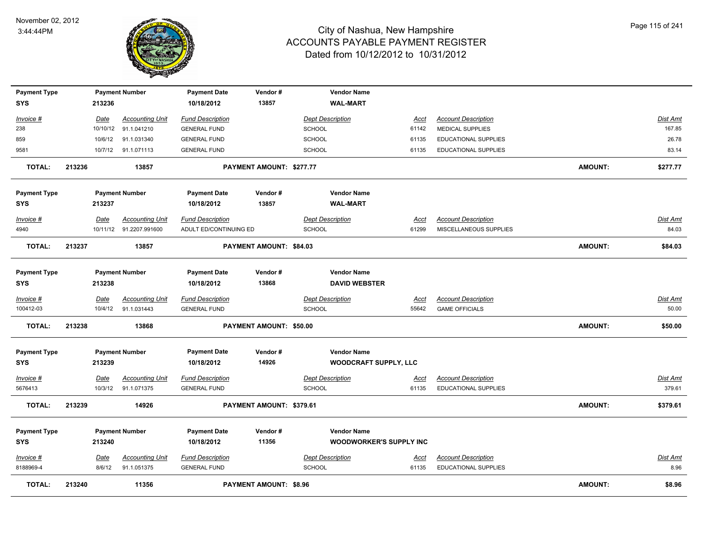

| <b>Payment Type</b>               |        |             | <b>Payment Number</b>                             | <b>Payment Date</b>                               | Vendor#                       | <b>Vendor Name</b>                       |                      |                                                      |                |                          |
|-----------------------------------|--------|-------------|---------------------------------------------------|---------------------------------------------------|-------------------------------|------------------------------------------|----------------------|------------------------------------------------------|----------------|--------------------------|
| <b>SYS</b>                        |        | 213236      |                                                   | 10/18/2012                                        | 13857                         | <b>WAL-MART</b>                          |                      |                                                      |                |                          |
| Invoice #                         |        | Date        | <b>Accounting Unit</b>                            | <b>Fund Description</b>                           |                               | <b>Dept Description</b>                  | Acct                 | <b>Account Description</b>                           |                | <b>Dist Amt</b>          |
| 238                               |        | 10/10/12    | 91.1.041210                                       | <b>GENERAL FUND</b>                               |                               | <b>SCHOOL</b>                            | 61142                | <b>MEDICAL SUPPLIES</b>                              |                | 167.85                   |
| 859                               |        | 10/6/12     | 91.1.031340                                       | <b>GENERAL FUND</b>                               |                               | <b>SCHOOL</b>                            | 61135                | <b>EDUCATIONAL SUPPLIES</b>                          |                | 26.78                    |
| 9581                              |        |             | 10/7/12 91.1.071113                               | <b>GENERAL FUND</b>                               |                               | SCHOOL                                   | 61135                | <b>EDUCATIONAL SUPPLIES</b>                          |                | 83.14                    |
|                                   |        |             |                                                   |                                                   |                               |                                          |                      |                                                      |                |                          |
| <b>TOTAL:</b>                     | 213236 |             | 13857                                             |                                                   | PAYMENT AMOUNT: \$277.77      |                                          |                      |                                                      | <b>AMOUNT:</b> | \$277.77                 |
| <b>Payment Type</b>               |        |             | <b>Payment Number</b>                             | <b>Payment Date</b>                               | Vendor#                       | <b>Vendor Name</b>                       |                      |                                                      |                |                          |
| <b>SYS</b>                        |        | 213237      |                                                   | 10/18/2012                                        | 13857                         | <b>WAL-MART</b>                          |                      |                                                      |                |                          |
|                                   |        |             |                                                   |                                                   |                               |                                          |                      |                                                      |                |                          |
| Invoice #<br>4940                 |        | Date        | <b>Accounting Unit</b><br>10/11/12 91.2207.991600 | <b>Fund Description</b><br>ADULT ED/CONTINUING ED |                               | <b>Dept Description</b><br><b>SCHOOL</b> | <u>Acct</u><br>61299 | <b>Account Description</b><br>MISCELLANEOUS SUPPLIES |                | <b>Dist Amt</b><br>84.03 |
|                                   |        |             |                                                   |                                                   |                               |                                          |                      |                                                      |                |                          |
| <b>TOTAL:</b>                     | 213237 |             | 13857                                             |                                                   | PAYMENT AMOUNT: \$84.03       |                                          |                      |                                                      | <b>AMOUNT:</b> | \$84.03                  |
|                                   |        |             | <b>Payment Number</b>                             | <b>Payment Date</b>                               | Vendor#                       | <b>Vendor Name</b>                       |                      |                                                      |                |                          |
| <b>Payment Type</b><br><b>SYS</b> |        | 213238      |                                                   | 10/18/2012                                        | 13868                         | <b>DAVID WEBSTER</b>                     |                      |                                                      |                |                          |
|                                   |        |             |                                                   |                                                   |                               |                                          |                      |                                                      |                |                          |
| Invoice #                         |        | Date        | <b>Accounting Unit</b>                            | <b>Fund Description</b>                           |                               | <b>Dept Description</b>                  | Acct                 | <b>Account Description</b>                           |                | Dist Amt                 |
| 100412-03                         |        | 10/4/12     | 91.1.031443                                       | <b>GENERAL FUND</b>                               |                               | <b>SCHOOL</b>                            | 55642                | <b>GAME OFFICIALS</b>                                |                | 50.00                    |
| <b>TOTAL:</b>                     | 213238 |             | 13868                                             |                                                   | PAYMENT AMOUNT: \$50.00       |                                          |                      |                                                      | <b>AMOUNT:</b> | \$50.00                  |
|                                   |        |             |                                                   |                                                   |                               |                                          |                      |                                                      |                |                          |
| <b>Payment Type</b>               |        |             | <b>Payment Number</b>                             | <b>Payment Date</b>                               | Vendor#                       | <b>Vendor Name</b>                       |                      |                                                      |                |                          |
| <b>SYS</b>                        |        | 213239      |                                                   | 10/18/2012                                        | 14926                         | <b>WOODCRAFT SUPPLY, LLC</b>             |                      |                                                      |                |                          |
| Invoice #                         |        | <b>Date</b> | <b>Accounting Unit</b>                            | <b>Fund Description</b>                           |                               | <b>Dept Description</b>                  | <u>Acct</u>          | <b>Account Description</b>                           |                | Dist Amt                 |
| 5676413                           |        | 10/3/12     | 91.1.071375                                       | <b>GENERAL FUND</b>                               |                               | SCHOOL                                   | 61135                | EDUCATIONAL SUPPLIES                                 |                | 379.61                   |
| <b>TOTAL:</b>                     | 213239 |             | 14926                                             |                                                   | PAYMENT AMOUNT: \$379.61      |                                          |                      |                                                      | <b>AMOUNT:</b> | \$379.61                 |
|                                   |        |             |                                                   |                                                   |                               |                                          |                      |                                                      |                |                          |
| <b>Payment Type</b>               |        |             | <b>Payment Number</b>                             | <b>Payment Date</b>                               | Vendor#                       | <b>Vendor Name</b>                       |                      |                                                      |                |                          |
| <b>SYS</b>                        |        | 213240      |                                                   | 10/18/2012                                        | 11356                         | <b>WOODWORKER'S SUPPLY INC</b>           |                      |                                                      |                |                          |
| Invoice #                         |        | Date        | <b>Accounting Unit</b>                            | <b>Fund Description</b>                           |                               | <b>Dept Description</b>                  | <u>Acct</u>          | <b>Account Description</b>                           |                | Dist Amt                 |
| 8188969-4                         |        | 8/6/12      | 91.1.051375                                       | <b>GENERAL FUND</b>                               |                               | <b>SCHOOL</b>                            | 61135                | <b>EDUCATIONAL SUPPLIES</b>                          |                | 8.96                     |
| <b>TOTAL:</b>                     | 213240 |             | 11356                                             |                                                   | <b>PAYMENT AMOUNT: \$8.96</b> |                                          |                      |                                                      | <b>AMOUNT:</b> | \$8.96                   |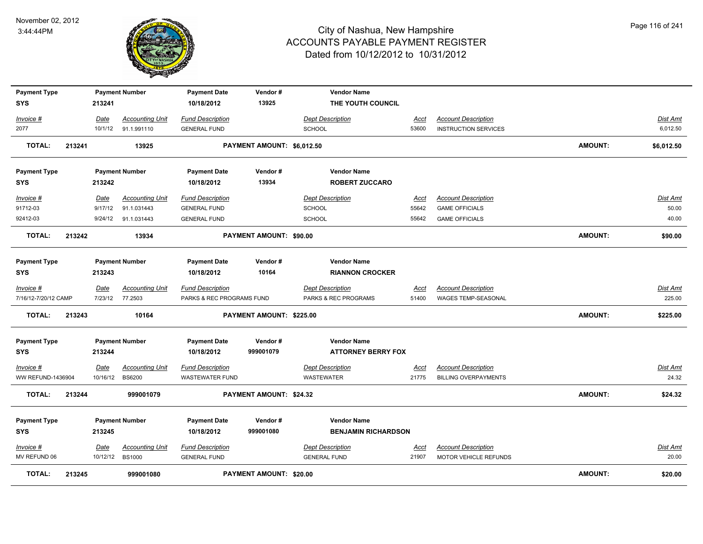

| <b>Payment Type</b>               |        |                 | <b>Payment Number</b>             | <b>Payment Date</b>       | Vendor#                    | <b>Vendor Name</b>         |               |                              |                |                    |
|-----------------------------------|--------|-----------------|-----------------------------------|---------------------------|----------------------------|----------------------------|---------------|------------------------------|----------------|--------------------|
| <b>SYS</b>                        |        | 213241          |                                   | 10/18/2012                | 13925                      | THE YOUTH COUNCIL          |               |                              |                |                    |
| Invoice #                         |        | Date            | <b>Accounting Unit</b>            | <b>Fund Description</b>   |                            | <b>Dept Description</b>    | Acct          | <b>Account Description</b>   |                | <u>Dist Amt</u>    |
| 2077                              |        | 10/1/12         | 91.1.991110                       | <b>GENERAL FUND</b>       |                            | <b>SCHOOL</b>              | 53600         | <b>INSTRUCTION SERVICES</b>  |                | 6,012.50           |
| <b>TOTAL:</b>                     | 213241 |                 | 13925                             |                           | PAYMENT AMOUNT: \$6,012.50 |                            |               |                              | <b>AMOUNT:</b> | \$6,012.50         |
| <b>Payment Type</b>               |        |                 | <b>Payment Number</b>             | <b>Payment Date</b>       | Vendor#                    | <b>Vendor Name</b>         |               |                              |                |                    |
| <b>SYS</b>                        |        | 213242          |                                   | 10/18/2012                | 13934                      | <b>ROBERT ZUCCARO</b>      |               |                              |                |                    |
| <u>Invoice #</u>                  |        | Date            | <b>Accounting Unit</b>            | <b>Fund Description</b>   |                            | <b>Dept Description</b>    | <u>Acct</u>   | <b>Account Description</b>   |                | <u>Dist Amt</u>    |
| 91712-03                          |        | 9/17/12         | 91.1.031443                       | <b>GENERAL FUND</b>       |                            | <b>SCHOOL</b>              | 55642         | <b>GAME OFFICIALS</b>        |                | 50.00              |
| 92412-03                          |        | 9/24/12         | 91.1.031443                       | <b>GENERAL FUND</b>       |                            | <b>SCHOOL</b>              | 55642         | <b>GAME OFFICIALS</b>        |                | 40.00              |
| <b>TOTAL:</b>                     | 213242 |                 | 13934                             |                           | PAYMENT AMOUNT: \$90.00    |                            |               |                              | <b>AMOUNT:</b> | \$90.00            |
| <b>Payment Type</b>               |        |                 | <b>Payment Number</b>             | <b>Payment Date</b>       | Vendor#                    | <b>Vendor Name</b>         |               |                              |                |                    |
| <b>SYS</b>                        |        | 213243          |                                   | 10/18/2012                | 10164                      | <b>RIANNON CROCKER</b>     |               |                              |                |                    |
|                                   |        |                 |                                   | <b>Fund Description</b>   |                            | <b>Dept Description</b>    |               | <b>Account Description</b>   |                |                    |
| Invoice #<br>7/16/12-7/20/12 CAMP |        | Date<br>7/23/12 | <b>Accounting Unit</b><br>77.2503 | PARKS & REC PROGRAMS FUND |                            | PARKS & REC PROGRAMS       | Acct<br>51400 | WAGES TEMP-SEASONAL          |                | Dist Amt<br>225.00 |
|                                   |        |                 |                                   |                           |                            |                            |               |                              |                |                    |
| <b>TOTAL:</b>                     | 213243 |                 | 10164                             |                           | PAYMENT AMOUNT: \$225.00   |                            |               |                              | <b>AMOUNT:</b> | \$225.00           |
| <b>Payment Type</b>               |        |                 | <b>Payment Number</b>             | <b>Payment Date</b>       | Vendor#                    | <b>Vendor Name</b>         |               |                              |                |                    |
| <b>SYS</b>                        |        | 213244          |                                   | 10/18/2012                | 999001079                  | <b>ATTORNEY BERRY FOX</b>  |               |                              |                |                    |
| Invoice #                         |        | Date            | <b>Accounting Unit</b>            | <b>Fund Description</b>   |                            | <b>Dept Description</b>    | <u>Acct</u>   | <b>Account Description</b>   |                | Dist Amt           |
| WW REFUND-1436904                 |        | 10/16/12        | <b>BS6200</b>                     | <b>WASTEWATER FUND</b>    |                            | WASTEWATER                 | 21775         | <b>BILLING OVERPAYMENTS</b>  |                | 24.32              |
| <b>TOTAL:</b>                     | 213244 |                 | 999001079                         |                           | PAYMENT AMOUNT: \$24.32    |                            |               |                              | <b>AMOUNT:</b> | \$24.32            |
| <b>Payment Type</b>               |        |                 | <b>Payment Number</b>             | <b>Payment Date</b>       | Vendor#                    | <b>Vendor Name</b>         |               |                              |                |                    |
| <b>SYS</b>                        |        | 213245          |                                   | 10/18/2012                | 999001080                  | <b>BENJAMIN RICHARDSON</b> |               |                              |                |                    |
| Invoice #                         |        | Date            | <b>Accounting Unit</b>            | <b>Fund Description</b>   |                            | <b>Dept Description</b>    | <u>Acct</u>   | <b>Account Description</b>   |                | <u>Dist Amt</u>    |
| MV REFUND 06                      |        | 10/12/12        | <b>BS1000</b>                     | <b>GENERAL FUND</b>       |                            | <b>GENERAL FUND</b>        | 21907         | <b>MOTOR VEHICLE REFUNDS</b> |                | 20.00              |
| TOTAL:                            | 213245 |                 | 999001080                         |                           | PAYMENT AMOUNT: \$20.00    |                            |               |                              | <b>AMOUNT:</b> | \$20.00            |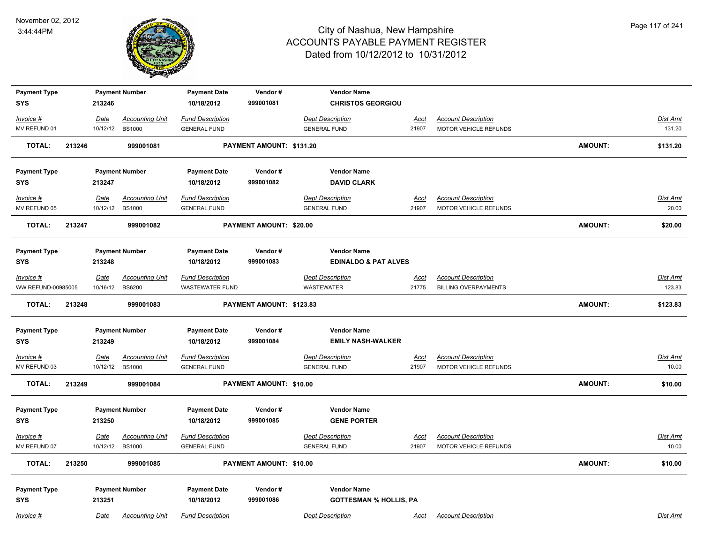

| <b>Payment Type</b>       |        |                  | <b>Payment Number</b>                   | <b>Payment Date</b>                            | Vendor#                        | <b>Vendor Name</b>                             |                      |                                                     |                |                   |
|---------------------------|--------|------------------|-----------------------------------------|------------------------------------------------|--------------------------------|------------------------------------------------|----------------------|-----------------------------------------------------|----------------|-------------------|
| <b>SYS</b>                |        | 213246           |                                         | 10/18/2012                                     | 999001081                      | <b>CHRISTOS GEORGIOU</b>                       |                      |                                                     |                |                   |
| Invoice #                 |        | Date             | <b>Accounting Unit</b>                  | <b>Fund Description</b>                        |                                | <b>Dept Description</b>                        | Acct                 | <b>Account Description</b>                          |                | Dist Amt          |
| MV REFUND 01              |        | 10/12/12         | <b>BS1000</b>                           | <b>GENERAL FUND</b>                            |                                | <b>GENERAL FUND</b>                            | 21907                | MOTOR VEHICLE REFUNDS                               |                | 131.20            |
| <b>TOTAL:</b>             | 213246 |                  | 999001081                               |                                                | PAYMENT AMOUNT: \$131.20       |                                                |                      |                                                     | <b>AMOUNT:</b> | \$131.20          |
| <b>Payment Type</b>       |        |                  | <b>Payment Number</b>                   | <b>Payment Date</b>                            | Vendor#                        | <b>Vendor Name</b>                             |                      |                                                     |                |                   |
| <b>SYS</b>                |        | 213247           |                                         | 10/18/2012                                     | 999001082                      | <b>DAVID CLARK</b>                             |                      |                                                     |                |                   |
| Invoice #                 |        | Date             | <b>Accounting Unit</b>                  | <b>Fund Description</b>                        |                                | <b>Dept Description</b>                        | Acct                 | <b>Account Description</b>                          |                | Dist Amt          |
| MV REFUND 05              |        | 10/12/12         | <b>BS1000</b>                           | <b>GENERAL FUND</b>                            |                                | <b>GENERAL FUND</b>                            | 21907                | MOTOR VEHICLE REFUNDS                               |                | 20.00             |
| <b>TOTAL:</b>             | 213247 |                  | 999001082                               |                                                | PAYMENT AMOUNT: \$20.00        |                                                |                      |                                                     | <b>AMOUNT:</b> | \$20.00           |
| <b>Payment Type</b>       |        |                  | <b>Payment Number</b>                   | <b>Payment Date</b>                            | Vendor#                        | <b>Vendor Name</b>                             |                      |                                                     |                |                   |
| <b>SYS</b>                |        | 213248           |                                         | 10/18/2012                                     | 999001083                      | <b>EDINALDO &amp; PAT ALVES</b>                |                      |                                                     |                |                   |
| Invoice #                 |        | <u>Date</u>      | <b>Accounting Unit</b>                  | <b>Fund Description</b>                        |                                | <b>Dept Description</b>                        | <u>Acct</u>          | <b>Account Description</b>                          |                | Dist Amt          |
| WW REFUND-00985005        |        | 10/16/12         | <b>BS6200</b>                           | <b>WASTEWATER FUND</b>                         |                                | <b>WASTEWATER</b>                              | 21775                | <b>BILLING OVERPAYMENTS</b>                         |                | 123.83            |
| <b>TOTAL:</b>             | 213248 |                  | 999001083                               |                                                | PAYMENT AMOUNT: \$123.83       |                                                |                      |                                                     | <b>AMOUNT:</b> | \$123.83          |
| <b>Payment Type</b>       |        |                  | <b>Payment Number</b>                   | <b>Payment Date</b>                            | Vendor#                        | <b>Vendor Name</b>                             |                      |                                                     |                |                   |
| <b>SYS</b>                |        | 213249           |                                         | 10/18/2012                                     | 999001084                      | <b>EMILY NASH-WALKER</b>                       |                      |                                                     |                |                   |
| $Invoice$ #               |        | <u>Date</u>      | <b>Accounting Unit</b>                  | <b>Fund Description</b>                        |                                | <b>Dept Description</b>                        | <u>Acct</u>          | <b>Account Description</b>                          |                | <b>Dist Amt</b>   |
| MV REFUND 03              |        | 10/12/12         | <b>BS1000</b>                           | <b>GENERAL FUND</b>                            |                                | <b>GENERAL FUND</b>                            | 21907                | MOTOR VEHICLE REFUNDS                               |                | 10.00             |
| <b>TOTAL:</b>             | 213249 |                  | 999001084                               |                                                | <b>PAYMENT AMOUNT: \$10.00</b> |                                                |                      |                                                     | <b>AMOUNT:</b> | \$10.00           |
| <b>Payment Type</b>       |        |                  | <b>Payment Number</b>                   | <b>Payment Date</b>                            | Vendor#                        | <b>Vendor Name</b>                             |                      |                                                     |                |                   |
| <b>SYS</b>                |        | 213250           |                                         | 10/18/2012                                     | 999001085                      | <b>GENE PORTER</b>                             |                      |                                                     |                |                   |
| Invoice #<br>MV REFUND 07 |        | Date<br>10/12/12 | <b>Accounting Unit</b><br><b>BS1000</b> | <b>Fund Description</b><br><b>GENERAL FUND</b> |                                | <b>Dept Description</b><br><b>GENERAL FUND</b> | <u>Acct</u><br>21907 | <b>Account Description</b><br>MOTOR VEHICLE REFUNDS |                | Dist Amt<br>10.00 |
|                           |        |                  |                                         |                                                |                                |                                                |                      |                                                     |                |                   |
| <b>TOTAL:</b>             | 213250 |                  | 999001085                               |                                                | PAYMENT AMOUNT: \$10.00        |                                                |                      |                                                     | AMOUNT:        | \$10.00           |
| <b>Payment Type</b>       |        |                  | <b>Payment Number</b>                   | <b>Payment Date</b>                            | Vendor#                        | <b>Vendor Name</b>                             |                      |                                                     |                |                   |
| <b>SYS</b>                |        | 213251           |                                         | 10/18/2012                                     | 999001086                      | <b>GOTTESMAN % HOLLIS, PA</b>                  |                      |                                                     |                |                   |
| Invoice #                 |        | Date             | <b>Accounting Unit</b>                  | <b>Fund Description</b>                        |                                | <b>Dept Description</b>                        | Acct                 | <b>Account Description</b>                          |                | Dist Amt          |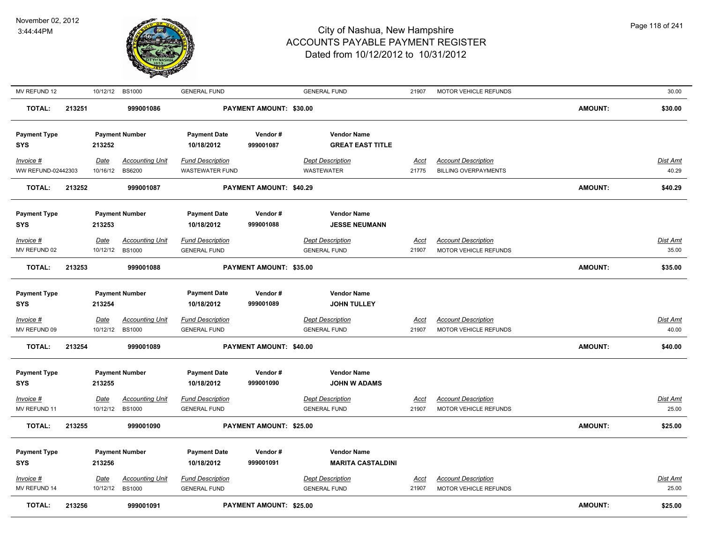

| MV REFUND 12                    |        |                  | 10/12/12 BS1000                         | <b>GENERAL FUND</b>                               |                                | <b>GENERAL FUND</b>                           | 21907         | MOTOR VEHICLE REFUNDS                                     |                | 30.00             |
|---------------------------------|--------|------------------|-----------------------------------------|---------------------------------------------------|--------------------------------|-----------------------------------------------|---------------|-----------------------------------------------------------|----------------|-------------------|
| <b>TOTAL:</b>                   | 213251 |                  | 999001086                               |                                                   | PAYMENT AMOUNT: \$30.00        |                                               |               |                                                           | <b>AMOUNT:</b> | \$30.00           |
| <b>Payment Type</b><br>SYS      |        | 213252           | <b>Payment Number</b>                   | <b>Payment Date</b><br>10/18/2012                 | Vendor#<br>999001087           | <b>Vendor Name</b><br><b>GREAT EAST TITLE</b> |               |                                                           |                |                   |
| Invoice #<br>WW REFUND-02442303 |        | Date<br>10/16/12 | <b>Accounting Unit</b><br><b>BS6200</b> | <b>Fund Description</b><br><b>WASTEWATER FUND</b> |                                | <b>Dept Description</b><br><b>WASTEWATER</b>  | Acct<br>21775 | <b>Account Description</b><br><b>BILLING OVERPAYMENTS</b> |                | Dist Amt<br>40.29 |
| <b>TOTAL:</b>                   | 213252 |                  | 999001087                               |                                                   | PAYMENT AMOUNT: \$40.29        |                                               |               |                                                           | <b>AMOUNT:</b> | \$40.29           |
| <b>Payment Type</b><br>SYS      |        | 213253           | <b>Payment Number</b>                   | <b>Payment Date</b><br>10/18/2012                 | Vendor#<br>999001088           | <b>Vendor Name</b><br><b>JESSE NEUMANN</b>    |               |                                                           |                |                   |
| Invoice #                       |        | <b>Date</b>      | <b>Accounting Unit</b>                  | <b>Fund Description</b>                           |                                | <b>Dept Description</b>                       | Acct          | <b>Account Description</b>                                |                | Dist Amt          |
| MV REFUND 02                    |        | 10/12/12         | <b>BS1000</b>                           | <b>GENERAL FUND</b>                               |                                | <b>GENERAL FUND</b>                           | 21907         | MOTOR VEHICLE REFUNDS                                     |                | 35.00             |
| <b>TOTAL:</b>                   | 213253 |                  | 999001088                               |                                                   | PAYMENT AMOUNT: \$35.00        |                                               |               |                                                           | <b>AMOUNT:</b> | \$35.00           |
| <b>Payment Type</b>             |        |                  | <b>Payment Number</b>                   | <b>Payment Date</b>                               | Vendor#                        | <b>Vendor Name</b>                            |               |                                                           |                |                   |
| SYS                             |        | 213254           |                                         | 10/18/2012                                        | 999001089                      | <b>JOHN TULLEY</b>                            |               |                                                           |                |                   |
| <b>Invoice #</b>                |        | <u>Date</u>      | <b>Accounting Unit</b>                  | <b>Fund Description</b>                           |                                | <b>Dept Description</b>                       | <u>Acct</u>   | <b>Account Description</b>                                |                | Dist Amt          |
| MV REFUND 09                    |        | 10/12/12         | <b>BS1000</b>                           | <b>GENERAL FUND</b>                               |                                | <b>GENERAL FUND</b>                           | 21907         | MOTOR VEHICLE REFUNDS                                     |                | 40.00             |
| <b>TOTAL:</b>                   | 213254 |                  | 999001089                               |                                                   | <b>PAYMENT AMOUNT: \$40.00</b> |                                               |               |                                                           | <b>AMOUNT:</b> | \$40.00           |
| <b>Payment Type</b><br>SYS      |        | 213255           | <b>Payment Number</b>                   | <b>Payment Date</b><br>10/18/2012                 | Vendor#<br>999001090           | <b>Vendor Name</b><br><b>JOHN W ADAMS</b>     |               |                                                           |                |                   |
| Invoice #                       |        | <b>Date</b>      | <b>Accounting Unit</b>                  | <b>Fund Description</b>                           |                                | <b>Dept Description</b>                       | <b>Acct</b>   | <b>Account Description</b>                                |                | Dist Amt          |
| MV REFUND 11                    |        | 10/12/12         | <b>BS1000</b>                           | <b>GENERAL FUND</b>                               |                                | <b>GENERAL FUND</b>                           | 21907         | MOTOR VEHICLE REFUNDS                                     |                | 25.00             |
| <b>TOTAL:</b>                   | 213255 |                  | 999001090                               |                                                   | PAYMENT AMOUNT: \$25.00        |                                               |               |                                                           | <b>AMOUNT:</b> | \$25.00           |
| <b>Payment Type</b>             |        |                  | <b>Payment Number</b>                   | <b>Payment Date</b>                               | Vendor#                        | <b>Vendor Name</b>                            |               |                                                           |                |                   |
| <b>SYS</b>                      |        | 213256           |                                         | 10/18/2012                                        | 999001091                      | <b>MARITA CASTALDINI</b>                      |               |                                                           |                |                   |
| Invoice #                       |        | <u>Date</u>      | <b>Accounting Unit</b>                  | <b>Fund Description</b>                           |                                | <b>Dept Description</b>                       | <u>Acct</u>   | <b>Account Description</b>                                |                | <b>Dist Amt</b>   |
| MV REFUND 14                    |        | 10/12/12         | <b>BS1000</b>                           | <b>GENERAL FUND</b>                               |                                | <b>GENERAL FUND</b>                           | 21907         | MOTOR VEHICLE REFUNDS                                     |                | 25.00             |
| <b>TOTAL:</b>                   | 213256 |                  | 999001091                               |                                                   | <b>PAYMENT AMOUNT: \$25.00</b> |                                               |               |                                                           | <b>AMOUNT:</b> | \$25.00           |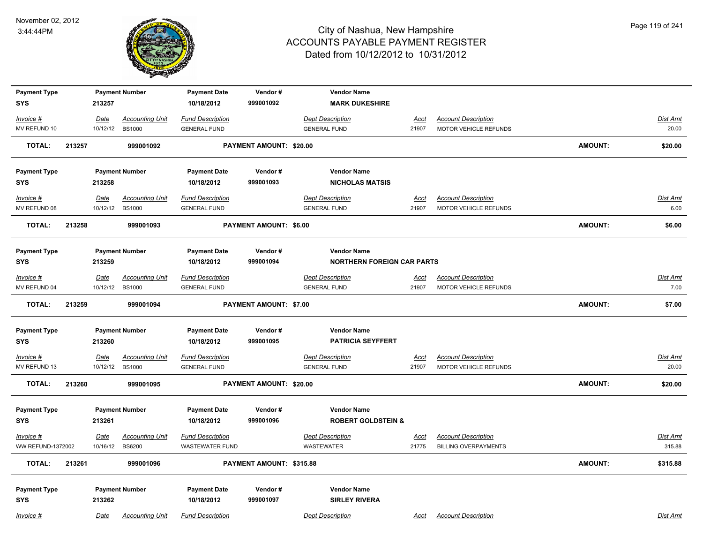

| <b>Payment Type</b>         |        |                  | <b>Payment Number</b>                   | <b>Payment Date</b>                            | Vendor#                       | <b>Vendor Name</b>                             |                      |                                                     |                |                  |
|-----------------------------|--------|------------------|-----------------------------------------|------------------------------------------------|-------------------------------|------------------------------------------------|----------------------|-----------------------------------------------------|----------------|------------------|
| <b>SYS</b>                  |        | 213257           |                                         | 10/18/2012                                     | 999001092                     | <b>MARK DUKESHIRE</b>                          |                      |                                                     |                |                  |
| $Invoice$ #                 |        | Date             | <b>Accounting Unit</b>                  | <b>Fund Description</b>                        |                               | <b>Dept Description</b>                        | <u>Acct</u>          | <b>Account Description</b>                          |                | Dist Amt         |
| MV REFUND 10                |        | 10/12/12         | <b>BS1000</b>                           | <b>GENERAL FUND</b>                            |                               | <b>GENERAL FUND</b>                            | 21907                | MOTOR VEHICLE REFUNDS                               |                | 20.00            |
| <b>TOTAL:</b>               | 213257 |                  | 999001092                               |                                                | PAYMENT AMOUNT: \$20.00       |                                                |                      |                                                     | <b>AMOUNT:</b> | \$20.00          |
|                             |        |                  |                                         |                                                |                               |                                                |                      |                                                     |                |                  |
| <b>Payment Type</b>         |        |                  | <b>Payment Number</b>                   | <b>Payment Date</b>                            | Vendor#                       | <b>Vendor Name</b>                             |                      |                                                     |                |                  |
| <b>SYS</b>                  |        | 213258           |                                         | 10/18/2012                                     | 999001093                     | <b>NICHOLAS MATSIS</b>                         |                      |                                                     |                |                  |
| Invoice #                   |        | <u>Date</u>      | <b>Accounting Unit</b>                  | <b>Fund Description</b>                        |                               | <b>Dept Description</b>                        | Acct                 | <b>Account Description</b>                          |                | Dist Amt         |
| MV REFUND 08                |        | 10/12/12         | <b>BS1000</b>                           | <b>GENERAL FUND</b>                            |                               | <b>GENERAL FUND</b>                            | 21907                | MOTOR VEHICLE REFUNDS                               |                | 6.00             |
| <b>TOTAL:</b>               | 213258 |                  | 999001093                               |                                                | PAYMENT AMOUNT: \$6.00        |                                                |                      |                                                     | <b>AMOUNT:</b> | \$6.00           |
|                             |        |                  |                                         |                                                |                               |                                                |                      |                                                     |                |                  |
| <b>Payment Type</b>         |        |                  | <b>Payment Number</b>                   | <b>Payment Date</b>                            | Vendor#                       | <b>Vendor Name</b>                             |                      |                                                     |                |                  |
| <b>SYS</b>                  |        | 213259           |                                         | 10/18/2012                                     | 999001094                     | <b>NORTHERN FOREIGN CAR PARTS</b>              |                      |                                                     |                |                  |
|                             |        |                  |                                         |                                                |                               |                                                |                      |                                                     |                |                  |
| $Invoice$ #<br>MV REFUND 04 |        | Date<br>10/12/12 | <b>Accounting Unit</b><br><b>BS1000</b> | <b>Fund Description</b><br><b>GENERAL FUND</b> |                               | <b>Dept Description</b><br><b>GENERAL FUND</b> | <u>Acct</u><br>21907 | <b>Account Description</b><br>MOTOR VEHICLE REFUNDS |                | Dist Amt<br>7.00 |
|                             |        |                  |                                         |                                                |                               |                                                |                      |                                                     |                |                  |
| <b>TOTAL:</b>               | 213259 |                  | 999001094                               |                                                | <b>PAYMENT AMOUNT: \$7.00</b> |                                                |                      |                                                     | AMOUNT:        | \$7.00           |
|                             |        |                  |                                         |                                                |                               |                                                |                      |                                                     |                |                  |
| <b>Payment Type</b>         |        |                  | <b>Payment Number</b>                   | <b>Payment Date</b>                            | Vendor#                       | <b>Vendor Name</b>                             |                      |                                                     |                |                  |
| <b>SYS</b>                  |        | 213260           |                                         | 10/18/2012                                     | 999001095                     | <b>PATRICIA SEYFFERT</b>                       |                      |                                                     |                |                  |
| Invoice #                   |        | <u>Date</u>      | <b>Accounting Unit</b>                  | <b>Fund Description</b>                        |                               | <b>Dept Description</b>                        | <u>Acct</u>          | <b>Account Description</b>                          |                | Dist Amt         |
| MV REFUND 13                |        | 10/12/12         | <b>BS1000</b>                           | <b>GENERAL FUND</b>                            |                               | <b>GENERAL FUND</b>                            | 21907                | MOTOR VEHICLE REFUNDS                               |                | 20.00            |
|                             |        |                  |                                         |                                                |                               |                                                |                      |                                                     |                |                  |
| <b>TOTAL:</b>               | 213260 |                  | 999001095                               |                                                | PAYMENT AMOUNT: \$20.00       |                                                |                      |                                                     | <b>AMOUNT:</b> | \$20.00          |
|                             |        |                  |                                         |                                                |                               |                                                |                      |                                                     |                |                  |
| <b>Payment Type</b>         |        |                  | <b>Payment Number</b>                   | <b>Payment Date</b>                            | Vendor#                       | <b>Vendor Name</b>                             |                      |                                                     |                |                  |
| <b>SYS</b>                  |        | 213261           |                                         | 10/18/2012                                     | 999001096                     | <b>ROBERT GOLDSTEIN &amp;</b>                  |                      |                                                     |                |                  |
| Invoice #                   |        | <b>Date</b>      | <b>Accounting Unit</b>                  | <b>Fund Description</b>                        |                               | <b>Dept Description</b>                        | <u>Acct</u>          | <b>Account Description</b>                          |                | <u>Dist Amt</u>  |
| <b>WW REFUND-1372002</b>    |        | 10/16/12         | <b>BS6200</b>                           | <b>WASTEWATER FUND</b>                         |                               | <b>WASTEWATER</b>                              | 21775                | <b>BILLING OVERPAYMENTS</b>                         |                | 315.88           |
| <b>TOTAL:</b>               | 213261 |                  | 999001096                               |                                                | PAYMENT AMOUNT: \$315.88      |                                                |                      |                                                     | AMOUNT:        | \$315.88         |
|                             |        |                  |                                         |                                                |                               |                                                |                      |                                                     |                |                  |
| <b>Payment Type</b>         |        |                  | <b>Payment Number</b>                   | <b>Payment Date</b>                            | Vendor#                       | <b>Vendor Name</b>                             |                      |                                                     |                |                  |
| <b>SYS</b>                  |        | 213262           |                                         | 10/18/2012                                     | 999001097                     | <b>SIRLEY RIVERA</b>                           |                      |                                                     |                |                  |
| Invoice #                   |        | Date             | <b>Accounting Unit</b>                  | <b>Fund Description</b>                        |                               | <b>Dept Description</b>                        | Acct                 | <b>Account Description</b>                          |                | Dist Amt         |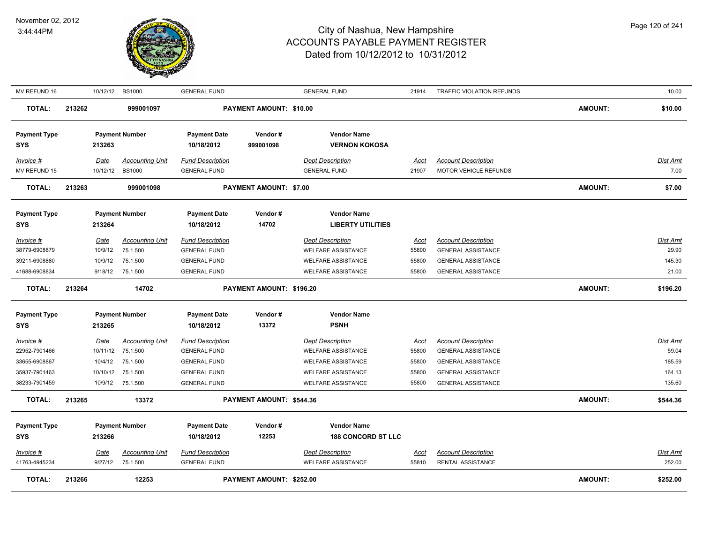

| MV REFUND 16                                                                         |        | 10/12/12                                                  | <b>BS1000</b>                                                          | <b>GENERAL FUND</b>                                                                                                 |                               | <b>GENERAL FUND</b>                                                                                                                         | 21914                                           | TRAFFIC VIOLATION REFUNDS                                                                                                                      |                | 10.00                                                  |
|--------------------------------------------------------------------------------------|--------|-----------------------------------------------------------|------------------------------------------------------------------------|---------------------------------------------------------------------------------------------------------------------|-------------------------------|---------------------------------------------------------------------------------------------------------------------------------------------|-------------------------------------------------|------------------------------------------------------------------------------------------------------------------------------------------------|----------------|--------------------------------------------------------|
| <b>TOTAL:</b>                                                                        | 213262 |                                                           | 999001097                                                              |                                                                                                                     | PAYMENT AMOUNT: \$10.00       |                                                                                                                                             |                                                 |                                                                                                                                                | <b>AMOUNT:</b> | \$10.00                                                |
| <b>Payment Type</b><br><b>SYS</b>                                                    |        | 213263                                                    | <b>Payment Number</b>                                                  | <b>Payment Date</b><br>10/18/2012                                                                                   | Vendor#<br>999001098          | <b>Vendor Name</b><br><b>VERNON KOKOSA</b>                                                                                                  |                                                 |                                                                                                                                                |                |                                                        |
| Invoice #<br>MV REFUND 15                                                            |        | Date<br>10/12/12                                          | <b>Accounting Unit</b><br><b>BS1000</b>                                | <b>Fund Description</b><br><b>GENERAL FUND</b>                                                                      |                               | <b>Dept Description</b><br><b>GENERAL FUND</b>                                                                                              | Acct<br>21907                                   | <b>Account Description</b><br>MOTOR VEHICLE REFUNDS                                                                                            |                | <u>Dist Amt</u><br>7.00                                |
| <b>TOTAL:</b>                                                                        | 213263 |                                                           | 999001098                                                              |                                                                                                                     | <b>PAYMENT AMOUNT: \$7.00</b> |                                                                                                                                             |                                                 |                                                                                                                                                | <b>AMOUNT:</b> | \$7.00                                                 |
| <b>Payment Type</b><br><b>SYS</b>                                                    |        | 213264                                                    | <b>Payment Number</b>                                                  | <b>Payment Date</b><br>10/18/2012                                                                                   | Vendor#<br>14702              | <b>Vendor Name</b><br><b>LIBERTY UTILITIES</b>                                                                                              |                                                 |                                                                                                                                                |                |                                                        |
| <i>Invoice</i> #<br>38779-6908879<br>39211-6908880                                   |        | Date<br>10/9/12<br>10/9/12                                | <b>Accounting Unit</b><br>75.1.500<br>75.1.500                         | <b>Fund Description</b><br><b>GENERAL FUND</b><br><b>GENERAL FUND</b>                                               |                               | <b>Dept Description</b><br><b>WELFARE ASSISTANCE</b><br><b>WELFARE ASSISTANCE</b>                                                           | <u>Acct</u><br>55800<br>55800                   | <b>Account Description</b><br><b>GENERAL ASSISTANCE</b><br><b>GENERAL ASSISTANCE</b>                                                           |                | <u>Dist Amt</u><br>29.90<br>145.30                     |
| 41688-6908834                                                                        |        | 9/18/12                                                   | 75.1.500                                                               | <b>GENERAL FUND</b>                                                                                                 |                               | <b>WELFARE ASSISTANCE</b>                                                                                                                   | 55800                                           | <b>GENERAL ASSISTANCE</b>                                                                                                                      |                | 21.00                                                  |
| <b>TOTAL:</b>                                                                        | 213264 |                                                           | 14702                                                                  |                                                                                                                     | PAYMENT AMOUNT: \$196.20      |                                                                                                                                             |                                                 |                                                                                                                                                | <b>AMOUNT:</b> | \$196.20                                               |
| <b>Payment Type</b><br><b>SYS</b>                                                    |        | 213265                                                    | <b>Payment Number</b>                                                  | <b>Payment Date</b><br>10/18/2012                                                                                   | Vendor#<br>13372              | <b>Vendor Name</b><br><b>PSNH</b>                                                                                                           |                                                 |                                                                                                                                                |                |                                                        |
| <u>Invoice #</u><br>22952-7901466<br>33655-6908867<br>35937-7901463<br>38233-7901459 |        | <u>Date</u><br>10/11/12<br>10/4/12<br>10/10/12<br>10/9/12 | <b>Accounting Unit</b><br>75.1.500<br>75.1.500<br>75.1.500<br>75.1.500 | <b>Fund Description</b><br><b>GENERAL FUND</b><br><b>GENERAL FUND</b><br><b>GENERAL FUND</b><br><b>GENERAL FUND</b> |                               | <b>Dept Description</b><br><b>WELFARE ASSISTANCE</b><br><b>WELFARE ASSISTANCE</b><br><b>WELFARE ASSISTANCE</b><br><b>WELFARE ASSISTANCE</b> | <u>Acct</u><br>55800<br>55800<br>55800<br>55800 | <b>Account Description</b><br><b>GENERAL ASSISTANCE</b><br><b>GENERAL ASSISTANCE</b><br><b>GENERAL ASSISTANCE</b><br><b>GENERAL ASSISTANCE</b> |                | <u>Dist Amt</u><br>59.04<br>185.59<br>164.13<br>135.60 |
| <b>TOTAL:</b>                                                                        | 213265 |                                                           | 13372                                                                  |                                                                                                                     | PAYMENT AMOUNT: \$544.36      |                                                                                                                                             |                                                 |                                                                                                                                                | <b>AMOUNT:</b> | \$544.36                                               |
| <b>Payment Type</b><br><b>SYS</b>                                                    |        | 213266                                                    | <b>Payment Number</b>                                                  | <b>Payment Date</b><br>10/18/2012                                                                                   | Vendor#<br>12253              | <b>Vendor Name</b><br><b>188 CONCORD ST LLC</b>                                                                                             |                                                 |                                                                                                                                                |                |                                                        |
| Invoice #<br>41763-4945234                                                           |        | Date<br>9/27/12                                           | <b>Accounting Unit</b><br>75.1.500                                     | <b>Fund Description</b><br><b>GENERAL FUND</b>                                                                      |                               | <b>Dept Description</b><br><b>WELFARE ASSISTANCE</b>                                                                                        | <u>Acct</u><br>55810                            | <b>Account Description</b><br><b>RENTAL ASSISTANCE</b>                                                                                         |                | Dist Amt<br>252.00                                     |
| <b>TOTAL:</b>                                                                        | 213266 |                                                           | 12253                                                                  |                                                                                                                     | PAYMENT AMOUNT: \$252.00      |                                                                                                                                             |                                                 |                                                                                                                                                | <b>AMOUNT:</b> | \$252.00                                               |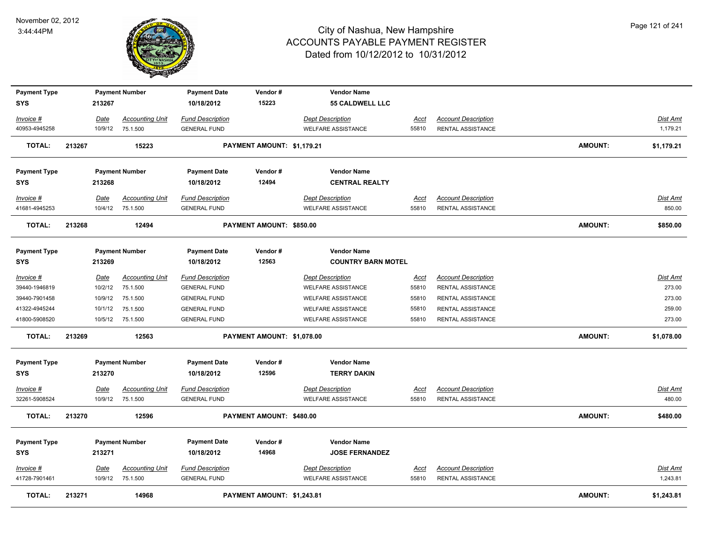

| <b>Payment Type</b>               |        |                 | <b>Payment Number</b>              | <b>Payment Date</b>                            | Vendor#                    | <b>Vendor Name</b>                                   |               |                                                        |                |                    |
|-----------------------------------|--------|-----------------|------------------------------------|------------------------------------------------|----------------------------|------------------------------------------------------|---------------|--------------------------------------------------------|----------------|--------------------|
| <b>SYS</b>                        |        | 213267          |                                    | 10/18/2012                                     | 15223                      | <b>55 CALDWELL LLC</b>                               |               |                                                        |                |                    |
| Invoice #                         |        | Date            | <b>Accounting Unit</b>             | <b>Fund Description</b>                        |                            | <b>Dept Description</b>                              | Acct          | <b>Account Description</b>                             |                | Dist Amt           |
| 40953-4945258                     |        | 10/9/12         | 75.1.500                           | <b>GENERAL FUND</b>                            |                            | WELFARE ASSISTANCE                                   | 55810         | RENTAL ASSISTANCE                                      |                | 1,179.21           |
| <b>TOTAL:</b>                     | 213267 |                 | 15223                              |                                                | PAYMENT AMOUNT: \$1,179.21 |                                                      |               |                                                        | <b>AMOUNT:</b> | \$1,179.21         |
| <b>Payment Type</b>               |        |                 | <b>Payment Number</b>              | <b>Payment Date</b>                            | Vendor#                    | <b>Vendor Name</b>                                   |               |                                                        |                |                    |
| SYS                               |        | 213268          |                                    | 10/18/2012                                     | 12494                      | <b>CENTRAL REALTY</b>                                |               |                                                        |                |                    |
|                                   |        |                 |                                    |                                                |                            |                                                      |               |                                                        |                |                    |
| Invoice #<br>41681-4945253        |        | Date<br>10/4/12 | <b>Accounting Unit</b><br>75.1.500 | <b>Fund Description</b><br><b>GENERAL FUND</b> |                            | <b>Dept Description</b><br><b>WELFARE ASSISTANCE</b> | Acct<br>55810 | <b>Account Description</b><br><b>RENTAL ASSISTANCE</b> |                | Dist Amt<br>850.00 |
|                                   |        |                 |                                    |                                                |                            |                                                      |               |                                                        |                |                    |
| <b>TOTAL:</b>                     | 213268 |                 | 12494                              |                                                | PAYMENT AMOUNT: \$850.00   |                                                      |               |                                                        | AMOUNT:        | \$850.00           |
|                                   |        |                 |                                    |                                                |                            | <b>Vendor Name</b>                                   |               |                                                        |                |                    |
| <b>Payment Type</b><br><b>SYS</b> |        | 213269          | <b>Payment Number</b>              | <b>Payment Date</b><br>10/18/2012              | Vendor#<br>12563           | <b>COUNTRY BARN MOTEL</b>                            |               |                                                        |                |                    |
|                                   |        |                 |                                    |                                                |                            |                                                      |               |                                                        |                |                    |
| Invoice #                         |        | Date            | <b>Accounting Unit</b>             | <b>Fund Description</b>                        |                            | <b>Dept Description</b>                              | <u>Acct</u>   | <b>Account Description</b>                             |                | Dist Amt           |
| 39440-1946819                     |        | 10/2/12         | 75.1.500                           | <b>GENERAL FUND</b>                            |                            | <b>WELFARE ASSISTANCE</b>                            | 55810         | RENTAL ASSISTANCE                                      |                | 273.00             |
| 39440-7901458                     |        | 10/9/12         | 75.1.500                           | <b>GENERAL FUND</b>                            |                            | WELFARE ASSISTANCE                                   | 55810         | RENTAL ASSISTANCE                                      |                | 273.00             |
| 41322-4945244                     |        | 10/1/12         | 75.1.500                           | <b>GENERAL FUND</b>                            |                            | <b>WELFARE ASSISTANCE</b>                            | 55810         | RENTAL ASSISTANCE                                      |                | 259.00             |
| 41800-5908520                     |        |                 | 10/5/12 75.1.500                   | <b>GENERAL FUND</b>                            |                            | <b>WELFARE ASSISTANCE</b>                            | 55810         | RENTAL ASSISTANCE                                      |                | 273.00             |
| <b>TOTAL:</b>                     | 213269 |                 | 12563                              |                                                | PAYMENT AMOUNT: \$1,078.00 |                                                      |               |                                                        | <b>AMOUNT:</b> | \$1,078.00         |
| <b>Payment Type</b>               |        |                 | <b>Payment Number</b>              | <b>Payment Date</b>                            | Vendor#                    | <b>Vendor Name</b>                                   |               |                                                        |                |                    |
| <b>SYS</b>                        |        | 213270          |                                    | 10/18/2012                                     | 12596                      | <b>TERRY DAKIN</b>                                   |               |                                                        |                |                    |
| Invoice #                         |        | <u>Date</u>     | <b>Accounting Unit</b>             | <b>Fund Description</b>                        |                            | <b>Dept Description</b>                              | <u>Acct</u>   | <b>Account Description</b>                             |                | Dist Amt           |
| 32261-5908524                     |        | 10/9/12         | 75.1.500                           | <b>GENERAL FUND</b>                            |                            | <b>WELFARE ASSISTANCE</b>                            | 55810         | RENTAL ASSISTANCE                                      |                | 480.00             |
| <b>TOTAL:</b>                     | 213270 |                 | 12596                              |                                                | PAYMENT AMOUNT: \$480.00   |                                                      |               |                                                        | <b>AMOUNT:</b> | \$480.00           |
| <b>Payment Type</b>               |        |                 | <b>Payment Number</b>              | <b>Payment Date</b>                            | Vendor#                    | <b>Vendor Name</b>                                   |               |                                                        |                |                    |
| <b>SYS</b>                        |        | 213271          |                                    | 10/18/2012                                     | 14968                      | <b>JOSE FERNANDEZ</b>                                |               |                                                        |                |                    |
|                                   |        |                 |                                    |                                                |                            |                                                      |               |                                                        |                |                    |
| Invoice #                         |        | Date            | <b>Accounting Unit</b>             | <b>Fund Description</b>                        |                            | <b>Dept Description</b>                              | Acct          | <b>Account Description</b>                             |                | Dist Amt           |
| 41728-7901461                     |        |                 | 10/9/12 75.1.500                   | <b>GENERAL FUND</b>                            |                            | <b>WELFARE ASSISTANCE</b>                            | 55810         | RENTAL ASSISTANCE                                      |                | 1,243.81           |
| <b>TOTAL:</b>                     | 213271 |                 | 14968                              |                                                | PAYMENT AMOUNT: \$1,243.81 |                                                      |               |                                                        | <b>AMOUNT:</b> | \$1,243.81         |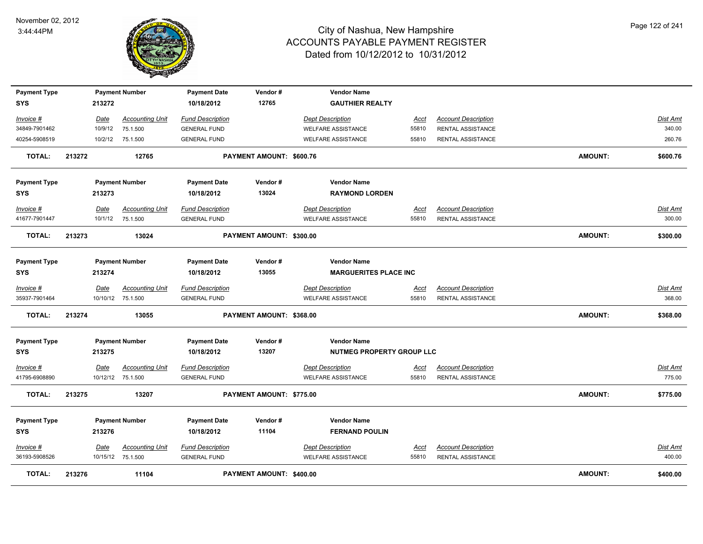

| <b>Payment Type</b><br><b>SYS</b> |        | 213272  | <b>Payment Number</b>  | <b>Payment Date</b><br>10/18/2012 | Vendor#<br>12765         | <b>Vendor Name</b><br><b>GAUTHIER REALTY</b> |             |                            |                |                 |
|-----------------------------------|--------|---------|------------------------|-----------------------------------|--------------------------|----------------------------------------------|-------------|----------------------------|----------------|-----------------|
|                                   |        |         |                        |                                   |                          |                                              |             |                            |                |                 |
| Invoice #                         |        | Date    | <b>Accounting Unit</b> | <b>Fund Description</b>           |                          | <b>Dept Description</b>                      | <u>Acct</u> | <b>Account Description</b> |                | Dist Amt        |
| 34849-7901462                     |        | 10/9/12 | 75.1.500               | <b>GENERAL FUND</b>               |                          | <b>WELFARE ASSISTANCE</b>                    | 55810       | <b>RENTAL ASSISTANCE</b>   |                | 340.00          |
| 40254-5908519                     |        | 10/2/12 | 75.1.500               | <b>GENERAL FUND</b>               |                          | <b>WELFARE ASSISTANCE</b>                    | 55810       | <b>RENTAL ASSISTANCE</b>   |                | 260.76          |
| <b>TOTAL:</b>                     | 213272 |         | 12765                  |                                   | PAYMENT AMOUNT: \$600.76 |                                              |             |                            | <b>AMOUNT:</b> | \$600.76        |
| <b>Payment Type</b>               |        |         | <b>Payment Number</b>  | <b>Payment Date</b>               | Vendor#                  | <b>Vendor Name</b>                           |             |                            |                |                 |
| <b>SYS</b>                        |        | 213273  |                        | 10/18/2012                        | 13024                    | <b>RAYMOND LORDEN</b>                        |             |                            |                |                 |
| Invoice #                         |        | Date    | <b>Accounting Unit</b> | <b>Fund Description</b>           |                          | <b>Dept Description</b>                      | <u>Acct</u> | <b>Account Description</b> |                | Dist Amt        |
| 41677-7901447                     |        | 10/1/12 | 75.1.500               | <b>GENERAL FUND</b>               |                          | <b>WELFARE ASSISTANCE</b>                    | 55810       | RENTAL ASSISTANCE          |                | 300.00          |
| <b>TOTAL:</b>                     | 213273 |         | 13024                  |                                   | PAYMENT AMOUNT: \$300.00 |                                              |             |                            | <b>AMOUNT:</b> | \$300.00        |
|                                   |        |         |                        |                                   |                          |                                              |             |                            |                |                 |
| <b>Payment Type</b>               |        |         | <b>Payment Number</b>  | <b>Payment Date</b>               | Vendor#                  | <b>Vendor Name</b>                           |             |                            |                |                 |
| <b>SYS</b>                        |        | 213274  |                        | 10/18/2012                        | 13055                    | <b>MARGUERITES PLACE INC</b>                 |             |                            |                |                 |
| Invoice #                         |        | Date    | <b>Accounting Unit</b> | <b>Fund Description</b>           |                          | <b>Dept Description</b>                      | Acct        | <b>Account Description</b> |                | Dist Amt        |
| 35937-7901464                     |        |         | 10/10/12 75.1.500      | <b>GENERAL FUND</b>               |                          | <b>WELFARE ASSISTANCE</b>                    | 55810       | RENTAL ASSISTANCE          |                | 368.00          |
| <b>TOTAL:</b>                     | 213274 |         | 13055                  |                                   | PAYMENT AMOUNT: \$368.00 |                                              |             |                            | <b>AMOUNT:</b> | \$368.00        |
| <b>Payment Type</b>               |        |         | <b>Payment Number</b>  | <b>Payment Date</b>               | Vendor#                  | <b>Vendor Name</b>                           |             |                            |                |                 |
| <b>SYS</b>                        |        | 213275  |                        | 10/18/2012                        | 13207                    | <b>NUTMEG PROPERTY GROUP LLC</b>             |             |                            |                |                 |
| Invoice #                         |        | Date    | <b>Accounting Unit</b> | <b>Fund Description</b>           |                          | <b>Dept Description</b>                      | <u>Acct</u> | <b>Account Description</b> |                | <b>Dist Amt</b> |
| 41795-6908890                     |        |         | 10/12/12 75.1.500      | <b>GENERAL FUND</b>               |                          | <b>WELFARE ASSISTANCE</b>                    | 55810       | RENTAL ASSISTANCE          |                | 775.00          |
| TOTAL:                            | 213275 |         | 13207                  |                                   | PAYMENT AMOUNT: \$775.00 |                                              |             |                            | <b>AMOUNT:</b> | \$775.00        |
|                                   |        |         |                        |                                   | Vendor#                  | <b>Vendor Name</b>                           |             |                            |                |                 |
| <b>Payment Type</b><br><b>SYS</b> |        | 213276  | <b>Payment Number</b>  | <b>Payment Date</b><br>10/18/2012 | 11104                    | <b>FERNAND POULIN</b>                        |             |                            |                |                 |
|                                   |        |         |                        |                                   |                          |                                              |             |                            |                |                 |
| Invoice #                         |        | Date    | <b>Accounting Unit</b> | <b>Fund Description</b>           |                          | <b>Dept Description</b>                      | <u>Acct</u> | <b>Account Description</b> |                | <b>Dist Amt</b> |
| 36193-5908526                     |        |         | 10/15/12 75.1.500      | <b>GENERAL FUND</b>               |                          | <b>WELFARE ASSISTANCE</b>                    | 55810       | <b>RENTAL ASSISTANCE</b>   |                | 400.00          |
| TOTAL:                            | 213276 |         | 11104                  |                                   | PAYMENT AMOUNT: \$400.00 |                                              |             |                            | <b>AMOUNT:</b> | \$400.00        |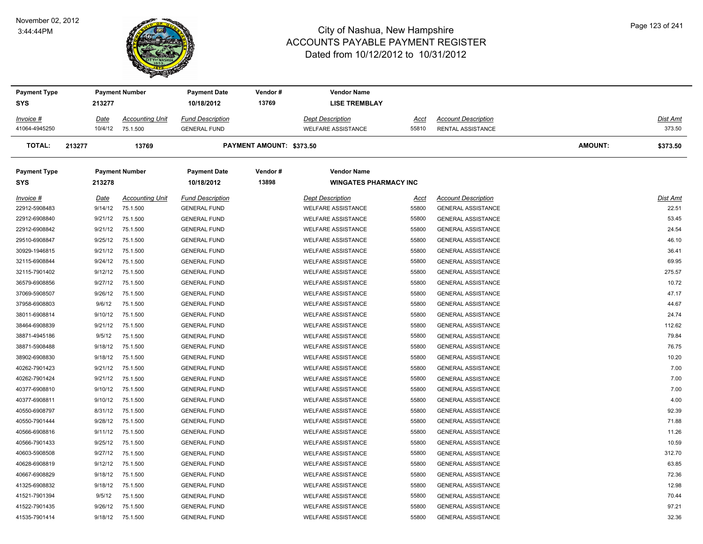#### November 02, 2012 3:44:44PM



| <b>Payment Type</b> |         | <b>Payment Number</b>  | <b>Payment Date</b>     | Vendor#                         | <b>Vendor Name</b>           |       |                            |                |          |
|---------------------|---------|------------------------|-------------------------|---------------------------------|------------------------------|-------|----------------------------|----------------|----------|
| <b>SYS</b>          | 213277  |                        | 10/18/2012              | 13769                           | <b>LISE TREMBLAY</b>         |       |                            |                |          |
| Invoice #           | Date    | <b>Accounting Unit</b> | <b>Fund Description</b> |                                 | <b>Dept Description</b>      | Acct  | <b>Account Description</b> |                | Dist Amt |
| 41064-4945250       | 10/4/12 | 75.1.500               | <b>GENERAL FUND</b>     |                                 | <b>WELFARE ASSISTANCE</b>    | 55810 | <b>RENTAL ASSISTANCE</b>   |                | 373.50   |
| <b>TOTAL:</b>       | 213277  | 13769                  |                         | <b>PAYMENT AMOUNT: \$373.50</b> |                              |       |                            | <b>AMOUNT:</b> | \$373.50 |
| <b>Payment Type</b> |         | <b>Payment Number</b>  | <b>Payment Date</b>     | Vendor#                         | <b>Vendor Name</b>           |       |                            |                |          |
| <b>SYS</b>          | 213278  |                        | 10/18/2012              | 13898                           | <b>WINGATES PHARMACY INC</b> |       |                            |                |          |
| Invoice #           | Date    | <b>Accounting Unit</b> | <b>Fund Description</b> |                                 | <b>Dept Description</b>      | Acct  | <b>Account Description</b> |                | Dist Amt |
| 22912-5908483       | 9/14/12 | 75.1.500               | <b>GENERAL FUND</b>     |                                 | <b>WELFARE ASSISTANCE</b>    | 55800 | <b>GENERAL ASSISTANCE</b>  |                | 22.51    |
| 22912-6908840       | 9/21/12 | 75.1.500               | <b>GENERAL FUND</b>     |                                 | <b>WELFARE ASSISTANCE</b>    | 55800 | <b>GENERAL ASSISTANCE</b>  |                | 53.45    |
| 22912-6908842       | 9/21/12 | 75.1.500               | <b>GENERAL FUND</b>     |                                 | <b>WELFARE ASSISTANCE</b>    | 55800 | <b>GENERAL ASSISTANCE</b>  |                | 24.54    |
| 29510-6908847       | 9/25/12 | 75.1.500               | <b>GENERAL FUND</b>     |                                 | <b>WELFARE ASSISTANCE</b>    | 55800 | <b>GENERAL ASSISTANCE</b>  |                | 46.10    |
| 30929-1946815       | 9/21/12 | 75.1.500               | <b>GENERAL FUND</b>     |                                 | <b>WELFARE ASSISTANCE</b>    | 55800 | <b>GENERAL ASSISTANCE</b>  |                | 36.41    |
| 32115-6908844       | 9/24/12 | 75.1.500               | <b>GENERAL FUND</b>     |                                 | <b>WELFARE ASSISTANCE</b>    | 55800 | <b>GENERAL ASSISTANCE</b>  |                | 69.95    |
| 32115-7901402       | 9/12/12 | 75.1.500               | <b>GENERAL FUND</b>     |                                 | <b>WELFARE ASSISTANCE</b>    | 55800 | <b>GENERAL ASSISTANCE</b>  |                | 275.57   |
| 36579-6908856       | 9/27/12 | 75.1.500               | <b>GENERAL FUND</b>     |                                 | <b>WELFARE ASSISTANCE</b>    | 55800 | <b>GENERAL ASSISTANCE</b>  |                | 10.72    |
| 37069-5908507       | 9/26/12 | 75.1.500               | <b>GENERAL FUND</b>     |                                 | <b>WELFARE ASSISTANCE</b>    | 55800 | <b>GENERAL ASSISTANCE</b>  |                | 47.17    |
| 37958-6908803       | 9/6/12  | 75.1.500               | <b>GENERAL FUND</b>     |                                 | <b>WELFARE ASSISTANCE</b>    | 55800 | <b>GENERAL ASSISTANCE</b>  |                | 44.67    |
| 38011-6908814       | 9/10/12 | 75.1.500               | <b>GENERAL FUND</b>     |                                 | <b>WELFARE ASSISTANCE</b>    | 55800 | <b>GENERAL ASSISTANCE</b>  |                | 24.74    |
| 38464-6908839       | 9/21/12 | 75.1.500               | <b>GENERAL FUND</b>     |                                 | <b>WELFARE ASSISTANCE</b>    | 55800 | <b>GENERAL ASSISTANCE</b>  |                | 112.62   |
| 38871-4945186       | 9/5/12  | 75.1.500               | <b>GENERAL FUND</b>     |                                 | <b>WELFARE ASSISTANCE</b>    | 55800 | <b>GENERAL ASSISTANCE</b>  |                | 79.84    |
| 38871-5908488       | 9/18/12 | 75.1.500               | <b>GENERAL FUND</b>     |                                 | <b>WELFARE ASSISTANCE</b>    | 55800 | <b>GENERAL ASSISTANCE</b>  |                | 76.75    |
| 38902-6908830       | 9/18/12 | 75.1.500               | <b>GENERAL FUND</b>     |                                 | <b>WELFARE ASSISTANCE</b>    | 55800 | <b>GENERAL ASSISTANCE</b>  |                | 10.20    |
| 40262-7901423       | 9/21/12 | 75.1.500               | <b>GENERAL FUND</b>     |                                 | <b>WELFARE ASSISTANCE</b>    | 55800 | <b>GENERAL ASSISTANCE</b>  |                | 7.00     |
| 40262-7901424       | 9/21/12 | 75.1.500               | <b>GENERAL FUND</b>     |                                 | <b>WELFARE ASSISTANCE</b>    | 55800 | <b>GENERAL ASSISTANCE</b>  |                | 7.00     |
| 40377-6908810       | 9/10/12 | 75.1.500               | <b>GENERAL FUND</b>     |                                 | <b>WELFARE ASSISTANCE</b>    | 55800 | <b>GENERAL ASSISTANCE</b>  |                | 7.00     |
| 40377-6908811       | 9/10/12 | 75.1.500               | <b>GENERAL FUND</b>     |                                 | <b>WELFARE ASSISTANCE</b>    | 55800 | <b>GENERAL ASSISTANCE</b>  |                | 4.00     |
| 40550-6908797       | 8/31/12 | 75.1.500               | <b>GENERAL FUND</b>     |                                 | <b>WELFARE ASSISTANCE</b>    | 55800 | <b>GENERAL ASSISTANCE</b>  |                | 92.39    |
| 40550-7901444       | 9/28/12 | 75.1.500               | <b>GENERAL FUND</b>     |                                 | <b>WELFARE ASSISTANCE</b>    | 55800 | <b>GENERAL ASSISTANCE</b>  |                | 71.88    |
| 40566-6908816       | 9/11/12 | 75.1.500               | <b>GENERAL FUND</b>     |                                 | <b>WELFARE ASSISTANCE</b>    | 55800 | <b>GENERAL ASSISTANCE</b>  |                | 11.26    |
| 40566-7901433       | 9/25/12 | 75.1.500               | <b>GENERAL FUND</b>     |                                 | <b>WELFARE ASSISTANCE</b>    | 55800 | <b>GENERAL ASSISTANCE</b>  |                | 10.59    |
| 40603-5908508       | 9/27/12 | 75.1.500               | <b>GENERAL FUND</b>     |                                 | <b>WELFARE ASSISTANCE</b>    | 55800 | <b>GENERAL ASSISTANCE</b>  |                | 312.70   |
| 40628-6908819       | 9/12/12 | 75.1.500               | <b>GENERAL FUND</b>     |                                 | <b>WELFARE ASSISTANCE</b>    | 55800 | <b>GENERAL ASSISTANCE</b>  |                | 63.85    |
| 40667-6908829       | 9/18/12 | 75.1.500               | <b>GENERAL FUND</b>     |                                 | <b>WELFARE ASSISTANCE</b>    | 55800 | <b>GENERAL ASSISTANCE</b>  |                | 72.36    |
| 41325-6908832       | 9/18/12 | 75.1.500               | <b>GENERAL FUND</b>     |                                 | <b>WELFARE ASSISTANCE</b>    | 55800 | <b>GENERAL ASSISTANCE</b>  |                | 12.98    |
| 41521-7901394       | 9/5/12  | 75.1.500               | <b>GENERAL FUND</b>     |                                 | <b>WELFARE ASSISTANCE</b>    | 55800 | <b>GENERAL ASSISTANCE</b>  |                | 70.44    |
| 41522-7901435       | 9/26/12 | 75.1.500               | <b>GENERAL FUND</b>     |                                 | <b>WELFARE ASSISTANCE</b>    | 55800 | <b>GENERAL ASSISTANCE</b>  |                | 97.21    |
| 41535-7901414       | 9/18/12 | 75.1.500               | <b>GENERAL FUND</b>     |                                 | <b>WELFARE ASSISTANCE</b>    | 55800 | <b>GENERAL ASSISTANCE</b>  |                | 32.36    |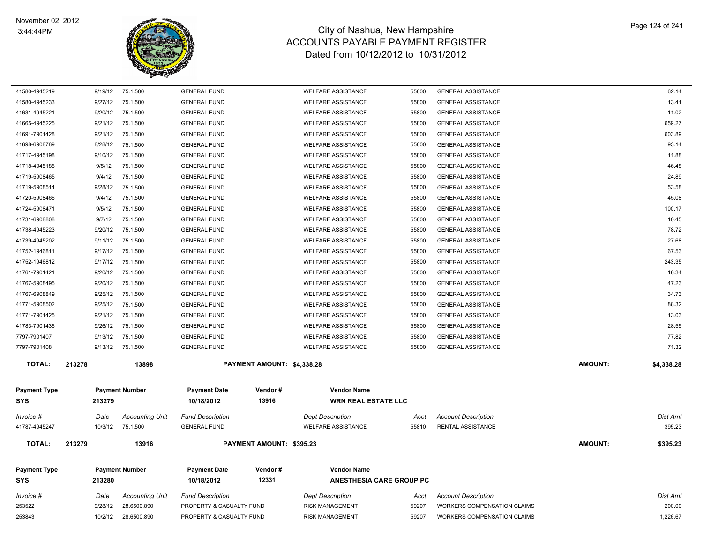

| 41580-4945219       | 9/19/12 | 75.1.500               | <b>GENERAL FUND</b>      |                            | <b>WELFARE ASSISTANCE</b>  | 55800       | <b>GENERAL ASSISTANCE</b>          |                | 62.14           |
|---------------------|---------|------------------------|--------------------------|----------------------------|----------------------------|-------------|------------------------------------|----------------|-----------------|
| 41580-4945233       | 9/27/12 | 75.1.500               | <b>GENERAL FUND</b>      |                            | <b>WELFARE ASSISTANCE</b>  | 55800       | <b>GENERAL ASSISTANCE</b>          |                | 13.41           |
| 41631-4945221       | 9/20/12 | 75.1.500               | <b>GENERAL FUND</b>      |                            | <b>WELFARE ASSISTANCE</b>  | 55800       | <b>GENERAL ASSISTANCE</b>          |                | 11.02           |
| 41665-4945225       | 9/21/12 | 75.1.500               | <b>GENERAL FUND</b>      |                            | <b>WELFARE ASSISTANCE</b>  | 55800       | <b>GENERAL ASSISTANCE</b>          |                | 659.27          |
| 41691-7901428       | 9/21/12 | 75.1.500               | <b>GENERAL FUND</b>      |                            | <b>WELFARE ASSISTANCE</b>  | 55800       | <b>GENERAL ASSISTANCE</b>          |                | 603.89          |
| 41698-6908789       | 8/28/12 | 75.1.500               | <b>GENERAL FUND</b>      |                            | <b>WELFARE ASSISTANCE</b>  | 55800       | <b>GENERAL ASSISTANCE</b>          |                | 93.14           |
| 41717-4945198       | 9/10/12 | 75.1.500               | <b>GENERAL FUND</b>      |                            | <b>WELFARE ASSISTANCE</b>  | 55800       | <b>GENERAL ASSISTANCE</b>          |                | 11.88           |
| 41718-4945185       | 9/5/12  | 75.1.500               | <b>GENERAL FUND</b>      |                            | <b>WELFARE ASSISTANCE</b>  | 55800       | <b>GENERAL ASSISTANCE</b>          |                | 46.48           |
| 41719-5908465       | 9/4/12  | 75.1.500               | <b>GENERAL FUND</b>      |                            | <b>WELFARE ASSISTANCE</b>  | 55800       | <b>GENERAL ASSISTANCE</b>          |                | 24.89           |
| 41719-5908514       | 9/28/12 | 75.1.500               | <b>GENERAL FUND</b>      |                            | <b>WELFARE ASSISTANCE</b>  | 55800       | <b>GENERAL ASSISTANCE</b>          |                | 53.58           |
| 41720-5908466       | 9/4/12  | 75.1.500               | <b>GENERAL FUND</b>      |                            | <b>WELFARE ASSISTANCE</b>  | 55800       | <b>GENERAL ASSISTANCE</b>          |                | 45.08           |
| 41724-5908471       | 9/5/12  | 75.1.500               | <b>GENERAL FUND</b>      |                            | <b>WELFARE ASSISTANCE</b>  | 55800       | <b>GENERAL ASSISTANCE</b>          |                | 100.17          |
| 41731-6908808       | 9/7/12  | 75.1.500               | <b>GENERAL FUND</b>      |                            | <b>WELFARE ASSISTANCE</b>  | 55800       | <b>GENERAL ASSISTANCE</b>          |                | 10.45           |
| 41738-4945223       | 9/20/12 | 75.1.500               | <b>GENERAL FUND</b>      |                            | <b>WELFARE ASSISTANCE</b>  | 55800       | <b>GENERAL ASSISTANCE</b>          |                | 78.72           |
| 41739-4945202       | 9/11/12 | 75.1.500               | <b>GENERAL FUND</b>      |                            | <b>WELFARE ASSISTANCE</b>  | 55800       | <b>GENERAL ASSISTANCE</b>          |                | 27.68           |
| 41752-1946811       | 9/17/12 | 75.1.500               | <b>GENERAL FUND</b>      |                            | <b>WELFARE ASSISTANCE</b>  | 55800       | <b>GENERAL ASSISTANCE</b>          |                | 67.53           |
| 41752-1946812       | 9/17/12 | 75.1.500               | <b>GENERAL FUND</b>      |                            | <b>WELFARE ASSISTANCE</b>  | 55800       | <b>GENERAL ASSISTANCE</b>          |                | 243.35          |
| 41761-7901421       | 9/20/12 | 75.1.500               | <b>GENERAL FUND</b>      |                            | <b>WELFARE ASSISTANCE</b>  | 55800       | <b>GENERAL ASSISTANCE</b>          |                | 16.34           |
| 41767-5908495       | 9/20/12 | 75.1.500               | <b>GENERAL FUND</b>      |                            | <b>WELFARE ASSISTANCE</b>  | 55800       | <b>GENERAL ASSISTANCE</b>          |                | 47.23           |
| 41767-6908849       | 9/25/12 | 75.1.500               | <b>GENERAL FUND</b>      |                            | <b>WELFARE ASSISTANCE</b>  | 55800       | <b>GENERAL ASSISTANCE</b>          |                | 34.73           |
| 41771-5908502       | 9/25/12 | 75.1.500               | <b>GENERAL FUND</b>      |                            | <b>WELFARE ASSISTANCE</b>  | 55800       | <b>GENERAL ASSISTANCE</b>          |                | 88.32           |
| 41771-7901425       | 9/21/12 | 75.1.500               | <b>GENERAL FUND</b>      |                            | <b>WELFARE ASSISTANCE</b>  | 55800       | <b>GENERAL ASSISTANCE</b>          |                | 13.03           |
| 41783-7901436       | 9/26/12 | 75.1.500               | <b>GENERAL FUND</b>      |                            | <b>WELFARE ASSISTANCE</b>  | 55800       | <b>GENERAL ASSISTANCE</b>          |                | 28.55           |
| 7797-7901407        | 9/13/12 | 75.1.500               | <b>GENERAL FUND</b>      |                            | <b>WELFARE ASSISTANCE</b>  | 55800       | <b>GENERAL ASSISTANCE</b>          |                | 77.82           |
| 7797-7901408        | 9/13/12 | 75.1.500               | <b>GENERAL FUND</b>      |                            | <b>WELFARE ASSISTANCE</b>  | 55800       | <b>GENERAL ASSISTANCE</b>          |                | 71.32           |
| <b>TOTAL:</b>       | 213278  | 13898                  |                          | PAYMENT AMOUNT: \$4,338.28 |                            |             |                                    | <b>AMOUNT:</b> | \$4,338.28      |
| <b>Payment Type</b> |         | <b>Payment Number</b>  | <b>Payment Date</b>      | Vendor#                    | <b>Vendor Name</b>         |             |                                    |                |                 |
| <b>SYS</b>          | 213279  |                        | 10/18/2012               | 13916                      | <b>WRN REAL ESTATE LLC</b> |             |                                    |                |                 |
|                     |         |                        |                          |                            |                            |             |                                    |                |                 |
| Invoice #           | Date    | <b>Accounting Unit</b> | <b>Fund Description</b>  |                            | <b>Dept Description</b>    | Acct        | <b>Account Description</b>         |                | <b>Dist Amt</b> |
| 41787-4945247       | 10/3/12 | 75.1.500               | <b>GENERAL FUND</b>      |                            | <b>WELFARE ASSISTANCE</b>  | 55810       | <b>RENTAL ASSISTANCE</b>           |                | 395.23          |
| <b>TOTAL:</b>       | 213279  | 13916                  |                          | PAYMENT AMOUNT: \$395.23   |                            |             |                                    | <b>AMOUNT:</b> | \$395.23        |
|                     |         |                        |                          |                            |                            |             |                                    |                |                 |
| <b>Payment Type</b> |         | <b>Payment Number</b>  | <b>Payment Date</b>      | Vendor#                    | <b>Vendor Name</b>         |             |                                    |                |                 |
| <b>SYS</b>          | 213280  |                        | 10/18/2012               | 12331                      | ANESTHESIA CARE GROUP PC   |             |                                    |                |                 |
| Invoice #           | Date    | <b>Accounting Unit</b> | <b>Fund Description</b>  |                            | <b>Dept Description</b>    | <u>Acct</u> | <b>Account Description</b>         |                | <b>Dist Amt</b> |
| 253522              | 9/28/12 | 28.6500.890            | PROPERTY & CASUALTY FUND |                            | <b>RISK MANAGEMENT</b>     | 59207       | <b>WORKERS COMPENSATION CLAIMS</b> |                | 200.00          |
| 253843              | 10/2/12 | 28.6500.890            | PROPERTY & CASUALTY FUND |                            | <b>RISK MANAGEMENT</b>     | 59207       | <b>WORKERS COMPENSATION CLAIMS</b> |                | 1,226.67        |
|                     |         |                        |                          |                            |                            |             |                                    |                |                 |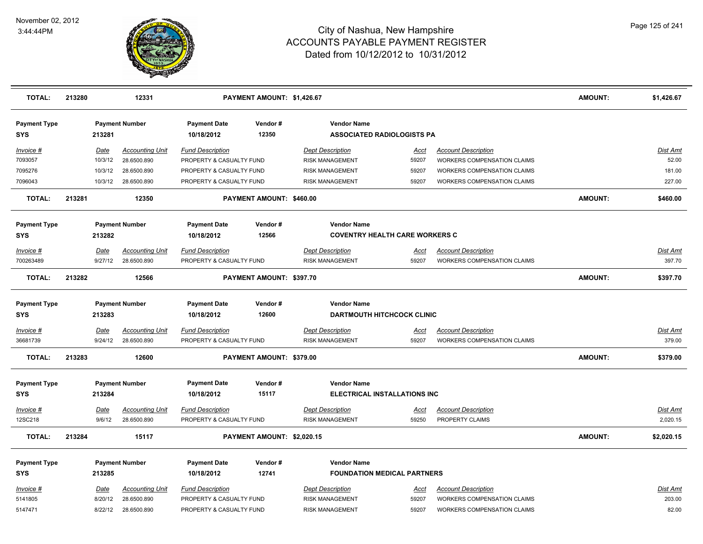

| <b>TOTAL:</b>                     | 213280 |                        | 12331                                 |                                                     | PAYMENT AMOUNT: \$1,426.67 |                                                           |                      |                                                                  | <b>AMOUNT:</b> | \$1,426.67                  |
|-----------------------------------|--------|------------------------|---------------------------------------|-----------------------------------------------------|----------------------------|-----------------------------------------------------------|----------------------|------------------------------------------------------------------|----------------|-----------------------------|
| <b>Payment Type</b><br><b>SYS</b> |        | 213281                 | <b>Payment Number</b>                 | <b>Payment Date</b><br>10/18/2012                   | Vendor#<br>12350           | <b>Vendor Name</b><br><b>ASSOCIATED RADIOLOGISTS PA</b>   |                      |                                                                  |                |                             |
| Invoice #<br>7093057              |        | Date<br>10/3/12        | <b>Accounting Unit</b><br>28.6500.890 | <b>Fund Description</b><br>PROPERTY & CASUALTY FUND |                            | <b>Dept Description</b><br><b>RISK MANAGEMENT</b>         | Acct<br>59207        | <b>Account Description</b><br>WORKERS COMPENSATION CLAIMS        |                | Dist Amt<br>52.00           |
| 7095276                           |        | 10/3/12                | 28.6500.890                           | PROPERTY & CASUALTY FUND                            |                            | <b>RISK MANAGEMENT</b>                                    | 59207                | WORKERS COMPENSATION CLAIMS                                      |                | 181.00                      |
| 7096043                           |        | 10/3/12                | 28.6500.890                           | PROPERTY & CASUALTY FUND                            |                            | <b>RISK MANAGEMENT</b>                                    | 59207                | WORKERS COMPENSATION CLAIMS                                      |                | 227.00                      |
| <b>TOTAL:</b>                     | 213281 |                        | 12350                                 |                                                     | PAYMENT AMOUNT: \$460.00   |                                                           |                      |                                                                  | <b>AMOUNT:</b> | \$460.00                    |
| <b>Payment Type</b>               |        |                        | <b>Payment Number</b>                 | <b>Payment Date</b>                                 | Vendor#                    | <b>Vendor Name</b>                                        |                      |                                                                  |                |                             |
| <b>SYS</b>                        |        | 213282                 |                                       | 10/18/2012                                          | 12566                      | <b>COVENTRY HEALTH CARE WORKERS C</b>                     |                      |                                                                  |                |                             |
| Invoice #<br>700263489            |        | Date<br>9/27/12        | <b>Accounting Unit</b><br>28.6500.890 | <b>Fund Description</b><br>PROPERTY & CASUALTY FUND |                            | <b>Dept Description</b><br><b>RISK MANAGEMENT</b>         | Acct<br>59207        | <b>Account Description</b><br><b>WORKERS COMPENSATION CLAIMS</b> |                | Dist Amt<br>397.70          |
| <b>TOTAL:</b>                     | 213282 |                        | 12566                                 |                                                     | PAYMENT AMOUNT: \$397.70   |                                                           |                      |                                                                  | <b>AMOUNT:</b> | \$397.70                    |
| <b>Payment Type</b><br><b>SYS</b> |        | 213283                 | <b>Payment Number</b>                 | <b>Payment Date</b><br>10/18/2012                   | Vendor#<br>12600           | <b>Vendor Name</b><br><b>DARTMOUTH HITCHCOCK CLINIC</b>   |                      |                                                                  |                |                             |
| <u>Invoice #</u><br>36681739      |        | <b>Date</b><br>9/24/12 | <b>Accounting Unit</b><br>28.6500.890 | <b>Fund Description</b><br>PROPERTY & CASUALTY FUND |                            | <b>Dept Description</b><br><b>RISK MANAGEMENT</b>         | <u>Acct</u><br>59207 | <b>Account Description</b><br>WORKERS COMPENSATION CLAIMS        |                | <u>Dist Amt</u><br>379.00   |
| <b>TOTAL:</b>                     | 213283 |                        | 12600                                 |                                                     | PAYMENT AMOUNT: \$379.00   |                                                           |                      |                                                                  | <b>AMOUNT:</b> | \$379.00                    |
| <b>Payment Type</b><br><b>SYS</b> |        | 213284                 | <b>Payment Number</b>                 | <b>Payment Date</b><br>10/18/2012                   | Vendor#<br>15117           | <b>Vendor Name</b><br><b>ELECTRICAL INSTALLATIONS INC</b> |                      |                                                                  |                |                             |
| <b>Invoice #</b><br>12SC218       |        | Date<br>9/6/12         | <b>Accounting Unit</b><br>28.6500.890 | <b>Fund Description</b><br>PROPERTY & CASUALTY FUND |                            | <b>Dept Description</b><br><b>RISK MANAGEMENT</b>         | <u>Acct</u><br>59250 | <b>Account Description</b><br>PROPERTY CLAIMS                    |                | <b>Dist Amt</b><br>2,020.15 |
| <b>TOTAL:</b>                     | 213284 |                        | 15117                                 |                                                     | PAYMENT AMOUNT: \$2,020.15 |                                                           |                      |                                                                  | <b>AMOUNT:</b> | \$2,020.15                  |
| <b>Payment Type</b><br><b>SYS</b> |        | 213285                 | <b>Payment Number</b>                 | <b>Payment Date</b><br>10/18/2012                   | Vendor#<br>12741           | <b>Vendor Name</b><br><b>FOUNDATION MEDICAL PARTNERS</b>  |                      |                                                                  |                |                             |
| Invoice #                         |        | Date                   | <b>Accounting Unit</b>                | <b>Fund Description</b>                             |                            | <b>Dept Description</b>                                   | <u>Acct</u>          | <b>Account Description</b>                                       |                | Dist Amt                    |
| 5141805                           |        | 8/20/12                | 28.6500.890                           | PROPERTY & CASUALTY FUND                            |                            | <b>RISK MANAGEMENT</b>                                    | 59207                | WORKERS COMPENSATION CLAIMS                                      |                | 203.00                      |
| 5147471                           |        | 8/22/12                | 28.6500.890                           | PROPERTY & CASUALTY FUND                            |                            | <b>RISK MANAGEMENT</b>                                    | 59207                | WORKERS COMPENSATION CLAIMS                                      |                | 82.00                       |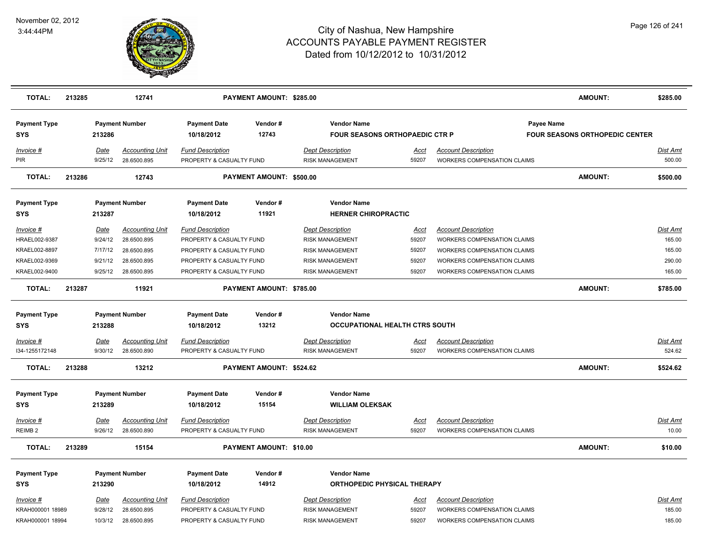

| <b>TOTAL:</b>                     | 213285 |                 | 12741                                 |                                                     | PAYMENT AMOUNT: \$285.00 |                                                             |               |                                                                  | <b>AMOUNT:</b>                                      | \$285.00           |
|-----------------------------------|--------|-----------------|---------------------------------------|-----------------------------------------------------|--------------------------|-------------------------------------------------------------|---------------|------------------------------------------------------------------|-----------------------------------------------------|--------------------|
| <b>Payment Type</b><br><b>SYS</b> |        | 213286          | <b>Payment Number</b>                 | <b>Payment Date</b><br>10/18/2012                   | Vendor#<br>12743         | <b>Vendor Name</b><br><b>FOUR SEASONS ORTHOPAEDIC CTR P</b> |               |                                                                  | Payee Name<br><b>FOUR SEASONS ORTHOPEDIC CENTER</b> |                    |
| Invoice #<br>PIR                  |        | Date<br>9/25/12 | <b>Accounting Unit</b><br>28.6500.895 | <b>Fund Description</b><br>PROPERTY & CASUALTY FUND |                          | <b>Dept Description</b><br><b>RISK MANAGEMENT</b>           | Acct<br>59207 | <b>Account Description</b><br><b>WORKERS COMPENSATION CLAIMS</b> |                                                     | Dist Amt<br>500.00 |
| <b>TOTAL:</b>                     | 213286 |                 | 12743                                 |                                                     | PAYMENT AMOUNT: \$500.00 |                                                             |               |                                                                  | AMOUNT:                                             | \$500.00           |
| <b>Payment Type</b><br><b>SYS</b> |        | 213287          | <b>Payment Number</b>                 | <b>Payment Date</b><br>10/18/2012                   | Vendor#<br>11921         | <b>Vendor Name</b><br><b>HERNER CHIROPRACTIC</b>            |               |                                                                  |                                                     |                    |
| $Invoice$ #                       |        | <b>Date</b>     | <b>Accounting Unit</b>                | <b>Fund Description</b>                             |                          | <b>Dept Description</b>                                     | Acct          | <b>Account Description</b>                                       |                                                     | Dist Amt           |
| HRAEL002-9387                     |        | 9/24/12         | 28.6500.895                           | PROPERTY & CASUALTY FUND                            |                          | <b>RISK MANAGEMENT</b>                                      | 59207         | WORKERS COMPENSATION CLAIMS                                      |                                                     | 165.00             |
| KRAEL002-8897                     |        | 7/17/12         | 28.6500.895                           | PROPERTY & CASUALTY FUND                            |                          | RISK MANAGEMENT                                             | 59207         | WORKERS COMPENSATION CLAIMS                                      |                                                     | 165.00             |
| KRAEL002-9369                     |        | 9/21/12         | 28.6500.895                           | PROPERTY & CASUALTY FUND                            |                          | <b>RISK MANAGEMENT</b>                                      | 59207         | WORKERS COMPENSATION CLAIMS                                      |                                                     | 290.00             |
| KRAEL002-9400                     |        | 9/25/12         | 28.6500.895                           | PROPERTY & CASUALTY FUND                            |                          | RISK MANAGEMENT                                             | 59207         | WORKERS COMPENSATION CLAIMS                                      |                                                     | 165.00             |
| <b>TOTAL:</b>                     | 213287 |                 | 11921                                 |                                                     | PAYMENT AMOUNT: \$785.00 |                                                             |               |                                                                  | <b>AMOUNT:</b>                                      | \$785.00           |
| <b>Payment Type</b><br><b>SYS</b> |        | 213288          | <b>Payment Number</b>                 | <b>Payment Date</b><br>10/18/2012                   | Vendor#<br>13212         | <b>Vendor Name</b><br><b>OCCUPATIONAL HEALTH CTRS SOUTH</b> |               |                                                                  |                                                     |                    |
| <u>Invoice #</u>                  |        | <u>Date</u>     | <b>Accounting Unit</b>                | <b>Fund Description</b>                             |                          | <b>Dept Description</b>                                     | <u>Acct</u>   | <b>Account Description</b>                                       |                                                     | <u>Dist Amt</u>    |
| 134-1255172148                    |        | 9/30/12         | 28.6500.890                           | PROPERTY & CASUALTY FUND                            |                          | <b>RISK MANAGEMENT</b>                                      | 59207         | WORKERS COMPENSATION CLAIMS                                      |                                                     | 524.62             |
| <b>TOTAL:</b>                     | 213288 |                 | 13212                                 |                                                     | PAYMENT AMOUNT: \$524.62 |                                                             |               |                                                                  | <b>AMOUNT:</b>                                      | \$524.62           |
| <b>Payment Type</b>               |        |                 | <b>Payment Number</b>                 | <b>Payment Date</b>                                 | Vendor#                  | <b>Vendor Name</b>                                          |               |                                                                  |                                                     |                    |
| SYS                               |        | 213289          |                                       | 10/18/2012                                          | 15154                    | <b>WILLIAM OLEKSAK</b>                                      |               |                                                                  |                                                     |                    |
| Invoice #                         |        | Date            | <b>Accounting Unit</b>                | <b>Fund Description</b>                             |                          | <b>Dept Description</b>                                     | Acct          | <b>Account Description</b>                                       |                                                     | Dist Amt           |
| REIMB <sub>2</sub>                |        | 9/26/12         | 28.6500.890                           | PROPERTY & CASUALTY FUND                            |                          | <b>RISK MANAGEMENT</b>                                      | 59207         | <b>WORKERS COMPENSATION CLAIMS</b>                               |                                                     | 10.00              |
| <b>TOTAL:</b>                     | 213289 |                 | 15154                                 |                                                     | PAYMENT AMOUNT: \$10.00  |                                                             |               |                                                                  | <b>AMOUNT:</b>                                      | \$10.00            |
| <b>Payment Type</b>               |        |                 | <b>Payment Number</b>                 | <b>Payment Date</b>                                 | Vendor#                  | <b>Vendor Name</b>                                          |               |                                                                  |                                                     |                    |
| <b>SYS</b>                        |        | 213290          |                                       | 10/18/2012                                          | 14912                    | <b>ORTHOPEDIC PHYSICAL THERAPY</b>                          |               |                                                                  |                                                     |                    |
| Invoice #<br>KRAH000001 18989     |        | Date<br>9/28/12 | <b>Accounting Unit</b><br>28.6500.895 | <b>Fund Description</b><br>PROPERTY & CASUALTY FUND |                          | <b>Dept Description</b><br><b>RISK MANAGEMENT</b>           | Acct<br>59207 | <b>Account Description</b><br>WORKERS COMPENSATION CLAIMS        |                                                     | Dist Amt<br>185.00 |
| KRAH000001 18994                  |        | 10/3/12         | 28.6500.895                           | PROPERTY & CASUALTY FUND                            |                          | <b>RISK MANAGEMENT</b>                                      | 59207         | <b>WORKERS COMPENSATION CLAIMS</b>                               |                                                     | 185.00             |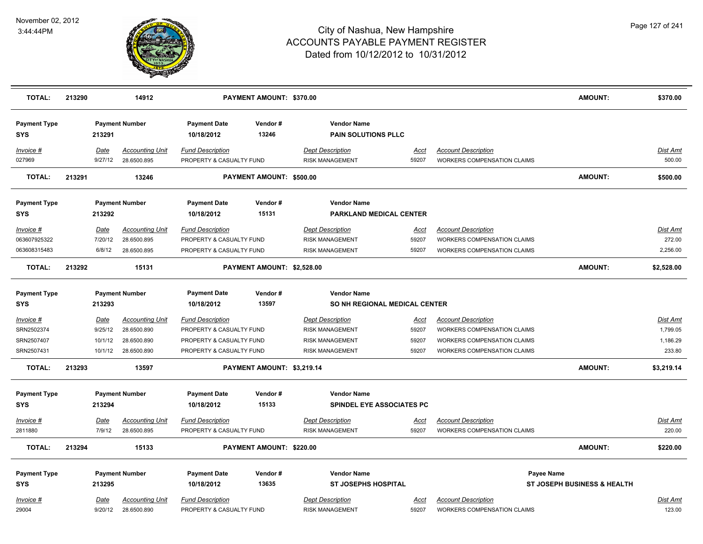

| <b>TOTAL:</b>                                       | 213290 |                                              | 14912                                                               |                                                                                                             | PAYMENT AMOUNT: \$370.00   |                                                                                                       |                                        |                                                                                                                                       | <b>AMOUNT:</b>              | \$370.00                                   |
|-----------------------------------------------------|--------|----------------------------------------------|---------------------------------------------------------------------|-------------------------------------------------------------------------------------------------------------|----------------------------|-------------------------------------------------------------------------------------------------------|----------------------------------------|---------------------------------------------------------------------------------------------------------------------------------------|-----------------------------|--------------------------------------------|
| <b>Payment Type</b><br><b>SYS</b>                   |        | 213291                                       | <b>Payment Number</b>                                               | <b>Payment Date</b><br>10/18/2012                                                                           | Vendor#<br>13246           | <b>Vendor Name</b><br><b>PAIN SOLUTIONS PLLC</b>                                                      |                                        |                                                                                                                                       |                             |                                            |
| Invoice #<br>027969                                 |        | Date<br>9/27/12                              | <b>Accounting Unit</b><br>28.6500.895                               | <b>Fund Description</b><br>PROPERTY & CASUALTY FUND                                                         |                            | <b>Dept Description</b><br><b>RISK MANAGEMENT</b>                                                     | Acct<br>59207                          | <b>Account Description</b><br><b>WORKERS COMPENSATION CLAIMS</b>                                                                      |                             | Dist Amt<br>500.00                         |
| <b>TOTAL:</b>                                       | 213291 |                                              | 13246                                                               |                                                                                                             | PAYMENT AMOUNT: \$500.00   |                                                                                                       |                                        |                                                                                                                                       | <b>AMOUNT:</b>              | \$500.00                                   |
| <b>Payment Type</b><br><b>SYS</b>                   |        | 213292                                       | <b>Payment Number</b>                                               | <b>Payment Date</b><br>10/18/2012                                                                           | Vendor#<br>15131           | <b>Vendor Name</b><br>PARKLAND MEDICAL CENTER                                                         |                                        |                                                                                                                                       |                             |                                            |
| Invoice #<br>063607925322<br>063608315483           |        | Date<br>7/20/12<br>6/8/12                    | <b>Accounting Unit</b><br>28.6500.895<br>28.6500.895                | <b>Fund Description</b><br>PROPERTY & CASUALTY FUND<br>PROPERTY & CASUALTY FUND                             |                            | <b>Dept Description</b><br><b>RISK MANAGEMENT</b><br><b>RISK MANAGEMENT</b>                           | <b>Acct</b><br>59207<br>59207          | <b>Account Description</b><br>WORKERS COMPENSATION CLAIMS<br><b>WORKERS COMPENSATION CLAIMS</b>                                       |                             | Dist Amt<br>272.00<br>2,256.00             |
| <b>TOTAL:</b>                                       | 213292 |                                              | 15131                                                               |                                                                                                             | PAYMENT AMOUNT: \$2,528.00 |                                                                                                       |                                        |                                                                                                                                       | <b>AMOUNT:</b>              | \$2,528.00                                 |
| <b>Payment Type</b><br>SYS                          |        | 213293                                       | <b>Payment Number</b>                                               | <b>Payment Date</b><br>10/18/2012                                                                           | Vendor#<br>13597           | <b>Vendor Name</b><br>SO NH REGIONAL MEDICAL CENTER                                                   |                                        |                                                                                                                                       |                             |                                            |
| Invoice #<br>SRN2502374<br>SRN2507407<br>SRN2507431 |        | <b>Date</b><br>9/25/12<br>10/1/12<br>10/1/12 | <b>Accounting Unit</b><br>28.6500.890<br>28.6500.890<br>28.6500.890 | <b>Fund Description</b><br>PROPERTY & CASUALTY FUND<br>PROPERTY & CASUALTY FUND<br>PROPERTY & CASUALTY FUND |                            | <b>Dept Description</b><br><b>RISK MANAGEMENT</b><br><b>RISK MANAGEMENT</b><br><b>RISK MANAGEMENT</b> | <u>Acct</u><br>59207<br>59207<br>59207 | <b>Account Description</b><br>WORKERS COMPENSATION CLAIMS<br><b>WORKERS COMPENSATION CLAIMS</b><br><b>WORKERS COMPENSATION CLAIMS</b> |                             | Dist Amt<br>1,799.05<br>1,186.29<br>233.80 |
| <b>TOTAL:</b>                                       | 213293 |                                              | 13597                                                               |                                                                                                             | PAYMENT AMOUNT: \$3,219.14 |                                                                                                       |                                        |                                                                                                                                       | <b>AMOUNT:</b>              | \$3,219.14                                 |
| <b>Payment Type</b><br><b>SYS</b>                   |        | 213294                                       | <b>Payment Number</b>                                               | <b>Payment Date</b><br>10/18/2012                                                                           | Vendor#<br>15133           | <b>Vendor Name</b><br><b>SPINDEL EYE ASSOCIATES PC</b>                                                |                                        |                                                                                                                                       |                             |                                            |
| <u>Invoice #</u><br>2811880                         |        | Date<br>7/9/12                               | <b>Accounting Unit</b><br>28.6500.895                               | <b>Fund Description</b><br>PROPERTY & CASUALTY FUND                                                         |                            | <b>Dept Description</b><br><b>RISK MANAGEMENT</b>                                                     | <u>Acct</u><br>59207                   | <b>Account Description</b><br><b>WORKERS COMPENSATION CLAIMS</b>                                                                      |                             | <u>Dist Amt</u><br>220.00                  |
| <b>TOTAL:</b>                                       | 213294 |                                              | 15133                                                               |                                                                                                             | PAYMENT AMOUNT: \$220.00   |                                                                                                       |                                        |                                                                                                                                       | <b>AMOUNT:</b>              | \$220.00                                   |
| <b>Payment Type</b><br>SYS                          |        | 213295                                       | <b>Payment Number</b>                                               | <b>Payment Date</b><br>10/18/2012                                                                           | Vendor#<br>13635           | <b>Vendor Name</b><br><b>ST JOSEPHS HOSPITAL</b>                                                      |                                        | Payee Name                                                                                                                            | ST JOSEPH BUSINESS & HEALTH |                                            |
| Invoice #<br>29004                                  |        | <u>Date</u><br>9/20/12                       | <b>Accounting Unit</b><br>28.6500.890                               | <b>Fund Description</b><br>PROPERTY & CASUALTY FUND                                                         |                            | <b>Dept Description</b><br><b>RISK MANAGEMENT</b>                                                     | Acct<br>59207                          | <b>Account Description</b><br><b>WORKERS COMPENSATION CLAIMS</b>                                                                      |                             | Dist Amt<br>123.00                         |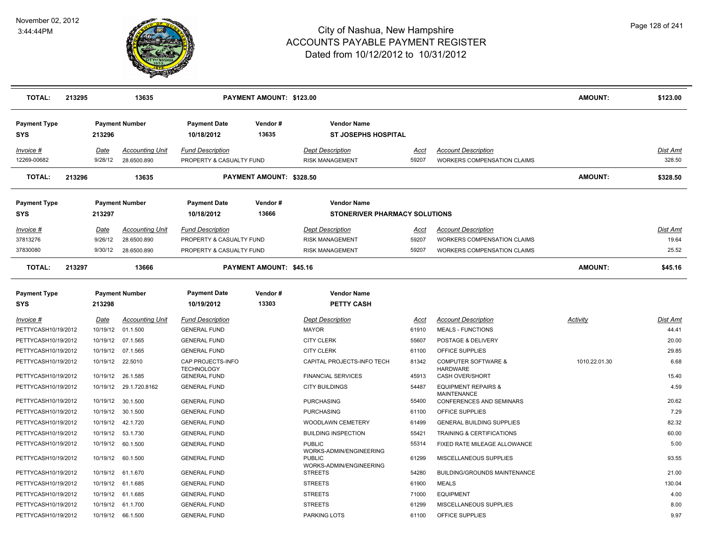

| <b>TOTAL:</b>                              | 213295 |                            | 13635                                                |                                                                                 | PAYMENT AMOUNT: \$123.00       |                                                                             |                        |                                                                                                        | <b>AMOUNT:</b>  | \$123.00                          |
|--------------------------------------------|--------|----------------------------|------------------------------------------------------|---------------------------------------------------------------------------------|--------------------------------|-----------------------------------------------------------------------------|------------------------|--------------------------------------------------------------------------------------------------------|-----------------|-----------------------------------|
| <b>Payment Type</b><br>SYS                 |        | 213296                     | <b>Payment Number</b>                                | <b>Payment Date</b><br>10/18/2012                                               | Vendor#<br>13635               | <b>Vendor Name</b><br><b>ST JOSEPHS HOSPITAL</b>                            |                        |                                                                                                        |                 |                                   |
| Invoice #<br>12269-00682                   |        | <u>Date</u><br>9/28/12     | <b>Accounting Unit</b><br>28.6500.890                | <b>Fund Description</b><br>PROPERTY & CASUALTY FUND                             |                                | <b>Dept Description</b><br><b>RISK MANAGEMENT</b>                           | <u>Acct</u><br>59207   | <b>Account Description</b><br><b>WORKERS COMPENSATION CLAIMS</b>                                       |                 | Dist Amt<br>328.50                |
| <b>TOTAL:</b>                              | 213296 |                            | 13635                                                |                                                                                 | PAYMENT AMOUNT: \$328.50       |                                                                             |                        |                                                                                                        | <b>AMOUNT:</b>  | \$328.50                          |
| <b>Payment Type</b><br><b>SYS</b>          |        | 213297                     | <b>Payment Number</b>                                | <b>Payment Date</b><br>10/18/2012                                               | Vendor#<br>13666               | <b>Vendor Name</b><br><b>STONERIVER PHARMACY SOLUTIONS</b>                  |                        |                                                                                                        |                 |                                   |
| Invoice #<br>37813276<br>37830080          |        | Date<br>9/26/12<br>9/30/12 | <b>Accounting Unit</b><br>28.6500.890<br>28.6500.890 | <b>Fund Description</b><br>PROPERTY & CASUALTY FUND<br>PROPERTY & CASUALTY FUND |                                | <b>Dept Description</b><br><b>RISK MANAGEMENT</b><br><b>RISK MANAGEMENT</b> | Acct<br>59207<br>59207 | <b>Account Description</b><br><b>WORKERS COMPENSATION CLAIMS</b><br><b>WORKERS COMPENSATION CLAIMS</b> |                 | <b>Dist Amt</b><br>19.64<br>25.52 |
| <b>TOTAL:</b>                              | 213297 |                            | 13666                                                |                                                                                 | <b>PAYMENT AMOUNT: \$45.16</b> |                                                                             |                        |                                                                                                        | <b>AMOUNT:</b>  | \$45.16                           |
| <b>Payment Type</b><br><b>SYS</b>          |        | 213298                     | <b>Payment Number</b>                                | <b>Payment Date</b><br>10/19/2012                                               | Vendor#<br>13303               | <b>Vendor Name</b><br><b>PETTY CASH</b>                                     |                        |                                                                                                        |                 |                                   |
| Invoice #<br>PETTYCASH10/19/2012           |        | <b>Date</b><br>10/19/12    | <u>Accounting Unit</u><br>01.1.500                   | <b>Fund Description</b><br><b>GENERAL FUND</b>                                  |                                | <b>Dept Description</b><br>MAYOR                                            | <u>Acct</u><br>61910   | <b>Account Description</b><br><b>MEALS - FUNCTIONS</b>                                                 | <b>Activity</b> | <u>Dist Amt</u><br>44.41          |
| PETTYCASH10/19/2012                        |        |                            | 10/19/12 07.1.565                                    | <b>GENERAL FUND</b>                                                             |                                | <b>CITY CLERK</b>                                                           | 55607                  | POSTAGE & DELIVERY                                                                                     |                 | 20.00                             |
| PETTYCASH10/19/2012                        |        |                            | 10/19/12 07.1.565                                    | <b>GENERAL FUND</b>                                                             |                                | <b>CITY CLERK</b>                                                           | 61100                  | OFFICE SUPPLIES                                                                                        |                 | 29.85                             |
| PETTYCASH10/19/2012<br>PETTYCASH10/19/2012 |        |                            | 10/19/12 22.5010                                     | CAP PROJECTS-INFO<br><b>TECHNOLOGY</b>                                          |                                | CAPITAL PROJECTS-INFO TECH                                                  | 81342<br>45913         | <b>COMPUTER SOFTWARE &amp;</b><br><b>HARDWARE</b>                                                      | 1010.22.01.30   | 6.68<br>15.40                     |
| PETTYCASH10/19/2012                        |        | 10/19/12                   | 10/19/12 26.1.585<br>29.1.720.8162                   | <b>GENERAL FUND</b><br><b>GENERAL FUND</b>                                      |                                | <b>FINANCIAL SERVICES</b><br><b>CITY BUILDINGS</b>                          | 54487                  | CASH OVER/SHORT<br><b>EQUIPMENT REPAIRS &amp;</b>                                                      |                 | 4.59                              |
| PETTYCASH10/19/2012                        |        |                            | 10/19/12 30.1.500                                    | <b>GENERAL FUND</b>                                                             |                                | <b>PURCHASING</b>                                                           | 55400                  | <b>MAINTENANCE</b><br><b>CONFERENCES AND SEMINARS</b>                                                  |                 | 20.62                             |
| PETTYCASH10/19/2012                        |        |                            | 10/19/12 30.1.500                                    | <b>GENERAL FUND</b>                                                             |                                | <b>PURCHASING</b>                                                           | 61100                  | OFFICE SUPPLIES                                                                                        |                 | 7.29                              |
| PETTYCASH10/19/2012                        |        |                            | 10/19/12 42.1.720                                    | <b>GENERAL FUND</b>                                                             |                                | WOODLAWN CEMETERY                                                           | 61499                  | <b>GENERAL BUILDING SUPPLIES</b>                                                                       |                 | 82.32                             |
| PETTYCASH10/19/2012                        |        |                            | 10/19/12  53.1.730                                   | <b>GENERAL FUND</b>                                                             |                                | <b>BUILDING INSPECTION</b>                                                  | 55421                  | TRAINING & CERTIFICATIONS                                                                              |                 | 60.00                             |
| PETTYCASH10/19/2012                        |        |                            | 10/19/12 60.1.500                                    | <b>GENERAL FUND</b>                                                             |                                | <b>PUBLIC</b>                                                               | 55314                  | FIXED RATE MILEAGE ALLOWANCE                                                                           |                 | 5.00                              |
| PETTYCASH10/19/2012                        |        |                            | 10/19/12 60.1.500                                    | <b>GENERAL FUND</b>                                                             |                                | WORKS-ADMIN/ENGINEERING<br><b>PUBLIC</b><br>WORKS-ADMIN/ENGINEERING         | 61299                  | MISCELLANEOUS SUPPLIES                                                                                 |                 | 93.55                             |
| PETTYCASH10/19/2012                        |        | 10/19/12                   | 61.1.670                                             | <b>GENERAL FUND</b>                                                             |                                | <b>STREETS</b>                                                              | 54280                  | BUILDING/GROUNDS MAINTENANCE                                                                           |                 | 21.00                             |
| PETTYCASH10/19/2012                        |        |                            | 10/19/12 61.1.685                                    | <b>GENERAL FUND</b>                                                             |                                | <b>STREETS</b>                                                              | 61900                  | <b>MEALS</b>                                                                                           |                 | 130.04                            |
| PETTYCASH10/19/2012                        |        |                            | 10/19/12 61.1.685                                    | <b>GENERAL FUND</b>                                                             |                                | <b>STREETS</b>                                                              | 71000                  | <b>EQUIPMENT</b>                                                                                       |                 | 4.00                              |
| PETTYCASH10/19/2012                        |        |                            | 10/19/12 61.1.700                                    | <b>GENERAL FUND</b>                                                             |                                | <b>STREETS</b>                                                              | 61299                  | MISCELLANEOUS SUPPLIES                                                                                 |                 | 8.00                              |
| PETTYCASH10/19/2012                        |        |                            | 10/19/12 66.1.500                                    | <b>GENERAL FUND</b>                                                             |                                | <b>PARKING LOTS</b>                                                         | 61100                  | OFFICE SUPPLIES                                                                                        |                 | 9.97                              |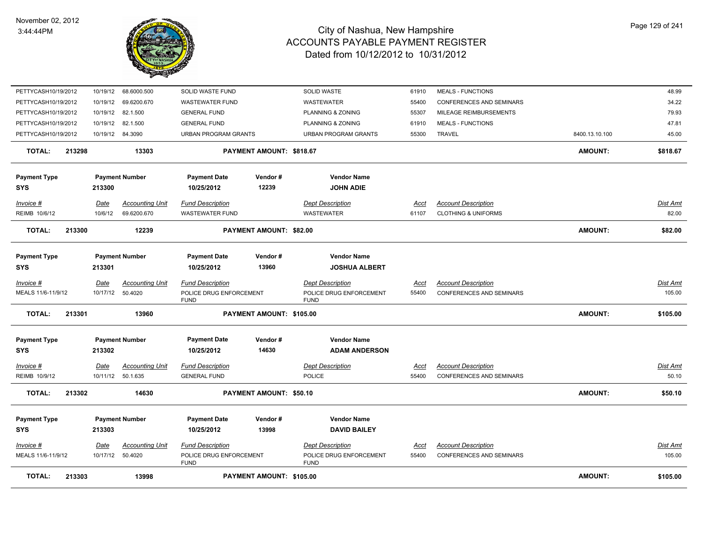

| <b>TOTAL:</b>                          | 213303 |                 | 13998                                      |                                                                   | PAYMENT AMOUNT: \$105.00       |                                                                   |                      |                                                               | <b>AMOUNT:</b> | \$105.00           |
|----------------------------------------|--------|-----------------|--------------------------------------------|-------------------------------------------------------------------|--------------------------------|-------------------------------------------------------------------|----------------------|---------------------------------------------------------------|----------------|--------------------|
|                                        |        |                 |                                            | <b>FUND</b>                                                       |                                | <b>FUND</b>                                                       |                      |                                                               |                |                    |
| <b>Invoice #</b><br>MEALS 11/6-11/9/12 |        | <u>Date</u>     | <b>Accounting Unit</b><br>10/17/12 50.4020 | <b>Fund Description</b><br>POLICE DRUG ENFORCEMENT                |                                | <b>Dept Description</b><br>POLICE DRUG ENFORCEMENT                | <u>Acct</u><br>55400 | <b>Account Description</b><br><b>CONFERENCES AND SEMINARS</b> |                | Dist Amt<br>105.00 |
| <b>SYS</b>                             |        | 213303          |                                            | 10/25/2012                                                        | 13998                          | <b>DAVID BAILEY</b>                                               |                      |                                                               |                |                    |
| <b>Payment Type</b>                    |        |                 | <b>Payment Number</b>                      | <b>Payment Date</b>                                               | Vendor#                        | <b>Vendor Name</b>                                                |                      |                                                               |                |                    |
| <b>TOTAL:</b>                          | 213302 |                 | 14630                                      |                                                                   | PAYMENT AMOUNT: \$50.10        |                                                                   |                      |                                                               | <b>AMOUNT:</b> | \$50.10            |
| Invoice #<br>REIMB 10/9/12             |        | Date            | Accounting Unit<br>10/11/12 50.1.635       | <b>Fund Description</b><br><b>GENERAL FUND</b>                    |                                | <b>Dept Description</b><br><b>POLICE</b>                          | Acct<br>55400        | <b>Account Description</b><br><b>CONFERENCES AND SEMINARS</b> |                | Dist Amt<br>50.10  |
| <b>Payment Type</b><br><b>SYS</b>      |        | 213302          | <b>Payment Number</b>                      | <b>Payment Date</b><br>10/25/2012                                 | Vendor#<br>14630               | <b>Vendor Name</b><br><b>ADAM ANDERSON</b>                        |                      |                                                               |                |                    |
| <b>TOTAL:</b>                          | 213301 |                 | 13960                                      |                                                                   | PAYMENT AMOUNT: \$105.00       |                                                                   |                      |                                                               | <b>AMOUNT:</b> | \$105.00           |
| Invoice #<br>MEALS 11/6-11/9/12        |        | <b>Date</b>     | <b>Accounting Unit</b><br>10/17/12 50.4020 | <b>Fund Description</b><br>POLICE DRUG ENFORCEMENT<br><b>FUND</b> |                                | <b>Dept Description</b><br>POLICE DRUG ENFORCEMENT<br><b>FUND</b> | <u>Acct</u><br>55400 | <b>Account Description</b><br>CONFERENCES AND SEMINARS        |                | Dist Amt<br>105.00 |
| <b>Payment Type</b><br><b>SYS</b>      |        | 213301          | <b>Payment Number</b>                      | <b>Payment Date</b><br>10/25/2012                                 | Vendor#<br>13960               | <b>Vendor Name</b><br><b>JOSHUA ALBERT</b>                        |                      |                                                               |                |                    |
| <b>TOTAL:</b>                          | 213300 |                 | 12239                                      |                                                                   | <b>PAYMENT AMOUNT: \$82.00</b> |                                                                   |                      |                                                               | <b>AMOUNT:</b> | \$82.00            |
| Invoice #<br>REIMB 10/6/12             |        | Date<br>10/6/12 | <b>Accounting Unit</b><br>69.6200.670      | <b>Fund Description</b><br><b>WASTEWATER FUND</b>                 |                                | <b>Dept Description</b><br>WASTEWATER                             | Acct<br>61107        | <b>Account Description</b><br><b>CLOTHING &amp; UNIFORMS</b>  |                | Dist Amt<br>82.00  |
| <b>SYS</b>                             |        | 213300          |                                            | 10/25/2012                                                        | 12239                          | <b>JOHN ADIE</b>                                                  |                      |                                                               |                |                    |
| <b>Payment Type</b>                    |        |                 | <b>Payment Number</b>                      | <b>Payment Date</b>                                               | Vendor#                        | <b>Vendor Name</b>                                                |                      |                                                               |                |                    |
| <b>TOTAL:</b>                          | 213298 |                 | 13303                                      |                                                                   | PAYMENT AMOUNT: \$818.67       |                                                                   |                      |                                                               | <b>AMOUNT:</b> | \$818.67           |
| PETTYCASH10/19/2012                    |        |                 | 10/19/12 84.3090                           | <b>URBAN PROGRAM GRANTS</b>                                       |                                | <b>URBAN PROGRAM GRANTS</b>                                       | 55300                | TRAVEL                                                        | 8400.13.10.100 | 45.00              |
| PETTYCASH10/19/2012                    |        | 10/19/12        | 82.1.500                                   | <b>GENERAL FUND</b>                                               |                                | PLANNING & ZONING                                                 | 61910                | <b>MEALS - FUNCTIONS</b>                                      |                | 47.81              |
| PETTYCASH10/19/2012                    |        | 10/19/12        | 82.1.500                                   | <b>GENERAL FUND</b>                                               |                                | PLANNING & ZONING                                                 | 55307                | MILEAGE REIMBURSEMENTS                                        |                | 79.93              |
| PETTYCASH10/19/2012                    |        | 10/19/12        | 69.6200.670                                | <b>WASTEWATER FUND</b>                                            |                                | WASTEWATER                                                        | 55400                | <b>CONFERENCES AND SEMINARS</b>                               |                | 34.22              |
| PETTYCASH10/19/2012                    |        | 10/19/12        | 68.6000.500                                | SOLID WASTE FUND                                                  |                                | <b>SOLID WASTE</b>                                                | 61910                | <b>MEALS - FUNCTIONS</b>                                      |                | 48.99              |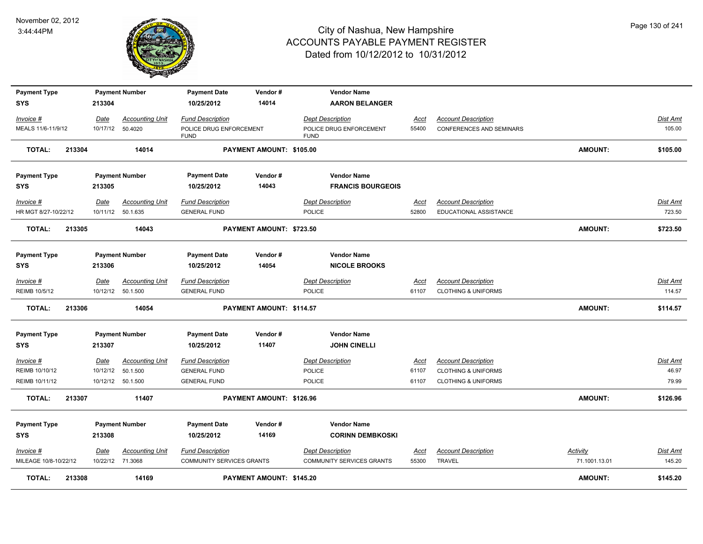

| <b>Payment Type</b>     |             | <b>Payment Number</b>  | <b>Payment Date</b>                    | Vendor#                  | <b>Vendor Name</b>                     |             |                                 |                 |                 |
|-------------------------|-------------|------------------------|----------------------------------------|--------------------------|----------------------------------------|-------------|---------------------------------|-----------------|-----------------|
| <b>SYS</b>              | 213304      |                        | 10/25/2012                             | 14014                    | <b>AARON BELANGER</b>                  |             |                                 |                 |                 |
| Invoice #               | <u>Date</u> | <b>Accounting Unit</b> | <b>Fund Description</b>                |                          | <b>Dept Description</b>                | <u>Acct</u> | <b>Account Description</b>      |                 | <b>Dist Amt</b> |
| MEALS 11/6-11/9/12      | 10/17/12    | 50.4020                | POLICE DRUG ENFORCEMENT<br><b>FUND</b> |                          | POLICE DRUG ENFORCEMENT<br><b>FUND</b> | 55400       | <b>CONFERENCES AND SEMINARS</b> |                 | 105.00          |
| <b>TOTAL:</b><br>213304 |             | 14014                  |                                        | PAYMENT AMOUNT: \$105.00 |                                        |             |                                 | <b>AMOUNT:</b>  | \$105.00        |
| <b>Payment Type</b>     |             | <b>Payment Number</b>  | <b>Payment Date</b>                    | Vendor#                  | <b>Vendor Name</b>                     |             |                                 |                 |                 |
| <b>SYS</b>              | 213305      |                        | 10/25/2012                             | 14043                    | <b>FRANCIS BOURGEOIS</b>               |             |                                 |                 |                 |
| Invoice #               | Date        | <b>Accounting Unit</b> | <b>Fund Description</b>                |                          | <b>Dept Description</b>                | <u>Acct</u> | <b>Account Description</b>      |                 | <u>Dist Amt</u> |
| HR MGT 8/27-10/22/12    |             | 10/11/12 50.1.635      | <b>GENERAL FUND</b>                    |                          | POLICE                                 | 52800       | EDUCATIONAL ASSISTANCE          |                 | 723.50          |
| <b>TOTAL:</b><br>213305 |             | 14043                  |                                        | PAYMENT AMOUNT: \$723.50 |                                        |             |                                 | <b>AMOUNT:</b>  | \$723.50        |
| <b>Payment Type</b>     |             | <b>Payment Number</b>  | <b>Payment Date</b>                    | Vendor#                  | <b>Vendor Name</b>                     |             |                                 |                 |                 |
| <b>SYS</b>              | 213306      |                        | 10/25/2012                             | 14054                    | <b>NICOLE BROOKS</b>                   |             |                                 |                 |                 |
| $Invoice$ #             | Date        | <b>Accounting Unit</b> | <b>Fund Description</b>                |                          | <b>Dept Description</b>                | <u>Acct</u> | <b>Account Description</b>      |                 | <u>Dist Amt</u> |
| REIMB 10/5/12           |             | 10/12/12  50.1.500     | <b>GENERAL FUND</b>                    |                          | POLICE                                 | 61107       | <b>CLOTHING &amp; UNIFORMS</b>  |                 | 114.57          |
| <b>TOTAL:</b><br>213306 |             | 14054                  |                                        | PAYMENT AMOUNT: \$114.57 |                                        |             |                                 | <b>AMOUNT:</b>  | \$114.57        |
| <b>Payment Type</b>     |             | <b>Payment Number</b>  | <b>Payment Date</b>                    | Vendor#                  | <b>Vendor Name</b>                     |             |                                 |                 |                 |
| <b>SYS</b>              | 213307      |                        | 10/25/2012                             | 11407                    | <b>JOHN CINELLI</b>                    |             |                                 |                 |                 |
| Invoice #               | Date        | <b>Accounting Unit</b> | <b>Fund Description</b>                |                          | <b>Dept Description</b>                | Acct        | <b>Account Description</b>      |                 | Dist Amt        |
| REIMB 10/10/12          | 10/12/12    | 50.1.500               | <b>GENERAL FUND</b>                    |                          | POLICE                                 | 61107       | <b>CLOTHING &amp; UNIFORMS</b>  |                 | 46.97           |
| REIMB 10/11/12          |             | 10/12/12 50.1.500      | <b>GENERAL FUND</b>                    |                          | POLICE                                 | 61107       | <b>CLOTHING &amp; UNIFORMS</b>  |                 | 79.99           |
| <b>TOTAL:</b><br>213307 |             | 11407                  |                                        | PAYMENT AMOUNT: \$126.96 |                                        |             |                                 | <b>AMOUNT:</b>  | \$126.96        |
| <b>Payment Type</b>     |             | <b>Payment Number</b>  | <b>Payment Date</b>                    | Vendor#                  | <b>Vendor Name</b>                     |             |                                 |                 |                 |
| <b>SYS</b>              | 213308      |                        | 10/25/2012                             | 14169                    | <b>CORINN DEMBKOSKI</b>                |             |                                 |                 |                 |
| $Invoice$ #             | Date        | <b>Accounting Unit</b> | <b>Fund Description</b>                |                          | <b>Dept Description</b>                | <u>Acct</u> | <b>Account Description</b>      | <b>Activity</b> | Dist Amt        |
| MILEAGE 10/8-10/22/12   |             | 10/22/12 71.3068       | COMMUNITY SERVICES GRANTS              |                          | <b>COMMUNITY SERVICES GRANTS</b>       | 55300       | TRAVEL                          | 71.1001.13.01   | 145.20          |
| <b>TOTAL:</b><br>213308 |             | 14169                  |                                        | PAYMENT AMOUNT: \$145.20 |                                        |             |                                 | <b>AMOUNT:</b>  | \$145.20        |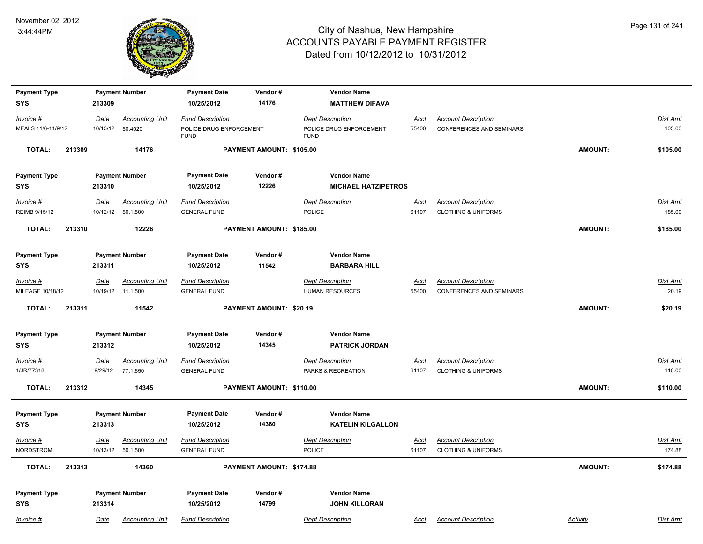

| <b>Payment Type</b> |        |                  | <b>Payment Number</b>  | <b>Payment Date</b>     | Vendor#                  | <b>Vendor Name</b>         |                      |                                |                 |                 |
|---------------------|--------|------------------|------------------------|-------------------------|--------------------------|----------------------------|----------------------|--------------------------------|-----------------|-----------------|
| <b>SYS</b>          |        | 213309           |                        | 10/25/2012              | 14176                    | <b>MATTHEW DIFAVA</b>      |                      |                                |                 |                 |
| Invoice #           |        |                  | <b>Accounting Unit</b> | <b>Fund Description</b> |                          | <b>Dept Description</b>    |                      | <b>Account Description</b>     |                 | Dist Amt        |
| MEALS 11/6-11/9/12  |        | Date<br>10/15/12 | 50.4020                | POLICE DRUG ENFORCEMENT |                          | POLICE DRUG ENFORCEMENT    | <b>Acct</b><br>55400 | CONFERENCES AND SEMINARS       |                 | 105.00          |
|                     |        |                  |                        | <b>FUND</b>             |                          | <b>FUND</b>                |                      |                                |                 |                 |
| <b>TOTAL:</b>       | 213309 |                  | 14176                  |                         | PAYMENT AMOUNT: \$105.00 |                            |                      |                                | <b>AMOUNT:</b>  | \$105.00        |
| <b>Payment Type</b> |        |                  | <b>Payment Number</b>  | <b>Payment Date</b>     | Vendor#                  | <b>Vendor Name</b>         |                      |                                |                 |                 |
| <b>SYS</b>          |        | 213310           |                        | 10/25/2012              | 12226                    | <b>MICHAEL HATZIPETROS</b> |                      |                                |                 |                 |
| Invoice #           |        | <u>Date</u>      | <b>Accounting Unit</b> | <b>Fund Description</b> |                          | <b>Dept Description</b>    | <u>Acct</u>          | <b>Account Description</b>     |                 | Dist Amt        |
| REIMB 9/15/12       |        |                  | 10/12/12  50.1.500     | <b>GENERAL FUND</b>     |                          | POLICE                     | 61107                | <b>CLOTHING &amp; UNIFORMS</b> |                 | 185.00          |
| <b>TOTAL:</b>       | 213310 |                  | 12226                  |                         | PAYMENT AMOUNT: \$185.00 |                            |                      |                                | <b>AMOUNT:</b>  | \$185.00        |
|                     |        |                  |                        |                         |                          |                            |                      |                                |                 |                 |
| <b>Payment Type</b> |        |                  | <b>Payment Number</b>  | <b>Payment Date</b>     | Vendor#                  | <b>Vendor Name</b>         |                      |                                |                 |                 |
| <b>SYS</b>          |        | 213311           |                        | 10/25/2012              | 11542                    | <b>BARBARA HILL</b>        |                      |                                |                 |                 |
| $Invoice$ #         |        | <u>Date</u>      | <b>Accounting Unit</b> | <b>Fund Description</b> |                          | <b>Dept Description</b>    | <u>Acct</u>          | <b>Account Description</b>     |                 | <b>Dist Amt</b> |
| MILEAGE 10/18/12    |        |                  | 10/19/12 11.1.500      | <b>GENERAL FUND</b>     |                          | HUMAN RESOURCES            | 55400                | CONFERENCES AND SEMINARS       |                 | 20.19           |
|                     |        |                  |                        |                         |                          |                            |                      |                                |                 |                 |
| <b>TOTAL:</b>       | 213311 |                  | 11542                  |                         | PAYMENT AMOUNT: \$20.19  |                            |                      |                                | <b>AMOUNT:</b>  | \$20.19         |
|                     |        |                  |                        |                         |                          |                            |                      |                                |                 |                 |
| <b>Payment Type</b> |        |                  | <b>Payment Number</b>  | <b>Payment Date</b>     | Vendor#                  | <b>Vendor Name</b>         |                      |                                |                 |                 |
| <b>SYS</b>          |        | 213312           |                        | 10/25/2012              | 14345                    | <b>PATRICK JORDAN</b>      |                      |                                |                 |                 |
| Invoice #           |        | Date             | <b>Accounting Unit</b> | <b>Fund Description</b> |                          | <b>Dept Description</b>    | Acct                 | <b>Account Description</b>     |                 | Dist Amt        |
| 1/JR/77318          |        | 9/29/12          | 77.1.650               | <b>GENERAL FUND</b>     |                          | PARKS & RECREATION         | 61107                | <b>CLOTHING &amp; UNIFORMS</b> |                 | 110.00          |
| <b>TOTAL:</b>       | 213312 |                  | 14345                  |                         | PAYMENT AMOUNT: \$110.00 |                            |                      |                                | <b>AMOUNT:</b>  | \$110.00        |
|                     |        |                  |                        |                         |                          |                            |                      |                                |                 |                 |
| <b>Payment Type</b> |        |                  | <b>Payment Number</b>  | <b>Payment Date</b>     | Vendor#                  | <b>Vendor Name</b>         |                      |                                |                 |                 |
| <b>SYS</b>          |        | 213313           |                        | 10/25/2012              | 14360                    | <b>KATELIN KILGALLON</b>   |                      |                                |                 |                 |
| Invoice #           |        | Date             | <b>Accounting Unit</b> | <b>Fund Description</b> |                          | <b>Dept Description</b>    | <b>Acct</b>          | <b>Account Description</b>     |                 | <u>Dist Amt</u> |
| <b>NORDSTROM</b>    |        |                  | 10/13/12  50.1.500     | <b>GENERAL FUND</b>     |                          | <b>POLICE</b>              | 61107                | <b>CLOTHING &amp; UNIFORMS</b> |                 | 174.88          |
| <b>TOTAL:</b>       | 213313 |                  | 14360                  |                         | PAYMENT AMOUNT: \$174.88 |                            |                      |                                | <b>AMOUNT:</b>  | \$174.88        |
|                     |        |                  |                        |                         |                          |                            |                      |                                |                 |                 |
| <b>Payment Type</b> |        |                  | <b>Payment Number</b>  | <b>Payment Date</b>     | Vendor#                  | <b>Vendor Name</b>         |                      |                                |                 |                 |
| <b>SYS</b>          |        | 213314           |                        | 10/25/2012              | 14799                    | <b>JOHN KILLORAN</b>       |                      |                                |                 |                 |
| Invoice #           |        | Date             | <b>Accounting Unit</b> | <b>Fund Description</b> |                          | <b>Dept Description</b>    | Acct                 | <b>Account Description</b>     | <b>Activity</b> | Dist Amt        |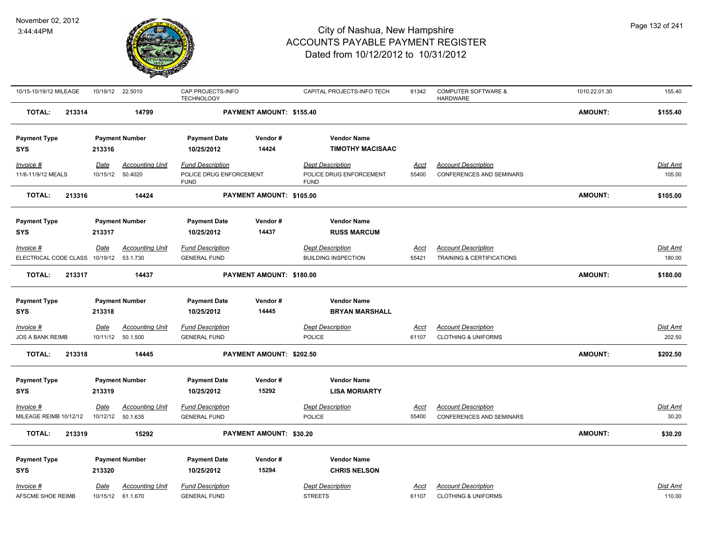

| 10/15-10/19/12 MILEAGE                  |             | 10/19/12 22.5010       | CAP PROJECTS-INFO<br><b>TECHNOLOGY</b> |                          | CAPITAL PROJECTS-INFO TECH             | 81342       | <b>COMPUTER SOFTWARE &amp;</b><br><b>HARDWARE</b> | 1010.22.01.30  | 155.40          |
|-----------------------------------------|-------------|------------------------|----------------------------------------|--------------------------|----------------------------------------|-------------|---------------------------------------------------|----------------|-----------------|
| TOTAL:<br>213314                        |             | 14799                  |                                        | PAYMENT AMOUNT: \$155.40 |                                        |             |                                                   | <b>AMOUNT:</b> | \$155.40        |
| <b>Payment Type</b>                     |             | <b>Payment Number</b>  | <b>Payment Date</b>                    | Vendor#                  | <b>Vendor Name</b>                     |             |                                                   |                |                 |
| <b>SYS</b>                              | 213316      |                        | 10/25/2012                             | 14424                    | <b>TIMOTHY MACISAAC</b>                |             |                                                   |                |                 |
| Invoice #                               | Date        | <b>Accounting Unit</b> | <b>Fund Description</b>                |                          | <b>Dept Description</b>                | <u>Acct</u> | <b>Account Description</b>                        |                | <b>Dist Amt</b> |
| 11/6-11/9/12 MEALS                      | 10/15/12    | 50.4020                | POLICE DRUG ENFORCEMENT<br><b>FUND</b> |                          | POLICE DRUG ENFORCEMENT<br><b>FUND</b> | 55400       | <b>CONFERENCES AND SEMINARS</b>                   |                | 105.00          |
| <b>TOTAL:</b><br>213316                 |             | 14424                  |                                        | PAYMENT AMOUNT: \$105.00 |                                        |             |                                                   | AMOUNT:        | \$105.00        |
| <b>Payment Type</b>                     |             | <b>Payment Number</b>  | <b>Payment Date</b>                    | Vendor#                  | <b>Vendor Name</b>                     |             |                                                   |                |                 |
| <b>SYS</b>                              | 213317      |                        | 10/25/2012                             | 14437                    | <b>RUSS MARCUM</b>                     |             |                                                   |                |                 |
| Invoice #                               | Date        | <b>Accounting Unit</b> | <b>Fund Description</b>                |                          | <b>Dept Description</b>                | <u>Acct</u> | <b>Account Description</b>                        |                | Dist Amt        |
| ELECTRICAL CODE CLASS 10/19/12 53.1.730 |             |                        | <b>GENERAL FUND</b>                    |                          | <b>BUILDING INSPECTION</b>             | 55421       | TRAINING & CERTIFICATIONS                         |                | 180.00          |
| <b>TOTAL:</b><br>213317                 |             | 14437                  |                                        | PAYMENT AMOUNT: \$180.00 |                                        |             |                                                   | AMOUNT:        | \$180.00        |
| <b>Payment Type</b>                     |             | <b>Payment Number</b>  | <b>Payment Date</b>                    | Vendor#                  | <b>Vendor Name</b>                     |             |                                                   |                |                 |
| <b>SYS</b>                              | 213318      |                        | 10/25/2012                             | 14445                    | <b>BRYAN MARSHALL</b>                  |             |                                                   |                |                 |
| Invoice #                               | <b>Date</b> | <b>Accounting Unit</b> | <b>Fund Description</b>                |                          | <b>Dept Description</b>                | <u>Acct</u> | <b>Account Description</b>                        |                | <b>Dist Amt</b> |
| <b>JOS A BANK REIMB</b>                 |             | 10/11/12 50.1.500      | <b>GENERAL FUND</b>                    |                          | <b>POLICE</b>                          | 61107       | <b>CLOTHING &amp; UNIFORMS</b>                    |                | 202.50          |
| <b>TOTAL:</b><br>213318                 |             | 14445                  |                                        | PAYMENT AMOUNT: \$202.50 |                                        |             |                                                   | AMOUNT:        | \$202.50        |
| <b>Payment Type</b>                     |             | <b>Payment Number</b>  | <b>Payment Date</b>                    | Vendor#                  | <b>Vendor Name</b>                     |             |                                                   |                |                 |
| <b>SYS</b>                              | 213319      |                        | 10/25/2012                             | 15292                    | <b>LISA MORIARTY</b>                   |             |                                                   |                |                 |
| Invoice #                               | Date        | <u>Accounting Unit</u> | <b>Fund Description</b>                |                          | <b>Dept Description</b>                | <u>Acct</u> | <b>Account Description</b>                        |                | <u>Dist Amt</u> |
| MILEAGE REIMB 10/12/12                  |             | 10/12/12 50.1.635      | <b>GENERAL FUND</b>                    |                          | <b>POLICE</b>                          | 55400       | CONFERENCES AND SEMINARS                          |                | 30.20           |
| <b>TOTAL:</b><br>213319                 |             | 15292                  |                                        | PAYMENT AMOUNT: \$30.20  |                                        |             |                                                   | AMOUNT:        | \$30.20         |
| <b>Payment Type</b>                     |             | <b>Payment Number</b>  | <b>Payment Date</b>                    | Vendor#                  | <b>Vendor Name</b>                     |             |                                                   |                |                 |
| <b>SYS</b>                              | 213320      |                        | 10/25/2012                             | 15294                    | <b>CHRIS NELSON</b>                    |             |                                                   |                |                 |
| Invoice #                               | Date        | <b>Accounting Unit</b> | <b>Fund Description</b>                |                          | <b>Dept Description</b>                | Acct        | <b>Account Description</b>                        |                | Dist Amt        |
| AFSCME SHOE REIMB                       |             | 10/15/12 61.1.670      | <b>GENERAL FUND</b>                    |                          | <b>STREETS</b>                         | 61107       | <b>CLOTHING &amp; UNIFORMS</b>                    |                | 110.00          |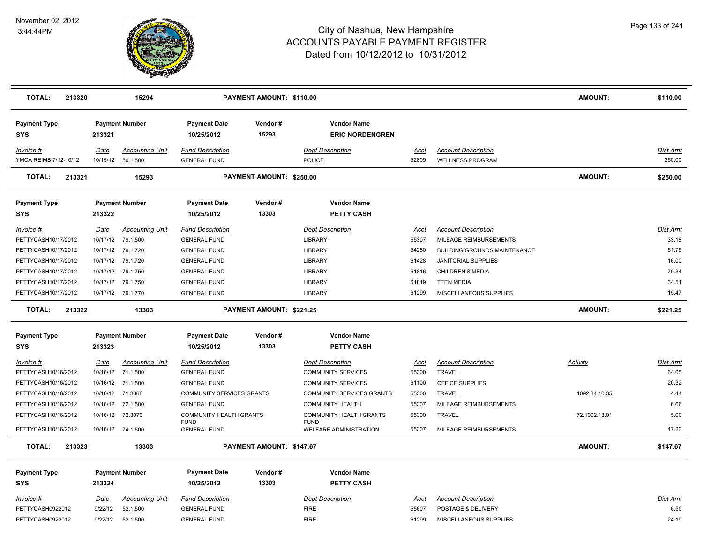

| <b>TOTAL:</b>                        | 213320<br>15294         |                                    |                                                | PAYMENT AMOUNT: \$110.00 |                                                      |                      |                                                  | <b>AMOUNT:</b>  | \$110.00          |
|--------------------------------------|-------------------------|------------------------------------|------------------------------------------------|--------------------------|------------------------------------------------------|----------------------|--------------------------------------------------|-----------------|-------------------|
| <b>Payment Type</b><br>SYS           | 213321                  | <b>Payment Number</b>              | <b>Payment Date</b><br>10/25/2012              | Vendor#<br>15293         | <b>Vendor Name</b><br><b>ERIC NORDENGREN</b>         |                      |                                                  |                 |                   |
| Invoice #                            | Date                    | <b>Accounting Unit</b>             | <b>Fund Description</b>                        |                          | <b>Dept Description</b>                              | Acct                 | <b>Account Description</b>                       |                 | <b>Dist Amt</b>   |
| YMCA REIMB 7/12-10/12                |                         | 10/15/12  50.1.500                 | <b>GENERAL FUND</b>                            |                          | <b>POLICE</b>                                        | 52809                | <b>WELLNESS PROGRAM</b>                          |                 | 250.00            |
| <b>TOTAL:</b><br>213321              |                         | 15293                              |                                                | PAYMENT AMOUNT: \$250.00 |                                                      |                      |                                                  | <b>AMOUNT:</b>  | \$250.00          |
| <b>Payment Type</b><br><b>SYS</b>    | 213322                  | <b>Payment Number</b>              | <b>Payment Date</b><br>10/25/2012              | Vendor#<br>13303         | <b>Vendor Name</b><br><b>PETTY CASH</b>              |                      |                                                  |                 |                   |
| $Invoice$ #                          | <u>Date</u>             | <b>Accounting Unit</b>             | <b>Fund Description</b>                        |                          | <b>Dept Description</b>                              | <u>Acct</u>          | <b>Account Description</b>                       |                 | <b>Dist Amt</b>   |
| PETTYCASH10/17/2012                  | 10/17/12                | 79.1.500                           | <b>GENERAL FUND</b>                            |                          | <b>LIBRARY</b>                                       | 55307                | MILEAGE REIMBURSEMENTS                           |                 | 33.18             |
| PETTYCASH10/17/2012                  |                         | 10/17/12 79.1.720                  | <b>GENERAL FUND</b>                            |                          | <b>LIBRARY</b>                                       | 54280                | BUILDING/GROUNDS MAINTENANCE                     |                 | 51.75             |
| PETTYCASH10/17/2012                  | 10/17/12                | 79.1.720                           | <b>GENERAL FUND</b>                            |                          | <b>LIBRARY</b>                                       | 61428                | JANITORIAL SUPPLIES                              |                 | 16.00             |
| PETTYCASH10/17/2012                  | 10/17/12                | 79.1.750                           | <b>GENERAL FUND</b>                            |                          | <b>LIBRARY</b>                                       | 61816                | <b>CHILDREN'S MEDIA</b>                          |                 | 70.34             |
| PETTYCASH10/17/2012                  |                         | 10/17/12 79.1.750                  | <b>GENERAL FUND</b>                            |                          | <b>LIBRARY</b>                                       | 61819                | <b>TEEN MEDIA</b>                                |                 | 34.51             |
| PETTYCASH10/17/2012                  |                         | 10/17/12 79.1.770                  | <b>GENERAL FUND</b>                            |                          | LIBRARY                                              | 61299                | MISCELLANEOUS SUPPLIES                           |                 | 15.47             |
| <b>TOTAL:</b><br>213322              |                         | 13303                              |                                                | PAYMENT AMOUNT: \$221.25 |                                                      |                      |                                                  | <b>AMOUNT:</b>  | \$221.25          |
| <b>Payment Type</b>                  |                         | <b>Payment Number</b>              | <b>Payment Date</b>                            | Vendor#                  | <b>Vendor Name</b>                                   |                      |                                                  |                 |                   |
| <b>SYS</b>                           | 213323                  |                                    | 10/25/2012                                     | 13303                    | PETTY CASH                                           |                      |                                                  |                 |                   |
| $Invoice$ #<br>PETTYCASH10/16/2012   | <b>Date</b><br>10/16/12 | <b>Accounting Unit</b><br>71.1.500 | <b>Fund Description</b><br><b>GENERAL FUND</b> |                          | <b>Dept Description</b><br><b>COMMUNITY SERVICES</b> | <u>Acct</u><br>55300 | <b>Account Description</b><br><b>TRAVEL</b>      | <b>Activity</b> | Dist Amt<br>64.05 |
| PETTYCASH10/16/2012                  |                         | 10/16/12 71.1.500                  | <b>GENERAL FUND</b>                            |                          | <b>COMMUNITY SERVICES</b>                            | 61100                | OFFICE SUPPLIES                                  |                 | 20.32             |
| PETTYCASH10/16/2012                  | 10/16/12                | 71.3068                            | <b>COMMUNITY SERVICES GRANTS</b>               |                          | <b>COMMUNITY SERVICES GRANTS</b>                     | 55300                | <b>TRAVEL</b>                                    | 1092.84.10.35   | 4.44              |
| PETTYCASH10/16/2012                  |                         | 10/16/12 72.1.500                  | <b>GENERAL FUND</b>                            |                          | <b>COMMUNITY HEALTH</b>                              | 55307                | MILEAGE REIMBURSEMENTS                           |                 | 6.66              |
| PETTYCASH10/16/2012                  |                         | 10/16/12 72.3070                   | COMMUNITY HEALTH GRANTS<br><b>FUND</b>         |                          | COMMUNITY HEALTH GRANTS<br><b>FUND</b>               | 55300                | <b>TRAVEL</b>                                    | 72.1002.13.01   | 5.00              |
| PETTYCASH10/16/2012                  |                         | 10/16/12 74.1.500                  | <b>GENERAL FUND</b>                            |                          | WELFARE ADMINISTRATION                               | 55307                | MILEAGE REIMBURSEMENTS                           |                 | 47.20             |
| <b>TOTAL:</b><br>213323              |                         | 13303                              |                                                | PAYMENT AMOUNT: \$147.67 |                                                      |                      |                                                  | <b>AMOUNT:</b>  | \$147.67          |
| <b>Payment Type</b>                  |                         | <b>Payment Number</b>              | <b>Payment Date</b>                            | Vendor#                  | <b>Vendor Name</b>                                   |                      |                                                  |                 |                   |
| <b>SYS</b>                           | 213324                  |                                    | 10/25/2012                                     | 13303                    | PETTY CASH                                           |                      |                                                  |                 |                   |
| <u>Invoice #</u><br>PETTYCASH0922012 | Date<br>9/22/12         | <b>Accounting Unit</b><br>52.1.500 | <b>Fund Description</b><br><b>GENERAL FUND</b> |                          | <b>Dept Description</b><br><b>FIRE</b>               | <u>Acct</u><br>55607 | <b>Account Description</b><br>POSTAGE & DELIVERY |                 | Dist Amt<br>6.50  |
| PETTYCASH0922012                     | 9/22/12                 | 52.1.500                           | <b>GENERAL FUND</b>                            |                          | <b>FIRE</b>                                          | 61299                | MISCELLANEOUS SUPPLIES                           |                 | 24.19             |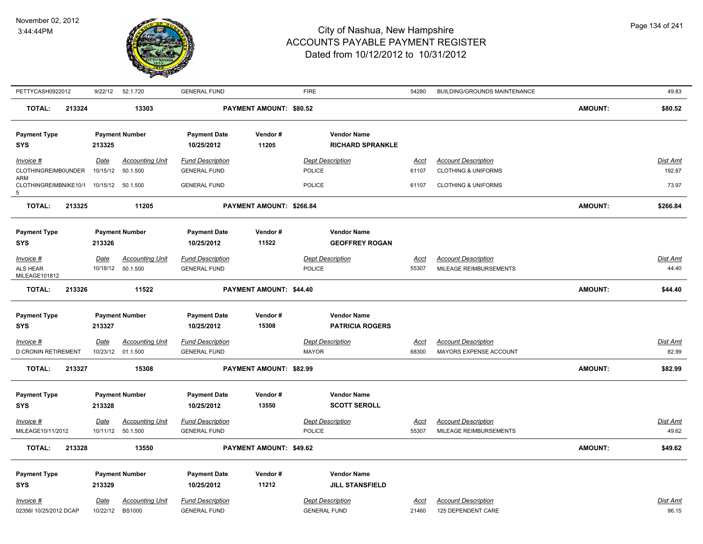

| PETTYCASH0922012                  | 9/22/12                 | 52.1.720               | <b>GENERAL FUND</b>               |                          | <b>FIRE</b>             |                         | 54280         | BUILDING/GROUNDS MAINTENANCE   |                | 49.83           |
|-----------------------------------|-------------------------|------------------------|-----------------------------------|--------------------------|-------------------------|-------------------------|---------------|--------------------------------|----------------|-----------------|
| <b>TOTAL:</b><br>213324           |                         | 13303                  |                                   | PAYMENT AMOUNT: \$80.52  |                         |                         |               |                                | <b>AMOUNT:</b> | \$80.52         |
| <b>Payment Type</b>               |                         | <b>Payment Number</b>  | <b>Payment Date</b>               | Vendor#                  |                         | <b>Vendor Name</b>      |               |                                |                |                 |
| <b>SYS</b>                        | 213325                  |                        | 10/25/2012                        | 11205                    |                         | <b>RICHARD SPRANKLE</b> |               |                                |                |                 |
| Invoice #                         | Date                    | <b>Accounting Unit</b> | <b>Fund Description</b>           |                          | <b>Dept Description</b> |                         | <u>Acct</u>   | <b>Account Description</b>     |                | <b>Dist Amt</b> |
| CLOTHINGREIMB0UNDER               | 10/15/12                | 50.1.500               | <b>GENERAL FUND</b>               |                          | POLICE                  |                         | 61107         | <b>CLOTHING &amp; UNIFORMS</b> |                | 192.87          |
| ARM<br>CLOTHINGREIMBNIKE10/1<br>5 |                         | 10/15/12 50.1.500      | <b>GENERAL FUND</b>               |                          | <b>POLICE</b>           |                         | 61107         | <b>CLOTHING &amp; UNIFORMS</b> |                | 73.97           |
| <b>TOTAL:</b><br>213325           |                         | 11205                  |                                   | PAYMENT AMOUNT: \$266.84 |                         |                         |               |                                | <b>AMOUNT:</b> | \$266.84        |
| <b>Payment Type</b>               |                         | <b>Payment Number</b>  | <b>Payment Date</b>               | Vendor#                  |                         | <b>Vendor Name</b>      |               |                                |                |                 |
| <b>SYS</b>                        | 213326                  |                        | 10/25/2012                        | 11522                    |                         | <b>GEOFFREY ROGAN</b>   |               |                                |                |                 |
| $Invoice$ #                       | Date                    | <b>Accounting Unit</b> | <b>Fund Description</b>           |                          | <b>Dept Description</b> |                         | Acct          | <b>Account Description</b>     |                | <u>Dist Amt</u> |
| <b>ALS HEAR</b>                   |                         | 10/18/12  50.1.500     | <b>GENERAL FUND</b>               |                          | <b>POLICE</b>           |                         | 55307         | MILEAGE REIMBURSEMENTS         |                | 44.40           |
| MILEAGE101812                     |                         |                        |                                   |                          |                         |                         |               |                                |                |                 |
| <b>TOTAL:</b><br>213326           |                         | 11522                  |                                   | PAYMENT AMOUNT: \$44.40  |                         |                         |               |                                | <b>AMOUNT:</b> | \$44.40         |
|                                   |                         |                        |                                   |                          |                         |                         |               |                                |                |                 |
| <b>Payment Type</b>               |                         | <b>Payment Number</b>  | <b>Payment Date</b>               | Vendor#                  |                         | <b>Vendor Name</b>      |               |                                |                |                 |
| <b>SYS</b>                        | 213327                  |                        | 10/25/2012                        | 15308                    |                         | <b>PATRICIA ROGERS</b>  |               |                                |                |                 |
| Invoice #                         | Date                    | <b>Accounting Unit</b> | <b>Fund Description</b>           |                          | <b>Dept Description</b> |                         | Acct          | <b>Account Description</b>     |                | Dist Amt        |
| <b>D CRONIN RETIREMENT</b>        |                         | 10/23/12 01.1.500      | <b>GENERAL FUND</b>               |                          | <b>MAYOR</b>            |                         | 68300         | MAYORS EXPENSE ACCOUNT         |                | 82.99           |
| <b>TOTAL:</b><br>213327           |                         | 15308                  |                                   | PAYMENT AMOUNT: \$82.99  |                         |                         |               |                                | <b>AMOUNT:</b> | \$82.99         |
|                                   |                         |                        |                                   |                          |                         |                         |               |                                |                |                 |
| <b>Payment Type</b>               |                         | <b>Payment Number</b>  | <b>Payment Date</b><br>10/25/2012 | Vendor#<br>13550         |                         | <b>Vendor Name</b>      |               |                                |                |                 |
| <b>SYS</b>                        | 213328                  |                        |                                   |                          |                         | <b>SCOTT SEROLL</b>     |               |                                |                |                 |
| $Invoice$ #                       | Date                    | <b>Accounting Unit</b> | <b>Fund Description</b>           |                          | <b>Dept Description</b> |                         | <u>Acct</u>   | <b>Account Description</b>     |                | <u>Dist Amt</u> |
| MILEAGE10/11/2012                 |                         | 10/11/12 50.1.500      | <b>GENERAL FUND</b>               |                          | POLICE                  |                         | 55307         | MILEAGE REIMBURSEMENTS         |                | 49.62           |
| <b>TOTAL:</b><br>213328           |                         | 13550                  |                                   | PAYMENT AMOUNT: \$49.62  |                         |                         |               |                                | <b>AMOUNT:</b> | \$49.62         |
| <b>Payment Type</b>               |                         | <b>Payment Number</b>  | <b>Payment Date</b>               | Vendor#                  |                         | <b>Vendor Name</b>      |               |                                |                |                 |
| <b>SYS</b>                        | 213329                  |                        | 10/25/2012                        | 11212                    |                         | <b>JILL STANSFIELD</b>  |               |                                |                |                 |
| Invoice #                         |                         | <b>Accounting Unit</b> | <b>Fund Description</b>           |                          | <b>Dept Description</b> |                         |               | <b>Account Description</b>     |                | Dist Amt        |
| 02356I 10/25/2012 DCAP            | <u>Date</u><br>10/22/12 | <b>BS1000</b>          | <b>GENERAL FUND</b>               |                          | <b>GENERAL FUND</b>     |                         | Acct<br>21460 | 125 DEPENDENT CARE             |                | 96.15           |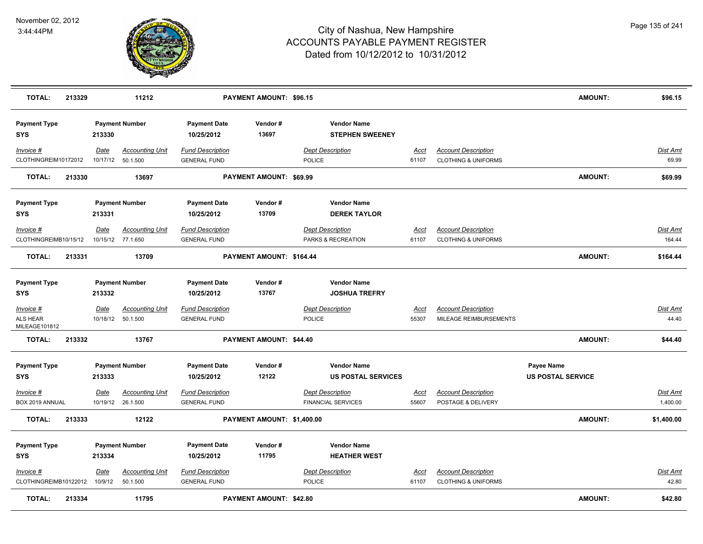

| <b>TOTAL:</b>                            | 213329 |                  | 11212                                       |                                                | PAYMENT AMOUNT: \$96.15    |                                                      |                      |                                                              | <b>AMOUNT:</b>                         | \$96.15                     |
|------------------------------------------|--------|------------------|---------------------------------------------|------------------------------------------------|----------------------------|------------------------------------------------------|----------------------|--------------------------------------------------------------|----------------------------------------|-----------------------------|
| <b>Payment Type</b><br><b>SYS</b>        |        | 213330           | <b>Payment Number</b>                       | <b>Payment Date</b><br>10/25/2012              | Vendor#<br>13697           | <b>Vendor Name</b><br><b>STEPHEN SWEENEY</b>         |                      |                                                              |                                        |                             |
| Invoice #<br>CLOTHINGREIM10172012        |        | Date<br>10/17/12 | Accounting Unit<br>50.1.500                 | <b>Fund Description</b><br><b>GENERAL FUND</b> |                            | <b>Dept Description</b><br><b>POLICE</b>             | Acct<br>61107        | <b>Account Description</b><br><b>CLOTHING &amp; UNIFORMS</b> |                                        | Dist Amt<br>69.99           |
| <b>TOTAL:</b>                            | 213330 |                  | 13697                                       |                                                | PAYMENT AMOUNT: \$69.99    |                                                      |                      |                                                              | <b>AMOUNT:</b>                         | \$69.99                     |
| <b>Payment Type</b><br><b>SYS</b>        |        | 213331           | <b>Payment Number</b>                       | <b>Payment Date</b><br>10/25/2012              | Vendor#<br>13709           | <b>Vendor Name</b><br><b>DEREK TAYLOR</b>            |                      |                                                              |                                        |                             |
| Invoice #<br>CLOTHINGREIMB10/15/12       |        | <b>Date</b>      | <b>Accounting Unit</b><br>10/15/12 77.1.650 | <b>Fund Description</b><br><b>GENERAL FUND</b> |                            | <b>Dept Description</b><br>PARKS & RECREATION        | <u>Acct</u><br>61107 | <b>Account Description</b><br><b>CLOTHING &amp; UNIFORMS</b> |                                        | Dist Amt<br>164.44          |
| <b>TOTAL:</b>                            | 213331 |                  | 13709                                       |                                                | PAYMENT AMOUNT: \$164.44   |                                                      |                      |                                                              | <b>AMOUNT:</b>                         | \$164.44                    |
| <b>Payment Type</b><br><b>SYS</b>        |        | 213332           | <b>Payment Number</b>                       | <b>Payment Date</b><br>10/25/2012              | Vendor#<br>13767           | <b>Vendor Name</b><br><b>JOSHUA TREFRY</b>           |                      |                                                              |                                        |                             |
| $Invoice$ #<br>ALS HEAR<br>MILEAGE101812 |        | <u>Date</u>      | <b>Accounting Unit</b><br>10/18/12 50.1.500 | <b>Fund Description</b><br><b>GENERAL FUND</b> |                            | <b>Dept Description</b><br><b>POLICE</b>             | <u>Acct</u><br>55307 | <b>Account Description</b><br>MILEAGE REIMBURSEMENTS         |                                        | <u>Dist Amt</u><br>44.40    |
| <b>TOTAL:</b>                            | 213332 |                  | 13767                                       |                                                | PAYMENT AMOUNT: \$44.40    |                                                      |                      |                                                              | <b>AMOUNT:</b>                         | \$44.40                     |
| <b>Payment Type</b><br><b>SYS</b>        |        | 213333           | <b>Payment Number</b>                       | <b>Payment Date</b><br>10/25/2012              | Vendor#<br>12122           | <b>Vendor Name</b><br><b>US POSTAL SERVICES</b>      |                      |                                                              | Payee Name<br><b>US POSTAL SERVICE</b> |                             |
| $Invoice$ #<br>BOX 2019 ANNUAL           |        | <u>Date</u>      | <b>Accounting Unit</b><br>10/19/12 26.1.500 | <b>Fund Description</b><br><b>GENERAL FUND</b> |                            | <b>Dept Description</b><br><b>FINANCIAL SERVICES</b> | <u>Acct</u><br>55607 | <b>Account Description</b><br>POSTAGE & DELIVERY             |                                        | <u>Dist Amt</u><br>1,400.00 |
| <b>TOTAL:</b>                            | 213333 |                  | 12122                                       |                                                | PAYMENT AMOUNT: \$1,400.00 |                                                      |                      |                                                              | AMOUNT:                                | \$1,400.00                  |
| <b>Payment Type</b><br><b>SYS</b>        |        | 213334           | <b>Payment Number</b>                       | <b>Payment Date</b><br>10/25/2012              | Vendor#<br>11795           | <b>Vendor Name</b><br><b>HEATHER WEST</b>            |                      |                                                              |                                        |                             |
| Invoice #<br>CLOTHINGREIMB10122012       |        | Date<br>10/9/12  | <b>Accounting Unit</b><br>50.1.500          | <b>Fund Description</b><br><b>GENERAL FUND</b> |                            | <b>Dept Description</b><br><b>POLICE</b>             | <u>Acct</u><br>61107 | <b>Account Description</b><br><b>CLOTHING &amp; UNIFORMS</b> |                                        | Dist Amt<br>42.80           |
| <b>TOTAL:</b>                            | 213334 |                  | 11795                                       |                                                | PAYMENT AMOUNT: \$42.80    |                                                      |                      |                                                              | <b>AMOUNT:</b>                         | \$42.80                     |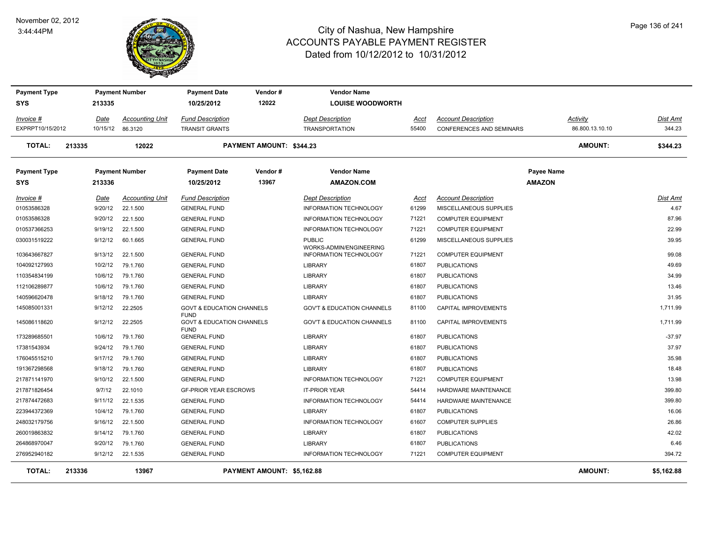#### November 02, 2012 3:44:44PM



### City of Nashua, New Hampshire ACCOUNTS PAYABLE PAYMENT REGISTER Dated from 10/12/2012 to 10/31/2012

| <b>Payment Type</b><br><b>SYS</b> |        | 213335      | <b>Payment Number</b>  | <b>Payment Date</b><br>10/25/2012                                  | Vendor#<br>12022           | <b>Vendor Name</b><br><b>LOUISE WOODWORTH</b> |             |                                 |                                    |                 |                 |
|-----------------------------------|--------|-------------|------------------------|--------------------------------------------------------------------|----------------------------|-----------------------------------------------|-------------|---------------------------------|------------------------------------|-----------------|-----------------|
| Invoice #                         |        | Date        | <b>Accounting Unit</b> | <b>Fund Description</b>                                            |                            | <b>Dept Description</b>                       | Acct        | <b>Account Description</b>      | Activity                           |                 | Dist Amt        |
| EXPRPT10/15/2012                  |        |             | 10/15/12 86.3120       | <b>TRANSIT GRANTS</b>                                              |                            | <b>TRANSPORTATION</b>                         | 55400       | <b>CONFERENCES AND SEMINARS</b> |                                    | 86.800.13.10.10 | 344.23          |
| <b>TOTAL:</b>                     | 213335 |             | 12022                  |                                                                    | PAYMENT AMOUNT: \$344.23   |                                               |             |                                 |                                    | <b>AMOUNT:</b>  | \$344.23        |
| <b>Payment Type</b><br><b>SYS</b> |        | 213336      | <b>Payment Number</b>  | <b>Payment Date</b><br>10/25/2012                                  | Vendor#<br>13967           | <b>Vendor Name</b><br><b>AMAZON.COM</b>       |             |                                 | <b>Payee Name</b><br><b>AMAZON</b> |                 |                 |
| Invoice #                         |        | <b>Date</b> | <b>Accounting Unit</b> | <b>Fund Description</b>                                            |                            | <b>Dept Description</b>                       | <u>Acct</u> | <b>Account Description</b>      |                                    |                 | <u>Dist Amt</u> |
| 01053586328                       |        | 9/20/12     | 22.1.500               | <b>GENERAL FUND</b>                                                |                            | <b>INFORMATION TECHNOLOGY</b>                 | 61299       | MISCELLANEOUS SUPPLIES          |                                    |                 | 4.67            |
| 01053586328                       |        | 9/20/12     | 22.1.500               | <b>GENERAL FUND</b>                                                |                            | INFORMATION TECHNOLOGY                        | 71221       | <b>COMPUTER EQUIPMENT</b>       |                                    |                 | 87.96           |
| 010537366253                      |        | 9/19/12     | 22.1.500               | <b>GENERAL FUND</b>                                                |                            | <b>INFORMATION TECHNOLOGY</b>                 | 71221       | <b>COMPUTER EQUIPMENT</b>       |                                    |                 | 22.99           |
| 030031519222                      |        | 9/12/12     | 60.1.665               | <b>GENERAL FUND</b>                                                |                            | <b>PUBLIC</b><br>WORKS-ADMIN/ENGINEERING      | 61299       | MISCELLANEOUS SUPPLIES          |                                    |                 | 39.95           |
| 103643667827                      |        | 9/13/12     | 22.1.500               | <b>GENERAL FUND</b>                                                |                            | INFORMATION TECHNOLOGY                        | 71221       | <b>COMPUTER EQUIPMENT</b>       |                                    |                 | 99.08           |
| 104092127993                      |        | 10/2/12     | 79.1.760               | <b>GENERAL FUND</b>                                                |                            | <b>LIBRARY</b>                                | 61807       | <b>PUBLICATIONS</b>             |                                    |                 | 49.69           |
| 110354834199                      |        | 10/6/12     | 79.1.760               | <b>GENERAL FUND</b>                                                |                            | LIBRARY                                       | 61807       | <b>PUBLICATIONS</b>             |                                    |                 | 34.99           |
| 112106289877                      |        | 10/6/12     | 79.1.760               | <b>GENERAL FUND</b>                                                |                            | <b>LIBRARY</b>                                | 61807       | <b>PUBLICATIONS</b>             |                                    |                 | 13.46           |
| 140596620478                      |        | 9/18/12     | 79.1.760               | <b>GENERAL FUND</b>                                                |                            | <b>LIBRARY</b>                                | 61807       | <b>PUBLICATIONS</b>             |                                    |                 | 31.95           |
| 145085001331                      |        | 9/12/12     | 22.2505                | <b>GOVT &amp; EDUCATION CHANNELS</b>                               |                            | <b>GOV'T &amp; EDUCATION CHANNELS</b>         | 81100       | <b>CAPITAL IMPROVEMENTS</b>     |                                    |                 | 1,711.99        |
| 145086118620                      |        | 9/12/12     | 22.2505                | <b>FUND</b><br><b>GOVT &amp; EDUCATION CHANNELS</b><br><b>FUND</b> |                            | <b>GOV'T &amp; EDUCATION CHANNELS</b>         | 81100       | <b>CAPITAL IMPROVEMENTS</b>     |                                    |                 | 1,711.99        |
| 173289685501                      |        | 10/6/12     | 79.1.760               | <b>GENERAL FUND</b>                                                |                            | <b>LIBRARY</b>                                | 61807       | <b>PUBLICATIONS</b>             |                                    |                 | $-37.97$        |
| 17381543934                       |        | 9/24/12     | 79.1.760               | <b>GENERAL FUND</b>                                                |                            | <b>LIBRARY</b>                                | 61807       | <b>PUBLICATIONS</b>             |                                    |                 | 37.97           |
| 176045515210                      |        | 9/17/12     | 79.1.760               | <b>GENERAL FUND</b>                                                |                            | <b>LIBRARY</b>                                | 61807       | <b>PUBLICATIONS</b>             |                                    |                 | 35.98           |
| 191367298568                      |        | 9/18/12     | 79.1.760               | <b>GENERAL FUND</b>                                                |                            | <b>LIBRARY</b>                                | 61807       | <b>PUBLICATIONS</b>             |                                    |                 | 18.48           |
| 217871141970                      |        | 9/10/12     | 22.1.500               | <b>GENERAL FUND</b>                                                |                            | <b>INFORMATION TECHNOLOGY</b>                 | 71221       | <b>COMPUTER EQUIPMENT</b>       |                                    |                 | 13.98           |
| 217871826454                      |        | 9/7/12      | 22.1010                | <b>GF-PRIOR YEAR ESCROWS</b>                                       |                            | <b>IT-PRIOR YEAR</b>                          | 54414       | HARDWARE MAINTENANCE            |                                    |                 | 399.80          |
| 217874472683                      |        | 9/11/12     | 22.1.535               | <b>GENERAL FUND</b>                                                |                            | INFORMATION TECHNOLOGY                        | 54414       | HARDWARE MAINTENANCE            |                                    |                 | 399.80          |
| 223944372369                      |        | 10/4/12     | 79.1.760               | <b>GENERAL FUND</b>                                                |                            | <b>LIBRARY</b>                                | 61807       | <b>PUBLICATIONS</b>             |                                    |                 | 16.06           |
| 248032179756                      |        | 9/16/12     | 22.1.500               | <b>GENERAL FUND</b>                                                |                            | <b>INFORMATION TECHNOLOGY</b>                 | 61607       | <b>COMPUTER SUPPLIES</b>        |                                    |                 | 26.86           |
| 260019863832                      |        | 9/14/12     | 79.1.760               | <b>GENERAL FUND</b>                                                |                            | <b>LIBRARY</b>                                | 61807       | <b>PUBLICATIONS</b>             |                                    |                 | 42.02           |
| 264868970047                      |        | 9/20/12     | 79.1.760               | <b>GENERAL FUND</b>                                                |                            | <b>LIBRARY</b>                                | 61807       | <b>PUBLICATIONS</b>             |                                    |                 | 6.46            |
| 276952940182                      |        |             | 9/12/12 22.1.535       | <b>GENERAL FUND</b>                                                |                            | <b>INFORMATION TECHNOLOGY</b>                 | 71221       | <b>COMPUTER EQUIPMENT</b>       |                                    |                 | 394.72          |
| <b>TOTAL:</b>                     | 213336 |             | 13967                  |                                                                    | PAYMENT AMOUNT: \$5,162.88 |                                               |             |                                 |                                    | <b>AMOUNT:</b>  | \$5,162.88      |

Page 136 of 241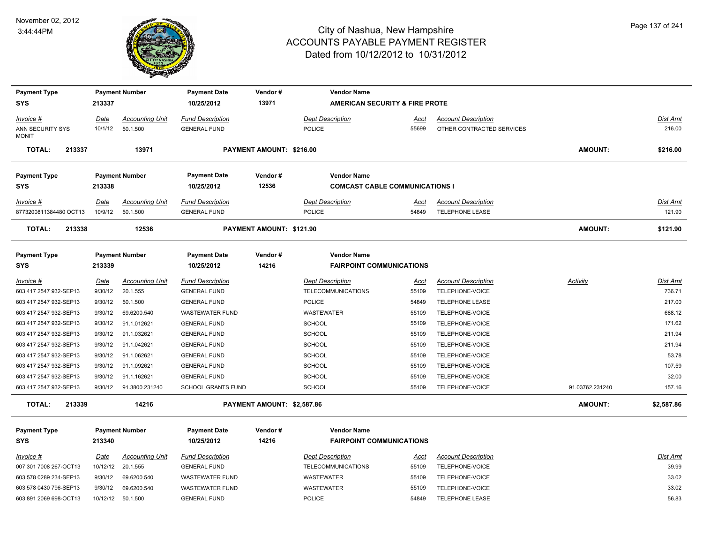

| <b>Payment Type</b>                 |                        | <b>Payment Number</b>  | <b>Payment Date</b>                            | Vendor#                    | <b>Vendor Name</b>                                   |                      |                                               |                 |                           |
|-------------------------------------|------------------------|------------------------|------------------------------------------------|----------------------------|------------------------------------------------------|----------------------|-----------------------------------------------|-----------------|---------------------------|
| <b>SYS</b>                          | 213337                 |                        | 10/25/2012                                     | 13971                      | AMERICAN SECURITY & FIRE PROTE                       |                      |                                               |                 |                           |
| $Invoice$ #                         | <u>Date</u>            | <b>Accounting Unit</b> | <b>Fund Description</b>                        |                            | <b>Dept Description</b>                              | <u>Acct</u>          | <b>Account Description</b>                    |                 | <u>Dist Amt</u>           |
| ANN SECURITY SYS                    | 10/1/12                | 50.1.500               | <b>GENERAL FUND</b>                            |                            | <b>POLICE</b>                                        | 55699                | OTHER CONTRACTED SERVICES                     |                 | 216.00                    |
| <b>MONIT</b>                        |                        |                        |                                                |                            |                                                      |                      |                                               |                 |                           |
| <b>TOTAL:</b><br>213337             |                        | 13971                  |                                                | PAYMENT AMOUNT: \$216.00   |                                                      |                      |                                               | <b>AMOUNT:</b>  | \$216.00                  |
| <b>Payment Type</b>                 |                        | <b>Payment Number</b>  | <b>Payment Date</b>                            | Vendor#                    | <b>Vendor Name</b>                                   |                      |                                               |                 |                           |
| <b>SYS</b>                          | 213338                 |                        | 10/25/2012                                     | 12536                      | <b>COMCAST CABLE COMMUNICATIONS I</b>                |                      |                                               |                 |                           |
| Invoice #                           | Date                   | <b>Accounting Unit</b> | <b>Fund Description</b>                        |                            | <b>Dept Description</b>                              | Acct                 | <b>Account Description</b>                    |                 | Dist Amt                  |
| 8773200811384480 OCT13              | 10/9/12                | 50.1.500               | <b>GENERAL FUND</b>                            |                            | <b>POLICE</b>                                        | 54849                | <b>TELEPHONE LEASE</b>                        |                 | 121.90                    |
| <b>TOTAL:</b><br>213338             |                        | 12536                  |                                                | PAYMENT AMOUNT: \$121.90   |                                                      |                      |                                               | AMOUNT:         | \$121.90                  |
|                                     |                        |                        |                                                |                            |                                                      |                      |                                               |                 |                           |
| <b>Payment Type</b>                 |                        | <b>Payment Number</b>  | <b>Payment Date</b>                            | Vendor#                    | <b>Vendor Name</b>                                   |                      |                                               |                 |                           |
| <b>SYS</b>                          | 213339                 |                        | 10/25/2012                                     | 14216                      | <b>FAIRPOINT COMMUNICATIONS</b>                      |                      |                                               |                 |                           |
|                                     |                        | <b>Accounting Unit</b> |                                                |                            |                                                      |                      |                                               |                 |                           |
| Invoice #<br>603 417 2547 932-SEP13 | <u>Date</u><br>9/30/12 | 20.1.555               | <b>Fund Description</b><br><b>GENERAL FUND</b> |                            | <b>Dept Description</b><br><b>TELECOMMUNICATIONS</b> | <u>Acct</u><br>55109 | <b>Account Description</b><br>TELEPHONE-VOICE | <u>Activity</u> | <u>Dist Amt</u><br>736.71 |
| 603 417 2547 932-SEP13              | 9/30/12                | 50.1.500               | <b>GENERAL FUND</b>                            |                            | <b>POLICE</b>                                        | 54849                | TELEPHONE LEASE                               |                 | 217.00                    |
| 603 417 2547 932-SEP13              | 9/30/12                | 69.6200.540            | <b>WASTEWATER FUND</b>                         |                            | <b>WASTEWATER</b>                                    | 55109                | TELEPHONE-VOICE                               |                 | 688.12                    |
| 603 417 2547 932-SEP13              | 9/30/12                | 91.1.012621            | <b>GENERAL FUND</b>                            |                            | <b>SCHOOL</b>                                        | 55109                | TELEPHONE-VOICE                               |                 | 171.62                    |
| 603 417 2547 932-SEP13              | 9/30/12                | 91.1.032621            | <b>GENERAL FUND</b>                            |                            | <b>SCHOOL</b>                                        | 55109                | TELEPHONE-VOICE                               |                 | 211.94                    |
| 603 417 2547 932-SEP13              | 9/30/12                | 91.1.042621            | <b>GENERAL FUND</b>                            |                            | <b>SCHOOL</b>                                        | 55109                | TELEPHONE-VOICE                               |                 | 211.94                    |
| 603 417 2547 932-SEP13              | 9/30/12                | 91.1.062621            | <b>GENERAL FUND</b>                            |                            | <b>SCHOOL</b>                                        | 55109                | TELEPHONE-VOICE                               |                 | 53.78                     |
| 603 417 2547 932-SEP13              | 9/30/12                | 91.1.092621            | <b>GENERAL FUND</b>                            |                            | <b>SCHOOL</b>                                        | 55109                | TELEPHONE-VOICE                               |                 | 107.59                    |
| 603 417 2547 932-SEP13              | 9/30/12                | 91.1.162621            | <b>GENERAL FUND</b>                            |                            | <b>SCHOOL</b>                                        | 55109                | TELEPHONE-VOICE                               |                 | 32.00                     |
| 603 417 2547 932-SEP13              | 9/30/12                | 91.3800.231240         | <b>SCHOOL GRANTS FUND</b>                      |                            | <b>SCHOOL</b>                                        | 55109                | TELEPHONE-VOICE                               | 91.03762.231240 | 157.16                    |
| <b>TOTAL:</b><br>213339             |                        | 14216                  |                                                | PAYMENT AMOUNT: \$2,587.86 |                                                      |                      |                                               | <b>AMOUNT:</b>  | \$2,587.86                |
| <b>Payment Type</b>                 |                        | <b>Payment Number</b>  | <b>Payment Date</b>                            | Vendor#                    | <b>Vendor Name</b>                                   |                      |                                               |                 |                           |
| <b>SYS</b>                          | 213340                 |                        | 10/25/2012                                     | 14216                      | <b>FAIRPOINT COMMUNICATIONS</b>                      |                      |                                               |                 |                           |
| $Invoice$ #                         | <u>Date</u>            | <b>Accounting Unit</b> | <b>Fund Description</b>                        |                            | <b>Dept Description</b>                              | <u>Acct</u>          | <b>Account Description</b>                    |                 | Dist Amt                  |
| 007 301 7008 267-OCT13              | 10/12/12               | 20.1.555               | <b>GENERAL FUND</b>                            |                            | <b>TELECOMMUNICATIONS</b>                            | 55109                | TELEPHONE-VOICE                               |                 | 39.99                     |
| 603 578 0289 234-SEP13              | 9/30/12                | 69.6200.540            | <b>WASTEWATER FUND</b>                         |                            | WASTEWATER                                           | 55109                | TELEPHONE-VOICE                               |                 | 33.02                     |
| 603 578 0430 796-SEP13              | 9/30/12                | 69.6200.540            | <b>WASTEWATER FUND</b>                         |                            | <b>WASTEWATER</b>                                    | 55109                | TELEPHONE-VOICE                               |                 | 33.02                     |
| 603 891 2069 698-OCT13              | 10/12/12               | 50.1.500               | <b>GENERAL FUND</b>                            |                            | <b>POLICE</b>                                        | 54849                | <b>TELEPHONE LEASE</b>                        |                 | 56.83                     |
|                                     |                        |                        |                                                |                            |                                                      |                      |                                               |                 |                           |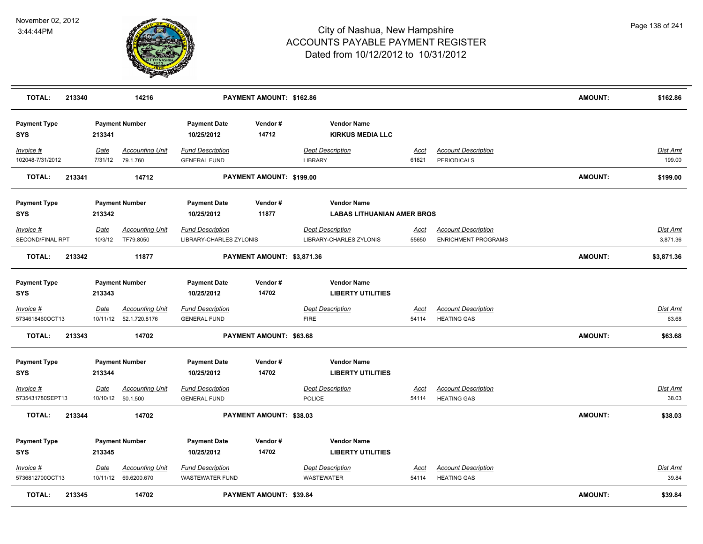

| <b>TOTAL:</b>                     | 213340 |                 | 14216                                             |                                                    | PAYMENT AMOUNT: \$162.86       |                                                    |                      |                                                          | <b>AMOUNT:</b> | \$162.86                 |
|-----------------------------------|--------|-----------------|---------------------------------------------------|----------------------------------------------------|--------------------------------|----------------------------------------------------|----------------------|----------------------------------------------------------|----------------|--------------------------|
| <b>Payment Type</b><br><b>SYS</b> |        | 213341          | <b>Payment Number</b>                             | <b>Payment Date</b><br>10/25/2012                  | Vendor#<br>14712               | <b>Vendor Name</b><br><b>KIRKUS MEDIA LLC</b>      |                      |                                                          |                |                          |
| Invoice #<br>102048-7/31/2012     |        | Date<br>7/31/12 | <b>Accounting Unit</b><br>79.1.760                | <b>Fund Description</b><br><b>GENERAL FUND</b>     |                                | <b>Dept Description</b><br><b>LIBRARY</b>          | Acct<br>61821        | <b>Account Description</b><br><b>PERIODICALS</b>         |                | Dist Amt<br>199.00       |
| <b>TOTAL:</b>                     | 213341 |                 | 14712                                             |                                                    | PAYMENT AMOUNT: \$199.00       |                                                    |                      |                                                          | <b>AMOUNT:</b> | \$199.00                 |
| <b>Payment Type</b>               |        |                 | <b>Payment Number</b>                             | <b>Payment Date</b>                                | Vendor#                        | <b>Vendor Name</b>                                 |                      |                                                          |                |                          |
| <b>SYS</b>                        |        | 213342          |                                                   | 10/25/2012                                         | 11877                          | <b>LABAS LITHUANIAN AMER BROS</b>                  |                      |                                                          |                |                          |
| Invoice #<br>SECOND/FINAL RPT     |        | Date<br>10/3/12 | <b>Accounting Unit</b><br>TF79.8050               | <b>Fund Description</b><br>LIBRARY-CHARLES ZYLONIS |                                | <b>Dept Description</b><br>LIBRARY-CHARLES ZYLONIS | Acct<br>55650        | <b>Account Description</b><br><b>ENRICHMENT PROGRAMS</b> |                | Dist Amt<br>3,871.36     |
| <b>TOTAL:</b>                     | 213342 |                 | 11877                                             |                                                    | PAYMENT AMOUNT: \$3,871.36     |                                                    |                      |                                                          | <b>AMOUNT:</b> | \$3,871.36               |
| <b>Payment Type</b><br><b>SYS</b> |        | 213343          | <b>Payment Number</b>                             | <b>Payment Date</b><br>10/25/2012                  | Vendor#<br>14702               | <b>Vendor Name</b><br><b>LIBERTY UTILITIES</b>     |                      |                                                          |                |                          |
| Invoice #<br>5734618460OCT13      |        | <u>Date</u>     | <b>Accounting Unit</b><br>10/11/12  52.1.720.8176 | <u>Fund Description</u><br><b>GENERAL FUND</b>     |                                | <b>Dept Description</b><br><b>FIRE</b>             | <u>Acct</u><br>54114 | <b>Account Description</b><br><b>HEATING GAS</b>         |                | <u>Dist Amt</u><br>63.68 |
| <b>TOTAL:</b>                     | 213343 |                 | 14702                                             |                                                    | PAYMENT AMOUNT: \$63.68        |                                                    |                      |                                                          | AMOUNT:        | \$63.68                  |
| <b>Payment Type</b><br><b>SYS</b> |        | 213344          | <b>Payment Number</b>                             | <b>Payment Date</b><br>10/25/2012                  | Vendor#<br>14702               | <b>Vendor Name</b><br><b>LIBERTY UTILITIES</b>     |                      |                                                          |                |                          |
| Invoice #<br>5735431780SEPT13     |        | Date            | <b>Accounting Unit</b><br>10/10/12  50.1.500      | <b>Fund Description</b><br><b>GENERAL FUND</b>     |                                | <b>Dept Description</b><br><b>POLICE</b>           | Acct<br>54114        | <b>Account Description</b><br><b>HEATING GAS</b>         |                | <u>Dist Amt</u><br>38.03 |
| <b>TOTAL:</b>                     | 213344 |                 | 14702                                             |                                                    | PAYMENT AMOUNT: \$38.03        |                                                    |                      |                                                          | <b>AMOUNT:</b> | \$38.03                  |
| <b>Payment Type</b><br><b>SYS</b> |        | 213345          | <b>Payment Number</b>                             | <b>Payment Date</b><br>10/25/2012                  | Vendor#<br>14702               | <b>Vendor Name</b><br><b>LIBERTY UTILITIES</b>     |                      |                                                          |                |                          |
| Invoice #                         |        | <u>Date</u>     | <b>Accounting Unit</b>                            | <b>Fund Description</b>                            |                                | <b>Dept Description</b>                            | <u>Acct</u>          | <b>Account Description</b>                               |                | Dist Amt                 |
| 5736812700OCT13                   |        |                 | 10/11/12 69.6200.670                              | <b>WASTEWATER FUND</b>                             |                                | WASTEWATER                                         | 54114                | <b>HEATING GAS</b>                                       |                | 39.84                    |
| <b>TOTAL:</b>                     | 213345 |                 | 14702                                             |                                                    | <b>PAYMENT AMOUNT: \$39.84</b> |                                                    |                      |                                                          | <b>AMOUNT:</b> | \$39.84                  |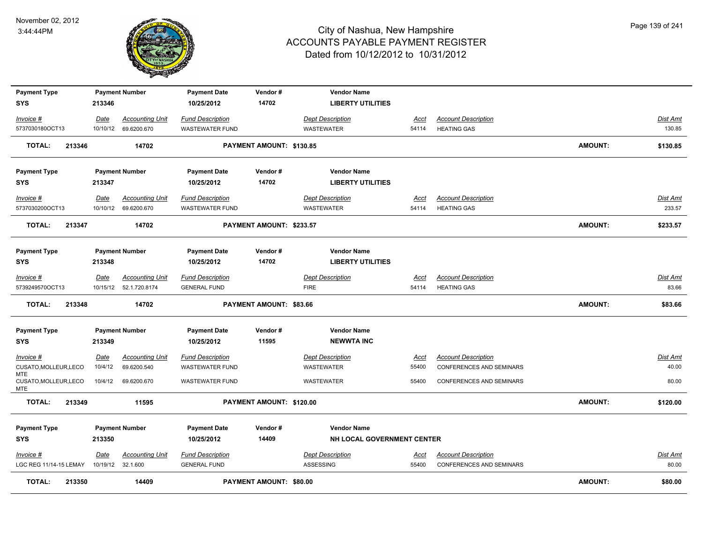

| <b>Payment Type</b>                  |                        | <b>Payment Number</b>              | <b>Payment Date</b>                            | Vendor#                  | <b>Vendor Name</b>                   |                      |                                                               |                |                   |
|--------------------------------------|------------------------|------------------------------------|------------------------------------------------|--------------------------|--------------------------------------|----------------------|---------------------------------------------------------------|----------------|-------------------|
| <b>SYS</b>                           | 213346                 |                                    | 10/25/2012                                     | 14702                    | <b>LIBERTY UTILITIES</b>             |                      |                                                               |                |                   |
| Invoice #                            | Date                   | <b>Accounting Unit</b>             | <b>Fund Description</b>                        |                          | <b>Dept Description</b>              | Acct                 | <b>Account Description</b>                                    |                | <b>Dist Amt</b>   |
| 5737030180OCT13                      |                        | 10/10/12 69.6200.670               | <b>WASTEWATER FUND</b>                         |                          | <b>WASTEWATER</b>                    | 54114                | <b>HEATING GAS</b>                                            |                | 130.85            |
| <b>TOTAL:</b><br>213346              |                        | 14702                              |                                                | PAYMENT AMOUNT: \$130.85 |                                      |                      |                                                               | <b>AMOUNT:</b> | \$130.85          |
| <b>Payment Type</b>                  |                        | <b>Payment Number</b>              | <b>Payment Date</b>                            | Vendor#                  | <b>Vendor Name</b>                   |                      |                                                               |                |                   |
| <b>SYS</b>                           | 213347                 |                                    | 10/25/2012                                     | 14702                    | <b>LIBERTY UTILITIES</b>             |                      |                                                               |                |                   |
| Invoice #                            | Date                   | <b>Accounting Unit</b>             | <b>Fund Description</b>                        |                          | <b>Dept Description</b>              | Acct                 | <b>Account Description</b>                                    |                | Dist Amt          |
| 5737030200OCT13                      |                        | 10/10/12 69.6200.670               | <b>WASTEWATER FUND</b>                         |                          | <b>WASTEWATER</b>                    | 54114                | <b>HEATING GAS</b>                                            |                | 233.57            |
| <b>TOTAL:</b><br>213347              |                        | 14702                              |                                                | PAYMENT AMOUNT: \$233.57 |                                      |                      |                                                               | <b>AMOUNT:</b> | \$233.57          |
|                                      |                        |                                    |                                                |                          |                                      |                      |                                                               |                |                   |
| <b>Payment Type</b>                  |                        | <b>Payment Number</b>              | <b>Payment Date</b>                            | Vendor#                  | <b>Vendor Name</b>                   |                      |                                                               |                |                   |
| <b>SYS</b>                           | 213348                 |                                    | 10/25/2012                                     | 14702                    | <b>LIBERTY UTILITIES</b>             |                      |                                                               |                |                   |
| Invoice #                            | Date                   | <b>Accounting Unit</b>             | <b>Fund Description</b>                        |                          | <b>Dept Description</b>              | Acct                 | <b>Account Description</b>                                    |                | Dist Amt          |
| 5739249570OCT13                      | 10/15/12               | 52.1.720.8174                      | <b>GENERAL FUND</b>                            |                          | <b>FIRE</b>                          | 54114                | <b>HEATING GAS</b>                                            |                | 83.66             |
| 213348<br><b>TOTAL:</b>              |                        | 14702                              |                                                | PAYMENT AMOUNT: \$83.66  |                                      |                      |                                                               | <b>AMOUNT:</b> | \$83.66           |
| <b>Payment Type</b>                  |                        | <b>Payment Number</b>              | <b>Payment Date</b>                            | Vendor#                  | <b>Vendor Name</b>                   |                      |                                                               |                |                   |
| <b>SYS</b>                           | 213349                 |                                    | 10/25/2012                                     | 11595                    | <b>NEWWTA INC</b>                    |                      |                                                               |                |                   |
|                                      |                        | <b>Accounting Unit</b>             | <b>Fund Description</b>                        |                          | <b>Dept Description</b>              |                      | <b>Account Description</b>                                    |                | Dist Amt          |
| $Invoice$ #<br>CUSATO, MOLLEUR, LECO | <u>Date</u><br>10/4/12 | 69.6200.540                        | <b>WASTEWATER FUND</b>                         |                          | <b>WASTEWATER</b>                    | <u>Acct</u><br>55400 | <b>CONFERENCES AND SEMINARS</b>                               |                | 40.00             |
| MTE<br>CUSATO, MOLLEUR, LECO<br>MTE. | 10/4/12                | 69.6200.670                        | <b>WASTEWATER FUND</b>                         |                          | <b>WASTEWATER</b>                    | 55400                | <b>CONFERENCES AND SEMINARS</b>                               |                | 80.00             |
| <b>TOTAL:</b><br>213349              |                        | 11595                              |                                                | PAYMENT AMOUNT: \$120.00 |                                      |                      |                                                               | <b>AMOUNT:</b> | \$120.00          |
| <b>Payment Type</b>                  |                        | <b>Payment Number</b>              | <b>Payment Date</b>                            | Vendor#                  | <b>Vendor Name</b>                   |                      |                                                               |                |                   |
| <b>SYS</b>                           | 213350                 |                                    | 10/25/2012                                     | 14409                    | NH LOCAL GOVERNMENT CENTER           |                      |                                                               |                |                   |
|                                      |                        |                                    |                                                |                          |                                      |                      |                                                               |                |                   |
| Invoice #<br>LGC REG 11/14-15 LEMAY  | Date<br>10/19/12       | <b>Accounting Unit</b><br>32.1.600 | <b>Fund Description</b><br><b>GENERAL FUND</b> |                          | <b>Dept Description</b><br>ASSESSING | <u>Acct</u><br>55400 | <b>Account Description</b><br><b>CONFERENCES AND SEMINARS</b> |                | Dist Amt<br>80.00 |
|                                      |                        |                                    |                                                |                          |                                      |                      |                                                               |                |                   |
| <b>TOTAL:</b><br>213350              |                        | 14409                              |                                                | PAYMENT AMOUNT: \$80.00  |                                      |                      |                                                               | <b>AMOUNT:</b> | \$80.00           |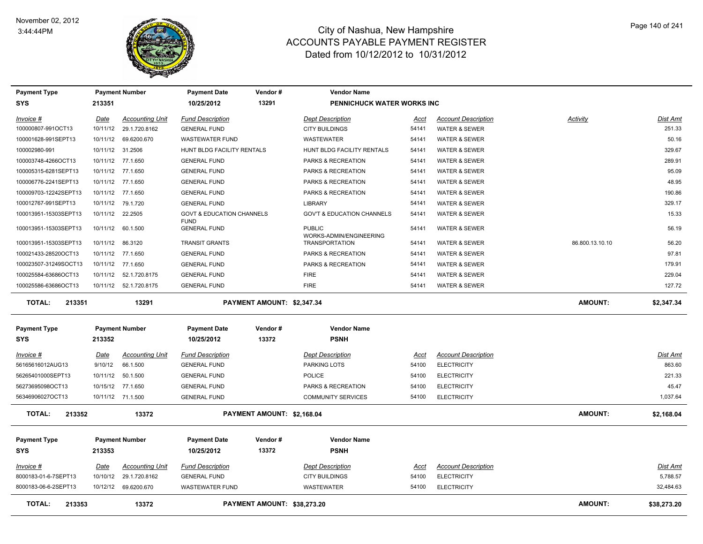

| <b>Payment Type</b>     |                  | <b>Payment Number</b>   | <b>Payment Date</b>                                 | Vendor#                     | <b>Vendor Name</b>                       |             |                            |                 |             |
|-------------------------|------------------|-------------------------|-----------------------------------------------------|-----------------------------|------------------------------------------|-------------|----------------------------|-----------------|-------------|
| SYS                     | 213351           |                         | 10/25/2012                                          | 13291                       | PENNICHUCK WATER WORKS INC               |             |                            |                 |             |
| Invoice #               | Date             | <b>Accounting Unit</b>  | <b>Fund Description</b>                             |                             | <b>Dept Description</b>                  | Acct        | <b>Account Description</b> | Activity        | Dist Amt    |
| 100000807-991OCT13      | 10/11/12         | 29.1.720.8162           | <b>GENERAL FUND</b>                                 |                             | <b>CITY BUILDINGS</b>                    | 54141       | WATER & SEWER              |                 | 251.33      |
| 100001628-991SEPT13     | 10/11/12         | 69.6200.670             | <b>WASTEWATER FUND</b>                              |                             | WASTEWATER                               | 54141       | <b>WATER &amp; SEWER</b>   |                 | 50.16       |
| 100002980-991           | 10/11/12         | 31.2506                 | HUNT BLDG FACILITY RENTALS                          |                             | HUNT BLDG FACILITY RENTALS               | 54141       | <b>WATER &amp; SEWER</b>   |                 | 329.67      |
| 100003748-4266OCT13     |                  | 10/11/12 77.1.650       | <b>GENERAL FUND</b>                                 |                             | PARKS & RECREATION                       | 54141       | <b>WATER &amp; SEWER</b>   |                 | 289.91      |
| 100005315-6281SEPT13    |                  | 10/11/12 77.1.650       | <b>GENERAL FUND</b>                                 |                             | PARKS & RECREATION                       | 54141       | <b>WATER &amp; SEWER</b>   |                 | 95.09       |
| 100006776-2241SEPT13    | 10/11/12         | 77.1.650                | <b>GENERAL FUND</b>                                 |                             | PARKS & RECREATION                       | 54141       | <b>WATER &amp; SEWER</b>   |                 | 48.95       |
| 100009703-12242SEPT13   | 10/11/12         | 77.1.650                | <b>GENERAL FUND</b>                                 |                             | PARKS & RECREATION                       | 54141       | WATER & SEWER              |                 | 190.86      |
| 100012767-991SEPT13     | 10/11/12         | 79.1.720                | <b>GENERAL FUND</b>                                 |                             | <b>LIBRARY</b>                           | 54141       | <b>WATER &amp; SEWER</b>   |                 | 329.17      |
| 100013951-15303SEPT13   | 10/11/12 22.2505 |                         | <b>GOVT &amp; EDUCATION CHANNELS</b><br><b>FUND</b> |                             | <b>GOV'T &amp; EDUCATION CHANNELS</b>    | 54141       | <b>WATER &amp; SEWER</b>   |                 | 15.33       |
| 100013951-15303SEPT13   |                  | 10/11/12 60.1.500       | <b>GENERAL FUND</b>                                 |                             | <b>PUBLIC</b><br>WORKS-ADMIN/ENGINEERING | 54141       | <b>WATER &amp; SEWER</b>   |                 | 56.19       |
| 100013951-15303SEPT13   | 10/11/12 86.3120 |                         | <b>TRANSIT GRANTS</b>                               |                             | <b>TRANSPORTATION</b>                    | 54141       | <b>WATER &amp; SEWER</b>   | 86.800.13.10.10 | 56.20       |
| 100021433-28520OCT13    |                  | 10/11/12 77.1.650       | <b>GENERAL FUND</b>                                 |                             | PARKS & RECREATION                       | 54141       | WATER & SEWER              |                 | 97.81       |
| 100023507-31249SOCT13   |                  | 10/11/12 77.1.650       | <b>GENERAL FUND</b>                                 |                             | PARKS & RECREATION                       | 54141       | <b>WATER &amp; SEWER</b>   |                 | 179.91      |
| 100025584-63686OCT13    |                  | 10/11/12  52.1.720.8175 | <b>GENERAL FUND</b>                                 |                             | <b>FIRE</b>                              | 54141       | WATER & SEWER              |                 | 229.04      |
| 100025586-63686OCT13    |                  | 10/11/12  52.1.720.8175 | <b>GENERAL FUND</b>                                 |                             | <b>FIRE</b>                              | 54141       | <b>WATER &amp; SEWER</b>   |                 | 127.72      |
| TOTAL:<br>213351        |                  | 13291                   |                                                     | PAYMENT AMOUNT: \$2,347.34  |                                          |             |                            | <b>AMOUNT:</b>  | \$2,347.34  |
| <b>Payment Type</b>     |                  | <b>Payment Number</b>   | <b>Payment Date</b>                                 | Vendor#                     | <b>Vendor Name</b>                       |             |                            |                 |             |
| <b>SYS</b>              | 213352           |                         | 10/25/2012                                          | 13372                       | <b>PSNH</b>                              |             |                            |                 |             |
| $Invoice$ #             | <u>Date</u>      | <b>Accounting Unit</b>  | <b>Fund Description</b>                             |                             | <b>Dept Description</b>                  | <u>Acct</u> | <b>Account Description</b> |                 | Dist Amt    |
| 56165616012AUG13        | 9/10/12          | 66.1.500                | <b>GENERAL FUND</b>                                 |                             | <b>PARKING LOTS</b>                      | 54100       | <b>ELECTRICITY</b>         |                 | 863.60      |
| 56265401000SEPT13       | 10/11/12         | 50.1.500                | <b>GENERAL FUND</b>                                 |                             | POLICE                                   | 54100       | <b>ELECTRICITY</b>         |                 | 221.33      |
| 56273695098OCT13        |                  | 10/15/12 77.1.650       | <b>GENERAL FUND</b>                                 |                             | PARKS & RECREATION                       | 54100       | <b>ELECTRICITY</b>         |                 | 45.47       |
| 56346906027OCT13        |                  | 10/11/12 71.1.500       | <b>GENERAL FUND</b>                                 |                             | <b>COMMUNITY SERVICES</b>                | 54100       | <b>ELECTRICITY</b>         |                 | 1,037.64    |
| <b>TOTAL:</b><br>213352 |                  | 13372                   |                                                     | PAYMENT AMOUNT: \$2,168.04  |                                          |             |                            | <b>AMOUNT:</b>  | \$2,168.04  |
| <b>Payment Type</b>     |                  | <b>Payment Number</b>   | <b>Payment Date</b>                                 | Vendor#                     | <b>Vendor Name</b>                       |             |                            |                 |             |
| SYS                     | 213353           |                         | 10/25/2012                                          | 13372                       | <b>PSNH</b>                              |             |                            |                 |             |
| Invoice #               | Date             | <b>Accounting Unit</b>  | <b>Fund Description</b>                             |                             | <b>Dept Description</b>                  | Acct        | <b>Account Description</b> |                 | Dist Amt    |
| 8000183-01-6-7SEPT13    | 10/10/12         | 29.1.720.8162           | <b>GENERAL FUND</b>                                 |                             | <b>CITY BUILDINGS</b>                    | 54100       | <b>ELECTRICITY</b>         |                 | 5,788.57    |
| 8000183-06-6-2SEPT13    |                  | 10/12/12 69.6200.670    | <b>WASTEWATER FUND</b>                              |                             | <b>WASTEWATER</b>                        | 54100       | <b>ELECTRICITY</b>         |                 | 32.484.63   |
| TOTAL:<br>213353        |                  | 13372                   |                                                     | PAYMENT AMOUNT: \$38,273.20 |                                          |             |                            | <b>AMOUNT:</b>  | \$38,273.20 |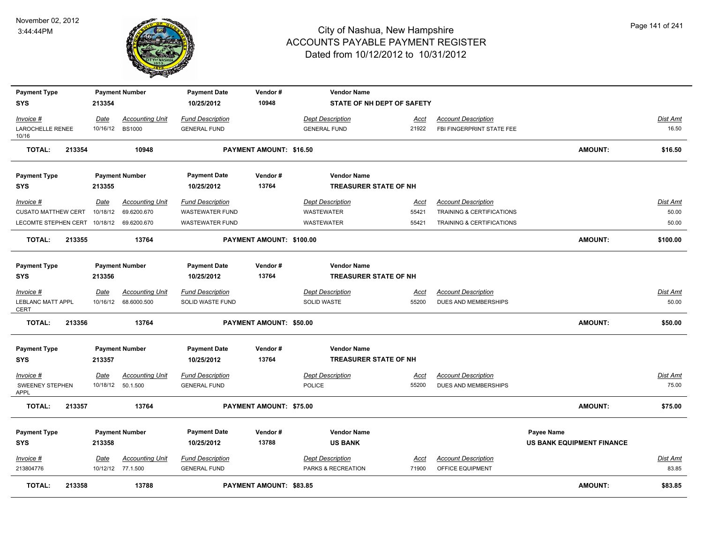

| <b>Payment Type</b>                       |             | <b>Payment Number</b>  | <b>Payment Date</b>     | Vendor#                        | <b>Vendor Name</b>           |             |                            |                                  |                 |
|-------------------------------------------|-------------|------------------------|-------------------------|--------------------------------|------------------------------|-------------|----------------------------|----------------------------------|-----------------|
| <b>SYS</b>                                | 213354      |                        | 10/25/2012              | 10948                          | STATE OF NH DEPT OF SAFETY   |             |                            |                                  |                 |
| Invoice #                                 | Date        | <b>Accounting Unit</b> | <b>Fund Description</b> |                                | <b>Dept Description</b>      | Acct        | <b>Account Description</b> |                                  | Dist Amt        |
| LAROCHELLE RENEE<br>10/16                 | 10/16/12    | <b>BS1000</b>          | <b>GENERAL FUND</b>     |                                | <b>GENERAL FUND</b>          | 21922       | FBI FINGERPRINT STATE FEE  |                                  | 16.50           |
| <b>TOTAL:</b><br>213354                   |             | 10948                  |                         | PAYMENT AMOUNT: \$16.50        |                              |             |                            | <b>AMOUNT:</b>                   | \$16.50         |
| <b>Payment Type</b>                       |             | <b>Payment Number</b>  | <b>Payment Date</b>     | Vendor#                        | <b>Vendor Name</b>           |             |                            |                                  |                 |
| <b>SYS</b>                                | 213355      |                        | 10/25/2012              | 13764                          | <b>TREASURER STATE OF NH</b> |             |                            |                                  |                 |
| Invoice #                                 | Date        | <b>Accounting Unit</b> | <b>Fund Description</b> |                                | <b>Dept Description</b>      | Acct        | <b>Account Description</b> |                                  | Dist Amt        |
| <b>CUSATO MATTHEW CERT</b>                | 10/18/12    | 69.6200.670            | <b>WASTEWATER FUND</b>  |                                | WASTEWATER                   | 55421       | TRAINING & CERTIFICATIONS  |                                  | 50.00           |
| LECOMTE STEPHEN CERT 10/18/12 69.6200.670 |             |                        | WASTEWATER FUND         |                                | WASTEWATER                   | 55421       | TRAINING & CERTIFICATIONS  |                                  | 50.00           |
| <b>TOTAL:</b><br>213355                   |             | 13764                  |                         | PAYMENT AMOUNT: \$100.00       |                              |             |                            | <b>AMOUNT:</b>                   | \$100.00        |
| <b>Payment Type</b>                       |             | <b>Payment Number</b>  | <b>Payment Date</b>     | Vendor#                        | <b>Vendor Name</b>           |             |                            |                                  |                 |
| <b>SYS</b>                                | 213356      |                        | 10/25/2012              | 13764                          | <b>TREASURER STATE OF NH</b> |             |                            |                                  |                 |
| Invoice #                                 | Date        | <b>Accounting Unit</b> | <b>Fund Description</b> |                                | <b>Dept Description</b>      | <u>Acct</u> | <b>Account Description</b> |                                  | <u>Dist Amt</u> |
| LEBLANC MATT APPL<br><b>CERT</b>          |             | 10/16/12 68.6000.500   | SOLID WASTE FUND        |                                | <b>SOLID WASTE</b>           | 55200       | DUES AND MEMBERSHIPS       |                                  | 50.00           |
| <b>TOTAL:</b><br>213356                   |             | 13764                  |                         | PAYMENT AMOUNT: \$50.00        |                              |             |                            | <b>AMOUNT:</b>                   | \$50.00         |
| <b>Payment Type</b>                       |             | <b>Payment Number</b>  | <b>Payment Date</b>     | Vendor#                        | <b>Vendor Name</b>           |             |                            |                                  |                 |
| <b>SYS</b>                                | 213357      |                        | 10/25/2012              | 13764                          | <b>TREASURER STATE OF NH</b> |             |                            |                                  |                 |
| Invoice #                                 | <u>Date</u> | <b>Accounting Unit</b> | <b>Fund Description</b> |                                | <b>Dept Description</b>      | <u>Acct</u> | <b>Account Description</b> |                                  | <u>Dist Amt</u> |
| <b>SWEENEY STEPHEN</b><br><b>APPL</b>     |             | 10/18/12  50.1.500     | <b>GENERAL FUND</b>     |                                | <b>POLICE</b>                | 55200       | DUES AND MEMBERSHIPS       |                                  | 75.00           |
| TOTAL:<br>213357                          |             | 13764                  |                         | PAYMENT AMOUNT: \$75.00        |                              |             |                            | <b>AMOUNT:</b>                   | \$75.00         |
| <b>Payment Type</b>                       |             | <b>Payment Number</b>  | <b>Payment Date</b>     | Vendor#                        | <b>Vendor Name</b>           |             |                            | Payee Name                       |                 |
| <b>SYS</b>                                | 213358      |                        | 10/25/2012              | 13788                          | <b>US BANK</b>               |             |                            | <b>US BANK EQUIPMENT FINANCE</b> |                 |
| <u>Invoice #</u>                          | <u>Date</u> | <b>Accounting Unit</b> | <b>Fund Description</b> |                                | <b>Dept Description</b>      | <u>Acct</u> | <b>Account Description</b> |                                  | Dist Amt        |
| 213804776                                 |             | 10/12/12 77.1.500      | <b>GENERAL FUND</b>     |                                | PARKS & RECREATION           | 71900       | OFFICE EQUIPMENT           |                                  | 83.85           |
| <b>TOTAL:</b><br>213358                   |             | 13788                  |                         | <b>PAYMENT AMOUNT: \$83.85</b> |                              |             |                            | <b>AMOUNT:</b>                   | \$83.85         |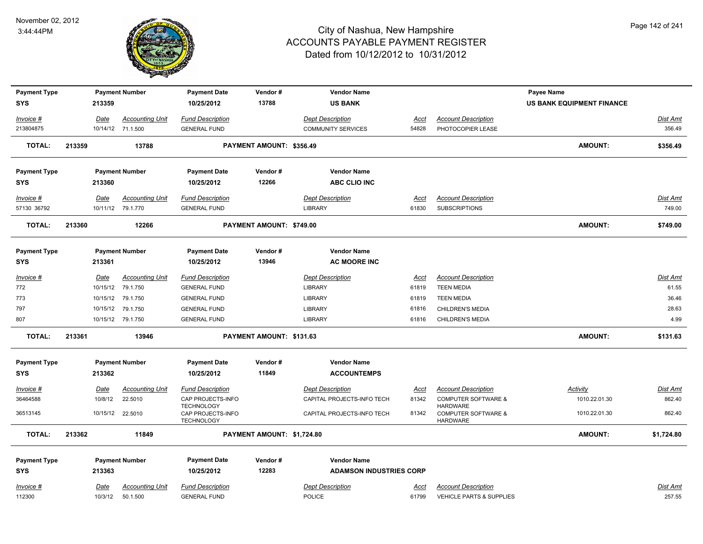

| <b>Payment Type</b> |        |             | <b>Payment Number</b>  | <b>Payment Date</b>                                         | Vendor#                    | <b>Vendor Name</b>             |             |                                                               | Payee Name                |                 |
|---------------------|--------|-------------|------------------------|-------------------------------------------------------------|----------------------------|--------------------------------|-------------|---------------------------------------------------------------|---------------------------|-----------------|
| <b>SYS</b>          |        | 213359      |                        | 10/25/2012                                                  | 13788                      | <b>US BANK</b>                 |             |                                                               | US BANK EQUIPMENT FINANCE |                 |
| Invoice #           |        | Date        | <b>Accounting Unit</b> | <b>Fund Description</b>                                     |                            | <b>Dept Description</b>        | <b>Acct</b> | <b>Account Description</b>                                    |                           | Dist Amt        |
| 213804875           |        |             | 10/14/12 71.1.500      | <b>GENERAL FUND</b>                                         |                            | <b>COMMUNITY SERVICES</b>      | 54828       | PHOTOCOPIER LEASE                                             |                           | 356.49          |
| <b>TOTAL:</b>       | 213359 |             | 13788                  |                                                             | PAYMENT AMOUNT: \$356.49   |                                |             |                                                               | <b>AMOUNT:</b>            | \$356.49        |
| <b>Payment Type</b> |        |             | <b>Payment Number</b>  | <b>Payment Date</b>                                         | Vendor#                    | <b>Vendor Name</b>             |             |                                                               |                           |                 |
| <b>SYS</b>          |        | 213360      |                        | 10/25/2012                                                  | 12266                      | <b>ABC CLIO INC</b>            |             |                                                               |                           |                 |
| Invoice #           |        | Date        | <b>Accounting Unit</b> | <b>Fund Description</b>                                     |                            | <b>Dept Description</b>        | Acct        | <b>Account Description</b>                                    |                           | Dist Amt        |
| 57130 36792         |        |             | 10/11/12 79.1.770      | <b>GENERAL FUND</b>                                         |                            | <b>LIBRARY</b>                 | 61830       | <b>SUBSCRIPTIONS</b>                                          |                           | 749.00          |
| <b>TOTAL:</b>       | 213360 |             | 12266                  |                                                             | PAYMENT AMOUNT: \$749.00   |                                |             |                                                               | <b>AMOUNT:</b>            | \$749.00        |
| <b>Payment Type</b> |        |             | <b>Payment Number</b>  | <b>Payment Date</b>                                         | Vendor#                    | <b>Vendor Name</b>             |             |                                                               |                           |                 |
| <b>SYS</b>          |        | 213361      |                        | 10/25/2012                                                  | 13946                      | <b>AC MOORE INC</b>            |             |                                                               |                           |                 |
| Invoice #           |        | Date        | <b>Accounting Unit</b> | <b>Fund Description</b>                                     |                            | <b>Dept Description</b>        | <b>Acct</b> | <b>Account Description</b>                                    |                           | <b>Dist Amt</b> |
| 772                 |        |             | 10/15/12 79.1.750      | <b>GENERAL FUND</b>                                         |                            | <b>LIBRARY</b>                 | 61819       | <b>TEEN MEDIA</b>                                             |                           | 61.55           |
| 773                 |        |             | 10/15/12 79.1.750      | <b>GENERAL FUND</b>                                         |                            | <b>LIBRARY</b>                 | 61819       | <b>TEEN MEDIA</b>                                             |                           | 36.46           |
| 797                 |        |             | 10/15/12 79.1.750      | <b>GENERAL FUND</b>                                         |                            | <b>LIBRARY</b>                 | 61816       | <b>CHILDREN'S MEDIA</b>                                       |                           | 28.63           |
| 807                 |        |             | 10/15/12 79.1.750      | <b>GENERAL FUND</b>                                         |                            | <b>LIBRARY</b>                 | 61816       | <b>CHILDREN'S MEDIA</b>                                       |                           | 4.99            |
| <b>TOTAL:</b>       | 213361 |             | 13946                  |                                                             | PAYMENT AMOUNT: \$131.63   |                                |             |                                                               | <b>AMOUNT:</b>            | \$131.63        |
| <b>Payment Type</b> |        |             | <b>Payment Number</b>  | <b>Payment Date</b>                                         | Vendor#                    | <b>Vendor Name</b>             |             |                                                               |                           |                 |
| <b>SYS</b>          |        | 213362      |                        | 10/25/2012                                                  | 11849                      | <b>ACCOUNTEMPS</b>             |             |                                                               |                           |                 |
| $Invoice$ #         |        | <b>Date</b> | <b>Accounting Unit</b> | <b>Fund Description</b>                                     |                            | <b>Dept Description</b>        | <b>Acct</b> | <b>Account Description</b>                                    | Activity                  | <b>Dist Amt</b> |
| 36464588            |        | 10/8/12     | 22.5010                | CAP PROJECTS-INFO                                           |                            | CAPITAL PROJECTS-INFO TECH     | 81342       | <b>COMPUTER SOFTWARE &amp;</b>                                | 1010.22.01.30             | 862.40          |
| 36513145            |        |             | 10/15/12 22.5010       | <b>TECHNOLOGY</b><br>CAP PROJECTS-INFO<br><b>TECHNOLOGY</b> |                            | CAPITAL PROJECTS-INFO TECH     | 81342       | HARDWARE<br><b>COMPUTER SOFTWARE &amp;</b><br><b>HARDWARE</b> | 1010.22.01.30             | 862.40          |
| <b>TOTAL:</b>       | 213362 |             | 11849                  |                                                             | PAYMENT AMOUNT: \$1,724.80 |                                |             |                                                               | <b>AMOUNT:</b>            | \$1,724.80      |
| <b>Payment Type</b> |        |             | <b>Payment Number</b>  | <b>Payment Date</b>                                         | Vendor#                    | <b>Vendor Name</b>             |             |                                                               |                           |                 |
| <b>SYS</b>          |        | 213363      |                        | 10/25/2012                                                  | 12283                      | <b>ADAMSON INDUSTRIES CORP</b> |             |                                                               |                           |                 |
| Invoice #           |        | Date        | <b>Accounting Unit</b> | <b>Fund Description</b>                                     |                            | <b>Dept Description</b>        | Acct        | <b>Account Description</b>                                    |                           | <b>Dist Amt</b> |
| 112300              |        | 10/3/12     | 50.1.500               | <b>GENERAL FUND</b>                                         |                            | <b>POLICE</b>                  | 61799       | <b>VEHICLE PARTS &amp; SUPPLIES</b>                           |                           | 257.55          |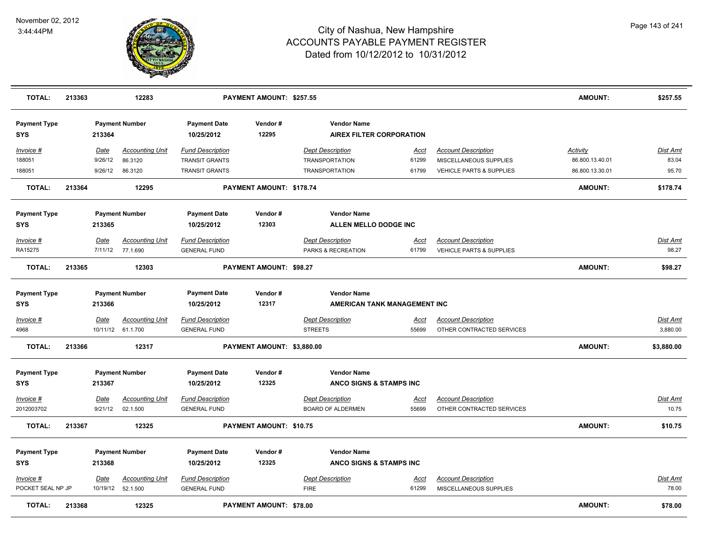

| <b>TOTAL:</b>                  | 213363 |             | 12283                                        |                                                | PAYMENT AMOUNT: \$257.55       |                                        |                                                       |                      |                                                        | <b>AMOUNT:</b>  | \$257.55          |
|--------------------------------|--------|-------------|----------------------------------------------|------------------------------------------------|--------------------------------|----------------------------------------|-------------------------------------------------------|----------------------|--------------------------------------------------------|-----------------|-------------------|
| <b>Payment Type</b><br>SYS     |        | 213364      | <b>Payment Number</b>                        | <b>Payment Date</b><br>10/25/2012              | Vendor#<br>12295               |                                        | <b>Vendor Name</b><br><b>AIREX FILTER CORPORATION</b> |                      |                                                        |                 |                   |
| Invoice #                      |        | Date        | <b>Accounting Unit</b>                       | <b>Fund Description</b>                        |                                | <b>Dept Description</b>                |                                                       | Acct                 | <b>Account Description</b>                             | <b>Activity</b> | Dist Amt          |
| 188051                         |        | 9/26/12     | 86.3120                                      | <b>TRANSIT GRANTS</b>                          |                                |                                        | <b>TRANSPORTATION</b>                                 | 61299                | MISCELLANEOUS SUPPLIES                                 | 86.800.13.40.01 | 83.04             |
| 188051                         |        | 9/26/12     | 86.3120                                      | <b>TRANSIT GRANTS</b>                          |                                |                                        | <b>TRANSPORTATION</b>                                 | 61799                | VEHICLE PARTS & SUPPLIES                               | 86.800.13.30.01 | 95.70             |
| <b>TOTAL:</b>                  | 213364 |             | 12295                                        |                                                | PAYMENT AMOUNT: \$178.74       |                                        |                                                       |                      |                                                        | <b>AMOUNT:</b>  | \$178.74          |
| <b>Payment Type</b>            |        |             | <b>Payment Number</b>                        | <b>Payment Date</b>                            | Vendor#                        |                                        | <b>Vendor Name</b>                                    |                      |                                                        |                 |                   |
| <b>SYS</b>                     |        | 213365      |                                              | 10/25/2012                                     | 12303                          |                                        | ALLEN MELLO DODGE INC                                 |                      |                                                        |                 |                   |
| Invoice #<br>RA15275           |        | Date        | <b>Accounting Unit</b><br>7/11/12 77.1.690   | <b>Fund Description</b><br><b>GENERAL FUND</b> |                                | <b>Dept Description</b>                | PARKS & RECREATION                                    | <u>Acct</u><br>61799 | <b>Account Description</b><br>VEHICLE PARTS & SUPPLIES |                 | Dist Amt<br>98.27 |
| <b>TOTAL:</b>                  | 213365 |             | 12303                                        |                                                | PAYMENT AMOUNT: \$98.27        |                                        |                                                       |                      |                                                        | <b>AMOUNT:</b>  | \$98.27           |
| <b>Payment Type</b><br>SYS     |        | 213366      | <b>Payment Number</b>                        | <b>Payment Date</b><br>10/25/2012              | Vendor#<br>12317               |                                        | <b>Vendor Name</b><br>AMERICAN TANK MANAGEMENT INC    |                      |                                                        |                 |                   |
| Invoice #                      |        | <b>Date</b> | <b>Accounting Unit</b>                       | <b>Fund Description</b>                        |                                | <b>Dept Description</b>                |                                                       | <u>Acct</u>          | <b>Account Description</b>                             |                 | <b>Dist Amt</b>   |
| 4968                           |        |             | 10/11/12 61.1.700                            | <b>GENERAL FUND</b>                            |                                | <b>STREETS</b>                         |                                                       | 55699                | OTHER CONTRACTED SERVICES                              |                 | 3,880.00          |
| <b>TOTAL:</b>                  | 213366 |             | 12317                                        |                                                | PAYMENT AMOUNT: \$3,880.00     |                                        |                                                       |                      |                                                        | <b>AMOUNT:</b>  | \$3,880.00        |
| <b>Payment Type</b>            |        |             | <b>Payment Number</b>                        | <b>Payment Date</b>                            | Vendor#                        |                                        | <b>Vendor Name</b>                                    |                      |                                                        |                 |                   |
| SYS                            |        | 213367      |                                              | 10/25/2012                                     | 12325                          |                                        | ANCO SIGNS & STAMPS INC                               |                      |                                                        |                 |                   |
| Invoice #                      |        | Date        | <b>Accounting Unit</b>                       | <b>Fund Description</b>                        |                                | <b>Dept Description</b>                |                                                       | Acct                 | <b>Account Description</b>                             |                 | Dist Amt          |
| 2012003702                     |        | 9/21/12     | 02.1.500                                     | <b>GENERAL FUND</b>                            |                                |                                        | <b>BOARD OF ALDERMEN</b>                              | 55699                | OTHER CONTRACTED SERVICES                              |                 | 10.75             |
| <b>TOTAL:</b>                  | 213367 |             | 12325                                        |                                                | PAYMENT AMOUNT: \$10.75        |                                        |                                                       |                      |                                                        | <b>AMOUNT:</b>  | \$10.75           |
| <b>Payment Type</b>            |        |             | <b>Payment Number</b>                        | <b>Payment Date</b>                            | Vendor#                        |                                        | <b>Vendor Name</b>                                    |                      |                                                        |                 |                   |
| SYS                            |        | 213368      |                                              | 10/25/2012                                     | 12325                          |                                        | ANCO SIGNS & STAMPS INC                               |                      |                                                        |                 |                   |
| Invoice #<br>POCKET SEAL NP JP |        | Date        | <b>Accounting Unit</b><br>10/19/12  52.1.500 | <b>Fund Description</b><br><b>GENERAL FUND</b> |                                | <b>Dept Description</b><br><b>FIRE</b> |                                                       | Acct<br>61299        | <b>Account Description</b><br>MISCELLANEOUS SUPPLIES   |                 | Dist Amt<br>78.00 |
| <b>TOTAL:</b>                  | 213368 |             | 12325                                        |                                                | <b>PAYMENT AMOUNT: \$78.00</b> |                                        |                                                       |                      |                                                        | <b>AMOUNT:</b>  | \$78.00           |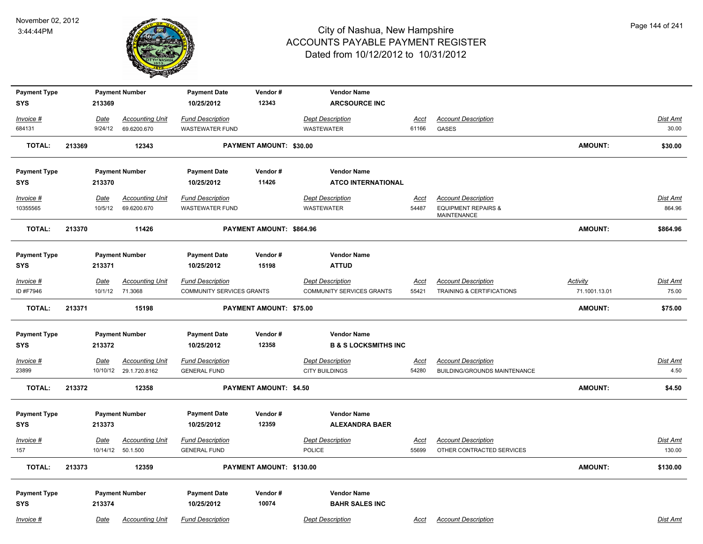

| <b>Payment Type</b>               |        |             | <b>Payment Number</b>                            | <b>Payment Date</b>                            | Vendor#                       | <b>Vendor Name</b>                               |                      |                                                            |                 |                           |
|-----------------------------------|--------|-------------|--------------------------------------------------|------------------------------------------------|-------------------------------|--------------------------------------------------|----------------------|------------------------------------------------------------|-----------------|---------------------------|
| <b>SYS</b>                        |        | 213369      |                                                  | 10/25/2012                                     | 12343                         | <b>ARCSOURCE INC</b>                             |                      |                                                            |                 |                           |
| Invoice #                         |        | Date        | <b>Accounting Unit</b>                           | <b>Fund Description</b>                        |                               | <b>Dept Description</b>                          | Acct                 | <b>Account Description</b>                                 |                 | Dist Amt                  |
| 684131                            |        | 9/24/12     | 69.6200.670                                      | <b>WASTEWATER FUND</b>                         |                               | WASTEWATER                                       | 61166                | GASES                                                      |                 | 30.00                     |
| <b>TOTAL:</b>                     | 213369 |             | 12343                                            |                                                | PAYMENT AMOUNT: \$30.00       |                                                  |                      |                                                            | <b>AMOUNT:</b>  | \$30.00                   |
| <b>Payment Type</b>               |        |             | <b>Payment Number</b>                            | <b>Payment Date</b>                            | Vendor#                       | <b>Vendor Name</b>                               |                      |                                                            |                 |                           |
| <b>SYS</b>                        |        | 213370      |                                                  | 10/25/2012                                     | 11426                         | <b>ATCO INTERNATIONAL</b>                        |                      |                                                            |                 |                           |
| Invoice #                         |        | <b>Date</b> | <b>Accounting Unit</b>                           | <b>Fund Description</b>                        |                               | <b>Dept Description</b>                          | <u>Acct</u>          | <b>Account Description</b>                                 |                 | Dist Amt                  |
| 10355565                          |        | 10/5/12     | 69.6200.670                                      | <b>WASTEWATER FUND</b>                         |                               | <b>WASTEWATER</b>                                | 54487                | <b>EQUIPMENT REPAIRS &amp;</b><br>MAINTENANCE              |                 | 864.96                    |
| <b>TOTAL:</b>                     | 213370 |             | 11426                                            |                                                | PAYMENT AMOUNT: \$864.96      |                                                  |                      |                                                            | <b>AMOUNT:</b>  | \$864.96                  |
| <b>Payment Type</b>               |        |             | <b>Payment Number</b>                            | <b>Payment Date</b>                            | Vendor#                       | <b>Vendor Name</b>                               |                      |                                                            |                 |                           |
| <b>SYS</b>                        |        | 213371      |                                                  | 10/25/2012                                     | 15198                         | <b>ATTUD</b>                                     |                      |                                                            |                 |                           |
| $Invoice$ #                       |        | <u>Date</u> | <b>Accounting Unit</b>                           | <b>Fund Description</b>                        |                               | <b>Dept Description</b>                          | <b>Acct</b>          | <b>Account Description</b>                                 | <b>Activity</b> | Dist Amt                  |
| ID #F7946                         |        | 10/1/12     | 71.3068                                          | COMMUNITY SERVICES GRANTS                      |                               | COMMUNITY SERVICES GRANTS                        | 55421                | <b>TRAINING &amp; CERTIFICATIONS</b>                       | 71.1001.13.01   | 75.00                     |
| <b>TOTAL:</b>                     | 213371 |             | 15198                                            |                                                | PAYMENT AMOUNT: \$75.00       |                                                  |                      |                                                            | <b>AMOUNT:</b>  | \$75.00                   |
| <b>Payment Type</b>               |        |             | <b>Payment Number</b>                            | <b>Payment Date</b>                            | Vendor#                       | <b>Vendor Name</b>                               |                      |                                                            |                 |                           |
| <b>SYS</b>                        |        | 213372      |                                                  | 10/25/2012                                     | 12358                         | <b>B &amp; S LOCKSMITHS INC</b>                  |                      |                                                            |                 |                           |
| $Invoice$ #<br>23899              |        | <u>Date</u> | <b>Accounting Unit</b><br>10/10/12 29.1.720.8162 | <b>Fund Description</b><br><b>GENERAL FUND</b> |                               | <b>Dept Description</b><br><b>CITY BUILDINGS</b> | <u>Acct</u><br>54280 | <b>Account Description</b><br>BUILDING/GROUNDS MAINTENANCE |                 | Dist Amt<br>4.50          |
| <b>TOTAL:</b>                     | 213372 |             | 12358                                            |                                                | <b>PAYMENT AMOUNT: \$4.50</b> |                                                  |                      |                                                            | <b>AMOUNT:</b>  | \$4.50                    |
| <b>Payment Type</b><br><b>SYS</b> |        | 213373      | <b>Payment Number</b>                            | <b>Payment Date</b><br>10/25/2012              | Vendor#<br>12359              | <b>Vendor Name</b><br><b>ALEXANDRA BAER</b>      |                      |                                                            |                 |                           |
| $Invoice$ #<br>157                |        | <u>Date</u> | <b>Accounting Unit</b><br>10/14/12 50.1.500      | <b>Fund Description</b><br><b>GENERAL FUND</b> |                               | <b>Dept Description</b><br><b>POLICE</b>         | Acct<br>55699        | <b>Account Description</b><br>OTHER CONTRACTED SERVICES    |                 | <u>Dist Amt</u><br>130.00 |
| <b>TOTAL:</b>                     | 213373 |             | 12359                                            |                                                | PAYMENT AMOUNT: \$130.00      |                                                  |                      |                                                            | <b>AMOUNT:</b>  | \$130.00                  |
| <b>Payment Type</b><br><b>SYS</b> |        | 213374      | <b>Payment Number</b>                            | <b>Payment Date</b><br>10/25/2012              | Vendor#<br>10074              | <b>Vendor Name</b><br><b>BAHR SALES INC</b>      |                      |                                                            |                 |                           |
| Invoice #                         |        | Date        | <b>Accounting Unit</b>                           | <b>Fund Description</b>                        |                               | <b>Dept Description</b>                          | Acct                 | <b>Account Description</b>                                 |                 | Dist Amt                  |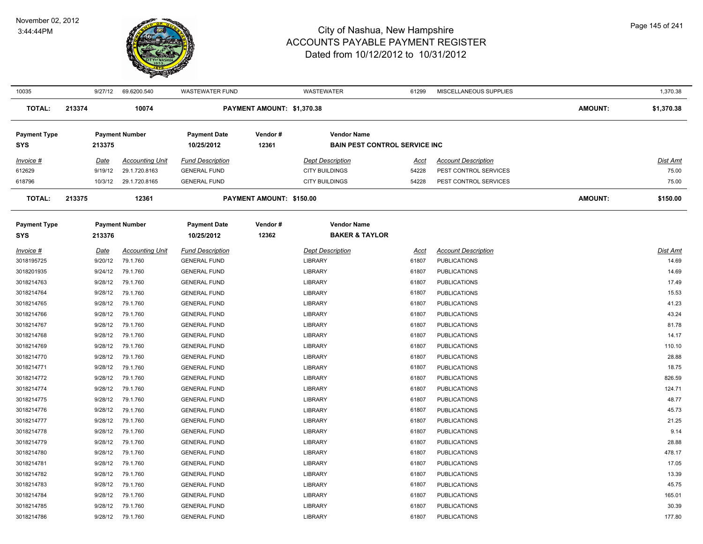

| 10035               |        | 9/27/12     | 69.6200.540            | <b>WASTEWATER FUND</b>  |                            | <b>WASTEWATER</b>                    | 61299 | MISCELLANEOUS SUPPLIES     |                | 1,370.38   |
|---------------------|--------|-------------|------------------------|-------------------------|----------------------------|--------------------------------------|-------|----------------------------|----------------|------------|
| <b>TOTAL:</b>       | 213374 |             | 10074                  |                         | PAYMENT AMOUNT: \$1,370.38 |                                      |       |                            | <b>AMOUNT:</b> | \$1,370.38 |
| <b>Payment Type</b> |        |             | <b>Payment Number</b>  | <b>Payment Date</b>     | Vendor#                    | <b>Vendor Name</b>                   |       |                            |                |            |
| <b>SYS</b>          |        | 213375      |                        | 10/25/2012              | 12361                      | <b>BAIN PEST CONTROL SERVICE INC</b> |       |                            |                |            |
| Invoice #           |        | Date        | <b>Accounting Unit</b> | <b>Fund Description</b> |                            | <b>Dept Description</b>              | Acct  | <b>Account Description</b> |                | Dist Amt   |
| 612629              |        | 9/19/12     | 29.1.720.8163          | <b>GENERAL FUND</b>     |                            | <b>CITY BUILDINGS</b>                | 54228 | PEST CONTROL SERVICES      |                | 75.00      |
| 618796              |        | 10/3/12     | 29.1.720.8165          | <b>GENERAL FUND</b>     |                            | <b>CITY BUILDINGS</b>                | 54228 | PEST CONTROL SERVICES      |                | 75.00      |
| <b>TOTAL:</b>       | 213375 |             | 12361                  |                         | PAYMENT AMOUNT: \$150.00   |                                      |       |                            | <b>AMOUNT:</b> | \$150.00   |
| <b>Payment Type</b> |        |             | <b>Payment Number</b>  | <b>Payment Date</b>     | Vendor#                    | <b>Vendor Name</b>                   |       |                            |                |            |
| <b>SYS</b>          |        | 213376      |                        | 10/25/2012              | 12362                      | <b>BAKER &amp; TAYLOR</b>            |       |                            |                |            |
| Invoice #           |        | <b>Date</b> | <b>Accounting Unit</b> | <b>Fund Description</b> |                            | <b>Dept Description</b>              | Acct  | <b>Account Description</b> |                | Dist Amt   |
| 3018195725          |        | 9/20/12     | 79.1.760               | <b>GENERAL FUND</b>     |                            | <b>LIBRARY</b>                       | 61807 | <b>PUBLICATIONS</b>        |                | 14.69      |
| 3018201935          |        | 9/24/12     | 79.1.760               | <b>GENERAL FUND</b>     |                            | <b>LIBRARY</b>                       | 61807 | <b>PUBLICATIONS</b>        |                | 14.69      |
| 3018214763          |        | 9/28/12     | 79.1.760               | <b>GENERAL FUND</b>     |                            | <b>LIBRARY</b>                       | 61807 | <b>PUBLICATIONS</b>        |                | 17.49      |
| 3018214764          |        | 9/28/12     | 79.1.760               | <b>GENERAL FUND</b>     |                            | <b>LIBRARY</b>                       | 61807 | <b>PUBLICATIONS</b>        |                | 15.53      |
| 3018214765          |        | 9/28/12     | 79.1.760               | <b>GENERAL FUND</b>     |                            | <b>LIBRARY</b>                       | 61807 | <b>PUBLICATIONS</b>        |                | 41.23      |
| 3018214766          |        | 9/28/12     | 79.1.760               | <b>GENERAL FUND</b>     |                            | <b>LIBRARY</b>                       | 61807 | <b>PUBLICATIONS</b>        |                | 43.24      |
| 3018214767          |        | 9/28/12     | 79.1.760               | <b>GENERAL FUND</b>     |                            | <b>LIBRARY</b>                       | 61807 | <b>PUBLICATIONS</b>        |                | 81.78      |
| 3018214768          |        | 9/28/12     | 79.1.760               | <b>GENERAL FUND</b>     |                            | <b>LIBRARY</b>                       | 61807 | <b>PUBLICATIONS</b>        |                | 14.17      |
| 3018214769          |        | 9/28/12     | 79.1.760               | <b>GENERAL FUND</b>     |                            | <b>LIBRARY</b>                       | 61807 | <b>PUBLICATIONS</b>        |                | 110.10     |
| 3018214770          |        | 9/28/12     | 79.1.760               | <b>GENERAL FUND</b>     |                            | <b>LIBRARY</b>                       | 61807 | <b>PUBLICATIONS</b>        |                | 28.88      |
| 3018214771          |        | 9/28/12     | 79.1.760               | <b>GENERAL FUND</b>     |                            | <b>LIBRARY</b>                       | 61807 | <b>PUBLICATIONS</b>        |                | 18.75      |
| 3018214772          |        | 9/28/12     | 79.1.760               | <b>GENERAL FUND</b>     |                            | <b>LIBRARY</b>                       | 61807 | <b>PUBLICATIONS</b>        |                | 826.59     |
| 3018214774          |        | 9/28/12     | 79.1.760               | <b>GENERAL FUND</b>     |                            | <b>LIBRARY</b>                       | 61807 | <b>PUBLICATIONS</b>        |                | 124.71     |
| 3018214775          |        | 9/28/12     | 79.1.760               | <b>GENERAL FUND</b>     |                            | <b>LIBRARY</b>                       | 61807 | <b>PUBLICATIONS</b>        |                | 48.77      |
| 3018214776          |        | 9/28/12     | 79.1.760               | <b>GENERAL FUND</b>     |                            | <b>LIBRARY</b>                       | 61807 | <b>PUBLICATIONS</b>        |                | 45.73      |
| 3018214777          |        | 9/28/12     | 79.1.760               | <b>GENERAL FUND</b>     |                            | <b>LIBRARY</b>                       | 61807 | <b>PUBLICATIONS</b>        |                | 21.25      |
| 3018214778          |        | 9/28/12     | 79.1.760               | <b>GENERAL FUND</b>     |                            | <b>LIBRARY</b>                       | 61807 | <b>PUBLICATIONS</b>        |                | 9.14       |
| 3018214779          |        | 9/28/12     | 79.1.760               | <b>GENERAL FUND</b>     |                            | <b>LIBRARY</b>                       | 61807 | <b>PUBLICATIONS</b>        |                | 28.88      |
| 3018214780          |        | 9/28/12     | 79.1.760               | <b>GENERAL FUND</b>     |                            | <b>LIBRARY</b>                       | 61807 | <b>PUBLICATIONS</b>        |                | 478.17     |
| 3018214781          |        | 9/28/12     | 79.1.760               | <b>GENERAL FUND</b>     |                            | <b>LIBRARY</b>                       | 61807 | <b>PUBLICATIONS</b>        |                | 17.05      |
| 3018214782          |        | 9/28/12     | 79.1.760               | <b>GENERAL FUND</b>     |                            | <b>LIBRARY</b>                       | 61807 | <b>PUBLICATIONS</b>        |                | 13.39      |
| 3018214783          |        | 9/28/12     | 79.1.760               | <b>GENERAL FUND</b>     |                            | <b>LIBRARY</b>                       | 61807 | <b>PUBLICATIONS</b>        |                | 45.75      |
| 3018214784          |        | 9/28/12     | 79.1.760               | <b>GENERAL FUND</b>     |                            | <b>LIBRARY</b>                       | 61807 | <b>PUBLICATIONS</b>        |                | 165.01     |
| 3018214785          |        | 9/28/12     | 79.1.760               | <b>GENERAL FUND</b>     |                            | LIBRARY                              | 61807 | <b>PUBLICATIONS</b>        |                | 30.39      |
| 3018214786          |        | 9/28/12     | 79.1.760               | <b>GENERAL FUND</b>     |                            | LIBRARY                              | 61807 | <b>PUBLICATIONS</b>        |                | 177.80     |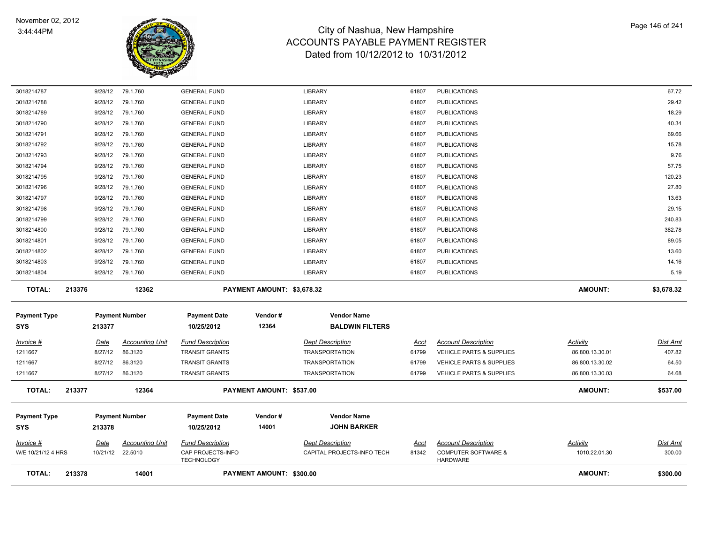

| <b>TOTAL:</b>              | 213378 |         | 14001                  |                                        | PAYMENT AMOUNT: \$300.00   |                                          |             |                                                   | <b>AMOUNT:</b>  | \$300.00        |
|----------------------------|--------|---------|------------------------|----------------------------------------|----------------------------|------------------------------------------|-------------|---------------------------------------------------|-----------------|-----------------|
| W/E 10/21/12 4 HRS         |        |         | 10/21/12 22.5010       | CAP PROJECTS-INFO<br><b>TECHNOLOGY</b> |                            | CAPITAL PROJECTS-INFO TECH               | 81342       | <b>COMPUTER SOFTWARE &amp;</b><br><b>HARDWARE</b> | 1010.22.01.30   | 300.00          |
| Invoice #                  |        | Date    | <b>Accounting Unit</b> | <b>Fund Description</b>                |                            | <b>Dept Description</b>                  | <u>Acct</u> | <b>Account Description</b>                        | <b>Activity</b> | <u>Dist Amt</u> |
| <b>Payment Type</b><br>SYS |        | 213378  | <b>Payment Number</b>  | <b>Payment Date</b><br>10/25/2012      | Vendor#<br>14001           | <b>Vendor Name</b><br><b>JOHN BARKER</b> |             |                                                   |                 |                 |
| <b>TOTAL:</b>              | 213377 |         | 12364                  |                                        | PAYMENT AMOUNT: \$537.00   |                                          |             |                                                   | <b>AMOUNT:</b>  | \$537.00        |
| 1211667                    |        | 8/27/12 | 86.3120                | <b>TRANSIT GRANTS</b>                  |                            | <b>TRANSPORTATION</b>                    | 61799       | VEHICLE PARTS & SUPPLIES                          | 86.800.13.30.03 | 64.68           |
| 1211667                    |        | 8/27/12 | 86.3120                | <b>TRANSIT GRANTS</b>                  |                            | <b>TRANSPORTATION</b>                    | 61799       | <b>VEHICLE PARTS &amp; SUPPLIES</b>               | 86.800.13.30.02 | 64.50           |
| 1211667                    |        | 8/27/12 | 86.3120                | <b>TRANSIT GRANTS</b>                  |                            | <b>TRANSPORTATION</b>                    | 61799       | <b>VEHICLE PARTS &amp; SUPPLIES</b>               | 86.800.13.30.01 | 407.82          |
| <u>Invoice #</u>           |        | Date    | <b>Accounting Unit</b> | <b>Fund Description</b>                |                            | <b>Dept Description</b>                  | Acct        | <b>Account Description</b>                        | Activity        | <b>Dist Amt</b> |
| <b>SYS</b>                 |        | 213377  |                        | 10/25/2012                             | 12364                      | <b>BALDWIN FILTERS</b>                   |             |                                                   |                 |                 |
| <b>Payment Type</b>        |        |         | <b>Payment Number</b>  | <b>Payment Date</b>                    | Vendor#                    | <b>Vendor Name</b>                       |             |                                                   |                 |                 |
| <b>TOTAL:</b>              | 213376 |         | 12362                  |                                        | PAYMENT AMOUNT: \$3,678.32 |                                          |             |                                                   | <b>AMOUNT:</b>  | \$3,678.32      |
| 3018214804                 |        | 9/28/12 | 79.1.760               | <b>GENERAL FUND</b>                    |                            | <b>LIBRARY</b>                           | 61807       | <b>PUBLICATIONS</b>                               |                 | 5.19            |
| 3018214803                 |        | 9/28/12 | 79.1.760               | <b>GENERAL FUND</b>                    |                            | <b>LIBRARY</b>                           | 61807       | <b>PUBLICATIONS</b>                               |                 | 14.16           |
| 3018214802                 |        | 9/28/12 | 79.1.760               | <b>GENERAL FUND</b>                    |                            | <b>LIBRARY</b>                           | 61807       | <b>PUBLICATIONS</b>                               |                 | 13.60           |
| 3018214801                 |        | 9/28/12 | 79.1.760               | <b>GENERAL FUND</b>                    |                            | LIBRARY                                  | 61807       | <b>PUBLICATIONS</b>                               |                 | 89.05           |
| 3018214800                 |        | 9/28/12 | 79.1.760               | <b>GENERAL FUND</b>                    |                            | <b>LIBRARY</b>                           | 61807       | <b>PUBLICATIONS</b>                               |                 | 382.78          |
| 3018214799                 |        | 9/28/12 | 79.1.760               | <b>GENERAL FUND</b>                    |                            | <b>LIBRARY</b>                           | 61807       | <b>PUBLICATIONS</b>                               |                 | 240.83          |
| 3018214798                 |        | 9/28/12 | 79.1.760               | <b>GENERAL FUND</b>                    |                            | <b>LIBRARY</b>                           | 61807       | <b>PUBLICATIONS</b>                               |                 | 29.15           |
| 3018214797                 |        | 9/28/12 | 79.1.760               | <b>GENERAL FUND</b>                    |                            | <b>LIBRARY</b>                           | 61807       | <b>PUBLICATIONS</b>                               |                 | 13.63           |
| 3018214796                 |        | 9/28/12 | 79.1.760               | <b>GENERAL FUND</b>                    |                            | <b>LIBRARY</b>                           | 61807       | <b>PUBLICATIONS</b>                               |                 | 27.80           |
| 3018214795                 |        | 9/28/12 | 79.1.760               | <b>GENERAL FUND</b>                    |                            | <b>LIBRARY</b>                           | 61807       | <b>PUBLICATIONS</b>                               |                 | 120.23          |
| 3018214794                 |        | 9/28/12 | 79.1.760               | <b>GENERAL FUND</b>                    |                            | <b>LIBRARY</b>                           | 61807       | <b>PUBLICATIONS</b>                               |                 | 57.75           |
| 3018214793                 |        | 9/28/12 | 79.1.760               | <b>GENERAL FUND</b>                    |                            | <b>LIBRARY</b>                           | 61807       | <b>PUBLICATIONS</b>                               |                 | 9.76            |
| 3018214792                 |        | 9/28/12 | 79.1.760               | <b>GENERAL FUND</b>                    |                            | <b>LIBRARY</b>                           | 61807       | <b>PUBLICATIONS</b>                               |                 | 15.78           |
| 3018214791                 |        | 9/28/12 | 79.1.760               | <b>GENERAL FUND</b>                    |                            | <b>LIBRARY</b>                           | 61807       | <b>PUBLICATIONS</b>                               |                 | 69.66           |
| 3018214790                 |        | 9/28/12 | 79.1.760               | <b>GENERAL FUND</b>                    |                            | <b>LIBRARY</b>                           | 61807       | <b>PUBLICATIONS</b>                               |                 | 40.34           |
| 3018214789                 |        | 9/28/12 | 79.1.760               | <b>GENERAL FUND</b>                    |                            | <b>LIBRARY</b>                           | 61807       | <b>PUBLICATIONS</b>                               |                 | 18.29           |
| 3018214788                 |        | 9/28/12 | 79.1.760               | <b>GENERAL FUND</b>                    |                            | <b>LIBRARY</b>                           | 61807       | <b>PUBLICATIONS</b>                               |                 | 29.42           |
| 3018214787                 |        | 9/28/12 | 79.1.760               | <b>GENERAL FUND</b>                    |                            | LIBRARY                                  | 61807       | <b>PUBLICATIONS</b>                               |                 | 67.72           |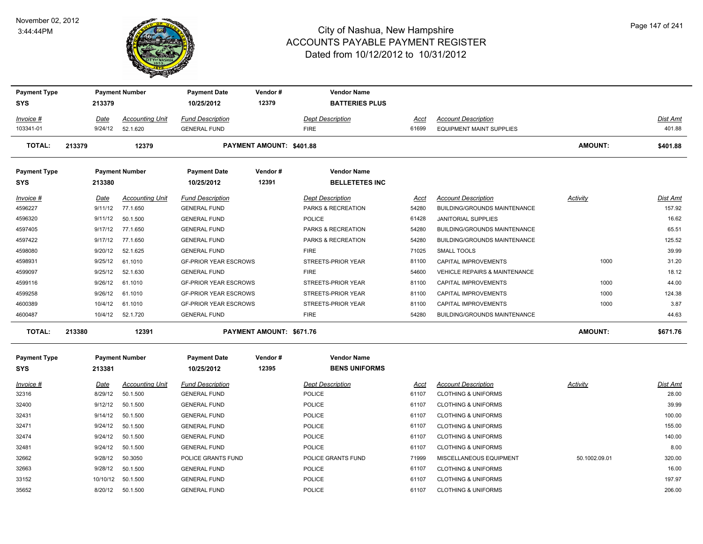#### November 02, 2012 3:44:44PM



| <b>Payment Type</b><br><b>SYS</b> |        | 213379          | <b>Payment Number</b>              | <b>Payment Date</b><br>10/25/2012              | Vendor#<br>12379         | <b>Vendor Name</b><br><b>BATTERIES PLUS</b>   |               |                                                            |                |                           |
|-----------------------------------|--------|-----------------|------------------------------------|------------------------------------------------|--------------------------|-----------------------------------------------|---------------|------------------------------------------------------------|----------------|---------------------------|
| Invoice #                         |        | Date            | <b>Accounting Unit</b>             | <b>Fund Description</b>                        |                          | Dept Description                              | Acct          | <b>Account Description</b>                                 |                | <b>Dist Amt</b>           |
| 103341-01                         |        | 9/24/12         | 52.1.620                           | <b>GENERAL FUND</b>                            |                          | <b>FIRE</b>                                   | 61699         | <b>EQUIPMENT MAINT SUPPLIES</b>                            |                | 401.88                    |
| <b>TOTAL:</b>                     | 213379 |                 | 12379                              |                                                | PAYMENT AMOUNT: \$401.88 |                                               |               |                                                            | <b>AMOUNT:</b> | \$401.88                  |
| <b>Payment Type</b>               |        |                 | <b>Payment Number</b>              | <b>Payment Date</b>                            | Vendor#                  | <b>Vendor Name</b>                            |               |                                                            |                |                           |
| <b>SYS</b>                        |        | 213380          |                                    | 10/25/2012                                     | 12391                    | <b>BELLETETES INC</b>                         |               |                                                            |                |                           |
| Invoice #<br>4596227              |        | Date<br>9/11/12 | <b>Accounting Unit</b><br>77.1.650 | <b>Fund Description</b><br><b>GENERAL FUND</b> |                          | <b>Dept Description</b><br>PARKS & RECREATION | Acct<br>54280 | <b>Account Description</b><br>BUILDING/GROUNDS MAINTENANCE | Activity       | <b>Dist Amt</b><br>157.92 |
| 4596320                           |        | 9/11/12         | 50.1.500                           | <b>GENERAL FUND</b>                            |                          | <b>POLICE</b>                                 | 61428         | <b>JANITORIAL SUPPLIES</b>                                 |                | 16.62                     |
| 4597405                           |        | 9/17/12         | 77.1.650                           | <b>GENERAL FUND</b>                            |                          | PARKS & RECREATION                            | 54280         | BUILDING/GROUNDS MAINTENANCE                               |                | 65.51                     |
| 4597422                           |        | 9/17/12         | 77.1.650                           | <b>GENERAL FUND</b>                            |                          | PARKS & RECREATION                            | 54280         | BUILDING/GROUNDS MAINTENANCE                               |                | 125.52                    |
| 4598080                           |        | 9/20/12         | 52.1.625                           | <b>GENERAL FUND</b>                            |                          | <b>FIRE</b>                                   | 71025         | <b>SMALL TOOLS</b>                                         |                | 39.99                     |
| 4598931                           |        | 9/25/12         | 61.1010                            | <b>GF-PRIOR YEAR ESCROWS</b>                   |                          | STREETS-PRIOR YEAR                            | 81100         | CAPITAL IMPROVEMENTS                                       | 1000           | 31.20                     |
| 4599097                           |        | 9/25/12         | 52.1.630                           | <b>GENERAL FUND</b>                            |                          | <b>FIRE</b>                                   | 54600         | <b>VEHICLE REPAIRS &amp; MAINTENANCE</b>                   |                | 18.12                     |
| 4599116                           |        | 9/26/12         | 61.1010                            | <b>GF-PRIOR YEAR ESCROWS</b>                   |                          | STREETS-PRIOR YEAR                            | 81100         | CAPITAL IMPROVEMENTS                                       | 1000           | 44.00                     |
| 4599258                           |        | 9/26/12         | 61.1010                            | <b>GF-PRIOR YEAR ESCROWS</b>                   |                          | STREETS-PRIOR YEAR                            | 81100         | CAPITAL IMPROVEMENTS                                       | 1000           | 124.38                    |
| 4600389                           |        | 10/4/12         | 61.1010                            | <b>GF-PRIOR YEAR ESCROWS</b>                   |                          | STREETS-PRIOR YEAR                            | 81100         | CAPITAL IMPROVEMENTS                                       | 1000           | 3.87                      |
| 4600487                           |        | 10/4/12         | 52.1.720                           | <b>GENERAL FUND</b>                            |                          | <b>FIRE</b>                                   | 54280         | BUILDING/GROUNDS MAINTENANCE                               |                | 44.63                     |
| <b>TOTAL:</b>                     | 213380 |                 | 12391                              |                                                | PAYMENT AMOUNT: \$671.76 |                                               |               |                                                            | <b>AMOUNT:</b> | \$671.76                  |
| <b>Payment Type</b>               |        |                 | <b>Payment Number</b>              | <b>Payment Date</b>                            | Vendor#                  | <b>Vendor Name</b>                            |               |                                                            |                |                           |
| <b>SYS</b>                        |        | 213381          |                                    | 10/25/2012                                     | 12395                    | <b>BENS UNIFORMS</b>                          |               |                                                            |                |                           |
| Invoice #                         |        | Date            | <b>Accounting Unit</b>             | <b>Fund Description</b>                        |                          | <b>Dept Description</b>                       | Acct          | <b>Account Description</b>                                 | Activity       | <b>Dist Amt</b>           |
| 32316                             |        | 8/29/12         | 50.1.500                           | <b>GENERAL FUND</b>                            |                          | <b>POLICE</b>                                 | 61107         | <b>CLOTHING &amp; UNIFORMS</b>                             |                | 28.00                     |
| 32400                             |        | 9/12/12         | 50.1.500                           | <b>GENERAL FUND</b>                            |                          | <b>POLICE</b>                                 | 61107         | <b>CLOTHING &amp; UNIFORMS</b>                             |                | 39.99                     |
| 32431                             |        | 9/14/12         | 50.1.500                           | <b>GENERAL FUND</b>                            |                          | <b>POLICE</b>                                 | 61107         | <b>CLOTHING &amp; UNIFORMS</b>                             |                | 100.00                    |
| 32471                             |        | 9/24/12         | 50.1.500                           | <b>GENERAL FUND</b>                            |                          | <b>POLICE</b>                                 | 61107         | <b>CLOTHING &amp; UNIFORMS</b>                             |                | 155.00                    |
| 32474                             |        | 9/24/12         | 50.1.500                           | <b>GENERAL FUND</b>                            |                          | POLICE                                        | 61107         | <b>CLOTHING &amp; UNIFORMS</b>                             |                | 140.00                    |
| 32481                             |        | 9/24/12         | 50.1.500                           | <b>GENERAL FUND</b>                            |                          | <b>POLICE</b>                                 | 61107         | <b>CLOTHING &amp; UNIFORMS</b>                             |                | 8.00                      |
| 32662                             |        | 9/28/12         | 50.3050                            | POLICE GRANTS FUND                             |                          | POLICE GRANTS FUND                            | 71999         | MISCELLANEOUS EQUIPMENT                                    | 50.1002.09.01  | 320.00                    |
| 32663                             |        | 9/28/12         | 50.1.500                           | <b>GENERAL FUND</b>                            |                          | <b>POLICE</b>                                 | 61107         | <b>CLOTHING &amp; UNIFORMS</b>                             |                | 16.00                     |
| 33152                             |        | 10/10/12        | 50.1.500                           | <b>GENERAL FUND</b>                            |                          | <b>POLICE</b>                                 | 61107         | <b>CLOTHING &amp; UNIFORMS</b>                             |                | 197.97                    |
| 35652                             |        | 8/20/12         | 50.1.500                           | <b>GENERAL FUND</b>                            |                          | <b>POLICE</b>                                 | 61107         | <b>CLOTHING &amp; UNIFORMS</b>                             |                | 206.00                    |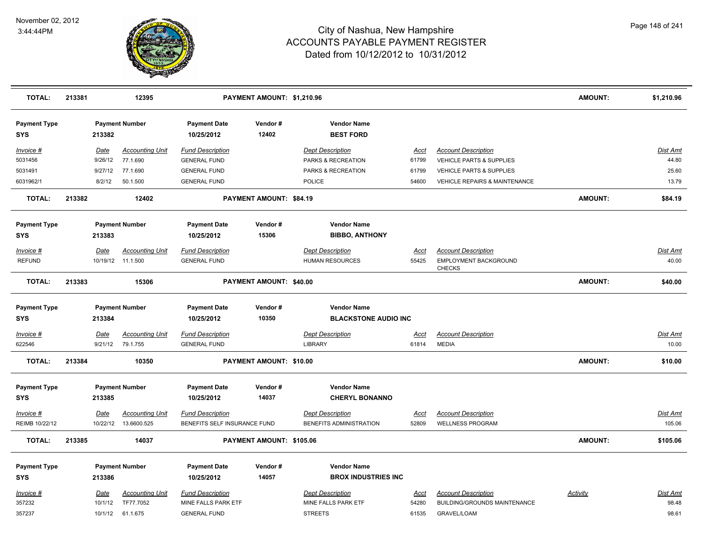

| <b>TOTAL:</b>                     | 213381 |                 | 12395                              |                                                | PAYMENT AMOUNT: \$1,210.96 |                                                  |               |                                            | <b>AMOUNT:</b>  | \$1,210.96        |
|-----------------------------------|--------|-----------------|------------------------------------|------------------------------------------------|----------------------------|--------------------------------------------------|---------------|--------------------------------------------|-----------------|-------------------|
| <b>Payment Type</b><br><b>SYS</b> |        | 213382          | <b>Payment Number</b>              | <b>Payment Date</b><br>10/25/2012              | Vendor#<br>12402           | <b>Vendor Name</b><br><b>BEST FORD</b>           |               |                                            |                 |                   |
| Invoice #                         |        | Date            | <b>Accounting Unit</b>             | <b>Fund Description</b>                        |                            | <b>Dept Description</b>                          | Acct          | <b>Account Description</b>                 |                 | <b>Dist Amt</b>   |
| 5031456                           |        | 9/26/12         | 77.1.690                           | <b>GENERAL FUND</b>                            |                            | PARKS & RECREATION                               | 61799         | VEHICLE PARTS & SUPPLIES                   |                 | 44.80             |
| 5031491                           |        | 9/27/12         | 77.1.690                           | <b>GENERAL FUND</b>                            |                            | PARKS & RECREATION                               | 61799         | <b>VEHICLE PARTS &amp; SUPPLIES</b>        |                 | 25.60             |
| 6031962/1                         |        | 8/2/12          | 50.1.500                           | <b>GENERAL FUND</b>                            |                            | POLICE                                           | 54600         | VEHICLE REPAIRS & MAINTENANCE              |                 | 13.79             |
| <b>TOTAL:</b>                     | 213382 |                 | 12402                              |                                                | PAYMENT AMOUNT: \$84.19    |                                                  |               |                                            | <b>AMOUNT:</b>  | \$84.19           |
| <b>Payment Type</b>               |        |                 | <b>Payment Number</b>              | <b>Payment Date</b>                            | Vendor#                    | <b>Vendor Name</b>                               |               |                                            |                 |                   |
| SYS                               |        | 213383          |                                    | 10/25/2012                                     | 15306                      | <b>BIBBO, ANTHONY</b>                            |               |                                            |                 |                   |
| Invoice #                         |        | Date            | <b>Accounting Unit</b>             | <b>Fund Description</b>                        |                            | <b>Dept Description</b>                          | <b>Acct</b>   | <b>Account Description</b>                 |                 | <b>Dist Amt</b>   |
| <b>REFUND</b>                     |        |                 | 10/19/12 11.1.500                  | <b>GENERAL FUND</b>                            |                            | <b>HUMAN RESOURCES</b>                           | 55425         | <b>EMPLOYMENT BACKGROUND</b><br>CHECKS     |                 | 40.00             |
| <b>TOTAL:</b>                     | 213383 |                 | 15306                              |                                                | PAYMENT AMOUNT: \$40.00    |                                                  |               |                                            | <b>AMOUNT:</b>  | \$40.00           |
| <b>Payment Type</b>               |        |                 | <b>Payment Number</b>              | <b>Payment Date</b>                            | Vendor#                    | <b>Vendor Name</b>                               |               |                                            |                 |                   |
| <b>SYS</b>                        |        | 213384          |                                    | 10/25/2012                                     | 10350                      | <b>BLACKSTONE AUDIO INC</b>                      |               |                                            |                 |                   |
| Invoice #<br>622546               |        | Date<br>9/21/12 | <b>Accounting Unit</b><br>79.1.755 | <b>Fund Description</b><br><b>GENERAL FUND</b> |                            | <b>Dept Description</b><br><b>LIBRARY</b>        | Acct<br>61814 | <b>Account Description</b><br><b>MEDIA</b> |                 | Dist Amt<br>10.00 |
| <b>TOTAL:</b>                     | 213384 |                 | 10350                              |                                                | PAYMENT AMOUNT: \$10.00    |                                                  |               |                                            | <b>AMOUNT:</b>  | \$10.00           |
| <b>Payment Type</b><br><b>SYS</b> |        | 213385          | <b>Payment Number</b>              | <b>Payment Date</b><br>10/25/2012              | Vendor#<br>14037           | <b>Vendor Name</b><br><b>CHERYL BONANNO</b>      |               |                                            |                 |                   |
| Invoice #                         |        | <b>Date</b>     | <b>Accounting Unit</b>             | <b>Fund Description</b>                        |                            | <b>Dept Description</b>                          | Acct          | <b>Account Description</b>                 |                 | <b>Dist Amt</b>   |
| REIMB 10/22/12                    |        | 10/22/12        | 13.6600.525                        | BENEFITS SELF INSURANCE FUND                   |                            | BENEFITS ADMINISTRATION                          | 52809         | <b>WELLNESS PROGRAM</b>                    |                 | 105.06            |
| <b>TOTAL:</b>                     | 213385 |                 | 14037                              |                                                | PAYMENT AMOUNT: \$105.06   |                                                  |               |                                            | <b>AMOUNT:</b>  | \$105.06          |
| <b>Payment Type</b><br><b>SYS</b> |        | 213386          | <b>Payment Number</b>              | <b>Payment Date</b><br>10/25/2012              | Vendor#<br>14057           | <b>Vendor Name</b><br><b>BROX INDUSTRIES INC</b> |               |                                            |                 |                   |
| Invoice #                         |        | Date            | <b>Accounting Unit</b>             | <b>Fund Description</b>                        |                            | <b>Dept Description</b>                          | <b>Acct</b>   | <b>Account Description</b>                 | <b>Activity</b> | Dist Amt          |
| 357232                            |        | 10/1/12         | TF77.7052                          | MINE FALLS PARK ETF                            |                            | MINE FALLS PARK ETF                              | 54280         | BUILDING/GROUNDS MAINTENANCE               |                 | 98.48             |
| 357237                            |        |                 | 10/1/12 61.1.675                   | <b>GENERAL FUND</b>                            |                            | <b>STREETS</b>                                   | 61535         | <b>GRAVEL/LOAM</b>                         |                 | 98.61             |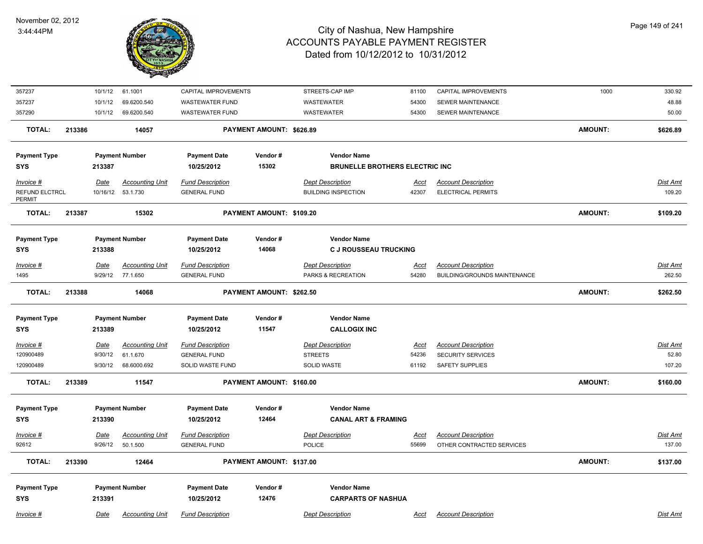

| 357237                   |        | 10/1/12     | 61.1001                | CAPITAL IMPROVEMENTS    |                          | STREETS-CAP IMP                       | 81100       | CAPITAL IMPROVEMENTS                | 1000           | 330.92          |
|--------------------------|--------|-------------|------------------------|-------------------------|--------------------------|---------------------------------------|-------------|-------------------------------------|----------------|-----------------|
| 357237                   |        | 10/1/12     | 69.6200.540            | <b>WASTEWATER FUND</b>  |                          | WASTEWATER                            | 54300       | SEWER MAINTENANCE                   |                | 48.88           |
| 357290                   |        | 10/1/12     | 69.6200.540            | <b>WASTEWATER FUND</b>  |                          | WASTEWATER                            | 54300       | SEWER MAINTENANCE                   |                | 50.00           |
| <b>TOTAL:</b>            | 213386 |             | 14057                  |                         | PAYMENT AMOUNT: \$626.89 |                                       |             |                                     | <b>AMOUNT:</b> | \$626.89        |
| <b>Payment Type</b>      |        |             | <b>Payment Number</b>  | <b>Payment Date</b>     | Vendor#                  | <b>Vendor Name</b>                    |             |                                     |                |                 |
| <b>SYS</b>               |        | 213387      |                        | 10/25/2012              | 15302                    | <b>BRUNELLE BROTHERS ELECTRIC INC</b> |             |                                     |                |                 |
| Invoice #                |        | Date        | <b>Accounting Unit</b> | <b>Fund Description</b> |                          | <b>Dept Description</b>               | Acct        | <b>Account Description</b>          |                | Dist Amt        |
| REFUND ELCTRCL<br>PERMIT |        | 10/16/12    | 53.1.730               | <b>GENERAL FUND</b>     |                          | <b>BUILDING INSPECTION</b>            | 42307       | <b>ELECTRICAL PERMITS</b>           |                | 109.20          |
| <b>TOTAL:</b>            | 213387 |             | 15302                  |                         | PAYMENT AMOUNT: \$109.20 |                                       |             |                                     | <b>AMOUNT:</b> | \$109.20        |
| <b>Payment Type</b>      |        |             | <b>Payment Number</b>  | <b>Payment Date</b>     | Vendor#                  | <b>Vendor Name</b>                    |             |                                     |                |                 |
| <b>SYS</b>               |        | 213388      |                        | 10/25/2012              | 14068                    | <b>C J ROUSSEAU TRUCKING</b>          |             |                                     |                |                 |
| Invoice #                |        | <b>Date</b> | <b>Accounting Unit</b> | <b>Fund Description</b> |                          | <b>Dept Description</b>               | <u>Acct</u> | <b>Account Description</b>          |                | Dist Amt        |
| 1495                     |        | 9/29/12     | 77.1.650               | <b>GENERAL FUND</b>     |                          | PARKS & RECREATION                    | 54280       | <b>BUILDING/GROUNDS MAINTENANCE</b> |                | 262.50          |
| <b>TOTAL:</b>            | 213388 |             | 14068                  |                         | PAYMENT AMOUNT: \$262.50 |                                       |             |                                     | <b>AMOUNT:</b> | \$262.50        |
| <b>Payment Type</b>      |        |             | <b>Payment Number</b>  | <b>Payment Date</b>     | Vendor#                  | <b>Vendor Name</b>                    |             |                                     |                |                 |
| <b>SYS</b>               |        | 213389      |                        | 10/25/2012              | 11547                    | <b>CALLOGIX INC</b>                   |             |                                     |                |                 |
| Invoice #                |        | Date        | <b>Accounting Unit</b> | <b>Fund Description</b> |                          | <b>Dept Description</b>               | Acct        | <b>Account Description</b>          |                | Dist Amt        |
| 120900489                |        | 9/30/12     | 61.1.670               | <b>GENERAL FUND</b>     |                          | <b>STREETS</b>                        | 54236       | <b>SECURITY SERVICES</b>            |                | 52.80           |
| 120900489                |        | 9/30/12     | 68.6000.692            | <b>SOLID WASTE FUND</b> |                          | <b>SOLID WASTE</b>                    | 61192       | <b>SAFETY SUPPLIES</b>              |                | 107.20          |
| <b>TOTAL:</b>            | 213389 |             | 11547                  |                         | PAYMENT AMOUNT: \$160.00 |                                       |             |                                     | <b>AMOUNT:</b> | \$160.00        |
| <b>Payment Type</b>      |        |             | <b>Payment Number</b>  | <b>Payment Date</b>     | Vendor#                  | <b>Vendor Name</b>                    |             |                                     |                |                 |
| <b>SYS</b>               |        | 213390      |                        | 10/25/2012              | 12464                    | <b>CANAL ART &amp; FRAMING</b>        |             |                                     |                |                 |
| Invoice #                |        | <u>Date</u> | <b>Accounting Unit</b> | <b>Fund Description</b> |                          | <b>Dept Description</b>               | <u>Acct</u> | <b>Account Description</b>          |                | <u>Dist Amt</u> |
| 92612                    |        | 9/26/12     | 50.1.500               | <b>GENERAL FUND</b>     |                          | POLICE                                | 55699       | OTHER CONTRACTED SERVICES           |                | 137.00          |
| <b>TOTAL:</b>            | 213390 |             | 12464                  |                         | PAYMENT AMOUNT: \$137.00 |                                       |             |                                     | <b>AMOUNT:</b> | \$137.00        |
| <b>Payment Type</b>      |        |             | <b>Payment Number</b>  | <b>Payment Date</b>     | Vendor#                  | <b>Vendor Name</b>                    |             |                                     |                |                 |
| <b>SYS</b>               |        | 213391      |                        | 10/25/2012              | 12476                    | <b>CARPARTS OF NASHUA</b>             |             |                                     |                |                 |
| Invoice #                |        | Date        | <b>Accounting Unit</b> | <b>Fund Description</b> |                          | <b>Dept Description</b>               | Acct        | <b>Account Description</b>          |                | Dist Amt        |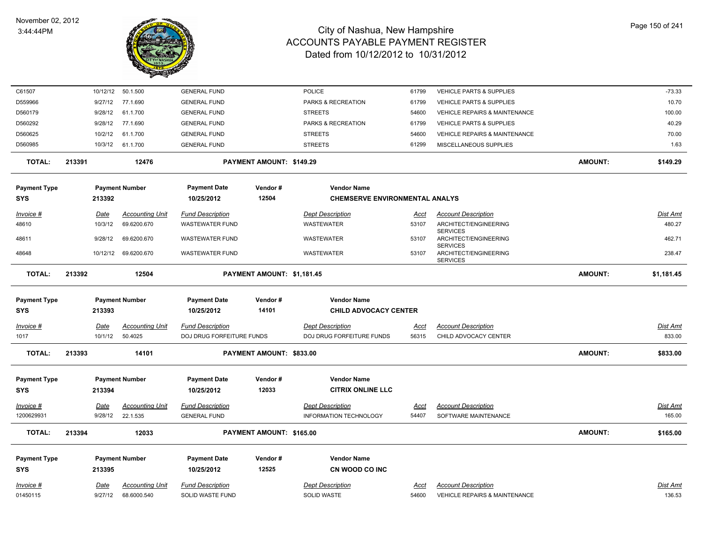

| C61507              |        | 10/12/12    | 50.1.500               | <b>GENERAL FUND</b>       |                            | <b>POLICE</b>                         | 61799       | <b>VEHICLE PARTS &amp; SUPPLIES</b>                         |                | $-73.33$        |
|---------------------|--------|-------------|------------------------|---------------------------|----------------------------|---------------------------------------|-------------|-------------------------------------------------------------|----------------|-----------------|
| D559966             |        | 9/27/12     | 77.1.690               | <b>GENERAL FUND</b>       |                            | PARKS & RECREATION                    | 61799       | VEHICLE PARTS & SUPPLIES                                    |                | 10.70           |
| D560179             |        | 9/28/12     | 61.1.700               | <b>GENERAL FUND</b>       |                            | <b>STREETS</b>                        | 54600       | <b>VEHICLE REPAIRS &amp; MAINTENANCE</b>                    |                | 100.00          |
| D560292             |        | 9/28/12     | 77.1.690               | <b>GENERAL FUND</b>       |                            | PARKS & RECREATION                    | 61799       | <b>VEHICLE PARTS &amp; SUPPLIES</b>                         |                | 40.29           |
| D560625             |        | 10/2/12     | 61.1.700               | <b>GENERAL FUND</b>       |                            | <b>STREETS</b>                        | 54600       | VEHICLE REPAIRS & MAINTENANCE                               |                | 70.00           |
| D560985             |        | 10/3/12     | 61.1.700               | <b>GENERAL FUND</b>       |                            | <b>STREETS</b>                        | 61299       | MISCELLANEOUS SUPPLIES                                      |                | 1.63            |
| <b>TOTAL:</b>       | 213391 |             | 12476                  |                           | PAYMENT AMOUNT: \$149.29   |                                       |             |                                                             | <b>AMOUNT:</b> | \$149.29        |
| <b>Payment Type</b> |        |             | <b>Payment Number</b>  | <b>Payment Date</b>       | Vendor#                    | <b>Vendor Name</b>                    |             |                                                             |                |                 |
| SYS                 |        | 213392      |                        | 10/25/2012                | 12504                      | <b>CHEMSERVE ENVIRONMENTAL ANALYS</b> |             |                                                             |                |                 |
| Invoice #           |        | <u>Date</u> | <b>Accounting Unit</b> | <b>Fund Description</b>   |                            | <b>Dept Description</b>               | Acct        | <b>Account Description</b>                                  |                | Dist Amt        |
| 48610               |        | 10/3/12     | 69.6200.670            | <b>WASTEWATER FUND</b>    |                            | <b>WASTEWATER</b>                     | 53107       | ARCHITECT/ENGINEERING                                       |                | 480.27          |
| 48611               |        | 9/28/12     | 69.6200.670            | <b>WASTEWATER FUND</b>    |                            | WASTEWATER                            | 53107       | <b>SERVICES</b><br>ARCHITECT/ENGINEERING                    |                | 462.71          |
| 48648               |        |             | 10/12/12 69.6200.670   | <b>WASTEWATER FUND</b>    |                            | WASTEWATER                            | 53107       | <b>SERVICES</b><br>ARCHITECT/ENGINEERING<br><b>SERVICES</b> |                | 238.47          |
| <b>TOTAL:</b>       | 213392 |             | 12504                  |                           | PAYMENT AMOUNT: \$1,181.45 |                                       |             |                                                             | <b>AMOUNT:</b> | \$1,181.45      |
| <b>Payment Type</b> |        |             | <b>Payment Number</b>  | <b>Payment Date</b>       | Vendor#                    | <b>Vendor Name</b>                    |             |                                                             |                |                 |
| <b>SYS</b>          |        | 213393      |                        | 10/25/2012                | 14101                      | <b>CHILD ADVOCACY CENTER</b>          |             |                                                             |                |                 |
| Invoice #           |        | Date        | <b>Accounting Unit</b> | <b>Fund Description</b>   |                            | <b>Dept Description</b>               | <u>Acct</u> | <b>Account Description</b>                                  |                | <b>Dist Amt</b> |
| 1017                |        | 10/1/12     | 50.4025                | DOJ DRUG FORFEITURE FUNDS |                            | DOJ DRUG FORFEITURE FUNDS             | 56315       | CHILD ADVOCACY CENTER                                       |                | 833.00          |
| <b>TOTAL:</b>       | 213393 |             | 14101                  |                           | PAYMENT AMOUNT: \$833.00   |                                       |             |                                                             | <b>AMOUNT:</b> | \$833.00        |
| <b>Payment Type</b> |        |             | <b>Payment Number</b>  | <b>Payment Date</b>       | Vendor#                    | <b>Vendor Name</b>                    |             |                                                             |                |                 |
| <b>SYS</b>          |        | 213394      |                        | 10/25/2012                | 12033                      | <b>CITRIX ONLINE LLC</b>              |             |                                                             |                |                 |
| Invoice #           |        | Date        | <b>Accounting Unit</b> | <b>Fund Description</b>   |                            | <b>Dept Description</b>               | <u>Acct</u> | <b>Account Description</b>                                  |                | <b>Dist Amt</b> |
| 1200629931          |        | 9/28/12     | 22.1.535               | <b>GENERAL FUND</b>       |                            | <b>INFORMATION TECHNOLOGY</b>         | 54407       | SOFTWARE MAINTENANCE                                        |                | 165.00          |
| <b>TOTAL:</b>       | 213394 |             | 12033                  |                           | PAYMENT AMOUNT: \$165.00   |                                       |             |                                                             | <b>AMOUNT:</b> | \$165.00        |
| <b>Payment Type</b> |        |             | <b>Payment Number</b>  | <b>Payment Date</b>       | Vendor#                    | <b>Vendor Name</b>                    |             |                                                             |                |                 |
| SYS                 |        | 213395      |                        | 10/25/2012                | 12525                      | CN WOOD CO INC                        |             |                                                             |                |                 |
| Invoice #           |        | Date        | <b>Accounting Unit</b> | <b>Fund Description</b>   |                            | <b>Dept Description</b>               | Acct        | <b>Account Description</b>                                  |                | Dist Amt        |
| 01450115            |        | 9/27/12     | 68.6000.540            | SOLID WASTE FUND          |                            | <b>SOLID WASTE</b>                    | 54600       | <b>VEHICLE REPAIRS &amp; MAINTENANCE</b>                    |                | 136.53          |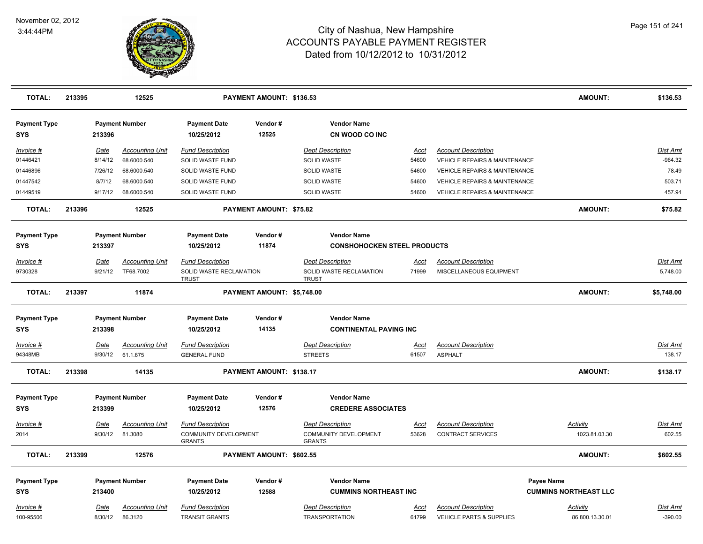

| <b>TOTAL:</b>                     | 213395 |             | 12525                  |                                        | PAYMENT AMOUNT: \$136.53   |                                                 |               |                                          | <b>AMOUNT:</b>               | \$136.53        |
|-----------------------------------|--------|-------------|------------------------|----------------------------------------|----------------------------|-------------------------------------------------|---------------|------------------------------------------|------------------------------|-----------------|
| <b>Payment Type</b><br><b>SYS</b> |        | 213396      | <b>Payment Number</b>  | <b>Payment Date</b><br>10/25/2012      | Vendor#<br>12525           | <b>Vendor Name</b><br>CN WOOD CO INC            |               |                                          |                              |                 |
| Invoice #                         |        | Date        | <b>Accounting Unit</b> | <b>Fund Description</b>                |                            | <b>Dept Description</b>                         | Acct          | <b>Account Description</b>               |                              | <b>Dist Amt</b> |
| 01446421                          |        | 8/14/12     | 68.6000.540            | SOLID WASTE FUND                       |                            | SOLID WASTE                                     | 54600         | VEHICLE REPAIRS & MAINTENANCE            |                              | $-964.32$       |
| 01446896                          |        | 7/26/12     | 68.6000.540            | SOLID WASTE FUND                       |                            | <b>SOLID WASTE</b>                              | 54600         | <b>VEHICLE REPAIRS &amp; MAINTENANCE</b> |                              | 78.49           |
| 01447542                          |        | 8/7/12      | 68.6000.540            | SOLID WASTE FUND                       |                            | <b>SOLID WASTE</b>                              | 54600         | VEHICLE REPAIRS & MAINTENANCE            |                              | 503.71          |
| 01449519                          |        | 9/17/12     | 68.6000.540            | SOLID WASTE FUND                       |                            | <b>SOLID WASTE</b>                              | 54600         | <b>VEHICLE REPAIRS &amp; MAINTENANCE</b> |                              | 457.94          |
| <b>TOTAL:</b>                     | 213396 |             | 12525                  |                                        | PAYMENT AMOUNT: \$75.82    |                                                 |               |                                          | <b>AMOUNT:</b>               | \$75.82         |
| <b>Payment Type</b>               |        |             | <b>Payment Number</b>  | <b>Payment Date</b>                    | Vendor#                    | <b>Vendor Name</b>                              |               |                                          |                              |                 |
| <b>SYS</b>                        |        | 213397      |                        | 10/25/2012                             | 11874                      | <b>CONSHOHOCKEN STEEL PRODUCTS</b>              |               |                                          |                              |                 |
| Invoice #                         |        | Date        | <b>Accounting Unit</b> | <b>Fund Description</b>                |                            | <b>Dept Description</b>                         | <u>Acct</u>   | <b>Account Description</b>               |                              | <b>Dist Amt</b> |
| 9730328                           |        | 9/21/12     | TF68.7002              | SOLID WASTE RECLAMATION                |                            | SOLID WASTE RECLAMATION                         | 71999         | MISCELLANEOUS EQUIPMENT                  |                              | 5,748.00        |
|                                   |        |             |                        | <b>TRUST</b>                           |                            | <b>TRUST</b>                                    |               |                                          |                              |                 |
| <b>TOTAL:</b>                     | 213397 |             | 11874                  |                                        | PAYMENT AMOUNT: \$5,748.00 |                                                 |               |                                          | AMOUNT:                      | \$5,748.00      |
| <b>Payment Type</b>               |        |             | <b>Payment Number</b>  | <b>Payment Date</b>                    | Vendor#                    | <b>Vendor Name</b>                              |               |                                          |                              |                 |
| SYS                               |        | 213398      |                        | 10/25/2012                             | 14135                      | <b>CONTINENTAL PAVING INC</b>                   |               |                                          |                              |                 |
|                                   |        | Date        | <b>Accounting Unit</b> | <b>Fund Description</b>                |                            | <b>Dept Description</b>                         |               | <b>Account Description</b>               |                              | <b>Dist Amt</b> |
| <u>Invoice #</u><br>94348MB       |        | 9/30/12     | 61.1.675               | <b>GENERAL FUND</b>                    |                            | <b>STREETS</b>                                  | Acct<br>61507 | <b>ASPHALT</b>                           |                              | 138.17          |
|                                   |        |             |                        |                                        |                            |                                                 |               |                                          |                              |                 |
| <b>TOTAL:</b>                     | 213398 |             | 14135                  |                                        | PAYMENT AMOUNT: \$138.17   |                                                 |               |                                          | <b>AMOUNT:</b>               | \$138.17        |
|                                   |        |             |                        |                                        |                            |                                                 |               |                                          |                              |                 |
| <b>Payment Type</b><br><b>SYS</b> |        | 213399      | <b>Payment Number</b>  | <b>Payment Date</b><br>10/25/2012      | Vendor#<br>12576           | <b>Vendor Name</b><br><b>CREDERE ASSOCIATES</b> |               |                                          |                              |                 |
|                                   |        |             |                        |                                        |                            |                                                 |               |                                          |                              |                 |
| <u>Invoice #</u>                  |        | <u>Date</u> | <b>Accounting Unit</b> | <b>Fund Description</b>                |                            | <b>Dept Description</b>                         | <u>Acct</u>   | <b>Account Description</b>               | <b>Activity</b>              | <u>Dist Amt</u> |
| 2014                              |        | 9/30/12     | 81.3080                | COMMUNITY DEVELOPMENT<br><b>GRANTS</b> |                            | COMMUNITY DEVELOPMENT<br><b>GRANTS</b>          | 53628         | <b>CONTRACT SERVICES</b>                 | 1023.81.03.30                | 602.55          |
| <b>TOTAL:</b>                     | 213399 |             | 12576                  |                                        | PAYMENT AMOUNT: \$602.55   |                                                 |               |                                          | AMOUNT:                      | \$602.55        |
| <b>Payment Type</b>               |        |             | <b>Payment Number</b>  | <b>Payment Date</b>                    | Vendor#                    | <b>Vendor Name</b>                              |               |                                          | Payee Name                   |                 |
| <b>SYS</b>                        |        | 213400      |                        | 10/25/2012                             | 12588                      | <b>CUMMINS NORTHEAST INC</b>                    |               |                                          | <b>CUMMINS NORTHEAST LLC</b> |                 |
| Invoice #                         |        | Date        | <b>Accounting Unit</b> | <b>Fund Description</b>                |                            | <b>Dept Description</b>                         | Acct          | <b>Account Description</b>               | Activity                     | Dist Amt        |
| 100-95506                         |        | 8/30/12     | 86.3120                | <b>TRANSIT GRANTS</b>                  |                            | <b>TRANSPORTATION</b>                           | 61799         | VEHICLE PARTS & SUPPLIES                 | 86.800.13.30.01              | $-390.00$       |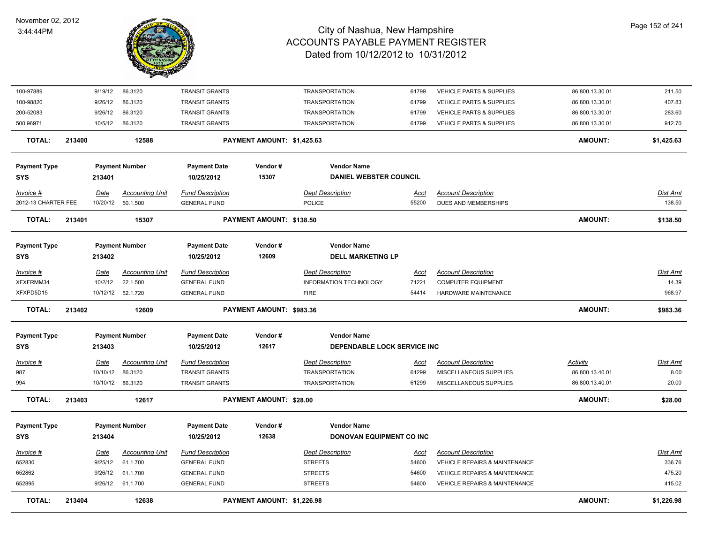

| 100-97889           |        | 9/19/12     | 86.3120                | <b>TRANSIT GRANTS</b>   |                            | <b>TRANSPORTATION</b>              | 61799       | <b>VEHICLE PARTS &amp; SUPPLIES</b>      | 86.800.13.30.01 | 211.50          |
|---------------------|--------|-------------|------------------------|-------------------------|----------------------------|------------------------------------|-------------|------------------------------------------|-----------------|-----------------|
| 100-98820           |        | 9/26/12     | 86.3120                | <b>TRANSIT GRANTS</b>   |                            | <b>TRANSPORTATION</b>              | 61799       | <b>VEHICLE PARTS &amp; SUPPLIES</b>      | 86.800.13.30.01 | 407.83          |
| 200-52083           |        | 9/26/12     | 86.3120                | <b>TRANSIT GRANTS</b>   |                            | <b>TRANSPORTATION</b>              | 61799       | VEHICLE PARTS & SUPPLIES                 | 86.800.13.30.01 | 283.60          |
| 500.96971           |        | 10/5/12     | 86.3120                | TRANSIT GRANTS          |                            | <b>TRANSPORTATION</b>              | 61799       | VEHICLE PARTS & SUPPLIES                 | 86.800.13.30.01 | 912.70          |
| <b>TOTAL:</b>       | 213400 |             | 12588                  |                         | PAYMENT AMOUNT: \$1,425.63 |                                    |             |                                          | <b>AMOUNT:</b>  | \$1,425.63      |
| <b>Payment Type</b> |        |             | <b>Payment Number</b>  | <b>Payment Date</b>     | Vendor#                    | <b>Vendor Name</b>                 |             |                                          |                 |                 |
| <b>SYS</b>          |        | 213401      |                        | 10/25/2012              | 15307                      | <b>DANIEL WEBSTER COUNCIL</b>      |             |                                          |                 |                 |
| Invoice #           |        | Date        | <b>Accounting Unit</b> | <b>Fund Description</b> |                            | <b>Dept Description</b>            | <u>Acct</u> | <b>Account Description</b>               |                 | Dist Amt        |
| 2012-13 CHARTER FEE |        |             | 10/20/12 50.1.500      | <b>GENERAL FUND</b>     |                            | POLICE                             | 55200       | DUES AND MEMBERSHIPS                     |                 | 138.50          |
| <b>TOTAL:</b>       | 213401 |             | 15307                  |                         | PAYMENT AMOUNT: \$138.50   |                                    |             |                                          | <b>AMOUNT:</b>  | \$138.50        |
| <b>Payment Type</b> |        |             | <b>Payment Number</b>  | <b>Payment Date</b>     | Vendor#                    | <b>Vendor Name</b>                 |             |                                          |                 |                 |
| <b>SYS</b>          |        | 213402      |                        | 10/25/2012              | 12609                      | <b>DELL MARKETING LP</b>           |             |                                          |                 |                 |
| Invoice #           |        | <b>Date</b> | <b>Accounting Unit</b> | <b>Fund Description</b> |                            | <b>Dept Description</b>            | <u>Acct</u> | <b>Account Description</b>               |                 | Dist Amt        |
| XFXFRMM34           |        | 10/2/12     | 22.1.500               | <b>GENERAL FUND</b>     |                            | INFORMATION TECHNOLOGY             | 71221       | <b>COMPUTER EQUIPMENT</b>                |                 | 14.39           |
| XFXPD5D15           |        | 10/12/12    | 52.1.720               | <b>GENERAL FUND</b>     |                            | <b>FIRE</b>                        | 54414       | HARDWARE MAINTENANCE                     |                 | 968.97          |
| <b>TOTAL:</b>       | 213402 |             | 12609                  |                         | PAYMENT AMOUNT: \$983.36   |                                    |             |                                          | <b>AMOUNT:</b>  | \$983.36        |
| <b>Payment Type</b> |        |             | <b>Payment Number</b>  | <b>Payment Date</b>     | Vendor#                    | <b>Vendor Name</b>                 |             |                                          |                 |                 |
| <b>SYS</b>          |        | 213403      |                        | 10/25/2012              | 12617                      | <b>DEPENDABLE LOCK SERVICE INC</b> |             |                                          |                 |                 |
| Invoice #           |        | <u>Date</u> | <b>Accounting Unit</b> | <b>Fund Description</b> |                            | <b>Dept Description</b>            | <u>Acct</u> | <b>Account Description</b>               | <b>Activity</b> | <u>Dist Amt</u> |
| 987                 |        | 10/10/12    | 86.3120                | <b>TRANSIT GRANTS</b>   |                            | <b>TRANSPORTATION</b>              | 61299       | MISCELLANEOUS SUPPLIES                   | 86.800.13.40.01 | 8.00            |
| 994                 |        |             | 10/10/12 86.3120       | <b>TRANSIT GRANTS</b>   |                            | <b>TRANSPORTATION</b>              | 61299       | MISCELLANEOUS SUPPLIES                   | 86.800.13.40.01 | 20.00           |
| TOTAL:              | 213403 |             | 12617                  |                         | PAYMENT AMOUNT: \$28.00    |                                    |             |                                          | <b>AMOUNT:</b>  | \$28.00         |
| <b>Payment Type</b> |        |             | <b>Payment Number</b>  | <b>Payment Date</b>     | Vendor#                    | <b>Vendor Name</b>                 |             |                                          |                 |                 |
| <b>SYS</b>          |        | 213404      |                        | 10/25/2012              | 12638                      | DONOVAN EQUIPMENT CO INC           |             |                                          |                 |                 |
| Invoice #           |        | <u>Date</u> | <b>Accounting Unit</b> | <b>Fund Description</b> |                            | <b>Dept Description</b>            | <u>Acct</u> | <b>Account Description</b>               |                 | Dist Amt        |
| 652830              |        | 9/25/12     | 61.1.700               | <b>GENERAL FUND</b>     |                            | <b>STREETS</b>                     | 54600       | VEHICLE REPAIRS & MAINTENANCE            |                 | 336.76          |
| 652862              |        | 9/26/12     | 61.1.700               | <b>GENERAL FUND</b>     |                            | <b>STREETS</b>                     | 54600       | <b>VEHICLE REPAIRS &amp; MAINTENANCE</b> |                 | 475.20          |
| 652895              |        | 9/26/12     | 61.1.700               | <b>GENERAL FUND</b>     |                            | <b>STREETS</b>                     | 54600       | <b>VEHICLE REPAIRS &amp; MAINTENANCE</b> |                 | 415.02          |
| <b>TOTAL:</b>       | 213404 |             | 12638                  |                         | PAYMENT AMOUNT: \$1,226.98 |                                    |             |                                          | <b>AMOUNT:</b>  | \$1,226.98      |
|                     |        |             |                        |                         |                            |                                    |             |                                          |                 |                 |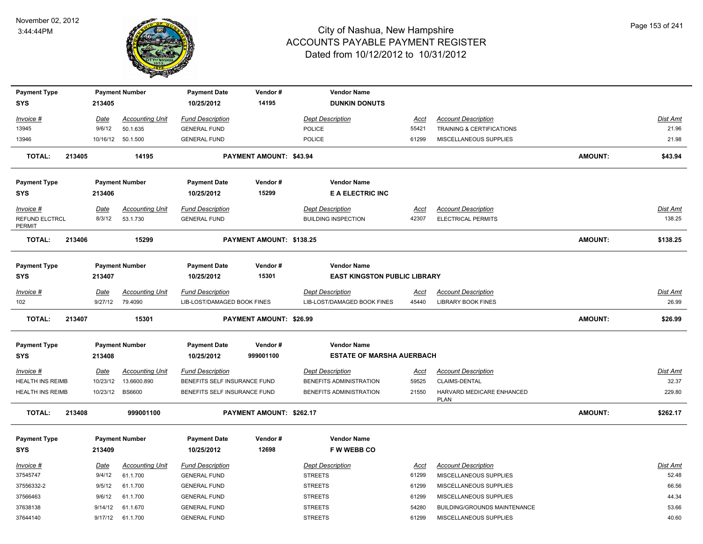

| <b>Payment Type</b>                                |        |                      | <b>Payment Number</b>             | <b>Payment Date</b>                                          | Vendor#                  | <b>Vendor Name</b>                                        |                |                                                           |                |                 |
|----------------------------------------------------|--------|----------------------|-----------------------------------|--------------------------------------------------------------|--------------------------|-----------------------------------------------------------|----------------|-----------------------------------------------------------|----------------|-----------------|
| <b>SYS</b>                                         |        | 213405               |                                   | 10/25/2012                                                   | 14195                    | <b>DUNKIN DONUTS</b>                                      |                |                                                           |                |                 |
| <u> Invoice #</u>                                  |        | Date                 | <b>Accounting Unit</b>            | <b>Fund Description</b>                                      |                          | Dept Description                                          | <u>Acct</u>    | <b>Account Description</b>                                |                | Dist Amt        |
| 13945                                              |        | 9/6/12               | 50.1.635                          | <b>GENERAL FUND</b>                                          |                          | POLICE                                                    | 55421          | TRAINING & CERTIFICATIONS                                 |                | 21.96           |
| 13946                                              |        |                      | 10/16/12 50.1.500                 | <b>GENERAL FUND</b>                                          |                          | POLICE                                                    | 61299          | MISCELLANEOUS SUPPLIES                                    |                | 21.98           |
| <b>TOTAL:</b>                                      | 213405 |                      | 14195                             |                                                              | PAYMENT AMOUNT: \$43.94  |                                                           |                |                                                           | AMOUNT:        | \$43.94         |
| <b>Payment Type</b>                                |        |                      | <b>Payment Number</b>             | <b>Payment Date</b>                                          | Vendor#                  | <b>Vendor Name</b>                                        |                |                                                           |                |                 |
| <b>SYS</b>                                         |        | 213406               |                                   | 10/25/2012                                                   | 15299                    | <b>E A ELECTRIC INC</b>                                   |                |                                                           |                |                 |
| Invoice #                                          |        | <u>Date</u>          | <b>Accounting Unit</b>            | <b>Fund Description</b>                                      |                          | <b>Dept Description</b>                                   | Acct           | <b>Account Description</b>                                |                | Dist Amt        |
| REFUND ELCTRCL<br>PERMIT                           |        | 8/3/12               | 53.1.730                          | <b>GENERAL FUND</b>                                          |                          | <b>BUILDING INSPECTION</b>                                | 42307          | ELECTRICAL PERMITS                                        |                | 138.25          |
| <b>TOTAL:</b>                                      | 213406 |                      | 15299                             |                                                              | PAYMENT AMOUNT: \$138.25 |                                                           |                |                                                           | AMOUNT:        | \$138.25        |
|                                                    |        |                      |                                   |                                                              |                          |                                                           |                |                                                           |                |                 |
| <b>Payment Type</b><br><b>SYS</b>                  |        | 213407               | <b>Payment Number</b>             | <b>Payment Date</b><br>10/25/2012                            | Vendor#<br>15301         | <b>Vendor Name</b><br><b>EAST KINGSTON PUBLIC LIBRARY</b> |                |                                                           |                |                 |
|                                                    |        |                      |                                   |                                                              |                          |                                                           |                |                                                           |                |                 |
| Invoice #                                          |        | <u>Date</u>          | <b>Accounting Unit</b><br>79.4090 | <b>Fund Description</b>                                      |                          | <b>Dept Description</b>                                   | <u>Acct</u>    | <b>Account Description</b><br><b>LIBRARY BOOK FINES</b>   |                | <b>Dist Amt</b> |
|                                                    |        |                      |                                   |                                                              |                          |                                                           |                |                                                           |                | 26.99           |
| 102                                                |        | 9/27/12              |                                   | LIB-LOST/DAMAGED BOOK FINES                                  |                          | LIB-LOST/DAMAGED BOOK FINES                               | 45440          |                                                           |                |                 |
| <b>TOTAL:</b>                                      | 213407 |                      | 15301                             |                                                              | PAYMENT AMOUNT: \$26.99  |                                                           |                |                                                           | AMOUNT:        | \$26.99         |
|                                                    |        |                      |                                   |                                                              |                          |                                                           |                |                                                           |                |                 |
| <b>Payment Type</b><br><b>SYS</b>                  |        | 213408               | <b>Payment Number</b>             | <b>Payment Date</b><br>10/25/2012                            | Vendor#<br>999001100     | <b>Vendor Name</b><br><b>ESTATE OF MARSHA AUERBACH</b>    |                |                                                           |                |                 |
|                                                    |        |                      |                                   |                                                              |                          |                                                           |                |                                                           |                |                 |
| Invoice #                                          |        | Date                 | <b>Accounting Unit</b>            | <b>Fund Description</b>                                      |                          | <b>Dept Description</b>                                   | Acct           | <b>Account Description</b>                                |                | Dist Amt        |
| <b>HEALTH INS REIMB</b><br><b>HEALTH INS REIMB</b> |        | 10/23/12<br>10/23/12 | 13.6600.890<br><b>BS6600</b>      | BENEFITS SELF INSURANCE FUND<br>BENEFITS SELF INSURANCE FUND |                          | BENEFITS ADMINISTRATION<br>BENEFITS ADMINISTRATION        | 59525<br>21550 | CLAIMS-DENTAL<br>HARVARD MEDICARE ENHANCED<br><b>PLAN</b> |                | 32.37<br>229.80 |
| <b>TOTAL:</b>                                      | 213408 |                      | 999001100                         |                                                              | PAYMENT AMOUNT: \$262.17 |                                                           |                |                                                           | <b>AMOUNT:</b> | \$262.17        |
| <b>Payment Type</b><br>SYS                         |        | 213409               | <b>Payment Number</b>             | <b>Payment Date</b><br>10/25/2012                            | Vendor#<br>12698         | <b>Vendor Name</b><br><b>FWWEBBCO</b>                     |                |                                                           |                |                 |
|                                                    |        |                      |                                   |                                                              |                          |                                                           |                |                                                           |                |                 |
| Invoice #                                          |        | Date                 | <b>Accounting Unit</b>            | <b>Fund Description</b>                                      |                          | <b>Dept Description</b>                                   | <u>Acct</u>    | <b>Account Description</b>                                |                | Dist Amt        |
| 37545747<br>37556332-2                             |        | 9/4/12<br>9/5/12     | 61.1.700<br>61.1.700              | <b>GENERAL FUND</b><br><b>GENERAL FUND</b>                   |                          | <b>STREETS</b><br><b>STREETS</b>                          | 61299<br>61299 | MISCELLANEOUS SUPPLIES<br>MISCELLANEOUS SUPPLIES          |                | 52.48<br>66.56  |
| 37566463                                           |        | 9/6/12               | 61.1.700                          | <b>GENERAL FUND</b>                                          |                          | <b>STREETS</b>                                            | 61299          | MISCELLANEOUS SUPPLIES                                    |                | 44.34           |
| 37638138                                           |        | 9/14/12              | 61.1.670                          | <b>GENERAL FUND</b>                                          |                          | <b>STREETS</b>                                            | 54280          | BUILDING/GROUNDS MAINTENANCE                              |                | 53.66           |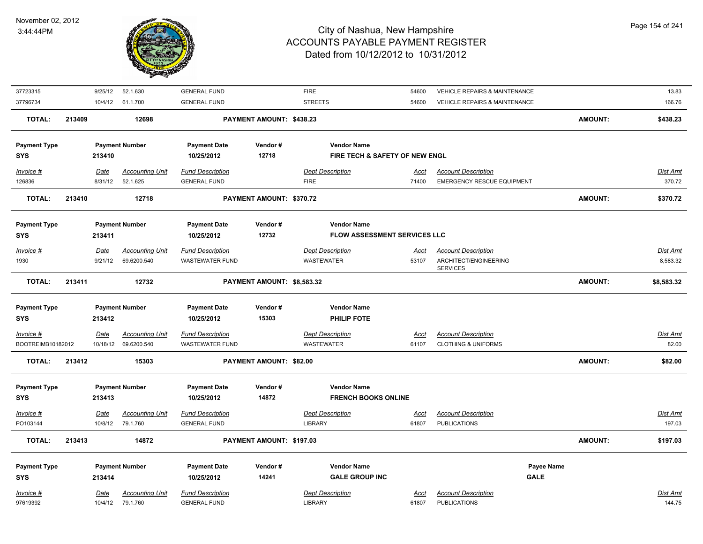

| 37723315            | 9/25/12     | 52.1.630               | <b>GENERAL FUND</b>     |                            | <b>FIRE</b>                         | 54600       | <b>VEHICLE REPAIRS &amp; MAINTENANCE</b> |             |         | 13.83           |
|---------------------|-------------|------------------------|-------------------------|----------------------------|-------------------------------------|-------------|------------------------------------------|-------------|---------|-----------------|
| 37796734            | 10/4/12     | 61.1.700               | <b>GENERAL FUND</b>     |                            | <b>STREETS</b>                      | 54600       | VEHICLE REPAIRS & MAINTENANCE            |             |         | 166.76          |
| <b>TOTAL:</b>       | 213409      | 12698                  |                         | PAYMENT AMOUNT: \$438.23   |                                     |             |                                          |             | AMOUNT: | \$438.23        |
|                     |             |                        |                         |                            |                                     |             |                                          |             |         |                 |
| <b>Payment Type</b> |             | <b>Payment Number</b>  | <b>Payment Date</b>     | Vendor#                    | <b>Vendor Name</b>                  |             |                                          |             |         |                 |
| <b>SYS</b>          | 213410      |                        | 10/25/2012              | 12718                      | FIRE TECH & SAFETY OF NEW ENGL      |             |                                          |             |         |                 |
| Invoice #           | Date        | <b>Accounting Unit</b> | <b>Fund Description</b> |                            | <b>Dept Description</b>             | Acct        | <b>Account Description</b>               |             |         | Dist Amt        |
| 126836              | 8/31/12     | 52.1.625               | <b>GENERAL FUND</b>     |                            | <b>FIRE</b>                         | 71400       | <b>EMERGENCY RESCUE EQUIPMENT</b>        |             |         | 370.72          |
| <b>TOTAL:</b>       | 213410      | 12718                  |                         | PAYMENT AMOUNT: \$370.72   |                                     |             |                                          |             | AMOUNT: | \$370.72        |
| <b>Payment Type</b> |             | <b>Payment Number</b>  | <b>Payment Date</b>     | Vendor#                    | <b>Vendor Name</b>                  |             |                                          |             |         |                 |
| <b>SYS</b>          | 213411      |                        | 10/25/2012              | 12732                      | <b>FLOW ASSESSMENT SERVICES LLC</b> |             |                                          |             |         |                 |
|                     |             |                        |                         |                            |                                     |             |                                          |             |         |                 |
| Invoice #           | Date        | <b>Accounting Unit</b> | <b>Fund Description</b> |                            | <b>Dept Description</b>             | Acct        | <b>Account Description</b>               |             |         | Dist Amt        |
| 1930                | 9/21/12     | 69.6200.540            | <b>WASTEWATER FUND</b>  |                            | <b>WASTEWATER</b>                   | 53107       | ARCHITECT/ENGINEERING<br><b>SERVICES</b> |             |         | 8,583.32        |
| <b>TOTAL:</b>       | 213411      | 12732                  |                         | PAYMENT AMOUNT: \$8,583.32 |                                     |             |                                          |             | AMOUNT: | \$8,583.32      |
| <b>Payment Type</b> |             | <b>Payment Number</b>  | <b>Payment Date</b>     | Vendor#                    | <b>Vendor Name</b>                  |             |                                          |             |         |                 |
| <b>SYS</b>          | 213412      |                        | 10/25/2012              | 15303                      | PHILIP FOTE                         |             |                                          |             |         |                 |
|                     |             |                        |                         |                            |                                     |             |                                          |             |         |                 |
| Invoice #           | Date        | <b>Accounting Unit</b> | <b>Fund Description</b> |                            | <b>Dept Description</b>             | Acct        | <b>Account Description</b>               |             |         | <b>Dist Amt</b> |
| BOOTREIMB10182012   | 10/18/12    | 69.6200.540            | <b>WASTEWATER FUND</b>  |                            | <b>WASTEWATER</b>                   | 61107       | <b>CLOTHING &amp; UNIFORMS</b>           |             |         | 82.00           |
| <b>TOTAL:</b>       | 213412      | 15303                  |                         | PAYMENT AMOUNT: \$82.00    |                                     |             |                                          |             | AMOUNT: | \$82.00         |
| <b>Payment Type</b> |             | <b>Payment Number</b>  | <b>Payment Date</b>     | Vendor#                    | <b>Vendor Name</b>                  |             |                                          |             |         |                 |
| <b>SYS</b>          | 213413      |                        | 10/25/2012              | 14872                      | <b>FRENCH BOOKS ONLINE</b>          |             |                                          |             |         |                 |
| $Invoice$ #         | Date        | <b>Accounting Unit</b> | <b>Fund Description</b> |                            | <b>Dept Description</b>             | <b>Acct</b> | <b>Account Description</b>               |             |         | <b>Dist Amt</b> |
| PO103144            | 10/8/12     | 79.1.760               | <b>GENERAL FUND</b>     |                            | <b>LIBRARY</b>                      | 61807       | <b>PUBLICATIONS</b>                      |             |         | 197.03          |
|                     |             |                        |                         |                            |                                     |             |                                          |             |         |                 |
| <b>TOTAL:</b>       | 213413      | 14872                  |                         | PAYMENT AMOUNT: \$197.03   |                                     |             |                                          |             | AMOUNT: | \$197.03        |
| <b>Payment Type</b> |             | <b>Payment Number</b>  | <b>Payment Date</b>     | Vendor#                    | <b>Vendor Name</b>                  |             |                                          | Payee Name  |         |                 |
| <b>SYS</b>          | 213414      |                        | 10/25/2012              | 14241                      | <b>GALE GROUP INC</b>               |             |                                          | <b>GALE</b> |         |                 |
| Invoice #           | <b>Date</b> | <b>Accounting Unit</b> | <b>Fund Description</b> |                            | <b>Dept Description</b>             | <u>Acct</u> | <b>Account Description</b>               |             |         | Dist Amt        |
|                     |             |                        |                         |                            | <b>LIBRARY</b>                      |             | <b>PUBLICATIONS</b>                      |             |         |                 |
| 97619392            | 10/4/12     | 79.1.760               | <b>GENERAL FUND</b>     |                            |                                     | 61807       |                                          |             |         | 144.75          |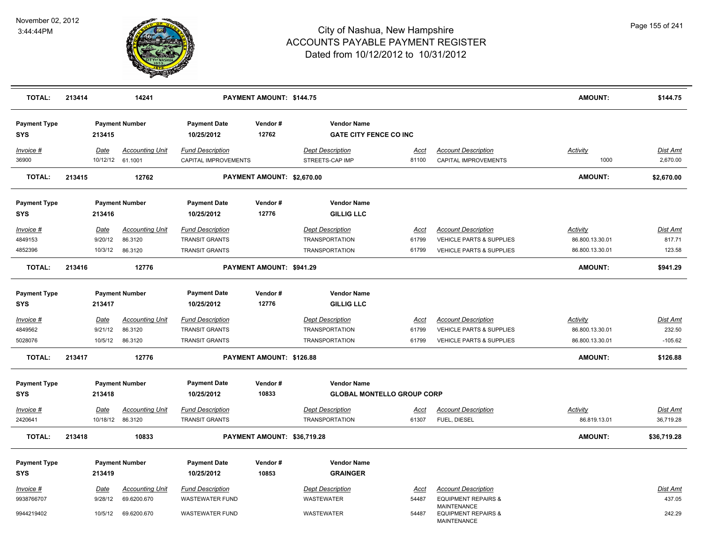

| <b>TOTAL:</b>                     | 213414 |                                   | 14241                                        |                                                                           | PAYMENT AMOUNT: \$144.75    |                                                                           |                               |                                                                                               | <b>AMOUNT:</b>                                        | \$144.75                        |
|-----------------------------------|--------|-----------------------------------|----------------------------------------------|---------------------------------------------------------------------------|-----------------------------|---------------------------------------------------------------------------|-------------------------------|-----------------------------------------------------------------------------------------------|-------------------------------------------------------|---------------------------------|
| <b>Payment Type</b><br><b>SYS</b> |        | 213415                            | <b>Payment Number</b>                        | <b>Payment Date</b><br>10/25/2012                                         | Vendor#<br>12762            | <b>Vendor Name</b><br><b>GATE CITY FENCE CO INC</b>                       |                               |                                                                                               |                                                       |                                 |
| Invoice #<br>36900                |        | Date                              | <b>Accounting Unit</b><br>10/12/12 61.1001   | <b>Fund Description</b><br>CAPITAL IMPROVEMENTS                           |                             | <b>Dept Description</b><br>STREETS-CAP IMP                                | <b>Acct</b><br>81100          | <b>Account Description</b><br><b>CAPITAL IMPROVEMENTS</b>                                     | Activity<br>1000                                      | Dist Amt<br>2,670.00            |
| <b>TOTAL:</b>                     | 213415 |                                   | 12762                                        |                                                                           | PAYMENT AMOUNT: \$2,670.00  |                                                                           |                               |                                                                                               | <b>AMOUNT:</b>                                        | \$2,670.00                      |
| <b>Payment Type</b><br><b>SYS</b> |        | 213416                            | <b>Payment Number</b>                        | <b>Payment Date</b><br>10/25/2012                                         | Vendor#<br>12776            | <b>Vendor Name</b><br><b>GILLIG LLC</b>                                   |                               |                                                                                               |                                                       |                                 |
| Invoice #<br>4849153<br>4852396   |        | Date<br>9/20/12<br>10/3/12        | <b>Accounting Unit</b><br>86.3120<br>86.3120 | <b>Fund Description</b><br><b>TRANSIT GRANTS</b><br><b>TRANSIT GRANTS</b> |                             | <b>Dept Description</b><br><b>TRANSPORTATION</b><br><b>TRANSPORTATION</b> | Acct<br>61799<br>61799        | <b>Account Description</b><br>VEHICLE PARTS & SUPPLIES<br><b>VEHICLE PARTS &amp; SUPPLIES</b> | Activity<br>86.800.13.30.01<br>86.800.13.30.01        | Dist Amt<br>817.71<br>123.58    |
| <b>TOTAL:</b>                     | 213416 |                                   | 12776                                        |                                                                           | PAYMENT AMOUNT: \$941.29    |                                                                           |                               |                                                                                               | <b>AMOUNT:</b>                                        | \$941.29                        |
| <b>Payment Type</b><br>SYS        |        | 213417                            | <b>Payment Number</b>                        | <b>Payment Date</b><br>10/25/2012                                         | Vendor#<br>12776            | <b>Vendor Name</b><br><b>GILLIG LLC</b>                                   |                               |                                                                                               |                                                       |                                 |
| Invoice #<br>4849562<br>5028076   |        | <u>Date</u><br>9/21/12<br>10/5/12 | <b>Accounting Unit</b><br>86.3120<br>86.3120 | <b>Fund Description</b><br><b>TRANSIT GRANTS</b><br><b>TRANSIT GRANTS</b> |                             | <b>Dept Description</b><br><b>TRANSPORTATION</b><br><b>TRANSPORTATION</b> | <u>Acct</u><br>61799<br>61799 | <b>Account Description</b><br>VEHICLE PARTS & SUPPLIES<br>VEHICLE PARTS & SUPPLIES            | <b>Activity</b><br>86.800.13.30.01<br>86.800.13.30.01 | Dist Amt<br>232.50<br>$-105.62$ |
| <b>TOTAL:</b>                     | 213417 |                                   | 12776                                        |                                                                           | PAYMENT AMOUNT: \$126.88    |                                                                           |                               |                                                                                               | <b>AMOUNT:</b>                                        | \$126.88                        |
| <b>Payment Type</b><br><b>SYS</b> |        | 213418                            | <b>Payment Number</b>                        | <b>Payment Date</b><br>10/25/2012                                         | Vendor#<br>10833            | <b>Vendor Name</b><br><b>GLOBAL MONTELLO GROUP CORP</b>                   |                               |                                                                                               |                                                       |                                 |
| Invoice #<br>2420641              |        | Date                              | <b>Accounting Unit</b><br>10/18/12 86.3120   | <b>Fund Description</b><br><b>TRANSIT GRANTS</b>                          |                             | <b>Dept Description</b><br><b>TRANSPORTATION</b>                          | <u>Acct</u><br>61307          | <b>Account Description</b><br>FUEL, DIESEL                                                    | <b>Activity</b><br>86.819.13.01                       | Dist Amt<br>36,719.28           |
| <b>TOTAL:</b>                     | 213418 |                                   | 10833                                        |                                                                           | PAYMENT AMOUNT: \$36,719.28 |                                                                           |                               |                                                                                               | <b>AMOUNT:</b>                                        | \$36,719.28                     |
| <b>Payment Type</b><br>SYS        |        | 213419                            | <b>Payment Number</b>                        | <b>Payment Date</b><br>10/25/2012                                         | Vendor#<br>10853            | <b>Vendor Name</b><br><b>GRAINGER</b>                                     |                               |                                                                                               |                                                       |                                 |
| Invoice #<br>9938766707           |        | <u>Date</u><br>9/28/12            | <b>Accounting Unit</b><br>69.6200.670        | <b>Fund Description</b><br><b>WASTEWATER FUND</b>                         |                             | <b>Dept Description</b><br>WASTEWATER                                     | Acct<br>54487                 | <b>Account Description</b><br><b>EQUIPMENT REPAIRS &amp;</b><br><b>MAINTENANCE</b>            |                                                       | Dist Amt<br>437.05              |
| 9944219402                        |        | 10/5/12                           | 69.6200.670                                  | <b>WASTEWATER FUND</b>                                                    |                             | <b>WASTEWATER</b>                                                         | 54487                         | <b>EQUIPMENT REPAIRS &amp;</b><br>MAINTENANCE                                                 |                                                       | 242.29                          |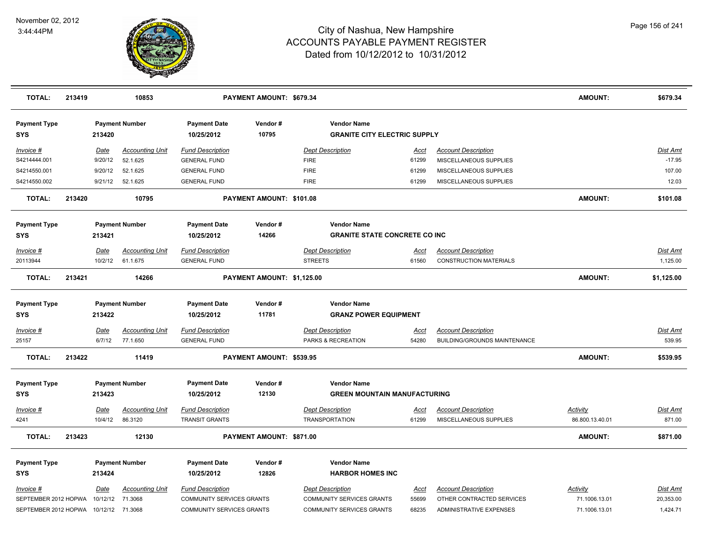

| <b>TOTAL:</b>                         | 213419 |                    | 10853                              |                                                | PAYMENT AMOUNT: \$679.34   |                                               |                                                           |                      |                                                                   | <b>AMOUNT:</b>  | \$679.34           |
|---------------------------------------|--------|--------------------|------------------------------------|------------------------------------------------|----------------------------|-----------------------------------------------|-----------------------------------------------------------|----------------------|-------------------------------------------------------------------|-----------------|--------------------|
| <b>Payment Type</b><br><b>SYS</b>     |        | 213420             | <b>Payment Number</b>              | <b>Payment Date</b><br>10/25/2012              | Vendor#<br>10795           |                                               | <b>Vendor Name</b><br><b>GRANITE CITY ELECTRIC SUPPLY</b> |                      |                                                                   |                 |                    |
| Invoice #                             |        | Date               | <b>Accounting Unit</b>             | <b>Fund Description</b>                        |                            | <b>Dept Description</b>                       |                                                           | Acct                 | <b>Account Description</b>                                        |                 | Dist Amt           |
| S4214444.001<br>S4214550.001          |        | 9/20/12<br>9/20/12 | 52.1.625<br>52.1.625               | <b>GENERAL FUND</b><br><b>GENERAL FUND</b>     |                            | <b>FIRE</b><br><b>FIRE</b>                    |                                                           | 61299<br>61299       | MISCELLANEOUS SUPPLIES<br>MISCELLANEOUS SUPPLIES                  |                 | $-17.95$<br>107.00 |
| S4214550.002                          |        | 9/21/12            | 52.1.625                           | <b>GENERAL FUND</b>                            |                            | <b>FIRE</b>                                   |                                                           | 61299                | MISCELLANEOUS SUPPLIES                                            |                 | 12.03              |
|                                       |        |                    |                                    |                                                |                            |                                               |                                                           |                      |                                                                   |                 |                    |
| <b>TOTAL:</b>                         | 213420 |                    | 10795                              |                                                | PAYMENT AMOUNT: \$101.08   |                                               |                                                           |                      |                                                                   | <b>AMOUNT:</b>  | \$101.08           |
| <b>Payment Type</b>                   |        |                    | <b>Payment Number</b>              | <b>Payment Date</b>                            | Vendor#                    |                                               | <b>Vendor Name</b>                                        |                      |                                                                   |                 |                    |
| <b>SYS</b>                            |        | 213421             |                                    | 10/25/2012                                     | 14266                      |                                               | <b>GRANITE STATE CONCRETE CO INC</b>                      |                      |                                                                   |                 |                    |
| Invoice #                             |        | Date               | <b>Accounting Unit</b>             | <b>Fund Description</b>                        |                            | <b>Dept Description</b>                       |                                                           | Acct                 | <b>Account Description</b>                                        |                 | <u>Dist Amt</u>    |
| 20113944                              |        | 10/2/12            | 61.1.675                           | <b>GENERAL FUND</b>                            |                            | <b>STREETS</b>                                |                                                           | 61560                | <b>CONSTRUCTION MATERIALS</b>                                     |                 | 1,125.00           |
| <b>TOTAL:</b>                         | 213421 |                    | 14266                              |                                                | PAYMENT AMOUNT: \$1,125.00 |                                               |                                                           |                      |                                                                   | <b>AMOUNT:</b>  | \$1,125.00         |
| <b>Payment Type</b>                   |        |                    | <b>Payment Number</b>              | <b>Payment Date</b>                            | Vendor#                    |                                               | <b>Vendor Name</b>                                        |                      |                                                                   |                 |                    |
| <b>SYS</b>                            |        | 213422             |                                    | 10/25/2012                                     | 11781                      |                                               | <b>GRANZ POWER EQUIPMENT</b>                              |                      |                                                                   |                 |                    |
| Invoice #<br>25157                    |        | Date<br>6/7/12     | <b>Accounting Unit</b><br>77.1.650 | <b>Fund Description</b><br><b>GENERAL FUND</b> |                            | <b>Dept Description</b><br>PARKS & RECREATION |                                                           | <u>Acct</u><br>54280 | <b>Account Description</b><br><b>BUILDING/GROUNDS MAINTENANCE</b> |                 | Dist Amt<br>539.95 |
| <b>TOTAL:</b>                         | 213422 |                    | 11419                              |                                                | PAYMENT AMOUNT: \$539.95   |                                               |                                                           |                      |                                                                   | <b>AMOUNT:</b>  | \$539.95           |
| <b>Payment Type</b><br><b>SYS</b>     |        | 213423             | <b>Payment Number</b>              | <b>Payment Date</b><br>10/25/2012              | Vendor#<br>12130           |                                               | <b>Vendor Name</b><br><b>GREEN MOUNTAIN MANUFACTURING</b> |                      |                                                                   |                 |                    |
| Invoice #                             |        | Date               | Accounting Unit                    | <b>Fund Description</b>                        |                            | <b>Dept Description</b>                       |                                                           | Acct                 | <b>Account Description</b>                                        | <u>Activity</u> | <u>Dist Amt</u>    |
| 4241                                  |        | 10/4/12            | 86.3120                            | <b>TRANSIT GRANTS</b>                          |                            | <b>TRANSPORTATION</b>                         |                                                           | 61299                | MISCELLANEOUS SUPPLIES                                            | 86.800.13.40.01 | 871.00             |
| <b>TOTAL:</b>                         | 213423 |                    | 12130                              |                                                | PAYMENT AMOUNT: \$871.00   |                                               |                                                           |                      |                                                                   | <b>AMOUNT:</b>  | \$871.00           |
| <b>Payment Type</b><br><b>SYS</b>     |        | 213424             | <b>Payment Number</b>              | <b>Payment Date</b><br>10/25/2012              | Vendor#<br>12826           |                                               | <b>Vendor Name</b><br><b>HARBOR HOMES INC</b>             |                      |                                                                   |                 |                    |
| Invoice #                             |        | Date               | Accounting Unit                    | <b>Fund Description</b>                        |                            | <b>Dept Description</b>                       |                                                           | <u>Acct</u>          | <b>Account Description</b>                                        | <b>Activity</b> | <u>Dist Amt</u>    |
| SEPTEMBER 2012 HOPWA                  |        | 10/12/12           | 71.3068                            | COMMUNITY SERVICES GRANTS                      |                            |                                               | COMMUNITY SERVICES GRANTS                                 | 55699                | OTHER CONTRACTED SERVICES                                         | 71.1006.13.01   | 20,353.00          |
| SEPTEMBER 2012 HOPWA 10/12/12 71.3068 |        |                    |                                    | COMMUNITY SERVICES GRANTS                      |                            |                                               | COMMUNITY SERVICES GRANTS                                 | 68235                | ADMINISTRATIVE EXPENSES                                           | 71.1006.13.01   | 1,424.71           |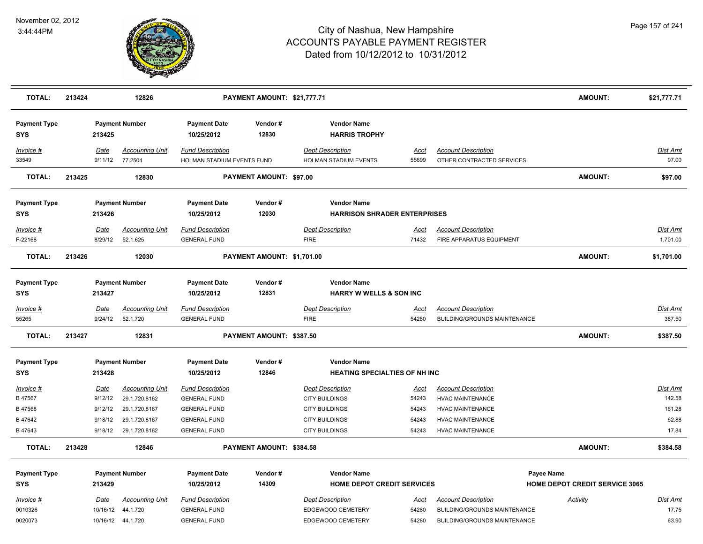

| <b>TOTAL:</b>                     | 213424 |                        | 12826                                     |                                                       | PAYMENT AMOUNT: \$21,777.71 |                                                            |                      |                                                            | AMOUNT:                               | \$21,777.71        |
|-----------------------------------|--------|------------------------|-------------------------------------------|-------------------------------------------------------|-----------------------------|------------------------------------------------------------|----------------------|------------------------------------------------------------|---------------------------------------|--------------------|
| <b>Payment Type</b><br><b>SYS</b> |        | 213425                 | <b>Payment Number</b>                     | <b>Payment Date</b><br>10/25/2012                     | Vendor#<br>12830            | <b>Vendor Name</b><br><b>HARRIS TROPHY</b>                 |                      |                                                            |                                       |                    |
| Invoice #<br>33549                |        | Date                   | <b>Accounting Unit</b><br>9/11/12 77.2504 | <b>Fund Description</b><br>HOLMAN STADIUM EVENTS FUND |                             | <b>Dept Description</b><br>HOLMAN STADIUM EVENTS           | Acct<br>55699        | <b>Account Description</b><br>OTHER CONTRACTED SERVICES    |                                       | Dist Amt<br>97.00  |
| <b>TOTAL:</b>                     | 213425 |                        | 12830                                     |                                                       | PAYMENT AMOUNT: \$97.00     |                                                            |                      |                                                            | <b>AMOUNT:</b>                        | \$97.00            |
| <b>Payment Type</b><br><b>SYS</b> |        | 213426                 | <b>Payment Number</b>                     | <b>Payment Date</b><br>10/25/2012                     | Vendor#<br>12030            | <b>Vendor Name</b><br><b>HARRISON SHRADER ENTERPRISES</b>  |                      |                                                            |                                       |                    |
| Invoice #                         |        | Date                   | <b>Accounting Unit</b>                    | <b>Fund Description</b>                               |                             | <b>Dept Description</b>                                    | <u>Acct</u>          | <b>Account Description</b>                                 |                                       | Dist Amt           |
| F-22168                           |        | 8/29/12                | 52.1.625                                  | <b>GENERAL FUND</b>                                   |                             | <b>FIRE</b>                                                | 71432                | FIRE APPARATUS EQUIPMENT                                   |                                       | 1,701.00           |
| <b>TOTAL:</b>                     | 213426 |                        | 12030                                     |                                                       | PAYMENT AMOUNT: \$1,701.00  |                                                            |                      |                                                            | AMOUNT:                               | \$1,701.00         |
| <b>Payment Type</b><br><b>SYS</b> |        | 213427                 | <b>Payment Number</b>                     | <b>Payment Date</b><br>10/25/2012                     | Vendor#<br>12831            | <b>Vendor Name</b><br><b>HARRY W WELLS &amp; SON INC</b>   |                      |                                                            |                                       |                    |
| $Invoice$ #<br>55265              |        | <u>Date</u><br>9/24/12 | <b>Accounting Unit</b><br>52.1.720        | <b>Fund Description</b><br><b>GENERAL FUND</b>        |                             | <b>Dept Description</b><br><b>FIRE</b>                     | <u>Acct</u><br>54280 | <b>Account Description</b><br>BUILDING/GROUNDS MAINTENANCE |                                       | Dist Amt<br>387.50 |
| <b>TOTAL:</b>                     | 213427 |                        | 12831                                     |                                                       | PAYMENT AMOUNT: \$387.50    |                                                            |                      |                                                            | <b>AMOUNT:</b>                        | \$387.50           |
| <b>Payment Type</b><br><b>SYS</b> |        | 213428                 | <b>Payment Number</b>                     | <b>Payment Date</b><br>10/25/2012                     | Vendor#<br>12846            | <b>Vendor Name</b><br><b>HEATING SPECIALTIES OF NH INC</b> |                      |                                                            |                                       |                    |
| Invoice #                         |        | Date                   | <b>Accounting Unit</b>                    | <b>Fund Description</b>                               |                             | <b>Dept Description</b>                                    | <u>Acct</u>          | <b>Account Description</b>                                 |                                       | Dist Amt           |
| B 47567                           |        | 9/12/12                | 29.1.720.8162                             | <b>GENERAL FUND</b>                                   |                             | <b>CITY BUILDINGS</b>                                      | 54243                | <b>HVAC MAINTENANCE</b>                                    |                                       | 142.58             |
| B 47568                           |        | 9/12/12                | 29.1.720.8167                             | <b>GENERAL FUND</b>                                   |                             | <b>CITY BUILDINGS</b>                                      | 54243                | <b>HVAC MAINTENANCE</b>                                    |                                       | 161.28             |
| B 47642                           |        | 9/18/12                | 29.1.720.8167                             | <b>GENERAL FUND</b>                                   |                             | <b>CITY BUILDINGS</b>                                      | 54243                | <b>HVAC MAINTENANCE</b>                                    |                                       | 62.88              |
| B 47643                           |        | 9/18/12                | 29.1.720.8162                             | <b>GENERAL FUND</b>                                   |                             | <b>CITY BUILDINGS</b>                                      | 54243                | <b>HVAC MAINTENANCE</b>                                    |                                       | 17.84              |
| <b>TOTAL:</b>                     | 213428 |                        | 12846                                     |                                                       | PAYMENT AMOUNT: \$384.58    |                                                            |                      |                                                            | AMOUNT:                               | \$384.58           |
| <b>Payment Type</b>               |        |                        | <b>Payment Number</b>                     | <b>Payment Date</b>                                   | Vendor#                     | <b>Vendor Name</b>                                         |                      |                                                            | Payee Name                            |                    |
| <b>SYS</b>                        |        | 213429                 |                                           | 10/25/2012                                            | 14309                       | <b>HOME DEPOT CREDIT SERVICES</b>                          |                      |                                                            | <b>HOME DEPOT CREDIT SERVICE 3065</b> |                    |
| Invoice #<br>0010326              |        | Date<br>10/16/12       | <b>Accounting Unit</b><br>44.1.720        | <b>Fund Description</b><br><b>GENERAL FUND</b>        |                             | <b>Dept Description</b><br>EDGEWOOD CEMETERY               | <u>Acct</u><br>54280 | <b>Account Description</b><br>BUILDING/GROUNDS MAINTENANCE | <b>Activity</b>                       | Dist Amt<br>17.75  |
| 0020073                           |        |                        | 10/16/12  44.1.720                        | <b>GENERAL FUND</b>                                   |                             | EDGEWOOD CEMETERY                                          | 54280                | BUILDING/GROUNDS MAINTENANCE                               |                                       | 63.90              |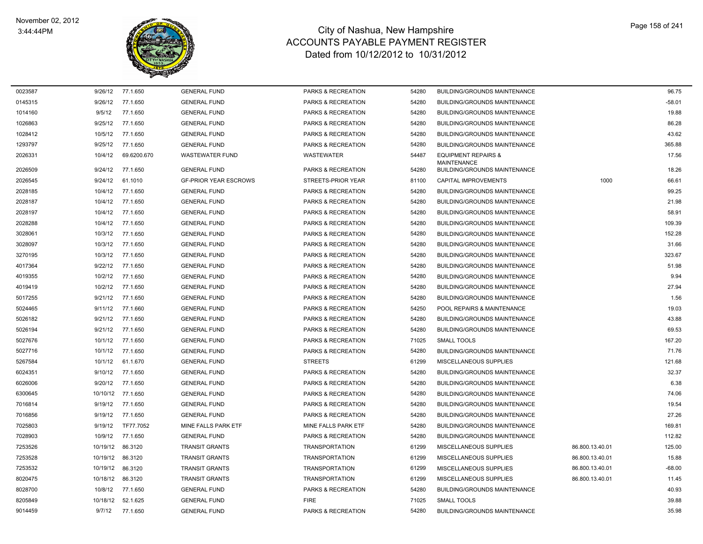

| 0023587 | 9/26/12  | 77.1.650    | <b>GENERAL FUND</b>          | <b>PARKS &amp; RECREATION</b> | 54280 | <b>BUILDING/GROUNDS MAINTENANCE</b>                  |                 | 96.75    |
|---------|----------|-------------|------------------------------|-------------------------------|-------|------------------------------------------------------|-----------------|----------|
| 0145315 | 9/26/12  | 77.1.650    | <b>GENERAL FUND</b>          | PARKS & RECREATION            | 54280 | <b>BUILDING/GROUNDS MAINTENANCE</b>                  |                 | $-58.01$ |
| 1014160 | 9/5/12   | 77.1.650    | <b>GENERAL FUND</b>          | PARKS & RECREATION            | 54280 | <b>BUILDING/GROUNDS MAINTENANCE</b>                  |                 | 19.88    |
| 1026863 | 9/25/12  | 77.1.650    | <b>GENERAL FUND</b>          | <b>PARKS &amp; RECREATION</b> | 54280 | <b>BUILDING/GROUNDS MAINTENANCE</b>                  |                 | 86.28    |
| 1028412 | 10/5/12  | 77.1.650    | <b>GENERAL FUND</b>          | PARKS & RECREATION            | 54280 | <b>BUILDING/GROUNDS MAINTENANCE</b>                  |                 | 43.62    |
| 1293797 | 9/25/12  | 77.1.650    | <b>GENERAL FUND</b>          | <b>PARKS &amp; RECREATION</b> | 54280 | <b>BUILDING/GROUNDS MAINTENANCE</b>                  |                 | 365.88   |
| 2026331 | 10/4/12  | 69.6200.670 | <b>WASTEWATER FUND</b>       | <b>WASTEWATER</b>             | 54487 | <b>EQUIPMENT REPAIRS &amp;</b><br><b>MAINTENANCE</b> |                 | 17.56    |
| 2026509 | 9/24/12  | 77.1.650    | <b>GENERAL FUND</b>          | <b>PARKS &amp; RECREATION</b> | 54280 | <b>BUILDING/GROUNDS MAINTENANCE</b>                  |                 | 18.26    |
| 2026545 | 9/24/12  | 61.1010     | <b>GF-PRIOR YEAR ESCROWS</b> | STREETS-PRIOR YEAR            | 81100 | CAPITAL IMPROVEMENTS                                 | 1000            | 66.61    |
| 2028185 | 10/4/12  | 77.1.650    | <b>GENERAL FUND</b>          | <b>PARKS &amp; RECREATION</b> | 54280 | <b>BUILDING/GROUNDS MAINTENANCE</b>                  |                 | 99.25    |
| 2028187 | 10/4/12  | 77.1.650    | <b>GENERAL FUND</b>          | PARKS & RECREATION            | 54280 | <b>BUILDING/GROUNDS MAINTENANCE</b>                  |                 | 21.98    |
| 2028197 | 10/4/12  | 77.1.650    | <b>GENERAL FUND</b>          | PARKS & RECREATION            | 54280 | <b>BUILDING/GROUNDS MAINTENANCE</b>                  |                 | 58.91    |
| 2028288 | 10/4/12  | 77.1.650    | <b>GENERAL FUND</b>          | PARKS & RECREATION            | 54280 | <b>BUILDING/GROUNDS MAINTENANCE</b>                  |                 | 109.39   |
| 3028061 | 10/3/12  | 77.1.650    | <b>GENERAL FUND</b>          | PARKS & RECREATION            | 54280 | <b>BUILDING/GROUNDS MAINTENANCE</b>                  |                 | 152.28   |
| 3028097 | 10/3/12  | 77.1.650    | <b>GENERAL FUND</b>          | PARKS & RECREATION            | 54280 | <b>BUILDING/GROUNDS MAINTENANCE</b>                  |                 | 31.66    |
| 3270195 | 10/3/12  | 77.1.650    | <b>GENERAL FUND</b>          | PARKS & RECREATION            | 54280 | <b>BUILDING/GROUNDS MAINTENANCE</b>                  |                 | 323.67   |
| 4017364 | 9/22/12  | 77.1.650    | <b>GENERAL FUND</b>          | PARKS & RECREATION            | 54280 | <b>BUILDING/GROUNDS MAINTENANCE</b>                  |                 | 51.98    |
| 4019355 | 10/2/12  | 77.1.650    | <b>GENERAL FUND</b>          | PARKS & RECREATION            | 54280 | <b>BUILDING/GROUNDS MAINTENANCE</b>                  |                 | 9.94     |
| 4019419 | 10/2/12  | 77.1.650    | <b>GENERAL FUND</b>          | PARKS & RECREATION            | 54280 | BUILDING/GROUNDS MAINTENANCE                         |                 | 27.94    |
| 5017255 | 9/21/12  | 77.1.650    | <b>GENERAL FUND</b>          | PARKS & RECREATION            | 54280 | <b>BUILDING/GROUNDS MAINTENANCE</b>                  |                 | 1.56     |
| 5024465 | 9/11/12  | 77.1.660    | <b>GENERAL FUND</b>          | PARKS & RECREATION            | 54250 | POOL REPAIRS & MAINTENANCE                           |                 | 19.03    |
| 5026182 | 9/21/12  | 77.1.650    | <b>GENERAL FUND</b>          | PARKS & RECREATION            | 54280 | <b>BUILDING/GROUNDS MAINTENANCE</b>                  |                 | 43.88    |
| 5026194 | 9/21/12  | 77.1.650    | <b>GENERAL FUND</b>          | PARKS & RECREATION            | 54280 | <b>BUILDING/GROUNDS MAINTENANCE</b>                  |                 | 69.53    |
| 5027676 | 10/1/12  | 77.1.650    | <b>GENERAL FUND</b>          | <b>PARKS &amp; RECREATION</b> | 71025 | <b>SMALL TOOLS</b>                                   |                 | 167.20   |
| 5027716 | 10/1/12  | 77.1.650    | <b>GENERAL FUND</b>          | PARKS & RECREATION            | 54280 | <b>BUILDING/GROUNDS MAINTENANCE</b>                  |                 | 71.76    |
| 5267584 | 10/1/12  | 61.1.670    | <b>GENERAL FUND</b>          | <b>STREETS</b>                | 61299 | MISCELLANEOUS SUPPLIES                               |                 | 121.68   |
| 6024351 | 9/10/12  | 77.1.650    | <b>GENERAL FUND</b>          | PARKS & RECREATION            | 54280 | <b>BUILDING/GROUNDS MAINTENANCE</b>                  |                 | 32.37    |
| 6026006 | 9/20/12  | 77.1.650    | <b>GENERAL FUND</b>          | PARKS & RECREATION            | 54280 | <b>BUILDING/GROUNDS MAINTENANCE</b>                  |                 | 6.38     |
| 6300645 | 10/10/12 | 77.1.650    | <b>GENERAL FUND</b>          | PARKS & RECREATION            | 54280 | <b>BUILDING/GROUNDS MAINTENANCE</b>                  |                 | 74.06    |
| 7016814 | 9/19/12  | 77.1.650    | <b>GENERAL FUND</b>          | PARKS & RECREATION            | 54280 | <b>BUILDING/GROUNDS MAINTENANCE</b>                  |                 | 19.54    |
| 7016856 | 9/19/12  | 77.1.650    | <b>GENERAL FUND</b>          | PARKS & RECREATION            | 54280 | <b>BUILDING/GROUNDS MAINTENANCE</b>                  |                 | 27.26    |
| 7025803 | 9/19/12  | TF77.7052   | <b>MINE FALLS PARK ETF</b>   | MINE FALLS PARK ETF           | 54280 | <b>BUILDING/GROUNDS MAINTENANCE</b>                  |                 | 169.81   |
| 7028903 | 10/9/12  | 77.1.650    | <b>GENERAL FUND</b>          | PARKS & RECREATION            | 54280 | <b>BUILDING/GROUNDS MAINTENANCE</b>                  |                 | 112.82   |
| 7253526 | 10/19/12 | 86.3120     | <b>TRANSIT GRANTS</b>        | <b>TRANSPORTATION</b>         | 61299 | MISCELLANEOUS SUPPLIES                               | 86.800.13.40.01 | 125.00   |
| 7253528 | 10/19/12 | 86.3120     | <b>TRANSIT GRANTS</b>        | <b>TRANSPORTATION</b>         | 61299 | MISCELLANEOUS SUPPLIES                               | 86.800.13.40.01 | 15.88    |
| 7253532 | 10/19/12 | 86.3120     | <b>TRANSIT GRANTS</b>        | <b>TRANSPORTATION</b>         | 61299 | MISCELLANEOUS SUPPLIES                               | 86.800.13.40.01 | $-68.00$ |
| 8020475 | 10/18/12 | 86.3120     | <b>TRANSIT GRANTS</b>        | <b>TRANSPORTATION</b>         | 61299 | MISCELLANEOUS SUPPLIES                               | 86.800.13.40.01 | 11.45    |
| 8028700 | 10/8/12  | 77.1.650    | <b>GENERAL FUND</b>          | <b>PARKS &amp; RECREATION</b> | 54280 | <b>BUILDING/GROUNDS MAINTENANCE</b>                  |                 | 40.93    |
| 8205849 | 10/18/12 | 52.1.625    | <b>GENERAL FUND</b>          | <b>FIRE</b>                   | 71025 | <b>SMALL TOOLS</b>                                   |                 | 39.88    |
| 9014459 | 9/7/12   | 77.1.650    | <b>GENERAL FUND</b>          | <b>PARKS &amp; RECREATION</b> | 54280 | <b>BUILDING/GROUNDS MAINTENANCE</b>                  |                 | 35.98    |
|         |          |             |                              |                               |       |                                                      |                 |          |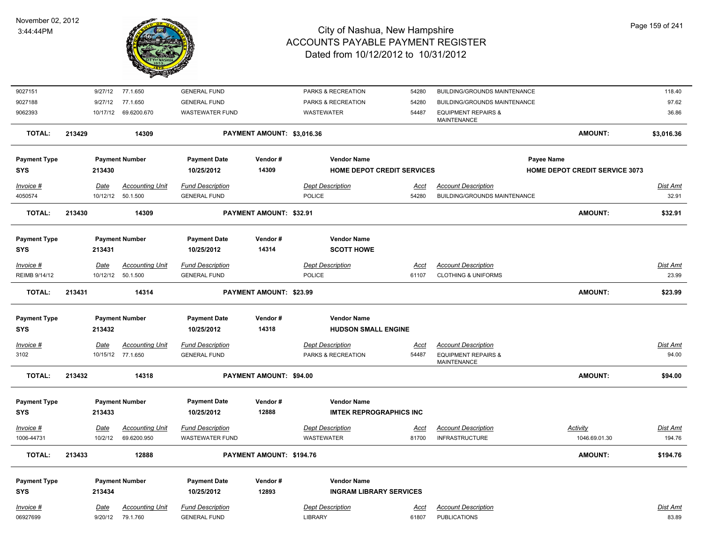

| 9027151             | 9/27/12     | 77.1.650               | <b>GENERAL FUND</b>     |                                | PARKS & RECREATION                | 54280       | BUILDING/GROUNDS MAINTENANCE                  |                                       | 118.40          |
|---------------------|-------------|------------------------|-------------------------|--------------------------------|-----------------------------------|-------------|-----------------------------------------------|---------------------------------------|-----------------|
| 9027188             | 9/27/12     | 77.1.650               | <b>GENERAL FUND</b>     |                                | PARKS & RECREATION                | 54280       | <b>BUILDING/GROUNDS MAINTENANCE</b>           |                                       | 97.62           |
| 9062393             | 10/17/12    | 69.6200.670            | <b>WASTEWATER FUND</b>  |                                | WASTEWATER                        | 54487       | <b>EQUIPMENT REPAIRS &amp;</b><br>MAINTENANCE |                                       | 36.86           |
| TOTAL:              | 213429      | 14309                  |                         | PAYMENT AMOUNT: \$3,016.36     |                                   |             |                                               | <b>AMOUNT:</b>                        | \$3,016.36      |
| <b>Payment Type</b> |             | <b>Payment Number</b>  | <b>Payment Date</b>     | Vendor#                        | <b>Vendor Name</b>                |             |                                               | Payee Name                            |                 |
| <b>SYS</b>          | 213430      |                        | 10/25/2012              | 14309                          | <b>HOME DEPOT CREDIT SERVICES</b> |             |                                               | <b>HOME DEPOT CREDIT SERVICE 3073</b> |                 |
| Invoice #           | Date        | <b>Accounting Unit</b> | <b>Fund Description</b> |                                | <b>Dept Description</b>           | Acct        | <b>Account Description</b>                    |                                       | Dist Amt        |
| 4050574             | 10/12/12    | 50.1.500               | <b>GENERAL FUND</b>     |                                | <b>POLICE</b>                     | 54280       | BUILDING/GROUNDS MAINTENANCE                  |                                       | 32.91           |
| <b>TOTAL:</b>       | 213430      | 14309                  |                         | <b>PAYMENT AMOUNT: \$32.91</b> |                                   |             |                                               | <b>AMOUNT:</b>                        | \$32.91         |
| <b>Payment Type</b> |             | <b>Payment Number</b>  | <b>Payment Date</b>     | Vendor#                        | <b>Vendor Name</b>                |             |                                               |                                       |                 |
| <b>SYS</b>          | 213431      |                        | 10/25/2012              | 14314                          | <b>SCOTT HOWE</b>                 |             |                                               |                                       |                 |
| Invoice #           | <u>Date</u> | <b>Accounting Unit</b> | <b>Fund Description</b> |                                | <b>Dept Description</b>           | <u>Acct</u> | <b>Account Description</b>                    |                                       | <b>Dist Amt</b> |
| REIMB 9/14/12       | 10/12/12    | 50.1.500               | <b>GENERAL FUND</b>     |                                | POLICE                            | 61107       | <b>CLOTHING &amp; UNIFORMS</b>                |                                       | 23.99           |
| <b>TOTAL:</b>       | 213431      | 14314                  |                         | <b>PAYMENT AMOUNT: \$23.99</b> |                                   |             |                                               | <b>AMOUNT:</b>                        | \$23.99         |
| <b>Payment Type</b> |             | <b>Payment Number</b>  | <b>Payment Date</b>     | Vendor#                        | <b>Vendor Name</b>                |             |                                               |                                       |                 |
| <b>SYS</b>          | 213432      |                        | 10/25/2012              | 14318                          | <b>HUDSON SMALL ENGINE</b>        |             |                                               |                                       |                 |
| Invoice #           | Date        | <b>Accounting Unit</b> | <b>Fund Description</b> |                                | <b>Dept Description</b>           | Acct        | <b>Account Description</b>                    |                                       | Dist Amt        |
| 3102                |             | 10/15/12 77.1.650      | <b>GENERAL FUND</b>     |                                | PARKS & RECREATION                | 54487       | <b>EQUIPMENT REPAIRS &amp;</b><br>MAINTENANCE |                                       | 94.00           |
| <b>TOTAL:</b>       | 213432      | 14318                  |                         | PAYMENT AMOUNT: \$94.00        |                                   |             |                                               | <b>AMOUNT:</b>                        | \$94.00         |
| <b>Payment Type</b> |             | <b>Payment Number</b>  | <b>Payment Date</b>     | Vendor#                        | <b>Vendor Name</b>                |             |                                               |                                       |                 |
| <b>SYS</b>          | 213433      |                        | 10/25/2012              | 12888                          | <b>IMTEK REPROGRAPHICS INC</b>    |             |                                               |                                       |                 |
| Invoice #           | <u>Date</u> | <b>Accounting Unit</b> | <b>Fund Description</b> |                                | <b>Dept Description</b>           | <u>Acct</u> | <b>Account Description</b>                    | <b>Activity</b>                       | Dist Amt        |
| 1006-44731          | 10/2/12     | 69.6200.950            | <b>WASTEWATER FUND</b>  |                                | <b>WASTEWATER</b>                 | 81700       | <b>INFRASTRUCTURE</b>                         | 1046.69.01.30                         | 194.76          |
| <b>TOTAL:</b>       | 213433      | 12888                  |                         | PAYMENT AMOUNT: \$194.76       |                                   |             |                                               | <b>AMOUNT:</b>                        | \$194.76        |
| <b>Payment Type</b> |             | <b>Payment Number</b>  | <b>Payment Date</b>     | Vendor#                        | <b>Vendor Name</b>                |             |                                               |                                       |                 |
| <b>SYS</b>          | 213434      |                        | 10/25/2012              | 12893                          | <b>INGRAM LIBRARY SERVICES</b>    |             |                                               |                                       |                 |
| Invoice #           | Date        | <b>Accounting Unit</b> | <b>Fund Description</b> |                                | <b>Dept Description</b>           | <u>Acct</u> | <b>Account Description</b>                    |                                       | Dist Amt        |
| 06927699            | 9/20/12     | 79.1.760               | <b>GENERAL FUND</b>     |                                | <b>LIBRARY</b>                    | 61807       | <b>PUBLICATIONS</b>                           |                                       | 83.89           |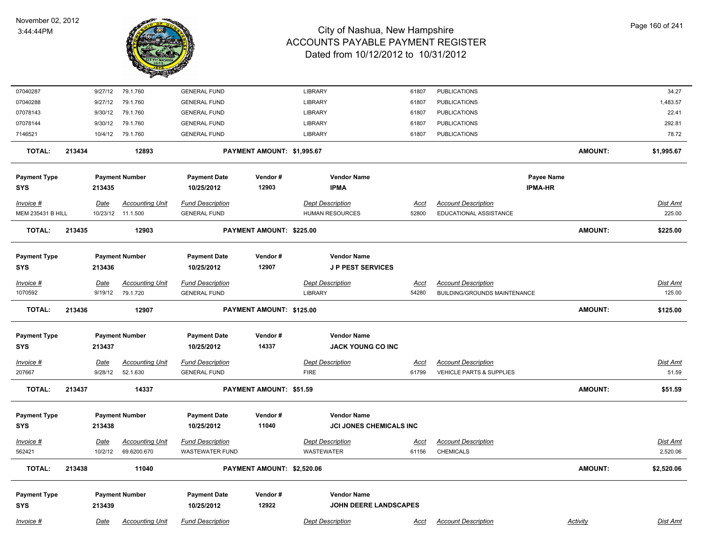

| 07040287                 |        | 9/27/12     | 79.1.760               | <b>GENERAL FUND</b>     |                            | <b>LIBRARY</b>                 | 61807       | <b>PUBLICATIONS</b>                 |                | 34.27           |
|--------------------------|--------|-------------|------------------------|-------------------------|----------------------------|--------------------------------|-------------|-------------------------------------|----------------|-----------------|
| 07040288                 |        | 9/27/12     | 79.1.760               | <b>GENERAL FUND</b>     |                            | <b>LIBRARY</b>                 | 61807       | <b>PUBLICATIONS</b>                 |                | 1,483.57        |
| 07078143                 |        | 9/30/12     | 79.1.760               | <b>GENERAL FUND</b>     |                            | <b>LIBRARY</b>                 | 61807       | PUBLICATIONS                        |                | 22.41           |
| 07078144                 |        | 9/30/12     | 79.1.760               | <b>GENERAL FUND</b>     |                            | <b>LIBRARY</b>                 | 61807       | <b>PUBLICATIONS</b>                 |                | 292.81          |
| 7146521                  |        | 10/4/12     | 79.1.760               | <b>GENERAL FUND</b>     |                            | <b>LIBRARY</b>                 | 61807       | <b>PUBLICATIONS</b>                 |                | 78.72           |
| <b>TOTAL:</b>            | 213434 |             | 12893                  |                         | PAYMENT AMOUNT: \$1,995.67 |                                |             |                                     | <b>AMOUNT:</b> | \$1,995.67      |
| <b>Payment Type</b>      |        |             | <b>Payment Number</b>  | <b>Payment Date</b>     | Vendor#                    | <b>Vendor Name</b>             |             |                                     | Payee Name     |                 |
| <b>SYS</b>               |        | 213435      |                        | 10/25/2012              | 12903                      | <b>IPMA</b>                    |             |                                     | <b>IPMA-HR</b> |                 |
| Invoice #                |        | Date        | <b>Accounting Unit</b> | <b>Fund Description</b> |                            | <b>Dept Description</b>        | <u>Acct</u> | <b>Account Description</b>          |                | Dist Amt        |
| <b>MEM 235431 B HILL</b> |        |             | 10/23/12 11.1.500      | <b>GENERAL FUND</b>     |                            | <b>HUMAN RESOURCES</b>         | 52800       | EDUCATIONAL ASSISTANCE              |                | 225.00          |
| <b>TOTAL:</b>            | 213435 |             | 12903                  |                         | PAYMENT AMOUNT: \$225.00   |                                |             |                                     | <b>AMOUNT:</b> | \$225.00        |
|                          |        |             |                        |                         |                            |                                |             |                                     |                |                 |
| <b>Payment Type</b>      |        |             | <b>Payment Number</b>  | <b>Payment Date</b>     | Vendor#                    | <b>Vendor Name</b>             |             |                                     |                |                 |
| <b>SYS</b>               |        | 213436      |                        | 10/25/2012              | 12907                      | <b>JP PEST SERVICES</b>        |             |                                     |                |                 |
| Invoice #                |        | Date        | <b>Accounting Unit</b> | <b>Fund Description</b> |                            | <b>Dept Description</b>        | <u>Acct</u> | <b>Account Description</b>          |                | Dist Amt        |
| 1070592                  |        | 9/19/12     | 79.1.720               | <b>GENERAL FUND</b>     |                            | <b>LIBRARY</b>                 | 54280       | <b>BUILDING/GROUNDS MAINTENANCE</b> |                | 125.00          |
| <b>TOTAL:</b>            | 213436 |             | 12907                  |                         | PAYMENT AMOUNT: \$125.00   |                                |             |                                     | <b>AMOUNT:</b> | \$125.00        |
| <b>Payment Type</b>      |        |             | <b>Payment Number</b>  | <b>Payment Date</b>     | Vendor#                    | <b>Vendor Name</b>             |             |                                     |                |                 |
| <b>SYS</b>               |        | 213437      |                        | 10/25/2012              | 14337                      | <b>JACK YOUNG CO INC</b>       |             |                                     |                |                 |
|                          |        |             |                        |                         |                            |                                |             |                                     |                |                 |
| Invoice #                |        | <b>Date</b> | <b>Accounting Unit</b> | <b>Fund Description</b> |                            | <b>Dept Description</b>        | <u>Acct</u> | <b>Account Description</b>          |                | <b>Dist Amt</b> |
| 207667                   |        | 9/28/12     | 52.1.630               | <b>GENERAL FUND</b>     |                            | <b>FIRE</b>                    | 61799       | VEHICLE PARTS & SUPPLIES            |                | 51.59           |
| <b>TOTAL:</b>            | 213437 |             | 14337                  |                         | PAYMENT AMOUNT: \$51.59    |                                |             |                                     | <b>AMOUNT:</b> | \$51.59         |
| <b>Payment Type</b>      |        |             | <b>Payment Number</b>  | <b>Payment Date</b>     | Vendor#                    | <b>Vendor Name</b>             |             |                                     |                |                 |
| <b>SYS</b>               |        | 213438      |                        | 10/25/2012              | 11040                      | <b>JCI JONES CHEMICALS INC</b> |             |                                     |                |                 |
| Invoice #                |        | Date        | <b>Accounting Unit</b> | <b>Fund Description</b> |                            | <b>Dept Description</b>        | <u>Acct</u> | <b>Account Description</b>          |                | Dist Amt        |
| 562421                   |        | 10/2/12     | 69.6200.670            | <b>WASTEWATER FUND</b>  |                            | <b>WASTEWATER</b>              | 61156       | <b>CHEMICALS</b>                    |                | 2,520.06        |
| <b>TOTAL:</b>            | 213438 |             | 11040                  |                         | PAYMENT AMOUNT: \$2,520.06 |                                |             |                                     | <b>AMOUNT:</b> | \$2,520.06      |
|                          |        |             |                        |                         |                            |                                |             |                                     |                |                 |
| <b>Payment Type</b>      |        |             | <b>Payment Number</b>  | <b>Payment Date</b>     | Vendor#                    | <b>Vendor Name</b>             |             |                                     |                |                 |
| <b>SYS</b>               |        | 213439      |                        | 10/25/2012              | 12922                      | <b>JOHN DEERE LANDSCAPES</b>   |             |                                     |                |                 |
| Invoice #                |        | Date        | <b>Accounting Unit</b> | <b>Fund Description</b> |                            | <b>Dept Description</b>        | Acct        | <b>Account Description</b>          | Activity       | Dist Amt        |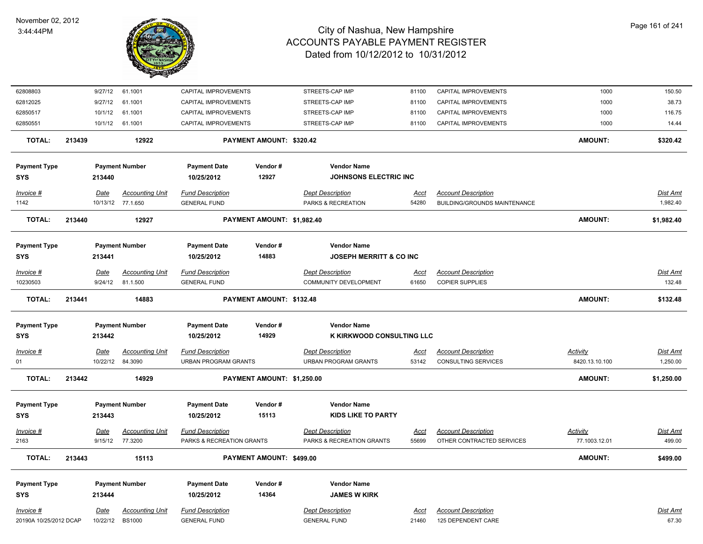

| 62808803               |        | 9/27/12     | 61.1001                                     | CAPITAL IMPROVEMENTS                           |                            | STREETS-CAP IMP                                          | 81100                | CAPITAL IMPROVEMENTS                                              | 1000            | 150.50               |
|------------------------|--------|-------------|---------------------------------------------|------------------------------------------------|----------------------------|----------------------------------------------------------|----------------------|-------------------------------------------------------------------|-----------------|----------------------|
| 62812025               |        | 9/27/12     | 61.1001                                     | CAPITAL IMPROVEMENTS                           |                            | STREETS-CAP IMP                                          | 81100                | CAPITAL IMPROVEMENTS                                              | 1000            | 38.73                |
| 62850517               |        | 10/1/12     | 61.1001                                     | CAPITAL IMPROVEMENTS                           |                            | STREETS-CAP IMP                                          | 81100                | CAPITAL IMPROVEMENTS                                              | 1000            | 116.75               |
| 62850551               |        | 10/1/12     | 61.1001                                     | CAPITAL IMPROVEMENTS                           |                            | STREETS-CAP IMP                                          | 81100                | CAPITAL IMPROVEMENTS                                              | 1000            | 14.44                |
| <b>TOTAL:</b>          | 213439 |             | 12922                                       |                                                | PAYMENT AMOUNT: \$320.42   |                                                          |                      |                                                                   | <b>AMOUNT:</b>  | \$320.42             |
| <b>Payment Type</b>    |        |             | <b>Payment Number</b>                       | <b>Payment Date</b>                            | Vendor#                    | <b>Vendor Name</b>                                       |                      |                                                                   |                 |                      |
| <b>SYS</b>             |        | 213440      |                                             | 10/25/2012                                     | 12927                      | JOHNSONS ELECTRIC INC                                    |                      |                                                                   |                 |                      |
| Invoice #<br>1142      |        | Date        | <b>Accounting Unit</b><br>10/13/12 77.1.650 | <b>Fund Description</b><br><b>GENERAL FUND</b> |                            | <b>Dept Description</b><br><b>PARKS &amp; RECREATION</b> | <b>Acct</b><br>54280 | <b>Account Description</b><br><b>BUILDING/GROUNDS MAINTENANCE</b> |                 | Dist Amt<br>1,982.40 |
| <b>TOTAL:</b>          | 213440 |             | 12927                                       |                                                | PAYMENT AMOUNT: \$1,982.40 |                                                          |                      |                                                                   | <b>AMOUNT:</b>  | \$1,982.40           |
| <b>Payment Type</b>    |        |             | <b>Payment Number</b>                       | <b>Payment Date</b>                            | Vendor#                    | <b>Vendor Name</b>                                       |                      |                                                                   |                 |                      |
| <b>SYS</b>             |        | 213441      |                                             | 10/25/2012                                     | 14883                      | <b>JOSEPH MERRITT &amp; CO INC</b>                       |                      |                                                                   |                 |                      |
| Invoice #              |        | <b>Date</b> | <b>Accounting Unit</b>                      | <b>Fund Description</b>                        |                            | <b>Dept Description</b>                                  | Acct                 | <b>Account Description</b>                                        |                 | Dist Amt             |
| 10230503               |        | 9/24/12     | 81.1.500                                    | <b>GENERAL FUND</b>                            |                            | <b>COMMUNITY DEVELOPMENT</b>                             | 61650                | <b>COPIER SUPPLIES</b>                                            |                 | 132.48               |
| <b>TOTAL:</b>          | 213441 |             | 14883                                       |                                                | PAYMENT AMOUNT: \$132.48   |                                                          |                      |                                                                   | <b>AMOUNT:</b>  | \$132.48             |
| <b>Payment Type</b>    |        |             | <b>Payment Number</b>                       | <b>Payment Date</b>                            | Vendor#                    | <b>Vendor Name</b>                                       |                      |                                                                   |                 |                      |
| <b>SYS</b>             |        | 213442      |                                             | 10/25/2012                                     | 14929                      | K KIRKWOOD CONSULTING LLC                                |                      |                                                                   |                 |                      |
| Invoice #              |        | <u>Date</u> | <b>Accounting Unit</b>                      | <b>Fund Description</b>                        |                            | <b>Dept Description</b>                                  | <u>Acct</u>          | <b>Account Description</b>                                        | <b>Activity</b> | <u>Dist Amt</u>      |
| 01                     |        |             | 10/22/12 84.3090                            | <b>URBAN PROGRAM GRANTS</b>                    |                            | <b>URBAN PROGRAM GRANTS</b>                              | 53142                | <b>CONSULTING SERVICES</b>                                        | 8420.13.10.100  | 1,250.00             |
| <b>TOTAL:</b>          | 213442 |             | 14929                                       |                                                | PAYMENT AMOUNT: \$1,250.00 |                                                          |                      |                                                                   | <b>AMOUNT:</b>  | \$1,250.00           |
| <b>Payment Type</b>    |        |             | <b>Payment Number</b>                       | <b>Payment Date</b>                            | Vendor#                    | <b>Vendor Name</b>                                       |                      |                                                                   |                 |                      |
| <b>SYS</b>             |        | 213443      |                                             | 10/25/2012                                     | 15113                      | <b>KIDS LIKE TO PARTY</b>                                |                      |                                                                   |                 |                      |
| $Invoice$ #            |        | <u>Date</u> | <b>Accounting Unit</b>                      | <b>Fund Description</b>                        |                            | <b>Dept Description</b>                                  | <u>Acct</u>          | <b>Account Description</b>                                        | Activity        | Dist Amt             |
| 2163                   |        | 9/15/12     | 77.3200                                     | PARKS & RECREATION GRANTS                      |                            | PARKS & RECREATION GRANTS                                | 55699                | OTHER CONTRACTED SERVICES                                         | 77.1003.12.01   | 499.00               |
| <b>TOTAL:</b>          | 213443 |             | 15113                                       |                                                | PAYMENT AMOUNT: \$499.00   |                                                          |                      |                                                                   | <b>AMOUNT:</b>  | \$499.00             |
| <b>Payment Type</b>    |        |             | <b>Payment Number</b>                       | <b>Payment Date</b>                            | Vendor#                    | <b>Vendor Name</b>                                       |                      |                                                                   |                 |                      |
| <b>SYS</b>             |        | 213444      |                                             | 10/25/2012                                     | 14364                      | <b>JAMES W KIRK</b>                                      |                      |                                                                   |                 |                      |
| Invoice #              |        | <b>Date</b> | <b>Accounting Unit</b>                      | <b>Fund Description</b>                        |                            | <b>Dept Description</b>                                  | <b>Acct</b>          | <b>Account Description</b>                                        |                 | <u>Dist Amt</u>      |
| 20190A 10/25/2012 DCAP |        | 10/22/12    | <b>BS1000</b>                               | <b>GENERAL FUND</b>                            |                            | <b>GENERAL FUND</b>                                      | 21460                | 125 DEPENDENT CARE                                                |                 | 67.30                |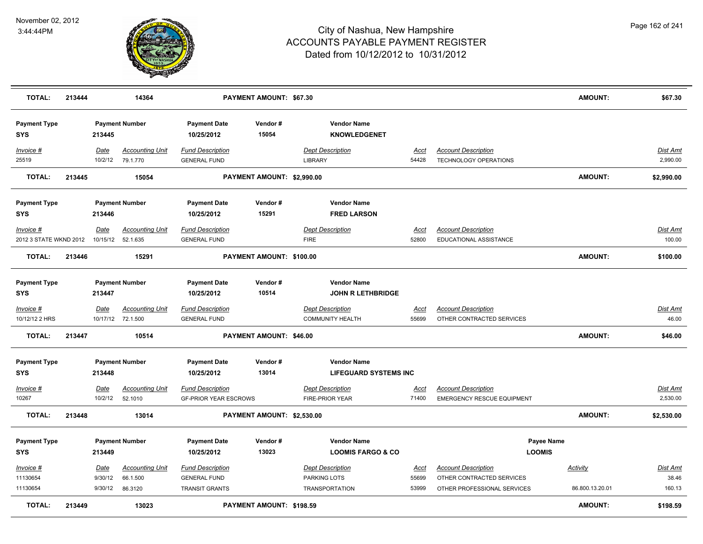

| <b>TOTAL:</b>                       | 213444 |                        | 14364                                       |                                                         | PAYMENT AMOUNT: \$67.30    |                                                    |                      |                                                                 | <b>AMOUNT:</b>                    | \$67.30                  |
|-------------------------------------|--------|------------------------|---------------------------------------------|---------------------------------------------------------|----------------------------|----------------------------------------------------|----------------------|-----------------------------------------------------------------|-----------------------------------|--------------------------|
| <b>Payment Type</b><br><b>SYS</b>   |        | 213445                 | <b>Payment Number</b>                       | <b>Payment Date</b><br>10/25/2012                       | Vendor#<br>15054           | <b>Vendor Name</b><br><b>KNOWLEDGENET</b>          |                      |                                                                 |                                   |                          |
| Invoice #<br>25519                  |        | Date<br>10/2/12        | <b>Accounting Unit</b><br>79.1.770          | <b>Fund Description</b><br><b>GENERAL FUND</b>          |                            | <b>Dept Description</b><br><b>LIBRARY</b>          | Acct<br>54428        | <b>Account Description</b><br><b>TECHNOLOGY OPERATIONS</b>      |                                   | Dist Amt<br>2,990.00     |
| <b>TOTAL:</b>                       | 213445 |                        | 15054                                       |                                                         | PAYMENT AMOUNT: \$2,990.00 |                                                    |                      |                                                                 | AMOUNT:                           | \$2,990.00               |
| <b>Payment Type</b><br>SYS          |        | 213446                 | <b>Payment Number</b>                       | <b>Payment Date</b><br>10/25/2012                       | Vendor#<br>15291           | <b>Vendor Name</b><br><b>FRED LARSON</b>           |                      |                                                                 |                                   |                          |
| Invoice #<br>2012 3 STATE WKND 2012 |        | Date<br>10/15/12       | <b>Accounting Unit</b><br>52.1.635          | <b>Fund Description</b><br><b>GENERAL FUND</b>          |                            | <b>Dept Description</b><br><b>FIRE</b>             | Acct<br>52800        | <b>Account Description</b><br>EDUCATIONAL ASSISTANCE            |                                   | Dist Amt<br>100.00       |
| <b>TOTAL:</b>                       | 213446 |                        | 15291                                       |                                                         | PAYMENT AMOUNT: \$100.00   |                                                    |                      |                                                                 | AMOUNT:                           | \$100.00                 |
| <b>Payment Type</b><br><b>SYS</b>   |        | 213447                 | <b>Payment Number</b>                       | <b>Payment Date</b><br>10/25/2012                       | Vendor#<br>10514           | <b>Vendor Name</b><br><b>JOHN R LETHBRIDGE</b>     |                      |                                                                 |                                   |                          |
| $Invoice$ #<br>10/12/12 2 HRS       |        | <b>Date</b>            | <b>Accounting Unit</b><br>10/17/12 72.1.500 | <b>Fund Description</b><br><b>GENERAL FUND</b>          |                            | <b>Dept Description</b><br><b>COMMUNITY HEALTH</b> | Acct<br>55699        | <b>Account Description</b><br>OTHER CONTRACTED SERVICES         |                                   | Dist Amt<br>46.00        |
| <b>TOTAL:</b>                       | 213447 |                        | 10514                                       |                                                         | PAYMENT AMOUNT: \$46.00    |                                                    |                      |                                                                 | <b>AMOUNT:</b>                    | \$46.00                  |
| <b>Payment Type</b><br><b>SYS</b>   |        | 213448                 | <b>Payment Number</b>                       | <b>Payment Date</b><br>10/25/2012                       | Vendor#<br>13014           | <b>Vendor Name</b><br><b>LIFEGUARD SYSTEMS INC</b> |                      |                                                                 |                                   |                          |
| <b>Invoice #</b><br>10267           |        | <u>Date</u><br>10/2/12 | <b>Accounting Unit</b><br>52.1010           | <b>Fund Description</b><br><b>GF-PRIOR YEAR ESCROWS</b> |                            | <b>Dept Description</b><br>FIRE-PRIOR YEAR         | <u>Acct</u><br>71400 | <b>Account Description</b><br><b>EMERGENCY RESCUE EQUIPMENT</b> |                                   | Dist Amt<br>2,530.00     |
| <b>TOTAL:</b>                       | 213448 |                        | 13014                                       |                                                         | PAYMENT AMOUNT: \$2,530.00 |                                                    |                      |                                                                 | <b>AMOUNT:</b>                    | \$2,530.00               |
| <b>Payment Type</b><br>SYS          |        | 213449                 | <b>Payment Number</b>                       | <b>Payment Date</b><br>10/25/2012                       | Vendor#<br>13023           | <b>Vendor Name</b><br><b>LOOMIS FARGO &amp; CO</b> |                      | <b>LOOMIS</b>                                                   | Payee Name                        |                          |
| Invoice #<br>11130654               |        | Date<br>9/30/12        | <b>Accounting Unit</b><br>66.1.500          | <b>Fund Description</b><br><b>GENERAL FUND</b>          |                            | <b>Dept Description</b><br>PARKING LOTS            | Acct<br>55699        | <b>Account Description</b><br>OTHER CONTRACTED SERVICES         | <b>Activity</b>                   | <b>Dist Amt</b><br>38.46 |
| 11130654<br><b>TOTAL:</b>           | 213449 | 9/30/12                | 86.3120<br>13023                            | <b>TRANSIT GRANTS</b>                                   | PAYMENT AMOUNT: \$198.59   | <b>TRANSPORTATION</b>                              | 53999                | OTHER PROFESSIONAL SERVICES                                     | 86.800.13.20.01<br><b>AMOUNT:</b> | 160.13<br>\$198.59       |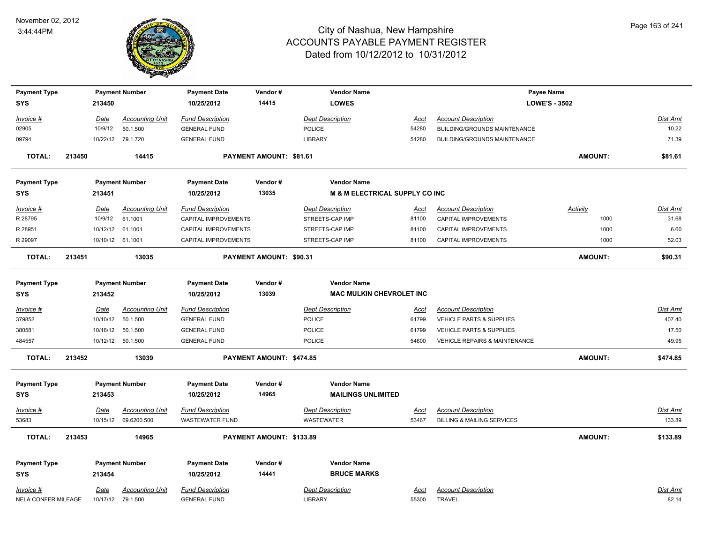

| <b>Payment Type</b>               |        |                        | <b>Payment Number</b>              | <b>Payment Date</b>               | Vendor#                  | <b>Vendor Name</b>                                    |             |                                          | Payee Name           |                          |
|-----------------------------------|--------|------------------------|------------------------------------|-----------------------------------|--------------------------|-------------------------------------------------------|-------------|------------------------------------------|----------------------|--------------------------|
| <b>SYS</b>                        |        | 213450                 |                                    | 10/25/2012                        | 14415                    | <b>LOWES</b>                                          |             |                                          | <b>LOWE'S - 3502</b> |                          |
|                                   |        |                        |                                    |                                   |                          |                                                       |             |                                          |                      |                          |
| Invoice #                         |        | <b>Date</b><br>10/9/12 | <b>Accounting Unit</b><br>50.1.500 | <b>Fund Description</b>           |                          | <b>Dept Description</b>                               | Acct        | <b>Account Description</b>               |                      | <u>Dist Amt</u><br>10.22 |
| 02905                             |        |                        |                                    | <b>GENERAL FUND</b>               |                          | POLICE                                                | 54280       | <b>BUILDING/GROUNDS MAINTENANCE</b>      |                      |                          |
| 09794                             |        |                        | 10/22/12 79.1.720                  | <b>GENERAL FUND</b>               |                          | <b>LIBRARY</b>                                        | 54280       | <b>BUILDING/GROUNDS MAINTENANCE</b>      |                      | 71.39                    |
| <b>TOTAL:</b>                     | 213450 |                        | 14415                              |                                   | PAYMENT AMOUNT: \$81.61  |                                                       |             |                                          | <b>AMOUNT:</b>       | \$81.61                  |
| <b>Payment Type</b>               |        |                        | <b>Payment Number</b>              | <b>Payment Date</b>               | Vendor#                  | <b>Vendor Name</b>                                    |             |                                          |                      |                          |
| <b>SYS</b>                        |        | 213451                 |                                    | 10/25/2012                        | 13035                    | <b>M &amp; M ELECTRICAL SUPPLY CO INC</b>             |             |                                          |                      |                          |
| Invoice #                         |        | <b>Date</b>            | <b>Accounting Unit</b>             | <b>Fund Description</b>           |                          | <b>Dept Description</b>                               | <u>Acct</u> | <b>Account Description</b>               | <b>Activity</b>      | Dist Amt                 |
| R 28795                           |        | 10/9/12                | 61.1001                            | CAPITAL IMPROVEMENTS              |                          | STREETS-CAP IMP                                       | 81100       | CAPITAL IMPROVEMENTS                     | 1000                 | 31.68                    |
| R 28951                           |        | 10/12/12               | 61.1001                            | CAPITAL IMPROVEMENTS              |                          | STREETS-CAP IMP                                       | 81100       | <b>CAPITAL IMPROVEMENTS</b>              | 1000                 | 6.60                     |
| R 29097                           |        |                        | 10/10/12 61.1001                   | CAPITAL IMPROVEMENTS              |                          | STREETS-CAP IMP                                       | 81100       | CAPITAL IMPROVEMENTS                     | 1000                 | 52.03                    |
| <b>TOTAL:</b>                     | 213451 |                        | 13035                              |                                   | PAYMENT AMOUNT: \$90.31  |                                                       |             |                                          | <b>AMOUNT:</b>       | \$90.31                  |
| <b>Payment Type</b><br><b>SYS</b> |        | 213452                 | <b>Payment Number</b>              | <b>Payment Date</b><br>10/25/2012 | Vendor#<br>13039         | <b>Vendor Name</b><br><b>MAC MULKIN CHEVROLET INC</b> |             |                                          |                      |                          |
| Invoice #                         |        | <b>Date</b>            | <b>Accounting Unit</b>             | <b>Fund Description</b>           |                          | <b>Dept Description</b>                               | <u>Acct</u> | <b>Account Description</b>               |                      | <b>Dist Amt</b>          |
| 379852                            |        | 10/10/12               | 50.1.500                           | <b>GENERAL FUND</b>               |                          | <b>POLICE</b>                                         | 61799       | <b>VEHICLE PARTS &amp; SUPPLIES</b>      |                      | 407.40                   |
| 380581                            |        |                        | 10/16/12 50.1.500                  | <b>GENERAL FUND</b>               |                          | <b>POLICE</b>                                         | 61799       | VEHICLE PARTS & SUPPLIES                 |                      | 17.50                    |
| 484557                            |        |                        | 10/12/12  50.1.500                 | <b>GENERAL FUND</b>               |                          | <b>POLICE</b>                                         | 54600       | <b>VEHICLE REPAIRS &amp; MAINTENANCE</b> |                      | 49.95                    |
| <b>TOTAL:</b>                     | 213452 |                        | 13039                              |                                   | PAYMENT AMOUNT: \$474.85 |                                                       |             |                                          | <b>AMOUNT:</b>       | \$474.85                 |
|                                   |        |                        |                                    |                                   |                          |                                                       |             |                                          |                      |                          |
| <b>Payment Type</b>               |        |                        | <b>Payment Number</b>              | <b>Payment Date</b>               | Vendor#                  | <b>Vendor Name</b>                                    |             |                                          |                      |                          |
| <b>SYS</b>                        |        | 213453                 |                                    | 10/25/2012                        | 14965                    | <b>MAILINGS UNLIMITED</b>                             |             |                                          |                      |                          |
| Invoice #                         |        | <b>Date</b>            | <b>Accounting Unit</b>             | <b>Fund Description</b>           |                          | <b>Dept Description</b>                               | <u>Acct</u> | <b>Account Description</b>               |                      | Dist Amt                 |
| 53683                             |        |                        | 10/15/12 69.6200.500               | <b>WASTEWATER FUND</b>            |                          | <b>WASTEWATER</b>                                     | 53467       | <b>BILLING &amp; MAILING SERVICES</b>    |                      | 133.89                   |
| <b>TOTAL:</b>                     | 213453 |                        | 14965                              |                                   | PAYMENT AMOUNT: \$133.89 |                                                       |             |                                          | <b>AMOUNT:</b>       | \$133.89                 |
| <b>Payment Type</b>               |        |                        | <b>Payment Number</b>              | <b>Payment Date</b>               | Vendor#                  | <b>Vendor Name</b>                                    |             |                                          |                      |                          |
| <b>SYS</b>                        |        | 213454                 |                                    | 10/25/2012                        | 14441                    | <b>BRUCE MARKS</b>                                    |             |                                          |                      |                          |
| Invoice #                         |        | Date                   | <b>Accounting Unit</b>             | <b>Fund Description</b>           |                          | <b>Dept Description</b>                               | Acct        | <b>Account Description</b>               |                      | Dist Amt                 |
| NELA CONFER MILEAGE               |        |                        | 10/17/12 79.1.500                  | <b>GENERAL FUND</b>               |                          | <b>LIBRARY</b>                                        | 55300       | <b>TRAVEL</b>                            |                      | 82.14                    |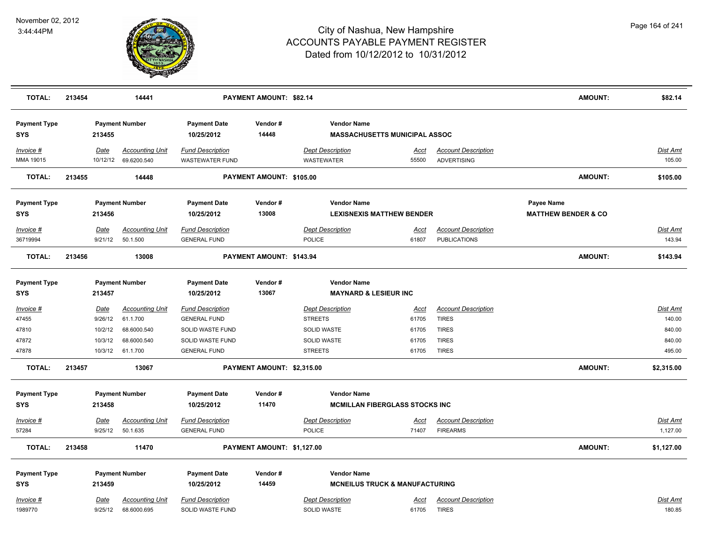

| <b>TOTAL:</b>                     | 213454 |                        | 14441                                 |                                                   | PAYMENT AMOUNT: \$82.14    |                                              |                                           |                                                   | <b>AMOUNT:</b>                               | \$82.14            |
|-----------------------------------|--------|------------------------|---------------------------------------|---------------------------------------------------|----------------------------|----------------------------------------------|-------------------------------------------|---------------------------------------------------|----------------------------------------------|--------------------|
| <b>Payment Type</b><br><b>SYS</b> |        | 213455                 | <b>Payment Number</b>                 | <b>Payment Date</b><br>10/25/2012                 | Vendor#<br>14448           | <b>Vendor Name</b>                           | <b>MASSACHUSETTS MUNICIPAL ASSOC</b>      |                                                   |                                              |                    |
| Invoice #<br>MMA 19015            |        | Date<br>10/12/12       | <b>Accounting Unit</b><br>69.6200.540 | <b>Fund Description</b><br><b>WASTEWATER FUND</b> |                            | <b>Dept Description</b><br><b>WASTEWATER</b> | Acct<br>55500                             | <b>Account Description</b><br><b>ADVERTISING</b>  |                                              | Dist Amt<br>105.00 |
| <b>TOTAL:</b>                     | 213455 |                        | 14448                                 |                                                   | PAYMENT AMOUNT: \$105.00   |                                              |                                           |                                                   | <b>AMOUNT:</b>                               | \$105.00           |
| <b>Payment Type</b><br>SYS        |        | 213456                 | <b>Payment Number</b>                 | <b>Payment Date</b><br>10/25/2012                 | Vendor#<br>13008           | <b>Vendor Name</b>                           | <b>LEXISNEXIS MATTHEW BENDER</b>          |                                                   | Payee Name<br><b>MATTHEW BENDER &amp; CO</b> |                    |
| Invoice #<br>36719994             |        | <b>Date</b><br>9/21/12 | <b>Accounting Unit</b><br>50.1.500    | <b>Fund Description</b><br><b>GENERAL FUND</b>    |                            | <b>Dept Description</b><br>POLICE            | Acct<br>61807                             | <b>Account Description</b><br><b>PUBLICATIONS</b> |                                              | Dist Amt<br>143.94 |
| <b>TOTAL:</b>                     | 213456 |                        | 13008                                 |                                                   | PAYMENT AMOUNT: \$143.94   |                                              |                                           |                                                   | <b>AMOUNT:</b>                               | \$143.94           |
| <b>Payment Type</b><br>SYS        |        | 213457                 | <b>Payment Number</b>                 | <b>Payment Date</b><br>10/25/2012                 | Vendor#<br>13067           | <b>Vendor Name</b>                           | <b>MAYNARD &amp; LESIEUR INC</b>          |                                                   |                                              |                    |
| <u>Invoice #</u>                  |        | <b>Date</b>            | <b>Accounting Unit</b>                | <b>Fund Description</b>                           |                            | <b>Dept Description</b>                      | <b>Acct</b>                               | <b>Account Description</b>                        |                                              | Dist Amt           |
| 47455                             |        | 9/26/12                | 61.1.700                              | <b>GENERAL FUND</b>                               |                            | <b>STREETS</b>                               | 61705                                     | <b>TIRES</b>                                      |                                              | 140.00             |
| 47810                             |        | 10/2/12                | 68.6000.540                           | SOLID WASTE FUND                                  |                            | <b>SOLID WASTE</b>                           | 61705                                     | <b>TIRES</b>                                      |                                              | 840.00             |
| 47872                             |        | 10/3/12                | 68.6000.540                           | SOLID WASTE FUND                                  |                            | SOLID WASTE                                  | 61705                                     | <b>TIRES</b>                                      |                                              | 840.00             |
| 47878                             |        | 10/3/12                | 61.1.700                              | <b>GENERAL FUND</b>                               |                            | <b>STREETS</b>                               | 61705                                     | <b>TIRES</b>                                      |                                              | 495.00             |
| <b>TOTAL:</b>                     | 213457 |                        | 13067                                 |                                                   | PAYMENT AMOUNT: \$2,315.00 |                                              |                                           |                                                   | AMOUNT:                                      | \$2,315.00         |
| <b>Payment Type</b>               |        |                        | <b>Payment Number</b>                 | <b>Payment Date</b>                               | Vendor#                    | <b>Vendor Name</b>                           |                                           |                                                   |                                              |                    |
| <b>SYS</b>                        |        | 213458                 |                                       | 10/25/2012                                        | 11470                      |                                              | <b>MCMILLAN FIBERGLASS STOCKS INC</b>     |                                                   |                                              |                    |
| Invoice #                         |        | <b>Date</b>            | <b>Accounting Unit</b>                | <b>Fund Description</b>                           |                            | <b>Dept Description</b>                      | Acct                                      | <b>Account Description</b>                        |                                              | Dist Amt           |
| 57284                             |        | 9/25/12                | 50.1.635                              | <b>GENERAL FUND</b>                               |                            | <b>POLICE</b>                                | 71407                                     | <b>FIREARMS</b>                                   |                                              | 1,127.00           |
| <b>TOTAL:</b>                     | 213458 |                        | 11470                                 |                                                   | PAYMENT AMOUNT: \$1,127.00 |                                              |                                           |                                                   | <b>AMOUNT:</b>                               | \$1,127.00         |
| <b>Payment Type</b>               |        |                        | <b>Payment Number</b>                 | <b>Payment Date</b>                               | Vendor#                    | <b>Vendor Name</b>                           |                                           |                                                   |                                              |                    |
| <b>SYS</b>                        |        | 213459                 |                                       | 10/25/2012                                        | 14459                      |                                              | <b>MCNEILUS TRUCK &amp; MANUFACTURING</b> |                                                   |                                              |                    |
| Invoice #<br>1989770              |        | <b>Date</b><br>9/25/12 | <b>Accounting Unit</b><br>68.6000.695 | <b>Fund Description</b><br>SOLID WASTE FUND       |                            | <b>Dept Description</b><br>SOLID WASTE       | Acct<br>61705                             | <b>Account Description</b><br><b>TIRES</b>        |                                              | Dist Amt<br>180.85 |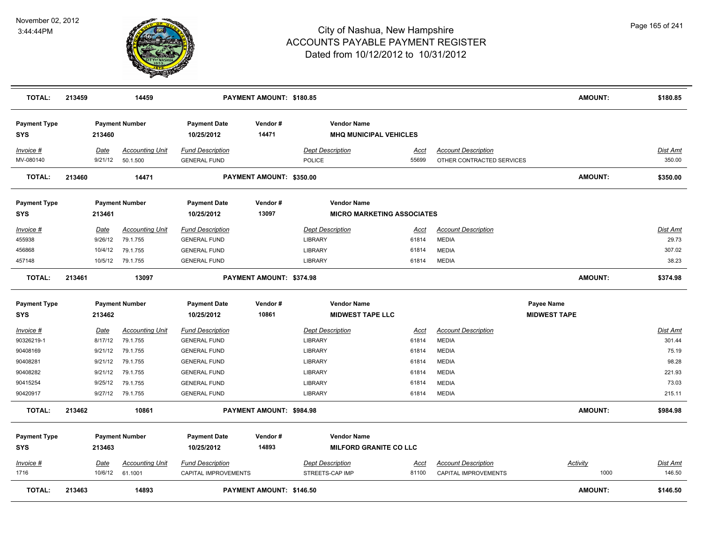

| <b>TOTAL:</b>                     | 213459      | 14459                  |                                   | PAYMENT AMOUNT: \$180.85 |                                                     |             |                             |                     | <b>AMOUNT:</b> | \$180.85        |
|-----------------------------------|-------------|------------------------|-----------------------------------|--------------------------|-----------------------------------------------------|-------------|-----------------------------|---------------------|----------------|-----------------|
| <b>Payment Type</b><br><b>SYS</b> | 213460      | <b>Payment Number</b>  | <b>Payment Date</b><br>10/25/2012 | Vendor#<br>14471         | <b>Vendor Name</b><br><b>MHQ MUNICIPAL VEHICLES</b> |             |                             |                     |                |                 |
| Invoice #                         | Date        | <b>Accounting Unit</b> | <b>Fund Description</b>           |                          | <b>Dept Description</b>                             | <u>Acct</u> | <b>Account Description</b>  |                     |                | Dist Amt        |
| MV-080140                         | 9/21/12     | 50.1.500               | <b>GENERAL FUND</b>               |                          | POLICE                                              | 55699       | OTHER CONTRACTED SERVICES   |                     |                | 350.00          |
| <b>TOTAL:</b>                     | 213460      | 14471                  |                                   | PAYMENT AMOUNT: \$350.00 |                                                     |             |                             |                     | <b>AMOUNT:</b> | \$350.00        |
| <b>Payment Type</b>               |             | <b>Payment Number</b>  | <b>Payment Date</b>               | Vendor#                  | <b>Vendor Name</b>                                  |             |                             |                     |                |                 |
| <b>SYS</b>                        | 213461      |                        | 10/25/2012                        | 13097                    | <b>MICRO MARKETING ASSOCIATES</b>                   |             |                             |                     |                |                 |
| Invoice #                         | Date        | <b>Accounting Unit</b> | <b>Fund Description</b>           |                          | <b>Dept Description</b>                             | Acct        | <b>Account Description</b>  |                     |                | <b>Dist Amt</b> |
| 455938                            | 9/26/12     | 79.1.755               | <b>GENERAL FUND</b>               |                          | <b>LIBRARY</b>                                      | 61814       | <b>MEDIA</b>                |                     |                | 29.73           |
| 456868                            | 10/4/12     | 79.1.755               | <b>GENERAL FUND</b>               |                          | <b>LIBRARY</b>                                      | 61814       | <b>MEDIA</b>                |                     |                | 307.02          |
| 457148                            | 10/5/12     | 79.1.755               | <b>GENERAL FUND</b>               |                          | <b>LIBRARY</b>                                      | 61814       | <b>MEDIA</b>                |                     |                | 38.23           |
| <b>TOTAL:</b>                     | 213461      | 13097                  |                                   | PAYMENT AMOUNT: \$374.98 |                                                     |             |                             |                     | <b>AMOUNT:</b> | \$374.98        |
| <b>Payment Type</b>               |             | <b>Payment Number</b>  | <b>Payment Date</b>               | Vendor#                  | <b>Vendor Name</b>                                  |             |                             | Payee Name          |                |                 |
| <b>SYS</b>                        | 213462      |                        | 10/25/2012                        | 10861                    | <b>MIDWEST TAPE LLC</b>                             |             |                             | <b>MIDWEST TAPE</b> |                |                 |
| <u>Invoice #</u>                  | <b>Date</b> | <b>Accounting Unit</b> | <b>Fund Description</b>           |                          | <b>Dept Description</b>                             | <u>Acct</u> | <b>Account Description</b>  |                     |                | Dist Amt        |
| 90326219-1                        | 8/17/12     | 79.1.755               | <b>GENERAL FUND</b>               |                          | LIBRARY                                             | 61814       | <b>MEDIA</b>                |                     |                | 301.44          |
| 90408169                          | 9/21/12     | 79.1.755               | <b>GENERAL FUND</b>               |                          | LIBRARY                                             | 61814       | <b>MEDIA</b>                |                     |                | 75.19           |
| 90408281                          | 9/21/12     | 79.1.755               | <b>GENERAL FUND</b>               |                          | <b>LIBRARY</b>                                      | 61814       | <b>MEDIA</b>                |                     |                | 98.28           |
| 90408282                          | 9/21/12     | 79.1.755               | <b>GENERAL FUND</b>               |                          | <b>LIBRARY</b>                                      | 61814       | <b>MEDIA</b>                |                     |                | 221.93          |
| 90415254                          | 9/25/12     | 79.1.755               | <b>GENERAL FUND</b>               |                          | LIBRARY                                             | 61814       | <b>MEDIA</b>                |                     |                | 73.03           |
| 90420917                          | 9/27/12     | 79.1.755               | <b>GENERAL FUND</b>               |                          | LIBRARY                                             | 61814       | <b>MEDIA</b>                |                     |                | 215.11          |
| <b>TOTAL:</b>                     | 213462      | 10861                  |                                   | PAYMENT AMOUNT: \$984.98 |                                                     |             |                             |                     | <b>AMOUNT:</b> | \$984.98        |
| <b>Payment Type</b><br><b>SYS</b> | 213463      | <b>Payment Number</b>  | <b>Payment Date</b><br>10/25/2012 | Vendor#<br>14893         | <b>Vendor Name</b><br><b>MILFORD GRANITE CO LLC</b> |             |                             |                     |                |                 |
| Invoice #                         | Date        | <b>Accounting Unit</b> | <b>Fund Description</b>           |                          | <b>Dept Description</b>                             | <u>Acct</u> | <b>Account Description</b>  | <b>Activity</b>     |                | <b>Dist Amt</b> |
| 1716                              | 10/6/12     | 61.1001                | CAPITAL IMPROVEMENTS              |                          | STREETS-CAP IMP                                     | 81100       | <b>CAPITAL IMPROVEMENTS</b> |                     | 1000           | 146.50          |
| <b>TOTAL:</b>                     | 213463      | 14893                  |                                   | PAYMENT AMOUNT: \$146.50 |                                                     |             |                             |                     | <b>AMOUNT:</b> | \$146.50        |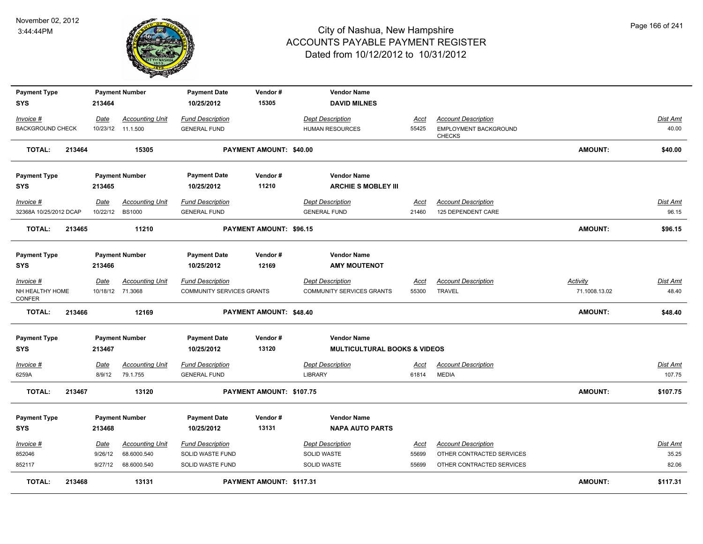

| <b>Payment Type</b>       |        |                  | <b>Payment Number</b>  | <b>Payment Date</b>       | Vendor#                        | <b>Vendor Name</b>                      |             |                                        |                 |                 |
|---------------------------|--------|------------------|------------------------|---------------------------|--------------------------------|-----------------------------------------|-------------|----------------------------------------|-----------------|-----------------|
| SYS                       |        | 213464           |                        | 10/25/2012                | 15305                          | <b>DAVID MILNES</b>                     |             |                                        |                 |                 |
| Invoice #                 |        | Date             | <b>Accounting Unit</b> | <b>Fund Description</b>   |                                | <b>Dept Description</b>                 | Acct        | <b>Account Description</b>             |                 | Dist Amt        |
| <b>BACKGROUND CHECK</b>   |        |                  | 10/23/12 11.1.500      | <b>GENERAL FUND</b>       |                                | <b>HUMAN RESOURCES</b>                  | 55425       | EMPLOYMENT BACKGROUND<br><b>CHECKS</b> |                 | 40.00           |
| <b>TOTAL:</b>             | 213464 |                  | 15305                  |                           | PAYMENT AMOUNT: \$40.00        |                                         |             |                                        | <b>AMOUNT:</b>  | \$40.00         |
| <b>Payment Type</b>       |        |                  | <b>Payment Number</b>  | <b>Payment Date</b>       | Vendor#                        | <b>Vendor Name</b>                      |             |                                        |                 |                 |
| SYS                       |        | 213465           |                        | 10/25/2012                | 11210                          | <b>ARCHIE S MOBLEY III</b>              |             |                                        |                 |                 |
| Invoice #                 |        | Date             | <b>Accounting Unit</b> | <b>Fund Description</b>   |                                | <b>Dept Description</b>                 | Acct        | <b>Account Description</b>             |                 | Dist Amt        |
| 32368A 10/25/2012 DCAP    |        | 10/22/12 BS1000  |                        | <b>GENERAL FUND</b>       |                                | <b>GENERAL FUND</b>                     | 21460       | 125 DEPENDENT CARE                     |                 | 96.15           |
| <b>TOTAL:</b>             | 213465 |                  | 11210                  |                           | <b>PAYMENT AMOUNT: \$96.15</b> |                                         |             |                                        | <b>AMOUNT:</b>  | \$96.15         |
| <b>Payment Type</b>       |        |                  | <b>Payment Number</b>  | <b>Payment Date</b>       | Vendor#                        | <b>Vendor Name</b>                      |             |                                        |                 |                 |
| SYS                       |        | 213466           |                        | 10/25/2012                | 12169                          | <b>AMY MOUTENOT</b>                     |             |                                        |                 |                 |
| Invoice #                 |        | Date             | <b>Accounting Unit</b> | <b>Fund Description</b>   |                                | <b>Dept Description</b>                 | Acct        | <b>Account Description</b>             | <b>Activity</b> | Dist Amt        |
| NH HEALTHY HOME<br>CONFER |        | 10/18/12 71.3068 |                        | COMMUNITY SERVICES GRANTS |                                | <b>COMMUNITY SERVICES GRANTS</b>        | 55300       | <b>TRAVEL</b>                          | 71.1008.13.02   | 48.40           |
| <b>TOTAL:</b>             | 213466 |                  | 12169                  |                           | <b>PAYMENT AMOUNT: \$48.40</b> |                                         |             |                                        | <b>AMOUNT:</b>  | \$48.40         |
| <b>Payment Type</b>       |        |                  | <b>Payment Number</b>  | <b>Payment Date</b>       | Vendor#                        | <b>Vendor Name</b>                      |             |                                        |                 |                 |
| SYS                       |        | 213467           |                        | 10/25/2012                | 13120                          | <b>MULTICULTURAL BOOKS &amp; VIDEOS</b> |             |                                        |                 |                 |
| <u>Invoice #</u>          |        | Date             | <b>Accounting Unit</b> | <b>Fund Description</b>   |                                | <b>Dept Description</b>                 | <u>Acct</u> | <b>Account Description</b>             |                 | <b>Dist Amt</b> |
| 6259A                     |        | 8/9/12           | 79.1.755               | <b>GENERAL FUND</b>       |                                | <b>LIBRARY</b>                          | 61814       | <b>MEDIA</b>                           |                 | 107.75          |
| <b>TOTAL:</b>             | 213467 |                  | 13120                  |                           | PAYMENT AMOUNT: \$107.75       |                                         |             |                                        | AMOUNT:         | \$107.75        |
| <b>Payment Type</b>       |        |                  | <b>Payment Number</b>  | <b>Payment Date</b>       | Vendor#                        | <b>Vendor Name</b>                      |             |                                        |                 |                 |
| <b>SYS</b>                |        | 213468           |                        | 10/25/2012                | 13131                          | <b>NAPA AUTO PARTS</b>                  |             |                                        |                 |                 |
| <u>Invoice #</u>          |        | <u>Date</u>      | <b>Accounting Unit</b> | <b>Fund Description</b>   |                                | <b>Dept Description</b>                 | <u>Acct</u> | <b>Account Description</b>             |                 | Dist Amt        |
| 852046                    |        | 9/26/12          | 68.6000.540            | SOLID WASTE FUND          |                                | SOLID WASTE                             | 55699       | OTHER CONTRACTED SERVICES              |                 | 35.25           |
| 852117                    |        | 9/27/12          | 68.6000.540            | SOLID WASTE FUND          |                                | <b>SOLID WASTE</b>                      | 55699       | OTHER CONTRACTED SERVICES              |                 | 82.06           |
| <b>TOTAL:</b>             | 213468 |                  | 13131                  |                           | PAYMENT AMOUNT: \$117.31       |                                         |             |                                        | <b>AMOUNT:</b>  | \$117.31        |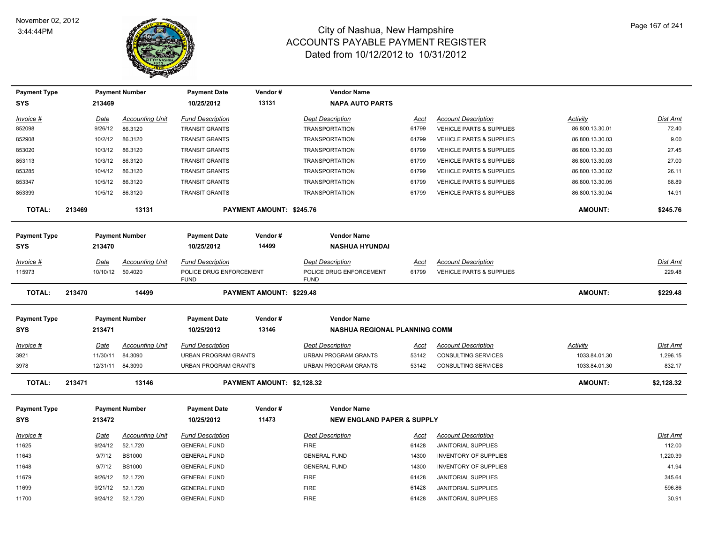

| <b>Payment Type</b> |             | <b>Payment Number</b>  | <b>Payment Date</b>                    | Vendor #                        | <b>Vendor Name</b>                     |             |                                     |                 |                 |
|---------------------|-------------|------------------------|----------------------------------------|---------------------------------|----------------------------------------|-------------|-------------------------------------|-----------------|-----------------|
| <b>SYS</b>          | 213469      |                        | 10/25/2012                             | 13131                           | <b>NAPA AUTO PARTS</b>                 |             |                                     |                 |                 |
| Invoice #           | <b>Date</b> | <b>Accounting Unit</b> | <b>Fund Description</b>                |                                 | <b>Dept Description</b>                | <u>Acct</u> | <b>Account Description</b>          | <b>Activity</b> | Dist Amt        |
| 852098              | 9/26/12     | 86.3120                | <b>TRANSIT GRANTS</b>                  |                                 | <b>TRANSPORTATION</b>                  | 61799       | VEHICLE PARTS & SUPPLIES            | 86.800.13.30.01 | 72.40           |
| 852908              | 10/2/12     | 86.3120                | <b>TRANSIT GRANTS</b>                  |                                 | <b>TRANSPORTATION</b>                  | 61799       | VEHICLE PARTS & SUPPLIES            | 86.800.13.30.03 | 9.00            |
| 853020              | 10/3/12     | 86.3120                | <b>TRANSIT GRANTS</b>                  |                                 | <b>TRANSPORTATION</b>                  | 61799       | <b>VEHICLE PARTS &amp; SUPPLIES</b> | 86.800.13.30.03 | 27.45           |
| 853113              | 10/3/12     | 86.3120                | <b>TRANSIT GRANTS</b>                  |                                 | <b>TRANSPORTATION</b>                  | 61799       | VEHICLE PARTS & SUPPLIES            | 86.800.13.30.03 | 27.00           |
| 853285              | 10/4/12     | 86.3120                | <b>TRANSIT GRANTS</b>                  |                                 | <b>TRANSPORTATION</b>                  | 61799       | VEHICLE PARTS & SUPPLIES            | 86.800.13.30.02 | 26.11           |
| 853347              | 10/5/12     | 86.3120                | <b>TRANSIT GRANTS</b>                  |                                 | <b>TRANSPORTATION</b>                  | 61799       | VEHICLE PARTS & SUPPLIES            | 86.800.13.30.05 | 68.89           |
| 853399              | 10/5/12     | 86.3120                | <b>TRANSIT GRANTS</b>                  |                                 | <b>TRANSPORTATION</b>                  | 61799       | <b>VEHICLE PARTS &amp; SUPPLIES</b> | 86.800.13.30.04 | 14.91           |
| <b>TOTAL:</b>       | 213469      | 13131                  |                                        | PAYMENT AMOUNT: \$245.76        |                                        |             |                                     | <b>AMOUNT:</b>  | \$245.76        |
| <b>Payment Type</b> |             | <b>Payment Number</b>  | <b>Payment Date</b>                    | Vendor#                         | <b>Vendor Name</b>                     |             |                                     |                 |                 |
| <b>SYS</b>          | 213470      |                        | 10/25/2012                             | 14499                           | <b>NASHUA HYUNDAI</b>                  |             |                                     |                 |                 |
| Invoice #           | <b>Date</b> | <b>Accounting Unit</b> | <b>Fund Description</b>                |                                 | <b>Dept Description</b>                | <u>Acct</u> | <b>Account Description</b>          |                 | Dist Amt        |
| 115973              |             | 10/10/12 50.4020       | POLICE DRUG ENFORCEMENT<br><b>FUND</b> |                                 | POLICE DRUG ENFORCEMENT<br><b>FUND</b> | 61799       | <b>VEHICLE PARTS &amp; SUPPLIES</b> |                 | 229.48          |
| <b>TOTAL:</b>       | 213470      | 14499                  |                                        | <b>PAYMENT AMOUNT: \$229.48</b> |                                        |             |                                     | <b>AMOUNT:</b>  | \$229.48        |
| <b>Payment Type</b> |             | <b>Payment Number</b>  | <b>Payment Date</b>                    | Vendor#                         | <b>Vendor Name</b>                     |             |                                     |                 |                 |
| <b>SYS</b>          | 213471      |                        | 10/25/2012                             | 13146                           | NASHUA REGIONAL PLANNING COMM          |             |                                     |                 |                 |
| Invoice #           | <b>Date</b> | <b>Accounting Unit</b> | <b>Fund Description</b>                |                                 | <b>Dept Description</b>                | <u>Acct</u> | <b>Account Description</b>          | <u>Activity</u> | <b>Dist Amt</b> |
| 3921                | 11/30/11    | 84.3090                | <b>URBAN PROGRAM GRANTS</b>            |                                 | URBAN PROGRAM GRANTS                   | 53142       | CONSULTING SERVICES                 | 1033.84.01.30   | 1,296.15        |
| 3978                | 12/31/11    | 84.3090                | <b>URBAN PROGRAM GRANTS</b>            |                                 | <b>URBAN PROGRAM GRANTS</b>            | 53142       | CONSULTING SERVICES                 | 1033.84.01.30   | 832.17          |
| <b>TOTAL:</b>       | 213471      | 13146                  |                                        | PAYMENT AMOUNT: \$2,128.32      |                                        |             |                                     | <b>AMOUNT:</b>  | \$2,128.32      |
| <b>Payment Type</b> |             | <b>Payment Number</b>  | <b>Payment Date</b>                    | Vendor#                         | <b>Vendor Name</b>                     |             |                                     |                 |                 |
| <b>SYS</b>          | 213472      |                        | 10/25/2012                             | 11473                           | <b>NEW ENGLAND PAPER &amp; SUPPLY</b>  |             |                                     |                 |                 |
| Invoice #           | <b>Date</b> | <b>Accounting Unit</b> | <b>Fund Description</b>                |                                 | <b>Dept Description</b>                | Acct        | <b>Account Description</b>          |                 | <b>Dist Amt</b> |
| 11625               | 9/24/12     | 52.1.720               | <b>GENERAL FUND</b>                    |                                 | <b>FIRE</b>                            | 61428       | <b>JANITORIAL SUPPLIES</b>          |                 | 112.00          |
| 11643               | 9/7/12      | <b>BS1000</b>          | <b>GENERAL FUND</b>                    |                                 | <b>GENERAL FUND</b>                    | 14300       | <b>INVENTORY OF SUPPLIES</b>        |                 | 1,220.39        |
| 11648               | 9/7/12      | <b>BS1000</b>          | <b>GENERAL FUND</b>                    |                                 | <b>GENERAL FUND</b>                    | 14300       | <b>INVENTORY OF SUPPLIES</b>        |                 | 41.94           |
| 11679               | 9/26/12     | 52.1.720               | <b>GENERAL FUND</b>                    |                                 | <b>FIRE</b>                            | 61428       | <b>JANITORIAL SUPPLIES</b>          |                 | 345.64          |
| 11699               | 9/21/12     | 52.1.720               | <b>GENERAL FUND</b>                    |                                 | <b>FIRE</b>                            | 61428       | <b>JANITORIAL SUPPLIES</b>          |                 | 596.86          |
| 11700               | 9/24/12     | 52.1.720               | <b>GENERAL FUND</b>                    |                                 | <b>FIRE</b>                            | 61428       | <b>JANITORIAL SUPPLIES</b>          |                 | 30.91           |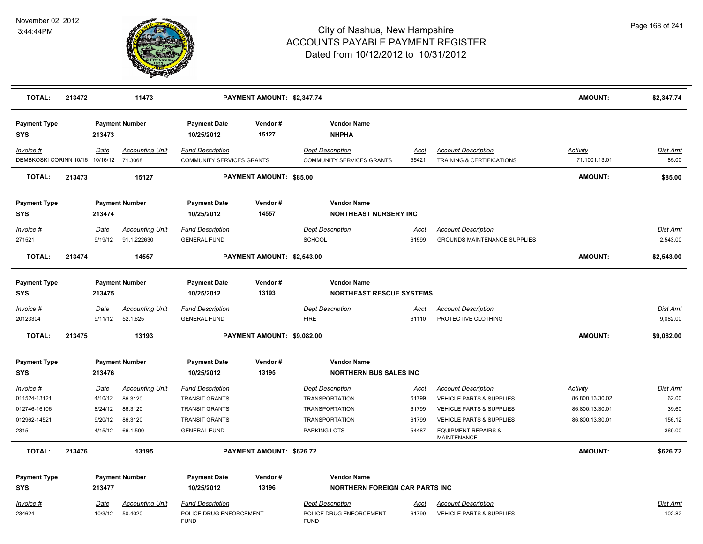

| <b>TOTAL:</b>                                                       | 213472 |                                                  | 11473                                                        |                                                                                                                           | PAYMENT AMOUNT: \$2,347.74 |                                                                                                                           |                                                 |                                                                                                                                                                            | <b>AMOUNT:</b>                                                           | \$2,347.74                                     |
|---------------------------------------------------------------------|--------|--------------------------------------------------|--------------------------------------------------------------|---------------------------------------------------------------------------------------------------------------------------|----------------------------|---------------------------------------------------------------------------------------------------------------------------|-------------------------------------------------|----------------------------------------------------------------------------------------------------------------------------------------------------------------------------|--------------------------------------------------------------------------|------------------------------------------------|
| <b>Payment Type</b><br><b>SYS</b>                                   |        | 213473                                           | <b>Payment Number</b>                                        | <b>Payment Date</b><br>10/25/2012                                                                                         | Vendor#<br>15127           | <b>Vendor Name</b><br><b>NHPHA</b>                                                                                        |                                                 |                                                                                                                                                                            |                                                                          |                                                |
| Invoice #<br>DEMBKOSKI CORINN 10/16 10/16/12 71.3068                |        | Date                                             | <b>Accounting Unit</b>                                       | <b>Fund Description</b><br>COMMUNITY SERVICES GRANTS                                                                      |                            | <b>Dept Description</b><br>COMMUNITY SERVICES GRANTS                                                                      | Acct<br>55421                                   | <b>Account Description</b><br>TRAINING & CERTIFICATIONS                                                                                                                    | <b>Activity</b><br>71.1001.13.01                                         | <u>Dist Amt</u><br>85.00                       |
| <b>TOTAL:</b>                                                       | 213473 |                                                  | 15127                                                        |                                                                                                                           | PAYMENT AMOUNT: \$85.00    |                                                                                                                           |                                                 |                                                                                                                                                                            | <b>AMOUNT:</b>                                                           | \$85.00                                        |
| <b>Payment Type</b><br><b>SYS</b>                                   |        | 213474                                           | <b>Payment Number</b>                                        | <b>Payment Date</b><br>10/25/2012                                                                                         | Vendor#<br>14557           | <b>Vendor Name</b><br><b>NORTHEAST NURSERY INC</b>                                                                        |                                                 |                                                                                                                                                                            |                                                                          |                                                |
| $Invoice$ #                                                         |        | Date                                             | <b>Accounting Unit</b>                                       | <b>Fund Description</b>                                                                                                   |                            | <b>Dept Description</b>                                                                                                   | <u>Acct</u>                                     | <b>Account Description</b>                                                                                                                                                 |                                                                          | Dist Amt                                       |
| 271521                                                              |        | 9/19/12                                          | 91.1.222630                                                  | <b>GENERAL FUND</b>                                                                                                       |                            | <b>SCHOOL</b>                                                                                                             | 61599                                           | <b>GROUNDS MAINTENANCE SUPPLIES</b>                                                                                                                                        |                                                                          | 2,543.00                                       |
| <b>TOTAL:</b>                                                       | 213474 |                                                  | 14557                                                        |                                                                                                                           | PAYMENT AMOUNT: \$2,543.00 |                                                                                                                           |                                                 |                                                                                                                                                                            | <b>AMOUNT:</b>                                                           | \$2,543.00                                     |
| <b>Payment Type</b><br><b>SYS</b>                                   |        | 213475                                           | <b>Payment Number</b>                                        | <b>Payment Date</b><br>10/25/2012                                                                                         | Vendor#<br>13193           | <b>Vendor Name</b><br><b>NORTHEAST RESCUE SYSTEMS</b>                                                                     |                                                 |                                                                                                                                                                            |                                                                          |                                                |
| $Invoice$ #<br>20123304                                             |        | <u>Date</u><br>9/11/12                           | <b>Accounting Unit</b><br>52.1.625                           | <b>Fund Description</b><br><b>GENERAL FUND</b>                                                                            |                            | <b>Dept Description</b><br><b>FIRE</b>                                                                                    | <u>Acct</u><br>61110                            | <b>Account Description</b><br>PROTECTIVE CLOTHING                                                                                                                          |                                                                          | <u>Dist Amt</u><br>9,082.00                    |
| <b>TOTAL:</b>                                                       | 213475 |                                                  | 13193                                                        |                                                                                                                           | PAYMENT AMOUNT: \$9,082.00 |                                                                                                                           |                                                 |                                                                                                                                                                            | <b>AMOUNT:</b>                                                           | \$9,082.00                                     |
| <b>Payment Type</b><br><b>SYS</b>                                   |        | 213476                                           | <b>Payment Number</b>                                        | <b>Payment Date</b><br>10/25/2012                                                                                         | Vendor#<br>13195           | <b>Vendor Name</b><br><b>NORTHERN BUS SALES INC</b>                                                                       |                                                 |                                                                                                                                                                            |                                                                          |                                                |
| $Invoice$ #<br>011524-13121<br>012746-16106<br>012962-14521<br>2315 |        | Date<br>4/10/12<br>8/24/12<br>9/20/12<br>4/15/12 | Accounting Unit<br>86.3120<br>86.3120<br>86.3120<br>66.1.500 | <b>Fund Description</b><br><b>TRANSIT GRANTS</b><br><b>TRANSIT GRANTS</b><br><b>TRANSIT GRANTS</b><br><b>GENERAL FUND</b> |                            | <b>Dept Description</b><br><b>TRANSPORTATION</b><br><b>TRANSPORTATION</b><br><b>TRANSPORTATION</b><br><b>PARKING LOTS</b> | <u>Acct</u><br>61799<br>61799<br>61799<br>54487 | <b>Account Description</b><br>VEHICLE PARTS & SUPPLIES<br>VEHICLE PARTS & SUPPLIES<br><b>VEHICLE PARTS &amp; SUPPLIES</b><br><b>EQUIPMENT REPAIRS &amp;</b><br>MAINTENANCE | <b>Activity</b><br>86.800.13.30.02<br>86.800.13.30.01<br>86.800.13.30.01 | Dist Amt<br>62.00<br>39.60<br>156.12<br>369.00 |
| <b>TOTAL:</b>                                                       | 213476 |                                                  | 13195                                                        |                                                                                                                           | PAYMENT AMOUNT: \$626.72   |                                                                                                                           |                                                 |                                                                                                                                                                            | <b>AMOUNT:</b>                                                           | \$626.72                                       |
| <b>Payment Type</b><br><b>SYS</b>                                   |        | 213477                                           | <b>Payment Number</b>                                        | <b>Payment Date</b><br>10/25/2012                                                                                         | Vendor#<br>13196           | <b>Vendor Name</b><br><b>NORTHERN FOREIGN CAR PARTS INC</b>                                                               |                                                 |                                                                                                                                                                            |                                                                          |                                                |
| Invoice #<br>234624                                                 |        | Date<br>10/3/12                                  | Accounting Unit<br>50.4020                                   | <b>Fund Description</b><br>POLICE DRUG ENFORCEMENT<br><b>FUND</b>                                                         |                            | <b>Dept Description</b><br>POLICE DRUG ENFORCEMENT<br><b>FUND</b>                                                         | Acct<br>61799                                   | <b>Account Description</b><br><b>VEHICLE PARTS &amp; SUPPLIES</b>                                                                                                          |                                                                          | Dist Amt<br>102.82                             |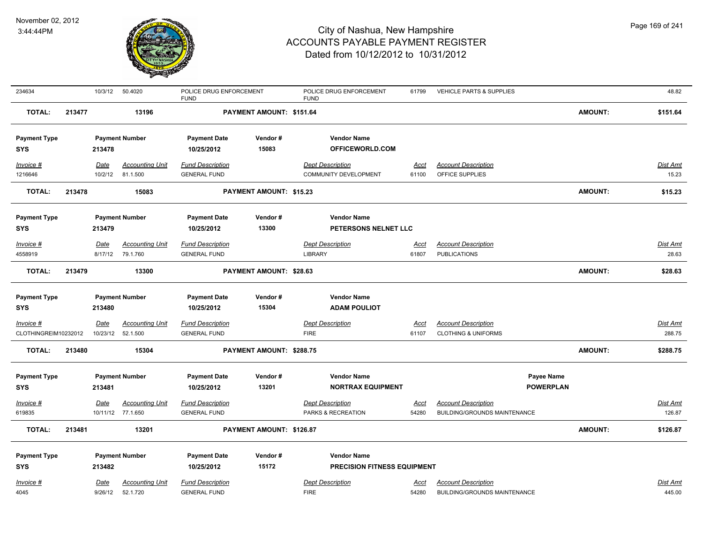

| 234634               |        | 10/3/12     | 50.4020                | POLICE DRUG ENFORCEMENT<br><b>FUND</b> |                          | POLICE DRUG ENFORCEMENT<br><b>FUND</b> | 61799       | <b>VEHICLE PARTS &amp; SUPPLIES</b> |                | 48.82           |
|----------------------|--------|-------------|------------------------|----------------------------------------|--------------------------|----------------------------------------|-------------|-------------------------------------|----------------|-----------------|
| <b>TOTAL:</b>        | 213477 |             | 13196                  |                                        | PAYMENT AMOUNT: \$151.64 |                                        |             |                                     | <b>AMOUNT:</b> | \$151.64        |
| <b>Payment Type</b>  |        |             | <b>Payment Number</b>  | <b>Payment Date</b>                    | Vendor#                  | <b>Vendor Name</b>                     |             |                                     |                |                 |
| <b>SYS</b>           |        | 213478      |                        | 10/25/2012                             | 15083                    | OFFICEWORLD.COM                        |             |                                     |                |                 |
| Invoice #            |        | Date        | <b>Accounting Unit</b> | <b>Fund Description</b>                |                          | <b>Dept Description</b>                | Acct        | <b>Account Description</b>          |                | Dist Amt        |
| 1216646              |        | 10/2/12     | 81.1.500               | <b>GENERAL FUND</b>                    |                          | COMMUNITY DEVELOPMENT                  | 61100       | OFFICE SUPPLIES                     |                | 15.23           |
| <b>TOTAL:</b>        | 213478 |             | 15083                  |                                        | PAYMENT AMOUNT: \$15.23  |                                        |             |                                     | <b>AMOUNT:</b> | \$15.23         |
| <b>Payment Type</b>  |        |             | <b>Payment Number</b>  | <b>Payment Date</b>                    | Vendor#                  | <b>Vendor Name</b>                     |             |                                     |                |                 |
| <b>SYS</b>           |        | 213479      |                        | 10/25/2012                             | 13300                    | PETERSONS NELNET LLC                   |             |                                     |                |                 |
| <b>Invoice #</b>     |        | <u>Date</u> | <b>Accounting Unit</b> | <b>Fund Description</b>                |                          | <b>Dept Description</b>                | <u>Acct</u> | <b>Account Description</b>          |                | Dist Amt        |
| 4558919              |        | 8/17/12     | 79.1.760               | <b>GENERAL FUND</b>                    |                          | <b>LIBRARY</b>                         | 61807       | <b>PUBLICATIONS</b>                 |                | 28.63           |
| <b>TOTAL:</b>        | 213479 |             | 13300                  |                                        | PAYMENT AMOUNT: \$28.63  |                                        |             |                                     | <b>AMOUNT:</b> | \$28.63         |
| <b>Payment Type</b>  |        |             | <b>Payment Number</b>  | <b>Payment Date</b>                    | Vendor#                  | <b>Vendor Name</b>                     |             |                                     |                |                 |
| <b>SYS</b>           |        | 213480      |                        | 10/25/2012                             | 15304                    | <b>ADAM POULIOT</b>                    |             |                                     |                |                 |
| Invoice #            |        | Date        | <b>Accounting Unit</b> | <b>Fund Description</b>                |                          | <b>Dept Description</b>                | Acct        | <b>Account Description</b>          |                | Dist Amt        |
| CLOTHINGREIM10232012 |        |             | 10/23/12  52.1.500     | <b>GENERAL FUND</b>                    |                          | <b>FIRE</b>                            | 61107       | <b>CLOTHING &amp; UNIFORMS</b>      |                | 288.75          |
| <b>TOTAL:</b>        | 213480 |             | 15304                  |                                        | PAYMENT AMOUNT: \$288.75 |                                        |             |                                     | <b>AMOUNT:</b> | \$288.75        |
| <b>Payment Type</b>  |        |             | <b>Payment Number</b>  | <b>Payment Date</b>                    | Vendor#                  | <b>Vendor Name</b>                     |             | Payee Name                          |                |                 |
| <b>SYS</b>           |        | 213481      |                        | 10/25/2012                             | 13201                    | <b>NORTRAX EQUIPMENT</b>               |             | <b>POWERPLAN</b>                    |                |                 |
| Invoice #            |        | <u>Date</u> | <u>Accounting Unit</u> | <b>Fund Description</b>                |                          | <b>Dept Description</b>                | <u>Acct</u> | <b>Account Description</b>          |                | <u>Dist Amt</u> |
| 619835               |        |             | 10/11/12 77.1.650      | <b>GENERAL FUND</b>                    |                          | PARKS & RECREATION                     | 54280       | BUILDING/GROUNDS MAINTENANCE        |                | 126.87          |
| <b>TOTAL:</b>        | 213481 |             | 13201                  |                                        | PAYMENT AMOUNT: \$126.87 |                                        |             |                                     | <b>AMOUNT:</b> | \$126.87        |
| <b>Payment Type</b>  |        |             | <b>Payment Number</b>  | <b>Payment Date</b>                    | Vendor#                  | <b>Vendor Name</b>                     |             |                                     |                |                 |
| SYS                  |        | 213482      |                        | 10/25/2012                             | 15172                    | <b>PRECISION FITNESS EQUIPMENT</b>     |             |                                     |                |                 |
| Invoice #            |        | Date        | <b>Accounting Unit</b> | <b>Fund Description</b>                |                          | <b>Dept Description</b>                | <u>Acct</u> | <b>Account Description</b>          |                | Dist Amt        |
| 4045                 |        | 9/26/12     | 52.1.720               | <b>GENERAL FUND</b>                    |                          | <b>FIRE</b>                            | 54280       | <b>BUILDING/GROUNDS MAINTENANCE</b> |                | 445.00          |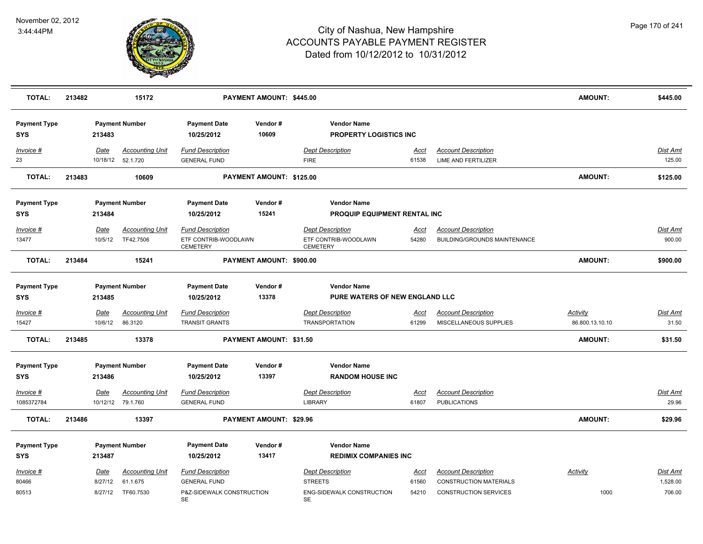

| <b>TOTAL:</b>                     | 213482 |                 | 15172                                                   |                                                                                   | PAYMENT AMOUNT: \$445.00       |                                                                                     |                               |                                                                                             | <b>AMOUNT:</b>              | \$445.00                       |
|-----------------------------------|--------|-----------------|---------------------------------------------------------|-----------------------------------------------------------------------------------|--------------------------------|-------------------------------------------------------------------------------------|-------------------------------|---------------------------------------------------------------------------------------------|-----------------------------|--------------------------------|
| <b>Payment Type</b><br><b>SYS</b> |        | 213483          | <b>Payment Number</b>                                   | <b>Payment Date</b><br>10/25/2012                                                 | Vendor#<br>10609               | <b>Vendor Name</b><br><b>PROPERTY LOGISTICS INC</b>                                 |                               |                                                                                             |                             |                                |
| Invoice #<br>23                   |        | Date            | <b>Accounting Unit</b><br>10/18/12  52.1.720            | <b>Fund Description</b><br><b>GENERAL FUND</b>                                    |                                | <b>Dept Description</b><br><b>FIRE</b>                                              | Acct<br>61538                 | <b>Account Description</b><br><b>LIME AND FERTILIZER</b>                                    |                             | <b>Dist Amt</b><br>125.00      |
| <b>TOTAL:</b>                     | 213483 |                 | 10609                                                   |                                                                                   | PAYMENT AMOUNT: \$125.00       |                                                                                     |                               |                                                                                             | <b>AMOUNT:</b>              | \$125.00                       |
| <b>Payment Type</b><br><b>SYS</b> |        | 213484          | <b>Payment Number</b>                                   | <b>Payment Date</b><br>10/25/2012                                                 | Vendor#<br>15241               | <b>Vendor Name</b><br>PROQUIP EQUIPMENT RENTAL INC                                  |                               |                                                                                             |                             |                                |
| Invoice #<br>13477                |        | Date<br>10/5/12 | <b>Accounting Unit</b><br>TF42.7506                     | <b>Fund Description</b><br>ETF CONTRIB-WOODLAWN<br><b>CEMETERY</b>                |                                | <b>Dept Description</b><br>ETF CONTRIB-WOODLAWN<br><b>CEMETERY</b>                  | <u>Acct</u><br>54280          | <b>Account Description</b><br><b>BUILDING/GROUNDS MAINTENANCE</b>                           |                             | Dist Amt<br>900.00             |
| <b>TOTAL:</b>                     | 213484 |                 | 15241                                                   |                                                                                   | PAYMENT AMOUNT: \$900.00       |                                                                                     |                               |                                                                                             | <b>AMOUNT:</b>              | \$900.00                       |
| <b>Payment Type</b><br><b>SYS</b> |        | 213485          | <b>Payment Number</b>                                   | <b>Payment Date</b><br>10/25/2012                                                 | Vendor#<br>13378               | <b>Vendor Name</b><br>PURE WATERS OF NEW ENGLAND LLC                                |                               |                                                                                             |                             |                                |
| Invoice #<br>15427                |        | Date<br>10/6/12 | <b>Accounting Unit</b><br>86.3120                       | <b>Fund Description</b><br><b>TRANSIT GRANTS</b>                                  |                                | <b>Dept Description</b><br><b>TRANSPORTATION</b>                                    | Acct<br>61299                 | <b>Account Description</b><br>MISCELLANEOUS SUPPLIES                                        | Activity<br>86.800.13.10.10 | Dist Amt<br>31.50              |
| <b>TOTAL:</b>                     | 213485 |                 | 13378                                                   |                                                                                   | PAYMENT AMOUNT: \$31.50        |                                                                                     |                               |                                                                                             | <b>AMOUNT:</b>              | \$31.50                        |
| <b>Payment Type</b><br><b>SYS</b> |        | 213486          | <b>Payment Number</b>                                   | <b>Payment Date</b><br>10/25/2012                                                 | Vendor#<br>13397               | <b>Vendor Name</b><br><b>RANDOM HOUSE INC</b>                                       |                               |                                                                                             |                             |                                |
| $Invoice$ #<br>1085372784         |        | <u>Date</u>     | <b>Accounting Unit</b><br>10/12/12 79.1.760             | <b>Fund Description</b><br><b>GENERAL FUND</b>                                    |                                | <b>Dept Description</b><br><b>LIBRARY</b>                                           | <u>Acct</u><br>61807          | <b>Account Description</b><br><b>PUBLICATIONS</b>                                           |                             | Dist Amt<br>29.96              |
| TOTAL:                            | 213486 |                 | 13397                                                   |                                                                                   | <b>PAYMENT AMOUNT: \$29.96</b> |                                                                                     |                               |                                                                                             | <b>AMOUNT:</b>              | \$29.96                        |
| <b>Payment Type</b><br><b>SYS</b> |        | 213487          | <b>Payment Number</b>                                   | <b>Payment Date</b><br>10/25/2012                                                 | Vendor#<br>13417               | <b>Vendor Name</b><br><b>REDIMIX COMPANIES INC</b>                                  |                               |                                                                                             |                             |                                |
| Invoice #<br>80466<br>80513       |        | Date<br>8/27/12 | <b>Accounting Unit</b><br>61.1.675<br>8/27/12 TF60.7530 | <b>Fund Description</b><br><b>GENERAL FUND</b><br>P&Z-SIDEWALK CONSTRUCTION<br>SE |                                | <b>Dept Description</b><br><b>STREETS</b><br>ENG-SIDEWALK CONSTRUCTION<br><b>SE</b> | <u>Acct</u><br>61560<br>54210 | <b>Account Description</b><br><b>CONSTRUCTION MATERIALS</b><br><b>CONSTRUCTION SERVICES</b> | <b>Activity</b><br>1000     | Dist Amt<br>1,528.00<br>706.00 |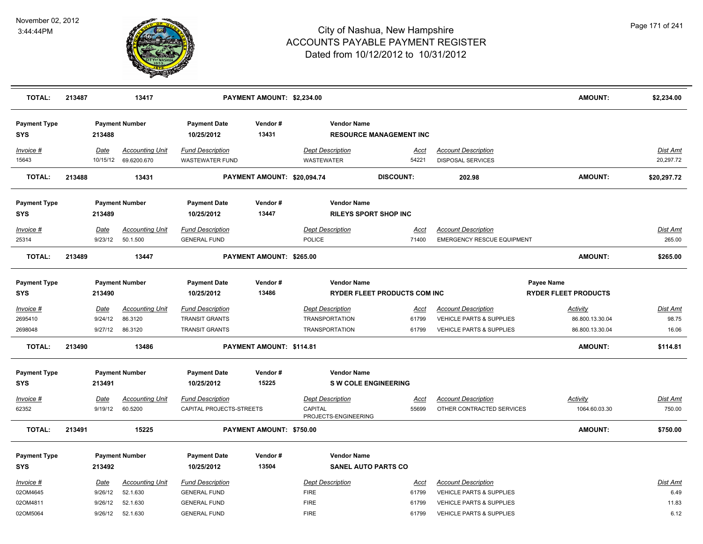

| <b>TOTAL:</b>                     | 213487 |                        | 13417                                          |                                                     | PAYMENT AMOUNT: \$2,234.00  |                                                            |                                |                                                                   | <b>AMOUNT:</b>                            | \$2,234.00                |
|-----------------------------------|--------|------------------------|------------------------------------------------|-----------------------------------------------------|-----------------------------|------------------------------------------------------------|--------------------------------|-------------------------------------------------------------------|-------------------------------------------|---------------------------|
| <b>Payment Type</b><br><b>SYS</b> |        | 213488                 | <b>Payment Number</b>                          | <b>Payment Date</b><br>10/25/2012                   | Vendor#<br>13431            | <b>Vendor Name</b>                                         | <b>RESOURCE MANAGEMENT INC</b> |                                                                   |                                           |                           |
| Invoice #<br>15643                |        | Date                   | <b>Accounting Unit</b><br>10/15/12 69.6200.670 | <b>Fund Description</b><br><b>WASTEWATER FUND</b>   |                             | <b>Dept Description</b><br><b>WASTEWATER</b>               | Acct<br>54221                  | <b>Account Description</b><br><b>DISPOSAL SERVICES</b>            |                                           | Dist Amt<br>20,297.72     |
| <b>TOTAL:</b>                     | 213488 |                        | 13431                                          |                                                     | PAYMENT AMOUNT: \$20,094.74 |                                                            | <b>DISCOUNT:</b>               | 202.98                                                            | <b>AMOUNT:</b>                            | \$20,297.72               |
| <b>Payment Type</b><br><b>SYS</b> |        | 213489                 | <b>Payment Number</b>                          | <b>Payment Date</b><br>10/25/2012                   | Vendor#<br>13447            | <b>Vendor Name</b>                                         | <b>RILEYS SPORT SHOP INC</b>   |                                                                   |                                           |                           |
| Invoice #                         |        | Date                   | Accounting Unit                                | <b>Fund Description</b>                             |                             | <b>Dept Description</b>                                    | Acct                           | <b>Account Description</b>                                        |                                           | Dist Amt                  |
| 25314                             |        | 9/23/12                | 50.1.500                                       | <b>GENERAL FUND</b>                                 |                             | <b>POLICE</b>                                              | 71400                          | <b>EMERGENCY RESCUE EQUIPMENT</b>                                 |                                           | 265.00                    |
| <b>TOTAL:</b>                     | 213489 |                        | 13447                                          |                                                     | PAYMENT AMOUNT: \$265.00    |                                                            |                                |                                                                   | <b>AMOUNT:</b>                            | \$265.00                  |
| <b>Payment Type</b><br><b>SYS</b> |        | 213490                 | <b>Payment Number</b>                          | <b>Payment Date</b><br>10/25/2012                   | Vendor#<br>13486            | <b>Vendor Name</b>                                         | RYDER FLEET PRODUCTS COM INC   |                                                                   | Payee Name<br><b>RYDER FLEET PRODUCTS</b> |                           |
| Invoice #<br>2695410              |        | Date<br>9/24/12        | <u>Accounting Unit</u><br>86.3120              | <b>Fund Description</b><br><b>TRANSIT GRANTS</b>    |                             | <b>Dept Description</b><br><b>TRANSPORTATION</b>           | <u>Acct</u><br>61799           | <b>Account Description</b><br><b>VEHICLE PARTS &amp; SUPPLIES</b> | <b>Activity</b><br>86.800.13.30.04        | Dist Amt<br>98.75         |
| 2698048                           |        | 9/27/12                | 86.3120                                        | <b>TRANSIT GRANTS</b>                               |                             | <b>TRANSPORTATION</b>                                      | 61799                          | VEHICLE PARTS & SUPPLIES                                          | 86.800.13.30.04                           | 16.06                     |
| <b>TOTAL:</b>                     | 213490 |                        | 13486                                          |                                                     | PAYMENT AMOUNT: \$114.81    |                                                            |                                |                                                                   | <b>AMOUNT:</b>                            | \$114.81                  |
| <b>Payment Type</b><br><b>SYS</b> |        | 213491                 | <b>Payment Number</b>                          | <b>Payment Date</b><br>10/25/2012                   | Vendor#<br>15225            | <b>Vendor Name</b>                                         | <b>S W COLE ENGINEERING</b>    |                                                                   |                                           |                           |
| Invoice #<br>62352                |        | <b>Date</b><br>9/19/12 | <b>Accounting Unit</b><br>60.5200              | <b>Fund Description</b><br>CAPITAL PROJECTS-STREETS |                             | <b>Dept Description</b><br>CAPITAL<br>PROJECTS-ENGINEERING | Acct<br>55699                  | <b>Account Description</b><br>OTHER CONTRACTED SERVICES           | <b>Activity</b><br>1064.60.03.30          | <u>Dist Amt</u><br>750.00 |
| <b>TOTAL:</b>                     | 213491 |                        | 15225                                          |                                                     | PAYMENT AMOUNT: \$750.00    |                                                            |                                |                                                                   | <b>AMOUNT:</b>                            | \$750.00                  |
| <b>Payment Type</b><br><b>SYS</b> |        | 213492                 | <b>Payment Number</b>                          | <b>Payment Date</b><br>10/25/2012                   | Vendor#<br>13504            | <b>Vendor Name</b>                                         | <b>SANEL AUTO PARTS CO</b>     |                                                                   |                                           |                           |
| Invoice #                         |        | <b>Date</b>            | <b>Accounting Unit</b>                         | <b>Fund Description</b>                             |                             | <b>Dept Description</b>                                    | <b>Acct</b>                    | <b>Account Description</b>                                        |                                           | <b>Dist Amt</b>           |
| 02OM4645                          |        | 9/26/12                | 52.1.630                                       | <b>GENERAL FUND</b>                                 |                             | <b>FIRE</b>                                                | 61799                          | VEHICLE PARTS & SUPPLIES                                          |                                           | 6.49                      |
| 02OM4811                          |        | 9/26/12                | 52.1.630                                       | <b>GENERAL FUND</b>                                 |                             | <b>FIRE</b>                                                | 61799                          | VEHICLE PARTS & SUPPLIES                                          |                                           | 11.83                     |
| 02OM5064                          |        | 9/26/12                | 52.1.630                                       | <b>GENERAL FUND</b>                                 |                             | <b>FIRE</b>                                                | 61799                          | VEHICLE PARTS & SUPPLIES                                          |                                           | 6.12                      |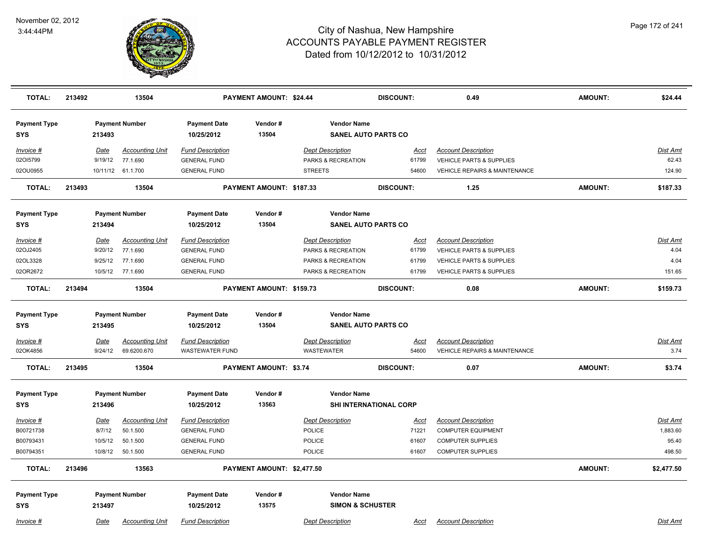

| <b>TOTAL:</b>                     | 213492 |             | 13504                  |                                   | <b>PAYMENT AMOUNT: \$24.44</b> |                                                   | <b>DISCOUNT:</b> | 0.49                                     | <b>AMOUNT:</b> | \$24.44         |
|-----------------------------------|--------|-------------|------------------------|-----------------------------------|--------------------------------|---------------------------------------------------|------------------|------------------------------------------|----------------|-----------------|
| <b>Payment Type</b><br><b>SYS</b> |        | 213493      | <b>Payment Number</b>  | <b>Payment Date</b><br>10/25/2012 | Vendor#<br>13504               | <b>Vendor Name</b><br><b>SANEL AUTO PARTS CO</b>  |                  |                                          |                |                 |
| Invoice #                         |        | Date        | <b>Accounting Unit</b> | <b>Fund Description</b>           |                                | <b>Dept Description</b>                           | Acct             | <b>Account Description</b>               |                | Dist Amt        |
| 02015799                          |        | 9/19/12     | 77.1.690               | <b>GENERAL FUND</b>               |                                | PARKS & RECREATION                                | 61799            | <b>VEHICLE PARTS &amp; SUPPLIES</b>      |                | 62.43           |
| 02OU0955                          |        |             | 10/11/12 61.1.700      | <b>GENERAL FUND</b>               |                                | <b>STREETS</b>                                    | 54600            | <b>VEHICLE REPAIRS &amp; MAINTENANCE</b> |                | 124.90          |
| <b>TOTAL:</b>                     | 213493 |             | 13504                  |                                   | PAYMENT AMOUNT: \$187.33       |                                                   | <b>DISCOUNT:</b> | 1.25                                     | <b>AMOUNT:</b> | \$187.33        |
| <b>Payment Type</b>               |        |             | <b>Payment Number</b>  | <b>Payment Date</b>               | Vendor#                        | <b>Vendor Name</b>                                |                  |                                          |                |                 |
| <b>SYS</b>                        |        | 213494      |                        | 10/25/2012                        | 13504                          | <b>SANEL AUTO PARTS CO</b>                        |                  |                                          |                |                 |
| Invoice #                         |        | Date        | <b>Accounting Unit</b> | <b>Fund Description</b>           |                                | <b>Dept Description</b>                           | Acct             | <b>Account Description</b>               |                | Dist Amt        |
| 02OJ2405                          |        | 9/20/12     | 77.1.690               | <b>GENERAL FUND</b>               |                                | PARKS & RECREATION                                | 61799            | VEHICLE PARTS & SUPPLIES                 |                | 4.04            |
| 02OL3328                          |        | 9/25/12     | 77.1.690               | <b>GENERAL FUND</b>               |                                | PARKS & RECREATION                                | 61799            | <b>VEHICLE PARTS &amp; SUPPLIES</b>      |                | 4.04            |
| 02OR2672                          |        |             | 10/5/12 77.1.690       | <b>GENERAL FUND</b>               |                                | PARKS & RECREATION                                | 61799            | <b>VEHICLE PARTS &amp; SUPPLIES</b>      |                | 151.65          |
| <b>TOTAL:</b>                     | 213494 |             | 13504                  |                                   | PAYMENT AMOUNT: \$159.73       |                                                   | <b>DISCOUNT:</b> | 0.08                                     | <b>AMOUNT:</b> | \$159.73        |
| <b>Payment Type</b><br><b>SYS</b> |        | 213495      | <b>Payment Number</b>  | <b>Payment Date</b><br>10/25/2012 | Vendor#<br>13504               | <b>Vendor Name</b><br><b>SANEL AUTO PARTS CO</b>  |                  |                                          |                |                 |
| Invoice #                         |        | <b>Date</b> | <b>Accounting Unit</b> | <b>Fund Description</b>           |                                | <b>Dept Description</b>                           | <u>Acct</u>      | <b>Account Description</b>               |                | <b>Dist Amt</b> |
| 02OK4856                          |        | 9/24/12     | 69.6200.670            | <b>WASTEWATER FUND</b>            |                                | <b>WASTEWATER</b>                                 | 54600            | VEHICLE REPAIRS & MAINTENANCE            |                | 3.74            |
| <b>TOTAL:</b>                     | 213495 |             | 13504                  |                                   | <b>PAYMENT AMOUNT: \$3.74</b>  |                                                   | <b>DISCOUNT:</b> | 0.07                                     | <b>AMOUNT:</b> | \$3.74          |
| <b>Payment Type</b>               |        |             | <b>Payment Number</b>  | <b>Payment Date</b>               | Vendor#                        | <b>Vendor Name</b>                                |                  |                                          |                |                 |
| <b>SYS</b>                        |        | 213496      |                        | 10/25/2012                        | 13563                          | SHI INTERNATIONAL CORP                            |                  |                                          |                |                 |
| Invoice #                         |        | Date        | <b>Accounting Unit</b> | <b>Fund Description</b>           |                                | <b>Dept Description</b>                           | <b>Acct</b>      | <b>Account Description</b>               |                | Dist Amt        |
| B00721738                         |        | 8/7/12      | 50.1.500               | <b>GENERAL FUND</b>               |                                | <b>POLICE</b>                                     | 71221            | <b>COMPUTER EQUIPMENT</b>                |                | 1,883.60        |
| B00793431                         |        | 10/5/12     | 50.1.500               | <b>GENERAL FUND</b>               |                                | POLICE                                            | 61607            | <b>COMPUTER SUPPLIES</b>                 |                | 95.40           |
| B00794351                         |        | 10/8/12     | 50.1.500               | <b>GENERAL FUND</b>               |                                | <b>POLICE</b>                                     | 61607            | <b>COMPUTER SUPPLIES</b>                 |                | 498.50          |
| <b>TOTAL:</b>                     | 213496 |             | 13563                  |                                   | PAYMENT AMOUNT: \$2,477.50     |                                                   |                  |                                          | <b>AMOUNT:</b> | \$2,477.50      |
| <b>Payment Type</b><br><b>SYS</b> |        | 213497      | <b>Payment Number</b>  | <b>Payment Date</b><br>10/25/2012 | Vendor#<br>13575               | <b>Vendor Name</b><br><b>SIMON &amp; SCHUSTER</b> |                  |                                          |                |                 |
| Invoice #                         |        | Date        | <b>Accounting Unit</b> | <b>Fund Description</b>           |                                | <b>Dept Description</b>                           | Acct             | <b>Account Description</b>               |                | Dist Amt        |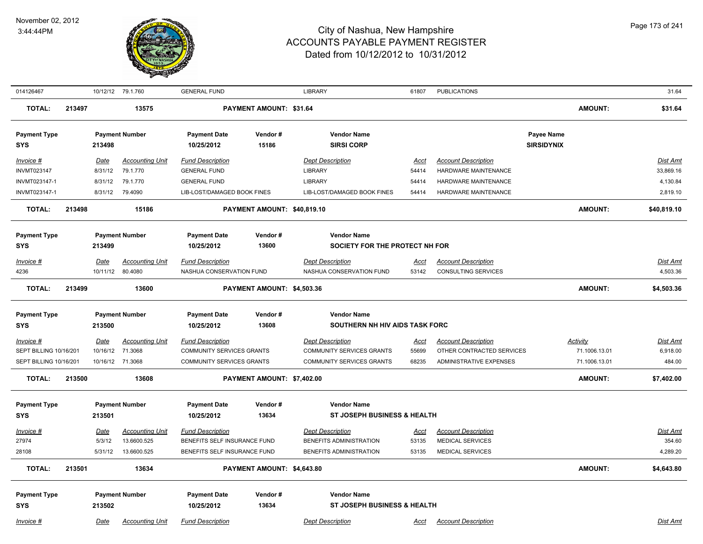

|                                            |                                                  |                                    | <b>GENERAL FUND</b>                                                                                                                                                                                                                      |                     | <b>LIBRARY</b>                                                                                                                                                                    | 61807                                                                                                                                                              | <b>PUBLICATIONS</b>                                   |                                                                                                                                                               | 31.64                                          |
|--------------------------------------------|--------------------------------------------------|------------------------------------|------------------------------------------------------------------------------------------------------------------------------------------------------------------------------------------------------------------------------------------|---------------------|-----------------------------------------------------------------------------------------------------------------------------------------------------------------------------------|--------------------------------------------------------------------------------------------------------------------------------------------------------------------|-------------------------------------------------------|---------------------------------------------------------------------------------------------------------------------------------------------------------------|------------------------------------------------|
| 213497                                     |                                                  | 13575                              |                                                                                                                                                                                                                                          |                     |                                                                                                                                                                                   |                                                                                                                                                                    |                                                       | <b>AMOUNT:</b>                                                                                                                                                | \$31.64                                        |
|                                            | 213498                                           |                                    | <b>Payment Date</b><br>10/25/2012                                                                                                                                                                                                        | Vendor#<br>15186    | <b>Vendor Name</b><br><b>SIRSI CORP</b>                                                                                                                                           |                                                                                                                                                                    |                                                       | Payee Name                                                                                                                                                    |                                                |
|                                            | Date<br>8/31/12                                  | <b>Accounting Unit</b><br>79.1.770 | <b>Fund Description</b><br><b>GENERAL FUND</b>                                                                                                                                                                                           |                     | <b>Dept Description</b><br><b>LIBRARY</b>                                                                                                                                         | <b>Acct</b><br>54414                                                                                                                                               | <b>Account Description</b><br>HARDWARE MAINTENANCE    |                                                                                                                                                               | <b>Dist Amt</b><br>33,869.16                   |
|                                            |                                                  |                                    |                                                                                                                                                                                                                                          |                     | LIB-LOST/DAMAGED BOOK FINES                                                                                                                                                       | 54414                                                                                                                                                              | <b>HARDWARE MAINTENANCE</b>                           |                                                                                                                                                               | 4,130.84<br>2,819.10                           |
| 213498                                     |                                                  | 15186                              |                                                                                                                                                                                                                                          |                     |                                                                                                                                                                                   |                                                                                                                                                                    |                                                       | <b>AMOUNT:</b>                                                                                                                                                | \$40,819.10                                    |
|                                            | 213499                                           |                                    | <b>Payment Date</b><br>10/25/2012                                                                                                                                                                                                        | Vendor#<br>13600    | <b>Vendor Name</b>                                                                                                                                                                |                                                                                                                                                                    |                                                       |                                                                                                                                                               |                                                |
|                                            | Date                                             | <b>Accounting Unit</b>             | <b>Fund Description</b>                                                                                                                                                                                                                  |                     | <b>Dept Description</b>                                                                                                                                                           | Acct                                                                                                                                                               | <b>Account Description</b>                            |                                                                                                                                                               | Dist Amt                                       |
|                                            |                                                  | 80.4080                            |                                                                                                                                                                                                                                          |                     | NASHUA CONSERVATION FUND                                                                                                                                                          | 53142                                                                                                                                                              | <b>CONSULTING SERVICES</b>                            |                                                                                                                                                               | 4,503.36                                       |
| 213499                                     |                                                  | 13600                              |                                                                                                                                                                                                                                          |                     |                                                                                                                                                                                   |                                                                                                                                                                    |                                                       | <b>AMOUNT:</b>                                                                                                                                                | \$4,503.36                                     |
|                                            | 213500                                           |                                    | <b>Payment Date</b><br>10/25/2012                                                                                                                                                                                                        | Vendor#<br>13608    | <b>Vendor Name</b>                                                                                                                                                                |                                                                                                                                                                    |                                                       |                                                                                                                                                               |                                                |
|                                            | Date                                             | <b>Accounting Unit</b><br>71.3068  | <b>Fund Description</b>                                                                                                                                                                                                                  |                     | <b>Dept Description</b><br>COMMUNITY SERVICES GRANTS<br>COMMUNITY SERVICES GRANTS                                                                                                 | <u>Acct</u><br>55699<br>68235                                                                                                                                      | <b>Account Description</b><br>ADMINISTRATIVE EXPENSES | <u>Activity</u><br>71.1006.13.01<br>71.1006.13.01                                                                                                             | <b>Dist Amt</b><br>6,918.00<br>484.00          |
| 213500                                     |                                                  | 13608                              |                                                                                                                                                                                                                                          |                     |                                                                                                                                                                                   |                                                                                                                                                                    |                                                       | <b>AMOUNT:</b>                                                                                                                                                | \$7,402.00                                     |
|                                            | 213501                                           |                                    | <b>Payment Date</b><br>10/25/2012                                                                                                                                                                                                        | Vendor#<br>13634    | <b>Vendor Name</b>                                                                                                                                                                |                                                                                                                                                                    |                                                       |                                                                                                                                                               |                                                |
|                                            | Date                                             | <b>Accounting Unit</b>             | <b>Fund Description</b>                                                                                                                                                                                                                  |                     | <b>Dept Description</b>                                                                                                                                                           | <u>Acct</u>                                                                                                                                                        | <b>Account Description</b>                            |                                                                                                                                                               | Dist Amt                                       |
|                                            | 5/3/12                                           | 13.6600.525                        |                                                                                                                                                                                                                                          |                     | BENEFITS ADMINISTRATION                                                                                                                                                           | 53135                                                                                                                                                              | MEDICAL SERVICES                                      |                                                                                                                                                               | 354.60                                         |
|                                            | 5/31/12                                          |                                    |                                                                                                                                                                                                                                          |                     | BENEFITS ADMINISTRATION                                                                                                                                                           | 53135                                                                                                                                                              | MEDICAL SERVICES                                      |                                                                                                                                                               | 4,289.20                                       |
| 213501                                     |                                                  | 13634                              |                                                                                                                                                                                                                                          |                     |                                                                                                                                                                                   |                                                                                                                                                                    |                                                       | <b>AMOUNT:</b>                                                                                                                                                | \$4,643.80                                     |
|                                            | 213502                                           |                                    | <b>Payment Date</b><br>10/25/2012                                                                                                                                                                                                        | Vendor#<br>13634    | <b>Vendor Name</b>                                                                                                                                                                |                                                                                                                                                                    |                                                       |                                                                                                                                                               |                                                |
| <b>Payment Type</b><br><b>Payment Type</b> | SEPT BILLING 10/16/201<br>SEPT BILLING 10/16/201 | 8/31/12                            | 10/12/12 79.1.760<br><b>Payment Number</b><br>79.1.770<br>8/31/12 79.4090<br><b>Payment Number</b><br>10/11/12<br><b>Payment Number</b><br>10/16/12<br>10/16/12 71.3068<br><b>Payment Number</b><br>13.6600.525<br><b>Payment Number</b> | <b>GENERAL FUND</b> | LIB-LOST/DAMAGED BOOK FINES<br>NASHUA CONSERVATION FUND<br>COMMUNITY SERVICES GRANTS<br>COMMUNITY SERVICES GRANTS<br>BENEFITS SELF INSURANCE FUND<br>BENEFITS SELF INSURANCE FUND | PAYMENT AMOUNT: \$31.64<br><b>LIBRARY</b><br>PAYMENT AMOUNT: \$40,819.10<br>PAYMENT AMOUNT: \$4,503.36<br>PAYMENT AMOUNT: \$7,402.00<br>PAYMENT AMOUNT: \$4,643.80 | 54414                                                 | <b>HARDWARE MAINTENANCE</b><br>SOCIETY FOR THE PROTECT NH FOR<br>SOUTHERN NH HIV AIDS TASK FORC<br>ST JOSEPH BUSINESS & HEALTH<br>ST JOSEPH BUSINESS & HEALTH | <b>SIRSIDYNIX</b><br>OTHER CONTRACTED SERVICES |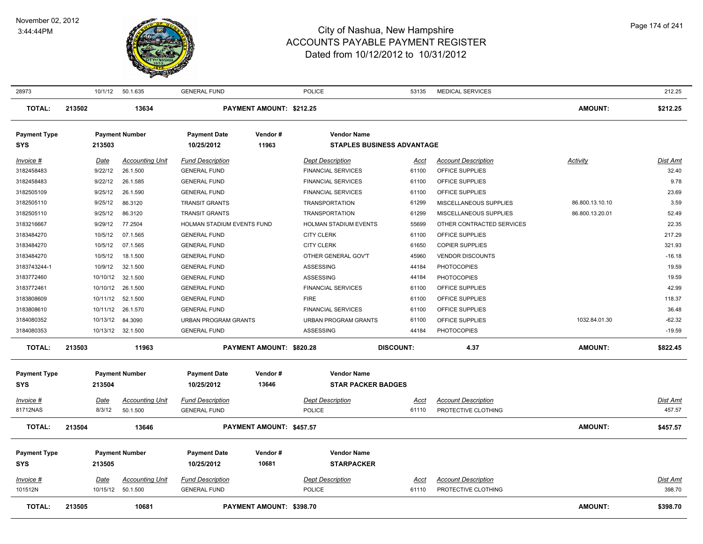

| 28973                             | 10/1/12          | 50.1.635                           | <b>GENERAL FUND</b>         |                          | <b>POLICE</b>               | 53135                             | <b>MEDICAL SERVICES</b>    |                 | 212.25          |
|-----------------------------------|------------------|------------------------------------|-----------------------------|--------------------------|-----------------------------|-----------------------------------|----------------------------|-----------------|-----------------|
| <b>TOTAL:</b>                     | 213502           | 13634                              |                             | PAYMENT AMOUNT: \$212.25 |                             |                                   |                            | <b>AMOUNT:</b>  | \$212.25        |
| <b>Payment Type</b>               |                  | <b>Payment Number</b>              | <b>Payment Date</b>         | Vendor#                  | <b>Vendor Name</b>          |                                   |                            |                 |                 |
| <b>SYS</b>                        | 213503           |                                    | 10/25/2012                  | 11963                    |                             | <b>STAPLES BUSINESS ADVANTAGE</b> |                            |                 |                 |
| Invoice #                         | Date             | <b>Accounting Unit</b>             | <b>Fund Description</b>     |                          | <b>Dept Description</b>     | Acct                              | <b>Account Description</b> | Activity        | Dist Amt        |
| 3182458483                        | 9/22/12          | 26.1.500                           | <b>GENERAL FUND</b>         |                          | <b>FINANCIAL SERVICES</b>   | 61100                             | OFFICE SUPPLIES            |                 | 32.40           |
| 3182458483                        | 9/22/12          | 26.1.585                           | <b>GENERAL FUND</b>         |                          | <b>FINANCIAL SERVICES</b>   | 61100                             | OFFICE SUPPLIES            |                 | 9.78            |
| 3182505109                        | 9/25/12          | 26.1.590                           | <b>GENERAL FUND</b>         |                          | <b>FINANCIAL SERVICES</b>   | 61100                             | OFFICE SUPPLIES            |                 | 23.69           |
| 3182505110                        | 9/25/12          | 86.3120                            | <b>TRANSIT GRANTS</b>       |                          | <b>TRANSPORTATION</b>       | 61299                             | MISCELLANEOUS SUPPLIES     | 86.800.13.10.10 | 3.59            |
| 3182505110                        | 9/25/12          | 86.3120                            | <b>TRANSIT GRANTS</b>       |                          | <b>TRANSPORTATION</b>       | 61299                             | MISCELLANEOUS SUPPLIES     | 86.800.13.20.01 | 52.49           |
| 3183216667                        | 9/29/12          | 77.2504                            | HOLMAN STADIUM EVENTS FUND  |                          | HOLMAN STADIUM EVENTS       | 55699                             | OTHER CONTRACTED SERVICES  |                 | 22.35           |
| 3183484270                        | 10/5/12          | 07.1.565                           | <b>GENERAL FUND</b>         |                          | <b>CITY CLERK</b>           | 61100                             | OFFICE SUPPLIES            |                 | 217.29          |
| 3183484270                        | 10/5/12          | 07.1.565                           | <b>GENERAL FUND</b>         |                          | <b>CITY CLERK</b>           | 61650                             | <b>COPIER SUPPLIES</b>     |                 | 321.93          |
| 3183484270                        | 10/5/12          | 18.1.500                           | <b>GENERAL FUND</b>         |                          | OTHER GENERAL GOV'T         | 45960                             | <b>VENDOR DISCOUNTS</b>    |                 | $-16.18$        |
| 3183743244-1                      | 10/9/12          | 32.1.500                           | <b>GENERAL FUND</b>         |                          | ASSESSING                   | 44184                             | <b>PHOTOCOPIES</b>         |                 | 19.59           |
| 3183772460                        | 10/10/12         | 32.1.500                           | <b>GENERAL FUND</b>         |                          | ASSESSING                   | 44184                             | <b>PHOTOCOPIES</b>         |                 | 19.59           |
| 3183772461                        | 10/10/12         | 26.1.500                           | <b>GENERAL FUND</b>         |                          | <b>FINANCIAL SERVICES</b>   | 61100                             | OFFICE SUPPLIES            |                 | 42.99           |
| 3183808609                        | 10/11/12         | 52.1.500                           | <b>GENERAL FUND</b>         |                          | <b>FIRE</b>                 | 61100                             | OFFICE SUPPLIES            |                 | 118.37          |
| 3183808610                        | 10/11/12         | 26.1.570                           | <b>GENERAL FUND</b>         |                          | <b>FINANCIAL SERVICES</b>   | 61100                             | OFFICE SUPPLIES            |                 | 36.48           |
| 3184080352                        | 10/13/12         | 84.3090                            | <b>URBAN PROGRAM GRANTS</b> |                          | <b>URBAN PROGRAM GRANTS</b> | 61100                             | OFFICE SUPPLIES            | 1032.84.01.30   | $-62.32$        |
| 3184080353                        |                  | 10/13/12 32.1.500                  | <b>GENERAL FUND</b>         |                          | <b>ASSESSING</b>            | 44184                             | <b>PHOTOCOPIES</b>         |                 | $-19.59$        |
| <b>TOTAL:</b>                     | 213503           | 11963                              |                             | PAYMENT AMOUNT: \$820.28 |                             | <b>DISCOUNT:</b>                  | 4.37                       | <b>AMOUNT:</b>  | \$822.45        |
|                                   |                  | <b>Payment Number</b>              | <b>Payment Date</b>         | Vendor#                  | <b>Vendor Name</b>          |                                   |                            |                 |                 |
| <b>Payment Type</b><br><b>SYS</b> | 213504           |                                    | 10/25/2012                  | 13646                    | <b>STAR PACKER BADGES</b>   |                                   |                            |                 |                 |
|                                   |                  |                                    |                             |                          |                             |                                   |                            |                 |                 |
| Invoice #                         | Date             | <b>Accounting Unit</b>             | <b>Fund Description</b>     |                          | <b>Dept Description</b>     | Acct                              | <b>Account Description</b> |                 | Dist Amt        |
| 81712NAS                          | 8/3/12           | 50.1.500                           | <b>GENERAL FUND</b>         |                          | <b>POLICE</b>               | 61110                             | PROTECTIVE CLOTHING        |                 | 457.57          |
| <b>TOTAL:</b>                     | 213504           | 13646                              |                             | PAYMENT AMOUNT: \$457.57 |                             |                                   |                            | <b>AMOUNT:</b>  | \$457.57        |
| <b>Payment Type</b>               |                  | <b>Payment Number</b>              | <b>Payment Date</b>         | Vendor#                  | <b>Vendor Name</b>          |                                   |                            |                 |                 |
| <b>SYS</b>                        | 213505           |                                    | 10/25/2012                  | 10681                    | <b>STARPACKER</b>           |                                   |                            |                 |                 |
|                                   |                  |                                    | <b>Fund Description</b>     |                          | <b>Dept Description</b>     |                                   | <b>Account Description</b> |                 | <b>Dist Amt</b> |
| $Invoice$ #<br>101512N            | Date<br>10/15/12 | <b>Accounting Unit</b><br>50.1.500 | <b>GENERAL FUND</b>         |                          | <b>POLICE</b>               | Acct<br>61110                     | PROTECTIVE CLOTHING        |                 | 398.70          |
|                                   |                  |                                    |                             |                          |                             |                                   |                            |                 |                 |
| <b>TOTAL:</b>                     | 213505           | 10681                              |                             | PAYMENT AMOUNT: \$398.70 |                             |                                   |                            | <b>AMOUNT:</b>  | \$398.70        |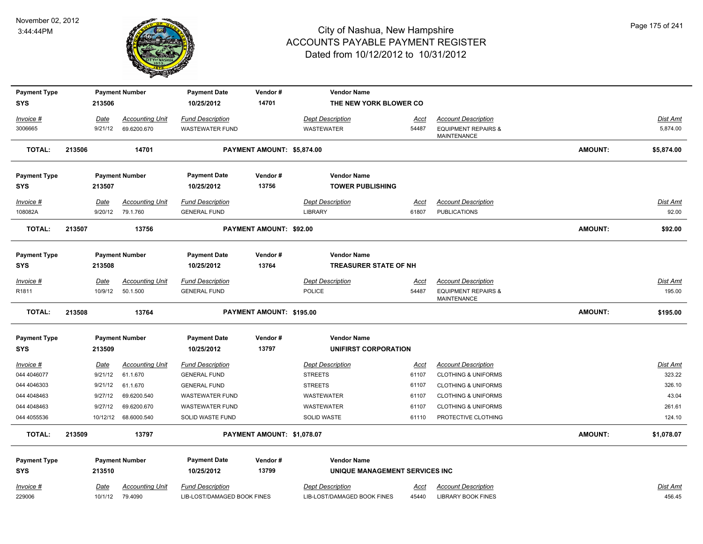

| <b>Payment Type</b> |        |                        | <b>Payment Number</b>  | <b>Payment Date</b>         | Vendor#                    | <b>Vendor Name</b>             |                      |                                                      |         |                 |
|---------------------|--------|------------------------|------------------------|-----------------------------|----------------------------|--------------------------------|----------------------|------------------------------------------------------|---------|-----------------|
| <b>SYS</b>          |        | 213506                 |                        | 10/25/2012                  | 14701                      | THE NEW YORK BLOWER CO         |                      |                                                      |         |                 |
| Invoice #           |        | Date                   | <b>Accounting Unit</b> | <b>Fund Description</b>     |                            | <b>Dept Description</b>        | Acct                 | <b>Account Description</b>                           |         | Dist Amt        |
| 3006665             |        | 9/21/12                | 69.6200.670            | <b>WASTEWATER FUND</b>      |                            | <b>WASTEWATER</b>              | 54487                | <b>EQUIPMENT REPAIRS &amp;</b><br><b>MAINTENANCE</b> |         | 5,874.00        |
| <b>TOTAL:</b>       | 213506 |                        | 14701                  |                             | PAYMENT AMOUNT: \$5,874.00 |                                |                      |                                                      | AMOUNT: | \$5,874.00      |
| <b>Payment Type</b> |        |                        | <b>Payment Number</b>  | <b>Payment Date</b>         | Vendor#                    | <b>Vendor Name</b>             |                      |                                                      |         |                 |
| <b>SYS</b>          |        | 213507                 |                        | 10/25/2012                  | 13756                      | <b>TOWER PUBLISHING</b>        |                      |                                                      |         |                 |
| Invoice #           |        | Date                   | <b>Accounting Unit</b> | <b>Fund Description</b>     |                            | <b>Dept Description</b>        | Acct                 | <b>Account Description</b>                           |         | Dist Amt        |
| 108082A             |        | 9/20/12                | 79.1.760               | <b>GENERAL FUND</b>         |                            | <b>LIBRARY</b>                 | 61807                | <b>PUBLICATIONS</b>                                  |         | 92.00           |
| <b>TOTAL:</b>       | 213507 |                        | 13756                  |                             | PAYMENT AMOUNT: \$92.00    |                                |                      |                                                      | AMOUNT: | \$92.00         |
| <b>Payment Type</b> |        |                        | <b>Payment Number</b>  | <b>Payment Date</b>         | Vendor#                    | <b>Vendor Name</b>             |                      |                                                      |         |                 |
| SYS                 |        | 213508                 |                        | 10/25/2012                  | 13764                      | <b>TREASURER STATE OF NH</b>   |                      |                                                      |         |                 |
| <u>Invoice #</u>    |        |                        | <b>Accounting Unit</b> | <b>Fund Description</b>     |                            | <b>Dept Description</b>        |                      | <b>Account Description</b>                           |         | <u>Dist Amt</u> |
| R <sub>1811</sub>   |        | <u>Date</u><br>10/9/12 | 50.1.500               | <b>GENERAL FUND</b>         |                            | POLICE                         | <u>Acct</u><br>54487 | <b>EQUIPMENT REPAIRS &amp;</b><br><b>MAINTENANCE</b> |         | 195.00          |
| <b>TOTAL:</b>       | 213508 |                        | 13764                  |                             | PAYMENT AMOUNT: \$195.00   |                                |                      |                                                      | AMOUNT: | \$195.00        |
| <b>Payment Type</b> |        |                        | <b>Payment Number</b>  | <b>Payment Date</b>         | Vendor#                    | <b>Vendor Name</b>             |                      |                                                      |         |                 |
| <b>SYS</b>          |        | 213509                 |                        | 10/25/2012                  | 13797                      | <b>UNIFIRST CORPORATION</b>    |                      |                                                      |         |                 |
| $Invoice$ #         |        | Date                   | <b>Accounting Unit</b> | <b>Fund Description</b>     |                            | <b>Dept Description</b>        | <u>Acct</u>          | <b>Account Description</b>                           |         | <b>Dist Amt</b> |
| 044 4046077         |        | 9/21/12                | 61.1.670               | <b>GENERAL FUND</b>         |                            | <b>STREETS</b>                 | 61107                | <b>CLOTHING &amp; UNIFORMS</b>                       |         | 323.22          |
| 044 4046303         |        | 9/21/12                | 61.1.670               | <b>GENERAL FUND</b>         |                            | <b>STREETS</b>                 | 61107                | <b>CLOTHING &amp; UNIFORMS</b>                       |         | 326.10          |
| 044 4048463         |        | 9/27/12                | 69.6200.540            | <b>WASTEWATER FUND</b>      |                            | WASTEWATER                     | 61107                | <b>CLOTHING &amp; UNIFORMS</b>                       |         | 43.04           |
| 044 4048463         |        | 9/27/12                | 69.6200.670            | <b>WASTEWATER FUND</b>      |                            | WASTEWATER                     | 61107                | <b>CLOTHING &amp; UNIFORMS</b>                       |         | 261.61          |
| 044 4055536         |        |                        | 10/12/12 68.6000.540   | SOLID WASTE FUND            |                            | SOLID WASTE                    | 61110                | PROTECTIVE CLOTHING                                  |         | 124.10          |
| <b>TOTAL:</b>       | 213509 |                        | 13797                  |                             | PAYMENT AMOUNT: \$1,078.07 |                                |                      |                                                      | AMOUNT: | \$1,078.07      |
| <b>Payment Type</b> |        |                        | <b>Payment Number</b>  | <b>Payment Date</b>         | Vendor#                    | <b>Vendor Name</b>             |                      |                                                      |         |                 |
| <b>SYS</b>          |        | 213510                 |                        | 10/25/2012                  | 13799                      | UNIQUE MANAGEMENT SERVICES INC |                      |                                                      |         |                 |
| Invoice #           |        | Date                   | <b>Accounting Unit</b> | <b>Fund Description</b>     |                            | <b>Dept Description</b>        | Acct                 | <b>Account Description</b>                           |         | <b>Dist Amt</b> |
| 229006              |        | 10/1/12                | 79.4090                | LIB-LOST/DAMAGED BOOK FINES |                            | LIB-LOST/DAMAGED BOOK FINES    | 45440                | <b>LIBRARY BOOK FINES</b>                            |         | 456.45          |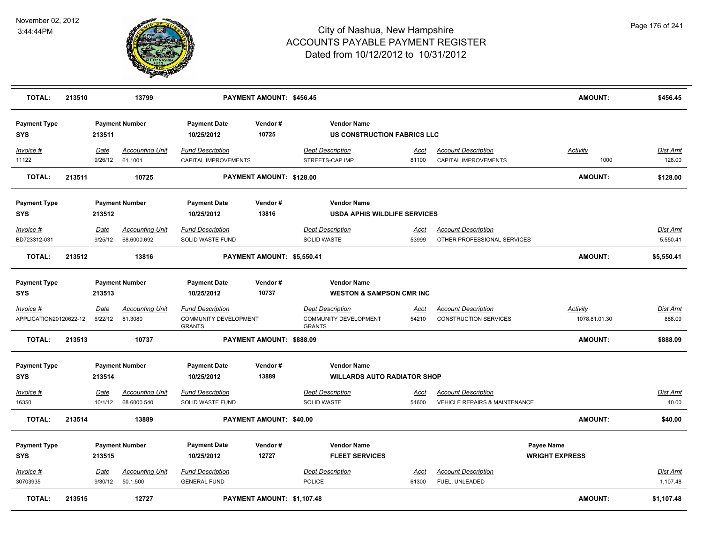

| <b>TOTAL:</b>                         | 213510 |                        | 13799                                 |                                                                   | PAYMENT AMOUNT: \$456.45   |                                                                   |                      |                                                                        | <b>AMOUNT:</b>                      | \$456.45                    |
|---------------------------------------|--------|------------------------|---------------------------------------|-------------------------------------------------------------------|----------------------------|-------------------------------------------------------------------|----------------------|------------------------------------------------------------------------|-------------------------------------|-----------------------------|
| <b>Payment Type</b><br><b>SYS</b>     |        | 213511                 | <b>Payment Number</b>                 | <b>Payment Date</b><br>10/25/2012                                 | Vendor#<br>10725           | <b>Vendor Name</b><br><b>US CONSTRUCTION FABRICS LLC</b>          |                      |                                                                        |                                     |                             |
| Invoice #<br>11122                    |        | Date<br>9/26/12        | <b>Accounting Unit</b><br>61.1001     | <b>Fund Description</b><br>CAPITAL IMPROVEMENTS                   |                            | <b>Dept Description</b><br>STREETS-CAP IMP                        | Acct<br>81100        | <b>Account Description</b><br>CAPITAL IMPROVEMENTS                     | <b>Activity</b><br>1000             | Dist Amt<br>128.00          |
| <b>TOTAL:</b>                         | 213511 |                        | 10725                                 |                                                                   | PAYMENT AMOUNT: \$128.00   |                                                                   |                      |                                                                        | <b>AMOUNT:</b>                      | \$128.00                    |
| <b>Payment Type</b><br><b>SYS</b>     |        | 213512                 | <b>Payment Number</b>                 | <b>Payment Date</b><br>10/25/2012                                 | Vendor#<br>13816           | <b>Vendor Name</b><br><b>USDA APHIS WILDLIFE SERVICES</b>         |                      |                                                                        |                                     |                             |
| $Invoice$ #<br>BD723312-031           |        | Date<br>9/25/12        | <b>Accounting Unit</b><br>68.6000.692 | <b>Fund Description</b><br>SOLID WASTE FUND                       |                            | <b>Dept Description</b><br>SOLID WASTE                            | Acct<br>53999        | <b>Account Description</b><br>OTHER PROFESSIONAL SERVICES              |                                     | Dist Amt<br>5,550.41        |
| <b>TOTAL:</b>                         | 213512 |                        | 13816                                 |                                                                   | PAYMENT AMOUNT: \$5,550.41 |                                                                   |                      |                                                                        | <b>AMOUNT:</b>                      | \$5,550.41                  |
| <b>Payment Type</b><br><b>SYS</b>     |        | 213513                 | <b>Payment Number</b>                 | <b>Payment Date</b><br>10/25/2012                                 | Vendor#<br>10737           | <b>Vendor Name</b><br><b>WESTON &amp; SAMPSON CMR INC</b>         |                      |                                                                        |                                     |                             |
| $Invoice$ #<br>APPLICATION20120622-12 |        | Date<br>6/22/12        | <b>Accounting Unit</b><br>81.3080     | <b>Fund Description</b><br>COMMUNITY DEVELOPMENT<br><b>GRANTS</b> |                            | <b>Dept Description</b><br>COMMUNITY DEVELOPMENT<br><b>GRANTS</b> | <u>Acct</u><br>54210 | <b>Account Description</b><br><b>CONSTRUCTION SERVICES</b>             | <b>Activity</b><br>1078.81.01.30    | Dist Amt<br>888.09          |
| <b>TOTAL:</b>                         | 213513 |                        | 10737                                 |                                                                   | PAYMENT AMOUNT: \$888.09   |                                                                   |                      |                                                                        | <b>AMOUNT:</b>                      | \$888.09                    |
| <b>Payment Type</b><br><b>SYS</b>     |        | 213514                 | <b>Payment Number</b>                 | <b>Payment Date</b><br>10/25/2012                                 | Vendor#<br>13889           | <b>Vendor Name</b><br><b>WILLARDS AUTO RADIATOR SHOP</b>          |                      |                                                                        |                                     |                             |
| $Invoice$ #<br>16350                  |        | Date<br>10/1/12        | <b>Accounting Unit</b><br>68.6000.540 | <b>Fund Description</b><br>SOLID WASTE FUND                       |                            | <b>Dept Description</b><br><b>SOLID WASTE</b>                     | <u>Acct</u><br>54600 | <b>Account Description</b><br><b>VEHICLE REPAIRS &amp; MAINTENANCE</b> |                                     | Dist Amt<br>40.00           |
| <b>TOTAL:</b>                         | 213514 |                        | 13889                                 |                                                                   | PAYMENT AMOUNT: \$40.00    |                                                                   |                      |                                                                        | <b>AMOUNT:</b>                      | \$40.00                     |
| <b>Payment Type</b><br><b>SYS</b>     |        | 213515                 | <b>Payment Number</b>                 | <b>Payment Date</b><br>10/25/2012                                 | Vendor#<br>12727           | <b>Vendor Name</b><br><b>FLEET SERVICES</b>                       |                      |                                                                        | Payee Name<br><b>WRIGHT EXPRESS</b> |                             |
| Invoice #<br>30703935                 |        | <u>Date</u><br>9/30/12 | <b>Accounting Unit</b><br>50.1.500    | <b>Fund Description</b><br><b>GENERAL FUND</b>                    |                            | <b>Dept Description</b><br><b>POLICE</b>                          | <u>Acct</u><br>61300 | <b>Account Description</b><br>FUEL, UNLEADED                           |                                     | <b>Dist Amt</b><br>1,107.48 |
| <b>TOTAL:</b>                         | 213515 |                        | 12727                                 |                                                                   | PAYMENT AMOUNT: \$1,107.48 |                                                                   |                      |                                                                        | <b>AMOUNT:</b>                      | \$1,107.48                  |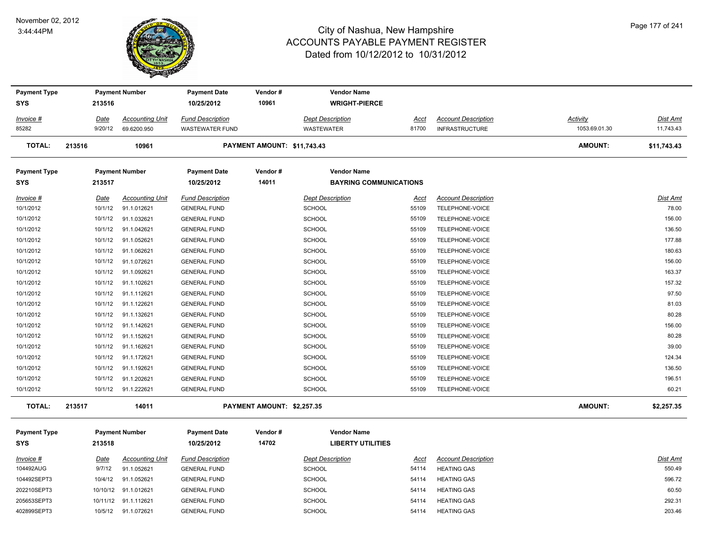#### November 02, 2012 3:44:44PM



| <b>Payment Type</b> |          | <b>Payment Number</b>  | <b>Payment Date</b>     | Vendor#                     | <b>Vendor Name</b>            |       |                            |                |                 |
|---------------------|----------|------------------------|-------------------------|-----------------------------|-------------------------------|-------|----------------------------|----------------|-----------------|
| <b>SYS</b>          | 213516   |                        | 10/25/2012              | 10961                       | <b>WRIGHT-PIERCE</b>          |       |                            |                |                 |
| Invoice #           | Date     | <b>Accounting Unit</b> | <b>Fund Description</b> |                             | <b>Dept Description</b>       | Acct  | <b>Account Description</b> | Activity       | <b>Dist Amt</b> |
| 85282               | 9/20/12  | 69.6200.950            | <b>WASTEWATER FUND</b>  |                             | WASTEWATER                    | 81700 | <b>INFRASTRUCTURE</b>      | 1053.69.01.30  | 11,743.43       |
| <b>TOTAL:</b>       | 213516   | 10961                  |                         | PAYMENT AMOUNT: \$11,743.43 |                               |       |                            | <b>AMOUNT:</b> | \$11,743.43     |
| <b>Payment Type</b> |          | <b>Payment Number</b>  | <b>Payment Date</b>     | Vendor#                     | <b>Vendor Name</b>            |       |                            |                |                 |
| <b>SYS</b>          | 213517   |                        | 10/25/2012              | 14011                       | <b>BAYRING COMMUNICATIONS</b> |       |                            |                |                 |
| Invoice #           | Date     | <b>Accounting Unit</b> | <b>Fund Description</b> |                             | <b>Dept Description</b>       | Acct  | <b>Account Description</b> |                | Dist Amt        |
| 10/1/2012           | 10/1/12  | 91.1.012621            | <b>GENERAL FUND</b>     |                             | SCHOOL                        | 55109 | TELEPHONE-VOICE            |                | 78.00           |
| 10/1/2012           | 10/1/12  | 91.1.032621            | <b>GENERAL FUND</b>     |                             | <b>SCHOOL</b>                 | 55109 | TELEPHONE-VOICE            |                | 156.00          |
| 10/1/2012           | 10/1/12  | 91.1.042621            | <b>GENERAL FUND</b>     |                             | SCHOOL                        | 55109 | TELEPHONE-VOICE            |                | 136.50          |
| 10/1/2012           | 10/1/12  | 91.1.052621            | <b>GENERAL FUND</b>     |                             | SCHOOL                        | 55109 | TELEPHONE-VOICE            |                | 177.88          |
| 10/1/2012           | 10/1/12  | 91.1.062621            | <b>GENERAL FUND</b>     |                             | SCHOOL                        | 55109 | TELEPHONE-VOICE            |                | 180.63          |
| 10/1/2012           | 10/1/12  | 91.1.072621            | <b>GENERAL FUND</b>     |                             | <b>SCHOOL</b>                 | 55109 | TELEPHONE-VOICE            |                | 156.00          |
| 10/1/2012           | 10/1/12  | 91.1.092621            | <b>GENERAL FUND</b>     |                             | <b>SCHOOL</b>                 | 55109 | TELEPHONE-VOICE            |                | 163.37          |
| 10/1/2012           | 10/1/12  | 91.1.102621            | <b>GENERAL FUND</b>     |                             | SCHOOL                        | 55109 | TELEPHONE-VOICE            |                | 157.32          |
| 10/1/2012           | 10/1/12  | 91.1.112621            | <b>GENERAL FUND</b>     |                             | <b>SCHOOL</b>                 | 55109 | TELEPHONE-VOICE            |                | 97.50           |
| 10/1/2012           | 10/1/12  | 91.1.122621            | <b>GENERAL FUND</b>     |                             | <b>SCHOOL</b>                 | 55109 | TELEPHONE-VOICE            |                | 81.03           |
| 10/1/2012           | 10/1/12  | 91.1.132621            | <b>GENERAL FUND</b>     |                             | <b>SCHOOL</b>                 | 55109 | TELEPHONE-VOICE            |                | 80.28           |
| 10/1/2012           | 10/1/12  | 91.1.142621            | <b>GENERAL FUND</b>     |                             | SCHOOL                        | 55109 | TELEPHONE-VOICE            |                | 156.00          |
| 10/1/2012           | 10/1/12  | 91.1.152621            | <b>GENERAL FUND</b>     |                             | <b>SCHOOL</b>                 | 55109 | TELEPHONE-VOICE            |                | 80.28           |
| 10/1/2012           | 10/1/12  | 91.1.162621            | <b>GENERAL FUND</b>     |                             | SCHOOL                        | 55109 | TELEPHONE-VOICE            |                | 39.00           |
| 10/1/2012           | 10/1/12  | 91.1.172621            | <b>GENERAL FUND</b>     |                             | <b>SCHOOL</b>                 | 55109 | TELEPHONE-VOICE            |                | 124.34          |
| 10/1/2012           | 10/1/12  | 91.1.192621            | <b>GENERAL FUND</b>     |                             | SCHOOL                        | 55109 | TELEPHONE-VOICE            |                | 136.50          |
| 10/1/2012           | 10/1/12  | 91.1.202621            | <b>GENERAL FUND</b>     |                             | SCHOOL                        | 55109 | TELEPHONE-VOICE            |                | 196.51          |
| 10/1/2012           | 10/1/12  | 91.1.222621            | <b>GENERAL FUND</b>     |                             | SCHOOL                        | 55109 | TELEPHONE-VOICE            |                | 60.21           |
| <b>TOTAL:</b>       | 213517   | 14011                  |                         | PAYMENT AMOUNT: \$2,257.35  |                               |       |                            | AMOUNT:        | \$2,257.35      |
| <b>Payment Type</b> |          | <b>Payment Number</b>  | <b>Payment Date</b>     | Vendor#                     | <b>Vendor Name</b>            |       |                            |                |                 |
| <b>SYS</b>          | 213518   |                        | 10/25/2012              | 14702                       | <b>LIBERTY UTILITIES</b>      |       |                            |                |                 |
| Invoice #           | Date     | <b>Accounting Unit</b> | <b>Fund Description</b> |                             | <b>Dept Description</b>       | Acct  | <b>Account Description</b> |                | Dist Amt        |
| 104492AUG           | 9/7/12   | 91.1.052621            | <b>GENERAL FUND</b>     |                             | <b>SCHOOL</b>                 | 54114 | <b>HEATING GAS</b>         |                | 550.49          |
| 104492SEPT3         | 10/4/12  | 91.1.052621            | <b>GENERAL FUND</b>     |                             | <b>SCHOOL</b>                 | 54114 | <b>HEATING GAS</b>         |                | 596.72          |
| 202210SEPT3         | 10/10/12 | 91.1.012621            | <b>GENERAL FUND</b>     |                             | SCHOOL                        | 54114 | <b>HEATING GAS</b>         |                | 60.50           |
| 205653SEPT3         | 10/11/12 | 91.1.112621            | <b>GENERAL FUND</b>     |                             | <b>SCHOOL</b>                 | 54114 | <b>HEATING GAS</b>         |                | 292.31          |
| 402899SEPT3         | 10/5/12  | 91.1.072621            | <b>GENERAL FUND</b>     |                             | SCHOOL                        | 54114 | <b>HEATING GAS</b>         |                | 203.46          |
|                     |          |                        |                         |                             |                               |       |                            |                |                 |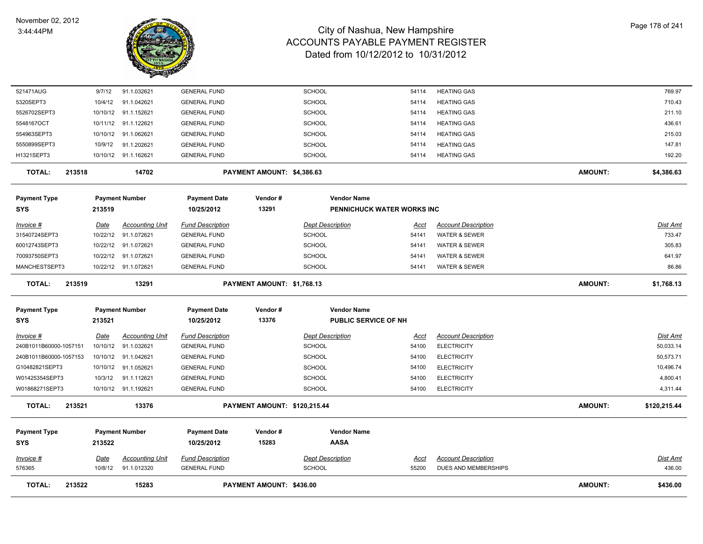

| <b>TOTAL:</b><br>213522             |                  | 15283                                          |                                                | PAYMENT AMOUNT: \$436.00            |                                          |                      |                                                        | <b>AMOUNT:</b> | \$436.00                  |
|-------------------------------------|------------------|------------------------------------------------|------------------------------------------------|-------------------------------------|------------------------------------------|----------------------|--------------------------------------------------------|----------------|---------------------------|
| 576365                              | 10/8/12          | 91.1.012320                                    | <b>GENERAL FUND</b>                            |                                     | SCHOOL                                   | 55200                | DUES AND MEMBERSHIPS                                   |                | 436.00                    |
| <u>Invoice #</u>                    | <u>Date</u>      | <u>Accounting Unit</u>                         | <b>Fund Description</b>                        |                                     | <b>Dept Description</b>                  | <u>Acci</u>          | <b>Account Description</b>                             |                | Dist Amt                  |
| <b>Payment Type</b><br>SYS          | 213522           | <b>Payment Number</b>                          | <b>Payment Date</b><br>10/25/2012              | Vendor#<br>15283                    | <b>Vendor Name</b><br><b>AASA</b>        |                      |                                                        |                |                           |
|                                     |                  |                                                |                                                |                                     |                                          |                      |                                                        |                |                           |
| <b>TOTAL:</b><br>213521             |                  | 13376                                          |                                                | <b>PAYMENT AMOUNT: \$120,215.44</b> |                                          |                      |                                                        | <b>AMOUNT:</b> | \$120,215.44              |
| W01868271SEPT3                      |                  | 10/10/12 91.1.192621                           | <b>GENERAL FUND</b>                            |                                     | <b>SCHOOL</b>                            | 54100                | <b>ELECTRICITY</b>                                     |                | 4,311.44                  |
| W01425354SEPT3                      | 10/3/12          | 91.1.112621                                    | <b>GENERAL FUND</b>                            |                                     | SCHOOL                                   | 54100                | <b>ELECTRICITY</b>                                     |                | 4,800.41                  |
| G10482821SEPT3                      |                  | 10/10/12 91.1.052621                           | <b>GENERAL FUND</b>                            |                                     | <b>SCHOOL</b>                            | 54100                | <b>ELECTRICITY</b>                                     |                | 10,496.74                 |
| 240B1011B60000-1057153              |                  | 10/10/12 91.1.042621                           | <b>GENERAL FUND</b>                            |                                     | <b>SCHOOL</b>                            | 54100                | <b>ELECTRICITY</b>                                     |                | 50,573.71                 |
| Invoice #<br>240B1011B60000-1057151 | <u>Date</u>      | <b>Accounting Unit</b><br>10/10/12 91.1.032621 | <b>Fund Description</b><br><b>GENERAL FUND</b> |                                     | <b>Dept Description</b><br><b>SCHOOL</b> | <u>Acct</u><br>54100 | <b>Account Description</b><br><b>ELECTRICITY</b>       |                | Dist Amt<br>50,033.14     |
| SYS                                 | 213521           |                                                | 10/25/2012                                     | 13376                               | PUBLIC SERVICE OF NH                     |                      |                                                        |                |                           |
| <b>Payment Type</b>                 |                  | <b>Payment Number</b>                          | <b>Payment Date</b>                            | Vendor#                             | <b>Vendor Name</b>                       |                      |                                                        |                |                           |
| 213519<br>TOTAL:                    |                  | 13291                                          |                                                | PAYMENT AMOUNT: \$1,768.13          |                                          |                      |                                                        | <b>AMOUNT:</b> | \$1,768.13                |
| MANCHESTSEPT3                       |                  | 10/22/12 91.1.072621                           | <b>GENERAL FUND</b>                            |                                     | <b>SCHOOL</b>                            | 54141                | WATER & SEWER                                          |                | 86.86                     |
| 70093750SEPT3                       | 10/22/12         | 91.1.072621                                    | <b>GENERAL FUND</b>                            |                                     | <b>SCHOOL</b>                            | 54141                | WATER & SEWER                                          |                | 641.97                    |
| 60012743SEPT3                       | 10/22/12         | 91.1.072621                                    | <b>GENERAL FUND</b>                            |                                     | SCHOOL                                   | 54141                | WATER & SEWER                                          |                | 305.83                    |
| <u>Invoice #</u><br>31540724SEPT3   | Date<br>10/22/12 | <b>Accounting Unit</b><br>91.1.072621          | <b>Fund Description</b><br><b>GENERAL FUND</b> |                                     | <b>Dept Description</b><br><b>SCHOOL</b> | Acct<br>54141        | <b>Account Description</b><br><b>WATER &amp; SEWER</b> |                | <b>Dist Amt</b><br>733.47 |
| <b>SYS</b>                          | 213519           |                                                | 10/25/2012                                     | 13291                               | PENNICHUCK WATER WORKS INC               |                      |                                                        |                |                           |
| <b>Payment Type</b>                 |                  | <b>Payment Number</b>                          | <b>Payment Date</b>                            | Vendor#                             | <b>Vendor Name</b>                       |                      |                                                        |                |                           |
| <b>TOTAL:</b><br>213518             |                  | 14702                                          |                                                | PAYMENT AMOUNT: \$4,386.63          |                                          |                      |                                                        | <b>AMOUNT:</b> | \$4,386.63                |
| H1321SEPT3                          |                  | 10/10/12 91.1.162621                           | <b>GENERAL FUND</b>                            |                                     | <b>SCHOOL</b>                            | 54114                | <b>HEATING GAS</b>                                     |                | 192.20                    |
| 5550899SEPT3                        | 10/9/12          | 91.1.202621                                    | <b>GENERAL FUND</b>                            |                                     | <b>SCHOOL</b>                            | 54114                | <b>HEATING GAS</b>                                     |                | 147.81                    |
| 554963SEPT3                         | 10/10/12         | 91.1.062621                                    | <b>GENERAL FUND</b>                            |                                     | <b>SCHOOL</b>                            | 54114                | <b>HEATING GAS</b>                                     |                | 215.03                    |
| 5548167OCT                          |                  | 10/11/12 91.1.122621                           | <b>GENERAL FUND</b>                            |                                     | <b>SCHOOL</b>                            | 54114                | <b>HEATING GAS</b>                                     |                | 436.61                    |
| 5526702SEPT3                        | 10/10/12         | 91.1.152621                                    | <b>GENERAL FUND</b>                            |                                     | <b>SCHOOL</b>                            | 54114                | <b>HEATING GAS</b>                                     |                | 211.10                    |
| 5320SEPT3                           | 10/4/12          | 91.1.042621                                    | <b>GENERAL FUND</b>                            |                                     | SCHOOL                                   | 54114                | <b>HEATING GAS</b>                                     |                | 710.43                    |
| 521471AUG                           | 9/7/12           | 91.1.032621                                    | <b>GENERAL FUND</b>                            |                                     | <b>SCHOOL</b>                            | 54114                | <b>HEATING GAS</b>                                     |                | 769.97                    |
|                                     |                  |                                                |                                                |                                     |                                          |                      |                                                        |                |                           |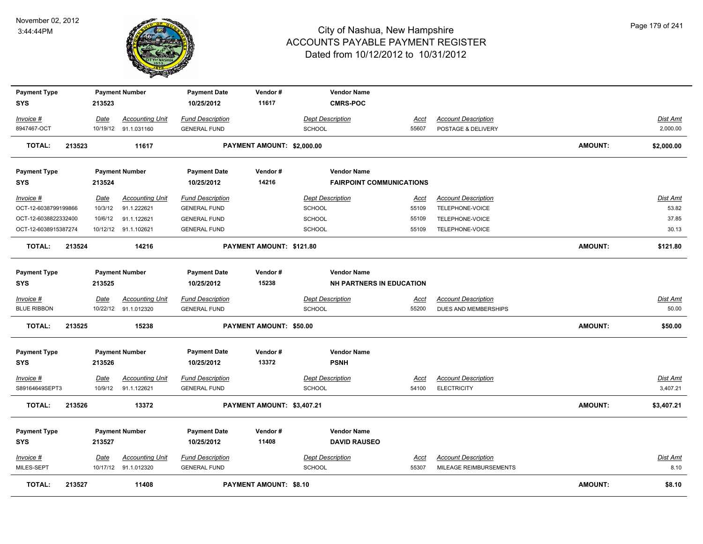

| <b>Payment Type</b><br><b>SYS</b> |        | 213523  | <b>Payment Number</b>                          | <b>Payment Date</b><br>10/25/2012              | Vendor#<br>11617               | <b>Vendor Name</b><br><b>CMRS-POC</b>    |                      |                                                  |                |                      |
|-----------------------------------|--------|---------|------------------------------------------------|------------------------------------------------|--------------------------------|------------------------------------------|----------------------|--------------------------------------------------|----------------|----------------------|
|                                   |        |         |                                                |                                                |                                |                                          |                      |                                                  |                |                      |
| Invoice #<br>8947467-OCT          |        | Date    | <b>Accounting Unit</b><br>10/19/12 91.1.031160 | <b>Fund Description</b><br><b>GENERAL FUND</b> |                                | <b>Dept Description</b><br><b>SCHOOL</b> | <u>Acct</u><br>55607 | <b>Account Description</b><br>POSTAGE & DELIVERY |                | Dist Amt<br>2,000.00 |
|                                   |        |         |                                                |                                                |                                |                                          |                      |                                                  |                |                      |
| <b>TOTAL:</b>                     | 213523 |         | 11617                                          |                                                | PAYMENT AMOUNT: \$2,000.00     |                                          |                      |                                                  | <b>AMOUNT:</b> | \$2,000.00           |
| <b>Payment Type</b>               |        |         | <b>Payment Number</b>                          | <b>Payment Date</b>                            | Vendor#                        | <b>Vendor Name</b>                       |                      |                                                  |                |                      |
| <b>SYS</b>                        |        | 213524  |                                                | 10/25/2012                                     | 14216                          | <b>FAIRPOINT COMMUNICATIONS</b>          |                      |                                                  |                |                      |
| Invoice #                         |        | Date    | <b>Accounting Unit</b>                         | <b>Fund Description</b>                        |                                | <b>Dept Description</b>                  | Acct                 | <b>Account Description</b>                       |                | Dist Amt             |
| OCT-12-6038799199866              |        | 10/3/12 | 91.1.222621                                    | <b>GENERAL FUND</b>                            |                                | <b>SCHOOL</b>                            | 55109                | TELEPHONE-VOICE                                  |                | 53.82                |
| OCT-12-6038822332400              |        | 10/6/12 | 91.1.122621                                    | <b>GENERAL FUND</b>                            |                                | SCHOOL                                   | 55109                | TELEPHONE-VOICE                                  |                | 37.85                |
| OCT-12-6038915387274              |        |         | 10/12/12 91.1.102621                           | <b>GENERAL FUND</b>                            |                                | SCHOOL                                   | 55109                | TELEPHONE-VOICE                                  |                | 30.13                |
| <b>TOTAL:</b>                     | 213524 |         | 14216                                          |                                                | PAYMENT AMOUNT: \$121.80       |                                          |                      |                                                  | <b>AMOUNT:</b> | \$121.80             |
| <b>Payment Type</b>               |        |         | <b>Payment Number</b>                          | <b>Payment Date</b>                            | Vendor#                        | <b>Vendor Name</b>                       |                      |                                                  |                |                      |
| <b>SYS</b>                        |        | 213525  |                                                | 10/25/2012                                     | 15238                          | <b>NH PARTNERS IN EDUCATION</b>          |                      |                                                  |                |                      |
| Invoice #                         |        | Date    | <b>Accounting Unit</b>                         | <b>Fund Description</b>                        |                                | <b>Dept Description</b>                  | <u>Acct</u>          | <b>Account Description</b>                       |                | <u>Dist Amt</u>      |
| <b>BLUE RIBBON</b>                |        |         | 10/22/12 91.1.012320                           | <b>GENERAL FUND</b>                            |                                | <b>SCHOOL</b>                            | 55200                | DUES AND MEMBERSHIPS                             |                | 50.00                |
| <b>TOTAL:</b>                     | 213525 |         | 15238                                          |                                                | <b>PAYMENT AMOUNT: \$50.00</b> |                                          |                      |                                                  | <b>AMOUNT:</b> | \$50.00              |
|                                   |        |         |                                                |                                                |                                |                                          |                      |                                                  |                |                      |
| <b>Payment Type</b>               |        |         | <b>Payment Number</b>                          | <b>Payment Date</b>                            | Vendor#<br>13372               | <b>Vendor Name</b>                       |                      |                                                  |                |                      |
| <b>SYS</b>                        |        | 213526  |                                                | 10/25/2012                                     |                                | <b>PSNH</b>                              |                      |                                                  |                |                      |
| <u>Invoice #</u>                  |        | Date    | <b>Accounting Unit</b>                         | <b>Fund Description</b>                        |                                | <b>Dept Description</b>                  | <u>Acct</u>          | <b>Account Description</b>                       |                | Dist Amt             |
| S89164649SEPT3                    |        | 10/9/12 | 91.1.122621                                    | <b>GENERAL FUND</b>                            |                                | SCHOOL                                   | 54100                | <b>ELECTRICITY</b>                               |                | 3,407.21             |
| <b>TOTAL:</b>                     | 213526 |         | 13372                                          |                                                | PAYMENT AMOUNT: \$3,407.21     |                                          |                      |                                                  | <b>AMOUNT:</b> | \$3,407.21           |
| <b>Payment Type</b>               |        |         | <b>Payment Number</b>                          | <b>Payment Date</b>                            | Vendor#                        | <b>Vendor Name</b>                       |                      |                                                  |                |                      |
| <b>SYS</b>                        |        | 213527  |                                                | 10/25/2012                                     | 11408                          | <b>DAVID RAUSEO</b>                      |                      |                                                  |                |                      |
|                                   |        |         |                                                |                                                |                                |                                          |                      |                                                  |                |                      |
| Invoice #                         |        | Date    | <b>Accounting Unit</b>                         | <b>Fund Description</b>                        |                                | <b>Dept Description</b>                  | <u>Acct</u>          | <b>Account Description</b>                       |                | Dist Amt             |
| MILES-SEPT                        |        |         | 10/17/12 91.1.012320                           | <b>GENERAL FUND</b>                            |                                | <b>SCHOOL</b>                            | 55307                | MILEAGE REIMBURSEMENTS                           |                | 8.10                 |
| <b>TOTAL:</b>                     | 213527 |         | 11408                                          |                                                | <b>PAYMENT AMOUNT: \$8.10</b>  |                                          |                      |                                                  | <b>AMOUNT:</b> | \$8.10               |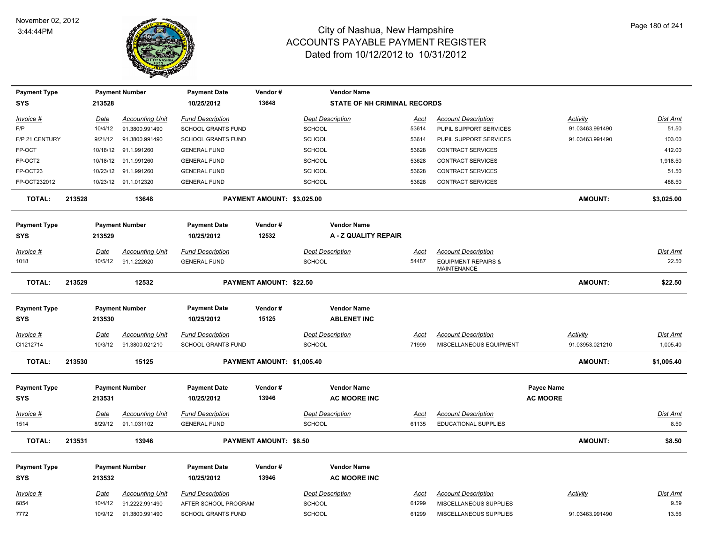

| <b>Payment Type</b> |        |             | <b>Payment Number</b>  | <b>Payment Date</b>       | Vendor#                    | <b>Vendor Name</b>                  |             |                                               |                   |                 |                 |
|---------------------|--------|-------------|------------------------|---------------------------|----------------------------|-------------------------------------|-------------|-----------------------------------------------|-------------------|-----------------|-----------------|
| <b>SYS</b>          |        | 213528      |                        | 10/25/2012                | 13648                      | <b>STATE OF NH CRIMINAL RECORDS</b> |             |                                               |                   |                 |                 |
| Invoice #           |        | Date        | <b>Accounting Unit</b> | <b>Fund Description</b>   |                            | <b>Dept Description</b>             | Acct        | <b>Account Description</b>                    |                   | Activity        | <b>Dist Amt</b> |
| F/P                 |        | 10/4/12     | 91.3800.991490         | <b>SCHOOL GRANTS FUND</b> |                            | <b>SCHOOL</b>                       | 53614       | PUPIL SUPPORT SERVICES                        |                   | 91.03463.991490 | 51.50           |
| F/P 21 CENTURY      |        | 9/21/12     | 91.3800.991490         | <b>SCHOOL GRANTS FUND</b> |                            | <b>SCHOOL</b>                       | 53614       | PUPIL SUPPORT SERVICES                        |                   | 91.03463.991490 | 103.00          |
| FP-OCT              |        |             | 10/18/12 91.1.991260   | <b>GENERAL FUND</b>       |                            | <b>SCHOOL</b>                       | 53628       | <b>CONTRACT SERVICES</b>                      |                   |                 | 412.00          |
| FP-OCT2             |        |             | 10/18/12 91.1.991260   | <b>GENERAL FUND</b>       |                            | <b>SCHOOL</b>                       | 53628       | <b>CONTRACT SERVICES</b>                      |                   |                 | 1,918.50        |
| FP-OCT23            |        |             | 10/23/12 91.1.991260   | <b>GENERAL FUND</b>       |                            | <b>SCHOOL</b>                       | 53628       | <b>CONTRACT SERVICES</b>                      |                   |                 | 51.50           |
| FP-OCT232012        |        |             | 10/23/12 91.1.012320   | <b>GENERAL FUND</b>       |                            | SCHOOL                              | 53628       | <b>CONTRACT SERVICES</b>                      |                   |                 | 488.50          |
| <b>TOTAL:</b>       | 213528 |             | 13648                  |                           | PAYMENT AMOUNT: \$3,025.00 |                                     |             |                                               |                   | <b>AMOUNT:</b>  | \$3,025.00      |
| <b>Payment Type</b> |        |             | <b>Payment Number</b>  | <b>Payment Date</b>       | Vendor#                    | <b>Vendor Name</b>                  |             |                                               |                   |                 |                 |
| <b>SYS</b>          |        | 213529      |                        | 10/25/2012                | 12532                      | A - Z QUALITY REPAIR                |             |                                               |                   |                 |                 |
| Invoice #           |        | Date        | <b>Accounting Unit</b> | <b>Fund Description</b>   |                            | Dept Description                    | Acct        | <b>Account Description</b>                    |                   |                 | Dist Amt        |
| 1018                |        | 10/5/12     | 91.1.222620            | <b>GENERAL FUND</b>       |                            | <b>SCHOOL</b>                       | 54487       | <b>EQUIPMENT REPAIRS &amp;</b><br>MAINTENANCE |                   |                 | 22.50           |
| <b>TOTAL:</b>       | 213529 |             | 12532                  |                           | PAYMENT AMOUNT: \$22.50    |                                     |             |                                               |                   | <b>AMOUNT:</b>  | \$22.50         |
| <b>Payment Type</b> |        |             | <b>Payment Number</b>  | <b>Payment Date</b>       | Vendor#                    | <b>Vendor Name</b>                  |             |                                               |                   |                 |                 |
| <b>SYS</b>          |        | 213530      |                        | 10/25/2012                | 15125                      | <b>ABLENET INC</b>                  |             |                                               |                   |                 |                 |
| <u>Invoice #</u>    |        | Date        | <b>Accounting Unit</b> | <b>Fund Description</b>   |                            | <b>Dept Description</b>             | <u>Acct</u> | <b>Account Description</b>                    |                   | <b>Activity</b> | Dist Amt        |
| CI1212714           |        | 10/3/12     | 91.3800.021210         | <b>SCHOOL GRANTS FUND</b> |                            | <b>SCHOOL</b>                       | 71999       | MISCELLANEOUS EQUIPMENT                       |                   | 91.03953.021210 | 1,005.40        |
| <b>TOTAL:</b>       | 213530 |             | 15125                  |                           | PAYMENT AMOUNT: \$1,005.40 |                                     |             |                                               |                   | <b>AMOUNT:</b>  | \$1,005.40      |
| <b>Payment Type</b> |        |             | <b>Payment Number</b>  | <b>Payment Date</b>       | Vendor#                    | <b>Vendor Name</b>                  |             |                                               | <b>Payee Name</b> |                 |                 |
| <b>SYS</b>          |        | 213531      |                        | 10/25/2012                | 13946                      | <b>AC MOORE INC</b>                 |             |                                               | <b>AC MOORE</b>   |                 |                 |
| Invoice #           |        | Date        | <b>Accounting Unit</b> | <b>Fund Description</b>   |                            | <b>Dept Description</b>             | Acct        | <b>Account Description</b>                    |                   |                 | <u>Dist Amt</u> |
| 1514                |        | 8/29/12     | 91.1.031102            | <b>GENERAL FUND</b>       |                            | <b>SCHOOL</b>                       | 61135       | EDUCATIONAL SUPPLIES                          |                   |                 | 8.50            |
| <b>TOTAL:</b>       | 213531 |             | 13946                  |                           | PAYMENT AMOUNT: \$8.50     |                                     |             |                                               |                   | <b>AMOUNT:</b>  | \$8.50          |
| <b>Payment Type</b> |        |             | <b>Payment Number</b>  | <b>Payment Date</b>       | Vendor#                    | <b>Vendor Name</b>                  |             |                                               |                   |                 |                 |
| <b>SYS</b>          |        | 213532      |                        | 10/25/2012                | 13946                      | <b>AC MOORE INC</b>                 |             |                                               |                   |                 |                 |
| <u>Invoice #</u>    |        | <b>Date</b> | <b>Accounting Unit</b> | <b>Fund Description</b>   |                            | <b>Dept Description</b>             | <b>Acct</b> | <b>Account Description</b>                    |                   | <b>Activity</b> | <b>Dist Amt</b> |
| 6854                |        | 10/4/12     | 91.2222.991490         | AFTER SCHOOL PROGRAM      |                            | <b>SCHOOL</b>                       | 61299       | MISCELLANEOUS SUPPLIES                        |                   |                 | 9.59            |
| 7772                |        | 10/9/12     | 91.3800.991490         | <b>SCHOOL GRANTS FUND</b> |                            | <b>SCHOOL</b>                       | 61299       | MISCELLANEOUS SUPPLIES                        |                   | 91.03463.991490 | 13.56           |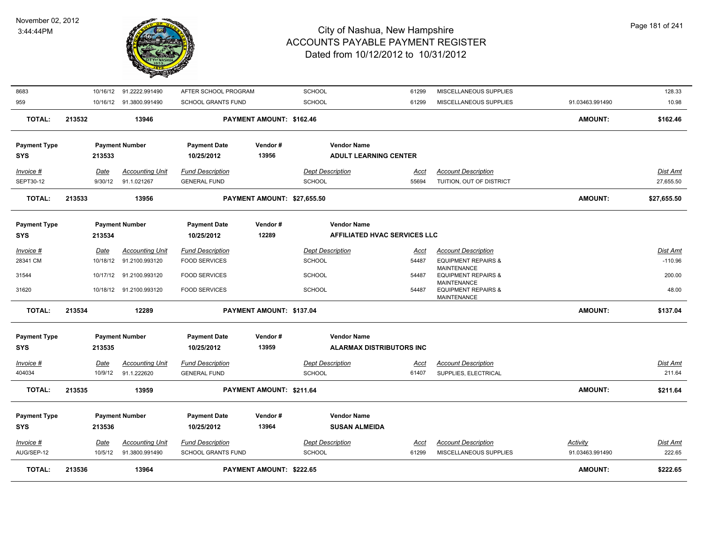

| <b>TOTAL:</b>                     | 213536 | 13964                                               |                                                      | PAYMENT AMOUNT: \$222.65    |                                                    |                      |                                                                     | <b>AMOUNT:</b>                     | \$222.65                  |
|-----------------------------------|--------|-----------------------------------------------------|------------------------------------------------------|-----------------------------|----------------------------------------------------|----------------------|---------------------------------------------------------------------|------------------------------------|---------------------------|
| Invoice #<br>AUG/SEP-12           | Date   | <b>Accounting Unit</b><br>10/5/12<br>91.3800.991490 | <b>Fund Description</b><br><b>SCHOOL GRANTS FUND</b> |                             | <b>Dept Description</b><br><b>SCHOOL</b>           | <u>Acct</u><br>61299 | <b>Account Description</b><br>MISCELLANEOUS SUPPLIES                | <b>Activity</b><br>91.03463.991490 | <u>Dist Amt</u><br>222.65 |
| <b>Payment Type</b><br><b>SYS</b> | 213536 | <b>Payment Number</b>                               | <b>Payment Date</b><br>10/25/2012                    | Vendor#<br>13964            | <b>Vendor Name</b><br><b>SUSAN ALMEIDA</b>         |                      |                                                                     |                                    |                           |
| <b>TOTAL:</b>                     | 213535 | 13959                                               |                                                      | PAYMENT AMOUNT: \$211.64    |                                                    |                      |                                                                     | <b>AMOUNT:</b>                     | \$211.64                  |
| Invoice #<br>404034               | Date   | <b>Accounting Unit</b><br>10/9/12<br>91.1.222620    | <b>Fund Description</b><br><b>GENERAL FUND</b>       |                             | <b>Dept Description</b><br><b>SCHOOL</b>           | Acct<br>61407        | <b>Account Description</b><br>SUPPLIES, ELECTRICAL                  |                                    | Dist Amt<br>211.64        |
| <b>SYS</b>                        | 213535 |                                                     | 10/25/2012                                           | 13959                       | <b>ALARMAX DISTRIBUTORS INC</b>                    |                      |                                                                     |                                    |                           |
| <b>Payment Type</b>               |        | <b>Payment Number</b>                               | <b>Payment Date</b>                                  | Vendor#                     | <b>Vendor Name</b>                                 |                      |                                                                     |                                    |                           |
| <b>TOTAL:</b>                     | 213534 | 12289                                               |                                                      | PAYMENT AMOUNT: \$137.04    |                                                    |                      |                                                                     | <b>AMOUNT:</b>                     | \$137.04                  |
| 31620                             |        | 10/18/12 91.2100.993120                             | <b>FOOD SERVICES</b>                                 |                             | <b>SCHOOL</b>                                      | 54487                | <b>EQUIPMENT REPAIRS &amp;</b><br><b>MAINTENANCE</b>                |                                    | 48.00                     |
| 31544                             |        | 10/17/12 91.2100.993120                             | <b>FOOD SERVICES</b>                                 |                             | <b>SCHOOL</b>                                      | 54487                | <b>MAINTENANCE</b><br><b>EQUIPMENT REPAIRS &amp;</b><br>MAINTENANCE |                                    | 200.00                    |
| 28341 CM                          |        | 10/18/12 91.2100.993120                             | <b>FOOD SERVICES</b>                                 |                             | <b>SCHOOL</b>                                      | 54487                | <b>EQUIPMENT REPAIRS &amp;</b>                                      |                                    | $-110.96$                 |
| Invoice #                         | Date   | <b>Accounting Unit</b>                              | <b>Fund Description</b>                              |                             | <b>Dept Description</b>                            | Acct                 | <b>Account Description</b>                                          |                                    | Dist Amt                  |
| <b>Payment Type</b><br><b>SYS</b> | 213534 | <b>Payment Number</b>                               | <b>Payment Date</b><br>10/25/2012                    | Vendor#<br>12289            | <b>Vendor Name</b><br>AFFILIATED HVAC SERVICES LLC |                      |                                                                     |                                    |                           |
| TOTAL:                            | 213533 | 13956                                               |                                                      | PAYMENT AMOUNT: \$27,655.50 |                                                    |                      |                                                                     | <b>AMOUNT:</b>                     | \$27,655.50               |
| SEPT30-12                         |        | 9/30/12<br>91.1.021267                              | <b>GENERAL FUND</b>                                  |                             | <b>SCHOOL</b>                                      | 55694                | TUITION, OUT OF DISTRICT                                            |                                    | 27,655.50                 |
| Invoice #                         | Date   | <b>Accounting Unit</b>                              | <b>Fund Description</b>                              |                             | <b>Dept Description</b>                            | Acct                 | <b>Account Description</b>                                          |                                    | Dist Amt                  |
| <b>SYS</b>                        | 213533 |                                                     | 10/25/2012                                           | 13956                       | <b>ADULT LEARNING CENTER</b>                       |                      |                                                                     |                                    |                           |
| <b>Payment Type</b>               |        | <b>Payment Number</b>                               | <b>Payment Date</b>                                  | Vendor#                     | <b>Vendor Name</b>                                 |                      |                                                                     |                                    |                           |
| TOTAL:                            | 213532 | 13946                                               |                                                      | PAYMENT AMOUNT: \$162.46    |                                                    |                      |                                                                     | <b>AMOUNT:</b>                     | \$162.46                  |
| 959                               |        | 10/16/12 91.3800.991490                             | <b>SCHOOL GRANTS FUND</b>                            |                             | <b>SCHOOL</b>                                      | 61299                | MISCELLANEOUS SUPPLIES                                              | 91.03463.991490                    | 10.98                     |
| 8683                              |        | 10/16/12 91.2222.991490                             | AFTER SCHOOL PROGRAM                                 |                             | <b>SCHOOL</b>                                      | 61299                | MISCELLANEOUS SUPPLIES                                              |                                    | 128.33                    |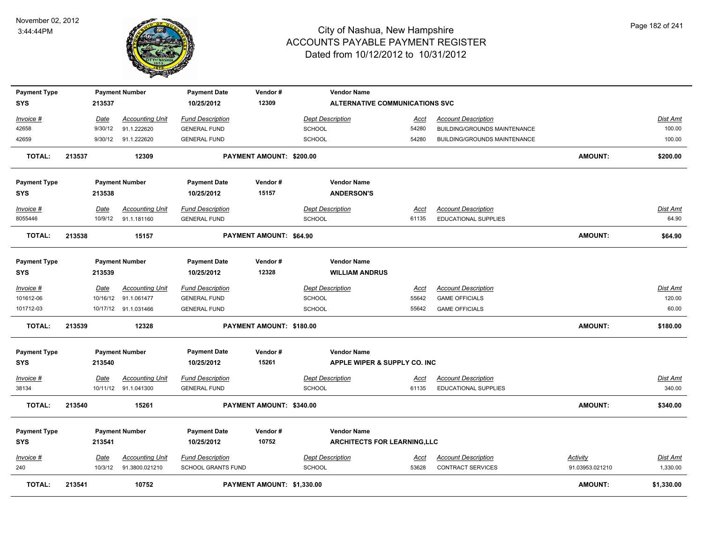

| <b>Payment Type</b>        |        |         | <b>Payment Number</b>  | <b>Payment Date</b>               | Vendor#                        | <b>Vendor Name</b>                          |             |                              |                 |                 |
|----------------------------|--------|---------|------------------------|-----------------------------------|--------------------------------|---------------------------------------------|-------------|------------------------------|-----------------|-----------------|
| <b>SYS</b>                 |        | 213537  |                        | 10/25/2012                        | 12309                          | <b>ALTERNATIVE COMMUNICATIONS SVC</b>       |             |                              |                 |                 |
| Invoice #                  |        | Date    | <b>Accounting Unit</b> | <b>Fund Description</b>           |                                | <b>Dept Description</b>                     | <u>Acct</u> | <b>Account Description</b>   |                 | <b>Dist Amt</b> |
| 42658                      |        | 9/30/12 | 91.1.222620            | <b>GENERAL FUND</b>               |                                | <b>SCHOOL</b>                               | 54280       | BUILDING/GROUNDS MAINTENANCE |                 | 100.00          |
| 42659                      |        | 9/30/12 | 91.1.222620            | <b>GENERAL FUND</b>               |                                | <b>SCHOOL</b>                               | 54280       | BUILDING/GROUNDS MAINTENANCE |                 | 100.00          |
| <b>TOTAL:</b>              | 213537 |         | 12309                  |                                   | PAYMENT AMOUNT: \$200.00       |                                             |             |                              | <b>AMOUNT:</b>  | \$200.00        |
| <b>Payment Type</b>        |        |         | <b>Payment Number</b>  | <b>Payment Date</b>               | Vendor#                        | <b>Vendor Name</b>                          |             |                              |                 |                 |
| SYS                        |        | 213538  |                        | 10/25/2012                        | 15157                          | <b>ANDERSON'S</b>                           |             |                              |                 |                 |
| Invoice #                  |        | Date    | <b>Accounting Unit</b> | <b>Fund Description</b>           |                                | <b>Dept Description</b>                     | Acct        | <b>Account Description</b>   |                 | <b>Dist Amt</b> |
| 8055446                    |        | 10/9/12 | 91.1.181160            | <b>GENERAL FUND</b>               |                                | <b>SCHOOL</b>                               | 61135       | EDUCATIONAL SUPPLIES         |                 | 64.90           |
| <b>TOTAL:</b>              | 213538 |         | 15157                  |                                   | <b>PAYMENT AMOUNT: \$64.90</b> |                                             |             |                              | <b>AMOUNT:</b>  | \$64.90         |
| <b>Payment Type</b><br>SYS |        | 213539  | <b>Payment Number</b>  | <b>Payment Date</b><br>10/25/2012 | Vendor#<br>12328               | <b>Vendor Name</b><br><b>WILLIAM ANDRUS</b> |             |                              |                 |                 |
| Invoice #                  |        | Date    | <b>Accounting Unit</b> | <b>Fund Description</b>           |                                | <b>Dept Description</b>                     | <u>Acct</u> | <b>Account Description</b>   |                 | Dist Amt        |
| 101612-06                  |        |         | 10/16/12 91.1.061477   | <b>GENERAL FUND</b>               |                                | <b>SCHOOL</b>                               | 55642       | <b>GAME OFFICIALS</b>        |                 | 120.00          |
| 101712-03                  |        |         | 10/17/12 91.1.031466   | <b>GENERAL FUND</b>               |                                | SCHOOL                                      | 55642       | <b>GAME OFFICIALS</b>        |                 | 60.00           |
| <b>TOTAL:</b>              | 213539 |         | 12328                  |                                   | PAYMENT AMOUNT: \$180.00       |                                             |             |                              | <b>AMOUNT:</b>  | \$180.00        |
| <b>Payment Type</b>        |        |         | <b>Payment Number</b>  | <b>Payment Date</b>               | Vendor#                        | <b>Vendor Name</b>                          |             |                              |                 |                 |
| SYS                        |        | 213540  |                        | 10/25/2012                        | 15261                          | APPLE WIPER & SUPPLY CO. INC                |             |                              |                 |                 |
| Invoice #                  |        | Date    | <b>Accounting Unit</b> | <b>Fund Description</b>           |                                | <b>Dept Description</b>                     | <u>Acct</u> | <b>Account Description</b>   |                 | <b>Dist Amt</b> |
| 38134                      |        |         | 10/11/12 91.1.041300   | <b>GENERAL FUND</b>               |                                | <b>SCHOOL</b>                               | 61135       | EDUCATIONAL SUPPLIES         |                 | 340.00          |
| <b>TOTAL:</b>              | 213540 |         | 15261                  |                                   | PAYMENT AMOUNT: \$340.00       |                                             |             |                              | <b>AMOUNT:</b>  | \$340.00        |
| <b>Payment Type</b>        |        |         | <b>Payment Number</b>  | <b>Payment Date</b>               | Vendor#                        | <b>Vendor Name</b>                          |             |                              |                 |                 |
| <b>SYS</b>                 |        | 213541  |                        | 10/25/2012                        | 10752                          | <b>ARCHITECTS FOR LEARNING, LLC</b>         |             |                              |                 |                 |
| Invoice #                  |        | Date    | <b>Accounting Unit</b> | <b>Fund Description</b>           |                                | <b>Dept Description</b>                     | <u>Acct</u> | <b>Account Description</b>   | <b>Activity</b> | Dist Amt        |
| 240                        |        | 10/3/12 | 91.3800.021210         | <b>SCHOOL GRANTS FUND</b>         |                                | <b>SCHOOL</b>                               | 53628       | <b>CONTRACT SERVICES</b>     | 91.03953.021210 | 1,330.00        |
| <b>TOTAL:</b>              | 213541 |         | 10752                  |                                   | PAYMENT AMOUNT: \$1,330.00     |                                             |             |                              | <b>AMOUNT:</b>  | \$1,330.00      |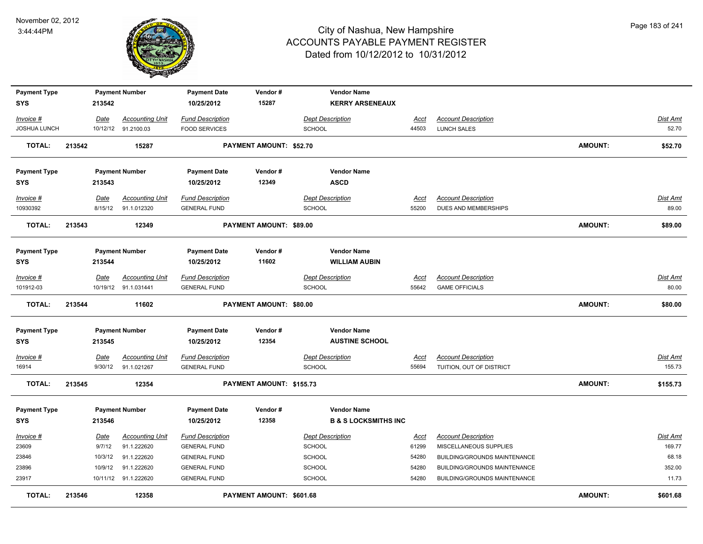

| <b>Payment Type</b>               |        |             | <b>Payment Number</b>         | <b>Payment Date</b>     | Vendor#                  | <b>Vendor Name</b>              |                |                              |                |                 |
|-----------------------------------|--------|-------------|-------------------------------|-------------------------|--------------------------|---------------------------------|----------------|------------------------------|----------------|-----------------|
| SYS                               |        | 213542      |                               | 10/25/2012              | 15287                    | <b>KERRY ARSENEAUX</b>          |                |                              |                |                 |
| Invoice #                         |        | Date        | <b>Accounting Unit</b>        | <b>Fund Description</b> |                          | <b>Dept Description</b>         | Acct           | <b>Account Description</b>   |                | Dist Amt        |
| <b>JOSHUA LUNCH</b>               |        |             | 10/12/12 91.2100.03           | <b>FOOD SERVICES</b>    |                          | <b>SCHOOL</b>                   | 44503          | LUNCH SALES                  |                | 52.70           |
|                                   |        |             |                               |                         |                          |                                 |                |                              |                |                 |
| <b>TOTAL:</b>                     | 213542 |             | 15287                         |                         | PAYMENT AMOUNT: \$52.70  |                                 |                |                              | <b>AMOUNT:</b> | \$52.70         |
|                                   |        |             |                               |                         |                          |                                 |                |                              |                |                 |
| <b>Payment Type</b>               |        |             | <b>Payment Number</b>         | <b>Payment Date</b>     | Vendor#                  | <b>Vendor Name</b>              |                |                              |                |                 |
| <b>SYS</b>                        |        | 213543      |                               | 10/25/2012              | 12349                    | <b>ASCD</b>                     |                |                              |                |                 |
| Invoice #                         |        | Date        | <b>Accounting Unit</b>        | <b>Fund Description</b> |                          | <b>Dept Description</b>         | Acct           | <b>Account Description</b>   |                | Dist Amt        |
| 10930392                          |        |             | 8/15/12 91.1.012320           | <b>GENERAL FUND</b>     |                          | <b>SCHOOL</b>                   | 55200          | DUES AND MEMBERSHIPS         |                | 89.00           |
| <b>TOTAL:</b>                     | 213543 |             | 12349                         |                         | PAYMENT AMOUNT: \$89.00  |                                 |                |                              | AMOUNT:        | \$89.00         |
|                                   |        |             |                               |                         |                          |                                 |                |                              |                |                 |
|                                   |        |             |                               |                         |                          |                                 |                |                              |                |                 |
| <b>Payment Type</b>               |        |             | <b>Payment Number</b>         | <b>Payment Date</b>     | Vendor#                  | <b>Vendor Name</b>              |                |                              |                |                 |
| <b>SYS</b>                        |        | 213544      |                               | 10/25/2012              | 11602                    | <b>WILLIAM AUBIN</b>            |                |                              |                |                 |
| <b>Invoice #</b>                  |        | Date        | <b>Accounting Unit</b>        | <b>Fund Description</b> |                          | <b>Dept Description</b>         | Acct           | <b>Account Description</b>   |                | Dist Amt        |
| 101912-03                         |        |             | 10/19/12 91.1.031441          | <b>GENERAL FUND</b>     |                          | <b>SCHOOL</b>                   | 55642          | <b>GAME OFFICIALS</b>        |                | 80.00           |
|                                   |        |             |                               |                         |                          |                                 |                |                              |                |                 |
| <b>TOTAL:</b>                     | 213544 |             | 11602                         |                         | PAYMENT AMOUNT: \$80.00  |                                 |                |                              | <b>AMOUNT:</b> | \$80.00         |
| <b>Payment Type</b>               |        |             | <b>Payment Number</b>         | <b>Payment Date</b>     | Vendor#                  | <b>Vendor Name</b>              |                |                              |                |                 |
| <b>SYS</b>                        |        | 213545      |                               | 10/25/2012              | 12354                    | <b>AUSTINE SCHOOL</b>           |                |                              |                |                 |
| $Invoice$ #                       |        | <b>Date</b> | <b>Accounting Unit</b>        | <b>Fund Description</b> |                          | <b>Dept Description</b>         | <b>Acct</b>    | <b>Account Description</b>   |                | <b>Dist Amt</b> |
| 16914                             |        | 9/30/12     | 91.1.021267                   | <b>GENERAL FUND</b>     |                          | <b>SCHOOL</b>                   | 55694          | TUITION, OUT OF DISTRICT     |                | 155.73          |
| <b>TOTAL:</b>                     | 213545 |             | 12354                         |                         | PAYMENT AMOUNT: \$155.73 |                                 |                |                              | AMOUNT:        | \$155.73        |
|                                   |        |             | <b>Payment Number</b>         | <b>Payment Date</b>     | Vendor#                  | <b>Vendor Name</b>              |                |                              |                |                 |
| <b>Payment Type</b><br><b>SYS</b> |        | 213546      |                               | 10/25/2012              | 12358                    | <b>B &amp; S LOCKSMITHS INC</b> |                |                              |                |                 |
|                                   |        |             |                               |                         |                          |                                 |                |                              |                |                 |
| Invoice #                         |        | Date        | <b>Accounting Unit</b>        | <b>Fund Description</b> |                          | <b>Dept Description</b>         | <u>Acct</u>    | <b>Account Description</b>   |                | <b>Dist Amt</b> |
| 23609                             |        | 9/7/12      | 91.1.222620                   | <b>GENERAL FUND</b>     |                          | SCHOOL                          | 61299          | MISCELLANEOUS SUPPLIES       |                | 169.77          |
| 23846                             |        | 10/3/12     | 91.1.222620                   | <b>GENERAL FUND</b>     |                          | SCHOOL                          | 54280          | BUILDING/GROUNDS MAINTENANCE |                | 68.18           |
| 23896<br>23917                    |        | 10/9/12     | 91.1.222620                   | <b>GENERAL FUND</b>     |                          | SCHOOL                          | 54280<br>54280 | BUILDING/GROUNDS MAINTENANCE |                | 352.00<br>11.73 |
| <b>TOTAL:</b>                     |        |             | 10/11/12 91.1.222620<br>12358 | <b>GENERAL FUND</b>     | PAYMENT AMOUNT: \$601.68 | <b>SCHOOL</b>                   |                | BUILDING/GROUNDS MAINTENANCE | AMOUNT:        | \$601.68        |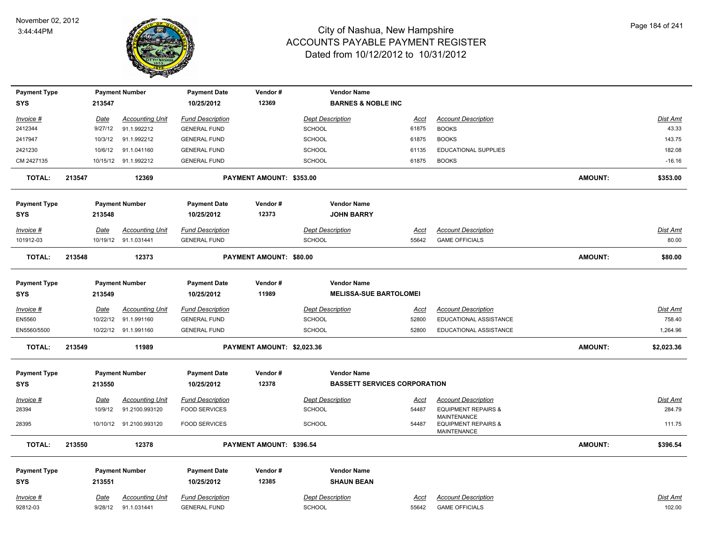

| <b>Payment Type</b> |        |             | <b>Payment Number</b>   | <b>Payment Date</b>     | Vendor#                    | <b>Vendor Name</b>                  |             |                                                      |                |            |
|---------------------|--------|-------------|-------------------------|-------------------------|----------------------------|-------------------------------------|-------------|------------------------------------------------------|----------------|------------|
| <b>SYS</b>          |        | 213547      |                         | 10/25/2012              | 12369                      | <b>BARNES &amp; NOBLE INC</b>       |             |                                                      |                |            |
| Invoice #           |        | <u>Date</u> | <b>Accounting Unit</b>  | <b>Fund Description</b> |                            | <b>Dept Description</b>             | <u>Acct</u> | <b>Account Description</b>                           |                | Dist Amt   |
| 2412344             |        | 9/27/12     | 91.1.992212             | <b>GENERAL FUND</b>     |                            | <b>SCHOOL</b>                       | 61875       | <b>BOOKS</b>                                         |                | 43.33      |
| 2417947             |        | 10/3/12     | 91.1.992212             | <b>GENERAL FUND</b>     |                            | <b>SCHOOL</b>                       | 61875       | <b>BOOKS</b>                                         |                | 143.75     |
| 2421230             |        | 10/6/12     | 91.1.041160             | <b>GENERAL FUND</b>     |                            | SCHOOL                              | 61135       | EDUCATIONAL SUPPLIES                                 |                | 182.08     |
| CM 2427135          |        |             | 10/15/12 91.1.992212    | <b>GENERAL FUND</b>     |                            | SCHOOL                              | 61875       | <b>BOOKS</b>                                         |                | $-16.16$   |
| <b>TOTAL:</b>       | 213547 |             | 12369                   |                         | PAYMENT AMOUNT: \$353.00   |                                     |             |                                                      | <b>AMOUNT:</b> | \$353.00   |
| <b>Payment Type</b> |        |             | <b>Payment Number</b>   | <b>Payment Date</b>     | Vendor#                    | <b>Vendor Name</b>                  |             |                                                      |                |            |
| <b>SYS</b>          |        | 213548      |                         | 10/25/2012              | 12373                      | <b>JOHN BARRY</b>                   |             |                                                      |                |            |
| Invoice #           |        | <b>Date</b> | <b>Accounting Unit</b>  | <b>Fund Description</b> |                            | Dept Description                    | <u>Acct</u> | <b>Account Description</b>                           |                | Dist Amt   |
| 101912-03           |        |             | 10/19/12 91.1.031441    | <b>GENERAL FUND</b>     |                            | <b>SCHOOL</b>                       | 55642       | <b>GAME OFFICIALS</b>                                |                | 80.00      |
| <b>TOTAL:</b>       | 213548 |             | 12373                   |                         | PAYMENT AMOUNT: \$80.00    |                                     |             |                                                      | <b>AMOUNT:</b> | \$80.00    |
| <b>Payment Type</b> |        |             | <b>Payment Number</b>   | <b>Payment Date</b>     | Vendor#                    | <b>Vendor Name</b>                  |             |                                                      |                |            |
| SYS                 |        | 213549      |                         | 10/25/2012              | 11989                      | <b>MELISSA-SUE BARTOLOMEI</b>       |             |                                                      |                |            |
| Invoice #           |        | <b>Date</b> | <b>Accounting Unit</b>  | <b>Fund Description</b> |                            | <b>Dept Description</b>             | <u>Acct</u> | <b>Account Description</b>                           |                | Dist Amt   |
| EN5560              |        | 10/22/12    | 91.1.991160             | <b>GENERAL FUND</b>     |                            | SCHOOL                              | 52800       | EDUCATIONAL ASSISTANCE                               |                | 758.40     |
| EN5560/5500         |        |             | 10/22/12 91.1.991160    | <b>GENERAL FUND</b>     |                            | <b>SCHOOL</b>                       | 52800       | EDUCATIONAL ASSISTANCE                               |                | 1,264.96   |
| <b>TOTAL:</b>       | 213549 |             | 11989                   |                         | PAYMENT AMOUNT: \$2,023.36 |                                     |             |                                                      | <b>AMOUNT:</b> | \$2,023.36 |
| <b>Payment Type</b> |        |             | <b>Payment Number</b>   | <b>Payment Date</b>     | Vendor#                    | <b>Vendor Name</b>                  |             |                                                      |                |            |
| <b>SYS</b>          |        | 213550      |                         | 10/25/2012              | 12378                      | <b>BASSETT SERVICES CORPORATION</b> |             |                                                      |                |            |
| <u>Invoice #</u>    |        | <b>Date</b> | <b>Accounting Unit</b>  | <b>Fund Description</b> |                            | <b>Dept Description</b>             | <u>Acct</u> | <b>Account Description</b>                           |                | Dist Amt   |
| 28394               |        | 10/9/12     | 91.2100.993120          | <b>FOOD SERVICES</b>    |                            | <b>SCHOOL</b>                       | 54487       | <b>EQUIPMENT REPAIRS &amp;</b><br><b>MAINTENANCE</b> |                | 284.79     |
| 28395               |        |             | 10/10/12 91.2100.993120 | <b>FOOD SERVICES</b>    |                            | <b>SCHOOL</b>                       | 54487       | <b>EQUIPMENT REPAIRS &amp;</b><br><b>MAINTENANCE</b> |                | 111.75     |
| <b>TOTAL:</b>       | 213550 |             | 12378                   |                         | PAYMENT AMOUNT: \$396.54   |                                     |             |                                                      | <b>AMOUNT:</b> | \$396.54   |
| <b>Payment Type</b> |        |             | <b>Payment Number</b>   | <b>Payment Date</b>     | Vendor#                    | <b>Vendor Name</b>                  |             |                                                      |                |            |
| <b>SYS</b>          |        | 213551      |                         | 10/25/2012              | 12385                      | <b>SHAUN BEAN</b>                   |             |                                                      |                |            |
| Invoice #           |        | <b>Date</b> | <b>Accounting Unit</b>  | <b>Fund Description</b> |                            | <b>Dept Description</b>             | <u>Acct</u> | <b>Account Description</b>                           |                | Dist Amt   |
| 92812-03            |        | 9/28/12     | 91.1.031441             | <b>GENERAL FUND</b>     |                            | <b>SCHOOL</b>                       | 55642       | <b>GAME OFFICIALS</b>                                |                | 102.00     |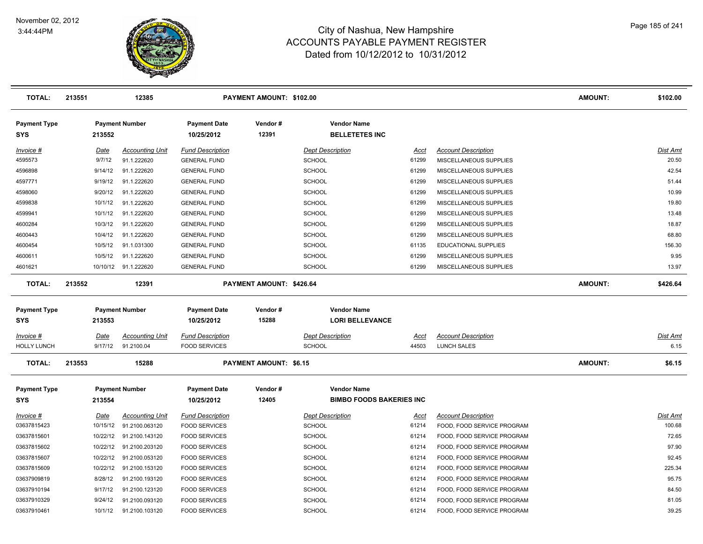

| <b>TOTAL:</b>                     | 213551      | 12385                   |                                   | PAYMENT AMOUNT: \$102.00      |                                             |             |                            | <b>AMOUNT:</b> | \$102.00        |
|-----------------------------------|-------------|-------------------------|-----------------------------------|-------------------------------|---------------------------------------------|-------------|----------------------------|----------------|-----------------|
| <b>Payment Type</b><br><b>SYS</b> | 213552      | <b>Payment Number</b>   | <b>Payment Date</b><br>10/25/2012 | Vendor#<br>12391              | <b>Vendor Name</b><br><b>BELLETETES INC</b> |             |                            |                |                 |
| Invoice #                         | <u>Date</u> | <b>Accounting Unit</b>  | <b>Fund Description</b>           |                               | <b>Dept Description</b>                     | Acct        | <b>Account Description</b> |                | Dist Amt        |
| 4595573                           | 9/7/12      | 91.1.222620             | <b>GENERAL FUND</b>               |                               | <b>SCHOOL</b>                               | 61299       | MISCELLANEOUS SUPPLIES     |                | 20.50           |
| 4596898                           | 9/14/12     | 91.1.222620             | <b>GENERAL FUND</b>               |                               | <b>SCHOOL</b>                               | 61299       | MISCELLANEOUS SUPPLIES     |                | 42.54           |
| 4597771                           | 9/19/12     | 91.1.222620             | <b>GENERAL FUND</b>               |                               | <b>SCHOOL</b>                               | 61299       | MISCELLANEOUS SUPPLIES     |                | 51.44           |
| 4598060                           | 9/20/12     | 91.1.222620             | <b>GENERAL FUND</b>               |                               | <b>SCHOOL</b>                               | 61299       | MISCELLANEOUS SUPPLIES     |                | 10.99           |
| 4599838                           | 10/1/12     | 91.1.222620             | <b>GENERAL FUND</b>               |                               | <b>SCHOOL</b>                               | 61299       | MISCELLANEOUS SUPPLIES     |                | 19.80           |
| 4599941                           | 10/1/12     | 91.1.222620             | <b>GENERAL FUND</b>               |                               | <b>SCHOOL</b>                               | 61299       | MISCELLANEOUS SUPPLIES     |                | 13.48           |
| 4600284                           | 10/3/12     | 91.1.222620             | <b>GENERAL FUND</b>               |                               | <b>SCHOOL</b>                               | 61299       | MISCELLANEOUS SUPPLIES     |                | 18.87           |
| 4600443                           | 10/4/12     | 91.1.222620             | <b>GENERAL FUND</b>               |                               | <b>SCHOOL</b>                               | 61299       | MISCELLANEOUS SUPPLIES     |                | 68.80           |
| 4600454                           | 10/5/12     | 91.1.031300             | <b>GENERAL FUND</b>               |                               | <b>SCHOOL</b>                               | 61135       | EDUCATIONAL SUPPLIES       |                | 156.30          |
| 4600611                           | 10/5/12     | 91.1.222620             | <b>GENERAL FUND</b>               |                               | SCHOOL                                      | 61299       | MISCELLANEOUS SUPPLIES     |                | 9.95            |
| 4601621                           |             | 10/10/12 91.1.222620    | <b>GENERAL FUND</b>               |                               | <b>SCHOOL</b>                               | 61299       | MISCELLANEOUS SUPPLIES     |                | 13.97           |
| <b>TOTAL:</b>                     | 213552      | 12391                   |                                   | PAYMENT AMOUNT: \$426.64      |                                             |             |                            | <b>AMOUNT:</b> | \$426.64        |
| <b>Payment Type</b>               |             | <b>Payment Number</b>   | <b>Payment Date</b>               | Vendor#                       | <b>Vendor Name</b>                          |             |                            |                |                 |
| <b>SYS</b>                        | 213553      |                         | 10/25/2012                        | 15288                         | <b>LORI BELLEVANCE</b>                      |             |                            |                |                 |
| Invoice #                         | <u>Date</u> | <b>Accounting Unit</b>  | <b>Fund Description</b>           |                               | <b>Dept Description</b>                     | Acct        | <b>Account Description</b> |                | <u>Dist Amt</u> |
| <b>HOLLY LUNCH</b>                | 9/17/12     | 91.2100.04              | <b>FOOD SERVICES</b>              |                               | <b>SCHOOL</b>                               | 44503       | <b>LUNCH SALES</b>         |                | 6.15            |
| <b>TOTAL:</b>                     | 213553      | 15288                   |                                   | <b>PAYMENT AMOUNT: \$6.15</b> |                                             |             |                            | <b>AMOUNT:</b> | \$6.15          |
| <b>Payment Type</b>               |             | <b>Payment Number</b>   | <b>Payment Date</b>               | Vendor#                       | <b>Vendor Name</b>                          |             |                            |                |                 |
| <b>SYS</b>                        | 213554      |                         | 10/25/2012                        | 12405                         | <b>BIMBO FOODS BAKERIES INC</b>             |             |                            |                |                 |
| $Invoice$ #                       | <b>Date</b> | <b>Accounting Unit</b>  | <b>Fund Description</b>           |                               | <b>Dept Description</b>                     | <u>Acct</u> | <b>Account Description</b> |                | Dist Amt        |
| 03637815423                       | 10/15/12    | 91.2100.063120          | <b>FOOD SERVICES</b>              |                               | <b>SCHOOL</b>                               | 61214       | FOOD, FOOD SERVICE PROGRAM |                | 100.68          |
| 03637815601                       | 10/22/12    | 91.2100.143120          | <b>FOOD SERVICES</b>              |                               | <b>SCHOOL</b>                               | 61214       | FOOD, FOOD SERVICE PROGRAM |                | 72.65           |
| 03637815602                       | 10/22/12    | 91.2100.203120          | <b>FOOD SERVICES</b>              |                               | <b>SCHOOL</b>                               | 61214       | FOOD, FOOD SERVICE PROGRAM |                | 97.90           |
| 03637815607                       |             | 10/22/12 91.2100.053120 | <b>FOOD SERVICES</b>              |                               | <b>SCHOOL</b>                               | 61214       | FOOD, FOOD SERVICE PROGRAM |                | 92.45           |
| 03637815609                       |             | 10/22/12 91.2100.153120 | <b>FOOD SERVICES</b>              |                               | <b>SCHOOL</b>                               | 61214       | FOOD, FOOD SERVICE PROGRAM |                | 225.34          |
| 03637909819                       | 8/28/12     | 91.2100.193120          | <b>FOOD SERVICES</b>              |                               | <b>SCHOOL</b>                               | 61214       | FOOD, FOOD SERVICE PROGRAM |                | 95.75           |
| 03637910194                       | 9/17/12     | 91.2100.123120          | <b>FOOD SERVICES</b>              |                               | <b>SCHOOL</b>                               | 61214       | FOOD, FOOD SERVICE PROGRAM |                | 84.50           |
| 03637910329                       | 9/24/12     | 91.2100.093120          | <b>FOOD SERVICES</b>              |                               | <b>SCHOOL</b>                               | 61214       | FOOD, FOOD SERVICE PROGRAM |                | 81.05           |
| 03637910461                       | 10/1/12     | 91.2100.103120          | <b>FOOD SERVICES</b>              |                               | SCHOOL                                      | 61214       | FOOD, FOOD SERVICE PROGRAM |                | 39.25           |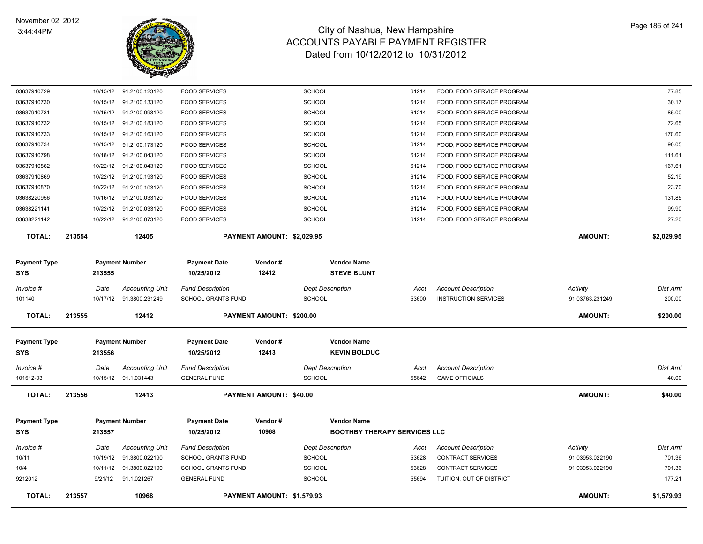

| <b>TOTAL:</b>        | 213557                  | 10968                                    |                                                      | PAYMENT AMOUNT: \$1,579.93 |                                          |                                     |                      |                                                           | <b>AMOUNT:</b>                     | \$1,579.93                |
|----------------------|-------------------------|------------------------------------------|------------------------------------------------------|----------------------------|------------------------------------------|-------------------------------------|----------------------|-----------------------------------------------------------|------------------------------------|---------------------------|
|                      |                         |                                          |                                                      |                            |                                          |                                     |                      |                                                           |                                    |                           |
| 10/4<br>9212012      | 10/11/12                | 9/21/12 91.1.021267                      | <b>GENERAL FUND</b>                                  |                            | <b>SCHOOL</b>                            |                                     | 53628<br>55694       | TUITION, OUT OF DISTRICT                                  |                                    | 177.21                    |
|                      |                         | 91.3800.022190                           | <b>SCHOOL GRANTS FUND</b>                            |                            | <b>SCHOOL</b>                            |                                     |                      | <b>CONTRACT SERVICES</b>                                  | 91.03953.022190                    | 701.36                    |
| $Invoice$ #<br>10/11 | <b>Date</b><br>10/19/12 | <b>Accounting Unit</b><br>91.3800.022190 | <b>Fund Description</b><br><b>SCHOOL GRANTS FUND</b> |                            | <b>Dept Description</b><br><b>SCHOOL</b> |                                     | <u>Acct</u><br>53628 | <b>Account Description</b><br><b>CONTRACT SERVICES</b>    | <u>Activity</u><br>91.03953.022190 | <b>Dist Amt</b><br>701.36 |
|                      |                         |                                          |                                                      |                            |                                          |                                     |                      |                                                           |                                    |                           |
| <b>SYS</b>           | 213557                  |                                          | 10/25/2012                                           | 10968                      |                                          | <b>BOOTHBY THERAPY SERVICES LLC</b> |                      |                                                           |                                    |                           |
| <b>Payment Type</b>  |                         | <b>Payment Number</b>                    | <b>Payment Date</b>                                  | Vendor#                    |                                          | <b>Vendor Name</b>                  |                      |                                                           |                                    |                           |
| <b>TOTAL:</b>        | 213556                  | 12413                                    |                                                      | PAYMENT AMOUNT: \$40.00    |                                          |                                     |                      |                                                           | <b>AMOUNT:</b>                     | \$40.00                   |
|                      |                         |                                          |                                                      |                            |                                          |                                     |                      |                                                           |                                    |                           |
| 101512-03            |                         | 10/15/12 91.1.031443                     | <b>GENERAL FUND</b>                                  |                            | <b>SCHOOL</b>                            |                                     | 55642                | <b>GAME OFFICIALS</b>                                     |                                    | 40.00                     |
| <u>Invoice #</u>     | Date                    | <b>Accounting Unit</b>                   | <b>Fund Description</b>                              |                            | <b>Dept Description</b>                  |                                     | Acct                 | <b>Account Description</b>                                |                                    | Dist Amt                  |
| <b>SYS</b>           | 213556                  |                                          | 10/25/2012                                           | 12413                      |                                          | <b>KEVIN BOLDUC</b>                 |                      |                                                           |                                    |                           |
| <b>Payment Type</b>  |                         | <b>Payment Number</b>                    | <b>Payment Date</b>                                  | Vendor#                    |                                          | <b>Vendor Name</b>                  |                      |                                                           |                                    |                           |
| TOTAL:               | 213555                  | 12412                                    |                                                      | PAYMENT AMOUNT: \$200.00   |                                          |                                     |                      |                                                           | AMOUNT:                            | \$200.00                  |
|                      |                         |                                          |                                                      |                            |                                          |                                     |                      |                                                           |                                    |                           |
| Invoice #<br>101140  | Date<br>10/17/12        | <b>Accounting Unit</b><br>91.3800.231249 | <b>Fund Description</b><br>SCHOOL GRANTS FUND        |                            | <b>Dept Description</b><br><b>SCHOOL</b> |                                     | Acct<br>53600        | <b>Account Description</b><br><b>INSTRUCTION SERVICES</b> | Activity<br>91.03763.231249        | <u>Dist Amt</u><br>200.00 |
|                      |                         |                                          |                                                      |                            |                                          |                                     |                      |                                                           |                                    |                           |
| <b>SYS</b>           | 213555                  |                                          | 10/25/2012                                           | 12412                      |                                          | <b>STEVE BLUNT</b>                  |                      |                                                           |                                    |                           |
| <b>Payment Type</b>  |                         | <b>Payment Number</b>                    | <b>Payment Date</b>                                  | Vendor#                    |                                          | <b>Vendor Name</b>                  |                      |                                                           |                                    |                           |
| <b>TOTAL:</b>        | 213554                  | 12405                                    |                                                      | PAYMENT AMOUNT: \$2,029.95 |                                          |                                     |                      |                                                           | <b>AMOUNT:</b>                     | \$2,029.95                |
| 03638221142          | 10/22/12                | 91.2100.073120                           | <b>FOOD SERVICES</b>                                 |                            | <b>SCHOOL</b>                            |                                     | 61214                | FOOD, FOOD SERVICE PROGRAM                                |                                    | 27.20                     |
| 03638221141          | 10/22/12                | 91.2100.033120                           | <b>FOOD SERVICES</b>                                 |                            | <b>SCHOOL</b>                            |                                     | 61214                | FOOD, FOOD SERVICE PROGRAM                                |                                    | 99.90                     |
| 03638220956          |                         | 10/16/12 91.2100.033120                  | <b>FOOD SERVICES</b>                                 |                            | <b>SCHOOL</b>                            |                                     | 61214                | FOOD, FOOD SERVICE PROGRAM                                |                                    | 131.85                    |
| 03637910870          | 10/22/12                | 91.2100.103120                           | <b>FOOD SERVICES</b>                                 |                            | <b>SCHOOL</b>                            |                                     | 61214                | FOOD, FOOD SERVICE PROGRAM                                |                                    | 23.70                     |
| 03637910869          | 10/22/12                | 91.2100.193120                           | <b>FOOD SERVICES</b>                                 |                            | <b>SCHOOL</b>                            |                                     | 61214                | FOOD, FOOD SERVICE PROGRAM                                |                                    | 52.19                     |
| 03637910862          | 10/22/12                | 91.2100.043120                           | <b>FOOD SERVICES</b>                                 |                            | <b>SCHOOL</b>                            |                                     | 61214                | FOOD, FOOD SERVICE PROGRAM                                |                                    | 167.61                    |
| 03637910798          | 10/18/12                | 91.2100.043120                           | <b>FOOD SERVICES</b>                                 |                            | <b>SCHOOL</b>                            |                                     | 61214                | FOOD, FOOD SERVICE PROGRAM                                |                                    | 111.61                    |
| 03637910734          | 10/15/12                | 91.2100.173120                           | <b>FOOD SERVICES</b>                                 |                            | <b>SCHOOL</b>                            |                                     | 61214                | FOOD, FOOD SERVICE PROGRAM                                |                                    | 90.05                     |
| 03637910733          | 10/15/12                | 91.2100.163120                           | <b>FOOD SERVICES</b>                                 |                            | <b>SCHOOL</b>                            |                                     | 61214                | FOOD, FOOD SERVICE PROGRAM                                |                                    | 170.60                    |
| 03637910732          | 10/15/12                | 91.2100.183120                           | <b>FOOD SERVICES</b>                                 |                            | <b>SCHOOL</b>                            |                                     | 61214                | FOOD, FOOD SERVICE PROGRAM                                |                                    | 72.65                     |
| 03637910731          | 10/15/12                | 91.2100.093120                           | <b>FOOD SERVICES</b>                                 |                            | <b>SCHOOL</b>                            |                                     | 61214                | FOOD, FOOD SERVICE PROGRAM                                |                                    | 85.00                     |
| 03637910730          |                         | 10/15/12  91.2100.133120                 | <b>FOOD SERVICES</b>                                 |                            | <b>SCHOOL</b>                            |                                     | 61214                | FOOD, FOOD SERVICE PROGRAM                                |                                    | 30.17                     |
| 03637910729          | 10/15/12                | 91.2100.123120                           | <b>FOOD SERVICES</b>                                 |                            | <b>SCHOOL</b>                            |                                     | 61214                | FOOD, FOOD SERVICE PROGRAM                                |                                    | 77.85                     |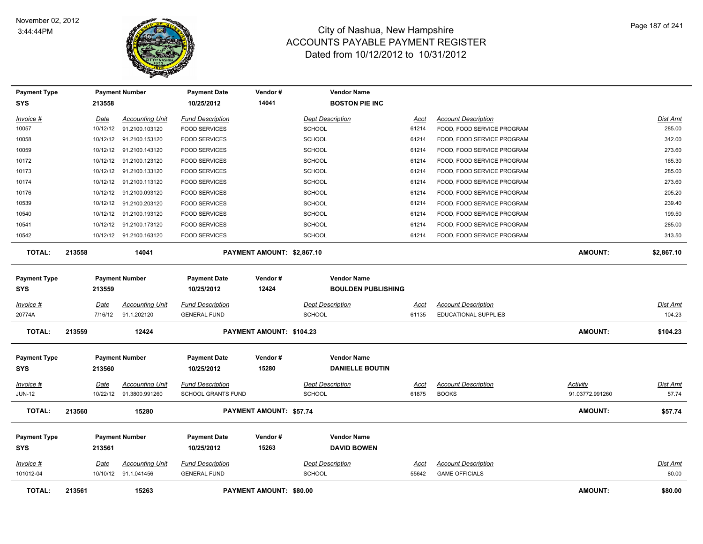

| <b>Payment Type</b> |        |             | <b>Payment Number</b>   | <b>Payment Date</b>       | Vendor #                       | <b>Vendor Name</b>        |             |                            |                 |                 |
|---------------------|--------|-------------|-------------------------|---------------------------|--------------------------------|---------------------------|-------------|----------------------------|-----------------|-----------------|
| <b>SYS</b>          |        | 213558      |                         | 10/25/2012                | 14041                          | <b>BOSTON PIE INC</b>     |             |                            |                 |                 |
| $Invoice$ #         |        | Date        | <b>Accounting Unit</b>  | <b>Fund Description</b>   |                                | <b>Dept Description</b>   | <b>Acct</b> | <b>Account Description</b> |                 | Dist Amt        |
| 10057               |        | 10/12/12    | 91.2100.103120          | <b>FOOD SERVICES</b>      |                                | <b>SCHOOL</b>             | 61214       | FOOD, FOOD SERVICE PROGRAM |                 | 285.00          |
| 10058               |        | 10/12/12    | 91.2100.153120          | <b>FOOD SERVICES</b>      |                                | <b>SCHOOL</b>             | 61214       | FOOD, FOOD SERVICE PROGRAM |                 | 342.00          |
| 10059               |        | 10/12/12    | 91.2100.143120          | <b>FOOD SERVICES</b>      |                                | SCHOOL                    | 61214       | FOOD, FOOD SERVICE PROGRAM |                 | 273.60          |
| 10172               |        |             | 10/12/12 91.2100.123120 | <b>FOOD SERVICES</b>      |                                | <b>SCHOOL</b>             | 61214       | FOOD, FOOD SERVICE PROGRAM |                 | 165.30          |
| 10173               |        | 10/12/12    | 91.2100.133120          | <b>FOOD SERVICES</b>      |                                | <b>SCHOOL</b>             | 61214       | FOOD, FOOD SERVICE PROGRAM |                 | 285.00          |
| 10174               |        | 10/12/12    | 91.2100.113120          | <b>FOOD SERVICES</b>      |                                | SCHOOL                    | 61214       | FOOD, FOOD SERVICE PROGRAM |                 | 273.60          |
| 10176               |        | 10/12/12    | 91.2100.093120          | <b>FOOD SERVICES</b>      |                                | SCHOOL                    | 61214       | FOOD, FOOD SERVICE PROGRAM |                 | 205.20          |
| 10539               |        | 10/12/12    | 91.2100.203120          | <b>FOOD SERVICES</b>      |                                | SCHOOL                    | 61214       | FOOD, FOOD SERVICE PROGRAM |                 | 239.40          |
| 10540               |        | 10/12/12    | 91.2100.193120          | <b>FOOD SERVICES</b>      |                                | SCHOOL                    | 61214       | FOOD, FOOD SERVICE PROGRAM |                 | 199.50          |
| 10541               |        | 10/12/12    | 91.2100.173120          | <b>FOOD SERVICES</b>      |                                | <b>SCHOOL</b>             | 61214       | FOOD, FOOD SERVICE PROGRAM |                 | 285.00          |
| 10542               |        |             | 10/12/12 91.2100.163120 | <b>FOOD SERVICES</b>      |                                | <b>SCHOOL</b>             | 61214       | FOOD, FOOD SERVICE PROGRAM |                 | 313.50          |
| <b>TOTAL:</b>       | 213558 |             | 14041                   |                           | PAYMENT AMOUNT: \$2,867.10     |                           |             |                            | <b>AMOUNT:</b>  | \$2,867.10      |
| <b>Payment Type</b> |        |             | <b>Payment Number</b>   | <b>Payment Date</b>       | Vendor#                        | <b>Vendor Name</b>        |             |                            |                 |                 |
| <b>SYS</b>          |        | 213559      |                         | 10/25/2012                | 12424                          | <b>BOULDEN PUBLISHING</b> |             |                            |                 |                 |
| Invoice #           |        | Date        | <b>Accounting Unit</b>  | <b>Fund Description</b>   |                                | <b>Dept Description</b>   | Acct        | <b>Account Description</b> |                 | Dist Amt        |
| 20774A              |        | 7/16/12     | 91.1.202120             | <b>GENERAL FUND</b>       |                                | <b>SCHOOL</b>             | 61135       | EDUCATIONAL SUPPLIES       |                 | 104.23          |
|                     |        |             |                         |                           |                                |                           |             |                            |                 |                 |
| <b>TOTAL:</b>       | 213559 |             | 12424                   |                           | PAYMENT AMOUNT: \$104.23       |                           |             |                            | <b>AMOUNT:</b>  | \$104.23        |
| <b>Payment Type</b> |        |             | <b>Payment Number</b>   | <b>Payment Date</b>       | Vendor#                        | <b>Vendor Name</b>        |             |                            |                 |                 |
| <b>SYS</b>          |        | 213560      |                         | 10/25/2012                | 15280                          | <b>DANIELLE BOUTIN</b>    |             |                            |                 |                 |
| Invoice #           |        | Date        | <b>Accounting Unit</b>  | <b>Fund Description</b>   |                                | <b>Dept Description</b>   | Acct        | <b>Account Description</b> | Activity        | Dist Amt        |
| <b>JUN-12</b>       |        | 10/22/12    | 91.3800.991260          | <b>SCHOOL GRANTS FUND</b> |                                | <b>SCHOOL</b>             | 61875       | <b>BOOKS</b>               | 91.03772.991260 | 57.74           |
| <b>TOTAL:</b>       | 213560 |             | 15280                   |                           | <b>PAYMENT AMOUNT: \$57.74</b> |                           |             |                            | <b>AMOUNT:</b>  | \$57.74         |
| <b>Payment Type</b> |        |             | <b>Payment Number</b>   | <b>Payment Date</b>       | Vendor#                        | <b>Vendor Name</b>        |             |                            |                 |                 |
| <b>SYS</b>          |        | 213561      |                         | 10/25/2012                | 15263                          | <b>DAVID BOWEN</b>        |             |                            |                 |                 |
| Invoice #           |        | <u>Date</u> | <u>Accounting Unit</u>  | <b>Fund Description</b>   |                                | <b>Dept Description</b>   | <u>Acct</u> | <b>Account Description</b> |                 | <u>Dist Amt</u> |
| 101012-04           |        |             | 10/10/12 91.1.041456    | <b>GENERAL FUND</b>       |                                | <b>SCHOOL</b>             | 55642       | <b>GAME OFFICIALS</b>      |                 | 80.00           |
| <b>TOTAL:</b>       | 213561 |             | 15263                   |                           | <b>PAYMENT AMOUNT: \$80.00</b> |                           |             |                            | <b>AMOUNT:</b>  | \$80.00         |
|                     |        |             |                         |                           |                                |                           |             |                            |                 |                 |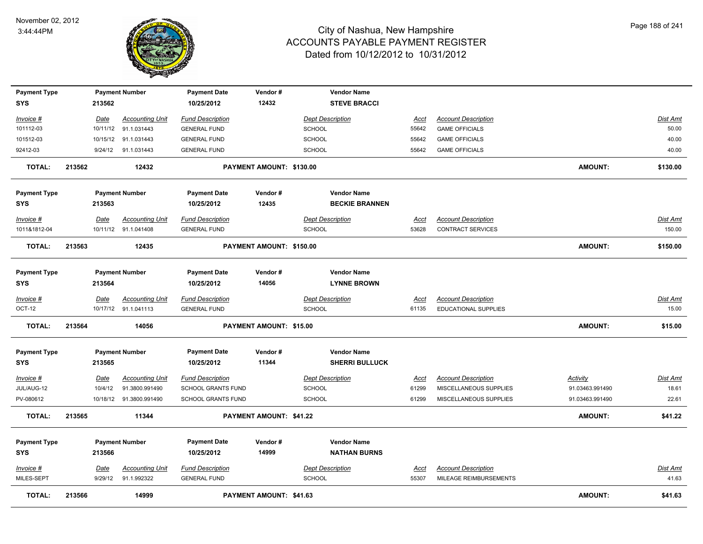

| <b>Payment Type</b><br><b>SYS</b> |        | 213562      | <b>Payment Number</b>    | <b>Payment Date</b><br>10/25/2012 | Vendor#<br>12432               | <b>Vendor Name</b><br><b>STEVE BRACCI</b>   |             |                            |                 |                 |
|-----------------------------------|--------|-------------|--------------------------|-----------------------------------|--------------------------------|---------------------------------------------|-------------|----------------------------|-----------------|-----------------|
| Invoice #                         |        | <u>Date</u> | <b>Accounting Unit</b>   | <b>Fund Description</b>           |                                | <b>Dept Description</b>                     | <u>Acct</u> | <b>Account Description</b> |                 | Dist Amt        |
| 101112-03                         |        |             | 10/11/12 91.1.031443     | <b>GENERAL FUND</b>               |                                | <b>SCHOOL</b>                               | 55642       | <b>GAME OFFICIALS</b>      |                 | 50.00           |
| 101512-03                         |        |             | 10/15/12 91.1.031443     | <b>GENERAL FUND</b>               |                                | <b>SCHOOL</b>                               | 55642       | <b>GAME OFFICIALS</b>      |                 | 40.00           |
| 92412-03                          |        |             | 9/24/12 91.1.031443      | <b>GENERAL FUND</b>               |                                | SCHOOL                                      | 55642       | <b>GAME OFFICIALS</b>      |                 | 40.00           |
| <b>TOTAL:</b>                     | 213562 |             | 12432                    |                                   | PAYMENT AMOUNT: \$130.00       |                                             |             |                            | AMOUNT:         | \$130.00        |
| <b>Payment Type</b>               |        |             | <b>Payment Number</b>    | <b>Payment Date</b>               | Vendor#                        | <b>Vendor Name</b>                          |             |                            |                 |                 |
| SYS                               |        | 213563      |                          | 10/25/2012                        | 12435                          | <b>BECKIE BRANNEN</b>                       |             |                            |                 |                 |
| Invoice #                         |        | Date        | <b>Accounting Unit</b>   | <b>Fund Description</b>           |                                | <b>Dept Description</b>                     | Acct        | <b>Account Description</b> |                 | <b>Dist Amt</b> |
| 1011&1812-04                      |        |             | 10/11/12 91.1.041408     | <b>GENERAL FUND</b>               |                                | <b>SCHOOL</b>                               | 53628       | CONTRACT SERVICES          |                 | 150.00          |
| <b>TOTAL:</b>                     | 213563 |             | 12435                    |                                   | PAYMENT AMOUNT: \$150.00       |                                             |             |                            | AMOUNT:         | \$150.00        |
| <b>Payment Type</b>               |        |             | <b>Payment Number</b>    | <b>Payment Date</b>               | Vendor#                        | <b>Vendor Name</b>                          |             |                            |                 |                 |
| <b>SYS</b>                        |        | 213564      |                          | 10/25/2012                        | 14056                          | <b>LYNNE BROWN</b>                          |             |                            |                 |                 |
| <u>Invoice #</u>                  |        | Date        | <b>Accounting Unit</b>   | <b>Fund Description</b>           |                                | <b>Dept Description</b>                     | Acct        | <b>Account Description</b> |                 | Dist Amt        |
| <b>OCT-12</b>                     |        |             | 10/17/12 91.1.041113     | <b>GENERAL FUND</b>               |                                | <b>SCHOOL</b>                               | 61135       | EDUCATIONAL SUPPLIES       |                 | 15.00           |
| <b>TOTAL:</b>                     | 213564 |             | 14056                    |                                   | PAYMENT AMOUNT: \$15.00        |                                             |             |                            | <b>AMOUNT:</b>  | \$15.00         |
| <b>Payment Type</b><br>SYS        |        | 213565      | <b>Payment Number</b>    | <b>Payment Date</b><br>10/25/2012 | Vendor#<br>11344               | <b>Vendor Name</b><br><b>SHERRI BULLUCK</b> |             |                            |                 |                 |
| Invoice #                         |        | <b>Date</b> | <b>Accounting Unit</b>   | <b>Fund Description</b>           |                                | <b>Dept Description</b>                     | <u>Acct</u> | <b>Account Description</b> | <b>Activity</b> | <b>Dist Amt</b> |
| JUL/AUG-12                        |        | 10/4/12     | 91.3800.991490           | SCHOOL GRANTS FUND                |                                | <b>SCHOOL</b>                               | 61299       | MISCELLANEOUS SUPPLIES     | 91.03463.991490 | 18.61           |
| PV-080612                         |        |             | 10/18/12  91.3800.991490 | SCHOOL GRANTS FUND                |                                | <b>SCHOOL</b>                               | 61299       | MISCELLANEOUS SUPPLIES     | 91.03463.991490 | 22.61           |
| <b>TOTAL:</b>                     | 213565 |             | 11344                    |                                   | PAYMENT AMOUNT: \$41.22        |                                             |             |                            | <b>AMOUNT:</b>  | \$41.22         |
| <b>Payment Type</b>               |        |             | <b>Payment Number</b>    | <b>Payment Date</b>               | Vendor#                        | <b>Vendor Name</b>                          |             |                            |                 |                 |
| <b>SYS</b>                        |        | 213566      |                          | 10/25/2012                        | 14999                          | <b>NATHAN BURNS</b>                         |             |                            |                 |                 |
| Invoice #                         |        | Date        | <b>Accounting Unit</b>   | <b>Fund Description</b>           |                                | <b>Dept Description</b>                     | Acct        | <b>Account Description</b> |                 | Dist Amt        |
| MILES-SEPT                        |        | 9/29/12     | 91.1.992322              | <b>GENERAL FUND</b>               |                                | <b>SCHOOL</b>                               | 55307       | MILEAGE REIMBURSEMENTS     |                 | 41.63           |
| <b>TOTAL:</b>                     | 213566 |             | 14999                    |                                   | <b>PAYMENT AMOUNT: \$41.63</b> |                                             |             |                            | <b>AMOUNT:</b>  | \$41.63         |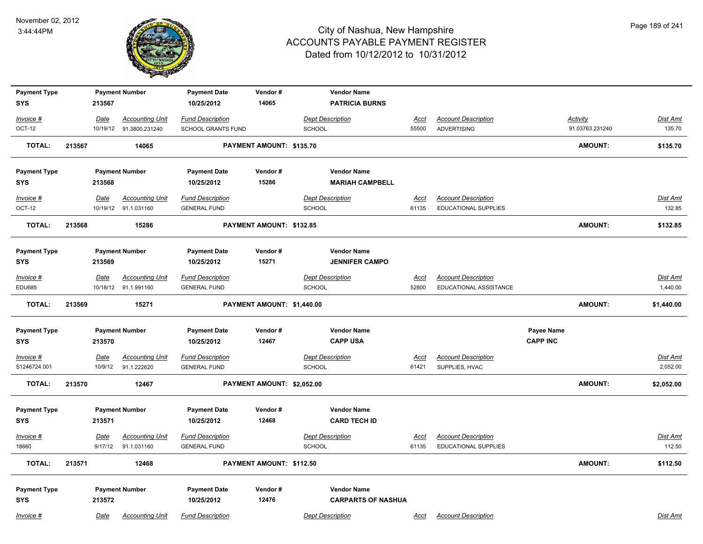

| <b>Payment Type</b><br><b>SYS</b> |        | 213567          | <b>Payment Number</b>                          | <b>Payment Date</b><br>10/25/2012              | Vendor#<br>14065           | <b>Vendor Name</b><br><b>PATRICIA BURNS</b>     |                      |                                                           |                 |                 |                      |
|-----------------------------------|--------|-----------------|------------------------------------------------|------------------------------------------------|----------------------------|-------------------------------------------------|----------------------|-----------------------------------------------------------|-----------------|-----------------|----------------------|
| Invoice #                         |        | Date            | <b>Accounting Unit</b>                         | <b>Fund Description</b>                        |                            | <b>Dept Description</b>                         | <u>Acct</u>          | <b>Account Description</b>                                |                 | Activity        | Dist Amt             |
| OCT-12                            |        |                 | 10/19/12 91.3800.231240                        | <b>SCHOOL GRANTS FUND</b>                      |                            | <b>SCHOOL</b>                                   | 55500                | <b>ADVERTISING</b>                                        |                 | 91.03763.231240 | 135.70               |
| <b>TOTAL:</b>                     | 213567 |                 | 14065                                          |                                                | PAYMENT AMOUNT: \$135.70   |                                                 |                      |                                                           |                 | <b>AMOUNT:</b>  | \$135.70             |
| <b>Payment Type</b>               |        |                 | <b>Payment Number</b>                          | <b>Payment Date</b>                            | Vendor#                    | <b>Vendor Name</b>                              |                      |                                                           |                 |                 |                      |
| SYS                               |        | 213568          |                                                | 10/25/2012                                     | 15286                      | <b>MARIAH CAMPBELL</b>                          |                      |                                                           |                 |                 |                      |
| Invoice #                         |        | <u>Date</u>     | <b>Accounting Unit</b>                         | <b>Fund Description</b>                        |                            | <b>Dept Description</b>                         | <u>Acct</u>          | <b>Account Description</b>                                |                 |                 | <b>Dist Amt</b>      |
| OCT-12                            |        |                 | 10/19/12 91.1.031160                           | <b>GENERAL FUND</b>                            |                            | <b>SCHOOL</b>                                   | 61135                | EDUCATIONAL SUPPLIES                                      |                 |                 | 132.85               |
| <b>TOTAL:</b>                     | 213568 |                 | 15286                                          |                                                | PAYMENT AMOUNT: \$132.85   |                                                 |                      |                                                           |                 | <b>AMOUNT:</b>  | \$132.85             |
| <b>Payment Type</b>               |        |                 | <b>Payment Number</b>                          | <b>Payment Date</b>                            | Vendor#                    | <b>Vendor Name</b>                              |                      |                                                           |                 |                 |                      |
| <b>SYS</b>                        |        | 213569          |                                                | 10/25/2012                                     | 15271                      | <b>JENNIFER CAMPO</b>                           |                      |                                                           |                 |                 |                      |
| Invoice #<br><b>EDU685</b>        |        | Date            | <b>Accounting Unit</b><br>10/18/12 91.1.991160 | <b>Fund Description</b><br><b>GENERAL FUND</b> |                            | <b>Dept Description</b><br>SCHOOL               | <b>Acct</b><br>52800 | <b>Account Description</b><br>EDUCATIONAL ASSISTANCE      |                 |                 | Dist Amt<br>1,440.00 |
|                                   |        |                 |                                                |                                                |                            |                                                 |                      |                                                           |                 |                 |                      |
| <b>TOTAL:</b>                     | 213569 |                 | 15271                                          |                                                | PAYMENT AMOUNT: \$1,440.00 |                                                 |                      |                                                           |                 | <b>AMOUNT:</b>  | \$1,440.00           |
| <b>Payment Type</b>               |        |                 | <b>Payment Number</b>                          | <b>Payment Date</b>                            | Vendor#                    | <b>Vendor Name</b>                              |                      |                                                           | Payee Name      |                 |                      |
| <b>SYS</b>                        |        | 213570          |                                                | 10/25/2012                                     | 12467                      | <b>CAPP USA</b>                                 |                      |                                                           | <b>CAPP INC</b> |                 |                      |
| $Invoice$ #                       |        | Date            | <b>Accounting Unit</b>                         | <b>Fund Description</b>                        |                            | <b>Dept Description</b>                         | <u>Acct</u>          | <b>Account Description</b>                                |                 |                 | <u>Dist Amt</u>      |
| S1246724.001                      |        | 10/9/12         | 91.1.222620                                    | <b>GENERAL FUND</b>                            |                            | SCHOOL                                          | 61421                | SUPPLIES, HVAC                                            |                 |                 | 2,052.00             |
| <b>TOTAL:</b>                     | 213570 |                 | 12467                                          |                                                | PAYMENT AMOUNT: \$2,052.00 |                                                 |                      |                                                           |                 | <b>AMOUNT:</b>  | \$2,052.00           |
| <b>Payment Type</b>               |        |                 | <b>Payment Number</b>                          | <b>Payment Date</b>                            | Vendor#                    | <b>Vendor Name</b>                              |                      |                                                           |                 |                 |                      |
| <b>SYS</b>                        |        | 213571          |                                                | 10/25/2012                                     | 12468                      | <b>CARD TECH ID</b>                             |                      |                                                           |                 |                 |                      |
| Invoice #<br>18660                |        | Date<br>9/17/12 | <b>Accounting Unit</b><br>91.1.031160          | <b>Fund Description</b><br><b>GENERAL FUND</b> |                            | <b>Dept Description</b><br>SCHOOL               | <u>Acct</u><br>61135 | <b>Account Description</b><br><b>EDUCATIONAL SUPPLIES</b> |                 |                 | Dist Amt<br>112.50   |
| <b>TOTAL:</b>                     | 213571 |                 | 12468                                          |                                                | PAYMENT AMOUNT: \$112.50   |                                                 |                      |                                                           |                 | AMOUNT:         | \$112.50             |
| <b>Payment Type</b><br><b>SYS</b> |        | 213572          | <b>Payment Number</b>                          | <b>Payment Date</b><br>10/25/2012              | Vendor#<br>12476           | <b>Vendor Name</b><br><b>CARPARTS OF NASHUA</b> |                      |                                                           |                 |                 |                      |
| Invoice #                         |        | Date            | <b>Accounting Unit</b>                         | <b>Fund Description</b>                        |                            | <b>Dept Description</b>                         | Acct                 | <b>Account Description</b>                                |                 |                 | Dist Amt             |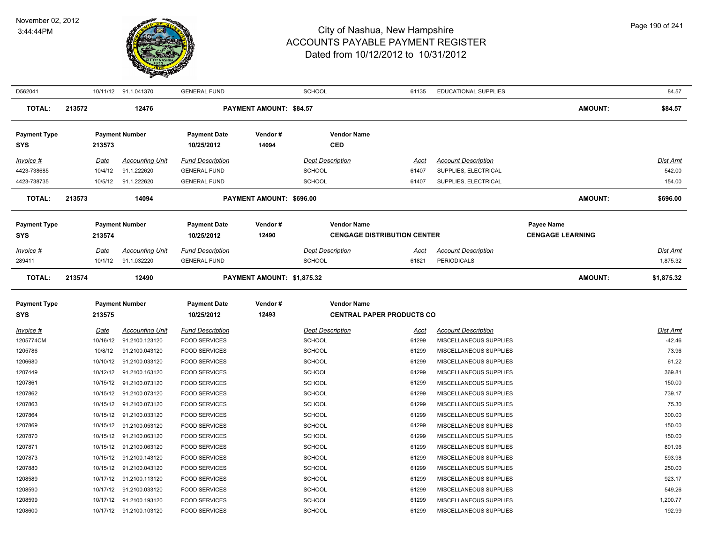

| D562041             |             | 10/11/12 91.1.041370    | <b>GENERAL FUND</b>     |                                | <b>SCHOOL</b>                      | 61135       | <b>EDUCATIONAL SUPPLIES</b> |                         | 84.57           |
|---------------------|-------------|-------------------------|-------------------------|--------------------------------|------------------------------------|-------------|-----------------------------|-------------------------|-----------------|
| TOTAL:              | 213572      | 12476                   |                         | <b>PAYMENT AMOUNT: \$84.57</b> |                                    |             |                             | <b>AMOUNT:</b>          | \$84.57         |
| <b>Payment Type</b> |             | <b>Payment Number</b>   | <b>Payment Date</b>     | Vendor#                        | <b>Vendor Name</b>                 |             |                             |                         |                 |
| <b>SYS</b>          | 213573      |                         | 10/25/2012              | 14094                          | <b>CED</b>                         |             |                             |                         |                 |
| Invoice #           | Date        | <b>Accounting Unit</b>  | <b>Fund Description</b> |                                | <b>Dept Description</b>            | Acct        | <b>Account Description</b>  |                         | <b>Dist Amt</b> |
| 4423-738685         | 10/4/12     | 91.1.222620             | <b>GENERAL FUND</b>     |                                | <b>SCHOOL</b>                      | 61407       | SUPPLIES, ELECTRICAL        |                         | 542.00          |
| 4423-738735         | 10/5/12     | 91.1.222620             | <b>GENERAL FUND</b>     |                                | <b>SCHOOL</b>                      | 61407       | SUPPLIES, ELECTRICAL        |                         | 154.00          |
| <b>TOTAL:</b>       | 213573      | 14094                   |                         | PAYMENT AMOUNT: \$696.00       |                                    |             |                             | AMOUNT:                 | \$696.00        |
| <b>Payment Type</b> |             | <b>Payment Number</b>   | <b>Payment Date</b>     | Vendor#                        | <b>Vendor Name</b>                 |             |                             | Payee Name              |                 |
| SYS                 | 213574      |                         | 10/25/2012              | 12490                          | <b>CENGAGE DISTRIBUTION CENTER</b> |             |                             | <b>CENGAGE LEARNING</b> |                 |
|                     |             |                         |                         |                                |                                    |             |                             |                         |                 |
| Invoice #           | Date        | <b>Accounting Unit</b>  | <b>Fund Description</b> |                                | <b>Dept Description</b>            | Acct        | <b>Account Description</b>  |                         | <b>Dist Amt</b> |
| 289411              | 10/1/12     | 91.1.032220             | <b>GENERAL FUND</b>     |                                | <b>SCHOOL</b>                      | 61821       | <b>PERIODICALS</b>          |                         | 1,875.32        |
| <b>TOTAL:</b>       | 213574      | 12490                   |                         | PAYMENT AMOUNT: \$1,875.32     |                                    |             |                             | AMOUNT:                 | \$1,875.32      |
| <b>Payment Type</b> |             | <b>Payment Number</b>   | <b>Payment Date</b>     | Vendor#                        | <b>Vendor Name</b>                 |             |                             |                         |                 |
| <b>SYS</b>          | 213575      |                         | 10/25/2012              | 12493                          | <b>CENTRAL PAPER PRODUCTS CO</b>   |             |                             |                         |                 |
| $Invoice$ #         | <u>Date</u> | <b>Accounting Unit</b>  | <b>Fund Description</b> |                                | <b>Dept Description</b>            | <u>Acct</u> | <b>Account Description</b>  |                         | <b>Dist Amt</b> |
| 1205774CM           | 10/16/12    | 91.2100.123120          | <b>FOOD SERVICES</b>    |                                | <b>SCHOOL</b>                      | 61299       | MISCELLANEOUS SUPPLIES      |                         | $-42.46$        |
| 1205786             | 10/8/12     | 91.2100.043120          | <b>FOOD SERVICES</b>    |                                | <b>SCHOOL</b>                      | 61299       | MISCELLANEOUS SUPPLIES      |                         | 73.96           |
| 1206680             | 10/10/12    | 91.2100.033120          | <b>FOOD SERVICES</b>    |                                | <b>SCHOOL</b>                      | 61299       | MISCELLANEOUS SUPPLIES      |                         | 61.22           |
| 1207449             | 10/12/12    | 91.2100.163120          | <b>FOOD SERVICES</b>    |                                | <b>SCHOOL</b>                      | 61299       | MISCELLANEOUS SUPPLIES      |                         | 369.81          |
| 1207861             | 10/15/12    | 91.2100.073120          | <b>FOOD SERVICES</b>    |                                | <b>SCHOOL</b>                      | 61299       | MISCELLANEOUS SUPPLIES      |                         | 150.00          |
| 1207862             | 10/15/12    | 91.2100.073120          | <b>FOOD SERVICES</b>    |                                | <b>SCHOOL</b>                      | 61299       | MISCELLANEOUS SUPPLIES      |                         | 739.17          |
| 1207863             | 10/15/12    | 91.2100.073120          | <b>FOOD SERVICES</b>    |                                | <b>SCHOOL</b>                      | 61299       | MISCELLANEOUS SUPPLIES      |                         | 75.30           |
| 1207864             | 10/15/12    | 91.2100.033120          | <b>FOOD SERVICES</b>    |                                | SCHOOL                             | 61299       | MISCELLANEOUS SUPPLIES      |                         | 300.00          |
| 1207869             | 10/15/12    | 91.2100.053120          | <b>FOOD SERVICES</b>    |                                | <b>SCHOOL</b>                      | 61299       | MISCELLANEOUS SUPPLIES      |                         | 150.00          |
| 1207870             | 10/15/12    | 91.2100.063120          | <b>FOOD SERVICES</b>    |                                | <b>SCHOOL</b>                      | 61299       | MISCELLANEOUS SUPPLIES      |                         | 150.00          |
| 1207871             |             | 10/15/12 91.2100.063120 | <b>FOOD SERVICES</b>    |                                | <b>SCHOOL</b>                      | 61299       | MISCELLANEOUS SUPPLIES      |                         | 801.96          |
| 1207873             | 10/15/12    | 91.2100.143120          | <b>FOOD SERVICES</b>    |                                | <b>SCHOOL</b>                      | 61299       | MISCELLANEOUS SUPPLIES      |                         | 593.98          |
| 1207880             | 10/15/12    | 91.2100.043120          | <b>FOOD SERVICES</b>    |                                | SCHOOL                             | 61299       | MISCELLANEOUS SUPPLIES      |                         | 250.00          |
| 1208589             | 10/17/12    | 91.2100.113120          | <b>FOOD SERVICES</b>    |                                | <b>SCHOOL</b>                      | 61299       | MISCELLANEOUS SUPPLIES      |                         | 923.17          |
| 1208590             | 10/17/12    | 91.2100.033120          | <b>FOOD SERVICES</b>    |                                | <b>SCHOOL</b>                      | 61299       | MISCELLANEOUS SUPPLIES      |                         | 549.26          |
| 1208599             | 10/17/12    | 91.2100.193120          | <b>FOOD SERVICES</b>    |                                | SCHOOL                             | 61299       | MISCELLANEOUS SUPPLIES      |                         | 1,200.77        |
| 1208600             |             | 10/17/12 91.2100.103120 | <b>FOOD SERVICES</b>    |                                | SCHOOL                             | 61299       | MISCELLANEOUS SUPPLIES      |                         | 192.99          |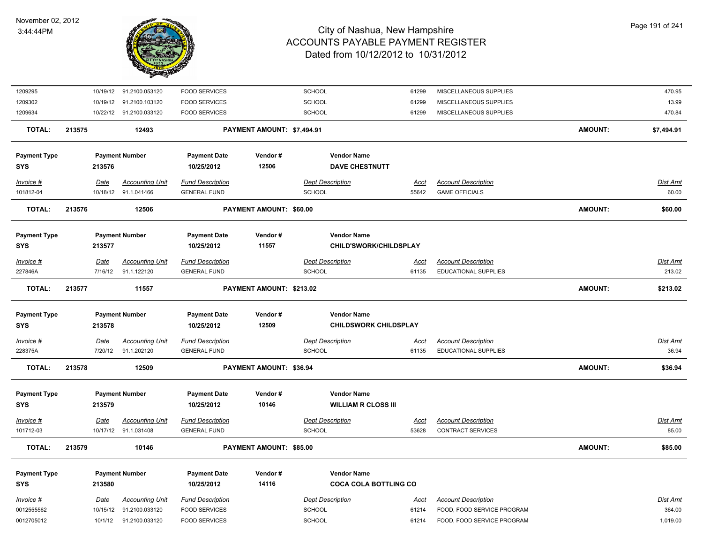

| 1209295              |                        | 10/19/12 91.2100.053120               | <b>FOOD SERVICES</b>                           |                            | SCHOOL                                   | 61299                | MISCELLANEOUS SUPPLIES                             |                | 470.95                   |
|----------------------|------------------------|---------------------------------------|------------------------------------------------|----------------------------|------------------------------------------|----------------------|----------------------------------------------------|----------------|--------------------------|
| 1209302              | 10/19/12               | 91.2100.103120                        | <b>FOOD SERVICES</b>                           |                            | SCHOOL                                   | 61299                | MISCELLANEOUS SUPPLIES                             |                | 13.99                    |
| 1209634              |                        | 10/22/12 91.2100.033120               | <b>FOOD SERVICES</b>                           |                            | SCHOOL                                   | 61299                | MISCELLANEOUS SUPPLIES                             |                | 470.84                   |
| <b>TOTAL:</b>        | 213575                 | 12493                                 |                                                | PAYMENT AMOUNT: \$7,494.91 |                                          |                      |                                                    | <b>AMOUNT:</b> | \$7,494.91               |
| <b>Payment Type</b>  |                        | <b>Payment Number</b>                 | <b>Payment Date</b>                            | Vendor#                    | <b>Vendor Name</b>                       |                      |                                                    |                |                          |
| <b>SYS</b>           | 213576                 |                                       | 10/25/2012                                     | 12506                      | <b>DAVE CHESTNUTT</b>                    |                      |                                                    |                |                          |
| Invoice #            | Date                   | <b>Accounting Unit</b>                | <b>Fund Description</b>                        |                            | <b>Dept Description</b>                  | <b>Acct</b>          | <b>Account Description</b>                         |                | Dist Amt                 |
| 101812-04            |                        | 10/18/12 91.1.041466                  | <b>GENERAL FUND</b>                            |                            | <b>SCHOOL</b>                            | 55642                | <b>GAME OFFICIALS</b>                              |                | 60.00                    |
| <b>TOTAL:</b>        | 213576                 | 12506                                 |                                                | PAYMENT AMOUNT: \$60.00    |                                          |                      |                                                    | <b>AMOUNT:</b> | \$60.00                  |
| <b>Payment Type</b>  |                        | <b>Payment Number</b>                 | <b>Payment Date</b>                            | Vendor#                    | <b>Vendor Name</b>                       |                      |                                                    |                |                          |
| <b>SYS</b>           | 213577                 |                                       | 10/25/2012                                     | 11557                      | CHILD'SWORK/CHILDSPLAY                   |                      |                                                    |                |                          |
| Invoice #            | Date                   | <b>Accounting Unit</b>                | <b>Fund Description</b>                        |                            | <b>Dept Description</b>                  | Acct                 | <b>Account Description</b>                         |                | <b>Dist Amt</b>          |
| 227846A              | 7/16/12                | 91.1.122120                           | <b>GENERAL FUND</b>                            |                            | <b>SCHOOL</b>                            | 61135                | <b>EDUCATIONAL SUPPLIES</b>                        |                | 213.02                   |
|                      | 213577                 |                                       |                                                |                            |                                          |                      |                                                    |                |                          |
| <b>TOTAL:</b>        |                        | 11557                                 |                                                | PAYMENT AMOUNT: \$213.02   |                                          |                      |                                                    | <b>AMOUNT:</b> | \$213.02                 |
| <b>Payment Type</b>  |                        | <b>Payment Number</b>                 | <b>Payment Date</b>                            | Vendor#                    | <b>Vendor Name</b>                       |                      |                                                    |                |                          |
| <b>SYS</b>           | 213578                 |                                       | 10/25/2012                                     | 12509                      | <b>CHILDSWORK CHILDSPLAY</b>             |                      |                                                    |                |                          |
|                      |                        |                                       |                                                |                            |                                          |                      |                                                    |                |                          |
| Invoice #<br>228375A | <b>Date</b><br>7/20/12 | <b>Accounting Unit</b><br>91.1.202120 | <b>Fund Description</b><br><b>GENERAL FUND</b> |                            | <b>Dept Description</b><br><b>SCHOOL</b> | <u>Acct</u><br>61135 | <b>Account Description</b><br>EDUCATIONAL SUPPLIES |                | <b>Dist Amt</b><br>36.94 |
| <b>TOTAL:</b>        | 213578                 | 12509                                 |                                                | PAYMENT AMOUNT: \$36.94    |                                          |                      |                                                    | <b>AMOUNT:</b> | \$36.94                  |
|                      |                        |                                       |                                                |                            |                                          |                      |                                                    |                |                          |
| <b>Payment Type</b>  |                        | <b>Payment Number</b>                 | <b>Payment Date</b>                            | Vendor#                    | <b>Vendor Name</b>                       |                      |                                                    |                |                          |
| <b>SYS</b>           | 213579                 |                                       | 10/25/2012                                     | 10146                      | <b>WILLIAM R CLOSS III</b>               |                      |                                                    |                |                          |
| Invoice #            | Date                   | <b>Accounting Unit</b>                | <b>Fund Description</b>                        |                            | <b>Dept Description</b>                  | <b>Acct</b>          | <b>Account Description</b>                         |                | Dist Amt                 |
| 101712-03            |                        | 10/17/12 91.1.031408                  | <b>GENERAL FUND</b>                            |                            | SCHOOL                                   | 53628                | <b>CONTRACT SERVICES</b>                           |                | 85.00                    |
| <b>TOTAL:</b>        | 213579                 | 10146                                 |                                                | PAYMENT AMOUNT: \$85.00    |                                          |                      |                                                    | <b>AMOUNT:</b> | \$85.00                  |
| <b>Payment Type</b>  |                        | <b>Payment Number</b>                 | <b>Payment Date</b>                            | Vendor#                    | <b>Vendor Name</b>                       |                      |                                                    |                |                          |
| <b>SYS</b>           | 213580                 |                                       | 10/25/2012                                     | 14116                      | <b>COCA COLA BOTTLING CO</b>             |                      |                                                    |                |                          |
| Invoice #            | Date                   | <b>Accounting Unit</b>                | <b>Fund Description</b>                        |                            | <b>Dept Description</b>                  | <u>Acct</u>          | <b>Account Description</b>                         |                | Dist Amt                 |
| 0012555562           | 10/15/12               | 91.2100.033120                        | <b>FOOD SERVICES</b>                           |                            | <b>SCHOOL</b>                            | 61214                | FOOD, FOOD SERVICE PROGRAM                         |                | 364.00                   |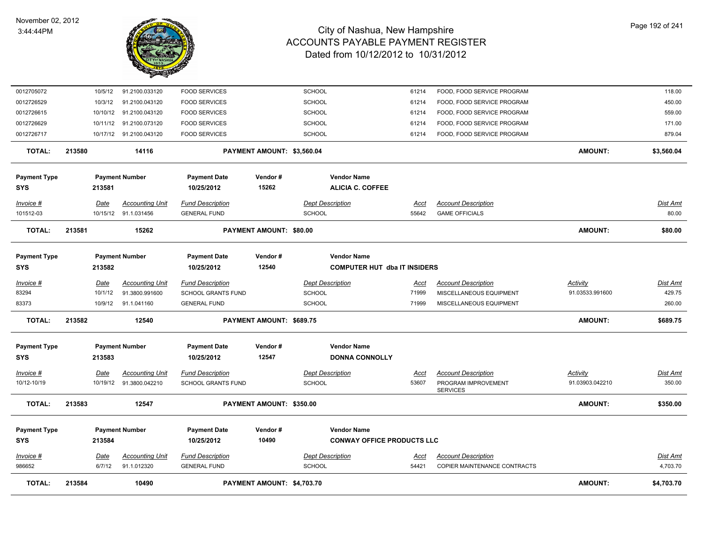

| <b>TOTAL:</b>                     | 213584 |                | 10490                                 |                                                | PAYMENT AMOUNT: \$4,703.70     |               |                                                           |                      |                                                            | <b>AMOUNT:</b>  | \$4,703.70                  |
|-----------------------------------|--------|----------------|---------------------------------------|------------------------------------------------|--------------------------------|---------------|-----------------------------------------------------------|----------------------|------------------------------------------------------------|-----------------|-----------------------------|
| $Invoice$ #<br>986652             |        | Date<br>6/7/12 | <b>Accounting Unit</b><br>91.1.012320 | <b>Fund Description</b><br><b>GENERAL FUND</b> |                                | <b>SCHOOL</b> | <b>Dept Description</b>                                   | <u>Acct</u><br>54421 | <b>Account Description</b><br>COPIER MAINTENANCE CONTRACTS |                 | <b>Dist Amt</b><br>4,703.70 |
| <b>Payment Type</b><br><b>SYS</b> |        | 213584         | <b>Payment Number</b>                 | <b>Payment Date</b><br>10/25/2012              | Vendor#<br>10490               |               | <b>Vendor Name</b><br><b>CONWAY OFFICE PRODUCTS LLC</b>   |                      |                                                            |                 |                             |
| <b>TOTAL:</b>                     | 213583 |                | 12547                                 |                                                | PAYMENT AMOUNT: \$350.00       |               |                                                           |                      |                                                            | <b>AMOUNT:</b>  | \$350.00                    |
|                                   |        |                |                                       |                                                |                                |               |                                                           |                      | <b>SERVICES</b>                                            |                 |                             |
| 10/12-10/19                       |        | 10/19/12       | 91.3800.042210                        | <b>SCHOOL GRANTS FUND</b>                      |                                | <b>SCHOOL</b> |                                                           | 53607                | PROGRAM IMPROVEMENT                                        | 91.03903.042210 | 350.00                      |
| Invoice #                         |        | <b>Date</b>    | <b>Accounting Unit</b>                | <b>Fund Description</b>                        |                                |               | <b>Dept Description</b>                                   | <u>Acct</u>          | <b>Account Description</b>                                 | <b>Activity</b> | Dist Amt                    |
| <b>Payment Type</b><br><b>SYS</b> |        | 213583         | <b>Payment Number</b>                 | <b>Payment Date</b><br>10/25/2012              | Vendor#<br>12547               |               | <b>Vendor Name</b><br><b>DONNA CONNOLLY</b>               |                      |                                                            |                 |                             |
| <b>TOTAL:</b>                     | 213582 |                | 12540                                 |                                                | PAYMENT AMOUNT: \$689.75       |               |                                                           |                      |                                                            | AMOUNT:         | \$689.75                    |
| 83373                             |        | 10/9/12        | 91.1.041160                           | <b>GENERAL FUND</b>                            |                                | SCHOOL        |                                                           | 71999                | MISCELLANEOUS EQUIPMENT                                    |                 | 260.00                      |
| 83294                             |        | 10/1/12        | 91.3800.991600                        | <b>SCHOOL GRANTS FUND</b>                      |                                | <b>SCHOOL</b> |                                                           | 71999                | MISCELLANEOUS EQUIPMENT                                    | 91.03533.991600 | 429.75                      |
| Invoice #                         |        | Date           | <b>Accounting Unit</b>                | <b>Fund Description</b>                        |                                |               | <b>Dept Description</b>                                   | <u>Acct</u>          | <b>Account Description</b>                                 | Activity        | <b>Dist Amt</b>             |
| <b>Payment Type</b><br><b>SYS</b> |        | 213582         | <b>Payment Number</b>                 | <b>Payment Date</b><br>10/25/2012              | Vendor#<br>12540               |               | <b>Vendor Name</b><br><b>COMPUTER HUT dba IT INSIDERS</b> |                      |                                                            |                 |                             |
| <b>TOTAL:</b>                     | 213581 |                | 15262                                 |                                                | <b>PAYMENT AMOUNT: \$80.00</b> |               |                                                           |                      |                                                            | <b>AMOUNT:</b>  | \$80.00                     |
| 101512-03                         |        |                | 10/15/12 91.1.031456                  | <b>GENERAL FUND</b>                            |                                | <b>SCHOOL</b> |                                                           | 55642                | <b>GAME OFFICIALS</b>                                      |                 | 80.00                       |
| Invoice #                         |        | Date           | <b>Accounting Unit</b>                | <b>Fund Description</b>                        |                                |               | <b>Dept Description</b>                                   | Acct                 | <b>Account Description</b>                                 |                 | <u>Dist Amt</u>             |
| <b>SYS</b>                        |        | 213581         |                                       | 10/25/2012                                     | 15262                          |               | <b>ALICIA C. COFFEE</b>                                   |                      |                                                            |                 |                             |
| <b>Payment Type</b>               |        |                | <b>Payment Number</b>                 | <b>Payment Date</b>                            | Vendor#                        |               | <b>Vendor Name</b>                                        |                      |                                                            |                 |                             |
| <b>TOTAL:</b>                     | 213580 |                | 14116                                 |                                                | PAYMENT AMOUNT: \$3,560.04     |               |                                                           |                      |                                                            | <b>AMOUNT:</b>  | \$3,560.04                  |
| 0012726717                        |        |                | 10/17/12 91.2100.043120               | <b>FOOD SERVICES</b>                           |                                | <b>SCHOOL</b> |                                                           | 61214                | FOOD, FOOD SERVICE PROGRAM                                 |                 | 879.04                      |
| 0012726629                        |        | 10/11/12       | 91.2100.073120                        | <b>FOOD SERVICES</b>                           |                                | SCHOOL        |                                                           | 61214                | FOOD, FOOD SERVICE PROGRAM                                 |                 | 171.00                      |
| 0012726615                        |        | 10/10/12       | 91.2100.043120                        | <b>FOOD SERVICES</b>                           |                                | <b>SCHOOL</b> |                                                           | 61214                | FOOD, FOOD SERVICE PROGRAM                                 |                 | 559.00                      |
| 0012726529                        |        | 10/3/12        | 91.2100.043120                        | <b>FOOD SERVICES</b>                           |                                | SCHOOL        |                                                           | 61214                | FOOD, FOOD SERVICE PROGRAM                                 |                 | 450.00                      |
| 0012705072                        |        | 10/5/12        | 91.2100.033120                        | <b>FOOD SERVICES</b>                           |                                | SCHOOL        |                                                           | 61214                | FOOD, FOOD SERVICE PROGRAM                                 |                 | 118.00                      |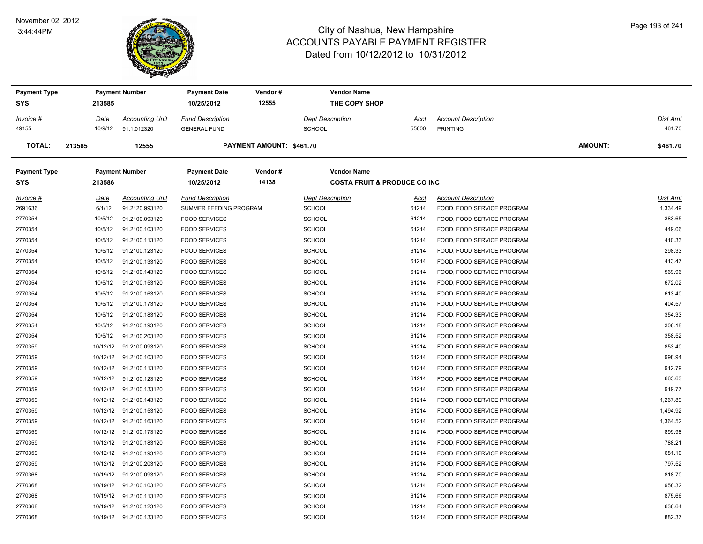#### November 02, 2012 3:44:44PM



| <b>Payment Type</b> |          | <b>Payment Number</b>   | <b>Payment Date</b>     | Vendor#                  | <b>Vendor Name</b>                      |             |                            |                |                 |
|---------------------|----------|-------------------------|-------------------------|--------------------------|-----------------------------------------|-------------|----------------------------|----------------|-----------------|
| SYS                 | 213585   |                         | 10/25/2012              | 12555                    | THE COPY SHOP                           |             |                            |                |                 |
| Invoice #           | Date     | <b>Accounting Unit</b>  | <b>Fund Description</b> |                          | <b>Dept Description</b>                 | Acct        | <b>Account Description</b> |                | <u>Dist Amt</u> |
| 49155               | 10/9/12  | 91.1.012320             | <b>GENERAL FUND</b>     |                          | SCHOOL                                  | 55600       | <b>PRINTING</b>            |                | 461.70          |
| <b>TOTAL:</b>       | 213585   | 12555                   |                         | PAYMENT AMOUNT: \$461.70 |                                         |             |                            | <b>AMOUNT:</b> | \$461.70        |
| <b>Payment Type</b> |          | <b>Payment Number</b>   | <b>Payment Date</b>     | Vendor#                  | <b>Vendor Name</b>                      |             |                            |                |                 |
| SYS                 | 213586   |                         | 10/25/2012              | 14138                    | <b>COSTA FRUIT &amp; PRODUCE CO INC</b> |             |                            |                |                 |
| Invoice #           | Date     | <b>Accounting Unit</b>  | <b>Fund Description</b> |                          | <b>Dept Description</b>                 | <u>Acct</u> | <b>Account Description</b> |                | Dist Amt        |
| 2691636             | 6/1/12   | 91.2120.993120          | SUMMER FEEDING PROGRAM  |                          | SCHOOL                                  | 61214       | FOOD, FOOD SERVICE PROGRAM |                | 1,334.49        |
| 2770354             | 10/5/12  | 91.2100.093120          | <b>FOOD SERVICES</b>    |                          | <b>SCHOOL</b>                           | 61214       | FOOD, FOOD SERVICE PROGRAM |                | 383.65          |
| 2770354             | 10/5/12  | 91.2100.103120          | <b>FOOD SERVICES</b>    |                          | <b>SCHOOL</b>                           | 61214       | FOOD, FOOD SERVICE PROGRAM |                | 449.06          |
| 2770354             | 10/5/12  | 91.2100.113120          | <b>FOOD SERVICES</b>    |                          | <b>SCHOOL</b>                           | 61214       | FOOD, FOOD SERVICE PROGRAM |                | 410.33          |
| 2770354             | 10/5/12  | 91.2100.123120          | <b>FOOD SERVICES</b>    |                          | <b>SCHOOL</b>                           | 61214       | FOOD, FOOD SERVICE PROGRAM |                | 298.33          |
| 2770354             | 10/5/12  | 91.2100.133120          | <b>FOOD SERVICES</b>    |                          | <b>SCHOOL</b>                           | 61214       | FOOD, FOOD SERVICE PROGRAM |                | 413.47          |
| 2770354             | 10/5/12  | 91.2100.143120          | <b>FOOD SERVICES</b>    |                          | <b>SCHOOL</b>                           | 61214       | FOOD, FOOD SERVICE PROGRAM |                | 569.96          |
| 2770354             | 10/5/12  | 91.2100.153120          | <b>FOOD SERVICES</b>    |                          | <b>SCHOOL</b>                           | 61214       | FOOD, FOOD SERVICE PROGRAM |                | 672.02          |
| 2770354             | 10/5/12  | 91.2100.163120          | <b>FOOD SERVICES</b>    |                          | <b>SCHOOL</b>                           | 61214       | FOOD, FOOD SERVICE PROGRAM |                | 613.40          |
| 2770354             | 10/5/12  | 91.2100.173120          | <b>FOOD SERVICES</b>    |                          | <b>SCHOOL</b>                           | 61214       | FOOD, FOOD SERVICE PROGRAM |                | 404.57          |
| 2770354             | 10/5/12  | 91.2100.183120          | <b>FOOD SERVICES</b>    |                          | <b>SCHOOL</b>                           | 61214       | FOOD, FOOD SERVICE PROGRAM |                | 354.33          |
| 2770354             | 10/5/12  | 91.2100.193120          | <b>FOOD SERVICES</b>    |                          | SCHOOL                                  | 61214       | FOOD, FOOD SERVICE PROGRAM |                | 306.18          |
| 2770354             | 10/5/12  | 91.2100.203120          | <b>FOOD SERVICES</b>    |                          | <b>SCHOOL</b>                           | 61214       | FOOD, FOOD SERVICE PROGRAM |                | 358.52          |
| 2770359             | 10/12/12 | 91.2100.093120          | <b>FOOD SERVICES</b>    |                          | <b>SCHOOL</b>                           | 61214       | FOOD, FOOD SERVICE PROGRAM |                | 853.40          |
| 2770359             | 10/12/12 | 91.2100.103120          | <b>FOOD SERVICES</b>    |                          | <b>SCHOOL</b>                           | 61214       | FOOD, FOOD SERVICE PROGRAM |                | 998.94          |
| 2770359             |          | 10/12/12 91.2100.113120 | <b>FOOD SERVICES</b>    |                          | <b>SCHOOL</b>                           | 61214       | FOOD, FOOD SERVICE PROGRAM |                | 912.79          |
| 2770359             | 10/12/12 | 91.2100.123120          | <b>FOOD SERVICES</b>    |                          | <b>SCHOOL</b>                           | 61214       | FOOD, FOOD SERVICE PROGRAM |                | 663.63          |
| 2770359             | 10/12/12 | 91.2100.133120          | <b>FOOD SERVICES</b>    |                          | <b>SCHOOL</b>                           | 61214       | FOOD, FOOD SERVICE PROGRAM |                | 919.77          |
| 2770359             |          | 10/12/12 91.2100.143120 | <b>FOOD SERVICES</b>    |                          | <b>SCHOOL</b>                           | 61214       | FOOD, FOOD SERVICE PROGRAM |                | 1,267.89        |
| 2770359             |          | 10/12/12 91.2100.153120 | <b>FOOD SERVICES</b>    |                          | <b>SCHOOL</b>                           | 61214       | FOOD, FOOD SERVICE PROGRAM |                | 1,494.92        |
| 2770359             |          | 10/12/12 91.2100.163120 | <b>FOOD SERVICES</b>    |                          | <b>SCHOOL</b>                           | 61214       | FOOD, FOOD SERVICE PROGRAM |                | 1,364.52        |
| 2770359             |          | 10/12/12 91.2100.173120 | <b>FOOD SERVICES</b>    |                          | <b>SCHOOL</b>                           | 61214       | FOOD, FOOD SERVICE PROGRAM |                | 899.98          |
| 2770359             |          | 10/12/12 91.2100.183120 | <b>FOOD SERVICES</b>    |                          | <b>SCHOOL</b>                           | 61214       | FOOD, FOOD SERVICE PROGRAM |                | 788.21          |
| 2770359             |          | 10/12/12 91.2100.193120 | <b>FOOD SERVICES</b>    |                          | <b>SCHOOL</b>                           | 61214       | FOOD, FOOD SERVICE PROGRAM |                | 681.10          |
| 2770359             |          | 10/12/12 91.2100.203120 | <b>FOOD SERVICES</b>    |                          | <b>SCHOOL</b>                           | 61214       | FOOD, FOOD SERVICE PROGRAM |                | 797.52          |
| 2770368             |          | 10/19/12 91.2100.093120 | <b>FOOD SERVICES</b>    |                          | <b>SCHOOL</b>                           | 61214       | FOOD, FOOD SERVICE PROGRAM |                | 818.70          |
| 2770368             | 10/19/12 | 91.2100.103120          | <b>FOOD SERVICES</b>    |                          | <b>SCHOOL</b>                           | 61214       | FOOD, FOOD SERVICE PROGRAM |                | 958.32          |
| 2770368             |          | 10/19/12 91.2100.113120 | <b>FOOD SERVICES</b>    |                          | <b>SCHOOL</b>                           | 61214       | FOOD, FOOD SERVICE PROGRAM |                | 875.66          |
| 2770368             |          | 10/19/12 91.2100.123120 | <b>FOOD SERVICES</b>    |                          | <b>SCHOOL</b>                           | 61214       | FOOD, FOOD SERVICE PROGRAM |                | 636.64          |
| 2770368             |          | 10/19/12 91.2100.133120 | <b>FOOD SERVICES</b>    |                          | <b>SCHOOL</b>                           | 61214       | FOOD, FOOD SERVICE PROGRAM |                | 882.37          |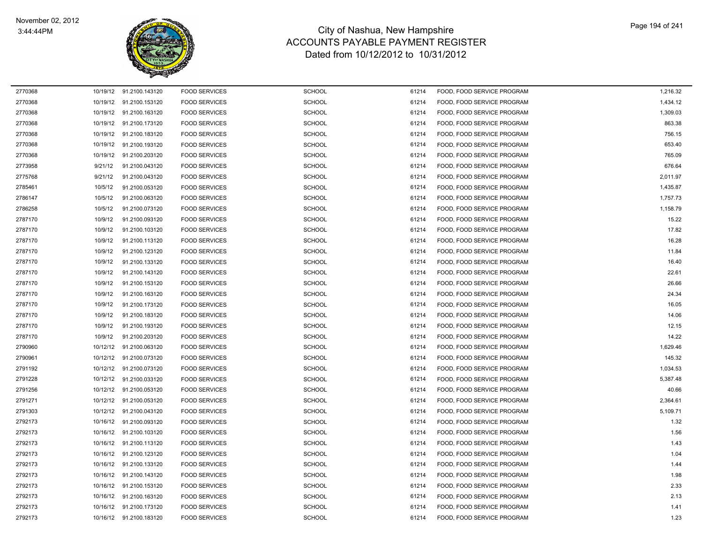

| 2770368 |          | 10/19/12 91.2100.143120 | <b>FOOD SERVICES</b> | <b>SCHOOL</b> | 61214 | FOOD, FOOD SERVICE PROGRAM | 1,216.32 |
|---------|----------|-------------------------|----------------------|---------------|-------|----------------------------|----------|
| 2770368 |          | 10/19/12 91.2100.153120 | <b>FOOD SERVICES</b> | <b>SCHOOL</b> | 61214 | FOOD, FOOD SERVICE PROGRAM | 1,434.12 |
| 2770368 |          | 10/19/12 91.2100.163120 | <b>FOOD SERVICES</b> | SCHOOL        | 61214 | FOOD, FOOD SERVICE PROGRAM | 1,309.03 |
| 2770368 |          | 10/19/12 91.2100.173120 | <b>FOOD SERVICES</b> | <b>SCHOOL</b> | 61214 | FOOD, FOOD SERVICE PROGRAM | 863.38   |
| 2770368 | 10/19/12 | 91.2100.183120          | <b>FOOD SERVICES</b> | <b>SCHOOL</b> | 61214 | FOOD, FOOD SERVICE PROGRAM | 756.15   |
| 2770368 |          | 10/19/12 91.2100.193120 | <b>FOOD SERVICES</b> | <b>SCHOOL</b> | 61214 | FOOD, FOOD SERVICE PROGRAM | 653.40   |
| 2770368 | 10/19/12 | 91.2100.203120          | <b>FOOD SERVICES</b> | <b>SCHOOL</b> | 61214 | FOOD, FOOD SERVICE PROGRAM | 765.09   |
| 2773958 | 9/21/12  | 91.2100.043120          | <b>FOOD SERVICES</b> | <b>SCHOOL</b> | 61214 | FOOD, FOOD SERVICE PROGRAM | 676.64   |
| 2775768 | 9/21/12  | 91.2100.043120          | <b>FOOD SERVICES</b> | <b>SCHOOL</b> | 61214 | FOOD, FOOD SERVICE PROGRAM | 2,011.97 |
| 2785461 | 10/5/12  | 91.2100.053120          | <b>FOOD SERVICES</b> | <b>SCHOOL</b> | 61214 | FOOD, FOOD SERVICE PROGRAM | 1,435.87 |
| 2786147 | 10/5/12  | 91.2100.063120          | <b>FOOD SERVICES</b> | SCHOOL        | 61214 | FOOD, FOOD SERVICE PROGRAM | 1,757.73 |
| 2786258 | 10/5/12  | 91.2100.073120          | <b>FOOD SERVICES</b> | <b>SCHOOL</b> | 61214 | FOOD, FOOD SERVICE PROGRAM | 1,158.79 |
| 2787170 | 10/9/12  | 91.2100.093120          | <b>FOOD SERVICES</b> | SCHOOL        | 61214 | FOOD, FOOD SERVICE PROGRAM | 15.22    |
| 2787170 | 10/9/12  | 91.2100.103120          | <b>FOOD SERVICES</b> | SCHOOL        | 61214 | FOOD, FOOD SERVICE PROGRAM | 17.82    |
| 2787170 | 10/9/12  | 91.2100.113120          | <b>FOOD SERVICES</b> | <b>SCHOOL</b> | 61214 | FOOD, FOOD SERVICE PROGRAM | 16.28    |
| 2787170 | 10/9/12  | 91.2100.123120          | <b>FOOD SERVICES</b> | <b>SCHOOL</b> | 61214 | FOOD, FOOD SERVICE PROGRAM | 11.84    |
| 2787170 | 10/9/12  | 91.2100.133120          | <b>FOOD SERVICES</b> | <b>SCHOOL</b> | 61214 | FOOD, FOOD SERVICE PROGRAM | 16.40    |
| 2787170 | 10/9/12  | 91.2100.143120          | <b>FOOD SERVICES</b> | <b>SCHOOL</b> | 61214 | FOOD, FOOD SERVICE PROGRAM | 22.61    |
| 2787170 | 10/9/12  | 91.2100.153120          | <b>FOOD SERVICES</b> | <b>SCHOOL</b> | 61214 | FOOD, FOOD SERVICE PROGRAM | 26.66    |
| 2787170 | 10/9/12  | 91.2100.163120          | <b>FOOD SERVICES</b> | <b>SCHOOL</b> | 61214 | FOOD, FOOD SERVICE PROGRAM | 24.34    |
| 2787170 | 10/9/12  | 91.2100.173120          | <b>FOOD SERVICES</b> | <b>SCHOOL</b> | 61214 | FOOD, FOOD SERVICE PROGRAM | 16.05    |
| 2787170 | 10/9/12  | 91.2100.183120          | <b>FOOD SERVICES</b> | <b>SCHOOL</b> | 61214 | FOOD, FOOD SERVICE PROGRAM | 14.06    |
| 2787170 | 10/9/12  | 91.2100.193120          | <b>FOOD SERVICES</b> | <b>SCHOOL</b> | 61214 | FOOD, FOOD SERVICE PROGRAM | 12.15    |
| 2787170 | 10/9/12  | 91.2100.203120          | <b>FOOD SERVICES</b> | <b>SCHOOL</b> | 61214 | FOOD, FOOD SERVICE PROGRAM | 14.22    |
| 2790960 | 10/12/12 | 91.2100.063120          | <b>FOOD SERVICES</b> | <b>SCHOOL</b> | 61214 | FOOD, FOOD SERVICE PROGRAM | 1,629.46 |
| 2790961 | 10/12/12 | 91.2100.073120          | <b>FOOD SERVICES</b> | <b>SCHOOL</b> | 61214 | FOOD, FOOD SERVICE PROGRAM | 145.32   |
| 2791192 | 10/12/12 | 91.2100.073120          | <b>FOOD SERVICES</b> | <b>SCHOOL</b> | 61214 | FOOD, FOOD SERVICE PROGRAM | 1,034.53 |
| 2791228 |          | 10/12/12 91.2100.033120 | <b>FOOD SERVICES</b> | SCHOOL        | 61214 | FOOD, FOOD SERVICE PROGRAM | 5,387.48 |
| 2791256 | 10/12/12 | 91.2100.053120          | <b>FOOD SERVICES</b> | SCHOOL        | 61214 | FOOD, FOOD SERVICE PROGRAM | 40.66    |
| 2791271 | 10/12/12 | 91.2100.053120          | <b>FOOD SERVICES</b> | SCHOOL        | 61214 | FOOD, FOOD SERVICE PROGRAM | 2,364.61 |
| 2791303 |          | 10/12/12 91.2100.043120 | <b>FOOD SERVICES</b> | <b>SCHOOL</b> | 61214 | FOOD, FOOD SERVICE PROGRAM | 5,109.71 |
| 2792173 | 10/16/12 | 91.2100.093120          | <b>FOOD SERVICES</b> | <b>SCHOOL</b> | 61214 | FOOD, FOOD SERVICE PROGRAM | 1.32     |
| 2792173 | 10/16/12 | 91.2100.103120          | <b>FOOD SERVICES</b> | <b>SCHOOL</b> | 61214 | FOOD, FOOD SERVICE PROGRAM | 1.56     |
| 2792173 |          | 10/16/12 91.2100.113120 | <b>FOOD SERVICES</b> | <b>SCHOOL</b> | 61214 | FOOD, FOOD SERVICE PROGRAM | 1.43     |
| 2792173 |          | 10/16/12 91.2100.123120 | <b>FOOD SERVICES</b> | <b>SCHOOL</b> | 61214 | FOOD, FOOD SERVICE PROGRAM | 1.04     |
| 2792173 |          | 10/16/12 91.2100.133120 | <b>FOOD SERVICES</b> | <b>SCHOOL</b> | 61214 | FOOD, FOOD SERVICE PROGRAM | 1.44     |
| 2792173 | 10/16/12 | 91.2100.143120          | <b>FOOD SERVICES</b> | <b>SCHOOL</b> | 61214 | FOOD, FOOD SERVICE PROGRAM | 1.98     |
| 2792173 | 10/16/12 | 91.2100.153120          | <b>FOOD SERVICES</b> | <b>SCHOOL</b> | 61214 | FOOD, FOOD SERVICE PROGRAM | 2.33     |
| 2792173 |          | 10/16/12 91.2100.163120 | <b>FOOD SERVICES</b> | <b>SCHOOL</b> | 61214 | FOOD, FOOD SERVICE PROGRAM | 2.13     |
| 2792173 | 10/16/12 | 91.2100.173120          | <b>FOOD SERVICES</b> | SCHOOL        | 61214 | FOOD, FOOD SERVICE PROGRAM | 1.41     |
| 2792173 |          | 10/16/12 91.2100.183120 | <b>FOOD SERVICES</b> | SCHOOL        | 61214 | FOOD, FOOD SERVICE PROGRAM | 1.23     |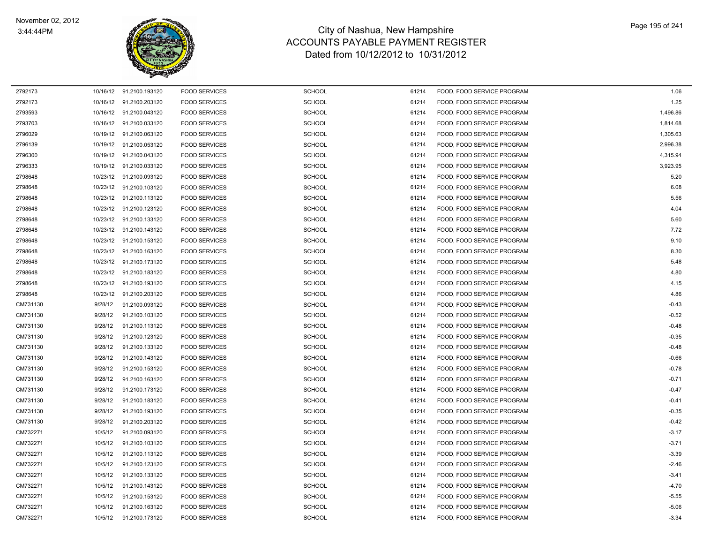

| 2792173  |          | 10/16/12 91.2100.193120 | <b>FOOD SERVICES</b> | <b>SCHOOL</b> | 61214 | FOOD, FOOD SERVICE PROGRAM | 1.06     |
|----------|----------|-------------------------|----------------------|---------------|-------|----------------------------|----------|
| 2792173  | 10/16/12 | 91.2100.203120          | <b>FOOD SERVICES</b> | SCHOOL        | 61214 | FOOD, FOOD SERVICE PROGRAM | 1.25     |
| 2793593  |          | 10/16/12 91.2100.043120 | <b>FOOD SERVICES</b> | SCHOOL        | 61214 | FOOD, FOOD SERVICE PROGRAM | 1,496.86 |
| 2793703  |          | 10/16/12 91.2100.033120 | <b>FOOD SERVICES</b> | <b>SCHOOL</b> | 61214 | FOOD, FOOD SERVICE PROGRAM | 1,814.68 |
| 2796029  | 10/19/12 | 91.2100.063120          | <b>FOOD SERVICES</b> | <b>SCHOOL</b> | 61214 | FOOD. FOOD SERVICE PROGRAM | 1,305.63 |
| 2796139  |          | 10/19/12 91.2100.053120 | <b>FOOD SERVICES</b> | <b>SCHOOL</b> | 61214 | FOOD, FOOD SERVICE PROGRAM | 2,996.38 |
| 2796300  | 10/19/12 | 91.2100.043120          | <b>FOOD SERVICES</b> | <b>SCHOOL</b> | 61214 | FOOD, FOOD SERVICE PROGRAM | 4,315.94 |
| 2796333  | 10/19/12 | 91.2100.033120          | <b>FOOD SERVICES</b> | <b>SCHOOL</b> | 61214 | FOOD, FOOD SERVICE PROGRAM | 3,923.95 |
| 2798648  |          | 10/23/12 91.2100.093120 | <b>FOOD SERVICES</b> | <b>SCHOOL</b> | 61214 | FOOD, FOOD SERVICE PROGRAM | 5.20     |
| 2798648  | 10/23/12 | 91.2100.103120          | <b>FOOD SERVICES</b> | <b>SCHOOL</b> | 61214 | FOOD, FOOD SERVICE PROGRAM | 6.08     |
| 2798648  | 10/23/12 | 91.2100.113120          | <b>FOOD SERVICES</b> | <b>SCHOOL</b> | 61214 | FOOD, FOOD SERVICE PROGRAM | 5.56     |
| 2798648  |          | 10/23/12 91.2100.123120 | <b>FOOD SERVICES</b> | <b>SCHOOL</b> | 61214 | FOOD, FOOD SERVICE PROGRAM | 4.04     |
| 2798648  |          | 10/23/12 91.2100.133120 | <b>FOOD SERVICES</b> | <b>SCHOOL</b> | 61214 | FOOD, FOOD SERVICE PROGRAM | 5.60     |
| 2798648  |          | 10/23/12 91.2100.143120 | <b>FOOD SERVICES</b> | <b>SCHOOL</b> | 61214 | FOOD, FOOD SERVICE PROGRAM | 7.72     |
| 2798648  | 10/23/12 | 91.2100.153120          | <b>FOOD SERVICES</b> | <b>SCHOOL</b> | 61214 | FOOD, FOOD SERVICE PROGRAM | 9.10     |
| 2798648  | 10/23/12 | 91.2100.163120          | <b>FOOD SERVICES</b> | <b>SCHOOL</b> | 61214 | FOOD, FOOD SERVICE PROGRAM | 8.30     |
| 2798648  | 10/23/12 | 91.2100.173120          | <b>FOOD SERVICES</b> | <b>SCHOOL</b> | 61214 | FOOD, FOOD SERVICE PROGRAM | 5.48     |
| 2798648  | 10/23/12 | 91.2100.183120          | <b>FOOD SERVICES</b> | SCHOOL        | 61214 | FOOD, FOOD SERVICE PROGRAM | 4.80     |
| 2798648  | 10/23/12 | 91.2100.193120          | <b>FOOD SERVICES</b> | <b>SCHOOL</b> | 61214 | FOOD, FOOD SERVICE PROGRAM | 4.15     |
| 2798648  | 10/23/12 | 91.2100.203120          | <b>FOOD SERVICES</b> | <b>SCHOOL</b> | 61214 | FOOD, FOOD SERVICE PROGRAM | 4.86     |
| CM731130 | 9/28/12  | 91.2100.093120          | <b>FOOD SERVICES</b> | <b>SCHOOL</b> | 61214 | FOOD, FOOD SERVICE PROGRAM | $-0.43$  |
| CM731130 | 9/28/12  | 91.2100.103120          | <b>FOOD SERVICES</b> | <b>SCHOOL</b> | 61214 | FOOD, FOOD SERVICE PROGRAM | $-0.52$  |
| CM731130 | 9/28/12  | 91.2100.113120          | <b>FOOD SERVICES</b> | <b>SCHOOL</b> | 61214 | FOOD, FOOD SERVICE PROGRAM | $-0.48$  |
| CM731130 | 9/28/12  | 91.2100.123120          | <b>FOOD SERVICES</b> | <b>SCHOOL</b> | 61214 | FOOD, FOOD SERVICE PROGRAM | $-0.35$  |
| CM731130 | 9/28/12  | 91.2100.133120          | <b>FOOD SERVICES</b> | <b>SCHOOL</b> | 61214 | FOOD, FOOD SERVICE PROGRAM | $-0.48$  |
| CM731130 | 9/28/12  | 91.2100.143120          | <b>FOOD SERVICES</b> | <b>SCHOOL</b> | 61214 | FOOD, FOOD SERVICE PROGRAM | $-0.66$  |
| CM731130 | 9/28/12  | 91.2100.153120          | <b>FOOD SERVICES</b> | SCHOOL        | 61214 | FOOD, FOOD SERVICE PROGRAM | $-0.78$  |
| CM731130 | 9/28/12  | 91.2100.163120          | <b>FOOD SERVICES</b> | <b>SCHOOL</b> | 61214 | FOOD, FOOD SERVICE PROGRAM | $-0.71$  |
| CM731130 | 9/28/12  | 91.2100.173120          | <b>FOOD SERVICES</b> | <b>SCHOOL</b> | 61214 | FOOD, FOOD SERVICE PROGRAM | $-0.47$  |
| CM731130 | 9/28/12  | 91.2100.183120          | <b>FOOD SERVICES</b> | <b>SCHOOL</b> | 61214 | FOOD, FOOD SERVICE PROGRAM | $-0.41$  |
| CM731130 | 9/28/12  | 91.2100.193120          | <b>FOOD SERVICES</b> | <b>SCHOOL</b> | 61214 | FOOD. FOOD SERVICE PROGRAM | $-0.35$  |
| CM731130 | 9/28/12  | 91.2100.203120          | <b>FOOD SERVICES</b> | <b>SCHOOL</b> | 61214 | FOOD, FOOD SERVICE PROGRAM | $-0.42$  |
| CM732271 | 10/5/12  | 91.2100.093120          | <b>FOOD SERVICES</b> | <b>SCHOOL</b> | 61214 | FOOD, FOOD SERVICE PROGRAM | $-3.17$  |
| CM732271 | 10/5/12  | 91.2100.103120          | <b>FOOD SERVICES</b> | SCHOOL        | 61214 | FOOD, FOOD SERVICE PROGRAM | $-3.71$  |
| CM732271 | 10/5/12  | 91.2100.113120          | <b>FOOD SERVICES</b> | <b>SCHOOL</b> | 61214 | FOOD, FOOD SERVICE PROGRAM | $-3.39$  |
| CM732271 | 10/5/12  | 91.2100.123120          | <b>FOOD SERVICES</b> | <b>SCHOOL</b> | 61214 | FOOD, FOOD SERVICE PROGRAM | $-2.46$  |
| CM732271 | 10/5/12  | 91.2100.133120          | <b>FOOD SERVICES</b> | <b>SCHOOL</b> | 61214 | FOOD, FOOD SERVICE PROGRAM | $-3.41$  |
| CM732271 | 10/5/12  | 91.2100.143120          | <b>FOOD SERVICES</b> | <b>SCHOOL</b> | 61214 | FOOD, FOOD SERVICE PROGRAM | $-4.70$  |
| CM732271 | 10/5/12  | 91.2100.153120          | <b>FOOD SERVICES</b> | <b>SCHOOL</b> | 61214 | FOOD, FOOD SERVICE PROGRAM | $-5.55$  |
| CM732271 | 10/5/12  | 91.2100.163120          | <b>FOOD SERVICES</b> | <b>SCHOOL</b> | 61214 | FOOD, FOOD SERVICE PROGRAM | $-5.06$  |
| CM732271 | 10/5/12  | 91.2100.173120          | <b>FOOD SERVICES</b> | SCHOOL        | 61214 | FOOD, FOOD SERVICE PROGRAM | $-3.34$  |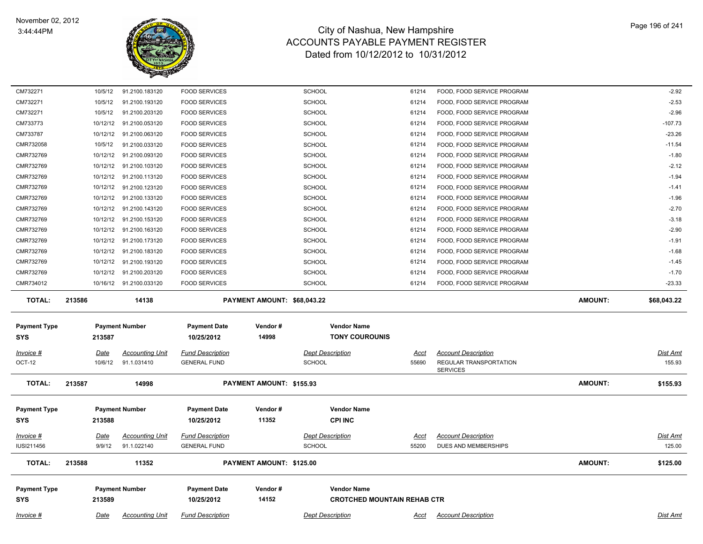

| 10/12/12<br>213586<br>213587<br><u>Date</u><br>10/6/12<br>213587<br>213588<br><u>Date</u><br>9/9/12<br>213588<br>213589 | 10/16/12 91.2100.033120<br>14138<br><b>Payment Number</b><br><b>Accounting Unit</b><br>91.1.031410<br>14998<br><b>Payment Number</b><br><u>Accounting Unit</u><br>91.1.022140<br>11352<br><b>Payment Number</b> | <b>FOOD SERVICES</b><br><b>Payment Date</b><br>10/25/2012<br><b>Fund Description</b><br><b>GENERAL FUND</b><br><b>Payment Date</b><br>10/25/2012<br><u>Fund Description</u><br><b>GENERAL FUND</b><br><b>Payment Date</b><br>10/25/2012 | PAYMENT AMOUNT: \$68,043.22<br>Vendor#<br>14998<br>PAYMENT AMOUNT: \$155.93<br>Vendor#<br>11352<br>PAYMENT AMOUNT: \$125.00<br>Vendor#<br>14152                                              | <b>SCHOOL</b><br><b>Vendor Name</b><br><b>TONY COUROUNIS</b><br><b>Dept Description</b><br><b>SCHOOL</b><br><b>Vendor Name</b><br><b>CPI INC</b><br><b>Dept Description</b><br><b>SCHOOL</b><br><b>Vendor Name</b> | 61214<br><u>Acct</u><br>55690<br><u>Acct</u><br>55200<br><b>CROTCHED MOUNTAIN REHAB CTR</b>                            | FOOD, FOOD SERVICE PROGRAM<br><b>Account Description</b><br><b>REGULAR TRANSPORTATION</b><br><b>SERVICES</b><br><b>Account Description</b><br>DUES AND MEMBERSHIPS | <b>AMOUNT:</b><br><b>AMOUNT:</b><br><b>AMOUNT:</b>                                                                                                                                                                                           | $-23.33$<br>\$68,043.22<br>Dist Amt<br>155.93<br>\$155.93<br><b>Dist Amt</b><br>125.00<br>\$125.00 |
|-------------------------------------------------------------------------------------------------------------------------|-----------------------------------------------------------------------------------------------------------------------------------------------------------------------------------------------------------------|-----------------------------------------------------------------------------------------------------------------------------------------------------------------------------------------------------------------------------------------|----------------------------------------------------------------------------------------------------------------------------------------------------------------------------------------------|--------------------------------------------------------------------------------------------------------------------------------------------------------------------------------------------------------------------|------------------------------------------------------------------------------------------------------------------------|--------------------------------------------------------------------------------------------------------------------------------------------------------------------|----------------------------------------------------------------------------------------------------------------------------------------------------------------------------------------------------------------------------------------------|----------------------------------------------------------------------------------------------------|
|                                                                                                                         |                                                                                                                                                                                                                 |                                                                                                                                                                                                                                         |                                                                                                                                                                                              |                                                                                                                                                                                                                    |                                                                                                                        |                                                                                                                                                                    |                                                                                                                                                                                                                                              |                                                                                                    |
|                                                                                                                         |                                                                                                                                                                                                                 |                                                                                                                                                                                                                                         |                                                                                                                                                                                              |                                                                                                                                                                                                                    |                                                                                                                        |                                                                                                                                                                    |                                                                                                                                                                                                                                              |                                                                                                    |
|                                                                                                                         |                                                                                                                                                                                                                 |                                                                                                                                                                                                                                         |                                                                                                                                                                                              |                                                                                                                                                                                                                    |                                                                                                                        |                                                                                                                                                                    |                                                                                                                                                                                                                                              |                                                                                                    |
|                                                                                                                         |                                                                                                                                                                                                                 |                                                                                                                                                                                                                                         |                                                                                                                                                                                              |                                                                                                                                                                                                                    |                                                                                                                        |                                                                                                                                                                    |                                                                                                                                                                                                                                              |                                                                                                    |
|                                                                                                                         |                                                                                                                                                                                                                 |                                                                                                                                                                                                                                         |                                                                                                                                                                                              |                                                                                                                                                                                                                    |                                                                                                                        |                                                                                                                                                                    |                                                                                                                                                                                                                                              |                                                                                                    |
|                                                                                                                         |                                                                                                                                                                                                                 |                                                                                                                                                                                                                                         |                                                                                                                                                                                              |                                                                                                                                                                                                                    |                                                                                                                        |                                                                                                                                                                    |                                                                                                                                                                                                                                              |                                                                                                    |
|                                                                                                                         |                                                                                                                                                                                                                 |                                                                                                                                                                                                                                         |                                                                                                                                                                                              |                                                                                                                                                                                                                    |                                                                                                                        |                                                                                                                                                                    |                                                                                                                                                                                                                                              |                                                                                                    |
|                                                                                                                         |                                                                                                                                                                                                                 |                                                                                                                                                                                                                                         |                                                                                                                                                                                              |                                                                                                                                                                                                                    |                                                                                                                        |                                                                                                                                                                    |                                                                                                                                                                                                                                              |                                                                                                    |
|                                                                                                                         |                                                                                                                                                                                                                 |                                                                                                                                                                                                                                         |                                                                                                                                                                                              |                                                                                                                                                                                                                    |                                                                                                                        |                                                                                                                                                                    |                                                                                                                                                                                                                                              |                                                                                                    |
|                                                                                                                         |                                                                                                                                                                                                                 |                                                                                                                                                                                                                                         |                                                                                                                                                                                              |                                                                                                                                                                                                                    |                                                                                                                        |                                                                                                                                                                    |                                                                                                                                                                                                                                              |                                                                                                    |
|                                                                                                                         |                                                                                                                                                                                                                 |                                                                                                                                                                                                                                         |                                                                                                                                                                                              |                                                                                                                                                                                                                    |                                                                                                                        |                                                                                                                                                                    |                                                                                                                                                                                                                                              |                                                                                                    |
|                                                                                                                         |                                                                                                                                                                                                                 |                                                                                                                                                                                                                                         |                                                                                                                                                                                              |                                                                                                                                                                                                                    |                                                                                                                        |                                                                                                                                                                    |                                                                                                                                                                                                                                              |                                                                                                    |
|                                                                                                                         | 91.2100.203120                                                                                                                                                                                                  | <b>FOOD SERVICES</b>                                                                                                                                                                                                                    |                                                                                                                                                                                              | <b>SCHOOL</b>                                                                                                                                                                                                      | 61214                                                                                                                  | FOOD, FOOD SERVICE PROGRAM                                                                                                                                         |                                                                                                                                                                                                                                              | $-1.70$                                                                                            |
|                                                                                                                         | 10/12/12 91.2100.193120                                                                                                                                                                                         | <b>FOOD SERVICES</b>                                                                                                                                                                                                                    |                                                                                                                                                                                              | <b>SCHOOL</b>                                                                                                                                                                                                      | 61214                                                                                                                  | FOOD, FOOD SERVICE PROGRAM                                                                                                                                         |                                                                                                                                                                                                                                              | $-1.45$                                                                                            |
|                                                                                                                         | 10/12/12 91.2100.183120                                                                                                                                                                                         | <b>FOOD SERVICES</b>                                                                                                                                                                                                                    |                                                                                                                                                                                              | <b>SCHOOL</b>                                                                                                                                                                                                      | 61214                                                                                                                  | FOOD, FOOD SERVICE PROGRAM                                                                                                                                         |                                                                                                                                                                                                                                              | $-1.68$                                                                                            |
| 10/12/12                                                                                                                | 91.2100.173120                                                                                                                                                                                                  | <b>FOOD SERVICES</b>                                                                                                                                                                                                                    |                                                                                                                                                                                              | <b>SCHOOL</b>                                                                                                                                                                                                      | 61214                                                                                                                  | FOOD, FOOD SERVICE PROGRAM                                                                                                                                         |                                                                                                                                                                                                                                              | $-1.91$                                                                                            |
|                                                                                                                         | 10/12/12 91.2100.163120                                                                                                                                                                                         | <b>FOOD SERVICES</b>                                                                                                                                                                                                                    |                                                                                                                                                                                              | <b>SCHOOL</b>                                                                                                                                                                                                      | 61214                                                                                                                  | FOOD, FOOD SERVICE PROGRAM                                                                                                                                         |                                                                                                                                                                                                                                              | $-2.90$                                                                                            |
|                                                                                                                         | 10/12/12 91.2100.153120                                                                                                                                                                                         | <b>FOOD SERVICES</b>                                                                                                                                                                                                                    |                                                                                                                                                                                              | <b>SCHOOL</b>                                                                                                                                                                                                      | 61214                                                                                                                  | FOOD, FOOD SERVICE PROGRAM                                                                                                                                         |                                                                                                                                                                                                                                              | $-3.18$                                                                                            |
|                                                                                                                         |                                                                                                                                                                                                                 |                                                                                                                                                                                                                                         |                                                                                                                                                                                              |                                                                                                                                                                                                                    |                                                                                                                        |                                                                                                                                                                    |                                                                                                                                                                                                                                              | $-1.96$<br>$-2.70$                                                                                 |
|                                                                                                                         |                                                                                                                                                                                                                 |                                                                                                                                                                                                                                         |                                                                                                                                                                                              |                                                                                                                                                                                                                    |                                                                                                                        |                                                                                                                                                                    |                                                                                                                                                                                                                                              | $-1.41$                                                                                            |
|                                                                                                                         |                                                                                                                                                                                                                 |                                                                                                                                                                                                                                         |                                                                                                                                                                                              |                                                                                                                                                                                                                    |                                                                                                                        |                                                                                                                                                                    |                                                                                                                                                                                                                                              | $-1.94$                                                                                            |
|                                                                                                                         |                                                                                                                                                                                                                 |                                                                                                                                                                                                                                         |                                                                                                                                                                                              |                                                                                                                                                                                                                    |                                                                                                                        |                                                                                                                                                                    |                                                                                                                                                                                                                                              | $-2.12$                                                                                            |
|                                                                                                                         |                                                                                                                                                                                                                 |                                                                                                                                                                                                                                         |                                                                                                                                                                                              |                                                                                                                                                                                                                    |                                                                                                                        |                                                                                                                                                                    |                                                                                                                                                                                                                                              | $-1.80$                                                                                            |
|                                                                                                                         |                                                                                                                                                                                                                 |                                                                                                                                                                                                                                         |                                                                                                                                                                                              |                                                                                                                                                                                                                    |                                                                                                                        |                                                                                                                                                                    |                                                                                                                                                                                                                                              | $-11.54$                                                                                           |
|                                                                                                                         |                                                                                                                                                                                                                 |                                                                                                                                                                                                                                         |                                                                                                                                                                                              |                                                                                                                                                                                                                    |                                                                                                                        |                                                                                                                                                                    |                                                                                                                                                                                                                                              | $-23.26$                                                                                           |
|                                                                                                                         | 91.2100.053120                                                                                                                                                                                                  | <b>FOOD SERVICES</b>                                                                                                                                                                                                                    |                                                                                                                                                                                              | <b>SCHOOL</b>                                                                                                                                                                                                      | 61214                                                                                                                  | FOOD, FOOD SERVICE PROGRAM                                                                                                                                         |                                                                                                                                                                                                                                              | $-107.73$                                                                                          |
| 10/5/12                                                                                                                 | 91.2100.203120                                                                                                                                                                                                  | <b>FOOD SERVICES</b>                                                                                                                                                                                                                    |                                                                                                                                                                                              | <b>SCHOOL</b>                                                                                                                                                                                                      | 61214                                                                                                                  | FOOD, FOOD SERVICE PROGRAM                                                                                                                                         |                                                                                                                                                                                                                                              | $-2.96$                                                                                            |
| 10/5/12                                                                                                                 | 91.2100.193120                                                                                                                                                                                                  | <b>FOOD SERVICES</b>                                                                                                                                                                                                                    |                                                                                                                                                                                              | <b>SCHOOL</b>                                                                                                                                                                                                      | 61214                                                                                                                  | FOOD, FOOD SERVICE PROGRAM                                                                                                                                         |                                                                                                                                                                                                                                              | $-2.53$                                                                                            |
| 10/5/12                                                                                                                 | 91.2100.183120                                                                                                                                                                                                  | <b>FOOD SERVICES</b>                                                                                                                                                                                                                    |                                                                                                                                                                                              | <b>SCHOOL</b>                                                                                                                                                                                                      | 61214                                                                                                                  | FOOD, FOOD SERVICE PROGRAM                                                                                                                                         |                                                                                                                                                                                                                                              | $-2.92$                                                                                            |
|                                                                                                                         | 10/12/12<br>10/12/12<br>10/5/12<br>10/12/12<br>10/12/12<br>10/12/12                                                                                                                                             | 91.2100.063120<br>91.2100.033120<br>91.2100.093120<br>10/12/12 91.2100.103120<br>91.2100.113120<br>91.2100.123120<br>10/12/12 91.2100.133120<br>10/12/12 91.2100.143120                                                                 | <b>FOOD SERVICES</b><br><b>FOOD SERVICES</b><br><b>FOOD SERVICES</b><br><b>FOOD SERVICES</b><br><b>FOOD SERVICES</b><br><b>FOOD SERVICES</b><br><b>FOOD SERVICES</b><br><b>FOOD SERVICES</b> |                                                                                                                                                                                                                    | <b>SCHOOL</b><br><b>SCHOOL</b><br><b>SCHOOL</b><br>SCHOOL<br><b>SCHOOL</b><br>SCHOOL<br><b>SCHOOL</b><br><b>SCHOOL</b> | 61214<br>61214<br>61214<br>61214<br>61214<br>61214<br>61214<br>61214                                                                                               | FOOD, FOOD SERVICE PROGRAM<br>FOOD, FOOD SERVICE PROGRAM<br>FOOD, FOOD SERVICE PROGRAM<br>FOOD, FOOD SERVICE PROGRAM<br>FOOD, FOOD SERVICE PROGRAM<br>FOOD, FOOD SERVICE PROGRAM<br>FOOD, FOOD SERVICE PROGRAM<br>FOOD, FOOD SERVICE PROGRAM |                                                                                                    |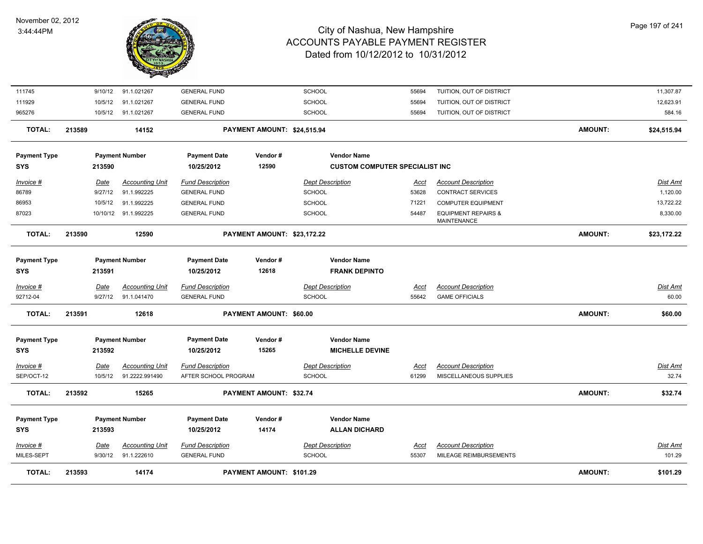

| <b>TOTAL:</b>                                    | 213593 |                        | 14174                                           |                                                              | PAYMENT AMOUNT: \$101.29       |                                          |                                            |                      |                                                      | <b>AMOUNT:</b> | \$101.29                  |
|--------------------------------------------------|--------|------------------------|-------------------------------------------------|--------------------------------------------------------------|--------------------------------|------------------------------------------|--------------------------------------------|----------------------|------------------------------------------------------|----------------|---------------------------|
| $Invoice$ #<br>MILES-SEPT                        |        | <u>Date</u><br>9/30/12 | <b>Accounting Unit</b><br>91.1.222610           | <b>Fund Description</b><br><b>GENERAL FUND</b>               |                                | <b>Dept Description</b><br>SCHOOL        |                                            | <u>Acct</u><br>55307 | <b>Account Description</b><br>MILEAGE REIMBURSEMENTS |                | <b>Dist Amt</b><br>101.29 |
| <b>Payment Type</b><br><b>SYS</b>                |        | 213593                 | <b>Payment Number</b>                           | <b>Payment Date</b><br>10/25/2012                            | Vendor#<br>14174               |                                          | <b>Vendor Name</b><br><b>ALLAN DICHARD</b> |                      |                                                      |                |                           |
| <b>TOTAL:</b>                                    | 213592 |                        | 15265                                           |                                                              | PAYMENT AMOUNT: \$32.74        |                                          |                                            |                      |                                                      | AMOUNT:        | \$32.74                   |
| Invoice #<br>SEP/OCT-12                          |        | Date<br>10/5/12        | <b>Accounting Unit</b><br>91.2222.991490        | <b>Fund Description</b><br>AFTER SCHOOL PROGRAM              |                                | <b>Dept Description</b><br><b>SCHOOL</b> |                                            | <b>Acct</b><br>61299 | <b>Account Description</b><br>MISCELLANEOUS SUPPLIES |                | Dist Amt<br>32.74         |
| SYS                                              |        | 213592                 |                                                 | 10/25/2012                                                   | 15265                          |                                          | <b>MICHELLE DEVINE</b>                     |                      |                                                      |                |                           |
| <b>Payment Type</b>                              |        |                        | <b>Payment Number</b>                           | <b>Payment Date</b>                                          | Vendor#                        |                                          | <b>Vendor Name</b>                         |                      |                                                      |                |                           |
| <b>TOTAL:</b>                                    | 213591 |                        | 12618                                           |                                                              | <b>PAYMENT AMOUNT: \$60.00</b> |                                          |                                            |                      |                                                      | <b>AMOUNT:</b> | \$60.00                   |
| 92712-04                                         |        | 9/27/12                | 91.1.041470                                     | <b>GENERAL FUND</b>                                          |                                | <b>SCHOOL</b>                            |                                            | 55642                | <b>GAME OFFICIALS</b>                                |                | 60.00                     |
| <b>Payment Type</b><br><b>SYS</b><br>$Invoice$ # |        | 213591<br><u>Date</u>  | <b>Payment Number</b><br><b>Accounting Unit</b> | <b>Payment Date</b><br>10/25/2012<br><b>Fund Description</b> | Vendor#<br>12618               | <b>Dept Description</b>                  | <b>Vendor Name</b><br><b>FRANK DEPINTO</b> | <u>Acct</u>          | <b>Account Description</b>                           |                | <u>Dist Amt</u>           |
|                                                  |        |                        |                                                 |                                                              |                                |                                          |                                            |                      |                                                      |                |                           |
| <b>TOTAL:</b>                                    | 213590 |                        | 12590                                           |                                                              | PAYMENT AMOUNT: \$23,172.22    |                                          |                                            |                      |                                                      | <b>AMOUNT:</b> | \$23,172.22               |
| 87023                                            |        |                        | 10/10/12 91.1.992225                            | <b>GENERAL FUND</b>                                          |                                | <b>SCHOOL</b>                            |                                            | 54487                | <b>EQUIPMENT REPAIRS &amp;</b><br>MAINTENANCE        |                | 8,330.00                  |
| 86953                                            |        | 10/5/12                | 91.1.992225                                     | <b>GENERAL FUND</b>                                          |                                | <b>SCHOOL</b>                            |                                            | 71221                | <b>COMPUTER EQUIPMENT</b>                            |                | 13,722.22                 |
| 86789                                            |        | 9/27/12                | 91.1.992225                                     | <b>GENERAL FUND</b>                                          |                                | <b>SCHOOL</b>                            |                                            | 53628                | <b>CONTRACT SERVICES</b>                             |                | 1,120.00                  |
| Invoice #                                        |        | Date                   | <b>Accounting Unit</b>                          | <b>Fund Description</b>                                      |                                | <b>Dept Description</b>                  |                                            | Acct                 | <b>Account Description</b>                           |                | Dist Amt                  |
| <b>SYS</b>                                       |        | 213590                 |                                                 | 10/25/2012                                                   | 12590                          |                                          | <b>CUSTOM COMPUTER SPECIALIST INC</b>      |                      |                                                      |                |                           |
| <b>Payment Type</b>                              |        |                        | <b>Payment Number</b>                           | <b>Payment Date</b>                                          | Vendor#                        |                                          | <b>Vendor Name</b>                         |                      |                                                      |                |                           |
| <b>TOTAL:</b>                                    | 213589 |                        | 14152                                           |                                                              | PAYMENT AMOUNT: \$24,515.94    |                                          |                                            |                      |                                                      | AMOUNT:        | \$24,515.94               |
| 965276                                           |        | 10/5/12                | 91.1.021267                                     | <b>GENERAL FUND</b>                                          |                                | SCHOOL                                   |                                            | 55694                | TUITION, OUT OF DISTRICT                             |                | 584.16                    |
| 111929                                           |        | 10/5/12                | 91.1.021267                                     | <b>GENERAL FUND</b>                                          |                                | SCHOOL                                   |                                            | 55694                | TUITION, OUT OF DISTRICT                             |                | 12,623.91                 |
| 111745                                           |        | 9/10/12                | 91.1.021267                                     | <b>GENERAL FUND</b>                                          |                                | SCHOOL                                   |                                            | 55694                | TUITION, OUT OF DISTRICT                             |                | 11,307.87                 |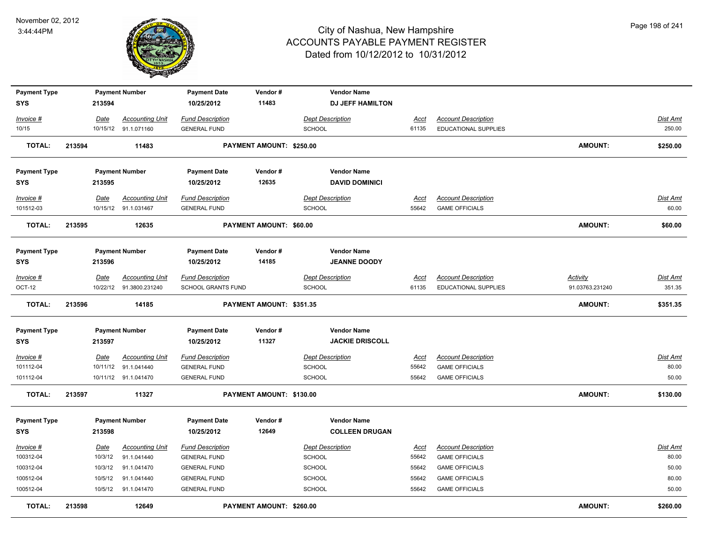

| <b>Payment Type</b>      |        |                         | <b>Payment Number</b>                 | <b>Payment Date</b>                            | Vendor#                  | <b>Vendor Name</b>                |                      |                                                     |                 |                          |
|--------------------------|--------|-------------------------|---------------------------------------|------------------------------------------------|--------------------------|-----------------------------------|----------------------|-----------------------------------------------------|-----------------|--------------------------|
| <b>SYS</b>               |        | 213594                  |                                       | 10/25/2012                                     | 11483                    | <b>DJ JEFF HAMILTON</b>           |                      |                                                     |                 |                          |
| Invoice #                |        | Date                    | <b>Accounting Unit</b>                | <b>Fund Description</b>                        |                          | <b>Dept Description</b>           | <b>Acct</b>          | <b>Account Description</b>                          |                 | <b>Dist Amt</b>          |
| 10/15                    |        |                         | 10/15/12 91.1.071160                  | <b>GENERAL FUND</b>                            |                          | <b>SCHOOL</b>                     | 61135                | EDUCATIONAL SUPPLIES                                |                 | 250.00                   |
| <b>TOTAL:</b>            | 213594 |                         | 11483                                 |                                                | PAYMENT AMOUNT: \$250.00 |                                   |                      |                                                     | <b>AMOUNT:</b>  | \$250.00                 |
|                          |        |                         |                                       |                                                |                          |                                   |                      |                                                     |                 |                          |
| <b>Payment Type</b>      |        |                         | <b>Payment Number</b>                 | <b>Payment Date</b>                            | Vendor#                  | <b>Vendor Name</b>                |                      |                                                     |                 |                          |
| <b>SYS</b>               |        | 213595                  |                                       | 10/25/2012                                     | 12635                    | <b>DAVID DOMINICI</b>             |                      |                                                     |                 |                          |
| Invoice #                |        | Date                    | <b>Accounting Unit</b>                | <b>Fund Description</b>                        |                          | <b>Dept Description</b>           | Acct                 | <b>Account Description</b>                          |                 | Dist Amt                 |
| 101512-03                |        |                         | 10/15/12 91.1.031467                  | <b>GENERAL FUND</b>                            |                          | <b>SCHOOL</b>                     | 55642                | <b>GAME OFFICIALS</b>                               |                 | 60.00                    |
|                          |        |                         |                                       |                                                |                          |                                   |                      |                                                     |                 |                          |
| <b>TOTAL:</b>            | 213595 |                         | 12635                                 |                                                | PAYMENT AMOUNT: \$60.00  |                                   |                      |                                                     | <b>AMOUNT:</b>  | \$60.00                  |
|                          |        |                         |                                       |                                                |                          |                                   |                      |                                                     |                 |                          |
| <b>Payment Type</b>      |        |                         | <b>Payment Number</b>                 | <b>Payment Date</b>                            | Vendor#                  | <b>Vendor Name</b>                |                      |                                                     |                 |                          |
| <b>SYS</b>               |        | 213596                  |                                       | 10/25/2012                                     | 14185                    | <b>JEANNE DOODY</b>               |                      |                                                     |                 |                          |
| $Invoice$ #              |        | Date                    | <b>Accounting Unit</b>                | <b>Fund Description</b>                        |                          | <b>Dept Description</b>           | <u>Acct</u>          | <b>Account Description</b>                          | <b>Activity</b> | Dist Amt                 |
| OCT-12                   |        |                         | 10/22/12 91.3800.231240               | <b>SCHOOL GRANTS FUND</b>                      |                          | <b>SCHOOL</b>                     | 61135                | <b>EDUCATIONAL SUPPLIES</b>                         | 91.03763.231240 | 351.35                   |
| <b>TOTAL:</b>            | 213596 |                         | 14185                                 |                                                | PAYMENT AMOUNT: \$351.35 |                                   |                      |                                                     | <b>AMOUNT:</b>  | \$351.35                 |
| <b>Payment Type</b>      |        |                         | <b>Payment Number</b>                 | <b>Payment Date</b>                            | Vendor#                  | <b>Vendor Name</b>                |                      |                                                     |                 |                          |
| <b>SYS</b>               |        | 213597                  |                                       | 10/25/2012                                     | 11327                    | <b>JACKIE DRISCOLL</b>            |                      |                                                     |                 |                          |
|                          |        |                         |                                       |                                                |                          |                                   |                      |                                                     |                 |                          |
| $Invoice$ #<br>101112-04 |        | <u>Date</u><br>10/11/12 | <b>Accounting Unit</b><br>91.1.041440 | <b>Fund Description</b><br><b>GENERAL FUND</b> |                          | <b>Dept Description</b><br>SCHOOL | <u>Acct</u><br>55642 | <b>Account Description</b><br><b>GAME OFFICIALS</b> |                 | <b>Dist Amt</b><br>80.00 |
| 101112-04                |        |                         | 10/11/12 91.1.041470                  | <b>GENERAL FUND</b>                            |                          | <b>SCHOOL</b>                     | 55642                | <b>GAME OFFICIALS</b>                               |                 | 50.00                    |
|                          |        |                         |                                       |                                                |                          |                                   |                      |                                                     |                 |                          |
| <b>TOTAL:</b>            | 213597 |                         | 11327                                 |                                                | PAYMENT AMOUNT: \$130.00 |                                   |                      |                                                     | <b>AMOUNT:</b>  | \$130.00                 |
| <b>Payment Type</b>      |        |                         | <b>Payment Number</b>                 | <b>Payment Date</b>                            | Vendor#                  | <b>Vendor Name</b>                |                      |                                                     |                 |                          |
| <b>SYS</b>               |        | 213598                  |                                       | 10/25/2012                                     | 12649                    | <b>COLLEEN DRUGAN</b>             |                      |                                                     |                 |                          |
| Invoice #                |        | <u>Date</u>             | <b>Accounting Unit</b>                | <b>Fund Description</b>                        |                          | <b>Dept Description</b>           | <u>Acct</u>          | <b>Account Description</b>                          |                 | <b>Dist Amt</b>          |
| 100312-04                |        | 10/3/12                 | 91.1.041440                           | <b>GENERAL FUND</b>                            |                          | <b>SCHOOL</b>                     | 55642                | <b>GAME OFFICIALS</b>                               |                 | 80.00                    |
| 100312-04                |        | 10/3/12                 | 91.1.041470                           | <b>GENERAL FUND</b>                            |                          | SCHOOL                            | 55642                | <b>GAME OFFICIALS</b>                               |                 | 50.00                    |
| 100512-04                |        | 10/5/12                 | 91.1.041440                           | <b>GENERAL FUND</b>                            |                          | SCHOOL                            | 55642                | <b>GAME OFFICIALS</b>                               |                 | 80.00                    |
| 100512-04                |        | 10/5/12                 | 91.1.041470                           | <b>GENERAL FUND</b>                            |                          | <b>SCHOOL</b>                     | 55642                | <b>GAME OFFICIALS</b>                               |                 | 50.00                    |
|                          |        |                         |                                       |                                                |                          |                                   |                      |                                                     |                 |                          |
| <b>TOTAL:</b>            | 213598 |                         | 12649                                 |                                                | PAYMENT AMOUNT: \$260.00 |                                   |                      |                                                     | <b>AMOUNT:</b>  | \$260.00                 |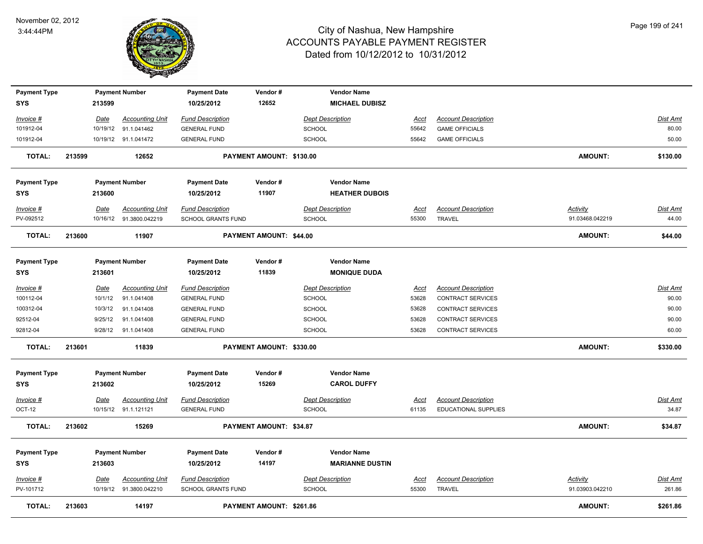

| <b>Payment Type</b>               |        |             | <b>Payment Number</b>                             | <b>Payment Date</b>                           | Vendor#                  | <b>Vendor Name</b>                          |                      |                                             |                                    |                           |
|-----------------------------------|--------|-------------|---------------------------------------------------|-----------------------------------------------|--------------------------|---------------------------------------------|----------------------|---------------------------------------------|------------------------------------|---------------------------|
| <b>SYS</b>                        |        | 213599      |                                                   | 10/25/2012                                    | 12652                    | <b>MICHAEL DUBISZ</b>                       |                      |                                             |                                    |                           |
| Invoice #                         |        | Date        | <b>Accounting Unit</b>                            | <b>Fund Description</b>                       |                          | <b>Dept Description</b>                     | Acct                 | <b>Account Description</b>                  |                                    | <b>Dist Amt</b>           |
| 101912-04                         |        |             | 10/19/12 91.1.041462                              | <b>GENERAL FUND</b>                           |                          | SCHOOL                                      | 55642                | <b>GAME OFFICIALS</b>                       |                                    | 80.00                     |
| 101912-04                         |        |             | 10/19/12 91.1.041472                              | <b>GENERAL FUND</b>                           |                          | <b>SCHOOL</b>                               | 55642                | <b>GAME OFFICIALS</b>                       |                                    | 50.00                     |
| <b>TOTAL:</b>                     | 213599 |             | 12652                                             |                                               | PAYMENT AMOUNT: \$130.00 |                                             |                      |                                             | <b>AMOUNT:</b>                     | \$130.00                  |
| <b>Payment Type</b><br><b>SYS</b> |        | 213600      | <b>Payment Number</b>                             | <b>Payment Date</b><br>10/25/2012             | Vendor#<br>11907         | <b>Vendor Name</b><br><b>HEATHER DUBOIS</b> |                      |                                             |                                    |                           |
| Invoice #                         |        | Date        | <b>Accounting Unit</b>                            | <b>Fund Description</b>                       |                          | <b>Dept Description</b>                     | <u>Acct</u>          | <b>Account Description</b>                  | <b>Activity</b>                    | Dist Amt                  |
| PV-092512                         |        |             | 10/16/12 91.3800.042219                           | SCHOOL GRANTS FUND                            |                          | SCHOOL                                      | 55300                | <b>TRAVEL</b>                               | 91.03468.042219                    | 44.00                     |
| <b>TOTAL:</b>                     | 213600 |             | 11907                                             |                                               | PAYMENT AMOUNT: \$44.00  |                                             |                      |                                             | <b>AMOUNT:</b>                     | \$44.00                   |
| <b>Payment Type</b><br><b>SYS</b> |        | 213601      | <b>Payment Number</b>                             | <b>Payment Date</b><br>10/25/2012             | Vendor#<br>11839         | <b>Vendor Name</b><br><b>MONIQUE DUDA</b>   |                      |                                             |                                    |                           |
| Invoice #                         |        | Date        | <b>Accounting Unit</b>                            | <b>Fund Description</b>                       |                          | <b>Dept Description</b>                     | <u>Acct</u>          | <b>Account Description</b>                  |                                    | Dist Amt                  |
| 100112-04                         |        | 10/1/12     | 91.1.041408                                       | <b>GENERAL FUND</b>                           |                          | <b>SCHOOL</b>                               | 53628                | <b>CONTRACT SERVICES</b>                    |                                    | 90.00                     |
| 100312-04                         |        | 10/3/12     | 91.1.041408                                       | <b>GENERAL FUND</b>                           |                          | <b>SCHOOL</b>                               | 53628                | CONTRACT SERVICES                           |                                    | 90.00                     |
| 92512-04                          |        | 9/25/12     | 91.1.041408                                       | <b>GENERAL FUND</b>                           |                          | <b>SCHOOL</b>                               | 53628                | <b>CONTRACT SERVICES</b>                    |                                    | 90.00                     |
| 92812-04                          |        |             | 9/28/12 91.1.041408                               | <b>GENERAL FUND</b>                           |                          | <b>SCHOOL</b>                               | 53628                | <b>CONTRACT SERVICES</b>                    |                                    | 60.00                     |
| TOTAL:                            | 213601 |             | 11839                                             |                                               | PAYMENT AMOUNT: \$330.00 |                                             |                      |                                             | <b>AMOUNT:</b>                     | \$330.00                  |
| <b>Payment Type</b>               |        |             | <b>Payment Number</b>                             | <b>Payment Date</b>                           | Vendor#                  | <b>Vendor Name</b>                          |                      |                                             |                                    |                           |
| <b>SYS</b>                        |        | 213602      |                                                   | 10/25/2012                                    | 15269                    | <b>CAROL DUFFY</b>                          |                      |                                             |                                    |                           |
| Invoice #                         |        | <u>Date</u> | <b>Accounting Unit</b>                            | <b>Fund Description</b>                       |                          | <b>Dept Description</b>                     | <b>Acct</b>          | <b>Account Description</b>                  |                                    | <b>Dist Amt</b>           |
| OCT-12                            |        |             | 10/15/12 91.1.121121                              | <b>GENERAL FUND</b>                           |                          | <b>SCHOOL</b>                               | 61135                | EDUCATIONAL SUPPLIES                        |                                    | 34.87                     |
| <b>TOTAL:</b>                     | 213602 |             | 15269                                             |                                               | PAYMENT AMOUNT: \$34.87  |                                             |                      |                                             | <b>AMOUNT:</b>                     | \$34.87                   |
| <b>Payment Type</b>               |        |             | <b>Payment Number</b>                             | <b>Payment Date</b>                           | Vendor#                  | <b>Vendor Name</b>                          |                      |                                             |                                    |                           |
| <b>SYS</b>                        |        | 213603      |                                                   | 10/25/2012                                    | 14197                    | <b>MARIANNE DUSTIN</b>                      |                      |                                             |                                    |                           |
| Invoice #<br>PV-101712            |        | Date        | <b>Accounting Unit</b><br>10/19/12 91.3800.042210 | <b>Fund Description</b><br>SCHOOL GRANTS FUND |                          | <b>Dept Description</b><br><b>SCHOOL</b>    | <u>Acct</u><br>55300 | <b>Account Description</b><br><b>TRAVEL</b> | <b>Activity</b><br>91.03903.042210 | <u>Dist Amt</u><br>261.86 |
|                                   |        |             |                                                   |                                               |                          |                                             |                      |                                             |                                    |                           |
| <b>TOTAL:</b>                     | 213603 |             | 14197                                             |                                               | PAYMENT AMOUNT: \$261.86 |                                             |                      |                                             | <b>AMOUNT:</b>                     | \$261.86                  |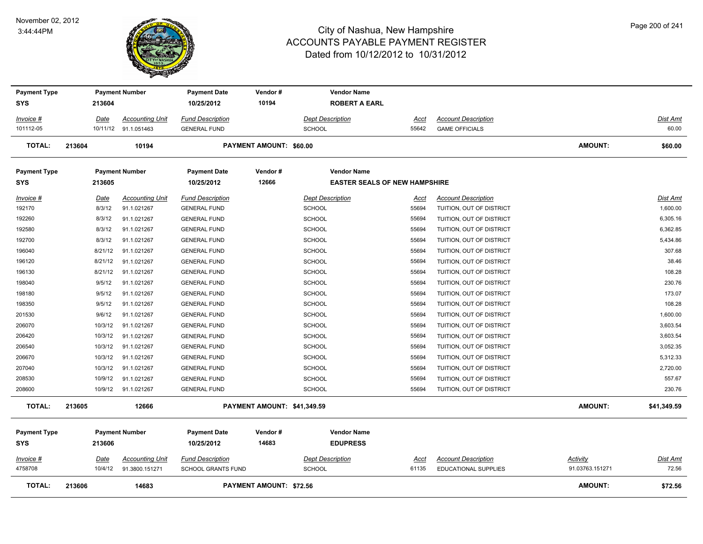

| <b>Payment Type</b><br>SYS | 213604          | <b>Payment Number</b>                    | <b>Payment Date</b><br>10/25/2012                    | Vendor#<br>10194               | <b>Vendor Name</b><br><b>ROBERT A EARL</b> |               |                                                           |                             |                   |
|----------------------------|-----------------|------------------------------------------|------------------------------------------------------|--------------------------------|--------------------------------------------|---------------|-----------------------------------------------------------|-----------------------------|-------------------|
|                            |                 |                                          |                                                      |                                |                                            |               |                                                           |                             |                   |
| Invoice #                  | Date            | <b>Accounting Unit</b>                   | <b>Fund Description</b>                              |                                | <b>Dept Description</b>                    | Acct          | <b>Account Description</b>                                |                             | Dist Amt          |
| 101112-05                  |                 | 10/11/12 91.1.051463                     | <b>GENERAL FUND</b>                                  |                                | <b>SCHOOL</b>                              | 55642         | <b>GAME OFFICIALS</b>                                     |                             | 60.00             |
| <b>TOTAL:</b>              | 213604          | 10194                                    |                                                      | <b>PAYMENT AMOUNT: \$60.00</b> |                                            |               |                                                           | <b>AMOUNT:</b>              | \$60.00           |
| <b>Payment Type</b>        |                 | <b>Payment Number</b>                    | <b>Payment Date</b>                                  | Vendor#                        | <b>Vendor Name</b>                         |               |                                                           |                             |                   |
| SYS                        | 213605          |                                          | 10/25/2012                                           | 12666                          | <b>EASTER SEALS OF NEW HAMPSHIRE</b>       |               |                                                           |                             |                   |
| Invoice #                  | Date            | <b>Accounting Unit</b>                   | <b>Fund Description</b>                              |                                | <b>Dept Description</b>                    | Acct          | <b>Account Description</b>                                |                             | Dist Amt          |
| 192170                     | 8/3/12          | 91.1.021267                              | <b>GENERAL FUND</b>                                  |                                | <b>SCHOOL</b>                              | 55694         | TUITION, OUT OF DISTRICT                                  |                             | 1,600.00          |
| 192260                     | 8/3/12          | 91.1.021267                              | <b>GENERAL FUND</b>                                  |                                | <b>SCHOOL</b>                              | 55694         | TUITION, OUT OF DISTRICT                                  |                             | 6,305.16          |
| 192580                     | 8/3/12          | 91.1.021267                              | <b>GENERAL FUND</b>                                  |                                | <b>SCHOOL</b>                              | 55694         | TUITION, OUT OF DISTRICT                                  |                             | 6,362.85          |
| 192700                     | 8/3/12          | 91.1.021267                              | <b>GENERAL FUND</b>                                  |                                | <b>SCHOOL</b>                              | 55694         | TUITION, OUT OF DISTRICT                                  |                             | 5,434.86          |
| 196040                     | 8/21/12         | 91.1.021267                              | <b>GENERAL FUND</b>                                  |                                | <b>SCHOOL</b>                              | 55694         | TUITION, OUT OF DISTRICT                                  |                             | 307.68            |
| 196120                     | 8/21/12         | 91.1.021267                              | <b>GENERAL FUND</b>                                  |                                | <b>SCHOOL</b>                              | 55694         | TUITION, OUT OF DISTRICT                                  |                             | 38.46             |
| 196130                     | 8/21/12         | 91.1.021267                              | <b>GENERAL FUND</b>                                  |                                | <b>SCHOOL</b>                              | 55694         | TUITION, OUT OF DISTRICT                                  |                             | 108.28            |
| 198040                     | 9/5/12          | 91.1.021267                              | <b>GENERAL FUND</b>                                  |                                | <b>SCHOOL</b>                              | 55694         | TUITION, OUT OF DISTRICT                                  |                             | 230.76            |
| 198180                     | 9/5/12          | 91.1.021267                              | <b>GENERAL FUND</b>                                  |                                | <b>SCHOOL</b>                              | 55694         | TUITION, OUT OF DISTRICT                                  |                             | 173.07            |
| 198350                     | 9/5/12          | 91.1.021267                              | <b>GENERAL FUND</b>                                  |                                | <b>SCHOOL</b>                              | 55694         | TUITION, OUT OF DISTRICT                                  |                             | 108.28            |
| 201530                     | 9/6/12          | 91.1.021267                              | <b>GENERAL FUND</b>                                  |                                | <b>SCHOOL</b>                              | 55694         | TUITION, OUT OF DISTRICT                                  |                             | 1,600.00          |
| 206070                     | 10/3/12         | 91.1.021267                              | <b>GENERAL FUND</b>                                  |                                | <b>SCHOOL</b>                              | 55694         | TUITION, OUT OF DISTRICT                                  |                             | 3,603.54          |
| 206420                     | 10/3/12         | 91.1.021267                              | <b>GENERAL FUND</b>                                  |                                | <b>SCHOOL</b>                              | 55694         | TUITION, OUT OF DISTRICT                                  |                             | 3,603.54          |
| 206540                     | 10/3/12         | 91.1.021267                              | <b>GENERAL FUND</b>                                  |                                | <b>SCHOOL</b>                              | 55694         | TUITION, OUT OF DISTRICT                                  |                             | 3,052.35          |
| 206670                     | 10/3/12         | 91.1.021267                              | <b>GENERAL FUND</b>                                  |                                | SCHOOL                                     | 55694         | TUITION, OUT OF DISTRICT                                  |                             | 5,312.33          |
| 207040                     | 10/3/12         | 91.1.021267                              | <b>GENERAL FUND</b>                                  |                                | <b>SCHOOL</b>                              | 55694         | TUITION, OUT OF DISTRICT                                  |                             | 2,720.00          |
| 208530                     | 10/9/12         | 91.1.021267                              | <b>GENERAL FUND</b>                                  |                                | <b>SCHOOL</b>                              | 55694         | TUITION, OUT OF DISTRICT                                  |                             | 557.67            |
| 208600                     |                 | 10/9/12 91.1.021267                      | <b>GENERAL FUND</b>                                  |                                | <b>SCHOOL</b>                              | 55694         | TUITION, OUT OF DISTRICT                                  |                             | 230.76            |
| <b>TOTAL:</b>              | 213605          | 12666                                    |                                                      | PAYMENT AMOUNT: \$41,349.59    |                                            |               |                                                           | AMOUNT:                     | \$41,349.59       |
| <b>Payment Type</b>        |                 | <b>Payment Number</b>                    | <b>Payment Date</b>                                  | Vendor#                        | <b>Vendor Name</b>                         |               |                                                           |                             |                   |
| <b>SYS</b>                 | 213606          |                                          | 10/25/2012                                           | 14683                          | <b>EDUPRESS</b>                            |               |                                                           |                             |                   |
| Invoice #<br>4758708       | Date<br>10/4/12 | <b>Accounting Unit</b><br>91.3800.151271 | <b>Fund Description</b><br><b>SCHOOL GRANTS FUND</b> |                                | <b>Dept Description</b><br><b>SCHOOL</b>   | Acct<br>61135 | <b>Account Description</b><br><b>EDUCATIONAL SUPPLIES</b> | Activity<br>91.03763.151271 | Dist Amt<br>72.56 |
| <b>TOTAL:</b>              | 213606          | 14683                                    |                                                      | <b>PAYMENT AMOUNT: \$72.56</b> |                                            |               |                                                           | <b>AMOUNT:</b>              | \$72.56           |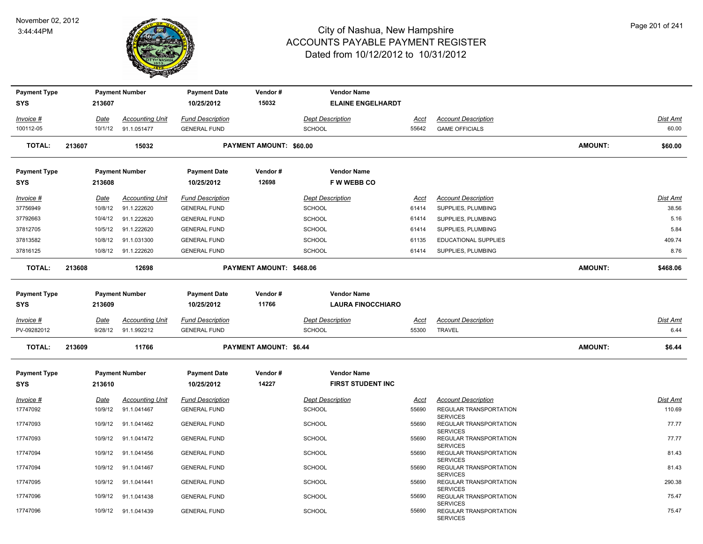

| <b>Payment Type</b>               |        |             | <b>Payment Number</b>  | <b>Payment Date</b>               | Vendor#                       | <b>Vendor Name</b>                             |             |                                                              |                |          |
|-----------------------------------|--------|-------------|------------------------|-----------------------------------|-------------------------------|------------------------------------------------|-------------|--------------------------------------------------------------|----------------|----------|
| <b>SYS</b>                        |        | 213607      |                        | 10/25/2012                        | 15032                         | <b>ELAINE ENGELHARDT</b>                       |             |                                                              |                |          |
| Invoice #                         |        | Date        | <b>Accounting Unit</b> | <b>Fund Description</b>           |                               | <b>Dept Description</b>                        | Acct        | <b>Account Description</b>                                   |                | Dist Amt |
| 100112-05                         |        | 10/1/12     | 91.1.051477            | <b>GENERAL FUND</b>               |                               | <b>SCHOOL</b>                                  | 55642       | <b>GAME OFFICIALS</b>                                        |                | 60.00    |
| <b>TOTAL:</b>                     | 213607 |             | 15032                  |                                   | PAYMENT AMOUNT: \$60.00       |                                                |             |                                                              | <b>AMOUNT:</b> | \$60.00  |
| <b>Payment Type</b>               |        |             | <b>Payment Number</b>  | <b>Payment Date</b>               | Vendor#                       | <b>Vendor Name</b>                             |             |                                                              |                |          |
| <b>SYS</b>                        |        | 213608      |                        | 10/25/2012                        | 12698                         | <b>FWWEBBCO</b>                                |             |                                                              |                |          |
| Invoice #                         |        | Date        | <b>Accounting Unit</b> | <b>Fund Description</b>           |                               | <b>Dept Description</b>                        | Acct        | <b>Account Description</b>                                   |                | Dist Amt |
| 37756949                          |        | 10/8/12     | 91.1.222620            | <b>GENERAL FUND</b>               |                               | <b>SCHOOL</b>                                  | 61414       | SUPPLIES, PLUMBING                                           |                | 38.56    |
| 37792663                          |        | 10/4/12     | 91.1.222620            | <b>GENERAL FUND</b>               |                               | <b>SCHOOL</b>                                  | 61414       | SUPPLIES, PLUMBING                                           |                | 5.16     |
| 37812705                          |        | 10/5/12     | 91.1.222620            | <b>GENERAL FUND</b>               |                               | <b>SCHOOL</b>                                  | 61414       | SUPPLIES, PLUMBING                                           |                | 5.84     |
| 37813582                          |        | 10/8/12     | 91.1.031300            | <b>GENERAL FUND</b>               |                               | <b>SCHOOL</b>                                  | 61135       | <b>EDUCATIONAL SUPPLIES</b>                                  |                | 409.74   |
| 37816125                          |        |             | 10/8/12 91.1.222620    | <b>GENERAL FUND</b>               |                               | <b>SCHOOL</b>                                  | 61414       | SUPPLIES, PLUMBING                                           |                | 8.76     |
| <b>TOTAL:</b>                     | 213608 |             | 12698                  |                                   | PAYMENT AMOUNT: \$468.06      |                                                |             |                                                              | <b>AMOUNT:</b> | \$468.06 |
| <b>Payment Type</b><br><b>SYS</b> |        | 213609      | <b>Payment Number</b>  | <b>Payment Date</b><br>10/25/2012 | Vendor#<br>11766              | <b>Vendor Name</b><br><b>LAURA FINOCCHIARO</b> |             |                                                              |                |          |
| Invoice #                         |        | Date        | <b>Accounting Unit</b> | <b>Fund Description</b>           |                               | <b>Dept Description</b>                        | Acct        | <b>Account Description</b>                                   |                | Dist Amt |
| PV-09282012                       |        | 9/28/12     | 91.1.992212            | <b>GENERAL FUND</b>               |                               | <b>SCHOOL</b>                                  | 55300       | TRAVEL                                                       |                | 6.44     |
| <b>TOTAL:</b>                     | 213609 |             | 11766                  |                                   | <b>PAYMENT AMOUNT: \$6.44</b> |                                                |             |                                                              | <b>AMOUNT:</b> | \$6.44   |
| <b>Payment Type</b>               |        |             | <b>Payment Number</b>  | <b>Payment Date</b>               | Vendor#                       | <b>Vendor Name</b>                             |             |                                                              |                |          |
| <b>SYS</b>                        |        | 213610      |                        | 10/25/2012                        | 14227                         | <b>FIRST STUDENT INC</b>                       |             |                                                              |                |          |
| <u>Invoice #</u>                  |        | <b>Date</b> | <b>Accounting Unit</b> | <b>Fund Description</b>           |                               | <b>Dept Description</b>                        | <u>Acct</u> | <b>Account Description</b>                                   |                | Dist Amt |
| 17747092                          |        | 10/9/12     | 91.1.041467            | <b>GENERAL FUND</b>               |                               | SCHOOL                                         | 55690       | REGULAR TRANSPORTATION                                       |                | 110.69   |
| 17747093                          |        | 10/9/12     | 91.1.041462            | <b>GENERAL FUND</b>               |                               | SCHOOL                                         | 55690       | <b>SERVICES</b><br>REGULAR TRANSPORTATION                    |                | 77.77    |
| 17747093                          |        | 10/9/12     | 91.1.041472            | <b>GENERAL FUND</b>               |                               | <b>SCHOOL</b>                                  | 55690       | <b>SERVICES</b><br>REGULAR TRANSPORTATION                    |                | 77.77    |
| 17747094                          |        | 10/9/12     | 91.1.041456            | <b>GENERAL FUND</b>               |                               | <b>SCHOOL</b>                                  | 55690       | <b>SERVICES</b><br>REGULAR TRANSPORTATION                    |                | 81.43    |
| 17747094                          |        | 10/9/12     | 91.1.041467            | <b>GENERAL FUND</b>               |                               | <b>SCHOOL</b>                                  | 55690       | <b>SERVICES</b><br>REGULAR TRANSPORTATION<br><b>SERVICES</b> |                | 81.43    |
| 17747095                          |        | 10/9/12     | 91.1.041441            | <b>GENERAL FUND</b>               |                               | <b>SCHOOL</b>                                  | 55690       | REGULAR TRANSPORTATION<br><b>SERVICES</b>                    |                | 290.38   |
| 17747096                          |        | 10/9/12     | 91.1.041438            | <b>GENERAL FUND</b>               |                               | <b>SCHOOL</b>                                  | 55690       | REGULAR TRANSPORTATION<br><b>SERVICES</b>                    |                | 75.47    |
| 17747096                          |        | 10/9/12     | 91.1.041439            | <b>GENERAL FUND</b>               |                               | <b>SCHOOL</b>                                  | 55690       | REGULAR TRANSPORTATION<br><b>SERVICES</b>                    |                | 75.47    |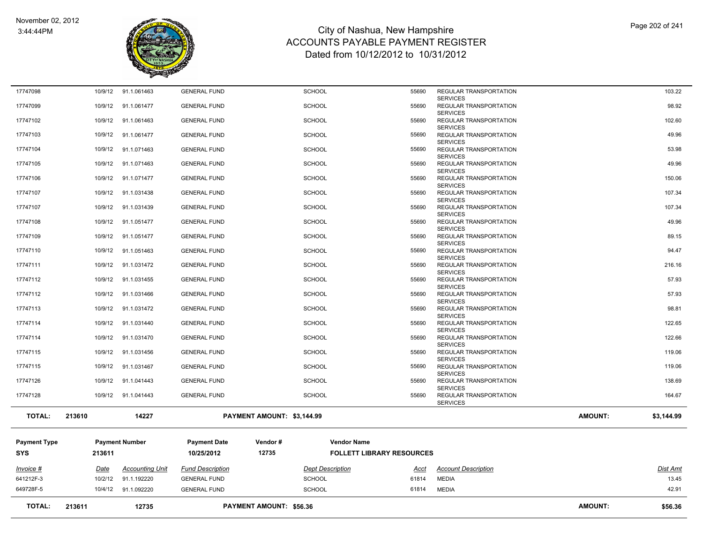

| <b>TOTAL:</b>              | 213611  | 12735                  |                                   | <b>PAYMENT AMOUNT: \$56.36</b> |                                                        |                                                  | <b>AMOUNT:</b> | \$56.36    |
|----------------------------|---------|------------------------|-----------------------------------|--------------------------------|--------------------------------------------------------|--------------------------------------------------|----------------|------------|
| 649728F-5                  |         | 10/4/12 91.1.092220    | <b>GENERAL FUND</b>               | <b>SCHOOL</b>                  | 61814                                                  | <b>MEDIA</b>                                     |                | 42.91      |
| 641212F-3                  | 10/2/12 | 91.1.192220            | <b>GENERAL FUND</b>               | <b>SCHOOL</b>                  | 61814                                                  | <b>MEDIA</b>                                     |                | 13.45      |
| Invoice #                  | Date    | <b>Accounting Unit</b> | <b>Fund Description</b>           |                                | <b>Dept Description</b><br>Acct                        | <b>Account Description</b>                       |                | Dist Amt   |
| <b>Payment Type</b><br>SYS | 213611  | <b>Payment Number</b>  | <b>Payment Date</b><br>10/25/2012 | Vendor#<br>12735               | <b>Vendor Name</b><br><b>FOLLETT LIBRARY RESOURCES</b> |                                                  |                |            |
|                            |         |                        |                                   |                                |                                                        |                                                  |                |            |
| <b>TOTAL:</b>              | 213610  | 14227                  |                                   | PAYMENT AMOUNT: \$3,144.99     |                                                        |                                                  | <b>AMOUNT:</b> | \$3,144.99 |
| 17747128                   | 10/9/12 | 91.1.041443            | <b>GENERAL FUND</b>               | <b>SCHOOL</b>                  | 55690                                                  | REGULAR TRANSPORTATION<br><b>SERVICES</b>        |                | 164.67     |
| 17747126                   | 10/9/12 | 91.1.041443            | <b>GENERAL FUND</b>               | <b>SCHOOL</b>                  | 55690                                                  | REGULAR TRANSPORTATION<br><b>SERVICES</b>        |                | 138.69     |
| 17747115                   | 10/9/12 | 91.1.031467            | <b>GENERAL FUND</b>               | <b>SCHOOL</b>                  | 55690                                                  | REGULAR TRANSPORTATION<br><b>SERVICES</b>        |                | 119.06     |
| 17747115                   | 10/9/12 | 91.1.031456            | <b>GENERAL FUND</b>               | <b>SCHOOL</b>                  | 55690                                                  | <b>REGULAR TRANSPORTATION</b><br><b>SERVICES</b> |                | 119.06     |
| 17747114                   | 10/9/12 | 91.1.031470            | <b>GENERAL FUND</b>               | <b>SCHOOL</b>                  | 55690                                                  | REGULAR TRANSPORTATION<br><b>SERVICES</b>        |                | 122.66     |
|                            |         |                        |                                   |                                |                                                        | <b>SERVICES</b>                                  |                |            |
| 17747114                   | 10/9/12 | 91.1.031440            | <b>GENERAL FUND</b>               | <b>SCHOOL</b>                  | 55690                                                  | <b>SERVICES</b><br>REGULAR TRANSPORTATION        |                | 122.65     |
| 17747113                   | 10/9/12 | 91.1.031472            | <b>GENERAL FUND</b>               | <b>SCHOOL</b>                  | 55690                                                  | <b>SERVICES</b><br>REGULAR TRANSPORTATION        |                | 98.81      |
| 17747112                   | 10/9/12 | 91.1.031466            | <b>GENERAL FUND</b>               | <b>SCHOOL</b>                  | 55690                                                  | <b>SERVICES</b><br>REGULAR TRANSPORTATION        |                | 57.93      |
| 17747112                   | 10/9/12 | 91.1.031455            | <b>GENERAL FUND</b>               | <b>SCHOOL</b>                  | 55690                                                  | <b>REGULAR TRANSPORTATION</b>                    |                | 57.93      |
| 17747111                   | 10/9/12 | 91.1.031472            | <b>GENERAL FUND</b>               | <b>SCHOOL</b>                  | 55690                                                  | REGULAR TRANSPORTATION<br><b>SERVICES</b>        |                | 216.16     |
| 17747110                   | 10/9/12 | 91.1.051463            | <b>GENERAL FUND</b>               | <b>SCHOOL</b>                  | 55690                                                  | REGULAR TRANSPORTATION<br><b>SERVICES</b>        |                | 94.47      |
| 17747109                   | 10/9/12 | 91.1.051477            | <b>GENERAL FUND</b>               | <b>SCHOOL</b>                  | 55690                                                  | REGULAR TRANSPORTATION<br><b>SERVICES</b>        |                | 89.15      |
| 17747108                   |         |                        |                                   |                                |                                                        | REGULAR TRANSPORTATION<br><b>SERVICES</b>        |                |            |
|                            | 10/9/12 | 91.1.051477            | <b>GENERAL FUND</b>               | <b>SCHOOL</b>                  | 55690                                                  | <b>SERVICES</b>                                  |                | 49.96      |
| 17747107                   | 10/9/12 | 91.1.031439            | <b>GENERAL FUND</b>               | <b>SCHOOL</b>                  | 55690                                                  | <b>SERVICES</b><br><b>REGULAR TRANSPORTATION</b> |                | 107.34     |
| 17747107                   | 10/9/12 | 91.1.031438            | <b>GENERAL FUND</b>               | <b>SCHOOL</b>                  | 55690                                                  | <b>SERVICES</b><br><b>REGULAR TRANSPORTATION</b> |                | 107.34     |
| 17747106                   | 10/9/12 | 91.1.071477            | <b>GENERAL FUND</b>               | <b>SCHOOL</b>                  | 55690                                                  | REGULAR TRANSPORTATION                           |                | 150.06     |
| 17747105                   | 10/9/12 | 91.1.071463            | <b>GENERAL FUND</b>               | <b>SCHOOL</b>                  | 55690                                                  | REGULAR TRANSPORTATION<br><b>SERVICES</b>        |                | 49.96      |
| 17747104                   | 10/9/12 | 91.1.071463            | <b>GENERAL FUND</b>               | <b>SCHOOL</b>                  | 55690                                                  | REGULAR TRANSPORTATION<br><b>SERVICES</b>        |                | 53.98      |
|                            |         |                        |                                   |                                |                                                        | <b>SERVICES</b>                                  |                |            |
| 17747103                   | 10/9/12 | 91.1.061477            | <b>GENERAL FUND</b>               | <b>SCHOOL</b>                  | 55690                                                  | <b>SERVICES</b><br>REGULAR TRANSPORTATION        |                | 49.96      |
| 17747102                   | 10/9/12 | 91.1.061463            | <b>GENERAL FUND</b>               | <b>SCHOOL</b>                  | 55690                                                  | <b>SERVICES</b><br><b>REGULAR TRANSPORTATION</b> |                | 102.60     |
| 17747099                   | 10/9/12 | 91.1.061477            | <b>GENERAL FUND</b>               | <b>SCHOOL</b>                  | 55690                                                  | <b>SERVICES</b><br>REGULAR TRANSPORTATION        |                | 98.92      |
| 17747098                   | 10/9/12 | 91.1.061463            | <b>GENERAL FUND</b>               | <b>SCHOOL</b>                  | 55690                                                  | REGULAR TRANSPORTATION                           |                | 103.22     |
|                            |         |                        |                                   |                                |                                                        |                                                  |                |            |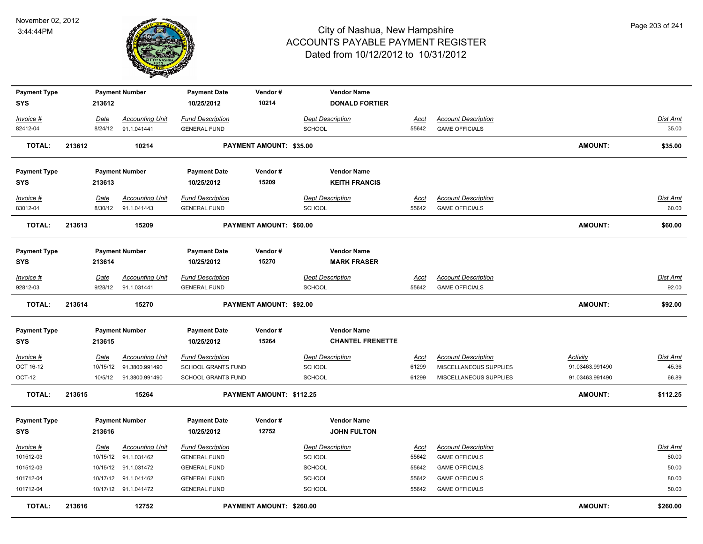

| 10214<br><b>SYS</b><br>213612<br>10/25/2012<br><b>DONALD FORTIER</b><br><b>Fund Description</b><br><b>Account Description</b><br>Invoice #<br>Date<br><b>Accounting Unit</b><br><b>Dept Description</b><br><u>Acct</u><br>82412-04<br>91.1.041441<br><b>SCHOOL</b><br><b>GAME OFFICIALS</b><br>8/24/12<br><b>GENERAL FUND</b><br>55642<br><b>TOTAL:</b><br>213612<br>10214<br>PAYMENT AMOUNT: \$35.00<br><b>AMOUNT:</b><br><b>Payment Type</b><br><b>Payment Number</b><br>Vendor#<br><b>Vendor Name</b><br><b>Payment Date</b><br>15209<br><b>SYS</b><br>213613<br>10/25/2012<br><b>KEITH FRANCIS</b><br><b>Fund Description</b><br><b>Account Description</b><br><b>Accounting Unit</b><br><b>Dept Description</b><br>Invoice #<br>Date<br>Acct<br>83012-04<br>8/30/12<br>91.1.041443<br><b>GENERAL FUND</b><br><b>SCHOOL</b><br>55642<br><b>GAME OFFICIALS</b><br><b>TOTAL:</b><br>213613<br>15209<br>PAYMENT AMOUNT: \$60.00<br><b>AMOUNT:</b><br><b>Payment Type</b><br><b>Payment Number</b><br><b>Vendor Name</b><br><b>Payment Date</b><br>Vendor#<br>15270<br><b>MARK FRASER</b><br><b>SYS</b><br>213614<br>10/25/2012<br><b>Fund Description</b><br><b>Dept Description</b><br><b>Account Description</b><br>Invoice #<br>Date<br><b>Accounting Unit</b><br>Acct<br>92812-03<br>9/28/12<br>91.1.031441<br><b>SCHOOL</b><br>55642<br><b>GAME OFFICIALS</b><br><b>GENERAL FUND</b><br><b>TOTAL:</b><br>213614<br>PAYMENT AMOUNT: \$92.00<br><b>AMOUNT:</b><br>15270 | <b>Dist Amt</b><br>35.00<br>\$35.00<br>Dist Amt<br>60.00<br>\$60.00 |
|-----------------------------------------------------------------------------------------------------------------------------------------------------------------------------------------------------------------------------------------------------------------------------------------------------------------------------------------------------------------------------------------------------------------------------------------------------------------------------------------------------------------------------------------------------------------------------------------------------------------------------------------------------------------------------------------------------------------------------------------------------------------------------------------------------------------------------------------------------------------------------------------------------------------------------------------------------------------------------------------------------------------------------------------------------------------------------------------------------------------------------------------------------------------------------------------------------------------------------------------------------------------------------------------------------------------------------------------------------------------------------------------------------------------------------------------------------------------------------|---------------------------------------------------------------------|
|                                                                                                                                                                                                                                                                                                                                                                                                                                                                                                                                                                                                                                                                                                                                                                                                                                                                                                                                                                                                                                                                                                                                                                                                                                                                                                                                                                                                                                                                             |                                                                     |
|                                                                                                                                                                                                                                                                                                                                                                                                                                                                                                                                                                                                                                                                                                                                                                                                                                                                                                                                                                                                                                                                                                                                                                                                                                                                                                                                                                                                                                                                             |                                                                     |
|                                                                                                                                                                                                                                                                                                                                                                                                                                                                                                                                                                                                                                                                                                                                                                                                                                                                                                                                                                                                                                                                                                                                                                                                                                                                                                                                                                                                                                                                             |                                                                     |
|                                                                                                                                                                                                                                                                                                                                                                                                                                                                                                                                                                                                                                                                                                                                                                                                                                                                                                                                                                                                                                                                                                                                                                                                                                                                                                                                                                                                                                                                             |                                                                     |
|                                                                                                                                                                                                                                                                                                                                                                                                                                                                                                                                                                                                                                                                                                                                                                                                                                                                                                                                                                                                                                                                                                                                                                                                                                                                                                                                                                                                                                                                             |                                                                     |
|                                                                                                                                                                                                                                                                                                                                                                                                                                                                                                                                                                                                                                                                                                                                                                                                                                                                                                                                                                                                                                                                                                                                                                                                                                                                                                                                                                                                                                                                             |                                                                     |
|                                                                                                                                                                                                                                                                                                                                                                                                                                                                                                                                                                                                                                                                                                                                                                                                                                                                                                                                                                                                                                                                                                                                                                                                                                                                                                                                                                                                                                                                             |                                                                     |
|                                                                                                                                                                                                                                                                                                                                                                                                                                                                                                                                                                                                                                                                                                                                                                                                                                                                                                                                                                                                                                                                                                                                                                                                                                                                                                                                                                                                                                                                             |                                                                     |
|                                                                                                                                                                                                                                                                                                                                                                                                                                                                                                                                                                                                                                                                                                                                                                                                                                                                                                                                                                                                                                                                                                                                                                                                                                                                                                                                                                                                                                                                             |                                                                     |
|                                                                                                                                                                                                                                                                                                                                                                                                                                                                                                                                                                                                                                                                                                                                                                                                                                                                                                                                                                                                                                                                                                                                                                                                                                                                                                                                                                                                                                                                             |                                                                     |
|                                                                                                                                                                                                                                                                                                                                                                                                                                                                                                                                                                                                                                                                                                                                                                                                                                                                                                                                                                                                                                                                                                                                                                                                                                                                                                                                                                                                                                                                             |                                                                     |
|                                                                                                                                                                                                                                                                                                                                                                                                                                                                                                                                                                                                                                                                                                                                                                                                                                                                                                                                                                                                                                                                                                                                                                                                                                                                                                                                                                                                                                                                             |                                                                     |
|                                                                                                                                                                                                                                                                                                                                                                                                                                                                                                                                                                                                                                                                                                                                                                                                                                                                                                                                                                                                                                                                                                                                                                                                                                                                                                                                                                                                                                                                             |                                                                     |
|                                                                                                                                                                                                                                                                                                                                                                                                                                                                                                                                                                                                                                                                                                                                                                                                                                                                                                                                                                                                                                                                                                                                                                                                                                                                                                                                                                                                                                                                             |                                                                     |
|                                                                                                                                                                                                                                                                                                                                                                                                                                                                                                                                                                                                                                                                                                                                                                                                                                                                                                                                                                                                                                                                                                                                                                                                                                                                                                                                                                                                                                                                             | Dist Amt                                                            |
|                                                                                                                                                                                                                                                                                                                                                                                                                                                                                                                                                                                                                                                                                                                                                                                                                                                                                                                                                                                                                                                                                                                                                                                                                                                                                                                                                                                                                                                                             | 92.00                                                               |
|                                                                                                                                                                                                                                                                                                                                                                                                                                                                                                                                                                                                                                                                                                                                                                                                                                                                                                                                                                                                                                                                                                                                                                                                                                                                                                                                                                                                                                                                             | \$92.00                                                             |
| <b>Vendor Name</b><br><b>Payment Type</b><br><b>Payment Number</b><br><b>Payment Date</b><br>Vendor#                                                                                                                                                                                                                                                                                                                                                                                                                                                                                                                                                                                                                                                                                                                                                                                                                                                                                                                                                                                                                                                                                                                                                                                                                                                                                                                                                                        |                                                                     |
| 15264<br><b>CHANTEL FRENETTE</b><br><b>SYS</b><br>213615<br>10/25/2012                                                                                                                                                                                                                                                                                                                                                                                                                                                                                                                                                                                                                                                                                                                                                                                                                                                                                                                                                                                                                                                                                                                                                                                                                                                                                                                                                                                                      |                                                                     |
|                                                                                                                                                                                                                                                                                                                                                                                                                                                                                                                                                                                                                                                                                                                                                                                                                                                                                                                                                                                                                                                                                                                                                                                                                                                                                                                                                                                                                                                                             |                                                                     |
| Invoice #<br><u>Date</u><br><b>Accounting Unit</b><br><b>Fund Description</b><br><b>Dept Description</b><br><b>Account Description</b><br><b>Activity</b><br><u>Acct</u><br>OCT 16-12<br>10/15/12<br>91.3800.991490<br>SCHOOL GRANTS FUND<br><b>SCHOOL</b><br>MISCELLANEOUS SUPPLIES<br>91.03463.991490                                                                                                                                                                                                                                                                                                                                                                                                                                                                                                                                                                                                                                                                                                                                                                                                                                                                                                                                                                                                                                                                                                                                                                     | <u>Dist Amt</u><br>45.36                                            |
| 61299<br>OCT-12<br>10/5/12<br>91.3800.991490<br><b>SCHOOL GRANTS FUND</b><br><b>SCHOOL</b><br>61299<br>MISCELLANEOUS SUPPLIES<br>91.03463.991490                                                                                                                                                                                                                                                                                                                                                                                                                                                                                                                                                                                                                                                                                                                                                                                                                                                                                                                                                                                                                                                                                                                                                                                                                                                                                                                            | 66.89                                                               |
|                                                                                                                                                                                                                                                                                                                                                                                                                                                                                                                                                                                                                                                                                                                                                                                                                                                                                                                                                                                                                                                                                                                                                                                                                                                                                                                                                                                                                                                                             |                                                                     |
| <b>TOTAL:</b><br>213615<br>15264<br>PAYMENT AMOUNT: \$112.25<br><b>AMOUNT:</b>                                                                                                                                                                                                                                                                                                                                                                                                                                                                                                                                                                                                                                                                                                                                                                                                                                                                                                                                                                                                                                                                                                                                                                                                                                                                                                                                                                                              | \$112.25                                                            |
| <b>Payment Type</b><br><b>Payment Number</b><br><b>Payment Date</b><br>Vendor#<br><b>Vendor Name</b>                                                                                                                                                                                                                                                                                                                                                                                                                                                                                                                                                                                                                                                                                                                                                                                                                                                                                                                                                                                                                                                                                                                                                                                                                                                                                                                                                                        |                                                                     |
| 12752<br><b>JOHN FULTON</b><br><b>SYS</b><br>213616<br>10/25/2012                                                                                                                                                                                                                                                                                                                                                                                                                                                                                                                                                                                                                                                                                                                                                                                                                                                                                                                                                                                                                                                                                                                                                                                                                                                                                                                                                                                                           |                                                                     |
| <b>Accounting Unit</b><br><b>Fund Description</b><br><b>Dept Description</b><br><b>Account Description</b><br>Invoice #<br>Date<br><u>Acct</u>                                                                                                                                                                                                                                                                                                                                                                                                                                                                                                                                                                                                                                                                                                                                                                                                                                                                                                                                                                                                                                                                                                                                                                                                                                                                                                                              | <u>Dist Amt</u>                                                     |
| 101512-03<br>10/15/12<br>91.1.031462<br><b>SCHOOL</b><br>55642<br><b>GENERAL FUND</b><br><b>GAME OFFICIALS</b>                                                                                                                                                                                                                                                                                                                                                                                                                                                                                                                                                                                                                                                                                                                                                                                                                                                                                                                                                                                                                                                                                                                                                                                                                                                                                                                                                              | 80.00                                                               |
| 101512-03<br>10/15/12 91.1.031472<br>SCHOOL<br><b>GENERAL FUND</b><br>55642<br><b>GAME OFFICIALS</b>                                                                                                                                                                                                                                                                                                                                                                                                                                                                                                                                                                                                                                                                                                                                                                                                                                                                                                                                                                                                                                                                                                                                                                                                                                                                                                                                                                        |                                                                     |
| 101712-04<br>10/17/12<br>91.1.041462<br>SCHOOL<br>55642<br><b>GAME OFFICIALS</b><br><b>GENERAL FUND</b>                                                                                                                                                                                                                                                                                                                                                                                                                                                                                                                                                                                                                                                                                                                                                                                                                                                                                                                                                                                                                                                                                                                                                                                                                                                                                                                                                                     | 50.00                                                               |
| 101712-04<br>10/17/12 91.1.041472<br><b>GENERAL FUND</b><br><b>SCHOOL</b><br>55642<br><b>GAME OFFICIALS</b>                                                                                                                                                                                                                                                                                                                                                                                                                                                                                                                                                                                                                                                                                                                                                                                                                                                                                                                                                                                                                                                                                                                                                                                                                                                                                                                                                                 | 80.00                                                               |
| <b>TOTAL:</b><br>213616<br>12752<br>PAYMENT AMOUNT: \$260.00<br><b>AMOUNT:</b><br>\$260.00                                                                                                                                                                                                                                                                                                                                                                                                                                                                                                                                                                                                                                                                                                                                                                                                                                                                                                                                                                                                                                                                                                                                                                                                                                                                                                                                                                                  | 50.00                                                               |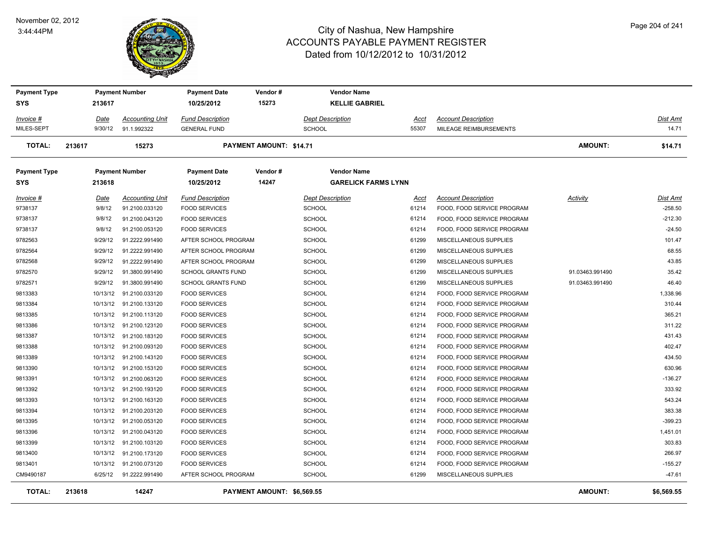#### November 02, 2012 3:44:44PM



| <b>Payment Type</b><br>SYS  | 213617                | <b>Payment Number</b>                    | <b>Payment Date</b><br>10/25/2012               | Vendor#<br>15273               | <b>Vendor Name</b><br><b>KELLIE GABRIEL</b> |                      |                                                          |                 |                              |
|-----------------------------|-----------------------|------------------------------------------|-------------------------------------------------|--------------------------------|---------------------------------------------|----------------------|----------------------------------------------------------|-----------------|------------------------------|
| Invoice #                   | <u>Date</u>           | <b>Accounting Unit</b>                   | <b>Fund Description</b>                         |                                | <b>Dept Description</b>                     | Acct                 | <b>Account Description</b>                               |                 | Dist Amt                     |
| MILES-SEPT                  | 9/30/12               | 91.1.992322                              | <b>GENERAL FUND</b>                             |                                | <b>SCHOOL</b>                               | 55307                | MILEAGE REIMBURSEMENTS                                   |                 | 14.71                        |
| <b>TOTAL:</b>               | 213617                | 15273                                    |                                                 | <b>PAYMENT AMOUNT: \$14.71</b> |                                             |                      |                                                          | <b>AMOUNT:</b>  | \$14.71                      |
| <b>Payment Type</b>         |                       | <b>Payment Number</b>                    | <b>Payment Date</b>                             | Vendor#<br>14247               | <b>Vendor Name</b>                          |                      |                                                          |                 |                              |
| <b>SYS</b>                  | 213618                |                                          | 10/25/2012                                      |                                | <b>GARELICK FARMS LYNN</b>                  |                      |                                                          |                 |                              |
| <u>Invoice #</u><br>9738137 | <u>Date</u><br>9/8/12 | <b>Accounting Unit</b><br>91.2100.033120 | <b>Fund Description</b><br><b>FOOD SERVICES</b> |                                | <b>Dept Description</b><br><b>SCHOOL</b>    | <u>Acct</u><br>61214 | <b>Account Description</b><br>FOOD, FOOD SERVICE PROGRAM | <b>Activity</b> | <b>Dist Amt</b><br>$-258.50$ |
| 9738137                     | 9/8/12                | 91.2100.043120                           | <b>FOOD SERVICES</b>                            |                                | <b>SCHOOL</b>                               | 61214                | FOOD, FOOD SERVICE PROGRAM                               |                 | $-212.30$                    |
| 9738137                     | 9/8/12                | 91.2100.053120                           | <b>FOOD SERVICES</b>                            |                                | SCHOOL                                      | 61214                | FOOD, FOOD SERVICE PROGRAM                               |                 | $-24.50$                     |
| 9782563                     | 9/29/12               | 91.2222.991490                           | AFTER SCHOOL PROGRAM                            |                                | <b>SCHOOL</b>                               | 61299                | MISCELLANEOUS SUPPLIES                                   |                 | 101.47                       |
| 9782564                     | 9/29/12               | 91.2222.991490                           | AFTER SCHOOL PROGRAM                            |                                | <b>SCHOOL</b>                               | 61299                | MISCELLANEOUS SUPPLIES                                   |                 | 68.55                        |
| 9782568                     | 9/29/12               | 91.2222.991490                           | AFTER SCHOOL PROGRAM                            |                                | <b>SCHOOL</b>                               | 61299                | MISCELLANEOUS SUPPLIES                                   |                 | 43.85                        |
| 9782570                     | 9/29/12               | 91.3800.991490                           | <b>SCHOOL GRANTS FUND</b>                       |                                | <b>SCHOOL</b>                               | 61299                | MISCELLANEOUS SUPPLIES                                   | 91.03463.991490 | 35.42                        |
| 9782571                     | 9/29/12               | 91.3800.991490                           | <b>SCHOOL GRANTS FUND</b>                       |                                | SCHOOL                                      | 61299                | MISCELLANEOUS SUPPLIES                                   | 91.03463.991490 | 46.40                        |
| 9813383                     | 10/13/12              | 91.2100.033120                           | <b>FOOD SERVICES</b>                            |                                | <b>SCHOOL</b>                               | 61214                | FOOD, FOOD SERVICE PROGRAM                               |                 | 1,338.96                     |
| 9813384                     |                       | 10/13/12  91.2100.133120                 | <b>FOOD SERVICES</b>                            |                                | <b>SCHOOL</b>                               | 61214                | FOOD, FOOD SERVICE PROGRAM                               |                 | 310.44                       |
| 9813385                     |                       | 10/13/12 91.2100.113120                  | <b>FOOD SERVICES</b>                            |                                | <b>SCHOOL</b>                               | 61214                | FOOD, FOOD SERVICE PROGRAM                               |                 | 365.21                       |
| 9813386                     |                       | 10/13/12 91.2100.123120                  | <b>FOOD SERVICES</b>                            |                                | <b>SCHOOL</b>                               | 61214                | FOOD, FOOD SERVICE PROGRAM                               |                 | 311.22                       |
| 9813387                     |                       | 10/13/12 91.2100.183120                  | <b>FOOD SERVICES</b>                            |                                | <b>SCHOOL</b>                               | 61214                | FOOD, FOOD SERVICE PROGRAM                               |                 | 431.43                       |
| 9813388                     |                       | 10/13/12 91.2100.093120                  | <b>FOOD SERVICES</b>                            |                                | <b>SCHOOL</b>                               | 61214                | FOOD, FOOD SERVICE PROGRAM                               |                 | 402.47                       |
| 9813389                     |                       | 10/13/12 91.2100.143120                  | <b>FOOD SERVICES</b>                            |                                | <b>SCHOOL</b>                               | 61214                | FOOD, FOOD SERVICE PROGRAM                               |                 | 434.50                       |
| 9813390                     |                       | 10/13/12 91.2100.153120                  | <b>FOOD SERVICES</b>                            |                                | <b>SCHOOL</b>                               | 61214                | FOOD, FOOD SERVICE PROGRAM                               |                 | 630.96                       |
| 9813391                     |                       | 10/13/12  91.2100.063120                 | <b>FOOD SERVICES</b>                            |                                | <b>SCHOOL</b>                               | 61214                | FOOD, FOOD SERVICE PROGRAM                               |                 | $-136.27$                    |
| 9813392                     |                       | 10/13/12 91.2100.193120                  | <b>FOOD SERVICES</b>                            |                                | <b>SCHOOL</b>                               | 61214                | FOOD, FOOD SERVICE PROGRAM                               |                 | 333.92                       |
| 9813393                     |                       | 10/13/12 91.2100.163120                  | <b>FOOD SERVICES</b>                            |                                | <b>SCHOOL</b>                               | 61214                | FOOD, FOOD SERVICE PROGRAM                               |                 | 543.24                       |
| 9813394                     |                       | 10/13/12 91.2100.203120                  | <b>FOOD SERVICES</b>                            |                                | <b>SCHOOL</b>                               | 61214                | FOOD, FOOD SERVICE PROGRAM                               |                 | 383.38                       |
| 9813395                     |                       | 10/13/12 91.2100.053120                  | <b>FOOD SERVICES</b>                            |                                | <b>SCHOOL</b>                               | 61214                | FOOD, FOOD SERVICE PROGRAM                               |                 | $-399.23$                    |
| 9813396                     |                       | 10/13/12 91.2100.043120                  | <b>FOOD SERVICES</b>                            |                                | <b>SCHOOL</b>                               | 61214                | FOOD, FOOD SERVICE PROGRAM                               |                 | 1,451.01                     |
| 9813399                     | 10/13/12              | 91.2100.103120                           | <b>FOOD SERVICES</b>                            |                                | <b>SCHOOL</b>                               | 61214                | FOOD, FOOD SERVICE PROGRAM                               |                 | 303.83                       |
| 9813400                     |                       | 10/13/12 91.2100.173120                  | <b>FOOD SERVICES</b>                            |                                | <b>SCHOOL</b>                               | 61214                | FOOD, FOOD SERVICE PROGRAM                               |                 | 266.97                       |
| 9813401                     | 10/13/12              | 91.2100.073120                           | <b>FOOD SERVICES</b>                            |                                | <b>SCHOOL</b>                               | 61214                | FOOD, FOOD SERVICE PROGRAM                               |                 | $-155.27$                    |
| CM9490187                   | 6/25/12               | 91.2222.991490                           | AFTER SCHOOL PROGRAM                            |                                | <b>SCHOOL</b>                               | 61299                | MISCELLANEOUS SUPPLIES                                   |                 | $-47.61$                     |
| <b>TOTAL:</b>               | 213618                | 14247                                    |                                                 | PAYMENT AMOUNT: \$6,569.55     |                                             |                      |                                                          | <b>AMOUNT:</b>  | \$6,569.55                   |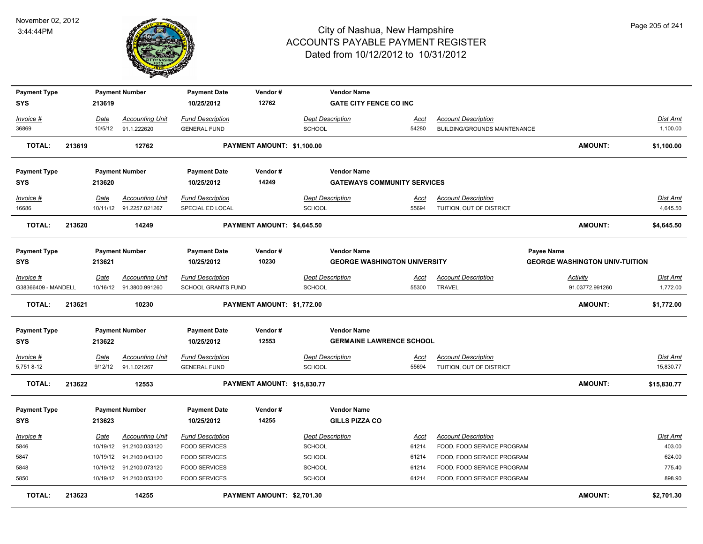

| <b>Payment Type</b>              |        |                        | <b>Payment Number</b>                             | <b>Payment Date</b>                                  | Vendor#                     | <b>Vendor Name</b>                       |                      |                                                        |                                       |                              |
|----------------------------------|--------|------------------------|---------------------------------------------------|------------------------------------------------------|-----------------------------|------------------------------------------|----------------------|--------------------------------------------------------|---------------------------------------|------------------------------|
| <b>SYS</b>                       |        | 213619                 |                                                   | 10/25/2012                                           | 12762                       | <b>GATE CITY FENCE CO INC</b>            |                      |                                                        |                                       |                              |
| Invoice #                        |        | Date                   | <b>Accounting Unit</b>                            | <b>Fund Description</b>                              |                             | <b>Dept Description</b>                  | <u>Acct</u>          | <b>Account Description</b>                             |                                       | Dist Amt                     |
| 36869                            |        | 10/5/12                | 91.1.222620                                       | <b>GENERAL FUND</b>                                  |                             | <b>SCHOOL</b>                            | 54280                | <b>BUILDING/GROUNDS MAINTENANCE</b>                    |                                       | 1,100.00                     |
| <b>TOTAL:</b>                    | 213619 |                        | 12762                                             |                                                      | PAYMENT AMOUNT: \$1,100.00  |                                          |                      |                                                        | <b>AMOUNT:</b>                        | \$1,100.00                   |
| <b>Payment Type</b>              |        |                        | <b>Payment Number</b>                             | <b>Payment Date</b>                                  | Vendor#                     | <b>Vendor Name</b>                       |                      |                                                        |                                       |                              |
| <b>SYS</b>                       |        | 213620                 |                                                   | 10/25/2012                                           | 14249                       | <b>GATEWAYS COMMUNITY SERVICES</b>       |                      |                                                        |                                       |                              |
| Invoice #<br>16686               |        | Date                   | <b>Accounting Unit</b><br>10/11/12 91.2257.021267 | <b>Fund Description</b><br>SPECIAL ED LOCAL          |                             | <b>Dept Description</b><br><b>SCHOOL</b> | Acct<br>55694        | <b>Account Description</b><br>TUITION, OUT OF DISTRICT |                                       | Dist Amt<br>4,645.50         |
| <b>TOTAL:</b>                    | 213620 |                        | 14249                                             |                                                      | PAYMENT AMOUNT: \$4,645.50  |                                          |                      |                                                        | <b>AMOUNT:</b>                        | \$4,645.50                   |
| <b>Payment Type</b>              |        |                        | <b>Payment Number</b>                             | <b>Payment Date</b>                                  | Vendor#                     | <b>Vendor Name</b>                       |                      |                                                        | Payee Name                            |                              |
| <b>SYS</b>                       |        | 213621                 |                                                   | 10/25/2012                                           | 10230                       | <b>GEORGE WASHINGTON UNIVERSITY</b>      |                      |                                                        | <b>GEORGE WASHINGTON UNIV-TUITION</b> |                              |
| Invoice #<br>G38366409 - MANDELL |        | Date<br>10/16/12       | <b>Accounting Unit</b><br>91.3800.991260          | <b>Fund Description</b><br><b>SCHOOL GRANTS FUND</b> |                             | <b>Dept Description</b><br><b>SCHOOL</b> | Acct<br>55300        | <b>Account Description</b><br><b>TRAVEL</b>            | <b>Activity</b><br>91.03772.991260    | Dist Amt<br>1,772.00         |
|                                  |        |                        |                                                   |                                                      |                             |                                          |                      |                                                        |                                       |                              |
| <b>TOTAL:</b>                    | 213621 |                        | 10230                                             |                                                      | PAYMENT AMOUNT: \$1,772.00  |                                          |                      |                                                        | <b>AMOUNT:</b>                        | \$1,772.00                   |
| <b>Payment Type</b>              |        |                        | <b>Payment Number</b>                             | <b>Payment Date</b>                                  | Vendor#                     | <b>Vendor Name</b>                       |                      |                                                        |                                       |                              |
| <b>SYS</b>                       |        | 213622                 |                                                   | 10/25/2012                                           | 12553                       | <b>GERMAINE LAWRENCE SCHOOL</b>          |                      |                                                        |                                       |                              |
| $Invoice$ #<br>5,751 8-12        |        | <u>Date</u><br>9/12/12 | <b>Accounting Unit</b><br>91.1.021267             | <b>Fund Description</b><br><b>GENERAL FUND</b>       |                             | <b>Dept Description</b><br>SCHOOL        | <u>Acct</u><br>55694 | <b>Account Description</b><br>TUITION, OUT OF DISTRICT |                                       | <u>Dist Amt</u><br>15,830.77 |
| <b>TOTAL:</b>                    | 213622 |                        | 12553                                             |                                                      | PAYMENT AMOUNT: \$15,830.77 |                                          |                      |                                                        | <b>AMOUNT:</b>                        | \$15,830.77                  |
| <b>Payment Type</b>              |        |                        | <b>Payment Number</b>                             | <b>Payment Date</b>                                  | Vendor#                     | <b>Vendor Name</b>                       |                      |                                                        |                                       |                              |
| <b>SYS</b>                       |        | 213623                 |                                                   | 10/25/2012                                           | 14255                       | <b>GILLS PIZZA CO</b>                    |                      |                                                        |                                       |                              |
| Invoice #                        |        | Date                   | <b>Accounting Unit</b>                            | <b>Fund Description</b>                              |                             | <b>Dept Description</b>                  | Acct                 | <b>Account Description</b>                             |                                       | Dist Amt                     |
| 5846                             |        |                        | 10/19/12 91.2100.033120                           | <b>FOOD SERVICES</b>                                 |                             | <b>SCHOOL</b>                            | 61214                | FOOD, FOOD SERVICE PROGRAM                             |                                       | 403.00                       |
| 5847                             |        |                        | 10/19/12 91.2100.043120                           | <b>FOOD SERVICES</b>                                 |                             | SCHOOL                                   | 61214                | FOOD, FOOD SERVICE PROGRAM                             |                                       | 624.00                       |
| 5848                             |        | 10/19/12               | 91.2100.073120                                    | <b>FOOD SERVICES</b>                                 |                             | <b>SCHOOL</b>                            | 61214                | FOOD, FOOD SERVICE PROGRAM                             |                                       | 775.40                       |
| 5850                             |        |                        | 10/19/12 91.2100.053120                           | <b>FOOD SERVICES</b>                                 |                             | <b>SCHOOL</b>                            | 61214                | FOOD, FOOD SERVICE PROGRAM                             |                                       | 898.90                       |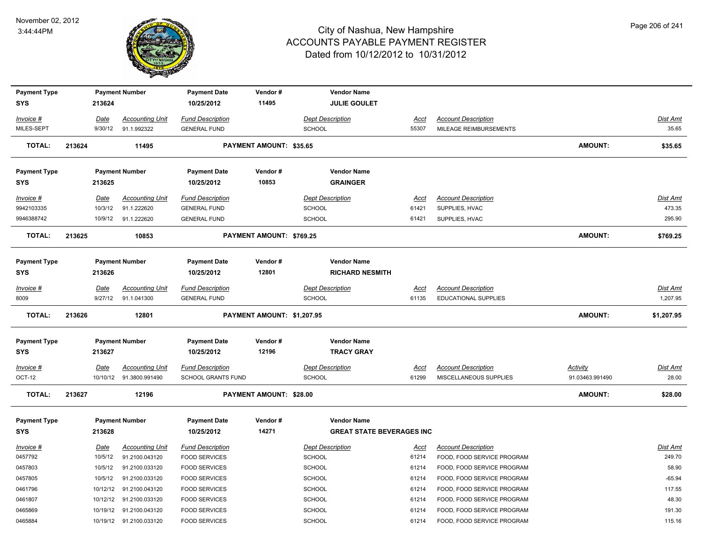

| <b>Payment Type</b> |        |             | <b>Payment Number</b>  | <b>Payment Date</b>     | Vendor#                        | <b>Vendor Name</b>                                     |             |                             |                 |                 |
|---------------------|--------|-------------|------------------------|-------------------------|--------------------------------|--------------------------------------------------------|-------------|-----------------------------|-----------------|-----------------|
| <b>SYS</b>          |        | 213624      |                        | 10/25/2012              | 11495                          | <b>JULIE GOULET</b>                                    |             |                             |                 |                 |
| Invoice #           |        | <u>Date</u> | <b>Accounting Unit</b> | <b>Fund Description</b> |                                | <b>Dept Description</b>                                | <u>Acct</u> | <b>Account Description</b>  |                 | <u>Dist Amt</u> |
| MILES-SEPT          |        | 9/30/12     | 91.1.992322            | <b>GENERAL FUND</b>     |                                | <b>SCHOOL</b>                                          | 55307       | MILEAGE REIMBURSEMENTS      |                 | 35.65           |
| <b>TOTAL:</b>       | 213624 |             | 11495                  |                         | <b>PAYMENT AMOUNT: \$35.65</b> |                                                        |             |                             | <b>AMOUNT:</b>  | \$35.65         |
|                     |        |             |                        |                         |                                |                                                        |             |                             |                 |                 |
| <b>Payment Type</b> |        |             | <b>Payment Number</b>  | <b>Payment Date</b>     | Vendor#                        | <b>Vendor Name</b>                                     |             |                             |                 |                 |
| <b>SYS</b>          |        | 213625      |                        | 10/25/2012              | 10853                          | <b>GRAINGER</b>                                        |             |                             |                 |                 |
| Invoice #           |        | <u>Date</u> | <b>Accounting Unit</b> | <b>Fund Description</b> |                                | <b>Dept Description</b>                                | Acct        | <b>Account Description</b>  |                 | Dist Amt        |
| 9942103335          |        | 10/3/12     | 91.1.222620            | <b>GENERAL FUND</b>     |                                | SCHOOL                                                 | 61421       | SUPPLIES, HVAC              |                 | 473.35          |
| 9946388742          |        | 10/9/12     | 91.1.222620            | <b>GENERAL FUND</b>     |                                | <b>SCHOOL</b>                                          | 61421       | SUPPLIES, HVAC              |                 | 295.90          |
| <b>TOTAL:</b>       | 213625 |             | 10853                  |                         | PAYMENT AMOUNT: \$769.25       |                                                        |             |                             | <b>AMOUNT:</b>  | \$769.25        |
|                     |        |             |                        |                         |                                |                                                        |             |                             |                 |                 |
| <b>Payment Type</b> |        |             | <b>Payment Number</b>  | <b>Payment Date</b>     | Vendor#                        | <b>Vendor Name</b>                                     |             |                             |                 |                 |
| <b>SYS</b>          |        | 213626      |                        | 10/25/2012              | 12801                          | <b>RICHARD NESMITH</b>                                 |             |                             |                 |                 |
|                     |        |             |                        |                         |                                |                                                        |             |                             |                 |                 |
| Invoice #           |        | Date        | <b>Accounting Unit</b> | <b>Fund Description</b> |                                | <b>Dept Description</b>                                | Acct        | <b>Account Description</b>  |                 | Dist Amt        |
| 8009                |        | 9/27/12     | 91.1.041300            | <b>GENERAL FUND</b>     |                                | SCHOOL                                                 | 61135       | <b>EDUCATIONAL SUPPLIES</b> |                 | 1,207.95        |
| <b>TOTAL:</b>       | 213626 |             | 12801                  |                         | PAYMENT AMOUNT: \$1,207.95     |                                                        |             |                             | <b>AMOUNT:</b>  | \$1,207.95      |
| <b>Payment Type</b> |        |             | <b>Payment Number</b>  | <b>Payment Date</b>     | Vendor#                        | <b>Vendor Name</b>                                     |             |                             |                 |                 |
| <b>SYS</b>          |        | 213627      |                        | 10/25/2012              | 12196                          | <b>TRACY GRAY</b>                                      |             |                             |                 |                 |
| <b>Invoice #</b>    |        | <u>Date</u> | <u>Accounting Unit</u> | <b>Fund Description</b> |                                | <b>Dept Description</b>                                | <u>Acct</u> | <b>Account Description</b>  | <b>Activity</b> | <u>Dist Amt</u> |
| OCT-12              |        | 10/10/12    | 91.3800.991490         | SCHOOL GRANTS FUND      |                                | SCHOOL                                                 | 61299       | MISCELLANEOUS SUPPLIES      | 91.03463.991490 | 28.00           |
| <b>TOTAL:</b>       | 213627 |             | 12196                  |                         | PAYMENT AMOUNT: \$28.00        |                                                        |             |                             | <b>AMOUNT:</b>  | \$28.00         |
|                     |        |             |                        |                         |                                |                                                        |             |                             |                 |                 |
| <b>Payment Type</b> |        |             | <b>Payment Number</b>  | <b>Payment Date</b>     | Vendor#<br>14271               | <b>Vendor Name</b><br><b>GREAT STATE BEVERAGES INC</b> |             |                             |                 |                 |
| <b>SYS</b>          |        | 213628      |                        | 10/25/2012              |                                |                                                        |             |                             |                 |                 |
|                     |        |             |                        |                         |                                |                                                        |             |                             |                 |                 |
| Invoice #           |        | Date        | <b>Accounting Unit</b> | <b>Fund Description</b> |                                | <b>Dept Description</b>                                | <u>Acct</u> | <b>Account Description</b>  |                 | Dist Amt        |
| 0457792             |        | 10/5/12     | 91.2100.043120         | <b>FOOD SERVICES</b>    |                                | SCHOOL                                                 | 61214       | FOOD, FOOD SERVICE PROGRAM  |                 | 249.70          |
| 0457803             |        | 10/5/12     | 91.2100.033120         | <b>FOOD SERVICES</b>    |                                | SCHOOL                                                 | 61214       | FOOD, FOOD SERVICE PROGRAM  |                 | 58.90           |
| 0457805             |        | 10/5/12     | 91.2100.033120         | <b>FOOD SERVICES</b>    |                                | SCHOOL                                                 | 61214       | FOOD, FOOD SERVICE PROGRAM  |                 | $-65.94$        |
| 0461796             |        | 10/12/12    | 91.2100.043120         | <b>FOOD SERVICES</b>    |                                | SCHOOL                                                 | 61214       | FOOD, FOOD SERVICE PROGRAM  |                 | 117.55          |
| 0461807             |        | 10/12/12    | 91.2100.033120         | <b>FOOD SERVICES</b>    |                                | SCHOOL                                                 | 61214       | FOOD, FOOD SERVICE PROGRAM  |                 | 48.30           |
| 0465869             |        | 10/19/12    | 91.2100.043120         | <b>FOOD SERVICES</b>    |                                | SCHOOL                                                 | 61214       | FOOD, FOOD SERVICE PROGRAM  |                 | 191.30          |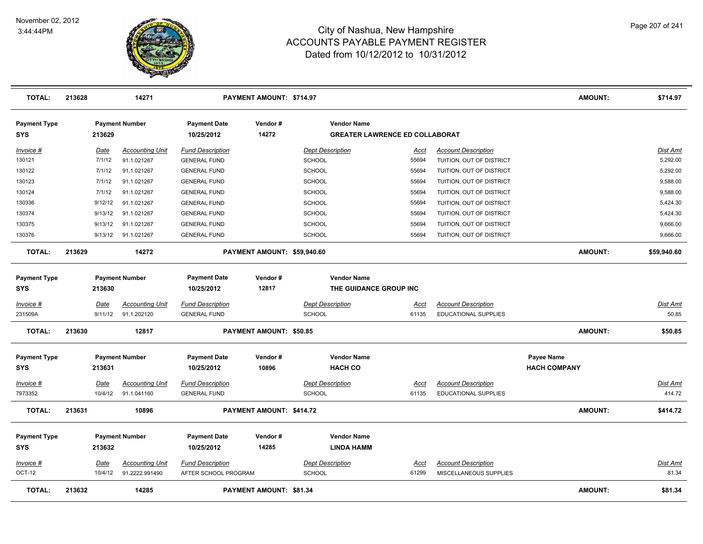

| <b>TOTAL:</b>              | 213628 |         | 14271                  |                                   | PAYMENT AMOUNT: \$714.97    |                                                             |             |                            | <b>AMOUNT:</b>      | \$714.97        |
|----------------------------|--------|---------|------------------------|-----------------------------------|-----------------------------|-------------------------------------------------------------|-------------|----------------------------|---------------------|-----------------|
| <b>Payment Type</b><br>SYS |        | 213629  | <b>Payment Number</b>  | <b>Payment Date</b><br>10/25/2012 | Vendor#<br>14272            | <b>Vendor Name</b><br><b>GREATER LAWRENCE ED COLLABORAT</b> |             |                            |                     |                 |
| Invoice #                  |        | Date    | <b>Accounting Unit</b> | <b>Fund Description</b>           |                             | <b>Dept Description</b>                                     | Acct        | <b>Account Description</b> |                     | <b>Dist Amt</b> |
| 130121                     |        | 7/1/12  | 91.1.021267            | <b>GENERAL FUND</b>               |                             | <b>SCHOOL</b>                                               | 55694       | TUITION, OUT OF DISTRICT   |                     | 5,292.00        |
| 130122                     |        | 7/1/12  | 91.1.021267            | <b>GENERAL FUND</b>               |                             | SCHOOL                                                      | 55694       | TUITION, OUT OF DISTRICT   |                     | 5,292.00        |
| 130123                     |        | 7/1/12  | 91.1.021267            | <b>GENERAL FUND</b>               |                             | SCHOOL                                                      | 55694       | TUITION, OUT OF DISTRICT   |                     | 9,588.00        |
| 130124                     |        | 7/1/12  | 91.1.021267            | <b>GENERAL FUND</b>               |                             | SCHOOL                                                      | 55694       | TUITION, OUT OF DISTRICT   |                     | 9,588.00        |
| 130336                     |        | 9/12/12 | 91.1.021267            | <b>GENERAL FUND</b>               |                             | <b>SCHOOL</b>                                               | 55694       | TUITION, OUT OF DISTRICT   |                     | 5,424.30        |
| 130374                     |        | 9/13/12 | 91.1.021267            | <b>GENERAL FUND</b>               |                             | SCHOOL                                                      | 55694       | TUITION, OUT OF DISTRICT   |                     | 5,424.30        |
| 130375                     |        | 9/13/12 | 91.1.021267            | <b>GENERAL FUND</b>               |                             | SCHOOL                                                      | 55694       | TUITION, OUT OF DISTRICT   |                     | 9,666.00        |
| 130376                     |        | 9/13/12 | 91.1.021267            | <b>GENERAL FUND</b>               |                             | SCHOOL                                                      | 55694       | TUITION, OUT OF DISTRICT   |                     | 9,666.00        |
| <b>TOTAL:</b>              | 213629 |         | 14272                  |                                   | PAYMENT AMOUNT: \$59,940.60 |                                                             |             |                            | <b>AMOUNT:</b>      | \$59,940.60     |
| <b>Payment Type</b>        |        |         | <b>Payment Number</b>  | <b>Payment Date</b>               | Vendor#                     | <b>Vendor Name</b>                                          |             |                            |                     |                 |
| <b>SYS</b>                 |        | 213630  |                        | 10/25/2012                        | 12817                       | THE GUIDANCE GROUP INC                                      |             |                            |                     |                 |
| <u>Invoice #</u>           |        | Date    | <b>Accounting Unit</b> | <b>Fund Description</b>           |                             | <b>Dept Description</b>                                     | <u>Acct</u> | <b>Account Description</b> |                     | <b>Dist Amt</b> |
| 231509A                    |        | 9/11/12 | 91.1.202120            | <b>GENERAL FUND</b>               |                             | <b>SCHOOL</b>                                               | 61135       | EDUCATIONAL SUPPLIES       |                     | 50.85           |
| <b>TOTAL:</b>              | 213630 |         | 12817                  |                                   | PAYMENT AMOUNT: \$50.85     |                                                             |             |                            | <b>AMOUNT:</b>      | \$50.85         |
| <b>Payment Type</b>        |        |         | <b>Payment Number</b>  | <b>Payment Date</b>               | Vendor#                     | <b>Vendor Name</b>                                          |             |                            | <b>Payee Name</b>   |                 |
| <b>SYS</b>                 |        | 213631  |                        | 10/25/2012                        | 10896                       | <b>HACH CO</b>                                              |             |                            | <b>HACH COMPANY</b> |                 |
| <u>Invoice #</u>           |        | Date    | <b>Accounting Unit</b> | <b>Fund Description</b>           |                             | <b>Dept Description</b>                                     | <u>Acct</u> | <b>Account Description</b> |                     | <b>Dist Amt</b> |
| 7973352                    |        | 10/4/12 | 91.1.041160            | <b>GENERAL FUND</b>               |                             | <b>SCHOOL</b>                                               | 61135       | EDUCATIONAL SUPPLIES       |                     | 414.72          |
| <b>TOTAL:</b>              | 213631 |         | 10896                  |                                   | PAYMENT AMOUNT: \$414.72    |                                                             |             |                            | <b>AMOUNT:</b>      | \$414.72        |
| <b>Payment Type</b>        |        |         | <b>Payment Number</b>  | <b>Payment Date</b>               | Vendor#                     | <b>Vendor Name</b>                                          |             |                            |                     |                 |
| <b>SYS</b>                 |        | 213632  |                        | 10/25/2012                        | 14285                       | <b>LINDA HAMM</b>                                           |             |                            |                     |                 |
| Invoice #                  |        | Date    | <b>Accounting Unit</b> | <b>Fund Description</b>           |                             | <b>Dept Description</b>                                     | Acct        | <b>Account Description</b> |                     | Dist Amt        |
| OCT-12                     |        | 10/4/12 | 91.2222.991490         | AFTER SCHOOL PROGRAM              |                             | <b>SCHOOL</b>                                               | 61299       | MISCELLANEOUS SUPPLIES     |                     | 81.34           |
| <b>TOTAL:</b>              | 213632 |         | 14285                  |                                   | PAYMENT AMOUNT: \$81.34     |                                                             |             |                            | <b>AMOUNT:</b>      | \$81.34         |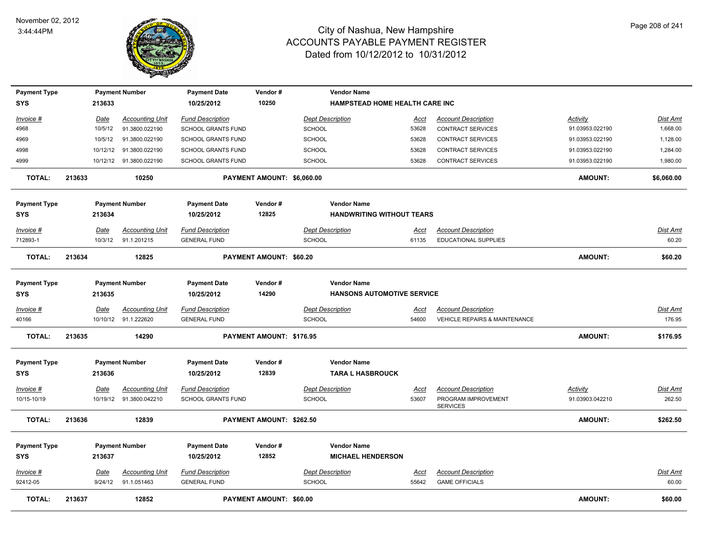

| <b>Payment Type</b> |        |          | <b>Payment Number</b>   | <b>Payment Date</b>               | Vendor#                        | <b>Vendor Name</b>                                      |             |                                          |                 |                 |
|---------------------|--------|----------|-------------------------|-----------------------------------|--------------------------------|---------------------------------------------------------|-------------|------------------------------------------|-----------------|-----------------|
| <b>SYS</b>          |        | 213633   |                         | 10/25/2012                        | 10250                          | HAMPSTEAD HOME HEALTH CARE INC                          |             |                                          |                 |                 |
| Invoice #           |        | Date     | <b>Accounting Unit</b>  | <b>Fund Description</b>           |                                | <b>Dept Description</b>                                 | Acct        | <b>Account Description</b>               | Activity        | Dist Amt        |
| 4968                |        | 10/5/12  | 91.3800.022190          | SCHOOL GRANTS FUND                |                                | SCHOOL                                                  | 53628       | <b>CONTRACT SERVICES</b>                 | 91.03953.022190 | 1,668.00        |
| 4969                |        | 10/5/12  | 91.3800.022190          | <b>SCHOOL GRANTS FUND</b>         |                                | <b>SCHOOL</b>                                           | 53628       | <b>CONTRACT SERVICES</b>                 | 91.03953.022190 | 1,128.00        |
| 4998                |        | 10/12/12 | 91.3800.022190          | SCHOOL GRANTS FUND                |                                | SCHOOL                                                  | 53628       | <b>CONTRACT SERVICES</b>                 | 91.03953.022190 | 1,284.00        |
| 4999                |        |          | 10/12/12 91.3800.022190 | SCHOOL GRANTS FUND                |                                | SCHOOL                                                  | 53628       | <b>CONTRACT SERVICES</b>                 | 91.03953.022190 | 1,980.00        |
| <b>TOTAL:</b>       | 213633 |          | 10250                   |                                   | PAYMENT AMOUNT: \$6,060.00     |                                                         |             |                                          | <b>AMOUNT:</b>  | \$6,060.00      |
| <b>Payment Type</b> |        |          | <b>Payment Number</b>   | <b>Payment Date</b>               | Vendor#                        | <b>Vendor Name</b>                                      |             |                                          |                 |                 |
| <b>SYS</b>          |        | 213634   |                         | 10/25/2012                        | 12825                          | <b>HANDWRITING WITHOUT TEARS</b>                        |             |                                          |                 |                 |
| Invoice #           |        | Date     | <b>Accounting Unit</b>  | <b>Fund Description</b>           |                                | <b>Dept Description</b>                                 | Acct        | <b>Account Description</b>               |                 | Dist Amt        |
| 712893-1            |        | 10/3/12  | 91.1.201215             | <b>GENERAL FUND</b>               |                                | SCHOOL                                                  | 61135       | <b>EDUCATIONAL SUPPLIES</b>              |                 | 60.20           |
| <b>TOTAL:</b>       | 213634 |          | 12825                   |                                   | <b>PAYMENT AMOUNT: \$60.20</b> |                                                         |             |                                          | <b>AMOUNT:</b>  | \$60.20         |
|                     |        |          |                         |                                   |                                |                                                         |             |                                          |                 |                 |
| <b>Payment Type</b> |        |          | <b>Payment Number</b>   | <b>Payment Date</b><br>10/25/2012 | Vendor#<br>14290               | <b>Vendor Name</b><br><b>HANSONS AUTOMOTIVE SERVICE</b> |             |                                          |                 |                 |
| <b>SYS</b>          |        | 213635   |                         |                                   |                                |                                                         |             |                                          |                 |                 |
| Invoice #           |        | Date     | <b>Accounting Unit</b>  | <b>Fund Description</b>           |                                | <b>Dept Description</b>                                 | Acct        | <b>Account Description</b>               |                 | <b>Dist Amt</b> |
| 40166               |        |          | 10/10/12 91.1.222620    | <b>GENERAL FUND</b>               |                                | SCHOOL                                                  | 54600       | <b>VEHICLE REPAIRS &amp; MAINTENANCE</b> |                 | 176.95          |
| <b>TOTAL:</b>       | 213635 |          | 14290                   |                                   | PAYMENT AMOUNT: \$176.95       |                                                         |             |                                          | <b>AMOUNT:</b>  | \$176.95        |
| <b>Payment Type</b> |        |          | <b>Payment Number</b>   | <b>Payment Date</b>               | Vendor#                        | <b>Vendor Name</b>                                      |             |                                          |                 |                 |
| <b>SYS</b>          |        | 213636   |                         | 10/25/2012                        | 12839                          | <b>TARA L HASBROUCK</b>                                 |             |                                          |                 |                 |
| Invoice #           |        | Date     | <b>Accounting Unit</b>  | <b>Fund Description</b>           |                                | <b>Dept Description</b>                                 | Acct        | <b>Account Description</b>               | <b>Activity</b> | Dist Amt        |
| 10/15-10/19         |        | 10/19/12 | 91.3800.042210          | <b>SCHOOL GRANTS FUND</b>         |                                | <b>SCHOOL</b>                                           | 53607       | PROGRAM IMPROVEMENT<br><b>SERVICES</b>   | 91.03903.042210 | 262.50          |
| <b>TOTAL:</b>       | 213636 |          | 12839                   |                                   | PAYMENT AMOUNT: \$262.50       |                                                         |             |                                          | AMOUNT:         | \$262.50        |
| <b>Payment Type</b> |        |          | <b>Payment Number</b>   | <b>Payment Date</b>               | Vendor#                        | <b>Vendor Name</b>                                      |             |                                          |                 |                 |
| <b>SYS</b>          |        | 213637   |                         | 10/25/2012                        | 12852                          | <b>MICHAEL HENDERSON</b>                                |             |                                          |                 |                 |
| Invoice #           |        | Date     | <b>Accounting Unit</b>  | <b>Fund Description</b>           |                                | <b>Dept Description</b>                                 | <u>Acct</u> | <b>Account Description</b>               |                 | <b>Dist Amt</b> |
| 92412-05            |        | 9/24/12  | 91.1.051463             | <b>GENERAL FUND</b>               |                                | SCHOOL                                                  | 55642       | <b>GAME OFFICIALS</b>                    |                 | 60.00           |
| <b>TOTAL:</b>       | 213637 |          | 12852                   |                                   | PAYMENT AMOUNT: \$60.00        |                                                         |             |                                          | <b>AMOUNT:</b>  | \$60.00         |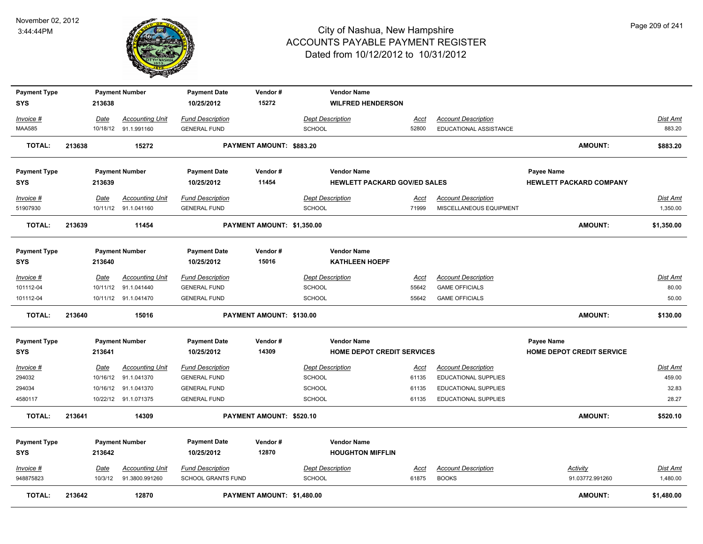

| <b>TOTAL:</b>                     | 213642 |                  | 12870                                          |                                                      | PAYMENT AMOUNT: \$1,480.00 |                                          |                                                           |                      |                                                           | <b>AMOUNT:</b>                                      | \$1,480.00                  |
|-----------------------------------|--------|------------------|------------------------------------------------|------------------------------------------------------|----------------------------|------------------------------------------|-----------------------------------------------------------|----------------------|-----------------------------------------------------------|-----------------------------------------------------|-----------------------------|
| Invoice #<br>948875823            |        | Date<br>10/3/12  | <b>Accounting Unit</b><br>91.3800.991260       | <b>Fund Description</b><br><b>SCHOOL GRANTS FUND</b> |                            | SCHOOL                                   | <b>Dept Description</b>                                   | <b>Acct</b><br>61875 | <b>Account Description</b><br><b>BOOKS</b>                | Activity<br>91.03772.991260                         | Dist Amt<br>1,480.00        |
| <b>Payment Type</b><br><b>SYS</b> |        | 213642           | <b>Payment Number</b>                          | <b>Payment Date</b><br>10/25/2012                    | Vendor#<br>12870           |                                          | <b>Vendor Name</b><br><b>HOUGHTON MIFFLIN</b>             |                      |                                                           |                                                     |                             |
| <b>TOTAL:</b>                     | 213641 |                  | 14309                                          |                                                      | PAYMENT AMOUNT: \$520.10   |                                          |                                                           |                      |                                                           | AMOUNT:                                             | \$520.10                    |
| 4580117                           |        |                  | 10/22/12 91.1.071375                           | <b>GENERAL FUND</b>                                  |                            | SCHOOL                                   |                                                           | 61135                | <b>EDUCATIONAL SUPPLIES</b>                               |                                                     | 28.27                       |
| 294034                            |        |                  | 10/16/12 91.1.041370                           | <b>GENERAL FUND</b>                                  |                            | <b>SCHOOL</b>                            |                                                           | 61135                | <b>EDUCATIONAL SUPPLIES</b>                               |                                                     | 32.83                       |
| $Invoice$ #<br>294032             |        | Date<br>10/16/12 | <b>Accounting Unit</b><br>91.1.041370          | <b>Fund Description</b><br><b>GENERAL FUND</b>       |                            | <b>Dept Description</b><br><b>SCHOOL</b> |                                                           | <u>Acct</u><br>61135 | <b>Account Description</b><br><b>EDUCATIONAL SUPPLIES</b> |                                                     | <b>Dist Amt</b><br>459.00   |
| <b>SYS</b>                        |        | 213641           |                                                | 10/25/2012                                           | 14309                      |                                          | <b>HOME DEPOT CREDIT SERVICES</b>                         |                      |                                                           | <b>HOME DEPOT CREDIT SERVICE</b>                    |                             |
| <b>Payment Type</b>               |        |                  | <b>Payment Number</b>                          | <b>Payment Date</b>                                  | Vendor#                    |                                          | <b>Vendor Name</b>                                        |                      |                                                           | <b>Payee Name</b>                                   |                             |
| <b>TOTAL:</b>                     | 213640 |                  | 15016                                          |                                                      | PAYMENT AMOUNT: \$130.00   |                                          |                                                           |                      |                                                           | AMOUNT:                                             | \$130.00                    |
| 101112-04                         |        |                  | 10/11/12 91.1.041470                           | <b>GENERAL FUND</b>                                  |                            | SCHOOL                                   |                                                           | 55642                | <b>GAME OFFICIALS</b>                                     |                                                     | 50.00                       |
| Invoice #<br>101112-04            |        | Date<br>10/11/12 | <b>Accounting Unit</b><br>91.1.041440          | <b>Fund Description</b><br><b>GENERAL FUND</b>       |                            | <b>Dept Description</b><br>SCHOOL        |                                                           | Acct<br>55642        | <b>Account Description</b><br><b>GAME OFFICIALS</b>       |                                                     | <b>Dist Amt</b><br>80.00    |
| <b>SYS</b>                        |        | 213640           |                                                | 10/25/2012                                           | 15016                      |                                          | <b>KATHLEEN HOEPF</b>                                     |                      |                                                           |                                                     |                             |
| <b>Payment Type</b>               |        |                  | <b>Payment Number</b>                          | <b>Payment Date</b>                                  | Vendor#                    |                                          | <b>Vendor Name</b>                                        |                      |                                                           |                                                     |                             |
| <b>TOTAL:</b>                     | 213639 |                  | 11454                                          |                                                      | PAYMENT AMOUNT: \$1,350.00 |                                          |                                                           |                      |                                                           | <b>AMOUNT:</b>                                      | \$1,350.00                  |
| Invoice #<br>51907930             |        | Date             | <b>Accounting Unit</b><br>10/11/12 91.1.041160 | <b>Fund Description</b><br><b>GENERAL FUND</b>       |                            | <b>SCHOOL</b>                            | <b>Dept Description</b>                                   | Acct<br>71999        | <b>Account Description</b><br>MISCELLANEOUS EQUIPMENT     |                                                     | <b>Dist Amt</b><br>1,350.00 |
| <b>Payment Type</b><br><b>SYS</b> |        | 213639           | <b>Payment Number</b>                          | <b>Payment Date</b><br>10/25/2012                    | Vendor#<br>11454           |                                          | <b>Vendor Name</b><br><b>HEWLETT PACKARD GOV/ED SALES</b> |                      |                                                           | <b>Payee Name</b><br><b>HEWLETT PACKARD COMPANY</b> |                             |
| <b>TOTAL:</b>                     | 213638 |                  | 15272                                          |                                                      | PAYMENT AMOUNT: \$883.20   |                                          |                                                           |                      |                                                           | AMOUNT:                                             | \$883.20                    |
| <b>MAA585</b>                     |        |                  | 10/18/12 91.1.991160                           | <b>GENERAL FUND</b>                                  |                            | SCHOOL                                   |                                                           | 52800                | EDUCATIONAL ASSISTANCE                                    |                                                     | 883.20                      |
| Invoice #                         |        | Date             | <b>Accounting Unit</b>                         | <b>Fund Description</b>                              |                            |                                          | <b>Dept Description</b>                                   | <u>Acct</u>          | <b>Account Description</b>                                |                                                     | Dist Amt                    |
| <b>Payment Type</b><br><b>SYS</b> |        | 213638           | <b>Payment Number</b>                          | <b>Payment Date</b><br>10/25/2012                    | Vendor#<br>15272           |                                          | <b>Vendor Name</b><br><b>WILFRED HENDERSON</b>            |                      |                                                           |                                                     |                             |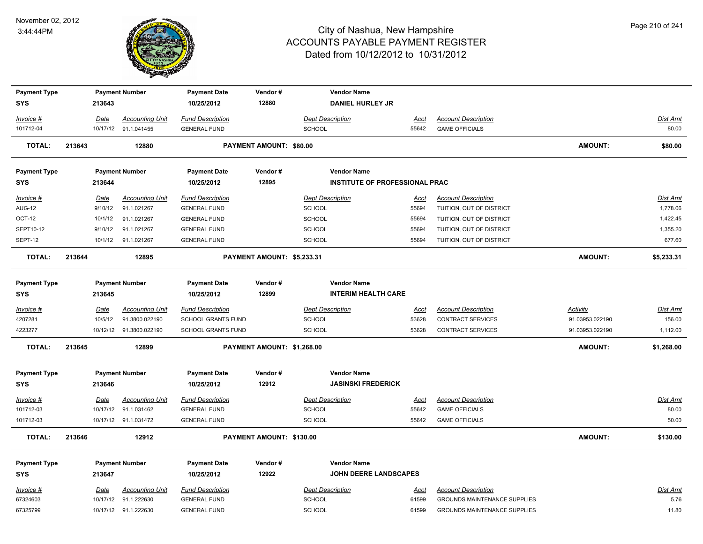

| <b>Payment Type</b>               |        |                        | <b>Payment Number</b>                 | <b>Payment Date</b>                            | Vendor#                        | <b>Vendor Name</b>                    |                      |                                                        |                 |                             |
|-----------------------------------|--------|------------------------|---------------------------------------|------------------------------------------------|--------------------------------|---------------------------------------|----------------------|--------------------------------------------------------|-----------------|-----------------------------|
| SYS                               |        | 213643                 |                                       | 10/25/2012                                     | 12880                          | <b>DANIEL HURLEY JR</b>               |                      |                                                        |                 |                             |
| Invoice #                         |        | Date                   | <b>Accounting Unit</b>                | <b>Fund Description</b>                        |                                | <b>Dept Description</b>               | <u>Acct</u>          | <b>Account Description</b>                             |                 | Dist Amt                    |
| 101712-04                         |        |                        | 10/17/12 91.1.041455                  | <b>GENERAL FUND</b>                            |                                | SCHOOL                                | 55642                | <b>GAME OFFICIALS</b>                                  |                 | 80.00                       |
| <b>TOTAL:</b>                     | 213643 |                        | 12880                                 |                                                | <b>PAYMENT AMOUNT: \$80.00</b> |                                       |                      |                                                        | <b>AMOUNT:</b>  | \$80.00                     |
| <b>Payment Type</b>               |        |                        | <b>Payment Number</b>                 | <b>Payment Date</b>                            | Vendor#                        | <b>Vendor Name</b>                    |                      |                                                        |                 |                             |
| SYS                               |        | 213644                 |                                       | 10/25/2012                                     | 12895                          | <b>INSTITUTE OF PROFESSIONAL PRAC</b> |                      |                                                        |                 |                             |
| <u>Invoice #</u><br><b>AUG-12</b> |        | <u>Date</u><br>9/10/12 | <b>Accounting Unit</b><br>91.1.021267 | <b>Fund Description</b><br><b>GENERAL FUND</b> |                                | <b>Dept Description</b><br>SCHOOL     | <u>Acct</u><br>55694 | <b>Account Description</b><br>TUITION, OUT OF DISTRICT |                 | <b>Dist Amt</b><br>1,778.06 |
| <b>OCT-12</b>                     |        | 10/1/12                | 91.1.021267                           | <b>GENERAL FUND</b>                            |                                | SCHOOL                                | 55694                | TUITION, OUT OF DISTRICT                               |                 | 1,422.45                    |
| SEPT10-12                         |        | 9/10/12                | 91.1.021267                           | <b>GENERAL FUND</b>                            |                                | SCHOOL                                | 55694                | TUITION, OUT OF DISTRICT                               |                 | 1,355.20                    |
| SEPT-12                           |        |                        | 10/1/12 91.1.021267                   | <b>GENERAL FUND</b>                            |                                | SCHOOL                                | 55694                | TUITION, OUT OF DISTRICT                               |                 | 677.60                      |
| <b>TOTAL:</b>                     | 213644 |                        | 12895                                 |                                                | PAYMENT AMOUNT: \$5,233.31     |                                       |                      |                                                        | <b>AMOUNT:</b>  | \$5,233.31                  |
| <b>Payment Type</b>               |        |                        | <b>Payment Number</b>                 | <b>Payment Date</b>                            | Vendor#                        | <b>Vendor Name</b>                    |                      |                                                        |                 |                             |
| SYS                               |        | 213645                 |                                       | 10/25/2012                                     | 12899                          | <b>INTERIM HEALTH CARE</b>            |                      |                                                        |                 |                             |
| <u>Invoice #</u>                  |        | <u>Date</u>            | <b>Accounting Unit</b>                | <b>Fund Description</b>                        |                                | <b>Dept Description</b>               | <u>Acct</u>          | <b>Account Description</b>                             | <b>Activity</b> | Dist Amt                    |
| 4207281                           |        | 10/5/12                | 91.3800.022190                        | SCHOOL GRANTS FUND                             |                                | <b>SCHOOL</b>                         | 53628                | <b>CONTRACT SERVICES</b>                               | 91.03953.022190 | 156.00                      |
| 4223277                           |        |                        | 10/12/12 91.3800.022190               | SCHOOL GRANTS FUND                             |                                | <b>SCHOOL</b>                         | 53628                | CONTRACT SERVICES                                      | 91.03953.022190 | 1,112.00                    |
| <b>TOTAL:</b>                     | 213645 |                        | 12899                                 |                                                | PAYMENT AMOUNT: \$1,268.00     |                                       |                      |                                                        | <b>AMOUNT:</b>  | \$1,268.00                  |
| <b>Payment Type</b>               |        |                        | <b>Payment Number</b>                 | <b>Payment Date</b>                            | Vendor#                        | <b>Vendor Name</b>                    |                      |                                                        |                 |                             |
| SYS                               |        | 213646                 |                                       | 10/25/2012                                     | 12912                          | <b>JASINSKI FREDERICK</b>             |                      |                                                        |                 |                             |
| Invoice #                         |        | Date                   | <b>Accounting Unit</b>                | <b>Fund Description</b>                        |                                | <b>Dept Description</b>               | Acct                 | <b>Account Description</b>                             |                 | <b>Dist Amt</b>             |
| 101712-03                         |        |                        | 10/17/12 91.1.031462                  | <b>GENERAL FUND</b>                            |                                | SCHOOL                                | 55642                | <b>GAME OFFICIALS</b>                                  |                 | 80.00                       |
| 101712-03                         |        |                        | 10/17/12 91.1.031472                  | <b>GENERAL FUND</b>                            |                                | SCHOOL                                | 55642                | <b>GAME OFFICIALS</b>                                  |                 | 50.00                       |
| <b>TOTAL:</b>                     | 213646 |                        | 12912                                 |                                                | PAYMENT AMOUNT: \$130.00       |                                       |                      |                                                        | AMOUNT:         | \$130.00                    |
| <b>Payment Type</b>               |        |                        | <b>Payment Number</b>                 | <b>Payment Date</b>                            | Vendor#                        | <b>Vendor Name</b>                    |                      |                                                        |                 |                             |
| SYS                               |        | 213647                 |                                       | 10/25/2012                                     | 12922                          | <b>JOHN DEERE LANDSCAPES</b>          |                      |                                                        |                 |                             |
| Invoice #                         |        | Date                   | <b>Accounting Unit</b>                | <b>Fund Description</b>                        |                                | <b>Dept Description</b>               | Acct                 | <b>Account Description</b>                             |                 | <b>Dist Amt</b>             |
| 67324603                          |        |                        | 10/17/12 91.1.222630                  | <b>GENERAL FUND</b>                            |                                | SCHOOL                                | 61599                | <b>GROUNDS MAINTENANCE SUPPLIES</b>                    |                 | 5.76                        |
| 67325799                          |        |                        | 10/17/12 91.1.222630                  | <b>GENERAL FUND</b>                            |                                | SCHOOL                                | 61599                | <b>GROUNDS MAINTENANCE SUPPLIES</b>                    |                 | 11.80                       |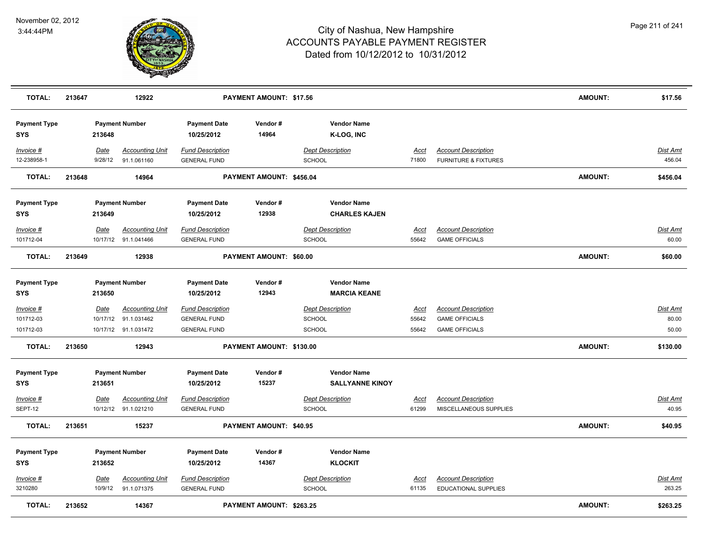

| <b>TOTAL:</b>                 | 213647 |                         | 12922                                          |                                                | PAYMENT AMOUNT: \$17.56  |                                              |                      |                                                               | <b>AMOUNT:</b> | \$17.56                  |
|-------------------------------|--------|-------------------------|------------------------------------------------|------------------------------------------------|--------------------------|----------------------------------------------|----------------------|---------------------------------------------------------------|----------------|--------------------------|
| <b>Payment Type</b><br>SYS    |        | 213648                  | <b>Payment Number</b>                          | <b>Payment Date</b><br>10/25/2012              | Vendor#<br>14964         | <b>Vendor Name</b><br>K-LOG, INC             |                      |                                                               |                |                          |
| Invoice #<br>12-238958-1      |        | Date<br>9/28/12         | <b>Accounting Unit</b><br>91.1.061160          | <b>Fund Description</b><br><b>GENERAL FUND</b> |                          | <b>Dept Description</b><br>SCHOOL            | Acct<br>71800        | <b>Account Description</b><br><b>FURNITURE &amp; FIXTURES</b> |                | Dist Amt<br>456.04       |
| <b>TOTAL:</b>                 | 213648 |                         | 14964                                          |                                                | PAYMENT AMOUNT: \$456.04 |                                              |                      |                                                               | <b>AMOUNT:</b> | \$456.04                 |
| <b>Payment Type</b><br>SYS    |        | 213649                  | <b>Payment Number</b>                          | <b>Payment Date</b><br>10/25/2012              | Vendor#<br>12938         | <b>Vendor Name</b><br><b>CHARLES KAJEN</b>   |                      |                                                               |                |                          |
| Invoice #<br>101712-04        |        | Date                    | <b>Accounting Unit</b><br>10/17/12 91.1.041466 | <b>Fund Description</b><br><b>GENERAL FUND</b> |                          | <b>Dept Description</b><br>SCHOOL            | Acct<br>55642        | <b>Account Description</b><br><b>GAME OFFICIALS</b>           |                | Dist Amt<br>60.00        |
| <b>TOTAL:</b>                 | 213649 |                         | 12938                                          |                                                | PAYMENT AMOUNT: \$60.00  |                                              |                      |                                                               | AMOUNT:        | \$60.00                  |
| <b>Payment Type</b><br>SYS    |        | 213650                  | <b>Payment Number</b>                          | <b>Payment Date</b><br>10/25/2012              | Vendor#<br>12943         | <b>Vendor Name</b><br><b>MARCIA KEANE</b>    |                      |                                                               |                |                          |
| <u>Invoice #</u><br>101712-03 |        | <b>Date</b><br>10/17/12 | <b>Accounting Unit</b><br>91.1.031462          | <b>Fund Description</b><br><b>GENERAL FUND</b> |                          | <b>Dept Description</b><br>SCHOOL            | <u>Acct</u><br>55642 | <b>Account Description</b><br><b>GAME OFFICIALS</b>           |                | <u>Dist Amt</u><br>80.00 |
| 101712-03                     |        |                         | 10/17/12 91.1.031472                           | <b>GENERAL FUND</b>                            |                          | SCHOOL                                       | 55642                | <b>GAME OFFICIALS</b>                                         |                | 50.00                    |
| <b>TOTAL:</b>                 | 213650 |                         | 12943                                          |                                                | PAYMENT AMOUNT: \$130.00 |                                              |                      |                                                               | <b>AMOUNT:</b> | \$130.00                 |
| <b>Payment Type</b><br>SYS    |        | 213651                  | <b>Payment Number</b>                          | <b>Payment Date</b><br>10/25/2012              | Vendor#<br>15237         | <b>Vendor Name</b><br><b>SALLYANNE KINOY</b> |                      |                                                               |                |                          |
| Invoice #<br>SEPT-12          |        | Date                    | <b>Accounting Unit</b><br>10/12/12 91.1.021210 | <b>Fund Description</b><br><b>GENERAL FUND</b> |                          | <b>Dept Description</b><br>SCHOOL            | Acct<br>61299        | <b>Account Description</b><br>MISCELLANEOUS SUPPLIES          |                | Dist Amt<br>40.95        |
| <b>TOTAL:</b>                 | 213651 |                         | 15237                                          |                                                | PAYMENT AMOUNT: \$40.95  |                                              |                      |                                                               | <b>AMOUNT:</b> | \$40.95                  |
| <b>Payment Type</b><br>SYS    |        | 213652                  | <b>Payment Number</b>                          | <b>Payment Date</b><br>10/25/2012              | Vendor#<br>14367         | <b>Vendor Name</b><br><b>KLOCKIT</b>         |                      |                                                               |                |                          |
| <u>Invoice #</u><br>3210280   |        | <u>Date</u><br>10/9/12  | <b>Accounting Unit</b><br>91.1.071375          | <b>Fund Description</b><br><b>GENERAL FUND</b> |                          | <b>Dept Description</b><br>SCHOOL            | Acct<br>61135        | <b>Account Description</b><br><b>EDUCATIONAL SUPPLIES</b>     |                | Dist Amt<br>263.25       |
| <b>TOTAL:</b>                 | 213652 |                         | 14367                                          |                                                | PAYMENT AMOUNT: \$263.25 |                                              |                      |                                                               | <b>AMOUNT:</b> | \$263.25                 |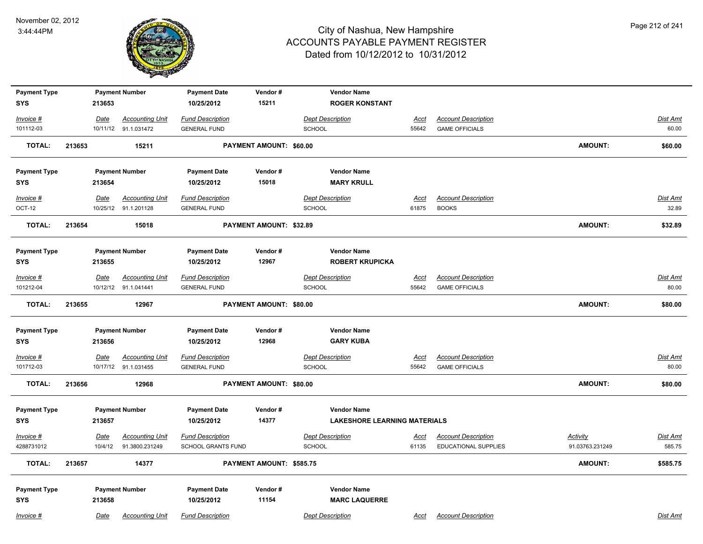

| <b>Payment Type</b><br><b>SYS</b> |        | 213653                 | <b>Payment Number</b>                          | <b>Payment Date</b><br>10/25/2012                    | Vendor#<br>15211         | <b>Vendor Name</b><br><b>ROGER KONSTANT</b> |                      |                                                           |                                    |                           |
|-----------------------------------|--------|------------------------|------------------------------------------------|------------------------------------------------------|--------------------------|---------------------------------------------|----------------------|-----------------------------------------------------------|------------------------------------|---------------------------|
| Invoice #                         |        | Date                   | <b>Accounting Unit</b>                         | <b>Fund Description</b>                              |                          | <b>Dept Description</b>                     | <u>Acct</u>          | <b>Account Description</b>                                |                                    | Dist Amt                  |
| 101112-03                         |        |                        | 10/11/12 91.1.031472                           | <b>GENERAL FUND</b>                                  |                          | <b>SCHOOL</b>                               | 55642                | <b>GAME OFFICIALS</b>                                     |                                    | 60.00                     |
| <b>TOTAL:</b>                     | 213653 |                        | 15211                                          |                                                      | PAYMENT AMOUNT: \$60.00  |                                             |                      |                                                           | AMOUNT:                            | \$60.00                   |
| <b>Payment Type</b>               |        |                        | <b>Payment Number</b>                          | <b>Payment Date</b>                                  | Vendor#                  | <b>Vendor Name</b>                          |                      |                                                           |                                    |                           |
| <b>SYS</b>                        |        | 213654                 |                                                | 10/25/2012                                           | 15018                    | <b>MARY KRULL</b>                           |                      |                                                           |                                    |                           |
| Invoice #                         |        | <u>Date</u>            | <b>Accounting Unit</b>                         | <b>Fund Description</b>                              |                          | <b>Dept Description</b>                     | <u>Acct</u>          | <b>Account Description</b>                                |                                    | <b>Dist Amt</b>           |
| OCT-12                            |        |                        | 10/25/12 91.1.201128                           | <b>GENERAL FUND</b>                                  |                          | <b>SCHOOL</b>                               | 61875                | <b>BOOKS</b>                                              |                                    | 32.89                     |
| <b>TOTAL:</b>                     | 213654 |                        | 15018                                          |                                                      | PAYMENT AMOUNT: \$32.89  |                                             |                      |                                                           | <b>AMOUNT:</b>                     | \$32.89                   |
| <b>Payment Type</b>               |        |                        | <b>Payment Number</b>                          | <b>Payment Date</b>                                  | Vendor#                  | <b>Vendor Name</b>                          |                      |                                                           |                                    |                           |
| <b>SYS</b>                        |        | 213655                 |                                                | 10/25/2012                                           | 12967                    | <b>ROBERT KRUPICKA</b>                      |                      |                                                           |                                    |                           |
| Invoice #                         |        | Date                   | <b>Accounting Unit</b>                         | <b>Fund Description</b>                              |                          | <b>Dept Description</b>                     | Acct                 | <b>Account Description</b>                                |                                    | Dist Amt                  |
| 101212-04                         |        |                        | 10/12/12 91.1.041441                           | <b>GENERAL FUND</b>                                  |                          | SCHOOL                                      | 55642                | <b>GAME OFFICIALS</b>                                     |                                    | 80.00                     |
| <b>TOTAL:</b>                     | 213655 |                        | 12967                                          |                                                      | PAYMENT AMOUNT: \$80.00  |                                             |                      |                                                           | <b>AMOUNT:</b>                     | \$80.00                   |
| <b>Payment Type</b>               |        |                        | <b>Payment Number</b>                          | <b>Payment Date</b>                                  | Vendor#                  | <b>Vendor Name</b>                          |                      |                                                           |                                    |                           |
| <b>SYS</b>                        |        | 213656                 |                                                | 10/25/2012                                           | 12968                    | <b>GARY KUBA</b>                            |                      |                                                           |                                    |                           |
| Invoice #<br>101712-03            |        | <u>Date</u>            | <b>Accounting Unit</b><br>10/17/12 91.1.031455 | <b>Fund Description</b><br><b>GENERAL FUND</b>       |                          | <b>Dept Description</b><br>SCHOOL           | <u>Acct</u><br>55642 | <b>Account Description</b><br><b>GAME OFFICIALS</b>       |                                    | <u>Dist Amt</u><br>80.00  |
|                                   |        |                        |                                                |                                                      |                          |                                             |                      |                                                           |                                    |                           |
| <b>TOTAL:</b>                     | 213656 |                        | 12968                                          |                                                      | PAYMENT AMOUNT: \$80.00  |                                             |                      |                                                           | AMOUNT:                            | \$80.00                   |
| <b>Payment Type</b>               |        |                        | <b>Payment Number</b>                          | <b>Payment Date</b>                                  | Vendor#                  | <b>Vendor Name</b>                          |                      |                                                           |                                    |                           |
| <b>SYS</b>                        |        | 213657                 |                                                | 10/25/2012                                           | 14377                    | <b>LAKESHORE LEARNING MATERIALS</b>         |                      |                                                           |                                    |                           |
| Invoice #<br>4288731012           |        | <u>Date</u><br>10/4/12 | <b>Accounting Unit</b><br>91.3800.231249       | <b>Fund Description</b><br><b>SCHOOL GRANTS FUND</b> |                          | <b>Dept Description</b><br>SCHOOL           | <u>Acct</u><br>61135 | <b>Account Description</b><br><b>EDUCATIONAL SUPPLIES</b> | <b>Activity</b><br>91.03763.231249 | <b>Dist Amt</b><br>585.75 |
| TOTAL:                            | 213657 |                        | 14377                                          |                                                      | PAYMENT AMOUNT: \$585.75 |                                             |                      |                                                           | AMOUNT:                            | \$585.75                  |
| <b>Payment Type</b>               |        |                        | <b>Payment Number</b>                          | <b>Payment Date</b>                                  | Vendor#                  | <b>Vendor Name</b>                          |                      |                                                           |                                    |                           |
| <b>SYS</b>                        |        | 213658                 |                                                | 10/25/2012                                           | 11154                    | <b>MARC LAQUERRE</b>                        |                      |                                                           |                                    |                           |
| Invoice #                         |        | Date                   | <b>Accounting Unit</b>                         | <b>Fund Description</b>                              |                          | <b>Dept Description</b>                     | Acct                 | <b>Account Description</b>                                |                                    | Dist Amt                  |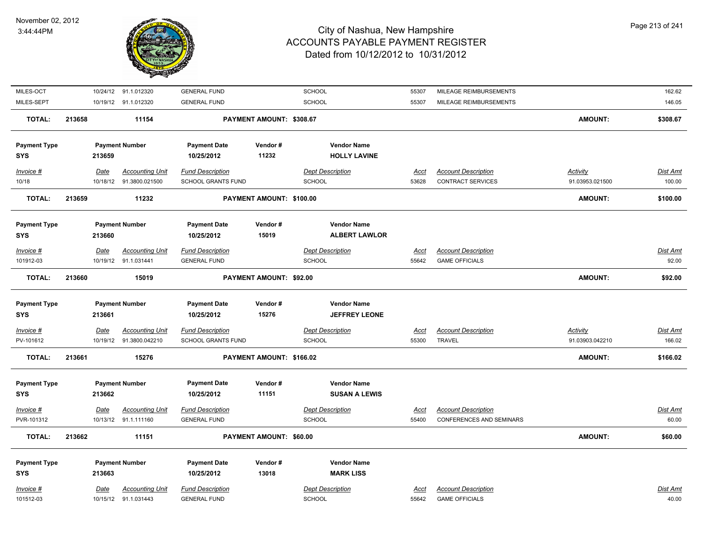

| <b>TOTAL:</b><br><b>Payment Type</b><br><b>SYS</b><br>Invoice # | 213662 | 213663<br>Date | <b>Payment Number</b><br><b>Accounting Unit</b>    | <b>Payment Date</b><br>10/25/2012<br><b>Fund Description</b> | Vendor#<br>13018               | <b>Vendor Name</b><br><b>MARK LISS</b><br><b>Dept Description</b> | <b>Acct</b>          | <b>Account Description</b>                      |                                    | Dist Amt           |
|-----------------------------------------------------------------|--------|----------------|----------------------------------------------------|--------------------------------------------------------------|--------------------------------|-------------------------------------------------------------------|----------------------|-------------------------------------------------|------------------------------------|--------------------|
|                                                                 |        |                |                                                    |                                                              |                                |                                                                   |                      |                                                 |                                    |                    |
|                                                                 |        |                |                                                    |                                                              |                                |                                                                   |                      |                                                 |                                    |                    |
|                                                                 |        |                | 11151                                              |                                                              | PAYMENT AMOUNT: \$60.00        |                                                                   |                      |                                                 | AMOUNT:                            | \$60.00            |
| PVR-101312                                                      |        |                | 10/13/12 91.1.111160                               | <b>GENERAL FUND</b>                                          |                                | <b>SCHOOL</b>                                                     | 55400                | <b>CONFERENCES AND SEMINARS</b>                 |                                    | 60.00              |
| Invoice #                                                       |        | <b>Date</b>    | <b>Accounting Unit</b>                             | <b>Fund Description</b>                                      |                                | <b>Dept Description</b>                                           | <u>Acct</u>          | <b>Account Description</b>                      |                                    | <b>Dist Amt</b>    |
| <b>SYS</b>                                                      |        | 213662         |                                                    | 10/25/2012                                                   | 11151                          | <b>SUSAN A LEWIS</b>                                              |                      |                                                 |                                    |                    |
| <b>Payment Type</b>                                             |        |                | <b>Payment Number</b>                              | <b>Payment Date</b>                                          | Vendor#                        | <b>Vendor Name</b>                                                |                      |                                                 |                                    |                    |
| <b>TOTAL:</b>                                                   | 213661 |                | 15276                                              |                                                              | PAYMENT AMOUNT: \$166.02       |                                                                   |                      |                                                 | <b>AMOUNT:</b>                     | \$166.02           |
| PV-101612                                                       |        |                | 10/19/12  91.3800.042210                           | SCHOOL GRANTS FUND                                           |                                | SCHOOL                                                            | 55300                | <b>TRAVEL</b>                                   | 91.03903.042210                    | 166.02             |
| Invoice #                                                       |        | <u>Date</u>    | <b>Accounting Unit</b>                             | <b>Fund Description</b>                                      |                                | <b>Dept Description</b>                                           | <u>Acct</u>          | <b>Account Description</b>                      | <b>Activity</b>                    | <u>Dist Amt</u>    |
| <b>SYS</b>                                                      |        | 213661         |                                                    | 10/25/2012                                                   | 15276                          | <b>JEFFREY LEONE</b>                                              |                      |                                                 |                                    |                    |
| <b>Payment Type</b>                                             |        |                | <b>Payment Number</b>                              | <b>Payment Date</b>                                          | Vendor#                        | <b>Vendor Name</b>                                                |                      |                                                 |                                    |                    |
| <b>TOTAL:</b>                                                   | 213660 |                | 15019                                              |                                                              | <b>PAYMENT AMOUNT: \$92.00</b> |                                                                   |                      |                                                 | <b>AMOUNT:</b>                     | \$92.00            |
| 101912-03                                                       |        |                | 10/19/12 91.1.031441                               | <b>GENERAL FUND</b>                                          |                                | SCHOOL                                                            | 55642                | <b>GAME OFFICIALS</b>                           |                                    | 92.00              |
| Invoice #                                                       |        | <b>Date</b>    | <b>Accounting Unit</b>                             | <b>Fund Description</b>                                      |                                | <b>Dept Description</b>                                           | <u>Acct</u>          | <b>Account Description</b>                      |                                    | Dist Amt           |
| <b>SYS</b>                                                      |        | 213660         |                                                    | 10/25/2012                                                   | 15019                          | <b>ALBERT LAWLOR</b>                                              |                      |                                                 |                                    |                    |
| <b>Payment Type</b>                                             |        |                | <b>Payment Number</b>                              | <b>Payment Date</b>                                          | Vendor#                        | <b>Vendor Name</b>                                                |                      |                                                 |                                    |                    |
| <b>TOTAL:</b>                                                   | 213659 |                | 11232                                              |                                                              | PAYMENT AMOUNT: \$100.00       |                                                                   |                      |                                                 | <b>AMOUNT:</b>                     | \$100.00           |
| Invoice #<br>10/18                                              |        | Date           | <b>Accounting Unit</b><br>10/18/12  91.3800.021500 | <b>Fund Description</b><br>SCHOOL GRANTS FUND                |                                | <b>Dept Description</b><br>SCHOOL                                 | <u>Acct</u><br>53628 | <b>Account Description</b><br>CONTRACT SERVICES | <b>Activity</b><br>91.03953.021500 | Dist Amt<br>100.00 |
| <b>SYS</b>                                                      |        | 213659         |                                                    | 10/25/2012                                                   | 11232                          | <b>HOLLY LAVINE</b>                                               |                      |                                                 |                                    |                    |
| <b>Payment Type</b>                                             |        |                | <b>Payment Number</b>                              | <b>Payment Date</b>                                          | Vendor#                        | <b>Vendor Name</b>                                                |                      |                                                 |                                    |                    |
| TOTAL:                                                          | 213658 |                | 11154                                              |                                                              | PAYMENT AMOUNT: \$308.67       |                                                                   |                      |                                                 | <b>AMOUNT:</b>                     | \$308.67           |
| MILES-SEPT                                                      |        |                | 10/19/12 91.1.012320                               | <b>GENERAL FUND</b>                                          |                                | SCHOOL                                                            | 55307                | MILEAGE REIMBURSEMENTS                          |                                    | 146.05             |
|                                                                 |        |                | 10/24/12 91.1.012320                               | <b>GENERAL FUND</b>                                          |                                | SCHOOL                                                            | 55307                | MILEAGE REIMBURSEMENTS                          |                                    | 162.62             |
| MILES-OCT                                                       |        |                |                                                    |                                                              |                                |                                                                   |                      |                                                 |                                    |                    |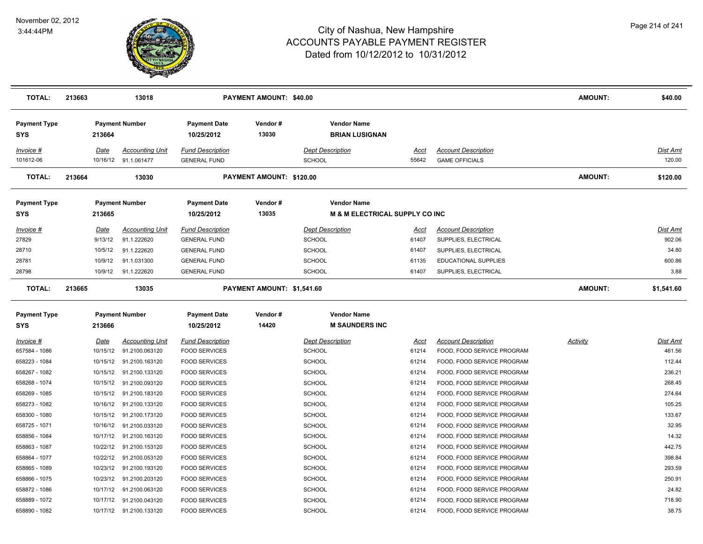

| <b>TOTAL:</b>                     | 213663   | 13018                   |                                   | <b>PAYMENT AMOUNT: \$40.00</b> |                                                                 |       |                            | <b>AMOUNT:</b>  | \$40.00    |
|-----------------------------------|----------|-------------------------|-----------------------------------|--------------------------------|-----------------------------------------------------------------|-------|----------------------------|-----------------|------------|
| <b>Payment Type</b><br><b>SYS</b> | 213664   | <b>Payment Number</b>   | <b>Payment Date</b><br>10/25/2012 | Vendor#<br>13030               | <b>Vendor Name</b><br><b>BRIAN LUSIGNAN</b>                     |       |                            |                 |            |
| Invoice #                         | Date     | <b>Accounting Unit</b>  | <b>Fund Description</b>           |                                | <b>Dept Description</b>                                         | Acct  | <b>Account Description</b> |                 | Dist Amt   |
| 101612-06                         |          | 10/16/12 91.1.061477    | <b>GENERAL FUND</b>               |                                | SCHOOL                                                          | 55642 | <b>GAME OFFICIALS</b>      |                 | 120.00     |
| <b>TOTAL:</b>                     | 213664   | 13030                   |                                   | PAYMENT AMOUNT: \$120.00       |                                                                 |       |                            | <b>AMOUNT:</b>  | \$120.00   |
| <b>Payment Type</b><br><b>SYS</b> | 213665   | <b>Payment Number</b>   | <b>Payment Date</b><br>10/25/2012 | Vendor#<br>13035               | <b>Vendor Name</b><br><b>M &amp; M ELECTRICAL SUPPLY CO INC</b> |       |                            |                 |            |
| Invoice #                         | Date     | <b>Accounting Unit</b>  | <b>Fund Description</b>           |                                | <b>Dept Description</b>                                         | Acct  | <b>Account Description</b> |                 | Dist Amt   |
| 27829                             | 9/13/12  | 91.1.222620             | <b>GENERAL FUND</b>               |                                | SCHOOL                                                          | 61407 | SUPPLIES, ELECTRICAL       |                 | 902.06     |
| 28710                             | 10/5/12  | 91.1.222620             | <b>GENERAL FUND</b>               |                                | <b>SCHOOL</b>                                                   | 61407 | SUPPLIES, ELECTRICAL       |                 | 34.80      |
| 28781                             | 10/9/12  | 91.1.031300             | <b>GENERAL FUND</b>               |                                | <b>SCHOOL</b>                                                   | 61135 | EDUCATIONAL SUPPLIES       |                 | 600.86     |
| 28798                             | 10/9/12  | 91.1.222620             | <b>GENERAL FUND</b>               |                                | <b>SCHOOL</b>                                                   | 61407 | SUPPLIES, ELECTRICAL       |                 | 3.88       |
| TOTAL:                            | 213665   | 13035                   |                                   | PAYMENT AMOUNT: \$1,541.60     |                                                                 |       |                            | <b>AMOUNT:</b>  | \$1,541.60 |
| <b>Payment Type</b>               |          | <b>Payment Number</b>   | <b>Payment Date</b>               | Vendor#                        | <b>Vendor Name</b>                                              |       |                            |                 |            |
| SYS                               | 213666   |                         | 10/25/2012                        | 14420                          | <b>M SAUNDERS INC</b>                                           |       |                            |                 |            |
| $Invoice$ #                       | Date     | <b>Accounting Unit</b>  | <b>Fund Description</b>           |                                | <b>Dept Description</b>                                         | Acct  | <b>Account Description</b> | <b>Activity</b> | Dist Amt   |
| 657584 - 1086                     |          | 10/15/12 91.2100.063120 | <b>FOOD SERVICES</b>              |                                | <b>SCHOOL</b>                                                   | 61214 | FOOD, FOOD SERVICE PROGRAM |                 | 461.56     |
| 658223 - 1084                     | 10/15/12 | 91.2100.163120          | <b>FOOD SERVICES</b>              |                                | <b>SCHOOL</b>                                                   | 61214 | FOOD, FOOD SERVICE PROGRAM |                 | 112.44     |
| 658267 - 1082                     |          | 10/15/12 91.2100.133120 | <b>FOOD SERVICES</b>              |                                | <b>SCHOOL</b>                                                   | 61214 | FOOD, FOOD SERVICE PROGRAM |                 | 236.21     |
| 658268 - 1074                     | 10/15/12 | 91.2100.093120          | <b>FOOD SERVICES</b>              |                                | <b>SCHOOL</b>                                                   | 61214 | FOOD, FOOD SERVICE PROGRAM |                 | 268.45     |
| 658269 - 1085                     |          | 10/15/12 91.2100.183120 | <b>FOOD SERVICES</b>              |                                | SCHOOL                                                          | 61214 | FOOD, FOOD SERVICE PROGRAM |                 | 274.64     |
| 658273 - 1082                     |          | 10/16/12 91.2100.133120 | <b>FOOD SERVICES</b>              |                                | SCHOOL                                                          | 61214 | FOOD, FOOD SERVICE PROGRAM |                 | 105.25     |
| 658300 - 1080                     |          | 10/15/12 91.2100.173120 | <b>FOOD SERVICES</b>              |                                | <b>SCHOOL</b>                                                   | 61214 | FOOD, FOOD SERVICE PROGRAM |                 | 133.67     |
| 658725 - 1071                     |          | 10/16/12 91.2100.033120 | <b>FOOD SERVICES</b>              |                                | <b>SCHOOL</b>                                                   | 61214 | FOOD, FOOD SERVICE PROGRAM |                 | 32.95      |
| 658856 - 1084                     |          | 10/17/12 91.2100.163120 | <b>FOOD SERVICES</b>              |                                | SCHOOL                                                          | 61214 | FOOD, FOOD SERVICE PROGRAM |                 | 14.32      |
| 658863 - 1087                     |          | 10/22/12 91.2100.153120 | <b>FOOD SERVICES</b>              |                                | SCHOOL                                                          | 61214 | FOOD, FOOD SERVICE PROGRAM |                 | 442.75     |
| 658864 - 1077                     | 10/22/12 | 91.2100.053120          | <b>FOOD SERVICES</b>              |                                | SCHOOL                                                          | 61214 | FOOD, FOOD SERVICE PROGRAM |                 | 398.84     |
| 658865 - 1089                     | 10/23/12 | 91.2100.193120          | <b>FOOD SERVICES</b>              |                                | <b>SCHOOL</b>                                                   | 61214 | FOOD, FOOD SERVICE PROGRAM |                 | 293.59     |
| 658866 - 1075                     |          | 10/23/12 91.2100.203120 | <b>FOOD SERVICES</b>              |                                | <b>SCHOOL</b>                                                   | 61214 | FOOD, FOOD SERVICE PROGRAM |                 | 250.91     |
| 658872 - 1086                     |          | 10/17/12 91.2100.063120 | <b>FOOD SERVICES</b>              |                                | <b>SCHOOL</b>                                                   | 61214 | FOOD, FOOD SERVICE PROGRAM |                 | 24.82      |
| 658889 - 1072                     |          | 10/17/12 91.2100.043120 | <b>FOOD SERVICES</b>              |                                | SCHOOL                                                          | 61214 | FOOD, FOOD SERVICE PROGRAM |                 | 718.90     |
| 658890 - 1082                     |          | 10/17/12 91.2100.133120 | <b>FOOD SERVICES</b>              |                                | SCHOOL                                                          | 61214 | FOOD, FOOD SERVICE PROGRAM |                 | 38.75      |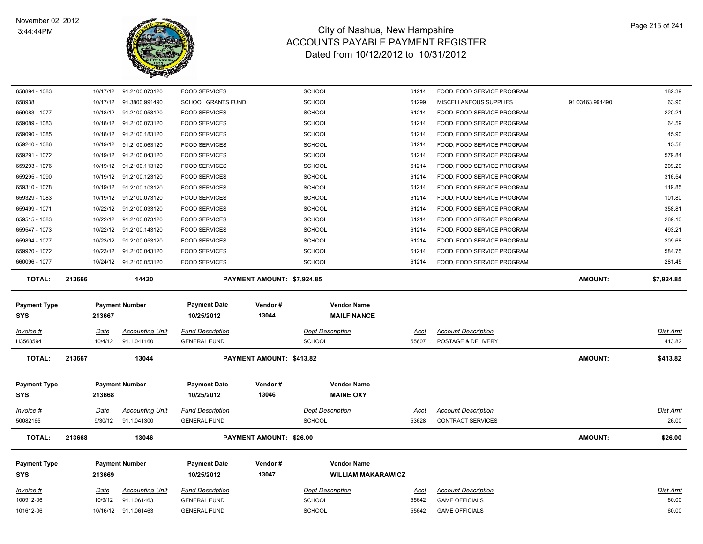

| 658894 - 1083                     |                     |                                       |                                                |                            |                                          |                |                                                  |                 |                    |
|-----------------------------------|---------------------|---------------------------------------|------------------------------------------------|----------------------------|------------------------------------------|----------------|--------------------------------------------------|-----------------|--------------------|
|                                   |                     | 10/17/12 91.2100.073120               | <b>FOOD SERVICES</b>                           |                            | SCHOOL                                   | 61214          | FOOD, FOOD SERVICE PROGRAM                       |                 | 182.39             |
| 658938                            | 10/17/12            | 91.3800.991490                        | <b>SCHOOL GRANTS FUND</b>                      |                            | SCHOOL                                   | 61299          | MISCELLANEOUS SUPPLIES                           | 91.03463.991490 | 63.90              |
| 659083 - 1077                     | 10/18/12            | 91.2100.053120                        | <b>FOOD SERVICES</b>                           |                            | SCHOOL                                   | 61214          | FOOD, FOOD SERVICE PROGRAM                       |                 | 220.21             |
| 659089 - 1083                     | 10/18/12            | 91.2100.073120                        | <b>FOOD SERVICES</b>                           |                            | <b>SCHOOL</b>                            | 61214          | FOOD, FOOD SERVICE PROGRAM                       |                 | 64.59              |
| 659090 - 1085                     | 10/18/12            | 91.2100.183120                        | <b>FOOD SERVICES</b>                           |                            | <b>SCHOOL</b>                            | 61214          | FOOD, FOOD SERVICE PROGRAM                       |                 | 45.90              |
| 659240 - 1086                     | 10/19/12            | 91.2100.063120                        | <b>FOOD SERVICES</b>                           |                            | <b>SCHOOL</b>                            | 61214          | FOOD, FOOD SERVICE PROGRAM                       |                 | 15.58              |
| 659291 - 1072                     | 10/19/12            | 91.2100.043120                        | <b>FOOD SERVICES</b>                           |                            | SCHOOL                                   | 61214          | FOOD, FOOD SERVICE PROGRAM                       |                 | 579.84             |
| 659293 - 1076                     |                     | 10/19/12 91.2100.113120               | <b>FOOD SERVICES</b>                           |                            | SCHOOL                                   | 61214          | FOOD, FOOD SERVICE PROGRAM                       |                 | 209.20             |
| 659295 - 1090                     | 10/19/12            | 91.2100.123120                        | <b>FOOD SERVICES</b>                           |                            | <b>SCHOOL</b>                            | 61214          | FOOD, FOOD SERVICE PROGRAM                       |                 | 316.54             |
| 659310 - 1078                     |                     | 10/19/12 91.2100.103120               | <b>FOOD SERVICES</b>                           |                            | <b>SCHOOL</b>                            | 61214          | FOOD, FOOD SERVICE PROGRAM                       |                 | 119.85             |
| 659329 - 1083                     |                     | 10/19/12 91.2100.073120               | <b>FOOD SERVICES</b>                           |                            | <b>SCHOOL</b>                            | 61214          | FOOD, FOOD SERVICE PROGRAM                       |                 | 101.80             |
| 659499 - 1071                     | 10/22/12            | 91.2100.033120                        | <b>FOOD SERVICES</b>                           |                            | <b>SCHOOL</b>                            | 61214          | FOOD, FOOD SERVICE PROGRAM                       |                 | 358.81             |
| 659515 - 1083                     | 10/22/12            | 91.2100.073120                        | <b>FOOD SERVICES</b>                           |                            | SCHOOL                                   | 61214          | FOOD, FOOD SERVICE PROGRAM                       |                 | 269.10             |
| 659547 - 1073                     |                     | 10/22/12 91.2100.143120               | <b>FOOD SERVICES</b>                           |                            | SCHOOL                                   | 61214          | FOOD, FOOD SERVICE PROGRAM                       |                 | 493.21             |
| 659894 - 1077                     | 10/23/12            | 91.2100.053120                        | <b>FOOD SERVICES</b>                           |                            | <b>SCHOOL</b>                            | 61214          | FOOD, FOOD SERVICE PROGRAM                       |                 | 209.68             |
| 659920 - 1072                     | 10/23/12            | 91.2100.043120                        | <b>FOOD SERVICES</b>                           |                            | <b>SCHOOL</b>                            | 61214          | FOOD, FOOD SERVICE PROGRAM                       |                 | 584.75             |
| 660096 - 1077                     |                     | 10/24/12 91.2100.053120               | <b>FOOD SERVICES</b>                           |                            | SCHOOL                                   | 61214          | FOOD, FOOD SERVICE PROGRAM                       |                 | 281.45             |
| <b>TOTAL:</b>                     | 213666              | 14420                                 |                                                | PAYMENT AMOUNT: \$7,924.85 |                                          |                |                                                  | <b>AMOUNT:</b>  | \$7,924.85         |
| <b>Payment Type</b><br><b>SYS</b> | 213667              | <b>Payment Number</b>                 | <b>Payment Date</b><br>10/25/2012              | Vendor#<br>13044           | <b>Vendor Name</b><br><b>MAILFINANCE</b> |                |                                                  |                 |                    |
| $Invoice$ #                       |                     |                                       |                                                |                            |                                          |                |                                                  |                 |                    |
|                                   |                     |                                       |                                                |                            |                                          |                |                                                  |                 |                    |
| H3568594                          | Date<br>10/4/12     | <b>Accounting Unit</b><br>91.1.041160 | <b>Fund Description</b><br><b>GENERAL FUND</b> |                            | <b>Dept Description</b><br><b>SCHOOL</b> | Acct<br>55607  | <b>Account Description</b><br>POSTAGE & DELIVERY |                 | Dist Amt<br>413.82 |
| <b>TOTAL:</b>                     | 213667              | 13044                                 |                                                | PAYMENT AMOUNT: \$413.82   |                                          |                |                                                  | <b>AMOUNT:</b>  | \$413.82           |
|                                   |                     |                                       |                                                |                            |                                          |                |                                                  |                 |                    |
|                                   |                     |                                       |                                                |                            |                                          |                |                                                  |                 |                    |
| <b>Payment Type</b>               |                     | <b>Payment Number</b>                 | <b>Payment Date</b>                            | Vendor#                    | <b>Vendor Name</b>                       |                |                                                  |                 |                    |
| <b>SYS</b>                        | 213668              |                                       | 10/25/2012                                     | 13046                      | <b>MAINE OXY</b>                         |                |                                                  |                 |                    |
| $Invoice$ #                       | <b>Date</b>         | <b>Accounting Unit</b>                | <b>Fund Description</b>                        |                            | <b>Dept Description</b>                  | <u>Acct</u>    | <b>Account Description</b>                       |                 | Dist Amt           |
| 50082165                          | 9/30/12             | 91.1.041300                           | <b>GENERAL FUND</b>                            |                            | <b>SCHOOL</b>                            | 53628          | <b>CONTRACT SERVICES</b>                         |                 | 26.00              |
| <b>TOTAL:</b>                     | 213668              | 13046                                 |                                                | PAYMENT AMOUNT: \$26.00    |                                          |                |                                                  | <b>AMOUNT:</b>  | \$26.00            |
|                                   |                     |                                       |                                                |                            |                                          |                |                                                  |                 |                    |
| <b>Payment Type</b>               |                     | <b>Payment Number</b>                 | <b>Payment Date</b>                            | Vendor#                    | <b>Vendor Name</b>                       |                |                                                  |                 |                    |
| <b>SYS</b>                        | 213669              |                                       | 10/25/2012                                     | 13047                      | <b>WILLIAM MAKARAWICZ</b>                |                |                                                  |                 |                    |
|                                   |                     |                                       |                                                |                            |                                          |                |                                                  |                 |                    |
| Invoice #                         | <u>Date</u>         | <b>Accounting Unit</b>                | <b>Fund Description</b>                        |                            | <b>Dept Description</b>                  | <u>Acct</u>    | <b>Account Description</b>                       |                 | Dist Amt           |
| 100912-06<br>101612-06            | 10/9/12<br>10/16/12 | 91.1.061463<br>91.1.061463            | <b>GENERAL FUND</b><br><b>GENERAL FUND</b>     |                            | SCHOOL<br><b>SCHOOL</b>                  | 55642<br>55642 | <b>GAME OFFICIALS</b><br><b>GAME OFFICIALS</b>   |                 | 60.00<br>60.00     |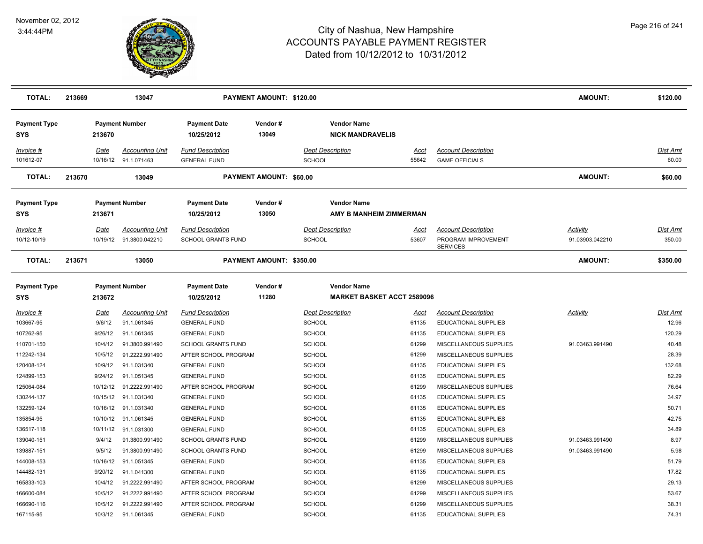

| <b>TOTAL:</b>                     | 213669 |          | 13047                                          |                                                | PAYMENT AMOUNT: \$120.00 |                                                         |               |                                                     | AMOUNT:         | \$120.00          |
|-----------------------------------|--------|----------|------------------------------------------------|------------------------------------------------|--------------------------|---------------------------------------------------------|---------------|-----------------------------------------------------|-----------------|-------------------|
| <b>Payment Type</b><br>SYS        |        | 213670   | <b>Payment Number</b>                          | <b>Payment Date</b><br>10/25/2012              | Vendor#<br>13049         | <b>Vendor Name</b><br><b>NICK MANDRAVELIS</b>           |               |                                                     |                 |                   |
| Invoice #<br>101612-07            |        | Date     | <b>Accounting Unit</b><br>10/16/12 91.1.071463 | <b>Fund Description</b><br><b>GENERAL FUND</b> |                          | <b>Dept Description</b><br>SCHOOL                       | Acct<br>55642 | <b>Account Description</b><br><b>GAME OFFICIALS</b> |                 | Dist Amt<br>60.00 |
| <b>TOTAL:</b>                     | 213670 |          | 13049                                          |                                                | PAYMENT AMOUNT: \$60.00  |                                                         |               |                                                     | <b>AMOUNT:</b>  | \$60.00           |
| <b>Payment Type</b><br><b>SYS</b> |        | 213671   | <b>Payment Number</b>                          | <b>Payment Date</b><br>10/25/2012              | Vendor#<br>13050         | <b>Vendor Name</b><br>AMY B MANHEIM ZIMMERMAN           |               |                                                     |                 |                   |
| $Invoice$ #                       |        | Date     | <b>Accounting Unit</b>                         | <b>Fund Description</b>                        |                          | <b>Dept Description</b>                                 | Acct          | <b>Account Description</b>                          | <b>Activity</b> | Dist Amt          |
| 10/12-10/19                       |        | 10/19/12 | 91.3800.042210                                 | SCHOOL GRANTS FUND                             |                          | <b>SCHOOL</b>                                           | 53607         | PROGRAM IMPROVEMENT<br><b>SERVICES</b>              | 91.03903.042210 | 350.00            |
| <b>TOTAL:</b>                     | 213671 |          | 13050                                          |                                                | PAYMENT AMOUNT: \$350.00 |                                                         |               |                                                     | AMOUNT:         | \$350.00          |
| <b>Payment Type</b><br><b>SYS</b> |        | 213672   | <b>Payment Number</b>                          | <b>Payment Date</b><br>10/25/2012              | Vendor#<br>11280         | <b>Vendor Name</b><br><b>MARKET BASKET ACCT 2589096</b> |               |                                                     |                 |                   |
| Invoice #                         |        | Date     | <b>Accounting Unit</b>                         | <b>Fund Description</b>                        |                          | <b>Dept Description</b>                                 | Acct          | <b>Account Description</b>                          | Activity        | <b>Dist Amt</b>   |
| 103667-95                         |        | 9/6/12   | 91.1.061345                                    | <b>GENERAL FUND</b>                            |                          | SCHOOL                                                  | 61135         | <b>EDUCATIONAL SUPPLIES</b>                         |                 | 12.96             |
| 107262-95                         |        | 9/26/12  | 91.1.061345                                    | <b>GENERAL FUND</b>                            |                          | <b>SCHOOL</b>                                           | 61135         | EDUCATIONAL SUPPLIES                                |                 | 120.29            |
| 110701-150                        |        | 10/4/12  | 91.3800.991490                                 | <b>SCHOOL GRANTS FUND</b>                      |                          | SCHOOL                                                  | 61299         | MISCELLANEOUS SUPPLIES                              | 91.03463.991490 | 40.48             |
| 112242-134                        |        | 10/5/12  | 91.2222.991490                                 | AFTER SCHOOL PROGRAM                           |                          | <b>SCHOOL</b>                                           | 61299         | MISCELLANEOUS SUPPLIES                              |                 | 28.39             |
| 120408-124                        |        | 10/9/12  | 91.1.031340                                    | <b>GENERAL FUND</b>                            |                          | <b>SCHOOL</b>                                           | 61135         | EDUCATIONAL SUPPLIES                                |                 | 132.68            |
| 124899-153                        |        | 9/24/12  | 91.1.051345                                    | <b>GENERAL FUND</b>                            |                          | <b>SCHOOL</b>                                           | 61135         | EDUCATIONAL SUPPLIES                                |                 | 82.29             |
| 125064-084                        |        | 10/12/12 | 91.2222.991490                                 | AFTER SCHOOL PROGRAM                           |                          | SCHOOL                                                  | 61299         | MISCELLANEOUS SUPPLIES                              |                 | 76.64             |
| 130244-137                        |        | 10/15/12 | 91.1.031340                                    | <b>GENERAL FUND</b>                            |                          | <b>SCHOOL</b>                                           | 61135         | EDUCATIONAL SUPPLIES                                |                 | 34.97             |
| 132259-124                        |        | 10/16/12 | 91.1.031340                                    | <b>GENERAL FUND</b>                            |                          | <b>SCHOOL</b>                                           | 61135         | EDUCATIONAL SUPPLIES                                |                 | 50.71             |
| 135854-95                         |        | 10/10/12 | 91.1.061345                                    | <b>GENERAL FUND</b>                            |                          | <b>SCHOOL</b>                                           | 61135         | <b>EDUCATIONAL SUPPLIES</b>                         |                 | 42.75             |
| 136517-118                        |        | 10/11/12 | 91.1.031300                                    | <b>GENERAL FUND</b>                            |                          | <b>SCHOOL</b>                                           | 61135         | <b>EDUCATIONAL SUPPLIES</b>                         |                 | 34.89             |
| 139040-151                        |        | 9/4/12   | 91.3800.991490                                 | <b>SCHOOL GRANTS FUND</b>                      |                          | <b>SCHOOL</b>                                           | 61299         | MISCELLANEOUS SUPPLIES                              | 91.03463.991490 | 8.97              |
| 139887-151                        |        | 9/5/12   | 91.3800.991490                                 | SCHOOL GRANTS FUND                             |                          | <b>SCHOOL</b>                                           | 61299         | MISCELLANEOUS SUPPLIES                              | 91.03463.991490 | 5.98              |
| 144008-153                        |        | 10/16/12 | 91.1.051345                                    | <b>GENERAL FUND</b>                            |                          | <b>SCHOOL</b>                                           | 61135         | EDUCATIONAL SUPPLIES                                |                 | 51.79             |
| 144482-131                        |        | 9/20/12  | 91.1.041300                                    | <b>GENERAL FUND</b>                            |                          | <b>SCHOOL</b>                                           | 61135         | EDUCATIONAL SUPPLIES                                |                 | 17.82             |
| 165833-103                        |        | 10/4/12  | 91.2222.991490                                 | AFTER SCHOOL PROGRAM                           |                          | <b>SCHOOL</b>                                           | 61299         | MISCELLANEOUS SUPPLIES                              |                 | 29.13             |
| 166600-084                        |        | 10/5/12  | 91.2222.991490                                 | AFTER SCHOOL PROGRAM                           |                          | <b>SCHOOL</b>                                           | 61299         | MISCELLANEOUS SUPPLIES                              |                 | 53.67             |
| 166690-116                        |        | 10/5/12  | 91.2222.991490                                 | AFTER SCHOOL PROGRAM                           |                          | SCHOOL                                                  | 61299         | MISCELLANEOUS SUPPLIES                              |                 | 38.31             |
| 167115-95                         |        | 10/3/12  | 91.1.061345                                    | <b>GENERAL FUND</b>                            |                          | SCHOOL                                                  | 61135         | <b>EDUCATIONAL SUPPLIES</b>                         |                 | 74.31             |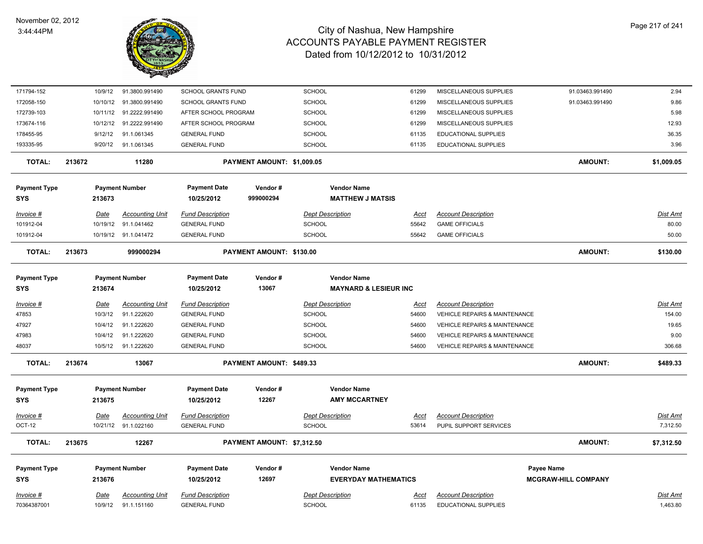

| 171794-152                        |        | 10/9/12     | 91.3800.991490          | SCHOOL GRANTS FUND                |                            | SCHOOL        |                                               | 61299       | MISCELLANEOUS SUPPLIES                   | 91.03463.991490            | 2.94            |
|-----------------------------------|--------|-------------|-------------------------|-----------------------------------|----------------------------|---------------|-----------------------------------------------|-------------|------------------------------------------|----------------------------|-----------------|
| 172058-150                        |        | 10/10/12    | 91.3800.991490          | <b>SCHOOL GRANTS FUND</b>         |                            | SCHOOL        |                                               | 61299       | MISCELLANEOUS SUPPLIES                   | 91.03463.991490            | 9.86            |
| 172739-103                        |        |             | 10/11/12 91.2222.991490 | AFTER SCHOOL PROGRAM              |                            | <b>SCHOOL</b> |                                               | 61299       | MISCELLANEOUS SUPPLIES                   |                            | 5.98            |
| 173674-116                        |        | 10/12/12    | 91.2222.991490          | AFTER SCHOOL PROGRAM              |                            | <b>SCHOOL</b> |                                               | 61299       | MISCELLANEOUS SUPPLIES                   |                            | 12.93           |
| 178455-95                         |        | 9/12/12     | 91.1.061345             | <b>GENERAL FUND</b>               |                            | <b>SCHOOL</b> |                                               | 61135       | <b>EDUCATIONAL SUPPLIES</b>              |                            | 36.35           |
| 193335-95                         |        | 9/20/12     | 91.1.061345             | <b>GENERAL FUND</b>               |                            | SCHOOL        |                                               | 61135       | EDUCATIONAL SUPPLIES                     |                            | 3.96            |
| TOTAL:                            | 213672 |             | 11280                   |                                   | PAYMENT AMOUNT: \$1,009.05 |               |                                               |             |                                          | <b>AMOUNT:</b>             | \$1,009.05      |
| <b>Payment Type</b><br><b>SYS</b> |        | 213673      | <b>Payment Number</b>   | <b>Payment Date</b><br>10/25/2012 | Vendor#<br>999000294       |               | <b>Vendor Name</b><br><b>MATTHEW J MATSIS</b> |             |                                          |                            |                 |
| Invoice #                         |        | Date        | <b>Accounting Unit</b>  | <b>Fund Description</b>           |                            |               | <b>Dept Description</b>                       | Acct        | <b>Account Description</b>               |                            | <u>Dist Amt</u> |
| 101912-04                         |        | 10/19/12    | 91.1.041462             | <b>GENERAL FUND</b>               |                            | SCHOOL        |                                               | 55642       | <b>GAME OFFICIALS</b>                    |                            | 80.00           |
| 101912-04                         |        |             | 10/19/12 91.1.041472    | <b>GENERAL FUND</b>               |                            | <b>SCHOOL</b> |                                               | 55642       | <b>GAME OFFICIALS</b>                    |                            | 50.00           |
| <b>TOTAL:</b>                     | 213673 |             | 999000294               |                                   | PAYMENT AMOUNT: \$130.00   |               |                                               |             |                                          | <b>AMOUNT:</b>             | \$130.00        |
| <b>Payment Type</b>               |        |             | <b>Payment Number</b>   | <b>Payment Date</b>               | Vendor#                    |               | <b>Vendor Name</b>                            |             |                                          |                            |                 |
| <b>SYS</b>                        |        | 213674      |                         | 10/25/2012                        | 13067                      |               | <b>MAYNARD &amp; LESIEUR INC</b>              |             |                                          |                            |                 |
| Invoice #                         |        | Date        | <b>Accounting Unit</b>  | <b>Fund Description</b>           |                            |               | <b>Dept Description</b>                       | Acct        | <b>Account Description</b>               |                            | Dist Amt        |
| 47853                             |        | 10/3/12     | 91.1.222620             | <b>GENERAL FUND</b>               |                            | <b>SCHOOL</b> |                                               | 54600       | VEHICLE REPAIRS & MAINTENANCE            |                            | 154.00          |
| 47927                             |        | 10/4/12     | 91.1.222620             | <b>GENERAL FUND</b>               |                            | <b>SCHOOL</b> |                                               | 54600       | <b>VEHICLE REPAIRS &amp; MAINTENANCE</b> |                            | 19.65           |
| 47983                             |        | 10/4/12     | 91.1.222620             | <b>GENERAL FUND</b>               |                            | <b>SCHOOL</b> |                                               | 54600       | <b>VEHICLE REPAIRS &amp; MAINTENANCE</b> |                            | 9.00            |
| 48037                             |        | 10/5/12     | 91.1.222620             | <b>GENERAL FUND</b>               |                            | <b>SCHOOL</b> |                                               | 54600       | <b>VEHICLE REPAIRS &amp; MAINTENANCE</b> |                            | 306.68          |
| <b>TOTAL:</b>                     | 213674 |             | 13067                   |                                   | PAYMENT AMOUNT: \$489.33   |               |                                               |             |                                          | <b>AMOUNT:</b>             | \$489.33        |
| <b>Payment Type</b>               |        |             | <b>Payment Number</b>   | <b>Payment Date</b>               | Vendor#                    |               | <b>Vendor Name</b>                            |             |                                          |                            |                 |
| <b>SYS</b>                        |        | 213675      |                         | 10/25/2012                        | 12267                      |               | <b>AMY MCCARTNEY</b>                          |             |                                          |                            |                 |
| Invoice #                         |        | <b>Date</b> | <u>Accounting Unit</u>  | <b>Fund Description</b>           |                            |               | <b>Dept Description</b>                       | <u>Acct</u> | <b>Account Description</b>               |                            | <u>Dist Amt</u> |
| OCT-12                            |        |             | 10/21/12 91.1.022160    | <b>GENERAL FUND</b>               |                            | <b>SCHOOL</b> |                                               | 53614       | PUPIL SUPPORT SERVICES                   |                            | 7,312.50        |
| <b>TOTAL:</b>                     | 213675 |             | 12267                   |                                   | PAYMENT AMOUNT: \$7,312.50 |               |                                               |             |                                          | <b>AMOUNT:</b>             | \$7,312.50      |
| <b>Payment Type</b>               |        |             | <b>Payment Number</b>   | <b>Payment Date</b>               | Vendor#                    |               | <b>Vendor Name</b>                            |             |                                          | <b>Payee Name</b>          |                 |
| <b>SYS</b>                        |        | 213676      |                         | 10/25/2012                        | 12697                      |               | <b>EVERYDAY MATHEMATICS</b>                   |             |                                          | <b>MCGRAW-HILL COMPANY</b> |                 |
| Invoice #                         |        | Date        | <b>Accounting Unit</b>  | <b>Fund Description</b>           |                            |               | <b>Dept Description</b>                       | Acct        | <b>Account Description</b>               |                            | Dist Amt        |
| 70364387001                       |        | 10/9/12     | 91.1.151160             | <b>GENERAL FUND</b>               |                            | SCHOOL        |                                               | 61135       | EDUCATIONAL SUPPLIES                     |                            | 1,463.80        |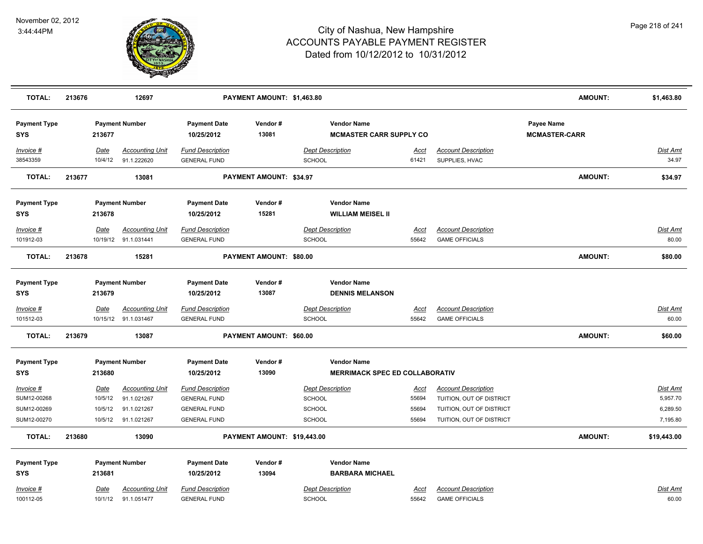

| <b>TOTAL:</b>                                          | 213676 |                                              | 12697                                                               |                                                                                              | PAYMENT AMOUNT: \$1,463.80  |                                                              |                                        |                                                                                                                | <b>AMOUNT:</b>                     | \$1,463.80                                          |
|--------------------------------------------------------|--------|----------------------------------------------|---------------------------------------------------------------------|----------------------------------------------------------------------------------------------|-----------------------------|--------------------------------------------------------------|----------------------------------------|----------------------------------------------------------------------------------------------------------------|------------------------------------|-----------------------------------------------------|
| <b>Payment Type</b><br><b>SYS</b>                      |        | 213677                                       | <b>Payment Number</b>                                               | <b>Payment Date</b><br>10/25/2012                                                            | Vendor#<br>13081            | <b>Vendor Name</b><br><b>MCMASTER CARR SUPPLY CO</b>         |                                        |                                                                                                                | Payee Name<br><b>MCMASTER-CARR</b> |                                                     |
| Invoice #<br>38543359                                  |        | Date<br>10/4/12                              | <b>Accounting Unit</b><br>91.1.222620                               | <b>Fund Description</b><br><b>GENERAL FUND</b>                                               |                             | <b>Dept Description</b><br>SCHOOL                            | <u>Acct</u><br>61421                   | <b>Account Description</b><br>SUPPLIES, HVAC                                                                   |                                    | Dist Amt<br>34.97                                   |
| <b>TOTAL:</b>                                          | 213677 |                                              | 13081                                                               |                                                                                              | PAYMENT AMOUNT: \$34.97     |                                                              |                                        |                                                                                                                | <b>AMOUNT:</b>                     | \$34.97                                             |
| <b>Payment Type</b><br><b>SYS</b>                      |        | 213678                                       | <b>Payment Number</b>                                               | <b>Payment Date</b><br>10/25/2012                                                            | Vendor#<br>15281            | <b>Vendor Name</b><br><b>WILLIAM MEISEL II</b>               |                                        |                                                                                                                |                                    |                                                     |
| Invoice #<br>101912-03                                 |        | Date                                         | <b>Accounting Unit</b><br>10/19/12 91.1.031441                      | <b>Fund Description</b><br><b>GENERAL FUND</b>                                               |                             | <b>Dept Description</b><br>SCHOOL                            | Acct<br>55642                          | <b>Account Description</b><br><b>GAME OFFICIALS</b>                                                            |                                    | Dist Amt<br>80.00                                   |
| <b>TOTAL:</b>                                          | 213678 |                                              | 15281                                                               |                                                                                              | PAYMENT AMOUNT: \$80.00     |                                                              |                                        |                                                                                                                | <b>AMOUNT:</b>                     | \$80.00                                             |
| <b>Payment Type</b><br><b>SYS</b>                      |        | 213679                                       | <b>Payment Number</b>                                               | <b>Payment Date</b><br>10/25/2012                                                            | Vendor#<br>13087            | <b>Vendor Name</b><br><b>DENNIS MELANSON</b>                 |                                        |                                                                                                                |                                    |                                                     |
| $Invoice$ #<br>101512-03                               |        | Date                                         | <b>Accounting Unit</b><br>10/15/12 91.1.031467                      | <b>Fund Description</b><br><b>GENERAL FUND</b>                                               |                             | <b>Dept Description</b><br>SCHOOL                            | <b>Acct</b><br>55642                   | <b>Account Description</b><br><b>GAME OFFICIALS</b>                                                            |                                    | <b>Dist Amt</b><br>60.00                            |
| <b>TOTAL:</b>                                          | 213679 |                                              | 13087                                                               |                                                                                              | PAYMENT AMOUNT: \$60.00     |                                                              |                                        |                                                                                                                | <b>AMOUNT:</b>                     | \$60.00                                             |
| <b>Payment Type</b><br><b>SYS</b>                      |        | 213680                                       | <b>Payment Number</b>                                               | <b>Payment Date</b><br>10/25/2012                                                            | Vendor#<br>13090            | <b>Vendor Name</b><br><b>MERRIMACK SPEC ED COLLABORATIV</b>  |                                        |                                                                                                                |                                    |                                                     |
| Invoice #<br>SUM12-00268<br>SUM12-00269<br>SUM12-00270 |        | <u>Date</u><br>10/5/12<br>10/5/12<br>10/5/12 | <b>Accounting Unit</b><br>91.1.021267<br>91.1.021267<br>91.1.021267 | <b>Fund Description</b><br><b>GENERAL FUND</b><br><b>GENERAL FUND</b><br><b>GENERAL FUND</b> |                             | <b>Dept Description</b><br><b>SCHOOL</b><br>SCHOOL<br>SCHOOL | <u>Acct</u><br>55694<br>55694<br>55694 | <b>Account Description</b><br>TUITION, OUT OF DISTRICT<br>TUITION, OUT OF DISTRICT<br>TUITION, OUT OF DISTRICT |                                    | <b>Dist Amt</b><br>5,957.70<br>6,289.50<br>7,195.80 |
| <b>TOTAL:</b>                                          | 213680 |                                              | 13090                                                               |                                                                                              | PAYMENT AMOUNT: \$19,443.00 |                                                              |                                        |                                                                                                                | <b>AMOUNT:</b>                     | \$19,443.00                                         |
| <b>Payment Type</b><br><b>SYS</b>                      |        | 213681                                       | <b>Payment Number</b><br><b>Accounting Unit</b>                     | <b>Payment Date</b><br>10/25/2012<br><b>Fund Description</b>                                 | Vendor#<br>13094            | <b>Vendor Name</b><br><b>BARBARA MICHAEL</b>                 |                                        |                                                                                                                |                                    | Dist Amt                                            |
| Invoice #<br>100112-05                                 |        | Date<br>10/1/12                              | 91.1.051477                                                         | <b>GENERAL FUND</b>                                                                          |                             | <b>Dept Description</b><br><b>SCHOOL</b>                     | Acct<br>55642                          | <b>Account Description</b><br><b>GAME OFFICIALS</b>                                                            |                                    | 60.00                                               |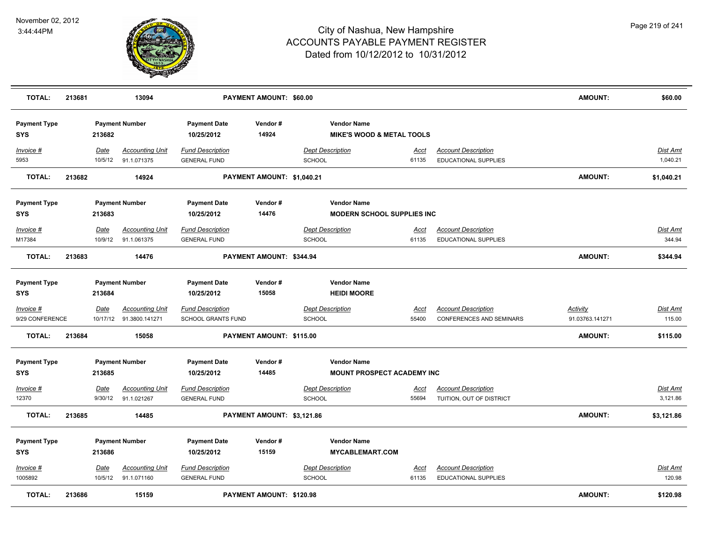

| <b>TOTAL:</b>                     | 213681 |                        | 13094                                 |                                                | PAYMENT AMOUNT: \$60.00         |                                                            |                      |                                                        | <b>AMOUNT:</b>  | \$60.00                     |
|-----------------------------------|--------|------------------------|---------------------------------------|------------------------------------------------|---------------------------------|------------------------------------------------------------|----------------------|--------------------------------------------------------|-----------------|-----------------------------|
| <b>Payment Type</b><br><b>SYS</b> |        | 213682                 | <b>Payment Number</b>                 | <b>Payment Date</b><br>10/25/2012              | Vendor#<br>14924                | <b>Vendor Name</b><br><b>MIKE'S WOOD &amp; METAL TOOLS</b> |                      |                                                        |                 |                             |
| Invoice #<br>5953                 |        | Date<br>10/5/12        | <b>Accounting Unit</b><br>91.1.071375 | <b>Fund Description</b><br><b>GENERAL FUND</b> |                                 | <b>Dept Description</b><br>SCHOOL                          | <u>Acct</u><br>61135 | <b>Account Description</b><br>EDUCATIONAL SUPPLIES     |                 | Dist Amt<br>1,040.21        |
| <b>TOTAL:</b>                     | 213682 |                        | 14924                                 |                                                | PAYMENT AMOUNT: \$1,040.21      |                                                            |                      |                                                        | <b>AMOUNT:</b>  | \$1,040.21                  |
| <b>Payment Type</b>               |        |                        | <b>Payment Number</b>                 | <b>Payment Date</b>                            | Vendor#                         | <b>Vendor Name</b>                                         |                      |                                                        |                 |                             |
| <b>SYS</b>                        |        | 213683                 |                                       | 10/25/2012                                     | 14476                           | <b>MODERN SCHOOL SUPPLIES INC</b>                          |                      |                                                        |                 |                             |
| Invoice #                         |        | Date                   | <b>Accounting Unit</b>                | <b>Fund Description</b>                        |                                 | <b>Dept Description</b>                                    | Acct                 | <b>Account Description</b>                             |                 | Dist Amt                    |
| M17384                            |        | 10/9/12                | 91.1.061375                           | <b>GENERAL FUND</b>                            |                                 | <b>SCHOOL</b>                                              | 61135                | <b>EDUCATIONAL SUPPLIES</b>                            |                 | 344.94                      |
| <b>TOTAL:</b>                     | 213683 |                        | 14476                                 |                                                | PAYMENT AMOUNT: \$344.94        |                                                            |                      |                                                        | <b>AMOUNT:</b>  | \$344.94                    |
| <b>Payment Type</b><br><b>SYS</b> |        | 213684                 | <b>Payment Number</b>                 | <b>Payment Date</b><br>10/25/2012              | Vendor#<br>15058                | <b>Vendor Name</b><br><b>HEIDI MOORE</b>                   |                      |                                                        |                 |                             |
| Invoice #                         |        | <b>Date</b>            | <b>Accounting Unit</b>                | <b>Fund Description</b>                        |                                 | <b>Dept Description</b>                                    | <u>Acct</u>          | <b>Account Description</b>                             | <b>Activity</b> | <u>Dist Amt</u>             |
| 9/29 CONFERENCE                   |        |                        | 10/17/12 91.3800.141271               | <b>SCHOOL GRANTS FUND</b>                      |                                 | SCHOOL                                                     | 55400                | CONFERENCES AND SEMINARS                               | 91.03763.141271 | 115.00                      |
| <b>TOTAL:</b>                     | 213684 |                        | 15058                                 |                                                | PAYMENT AMOUNT: \$115.00        |                                                            |                      |                                                        | <b>AMOUNT:</b>  | \$115.00                    |
| <b>Payment Type</b><br><b>SYS</b> |        | 213685                 | <b>Payment Number</b>                 | <b>Payment Date</b><br>10/25/2012              | Vendor#<br>14485                | <b>Vendor Name</b><br><b>MOUNT PROSPECT ACADEMY INC</b>    |                      |                                                        |                 |                             |
|                                   |        |                        |                                       |                                                |                                 |                                                            |                      |                                                        |                 |                             |
| Invoice #<br>12370                |        | <b>Date</b><br>9/30/12 | <b>Accounting Unit</b><br>91.1.021267 | <b>Fund Description</b><br><b>GENERAL FUND</b> |                                 | <b>Dept Description</b><br><b>SCHOOL</b>                   | <u>Acct</u><br>55694 | <b>Account Description</b><br>TUITION, OUT OF DISTRICT |                 | <u>Dist Amt</u><br>3,121.86 |
| <b>TOTAL:</b>                     | 213685 |                        | 14485                                 |                                                | PAYMENT AMOUNT: \$3,121.86      |                                                            |                      |                                                        | <b>AMOUNT:</b>  | \$3,121.86                  |
|                                   |        |                        |                                       |                                                |                                 |                                                            |                      |                                                        |                 |                             |
| <b>Payment Type</b>               |        |                        | <b>Payment Number</b>                 | <b>Payment Date</b>                            | Vendor#                         | <b>Vendor Name</b>                                         |                      |                                                        |                 |                             |
| <b>SYS</b>                        |        | 213686                 |                                       | 10/25/2012                                     | 15159                           | <b>MYCABLEMART.COM</b>                                     |                      |                                                        |                 |                             |
| Invoice #                         |        | <u>Date</u>            | <b>Accounting Unit</b>                | <b>Fund Description</b>                        |                                 | <b>Dept Description</b>                                    | <u>Acct</u>          | <b>Account Description</b>                             |                 | Dist Amt                    |
| 1005892                           |        |                        | 10/5/12 91.1.071160                   | <b>GENERAL FUND</b>                            |                                 | SCHOOL                                                     | 61135                | EDUCATIONAL SUPPLIES                                   |                 | 120.98                      |
| <b>TOTAL:</b>                     | 213686 |                        | 15159                                 |                                                | <b>PAYMENT AMOUNT: \$120.98</b> |                                                            |                      |                                                        | <b>AMOUNT:</b>  | \$120.98                    |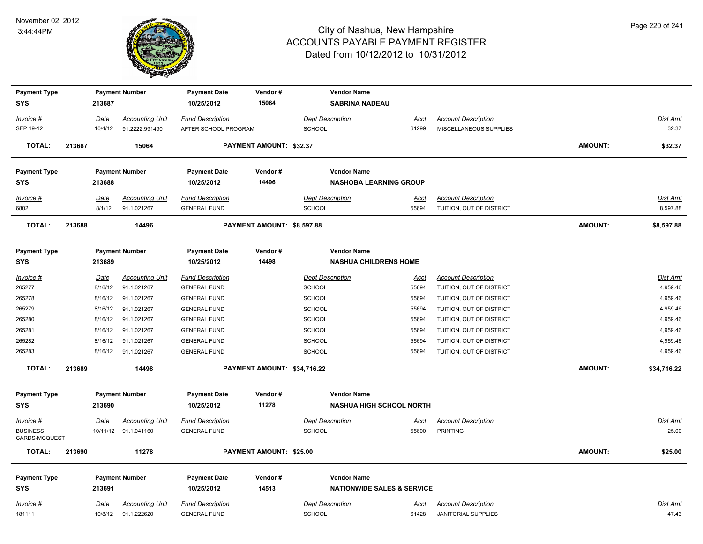

| <b>Payment Type</b>              |        |             | <b>Payment Number</b>  | <b>Payment Date</b>     | Vendor#                     | <b>Vendor Name</b>                    |             |                            |                |                 |
|----------------------------------|--------|-------------|------------------------|-------------------------|-----------------------------|---------------------------------------|-------------|----------------------------|----------------|-----------------|
| <b>SYS</b>                       |        | 213687      |                        | 10/25/2012              | 15064                       | <b>SABRINA NADEAU</b>                 |             |                            |                |                 |
| Invoice #                        |        | Date        | <b>Accounting Unit</b> | <b>Fund Description</b> |                             | <b>Dept Description</b>               | Acct        | <b>Account Description</b> |                | Dist Amt        |
| SEP 19-12                        |        | 10/4/12     | 91.2222.991490         | AFTER SCHOOL PROGRAM    |                             | <b>SCHOOL</b>                         | 61299       | MISCELLANEOUS SUPPLIES     |                | 32.37           |
| <b>TOTAL:</b>                    | 213687 |             | 15064                  |                         | PAYMENT AMOUNT: \$32.37     |                                       |             |                            | AMOUNT:        | \$32.37         |
| <b>Payment Type</b>              |        |             | <b>Payment Number</b>  | <b>Payment Date</b>     | Vendor#                     | <b>Vendor Name</b>                    |             |                            |                |                 |
| <b>SYS</b>                       |        | 213688      |                        | 10/25/2012              | 14496                       | <b>NASHOBA LEARNING GROUP</b>         |             |                            |                |                 |
| Invoice #                        |        | Date        | <b>Accounting Unit</b> | <b>Fund Description</b> |                             | <b>Dept Description</b>               | Acct        | <b>Account Description</b> |                | Dist Amt        |
| 6802                             |        | 8/1/12      | 91.1.021267            | <b>GENERAL FUND</b>     |                             | <b>SCHOOL</b>                         | 55694       | TUITION, OUT OF DISTRICT   |                | 8,597.88        |
| <b>TOTAL:</b>                    | 213688 |             | 14496                  |                         | PAYMENT AMOUNT: \$8,597.88  |                                       |             |                            | <b>AMOUNT:</b> | \$8,597.88      |
| <b>Payment Type</b>              |        |             | <b>Payment Number</b>  | <b>Payment Date</b>     | Vendor#                     | <b>Vendor Name</b>                    |             |                            |                |                 |
| <b>SYS</b>                       |        | 213689      |                        | 10/25/2012              | 14498                       | <b>NASHUA CHILDRENS HOME</b>          |             |                            |                |                 |
| <u>Invoice #</u>                 |        | <u>Date</u> | <b>Accounting Unit</b> | <b>Fund Description</b> |                             | <b>Dept Description</b>               | <u>Acct</u> | <b>Account Description</b> |                | Dist Amt        |
| 265277                           |        | 8/16/12     | 91.1.021267            | <b>GENERAL FUND</b>     |                             | SCHOOL                                | 55694       | TUITION, OUT OF DISTRICT   |                | 4,959.46        |
| 265278                           |        | 8/16/12     | 91.1.021267            | <b>GENERAL FUND</b>     |                             | SCHOOL                                | 55694       | TUITION, OUT OF DISTRICT   |                | 4,959.46        |
| 265279                           |        | 8/16/12     | 91.1.021267            | <b>GENERAL FUND</b>     |                             | SCHOOL                                | 55694       | TUITION, OUT OF DISTRICT   |                | 4,959.46        |
| 265280                           |        | 8/16/12     | 91.1.021267            | <b>GENERAL FUND</b>     |                             | <b>SCHOOL</b>                         | 55694       | TUITION, OUT OF DISTRICT   |                | 4,959.46        |
| 265281                           |        | 8/16/12     | 91.1.021267            | <b>GENERAL FUND</b>     |                             | SCHOOL                                | 55694       | TUITION, OUT OF DISTRICT   |                | 4,959.46        |
| 265282                           |        | 8/16/12     | 91.1.021267            | <b>GENERAL FUND</b>     |                             | SCHOOL                                | 55694       | TUITION, OUT OF DISTRICT   |                | 4,959.46        |
| 265283                           |        |             | 8/16/12 91.1.021267    | <b>GENERAL FUND</b>     |                             | SCHOOL                                | 55694       | TUITION, OUT OF DISTRICT   |                | 4,959.46        |
| <b>TOTAL:</b>                    | 213689 |             | 14498                  |                         | PAYMENT AMOUNT: \$34,716.22 |                                       |             |                            | AMOUNT:        | \$34,716.22     |
| <b>Payment Type</b>              |        |             | <b>Payment Number</b>  | <b>Payment Date</b>     | Vendor#                     | <b>Vendor Name</b>                    |             |                            |                |                 |
| <b>SYS</b>                       |        | 213690      |                        | 10/25/2012              | 11278                       | <b>NASHUA HIGH SCHOOL NORTH</b>       |             |                            |                |                 |
| <u>Invoice #</u>                 |        | <u>Date</u> | <b>Accounting Unit</b> | <b>Fund Description</b> |                             | <b>Dept Description</b>               | <u>Acct</u> | <b>Account Description</b> |                | <u>Dist Amt</u> |
| <b>BUSINESS</b><br>CARDS-MCQUEST |        |             | 10/11/12 91.1.041160   | <b>GENERAL FUND</b>     |                             | <b>SCHOOL</b>                         | 55600       | <b>PRINTING</b>            |                | 25.00           |
| TOTAL:                           | 213690 |             | 11278                  |                         | PAYMENT AMOUNT: \$25.00     |                                       |             |                            | AMOUNT:        | \$25.00         |
| <b>Payment Type</b>              |        |             | <b>Payment Number</b>  | <b>Payment Date</b>     | Vendor#                     | <b>Vendor Name</b>                    |             |                            |                |                 |
| <b>SYS</b>                       |        | 213691      |                        | 10/25/2012              | 14513                       | <b>NATIONWIDE SALES &amp; SERVICE</b> |             |                            |                |                 |
| <u>Invoice #</u>                 |        | <b>Date</b> | <b>Accounting Unit</b> | <b>Fund Description</b> |                             | <b>Dept Description</b>               | <u>Acct</u> | <b>Account Description</b> |                | Dist Amt        |
| 181111                           |        |             | 10/8/12 91.1.222620    | <b>GENERAL FUND</b>     |                             | SCHOOL                                | 61428       | <b>JANITORIAL SUPPLIES</b> |                | 47.43           |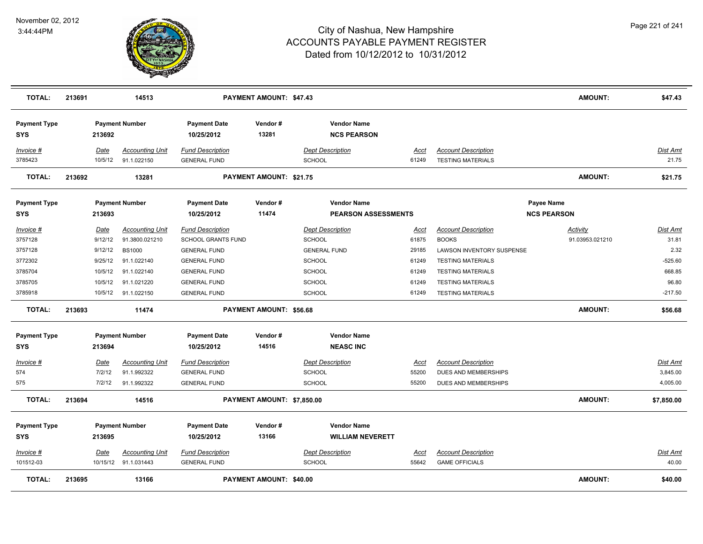

| <b>TOTAL:</b>                     | 213691 |                        | 14513                                    |                                               | PAYMENT AMOUNT: \$47.43        |                                               |               |                                            | <b>AMOUNT:</b>              | \$47.43           |
|-----------------------------------|--------|------------------------|------------------------------------------|-----------------------------------------------|--------------------------------|-----------------------------------------------|---------------|--------------------------------------------|-----------------------------|-------------------|
| <b>Payment Type</b><br><b>SYS</b> |        | 213692                 | <b>Payment Number</b>                    | <b>Payment Date</b><br>10/25/2012             | Vendor#<br>13281               | <b>Vendor Name</b><br><b>NCS PEARSON</b>      |               |                                            |                             |                   |
| Invoice #                         |        | Date                   | <b>Accounting Unit</b>                   | <b>Fund Description</b>                       |                                | <b>Dept Description</b>                       | Acct          | <b>Account Description</b>                 |                             | <b>Dist Amt</b>   |
| 3785423                           |        | 10/5/12                | 91.1.022150                              | <b>GENERAL FUND</b>                           |                                | <b>SCHOOL</b>                                 | 61249         | <b>TESTING MATERIALS</b>                   |                             | 21.75             |
| <b>TOTAL:</b>                     | 213692 |                        | 13281                                    |                                               | <b>PAYMENT AMOUNT: \$21.75</b> |                                               |               |                                            | <b>AMOUNT:</b>              | \$21.75           |
| <b>Payment Type</b>               |        |                        | <b>Payment Number</b>                    | <b>Payment Date</b>                           | Vendor#                        | <b>Vendor Name</b>                            |               |                                            | Payee Name                  |                   |
| <b>SYS</b>                        |        | 213693                 |                                          | 10/25/2012                                    | 11474                          | <b>PEARSON ASSESSMENTS</b>                    |               |                                            | <b>NCS PEARSON</b>          |                   |
| Invoice #<br>3757128              |        | <b>Date</b><br>9/12/12 | <b>Accounting Unit</b><br>91.3800.021210 | <b>Fund Description</b><br>SCHOOL GRANTS FUND |                                | <b>Dept Description</b><br><b>SCHOOL</b>      | Acct<br>61875 | <b>Account Description</b><br><b>BOOKS</b> | Activity<br>91.03953.021210 | Dist Amt<br>31.81 |
| 3757128                           |        | 9/12/12                | <b>BS1000</b>                            | <b>GENERAL FUND</b>                           |                                | <b>GENERAL FUND</b>                           | 29185         | LAWSON INVENTORY SUSPENSE                  |                             | 2.32              |
| 3772302                           |        | 9/25/12                | 91.1.022140                              | <b>GENERAL FUND</b>                           |                                | <b>SCHOOL</b>                                 | 61249         | <b>TESTING MATERIALS</b>                   |                             | $-525.60$         |
| 3785704                           |        | 10/5/12                | 91.1.022140                              | <b>GENERAL FUND</b>                           |                                | SCHOOL                                        | 61249         | <b>TESTING MATERIALS</b>                   |                             | 668.85            |
| 3785705                           |        | 10/5/12                | 91.1.021220                              | <b>GENERAL FUND</b>                           |                                | <b>SCHOOL</b>                                 | 61249         | <b>TESTING MATERIALS</b>                   |                             | 96.80             |
| 3785918                           |        | 10/5/12                | 91.1.022150                              | <b>GENERAL FUND</b>                           |                                | <b>SCHOOL</b>                                 | 61249         | <b>TESTING MATERIALS</b>                   |                             | $-217.50$         |
| <b>TOTAL:</b>                     | 213693 |                        | 11474                                    |                                               | <b>PAYMENT AMOUNT: \$56.68</b> |                                               |               |                                            | <b>AMOUNT:</b>              | \$56.68           |
| <b>Payment Type</b>               |        |                        | <b>Payment Number</b>                    | <b>Payment Date</b>                           | Vendor#                        | <b>Vendor Name</b>                            |               |                                            |                             |                   |
| <b>SYS</b>                        |        | 213694                 |                                          | 10/25/2012                                    | 14516                          | <b>NEASC INC</b>                              |               |                                            |                             |                   |
| Invoice #                         |        | Date                   | <b>Accounting Unit</b>                   | <b>Fund Description</b>                       |                                | <b>Dept Description</b>                       | <u>Acct</u>   | <b>Account Description</b>                 |                             | <b>Dist Amt</b>   |
| 574                               |        | 7/2/12                 | 91.1.992322                              | <b>GENERAL FUND</b>                           |                                | SCHOOL                                        | 55200         | DUES AND MEMBERSHIPS                       |                             | 3,845.00          |
| 575                               |        | 7/2/12                 | 91.1.992322                              | <b>GENERAL FUND</b>                           |                                | <b>SCHOOL</b>                                 | 55200         | DUES AND MEMBERSHIPS                       |                             | 4,005.00          |
| <b>TOTAL:</b>                     | 213694 |                        | 14516                                    |                                               | PAYMENT AMOUNT: \$7,850.00     |                                               |               |                                            | <b>AMOUNT:</b>              | \$7,850.00        |
| <b>Payment Type</b><br><b>SYS</b> |        | 213695                 | <b>Payment Number</b>                    | <b>Payment Date</b><br>10/25/2012             | Vendor#<br>13166               | <b>Vendor Name</b><br><b>WILLIAM NEVERETT</b> |               |                                            |                             |                   |
| Invoice #                         |        | Date                   | <b>Accounting Unit</b>                   | <b>Fund Description</b>                       |                                | <b>Dept Description</b>                       | Acct          | <b>Account Description</b>                 |                             | Dist Amt          |
| 101512-03                         |        |                        | 10/15/12 91.1.031443                     | <b>GENERAL FUND</b>                           |                                | <b>SCHOOL</b>                                 | 55642         | <b>GAME OFFICIALS</b>                      |                             | 40.00             |
| <b>TOTAL:</b>                     | 213695 |                        | 13166                                    |                                               | PAYMENT AMOUNT: \$40.00        |                                               |               |                                            | <b>AMOUNT:</b>              | \$40.00           |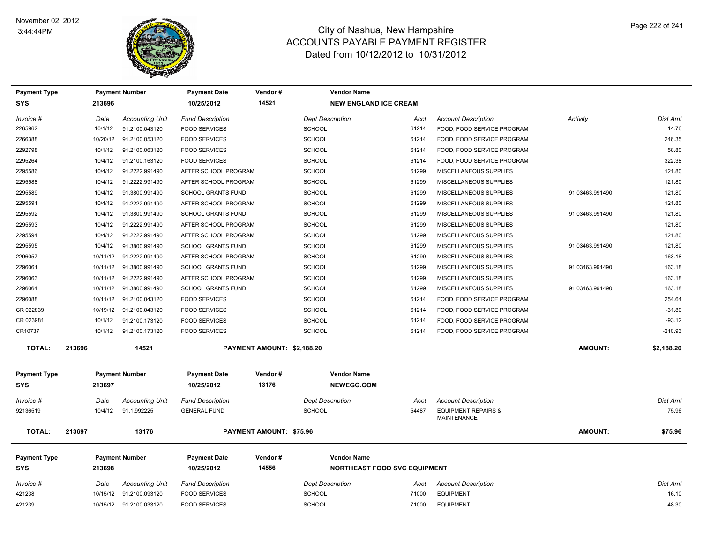

| <b>Payment Type</b>               |             | <b>Payment Number</b>   | <b>Payment Date</b>               | Vendor#                        | <b>Vendor Name</b>                      |                                     |                                                      |                 |                 |
|-----------------------------------|-------------|-------------------------|-----------------------------------|--------------------------------|-----------------------------------------|-------------------------------------|------------------------------------------------------|-----------------|-----------------|
| <b>SYS</b>                        | 213696      |                         | 10/25/2012                        | 14521                          | <b>NEW ENGLAND ICE CREAM</b>            |                                     |                                                      |                 |                 |
| Invoice #                         | <u>Date</u> | <b>Accounting Unit</b>  | <b>Fund Description</b>           |                                | <b>Dept Description</b>                 | <u>Acct</u>                         | <b>Account Description</b>                           | <b>Activity</b> | <u>Dist Amt</u> |
| 2265962                           | 10/1/12     | 91.2100.043120          | <b>FOOD SERVICES</b>              |                                | <b>SCHOOL</b>                           | 61214                               | FOOD, FOOD SERVICE PROGRAM                           |                 | 14.76           |
| 2266388                           | 10/20/12    | 91.2100.053120          | <b>FOOD SERVICES</b>              |                                | SCHOOL                                  | 61214                               | FOOD, FOOD SERVICE PROGRAM                           |                 | 246.35          |
| 2292798                           | 10/1/12     | 91.2100.063120          | <b>FOOD SERVICES</b>              |                                | <b>SCHOOL</b>                           | 61214                               | FOOD, FOOD SERVICE PROGRAM                           |                 | 58.80           |
| 2295264                           | 10/4/12     | 91.2100.163120          | <b>FOOD SERVICES</b>              |                                | SCHOOL                                  | 61214                               | FOOD, FOOD SERVICE PROGRAM                           |                 | 322.38          |
| 2295586                           | 10/4/12     | 91.2222.991490          | AFTER SCHOOL PROGRAM              |                                | SCHOOL                                  | 61299                               | MISCELLANEOUS SUPPLIES                               |                 | 121.80          |
| 2295588                           | 10/4/12     | 91.2222.991490          | AFTER SCHOOL PROGRAM              |                                | <b>SCHOOL</b>                           | 61299                               | MISCELLANEOUS SUPPLIES                               |                 | 121.80          |
| 2295589                           | 10/4/12     | 91.3800.991490          | <b>SCHOOL GRANTS FUND</b>         |                                | <b>SCHOOL</b>                           | 61299                               | MISCELLANEOUS SUPPLIES                               | 91.03463.991490 | 121.80          |
| 2295591                           | 10/4/12     | 91.2222.991490          | AFTER SCHOOL PROGRAM              |                                | SCHOOL                                  | 61299                               | MISCELLANEOUS SUPPLIES                               |                 | 121.80          |
| 2295592                           | 10/4/12     | 91.3800.991490          | <b>SCHOOL GRANTS FUND</b>         |                                | SCHOOL                                  | 61299                               | MISCELLANEOUS SUPPLIES                               | 91.03463.991490 | 121.80          |
| 2295593                           | 10/4/12     | 91.2222.991490          | AFTER SCHOOL PROGRAM              |                                | SCHOOL                                  | 61299                               | MISCELLANEOUS SUPPLIES                               |                 | 121.80          |
| 2295594                           | 10/4/12     | 91.2222.991490          | AFTER SCHOOL PROGRAM              |                                | SCHOOL                                  | 61299                               | MISCELLANEOUS SUPPLIES                               |                 | 121.80          |
| 2295595                           | 10/4/12     | 91.3800.991490          | <b>SCHOOL GRANTS FUND</b>         |                                | SCHOOL                                  | 61299                               | MISCELLANEOUS SUPPLIES                               | 91.03463.991490 | 121.80          |
| 2296057                           | 10/11/12    | 91.2222.991490          | AFTER SCHOOL PROGRAM              |                                | <b>SCHOOL</b>                           | 61299                               | MISCELLANEOUS SUPPLIES                               |                 | 163.18          |
| 2296061                           | 10/11/12    | 91.3800.991490          | <b>SCHOOL GRANTS FUND</b>         |                                | SCHOOL                                  | 61299                               | MISCELLANEOUS SUPPLIES                               | 91.03463.991490 | 163.18          |
| 2296063                           | 10/11/12    | 91.2222.991490          | AFTER SCHOOL PROGRAM              |                                | <b>SCHOOL</b>                           | 61299                               | MISCELLANEOUS SUPPLIES                               |                 | 163.18          |
| 2296064                           | 10/11/12    | 91.3800.991490          | <b>SCHOOL GRANTS FUND</b>         |                                | <b>SCHOOL</b>                           | 61299                               | MISCELLANEOUS SUPPLIES                               | 91.03463.991490 | 163.18          |
| 2296088                           | 10/11/12    | 91.2100.043120          | <b>FOOD SERVICES</b>              |                                | <b>SCHOOL</b>                           | 61214                               | FOOD, FOOD SERVICE PROGRAM                           |                 | 254.64          |
| CR 022839                         | 10/19/12    | 91.2100.043120          | <b>FOOD SERVICES</b>              |                                | SCHOOL                                  | 61214                               | FOOD, FOOD SERVICE PROGRAM                           |                 | $-31.80$        |
| CR 023981                         | 10/1/12     | 91.2100.173120          | <b>FOOD SERVICES</b>              |                                | SCHOOL                                  | 61214                               | FOOD, FOOD SERVICE PROGRAM                           |                 | $-93.12$        |
| CR10737                           | 10/1/12     | 91.2100.173120          | <b>FOOD SERVICES</b>              |                                | SCHOOL                                  | 61214                               | FOOD, FOOD SERVICE PROGRAM                           |                 | $-210.93$       |
| <b>TOTAL:</b>                     | 213696      | 14521                   |                                   | PAYMENT AMOUNT: \$2,188.20     |                                         |                                     |                                                      | <b>AMOUNT:</b>  | \$2,188.20      |
| <b>Payment Type</b><br><b>SYS</b> | 213697      | <b>Payment Number</b>   | <b>Payment Date</b><br>10/25/2012 | Vendor#<br>13176               | <b>Vendor Name</b><br><b>NEWEGG.COM</b> |                                     |                                                      |                 |                 |
| Invoice #                         | Date        | <b>Accounting Unit</b>  | <b>Fund Description</b>           |                                | <b>Dept Description</b>                 | Acct                                | <b>Account Description</b>                           |                 | Dist Amt        |
| 92136519                          | 10/4/12     | 91.1.992225             | <b>GENERAL FUND</b>               |                                | <b>SCHOOL</b>                           | 54487                               | <b>EQUIPMENT REPAIRS &amp;</b><br><b>MAINTENANCE</b> |                 | 75.96           |
| <b>TOTAL:</b>                     | 213697      | 13176                   |                                   | <b>PAYMENT AMOUNT: \$75.96</b> |                                         |                                     |                                                      | <b>AMOUNT:</b>  | \$75.96         |
| <b>Payment Type</b>               |             | <b>Payment Number</b>   | <b>Payment Date</b>               | Vendor#                        | <b>Vendor Name</b>                      |                                     |                                                      |                 |                 |
| <b>SYS</b>                        | 213698      |                         | 10/25/2012                        | 14556                          |                                         | <b>NORTHEAST FOOD SVC EQUIPMENT</b> |                                                      |                 |                 |
| <b>Invoice #</b>                  | <u>Date</u> | <u>Accounting Unit</u>  | <b>Fund Description</b>           |                                | <b>Dept Description</b>                 | <u>Acct</u>                         | <b>Account Description</b>                           |                 | <u>Dist Amt</u> |
| 421238                            | 10/15/12    | 91.2100.093120          | <b>FOOD SERVICES</b>              |                                | <b>SCHOOL</b>                           | 71000                               | <b>EQUIPMENT</b>                                     |                 | 16.10           |
| 421239                            |             | 10/15/12 91.2100.033120 | <b>FOOD SERVICES</b>              |                                | SCHOOL                                  | 71000                               | <b>EQUIPMENT</b>                                     |                 | 48.30           |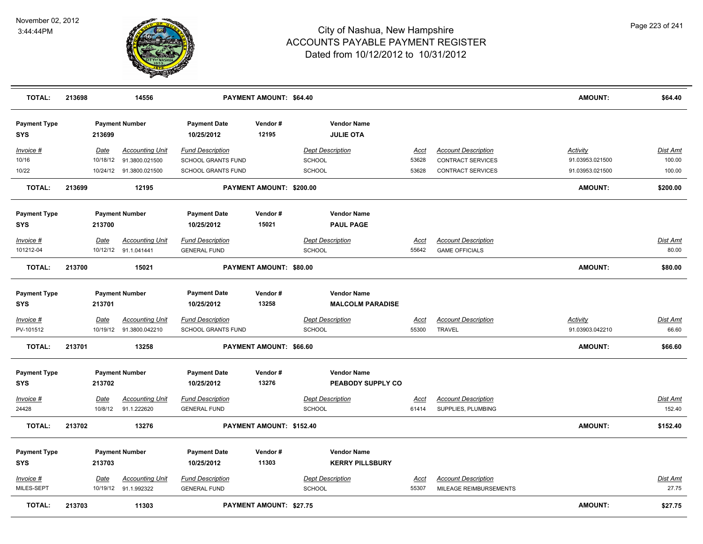

| <b>TOTAL:</b>                     | 213698 |                         | 14556                                    |                                                      | PAYMENT AMOUNT: \$64.40        |                                               |                      |                                                  | <b>AMOUNT:</b>                     | \$64.40                   |
|-----------------------------------|--------|-------------------------|------------------------------------------|------------------------------------------------------|--------------------------------|-----------------------------------------------|----------------------|--------------------------------------------------|------------------------------------|---------------------------|
| <b>Payment Type</b><br>SYS        |        | 213699                  | <b>Payment Number</b>                    | <b>Payment Date</b><br>10/25/2012                    | Vendor#<br>12195               | <b>Vendor Name</b><br><b>JULIE OTA</b>        |                      |                                                  |                                    |                           |
| Invoice #                         |        | Date                    | <b>Accounting Unit</b>                   | <b>Fund Description</b>                              |                                | <b>Dept Description</b>                       | Acct                 | <b>Account Description</b>                       | Activity                           | Dist Amt                  |
| 10/16                             |        | 10/18/12                | 91.3800.021500                           | <b>SCHOOL GRANTS FUND</b>                            |                                | <b>SCHOOL</b>                                 | 53628                | <b>CONTRACT SERVICES</b>                         | 91.03953.021500                    | 100.00                    |
| 10/22                             |        |                         | 10/24/12 91.3800.021500                  | SCHOOL GRANTS FUND                                   |                                | SCHOOL                                        | 53628                | <b>CONTRACT SERVICES</b>                         | 91.03953.021500                    | 100.00                    |
| <b>TOTAL:</b>                     | 213699 |                         | 12195                                    |                                                      | PAYMENT AMOUNT: \$200.00       |                                               |                      |                                                  | <b>AMOUNT:</b>                     | \$200.00                  |
| <b>Payment Type</b>               |        |                         | <b>Payment Number</b>                    | <b>Payment Date</b>                                  | Vendor#                        | <b>Vendor Name</b>                            |                      |                                                  |                                    |                           |
| <b>SYS</b>                        |        | 213700                  |                                          | 10/25/2012                                           | 15021                          | <b>PAUL PAGE</b>                              |                      |                                                  |                                    |                           |
| Invoice #                         |        | Date                    | <b>Accounting Unit</b>                   | <b>Fund Description</b>                              |                                | <b>Dept Description</b>                       | Acct                 | <b>Account Description</b>                       |                                    | Dist Amt                  |
| 101212-04                         |        |                         | 10/12/12 91.1.041441                     | <b>GENERAL FUND</b>                                  |                                | SCHOOL                                        | 55642                | <b>GAME OFFICIALS</b>                            |                                    | 80.00                     |
| <b>TOTAL:</b>                     | 213700 |                         | 15021                                    |                                                      | PAYMENT AMOUNT: \$80.00        |                                               |                      |                                                  | <b>AMOUNT:</b>                     | \$80.00                   |
| <b>Payment Type</b><br><b>SYS</b> |        | 213701                  | <b>Payment Number</b>                    | <b>Payment Date</b><br>10/25/2012                    | Vendor#<br>13258               | <b>Vendor Name</b><br><b>MALCOLM PARADISE</b> |                      |                                                  |                                    |                           |
| <u>Invoice #</u><br>PV-101512     |        | <b>Date</b><br>10/19/12 | <b>Accounting Unit</b><br>91.3800.042210 | <b>Fund Description</b><br><b>SCHOOL GRANTS FUND</b> |                                | <b>Dept Description</b><br>SCHOOL             | <u>Acct</u><br>55300 | <b>Account Description</b><br><b>TRAVEL</b>      | <b>Activity</b><br>91.03903.042210 | <u>Dist Amt</u><br>66.60  |
| <b>TOTAL:</b>                     | 213701 |                         | 13258                                    |                                                      | PAYMENT AMOUNT: \$66.60        |                                               |                      |                                                  | <b>AMOUNT:</b>                     | \$66.60                   |
| <b>Payment Type</b><br>SYS        |        | 213702                  | <b>Payment Number</b>                    | <b>Payment Date</b><br>10/25/2012                    | Vendor#<br>13276               | <b>Vendor Name</b><br>PEABODY SUPPLY CO       |                      |                                                  |                                    |                           |
| <u>Invoice #</u><br>24428         |        | <u>Date</u><br>10/8/12  | <b>Accounting Unit</b><br>91.1.222620    | <b>Fund Description</b><br><b>GENERAL FUND</b>       |                                | <b>Dept Description</b><br><b>SCHOOL</b>      | <u>Acct</u><br>61414 | <b>Account Description</b><br>SUPPLIES, PLUMBING |                                    | <b>Dist Amt</b><br>152.40 |
| <b>TOTAL:</b>                     | 213702 |                         | 13276                                    |                                                      | PAYMENT AMOUNT: \$152.40       |                                               |                      |                                                  | <b>AMOUNT:</b>                     | \$152.40                  |
| <b>Payment Type</b><br>SYS        |        | 213703                  | <b>Payment Number</b>                    | <b>Payment Date</b><br>10/25/2012                    | Vendor#<br>11303               | <b>Vendor Name</b><br><b>KERRY PILLSBURY</b>  |                      |                                                  |                                    |                           |
| <u>Invoice #</u>                  |        | Date                    | <b>Accounting Unit</b>                   | <b>Fund Description</b>                              |                                | <b>Dept Description</b>                       | <u>Acct</u>          | <b>Account Description</b>                       |                                    | <b>Dist Amt</b>           |
| MILES-SEPT                        |        | 10/19/12                | 91.1.992322                              | <b>GENERAL FUND</b>                                  |                                | <b>SCHOOL</b>                                 | 55307                | MILEAGE REIMBURSEMENTS                           |                                    | 27.75                     |
| <b>TOTAL:</b>                     | 213703 |                         | 11303                                    |                                                      | <b>PAYMENT AMOUNT: \$27.75</b> |                                               |                      |                                                  | <b>AMOUNT:</b>                     | \$27.75                   |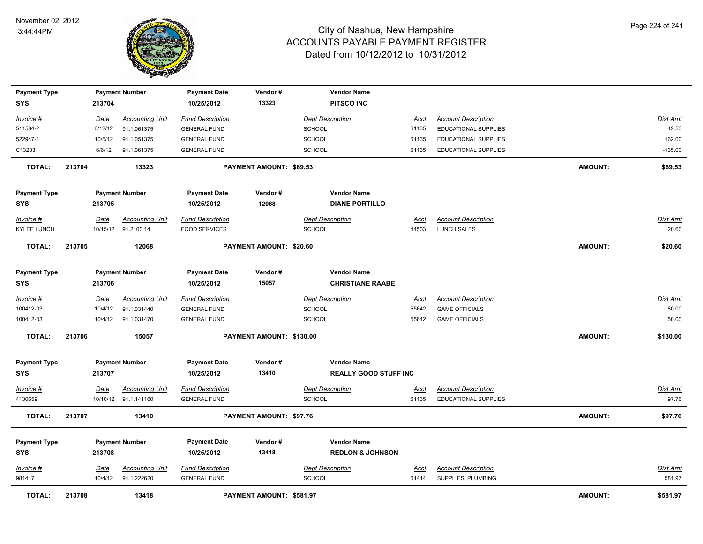

| <b>Payment Type</b> |        |             | <b>Payment Number</b>  | <b>Payment Date</b>     | Vendor#                        | <b>Vendor Name</b>           |             |                             |                |                 |
|---------------------|--------|-------------|------------------------|-------------------------|--------------------------------|------------------------------|-------------|-----------------------------|----------------|-----------------|
| <b>SYS</b>          |        | 213704      |                        | 10/25/2012              | 13323                          | <b>PITSCO INC</b>            |             |                             |                |                 |
| Invoice #           |        | Date        | <b>Accounting Unit</b> | <b>Fund Description</b> |                                | <b>Dept Description</b>      | Acct        | <b>Account Description</b>  |                | Dist Amt        |
| 511584-2            |        | 6/12/12     | 91.1.061375            | <b>GENERAL FUND</b>     |                                | <b>SCHOOL</b>                | 61135       | <b>EDUCATIONAL SUPPLIES</b> |                | 42.53           |
| 522947-1            |        | 10/5/12     | 91.1.051375            | <b>GENERAL FUND</b>     |                                | SCHOOL                       | 61135       | <b>EDUCATIONAL SUPPLIES</b> |                | 162.00          |
| C13283              |        | 6/6/12      | 91.1.061375            | <b>GENERAL FUND</b>     |                                | SCHOOL                       | 61135       | <b>EDUCATIONAL SUPPLIES</b> |                | $-135.00$       |
| <b>TOTAL:</b>       | 213704 |             | 13323                  |                         | PAYMENT AMOUNT: \$69.53        |                              |             |                             | <b>AMOUNT:</b> | \$69.53         |
| <b>Payment Type</b> |        |             | <b>Payment Number</b>  | <b>Payment Date</b>     | Vendor#                        | <b>Vendor Name</b>           |             |                             |                |                 |
| <b>SYS</b>          |        | 213705      |                        | 10/25/2012              | 12068                          | <b>DIANE PORTILLO</b>        |             |                             |                |                 |
| Invoice #           |        | Date        | <b>Accounting Unit</b> | <b>Fund Description</b> |                                | <b>Dept Description</b>      | Acct        | <b>Account Description</b>  |                | <u>Dist Amt</u> |
| KYLEE LUNCH         |        |             | 10/15/12 91.2100.14    | <b>FOOD SERVICES</b>    |                                | <b>SCHOOL</b>                | 44503       | <b>LUNCH SALES</b>          |                | 20.60           |
| TOTAL:              | 213705 |             | 12068                  |                         | PAYMENT AMOUNT: \$20.60        |                              |             |                             | <b>AMOUNT:</b> | \$20.60         |
| <b>Payment Type</b> |        |             | <b>Payment Number</b>  | <b>Payment Date</b>     | Vendor#                        | <b>Vendor Name</b>           |             |                             |                |                 |
| <b>SYS</b>          |        | 213706      |                        | 10/25/2012              | 15057                          | <b>CHRISTIANE RAABE</b>      |             |                             |                |                 |
| Invoice #           |        | Date        | <b>Accounting Unit</b> | <b>Fund Description</b> |                                | <b>Dept Description</b>      | <b>Acct</b> | <b>Account Description</b>  |                | Dist Amt        |
| 100412-03           |        | 10/4/12     | 91.1.031440            | <b>GENERAL FUND</b>     |                                | SCHOOL                       | 55642       | <b>GAME OFFICIALS</b>       |                | 80.00           |
| 100412-03           |        | 10/4/12     | 91.1.031470            | <b>GENERAL FUND</b>     |                                | <b>SCHOOL</b>                | 55642       | <b>GAME OFFICIALS</b>       |                | 50.00           |
| <b>TOTAL:</b>       | 213706 |             | 15057                  |                         | PAYMENT AMOUNT: \$130.00       |                              |             |                             | <b>AMOUNT:</b> | \$130.00        |
| <b>Payment Type</b> |        |             | <b>Payment Number</b>  | <b>Payment Date</b>     | Vendor#                        | <b>Vendor Name</b>           |             |                             |                |                 |
| <b>SYS</b>          |        | 213707      |                        | 10/25/2012              | 13410                          | <b>REALLY GOOD STUFF INC</b> |             |                             |                |                 |
| <u>Invoice #</u>    |        | Date        | <b>Accounting Unit</b> | <b>Fund Description</b> |                                | <b>Dept Description</b>      | <u>Acct</u> | <b>Account Description</b>  |                | Dist Amt        |
| 4130659             |        |             | 10/10/12 91.1.141160   | <b>GENERAL FUND</b>     |                                | <b>SCHOOL</b>                | 61135       | <b>EDUCATIONAL SUPPLIES</b> |                | 97.76           |
| <b>TOTAL:</b>       | 213707 |             | 13410                  |                         | <b>PAYMENT AMOUNT: \$97.76</b> |                              |             |                             | AMOUNT:        | \$97.76         |
| <b>Payment Type</b> |        |             | <b>Payment Number</b>  | <b>Payment Date</b>     | Vendor#                        | <b>Vendor Name</b>           |             |                             |                |                 |
| <b>SYS</b>          |        | 213708      |                        | 10/25/2012              | 13418                          | <b>REDLON &amp; JOHNSON</b>  |             |                             |                |                 |
| <u>Invoice #</u>    |        | <b>Date</b> | <b>Accounting Unit</b> | <b>Fund Description</b> |                                | <b>Dept Description</b>      | <u>Acct</u> | <b>Account Description</b>  |                | <u>Dist Amt</u> |
| 981417              |        |             | 10/4/12 91.1.222620    | <b>GENERAL FUND</b>     |                                | <b>SCHOOL</b>                | 61414       | SUPPLIES, PLUMBING          |                | 581.97          |
| <b>TOTAL:</b>       | 213708 |             | 13418                  |                         | PAYMENT AMOUNT: \$581.97       |                              |             |                             | <b>AMOUNT:</b> | \$581.97        |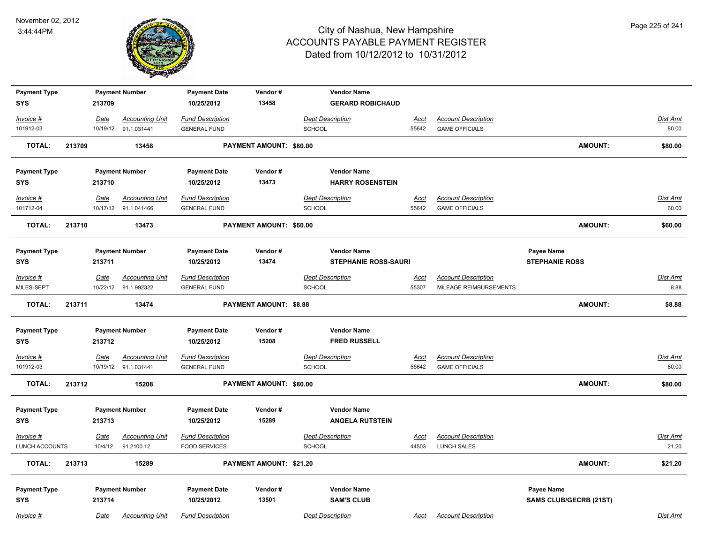

| <b>Payment Type</b>         |        |                        | <b>Payment Number</b>                | <b>Payment Date</b>                             | Vendor#                       | <b>Vendor Name</b>                |                      |                                           |                               |                   |
|-----------------------------|--------|------------------------|--------------------------------------|-------------------------------------------------|-------------------------------|-----------------------------------|----------------------|-------------------------------------------|-------------------------------|-------------------|
| <b>SYS</b>                  |        | 213709                 |                                      | 10/25/2012                                      | 13458                         | <b>GERARD ROBICHAUD</b>           |                      |                                           |                               |                   |
| Invoice #                   |        | Date                   | <b>Accounting Unit</b>               | <b>Fund Description</b>                         |                               | <b>Dept Description</b>           | <b>Acct</b>          | <b>Account Description</b>                |                               | Dist Amt          |
| 101912-03                   |        |                        | 10/19/12 91.1.031441                 | <b>GENERAL FUND</b>                             |                               | SCHOOL                            | 55642                | <b>GAME OFFICIALS</b>                     |                               | 80.00             |
| <b>TOTAL:</b>               | 213709 |                        | 13458                                |                                                 | PAYMENT AMOUNT: \$80.00       |                                   |                      |                                           | <b>AMOUNT:</b>                | \$80.00           |
| <b>Payment Type</b>         |        |                        | <b>Payment Number</b>                | <b>Payment Date</b>                             | Vendor#                       | <b>Vendor Name</b>                |                      |                                           |                               |                   |
| <b>SYS</b>                  |        | 213710                 |                                      | 10/25/2012                                      | 13473                         | <b>HARRY ROSENSTEIN</b>           |                      |                                           |                               |                   |
| Invoice #                   |        | Date                   | <b>Accounting Unit</b>               | <b>Fund Description</b>                         |                               | <b>Dept Description</b>           | Acct                 | <b>Account Description</b>                |                               | Dist Amt          |
| 101712-04                   |        |                        | 10/17/12 91.1.041466                 | <b>GENERAL FUND</b>                             |                               | <b>SCHOOL</b>                     | 55642                | <b>GAME OFFICIALS</b>                     |                               | 60.00             |
| <b>TOTAL:</b>               | 213710 |                        | 13473                                |                                                 | PAYMENT AMOUNT: \$60.00       |                                   |                      |                                           | <b>AMOUNT:</b>                | \$60.00           |
| <b>Payment Type</b>         |        |                        | <b>Payment Number</b>                | <b>Payment Date</b>                             | Vendor#                       | <b>Vendor Name</b>                |                      |                                           | Payee Name                    |                   |
| <b>SYS</b>                  |        | 213711                 |                                      | 10/25/2012                                      | 13474                         | <b>STEPHANIE ROSS-SAURI</b>       |                      |                                           | <b>STEPHANIE ROSS</b>         |                   |
| Invoice #                   |        | Date                   | <b>Accounting Unit</b>               | <b>Fund Description</b>                         |                               | <b>Dept Description</b>           | <b>Acct</b>          | <b>Account Description</b>                |                               | Dist Amt          |
| MILES-SEPT                  |        |                        | 10/22/12 91.1.992322                 | <b>GENERAL FUND</b>                             |                               | <b>SCHOOL</b>                     | 55307                | MILEAGE REIMBURSEMENTS                    |                               | 8.88              |
| <b>TOTAL:</b>               | 213711 |                        | 13474                                |                                                 | <b>PAYMENT AMOUNT: \$8.88</b> |                                   |                      |                                           | <b>AMOUNT:</b>                | \$8.88            |
| <b>Payment Type</b>         |        |                        | <b>Payment Number</b>                | <b>Payment Date</b>                             | Vendor#                       | <b>Vendor Name</b>                |                      |                                           |                               |                   |
| <b>SYS</b>                  |        | 213712                 |                                      | 10/25/2012                                      | 15208                         | <b>FRED RUSSELL</b>               |                      |                                           |                               |                   |
| $Invoice$ #                 |        | Date                   | <b>Accounting Unit</b>               | <b>Fund Description</b>                         |                               | <b>Dept Description</b>           | <b>Acct</b>          | <b>Account Description</b>                |                               | <b>Dist Amt</b>   |
| 101912-03                   |        |                        | 10/19/12 91.1.031441                 | <b>GENERAL FUND</b>                             |                               | SCHOOL                            | 55642                | <b>GAME OFFICIALS</b>                     |                               | 80.00             |
| <b>TOTAL:</b>               | 213712 |                        | 15208                                |                                                 | PAYMENT AMOUNT: \$80.00       |                                   |                      |                                           | <b>AMOUNT:</b>                | \$80.00           |
| <b>Payment Type</b>         |        |                        | <b>Payment Number</b>                | <b>Payment Date</b>                             | Vendor#                       | <b>Vendor Name</b>                |                      |                                           |                               |                   |
| <b>SYS</b>                  |        | 213713                 |                                      | 10/25/2012                                      | 15289                         | <b>ANGELA RUTSTEIN</b>            |                      |                                           |                               |                   |
| Invoice #<br>LUNCH ACCOUNTS |        | <u>Date</u><br>10/4/12 | <b>Accounting Unit</b><br>91.2100.12 | <b>Fund Description</b><br><b>FOOD SERVICES</b> |                               | <b>Dept Description</b><br>SCHOOL | <u>Acct</u><br>44503 | <b>Account Description</b><br>LUNCH SALES |                               | Dist Amt<br>21.20 |
|                             |        |                        |                                      |                                                 |                               |                                   |                      |                                           |                               |                   |
| <b>TOTAL:</b>               | 213713 |                        | 15289                                |                                                 | PAYMENT AMOUNT: \$21.20       |                                   |                      |                                           | AMOUNT:                       | \$21.20           |
| <b>Payment Type</b>         |        |                        | <b>Payment Number</b>                | <b>Payment Date</b>                             | Vendor#                       | <b>Vendor Name</b>                |                      |                                           | Payee Name                    |                   |
| <b>SYS</b>                  |        | 213714                 |                                      | 10/25/2012                                      | 13501                         | <b>SAM'S CLUB</b>                 |                      |                                           | <b>SAMS CLUB/GECRB (21ST)</b> |                   |
| Invoice #                   |        | Date                   | <b>Accounting Unit</b>               | <b>Fund Description</b>                         |                               | <b>Dept Description</b>           | Acct                 | <b>Account Description</b>                |                               | Dist Amt          |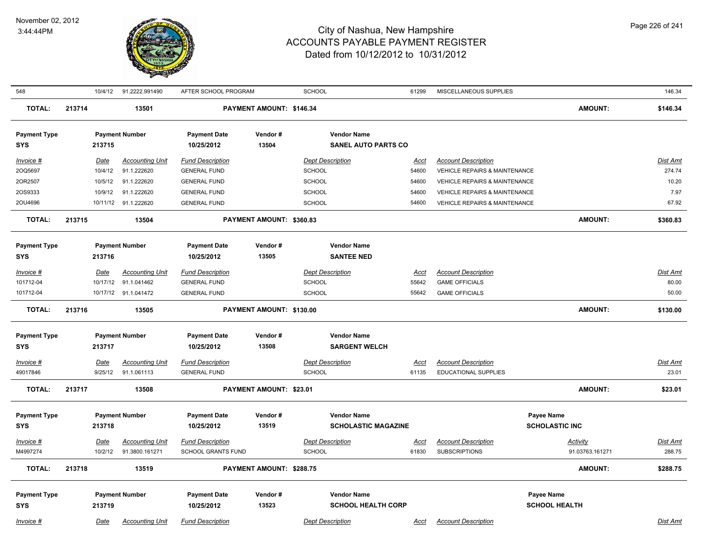

| 548                 |        | 10/4/12     | 91.2222.991490         | AFTER SCHOOL PROGRAM    |                                | SCHOOL                                           | 61299       | MISCELLANEOUS SUPPLIES                   |                                     | 146.34   |
|---------------------|--------|-------------|------------------------|-------------------------|--------------------------------|--------------------------------------------------|-------------|------------------------------------------|-------------------------------------|----------|
| <b>TOTAL:</b>       | 213714 |             | 13501                  |                         | PAYMENT AMOUNT: \$146.34       |                                                  |             |                                          | <b>AMOUNT:</b>                      | \$146.34 |
| <b>Payment Type</b> |        |             | <b>Payment Number</b>  | <b>Payment Date</b>     | Vendor#                        | <b>Vendor Name</b>                               |             |                                          |                                     |          |
| <b>SYS</b>          |        | 213715      |                        | 10/25/2012              | 13504                          | <b>SANEL AUTO PARTS CO</b>                       |             |                                          |                                     |          |
| Invoice #           |        | Date        | <b>Accounting Unit</b> | <b>Fund Description</b> |                                | <b>Dept Description</b>                          | <u>Acct</u> | <b>Account Description</b>               |                                     | Dist Amt |
| 20Q5697             |        | 10/4/12     | 91.1.222620            | <b>GENERAL FUND</b>     |                                | SCHOOL                                           | 54600       | VEHICLE REPAIRS & MAINTENANCE            |                                     | 274.74   |
| 20R2507             |        | 10/5/12     | 91.1.222620            | <b>GENERAL FUND</b>     |                                | <b>SCHOOL</b>                                    | 54600       | <b>VEHICLE REPAIRS &amp; MAINTENANCE</b> |                                     | 10.20    |
| 2OS9333             |        | 10/9/12     | 91.1.222620            | <b>GENERAL FUND</b>     |                                | <b>SCHOOL</b>                                    | 54600       | <b>VEHICLE REPAIRS &amp; MAINTENANCE</b> |                                     | 7.97     |
| 20U4696             |        |             | 10/11/12 91.1.222620   | <b>GENERAL FUND</b>     |                                | <b>SCHOOL</b>                                    | 54600       | <b>VEHICLE REPAIRS &amp; MAINTENANCE</b> |                                     | 67.92    |
| <b>TOTAL:</b>       | 213715 |             | 13504                  |                         | PAYMENT AMOUNT: \$360.83       |                                                  |             |                                          | <b>AMOUNT:</b>                      | \$360.83 |
| <b>Payment Type</b> |        |             | <b>Payment Number</b>  | <b>Payment Date</b>     | Vendor#                        | <b>Vendor Name</b>                               |             |                                          |                                     |          |
| <b>SYS</b>          |        | 213716      |                        | 10/25/2012              | 13505                          | <b>SANTEE NED</b>                                |             |                                          |                                     |          |
| Invoice #           |        | Date        | <b>Accounting Unit</b> | <b>Fund Description</b> |                                | <b>Dept Description</b>                          | Acct        | <b>Account Description</b>               |                                     | Dist Amt |
| 101712-04           |        | 10/17/12    | 91.1.041462            | <b>GENERAL FUND</b>     |                                | SCHOOL                                           | 55642       | <b>GAME OFFICIALS</b>                    |                                     | 80.00    |
| 101712-04           |        |             | 10/17/12 91.1.041472   | <b>GENERAL FUND</b>     |                                | SCHOOL                                           | 55642       | <b>GAME OFFICIALS</b>                    |                                     | 50.00    |
| <b>TOTAL:</b>       | 213716 |             | 13505                  |                         | PAYMENT AMOUNT: \$130.00       |                                                  |             |                                          | <b>AMOUNT:</b>                      | \$130.00 |
| <b>Payment Type</b> |        |             | <b>Payment Number</b>  | <b>Payment Date</b>     | Vendor#                        | <b>Vendor Name</b>                               |             |                                          |                                     |          |
| <b>SYS</b>          |        | 213717      |                        | 10/25/2012              | 13508                          | <b>SARGENT WELCH</b>                             |             |                                          |                                     |          |
| <b>Invoice #</b>    |        | Date        | <b>Accounting Unit</b> | <b>Fund Description</b> |                                | <b>Dept Description</b>                          | <b>Acct</b> | <b>Account Description</b>               |                                     | Dist Amt |
| 49017846            |        | 9/25/12     | 91.1.061113            | <b>GENERAL FUND</b>     |                                | SCHOOL                                           | 61135       | <b>EDUCATIONAL SUPPLIES</b>              |                                     | 23.01    |
| <b>TOTAL:</b>       | 213717 |             | 13508                  |                         | <b>PAYMENT AMOUNT: \$23.01</b> |                                                  |             |                                          | <b>AMOUNT:</b>                      | \$23.01  |
|                     |        |             |                        |                         |                                |                                                  |             |                                          |                                     |          |
| <b>Payment Type</b> |        |             | <b>Payment Number</b>  | <b>Payment Date</b>     | Vendor#<br>13519               | <b>Vendor Name</b><br><b>SCHOLASTIC MAGAZINE</b> |             |                                          | Payee Name<br><b>SCHOLASTIC INC</b> |          |
| <b>SYS</b>          |        | 213718      |                        | 10/25/2012              |                                |                                                  |             |                                          |                                     |          |
| Invoice #           |        | <b>Date</b> | <b>Accounting Unit</b> | <b>Fund Description</b> |                                | <b>Dept Description</b>                          | Acct        | <b>Account Description</b>               | <b>Activity</b>                     | Dist Amt |
| M4997274            |        | 10/2/12     | 91.3800.161271         | SCHOOL GRANTS FUND      |                                | <b>SCHOOL</b>                                    | 61830       | <b>SUBSCRIPTIONS</b>                     | 91.03763.161271                     | 288.75   |
| <b>TOTAL:</b>       | 213718 |             | 13519                  |                         | PAYMENT AMOUNT: \$288.75       |                                                  |             |                                          | <b>AMOUNT:</b>                      | \$288.75 |
| <b>Payment Type</b> |        |             | <b>Payment Number</b>  | <b>Payment Date</b>     | Vendor#                        | <b>Vendor Name</b>                               |             |                                          | Payee Name                          |          |
| <b>SYS</b>          |        | 213719      |                        | 10/25/2012              | 13523                          | <b>SCHOOL HEALTH CORP</b>                        |             |                                          | <b>SCHOOL HEALTH</b>                |          |
|                     |        |             |                        |                         |                                |                                                  |             |                                          |                                     |          |
| Invoice #           |        | Date        | <b>Accounting Unit</b> | <b>Fund Description</b> |                                | <b>Dept Description</b>                          | Acct        | <b>Account Description</b>               |                                     | Dist Amt |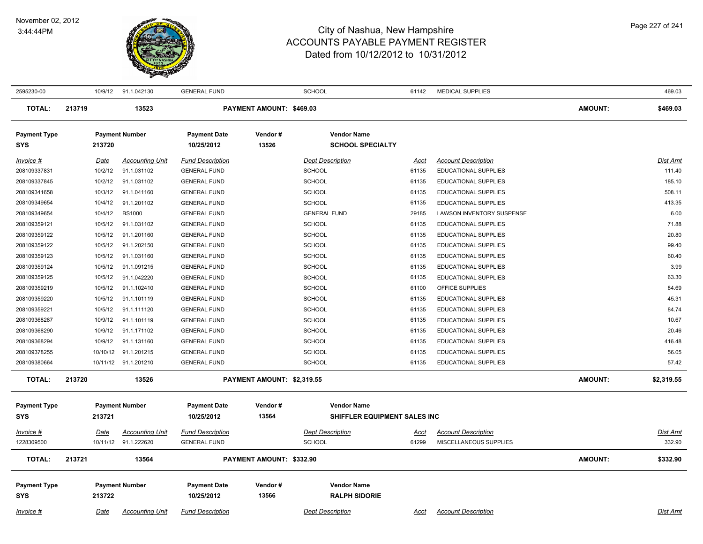

| 2595230-00          |        | 10/9/12     | 91.1.042130            | <b>GENERAL FUND</b>     |                            | <b>SCHOOL</b>                | 61142       | <b>MEDICAL SUPPLIES</b>     |                | 469.03          |
|---------------------|--------|-------------|------------------------|-------------------------|----------------------------|------------------------------|-------------|-----------------------------|----------------|-----------------|
| <b>TOTAL:</b>       | 213719 |             | 13523                  |                         | PAYMENT AMOUNT: \$469.03   |                              |             |                             | <b>AMOUNT:</b> | \$469.03        |
| <b>Payment Type</b> |        |             | <b>Payment Number</b>  | <b>Payment Date</b>     | Vendor#                    | <b>Vendor Name</b>           |             |                             |                |                 |
| SYS                 |        | 213720      |                        | 10/25/2012              | 13526                      | <b>SCHOOL SPECIALTY</b>      |             |                             |                |                 |
| Invoice #           |        | Date        | <b>Accounting Unit</b> | <b>Fund Description</b> |                            | <b>Dept Description</b>      | Acct        | <b>Account Description</b>  |                | Dist Amt        |
| 208109337831        |        | 10/2/12     | 91.1.031102            | <b>GENERAL FUND</b>     |                            | <b>SCHOOL</b>                | 61135       | <b>EDUCATIONAL SUPPLIES</b> |                | 111.40          |
| 208109337845        |        | 10/2/12     | 91.1.031102            | <b>GENERAL FUND</b>     |                            | <b>SCHOOL</b>                | 61135       | EDUCATIONAL SUPPLIES        |                | 185.10          |
| 208109341658        |        | 10/3/12     | 91.1.041160            | <b>GENERAL FUND</b>     |                            | <b>SCHOOL</b>                | 61135       | <b>EDUCATIONAL SUPPLIES</b> |                | 508.11          |
| 208109349654        |        | 10/4/12     | 91.1.201102            | <b>GENERAL FUND</b>     |                            | <b>SCHOOL</b>                | 61135       | EDUCATIONAL SUPPLIES        |                | 413.35          |
| 208109349654        |        | 10/4/12     | <b>BS1000</b>          | <b>GENERAL FUND</b>     |                            | <b>GENERAL FUND</b>          | 29185       | LAWSON INVENTORY SUSPENSE   |                | 6.00            |
| 208109359121        |        | 10/5/12     | 91.1.031102            | <b>GENERAL FUND</b>     |                            | <b>SCHOOL</b>                | 61135       | <b>EDUCATIONAL SUPPLIES</b> |                | 71.88           |
| 208109359122        |        | 10/5/12     | 91.1.201160            | <b>GENERAL FUND</b>     |                            | <b>SCHOOL</b>                | 61135       | <b>EDUCATIONAL SUPPLIES</b> |                | 20.80           |
| 208109359122        |        | 10/5/12     | 91.1.202150            | <b>GENERAL FUND</b>     |                            | SCHOOL                       | 61135       | EDUCATIONAL SUPPLIES        |                | 99.40           |
| 208109359123        |        | 10/5/12     | 91.1.031160            | <b>GENERAL FUND</b>     |                            | <b>SCHOOL</b>                | 61135       | <b>EDUCATIONAL SUPPLIES</b> |                | 60.40           |
| 208109359124        |        | 10/5/12     | 91.1.091215            | <b>GENERAL FUND</b>     |                            | <b>SCHOOL</b>                | 61135       | <b>EDUCATIONAL SUPPLIES</b> |                | 3.99            |
| 208109359125        |        | 10/5/12     | 91.1.042220            | <b>GENERAL FUND</b>     |                            | SCHOOL                       | 61135       | EDUCATIONAL SUPPLIES        |                | 63.30           |
| 208109359219        |        | 10/5/12     | 91.1.102410            | <b>GENERAL FUND</b>     |                            | <b>SCHOOL</b>                | 61100       | OFFICE SUPPLIES             |                | 84.69           |
| 208109359220        |        | 10/5/12     | 91.1.101119            | <b>GENERAL FUND</b>     |                            | <b>SCHOOL</b>                | 61135       | <b>EDUCATIONAL SUPPLIES</b> |                | 45.31           |
| 208109359221        |        | 10/5/12     | 91.1.111120            | <b>GENERAL FUND</b>     |                            | <b>SCHOOL</b>                | 61135       | <b>EDUCATIONAL SUPPLIES</b> |                | 84.74           |
| 208109368287        |        | 10/9/12     | 91.1.101119            | <b>GENERAL FUND</b>     |                            | <b>SCHOOL</b>                | 61135       | EDUCATIONAL SUPPLIES        |                | 10.67           |
| 208109368290        |        | 10/9/12     | 91.1.171102            | <b>GENERAL FUND</b>     |                            | <b>SCHOOL</b>                | 61135       | <b>EDUCATIONAL SUPPLIES</b> |                | 20.46           |
| 208109368294        |        | 10/9/12     | 91.1.131160            | <b>GENERAL FUND</b>     |                            | <b>SCHOOL</b>                | 61135       | EDUCATIONAL SUPPLIES        |                | 416.48          |
| 208109378255        |        | 10/10/12    | 91.1.201215            | <b>GENERAL FUND</b>     |                            | <b>SCHOOL</b>                | 61135       | EDUCATIONAL SUPPLIES        |                | 56.05           |
| 208109380664        |        |             | 10/11/12 91.1.201210   | <b>GENERAL FUND</b>     |                            | <b>SCHOOL</b>                | 61135       | EDUCATIONAL SUPPLIES        |                | 57.42           |
| <b>TOTAL:</b>       | 213720 |             | 13526                  |                         | PAYMENT AMOUNT: \$2.319.55 |                              |             |                             | <b>AMOUNT:</b> | \$2,319.55      |
| <b>Payment Type</b> |        |             | <b>Payment Number</b>  | <b>Payment Date</b>     | Vendor#                    | <b>Vendor Name</b>           |             |                             |                |                 |
| SYS                 |        | 213721      |                        | 10/25/2012              | 13564                      | SHIFFLER EQUIPMENT SALES INC |             |                             |                |                 |
|                     |        |             |                        |                         |                            |                              |             |                             |                |                 |
| Invoice #           |        | Date        | <b>Accounting Unit</b> | <b>Fund Description</b> |                            | <b>Dept Description</b>      | <u>Acct</u> | <b>Account Description</b>  |                | <u>Dist Amt</u> |
| 1228309500          |        | 10/11/12    | 91.1.222620            | <b>GENERAL FUND</b>     |                            | <b>SCHOOL</b>                | 61299       | MISCELLANEOUS SUPPLIES      |                | 332.90          |
| <b>TOTAL:</b>       | 213721 |             | 13564                  |                         | PAYMENT AMOUNT: \$332.90   |                              |             |                             | <b>AMOUNT:</b> | \$332.90        |
| <b>Payment Type</b> |        |             | <b>Payment Number</b>  | <b>Payment Date</b>     | Vendor#                    | <b>Vendor Name</b>           |             |                             |                |                 |
| SYS                 |        | 213722      |                        | 10/25/2012              | 13566                      | <b>RALPH SIDORIE</b>         |             |                             |                |                 |
|                     |        |             |                        |                         |                            |                              |             |                             |                |                 |
| Invoice #           |        | <u>Date</u> | <b>Accounting Unit</b> | <b>Fund Description</b> |                            | <b>Dept Description</b>      | <u>Acct</u> | <b>Account Description</b>  |                | Dist Amt        |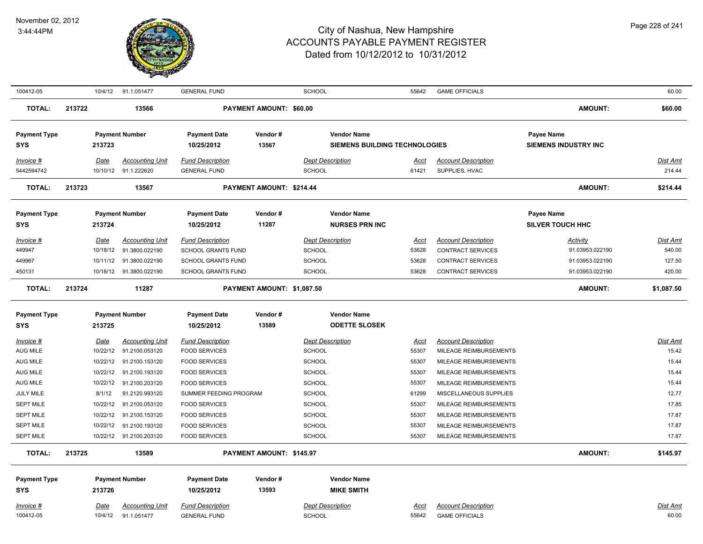

| 100412-05                                                                                                                                                                             |                                                         | 10/4/12 91.1.051477                                                                                                                                                                                                                                     | <b>GENERAL FUND</b>                                                                                                                                                                                                                               |                            | <b>SCHOOL</b>                                                                                                                                                      | 55642                                                                                        | <b>GAME OFFICIALS</b>                                                                                                                                                                                                                                                |                                                                   | 60.00                                                                                                        |
|---------------------------------------------------------------------------------------------------------------------------------------------------------------------------------------|---------------------------------------------------------|---------------------------------------------------------------------------------------------------------------------------------------------------------------------------------------------------------------------------------------------------------|---------------------------------------------------------------------------------------------------------------------------------------------------------------------------------------------------------------------------------------------------|----------------------------|--------------------------------------------------------------------------------------------------------------------------------------------------------------------|----------------------------------------------------------------------------------------------|----------------------------------------------------------------------------------------------------------------------------------------------------------------------------------------------------------------------------------------------------------------------|-------------------------------------------------------------------|--------------------------------------------------------------------------------------------------------------|
| <b>TOTAL:</b>                                                                                                                                                                         | 213722                                                  | 13566                                                                                                                                                                                                                                                   |                                                                                                                                                                                                                                                   | PAYMENT AMOUNT: \$60.00    |                                                                                                                                                                    |                                                                                              |                                                                                                                                                                                                                                                                      | <b>AMOUNT:</b>                                                    | \$60.00                                                                                                      |
| <b>Payment Type</b><br>SYS                                                                                                                                                            | 213723                                                  | <b>Payment Number</b>                                                                                                                                                                                                                                   | <b>Payment Date</b><br>10/25/2012                                                                                                                                                                                                                 | Vendor#<br>13567           | <b>Vendor Name</b><br><b>SIEMENS BUILDING TECHNOLOGIES</b>                                                                                                         |                                                                                              |                                                                                                                                                                                                                                                                      | <b>Payee Name</b><br><b>SIEMENS INDUSTRY INC</b>                  |                                                                                                              |
| Invoice #<br>5442594742                                                                                                                                                               | Date                                                    | <b>Accounting Unit</b><br>10/10/12 91.1.222620                                                                                                                                                                                                          | <b>Fund Description</b><br><b>GENERAL FUND</b>                                                                                                                                                                                                    |                            | <b>Dept Description</b><br><b>SCHOOL</b>                                                                                                                           | Acct<br>61421                                                                                | <b>Account Description</b><br>SUPPLIES, HVAC                                                                                                                                                                                                                         |                                                                   | Dist Amt<br>214.44                                                                                           |
| <b>TOTAL:</b>                                                                                                                                                                         | 213723                                                  | 13567                                                                                                                                                                                                                                                   |                                                                                                                                                                                                                                                   | PAYMENT AMOUNT: \$214.44   |                                                                                                                                                                    |                                                                                              |                                                                                                                                                                                                                                                                      | <b>AMOUNT:</b>                                                    | \$214.44                                                                                                     |
| <b>Payment Type</b><br><b>SYS</b>                                                                                                                                                     | 213724                                                  | <b>Payment Number</b>                                                                                                                                                                                                                                   | <b>Payment Date</b><br>10/25/2012                                                                                                                                                                                                                 | Vendor#<br>11287           | <b>Vendor Name</b><br><b>NURSES PRN INC</b>                                                                                                                        |                                                                                              |                                                                                                                                                                                                                                                                      | Payee Name<br><b>SILVER TOUCH HHC</b>                             |                                                                                                              |
| Invoice #<br>449947<br>449967<br>450131                                                                                                                                               | Date<br>10/18/12                                        | <b>Accounting Unit</b><br>91.3800.022190<br>10/11/12  91.3800.022190<br>10/18/12  91.3800.022190                                                                                                                                                        | <b>Fund Description</b><br><b>SCHOOL GRANTS FUND</b><br>SCHOOL GRANTS FUND<br>SCHOOL GRANTS FUND                                                                                                                                                  |                            | <b>Dept Description</b><br><b>SCHOOL</b><br>SCHOOL<br><b>SCHOOL</b>                                                                                                | Acct<br>53628<br>53628<br>53628                                                              | <b>Account Description</b><br><b>CONTRACT SERVICES</b><br><b>CONTRACT SERVICES</b><br><b>CONTRACT SERVICES</b>                                                                                                                                                       | Activity<br>91.03953.022190<br>91.03953.022190<br>91.03953.022190 | Dist Amt<br>540.00<br>127.50<br>420.00                                                                       |
| <b>TOTAL:</b>                                                                                                                                                                         | 213724                                                  | 11287                                                                                                                                                                                                                                                   |                                                                                                                                                                                                                                                   | PAYMENT AMOUNT: \$1,087.50 |                                                                                                                                                                    |                                                                                              |                                                                                                                                                                                                                                                                      | AMOUNT:                                                           | \$1,087.50                                                                                                   |
| <b>Payment Type</b><br><b>SYS</b>                                                                                                                                                     | 213725                                                  | <b>Payment Number</b>                                                                                                                                                                                                                                   | <b>Payment Date</b><br>10/25/2012                                                                                                                                                                                                                 | Vendor#<br>13589           | <b>Vendor Name</b><br><b>ODETTE SLOSEK</b>                                                                                                                         |                                                                                              |                                                                                                                                                                                                                                                                      |                                                                   |                                                                                                              |
| <u>Invoice #</u><br>AUG MILE<br>AUG MILE<br>AUG MILE<br>AUG MILE<br><b>JULY MILE</b><br><b>SEPT MILE</b><br><b>SEPT MILE</b><br><b>SEPT MILE</b><br><b>SEPT MILE</b><br><b>TOTAL:</b> | <u>Date</u><br>10/22/12<br>10/22/12<br>8/1/12<br>213725 | <b>Accounting Unit</b><br>91.2100.053120<br>10/22/12 91.2100.153120<br>10/22/12 91.2100.193120<br>91.2100.203120<br>91.2120.993120<br>10/22/12 91.2100.053120<br>10/22/12 91.2100.153120<br>10/22/12 91.2100.193120<br>10/22/12 91.2100.203120<br>13589 | <b>Fund Description</b><br><b>FOOD SERVICES</b><br><b>FOOD SERVICES</b><br><b>FOOD SERVICES</b><br><b>FOOD SERVICES</b><br>SUMMER FEEDING PROGRAM<br><b>FOOD SERVICES</b><br><b>FOOD SERVICES</b><br><b>FOOD SERVICES</b><br><b>FOOD SERVICES</b> | PAYMENT AMOUNT: \$145.97   | <b>Dept Description</b><br><b>SCHOOL</b><br><b>SCHOOL</b><br>SCHOOL<br><b>SCHOOL</b><br><b>SCHOOL</b><br><b>SCHOOL</b><br><b>SCHOOL</b><br>SCHOOL<br><b>SCHOOL</b> | <u>Acct</u><br>55307<br>55307<br>55307<br>55307<br>61299<br>55307<br>55307<br>55307<br>55307 | <b>Account Description</b><br>MILEAGE REIMBURSEMENTS<br>MILEAGE REIMBURSEMENTS<br>MILEAGE REIMBURSEMENTS<br>MILEAGE REIMBURSEMENTS<br>MISCELLANEOUS SUPPLIES<br>MILEAGE REIMBURSEMENTS<br>MILEAGE REIMBURSEMENTS<br>MILEAGE REIMBURSEMENTS<br>MILEAGE REIMBURSEMENTS | <b>AMOUNT:</b>                                                    | <b>Dist Amt</b><br>15.42<br>15.44<br>15.44<br>15.44<br>12.77<br>17.85<br>17.87<br>17.87<br>17.87<br>\$145.97 |
| <b>Payment Type</b><br><b>SYS</b><br>Invoice #<br>100412-05                                                                                                                           | 213726<br>Date                                          | <b>Payment Number</b><br><b>Accounting Unit</b><br>10/4/12 91.1.051477                                                                                                                                                                                  | <b>Payment Date</b><br>10/25/2012<br><b>Fund Description</b><br><b>GENERAL FUND</b>                                                                                                                                                               | Vendor#<br>13593           | <b>Vendor Name</b><br><b>MIKE SMITH</b><br><b>Dept Description</b><br><b>SCHOOL</b>                                                                                | Acct<br>55642                                                                                | <b>Account Description</b><br><b>GAME OFFICIALS</b>                                                                                                                                                                                                                  |                                                                   | Dist Amt<br>60.00                                                                                            |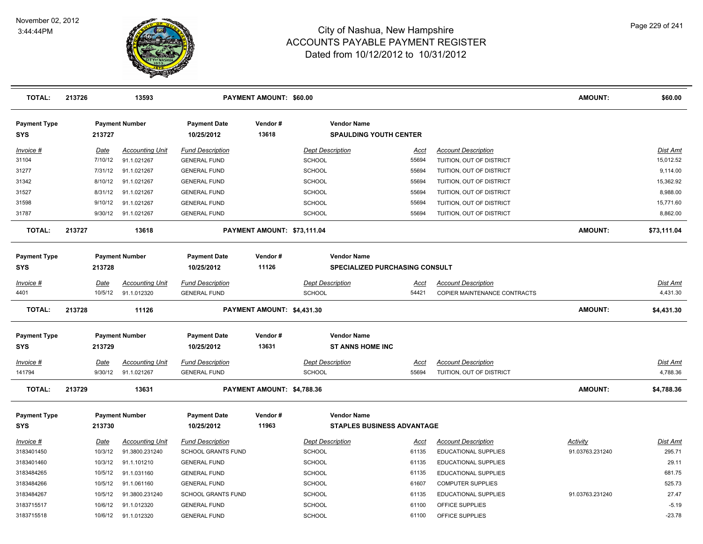

| <b>TOTAL:</b>                     | 213726 |                    | 13593                         |                                                  | <b>PAYMENT AMOUNT: \$60.00</b> |                                |                                                         |                |                                         | <b>AMOUNT:</b>              | \$60.00            |
|-----------------------------------|--------|--------------------|-------------------------------|--------------------------------------------------|--------------------------------|--------------------------------|---------------------------------------------------------|----------------|-----------------------------------------|-----------------------------|--------------------|
| <b>Payment Type</b><br><b>SYS</b> |        | 213727             | <b>Payment Number</b>         | <b>Payment Date</b><br>10/25/2012                | Vendor#<br>13618               |                                | <b>Vendor Name</b><br><b>SPAULDING YOUTH CENTER</b>     |                |                                         |                             |                    |
| Invoice #                         |        | Date               | <b>Accounting Unit</b>        | <b>Fund Description</b>                          |                                | <b>Dept Description</b>        |                                                         | <u>Acct</u>    | <b>Account Description</b>              |                             | Dist Amt           |
| 31104                             |        | 7/10/12            | 91.1.021267                   | <b>GENERAL FUND</b>                              |                                | <b>SCHOOL</b>                  |                                                         | 55694          | TUITION, OUT OF DISTRICT                |                             | 15,012.52          |
| 31277                             |        | 7/31/12            | 91.1.021267                   | <b>GENERAL FUND</b>                              |                                | <b>SCHOOL</b>                  |                                                         | 55694          | TUITION, OUT OF DISTRICT                |                             | 9,114.00           |
| 31342                             |        | 8/10/12            | 91.1.021267                   | <b>GENERAL FUND</b>                              |                                | <b>SCHOOL</b>                  |                                                         | 55694          | TUITION, OUT OF DISTRICT                |                             | 15,362.92          |
| 31527                             |        | 8/31/12            | 91.1.021267                   | <b>GENERAL FUND</b>                              |                                | <b>SCHOOL</b>                  |                                                         | 55694          | TUITION, OUT OF DISTRICT                |                             | 8,988.00           |
| 31598                             |        | 9/10/12            | 91.1.021267                   | <b>GENERAL FUND</b>                              |                                | <b>SCHOOL</b>                  |                                                         | 55694          | TUITION, OUT OF DISTRICT                |                             | 15,771.60          |
| 31787                             |        | 9/30/12            | 91.1.021267                   | <b>GENERAL FUND</b>                              |                                | <b>SCHOOL</b>                  |                                                         | 55694          | TUITION, OUT OF DISTRICT                |                             | 8,862.00           |
| <b>TOTAL:</b>                     | 213727 |                    | 13618                         |                                                  | PAYMENT AMOUNT: \$73,111.04    |                                |                                                         |                |                                         | <b>AMOUNT:</b>              | \$73,111.04        |
| <b>Payment Type</b><br><b>SYS</b> |        | 213728             | <b>Payment Number</b>         | <b>Payment Date</b><br>10/25/2012                | Vendor#<br>11126               |                                | <b>Vendor Name</b><br>SPECIALIZED PURCHASING CONSULT    |                |                                         |                             |                    |
| Invoice #                         |        | Date               | <b>Accounting Unit</b>        | <b>Fund Description</b>                          |                                | <b>Dept Description</b>        |                                                         | Acct           | <b>Account Description</b>              |                             | Dist Amt           |
| 4401                              |        | 10/5/12            | 91.1.012320                   | <b>GENERAL FUND</b>                              |                                | <b>SCHOOL</b>                  |                                                         | 54421          | COPIER MAINTENANCE CONTRACTS            |                             | 4,431.30           |
| <b>TOTAL:</b>                     | 213728 |                    | 11126                         |                                                  | PAYMENT AMOUNT: \$4,431.30     |                                |                                                         |                |                                         | <b>AMOUNT:</b>              | \$4,431.30         |
| <b>Payment Type</b><br><b>SYS</b> |        | 213729             | <b>Payment Number</b>         | <b>Payment Date</b><br>10/25/2012                | Vendor#<br>13631               |                                | <b>Vendor Name</b><br><b>ST ANNS HOME INC</b>           |                |                                         |                             |                    |
| $Invoice$ #                       |        | <u>Date</u>        | <b>Accounting Unit</b>        | <b>Fund Description</b>                          |                                | <b>Dept Description</b>        |                                                         | <u>Acct</u>    | <b>Account Description</b>              |                             | <u>Dist Amt</u>    |
| 141794                            |        | 9/30/12            | 91.1.021267                   | <b>GENERAL FUND</b>                              |                                | <b>SCHOOL</b>                  |                                                         | 55694          | TUITION, OUT OF DISTRICT                |                             | 4,788.36           |
| <b>TOTAL:</b>                     | 213729 |                    | 13631                         |                                                  | PAYMENT AMOUNT: \$4,788.36     |                                |                                                         |                |                                         | <b>AMOUNT:</b>              | \$4,788.36         |
| <b>Payment Type</b><br><b>SYS</b> |        | 213730             | <b>Payment Number</b>         | <b>Payment Date</b><br>10/25/2012                | Vendor#<br>11963               |                                | <b>Vendor Name</b><br><b>STAPLES BUSINESS ADVANTAGE</b> |                |                                         |                             |                    |
|                                   |        |                    |                               |                                                  |                                |                                |                                                         |                |                                         |                             |                    |
| Invoice #<br>3183401450           |        | Date<br>10/3/12    | <b>Accounting Unit</b>        | <b>Fund Description</b>                          |                                | <b>Dept Description</b>        |                                                         | Acct           | <b>Account Description</b>              | Activity<br>91.03763.231240 | Dist Amt<br>295.71 |
|                                   |        |                    | 91.3800.231240                | <b>SCHOOL GRANTS FUND</b>                        |                                | SCHOOL                         |                                                         | 61135          | EDUCATIONAL SUPPLIES                    |                             | 29.11              |
| 3183401460<br>3183484265          |        | 10/3/12<br>10/5/12 | 91.1.101210                   | <b>GENERAL FUND</b>                              |                                | SCHOOL                         |                                                         | 61135          | EDUCATIONAL SUPPLIES                    |                             | 681.75             |
| 3183484266                        |        | 10/5/12            | 91.1.031160                   | <b>GENERAL FUND</b>                              |                                | <b>SCHOOL</b>                  |                                                         | 61135<br>61607 | EDUCATIONAL SUPPLIES                    |                             | 525.73             |
| 3183484267                        |        | 10/5/12            | 91.1.061160                   | <b>GENERAL FUND</b>                              |                                | <b>SCHOOL</b>                  |                                                         |                | <b>COMPUTER SUPPLIES</b>                | 91.03763.231240             | 27.47              |
| 3183715517                        |        | 10/6/12            | 91.3800.231240<br>91.1.012320 | <b>SCHOOL GRANTS FUND</b><br><b>GENERAL FUND</b> |                                | <b>SCHOOL</b><br><b>SCHOOL</b> |                                                         | 61135<br>61100 | EDUCATIONAL SUPPLIES<br>OFFICE SUPPLIES |                             | $-5.19$            |
| 3183715518                        |        | 10/6/12            | 91.1.012320                   | <b>GENERAL FUND</b>                              |                                | <b>SCHOOL</b>                  |                                                         | 61100          | OFFICE SUPPLIES                         |                             | $-23.78$           |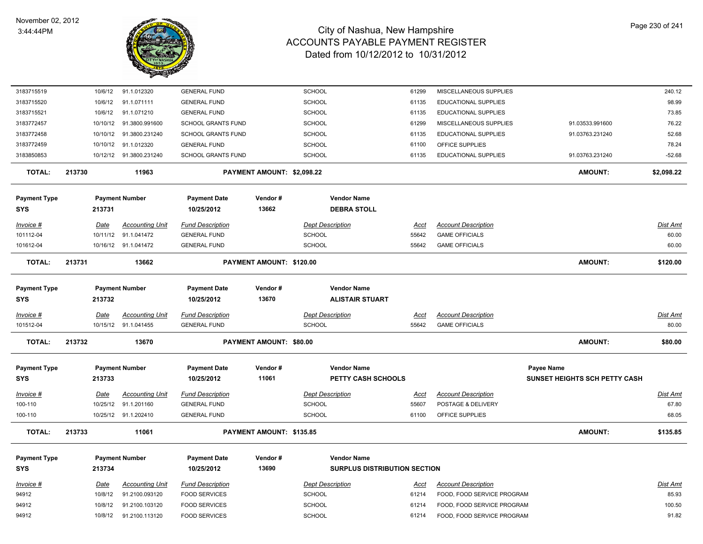

| 3183715519                        | 10/6/12  | 91.1.012320             | <b>GENERAL FUND</b>               |                            | <b>SCHOOL</b>                                | 61299       | MISCELLANEOUS SUPPLIES     |                               | 240.12          |
|-----------------------------------|----------|-------------------------|-----------------------------------|----------------------------|----------------------------------------------|-------------|----------------------------|-------------------------------|-----------------|
| 3183715520                        | 10/6/12  | 91.1.071111             | <b>GENERAL FUND</b>               |                            | SCHOOL                                       | 61135       | EDUCATIONAL SUPPLIES       |                               | 98.99           |
| 3183715521                        | 10/6/12  | 91.1.071210             | <b>GENERAL FUND</b>               |                            | <b>SCHOOL</b>                                | 61135       | EDUCATIONAL SUPPLIES       |                               | 73.85           |
| 3183772457                        | 10/10/12 | 91.3800.991600          | <b>SCHOOL GRANTS FUND</b>         |                            | <b>SCHOOL</b>                                | 61299       | MISCELLANEOUS SUPPLIES     | 91.03533.991600               | 76.22           |
| 3183772458                        | 10/10/12 | 91.3800.231240          | SCHOOL GRANTS FUND                |                            | <b>SCHOOL</b>                                | 61135       | EDUCATIONAL SUPPLIES       | 91.03763.231240               | 52.68           |
| 3183772459                        | 10/10/12 | 91.1.012320             | <b>GENERAL FUND</b>               |                            | <b>SCHOOL</b>                                | 61100       | OFFICE SUPPLIES            |                               | 78.24           |
| 3183850853                        |          | 10/12/12 91.3800.231240 | <b>SCHOOL GRANTS FUND</b>         |                            | SCHOOL                                       | 61135       | EDUCATIONAL SUPPLIES       | 91.03763.231240               | $-52.68$        |
| <b>TOTAL:</b>                     | 213730   | 11963                   |                                   | PAYMENT AMOUNT: \$2,098.22 |                                              |             |                            | <b>AMOUNT:</b>                | \$2,098.22      |
| Payment Type<br>SYS               | 213731   | <b>Payment Number</b>   | <b>Payment Date</b><br>10/25/2012 | Vendor#<br>13662           | <b>Vendor Name</b><br><b>DEBRA STOLL</b>     |             |                            |                               |                 |
| Invoice #                         | Date     | <b>Accounting Unit</b>  | Fund Description                  |                            | <b>Dept Description</b>                      | Acct        | <b>Account Description</b> |                               | Dist Amt        |
| 101112-04                         | 10/11/12 | 91.1.041472             | <b>GENERAL FUND</b>               |                            | SCHOOL                                       | 55642       | <b>GAME OFFICIALS</b>      |                               | 60.00           |
| 101612-04                         |          | 10/16/12 91.1.041472    | <b>GENERAL FUND</b>               |                            | SCHOOL                                       | 55642       | <b>GAME OFFICIALS</b>      |                               | 60.00           |
| <b>TOTAL:</b>                     | 213731   | 13662                   |                                   | PAYMENT AMOUNT: \$120.00   |                                              |             |                            | <b>AMOUNT:</b>                | \$120.00        |
| <b>Payment Type</b><br><b>SYS</b> | 213732   | <b>Payment Number</b>   | <b>Payment Date</b><br>10/25/2012 | Vendor#<br>13670           | <b>Vendor Name</b><br><b>ALISTAIR STUART</b> |             |                            |                               |                 |
| Invoice #                         | Date     | <b>Accounting Unit</b>  | <b>Fund Description</b>           |                            | <b>Dept Description</b>                      | Acct        | <b>Account Description</b> |                               | <u>Dist Amt</u> |
| 101512-04                         |          | 10/15/12 91.1.041455    | <b>GENERAL FUND</b>               |                            | SCHOOL                                       | 55642       | <b>GAME OFFICIALS</b>      |                               | 80.00           |
| <b>TOTAL:</b>                     | 213732   | 13670                   |                                   | PAYMENT AMOUNT: \$80.00    |                                              |             |                            | <b>AMOUNT:</b>                | \$80.00         |
| <b>Payment Type</b>               |          | <b>Payment Number</b>   | <b>Payment Date</b>               | Vendor#                    | <b>Vendor Name</b>                           |             |                            | Payee Name                    |                 |
| SYS                               | 213733   |                         | 10/25/2012                        | 11061                      | PETTY CASH SCHOOLS                           |             |                            | SUNSET HEIGHTS SCH PETTY CASH |                 |
| <u>Invoice #</u>                  | Date     | <b>Accounting Unit</b>  | <b>Fund Description</b>           |                            | <b>Dept Description</b>                      | <u>Acct</u> | <b>Account Description</b> |                               | <u>Dist Amt</u> |
| 100-110                           | 10/25/12 | 91.1.201160             | <b>GENERAL FUND</b>               |                            | <b>SCHOOL</b>                                | 55607       | POSTAGE & DELIVERY         |                               | 67.80           |
| 100-110                           | 10/25/12 | 91.1.202410             | <b>GENERAL FUND</b>               |                            | SCHOOL                                       | 61100       | OFFICE SUPPLIES            |                               | 68.05           |
| <b>TOTAL:</b>                     | 213733   | 11061                   |                                   | PAYMENT AMOUNT: \$135.85   |                                              |             |                            | <b>AMOUNT:</b>                | \$135.85        |
| Payment Type                      |          | <b>Payment Number</b>   | <b>Payment Date</b>               | Vendor#                    | <b>Vendor Name</b>                           |             |                            |                               |                 |
| <b>SYS</b>                        | 213734   |                         | 10/25/2012                        | 13690                      | <b>SURPLUS DISTRIBUTION SECTION</b>          |             |                            |                               |                 |
| Invoice #                         | Date     | <b>Accounting Unit</b>  | <b>Fund Description</b>           |                            | <b>Dept Description</b>                      | <u>Acct</u> | <b>Account Description</b> |                               | Dist Amt        |
| 94912                             | 10/8/12  | 91.2100.093120          | <b>FOOD SERVICES</b>              |                            | <b>SCHOOL</b>                                | 61214       | FOOD, FOOD SERVICE PROGRAM |                               | 85.93           |
| 94912                             | 10/8/12  | 91.2100.103120          | <b>FOOD SERVICES</b>              |                            | <b>SCHOOL</b>                                | 61214       | FOOD, FOOD SERVICE PROGRAM |                               | 100.50          |
| 94912                             | 10/8/12  | 91.2100.113120          | <b>FOOD SERVICES</b>              |                            | SCHOOL                                       | 61214       | FOOD, FOOD SERVICE PROGRAM |                               | 91.82           |
|                                   |          |                         |                                   |                            |                                              |             |                            |                               |                 |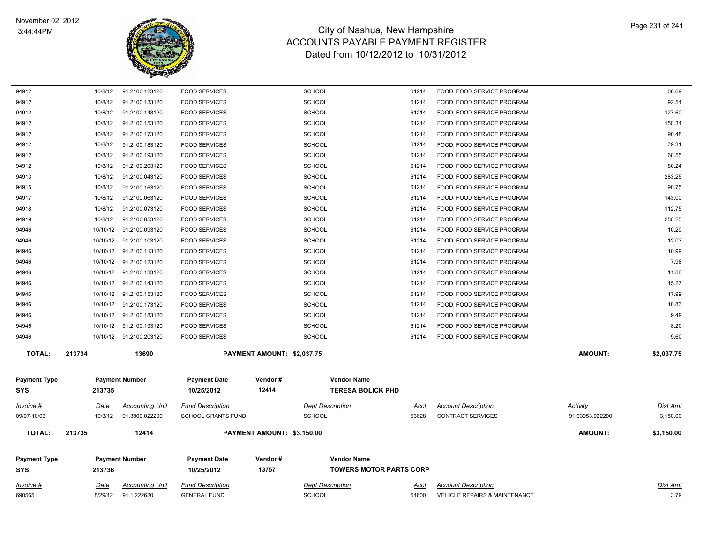

| 94912               | 10/8/12         | 91.2100.143120                        | <b>FOOD SERVICES</b>                           |                            | <b>SCHOOL</b>                            | 61214                          | FOOD, FOOD SERVICE PROGRAM                                             |                 | 127.60           |
|---------------------|-----------------|---------------------------------------|------------------------------------------------|----------------------------|------------------------------------------|--------------------------------|------------------------------------------------------------------------|-----------------|------------------|
| 94912               | 10/8/12         | 91.2100.153120                        | <b>FOOD SERVICES</b>                           |                            | <b>SCHOOL</b>                            | 61214                          | FOOD, FOOD SERVICE PROGRAM                                             |                 | 150.34           |
| 94912               | 10/8/12         | 91.2100.173120                        | <b>FOOD SERVICES</b>                           |                            | SCHOOL                                   | 61214                          | FOOD, FOOD SERVICE PROGRAM                                             |                 | 90.48            |
| 94912               | 10/8/12         | 91.2100.183120                        | <b>FOOD SERVICES</b>                           |                            | SCHOOL                                   | 61214                          | FOOD, FOOD SERVICE PROGRAM                                             |                 | 79.31            |
| 94912               | 10/8/12         | 91.2100.193120                        | <b>FOOD SERVICES</b>                           |                            | <b>SCHOOL</b>                            | 61214                          | FOOD, FOOD SERVICE PROGRAM                                             |                 | 68.55            |
| 94912               | 10/8/12         | 91.2100.203120                        | <b>FOOD SERVICES</b>                           |                            | <b>SCHOOL</b>                            | 61214                          | FOOD, FOOD SERVICE PROGRAM                                             |                 | 80.24            |
| 94913               | 10/8/12         | 91.2100.043120                        | <b>FOOD SERVICES</b>                           |                            | <b>SCHOOL</b>                            | 61214                          | FOOD, FOOD SERVICE PROGRAM                                             |                 | 283.25           |
| 94915               | 10/8/12         | 91.2100.163120                        | <b>FOOD SERVICES</b>                           |                            | <b>SCHOOL</b>                            | 61214                          | FOOD, FOOD SERVICE PROGRAM                                             |                 | 90.75            |
| 94917               | 10/8/12         | 91.2100.063120                        | <b>FOOD SERVICES</b>                           |                            | <b>SCHOOL</b>                            | 61214                          | FOOD, FOOD SERVICE PROGRAM                                             |                 | 143.00           |
| 94918               | 10/8/12         | 91.2100.073120                        | <b>FOOD SERVICES</b>                           |                            | <b>SCHOOL</b>                            | 61214                          | FOOD, FOOD SERVICE PROGRAM                                             |                 | 112.75           |
| 94919               | 10/8/12         | 91.2100.053120                        | <b>FOOD SERVICES</b>                           |                            | <b>SCHOOL</b>                            | 61214                          | FOOD, FOOD SERVICE PROGRAM                                             |                 | 250.25           |
| 94946               | 10/10/12        | 91.2100.093120                        | <b>FOOD SERVICES</b>                           |                            | <b>SCHOOL</b>                            | 61214                          | FOOD, FOOD SERVICE PROGRAM                                             |                 | 10.29            |
| 94946               |                 | 10/10/12 91.2100.103120               | <b>FOOD SERVICES</b>                           |                            | SCHOOL                                   | 61214                          | FOOD, FOOD SERVICE PROGRAM                                             |                 | 12.03            |
| 94946               |                 | 10/10/12 91.2100.113120               | <b>FOOD SERVICES</b>                           |                            | <b>SCHOOL</b>                            | 61214                          | FOOD, FOOD SERVICE PROGRAM                                             |                 | 10.99            |
| 94946               |                 | 10/10/12 91.2100.123120               | <b>FOOD SERVICES</b>                           |                            | <b>SCHOOL</b>                            | 61214                          | FOOD, FOOD SERVICE PROGRAM                                             |                 | 7.98             |
| 94946               |                 | 10/10/12  91.2100.133120              | <b>FOOD SERVICES</b>                           |                            | <b>SCHOOL</b>                            | 61214                          | FOOD, FOOD SERVICE PROGRAM                                             |                 | 11.08            |
| 94946               |                 | 10/10/12 91.2100.143120               | <b>FOOD SERVICES</b>                           |                            | <b>SCHOOL</b>                            | 61214                          | FOOD, FOOD SERVICE PROGRAM                                             |                 | 15.27            |
| 94946               |                 | 10/10/12 91.2100.153120               | <b>FOOD SERVICES</b>                           |                            | SCHOOL                                   | 61214                          | FOOD, FOOD SERVICE PROGRAM                                             |                 | 17.99            |
| 94946               |                 | 10/10/12 91.2100.173120               | <b>FOOD SERVICES</b>                           |                            | SCHOOL                                   | 61214                          | FOOD, FOOD SERVICE PROGRAM                                             |                 | 10.83            |
| 94946               |                 | 10/10/12 91.2100.183120               | <b>FOOD SERVICES</b>                           |                            | <b>SCHOOL</b>                            | 61214                          | FOOD, FOOD SERVICE PROGRAM                                             |                 | 9.49             |
| 94946               |                 | 10/10/12 91.2100.193120               | <b>FOOD SERVICES</b>                           |                            | <b>SCHOOL</b>                            | 61214                          | FOOD, FOOD SERVICE PROGRAM                                             |                 | 8.20             |
| 94946               |                 | 10/10/12  91.2100.203120              | <b>FOOD SERVICES</b>                           |                            | <b>SCHOOL</b>                            | 61214                          | FOOD, FOOD SERVICE PROGRAM                                             |                 | 9.60             |
| <b>TOTAL:</b>       | 213734          | 13690                                 |                                                | PAYMENT AMOUNT: \$2,037.75 |                                          |                                |                                                                        | <b>AMOUNT:</b>  | \$2,037.75       |
|                     |                 |                                       |                                                |                            |                                          |                                |                                                                        |                 |                  |
| <b>Payment Type</b> |                 | <b>Payment Number</b>                 | <b>Payment Date</b>                            | Vendor#                    | <b>Vendor Name</b>                       |                                |                                                                        |                 |                  |
| <b>SYS</b>          | 213735          |                                       | 10/25/2012                                     | 12414                      |                                          | <b>TERESA BOLICK PHD</b>       |                                                                        |                 |                  |
| Invoice #           | <u>Date</u>     | <b>Accounting Unit</b>                | <b>Fund Description</b>                        |                            | <b>Dept Description</b>                  | Acct                           | <b>Account Description</b>                                             | Activity        | <b>Dist Amt</b>  |
| 09/07-10/03         | 10/3/12         | 91.3800.022200                        | <b>SCHOOL GRANTS FUND</b>                      |                            | <b>SCHOOL</b>                            | 53628                          | <b>CONTRACT SERVICES</b>                                               | 91.03953.022200 | 3,150.00         |
|                     |                 |                                       |                                                |                            |                                          |                                |                                                                        |                 |                  |
| <b>TOTAL:</b>       | 213735          | 12414                                 |                                                | PAYMENT AMOUNT: \$3,150.00 |                                          |                                |                                                                        | <b>AMOUNT:</b>  | \$3,150.00       |
| <b>Payment Type</b> |                 | <b>Payment Number</b>                 | <b>Payment Date</b>                            | Vendor#                    | <b>Vendor Name</b>                       |                                |                                                                        |                 |                  |
|                     | 213736          |                                       | 10/25/2012                                     | 13757                      |                                          | <b>TOWERS MOTOR PARTS CORP</b> |                                                                        |                 |                  |
| <b>SYS</b>          |                 |                                       |                                                |                            |                                          |                                |                                                                        |                 |                  |
|                     |                 |                                       |                                                |                            |                                          |                                |                                                                        |                 |                  |
| Invoice #<br>690565 | Date<br>8/29/12 | <b>Accounting Unit</b><br>91.1.222620 | <b>Fund Description</b><br><b>GENERAL FUND</b> |                            | <b>Dept Description</b><br><b>SCHOOL</b> | Acct<br>54600                  | <b>Account Description</b><br><b>VEHICLE REPAIRS &amp; MAINTENANCE</b> |                 | Dist Amt<br>3.79 |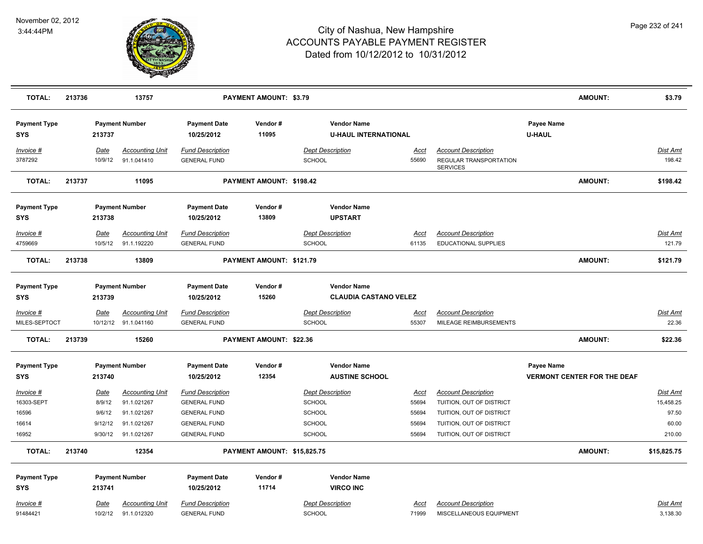

| <b>TOTAL:</b>                     | 213736 |                 | 13757                                          |                                                | PAYMENT AMOUNT: \$3.79      |                                                   |                      |                                                                                |                             | <b>AMOUNT:</b>                     | \$3.79                    |
|-----------------------------------|--------|-----------------|------------------------------------------------|------------------------------------------------|-----------------------------|---------------------------------------------------|----------------------|--------------------------------------------------------------------------------|-----------------------------|------------------------------------|---------------------------|
| <b>Payment Type</b><br><b>SYS</b> |        | 213737          | <b>Payment Number</b>                          | <b>Payment Date</b><br>10/25/2012              | Vendor#<br>11095            | <b>Vendor Name</b><br><b>U-HAUL INTERNATIONAL</b> |                      |                                                                                | Payee Name<br><b>U-HAUL</b> |                                    |                           |
| Invoice #<br>3787292              |        | Date<br>10/9/12 | <b>Accounting Unit</b><br>91.1.041410          | <b>Fund Description</b><br><b>GENERAL FUND</b> |                             | <b>Dept Description</b><br><b>SCHOOL</b>          | <u>Acct</u><br>55690 | <b>Account Description</b><br><b>REGULAR TRANSPORTATION</b><br><b>SERVICES</b> |                             |                                    | <b>Dist Amt</b><br>198.42 |
| <b>TOTAL:</b>                     | 213737 |                 | 11095                                          |                                                | PAYMENT AMOUNT: \$198.42    |                                                   |                      |                                                                                |                             | <b>AMOUNT:</b>                     | \$198.42                  |
| <b>Payment Type</b>               |        |                 | <b>Payment Number</b>                          | <b>Payment Date</b>                            | Vendor#                     | <b>Vendor Name</b>                                |                      |                                                                                |                             |                                    |                           |
| <b>SYS</b>                        |        | 213738          |                                                | 10/25/2012                                     | 13809                       | <b>UPSTART</b>                                    |                      |                                                                                |                             |                                    |                           |
| <u>Invoice #</u><br>4759669       |        | Date<br>10/5/12 | <b>Accounting Unit</b><br>91.1.192220          | <b>Fund Description</b><br><b>GENERAL FUND</b> |                             | <b>Dept Description</b><br>SCHOOL                 | <u>Acct</u><br>61135 | <b>Account Description</b><br>EDUCATIONAL SUPPLIES                             |                             |                                    | <b>Dist Amt</b><br>121.79 |
| <b>TOTAL:</b>                     | 213738 |                 | 13809                                          |                                                | PAYMENT AMOUNT: \$121.79    |                                                   |                      |                                                                                |                             | <b>AMOUNT:</b>                     | \$121.79                  |
| <b>Payment Type</b>               |        |                 | <b>Payment Number</b>                          | <b>Payment Date</b>                            | Vendor#                     | <b>Vendor Name</b>                                |                      |                                                                                |                             |                                    |                           |
| <b>SYS</b>                        |        | 213739          |                                                | 10/25/2012                                     | 15260                       | <b>CLAUDIA CASTANO VELEZ</b>                      |                      |                                                                                |                             |                                    |                           |
| Invoice #<br>MILES-SEPTOCT        |        | Date            | <b>Accounting Unit</b><br>10/12/12 91.1.041160 | <b>Fund Description</b><br><b>GENERAL FUND</b> |                             | <b>Dept Description</b><br><b>SCHOOL</b>          | Acct<br>55307        | <b>Account Description</b><br>MILEAGE REIMBURSEMENTS                           |                             |                                    | Dist Amt<br>22.36         |
| <b>TOTAL:</b>                     | 213739 |                 | 15260                                          |                                                | PAYMENT AMOUNT: \$22.36     |                                                   |                      |                                                                                |                             | <b>AMOUNT:</b>                     | \$22.36                   |
| <b>Payment Type</b><br><b>SYS</b> |        | 213740          | <b>Payment Number</b>                          | <b>Payment Date</b><br>10/25/2012              | Vendor#<br>12354            | <b>Vendor Name</b><br><b>AUSTINE SCHOOL</b>       |                      |                                                                                | <b>Payee Name</b>           | <b>VERMONT CENTER FOR THE DEAF</b> |                           |
| Invoice #                         |        | Date            | <b>Accounting Unit</b>                         | <b>Fund Description</b>                        |                             | <b>Dept Description</b>                           | Acct                 | <b>Account Description</b>                                                     |                             |                                    | <b>Dist Amt</b>           |
| 16303-SEPT                        |        | 8/9/12          | 91.1.021267                                    | <b>GENERAL FUND</b>                            |                             | SCHOOL                                            | 55694                | TUITION, OUT OF DISTRICT                                                       |                             |                                    | 15,458.25                 |
| 16596                             |        | 9/6/12          | 91.1.021267                                    | <b>GENERAL FUND</b>                            |                             | <b>SCHOOL</b>                                     | 55694                | TUITION, OUT OF DISTRICT                                                       |                             |                                    | 97.50                     |
| 16614                             |        | 9/12/12         | 91.1.021267                                    | <b>GENERAL FUND</b>                            |                             | <b>SCHOOL</b>                                     | 55694                | TUITION, OUT OF DISTRICT                                                       |                             |                                    | 60.00                     |
| 16952                             |        | 9/30/12         | 91.1.021267                                    | <b>GENERAL FUND</b>                            |                             | <b>SCHOOL</b>                                     | 55694                | TUITION, OUT OF DISTRICT                                                       |                             |                                    | 210.00                    |
| <b>TOTAL:</b>                     | 213740 |                 | 12354                                          |                                                | PAYMENT AMOUNT: \$15,825.75 |                                                   |                      |                                                                                |                             | AMOUNT:                            | \$15,825.75               |
| <b>Payment Type</b>               |        |                 | <b>Payment Number</b>                          | <b>Payment Date</b>                            | Vendor#                     | <b>Vendor Name</b>                                |                      |                                                                                |                             |                                    |                           |
| SYS                               |        | 213741          |                                                | 10/25/2012                                     | 11714                       | <b>VIRCO INC</b>                                  |                      |                                                                                |                             |                                    |                           |
| Invoice #<br>91484421             |        | Date<br>10/2/12 | <b>Accounting Unit</b><br>91.1.012320          | <b>Fund Description</b><br><b>GENERAL FUND</b> |                             | <b>Dept Description</b><br><b>SCHOOL</b>          | Acct<br>71999        | <b>Account Description</b><br>MISCELLANEOUS EQUIPMENT                          |                             |                                    | Dist Amt<br>3,138.30      |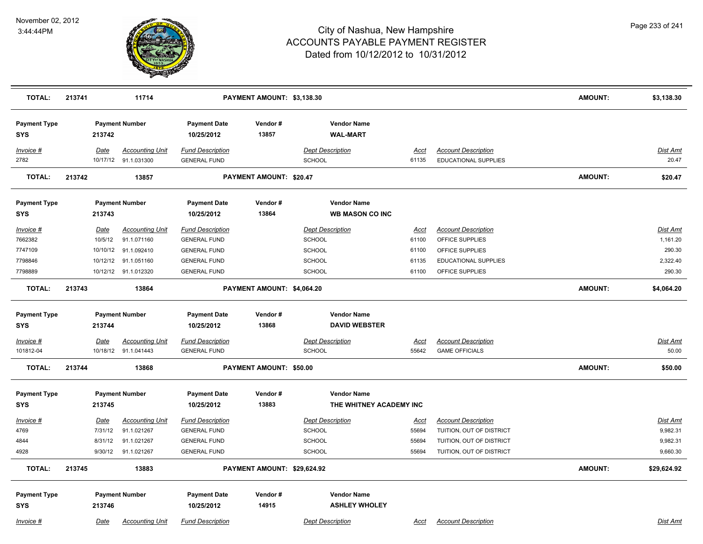

| <b>TOTAL:</b>                     | 213741   | 11714                  |                                   | PAYMENT AMOUNT: \$3,138.30  |                                              |             |                            | <b>AMOUNT:</b> | \$3,138.30      |
|-----------------------------------|----------|------------------------|-----------------------------------|-----------------------------|----------------------------------------------|-------------|----------------------------|----------------|-----------------|
| <b>Payment Type</b><br><b>SYS</b> | 213742   | <b>Payment Number</b>  | <b>Payment Date</b><br>10/25/2012 | Vendor#<br>13857            | <b>Vendor Name</b><br><b>WAL-MART</b>        |             |                            |                |                 |
| Invoice #                         | Date     | <b>Accounting Unit</b> | <b>Fund Description</b>           |                             | <b>Dept Description</b>                      | Acct        | <b>Account Description</b> |                | Dist Amt        |
| 2782                              |          | 10/17/12 91.1.031300   | <b>GENERAL FUND</b>               |                             | SCHOOL                                       | 61135       | EDUCATIONAL SUPPLIES       |                | 20.47           |
| <b>TOTAL:</b>                     | 213742   | 13857                  |                                   | PAYMENT AMOUNT: \$20.47     |                                              |             |                            | <b>AMOUNT:</b> | \$20.47         |
| <b>Payment Type</b><br><b>SYS</b> | 213743   | <b>Payment Number</b>  | <b>Payment Date</b><br>10/25/2012 | Vendor#<br>13864            | <b>Vendor Name</b><br><b>WB MASON CO INC</b> |             |                            |                |                 |
| Invoice #                         | Date     | <b>Accounting Unit</b> | <b>Fund Description</b>           |                             | <b>Dept Description</b>                      | <u>Acct</u> | <b>Account Description</b> |                | <b>Dist Amt</b> |
| 7662382                           | 10/5/12  | 91.1.071160            | <b>GENERAL FUND</b>               |                             | <b>SCHOOL</b>                                | 61100       | OFFICE SUPPLIES            |                | 1,161.20        |
| 7747109                           | 10/10/12 | 91.1.092410            | <b>GENERAL FUND</b>               |                             | <b>SCHOOL</b>                                | 61100       | OFFICE SUPPLIES            |                | 290.30          |
| 7798846                           | 10/12/12 | 91.1.051160            | <b>GENERAL FUND</b>               |                             | SCHOOL                                       | 61135       | EDUCATIONAL SUPPLIES       |                | 2,322.40        |
| 7798889                           |          | 10/12/12 91.1.012320   | <b>GENERAL FUND</b>               |                             | <b>SCHOOL</b>                                | 61100       | OFFICE SUPPLIES            |                | 290.30          |
| <b>TOTAL:</b>                     | 213743   | 13864                  |                                   | PAYMENT AMOUNT: \$4,064.20  |                                              |             |                            | <b>AMOUNT:</b> | \$4,064.20      |
| <b>Payment Type</b><br>SYS        | 213744   | <b>Payment Number</b>  | <b>Payment Date</b><br>10/25/2012 | Vendor#<br>13868            | <b>Vendor Name</b><br><b>DAVID WEBSTER</b>   |             |                            |                |                 |
| Invoice #                         | Date     | <b>Accounting Unit</b> | <b>Fund Description</b>           |                             | <b>Dept Description</b>                      | <u>Acct</u> | <b>Account Description</b> |                | <b>Dist Amt</b> |
| 101812-04                         |          | 10/18/12 91.1.041443   | <b>GENERAL FUND</b>               |                             | <b>SCHOOL</b>                                | 55642       | <b>GAME OFFICIALS</b>      |                | 50.00           |
| <b>TOTAL:</b>                     | 213744   | 13868                  |                                   | PAYMENT AMOUNT: \$50.00     |                                              |             |                            | <b>AMOUNT:</b> | \$50.00         |
| <b>Payment Type</b>               |          | <b>Payment Number</b>  | <b>Payment Date</b>               | Vendor#                     | <b>Vendor Name</b>                           |             |                            |                |                 |
| <b>SYS</b>                        | 213745   |                        | 10/25/2012                        | 13883                       | THE WHITNEY ACADEMY INC                      |             |                            |                |                 |
| Invoice #                         | Date     | <b>Accounting Unit</b> | <b>Fund Description</b>           |                             | <b>Dept Description</b>                      | <u>Acct</u> | <b>Account Description</b> |                | Dist Amt        |
| 4769                              | 7/31/12  | 91.1.021267            | <b>GENERAL FUND</b>               |                             | SCHOOL                                       | 55694       | TUITION, OUT OF DISTRICT   |                | 9,982.31        |
| 4844                              | 8/31/12  | 91.1.021267            | <b>GENERAL FUND</b>               |                             | SCHOOL                                       | 55694       | TUITION, OUT OF DISTRICT   |                | 9,982.31        |
| 4928                              | 9/30/12  | 91.1.021267            | <b>GENERAL FUND</b>               |                             | SCHOOL                                       | 55694       | TUITION, OUT OF DISTRICT   |                | 9,660.30        |
| TOTAL:                            | 213745   | 13883                  |                                   | PAYMENT AMOUNT: \$29,624.92 |                                              |             |                            | <b>AMOUNT:</b> | \$29,624.92     |
| <b>Payment Type</b><br><b>SYS</b> | 213746   | <b>Payment Number</b>  | <b>Payment Date</b><br>10/25/2012 | Vendor#<br>14915            | <b>Vendor Name</b><br><b>ASHLEY WHOLEY</b>   |             |                            |                |                 |
| Invoice #                         | Date     | <b>Accounting Unit</b> | <b>Fund Description</b>           |                             | <b>Dept Description</b>                      | Acct        | <b>Account Description</b> |                | Dist Amt        |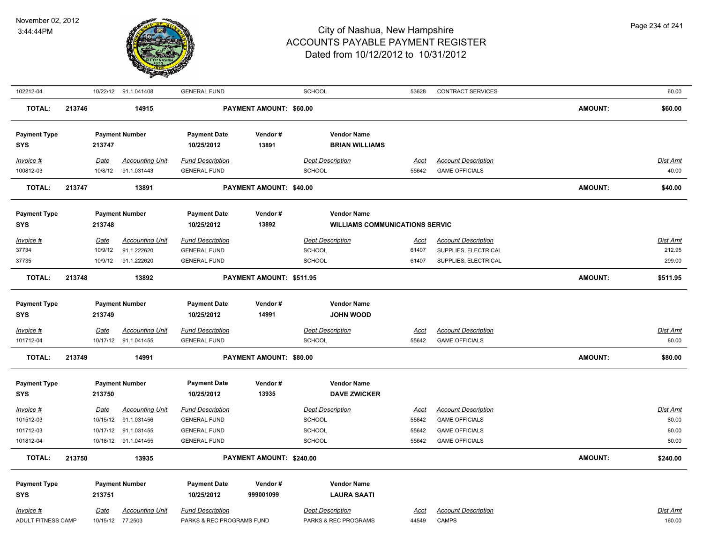

| 102212-04                         |        |             | 10/22/12 91.1.041408   | <b>GENERAL FUND</b>               |                          | SCHOOL                                    | 53628       | CONTRACT SERVICES          |                | 60.00           |
|-----------------------------------|--------|-------------|------------------------|-----------------------------------|--------------------------|-------------------------------------------|-------------|----------------------------|----------------|-----------------|
| <b>TOTAL:</b>                     | 213746 |             | 14915                  |                                   | PAYMENT AMOUNT: \$60.00  |                                           |             |                            | <b>AMOUNT:</b> | \$60.00         |
| <b>Payment Type</b>               |        |             | <b>Payment Number</b>  | <b>Payment Date</b>               | Vendor#                  | <b>Vendor Name</b>                        |             |                            |                |                 |
| <b>SYS</b>                        |        | 213747      |                        | 10/25/2012                        | 13891                    | <b>BRIAN WILLIAMS</b>                     |             |                            |                |                 |
| $Invoice$ #                       |        | Date        | <b>Accounting Unit</b> | <b>Fund Description</b>           |                          | <b>Dept Description</b>                   | <u>Acct</u> | <b>Account Description</b> |                | Dist Amt        |
| 100812-03                         |        | 10/8/12     | 91.1.031443            | <b>GENERAL FUND</b>               |                          | <b>SCHOOL</b>                             | 55642       | <b>GAME OFFICIALS</b>      |                | 40.00           |
| <b>TOTAL:</b>                     | 213747 |             | 13891                  |                                   | PAYMENT AMOUNT: \$40.00  |                                           |             |                            | <b>AMOUNT:</b> | \$40.00         |
|                                   |        |             |                        |                                   |                          |                                           |             |                            |                |                 |
| <b>Payment Type</b>               |        |             | <b>Payment Number</b>  | <b>Payment Date</b>               | Vendor#                  | <b>Vendor Name</b>                        |             |                            |                |                 |
| <b>SYS</b>                        |        | 213748      |                        | 10/25/2012                        | 13892                    | <b>WILLIAMS COMMUNICATIONS SERVIC</b>     |             |                            |                |                 |
| Invoice #                         |        | Date        | <b>Accounting Unit</b> | <b>Fund Description</b>           |                          | <b>Dept Description</b>                   | Acct        | <b>Account Description</b> |                | <b>Dist Amt</b> |
| 37734                             |        | 10/9/12     | 91.1.222620            | <b>GENERAL FUND</b>               |                          | <b>SCHOOL</b>                             | 61407       | SUPPLIES, ELECTRICAL       |                | 212.95          |
| 37735                             |        | 10/9/12     | 91.1.222620            | <b>GENERAL FUND</b>               |                          | <b>SCHOOL</b>                             | 61407       | SUPPLIES, ELECTRICAL       |                | 299.00          |
| <b>TOTAL:</b>                     | 213748 |             | 13892                  |                                   | PAYMENT AMOUNT: \$511.95 |                                           |             |                            | <b>AMOUNT:</b> | \$511.95        |
| <b>Payment Type</b>               |        |             | <b>Payment Number</b>  | <b>Payment Date</b>               | Vendor#                  | <b>Vendor Name</b>                        |             |                            |                |                 |
| <b>SYS</b>                        |        | 213749      |                        | 10/25/2012                        | 14991                    | <b>JOHN WOOD</b>                          |             |                            |                |                 |
| Invoice #                         |        | <b>Date</b> | <b>Accounting Unit</b> | <b>Fund Description</b>           |                          | <b>Dept Description</b>                   | <u>Acct</u> | <b>Account Description</b> |                | Dist Amt        |
| 101712-04                         |        |             | 10/17/12 91.1.041455   | <b>GENERAL FUND</b>               |                          | <b>SCHOOL</b>                             | 55642       | <b>GAME OFFICIALS</b>      |                | 80.00           |
| <b>TOTAL:</b>                     | 213749 |             | 14991                  |                                   | PAYMENT AMOUNT: \$80.00  |                                           |             |                            | <b>AMOUNT:</b> | \$80.00         |
|                                   |        |             |                        |                                   |                          |                                           |             |                            |                |                 |
| <b>Payment Type</b><br><b>SYS</b> |        | 213750      | <b>Payment Number</b>  | <b>Payment Date</b><br>10/25/2012 | Vendor#<br>13935         | <b>Vendor Name</b><br><b>DAVE ZWICKER</b> |             |                            |                |                 |
| $Invoice$ #                       |        | Date        | <b>Accounting Unit</b> | <b>Fund Description</b>           |                          | <b>Dept Description</b>                   | <u>Acct</u> | <b>Account Description</b> |                | <b>Dist Amt</b> |
| 101512-03                         |        | 10/15/12    | 91.1.031456            | <b>GENERAL FUND</b>               |                          | <b>SCHOOL</b>                             | 55642       | <b>GAME OFFICIALS</b>      |                | 80.00           |
| 101712-03                         |        |             | 10/17/12 91.1.031455   | <b>GENERAL FUND</b>               |                          | <b>SCHOOL</b>                             | 55642       | <b>GAME OFFICIALS</b>      |                | 80.00           |
| 101812-04                         |        |             | 10/18/12 91.1.041455   | <b>GENERAL FUND</b>               |                          | <b>SCHOOL</b>                             | 55642       | <b>GAME OFFICIALS</b>      |                | 80.00           |
| <b>TOTAL:</b>                     | 213750 |             | 13935                  |                                   | PAYMENT AMOUNT: \$240.00 |                                           |             |                            | <b>AMOUNT:</b> | \$240.00        |
| <b>Payment Type</b>               |        |             | <b>Payment Number</b>  | <b>Payment Date</b>               | Vendor#                  | <b>Vendor Name</b>                        |             |                            |                |                 |
| <b>SYS</b>                        |        | 213751      |                        | 10/25/2012                        | 999001099                | <b>LAURA SAATI</b>                        |             |                            |                |                 |
| $Invoice$ #                       |        | Date        | <b>Accounting Unit</b> | <b>Fund Description</b>           |                          | <b>Dept Description</b>                   | <u>Acct</u> | <b>Account Description</b> |                | <b>Dist Amt</b> |
| ADULT FITNESS CAMP                |        | 10/15/12    | 77.2503                | PARKS & REC PROGRAMS FUND         |                          | PARKS & REC PROGRAMS                      | 44549       | <b>CAMPS</b>               |                | 160.00          |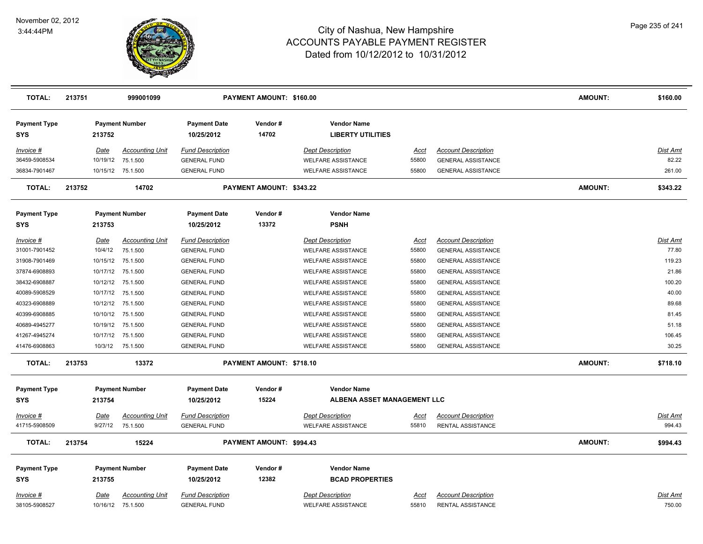

| <b>TOTAL:</b>              | 213751 |             | 999001099              |                                   | PAYMENT AMOUNT: \$160.00 |                                                |             |                            | <b>AMOUNT:</b> | \$160.00        |
|----------------------------|--------|-------------|------------------------|-----------------------------------|--------------------------|------------------------------------------------|-------------|----------------------------|----------------|-----------------|
| <b>Payment Type</b><br>SYS |        | 213752      | <b>Payment Number</b>  | <b>Payment Date</b><br>10/25/2012 | Vendor#<br>14702         | <b>Vendor Name</b><br><b>LIBERTY UTILITIES</b> |             |                            |                |                 |
| Invoice #                  |        | Date        | <b>Accounting Unit</b> | <b>Fund Description</b>           |                          | <b>Dept Description</b>                        | Acct        | <b>Account Description</b> |                | Dist Amt        |
| 36459-5908534              |        | 10/19/12    | 75.1.500               | <b>GENERAL FUND</b>               |                          | <b>WELFARE ASSISTANCE</b>                      | 55800       | <b>GENERAL ASSISTANCE</b>  |                | 82.22           |
| 36834-7901467              |        |             | 10/15/12 75.1.500      | <b>GENERAL FUND</b>               |                          | <b>WELFARE ASSISTANCE</b>                      | 55800       | <b>GENERAL ASSISTANCE</b>  |                | 261.00          |
| <b>TOTAL:</b>              | 213752 |             | 14702                  |                                   | PAYMENT AMOUNT: \$343.22 |                                                |             |                            | AMOUNT:        | \$343.22        |
| <b>Payment Type</b>        |        |             | <b>Payment Number</b>  | <b>Payment Date</b>               | Vendor#                  | <b>Vendor Name</b>                             |             |                            |                |                 |
| <b>SYS</b>                 |        | 213753      |                        | 10/25/2012                        | 13372                    | <b>PSNH</b>                                    |             |                            |                |                 |
| $Invoice$ #                |        | <u>Date</u> | <b>Accounting Unit</b> | <b>Fund Description</b>           |                          | <b>Dept Description</b>                        | <u>Acct</u> | <b>Account Description</b> |                | Dist Amt        |
| 31001-7901452              |        | 10/4/12     | 75.1.500               | <b>GENERAL FUND</b>               |                          | <b>WELFARE ASSISTANCE</b>                      | 55800       | <b>GENERAL ASSISTANCE</b>  |                | 77.80           |
| 31908-7901469              |        |             | 10/15/12 75.1.500      | <b>GENERAL FUND</b>               |                          | <b>WELFARE ASSISTANCE</b>                      | 55800       | <b>GENERAL ASSISTANCE</b>  |                | 119.23          |
| 37874-6908893              |        |             | 10/17/12 75.1.500      | <b>GENERAL FUND</b>               |                          | <b>WELFARE ASSISTANCE</b>                      | 55800       | <b>GENERAL ASSISTANCE</b>  |                | 21.86           |
| 38432-6908887              |        |             | 10/12/12 75.1.500      | <b>GENERAL FUND</b>               |                          | <b>WELFARE ASSISTANCE</b>                      | 55800       | <b>GENERAL ASSISTANCE</b>  |                | 100.20          |
| 40089-5908529              |        |             | 10/17/12 75.1.500      | <b>GENERAL FUND</b>               |                          | <b>WELFARE ASSISTANCE</b>                      | 55800       | <b>GENERAL ASSISTANCE</b>  |                | 40.00           |
| 40323-6908889              |        |             | 10/12/12 75.1.500      | <b>GENERAL FUND</b>               |                          | WELFARE ASSISTANCE                             | 55800       | <b>GENERAL ASSISTANCE</b>  |                | 89.68           |
| 40399-6908885              |        |             | 10/10/12 75.1.500      | <b>GENERAL FUND</b>               |                          | <b>WELFARE ASSISTANCE</b>                      | 55800       | <b>GENERAL ASSISTANCE</b>  |                | 81.45           |
| 40689-4945277              |        | 10/19/12    | 75.1.500               | <b>GENERAL FUND</b>               |                          | <b>WELFARE ASSISTANCE</b>                      | 55800       | <b>GENERAL ASSISTANCE</b>  |                | 51.18           |
| 41267-4945274              |        | 10/17/12    | 75.1.500               | <b>GENERAL FUND</b>               |                          | <b>WELFARE ASSISTANCE</b>                      | 55800       | <b>GENERAL ASSISTANCE</b>  |                | 106.45          |
| 41476-6908863              |        | 10/3/12     | 75.1.500               | <b>GENERAL FUND</b>               |                          | <b>WELFARE ASSISTANCE</b>                      | 55800       | <b>GENERAL ASSISTANCE</b>  |                | 30.25           |
| <b>TOTAL:</b>              | 213753 |             | 13372                  |                                   | PAYMENT AMOUNT: \$718.10 |                                                |             |                            | <b>AMOUNT:</b> | \$718.10        |
| <b>Payment Type</b>        |        |             | <b>Payment Number</b>  | <b>Payment Date</b>               | Vendor#                  | <b>Vendor Name</b>                             |             |                            |                |                 |
| <b>SYS</b>                 |        | 213754      |                        | 10/25/2012                        | 15224                    | ALBENA ASSET MANAGEMENT LLC                    |             |                            |                |                 |
| Invoice #                  |        | <u>Date</u> | <u>Accounting Unit</u> | <b>Fund Description</b>           |                          | <b>Dept Description</b>                        | <u>Acct</u> | <b>Account Description</b> |                | <b>Dist Amt</b> |
| 41715-5908509              |        | 9/27/12     | 75.1.500               | <b>GENERAL FUND</b>               |                          | <b>WELFARE ASSISTANCE</b>                      | 55810       | RENTAL ASSISTANCE          |                | 994.43          |
| <b>TOTAL:</b>              | 213754 |             | 15224                  |                                   | PAYMENT AMOUNT: \$994.43 |                                                |             |                            | <b>AMOUNT:</b> | \$994.43        |
| <b>Payment Type</b>        |        |             | <b>Payment Number</b>  | <b>Payment Date</b>               | Vendor#                  | <b>Vendor Name</b>                             |             |                            |                |                 |
| SYS                        |        | 213755      |                        | 10/25/2012                        | 12382                    | <b>BCAD PROPERTIES</b>                         |             |                            |                |                 |
| Invoice #                  |        | <u>Date</u> | <b>Accounting Unit</b> | <b>Fund Description</b>           |                          | <b>Dept Description</b>                        | Acct        | <b>Account Description</b> |                | Dist Amt        |
| 38105-5908527              |        |             | 10/16/12 75.1.500      | <b>GENERAL FUND</b>               |                          | <b>WELFARE ASSISTANCE</b>                      | 55810       | <b>RENTAL ASSISTANCE</b>   |                | 750.00          |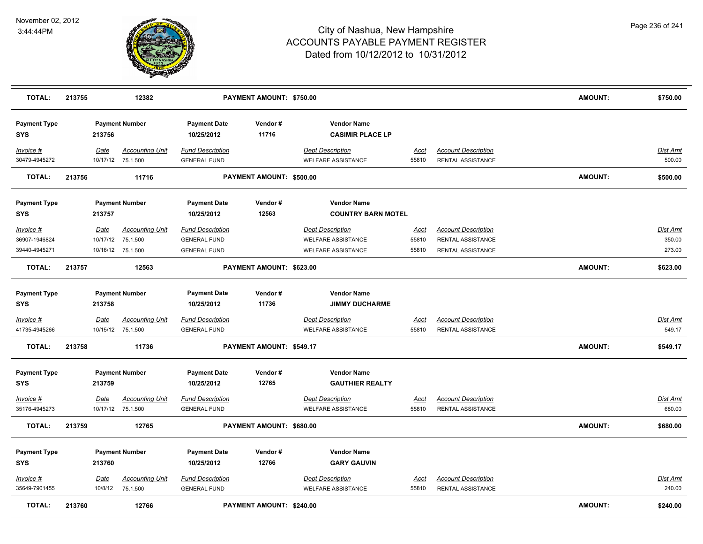

| <b>TOTAL:</b>                     | 213755 |                 | 12382                                       |                                                | PAYMENT AMOUNT: \$750.00 |                                                      |                      |                                                 | <b>AMOUNT:</b> | \$750.00                  |
|-----------------------------------|--------|-----------------|---------------------------------------------|------------------------------------------------|--------------------------|------------------------------------------------------|----------------------|-------------------------------------------------|----------------|---------------------------|
| <b>Payment Type</b><br><b>SYS</b> |        | 213756          | <b>Payment Number</b>                       | <b>Payment Date</b><br>10/25/2012              | Vendor#<br>11716         | <b>Vendor Name</b><br><b>CASIMIR PLACE LP</b>        |                      |                                                 |                |                           |
| Invoice #<br>30479-4945272        |        | Date            | <b>Accounting Unit</b><br>10/17/12 75.1.500 | <b>Fund Description</b><br><b>GENERAL FUND</b> |                          | <b>Dept Description</b><br><b>WELFARE ASSISTANCE</b> | Acct<br>55810        | <b>Account Description</b><br>RENTAL ASSISTANCE |                | Dist Amt<br>500.00        |
| <b>TOTAL:</b>                     | 213756 |                 | 11716                                       |                                                | PAYMENT AMOUNT: \$500.00 |                                                      |                      |                                                 | <b>AMOUNT:</b> | \$500.00                  |
| <b>Payment Type</b><br><b>SYS</b> |        | 213757          | <b>Payment Number</b>                       | <b>Payment Date</b><br>10/25/2012              | Vendor#<br>12563         | <b>Vendor Name</b><br><b>COUNTRY BARN MOTEL</b>      |                      |                                                 |                |                           |
| Invoice #                         |        | Date            | <b>Accounting Unit</b>                      | <b>Fund Description</b>                        |                          | <b>Dept Description</b>                              | <u>Acct</u>          | <b>Account Description</b>                      |                | Dist Amt                  |
| 36907-1946824                     |        | 10/17/12        | 75.1.500                                    | <b>GENERAL FUND</b>                            |                          | <b>WELFARE ASSISTANCE</b>                            | 55810                | RENTAL ASSISTANCE                               |                | 350.00                    |
| 39440-4945271                     |        |                 | 10/16/12 75.1.500                           | <b>GENERAL FUND</b>                            |                          | <b>WELFARE ASSISTANCE</b>                            | 55810                | RENTAL ASSISTANCE                               |                | 273.00                    |
| <b>TOTAL:</b>                     | 213757 |                 | 12563                                       |                                                | PAYMENT AMOUNT: \$623.00 |                                                      |                      |                                                 | <b>AMOUNT:</b> | \$623.00                  |
| <b>Payment Type</b>               |        |                 | <b>Payment Number</b>                       | <b>Payment Date</b>                            | Vendor#                  | <b>Vendor Name</b>                                   |                      |                                                 |                |                           |
| <b>SYS</b>                        |        | 213758          |                                             | 10/25/2012                                     | 11736                    | <b>JIMMY DUCHARME</b>                                |                      |                                                 |                |                           |
| $Invoice$ #<br>41735-4945266      |        | Date            | <b>Accounting Unit</b><br>10/15/12 75.1.500 | <b>Fund Description</b><br><b>GENERAL FUND</b> |                          | <b>Dept Description</b><br><b>WELFARE ASSISTANCE</b> | <b>Acct</b><br>55810 | <b>Account Description</b><br>RENTAL ASSISTANCE |                | <b>Dist Amt</b><br>549.17 |
| <b>TOTAL:</b>                     | 213758 |                 | 11736                                       |                                                | PAYMENT AMOUNT: \$549.17 |                                                      |                      |                                                 | <b>AMOUNT:</b> | \$549.17                  |
| <b>Payment Type</b>               |        |                 | <b>Payment Number</b>                       | <b>Payment Date</b>                            | Vendor#                  | <b>Vendor Name</b>                                   |                      |                                                 |                |                           |
| <b>SYS</b>                        |        | 213759          |                                             | 10/25/2012                                     | 12765                    | <b>GAUTHIER REALTY</b>                               |                      |                                                 |                |                           |
| Invoice #<br>35176-4945273        |        | Date            | <b>Accounting Unit</b><br>10/17/12 75.1.500 | <b>Fund Description</b><br><b>GENERAL FUND</b> |                          | <b>Dept Description</b><br><b>WELFARE ASSISTANCE</b> | <u>Acct</u><br>55810 | <b>Account Description</b><br>RENTAL ASSISTANCE |                | <b>Dist Amt</b><br>680.00 |
| <b>TOTAL:</b>                     | 213759 |                 | 12765                                       |                                                | PAYMENT AMOUNT: \$680.00 |                                                      |                      |                                                 | <b>AMOUNT:</b> | \$680.00                  |
| <b>Payment Type</b>               |        |                 | <b>Payment Number</b>                       | <b>Payment Date</b>                            | Vendor#                  | <b>Vendor Name</b>                                   |                      |                                                 |                |                           |
| <b>SYS</b>                        |        | 213760          |                                             | 10/25/2012                                     | 12766                    | <b>GARY GAUVIN</b>                                   |                      |                                                 |                |                           |
| Invoice #<br>35649-7901455        |        | Date<br>10/8/12 | <b>Accounting Unit</b><br>75.1.500          | <b>Fund Description</b><br><b>GENERAL FUND</b> |                          | <b>Dept Description</b><br><b>WELFARE ASSISTANCE</b> | Acct<br>55810        | <b>Account Description</b><br>RENTAL ASSISTANCE |                | Dist Amt<br>240.00        |
| <b>TOTAL:</b>                     | 213760 |                 | 12766                                       |                                                | PAYMENT AMOUNT: \$240.00 |                                                      |                      |                                                 | <b>AMOUNT:</b> | \$240.00                  |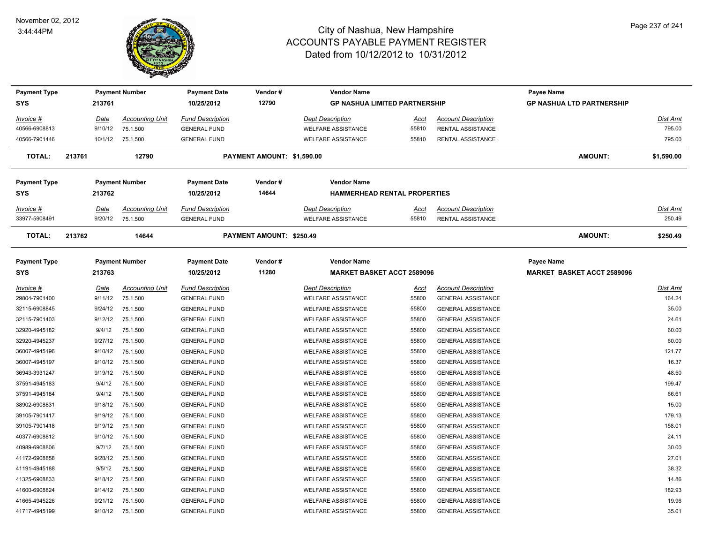

| <b>Payment Type</b> |             | <b>Payment Number</b>  | <b>Payment Date</b>     | Vendor#                    | <b>Vendor Name</b>        |                                      |                            | Payee Name                        |                 |
|---------------------|-------------|------------------------|-------------------------|----------------------------|---------------------------|--------------------------------------|----------------------------|-----------------------------------|-----------------|
| <b>SYS</b>          | 213761      |                        | 10/25/2012              | 12790                      |                           | <b>GP NASHUA LIMITED PARTNERSHIP</b> |                            | <b>GP NASHUA LTD PARTNERSHIP</b>  |                 |
| $Invoice$ #         | <u>Date</u> | <b>Accounting Unit</b> | <b>Fund Description</b> |                            | <b>Dept Description</b>   | Acct                                 | <b>Account Description</b> |                                   | Dist Amt        |
| 40566-6908813       | 9/10/12     | 75.1.500               | <b>GENERAL FUND</b>     |                            | <b>WELFARE ASSISTANCE</b> | 55810                                | <b>RENTAL ASSISTANCE</b>   |                                   | 795.00          |
| 40566-7901446       |             | 10/1/12 75.1.500       | <b>GENERAL FUND</b>     |                            | <b>WELFARE ASSISTANCE</b> | 55810                                | RENTAL ASSISTANCE          |                                   | 795.00          |
| <b>TOTAL:</b>       | 213761      | 12790                  |                         | PAYMENT AMOUNT: \$1,590.00 |                           |                                      |                            | <b>AMOUNT:</b>                    | \$1,590.00      |
| <b>Payment Type</b> |             | <b>Payment Number</b>  | <b>Payment Date</b>     | Vendor#                    | <b>Vendor Name</b>        |                                      |                            |                                   |                 |
| <b>SYS</b>          | 213762      |                        | 10/25/2012              | 14644                      |                           | <b>HAMMERHEAD RENTAL PROPERTIES</b>  |                            |                                   |                 |
| Invoice #           | Date        | Accounting Unit        | <b>Fund Description</b> |                            | <b>Dept Description</b>   | Acct                                 | <b>Account Description</b> |                                   | Dist Amt        |
| 33977-5908491       | 9/20/12     | 75.1.500               | <b>GENERAL FUND</b>     |                            | <b>WELFARE ASSISTANCE</b> | 55810                                | <b>RENTAL ASSISTANCE</b>   |                                   | 250.49          |
| <b>TOTAL:</b>       | 213762      | 14644                  |                         | PAYMENT AMOUNT: \$250.49   |                           |                                      |                            | <b>AMOUNT:</b>                    | \$250.49        |
| <b>Payment Type</b> |             | <b>Payment Number</b>  | <b>Payment Date</b>     | Vendor#                    | <b>Vendor Name</b>        |                                      |                            | Payee Name                        |                 |
| <b>SYS</b>          | 213763      |                        | 10/25/2012              | 11280                      |                           | <b>MARKET BASKET ACCT 2589096</b>    |                            | <b>MARKET BASKET ACCT 2589096</b> |                 |
| $Invoice$ #         | <u>Date</u> | <b>Accounting Unit</b> | <b>Fund Description</b> |                            | <b>Dept Description</b>   | <u>Acct</u>                          | <b>Account Description</b> |                                   | <b>Dist Amt</b> |
| 29804-7901400       | 9/11/12     | 75.1.500               | <b>GENERAL FUND</b>     |                            | WELFARE ASSISTANCE        | 55800                                | <b>GENERAL ASSISTANCE</b>  |                                   | 164.24          |
| 32115-6908845       | 9/24/12     | 75.1.500               | <b>GENERAL FUND</b>     |                            | <b>WELFARE ASSISTANCE</b> | 55800                                | <b>GENERAL ASSISTANCE</b>  |                                   | 35.00           |
| 32115-7901403       | 9/12/12     | 75.1.500               | <b>GENERAL FUND</b>     |                            | <b>WELFARE ASSISTANCE</b> | 55800                                | <b>GENERAL ASSISTANCE</b>  |                                   | 24.61           |
| 32920-4945182       | 9/4/12      | 75.1.500               | <b>GENERAL FUND</b>     |                            | <b>WELFARE ASSISTANCE</b> | 55800                                | <b>GENERAL ASSISTANCE</b>  |                                   | 60.00           |
| 32920-4945237       | 9/27/12     | 75.1.500               | <b>GENERAL FUND</b>     |                            | <b>WELFARE ASSISTANCE</b> | 55800                                | <b>GENERAL ASSISTANCE</b>  |                                   | 60.00           |
| 36007-4945196       | 9/10/12     | 75.1.500               | <b>GENERAL FUND</b>     |                            | <b>WELFARE ASSISTANCE</b> | 55800                                | <b>GENERAL ASSISTANCE</b>  |                                   | 121.77          |
| 36007-4945197       | 9/10/12     | 75.1.500               | <b>GENERAL FUND</b>     |                            | <b>WELFARE ASSISTANCE</b> | 55800                                | <b>GENERAL ASSISTANCE</b>  |                                   | 16.37           |
| 36943-3931247       | 9/19/12     | 75.1.500               | <b>GENERAL FUND</b>     |                            | <b>WELFARE ASSISTANCE</b> | 55800                                | <b>GENERAL ASSISTANCE</b>  |                                   | 48.50           |
| 37591-4945183       | 9/4/12      | 75.1.500               | <b>GENERAL FUND</b>     |                            | <b>WELFARE ASSISTANCE</b> | 55800                                | <b>GENERAL ASSISTANCE</b>  |                                   | 199.47          |
| 37591-4945184       | 9/4/12      | 75.1.500               | <b>GENERAL FUND</b>     |                            | <b>WELFARE ASSISTANCE</b> | 55800                                | <b>GENERAL ASSISTANCE</b>  |                                   | 66.61           |
| 38902-6908831       | 9/18/12     | 75.1.500               | <b>GENERAL FUND</b>     |                            | <b>WELFARE ASSISTANCE</b> | 55800                                | <b>GENERAL ASSISTANCE</b>  |                                   | 15.00           |
| 39105-7901417       | 9/19/12     | 75.1.500               | <b>GENERAL FUND</b>     |                            | <b>WELFARE ASSISTANCE</b> | 55800                                | <b>GENERAL ASSISTANCE</b>  |                                   | 179.13          |
| 39105-7901418       | 9/19/12     | 75.1.500               | <b>GENERAL FUND</b>     |                            | <b>WELFARE ASSISTANCE</b> | 55800                                | <b>GENERAL ASSISTANCE</b>  |                                   | 158.01          |
| 40377-6908812       | 9/10/12     | 75.1.500               | <b>GENERAL FUND</b>     |                            | <b>WELFARE ASSISTANCE</b> | 55800                                | <b>GENERAL ASSISTANCE</b>  |                                   | 24.11           |
| 40989-6908806       | 9/7/12      | 75.1.500               | <b>GENERAL FUND</b>     |                            | <b>WELFARE ASSISTANCE</b> | 55800                                | <b>GENERAL ASSISTANCE</b>  |                                   | 30.00           |
| 41172-6908858       | 9/28/12     | 75.1.500               | <b>GENERAL FUND</b>     |                            | <b>WELFARE ASSISTANCE</b> | 55800                                | <b>GENERAL ASSISTANCE</b>  |                                   | 27.01           |
| 41191-4945188       | 9/5/12      | 75.1.500               | <b>GENERAL FUND</b>     |                            | WELFARE ASSISTANCE        | 55800                                | <b>GENERAL ASSISTANCE</b>  |                                   | 38.32           |
| 41325-6908833       | 9/18/12     | 75.1.500               | <b>GENERAL FUND</b>     |                            | <b>WELFARE ASSISTANCE</b> | 55800                                | <b>GENERAL ASSISTANCE</b>  |                                   | 14.86           |
| 41600-6908824       | 9/14/12     | 75.1.500               | <b>GENERAL FUND</b>     |                            | <b>WELFARE ASSISTANCE</b> | 55800                                | <b>GENERAL ASSISTANCE</b>  |                                   | 182.93          |
| 41665-4945226       | 9/21/12     | 75.1.500               | <b>GENERAL FUND</b>     |                            | <b>WELFARE ASSISTANCE</b> | 55800                                | <b>GENERAL ASSISTANCE</b>  |                                   | 19.96           |
| 41717-4945199       | 9/10/12     | 75.1.500               | <b>GENERAL FUND</b>     |                            | <b>WELFARE ASSISTANCE</b> | 55800                                | <b>GENERAL ASSISTANCE</b>  |                                   | 35.01           |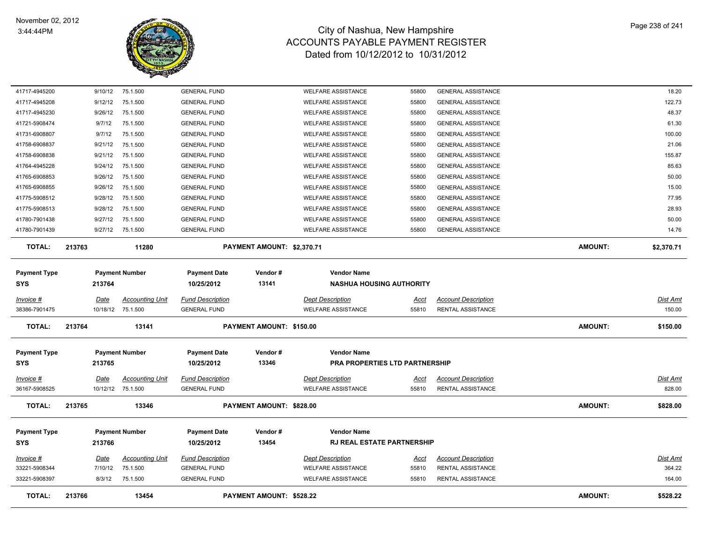

| <b>TOTAL:</b>                     | 213766             | 13454                                       |                                                | PAYMENT AMOUNT: \$528.22   |                                                         |                      |                                                        | <b>AMOUNT:</b> | \$528.22                  |
|-----------------------------------|--------------------|---------------------------------------------|------------------------------------------------|----------------------------|---------------------------------------------------------|----------------------|--------------------------------------------------------|----------------|---------------------------|
| 33221-5908397                     | 8/3/12             | 75.1.500                                    | <b>GENERAL FUND</b>                            |                            | <b>WELFARE ASSISTANCE</b>                               | 55810                | RENTAL ASSISTANCE                                      |                | 164.00                    |
| 33221-5908344                     | 7/10/12            | 75.1.500                                    | <b>GENERAL FUND</b>                            |                            | <b>WELFARE ASSISTANCE</b>                               | 55810                | RENTAL ASSISTANCE                                      |                | 364.22                    |
| $Invoice$ #                       | <u>Date</u>        | Accounting Unit                             | <b>Fund Description</b>                        |                            | <b>Dept Description</b>                                 | <u>Acct</u>          | <b>Account Description</b>                             |                | <b>Dist Amt</b>           |
| <b>Payment Type</b><br><b>SYS</b> | 213766             | <b>Payment Number</b>                       | <b>Payment Date</b><br>10/25/2012              | Vendor#<br>13454           | <b>Vendor Name</b><br><b>RJ REAL ESTATE PARTNERSHIP</b> |                      |                                                        |                |                           |
| <b>TOTAL:</b>                     | 213765             | 13346                                       |                                                | PAYMENT AMOUNT: \$828.00   |                                                         |                      |                                                        | <b>AMOUNT:</b> | \$828.00                  |
| Invoice #<br>36167-5908525        | Date               | <b>Accounting Unit</b><br>10/12/12 75.1.500 | <b>Fund Description</b><br><b>GENERAL FUND</b> |                            | <b>Dept Description</b><br><b>WELFARE ASSISTANCE</b>    | Acct<br>55810        | <b>Account Description</b><br>RENTAL ASSISTANCE        |                | Dist Amt<br>828.00        |
| <b>SYS</b>                        | 213765             |                                             | 10/25/2012                                     | 13346                      | <b>PRA PROPERTIES LTD PARTNERSHIP</b>                   |                      |                                                        |                |                           |
| <b>Payment Type</b>               |                    | <b>Payment Number</b>                       | <b>Payment Date</b>                            | Vendor#                    | <b>Vendor Name</b>                                      |                      |                                                        |                |                           |
| TOTAL:                            | 213764             | 13141                                       |                                                | PAYMENT AMOUNT: \$150.00   |                                                         |                      |                                                        | AMOUNT:        | \$150.00                  |
| Invoice #<br>38386-7901475        | Date               | <b>Accounting Unit</b><br>10/18/12 75.1.500 | <b>Fund Description</b><br><b>GENERAL FUND</b> |                            | <b>Dept Description</b><br><b>WELFARE ASSISTANCE</b>    | <u>Acct</u><br>55810 | <b>Account Description</b><br>RENTAL ASSISTANCE        |                | <b>Dist Amt</b><br>150.00 |
| <b>Payment Type</b><br><b>SYS</b> | 213764             | <b>Payment Number</b>                       | <b>Payment Date</b><br>10/25/2012              | Vendor#<br>13141           | <b>Vendor Name</b><br><b>NASHUA HOUSING AUTHORITY</b>   |                      |                                                        |                |                           |
|                                   |                    |                                             |                                                |                            |                                                         |                      |                                                        |                |                           |
| <b>TOTAL:</b>                     | 213763             | 11280                                       |                                                | PAYMENT AMOUNT: \$2,370.71 |                                                         |                      |                                                        | <b>AMOUNT:</b> | \$2,370.71                |
| 41780-7901439                     | 9/27/12            | 75.1.500                                    | <b>GENERAL FUND</b>                            |                            | <b>WELFARE ASSISTANCE</b>                               | 55800                | <b>GENERAL ASSISTANCE</b>                              |                | 14.76                     |
| 41780-7901438                     | 9/27/12            | 75.1.500                                    | <b>GENERAL FUND</b>                            |                            | <b>WELFARE ASSISTANCE</b>                               | 55800                | <b>GENERAL ASSISTANCE</b>                              |                | 50.00                     |
| 41775-5908513                     | 9/28/12            | 75.1.500                                    | <b>GENERAL FUND</b>                            |                            | <b>WELFARE ASSISTANCE</b>                               | 55800                | <b>GENERAL ASSISTANCE</b>                              |                | 28.93                     |
| 41775-5908512                     | 9/28/12            | 75.1.500                                    | <b>GENERAL FUND</b>                            |                            | <b>WELFARE ASSISTANCE</b>                               | 55800                | <b>GENERAL ASSISTANCE</b>                              |                | 77.95                     |
| 41765-6908855                     | 9/26/12            | 75.1.500                                    | <b>GENERAL FUND</b>                            |                            | <b>WELFARE ASSISTANCE</b>                               | 55800                | <b>GENERAL ASSISTANCE</b>                              |                | 15.00                     |
| 41765-6908853                     | 9/26/12            | 75.1.500                                    | <b>GENERAL FUND</b>                            |                            | <b>WELFARE ASSISTANCE</b>                               | 55800                | <b>GENERAL ASSISTANCE</b>                              |                | 50.00                     |
| 41764-4945228                     | 9/24/12            | 75.1.500                                    | <b>GENERAL FUND</b>                            |                            | <b>WELFARE ASSISTANCE</b>                               | 55800                | <b>GENERAL ASSISTANCE</b>                              |                | 85.63                     |
| 41758-6908837<br>41758-6908838    | 9/21/12<br>9/21/12 | 75.1.500<br>75.1.500                        | <b>GENERAL FUND</b><br><b>GENERAL FUND</b>     |                            | <b>WELFARE ASSISTANCE</b><br><b>WELFARE ASSISTANCE</b>  | 55800<br>55800       | <b>GENERAL ASSISTANCE</b><br><b>GENERAL ASSISTANCE</b> |                | 21.06<br>155.87           |
| 41731-6908807                     | 9/7/12             | 75.1.500                                    | <b>GENERAL FUND</b>                            |                            | <b>WELFARE ASSISTANCE</b>                               | 55800                | <b>GENERAL ASSISTANCE</b>                              |                | 100.00                    |
| 41721-5908474                     | 9/7/12             | 75.1.500                                    | <b>GENERAL FUND</b>                            |                            | <b>WELFARE ASSISTANCE</b>                               | 55800                | <b>GENERAL ASSISTANCE</b>                              |                | 61.30                     |
| 41717-4945230                     | 9/26/12            | 75.1.500                                    | <b>GENERAL FUND</b>                            |                            | <b>WELFARE ASSISTANCE</b>                               | 55800                | <b>GENERAL ASSISTANCE</b>                              |                | 48.37                     |
| 41717-4945208                     | 9/12/12            | 75.1.500                                    | <b>GENERAL FUND</b>                            |                            | <b>WELFARE ASSISTANCE</b>                               | 55800                | <b>GENERAL ASSISTANCE</b>                              |                | 122.73                    |
| 41717-4945200                     | 9/10/12            | 75.1.500                                    | <b>GENERAL FUND</b>                            |                            | <b>WELFARE ASSISTANCE</b>                               | 55800                | <b>GENERAL ASSISTANCE</b>                              |                | 18.20                     |
|                                   |                    |                                             |                                                |                            |                                                         |                      |                                                        |                |                           |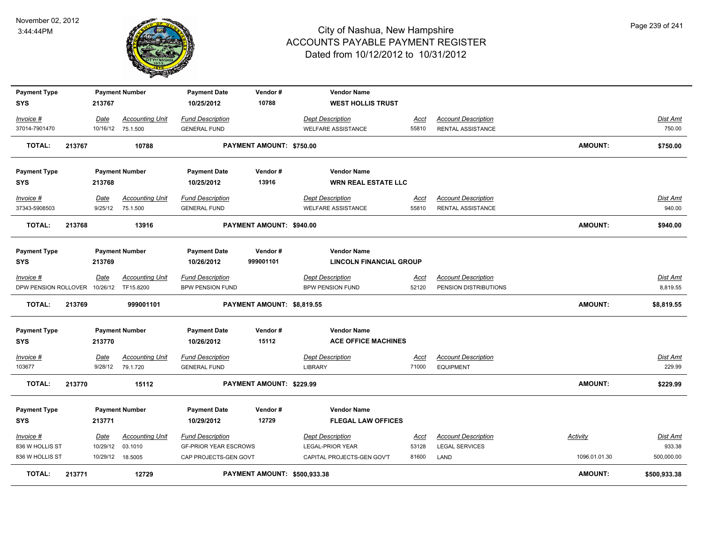

| <b>Payment Type</b>                     |        |                  | <b>Payment Number</b>                      | <b>Payment Date</b>                            | Vendor#                             | <b>Vendor Name</b>                 |                      |                                                |                |                           |
|-----------------------------------------|--------|------------------|--------------------------------------------|------------------------------------------------|-------------------------------------|------------------------------------|----------------------|------------------------------------------------|----------------|---------------------------|
| <b>SYS</b>                              |        | 213767           |                                            | 10/25/2012                                     | 10788                               | <b>WEST HOLLIS TRUST</b>           |                      |                                                |                |                           |
| Invoice #                               |        | Date             | <b>Accounting Unit</b>                     | <b>Fund Description</b>                        |                                     | <b>Dept Description</b>            | Acct                 | <b>Account Description</b>                     |                | Dist Amt                  |
| 37014-7901470                           |        |                  | 10/16/12 75.1.500                          | <b>GENERAL FUND</b>                            |                                     | <b>WELFARE ASSISTANCE</b>          | 55810                | RENTAL ASSISTANCE                              |                | 750.00                    |
| <b>TOTAL:</b>                           | 213767 |                  | 10788                                      |                                                | PAYMENT AMOUNT: \$750.00            |                                    |                      |                                                | <b>AMOUNT:</b> | \$750.00                  |
| <b>Payment Type</b>                     |        |                  | <b>Payment Number</b>                      | <b>Payment Date</b>                            | Vendor#                             | <b>Vendor Name</b>                 |                      |                                                |                |                           |
| <b>SYS</b>                              |        | 213768           |                                            | 10/25/2012                                     | 13916                               | <b>WRN REAL ESTATE LLC</b>         |                      |                                                |                |                           |
| Invoice #                               |        | Date             | <b>Accounting Unit</b>                     | <b>Fund Description</b>                        |                                     | <b>Dept Description</b>            | Acct                 | <b>Account Description</b>                     |                | <b>Dist Amt</b>           |
| 37343-5908503                           |        | 9/25/12          | 75.1.500                                   | <b>GENERAL FUND</b>                            |                                     | <b>WELFARE ASSISTANCE</b>          | 55810                | RENTAL ASSISTANCE                              |                | 940.00                    |
| <b>TOTAL:</b>                           | 213768 |                  | 13916                                      |                                                | PAYMENT AMOUNT: \$940.00            |                                    |                      |                                                | <b>AMOUNT:</b> | \$940.00                  |
| <b>Payment Type</b>                     |        |                  | <b>Payment Number</b>                      | <b>Payment Date</b>                            | Vendor#                             | <b>Vendor Name</b>                 |                      |                                                |                |                           |
| <b>SYS</b>                              |        | 213769           |                                            | 10/26/2012                                     | 999001101                           | <b>LINCOLN FINANCIAL GROUP</b>     |                      |                                                |                |                           |
| $Invoice$ #                             |        | Date             | <b>Accounting Unit</b>                     | <b>Fund Description</b>                        |                                     | <b>Dept Description</b>            | <u>Acct</u>          | <b>Account Description</b>                     |                | Dist Amt                  |
| DPW PENSION ROLLOVER 10/26/12 TF15.8200 |        |                  |                                            | <b>BPW PENSION FUND</b>                        |                                     | <b>BPW PENSION FUND</b>            | 52120                | PENSION DISTRIBUTIONS                          |                | 8,819.55                  |
| TOTAL:                                  | 213769 |                  | 999001101                                  |                                                | PAYMENT AMOUNT: \$8,819.55          |                                    |                      |                                                | <b>AMOUNT:</b> | \$8,819.55                |
| <b>Payment Type</b>                     |        |                  | <b>Payment Number</b>                      | <b>Payment Date</b>                            | Vendor#                             | <b>Vendor Name</b>                 |                      |                                                |                |                           |
| SYS                                     |        | 213770           |                                            | 10/26/2012                                     | 15112                               | <b>ACE OFFICE MACHINES</b>         |                      |                                                |                |                           |
| Invoice #<br>103677                     |        | Date             | <b>Accounting Unit</b><br>9/28/12 79.1.720 | <b>Fund Description</b><br><b>GENERAL FUND</b> |                                     | <b>Dept Description</b><br>LIBRARY | <u>Acct</u><br>71000 | <b>Account Description</b><br><b>EQUIPMENT</b> |                | <b>Dist Amt</b><br>229.99 |
| <b>TOTAL:</b>                           | 213770 |                  | 15112                                      |                                                | PAYMENT AMOUNT: \$229.99            |                                    |                      |                                                | AMOUNT:        | \$229.99                  |
| <b>Payment Type</b>                     |        |                  | <b>Payment Number</b>                      | <b>Payment Date</b>                            | Vendor#                             | <b>Vendor Name</b>                 |                      |                                                |                |                           |
| SYS                                     |        | 213771           |                                            | 10/29/2012                                     | 12729                               | <b>FLEGAL LAW OFFICES</b>          |                      |                                                |                |                           |
| Invoice #                               |        | Date             | <b>Accounting Unit</b>                     | <b>Fund Description</b>                        |                                     | <b>Dept Description</b>            | Acct                 | <b>Account Description</b>                     | Activity       | Dist Amt                  |
| 836 W HOLLIS ST                         |        | 10/29/12         | 03.1010                                    | <b>GF-PRIOR YEAR ESCROWS</b>                   |                                     | <b>LEGAL-PRIOR YEAR</b>            | 53128                | <b>LEGAL SERVICES</b>                          |                | 933.38                    |
| 836 W HOLLIS ST                         |        | 10/29/12 18.5005 |                                            | CAP PROJECTS-GEN GOVT                          |                                     | CAPITAL PROJECTS-GEN GOV'T         | 81600                | LAND                                           | 1096.01.01.30  | 500,000.00                |
| <b>TOTAL:</b>                           | 213771 |                  | 12729                                      |                                                | <b>PAYMENT AMOUNT: \$500,933.38</b> |                                    |                      |                                                | <b>AMOUNT:</b> | \$500,933.38              |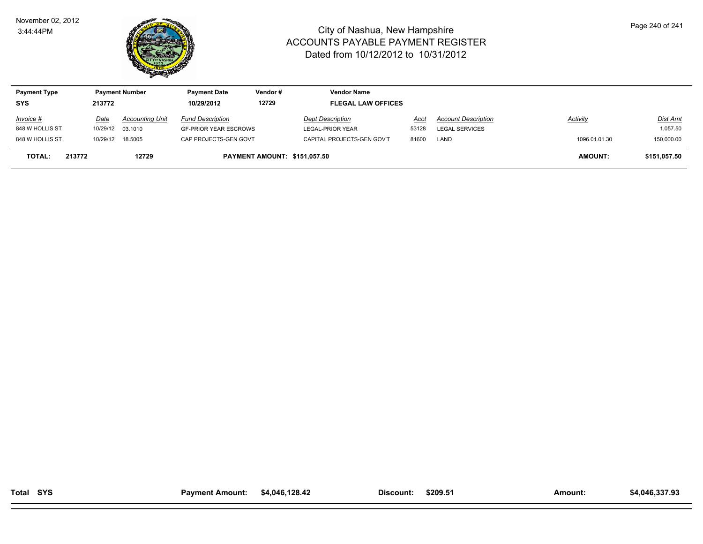

| <b>Payment Type</b> |        |                   | <b>Payment Number</b>  | <b>Payment Date</b>          | Vendor#                      | <b>Vendor Name</b>         |       |                            |                |                 |
|---------------------|--------|-------------------|------------------------|------------------------------|------------------------------|----------------------------|-------|----------------------------|----------------|-----------------|
| <b>SYS</b>          |        | 213772            |                        | 10/29/2012                   | 12729                        | <b>FLEGAL LAW OFFICES</b>  |       |                            |                |                 |
| <b>Invoice #</b>    |        | Date              | <b>Accounting Unit</b> | <b>Fund Description</b>      |                              | <b>Dept Description</b>    | Acct  | <b>Account Description</b> | Activity       | <u>Dist Amt</u> |
| 848 W HOLLIS ST     |        | 10/29/12 03.1010  |                        | <b>GF-PRIOR YEAR ESCROWS</b> |                              | LEGAL-PRIOR YEAR           | 53128 | <b>LEGAL SERVICES</b>      |                | 1,057.50        |
| 848 W HOLLIS ST     |        | 10/29/12  18.5005 |                        | CAP PROJECTS-GEN GOVT        |                              | CAPITAL PROJECTS-GEN GOV'T | 81600 | LAND                       | 1096.01.01.30  | 150,000.00      |
| <b>TOTAL:</b>       | 213772 |                   | 12729                  |                              | PAYMENT AMOUNT: \$151.057.50 |                            |       |                            | <b>AMOUNT:</b> | \$151,057.50    |